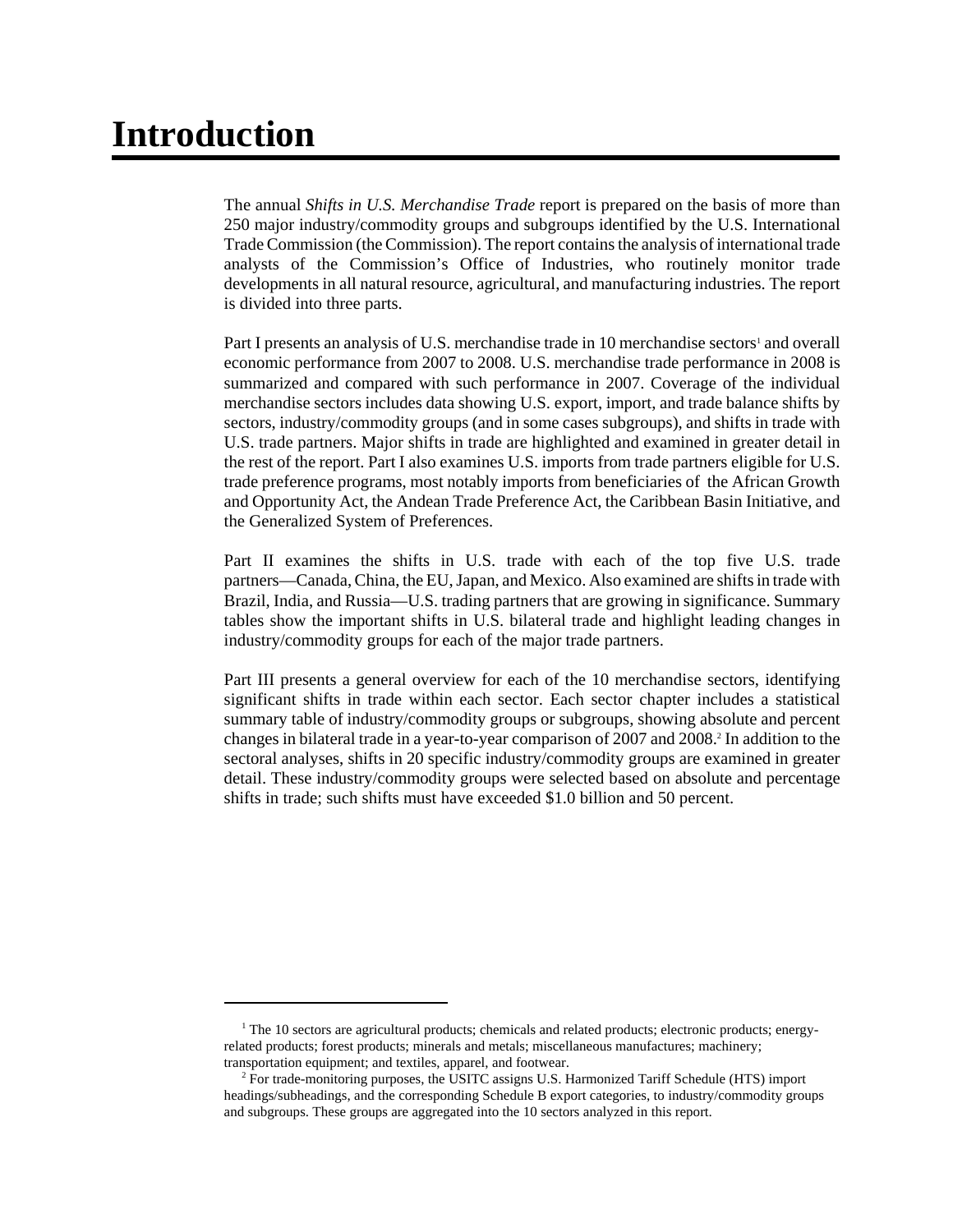# **Introduction**

The annual *Shifts in U.S. Merchandise Trade* report is prepared on the basis of more than 250 major industry/commodity groups and subgroups identified by the U.S. International Trade Commission (the Commission). The report contains the analysis of international trade analysts of the Commission's Office of Industries, who routinely monitor trade developments in all natural resource, agricultural, and manufacturing industries. The report is divided into three parts.

Part I presents an analysis of U.S. merchandise trade in 10 merchandise sectors<sup>1</sup> and overall economic performance from 2007 to 2008. U.S. merchandise trade performance in 2008 is summarized and compared with such performance in 2007. Coverage of the individual merchandise sectors includes data showing U.S. export, import, and trade balance shifts by sectors, industry/commodity groups (and in some cases subgroups), and shifts in trade with U.S. trade partners. Major shifts in trade are highlighted and examined in greater detail in the rest of the report. Part I also examines U.S. imports from trade partners eligible for U.S. trade preference programs, most notably imports from beneficiaries of the African Growth and Opportunity Act, the Andean Trade Preference Act, the Caribbean Basin Initiative, and the Generalized System of Preferences.

Part II examines the shifts in U.S. trade with each of the top five U.S. trade partners—Canada, China, the EU, Japan, and Mexico. Also examined are shifts in trade with Brazil, India, and Russia—U.S. trading partners that are growing in significance. Summary tables show the important shifts in U.S. bilateral trade and highlight leading changes in industry/commodity groups for each of the major trade partners.

Part III presents a general overview for each of the 10 merchandise sectors, identifying significant shifts in trade within each sector. Each sector chapter includes a statistical summary table of industry/commodity groups or subgroups, showing absolute and percent changes in bilateral trade in a year-to-year comparison of 2007 and 2008.<sup>2</sup> In addition to the sectoral analyses, shifts in 20 specific industry/commodity groups are examined in greater detail. These industry/commodity groups were selected based on absolute and percentage shifts in trade; such shifts must have exceeded \$1.0 billion and 50 percent.

<sup>&</sup>lt;sup>1</sup> The 10 sectors are agricultural products; chemicals and related products; electronic products; energyrelated products; forest products; minerals and metals; miscellaneous manufactures; machinery; transportation equipment; and textiles, apparel, and footwear.

 <sup>2</sup> For trade-monitoring purposes, the USITC assigns U.S. Harmonized Tariff Schedule (HTS) import headings/subheadings, and the corresponding Schedule B export categories, to industry/commodity groups and subgroups. These groups are aggregated into the 10 sectors analyzed in this report.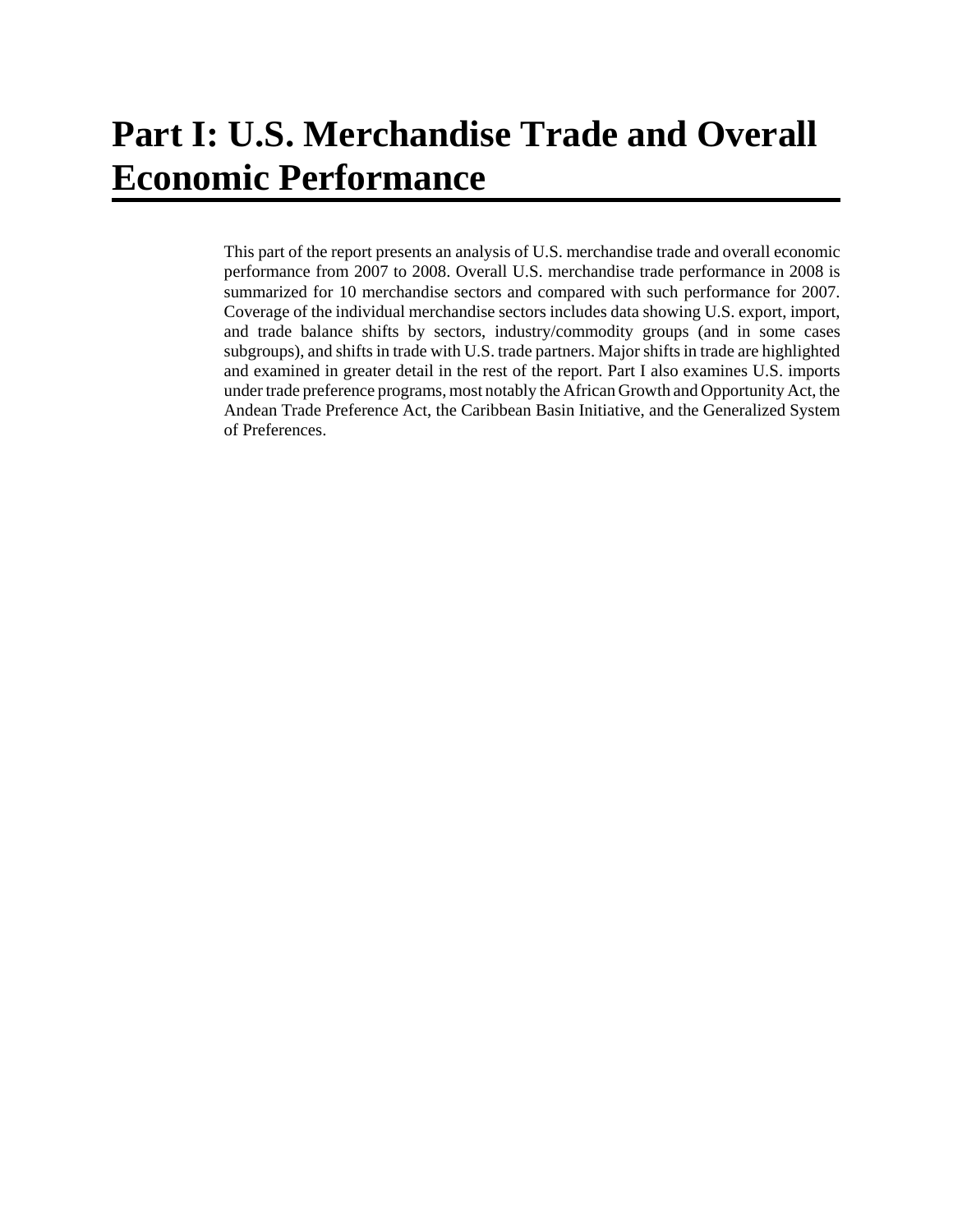This part of the report presents an analysis of U.S. merchandise trade and overall economic performance from 2007 to 2008. Overall U.S. merchandise trade performance in 2008 is summarized for 10 merchandise sectors and compared with such performance for 2007. Coverage of the individual merchandise sectors includes data showing U.S. export, import, and trade balance shifts by sectors, industry/commodity groups (and in some cases subgroups), and shifts in trade with U.S. trade partners. Major shifts in trade are highlighted and examined in greater detail in the rest of the report. Part I also examines U.S. imports under trade preference programs, most notably the African Growth and Opportunity Act, the Andean Trade Preference Act, the Caribbean Basin Initiative, and the Generalized System of Preferences.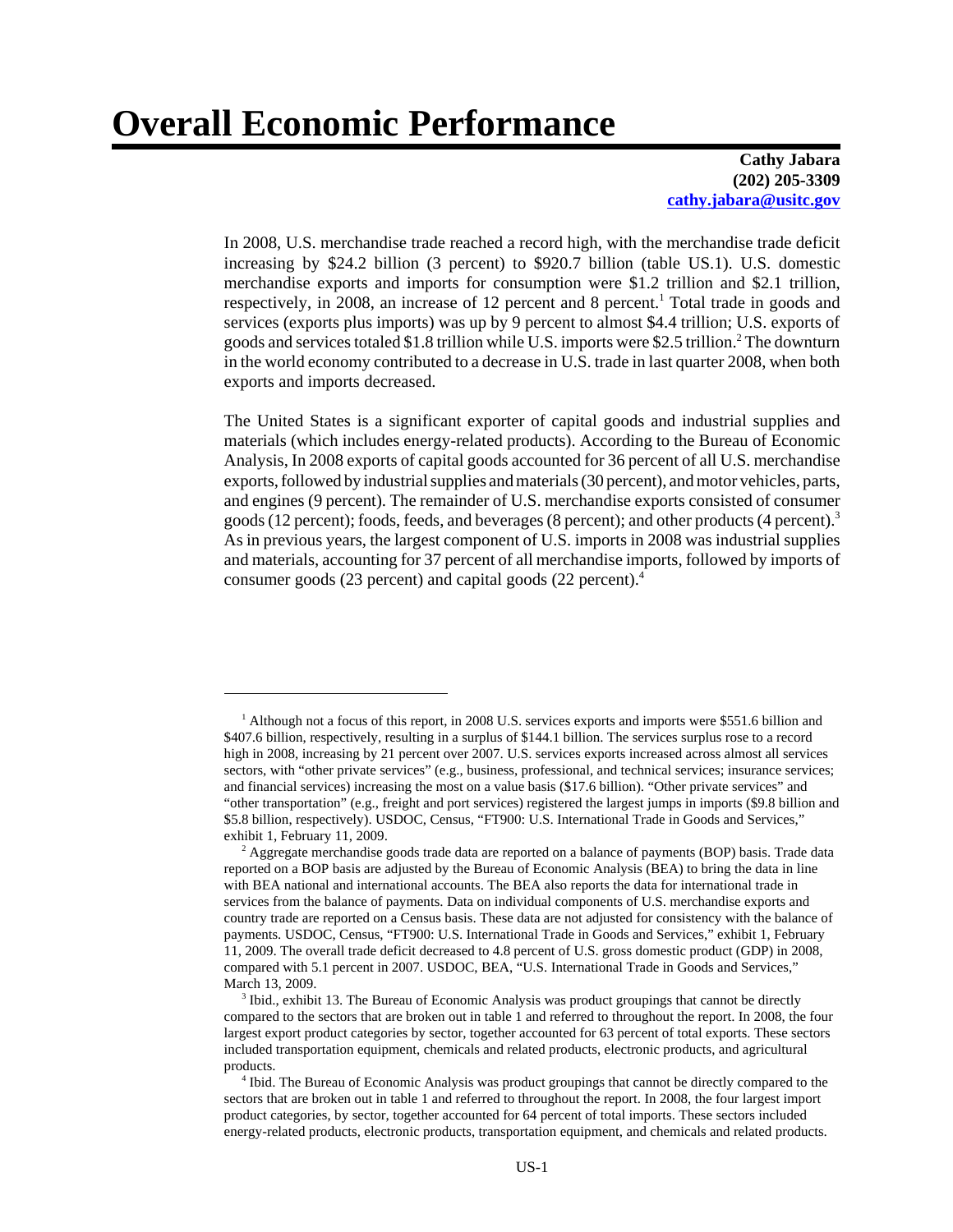# **Overall Economic Performance**

#### **Cathy Jabara (202) 205-3309 cathy.jabara@usitc.gov**

In 2008, U.S. merchandise trade reached a record high, with the merchandise trade deficit increasing by \$24.2 billion (3 percent) to \$920.7 billion (table US.1). U.S. domestic merchandise exports and imports for consumption were \$1.2 trillion and \$2.1 trillion, respectively, in 2008, an increase of 12 percent and 8 percent.<sup>1</sup> Total trade in goods and services (exports plus imports) was up by 9 percent to almost \$4.4 trillion; U.S. exports of goods and services totaled \$1.8 trillion while U.S. imports were \$2.5 trillion.<sup>2</sup> The downturn in the world economy contributed to a decrease in U.S. trade in last quarter 2008, when both exports and imports decreased.

The United States is a significant exporter of capital goods and industrial supplies and materials (which includes energy-related products). According to the Bureau of Economic Analysis, In 2008 exports of capital goods accounted for 36 percent of all U.S. merchandise exports, followed by industrial supplies and materials (30 percent), and motor vehicles, parts, and engines (9 percent). The remainder of U.S. merchandise exports consisted of consumer goods (12 percent); foods, feeds, and beverages (8 percent); and other products (4 percent).<sup>3</sup> As in previous years, the largest component of U.S. imports in 2008 was industrial supplies and materials, accounting for 37 percent of all merchandise imports, followed by imports of consumer goods (23 percent) and capital goods (22 percent).4

<sup>&</sup>lt;sup>1</sup> Although not a focus of this report, in 2008 U.S. services exports and imports were \$551.6 billion and \$407.6 billion, respectively, resulting in a surplus of \$144.1 billion. The services surplus rose to a record high in 2008, increasing by 21 percent over 2007. U.S. services exports increased across almost all services sectors, with "other private services" (e.g., business, professional, and technical services; insurance services; and financial services) increasing the most on a value basis (\$17.6 billion). "Other private services" and "other transportation" (e.g., freight and port services) registered the largest jumps in imports (\$9.8 billion and \$5.8 billion, respectively). USDOC, Census, "FT900: U.S. International Trade in Goods and Services," exhibit 1, February 11, 2009.

<sup>&</sup>lt;sup>2</sup> Aggregate merchandise goods trade data are reported on a balance of payments (BOP) basis. Trade data reported on a BOP basis are adjusted by the Bureau of Economic Analysis (BEA) to bring the data in line with BEA national and international accounts. The BEA also reports the data for international trade in services from the balance of payments. Data on individual components of U.S. merchandise exports and country trade are reported on a Census basis. These data are not adjusted for consistency with the balance of payments. USDOC, Census, "FT900: U.S. International Trade in Goods and Services," exhibit 1, February 11, 2009. The overall trade deficit decreased to 4.8 percent of U.S. gross domestic product (GDP) in 2008, compared with 5.1 percent in 2007. USDOC, BEA, "U.S. International Trade in Goods and Services," March 13, 2009.

<sup>&</sup>lt;sup>3</sup> Ibid., exhibit 13. The Bureau of Economic Analysis was product groupings that cannot be directly compared to the sectors that are broken out in table 1 and referred to throughout the report. In 2008, the four largest export product categories by sector, together accounted for 63 percent of total exports. These sectors included transportation equipment, chemicals and related products, electronic products, and agricultural products.

 <sup>4</sup> Ibid. The Bureau of Economic Analysis was product groupings that cannot be directly compared to the sectors that are broken out in table 1 and referred to throughout the report. In 2008, the four largest import product categories, by sector, together accounted for 64 percent of total imports. These sectors included energy-related products, electronic products, transportation equipment, and chemicals and related products.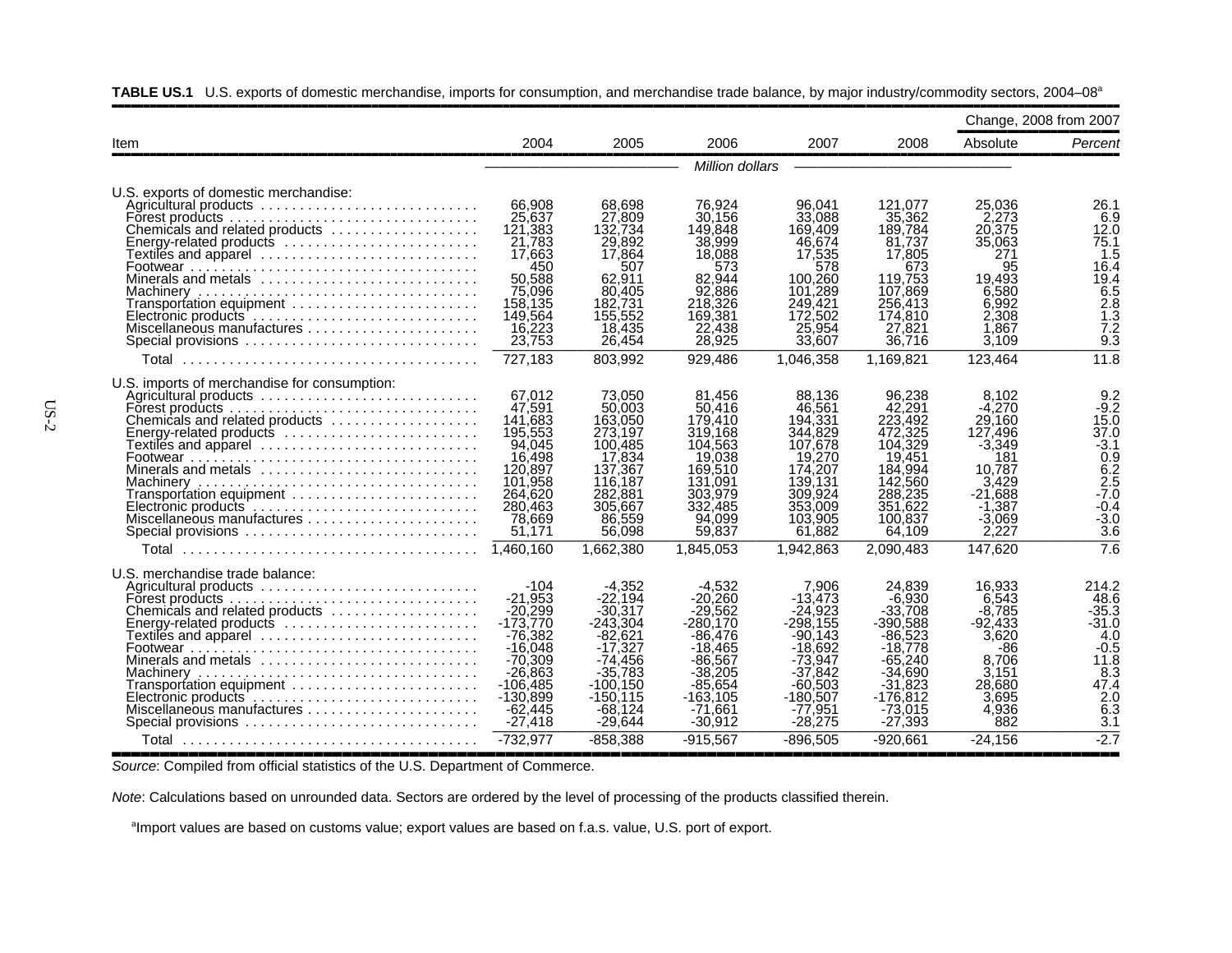| 2004<br>2005<br>2006<br>2007<br>2008<br>Absolute<br>Item<br>Million dollars<br>U.S. exports of domestic merchandise:<br>76,924<br>Agricultural products<br>66,908<br>68,698<br>96,041<br>121,077<br>25,036<br>25,637<br>27,809<br>30.156<br>33,088<br>35,362<br>2.273<br>Forest products<br>149.848<br>189.784<br>20,375<br>Chemicals and related products<br>121,383<br>132.734<br>169.409<br>21,783<br>29,892<br>38,999<br>46,674<br>35,063<br>81,737<br>Energy-related products<br>17,864<br>17,663<br>18,088<br>17,805<br>271<br>Textiles and apparel ..........................<br>17,535<br>450<br>673<br>95<br>507<br>573<br>578<br>Minerals and metals<br>50.588<br>62.911<br>82.944<br>119.753<br>19.493<br>100.260<br>92,886<br>75,096<br>80,405<br>101,289<br>107,869<br>6.580<br>182,731<br>6.992<br>158,135<br>218,326<br>249.421<br>256,413<br>Transportation equipment<br>155,552<br>169,381<br>174,810<br>2,308<br>149,564<br>172,502<br>Electronic products<br>22,438<br>25,954<br>27,821<br>16,223<br>18,435<br>1.867<br>Miscellaneous manufactures<br>23,753<br>28,925<br>33,607<br>36,716<br>Special provisions<br>26,454<br>3,109<br>727,183<br>929,486<br>1,046,358<br>1,169,821<br>123,464<br>803,992<br>Total<br>U.S. imports of merchandise for consumption:<br>67,012<br>73,050<br>81,456<br>88,136<br>96,238<br>8,102<br>Agricultural products<br>47,591<br>50.003<br>50.416<br>42,291<br>$-4,270$<br>46.561<br>194,331<br>223,492<br>141.683<br>163,050<br>179,410<br>29.160<br>Chemicals and related products<br>319.168<br>344,829<br>472.325<br>127.496<br>195,553<br>273.197<br>Energy-related products<br>94,045<br>100,485<br>104,563<br>107,678<br>104,329<br>$-3,349$<br>17,834<br>16.498<br>19,038<br>19,270<br>19,451<br>181<br>169,510<br>137,367<br>174,207<br>184.994<br>Minerals and metals $\ldots \ldots \ldots \ldots \ldots \ldots \ldots$<br>120,897<br>10.787<br>101,958<br>131,091<br>139,131<br>142,560<br>3,429<br>116,187<br>264,620<br>282,881<br>303,979<br>309,924<br>288,235<br>-21.688<br>Transportation equipment<br>332,485<br>353,009<br>351,622<br>280,463<br>305,667<br>$-1.387$<br>Electronic products<br>78,669<br>86,559<br>94,099<br>103,905<br>100,837<br>$-3,069$<br>Miscellaneous manufactures<br>2,227<br>51,171<br>56,098<br>59,837<br>61,882<br>64,109<br>Special provisions<br>1.460.160<br>1,662,380<br>1.845.053<br>147,620<br>1,942,863<br>2.090.483<br>Total<br>U.S. merchandise trade balance:<br>$-104$<br>$-4.352$<br>$-4,532$<br>7.906<br>24.839<br>16,933<br>Agricultural products<br>$-6.930$<br>$-21.953$<br>$-22.194$<br>$-20.260$<br>6.543<br>$-13,473$<br>Forest products.<br>$-29,562$<br>$-20.299$<br>$-30,317$<br>-24,923<br>$-33,708$<br>-8,785<br>Chemicals and related products<br>$-243,304$<br>$-173.770$<br>$-298.155$<br>$-92.433$<br>$-280.170$<br>$-390.588$<br>Energy-related products<br>$-86.523$<br>3.620<br>-76.382<br>$-82.621$<br>$-86.476$<br>$-90.143$<br>$-17.327$<br>$-18.778$<br>$-16.048$<br>$-18.465$<br>$-18.692$<br>-86<br>Minerals and metals<br>$-74.456$<br>$-86,567$<br>$-65,240$<br>8.706<br>$-70,309$<br>$-73,947$<br>$-35.783$<br>$-38,205$<br>$-37.842$<br>$-34,690$<br>3,151<br>-26.863<br>$-85.654$<br>$-31.823$<br>28,680<br>$-106.485$<br>-100.150<br>-60.503<br>Transportation equipment<br>$-176.812$<br>3.695<br>$-130.899$<br>$-150.115$<br>$-163.105$<br>$-180.507$ |                            |           |           |           |         |           |       | Change, 2008 from 2007                                                                                                   |
|---------------------------------------------------------------------------------------------------------------------------------------------------------------------------------------------------------------------------------------------------------------------------------------------------------------------------------------------------------------------------------------------------------------------------------------------------------------------------------------------------------------------------------------------------------------------------------------------------------------------------------------------------------------------------------------------------------------------------------------------------------------------------------------------------------------------------------------------------------------------------------------------------------------------------------------------------------------------------------------------------------------------------------------------------------------------------------------------------------------------------------------------------------------------------------------------------------------------------------------------------------------------------------------------------------------------------------------------------------------------------------------------------------------------------------------------------------------------------------------------------------------------------------------------------------------------------------------------------------------------------------------------------------------------------------------------------------------------------------------------------------------------------------------------------------------------------------------------------------------------------------------------------------------------------------------------------------------------------------------------------------------------------------------------------------------------------------------------------------------------------------------------------------------------------------------------------------------------------------------------------------------------------------------------------------------------------------------------------------------------------------------------------------------------------------------------------------------------------------------------------------------------------------------------------------------------------------------------------------------------------------------------------------------------------------------------------------------------------------------------------------------------------------------------------------------------------------------------------------------------------------------------------------------------------------------------------------------------------------------------------------------------------------------------------------------------------------------------------------------------------------------------------------------------------------------------------------------------------------------------------------------------------------------------------------------------------------------------------------------------------------------------------------|----------------------------|-----------|-----------|-----------|---------|-----------|-------|--------------------------------------------------------------------------------------------------------------------------|
|                                                                                                                                                                                                                                                                                                                                                                                                                                                                                                                                                                                                                                                                                                                                                                                                                                                                                                                                                                                                                                                                                                                                                                                                                                                                                                                                                                                                                                                                                                                                                                                                                                                                                                                                                                                                                                                                                                                                                                                                                                                                                                                                                                                                                                                                                                                                                                                                                                                                                                                                                                                                                                                                                                                                                                                                                                                                                                                                                                                                                                                                                                                                                                                                                                                                                                                                                                                                         |                            |           |           |           |         |           |       | Percent                                                                                                                  |
|                                                                                                                                                                                                                                                                                                                                                                                                                                                                                                                                                                                                                                                                                                                                                                                                                                                                                                                                                                                                                                                                                                                                                                                                                                                                                                                                                                                                                                                                                                                                                                                                                                                                                                                                                                                                                                                                                                                                                                                                                                                                                                                                                                                                                                                                                                                                                                                                                                                                                                                                                                                                                                                                                                                                                                                                                                                                                                                                                                                                                                                                                                                                                                                                                                                                                                                                                                                                         |                            |           |           |           |         |           |       |                                                                                                                          |
|                                                                                                                                                                                                                                                                                                                                                                                                                                                                                                                                                                                                                                                                                                                                                                                                                                                                                                                                                                                                                                                                                                                                                                                                                                                                                                                                                                                                                                                                                                                                                                                                                                                                                                                                                                                                                                                                                                                                                                                                                                                                                                                                                                                                                                                                                                                                                                                                                                                                                                                                                                                                                                                                                                                                                                                                                                                                                                                                                                                                                                                                                                                                                                                                                                                                                                                                                                                                         |                            |           |           |           |         |           |       | 26.1<br>6.9<br>12.0<br>75.1<br>1.5<br>16.4<br>19.4<br>6.5<br>$2.\overline{8}$<br>1.3<br>7.2<br>$9.\overline{3}$          |
|                                                                                                                                                                                                                                                                                                                                                                                                                                                                                                                                                                                                                                                                                                                                                                                                                                                                                                                                                                                                                                                                                                                                                                                                                                                                                                                                                                                                                                                                                                                                                                                                                                                                                                                                                                                                                                                                                                                                                                                                                                                                                                                                                                                                                                                                                                                                                                                                                                                                                                                                                                                                                                                                                                                                                                                                                                                                                                                                                                                                                                                                                                                                                                                                                                                                                                                                                                                                         |                            |           |           |           |         |           |       | 11.8                                                                                                                     |
|                                                                                                                                                                                                                                                                                                                                                                                                                                                                                                                                                                                                                                                                                                                                                                                                                                                                                                                                                                                                                                                                                                                                                                                                                                                                                                                                                                                                                                                                                                                                                                                                                                                                                                                                                                                                                                                                                                                                                                                                                                                                                                                                                                                                                                                                                                                                                                                                                                                                                                                                                                                                                                                                                                                                                                                                                                                                                                                                                                                                                                                                                                                                                                                                                                                                                                                                                                                                         |                            |           |           |           |         |           |       | $-9.2$<br>15.0<br>37.0<br>$-3.1$<br>0.9<br>6.2<br>2.5<br>$-7.0$<br>$-0.4$<br>$-3.0$<br>3.6<br>7.6                        |
| $-27,418$<br>$-29,644$<br>$-30,912$<br>$-27,393$<br>882<br>Special provisions<br>$-28,275$<br>-732,977<br>$-858,388$<br>$-915.567$<br>$-896.505$<br>$-920.661$<br>$-24.156$<br>Total                                                                                                                                                                                                                                                                                                                                                                                                                                                                                                                                                                                                                                                                                                                                                                                                                                                                                                                                                                                                                                                                                                                                                                                                                                                                                                                                                                                                                                                                                                                                                                                                                                                                                                                                                                                                                                                                                                                                                                                                                                                                                                                                                                                                                                                                                                                                                                                                                                                                                                                                                                                                                                                                                                                                                                                                                                                                                                                                                                                                                                                                                                                                                                                                                    | Miscellaneous manufactures | $-62,445$ | $-68.124$ | $-71.661$ | -77.951 | $-73,015$ | 4.936 | 214.2<br>48.6<br>$-35.3$<br>$-31.0$<br>4.0<br>$-0.5$<br>11.8<br>8.3<br>47.4<br>2.0<br>$\overline{6}$ .3<br>3.1<br>$-2.7$ |

**TABLE US.1** U.S. exports of domestic merchandise, imports for consumption, and merchandise trade balance, by major industry/commodity sectors, 2004–08a

,,,,,,,,,,,,,,,,,,,,,,,,,,,,,,,,,,,,,,,,,,,,,,,,,,,,,,,,,,,,,,,,,,,,,,,,,,,,,,,,,,,,,,,,,,,,,,,,,,,,,,,,,*Source*: Compiled from official statistics of the U.S. Department of Commerce.

*Note*: Calculations based on unrounded data. Sectors are ordered by the level of processing of the products classified therein.

<sup>a</sup>Import values are based on customs value; export values are based on f.a.s. value, U.S. port of export.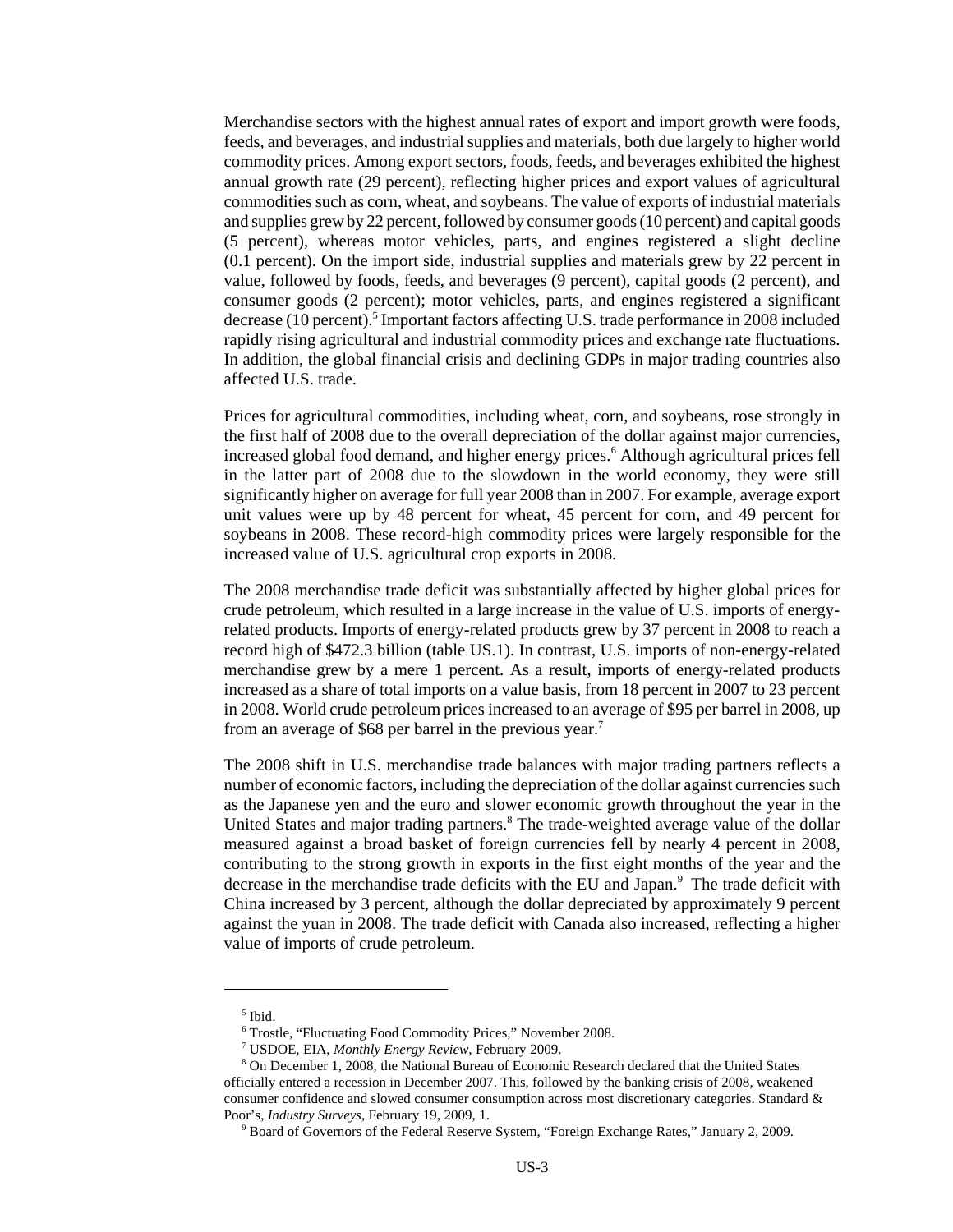Merchandise sectors with the highest annual rates of export and import growth were foods, feeds, and beverages, and industrial supplies and materials, both due largely to higher world commodity prices. Among export sectors, foods, feeds, and beverages exhibited the highest annual growth rate (29 percent), reflecting higher prices and export values of agricultural commodities such as corn, wheat, and soybeans. The value of exports of industrial materials and supplies grew by 22 percent, followed by consumer goods (10 percent) and capital goods (5 percent), whereas motor vehicles, parts, and engines registered a slight decline (0.1 percent). On the import side, industrial supplies and materials grew by 22 percent in value, followed by foods, feeds, and beverages (9 percent), capital goods (2 percent), and consumer goods (2 percent); motor vehicles, parts, and engines registered a significant decrease (10 percent).<sup>5</sup> Important factors affecting U.S. trade performance in 2008 included rapidly rising agricultural and industrial commodity prices and exchange rate fluctuations. In addition, the global financial crisis and declining GDPs in major trading countries also affected U.S. trade.

Prices for agricultural commodities, including wheat, corn, and soybeans, rose strongly in the first half of 2008 due to the overall depreciation of the dollar against major currencies, increased global food demand, and higher energy prices.<sup>6</sup> Although agricultural prices fell in the latter part of 2008 due to the slowdown in the world economy, they were still significantly higher on average for full year 2008 than in 2007. For example, average export unit values were up by 48 percent for wheat, 45 percent for corn, and 49 percent for soybeans in 2008. These record-high commodity prices were largely responsible for the increased value of U.S. agricultural crop exports in 2008.

The 2008 merchandise trade deficit was substantially affected by higher global prices for crude petroleum, which resulted in a large increase in the value of U.S. imports of energyrelated products. Imports of energy-related products grew by 37 percent in 2008 to reach a record high of \$472.3 billion (table US.1). In contrast, U.S. imports of non-energy-related merchandise grew by a mere 1 percent. As a result, imports of energy-related products increased as a share of total imports on a value basis, from 18 percent in 2007 to 23 percent in 2008. World crude petroleum prices increased to an average of \$95 per barrel in 2008, up from an average of \$68 per barrel in the previous year.<sup>7</sup>

The 2008 shift in U.S. merchandise trade balances with major trading partners reflects a number of economic factors, including the depreciation of the dollar against currencies such as the Japanese yen and the euro and slower economic growth throughout the year in the United States and major trading partners.<sup>8</sup> The trade-weighted average value of the dollar measured against a broad basket of foreign currencies fell by nearly 4 percent in 2008, contributing to the strong growth in exports in the first eight months of the year and the decrease in the merchandise trade deficits with the EU and Japan.<sup>9</sup> The trade deficit with China increased by 3 percent, although the dollar depreciated by approximately 9 percent against the yuan in 2008. The trade deficit with Canada also increased, reflecting a higher value of imports of crude petroleum.

 <sup>5</sup> Ibid.

 <sup>6</sup> Trostle, "Fluctuating Food Commodity Prices," November 2008.

 <sup>7</sup> USDOE, EIA, *Monthly Energy Review*, February 2009.

 <sup>8</sup> On December 1, 2008, the National Bureau of Economic Research declared that the United States officially entered a recession in December 2007. This, followed by the banking crisis of 2008, weakened consumer confidence and slowed consumer consumption across most discretionary categories. Standard & Poor's, *Industry Surveys,* February 19, 2009, 1.

 <sup>9</sup> Board of Governors of the Federal Reserve System, "Foreign Exchange Rates," January 2, 2009.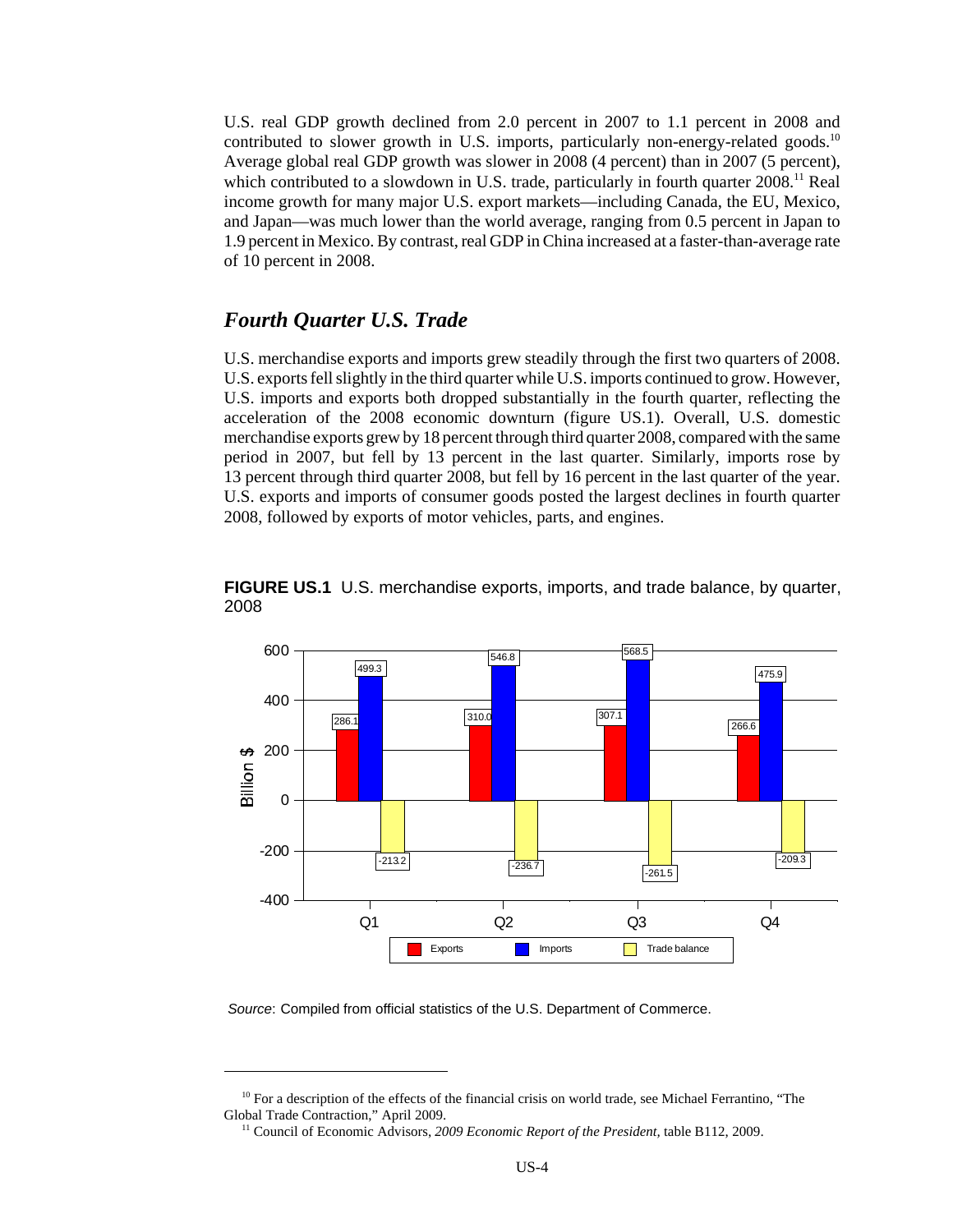U.S. real GDP growth declined from 2.0 percent in 2007 to 1.1 percent in 2008 and contributed to slower growth in U.S. imports, particularly non-energy-related goods.<sup>10</sup> Average global real GDP growth was slower in 2008 (4 percent) than in 2007 (5 percent), which contributed to a slowdown in U.S. trade, particularly in fourth quarter  $2008$ .<sup>11</sup> Real income growth for many major U.S. export markets—including Canada, the EU, Mexico, and Japan—was much lower than the world average, ranging from 0.5 percent in Japan to 1.9 percent in Mexico. By contrast, real GDP in China increased at a faster-than-average rate of 10 percent in 2008.

#### *Fourth Quarter U.S. Trade*

U.S. merchandise exports and imports grew steadily through the first two quarters of 2008. U.S. exports fell slightly in the third quarter while U.S. imports continued to grow. However, U.S. imports and exports both dropped substantially in the fourth quarter, reflecting the acceleration of the 2008 economic downturn (figure US.1). Overall, U.S. domestic merchandise exports grew by 18 percent through third quarter 2008, compared with the same period in 2007, but fell by 13 percent in the last quarter. Similarly, imports rose by 13 percent through third quarter 2008, but fell by 16 percent in the last quarter of the year. U.S. exports and imports of consumer goods posted the largest declines in fourth quarter 2008, followed by exports of motor vehicles, parts, and engines.



**FIGURE US.1** U.S. merchandise exports, imports, and trade balance, by quarter, 2008

*Source*: Compiled from official statistics of the U.S. Department of Commerce.

<sup>&</sup>lt;sup>10</sup> For a description of the effects of the financial crisis on world trade, see Michael Ferrantino, "The Global Trade Contraction," April 2009.

 <sup>11</sup> Council of Economic Advisors, *2009 Economic Report of the President,* table B112, 2009.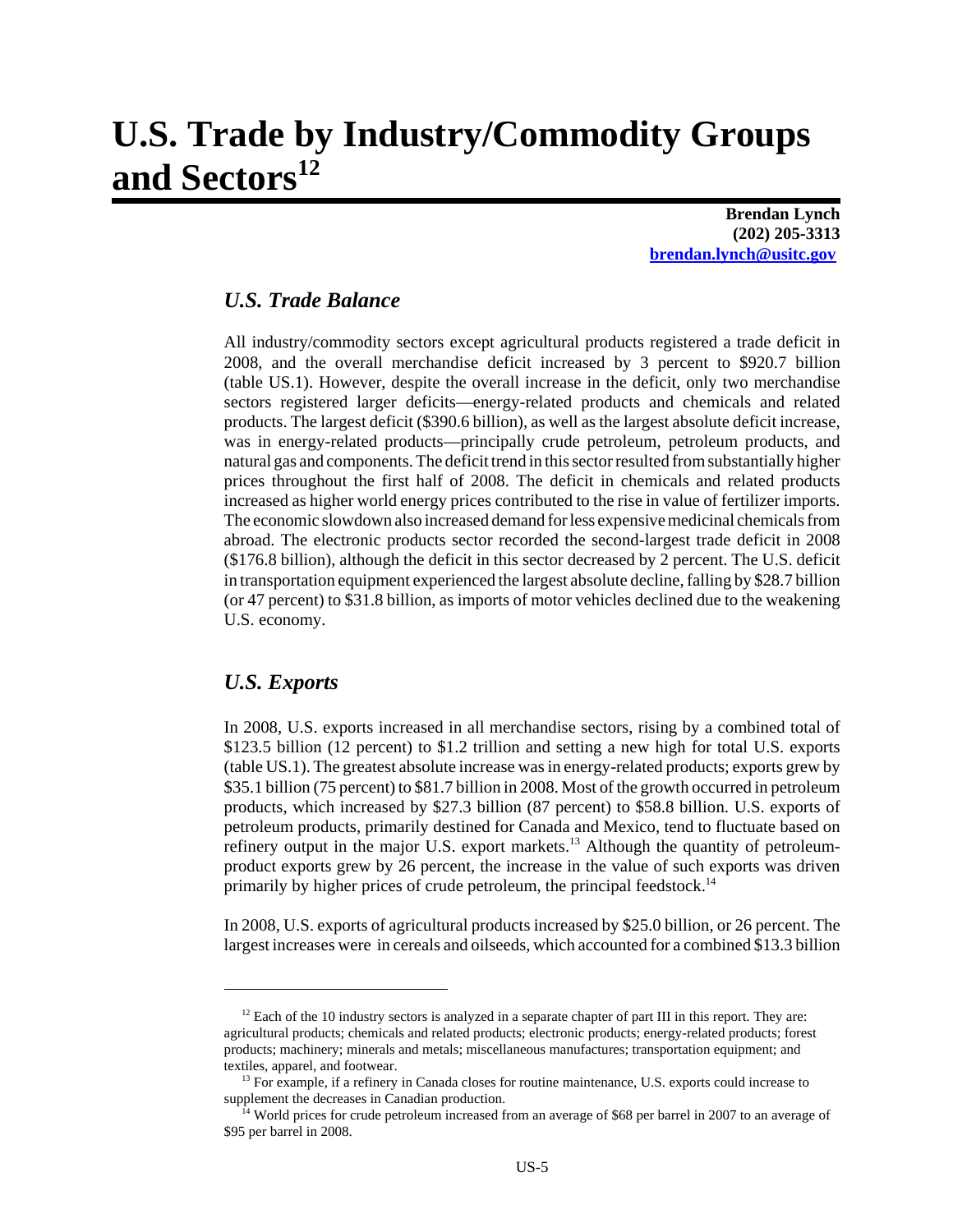# **U.S. Trade by Industry/Commodity Groups** and Sectors<sup>12</sup>

**Brendan Lynch (202) 205-3313 brendan.lynch@usitc.gov**

### *U.S. Trade Balance*

All industry/commodity sectors except agricultural products registered a trade deficit in 2008, and the overall merchandise deficit increased by 3 percent to \$920.7 billion (table US.1). However, despite the overall increase in the deficit, only two merchandise sectors registered larger deficits—energy-related products and chemicals and related products. The largest deficit (\$390.6 billion), as well as the largest absolute deficit increase, was in energy-related products—principally crude petroleum, petroleum products, and natural gas and components. The deficit trend in this sector resulted from substantially higher prices throughout the first half of 2008. The deficit in chemicals and related products increased as higher world energy prices contributed to the rise in value of fertilizer imports. The economic slowdown also increased demand for less expensive medicinal chemicals from abroad. The electronic products sector recorded the second-largest trade deficit in 2008 (\$176.8 billion), although the deficit in this sector decreased by 2 percent. The U.S. deficit in transportation equipment experienced the largest absolute decline, falling by \$28.7 billion (or 47 percent) to \$31.8 billion, as imports of motor vehicles declined due to the weakening U.S. economy.

#### *U.S. Exports*

In 2008, U.S. exports increased in all merchandise sectors, rising by a combined total of \$123.5 billion (12 percent) to \$1.2 trillion and setting a new high for total U.S. exports (table US.1). The greatest absolute increase was in energy-related products; exports grew by \$35.1 billion (75 percent) to \$81.7 billion in 2008. Most of the growth occurred in petroleum products, which increased by \$27.3 billion (87 percent) to \$58.8 billion. U.S. exports of petroleum products, primarily destined for Canada and Mexico, tend to fluctuate based on refinery output in the major U.S. export markets.13 Although the quantity of petroleumproduct exports grew by 26 percent, the increase in the value of such exports was driven primarily by higher prices of crude petroleum, the principal feedstock.14

In 2008, U.S. exports of agricultural products increased by \$25.0 billion, or 26 percent. The largest increases were in cereals and oilseeds, which accounted for a combined \$13.3 billion

<sup>&</sup>lt;sup>12</sup> Each of the 10 industry sectors is analyzed in a separate chapter of part III in this report. They are: agricultural products; chemicals and related products; electronic products; energy-related products; forest products; machinery; minerals and metals; miscellaneous manufactures; transportation equipment; and textiles, apparel, and footwear.

<sup>&</sup>lt;sup>13</sup> For example, if a refinery in Canada closes for routine maintenance, U.S. exports could increase to supplement the decreases in Canadian production.

<sup>&</sup>lt;sup>14</sup> World prices for crude petroleum increased from an average of \$68 per barrel in 2007 to an average of \$95 per barrel in 2008.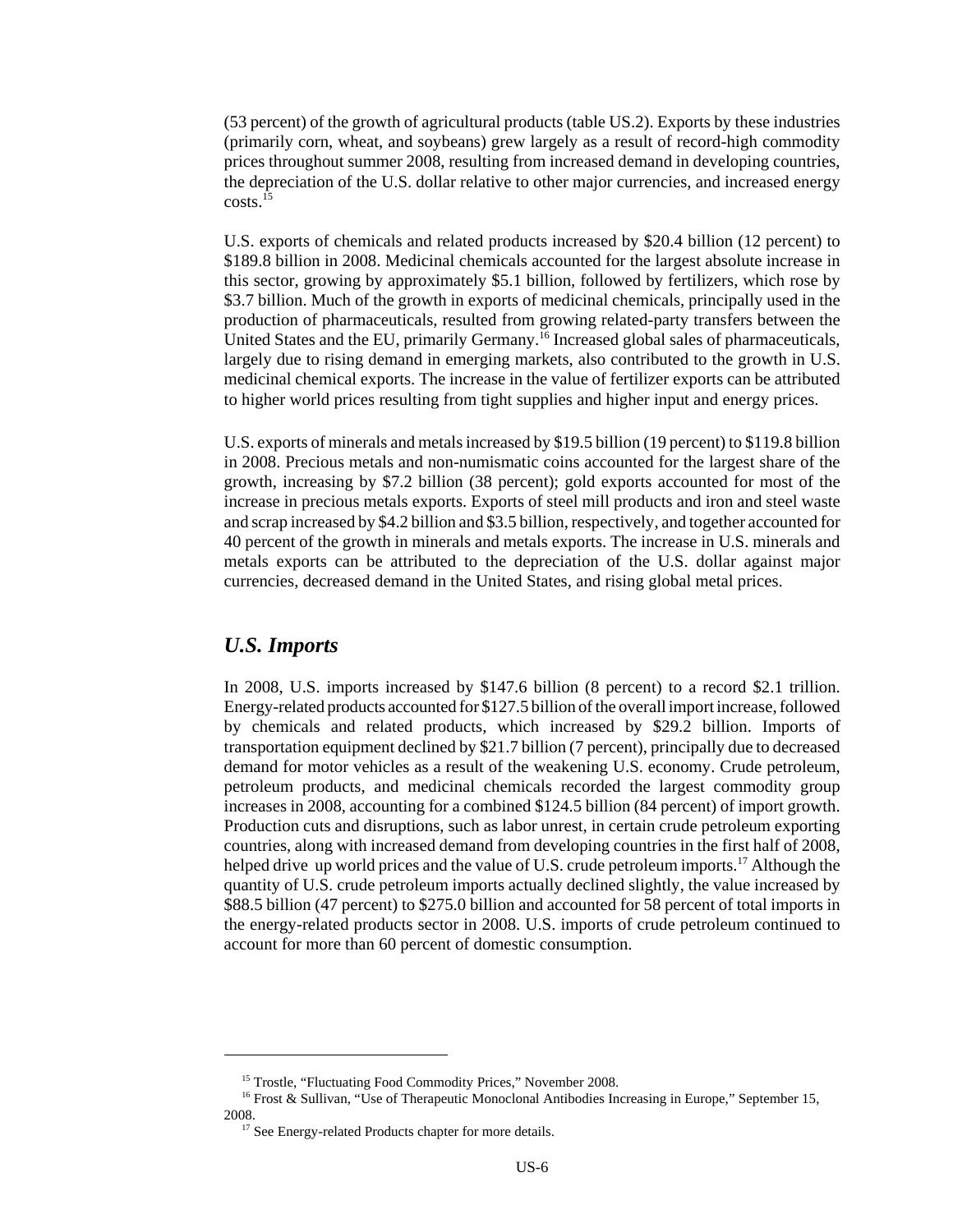(53 percent) of the growth of agricultural products (table US.2). Exports by these industries (primarily corn, wheat, and soybeans) grew largely as a result of record-high commodity prices throughout summer 2008, resulting from increased demand in developing countries, the depreciation of the U.S. dollar relative to other major currencies, and increased energy costs.15

U.S. exports of chemicals and related products increased by \$20.4 billion (12 percent) to \$189.8 billion in 2008. Medicinal chemicals accounted for the largest absolute increase in this sector, growing by approximately \$5.1 billion, followed by fertilizers, which rose by \$3.7 billion. Much of the growth in exports of medicinal chemicals, principally used in the production of pharmaceuticals, resulted from growing related-party transfers between the United States and the EU, primarily Germany.<sup>16</sup> Increased global sales of pharmaceuticals, largely due to rising demand in emerging markets, also contributed to the growth in U.S. medicinal chemical exports. The increase in the value of fertilizer exports can be attributed to higher world prices resulting from tight supplies and higher input and energy prices.

U.S. exports of minerals and metals increased by \$19.5 billion (19 percent) to \$119.8 billion in 2008. Precious metals and non-numismatic coins accounted for the largest share of the growth, increasing by \$7.2 billion (38 percent); gold exports accounted for most of the increase in precious metals exports. Exports of steel mill products and iron and steel waste and scrap increased by \$4.2 billion and \$3.5 billion, respectively, and together accounted for 40 percent of the growth in minerals and metals exports. The increase in U.S. minerals and metals exports can be attributed to the depreciation of the U.S. dollar against major currencies, decreased demand in the United States, and rising global metal prices.

#### *U.S. Imports*

In 2008, U.S. imports increased by \$147.6 billion (8 percent) to a record \$2.1 trillion. Energy-related products accounted for \$127.5 billion of the overall import increase, followed by chemicals and related products, which increased by \$29.2 billion. Imports of transportation equipment declined by \$21.7 billion (7 percent), principally due to decreased demand for motor vehicles as a result of the weakening U.S. economy. Crude petroleum, petroleum products, and medicinal chemicals recorded the largest commodity group increases in 2008, accounting for a combined \$124.5 billion (84 percent) of import growth. Production cuts and disruptions, such as labor unrest, in certain crude petroleum exporting countries, along with increased demand from developing countries in the first half of 2008, helped drive up world prices and the value of U.S. crude petroleum imports.<sup>17</sup> Although the quantity of U.S. crude petroleum imports actually declined slightly, the value increased by \$88.5 billion (47 percent) to \$275.0 billion and accounted for 58 percent of total imports in the energy-related products sector in 2008. U.S. imports of crude petroleum continued to account for more than 60 percent of domestic consumption.

<sup>&</sup>lt;sup>15</sup> Trostle, "Fluctuating Food Commodity Prices," November 2008.

<sup>&</sup>lt;sup>16</sup> Frost & Sullivan, "Use of Therapeutic Monoclonal Antibodies Increasing in Europe," September 15, 2008.

<sup>&</sup>lt;sup>17</sup> See Energy-related Products chapter for more details.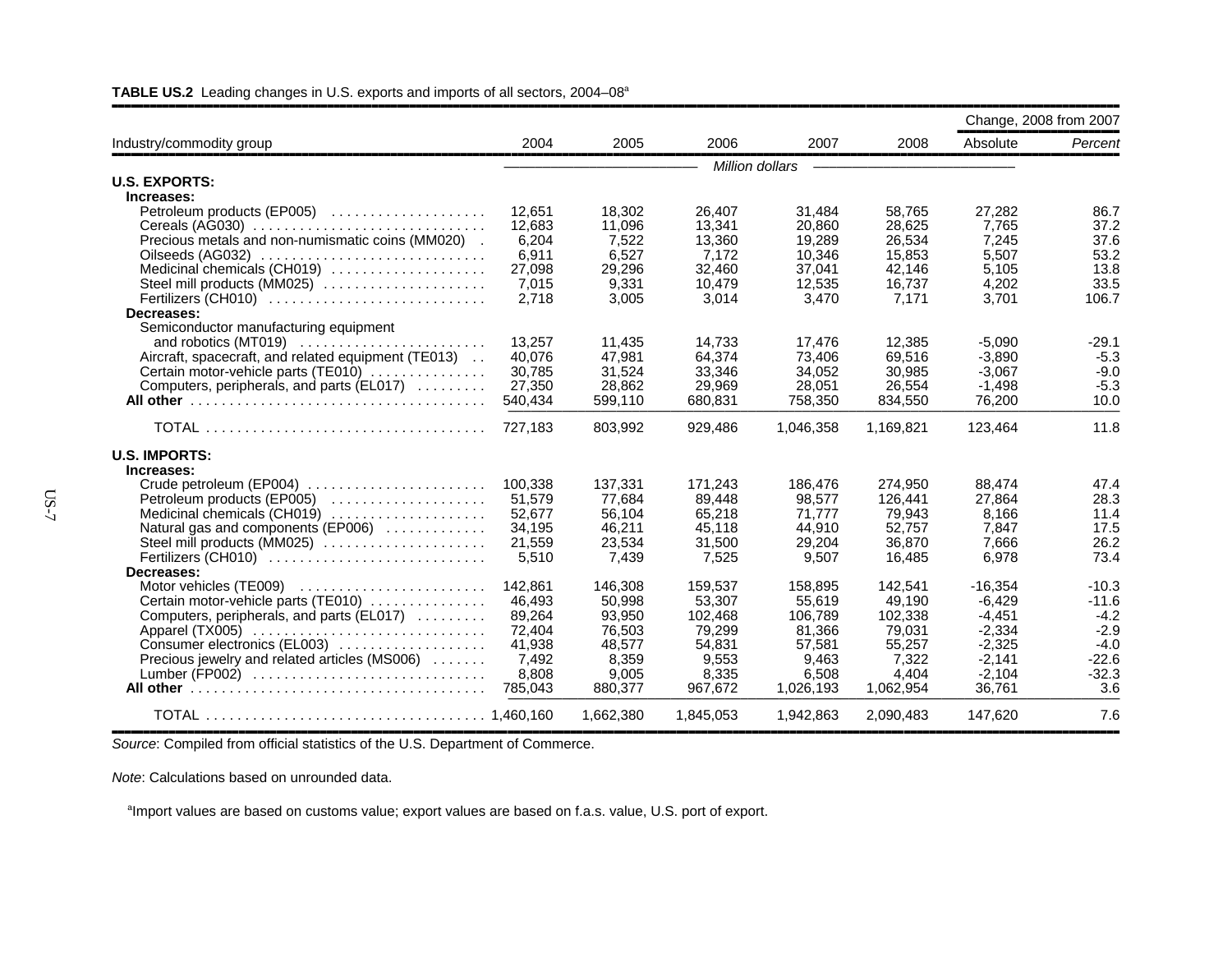|                                                                            |                  |                  |                  |                  |                  | Change, 2008 from 2007 |                   |
|----------------------------------------------------------------------------|------------------|------------------|------------------|------------------|------------------|------------------------|-------------------|
| Industry/commodity group                                                   | 2004             | 2005             | 2006             | 2007             | 2008             | Absolute               | Percent           |
|                                                                            |                  |                  |                  | Million dollars  |                  |                        |                   |
| <b>U.S. EXPORTS:</b>                                                       |                  |                  |                  |                  |                  |                        |                   |
| Increases:                                                                 |                  |                  |                  |                  |                  |                        |                   |
| Petroleum products (EP005)                                                 | 12,651           | 18,302           | 26,407           | 31,484           | 58,765           | 27,282                 | 86.7              |
|                                                                            | 12,683           | 11.096           | 13.341           | 20.860           | 28,625           | 7.765                  | 37.2              |
| Precious metals and non-numismatic coins (MM020).                          | 6.204            | 7.522            | 13.360           | 19,289           | 26.534           | 7.245                  | 37.6              |
| Oilseeds (AG032)                                                           | 6,911            | 6,527            | 7,172            | 10,346           | 15,853           | 5,507                  | 53.2              |
| Medicinal chemicals (CH019)                                                | 27,098           | 29,296           | 32,460           | 37,041           | 42,146           | 5,105                  | 13.8              |
| Steel mill products (MM025)                                                | 7,015            | 9,331            | 10,479           | 12,535           | 16,737           | 4,202                  | 33.5              |
| Fertilizers (CH010)                                                        | 2.718            | 3.005            | 3.014            | 3.470            | 7.171            | 3.701                  | 106.7             |
| Decreases:                                                                 |                  |                  |                  |                  |                  |                        |                   |
| Semiconductor manufacturing equipment                                      |                  |                  |                  |                  |                  |                        |                   |
| Aircraft, spacecraft, and related equipment (TE013)                        | 13,257<br>40.076 | 11,435<br>47.981 | 14,733<br>64.374 | 17,476<br>73,406 | 12,385<br>69.516 | $-5,090$<br>$-3.890$   | $-29.1$<br>$-5.3$ |
| Certain motor-vehicle parts (TE010)                                        | 30,785           | 31.524           | 33.346           | 34,052           | 30.985           | $-3,067$               | $-9.0$            |
| Computers, peripherals, and parts (EL017)                                  | 27,350           | 28.862           | 29.969           | 28.051           | 26.554           | $-1,498$               | $-5.3$            |
|                                                                            | 540,434          | 599,110          | 680,831          | 758,350          | 834,550          | 76,200                 | 10.0              |
|                                                                            |                  |                  |                  |                  |                  |                        |                   |
|                                                                            | 727.183          | 803.992          | 929.486          | 1,046,358        | 1,169,821        | 123.464                | 11.8              |
| <b>U.S. IMPORTS:</b>                                                       |                  |                  |                  |                  |                  |                        |                   |
| Increases:                                                                 |                  |                  |                  |                  |                  |                        |                   |
| Crude petroleum (EP004) $\ldots \ldots \ldots \ldots \ldots \ldots \ldots$ | 100.338          | 137.331          | 171,243          | 186.476          | 274,950          | 88.474                 | 47.4              |
| Petroleum products (EP005)                                                 | 51,579           | 77,684           | 89,448           | 98,577           | 126,441          | 27,864                 | 28.3              |
| Medicinal chemicals (CH019)                                                | 52,677           | 56,104           | 65,218           | 71,777           | 79,943<br>52.757 | 8,166                  | 11.4<br>17.5      |
| Natural gas and components (EP006)<br>Steel mill products (MM025)          | 34,195<br>21,559 | 46,211<br>23.534 | 45,118<br>31.500 | 44,910<br>29.204 | 36,870           | 7,847<br>7.666         | 26.2              |
| Fertilizers (CH010)                                                        | 5,510            | 7.439            | 7.525            | 9.507            | 16.485           | 6,978                  | 73.4              |
| Decreases:                                                                 |                  |                  |                  |                  |                  |                        |                   |
| Motor vehicles (TE009)                                                     | 142,861          | 146,308          | 159,537          | 158,895          | 142,541          | $-16,354$              | $-10.3$           |
| Certain motor-vehicle parts (TE010)                                        | 46,493           | 50,998           | 53,307           | 55,619           | 49,190           | $-6,429$               | $-11.6$           |
| Computers, peripherals, and parts (EL017)                                  | 89,264           | 93,950           | 102.468          | 106.789          | 102,338          | $-4,451$               | $-4.2$            |
| Apparel (TX005)                                                            | 72,404           | 76,503           | 79,299           | 81,366           | 79,031           | $-2,334$               | $-2.9$            |
| Consumer electronics (EL003)                                               | 41,938           | 48,577           | 54,831           | 57,581           | 55,257           | $-2,325$               | $-4.0$            |
| Precious jewelry and related articles (MS006)                              | 7,492            | 8.359            | 9,553            | 9.463            | 7,322            | $-2,141$               | $-22.6$           |
| Lumber (FP002)                                                             | 8,808            | 9.005            | 8,335            | 6,508            | 4.404            | $-2,104$               | $-32.3$           |
|                                                                            | 785,043          | 880.377          | 967.672          | 1,026,193        | 1,062,954        | 36.761                 | 3.6               |
|                                                                            |                  | 1.662.380        | 1.845.053        | 1,942,863        | 2.090.483        | 147.620                | 7.6               |

#### TABLE US.2 Leading changes in U.S. exports and imports of all sectors, 2004–08<sup>a</sup>

**Source: Compiled from official statistics of the U.S. Department of Commerce.** 

*Note*: Calculations based on unrounded data.

<sup>a</sup>Import values are based on customs value; export values are based on f.a.s. value, U.S. port of export.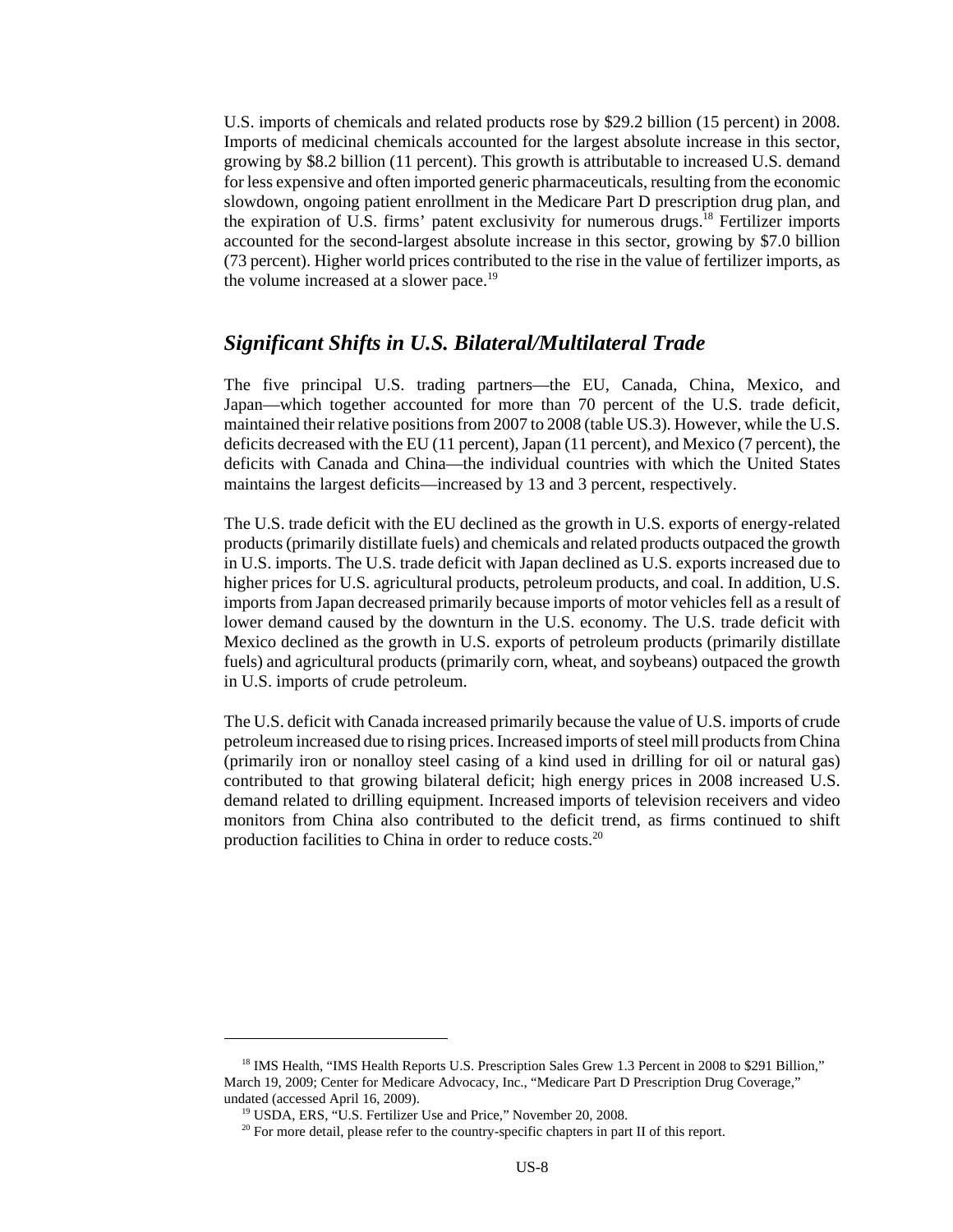U.S. imports of chemicals and related products rose by \$29.2 billion (15 percent) in 2008. Imports of medicinal chemicals accounted for the largest absolute increase in this sector, growing by \$8.2 billion (11 percent). This growth is attributable to increased U.S. demand for less expensive and often imported generic pharmaceuticals, resulting from the economic slowdown, ongoing patient enrollment in the Medicare Part D prescription drug plan, and the expiration of U.S. firms' patent exclusivity for numerous drugs.<sup>18</sup> Fertilizer imports accounted for the second-largest absolute increase in this sector, growing by \$7.0 billion (73 percent). Higher world prices contributed to the rise in the value of fertilizer imports, as the volume increased at a slower pace.<sup>19</sup>

#### *Significant Shifts in U.S. Bilateral/Multilateral Trade*

The five principal U.S. trading partners—the EU, Canada, China, Mexico, and Japan—which together accounted for more than 70 percent of the U.S. trade deficit, maintained their relative positions from 2007 to 2008 (table US.3). However, while the U.S. deficits decreased with the EU (11 percent), Japan (11 percent), and Mexico (7 percent), the deficits with Canada and China—the individual countries with which the United States maintains the largest deficits—increased by 13 and 3 percent, respectively.

The U.S. trade deficit with the EU declined as the growth in U.S. exports of energy-related products (primarily distillate fuels) and chemicals and related products outpaced the growth in U.S. imports. The U.S. trade deficit with Japan declined as U.S. exports increased due to higher prices for U.S. agricultural products, petroleum products, and coal. In addition, U.S. imports from Japan decreased primarily because imports of motor vehicles fell as a result of lower demand caused by the downturn in the U.S. economy. The U.S. trade deficit with Mexico declined as the growth in U.S. exports of petroleum products (primarily distillate fuels) and agricultural products (primarily corn, wheat, and soybeans) outpaced the growth in U.S. imports of crude petroleum.

The U.S. deficit with Canada increased primarily because the value of U.S. imports of crude petroleum increased due to rising prices. Increased imports of steel mill products from China (primarily iron or nonalloy steel casing of a kind used in drilling for oil or natural gas) contributed to that growing bilateral deficit; high energy prices in 2008 increased U.S. demand related to drilling equipment. Increased imports of television receivers and video monitors from China also contributed to the deficit trend, as firms continued to shift production facilities to China in order to reduce costs.<sup>20</sup>

<sup>&</sup>lt;sup>18</sup> IMS Health, "IMS Health Reports U.S. Prescription Sales Grew 1.3 Percent in 2008 to \$291 Billion," March 19, 2009; Center for Medicare Advocacy, Inc., "Medicare Part D Prescription Drug Coverage," undated (accessed April 16, 2009).

 <sup>19</sup> USDA, ERS, "U.S. Fertilizer Use and Price," November 20, 2008.

<sup>&</sup>lt;sup>20</sup> For more detail, please refer to the country-specific chapters in part II of this report.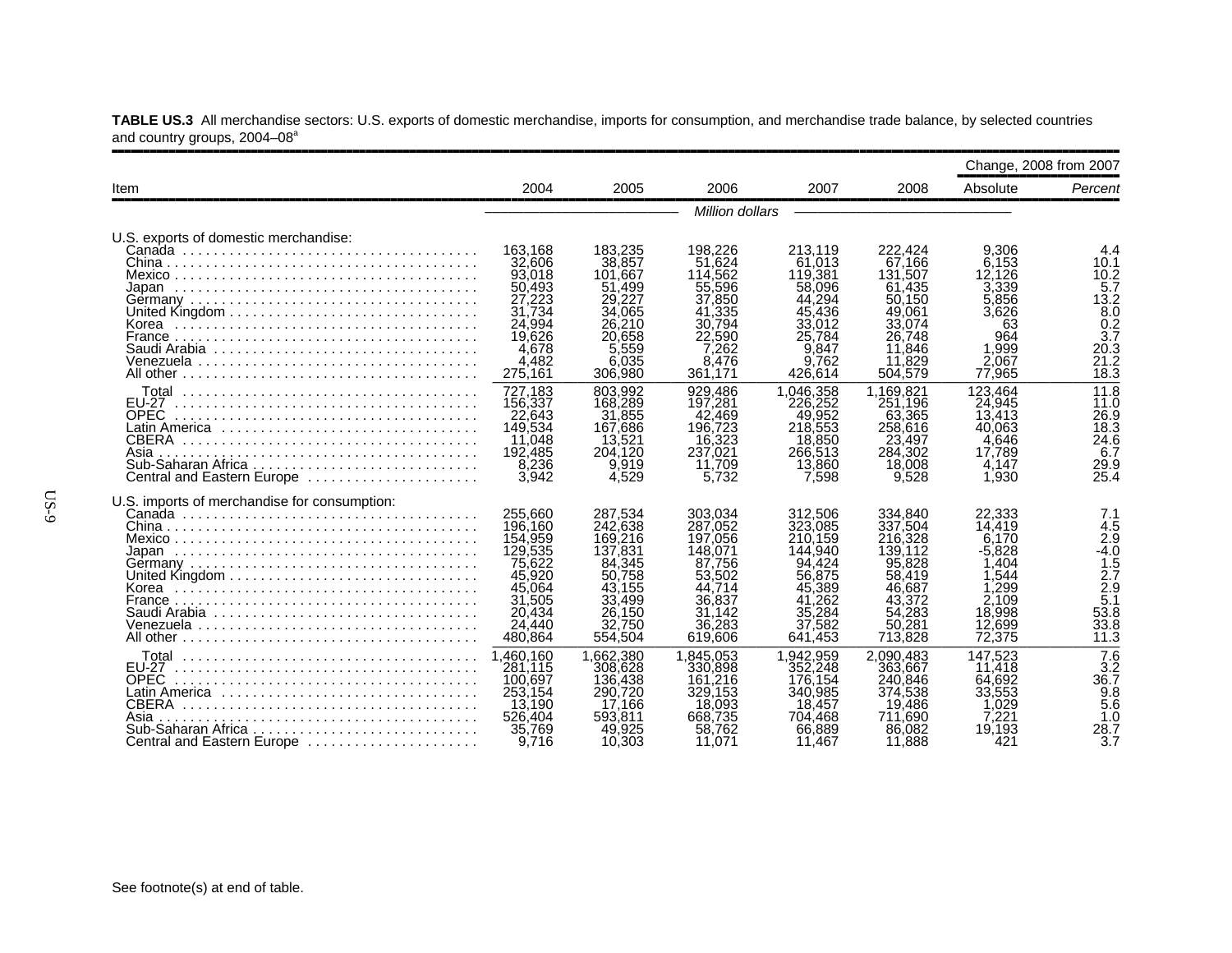|                                                                                                                                    |                                                                                                                 |                                                                                                                 |                                                                                                                 |                                                                                                                     |                                                                                                                 |                                                                                                   | Change, 2008 from 2007                                                                             |
|------------------------------------------------------------------------------------------------------------------------------------|-----------------------------------------------------------------------------------------------------------------|-----------------------------------------------------------------------------------------------------------------|-----------------------------------------------------------------------------------------------------------------|---------------------------------------------------------------------------------------------------------------------|-----------------------------------------------------------------------------------------------------------------|---------------------------------------------------------------------------------------------------|----------------------------------------------------------------------------------------------------|
| Item                                                                                                                               | 2004                                                                                                            | 2005                                                                                                            | 2006                                                                                                            | 2007                                                                                                                | 2008                                                                                                            | Absolute                                                                                          | Percent                                                                                            |
|                                                                                                                                    |                                                                                                                 |                                                                                                                 | <b>Million dollars</b>                                                                                          |                                                                                                                     |                                                                                                                 |                                                                                                   |                                                                                                    |
| U.S. exports of domestic merchandise:                                                                                              | 163.168<br>32,606<br>93,018<br>50,493                                                                           | 183.235<br>38,857<br>101,667<br>51.499                                                                          | 198.226<br>51.624<br>114,562<br>55,596                                                                          | 213.119<br>61.013<br>119,381<br>58,096<br>44.294                                                                    | 222.424<br>67.166<br>131,507<br>61,435                                                                          | 9.306<br>6.153<br>12.126<br>3,339                                                                 | 4.4<br>10.1<br>10.2<br>5.7                                                                         |
| France<br>Venezuela                                                                                                                | 27,223<br>31.734<br>24.994<br>19,626<br>4,678<br>4.482<br>275,161                                               | 29,227<br>34.065<br>26,210<br>20.658<br>5.559<br>6.035<br>306,980                                               | 37,850<br>41.335<br>30.794<br>22,590<br>7,262<br>8.476<br>361.171                                               | 45,436<br>33,012<br>25,784<br>9.847<br>9.762<br>426.614                                                             | 50,150<br>49,061<br>33.074<br>26.748<br>11,846<br>.829<br>11<br>504,579                                         | 5,856<br>3,626<br>63<br>964<br>1.999<br>2.067<br>77,965                                           | 13.2<br>$\frac{8.0}{0.2}$<br>3.7<br>20.3<br>21.2<br>$\overline{18.3}$                              |
| Total<br><b>EU-27</b><br><b>OPEC</b><br>Latin America ,,,,,,,,,,,,,,,,,,,,,,,,,,,,,<br>CBERA<br>Asia<br>Central and Eastern Europe | 727,183<br>156,337<br>22,643<br>149,534<br>11,048<br>192,485<br>8,236<br>3,942                                  | 803.992<br>168,289<br>31,855<br>167,686<br>13,521<br>204.120<br>9,919<br>4.529                                  | 929.486<br>197,281<br>42.469<br>196,723<br>16,323<br>237.021<br>11,709<br>5.732                                 | 1,046,358<br>226.252<br>49.952<br>218,553<br>18,850<br>266,513<br>13,860<br>7.598                                   | 1,169,821<br>251.196<br>63.365<br>258,616<br>23,497<br>284,302<br>18,008<br>9.528                               | 123.464<br>24,945<br>13.413<br>40.063<br>4.646<br>17.789<br>4.147<br>1,930                        | 11.8<br>11.0<br>26.9<br>18.3<br>24.6<br>6.7<br>29.9<br>25.4                                        |
| U.S. imports of merchandise for consumption:                                                                                       | 255.660<br>196,160<br>154,959<br>129,535<br>75,622<br>45,920<br>45.064<br>31,505<br>20.434<br>24,440<br>480,864 | 287.534<br>242.638<br>169,216<br>137,831<br>84,345<br>50.758<br>43,155<br>33,499<br>26.150<br>32.750<br>554.504 | 303.034<br>287,052<br>197,056<br>148,071<br>87.756<br>53.502<br>44.714<br>36,837<br>31,142<br>36,283<br>619,606 | 312.506<br>323,085<br>210.159<br>144.940<br>94.424<br>56,875<br>45,389<br>.262<br>41<br>35,284<br>37,582<br>641.453 | 334.840<br>337,504<br>216,328<br>139.112<br>95,828<br>58.419<br>46,687<br>43.372<br>54.283<br>50,281<br>713,828 | 22.333<br>14.419<br>6.170<br>-5.828<br>.404<br>544<br>.299<br>2.109<br>18.998<br>12,699<br>72.375 | 7.1<br>4.5<br>$\frac{2.9}{-4.0}$<br>$\frac{1.5}{2.7}$<br>$\frac{2.9}{5.1}$<br>53.8<br>33.8<br>11.3 |
| Total<br><b>EU-27</b><br><b>OPEC</b><br>CBERA<br>Asia<br>Sub-Saharan Africa<br>Central and Eastern Europe                          | 1.460.160<br>281.115<br>100,697<br>253.154<br>13,190<br>526,404<br>35.769<br>9.716                              | 1,662,380<br>308,628<br>136,438<br>290,720<br>17.166<br>593.811<br>49,925<br>10,303                             | 1.845.053<br>330,898<br>.216<br>161<br>329,153<br>18,093<br>668.735<br>58,762<br>11.071                         | 1.942.959<br>352,248<br>176.154<br>340,985<br>18,457<br>704.468<br>66,889<br>11.467                                 | 2.090.483<br>363,667<br>240,846<br>374,538<br>19,486<br>711.690<br>86,082<br>11,888                             | 147.523<br>11,418<br>64,692<br>33,553<br>.029<br>7.221<br>19.193<br>421                           | $\frac{7.6}{3.2}$<br>36.7<br>9.8<br>$5.\overline{6}$<br>1.0<br>28.7<br>3.7                         |

**TABLE US.3** All merchandise sectors: U.S. exports of domestic merchandise, imports for consumption, and merchandise trade balance, by selected countries and country groups, 2004–08ª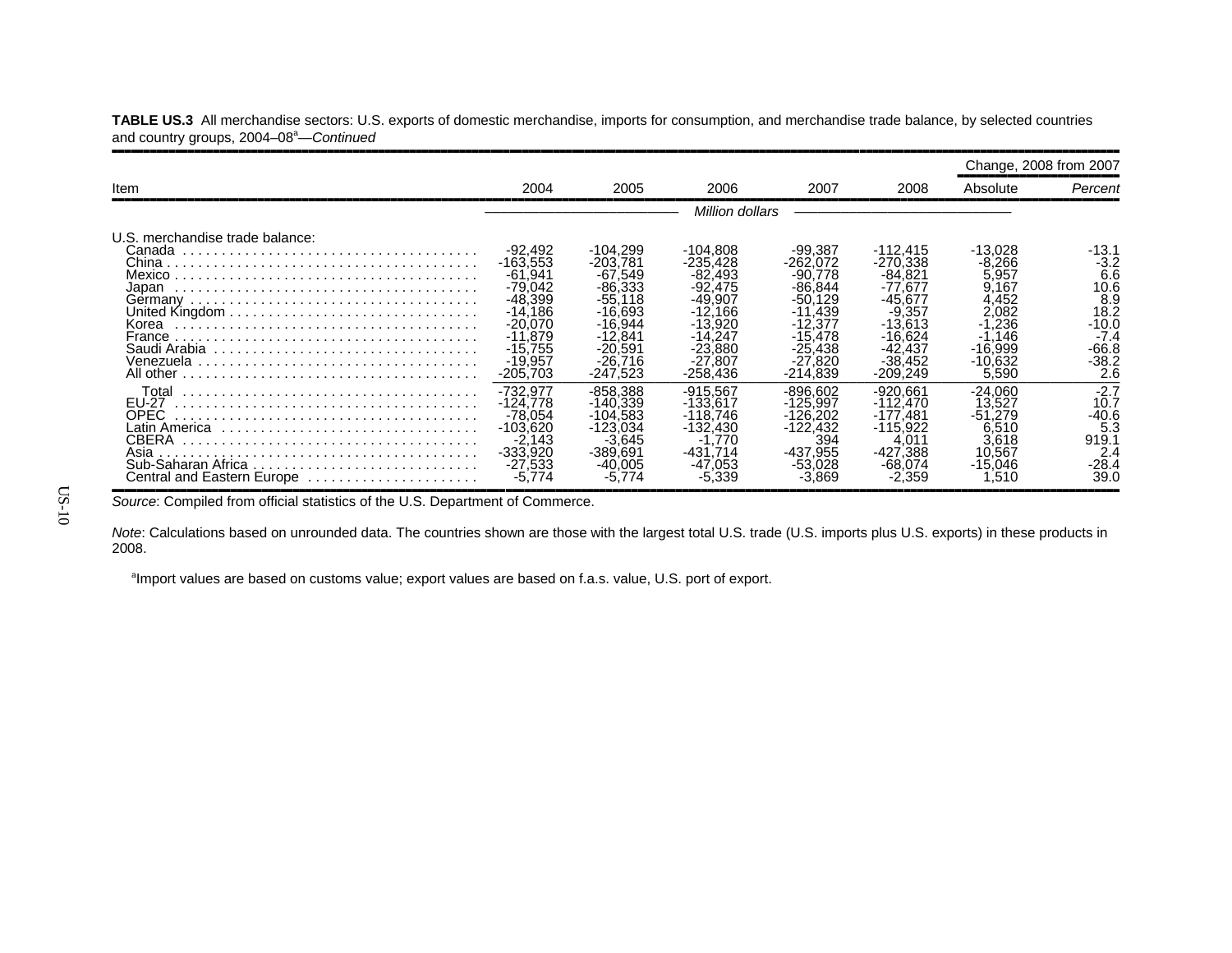|                                                                                      |                                                                                                                                               |                                                                                                                                              |                                                                                                                                                |                                                                                                                                           |                                                                                                                                             |                                                                                                                    | Change, 2008 from 2007                                                                          |
|--------------------------------------------------------------------------------------|-----------------------------------------------------------------------------------------------------------------------------------------------|----------------------------------------------------------------------------------------------------------------------------------------------|------------------------------------------------------------------------------------------------------------------------------------------------|-------------------------------------------------------------------------------------------------------------------------------------------|---------------------------------------------------------------------------------------------------------------------------------------------|--------------------------------------------------------------------------------------------------------------------|-------------------------------------------------------------------------------------------------|
| Item                                                                                 | 2004                                                                                                                                          | 2005                                                                                                                                         | 2006                                                                                                                                           | 2007                                                                                                                                      | 2008                                                                                                                                        | Absolute                                                                                                           | Percent                                                                                         |
|                                                                                      |                                                                                                                                               |                                                                                                                                              | <i>Million dollars</i>                                                                                                                         |                                                                                                                                           |                                                                                                                                             |                                                                                                                    |                                                                                                 |
| U.S. merchandise trade balance:<br>Canada<br>Japan<br>France                         | $-92,492$<br>$-163.553$<br>$-61,941$<br>$-79,042$<br>$-48.399$<br>$-14.186$<br>$-20.070$<br>$-11.879$<br>$-15,755$<br>$-19,957$<br>$-205.703$ | -104,299<br>$-203.781$<br>$-67,549$<br>$-86,333$<br>$-55.118$<br>$-16.693$<br>$-16.944$<br>$-12.841$<br>$-20.591$<br>$-26.716$<br>$-247.523$ | $-104,808$<br>$-235.428$<br>$-82.493$<br>$-92,475$<br>$-49.907$<br>$-12.166$<br>$-13.920$<br>$-14.247$<br>$-23,880$<br>$-27.807$<br>$-258.436$ | $-99,387$<br>-262.072<br>$-90.778$<br>$-86,844$<br>$-50.129$<br>$-11.439$<br>$-12.377$<br>$-15,478$<br>$-25,438$<br>$-27.820$<br>-214.839 | $-112,415$<br>$-270.338$<br>$-84.821$<br>$-77.677$<br>-45.677<br>$-9,357$<br>$-13.613$<br>$-16.624$<br>$-42.437$<br>$-38.452$<br>$-209.249$ | $-13,028$<br>-8.266<br>5,957<br>9,167<br>4.452<br>2.082<br>$-1.236$<br>$-1.146$<br>$-16.999$<br>$-10.632$<br>5,590 | -13.1<br>$-3.2$<br>6.6<br>10.6<br>8.9<br>18.2<br>$-10.0$<br>$-7.4$<br>$-66.8$<br>$-38.2$<br>2.6 |
| Total<br>EU-27<br><b>OPEC</b><br>Latin America<br>Asia<br>Central and Eastern Europe | $-732,977$<br>$-124.778$<br>$-78.054$<br>$-103.620$<br>$-2,143$<br>$-333.920$<br>$-27.533$<br>-5.774                                          | $-858.388$<br>$-140.339$<br>$-104.583$<br>$-123.034$<br>$-3.645$<br>$-389.691$<br>$-40.005$<br>-5.774                                        | $-915,567$<br>$-133.617$<br>$-118.746$<br>$-132.430$<br>$-1.770$<br>$-431.714$<br>$-47.053$<br>$-5.339$                                        | $-896.602$<br>$-125.997$<br>$-126.202$<br>$-122.432$<br>394<br>-437.955<br>$-53.028$<br>-3.869                                            | $-920.661$<br>$-112.470$<br>$-177.481$<br>$-115.922$<br>4,011<br>$-427.388$<br>$-68.074$<br>-2.359                                          | $-24.060$<br>13.527<br>$-51.279$<br>6.510<br>3,618<br>10.567<br>$-15.046$<br>.510                                  | $-2.7$<br>10.7<br>$-40.6$<br>5.3<br>919.1<br>2.4<br>$-28.4$<br>39.0                             |

**TABLE US.3** All merchandise sectors: U.S. exports of domestic merchandise, imports for consumption, and merchandise trade balance, by selected countries and country groups, 2004-08<sup>a</sup>-Continued

Source: Compiled from official statistics of the U.S. Department of Commerce.

*Note*: Calculations based on unrounded data. The countries shown are those with the largest total U.S. trade (U.S. imports plus U.S. exports) in these products in 2008.

<sup>a</sup>Import values are based on customs value; export values are based on f.a.s. value, U.S. port of export.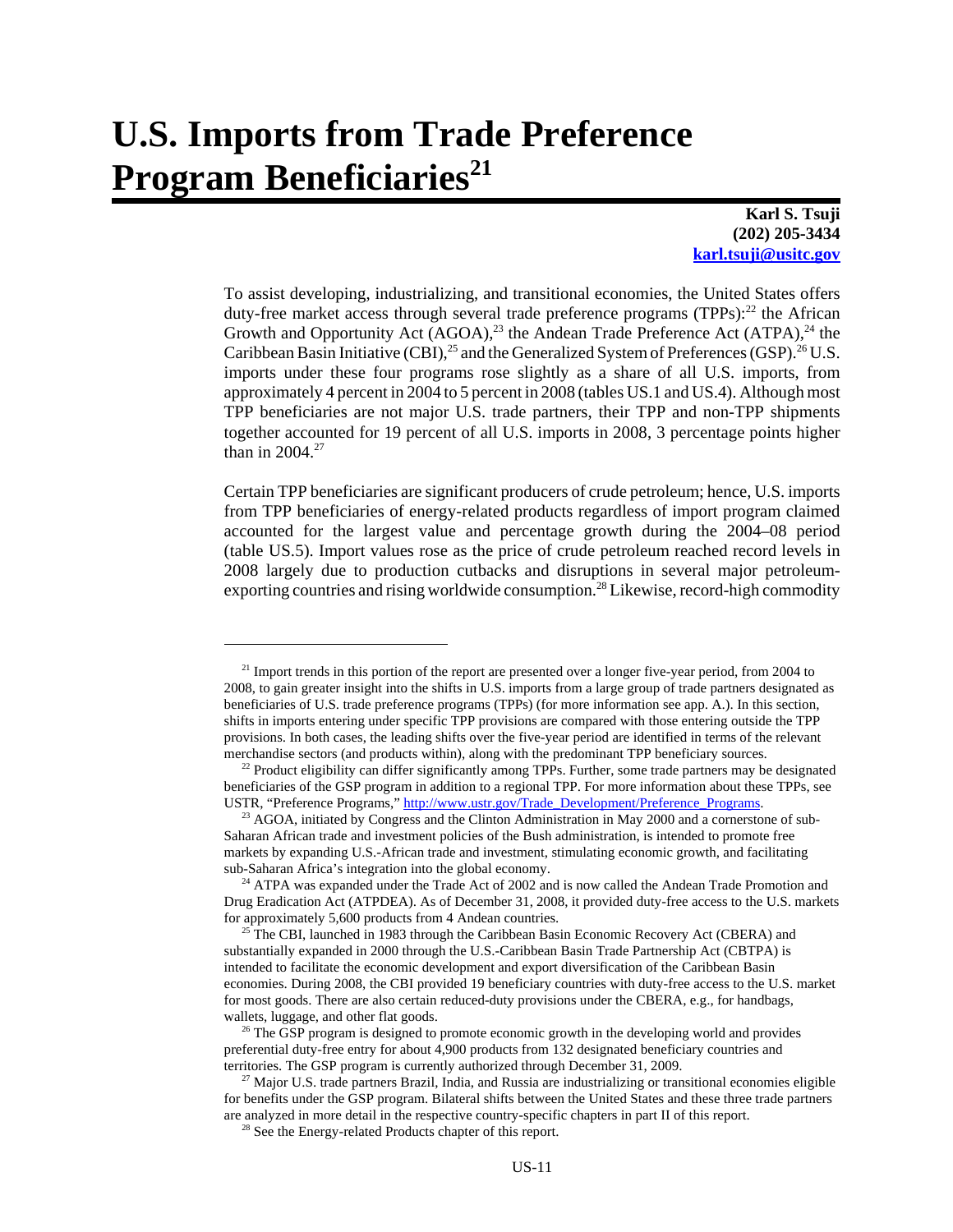# **U.S. Imports from Trade Preference Program Beneficiaries**<sup>21</sup>

**Karl S. Tsuji (202) 205-3434 karl.tsuji@usitc.gov**

To assist developing, industrializing, and transitional economies, the United States offers duty-free market access through several trade preference programs (TPPs):<sup>22</sup> the African Growth and Opportunity Act  $(AGOA)$ ,<sup>23</sup> the Andean Trade Preference Act  $(ATPA)$ ,<sup>24</sup> the Caribbean Basin Initiative (CBI),<sup>25</sup> and the Generalized System of Preferences (GSP).<sup>26</sup> U.S. imports under these four programs rose slightly as a share of all U.S. imports, from approximately 4 percent in 2004 to 5 percent in 2008 (tables US.1 and US.4). Although most TPP beneficiaries are not major U.S. trade partners, their TPP and non-TPP shipments together accounted for 19 percent of all U.S. imports in 2008, 3 percentage points higher than in  $2004.<sup>27</sup>$ 

Certain TPP beneficiaries are significant producers of crude petroleum; hence, U.S. imports from TPP beneficiaries of energy-related products regardless of import program claimed accounted for the largest value and percentage growth during the 2004–08 period (table US.5). Import values rose as the price of crude petroleum reached record levels in 2008 largely due to production cutbacks and disruptions in several major petroleumexporting countries and rising worldwide consumption.<sup>28</sup> Likewise, record-high commodity

 $21$  Import trends in this portion of the report are presented over a longer five-year period, from 2004 to 2008, to gain greater insight into the shifts in U.S. imports from a large group of trade partners designated as beneficiaries of U.S. trade preference programs (TPPs) (for more information see app. A.). In this section, shifts in imports entering under specific TPP provisions are compared with those entering outside the TPP provisions. In both cases, the leading shifts over the five-year period are identified in terms of the relevant merchandise sectors (and products within), along with the predominant TPP beneficiary sources.

<sup>&</sup>lt;sup>22</sup> Product eligibility can differ significantly among TPPs. Further, some trade partners may be designated beneficiaries of the GSP program in addition to a regional TPP. For more information about these TPPs, see USTR, "Preference Programs," http://www.ustr.gov/Trade\_Development/Preference\_Programs.

 $23$  AGOA, initiated by Congress and the Clinton Administration in May 2000 and a cornerstone of sub-Saharan African trade and investment policies of the Bush administration, is intended to promote free markets by expanding U.S.-African trade and investment, stimulating economic growth, and facilitating sub-Saharan Africa's integration into the global economy.

 $24$  ATPA was expanded under the Trade Act of 2002 and is now called the Andean Trade Promotion and Drug Eradication Act (ATPDEA). As of December 31, 2008, it provided duty-free access to the U.S. markets for approximately 5,600 products from 4 Andean countries.

<sup>&</sup>lt;sup>25</sup> The CBI, launched in 1983 through the Caribbean Basin Economic Recovery Act (CBERA) and substantially expanded in 2000 through the U.S.-Caribbean Basin Trade Partnership Act (CBTPA) is intended to facilitate the economic development and export diversification of the Caribbean Basin economies. During 2008, the CBI provided 19 beneficiary countries with duty-free access to the U.S. market for most goods. There are also certain reduced-duty provisions under the CBERA, e.g., for handbags, wallets, luggage, and other flat goods.

 $26$  The GSP program is designed to promote economic growth in the developing world and provides preferential duty-free entry for about 4,900 products from 132 designated beneficiary countries and territories. The GSP program is currently authorized through December 31, 2009.

 $27$  Major U.S. trade partners Brazil, India, and Russia are industrializing or transitional economies eligible for benefits under the GSP program. Bilateral shifts between the United States and these three trade partners are analyzed in more detail in the respective country-specific chapters in part II of this report.

<sup>&</sup>lt;sup>28</sup> See the Energy-related Products chapter of this report.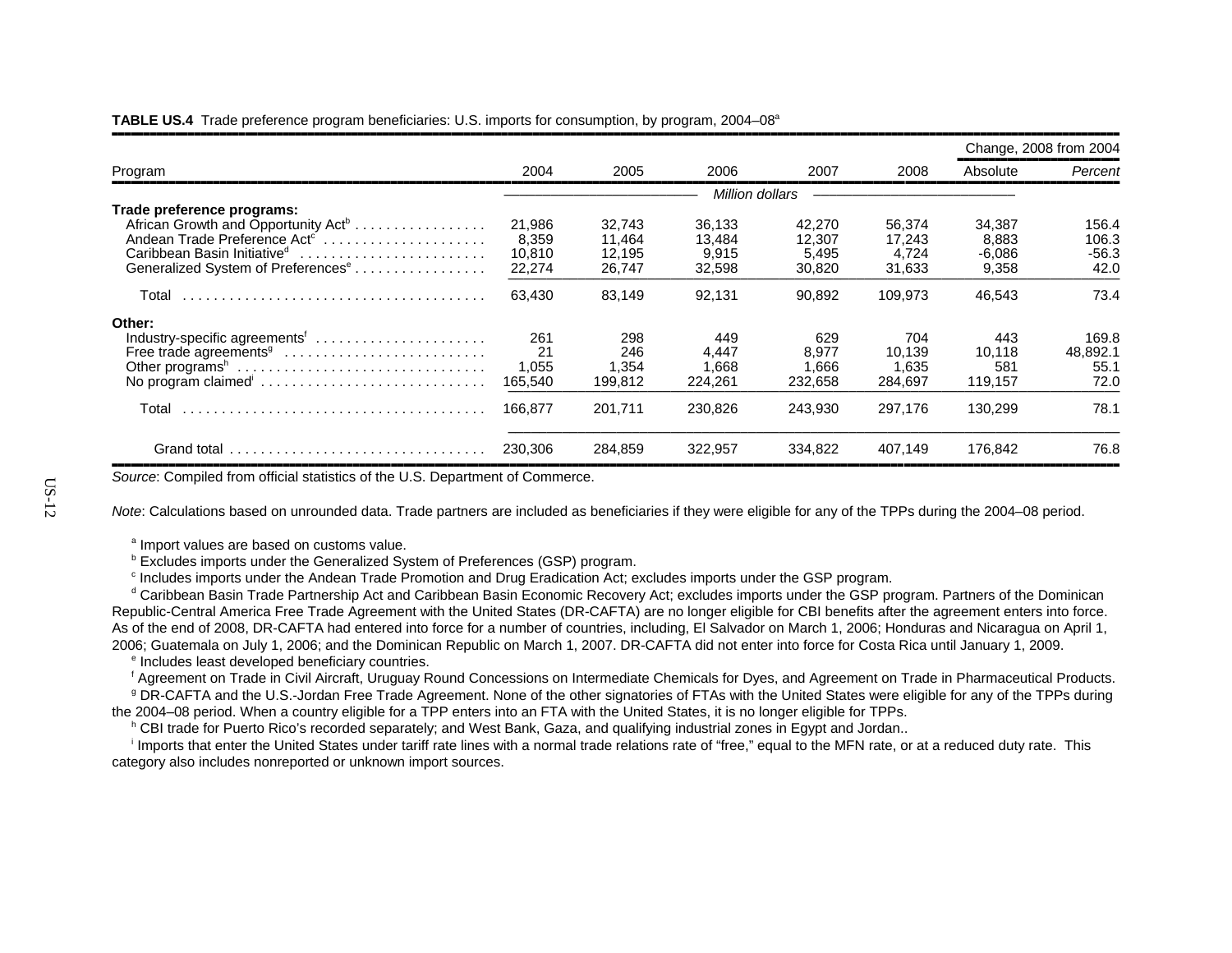#### **TABLE US.4** Trade preference program beneficiaries: U.S. imports for consumption, by program, 2004–08<sup>a</sup>

|                                                                                                                                                                                                                        |                                     |                                      |                                     |                                     |                                     |                                      | Change, 2008 from 2004            |
|------------------------------------------------------------------------------------------------------------------------------------------------------------------------------------------------------------------------|-------------------------------------|--------------------------------------|-------------------------------------|-------------------------------------|-------------------------------------|--------------------------------------|-----------------------------------|
| Program                                                                                                                                                                                                                | 2004                                | 2005                                 | 2006                                | 2007                                | 2008                                | Absolute                             | Percent                           |
|                                                                                                                                                                                                                        |                                     |                                      | Million dollars                     |                                     |                                     |                                      |                                   |
| Trade preference programs:<br>African Growth and Opportunity Act <sup>b</sup><br>Andean Trade Preference Act <sup>c</sup><br>Caribbean Basin Initiative <sup>d</sup><br>Generalized System of Preferences <sup>e</sup> | 21,986<br>8,359<br>10.810<br>22,274 | 32,743<br>11,464<br>12.195<br>26,747 | 36.133<br>13,484<br>9.915<br>32,598 | 42,270<br>12,307<br>5,495<br>30,820 | 56.374<br>17,243<br>4.724<br>31,633 | 34,387<br>8,883<br>$-6,086$<br>9,358 | 156.4<br>106.3<br>$-56.3$<br>42.0 |
| Total                                                                                                                                                                                                                  | 63.430                              | 83,149                               | 92,131                              | 90,892                              | 109,973                             | 46,543                               | 73.4                              |
| Other:<br>Industry-specific agreements <sup>f</sup><br>Free trade agreements <sup>9</sup><br>No program claimed'                                                                                                       | 261<br>21<br>1,055<br>165,540       | 298<br>246<br>1,354<br>199,812       | 449<br>4.447<br>1.668<br>224,261    | 629<br>8.977<br>1.666<br>232,658    | 704<br>10.139<br>1.635<br>284,697   | 443<br>10,118<br>581<br>119,157      | 169.8<br>48,892.1<br>55.1<br>72.0 |
| Total                                                                                                                                                                                                                  | 166.877                             | 201.711                              | 230,826                             | 243.930                             | 297.176                             | 130.299                              | 78.1                              |
| Grand total $\ldots \ldots \ldots \ldots \ldots \ldots \ldots \ldots \ldots$                                                                                                                                           | 230,306                             | 284,859                              | 322,957                             | 334,822                             | 407,149                             | 176,842                              | 76.8                              |

*Source*: Compiled from official statistics of the U.S. Department of Commerce.

*Note*: Calculations based on unrounded data. Trade partners are included as beneficiaries if they were eligible for any of the TPPs during the 2004–08 period.

<sup>a</sup> Import values are based on customs value.

**b Excludes imports under the Generalized System of Preferences (GSP) program.** 

c Includes imports under the Andean Trade Promotion and Drug Eradication Act; excludes imports under the GSP program.

<sup>d</sup> Caribbean Basin Trade Partnership Act and Caribbean Basin Economic Recovery Act; excludes imports under the GSP program. Partners of the Dominican Republic-Central America Free Trade Agreement with the United States (DR-CAFTA) are no longer eligible for CBI benefits after the agreement enters into force. As of the end of 2008, DR-CAFTA had entered into force for a number of countries, including, El Salvador on March 1, 2006; Honduras and Nicaragua on April 1, 2006; Guatemala on July 1, 2006; and the Dominican Republic on March 1, 2007. DR-CAFTA did not enter into force for Costa Rica until January 1, 2009.

<sup>e</sup> Includes least developed beneficiary countries.

f Agreement on Trade in Civil Aircraft, Uruguay Round Concessions on Intermediate Chemicals for Dyes, and Agreement on Trade in Pharmaceutical Products. <sup>9</sup> DR-CAFTA and the U.S.-Jordan Free Trade Agreement. None of the other signatories of FTAs with the United States were eligible for any of the TPPs during the 2004–08 period. When a country eligible for a TPP enters into an FTA with the United States, it is no longer eligible for TPPs.

h CBI trade for Puerto Rico's recorded separately; and West Bank, Gaza, and qualifying industrial zones in Egypt and Jordan..

<sup>i</sup> Imports that enter the United States under tariff rate lines with a normal trade relations rate of "free." equal to the MFN rate, or at a reduced duty rate. This category also includes nonreported or unknown import sources.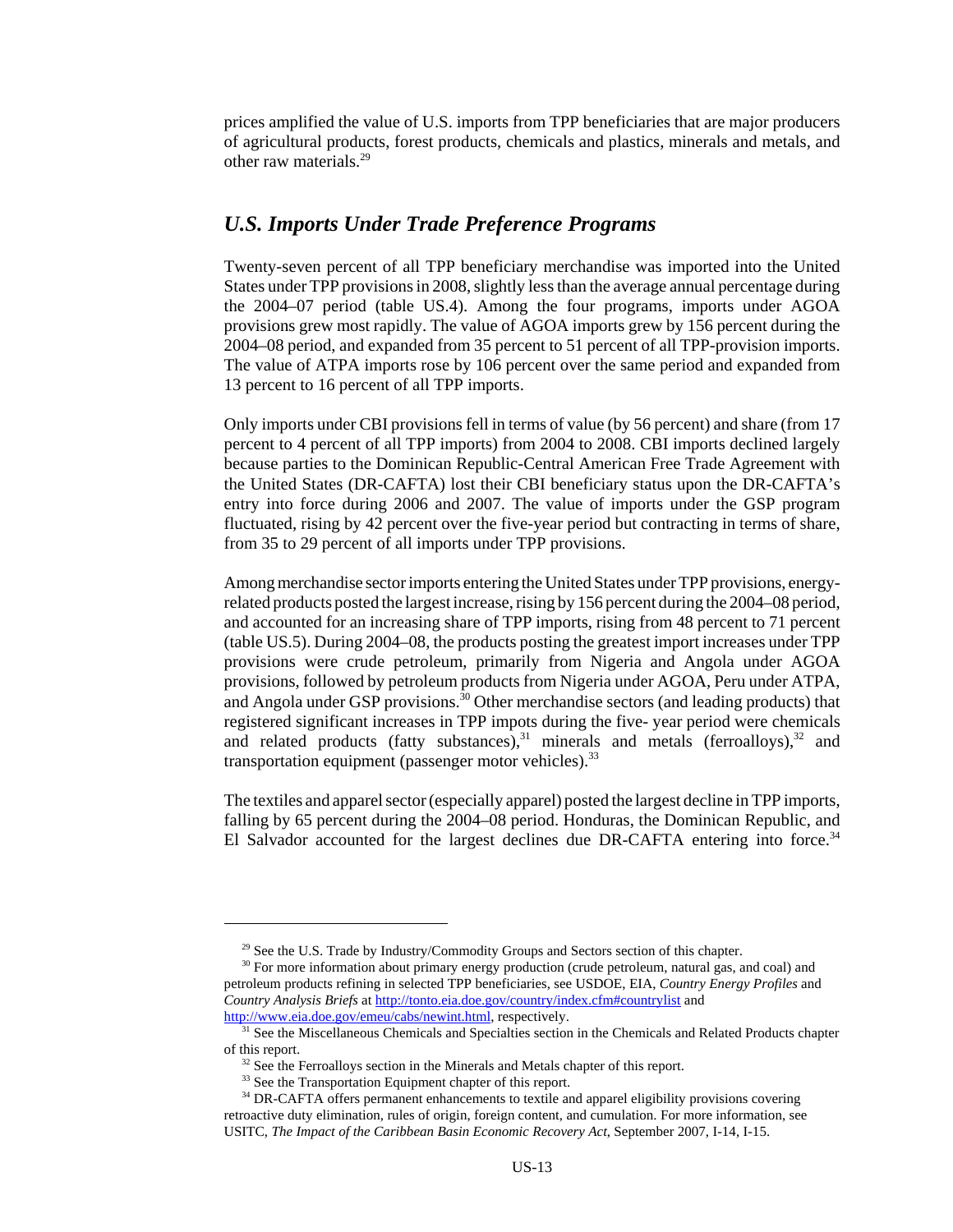prices amplified the value of U.S. imports from TPP beneficiaries that are major producers of agricultural products, forest products, chemicals and plastics, minerals and metals, and other raw materials.29

### *U.S. Imports Under Trade Preference Programs*

Twenty-seven percent of all TPP beneficiary merchandise was imported into the United States under TPP provisions in 2008, slightly less than the average annual percentage during the 2004–07 period (table US.4). Among the four programs, imports under AGOA provisions grew most rapidly. The value of AGOA imports grew by 156 percent during the 2004–08 period, and expanded from 35 percent to 51 percent of all TPP-provision imports. The value of ATPA imports rose by 106 percent over the same period and expanded from 13 percent to 16 percent of all TPP imports.

Only imports under CBI provisions fell in terms of value (by 56 percent) and share (from 17 percent to 4 percent of all TPP imports) from 2004 to 2008. CBI imports declined largely because parties to the Dominican Republic-Central American Free Trade Agreement with the United States (DR-CAFTA) lost their CBI beneficiary status upon the DR-CAFTA's entry into force during 2006 and 2007. The value of imports under the GSP program fluctuated, rising by 42 percent over the five-year period but contracting in terms of share, from 35 to 29 percent of all imports under TPP provisions.

Among merchandise sector imports entering the United States under TPP provisions, energyrelated products posted the largest increase, rising by 156 percent during the 2004–08 period, and accounted for an increasing share of TPP imports, rising from 48 percent to 71 percent (table US.5). During 2004–08, the products posting the greatest import increases under TPP provisions were crude petroleum, primarily from Nigeria and Angola under AGOA provisions, followed by petroleum products from Nigeria under AGOA, Peru under ATPA, and Angola under GSP provisions.<sup>30</sup> Other merchandise sectors (and leading products) that registered significant increases in TPP impots during the five- year period were chemicals and related products (fatty substances), $31$  minerals and metals (ferroalloys), $32$  and transportation equipment (passenger motor vehicles).<sup>33</sup>

The textiles and apparel sector (especially apparel) posted the largest decline in TPP imports, falling by 65 percent during the 2004–08 period. Honduras, the Dominican Republic, and El Salvador accounted for the largest declines due DR-CAFTA entering into force.<sup>34</sup>

<sup>&</sup>lt;sup>29</sup> See the U.S. Trade by Industry/Commodity Groups and Sectors section of this chapter.

<sup>&</sup>lt;sup>30</sup> For more information about primary energy production (crude petroleum, natural gas, and coal) and petroleum products refining in selected TPP beneficiaries, see USDOE, EIA, *Country Energy Profiles* and *Country Analysis Briefs* at http://tonto.eia.doe.gov/country/index.cfm#countrylist and http://www.eia.doe.gov/emeu/cabs/newint.html, respectively.

<sup>&</sup>lt;sup>31</sup> See the Miscellaneous Chemicals and Specialties section in the Chemicals and Related Products chapter of this report.

 $32$  See the Ferroalloys section in the Minerals and Metals chapter of this report.

<sup>&</sup>lt;sup>33</sup> See the Transportation Equipment chapter of this report.

<sup>&</sup>lt;sup>34</sup> DR-CAFTA offers permanent enhancements to textile and apparel eligibility provisions covering retroactive duty elimination, rules of origin, foreign content, and cumulation. For more information, see USITC, *The Impact of the Caribbean Basin Economic Recovery Act*, September 2007, I-14, I-15.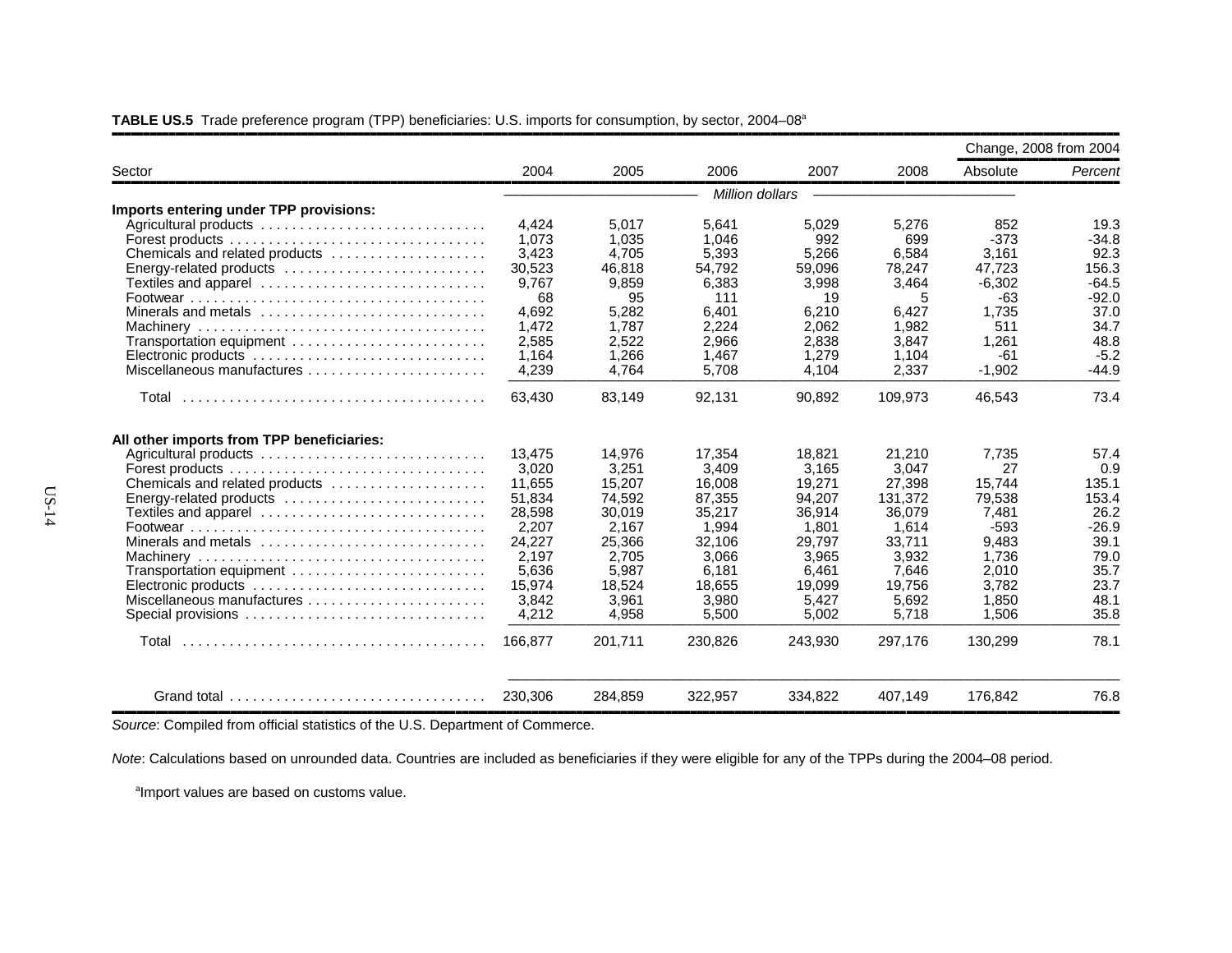|  |  |  |  | <b>TABLE US.5</b> Trade preference program (TPP) beneficiaries: U.S. imports for consumption, by sector, 2004–08 <sup>a</sup> |
|--|--|--|--|-------------------------------------------------------------------------------------------------------------------------------|
|--|--|--|--|-------------------------------------------------------------------------------------------------------------------------------|

|                                                                                      |         |         |                 |         |         | Change, 2008 from 2004 |         |
|--------------------------------------------------------------------------------------|---------|---------|-----------------|---------|---------|------------------------|---------|
| Sector                                                                               | 2004    | 2005    | 2006            | 2007    | 2008    | Absolute               | Percent |
|                                                                                      |         |         | Million dollars |         |         |                        |         |
| Imports entering under TPP provisions:                                               |         |         |                 |         |         |                        |         |
|                                                                                      | 4.424   | 5.017   | 5.641           | 5,029   | 5,276   | 852                    | 19.3    |
| Forest products $\dots\dots\dots\dots\dots\dots\dots\dots\dots\dots\dots\dots\dots$  | 1,073   | 1,035   | 1,046           | 992     | 699     | $-373$                 | $-34.8$ |
| Chemicals and related products                                                       | 3,423   | 4,705   | 5,393           | 5,266   | 6,584   | 3,161                  | 92.3    |
| Energy-related products                                                              | 30,523  | 46.818  | 54,792          | 59,096  | 78,247  | 47.723                 | 156.3   |
| Textiles and apparel                                                                 | 9,767   | 9,859   | 6,383           | 3,998   | 3,464   | $-6,302$               | $-64.5$ |
|                                                                                      | 68      | 95      | 111             | 19      | 5       | -63                    | $-92.0$ |
| Minerals and metals                                                                  | 4,692   | 5,282   | 6,401           | 6,210   | 6,427   | 1,735                  | 37.0    |
|                                                                                      | 1,472   | 1.787   | 2.224           | 2.062   | 1.982   | 511                    | 34.7    |
| Transportation equipment                                                             | 2,585   | 2,522   | 2,966           | 2,838   | 3,847   | 1,261                  | 48.8    |
|                                                                                      | 1,164   | 1,266   | 1,467           | 1,279   | 1,104   | -61                    | $-5.2$  |
| Miscellaneous manufactures                                                           | 4,239   | 4.764   | 5.708           | 4.104   | 2,337   | $-1,902$               | $-44.9$ |
|                                                                                      | 63,430  | 83,149  | 92,131          | 90,892  | 109,973 | 46,543                 | 73.4    |
| All other imports from TPP beneficiaries:                                            |         |         |                 |         |         |                        |         |
| Agricultural products                                                                | 13,475  | 14.976  | 17.354          | 18,821  | 21,210  | 7,735                  | 57.4    |
|                                                                                      | 3,020   | 3,251   | 3,409           | 3.165   | 3.047   | 27                     | 0.9     |
| Chemicals and related products                                                       | 11,655  | 15,207  | 16,008          | 19,271  | 27,398  | 15,744                 | 135.1   |
| Energy-related products                                                              | 51,834  | 74.592  | 87,355          | 94.207  | 131.372 | 79,538                 | 153.4   |
| Textiles and apparel                                                                 | 28,598  | 30,019  | 35,217          | 36,914  | 36,079  | 7,481                  | 26.2    |
|                                                                                      | 2,207   | 2,167   | 1,994           | 1,801   | 1,614   | -593                   | $-26.9$ |
| Minerals and metals $\ldots, \ldots, \ldots, \ldots, \ldots, \ldots, \ldots, \ldots$ | 24,227  | 25,366  | 32.106          | 29.797  | 33.711  | 9.483                  | 39.1    |
|                                                                                      | 2,197   | 2,705   | 3,066           | 3,965   | 3,932   | 1.736                  | 79.0    |
| Transportation equipment                                                             | 5,636   | 5,987   | 6,181           | 6,461   | 7,646   | 2,010                  | 35.7    |
| Electronic products                                                                  | 15,974  | 18,524  | 18,655          | 19,099  | 19,756  | 3,782                  | 23.7    |
| Miscellaneous manufactures                                                           | 3,842   | 3.961   | 3.980           | 5.427   | 5.692   | 1.850                  | 48.1    |
| Special provisions                                                                   | 4,212   | 4,958   | 5,500           | 5,002   | 5,718   | 1,506                  | 35.8    |
| Total                                                                                | 166.877 | 201,711 | 230,826         | 243,930 | 297,176 | 130,299                | 78.1    |
| Grand total $\ldots \ldots \ldots \ldots \ldots \ldots \ldots \ldots \ldots$         | 230,306 | 284,859 | 322,957         | 334,822 | 407,149 | 176,842                | 76.8    |

,,,,,,,,,,,,,,,,,,,,,,,,,,,,,,,,,,,,,,,,,,,,,,,,,,,,,,,,,,,,,,,,,,,,,,,,,,,,,,,,,,,,,,,,,,,,,,,,,,,,,,,,,,,,,,,,,,,,,,,,,,,,,,,,,,,,,,,,,,,,,,,,,,,,,,,,,,,,,,,,

,,,,,,,,,,,,,,,,,,,,,,,,,,,,,,,,,,,,,,,,,,,,,,,,,,,,,,,,,,,,,,,,,,,,,,,,,,,,,,,,,,,,,,,,,,,,,,,,,,,,,,,,,,,,,,,,,,,,,,,,,,,,,,,,,,,,,,,,,,,,,,,,,,,,,,,,,,,,,,,,*Source*: Compiled from official statistics of the U.S. Department of Commerce.

*Note*: Calculations based on unrounded data. Countries are included as beneficiaries if they were eligible for any of the TPPs during the 2004–08 period.

<sup>a</sup>Import values are based on customs value.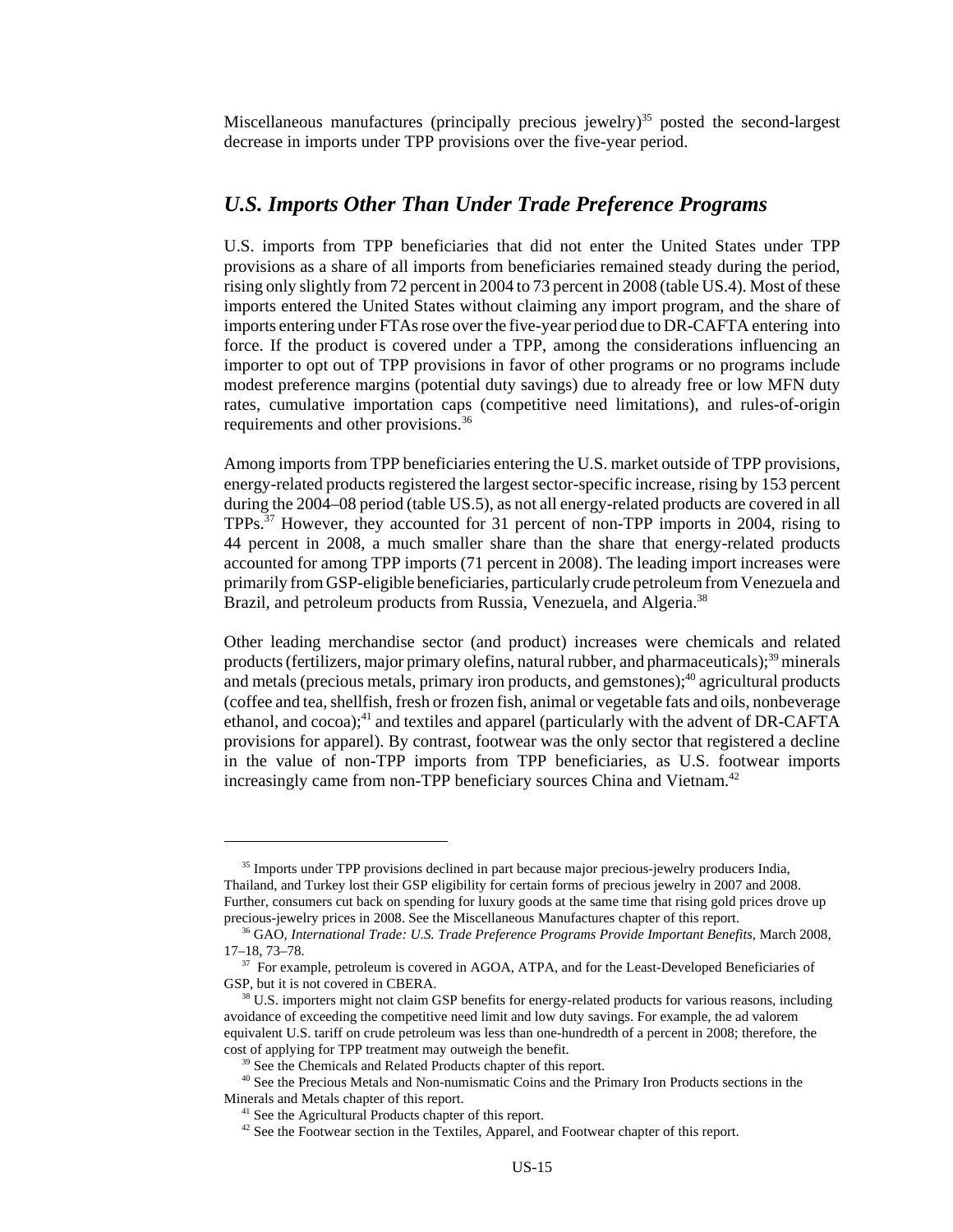Miscellaneous manufactures (principally precious jewelry)<sup>35</sup> posted the second-largest decrease in imports under TPP provisions over the five-year period.

#### *U.S. Imports Other Than Under Trade Preference Programs*

U.S. imports from TPP beneficiaries that did not enter the United States under TPP provisions as a share of all imports from beneficiaries remained steady during the period, rising only slightly from 72 percent in 2004 to 73 percent in 2008 (table US.4). Most of these imports entered the United States without claiming any import program, and the share of imports entering under FTAs rose over the five-year period due to DR-CAFTA entering into force. If the product is covered under a TPP, among the considerations influencing an importer to opt out of TPP provisions in favor of other programs or no programs include modest preference margins (potential duty savings) due to already free or low MFN duty rates, cumulative importation caps (competitive need limitations), and rules-of-origin requirements and other provisions.36

Among imports from TPP beneficiaries entering the U.S. market outside of TPP provisions, energy-related products registered the largest sector-specific increase, rising by 153 percent during the 2004–08 period (table US.5), as not all energy-related products are covered in all TPPs.37 However, they accounted for 31 percent of non-TPP imports in 2004, rising to 44 percent in 2008, a much smaller share than the share that energy-related products accounted for among TPP imports (71 percent in 2008). The leading import increases were primarily from GSP-eligible beneficiaries, particularly crude petroleum from Venezuela and Brazil, and petroleum products from Russia, Venezuela, and Algeria.<sup>38</sup>

Other leading merchandise sector (and product) increases were chemicals and related products (fertilizers, major primary olefins, natural rubber, and pharmaceuticals); $39$  minerals and metals (precious metals, primary iron products, and gemstones); $40$  agricultural products (coffee and tea, shellfish, fresh or frozen fish, animal or vegetable fats and oils, nonbeverage ethanol, and cocoa);<sup>41</sup> and textiles and apparel (particularly with the advent of DR-CAFTA provisions for apparel). By contrast, footwear was the only sector that registered a decline in the value of non-TPP imports from TPP beneficiaries, as U.S. footwear imports increasingly came from non-TPP beneficiary sources China and Vietnam.<sup>42</sup>

<sup>&</sup>lt;sup>35</sup> Imports under TPP provisions declined in part because major precious-jewelry producers India, Thailand, and Turkey lost their GSP eligibility for certain forms of precious jewelry in 2007 and 2008. Further, consumers cut back on spending for luxury goods at the same time that rising gold prices drove up precious-jewelry prices in 2008. See the Miscellaneous Manufactures chapter of this report.

 <sup>36</sup> GAO, *International Trade: U.S. Trade Preference Programs Provide Important Benefits*, March 2008, 17–18, 73–78.

<sup>&</sup>lt;sup>37</sup> For example, petroleum is covered in AGOA, ATPA, and for the Least-Developed Beneficiaries of GSP, but it is not covered in CBERA.

 <sup>38</sup> U.S. importers might not claim GSP benefits for energy-related products for various reasons, including avoidance of exceeding the competitive need limit and low duty savings. For example, the ad valorem equivalent U.S. tariff on crude petroleum was less than one-hundredth of a percent in 2008; therefore, the cost of applying for TPP treatment may outweigh the benefit.

<sup>&</sup>lt;sup>39</sup> See the Chemicals and Related Products chapter of this report.

 <sup>40</sup> See the Precious Metals and Non-numismatic Coins and the Primary Iron Products sections in the Minerals and Metals chapter of this report.

<sup>&</sup>lt;sup>41</sup> See the Agricultural Products chapter of this report.

<sup>&</sup>lt;sup>42</sup> See the Footwear section in the Textiles, Apparel, and Footwear chapter of this report.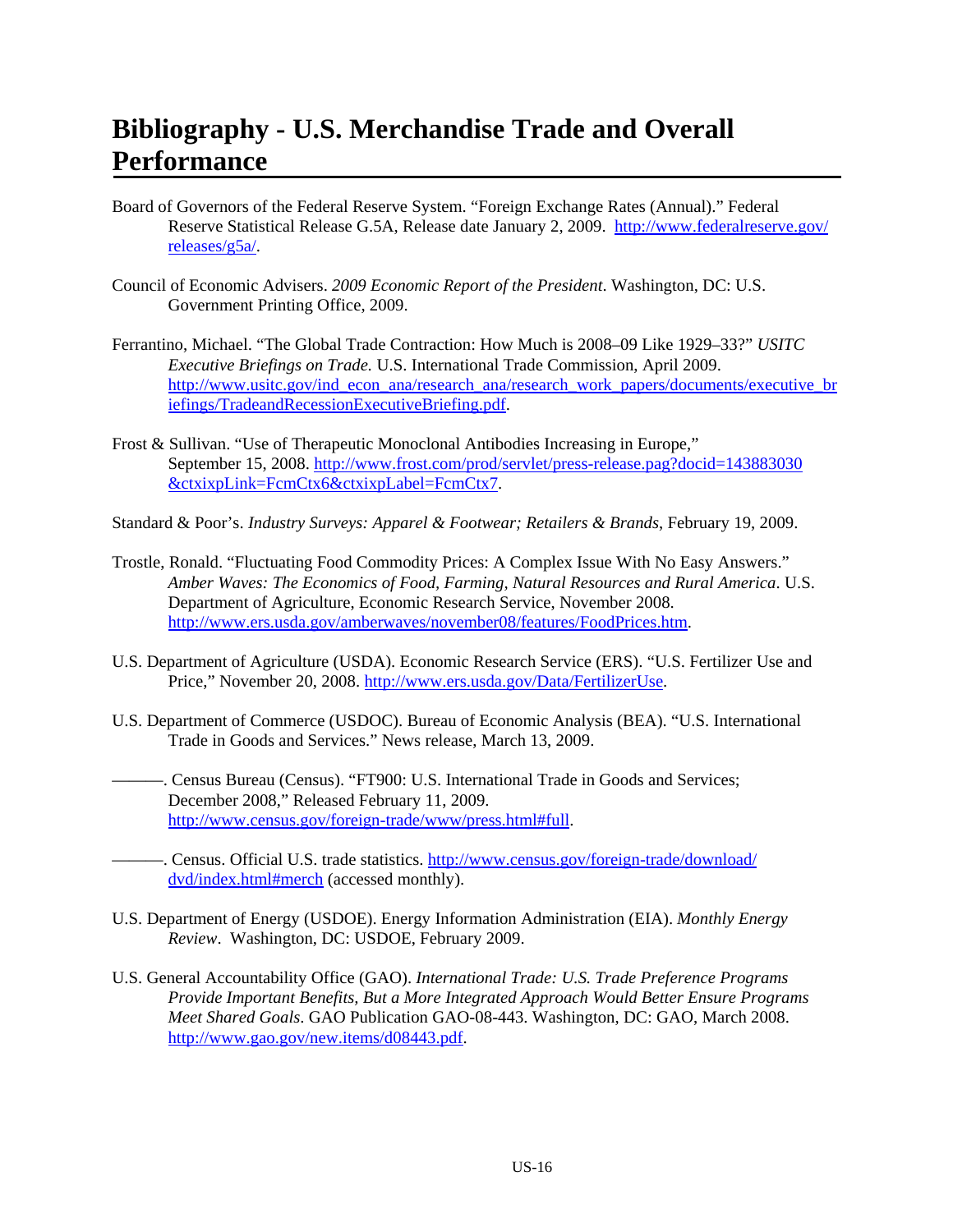## **Bibliography - U.S. Merchandise Trade and Overall Performance**

- Board of Governors of the Federal Reserve System. "Foreign Exchange Rates (Annual)." Federal Reserve Statistical Release G.5A, Release date January 2, 2009. http://www.federalreserve.gov/ releases/g5a/.
- Council of Economic Advisers. *2009 Economic Report of the President*. Washington, DC: U.S. Government Printing Office, 2009.
- Ferrantino, Michael. "The Global Trade Contraction: How Much is 2008–09 Like 1929–33?" *USITC Executive Briefings on Trade.* U.S. International Trade Commission, April 2009. http://www.usitc.gov/ind\_econ\_ana/research\_ana/research\_work\_papers/documents/executive\_br iefings/TradeandRecessionExecutiveBriefing.pdf.
- Frost & Sullivan. "Use of Therapeutic Monoclonal Antibodies Increasing in Europe," September 15, 2008. http://www.frost.com/prod/servlet/press-release.pag?docid=143883030 &ctxixpLink=FcmCtx6&ctxixpLabel=FcmCtx7.
- Standard & Poor's. *Industry Surveys: Apparel & Footwear; Retailers & Brands*, February 19, 2009.
- Trostle, Ronald. "Fluctuating Food Commodity Prices: A Complex Issue With No Easy Answers." *Amber Waves: The Economics of Food, Farming, Natural Resources and Rural America*. U.S. Department of Agriculture, Economic Research Service, November 2008. http://www.ers.usda.gov/amberwaves/november08/features/FoodPrices.htm.
- U.S. Department of Agriculture (USDA). Economic Research Service (ERS). "U.S. Fertilizer Use and Price," November 20, 2008. http://www.ers.usda.gov/Data/FertilizerUse.
- U.S. Department of Commerce (USDOC). Bureau of Economic Analysis (BEA). "U.S. International Trade in Goods and Services." News release, March 13, 2009.
	- ———. Census Bureau (Census). "FT900: U.S. International Trade in Goods and Services; December 2008," Released February 11, 2009. http://www.census.gov/foreign-trade/www/press.html#full.
- ———. Census. Official U.S. trade statistics. http://www.census.gov/foreign-trade/download/ dvd/index.html#merch (accessed monthly).
- U.S. Department of Energy (USDOE). Energy Information Administration (EIA). *Monthly Energy Review*. Washington, DC: USDOE, February 2009.
- U.S. General Accountability Office (GAO). *International Trade: U.S. Trade Preference Programs Provide Important Benefits, But a More Integrated Approach Would Better Ensure Programs Meet Shared Goals*. GAO Publication GAO-08-443. Washington, DC: GAO, March 2008. http://www.gao.gov/new.items/d08443.pdf.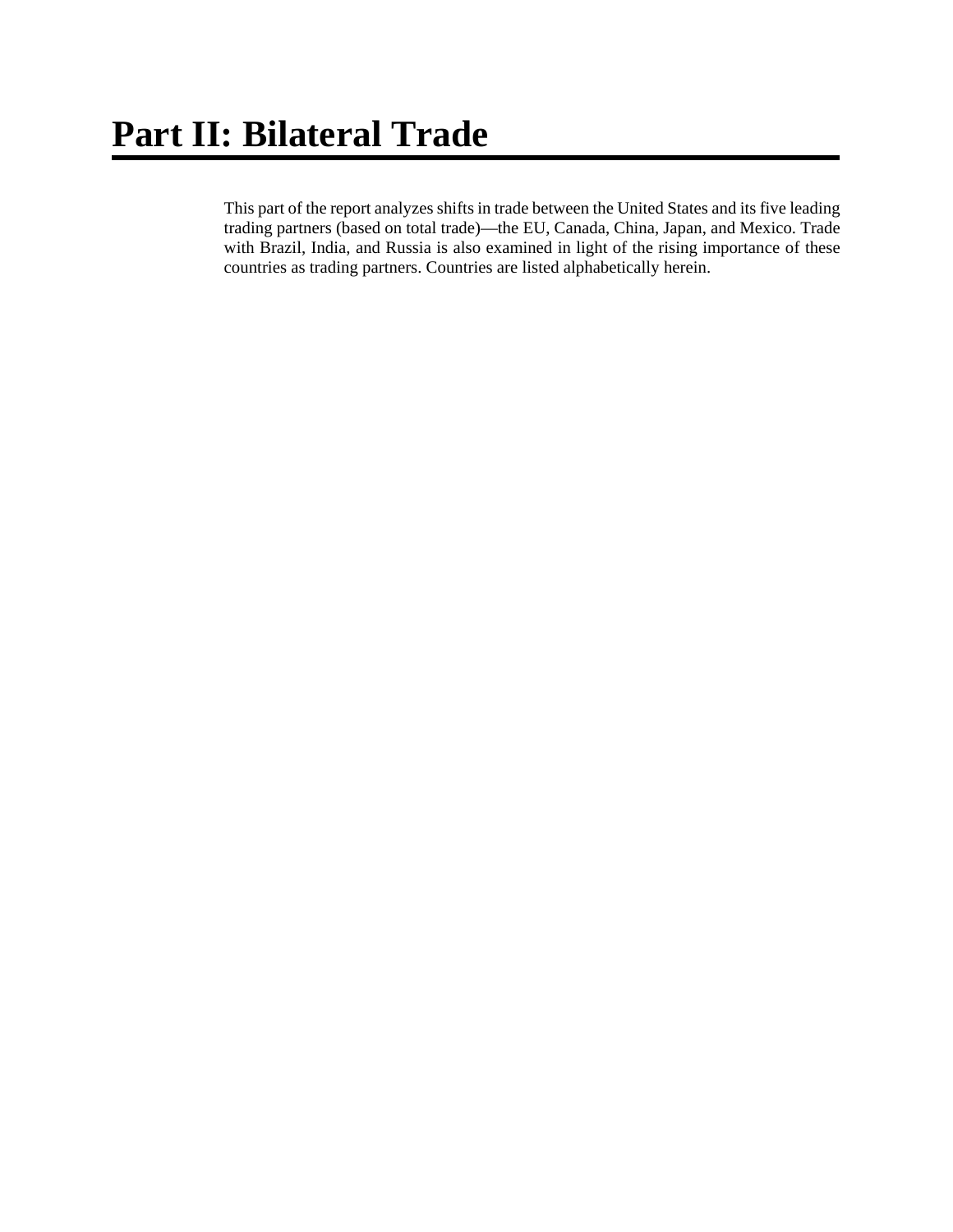This part of the report analyzes shifts in trade between the United States and its five leading trading partners (based on total trade)—the EU, Canada, China, Japan, and Mexico. Trade with Brazil, India, and Russia is also examined in light of the rising importance of these countries as trading partners. Countries are listed alphabetically herein.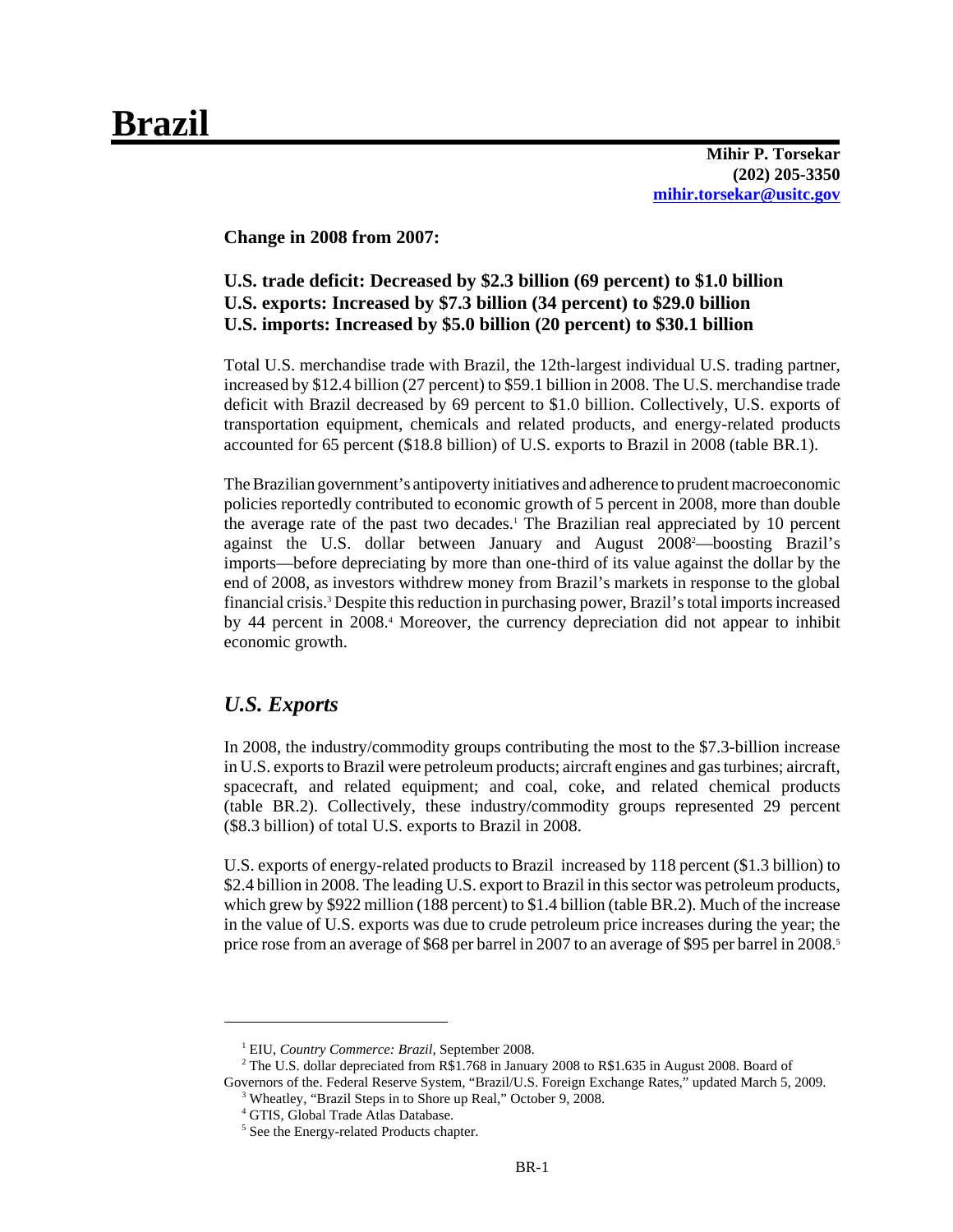# **Brazil**

**Mihir P. Torsekar (202) 205-3350 mihir.torsekar@usitc.gov**

**Change in 2008 from 2007:**

### **U.S. trade deficit: Decreased by \$2.3 billion (69 percent) to \$1.0 billion U.S. exports: Increased by \$7.3 billion (34 percent) to \$29.0 billion U.S. imports: Increased by \$5.0 billion (20 percent) to \$30.1 billion**

Total U.S. merchandise trade with Brazil, the 12th-largest individual U.S. trading partner, increased by \$12.4 billion (27 percent) to \$59.1 billion in 2008. The U.S. merchandise trade deficit with Brazil decreased by 69 percent to \$1.0 billion. Collectively, U.S. exports of transportation equipment, chemicals and related products, and energy-related products accounted for 65 percent (\$18.8 billion) of U.S. exports to Brazil in 2008 (table BR.1).

The Brazilian government's antipoverty initiatives and adherence to prudent macroeconomic policies reportedly contributed to economic growth of 5 percent in 2008, more than double the average rate of the past two decades.<sup>1</sup> The Brazilian real appreciated by 10 percent against the U.S. dollar between January and August 2008<sup>2</sup>—boosting Brazil's imports—before depreciating by more than one-third of its value against the dollar by the end of 2008, as investors withdrew money from Brazil's markets in response to the global financial crisis.3 Despite this reduction in purchasing power, Brazil's total imports increased by 44 percent in 2008.<sup>4</sup> Moreover, the currency depreciation did not appear to inhibit economic growth.

### *U.S. Exports*

In 2008, the industry/commodity groups contributing the most to the \$7.3-billion increase in U.S. exports to Brazil were petroleum products; aircraft engines and gas turbines; aircraft, spacecraft, and related equipment; and coal, coke, and related chemical products (table BR.2). Collectively, these industry/commodity groups represented 29 percent (\$8.3 billion) of total U.S. exports to Brazil in 2008.

U.S. exports of energy-related products to Brazil increased by 118 percent (\$1.3 billion) to \$2.4 billion in 2008. The leading U.S. export to Brazil in this sector was petroleum products, which grew by \$922 million (188 percent) to \$1.4 billion (table BR.2). Much of the increase in the value of U.S. exports was due to crude petroleum price increases during the year; the price rose from an average of \$68 per barrel in 2007 to an average of \$95 per barrel in 2008.<sup>5</sup>

<sup>&</sup>lt;sup>1</sup> EIU, *Country Commerce: Brazil*, September 2008.

<sup>&</sup>lt;sup>2</sup> The U.S. dollar depreciated from R\$1.768 in January 2008 to R\$1.635 in August 2008. Board of Governors of the. Federal Reserve System, "Brazil/U.S. Foreign Exchange Rates," updated March 5, 2009.

<sup>&</sup>lt;sup>3</sup> Wheatley, "Brazil Steps in to Shore up Real," October 9, 2008.

 <sup>4</sup> GTIS, Global Trade Atlas Database.

<sup>&</sup>lt;sup>5</sup> See the Energy-related Products chapter.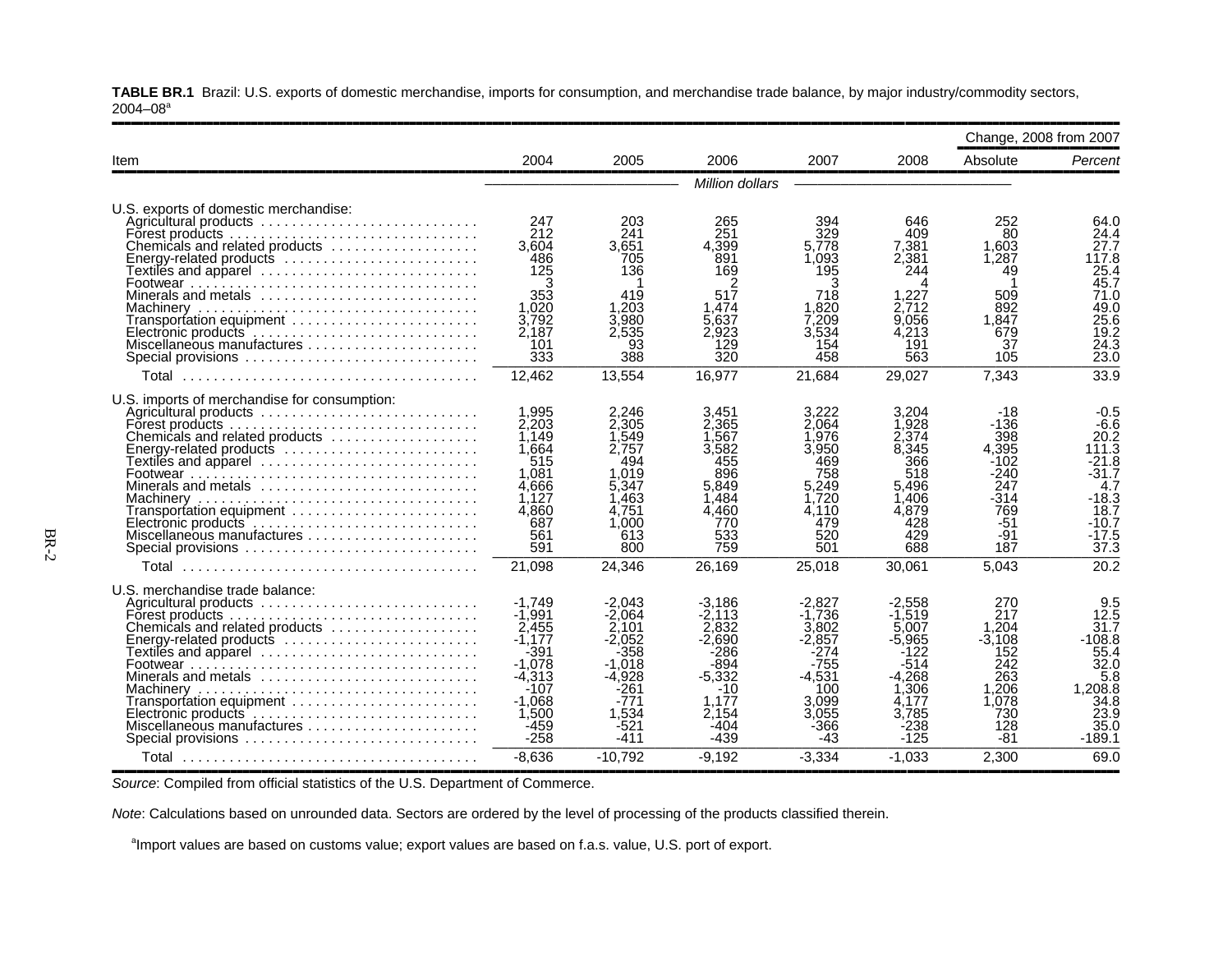**TABLE BR.1** Brazil: U.S. exports of domestic merchandise, imports for consumption, and merchandise trade balance, by major industry/commodity sectors,  $2004 - 08$ <sup>a</sup>

|                                                                                                                                                                                                                                                                                                       |                                                                                                                                          |                                                                                                                               |                                                                                                                        |                                                                                                                             |                                                                                                                        |                                                                                                       | Change, 2008 from 2007                                                                                                  |
|-------------------------------------------------------------------------------------------------------------------------------------------------------------------------------------------------------------------------------------------------------------------------------------------------------|------------------------------------------------------------------------------------------------------------------------------------------|-------------------------------------------------------------------------------------------------------------------------------|------------------------------------------------------------------------------------------------------------------------|-----------------------------------------------------------------------------------------------------------------------------|------------------------------------------------------------------------------------------------------------------------|-------------------------------------------------------------------------------------------------------|-------------------------------------------------------------------------------------------------------------------------|
| Item                                                                                                                                                                                                                                                                                                  | 2004                                                                                                                                     | 2005                                                                                                                          | 2006                                                                                                                   | 2007                                                                                                                        | 2008                                                                                                                   | Absolute                                                                                              | Percent                                                                                                                 |
|                                                                                                                                                                                                                                                                                                       |                                                                                                                                          |                                                                                                                               | Million dollars                                                                                                        |                                                                                                                             |                                                                                                                        |                                                                                                       |                                                                                                                         |
| U.S. exports of domestic merchandise:<br>Agricultural products<br>Forest products<br>Chemicals and related products<br>Energy-related products<br>Textiles and apparel<br>Minerals and metals<br>Transportation equipment<br>Special provisions                                                       | 247<br>212<br>3.604<br>486<br>125<br>353<br>1,020<br>3,792<br>2,187<br>101<br>333                                                        | 203<br>241<br>3.651<br>705<br>136<br>419<br>1.203<br>3.980<br>2.535<br>93<br>388                                              | 265<br>251<br>4.399<br>891<br>169<br>517<br>1.474<br>5.637<br>2.923<br>129<br>320                                      | 394<br>329<br>5.778<br>1.093<br>195<br>з<br>718<br>1.820<br>7,209<br>3.534<br>154<br>458                                    | 646<br>409<br>7.381<br>2.381<br>244<br>1,227<br>2.712<br>9.056<br>4,213<br>191<br>563                                  | 252<br>80<br>1.603<br>1,287<br>49<br>509<br>892<br>1.847<br>679<br>37<br>105                          | 64.0<br>24.4<br>27.7<br>117.8<br>25.4<br>45.7<br>71.0<br>49.0<br>25.6<br>19.2<br>24.3<br>23.0                           |
| Total                                                                                                                                                                                                                                                                                                 | 12,462                                                                                                                                   | 13,554                                                                                                                        | 16,977                                                                                                                 | 21,684                                                                                                                      | 29,027                                                                                                                 | 7,343                                                                                                 | 33.9                                                                                                                    |
| U.S. imports of merchandise for consumption:<br>Chemicals and related products<br>Energy-related products<br>Textiles and apparel ............................<br>Minerals and metals<br>Transportation equipment<br>Electronic products<br>Miscellaneous manufactures<br>Special provisions<br>Total | 1,995<br>2,203<br>1.149<br>1.664<br>515<br>1.081<br>4.666<br>1,127<br>4.860<br>687<br>561<br>591<br>21,098                               | 2.246<br>2,305<br>1.549<br>2.757<br>494<br>1.019<br>5.347<br>1,463<br>4.751<br>.000<br>613<br>800<br>24,346                   | 3,451<br>2.365<br>.567<br>3.582<br>455<br>896<br>5.849<br>1.484<br>4.460<br>770<br>533<br>759<br>26,169                | 3.222<br>2.064<br>1.976<br>3.950<br>469<br>758<br>5.249<br>1.720<br>4.110<br>479<br>520<br>501<br>25,018                    | 3,204<br>.928<br>2,374<br>8.345<br>366<br>518<br>5.496<br>1,406<br>4.879<br>428<br>429<br>688<br>30,061                | -18<br>-136<br>398<br>4,395<br>-102<br>$-240$<br>247<br>$-314$<br>769<br>-51<br>$-91$<br>187<br>5,043 | $-0.5$<br>$-6.6$<br>20.2<br>111.3<br>$-21.8$<br>$-31.7$<br>4.7<br>$-18.3$<br>18.7<br>$-10.7$<br>$-17.5$<br>37.3<br>20.2 |
| U.S. merchandise trade balance:<br>Agricultural products<br>Chemicals and related products<br>Energy-related products<br>Textiles and apparel<br>Minerals and metals<br>Transportation equipment<br>Electronic products<br>Miscellaneous manufactures<br>Special provisions<br>Total                  | $-1.749$<br>$-1.991$<br>2.455<br>$-1,177$<br>$-391$<br>$-1.078$<br>$-4.313$<br>-107<br>$-1.068$<br>1,500<br>$-459$<br>$-258$<br>$-8,636$ | -2.043<br>$-2.064$<br>2.101<br>$-2.052$<br>-358<br>$-1.018$<br>$-4.928$<br>-261<br>-771<br>1.534<br>-521<br>-411<br>$-10,792$ | -3,186<br>-2.113<br>2.832<br>$-2.690$<br>-286<br>-894<br>$-5.332$<br>-10<br>1.177<br>2.154<br>-404<br>-439<br>$-9,192$ | $-2.827$<br>$-1.736$<br>3.802<br>$-2.857$<br>-274<br>$-755$<br>-4.531<br>100<br>3.099<br>3.055<br>$-366$<br>-43<br>$-3,334$ | -2.558<br>$-1.519$<br>5.007<br>-5.965<br>-122<br>-514<br>-4.268<br>1,306<br>4.177<br>3.785<br>-238<br>-125<br>$-1,033$ | 270<br>217<br>1.204<br>$-3.108$<br>152<br>242<br>263<br>1,206<br>1.078<br>730<br>128<br>-81<br>2,300  | 9.5<br>12.5<br>31.7<br>$-108.8$<br>55.4<br>32.0<br>5.8<br>1,208.8<br>34.8<br>23.9<br>35.0<br>$-189.1$<br>69.0           |

**Source: Compiled from official statistics of the U.S. Department of Commerce.** 

*Note*: Calculations based on unrounded data. Sectors are ordered by the level of processing of the products classified therein.

<sup>a</sup>Import values are based on customs value; export values are based on f.a.s. value, U.S. port of export.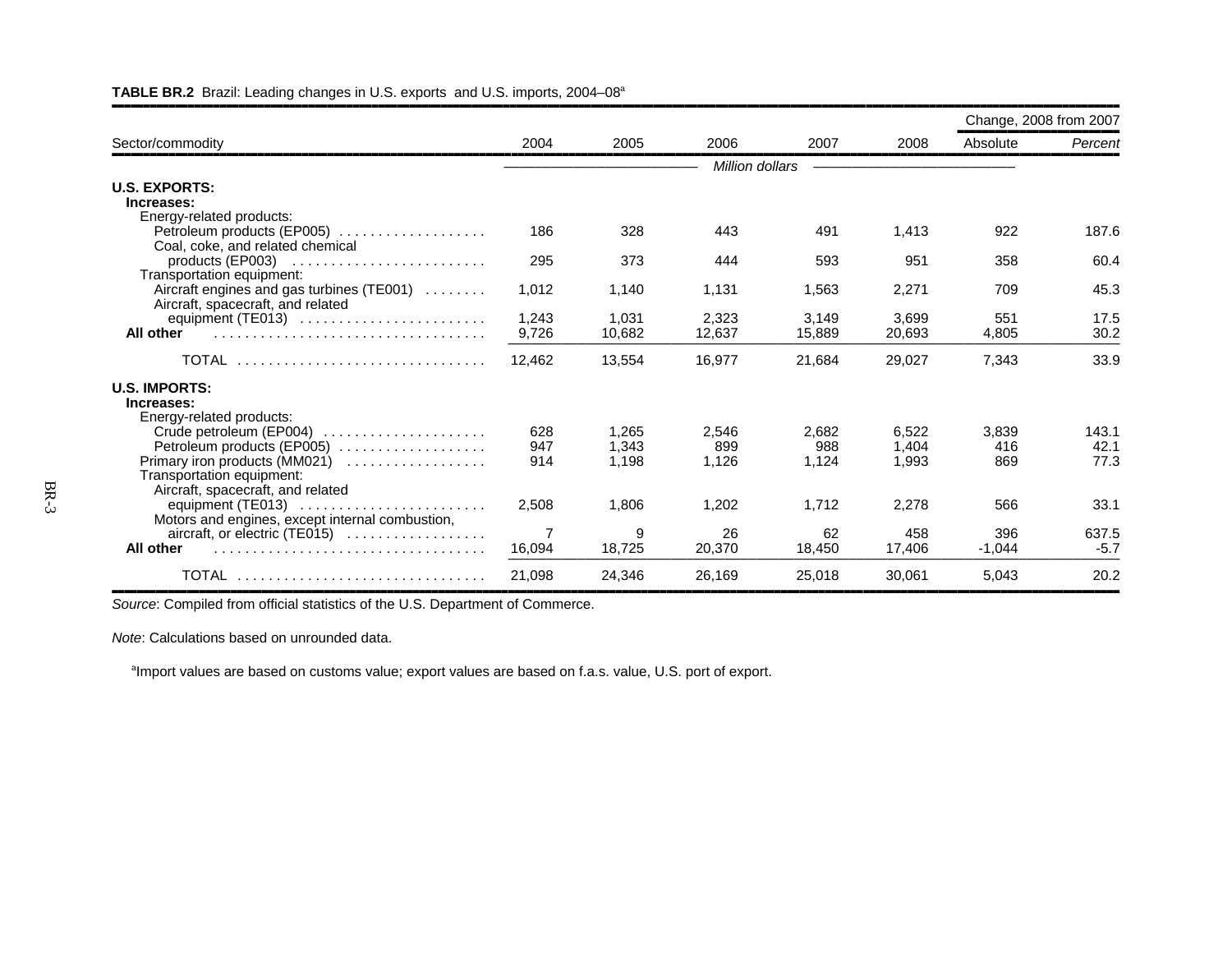|                                                                       |        |        |                 |        |        | Change, 2008 from 2007 |              |
|-----------------------------------------------------------------------|--------|--------|-----------------|--------|--------|------------------------|--------------|
| Sector/commodity                                                      | 2004   | 2005   | 2006            | 2007   | 2008   | Absolute               | Percent      |
|                                                                       |        |        | Million dollars |        |        |                        |              |
| <b>U.S. EXPORTS:</b>                                                  |        |        |                 |        |        |                        |              |
| Increases:                                                            |        |        |                 |        |        |                        |              |
| Energy-related products:                                              |        |        |                 |        |        |                        |              |
| Petroleum products (EP005)                                            | 186    | 328    | 443             | 491    | 1,413  | 922                    | 187.6        |
| Coal, coke, and related chemical                                      |        |        |                 |        |        |                        |              |
|                                                                       | 295    | 373    | 444             | 593    | 951    | 358                    | 60.4         |
| Transportation equipment:                                             |        |        |                 |        |        |                        |              |
| Aircraft engines and gas turbines (TE001)                             | 1.012  | 1,140  | 1,131           | 1,563  | 2,271  | 709                    | 45.3         |
| Aircraft, spacecraft, and related                                     |        |        |                 |        |        |                        |              |
|                                                                       | 1,243  | 1,031  | 2,323           | 3,149  | 3.699  | 551                    | 17.5<br>30.2 |
| All other                                                             | 9,726  | 10,682 | 12,637          | 15,889 | 20,693 | 4,805                  |              |
| TOTAL                                                                 | 12,462 | 13,554 | 16,977          | 21,684 | 29,027 | 7,343                  | 33.9         |
| <b>U.S. IMPORTS:</b>                                                  |        |        |                 |        |        |                        |              |
| Increases:                                                            |        |        |                 |        |        |                        |              |
| Energy-related products:                                              |        |        |                 |        |        |                        |              |
| Crude petroleum (EP004)                                               | 628    | 1.265  | 2.546           | 2.682  | 6.522  | 3.839                  | 143.1        |
| Petroleum products (EP005)                                            | 947    | 1,343  | 899             | 988    | 1,404  | 416                    | 42.1         |
| Primary iron products (MM021)                                         | 914    | 1.198  | 1,126           | 1.124  | 1.993  | 869                    | 77.3         |
| Transportation equipment:                                             |        |        |                 |        |        |                        |              |
| Aircraft, spacecraft, and related                                     |        |        |                 |        |        |                        |              |
| equipment (TE013)                                                     | 2,508  | 1,806  | 1,202           | 1,712  | 2,278  | 566                    | 33.1         |
| Motors and engines, except internal combustion,                       |        |        |                 |        |        |                        |              |
| $aircraft$ , or electric (TE015) $\ldots \ldots \ldots \ldots \ldots$ | 7      | 9      | 26              | 62     | 458    | 396                    | 637.5        |
| All other                                                             | 16,094 | 18,725 | 20,370          | 18,450 | 17,406 | $-1.044$               | $-5.7$       |
| TOTAL                                                                 | 21,098 | 24,346 | 26,169          | 25,018 | 30,061 | 5,043                  | 20.2         |

#### **TABLE BR.2** Brazil: Leading changes in U.S. exports and U.S. imports, 2004–08a

**Source: Compiled from official statistics of the U.S. Department of Commerce.** 

*Note*: Calculations based on unrounded data.

<sup>a</sup>Import values are based on customs value; export values are based on f.a.s. value, U.S. port of export.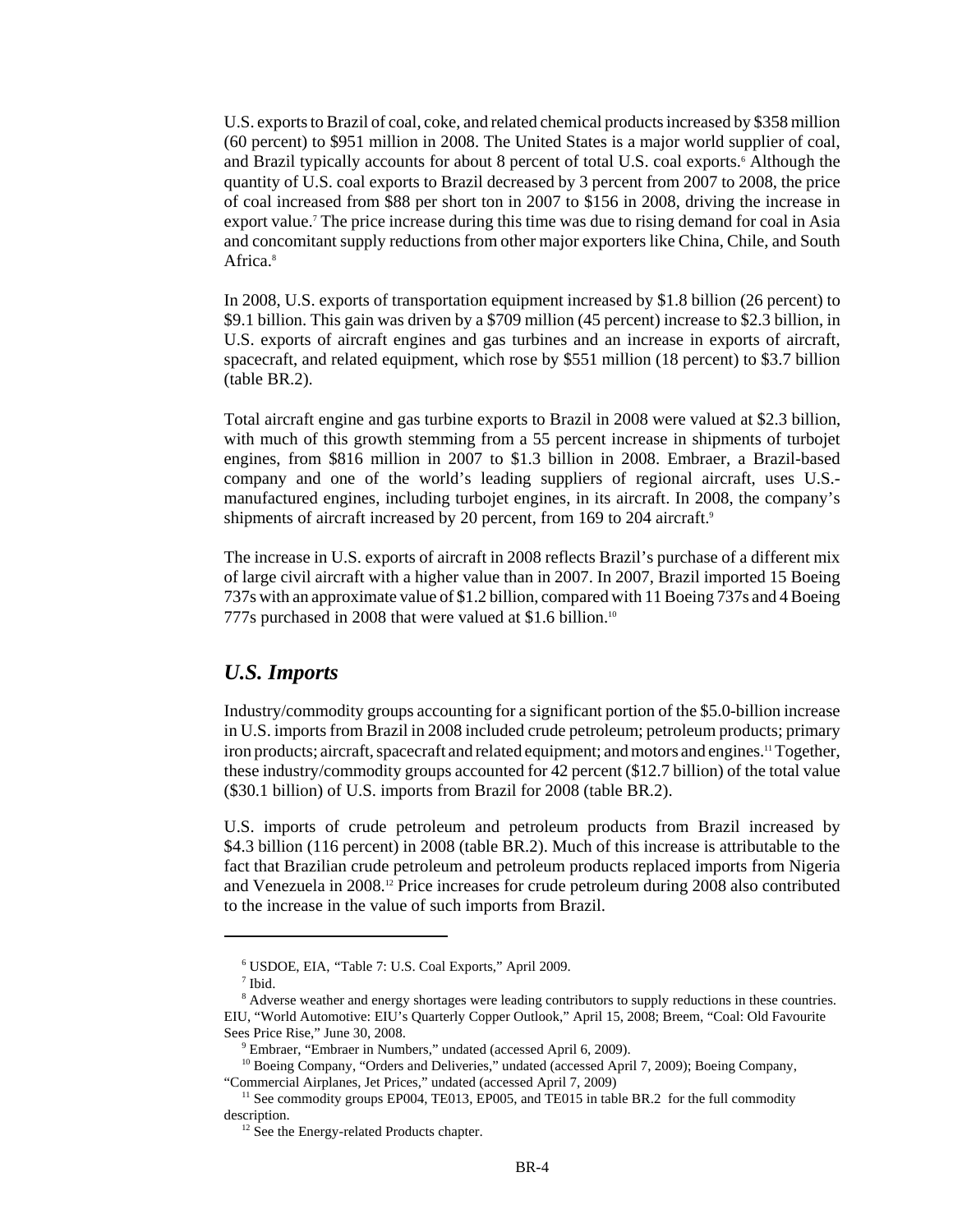U.S. exports to Brazil of coal, coke, and related chemical products increased by \$358 million (60 percent) to \$951 million in 2008. The United States is a major world supplier of coal, and Brazil typically accounts for about 8 percent of total U.S. coal exports.<sup>6</sup> Although the quantity of U.S. coal exports to Brazil decreased by 3 percent from 2007 to 2008, the price of coal increased from \$88 per short ton in 2007 to \$156 in 2008, driving the increase in export value.<sup>7</sup> The price increase during this time was due to rising demand for coal in Asia and concomitant supply reductions from other major exporters like China, Chile, and South Africa<sup>8</sup>

In 2008, U.S. exports of transportation equipment increased by \$1.8 billion (26 percent) to \$9.1 billion. This gain was driven by a \$709 million (45 percent) increase to \$2.3 billion, in U.S. exports of aircraft engines and gas turbines and an increase in exports of aircraft, spacecraft, and related equipment, which rose by \$551 million (18 percent) to \$3.7 billion (table BR.2).

Total aircraft engine and gas turbine exports to Brazil in 2008 were valued at \$2.3 billion, with much of this growth stemming from a 55 percent increase in shipments of turbojet engines, from \$816 million in 2007 to \$1.3 billion in 2008. Embraer, a Brazil-based company and one of the world's leading suppliers of regional aircraft, uses U.S. manufactured engines, including turbojet engines, in its aircraft. In 2008, the company's shipments of aircraft increased by 20 percent, from 169 to 204 aircraft.<sup>9</sup>

The increase in U.S. exports of aircraft in 2008 reflects Brazil's purchase of a different mix of large civil aircraft with a higher value than in 2007. In 2007, Brazil imported 15 Boeing 737s with an approximate value of \$1.2 billion, compared with 11 Boeing 737s and 4 Boeing 777s purchased in 2008 that were valued at \$1.6 billion.10

#### *U.S. Imports*

Industry/commodity groups accounting for a significant portion of the \$5.0-billion increase in U.S. imports from Brazil in 2008 included crude petroleum; petroleum products; primary iron products; aircraft, spacecraft and related equipment; and motors and engines.11 Together, these industry/commodity groups accounted for 42 percent (\$12.7 billion) of the total value (\$30.1 billion) of U.S. imports from Brazil for 2008 (table BR.2).

U.S. imports of crude petroleum and petroleum products from Brazil increased by \$4.3 billion (116 percent) in 2008 (table BR.2). Much of this increase is attributable to the fact that Brazilian crude petroleum and petroleum products replaced imports from Nigeria and Venezuela in 2008.12 Price increases for crude petroleum during 2008 also contributed to the increase in the value of such imports from Brazil.

 <sup>6</sup> USDOE, EIA, "Table 7: U.S. Coal Exports," April 2009.

 <sup>7</sup> Ibid.

<sup>&</sup>lt;sup>8</sup> Adverse weather and energy shortages were leading contributors to supply reductions in these countries. EIU, "World Automotive: EIU's Quarterly Copper Outlook," April 15, 2008; Breem, "Coal: Old Favourite Sees Price Rise," June 30, 2008.

<sup>&</sup>lt;sup>9</sup> Embraer, "Embraer in Numbers," undated (accessed April 6, 2009).

<sup>&</sup>lt;sup>10</sup> Boeing Company, "Orders and Deliveries," undated (accessed April 7, 2009); Boeing Company, "Commercial Airplanes, Jet Prices," undated (accessed April 7, 2009)

<sup>&</sup>lt;sup>11</sup> See commodity groups EP004, TE013, EP005, and TE015 in table BR.2 for the full commodity description.

<sup>&</sup>lt;sup>12</sup> See the Energy-related Products chapter.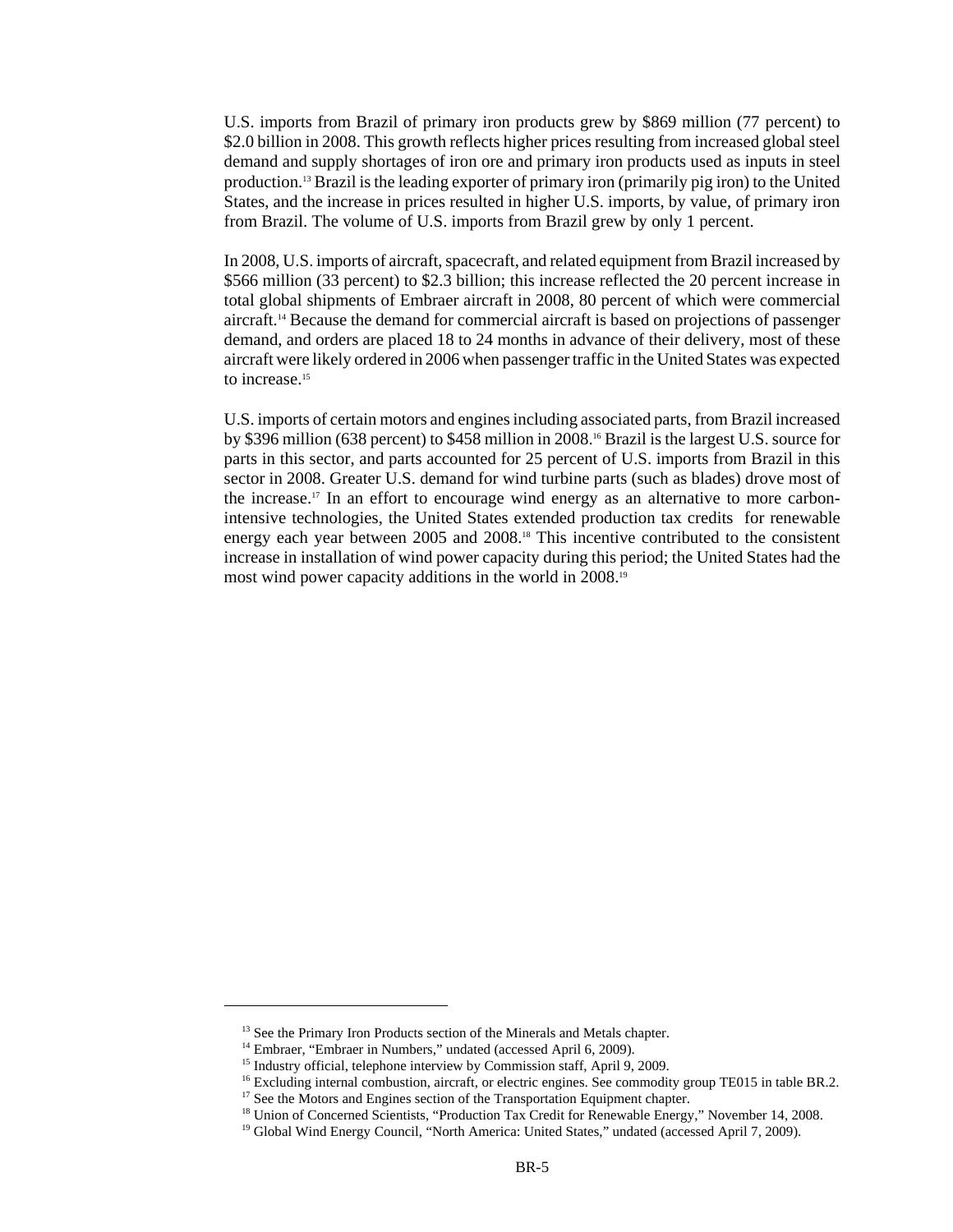U.S. imports from Brazil of primary iron products grew by \$869 million (77 percent) to \$2.0 billion in 2008. This growth reflects higher prices resulting from increased global steel demand and supply shortages of iron ore and primary iron products used as inputs in steel production.13 Brazil is the leading exporter of primary iron (primarily pig iron) to the United States, and the increase in prices resulted in higher U.S. imports, by value, of primary iron from Brazil. The volume of U.S. imports from Brazil grew by only 1 percent.

In 2008, U.S. imports of aircraft, spacecraft, and related equipment from Brazil increased by \$566 million (33 percent) to \$2.3 billion; this increase reflected the 20 percent increase in total global shipments of Embraer aircraft in 2008, 80 percent of which were commercial aircraft.14 Because the demand for commercial aircraft is based on projections of passenger demand, and orders are placed 18 to 24 months in advance of their delivery, most of these aircraft were likely ordered in 2006 when passenger traffic in the United States was expected to increase.<sup>15</sup>

U.S. imports of certain motors and engines including associated parts, from Brazil increased by \$396 million (638 percent) to \$458 million in 2008.16 Brazil is the largest U.S. source for parts in this sector, and parts accounted for 25 percent of U.S. imports from Brazil in this sector in 2008. Greater U.S. demand for wind turbine parts (such as blades) drove most of the increase.<sup>17</sup> In an effort to encourage wind energy as an alternative to more carbonintensive technologies, the United States extended production tax credits for renewable energy each year between 2005 and 2008.18 This incentive contributed to the consistent increase in installation of wind power capacity during this period; the United States had the most wind power capacity additions in the world in 2008.19

<sup>&</sup>lt;sup>13</sup> See the Primary Iron Products section of the Minerals and Metals chapter.

<sup>&</sup>lt;sup>14</sup> Embraer, "Embraer in Numbers," undated (accessed April 6, 2009).

<sup>&</sup>lt;sup>15</sup> Industry official, telephone interview by Commission staff, April 9, 2009.

<sup>&</sup>lt;sup>16</sup> Excluding internal combustion, aircraft, or electric engines. See commodity group TE015 in table BR.2.

<sup>&</sup>lt;sup>17</sup> See the Motors and Engines section of the Transportation Equipment chapter.

<sup>&</sup>lt;sup>18</sup> Union of Concerned Scientists, "Production Tax Credit for Renewable Energy," November 14, 2008.

<sup>&</sup>lt;sup>19</sup> Global Wind Energy Council, "North America: United States," undated (accessed April 7, 2009).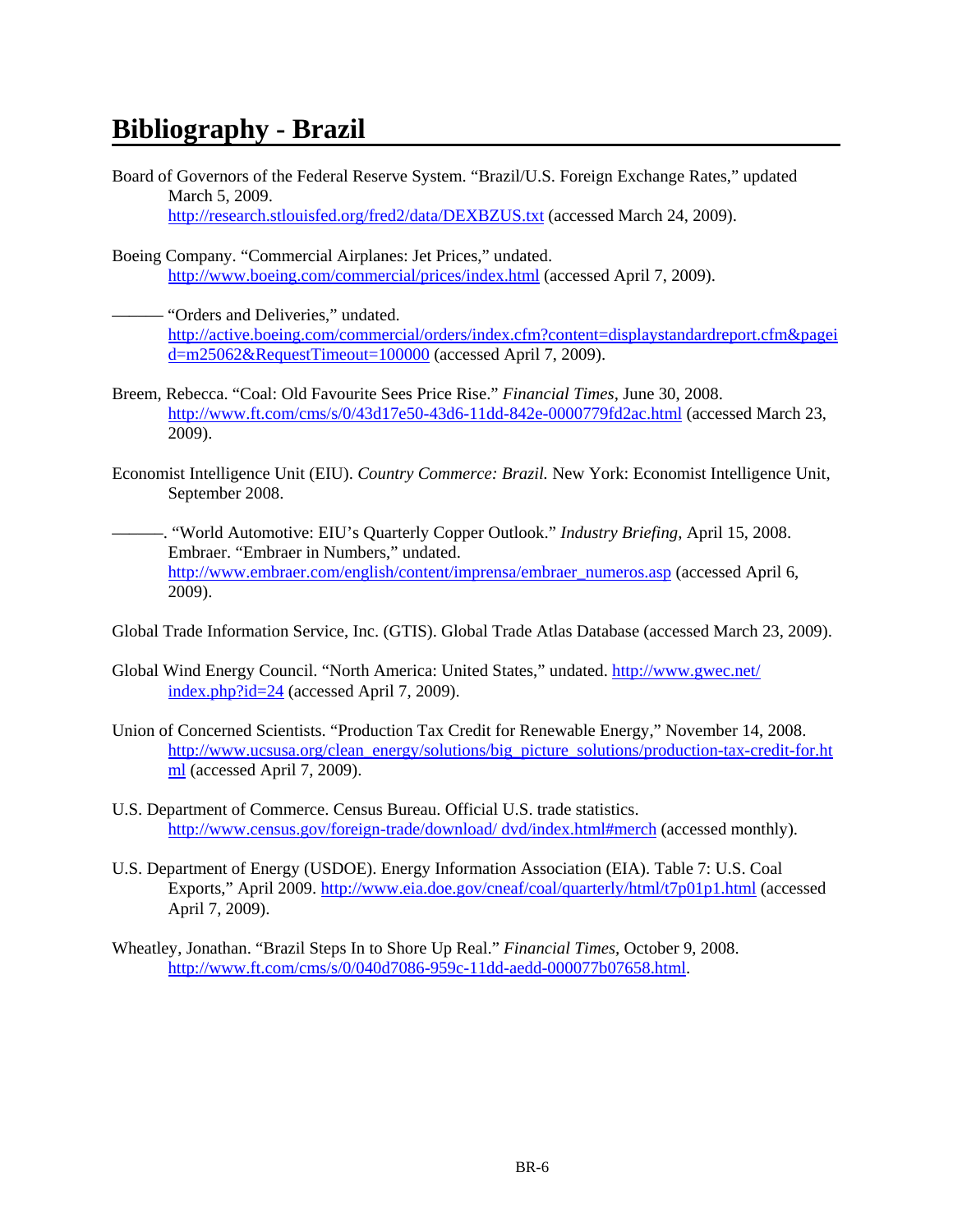## **Bibliography - Brazil**

- Board of Governors of the Federal Reserve System. "Brazil/U.S. Foreign Exchange Rates," updated March 5, 2009. http://research.stlouisfed.org/fred2/data/DEXBZUS.txt (accessed March 24, 2009).
- Boeing Company. "Commercial Airplanes: Jet Prices," undated. http://www.boeing.com/commercial/prices/index.html (accessed April 7, 2009).
- "Orders and Deliveries," undated. http://active.boeing.com/commercial/orders/index.cfm?content=displaystandardreport.cfm&pagei d=m25062&RequestTimeout=100000 (accessed April 7, 2009).
- Breem, Rebecca. "Coal: Old Favourite Sees Price Rise." *Financial Times,* June 30, 2008. http://www.ft.com/cms/s/0/43d17e50-43d6-11dd-842e-0000779fd2ac.html (accessed March 23, 2009).
- Economist Intelligence Unit (EIU). *Country Commerce: Brazil.* New York: Economist Intelligence Unit, September 2008.
- –––—–. "World Automotive: EIU's Quarterly Copper Outlook." *Industry Briefing,* April 15, 2008. Embraer. "Embraer in Numbers," undated. http://www.embraer.com/english/content/imprensa/embraer\_numeros.asp (accessed April 6, 2009).
- Global Trade Information Service, Inc. (GTIS). Global Trade Atlas Database (accessed March 23, 2009).
- Global Wind Energy Council. "North America: United States," undated. http://www.gwec.net/ index.php?id=24 (accessed April 7, 2009).
- Union of Concerned Scientists. "Production Tax Credit for Renewable Energy," November 14, 2008. http://www.ucsusa.org/clean\_energy/solutions/big\_picture\_solutions/production-tax-credit-for.ht ml (accessed April 7, 2009).
- U.S. Department of Commerce. Census Bureau. Official U.S. trade statistics. http://www.census.gov/foreign-trade/download/ dvd/index.html#merch (accessed monthly).
- U.S. Department of Energy (USDOE). Energy Information Association (EIA). Table 7: U.S. Coal Exports," April 2009. http://www.eia.doe.gov/cneaf/coal/quarterly/html/t7p01p1.html (accessed April 7, 2009).
- Wheatley, Jonathan. "Brazil Steps In to Shore Up Real." *Financial Times,* October 9, 2008. http://www.ft.com/cms/s/0/040d7086-959c-11dd-aedd-000077b07658.html.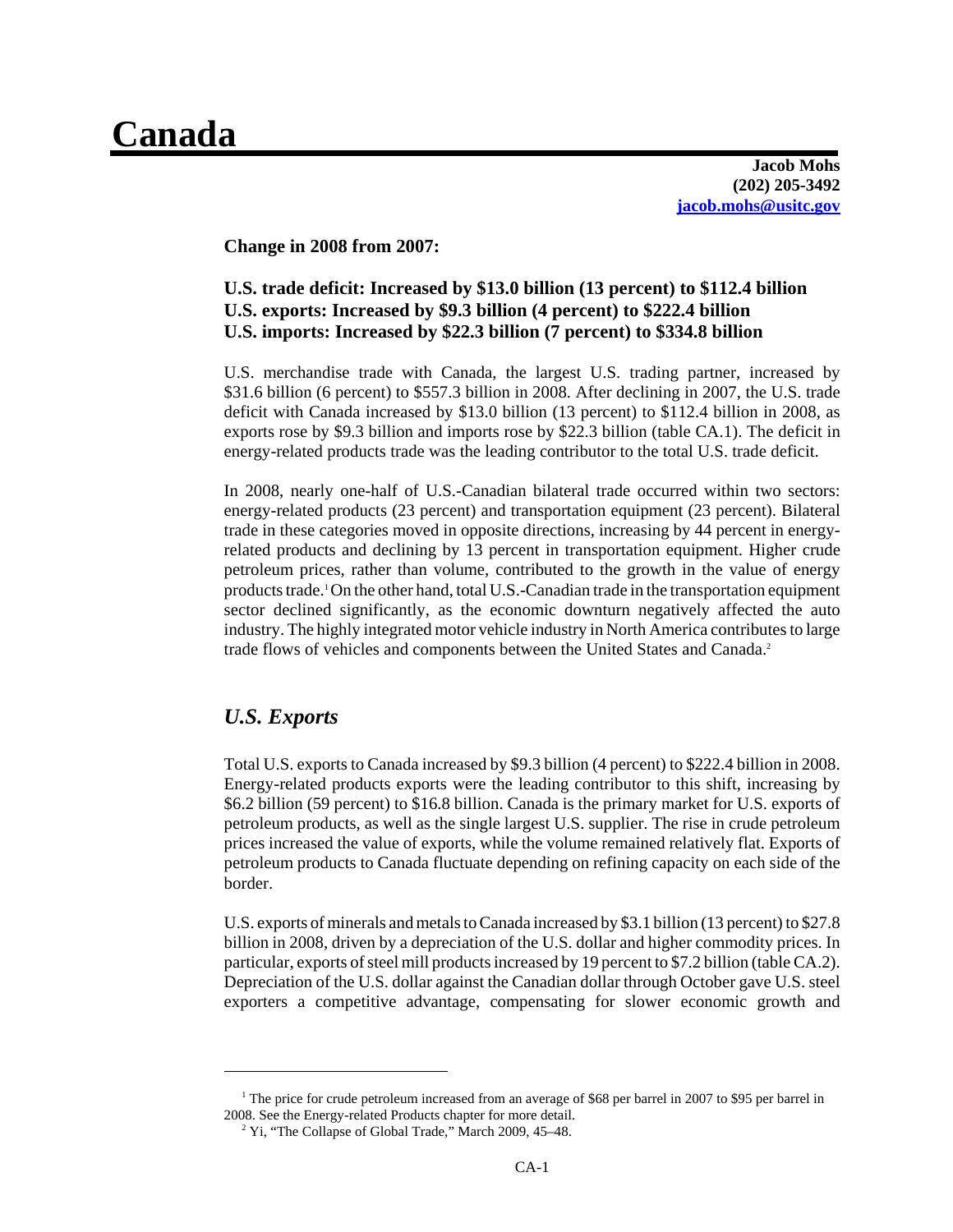# **Canada**

**Jacob Mohs (202) 205-3492 jacob.mohs@usitc.gov**

**Change in 2008 from 2007:**

### **U.S. trade deficit: Increased by \$13.0 billion (13 percent) to \$112.4 billion U.S. exports: Increased by \$9.3 billion (4 percent) to \$222.4 billion U.S. imports: Increased by \$22.3 billion (7 percent) to \$334.8 billion**

U.S. merchandise trade with Canada, the largest U.S. trading partner, increased by \$31.6 billion (6 percent) to \$557.3 billion in 2008. After declining in 2007, the U.S. trade deficit with Canada increased by \$13.0 billion (13 percent) to \$112.4 billion in 2008, as exports rose by \$9.3 billion and imports rose by \$22.3 billion (table CA.1). The deficit in energy-related products trade was the leading contributor to the total U.S. trade deficit.

In 2008, nearly one-half of U.S.-Canadian bilateral trade occurred within two sectors: energy-related products (23 percent) and transportation equipment (23 percent). Bilateral trade in these categories moved in opposite directions, increasing by 44 percent in energyrelated products and declining by 13 percent in transportation equipment. Higher crude petroleum prices, rather than volume, contributed to the growth in the value of energy products trade.1On the other hand, total U.S.-Canadian trade in the transportation equipment sector declined significantly, as the economic downturn negatively affected the auto industry. The highly integrated motor vehicle industry in North America contributes to large trade flows of vehicles and components between the United States and Canada.<sup>2</sup>

### *U.S. Exports*

Total U.S. exports to Canada increased by \$9.3 billion (4 percent) to \$222.4 billion in 2008. Energy-related products exports were the leading contributor to this shift, increasing by \$6.2 billion (59 percent) to \$16.8 billion. Canada is the primary market for U.S. exports of petroleum products, as well as the single largest U.S. supplier. The rise in crude petroleum prices increased the value of exports, while the volume remained relatively flat. Exports of petroleum products to Canada fluctuate depending on refining capacity on each side of the border.

U.S. exports of minerals and metals to Canada increased by \$3.1 billion (13 percent) to \$27.8 billion in 2008, driven by a depreciation of the U.S. dollar and higher commodity prices. In particular, exports of steel mill products increased by 19 percent to \$7.2 billion (table CA.2). Depreciation of the U.S. dollar against the Canadian dollar through October gave U.S. steel exporters a competitive advantage, compensating for slower economic growth and

<sup>&</sup>lt;sup>1</sup> The price for crude petroleum increased from an average of \$68 per barrel in 2007 to \$95 per barrel in 2008. See the Energy-related Products chapter for more detail.

<sup>&</sup>lt;sup>2</sup> Yi, "The Collapse of Global Trade," March 2009, 45–48.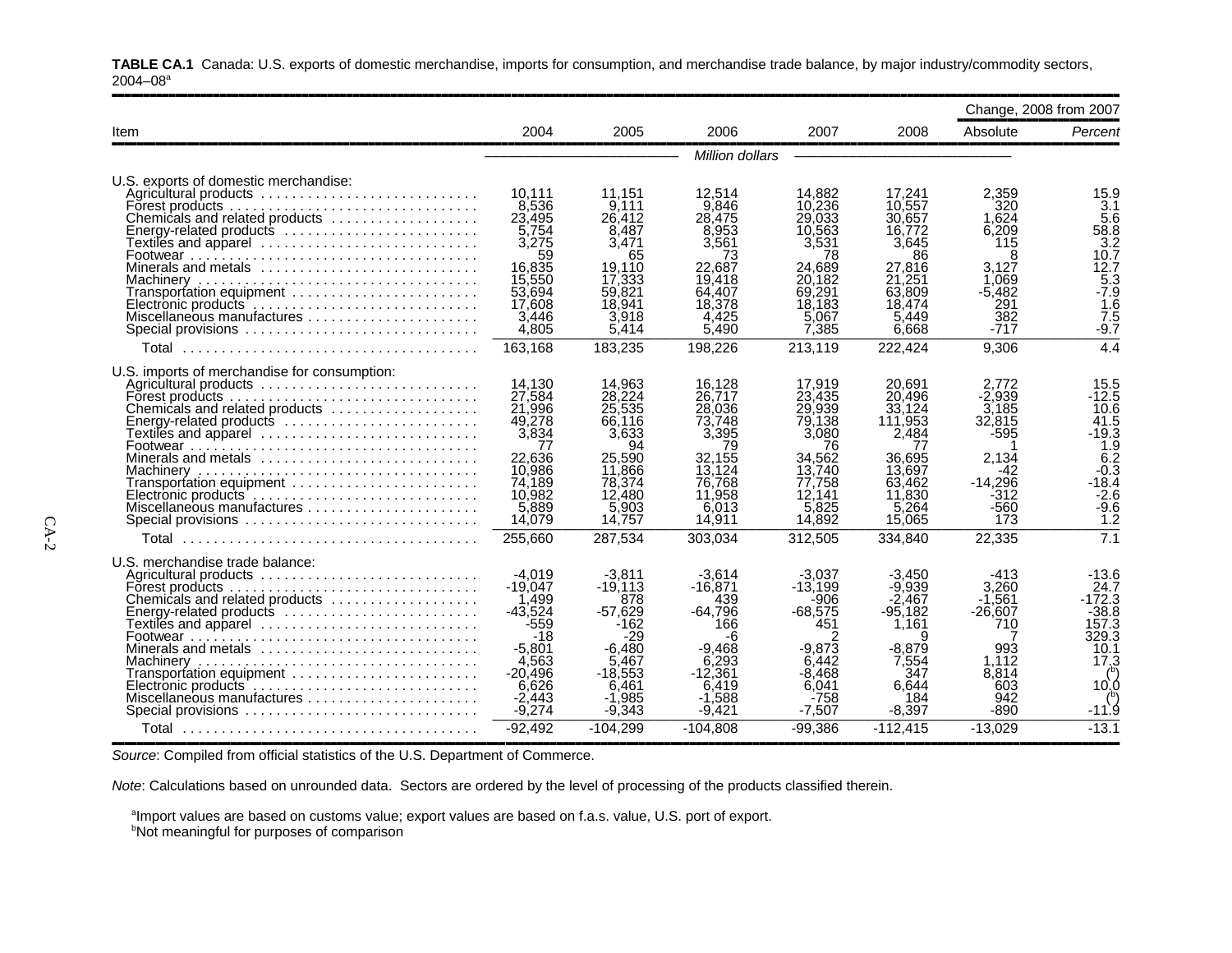|                                                                                                                                                                                                                                                                                                                                                                     |                                                                                                                     |                                                                                                                 |                                                                                                                |                                                                                                                |                                                                                                                 |                                                                                                    | Change, 2008 from 2007                                                                                              |
|---------------------------------------------------------------------------------------------------------------------------------------------------------------------------------------------------------------------------------------------------------------------------------------------------------------------------------------------------------------------|---------------------------------------------------------------------------------------------------------------------|-----------------------------------------------------------------------------------------------------------------|----------------------------------------------------------------------------------------------------------------|----------------------------------------------------------------------------------------------------------------|-----------------------------------------------------------------------------------------------------------------|----------------------------------------------------------------------------------------------------|---------------------------------------------------------------------------------------------------------------------|
| Item                                                                                                                                                                                                                                                                                                                                                                | 2004                                                                                                                | 2005                                                                                                            | 2006                                                                                                           | 2007                                                                                                           | 2008                                                                                                            | Absolute                                                                                           | Percent                                                                                                             |
|                                                                                                                                                                                                                                                                                                                                                                     |                                                                                                                     |                                                                                                                 | Million dollars                                                                                                |                                                                                                                |                                                                                                                 |                                                                                                    |                                                                                                                     |
| U.S. exports of domestic merchandise:<br>Agricultural products<br>Forest products $\ldots \ldots \ldots \ldots \ldots \ldots \ldots \ldots \ldots \ldots$<br>Chemicals and related products<br>Energy-related products<br>Minerals and metals<br>Transportation equipment<br>Miscellaneous manufactures<br>Special provisions                                       | 10.111<br>8,536<br>23,495<br>5,754<br>3,275<br>59<br>16,835<br>15,550<br>53.694<br>17,608<br>3,446<br>4,805         | 11.151<br>9.111<br>26.412<br>8,487<br>3.471<br>65<br>19.110<br>17,333<br>59.821<br>18.941<br>3,918<br>5,414     | 12.514<br>9.846<br>28.475<br>8,953<br>3,561<br>73<br>22.687<br>19.418<br>64.407<br>18,378<br>4,425<br>5,490    | 14.882<br>10.236<br>29,033<br>10.563<br>3,531<br>78<br>24.689<br>20.182<br>69,291<br>18.183<br>5.067<br>7,385  | 17,241<br>10.557<br>30.657<br>16,772<br>3,645<br>86<br>27,816<br>21,251<br>63,809<br>18.474<br>5.449<br>6.668   | 2.359<br>320<br>1.624<br>6.209<br>115<br>8<br>3.127<br>1.069<br>-5.482<br>291<br>382<br>-717       | 15.9<br>3.1<br>$\frac{5.6}{58.8}$<br>3.2<br>10.7<br>12.7<br>5.3<br>$-7.9$<br>1.6<br>7.5<br>$-9.7$                   |
| Total                                                                                                                                                                                                                                                                                                                                                               | 163,168                                                                                                             | 183,235                                                                                                         | 198,226                                                                                                        | 213,119                                                                                                        | 222,424                                                                                                         | 9,306                                                                                              | 4.4                                                                                                                 |
| U.S. imports of merchandise for consumption:<br>Agricultural products<br>Forest products $\ldots \ldots \ldots \ldots \ldots \ldots \ldots \ldots \ldots \ldots$<br>Chemicals and related products<br>Energy-related products<br>Minerals and metals<br>Transportation equipment<br>Miscellaneous manufactures<br>Special provisions                                | 14,130<br>27,584<br>21,996<br>49,278<br>3,834<br>77<br>22,636<br>10,986<br>74.189<br>10,982<br>5,889<br>14,079      | 14,963<br>28,224<br>25,535<br>66.116<br>3,633<br>94<br>25.590<br>11,866<br>78.374<br>12,480<br>5,903<br>14,757  | 16,128<br>26.717<br>28,036<br>73.748<br>3,395<br>79<br>32,155<br>13.124<br>76.768<br>11,958<br>6,013<br>14,911 | 17,919<br>23.435<br>29.939<br>79,138<br>3.080<br>76<br>34.562<br>13.740<br>77,758<br>12.141<br>5,825<br>14,892 | 20,691<br>20,496<br>33.124<br>111,953<br>2,484<br>77<br>36.695<br>13,697<br>63.462<br>11,830<br>5,264<br>15,065 | 2.772<br>-2.939<br>3.185<br>32,815<br>$-595$<br>2.134<br>-42<br>$-14.296$<br>-312<br>$-560$<br>173 | 15.5<br>-12.5<br>10.6<br>41.5<br>$-19.3$<br>1.9<br>$6.\overline{2}$<br>$-0.3$<br>$-18.4$<br>$-2.6$<br>$-9.6$<br>1.2 |
| Total                                                                                                                                                                                                                                                                                                                                                               | 255,660                                                                                                             | 287,534                                                                                                         | 303,034                                                                                                        | 312,505                                                                                                        | 334,840                                                                                                         | 22,335                                                                                             | 7.1                                                                                                                 |
| U.S. merchandise trade balance:<br>Chemicals and related products<br>Energy-related products $\ldots \ldots \ldots \ldots \ldots \ldots \ldots$<br>Textiles and apparel ............................<br>Minerals and metals $\ldots, \ldots, \ldots, \ldots, \ldots, \ldots, \ldots$<br>$Transportion$ equipment $\ldots \ldots \ldots \ldots \ldots \ldots \ldots$ | $-4,019$<br>$-19.047$<br>1,499<br>$-43.524$<br>$-559$<br>$-18$<br>$-5.801$<br>4,563<br>-20.496<br>6,626<br>$-2,443$ | $-3,811$<br>$-19.113$<br>878<br>$-57.629$<br>$-162$<br>-29<br>$-6.480$<br>5,467<br>-18.553<br>6.461<br>$-1,985$ | $-3,614$<br>$-16,871$<br>439<br>$-64.796$<br>166<br>-6<br>-9.468<br>6,293<br>$-12.361$<br>6.419<br>$-1,588$    | $-3.037$<br>$-13,199$<br>-906<br>$-68.575$<br>451<br>$-9.873$<br>6.442<br>$-8.468$<br>6.041<br>$-758$          | $-3,450$<br>-9,939<br>$-2.467$<br>$-95.182$<br>1,161<br>я<br>$-8.879$<br>7,554<br>347<br>6.644<br>184           | $-413$<br>3.260<br>$-1.561$<br>$-26.607$<br>710<br>993<br>1,112<br>8.814<br>603<br>942             | $-13.6$<br>24.7<br>$-172.3$<br>$-38.8$<br>157.3<br>329.3<br>10.1<br>17.3<br>10.0                                    |
| Special provisions<br>Total                                                                                                                                                                                                                                                                                                                                         | $-9,274$<br>$-92.492$                                                                                               | $-9,343$<br>$-104.299$                                                                                          | $-9,421$<br>$-104.808$                                                                                         | $-7,507$<br>$-99.386$                                                                                          | $-8,397$<br>$-112.415$                                                                                          | $-890$<br>$-13.029$                                                                                | $-11.9$<br>$-13.1$                                                                                                  |

**TABLE CA.1** Canada: U.S. exports of domestic merchandise, imports for consumption, and merchandise trade balance, by major industry/commodity sectors,  $2004 - 08$ <sup>a</sup>

Source: Compiled from official statistics of the U.S. Department of Commerce.

*Note*: Calculations based on unrounded data. Sectors are ordered by the level of processing of the products classified therein.

 $^{\text{a}}$ Import values are based on customs value; export values are based on f.a.s. value, U.S. port of export.

<sup>b</sup>Not meaningful for purposes of comparison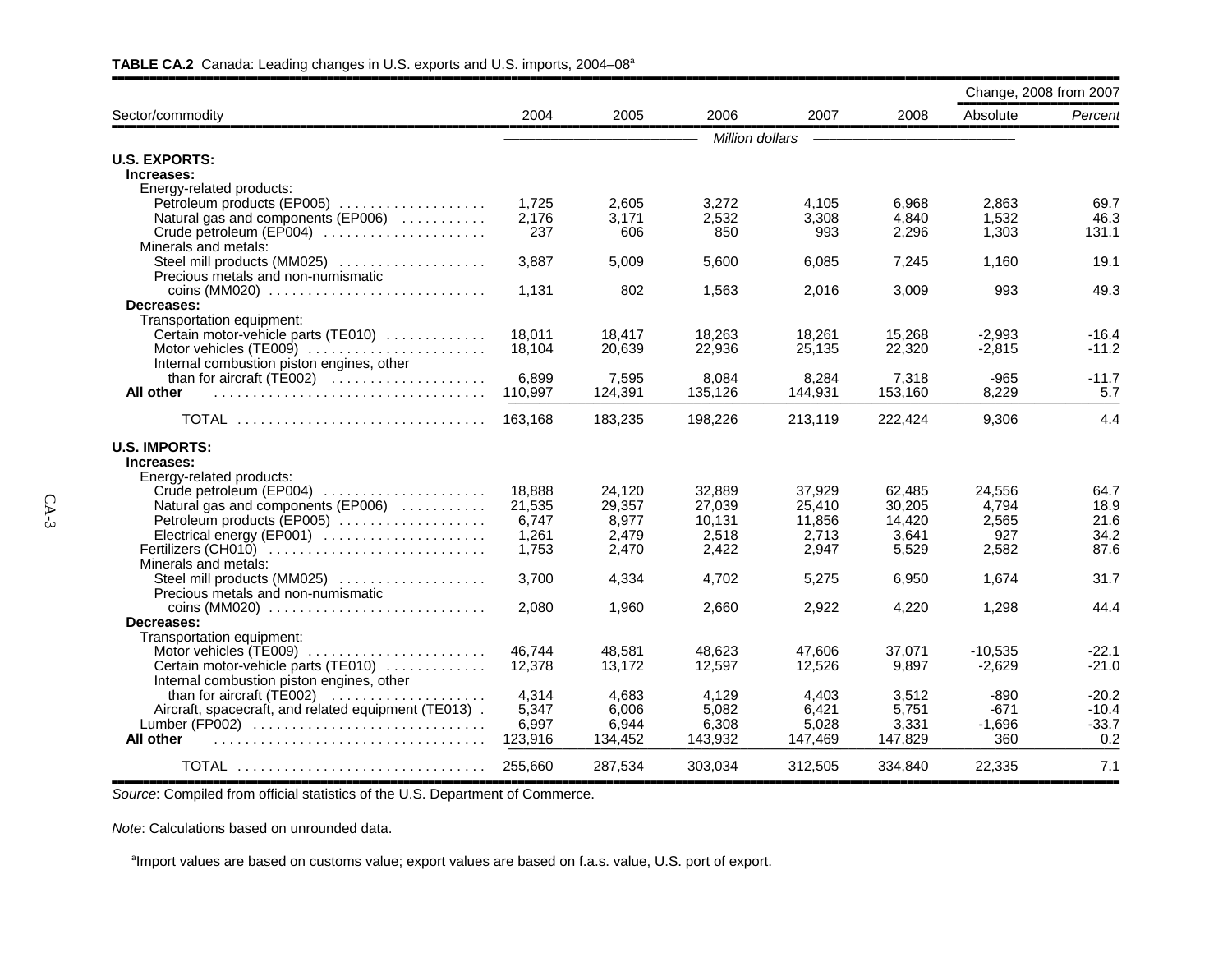|                                                                         |                 |                 |                  |                  |                  | Change, 2008 from 2007 |              |
|-------------------------------------------------------------------------|-----------------|-----------------|------------------|------------------|------------------|------------------------|--------------|
| Sector/commodity                                                        | 2004            | 2005            | 2006             | 2007             | 2008             | Absolute               | Percent      |
|                                                                         |                 |                 | Million dollars  |                  |                  |                        |              |
| <b>U.S. EXPORTS:</b>                                                    |                 |                 |                  |                  |                  |                        |              |
| Increases:                                                              |                 |                 |                  |                  |                  |                        |              |
| Energy-related products:                                                |                 |                 |                  |                  |                  |                        |              |
| Petroleum products (EP005)                                              | 1,725           | 2.605           | 3,272            | 4,105            | 6,968            | 2,863                  | 69.7         |
| Natural gas and components (EP006)                                      | 2,176           | 3,171           | 2,532            | 3,308            | 4,840            | 1,532                  | 46.3         |
| Crude petroleum (EP004)                                                 | 237             | 606             | 850              | 993              | 2,296            | 1,303                  | 131.1        |
| Minerals and metals:                                                    |                 |                 |                  |                  |                  |                        |              |
| Steel mill products (MM025)                                             | 3,887           | 5,009           | 5.600            | 6,085            | 7,245            | 1,160                  | 19.1         |
| Precious metals and non-numismatic<br>$\cos(MM020)$                     | 1,131           | 802             | 1,563            | 2,016            | 3,009            | 993                    | 49.3         |
| Decreases:                                                              |                 |                 |                  |                  |                  |                        |              |
| Transportation equipment:                                               |                 |                 |                  |                  |                  |                        |              |
| Certain motor-vehicle parts (TE010)                                     | 18.011          | 18,417          | 18,263           | 18,261           | 15,268           | $-2,993$               | $-16.4$      |
| Motor vehicles (TE009)                                                  | 18,104          | 20,639          | 22,936           | 25,135           | 22,320           | $-2,815$               | $-11.2$      |
| Internal combustion piston engines, other                               |                 |                 |                  |                  |                  |                        |              |
|                                                                         | 6,899           | 7,595           | 8.084            | 8,284            | 7,318            | -965                   | -11.7        |
| All other                                                               | 110,997         | 124,391         | 135,126          | 144,931          | 153,160          | 8,229                  | 5.7          |
| TOTAL                                                                   | 163.168         | 183,235         | 198,226          | 213,119          | 222,424          | 9,306                  | 4.4          |
| <b>U.S. IMPORTS:</b>                                                    |                 |                 |                  |                  |                  |                        |              |
| Increases:                                                              |                 |                 |                  |                  |                  |                        |              |
| Energy-related products:                                                |                 |                 |                  |                  |                  |                        |              |
| Crude petroleum (EP004)                                                 | 18.888          | 24.120          | 32.889<br>27.039 | 37.929           | 62.485<br>30.205 | 24.556<br>4.794        | 64.7<br>18.9 |
| Natural gas and components (EP006)<br>Petroleum products (EP005)        | 21,535<br>6,747 | 29.357<br>8,977 | 10,131           | 25.410<br>11,856 | 14,420           | 2,565                  | 21.6         |
| Electrical energy (EP001)                                               | 1,261           | 2,479           | 2,518            | 2,713            | 3,641            | 927                    | 34.2         |
| Fertilizers (CH010)                                                     | 1,753           | 2,470           | 2,422            | 2,947            | 5,529            | 2,582                  | 87.6         |
| Minerals and metals:                                                    |                 |                 |                  |                  |                  |                        |              |
| Steel mill products (MM025)                                             | 3,700           | 4,334           | 4.702            | 5,275            | 6,950            | 1,674                  | 31.7         |
| Precious metals and non-numismatic                                      |                 |                 |                  |                  |                  |                        |              |
| coins (MM020) $\ldots \ldots \ldots \ldots \ldots \ldots \ldots \ldots$ | 2,080           | 1,960           | 2,660            | 2,922            | 4,220            | 1,298                  | 44.4         |
| Decreases:                                                              |                 |                 |                  |                  |                  |                        |              |
| Transportation equipment:                                               |                 |                 |                  |                  |                  |                        |              |
| Motor vehicles (TE009)                                                  | 46.744          | 48.581          | 48.623           | 47.606           | 37.071           | $-10.535$              | -22.1        |
| Certain motor-vehicle parts (TE010)                                     | 12,378          | 13,172          | 12,597           | 12,526           | 9.897            | $-2,629$               | $-21.0$      |
| Internal combustion piston engines, other                               |                 |                 |                  |                  |                  |                        |              |
| than for aircraft $(TE002)$                                             | 4,314           | 4,683           | 4,129            | 4,403            | 3,512            | $-890$                 | $-20.2$      |
| Aircraft, spacecraft, and related equipment (TE013).                    | 5,347           | 6.006           | 5,082            | 6,421            | 5,751            | -671                   | $-10.4$      |
| Lumber (FP002)                                                          | 6,997           | 6,944           | 6,308            | 5,028            | 3,331            | $-1,696$               | $-33.7$      |
| All other                                                               | 123,916         | 134,452         | 143,932          | 147,469          | 147,829          | 360                    | 0.2          |
| <b>TOTAL</b>                                                            | 255,660         | 287,534         | 303,034          | 312,505          | 334.840          | 22,335                 | 7.1          |

#### TABLE CA.2 Canada: Leading changes in U.S. exports and U.S. imports, 2004–08<sup>a</sup>

,,,,,,,,,,,,,,,,,,,,,,,,,,,,,,,,,,,,,,,,,,,,,,,,,,,,,,,,,,,,,,,,,,,,,,,,,,,,,,,,,,,,,,,,,,,,,,,,,,,,,,,,,,,,,,,,,,,,,,,,,,,,,,,,,,,,,,,,,,,,,,,,,,,,,,,,,,,,,,,,*Source*: Compiled from official statistics of the U.S. Department of Commerce.

*Note*: Calculations based on unrounded data.

<sup>a</sup>Import values are based on customs value; export values are based on f.a.s. value, U.S. port of export.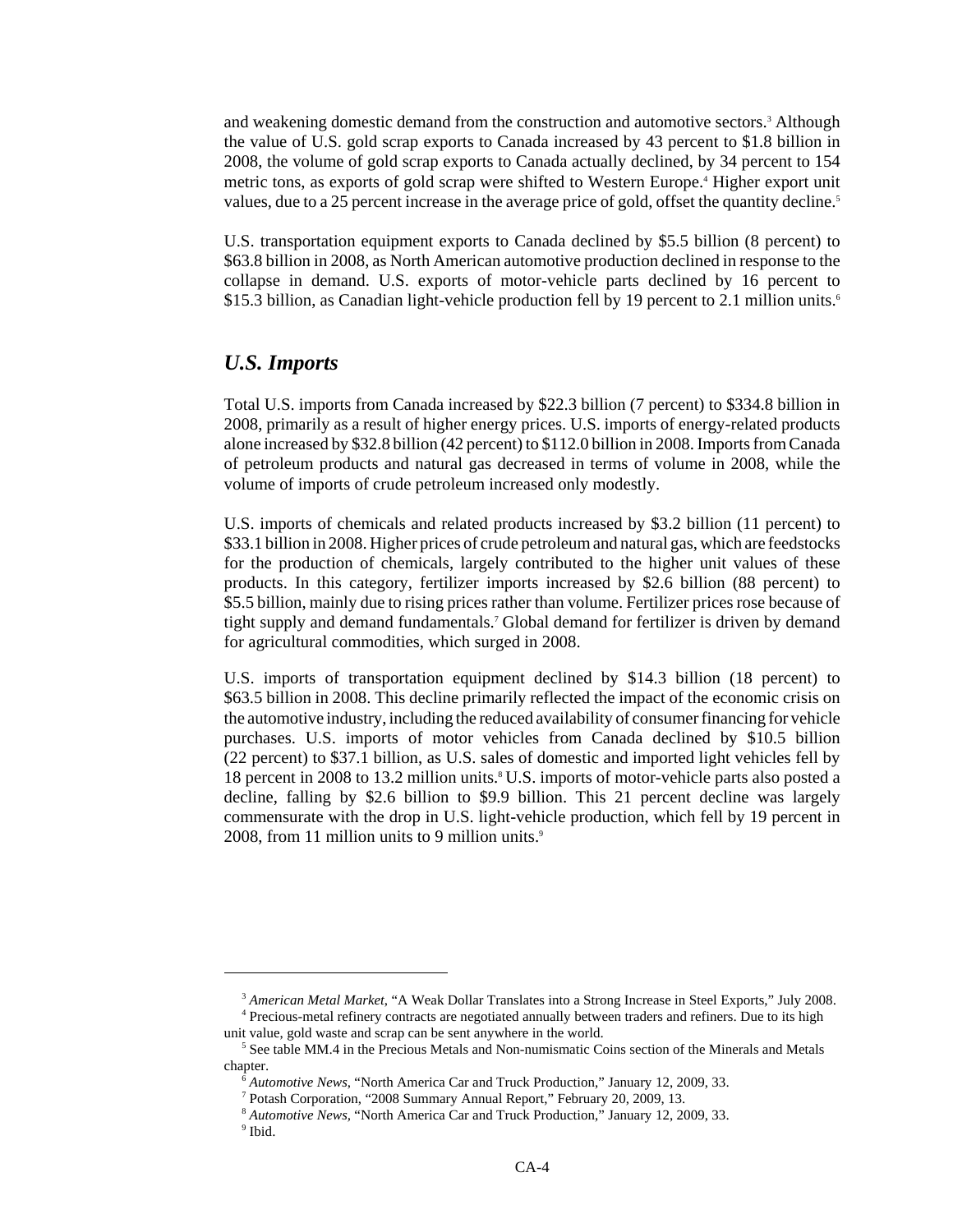and weakening domestic demand from the construction and automotive sectors.<sup>3</sup> Although the value of U.S. gold scrap exports to Canada increased by 43 percent to \$1.8 billion in 2008, the volume of gold scrap exports to Canada actually declined, by 34 percent to 154 metric tons, as exports of gold scrap were shifted to Western Europe.<sup>4</sup> Higher export unit values, due to a 25 percent increase in the average price of gold, offset the quantity decline.<sup>5</sup>

U.S. transportation equipment exports to Canada declined by \$5.5 billion (8 percent) to \$63.8 billion in 2008, as North American automotive production declined in response to the collapse in demand. U.S. exports of motor-vehicle parts declined by 16 percent to \$15.3 billion, as Canadian light-vehicle production fell by 19 percent to 2.1 million units.<sup>6</sup>

#### *U.S. Imports*

Total U.S. imports from Canada increased by \$22.3 billion (7 percent) to \$334.8 billion in 2008, primarily as a result of higher energy prices. U.S. imports of energy-related products alone increased by \$32.8 billion (42 percent) to \$112.0 billion in 2008. Imports from Canada of petroleum products and natural gas decreased in terms of volume in 2008, while the volume of imports of crude petroleum increased only modestly.

U.S. imports of chemicals and related products increased by \$3.2 billion (11 percent) to \$33.1 billion in 2008. Higher prices of crude petroleum and natural gas, which are feedstocks for the production of chemicals, largely contributed to the higher unit values of these products. In this category, fertilizer imports increased by \$2.6 billion (88 percent) to \$5.5 billion, mainly due to rising prices rather than volume. Fertilizer prices rose because of tight supply and demand fundamentals.7 Global demand for fertilizer is driven by demand for agricultural commodities, which surged in 2008.

U.S. imports of transportation equipment declined by \$14.3 billion (18 percent) to \$63.5 billion in 2008. This decline primarily reflected the impact of the economic crisis on the automotive industry, including the reduced availability of consumer financing for vehicle purchases. U.S. imports of motor vehicles from Canada declined by \$10.5 billion (22 percent) to \$37.1 billion, as U.S. sales of domestic and imported light vehicles fell by 18 percent in 2008 to 13.2 million units.<sup>8</sup> U.S. imports of motor-vehicle parts also posted a decline, falling by \$2.6 billion to \$9.9 billion. This 21 percent decline was largely commensurate with the drop in U.S. light-vehicle production, which fell by 19 percent in 2008, from 11 million units to 9 million units.<sup>9</sup>

 <sup>3</sup> *American Metal Market*, "A Weak Dollar Translates into a Strong Increase in Steel Exports," July 2008.

 <sup>4</sup> Precious-metal refinery contracts are negotiated annually between traders and refiners. Due to its high unit value, gold waste and scrap can be sent anywhere in the world.

<sup>&</sup>lt;sup>5</sup> See table MM.4 in the Precious Metals and Non-numismatic Coins section of the Minerals and Metals chapter.

 <sup>6</sup> *Automotive News*, "North America Car and Truck Production," January 12, 2009, 33.

 <sup>7</sup> Potash Corporation, "2008 Summary Annual Report," February 20, 2009, 13.

 <sup>8</sup> *Automotive News,* "North America Car and Truck Production," January 12, 2009, 33.

 <sup>9</sup> Ibid.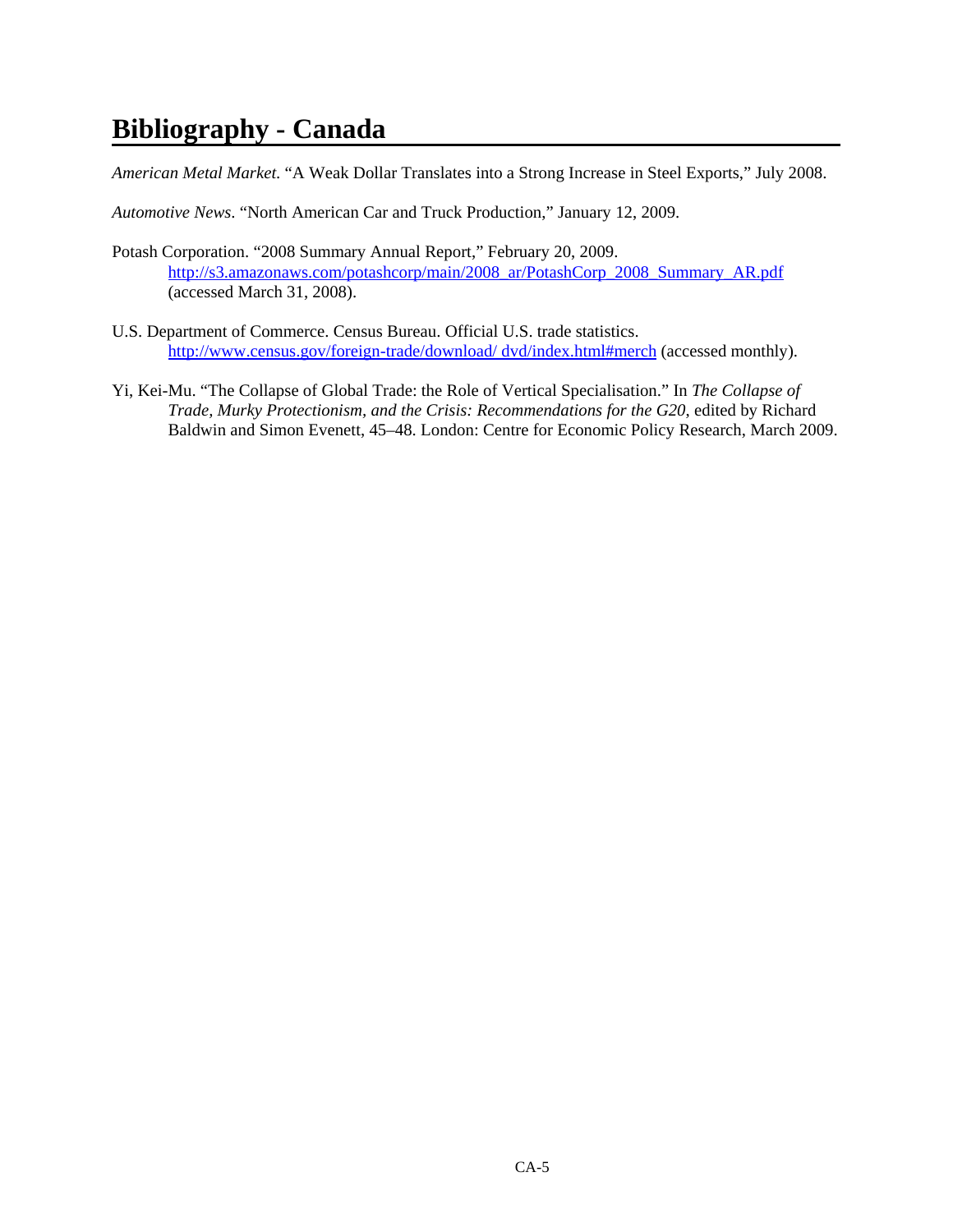## **Bibliography - Canada**

*American Metal Market*. "A Weak Dollar Translates into a Strong Increase in Steel Exports," July 2008.

*Automotive News*. "North American Car and Truck Production," January 12, 2009.

- Potash Corporation. "2008 Summary Annual Report," February 20, 2009. http://s3.amazonaws.com/potashcorp/main/2008\_ar/PotashCorp\_2008\_Summary\_AR.pdf (accessed March 31, 2008).
- U.S. Department of Commerce. Census Bureau. Official U.S. trade statistics. http://www.census.gov/foreign-trade/download/ dvd/index.html#merch (accessed monthly).
- Yi, Kei-Mu. "The Collapse of Global Trade: the Role of Vertical Specialisation." In *The Collapse of Trade, Murky Protectionism, and the Crisis: Recommendations for the G20*, edited by Richard Baldwin and Simon Evenett, 45–48. London: Centre for Economic Policy Research, March 2009.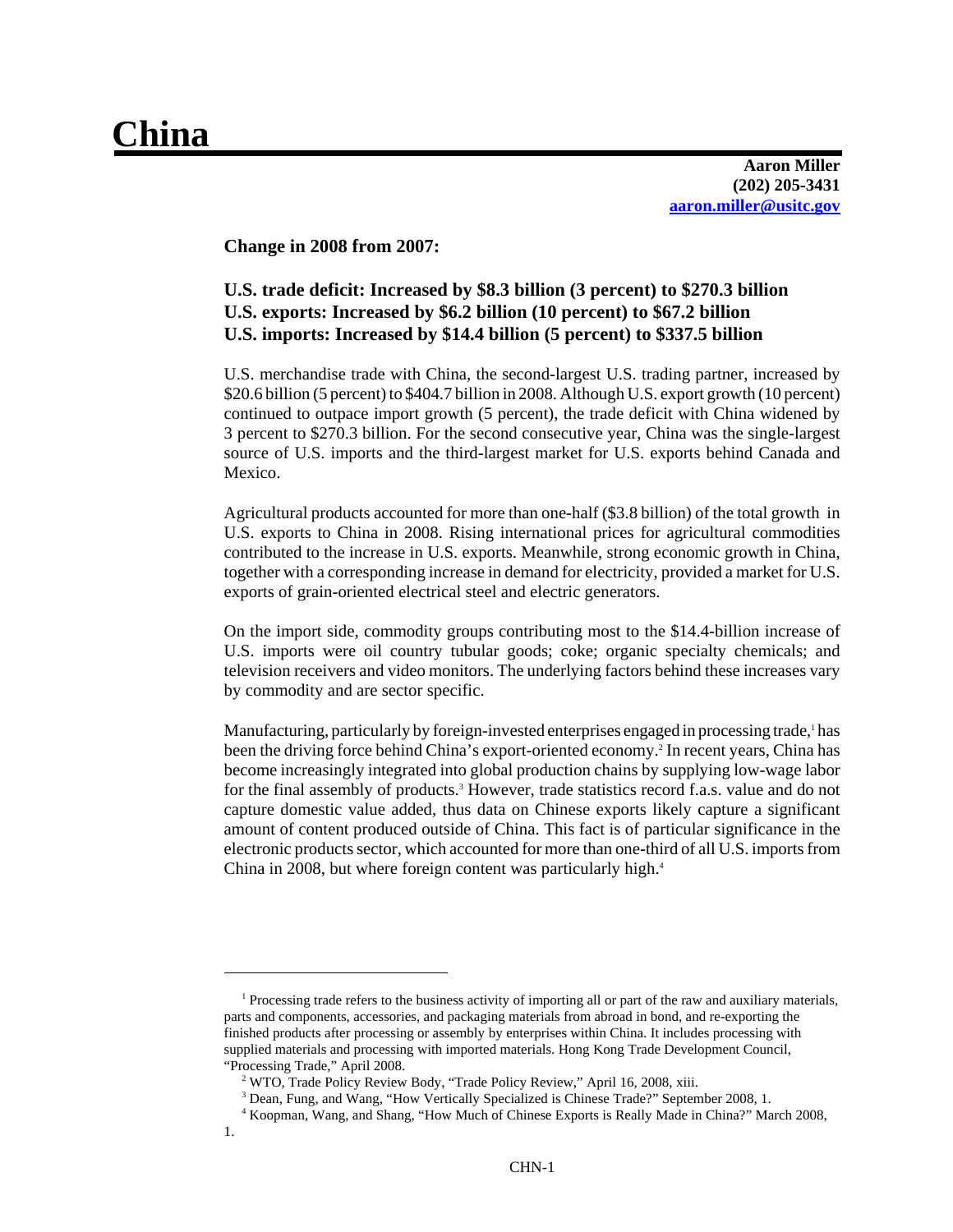# **China**

**Aaron Miller (202) 205-3431 aaron.miller@usitc.gov**

**Change in 2008 from 2007:** 

### **U.S. trade deficit: Increased by \$8.3 billion (3 percent) to \$270.3 billion U.S. exports: Increased by \$6.2 billion (10 percent) to \$67.2 billion U.S. imports: Increased by \$14.4 billion (5 percent) to \$337.5 billion**

U.S. merchandise trade with China, the second-largest U.S. trading partner, increased by \$20.6 billion (5 percent) to \$404.7 billion in 2008. Although U.S. export growth (10 percent) continued to outpace import growth (5 percent), the trade deficit with China widened by 3 percent to \$270.3 billion. For the second consecutive year, China was the single-largest source of U.S. imports and the third-largest market for U.S. exports behind Canada and Mexico.

Agricultural products accounted for more than one-half (\$3.8 billion) of the total growth in U.S. exports to China in 2008. Rising international prices for agricultural commodities contributed to the increase in U.S. exports. Meanwhile, strong economic growth in China, together with a corresponding increase in demand for electricity, provided a market for U.S. exports of grain-oriented electrical steel and electric generators.

On the import side, commodity groups contributing most to the \$14.4-billion increase of U.S. imports were oil country tubular goods; coke; organic specialty chemicals; and television receivers and video monitors. The underlying factors behind these increases vary by commodity and are sector specific.

Manufacturing, particularly by foreign-invested enterprises engaged in processing trade,<sup>1</sup> has been the driving force behind China's export-oriented economy.<sup>2</sup> In recent years, China has become increasingly integrated into global production chains by supplying low-wage labor for the final assembly of products.<sup>3</sup> However, trade statistics record f.a.s. value and do not capture domestic value added, thus data on Chinese exports likely capture a significant amount of content produced outside of China. This fact is of particular significance in the electronic products sector, which accounted for more than one-third of all U.S. imports from China in 2008, but where foreign content was particularly high.4

<sup>&</sup>lt;sup>1</sup> Processing trade refers to the business activity of importing all or part of the raw and auxiliary materials, parts and components, accessories, and packaging materials from abroad in bond, and re-exporting the finished products after processing or assembly by enterprises within China. It includes processing with supplied materials and processing with imported materials. Hong Kong Trade Development Council, "Processing Trade," April 2008.

<sup>&</sup>lt;sup>2</sup> WTO, Trade Policy Review Body, "Trade Policy Review," April 16, 2008, xiii.

<sup>&</sup>lt;sup>3</sup> Dean, Fung, and Wang, "How Vertically Specialized is Chinese Trade?" September 2008, 1.

 <sup>4</sup> Koopman, Wang, and Shang, "How Much of Chinese Exports is Really Made in China?" March 2008,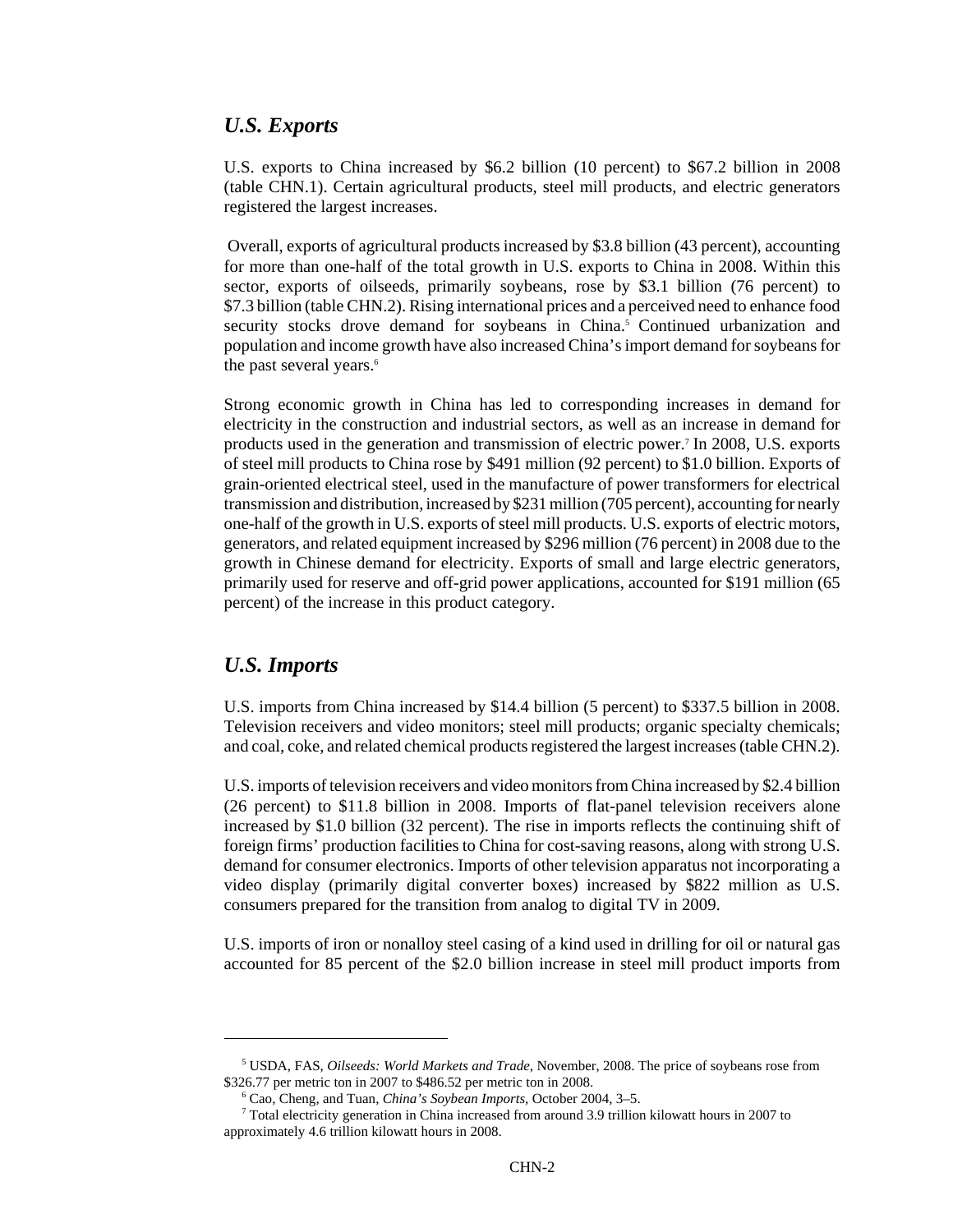#### *U.S. Exports*

U.S. exports to China increased by \$6.2 billion (10 percent) to \$67.2 billion in 2008 (table CHN.1). Certain agricultural products, steel mill products, and electric generators registered the largest increases.

 Overall, exports of agricultural products increased by \$3.8 billion (43 percent), accounting for more than one-half of the total growth in U.S. exports to China in 2008. Within this sector, exports of oilseeds, primarily soybeans, rose by \$3.1 billion (76 percent) to \$7.3 billion (table CHN.2). Rising international prices and a perceived need to enhance food security stocks drove demand for soybeans in China.<sup>5</sup> Continued urbanization and population and income growth have also increased China's import demand for soybeans for the past several years.<sup>6</sup>

Strong economic growth in China has led to corresponding increases in demand for electricity in the construction and industrial sectors, as well as an increase in demand for products used in the generation and transmission of electric power.7 In 2008, U.S. exports of steel mill products to China rose by \$491 million (92 percent) to \$1.0 billion. Exports of grain-oriented electrical steel, used in the manufacture of power transformers for electrical transmission and distribution, increased by \$231 million (705 percent), accounting for nearly one-half of the growth in U.S. exports of steel mill products. U.S. exports of electric motors, generators, and related equipment increased by \$296 million (76 percent) in 2008 due to the growth in Chinese demand for electricity. Exports of small and large electric generators, primarily used for reserve and off-grid power applications, accounted for \$191 million (65 percent) of the increase in this product category.

#### *U.S. Imports*

U.S. imports from China increased by \$14.4 billion (5 percent) to \$337.5 billion in 2008. Television receivers and video monitors; steel mill products; organic specialty chemicals; and coal, coke, and related chemical products registered the largest increases (table CHN.2).

U.S. imports of television receivers and video monitors from China increased by \$2.4 billion (26 percent) to \$11.8 billion in 2008. Imports of flat-panel television receivers alone increased by \$1.0 billion (32 percent). The rise in imports reflects the continuing shift of foreign firms' production facilities to China for cost-saving reasons, along with strong U.S. demand for consumer electronics. Imports of other television apparatus not incorporating a video display (primarily digital converter boxes) increased by \$822 million as U.S. consumers prepared for the transition from analog to digital TV in 2009.

U.S. imports of iron or nonalloy steel casing of a kind used in drilling for oil or natural gas accounted for 85 percent of the \$2.0 billion increase in steel mill product imports from

 <sup>5</sup> USDA, FAS, *Oilseeds: World Markets and Trade,* November, 2008. The price of soybeans rose from \$326.77 per metric ton in 2007 to \$486.52 per metric ton in 2008.

 <sup>6</sup> Cao, Cheng, and Tuan, *China's Soybean Imports*, October 2004, 3–5.

 <sup>7</sup> Total electricity generation in China increased from around 3.9 trillion kilowatt hours in 2007 to approximately 4.6 trillion kilowatt hours in 2008.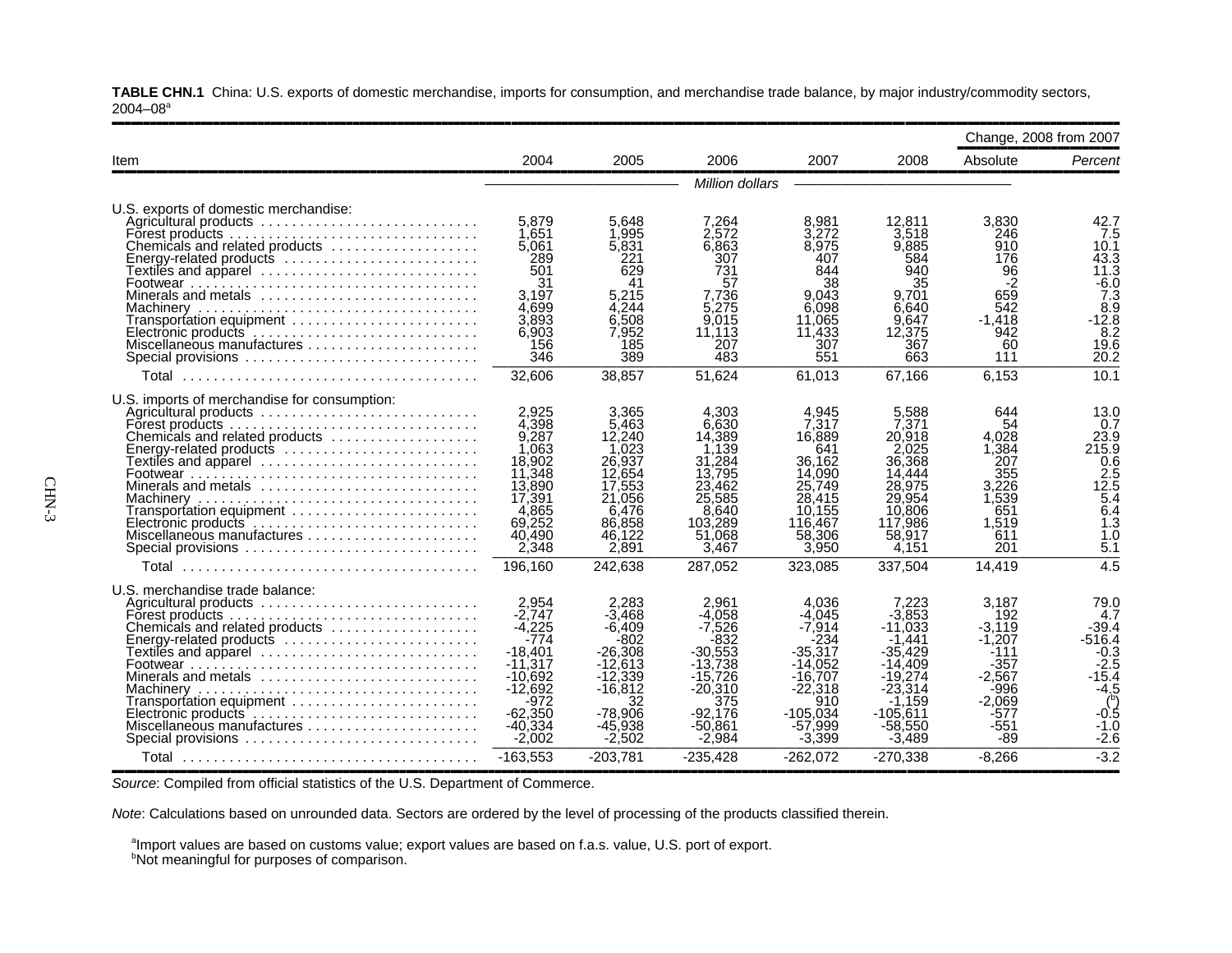**TABLE CHN.1** China: U.S. exports of domestic merchandise, imports for consumption, and merchandise trade balance, by major industry/commodity sectors,  $2004 - 08$ <sup>a</sup>

| 2004                                                                                                                                      | 2005                                                                                                                                | 2006<br>Million dollars                                                                                                                  | 2007                                                                                                                                    | 2008                                                                                                                                            | Absolute                                                                                                        | Percent                                                                                                                 |
|-------------------------------------------------------------------------------------------------------------------------------------------|-------------------------------------------------------------------------------------------------------------------------------------|------------------------------------------------------------------------------------------------------------------------------------------|-----------------------------------------------------------------------------------------------------------------------------------------|-------------------------------------------------------------------------------------------------------------------------------------------------|-----------------------------------------------------------------------------------------------------------------|-------------------------------------------------------------------------------------------------------------------------|
|                                                                                                                                           |                                                                                                                                     |                                                                                                                                          |                                                                                                                                         |                                                                                                                                                 |                                                                                                                 |                                                                                                                         |
|                                                                                                                                           |                                                                                                                                     |                                                                                                                                          |                                                                                                                                         |                                                                                                                                                 |                                                                                                                 |                                                                                                                         |
| 1.651<br>5,061<br>289<br>501<br>31<br>3.197<br>4.699<br>3,893<br>6,903<br>156<br>346                                                      | 5.648<br>1.995<br>5,831<br>221<br>629<br>41<br>5,215<br>4.244<br>6,508<br>7.952<br>185<br>389                                       | 7,264<br>2.572<br>6,863<br>307<br>731<br>57<br>7,736<br>5.275<br>9,015<br>11.113<br>207<br>483                                           | 8.981<br>3.272<br>8.975<br>407<br>844<br>38<br>9.043<br>6.098<br>11.065<br>11.433<br>307<br>551                                         | 12.811<br>3.518<br>9,885<br>584<br>940<br>35<br>9.701<br>6.640<br>9.647<br>12,375<br>367<br>663                                                 | 3.830<br>246<br>910<br>176<br>96<br>-2<br>659<br>542<br>$-1,418$<br>942<br>60<br>111                            | 42.7<br>7.5<br>10.1<br>43.3<br>11.3<br>$-6.0$<br>7.3<br>8.9<br>$-12.8$<br>8.2<br>19.6<br>20.2                           |
| 32,606                                                                                                                                    | 38.857                                                                                                                              | 51,624                                                                                                                                   | 61,013                                                                                                                                  | 67,166                                                                                                                                          | 6,153                                                                                                           | 10.1                                                                                                                    |
| 2.925<br>4.398<br>9,287<br>1.063<br>18,902<br>11,348<br>13,890<br>17,391<br>4.865<br>69,252<br>40,490<br>2,348                            | 3,365<br>5.463<br>12,240<br>.023<br>26.937<br>12.654<br>17.553<br>21,056<br>6.476<br>86,858<br>46,122<br>2,891                      | 4.303<br>6,630<br>14,389<br>1,139<br>31.284<br>13.795<br>23.462<br>25,585<br>8,640<br>103.289<br>51,068<br>3.467                         | 4,945<br>7.317<br>16,889<br>641<br>36.162<br>14,090<br>25.749<br>28,415<br>10.155<br>116,467<br>58,306<br>3,950                         | 5,588<br>7.371<br>20.918<br>2.025<br>36,368<br>14,444<br>28.975<br>29,954<br>10,806<br>117.986<br>58,917<br>4,151                               | 644<br>54<br>4.028<br>1,384<br>207<br>355<br>3.226<br>1,539<br>651<br>1.519<br>611<br>201                       | 13.0<br>0.7<br>23.9<br>215.9<br>0.6<br>2.5<br>12.5<br>$\overline{5}$ .4<br>6.4<br>1.3<br>1.0<br>5.1<br>$\overline{4.5}$ |
|                                                                                                                                           |                                                                                                                                     |                                                                                                                                          |                                                                                                                                         |                                                                                                                                                 |                                                                                                                 |                                                                                                                         |
| 2,954<br>$-2.747$<br>$-4,225$<br>$-774$<br>-18.401<br>$-11.317$<br>$-10.692$<br>$-12,692$<br>$-972$<br>$-62.350$<br>$-40,334$<br>$-2,002$ | 2,283<br>$-3.468$<br>-6.409<br>-802<br>$-26,308$<br>$-12.613$<br>$-12.339$<br>$-16,812$<br>32<br>$-78.906$<br>$-45,938$<br>$-2,502$ | 2.961<br>$-4.058$<br>$-7.526$<br>$-832$<br>$-30,553$<br>$-13.738$<br>$-15.726$<br>$-20,310$<br>375<br>$-92.176$<br>$-50,861$<br>$-2.984$ | 4.036<br>$-4.045$<br>$-7.914$<br>-234<br>$-35,317$<br>$-14.052$<br>$-16.707$<br>$-22.318$<br>910<br>$-105.034$<br>$-57,999$<br>$-3,399$ | 7,223<br>$-3,853$<br>$-11.033$<br>$-1.441$<br>$-35.429$<br>$-14.409$<br>$-19.274$<br>$-23.314$<br>$-1.159$<br>$-105.611$<br>$-58,550$<br>-3.489 | 3,187<br>192<br>$-3.119$<br>$-1.207$<br>-111<br>$-357$<br>$-2.567$<br>-996<br>$-2.069$<br>-577<br>$-551$<br>-89 | 79.0<br>4.7<br>$-39.4$<br>-516.4<br>$-0.3$<br>$-2.5$<br>-15.4<br>$-4.5$<br>(5)<br>$-0.5$<br>$-1.0$<br>$-2.6$<br>$-3.2$  |
|                                                                                                                                           | 5.879<br>196,160<br>$-163,553$                                                                                                      | 242.638<br>$-203,781$                                                                                                                    | 287.052<br>$-235,428$                                                                                                                   | 323.085<br>$-262,072$                                                                                                                           | 337.504<br>$-270,338$                                                                                           | 14.419<br>$-8,266$                                                                                                      |

**Source: Compiled from official statistics of the U.S. Department of Commerce.** 

*Note*: Calculations based on unrounded data. Sectors are ordered by the level of processing of the products classified therein.

 $^{\text{\tiny{a}}}$ Import values are based on customs value; export values are based on f.a.s. value, U.S. port of export.

<sup>b</sup>Not meaningful for purposes of comparison.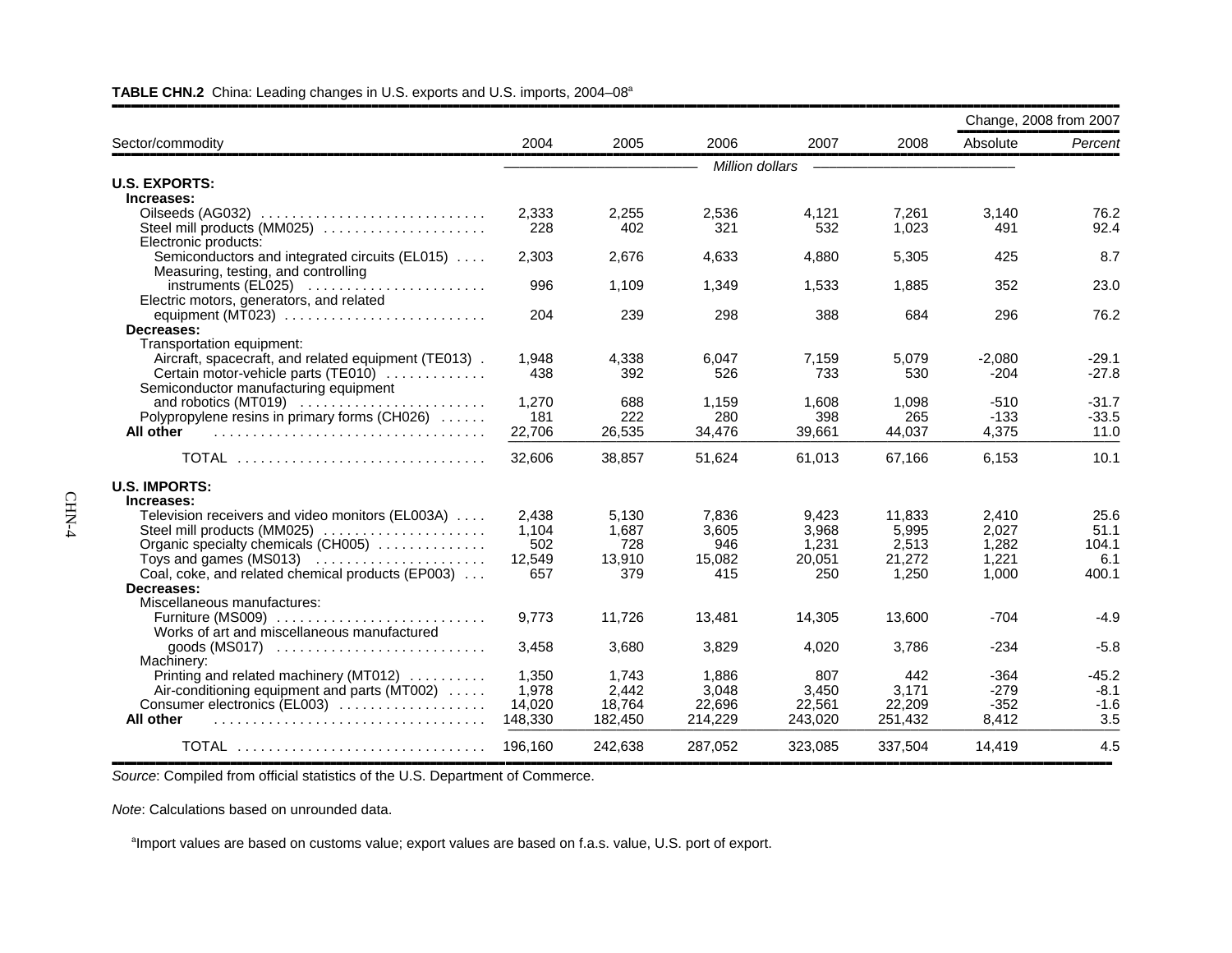|                                                                      |         |         |                 |         |         | Change, 2008 from 2007 |         |
|----------------------------------------------------------------------|---------|---------|-----------------|---------|---------|------------------------|---------|
| Sector/commodity                                                     | 2004    | 2005    | 2006            | 2007    | 2008    | Absolute               | Percent |
|                                                                      |         |         | Million dollars |         |         |                        |         |
| <b>U.S. EXPORTS:</b>                                                 |         |         |                 |         |         |                        |         |
| Increases:                                                           |         |         |                 |         |         |                        |         |
|                                                                      | 2,333   | 2,255   | 2,536           | 4,121   | 7,261   | 3,140                  | 76.2    |
| Steel mill products (MM025)                                          | 228     | 402     | 321             | 532     | 1,023   | 491                    | 92.4    |
| Electronic products:                                                 |         |         |                 |         |         |                        |         |
| Semiconductors and integrated circuits (EL015)                       | 2,303   | 2.676   | 4,633           | 4,880   | 5,305   | 425                    | 8.7     |
| Measuring, testing, and controlling                                  |         |         |                 |         |         |                        |         |
|                                                                      | 996     | 1,109   | 1,349           | 1,533   | 1,885   | 352                    | 23.0    |
| Electric motors, generators, and related                             |         |         |                 |         |         |                        |         |
| equipment (MT023) $\ldots \ldots \ldots \ldots \ldots \ldots \ldots$ | 204     | 239     | 298             | 388     | 684     | 296                    | 76.2    |
| Decreases:                                                           |         |         |                 |         |         |                        |         |
| Transportation equipment:                                            |         |         |                 |         |         |                        |         |
| Aircraft, spacecraft, and related equipment (TE013).                 | 1.948   | 4.338   | 6.047           | 7.159   | 5.079   | $-2.080$               | $-29.1$ |
| Certain motor-vehicle parts (TE010)                                  | 438     | 392     | 526             | 733     | 530     | $-204$                 | $-27.8$ |
| Semiconductor manufacturing equipment                                |         |         |                 |         |         |                        |         |
|                                                                      | 1.270   | 688     | 1,159           | 1.608   | 1.098   | $-510$                 | $-31.7$ |
| Polypropylene resins in primary forms (CH026)                        | 181     | 222     | 280             | 398     | 265     | $-133$                 | $-33.5$ |
| All other                                                            | 22,706  | 26,535  | 34,476          | 39,661  | 44,037  | 4,375                  | 11.0    |
| <b>TOTAL</b>                                                         | 32,606  | 38,857  | 51,624          | 61,013  | 67,166  | 6,153                  | 10.1    |
| <b>U.S. IMPORTS:</b>                                                 |         |         |                 |         |         |                        |         |
| Increases:                                                           |         |         |                 |         |         |                        |         |
| Television receivers and video monitors (EL003A)                     | 2.438   | 5,130   | 7,836           | 9,423   | 11.833  | 2,410                  | 25.6    |
| Steel mill products (MM025)                                          | 1,104   | 1,687   | 3,605           | 3,968   | 5,995   | 2,027                  | 51.1    |
| Organic specialty chemicals (CH005)                                  | 502     | 728     | 946             | 1,231   | 2,513   | 1,282                  | 104.1   |
| Toys and games $(MS013)$                                             | 12,549  | 13,910  | 15,082          | 20,051  | 21,272  | 1,221                  | 6.1     |
| Coal, coke, and related chemical products (EP003)                    | 657     | 379     | 415             | 250     | 1,250   | 1,000                  | 400.1   |
| Decreases:                                                           |         |         |                 |         |         |                        |         |
| Miscellaneous manufactures:                                          |         |         |                 |         |         |                        |         |
| Furniture (MS009)                                                    | 9.773   | 11.726  | 13,481          | 14.305  | 13.600  | $-704$                 | $-4.9$  |
| Works of art and miscellaneous manufactured                          |         |         |                 |         |         |                        |         |
| goods $(MS017)$                                                      | 3,458   | 3,680   | 3,829           | 4,020   | 3,786   | $-234$                 | $-5.8$  |
| Machinery:                                                           |         |         |                 |         |         |                        |         |
| Printing and related machinery (MT012)                               | 1,350   | 1,743   | 1,886           | 807     | 442     | $-364$                 | $-45.2$ |
| Air-conditioning equipment and parts (MT002)                         | 1,978   | 2,442   | 3,048           | 3.450   | 3,171   | $-279$                 | $-8.1$  |
| Consumer electronics (EL003)                                         | 14.020  | 18.764  | 22,696          | 22,561  | 22.209  | $-352$                 | $-1.6$  |
| All other                                                            | 148,330 | 182,450 | 214,229         | 243,020 | 251,432 | 8,412                  | 3.5     |
| TOTAL                                                                | 196,160 | 242,638 | 287,052         | 323,085 | 337,504 | 14,419                 | 4.5     |

#### **TABLE CHN.2** China: Leading changes in U.S. exports and U.S. imports, 2004–08a

,,,,,,,,,,,,,,,,,,,,,,,,,,,,,,,,,,,,,,,,,,,,,,,,,,,,,,,,,,,,,,,,,,,,,,,,,,,,,,,,,,,,,,,,,,,,,,,,,,,,,,,,,,,,,,,,,,,,,,,,,,,,,,,,,,,,,,,,,,,,,,,,,,,,,,,,,,,,,,,,*Source*: Compiled from official statistics of the U.S. Department of Commerce.

*Note*: Calculations based on unrounded data.

<sup>a</sup>Import values are based on customs value; export values are based on f.a.s. value, U.S. port of export.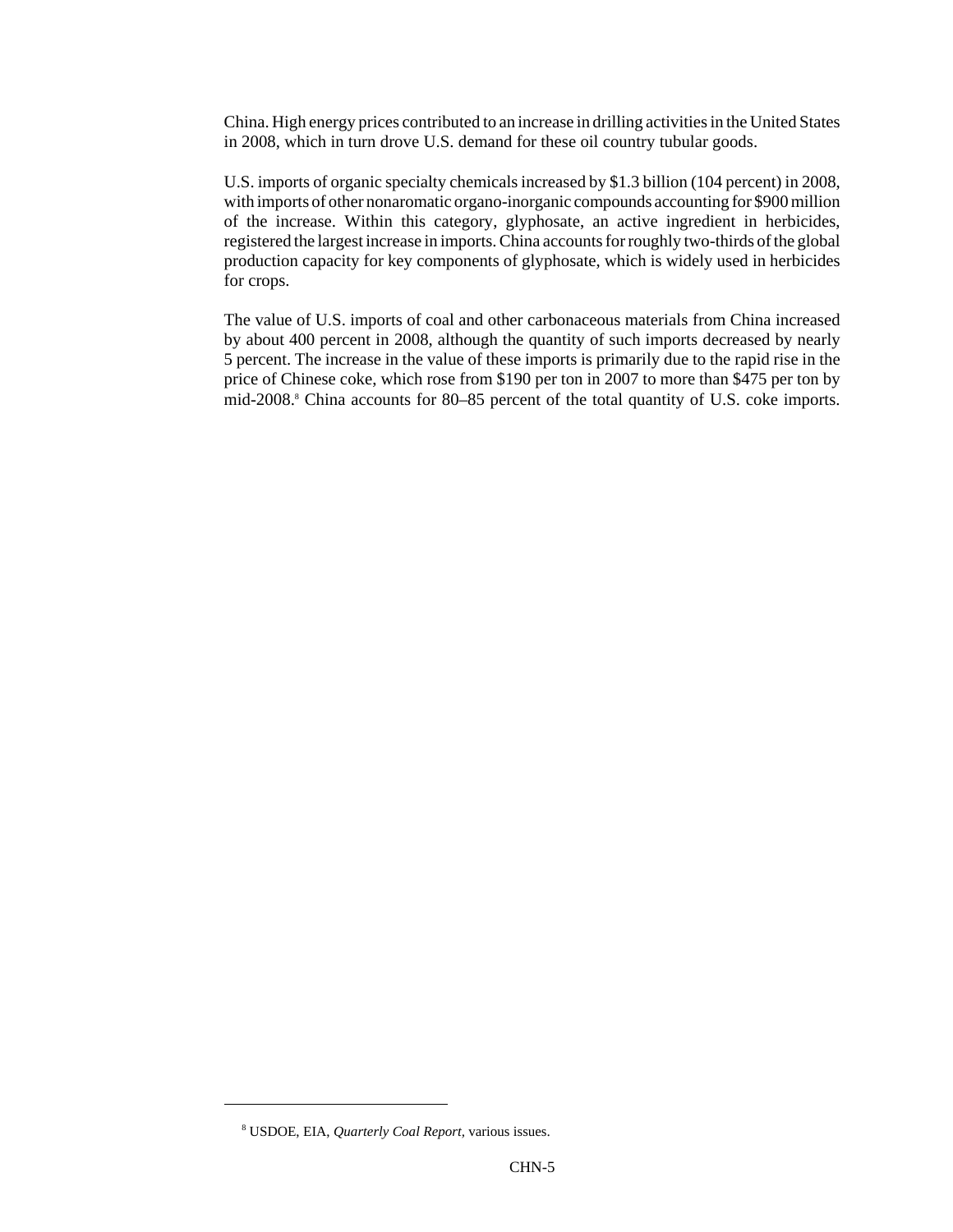China. High energy prices contributed to an increase in drilling activities in the United States in 2008, which in turn drove U.S. demand for these oil country tubular goods.

U.S. imports of organic specialty chemicals increased by \$1.3 billion (104 percent) in 2008, with imports of other nonaromatic organo-inorganic compounds accounting for \$900 million of the increase. Within this category, glyphosate, an active ingredient in herbicides, registered the largest increase in imports. China accounts for roughly two-thirds of the global production capacity for key components of glyphosate, which is widely used in herbicides for crops.

The value of U.S. imports of coal and other carbonaceous materials from China increased by about 400 percent in 2008, although the quantity of such imports decreased by nearly 5 percent. The increase in the value of these imports is primarily due to the rapid rise in the price of Chinese coke, which rose from \$190 per ton in 2007 to more than \$475 per ton by mid-2008.<sup>8</sup> China accounts for 80–85 percent of the total quantity of U.S. coke imports.

 <sup>8</sup> USDOE, EIA, *Quarterly Coal Report,* various issues.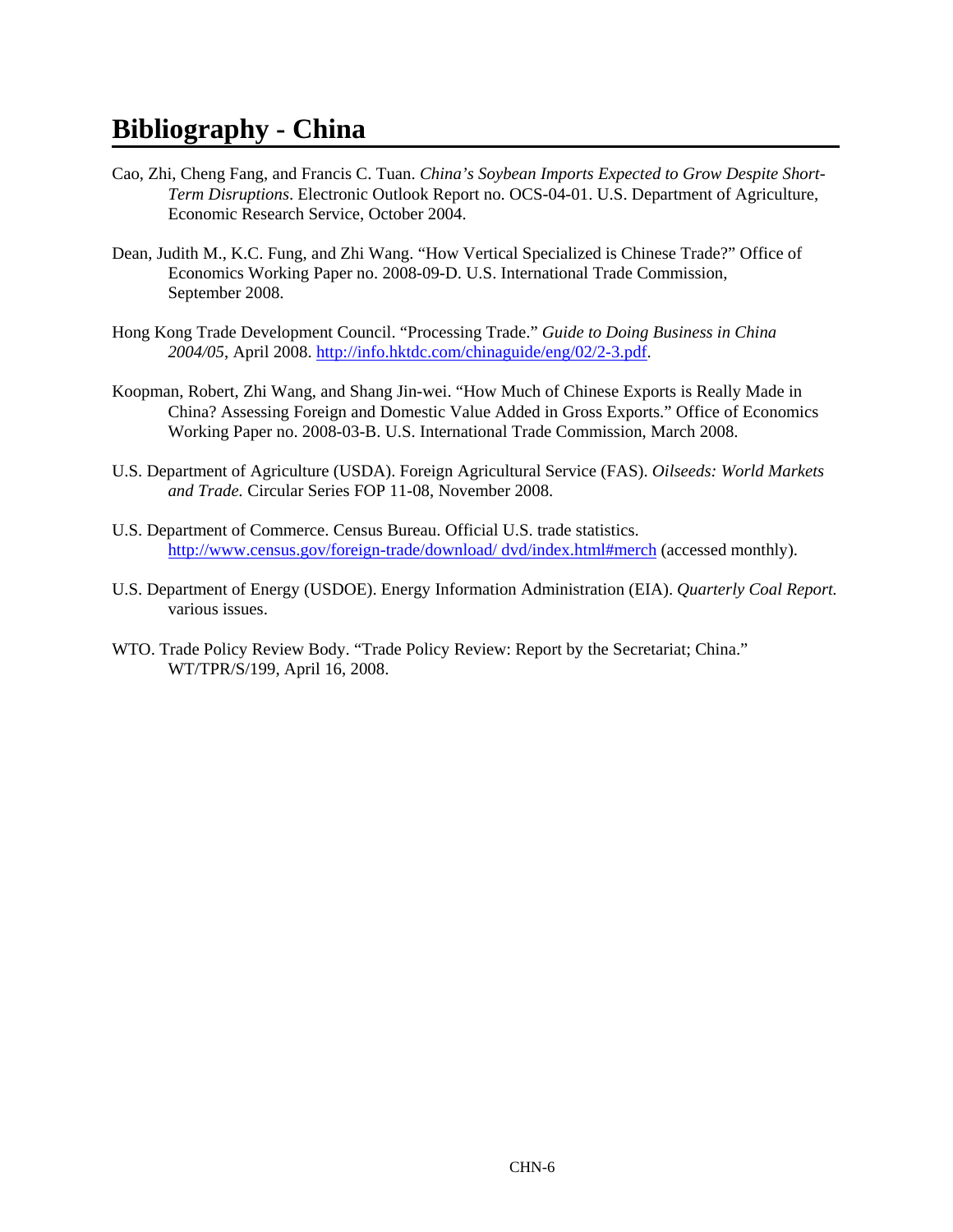# **Bibliography - China**

- Cao, Zhi, Cheng Fang, and Francis C. Tuan. *China's Soybean Imports Expected to Grow Despite Short-Term Disruptions*. Electronic Outlook Report no. OCS-04-01. U.S. Department of Agriculture, Economic Research Service, October 2004.
- Dean, Judith M., K.C. Fung, and Zhi Wang. "How Vertical Specialized is Chinese Trade?" Office of Economics Working Paper no. 2008-09-D. U.S. International Trade Commission, September 2008.
- Hong Kong Trade Development Council. "Processing Trade." *Guide to Doing Business in China 2004/05*, April 2008. http://info.hktdc.com/chinaguide/eng/02/2-3.pdf.
- Koopman, Robert, Zhi Wang, and Shang Jin-wei. "How Much of Chinese Exports is Really Made in China? Assessing Foreign and Domestic Value Added in Gross Exports." Office of Economics Working Paper no. 2008-03-B. U.S. International Trade Commission, March 2008.
- U.S. Department of Agriculture (USDA). Foreign Agricultural Service (FAS). *Oilseeds: World Markets and Trade.* Circular Series FOP 11-08, November 2008.
- U.S. Department of Commerce. Census Bureau. Official U.S. trade statistics. http://www.census.gov/foreign-trade/download/ dvd/index.html#merch (accessed monthly).
- U.S. Department of Energy (USDOE). Energy Information Administration (EIA). *Quarterly Coal Report.* various issues.
- WTO. Trade Policy Review Body. "Trade Policy Review: Report by the Secretariat; China." WT/TPR/S/199, April 16, 2008.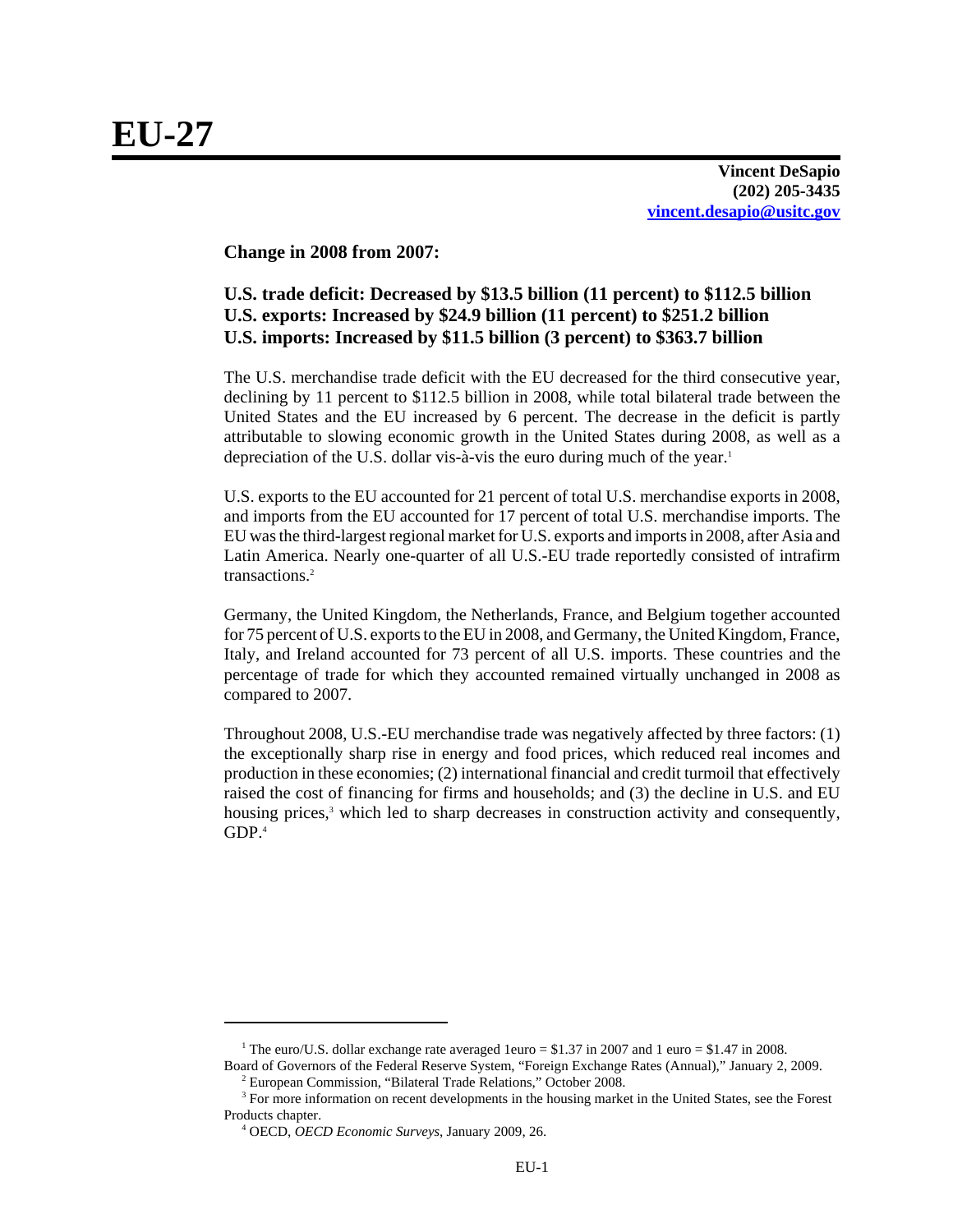**Vincent DeSapio (202) 205-3435 vincent.desapio@usitc.gov**

**Change in 2008 from 2007:**

# **U.S. trade deficit: Decreased by \$13.5 billion (11 percent) to \$112.5 billion U.S. exports: Increased by \$24.9 billion (11 percent) to \$251.2 billion U.S. imports: Increased by \$11.5 billion (3 percent) to \$363.7 billion**

The U.S. merchandise trade deficit with the EU decreased for the third consecutive year, declining by 11 percent to \$112.5 billion in 2008, while total bilateral trade between the United States and the EU increased by 6 percent. The decrease in the deficit is partly attributable to slowing economic growth in the United States during 2008, as well as a depreciation of the U.S. dollar vis-à-vis the euro during much of the year.<sup>1</sup>

U.S. exports to the EU accounted for 21 percent of total U.S. merchandise exports in 2008, and imports from the EU accounted for 17 percent of total U.S. merchandise imports. The EU was the third-largest regional market for U.S. exports and imports in 2008, after Asia and Latin America. Nearly one-quarter of all U.S.-EU trade reportedly consisted of intrafirm transactions.2

Germany, the United Kingdom, the Netherlands, France, and Belgium together accounted for 75 percent of U.S. exports to the EU in 2008, and Germany, the United Kingdom, France, Italy, and Ireland accounted for 73 percent of all U.S. imports. These countries and the percentage of trade for which they accounted remained virtually unchanged in 2008 as compared to 2007.

Throughout 2008, U.S.-EU merchandise trade was negatively affected by three factors: (1) the exceptionally sharp rise in energy and food prices, which reduced real incomes and production in these economies; (2) international financial and credit turmoil that effectively raised the cost of financing for firms and households; and (3) the decline in U.S. and EU housing prices,<sup>3</sup> which led to sharp decreases in construction activity and consequently, GDP.4

<sup>&</sup>lt;sup>1</sup> The euro/U.S. dollar exchange rate averaged 1euro = \$1.37 in 2007 and 1 euro = \$1.47 in 2008. Board of Governors of the Federal Reserve System, "Foreign Exchange Rates (Annual)," January 2, 2009.

 <sup>2</sup> European Commission, "Bilateral Trade Relations," October 2008.

<sup>&</sup>lt;sup>3</sup> For more information on recent developments in the housing market in the United States, see the Forest Products chapter.

 <sup>4</sup> OECD, *OECD Economic Surveys*, January 2009, 26.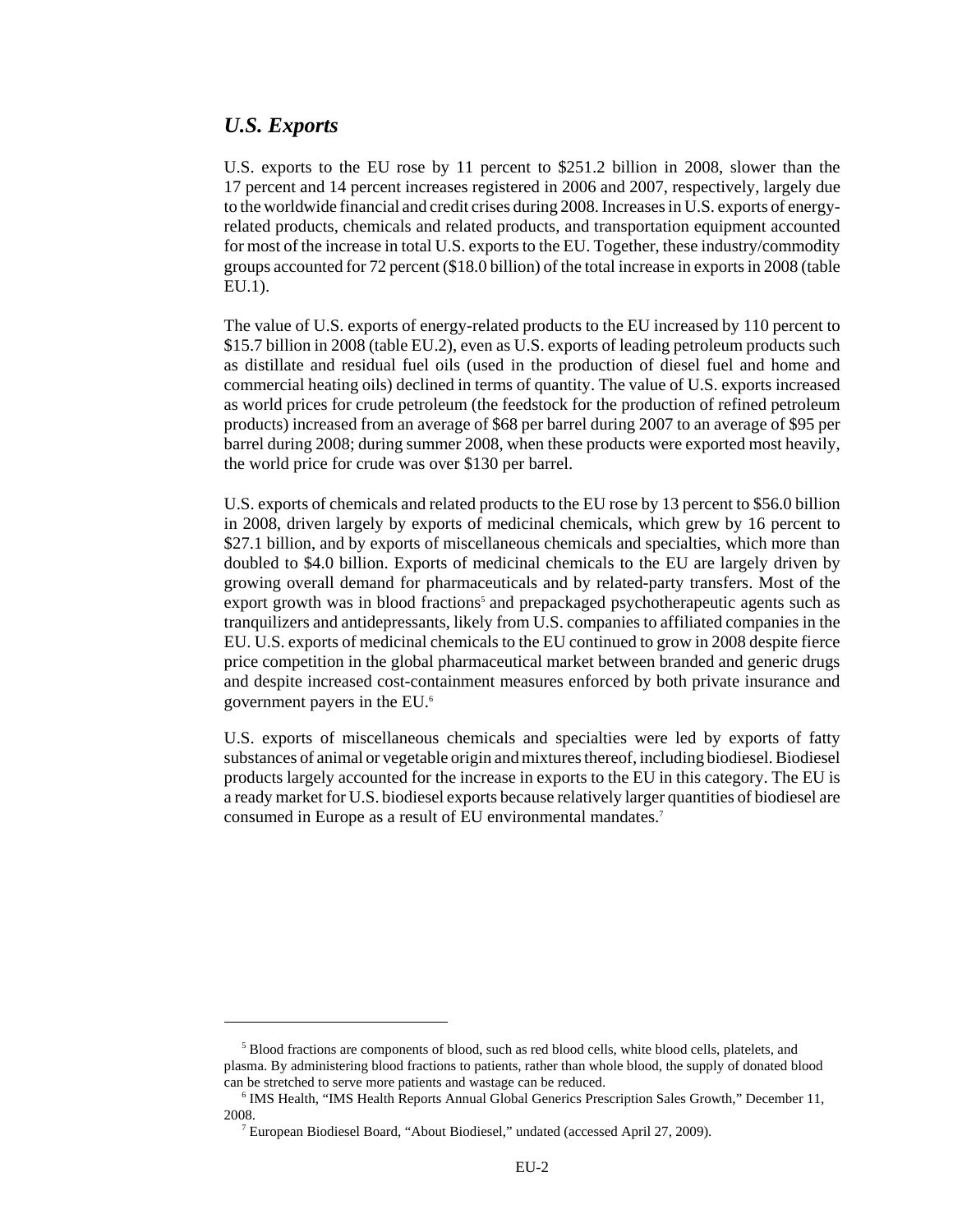## *U.S. Exports*

U.S. exports to the EU rose by 11 percent to \$251.2 billion in 2008, slower than the 17 percent and 14 percent increases registered in 2006 and 2007, respectively, largely due to the worldwide financial and credit crises during 2008. Increases in U.S. exports of energyrelated products, chemicals and related products, and transportation equipment accounted for most of the increase in total U.S. exports to the EU. Together, these industry/commodity groups accounted for 72 percent (\$18.0 billion) of the total increase in exports in 2008 (table EU.1).

The value of U.S. exports of energy-related products to the EU increased by 110 percent to \$15.7 billion in 2008 (table EU.2), even as U.S. exports of leading petroleum products such as distillate and residual fuel oils (used in the production of diesel fuel and home and commercial heating oils) declined in terms of quantity. The value of U.S. exports increased as world prices for crude petroleum (the feedstock for the production of refined petroleum products) increased from an average of \$68 per barrel during 2007 to an average of \$95 per barrel during 2008; during summer 2008, when these products were exported most heavily, the world price for crude was over \$130 per barrel.

U.S. exports of chemicals and related products to the EU rose by 13 percent to \$56.0 billion in 2008, driven largely by exports of medicinal chemicals, which grew by 16 percent to \$27.1 billion, and by exports of miscellaneous chemicals and specialties, which more than doubled to \$4.0 billion. Exports of medicinal chemicals to the EU are largely driven by growing overall demand for pharmaceuticals and by related-party transfers. Most of the export growth was in blood fractions<sup>5</sup> and prepackaged psychotherapeutic agents such as tranquilizers and antidepressants, likely from U.S. companies to affiliated companies in the EU. U.S. exports of medicinal chemicals to the EU continued to grow in 2008 despite fierce price competition in the global pharmaceutical market between branded and generic drugs and despite increased cost-containment measures enforced by both private insurance and government payers in the EU.6

U.S. exports of miscellaneous chemicals and specialties were led by exports of fatty substances of animal or vegetable origin and mixtures thereof, including biodiesel. Biodiesel products largely accounted for the increase in exports to the EU in this category. The EU is a ready market for U.S. biodiesel exports because relatively larger quantities of biodiesel are consumed in Europe as a result of EU environmental mandates.<sup>7</sup>

<sup>&</sup>lt;sup>5</sup> Blood fractions are components of blood, such as red blood cells, white blood cells, platelets, and plasma. By administering blood fractions to patients, rather than whole blood, the supply of donated blood can be stretched to serve more patients and wastage can be reduced.

<sup>&</sup>lt;sup>6</sup> IMS Health, "IMS Health Reports Annual Global Generics Prescription Sales Growth," December 11, 2008.

 <sup>7</sup> European Biodiesel Board, "About Biodiesel," undated (accessed April 27, 2009).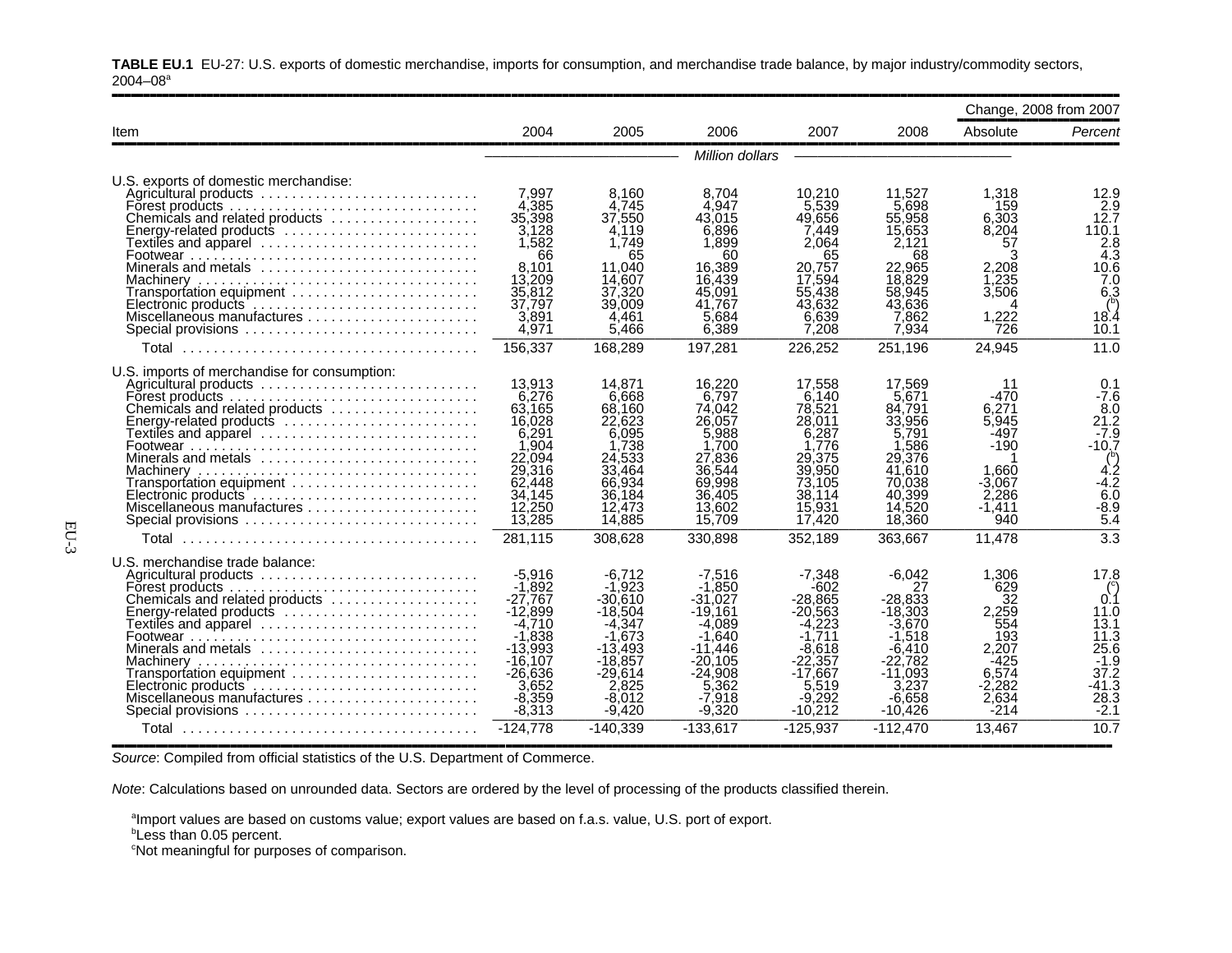|                                                                                                                                                                                                                                                                                                                      |                                                                                                                                                            |                                                                                                                                                  |                                                                                                                                                          |                                                                                                                                                          |                                                                                                                                                    |                                                                                                             | Change, 2008 from 2007                                                                                                                   |
|----------------------------------------------------------------------------------------------------------------------------------------------------------------------------------------------------------------------------------------------------------------------------------------------------------------------|------------------------------------------------------------------------------------------------------------------------------------------------------------|--------------------------------------------------------------------------------------------------------------------------------------------------|----------------------------------------------------------------------------------------------------------------------------------------------------------|----------------------------------------------------------------------------------------------------------------------------------------------------------|----------------------------------------------------------------------------------------------------------------------------------------------------|-------------------------------------------------------------------------------------------------------------|------------------------------------------------------------------------------------------------------------------------------------------|
| <b>Item</b>                                                                                                                                                                                                                                                                                                          | 2004                                                                                                                                                       | 2005                                                                                                                                             | 2006                                                                                                                                                     | 2007                                                                                                                                                     | 2008                                                                                                                                               | Absolute                                                                                                    | Percent                                                                                                                                  |
|                                                                                                                                                                                                                                                                                                                      |                                                                                                                                                            |                                                                                                                                                  | Million dollars                                                                                                                                          |                                                                                                                                                          |                                                                                                                                                    |                                                                                                             |                                                                                                                                          |
| U.S. exports of domestic merchandise:<br>Agricultural products<br>Forest products<br>Chemicals and related products<br>Energy-related products<br>Textiles and apparel<br>Minerals and metals $\ldots \ldots \ldots \ldots \ldots \ldots \ldots$<br>Transportation equipment<br>Electronic products                  | 7.997<br>4.385<br>35,398<br>3.128<br>1,582<br>66<br>8.101<br>13,209<br>35,812<br>37,797<br>3.891                                                           | 8,160<br>4.745<br>37,550<br>4.119<br>1,749<br>65<br>11,040<br>14.607<br>37,320<br>39,009<br>4.461                                                | 8,704<br>4,947<br>43.015<br>6.896<br>1,899<br>60<br>16.389<br>16.439<br>45,091<br>41.767<br>5.684                                                        | 10.210<br>5,539<br>49.656<br>7.449<br>2.064<br>65<br>20.757<br>17.594<br>55,438<br>43.632<br>6.639                                                       | 11,527<br>5.698<br>55,958<br>15.653<br>2,121<br>68<br>22,965<br>18,829<br>58,945<br>43,636<br>7,862                                                | 1,318<br>159<br>6.303<br>8,204<br>57<br>3<br>2.208<br>1.235<br>3,506<br>1,222                               | 12.9<br>2.9<br>12.7<br>110.1<br>$\frac{2.8}{4.3}$<br>10.6<br>7.0<br>6,3<br>18.4                                                          |
| Special provisions                                                                                                                                                                                                                                                                                                   | 4,971<br>156,337                                                                                                                                           | 5,466<br>168,289                                                                                                                                 | 6,389<br>197,281                                                                                                                                         | 7.208<br>226,252                                                                                                                                         | 7,934<br>251,196                                                                                                                                   | 726<br>24,945                                                                                               | 10.1<br>11.0                                                                                                                             |
| U.S. imports of merchandise for consumption:<br>Agricultural products<br>Forest products<br>Chemicals and related products<br>Energy-related products<br>Textiles and apparel<br>Minerals and metals<br>Transportation equipment<br>Electronic products<br>Miscellaneous manufactures<br>Special provisions<br>Total | 13,913<br>6.276<br>63.165<br>16,028<br>6,291<br>1.904<br>22,094<br>29,316<br>62,448<br>34,145<br>12,250<br>13,285<br>281,115                               | 14.871<br>6.668<br>68.160<br>22,623<br>6.095<br>1.738<br>24,533<br>33,464<br>66,934<br>36,184<br>12,473<br>14,885<br>308.628                     | 16,220<br>6.797<br>74.042<br>26,057<br>5,988<br>1.700<br>27,836<br>36.544<br>69,998<br>36,405<br>13,602<br>15,709<br>330.898                             | 17.558<br>6.140<br>78,521<br>28.011<br>6.287<br>1.776<br>29,375<br>39,950<br>73,105<br>38.114<br>15,931<br>17,420<br>352,189                             | 17,569<br>5.671<br>84,791<br>33,956<br>5,791<br>1,586<br>29.376<br>41.610<br>70,038<br>40,399<br>14,520<br>18,360<br>363,667                       | 11<br>$-470$<br>6,271<br>5,945<br>$-497$<br>$-190$<br>1.660<br>$-3.067$<br>2,286<br>-1.411<br>940<br>11,478 | 0.1<br>$-7.6$<br>8.0<br>21.2<br>$-7.9$<br>$-10.7$<br>$\binom{6}{4.2}$<br>$-4.2$<br>$6.\overline{0}$<br>$-8.9$<br>5.4<br>$\overline{3.3}$ |
| U.S. merchandise trade balance:<br>Agricultural products<br>Forest products $\ldots \ldots \ldots \ldots \ldots \ldots \ldots \ldots \ldots$<br>Chemicals and related products<br>Energy-related products<br>Textiles and apparel<br>Minerals and metals<br>Transportation equipment<br>Special provisions<br>Total  | $-5,916$<br>$-1.892$<br>$-27.767$<br>$-12.899$<br>$-4,710$<br>$-1.838$<br>$-13,993$<br>-16.107<br>$-26.636$<br>3,652<br>$-8,359$<br>$-8,313$<br>$-124.778$ | -6.712<br>-1.923<br>$-30.610$<br>$-18.504$<br>-4.347<br>-1.673<br>$-13,493$<br>$-18,857$<br>-29.614<br>2.825<br>-8,012<br>$-9,420$<br>$-140.339$ | $-7,516$<br>$-1.850$<br>$-31.027$<br>$-19.161$<br>$-4.089$<br>$-1.640$<br>-11.446<br>-20.105<br>$-24.908$<br>5,362<br>$-7.918$<br>$-9,320$<br>$-133.617$ | $-7.348$<br>$-602$<br>$-28.865$<br>$-20.563$<br>$-4.223$<br>$-1.711$<br>-8.618<br>$-22,357$<br>$-17,667$<br>5.519<br>$-9,292$<br>$-10,212$<br>$-125.937$ | $-6,042$<br>27<br>$-28.833$<br>$-18.303$<br>-3.670<br>$-1.518$<br>$-6,410$<br>$-22.782$<br>$-11.093$<br>3.237<br>-6,658<br>$-10,426$<br>$-112.470$ | 1,306<br>629<br>32<br>2,259<br>554<br>193<br>2,207<br>-425<br>6.574<br>-2.282<br>2,634<br>$-214$<br>13.467  | 17.8<br>0.1<br>11.0<br>13.1<br>11.3<br>25.6<br>$-1.9$<br>37.2<br>41.3-<br>28.3<br>$-2.1$<br>10.7                                         |

,,,,,,,,,,,,,,,,,,,,,,,,,,,,,,,,,,,,,,,,,,,,,,,,,,,,,,,,,,,,,,,,,,,,,,,,,,,,,,,,,,,,,,,,,,,,,,,,,,,,,,,,,,,,,,,,,,,,,,,,,,,,,,,,,,,,,,,,,,,,,,,,,,,,,,,,,,,,,,,,

**TABLE EU.1** EU-27: U.S. exports of domestic merchandise, imports for consumption, and merchandise trade balance, by major industry/commodity sectors,  $2004 - 08$ <sup>a</sup>

*Source*: Compiled from official statistics of the U.S. Department of Commerce.

*Note*: Calculations based on unrounded data. Sectors are ordered by the level of processing of the products classified therein.

aImport values are based on customs value; export values are based on f.a.s. value, U.S. port of export.

**Less than 0.05 percent.** 

<sup>c</sup>Not meaningful for purposes of comparison.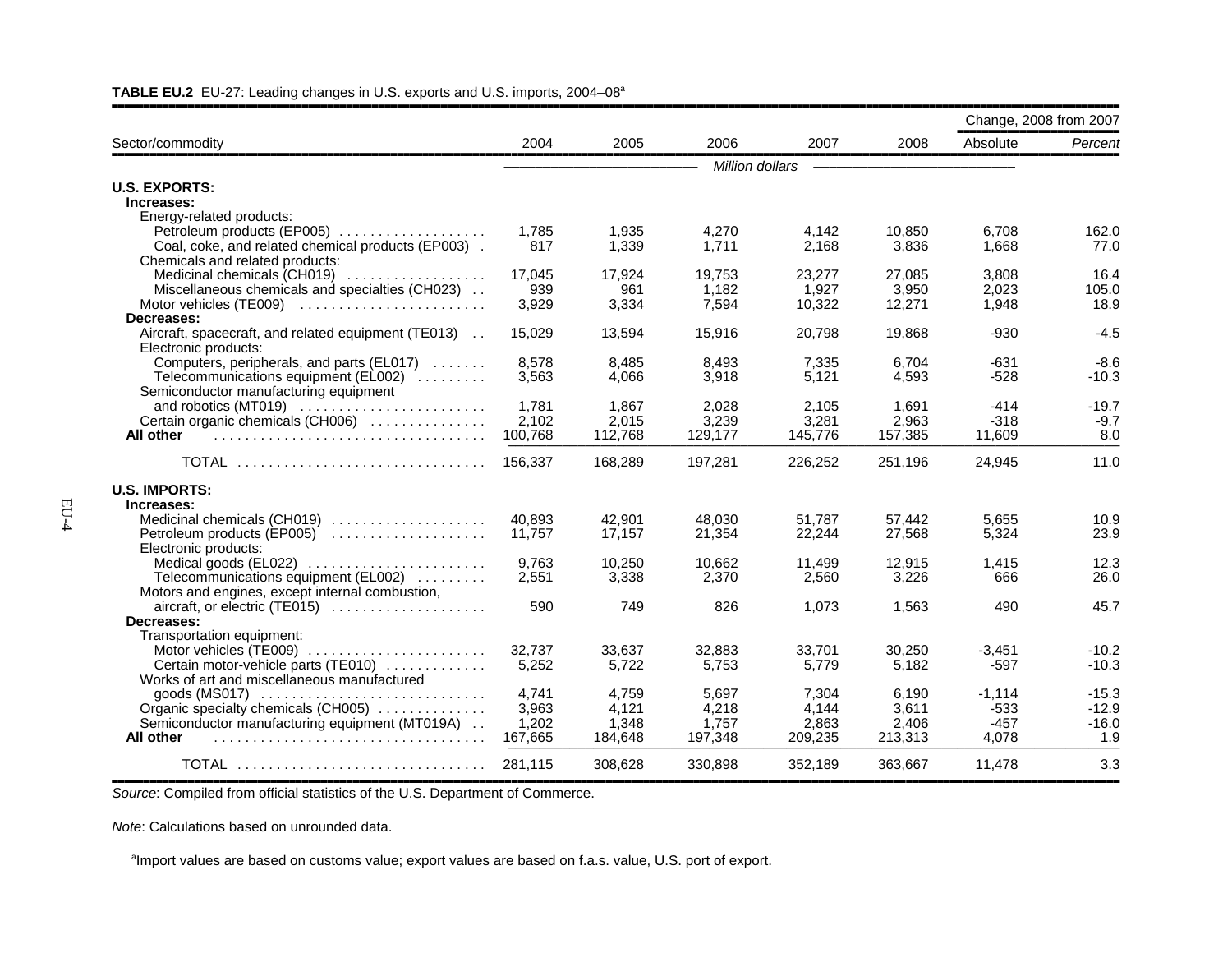|                                                                            |         |         |                 |         |         | Change, 2008 from 2007 |         |
|----------------------------------------------------------------------------|---------|---------|-----------------|---------|---------|------------------------|---------|
| Sector/commodity                                                           | 2004    | 2005    | 2006            | 2007    | 2008    | Absolute               | Percent |
|                                                                            |         |         | Million dollars |         |         |                        |         |
| <b>U.S. EXPORTS:</b>                                                       |         |         |                 |         |         |                        |         |
| Increases:                                                                 |         |         |                 |         |         |                        |         |
| Energy-related products:                                                   |         |         |                 |         |         |                        |         |
| Petroleum products (EP005)                                                 | 1,785   | 1,935   | 4,270           | 4,142   | 10,850  | 6,708                  | 162.0   |
| Coal, coke, and related chemical products (EP003).                         | 817     | 1,339   | 1.711           | 2.168   | 3,836   | 1,668                  | 77.0    |
| Chemicals and related products:                                            |         |         |                 |         |         |                        |         |
| Medicinal chemicals (CH019)                                                | 17.045  | 17,924  | 19.753          | 23.277  | 27,085  | 3,808                  | 16.4    |
| Miscellaneous chemicals and specialties (CH023)                            | 939     | 961     | 1,182           | 1,927   | 3,950   | 2,023                  | 105.0   |
| Motor vehicles (TE009)                                                     | 3,929   | 3.334   | 7.594           | 10,322  | 12.271  | 1.948                  | 18.9    |
| Decreases:                                                                 |         |         |                 |         |         |                        |         |
| Aircraft, spacecraft, and related equipment (TE013)                        | 15,029  | 13,594  | 15,916          | 20,798  | 19,868  | $-930$                 | $-4.5$  |
| Electronic products:                                                       |         |         |                 |         |         |                        |         |
| Computers, peripherals, and parts (EL017)                                  | 8,578   | 8,485   | 8,493           | 7,335   | 6.704   | $-631$                 | $-8.6$  |
| Telecommunications equipment (EL002)                                       | 3,563   | 4,066   | 3,918           | 5,121   | 4,593   | $-528$                 | $-10.3$ |
| Semiconductor manufacturing equipment                                      |         |         |                 |         |         |                        |         |
|                                                                            | 1.781   | 1.867   | 2,028           | 2.105   | 1.691   | $-414$                 | $-19.7$ |
| Certain organic chemicals (CH006)                                          | 2,102   | 2,015   | 3,239           | 3,281   | 2,963   | $-318$                 | $-9.7$  |
| All other                                                                  | 100,768 | 112,768 | 129,177         | 145,776 | 157,385 | 11,609                 | 8.0     |
| TOTAL                                                                      | 156,337 | 168,289 | 197,281         | 226,252 | 251,196 | 24.945                 | 11.0    |
| <b>U.S. IMPORTS:</b>                                                       |         |         |                 |         |         |                        |         |
| Increases:                                                                 |         |         |                 |         |         |                        |         |
| Medicinal chemicals (CH019)                                                | 40,893  | 42,901  | 48.030          | 51.787  | 57.442  | 5,655                  | 10.9    |
| Petroleum products (EP005)                                                 | 11,757  | 17,157  | 21,354          | 22,244  | 27,568  | 5,324                  | 23.9    |
| Electronic products:                                                       |         |         |                 |         |         |                        |         |
|                                                                            | 9.763   | 10.250  | 10.662          | 11,499  | 12.915  | 1,415                  | 12.3    |
| Telecommunications equipment (EL002)                                       | 2,551   | 3,338   | 2,370           | 2,560   | 3,226   | 666                    | 26.0    |
| Motors and engines, except internal combustion,                            |         |         |                 |         |         |                        |         |
| aircraft, or electric (TE015)                                              | 590     | 749     | 826             | 1,073   | 1,563   | 490                    | 45.7    |
| Decreases:                                                                 |         |         |                 |         |         |                        |         |
| Transportation equipment:                                                  |         |         |                 |         |         |                        |         |
| Motor vehicles (TE009)                                                     | 32,737  | 33,637  | 32,883          | 33,701  | 30,250  | $-3,451$               | $-10.2$ |
| Certain motor-vehicle parts (TE010)                                        | 5,252   | 5.722   | 5.753           | 5.779   | 5.182   | $-597$                 | $-10.3$ |
| Works of art and miscellaneous manufactured                                |         |         |                 |         |         |                        |         |
| $q$ oods (MS017) $\dots\dots\dots\dots\dots\dots\dots\dots\dots\dots\dots$ | 4.741   | 4.759   | 5.697           | 7.304   | 6.190   | $-1.114$               | $-15.3$ |
| Organic specialty chemicals (CH005)                                        | 3,963   | 4,121   | 4,218           | 4,144   | 3,611   | $-533$                 | $-12.9$ |
| Semiconductor manufacturing equipment (MT019A)                             | 1,202   | 1,348   | 1,757           | 2,863   | 2,406   | $-457$                 | $-16.0$ |
| All other                                                                  | 167,665 | 184,648 | 197,348         | 209,235 | 213,313 | 4,078                  | 1.9     |
| <b>TOTAL</b>                                                               | 281.115 | 308.628 | 330.898         | 352.189 | 363.667 | 11.478                 | 3.3     |

#### **TABLE EU.2** EU-27: Leading changes in U.S. exports and U.S. imports, 2004–08a

,,,,,,,,,,,,,,,,,,,,,,,,,,,,,,,,,,,,,,,,,,,,,,,,,,,,,,,,,,,,,,,,,,,,,,,,,,,,,,,,,,,,,,,,,,,,,,,,,,,,,,,,,,,,,,,,,,,,,,,,,,,,,,,,,,,,,,,,,,,,,,,,,,,,,,,,,,,,,,,,*Source*: Compiled from official statistics of the U.S. Department of Commerce.

*Note*: Calculations based on unrounded data.

<sup>a</sup>Import values are based on customs value; export values are based on f.a.s. value, U.S. port of export.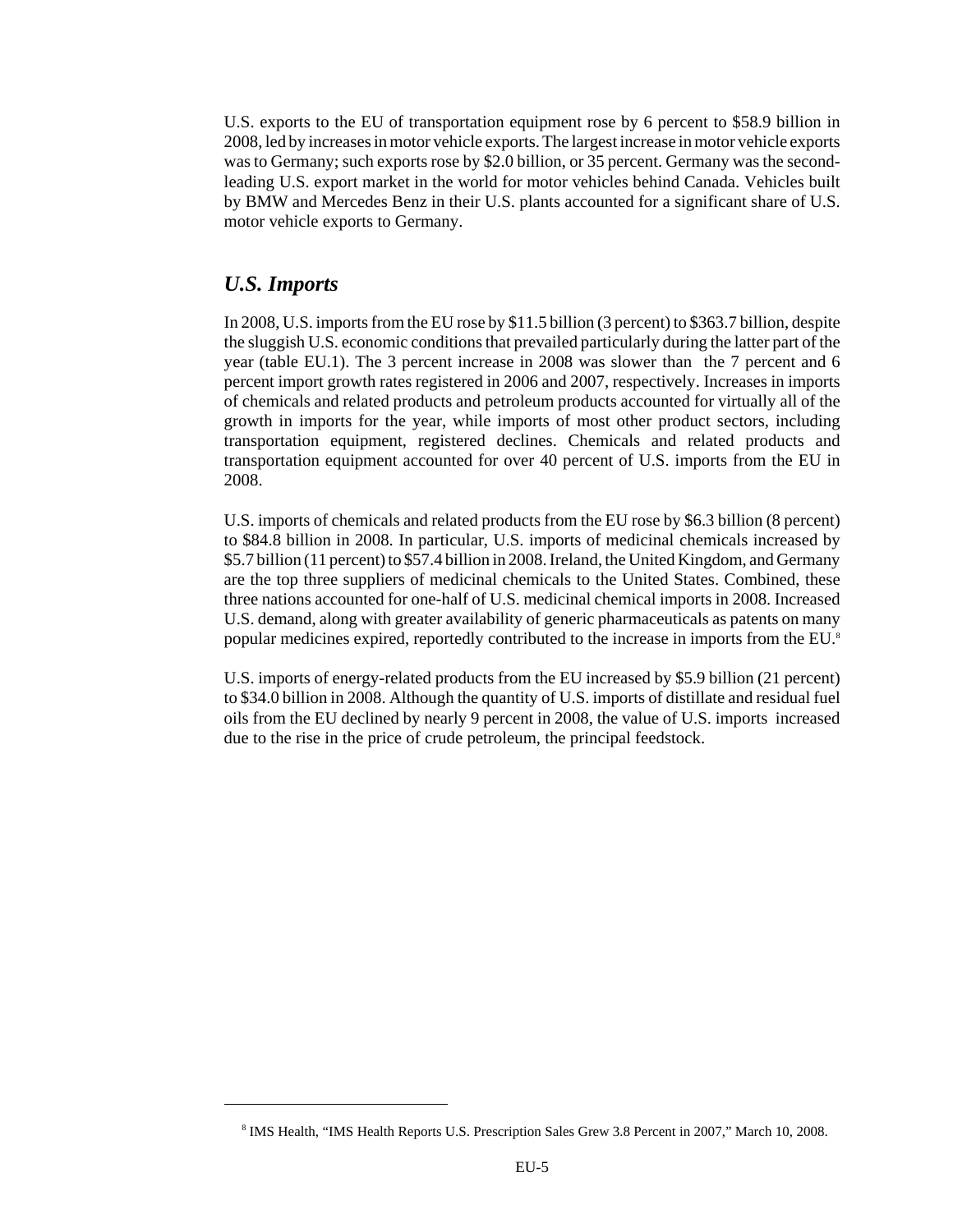U.S. exports to the EU of transportation equipment rose by 6 percent to \$58.9 billion in 2008, led by increases in motor vehicle exports. The largest increase in motor vehicle exports was to Germany; such exports rose by \$2.0 billion, or 35 percent. Germany was the secondleading U.S. export market in the world for motor vehicles behind Canada. Vehicles built by BMW and Mercedes Benz in their U.S. plants accounted for a significant share of U.S. motor vehicle exports to Germany.

## *U.S. Imports*

In 2008, U.S. imports from the EU rose by \$11.5 billion (3 percent) to \$363.7 billion, despite the sluggish U.S. economic conditions that prevailed particularly during the latter part of the year (table EU.1). The 3 percent increase in 2008 was slower than the 7 percent and 6 percent import growth rates registered in 2006 and 2007, respectively. Increases in imports of chemicals and related products and petroleum products accounted for virtually all of the growth in imports for the year, while imports of most other product sectors, including transportation equipment, registered declines. Chemicals and related products and transportation equipment accounted for over 40 percent of U.S. imports from the EU in 2008.

U.S. imports of chemicals and related products from the EU rose by \$6.3 billion (8 percent) to \$84.8 billion in 2008. In particular, U.S. imports of medicinal chemicals increased by \$5.7 billion (11 percent) to \$57.4 billion in 2008. Ireland, the United Kingdom, and Germany are the top three suppliers of medicinal chemicals to the United States. Combined, these three nations accounted for one-half of U.S. medicinal chemical imports in 2008. Increased U.S. demand, along with greater availability of generic pharmaceuticals as patents on many popular medicines expired, reportedly contributed to the increase in imports from the EU.<sup>8</sup>

U.S. imports of energy-related products from the EU increased by \$5.9 billion (21 percent) to \$34.0 billion in 2008. Although the quantity of U.S. imports of distillate and residual fuel oils from the EU declined by nearly 9 percent in 2008, the value of U.S. imports increased due to the rise in the price of crude petroleum, the principal feedstock.

 <sup>8</sup> IMS Health, "IMS Health Reports U.S. Prescription Sales Grew 3.8 Percent in 2007," March 10, 2008.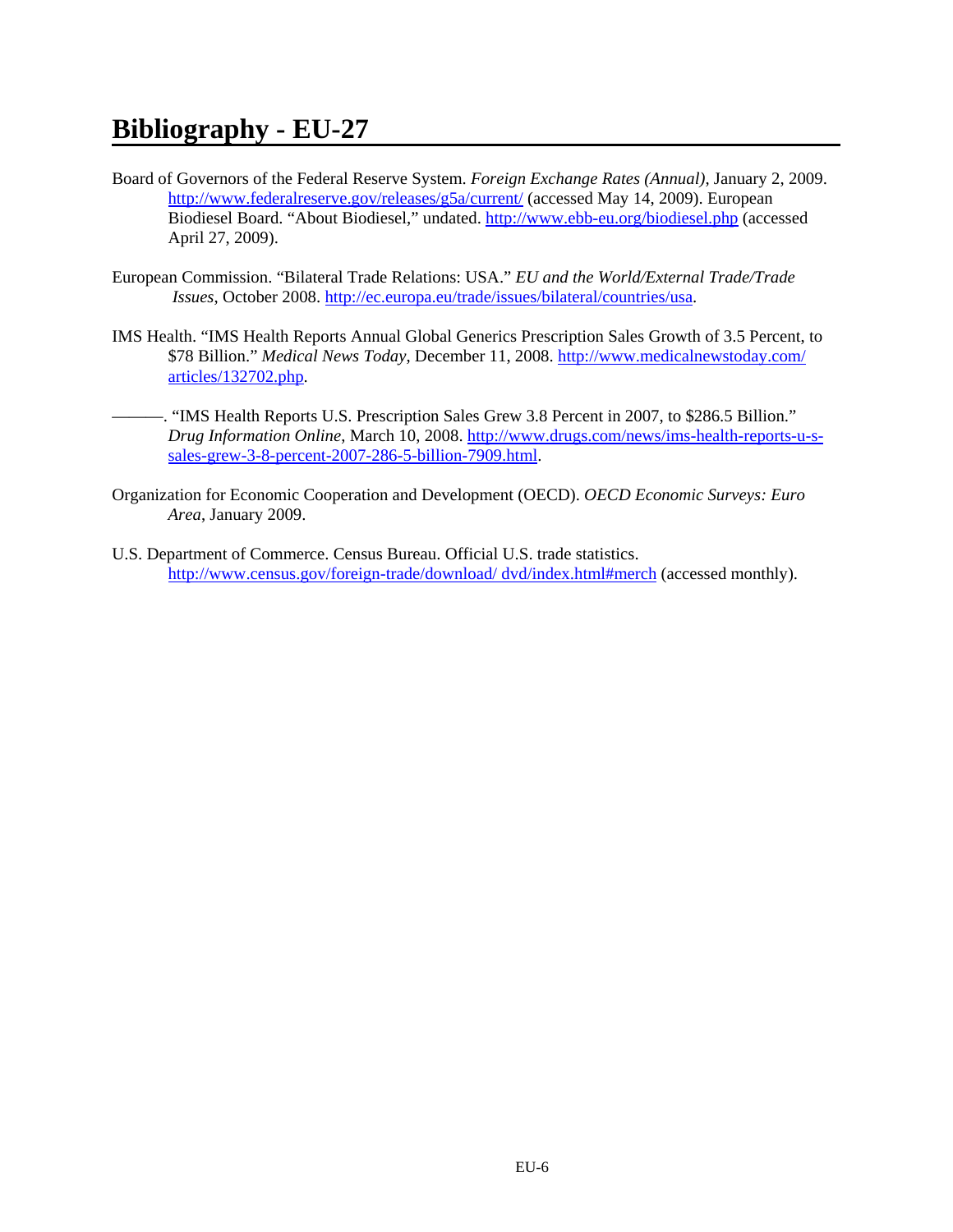- Board of Governors of the Federal Reserve System. *Foreign Exchange Rates (Annual)*, January 2, 2009. http://www.federalreserve.gov/releases/g5a/current/ (accessed May 14, 2009). European Biodiesel Board. "About Biodiesel," undated. http://www.ebb-eu.org/biodiesel.php (accessed April 27, 2009).
- European Commission. "Bilateral Trade Relations: USA." *EU and the World/External Trade/Trade Issues*, October 2008. http://ec.europa.eu/trade/issues/bilateral/countries/usa.
- IMS Health. "IMS Health Reports Annual Global Generics Prescription Sales Growth of 3.5 Percent, to \$78 Billion." *Medical News Today*, December 11, 2008. http://www.medicalnewstoday.com/ articles/132702.php.
- ———. "IMS Health Reports U.S. Prescription Sales Grew 3.8 Percent in 2007, to \$286.5 Billion." *Drug Information Online*, March 10, 2008. http://www.drugs.com/news/ims-health-reports-u-ssales-grew-3-8-percent-2007-286-5-billion-7909.html.
- Organization for Economic Cooperation and Development (OECD). *OECD Economic Surveys: Euro Area*, January 2009.
- U.S. Department of Commerce. Census Bureau. Official U.S. trade statistics. http://www.census.gov/foreign-trade/download/ dvd/index.html#merch (accessed monthly).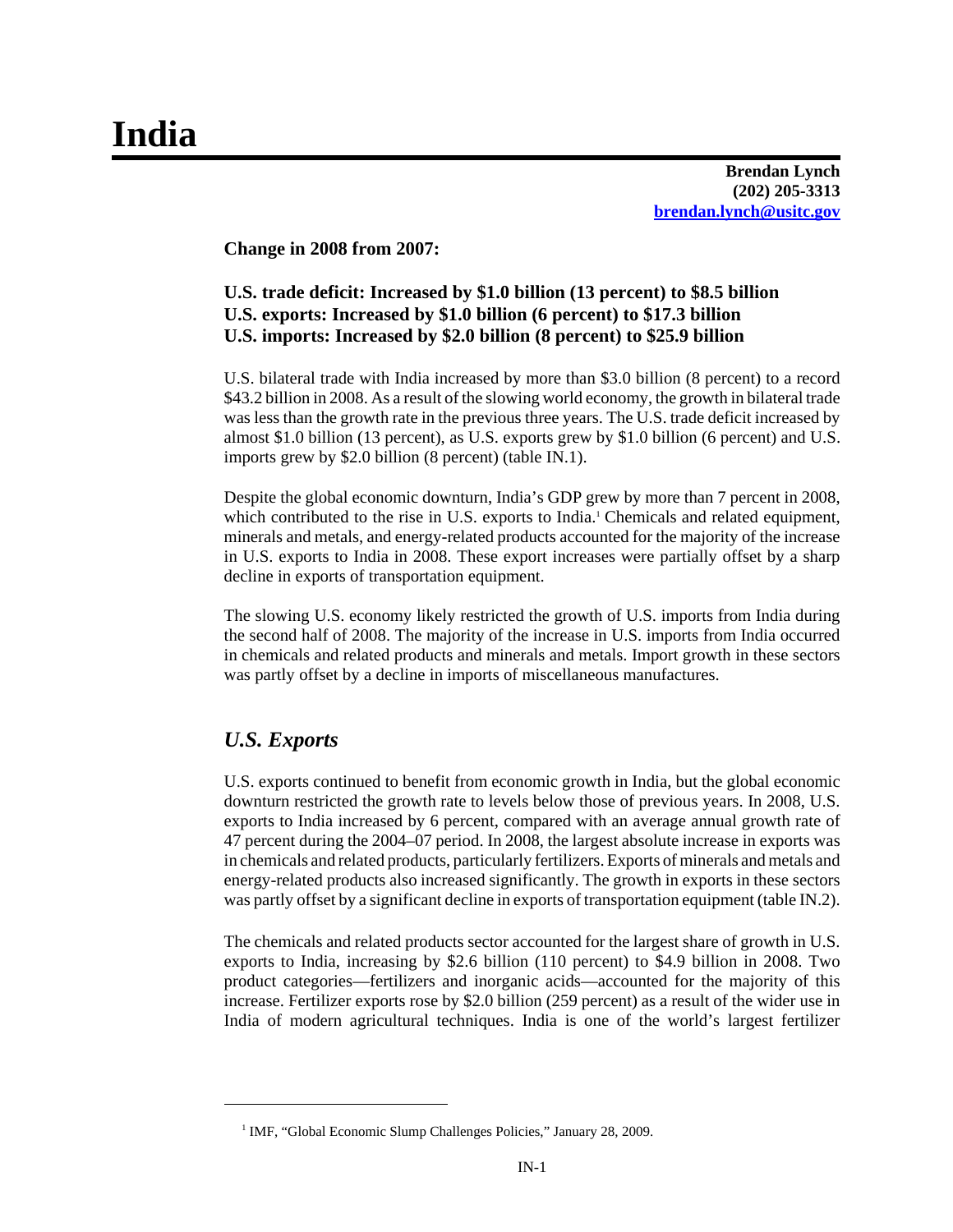**Brendan Lynch (202) 205-3313 brendan.lynch@usitc.gov**

**Change in 2008 from 2007:**

# **U.S. trade deficit: Increased by \$1.0 billion (13 percent) to \$8.5 billion U.S. exports: Increased by \$1.0 billion (6 percent) to \$17.3 billion U.S. imports: Increased by \$2.0 billion (8 percent) to \$25.9 billion**

U.S. bilateral trade with India increased by more than \$3.0 billion (8 percent) to a record \$43.2 billion in 2008. As a result of the slowing world economy, the growth in bilateral trade was less than the growth rate in the previous three years. The U.S. trade deficit increased by almost \$1.0 billion (13 percent), as U.S. exports grew by \$1.0 billion (6 percent) and U.S. imports grew by \$2.0 billion (8 percent) (table IN.1).

Despite the global economic downturn, India's GDP grew by more than 7 percent in 2008, which contributed to the rise in U.S. exports to India.<sup>1</sup> Chemicals and related equipment, minerals and metals, and energy-related products accounted for the majority of the increase in U.S. exports to India in 2008. These export increases were partially offset by a sharp decline in exports of transportation equipment.

The slowing U.S. economy likely restricted the growth of U.S. imports from India during the second half of 2008. The majority of the increase in U.S. imports from India occurred in chemicals and related products and minerals and metals. Import growth in these sectors was partly offset by a decline in imports of miscellaneous manufactures.

# *U.S. Exports*

U.S. exports continued to benefit from economic growth in India, but the global economic downturn restricted the growth rate to levels below those of previous years. In 2008, U.S. exports to India increased by 6 percent, compared with an average annual growth rate of 47 percent during the 2004–07 period. In 2008, the largest absolute increase in exports was in chemicals and related products, particularly fertilizers. Exports of minerals and metals and energy-related products also increased significantly. The growth in exports in these sectors was partly offset by a significant decline in exports of transportation equipment (table IN.2).

The chemicals and related products sector accounted for the largest share of growth in U.S. exports to India, increasing by \$2.6 billion (110 percent) to \$4.9 billion in 2008. Two product categories—fertilizers and inorganic acids—accounted for the majority of this increase. Fertilizer exports rose by \$2.0 billion (259 percent) as a result of the wider use in India of modern agricultural techniques. India is one of the world's largest fertilizer

<sup>&</sup>lt;sup>1</sup> IMF, "Global Economic Slump Challenges Policies," January 28, 2009.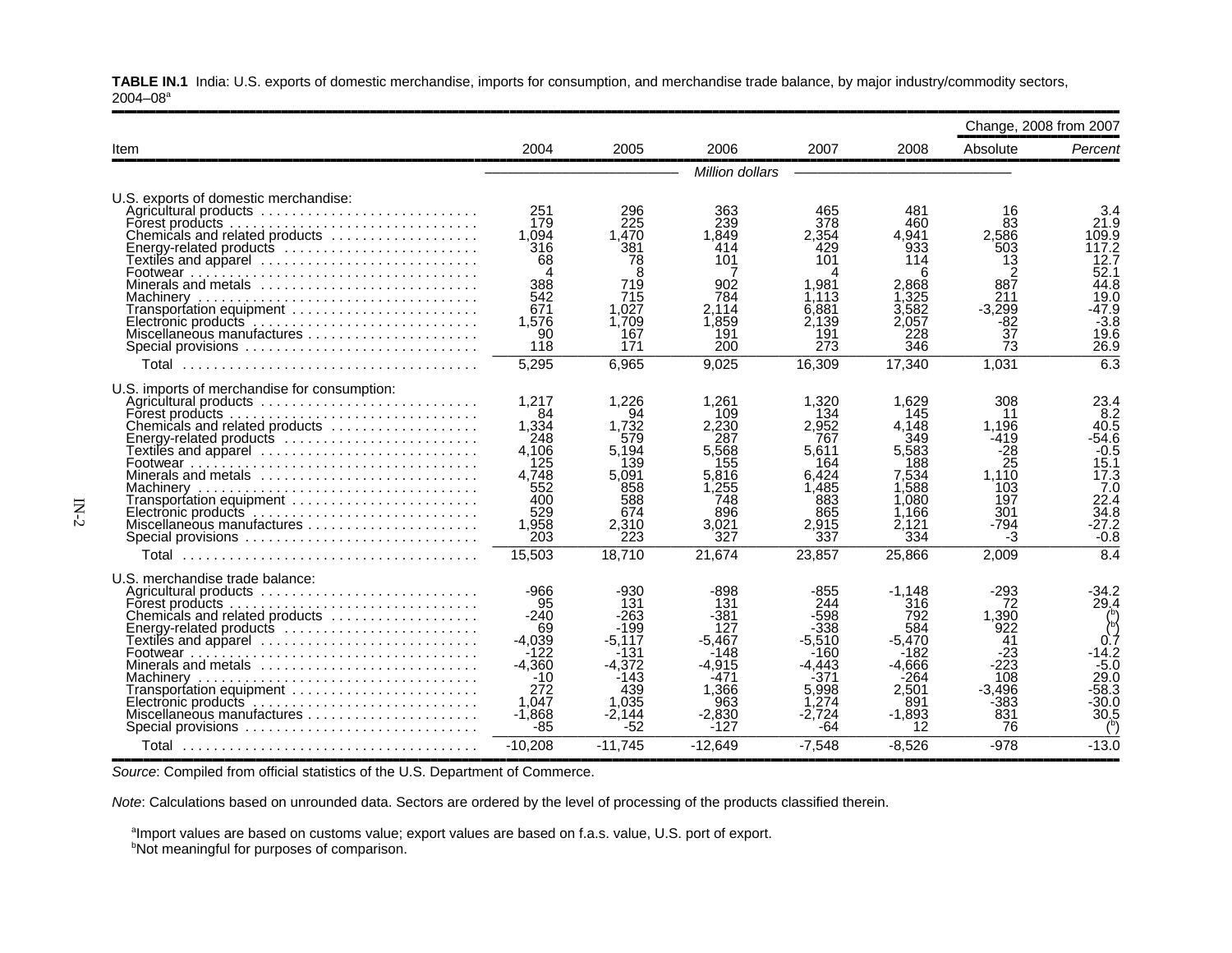**TABLE IN.1** India: U.S. exports of domestic merchandise, imports for consumption, and merchandise trade balance, by major industry/commodity sectors,  $2004 - 08$ <sup>a</sup>

| 2004<br>2005<br>2006<br>2007<br>2008<br>Item<br>Million dollars<br>U.S. exports of domestic merchandise:<br>251<br>296<br>363<br>Agricultural products<br>465<br>481<br>179<br>225<br>378<br>239<br>460<br>1.849<br>Chemicals and related products<br>1.094<br>1.470<br>2.354<br>4.941<br>316<br>414<br>Energy-related products<br>381<br>429<br>933<br>101<br>101<br>68<br>78<br>114<br>Textiles and apparel ............................<br>8<br>388<br>719<br>902<br>1.981<br>2.868<br>Minerals and metals $\ldots$ , , , , , , ,<br>542<br>1.325<br>715<br>784<br>1.113<br>671<br>2.114<br>3,582<br>1.027<br>6.881<br>Transportation equipment<br>1.859<br>2.057<br>1.576<br>1.709<br>2.139<br>90<br>167<br>191<br>191<br>228<br>Miscellaneous manufactures<br>118<br>171<br>200<br>273<br>346<br>Special provisions<br>5,295<br>6.965<br>16,309<br>17,340<br>9,025<br>U.S. imports of merchandise for consumption:<br>1,217<br>1,226<br>1,261<br>1,320<br>1.629<br>Agricultural products<br>145<br>84<br>94<br>109<br>134<br>Forest products.<br>1,334<br>2,952<br>1.732<br>2,230<br>4.148<br>Chemicals and related products<br>248<br>287<br>767<br>349<br>579<br>Energy-related products $\ldots \ldots \ldots \ldots \ldots \ldots \ldots$<br>4.106<br>5,568<br>5,583<br>5,194<br>5.611<br>Textiles and apparel ........................... |     |     |     |     |     |                                                                                                      | Change, 2008 from 2007                                                                                      |
|-----------------------------------------------------------------------------------------------------------------------------------------------------------------------------------------------------------------------------------------------------------------------------------------------------------------------------------------------------------------------------------------------------------------------------------------------------------------------------------------------------------------------------------------------------------------------------------------------------------------------------------------------------------------------------------------------------------------------------------------------------------------------------------------------------------------------------------------------------------------------------------------------------------------------------------------------------------------------------------------------------------------------------------------------------------------------------------------------------------------------------------------------------------------------------------------------------------------------------------------------------------------------------------------------------------------------------------------------------|-----|-----|-----|-----|-----|------------------------------------------------------------------------------------------------------|-------------------------------------------------------------------------------------------------------------|
|                                                                                                                                                                                                                                                                                                                                                                                                                                                                                                                                                                                                                                                                                                                                                                                                                                                                                                                                                                                                                                                                                                                                                                                                                                                                                                                                                     |     |     |     |     |     | Absolute                                                                                             | Percent                                                                                                     |
|                                                                                                                                                                                                                                                                                                                                                                                                                                                                                                                                                                                                                                                                                                                                                                                                                                                                                                                                                                                                                                                                                                                                                                                                                                                                                                                                                     |     |     |     |     |     |                                                                                                      |                                                                                                             |
|                                                                                                                                                                                                                                                                                                                                                                                                                                                                                                                                                                                                                                                                                                                                                                                                                                                                                                                                                                                                                                                                                                                                                                                                                                                                                                                                                     |     |     |     |     |     | 16<br>83<br>2.586<br>503<br>13<br>2<br>887<br>211<br>$-3,299$<br>$-82$<br>37<br>73                   | 3.4<br>21.9<br>109.9<br>117.2<br>12.7<br>52.1<br>44.8<br>19.0<br>$-47.9$<br>$-3.8$<br>19.6<br>26.9          |
|                                                                                                                                                                                                                                                                                                                                                                                                                                                                                                                                                                                                                                                                                                                                                                                                                                                                                                                                                                                                                                                                                                                                                                                                                                                                                                                                                     |     |     |     |     |     | 1,031                                                                                                | 6.3                                                                                                         |
| Minerals and metals<br>4.748<br>6.424<br>5.091<br>5.816<br>7.534<br>1.588<br>552<br>1,255<br>1.485<br>858<br>400<br>1,080<br>588<br>748<br>883<br>529<br>674<br>896<br>865<br>1,166<br>1,958<br>3.021<br>2,310<br>2.915<br>2.121<br>203<br>223<br>327<br>337<br>334<br>Special provisions<br>15,503<br>18.710<br>21,674<br>23,857<br>25,866                                                                                                                                                                                                                                                                                                                                                                                                                                                                                                                                                                                                                                                                                                                                                                                                                                                                                                                                                                                                         | 125 | 139 | 155 | 164 | 188 | 308<br>11<br>1.196<br>$-419$<br>$-28$<br>25<br>1.110<br>103<br>197<br>301<br>$-794$<br>$-3$<br>2,009 | 23.4<br>8.2<br>40.5<br>$-54.6$<br>$-0.5$<br>15.1<br>17.3<br>7.0<br>22.4<br>34.8<br>$-27.2$<br>$-0.8$<br>8.4 |
| U.S. merchandise trade balance:<br>$-966$<br>$-898$<br>$-930$<br>$-855$<br>$-1.148$<br>Agricultural products<br>95<br>131<br>244<br>316<br>131<br>Forest products.<br>$-240$<br>-598<br>-381<br>792<br>Chemicals and related products<br>-263<br>69<br>-199<br>127<br>-338<br>584<br>Energy-related products<br>$-4,039$<br>$-5.467$<br>$-5.470$<br>Textiles and apparel<br>-5.117<br>-5.510<br>$-122$<br>$-131$<br>$-148$<br>$-160$<br>$-182$<br>Minerals and metals<br>$-4,360$<br>$-4.372$<br>$-4,915$<br>-4.443<br>-4.666<br>-264<br>$-10$<br>-143<br>-471<br>-371<br>272<br>439<br>Transportation equipment<br>1.366<br>5.998<br>2.501<br>1.047<br>1.035<br>963<br>1,274<br>891<br>$-1,868$<br>$-2.144$<br>$-2,830$<br>$-2.724$<br>$-1.893$<br>$-85$<br>$-52$<br>Special provisions<br>-127<br>-64<br>12<br>$-10.208$<br>$-11.745$<br>$-12.649$<br>$-7.548$<br>$-8.526$                                                                                                                                                                                                                                                                                                                                                                                                                                                                        |     |     |     |     |     | $-293$<br>72<br>1,390<br>922<br>41<br>-23<br>-223<br>108<br>$-3.496$<br>-383<br>831<br>76<br>$-978$  | -34.2<br>29.4<br>0.7<br>$-14.2$<br>$-5.0$<br>29.0<br>-58.3<br>-30.0<br>30.5<br>$-13.0$                      |

,,,,,,,,,,,,,,,,,,,,,,,,,,,,,,,,,,,,,,,,,,,,,,,,,,,,,,,,,,,,,,,,,,,,,,,,,,,,,,,,,,,,,,,,,,,,,,,,,,,,,,,,,,,,,,,,,,,,,,,,,,,,,,,,,,,,,,,,,,,,,,,,,,,,,,,,,,,,,,,,

*Source*: Compiled from official statistics of the U.S. Department of Commerce.

*Note*: Calculations based on unrounded data. Sectors are ordered by the level of processing of the products classified therein.

<sup>a</sup>Import values are based on customs value; export values are based on f.a.s. value, U.S. port of export.

**bNot meaningful for purposes of comparison.**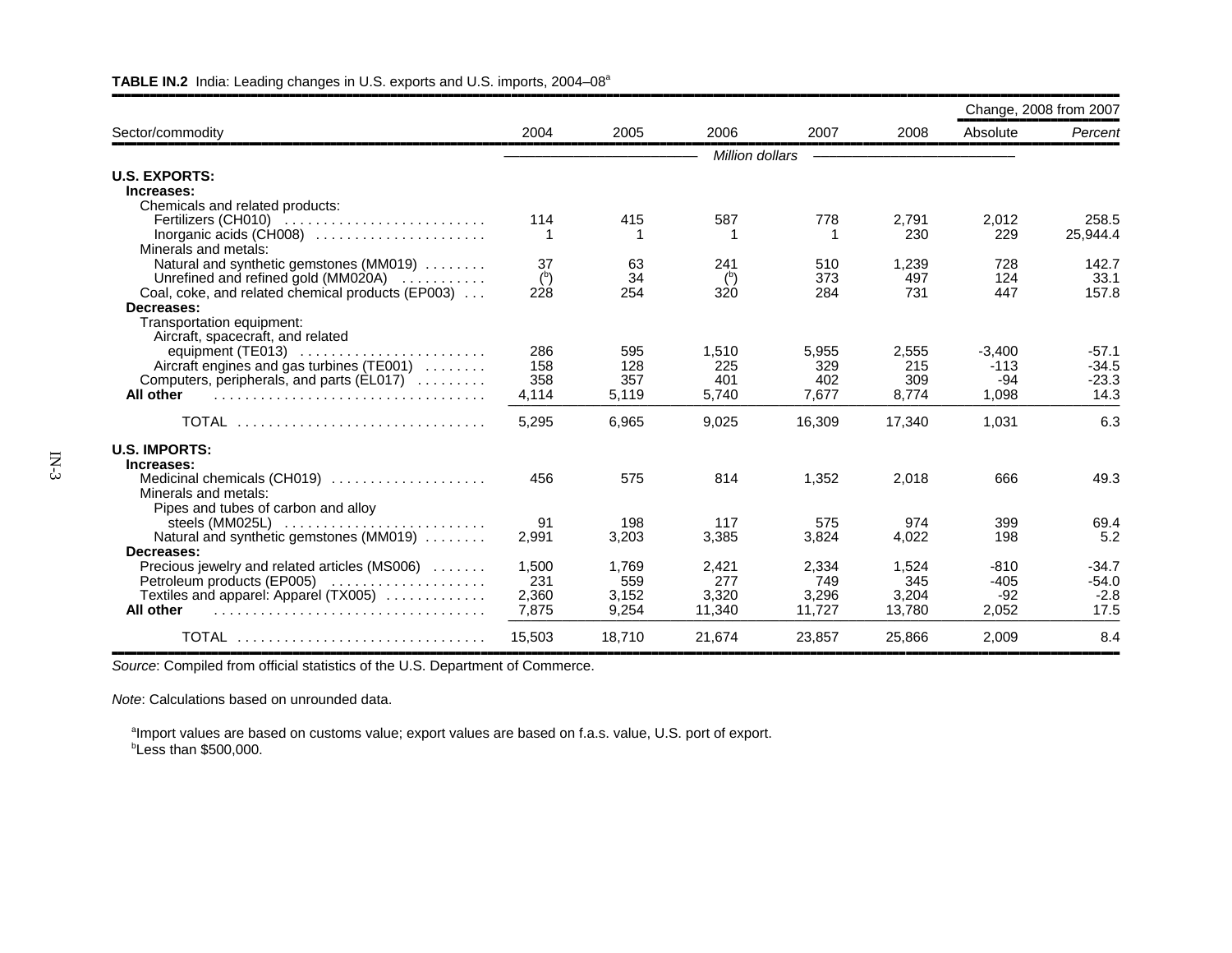|                                                                               |        |        |                 |        |        |          | Change, 2008 from 2007 |
|-------------------------------------------------------------------------------|--------|--------|-----------------|--------|--------|----------|------------------------|
| Sector/commodity                                                              | 2004   | 2005   | 2006            | 2007   | 2008   | Absolute | Percent                |
|                                                                               |        |        | Million dollars |        |        |          |                        |
| <b>U.S. EXPORTS:</b>                                                          |        |        |                 |        |        |          |                        |
| Increases:                                                                    |        |        |                 |        |        |          |                        |
| Chemicals and related products:                                               |        |        |                 |        |        |          |                        |
| Fertilizers (CH010) $\ldots \ldots \ldots \ldots \ldots \ldots \ldots \ldots$ | 114    | 415    | 587             | 778    | 2,791  | 2,012    | 258.5                  |
|                                                                               |        |        |                 |        | 230    | 229      | 25,944.4               |
| Minerals and metals:                                                          |        |        |                 |        |        |          |                        |
| Natural and synthetic gemstones (MM019)                                       | 37     | 63     | 241             | 510    | 1,239  | 728      | 142.7                  |
| Unrefined and refined gold (MM020A)                                           | (5)    | 34     | $(b)$           | 373    | 497    | 124      | 33.1                   |
| Coal, coke, and related chemical products (EP003)                             | 228    | 254    | 320             | 284    | 731    | 447      | 157.8                  |
| Decreases:                                                                    |        |        |                 |        |        |          |                        |
| Transportation equipment:                                                     |        |        |                 |        |        |          |                        |
| Aircraft, spacecraft, and related                                             |        |        |                 |        |        |          |                        |
| equipment (TE013)                                                             | 286    | 595    | 1,510           | 5,955  | 2,555  | $-3,400$ | $-57.1$                |
| Aircraft engines and gas turbines (TE001)                                     | 158    | 128    | 225             | 329    | 215    | $-113$   | $-34.5$                |
| Computers, peripherals, and parts (EL017)                                     | 358    | 357    | 401             | 402    | 309    | $-94$    | $-23.3$                |
| All other                                                                     | 4,114  | 5,119  | 5,740           | 7,677  | 8,774  | 1,098    | 14.3                   |
| TOTAL                                                                         | 5,295  | 6,965  | 9,025           | 16,309 | 17,340 | 1,031    | 6.3                    |
| <b>U.S. IMPORTS:</b>                                                          |        |        |                 |        |        |          |                        |
| Increases:                                                                    |        |        |                 |        |        |          |                        |
| Medicinal chemicals (CH019)                                                   | 456    | 575    | 814             | 1.352  | 2,018  | 666      | 49.3                   |
| Minerals and metals:                                                          |        |        |                 |        |        |          |                        |
| Pipes and tubes of carbon and alloy                                           |        |        |                 |        |        |          |                        |
| steels $(MM025L)$                                                             | 91     | 198    | 117             | 575    | 974    | 399      | 69.4                   |
| Natural and synthetic gemstones (MM019)                                       | 2,991  | 3,203  | 3,385           | 3,824  | 4,022  | 198      | 5.2                    |
| Decreases:                                                                    |        |        |                 |        |        |          |                        |
| Precious jewelry and related articles (MS006)                                 | 1,500  | 1,769  | 2,421           | 2,334  | 1,524  | $-810$   | $-34.7$                |
| Petroleum products (EP005)                                                    | 231    | 559    | 277             | 749    | 345    | $-405$   | $-54.0$                |
| Textiles and apparel: Apparel (TX005)                                         | 2,360  | 3,152  | 3,320           | 3,296  | 3,204  | $-92$    | $-2.8$                 |
| All other                                                                     | 7,875  | 9.254  | 11.340          | 11.727 | 13.780 | 2,052    | 17.5                   |
| <b>TOTAL</b>                                                                  | 15,503 | 18.710 | 21.674          | 23,857 | 25,866 | 2,009    | 8.4                    |

### **TABLE IN.2** India: Leading changes in U.S. exports and U.S. imports, 2004–08a

*Source*: Compiled from official statistics of the U.S. Department of Commerce.

*Note*: Calculations based on unrounded data.

<sup>a</sup>Import values are based on customs value; export values are based on f.a.s. value, U.S. port of export.  $b$ Less than \$500,000.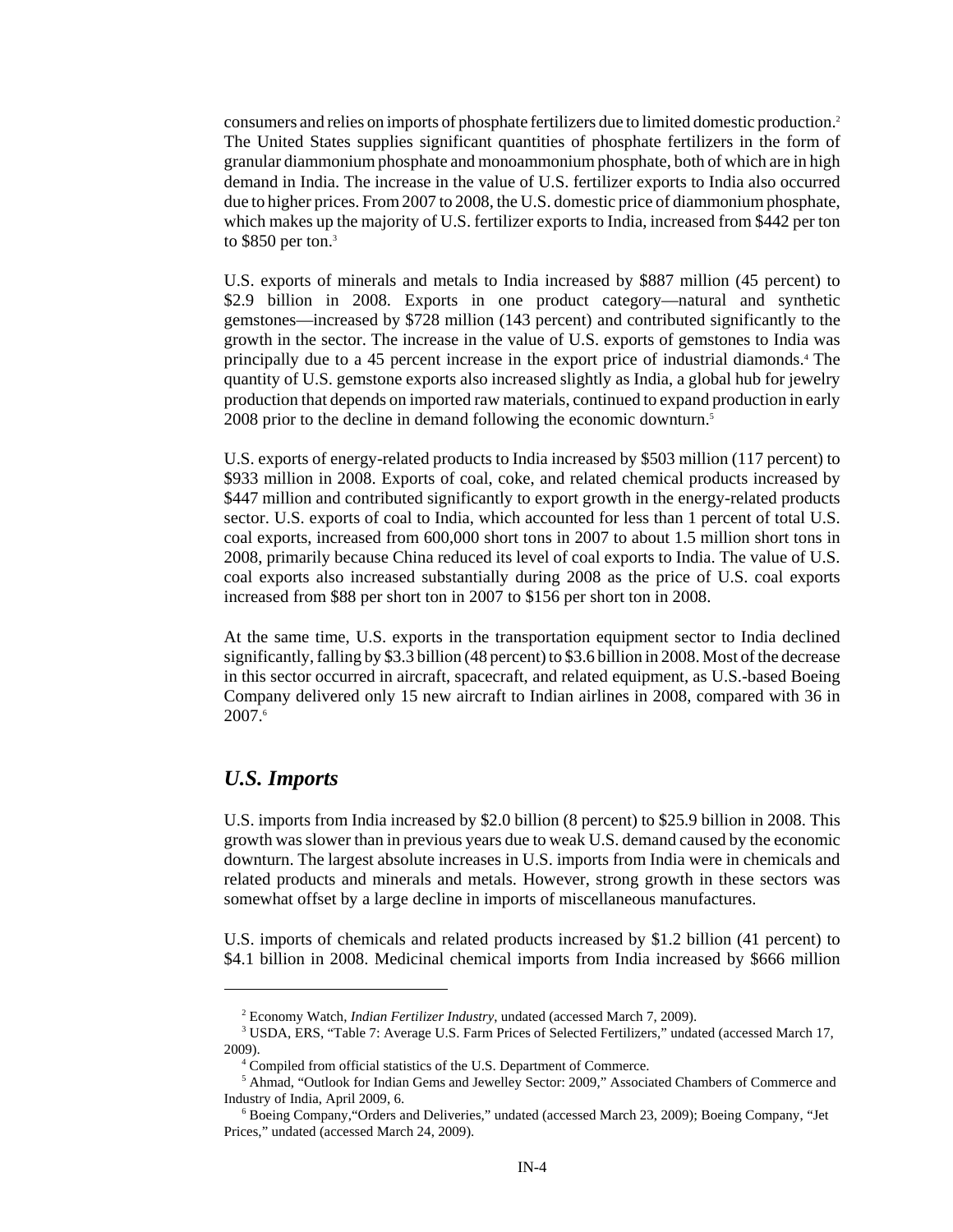consumers and relies on imports of phosphate fertilizers due to limited domestic production.2 The United States supplies significant quantities of phosphate fertilizers in the form of granular diammonium phosphate and monoammonium phosphate, both of which are in high demand in India. The increase in the value of U.S. fertilizer exports to India also occurred due to higher prices. From 2007 to 2008, the U.S. domestic price of diammonium phosphate, which makes up the majority of U.S. fertilizer exports to India, increased from \$442 per ton to  $$850$  per ton.<sup>3</sup>

U.S. exports of minerals and metals to India increased by \$887 million (45 percent) to \$2.9 billion in 2008. Exports in one product category—natural and synthetic gemstones—increased by \$728 million (143 percent) and contributed significantly to the growth in the sector. The increase in the value of U.S. exports of gemstones to India was principally due to a 45 percent increase in the export price of industrial diamonds.4 The quantity of U.S. gemstone exports also increased slightly as India, a global hub for jewelry production that depends on imported raw materials, continued to expand production in early 2008 prior to the decline in demand following the economic downturn.<sup>5</sup>

U.S. exports of energy-related products to India increased by \$503 million (117 percent) to \$933 million in 2008. Exports of coal, coke, and related chemical products increased by \$447 million and contributed significantly to export growth in the energy-related products sector. U.S. exports of coal to India, which accounted for less than 1 percent of total U.S. coal exports, increased from 600,000 short tons in 2007 to about 1.5 million short tons in 2008, primarily because China reduced its level of coal exports to India. The value of U.S. coal exports also increased substantially during 2008 as the price of U.S. coal exports increased from \$88 per short ton in 2007 to \$156 per short ton in 2008.

At the same time, U.S. exports in the transportation equipment sector to India declined significantly, falling by \$3.3 billion (48 percent) to \$3.6 billion in 2008. Most of the decrease in this sector occurred in aircraft, spacecraft, and related equipment, as U.S.-based Boeing Company delivered only 15 new aircraft to Indian airlines in 2008, compared with 36 in 2007.6

## *U.S. Imports*

U.S. imports from India increased by \$2.0 billion (8 percent) to \$25.9 billion in 2008. This growth was slower than in previous years due to weak U.S. demand caused by the economic downturn. The largest absolute increases in U.S. imports from India were in chemicals and related products and minerals and metals. However, strong growth in these sectors was somewhat offset by a large decline in imports of miscellaneous manufactures.

U.S. imports of chemicals and related products increased by \$1.2 billion (41 percent) to \$4.1 billion in 2008. Medicinal chemical imports from India increased by \$666 million

 <sup>2</sup> Economy Watch, *Indian Fertilizer Industry*, undated (accessed March 7, 2009).

<sup>&</sup>lt;sup>3</sup> USDA, ERS, "Table 7: Average U.S. Farm Prices of Selected Fertilizers," undated (accessed March 17, 2009).

 <sup>4</sup> Compiled from official statistics of the U.S. Department of Commerce.

 <sup>5</sup> Ahmad, "Outlook for Indian Gems and Jewelley Sector: 2009," Associated Chambers of Commerce and Industry of India, April 2009, 6.

 <sup>6</sup> Boeing Company,"Orders and Deliveries," undated (accessed March 23, 2009); Boeing Company, "Jet Prices," undated (accessed March 24, 2009).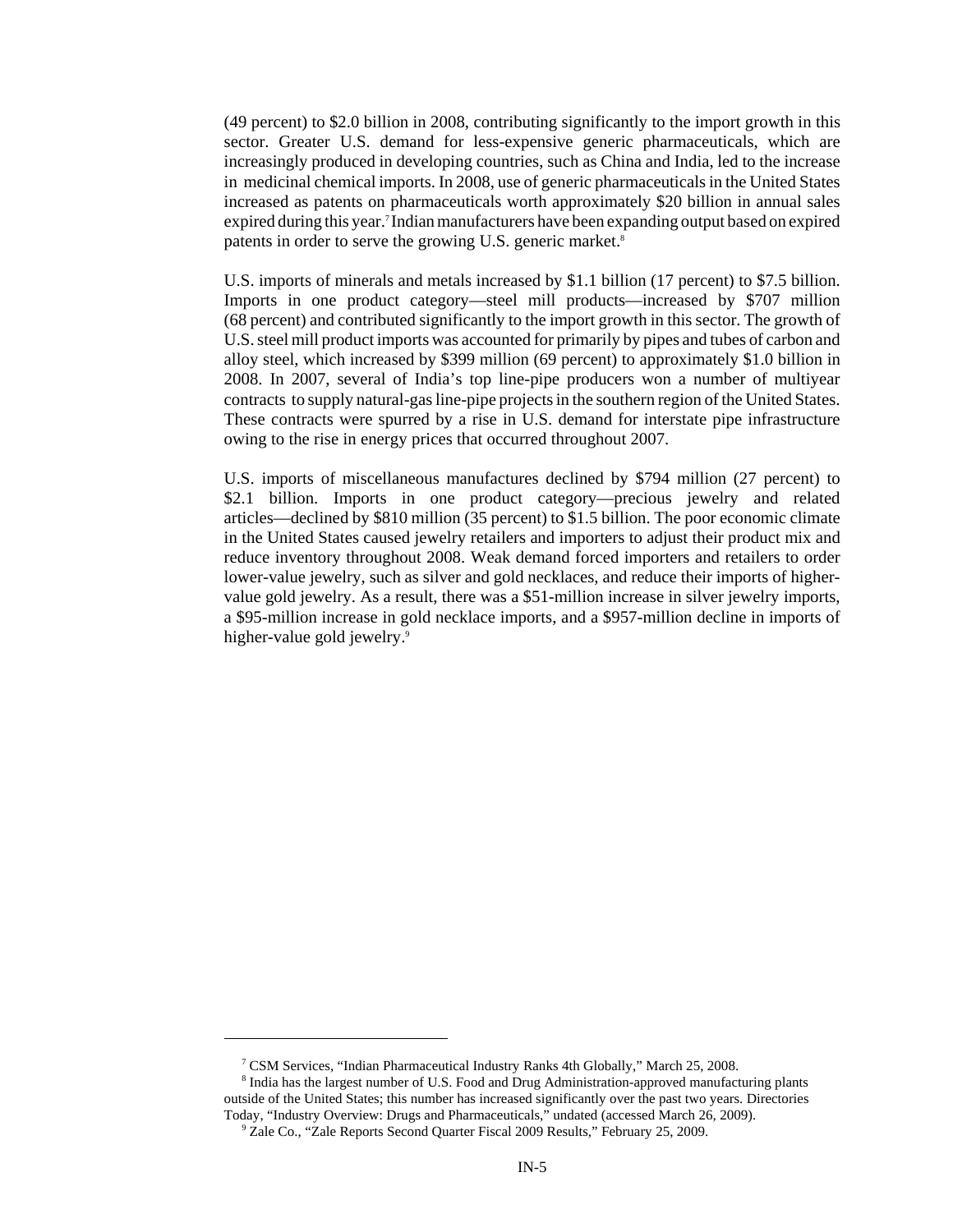(49 percent) to \$2.0 billion in 2008, contributing significantly to the import growth in this sector. Greater U.S. demand for less-expensive generic pharmaceuticals, which are increasingly produced in developing countries, such as China and India, led to the increase in medicinal chemical imports. In 2008, use of generic pharmaceuticals in the United States increased as patents on pharmaceuticals worth approximately \$20 billion in annual sales expired during this year.7 Indian manufacturers have been expanding output based on expired patents in order to serve the growing U.S. generic market.<sup>8</sup>

U.S. imports of minerals and metals increased by \$1.1 billion (17 percent) to \$7.5 billion. Imports in one product category—steel mill products—increased by \$707 million (68 percent) and contributed significantly to the import growth in this sector. The growth of U.S. steel mill product imports was accounted for primarily by pipes and tubes of carbon and alloy steel, which increased by \$399 million (69 percent) to approximately \$1.0 billion in 2008. In 2007, several of India's top line-pipe producers won a number of multiyear contracts to supply natural-gas line-pipe projects in the southern region of the United States. These contracts were spurred by a rise in U.S. demand for interstate pipe infrastructure owing to the rise in energy prices that occurred throughout 2007.

U.S. imports of miscellaneous manufactures declined by \$794 million (27 percent) to \$2.1 billion. Imports in one product category—precious jewelry and related articles—declined by \$810 million (35 percent) to \$1.5 billion. The poor economic climate in the United States caused jewelry retailers and importers to adjust their product mix and reduce inventory throughout 2008. Weak demand forced importers and retailers to order lower-value jewelry, such as silver and gold necklaces, and reduce their imports of highervalue gold jewelry. As a result, there was a \$51-million increase in silver jewelry imports, a \$95-million increase in gold necklace imports, and a \$957-million decline in imports of higher-value gold jewelry.<sup>9</sup>

 <sup>7</sup> CSM Services, "Indian Pharmaceutical Industry Ranks 4th Globally," March 25, 2008.

<sup>&</sup>lt;sup>8</sup> India has the largest number of U.S. Food and Drug Administration-approved manufacturing plants outside of the United States; this number has increased significantly over the past two years. Directories Today, "Industry Overview: Drugs and Pharmaceuticals," undated (accessed March 26, 2009).

 <sup>9</sup> Zale Co., "Zale Reports Second Quarter Fiscal 2009 Results," February 25, 2009.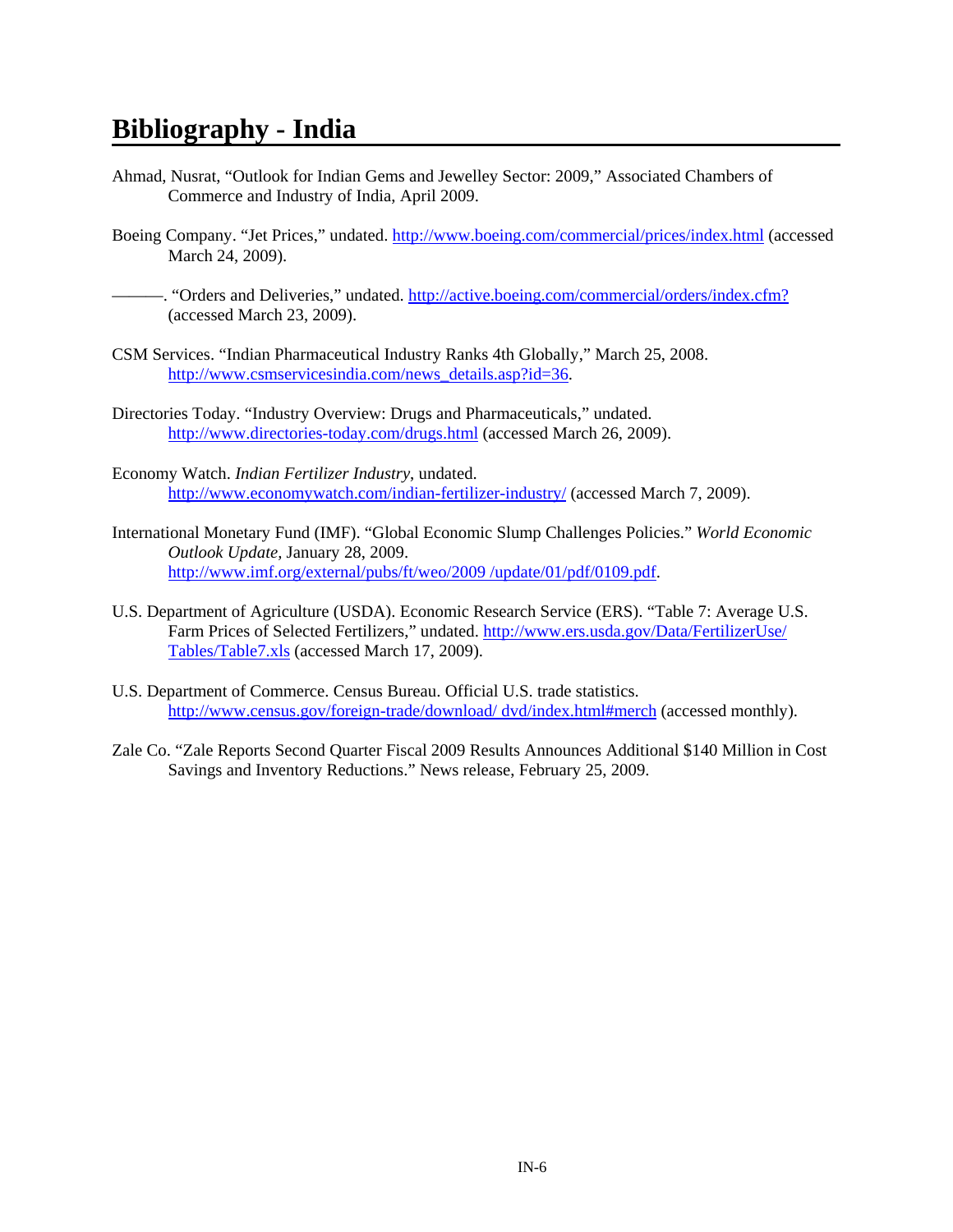# **Bibliography - India**

- Ahmad, Nusrat, "Outlook for Indian Gems and Jewelley Sector: 2009," Associated Chambers of Commerce and Industry of India, April 2009.
- Boeing Company. "Jet Prices," undated. http://www.boeing.com/commercial/prices/index.html (accessed March 24, 2009).
- ———. "Orders and Deliveries," undated. http://active.boeing.com/commercial/orders/index.cfm? (accessed March 23, 2009).
- CSM Services. "Indian Pharmaceutical Industry Ranks 4th Globally," March 25, 2008. http://www.csmservicesindia.com/news\_details.asp?id=36.
- Directories Today. "Industry Overview: Drugs and Pharmaceuticals," undated. http://www.directories-today.com/drugs.html (accessed March 26, 2009).
- Economy Watch. *Indian Fertilizer Industry*, undated. http://www.economywatch.com/indian-fertilizer-industry/ (accessed March 7, 2009).
- International Monetary Fund (IMF). "Global Economic Slump Challenges Policies." *World Economic Outlook Update,* January 28, 2009. http://www.imf.org/external/pubs/ft/weo/2009 /update/01/pdf/0109.pdf.
- U.S. Department of Agriculture (USDA). Economic Research Service (ERS). "Table 7: Average U.S. Farm Prices of Selected Fertilizers," undated. http://www.ers.usda.gov/Data/FertilizerUse/ Tables/Table7.xls (accessed March 17, 2009).
- U.S. Department of Commerce. Census Bureau. Official U.S. trade statistics. http://www.census.gov/foreign-trade/download/ dvd/index.html#merch (accessed monthly).
- Zale Co. "Zale Reports Second Quarter Fiscal 2009 Results Announces Additional \$140 Million in Cost Savings and Inventory Reductions." News release, February 25, 2009.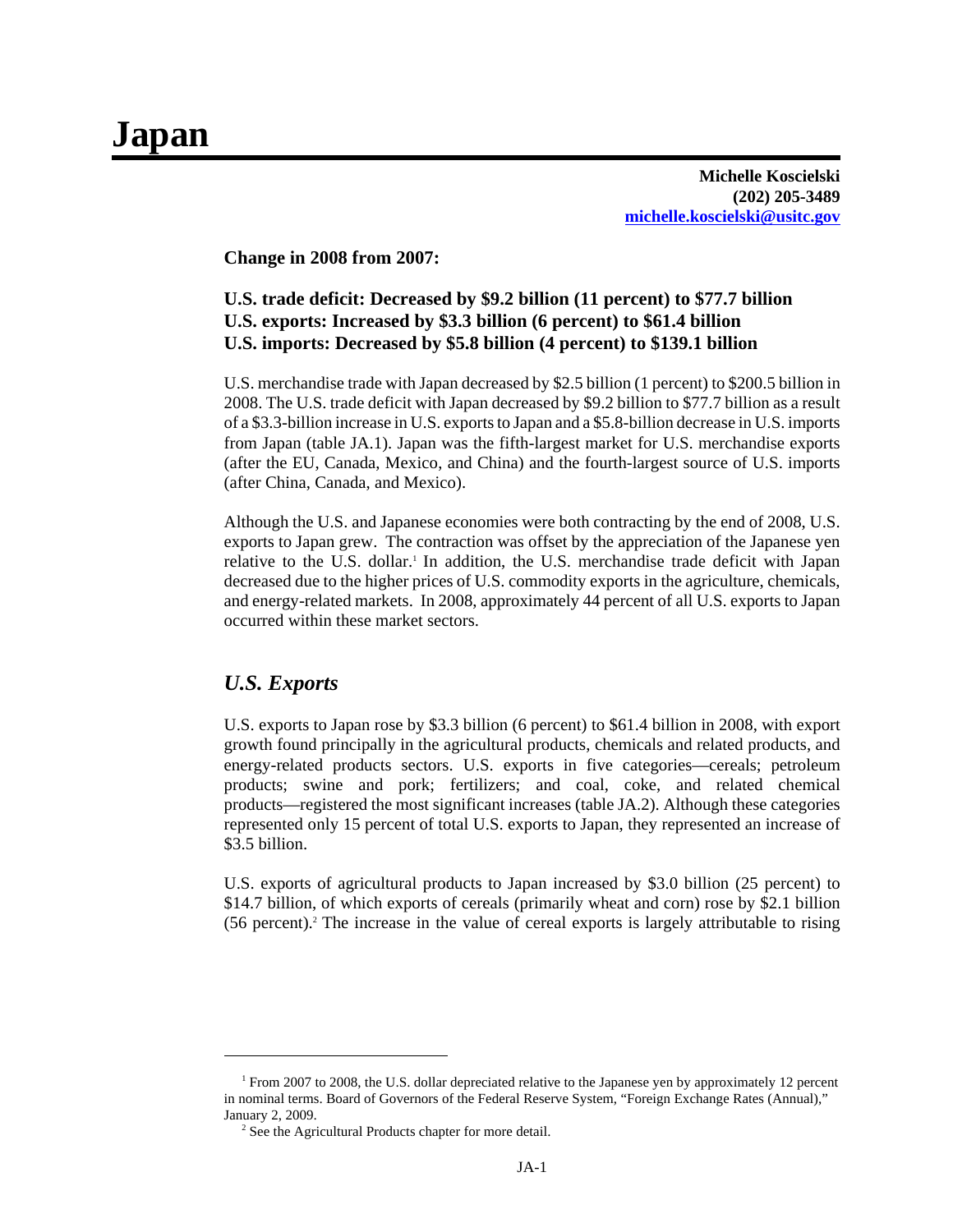# **Japan**

**Michelle Koscielski (202) 205-3489 michelle.koscielski@usitc.gov**

#### **Change in 2008 from 2007:**

## **U.S. trade deficit: Decreased by \$9.2 billion (11 percent) to \$77.7 billion U.S. exports: Increased by \$3.3 billion (6 percent) to \$61.4 billion U.S. imports: Decreased by \$5.8 billion (4 percent) to \$139.1 billion**

U.S. merchandise trade with Japan decreased by \$2.5 billion (1 percent) to \$200.5 billion in 2008. The U.S. trade deficit with Japan decreased by \$9.2 billion to \$77.7 billion as a result of a \$3.3-billion increase in U.S. exports to Japan and a \$5.8-billion decrease in U.S. imports from Japan (table JA.1). Japan was the fifth-largest market for U.S. merchandise exports (after the EU, Canada, Mexico, and China) and the fourth-largest source of U.S. imports (after China, Canada, and Mexico).

Although the U.S. and Japanese economies were both contracting by the end of 2008, U.S. exports to Japan grew. The contraction was offset by the appreciation of the Japanese yen relative to the U.S. dollar.1 In addition, the U.S. merchandise trade deficit with Japan decreased due to the higher prices of U.S. commodity exports in the agriculture, chemicals, and energy-related markets. In 2008, approximately 44 percent of all U.S. exports to Japan occurred within these market sectors.

## *U.S. Exports*

U.S. exports to Japan rose by \$3.3 billion (6 percent) to \$61.4 billion in 2008, with export growth found principally in the agricultural products, chemicals and related products, and energy-related products sectors. U.S. exports in five categories—cereals; petroleum products; swine and pork; fertilizers; and coal, coke, and related chemical products—registered the most significant increases (table JA.2). Although these categories represented only 15 percent of total U.S. exports to Japan, they represented an increase of \$3.5 billion.

U.S. exports of agricultural products to Japan increased by \$3.0 billion (25 percent) to \$14.7 billion, of which exports of cereals (primarily wheat and corn) rose by \$2.1 billion (56 percent).2 The increase in the value of cereal exports is largely attributable to rising

<sup>&</sup>lt;sup>1</sup> From 2007 to 2008, the U.S. dollar depreciated relative to the Japanese yen by approximately 12 percent in nominal terms. Board of Governors of the Federal Reserve System, "Foreign Exchange Rates (Annual)," January 2, 2009.

<sup>&</sup>lt;sup>2</sup> See the Agricultural Products chapter for more detail.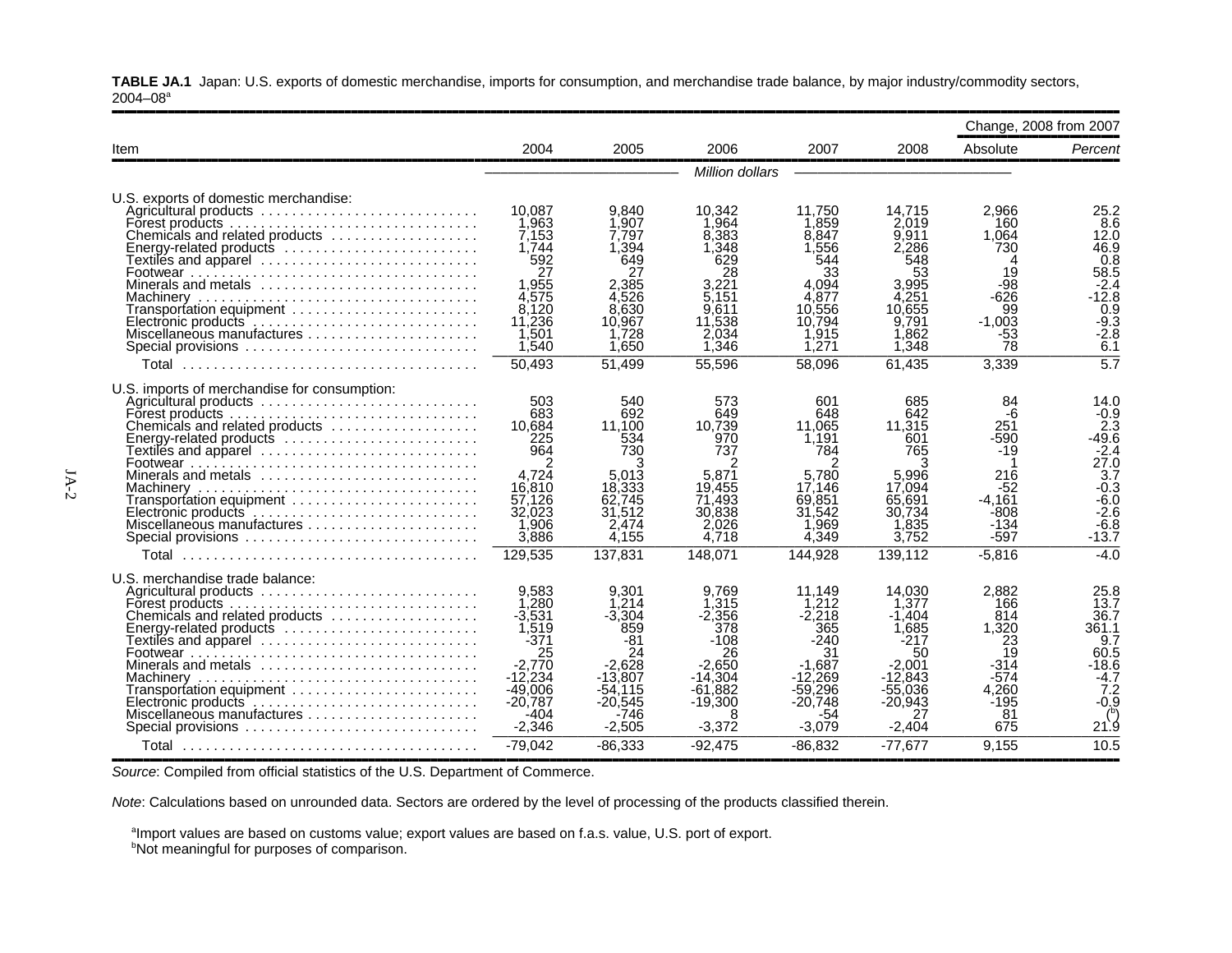**TABLE JA.1** Japan: U.S. exports of domestic merchandise, imports for consumption, and merchandise trade balance, by major industry/commodity sectors,  $2004 - 08$ <sup>a</sup>

|                                                                                                                                                                                                                                                                                                                                                                                                                                     |                                                                                                                                     |                                                                                                                       |                                                                                                                       |                                                                                                                        |                                                                                                                         |                                                                                                        | Change, 2008 from 2007                                                                                                                                      |
|-------------------------------------------------------------------------------------------------------------------------------------------------------------------------------------------------------------------------------------------------------------------------------------------------------------------------------------------------------------------------------------------------------------------------------------|-------------------------------------------------------------------------------------------------------------------------------------|-----------------------------------------------------------------------------------------------------------------------|-----------------------------------------------------------------------------------------------------------------------|------------------------------------------------------------------------------------------------------------------------|-------------------------------------------------------------------------------------------------------------------------|--------------------------------------------------------------------------------------------------------|-------------------------------------------------------------------------------------------------------------------------------------------------------------|
| Item                                                                                                                                                                                                                                                                                                                                                                                                                                | 2004                                                                                                                                | 2005                                                                                                                  | 2006                                                                                                                  | 2007                                                                                                                   | 2008                                                                                                                    | Absolute                                                                                               | Percent                                                                                                                                                     |
|                                                                                                                                                                                                                                                                                                                                                                                                                                     |                                                                                                                                     |                                                                                                                       | Million dollars                                                                                                       |                                                                                                                        |                                                                                                                         |                                                                                                        |                                                                                                                                                             |
| U.S. exports of domestic merchandise:<br>Forest products $\ldots \ldots \ldots \ldots \ldots \ldots \ldots \ldots \ldots \ldots$<br>Chemicals and related products<br>Energy-related products<br>Textiles and apparel ............................<br>Minerals and metals $\ldots \ldots \ldots \ldots \ldots \ldots \ldots$<br>Transportation equipment<br>Electronic products<br>Miscellaneous manufactures<br>Special provisions | 10.087<br>1.963<br>7,153<br>1,744<br>592<br>27<br>1.955<br>4.575<br>8,120<br>11,236<br>1,501<br>1,540                               | 9,840<br>1.907<br>7.797<br>1.394<br>649<br>27<br>2.385<br>4,526<br>8.630<br>10.967<br>1,728<br>1,650                  | 10.342<br>1.964<br>8,383<br>1.348<br>629<br>28<br>3.221<br>5,151<br>9.611<br>11,538<br>2,034<br>1,346                 | 11.750<br>1.859<br>8.847<br>1.556<br>544<br>33<br>4.094<br>4.877<br>10.556<br>10.794<br>1,915<br>1.271                 | 14.715<br>2,019<br>9,911<br>2,286<br>548<br>53<br>3.995<br>4,251<br>10.655<br>9,791<br>1,862<br>1,348                   | 2.966<br>160<br>1.064<br>730<br>$\Delta$<br>19<br>-98<br>-626<br>99<br>$-1,003$<br>$-53$<br>78         | 25.2<br>8.6<br>12.0<br>46.9<br>$0.\overline{8}$<br>58.5<br>$-2.4$<br>$-12.8$<br>$\overline{0.9}$<br>$-9.3$<br>$-2.8$<br>6.1                                 |
|                                                                                                                                                                                                                                                                                                                                                                                                                                     | 50.493                                                                                                                              | 51.499                                                                                                                | 55.596                                                                                                                | 58.096                                                                                                                 | 61.435                                                                                                                  | 3,339                                                                                                  | $\overline{5.7}$                                                                                                                                            |
| U.S. imports of merchandise for consumption:<br>Agricultural products<br>Forest products.<br>Chemicals and related products<br>Energy-related products<br>Textiles and apparel ............................<br>Minerals and metals<br>Electronic products<br>Miscellaneous manufactures<br>Special provisions                                                                                                                       | 503<br>683<br>10.684<br>225<br>964<br>4.724<br>16.810<br>57.126<br>32,023<br>1,906<br>3,886                                         | 540<br>692<br>11.100<br>534<br>730<br>5.013<br>18,333<br>62,745<br>31.512<br>2.474<br>4,155<br>137.831                | 573<br>649<br>10,739<br>970<br>737<br>5,871<br>19.455<br>71.493<br>30,838<br>2,026<br>4.718<br>148.071                | 601<br>648<br>11.065<br>1.191<br>784<br>5.780<br>17.146<br>69.851<br>31.542<br>.969<br>4,349<br>144.928                | 685<br>642<br>11,315<br>601<br>765<br>5,996<br>17.094<br>65.691<br>30.734<br>1.835<br>3,752<br>139.112                  | 84<br>-6<br>251<br>-590<br>$-19$<br>216<br>-52<br>$-4.161$<br>-808<br>$-134$<br>$-597$                 | 14.0<br>$-0.9$<br>$\tilde{2}.\tilde{3}$<br>$-49.\bar{6}$<br>$-2.4$<br>27.0<br>$3.\overline{7}$<br>$-0.3$<br>$-6.0$<br>$-2.6$<br>$-6.8$<br>$-13.7$<br>$-4.0$ |
| U.S. merchandise trade balance:<br>Agricultural products<br>Forest products.<br>Chemicals and related products<br>Energy-related products<br>Textiles and apparel<br>Minerals and metals<br>Transportation equipment<br>Electronic products $\ldots \ldots \ldots \ldots \ldots \ldots \ldots \ldots \ldots$<br>Miscellaneous manufactures<br>Special provisions                                                                    | 129,535<br>9,583<br>1.280<br>$-3,531$<br>1,519<br>-371<br>25<br>$-2.770$<br>$-12,234$<br>$-49.006$<br>$-20.787$<br>-404<br>$-2,346$ | 9,301<br>1.214<br>$-3,304$<br>859<br>-81<br>24<br>$-2,628$<br>$-13,807$<br>$-54.115$<br>$-20,545$<br>-746<br>$-2,505$ | 9,769<br>1.315<br>$-2,356$<br>378<br>$-108$<br>26<br>$-2.650$<br>$-14.304$<br>$-61,882$<br>$-19.300$<br>8<br>$-3,372$ | 11,149<br>1.212<br>$-2,218$<br>365<br>-240<br>31<br>$-1,687$<br>$-12.269$<br>$-59.296$<br>$-20.748$<br>-54<br>$-3,079$ | 14,030<br>1.377<br>$-1.404$<br>1.685<br>-217<br>50<br>$-2.001$<br>$-12.843$<br>$-55.036$<br>$-20.943$<br>27<br>$-2,404$ | $-5,816$<br>2,882<br>166<br>814<br>1,320<br>23<br>19<br>$-314$<br>-574<br>4.260<br>$-195$<br>81<br>675 | 25.8<br>13.7<br>36.7<br>361.1<br>9.7<br>60.5<br>$-18.6$<br>$-4.7$<br>7.2<br>$-0.9$<br>21.9                                                                  |
|                                                                                                                                                                                                                                                                                                                                                                                                                                     | $-79,042$                                                                                                                           | $-86,333$                                                                                                             | $-92.475$                                                                                                             | $-86.832$                                                                                                              | $-77.677$                                                                                                               | 9.155                                                                                                  | 10.5                                                                                                                                                        |

,,,,,,,,,,,,,,,,,,,,,,,,,,,,,,,,,,,,,,,,,,,,,,,,,,,,,,,,,,,,,,,,,,,,,,,,,,,,,,,,,,,,,,,,,,,,,,,,,,,,,,,,,,,,,,,,,,,,,,,,,,,,,,,,,,,,,,,,,,,,,,,,,,,,,,,,,,,,,,,,

*Source*: Compiled from official statistics of the U.S. Department of Commerce.

*Note*: Calculations based on unrounded data. Sectors are ordered by the level of processing of the products classified therein.

<sup>a</sup>Import values are based on customs value; export values are based on f.a.s. value, U.S. port of export.

**bNot meaningful for purposes of comparison.**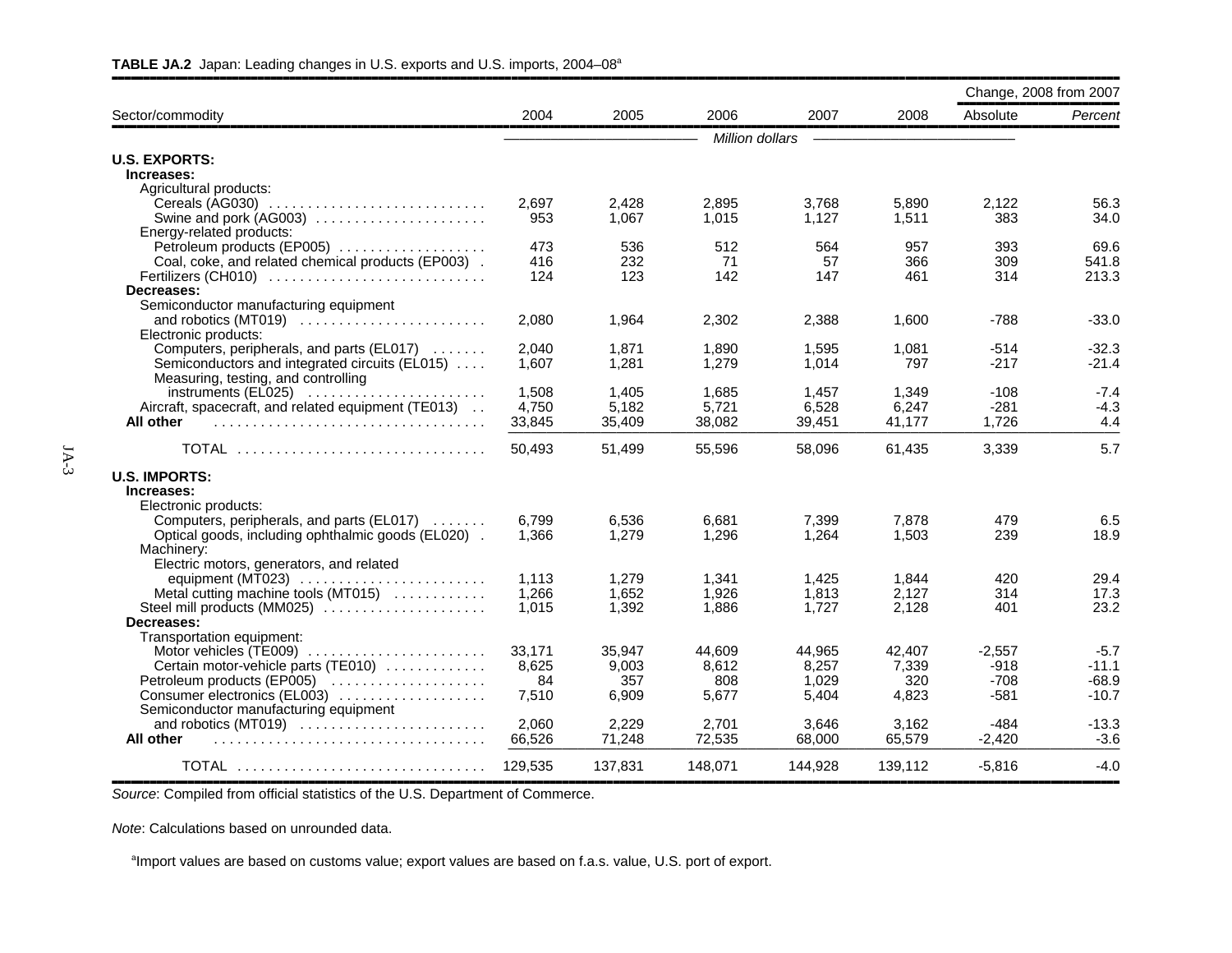|                                                                                                 |         |                |                 |         |         | Change, 2008 from 2007 |              |
|-------------------------------------------------------------------------------------------------|---------|----------------|-----------------|---------|---------|------------------------|--------------|
| Sector/commodity                                                                                | 2004    | 2005           | 2006            | 2007    | 2008    | Absolute               | Percent      |
|                                                                                                 |         |                | Million dollars |         |         |                        |              |
| <b>U.S. EXPORTS:</b>                                                                            |         |                |                 |         |         |                        |              |
| Increases:                                                                                      |         |                |                 |         |         |                        |              |
| Agricultural products:                                                                          |         |                |                 |         |         |                        |              |
| Cereals (AG030)                                                                                 | 2,697   | 2,428          | 2,895           | 3,768   | 5,890   | 2,122                  | 56.3         |
| Swine and pork (AG003)                                                                          | 953     | 1.067          | 1,015           | 1,127   | 1,511   | 383                    | 34.0         |
| Energy-related products:                                                                        |         |                |                 |         |         |                        |              |
| Petroleum products (EP005)                                                                      | 473     | 536            | 512             | 564     | 957     | 393                    | 69.6         |
| Coal, coke, and related chemical products (EP003).                                              | 416     | 232            | 71              | 57      | 366     | 309                    | 541.8        |
| Fertilizers (CH010)                                                                             | 124     | 123            | 142             | 147     | 461     | 314                    | 213.3        |
| Decreases:                                                                                      |         |                |                 |         |         |                        |              |
| Semiconductor manufacturing equipment                                                           |         |                |                 |         |         |                        |              |
| and robotics (MT019)                                                                            | 2,080   | 1,964          | 2,302           | 2,388   | 1,600   | -788                   | $-33.0$      |
| Electronic products:                                                                            |         |                |                 |         |         |                        |              |
| Computers, peripherals, and parts (EL017)                                                       | 2.040   | 1.871          | 1.890           | 1,595   | 1.081   | -514                   | -32.3        |
| Semiconductors and integrated circuits (EL015)                                                  | 1.607   | 1,281          | 1,279           | 1,014   | 797     | $-217$                 | $-21.4$      |
| Measuring, testing, and controlling                                                             |         |                |                 |         |         |                        |              |
| $instruments$ (EL025) $\ldots$                                                                  | 1,508   | 1,405          | 1,685           | 1,457   | 1,349   | $-108$                 | $-7.4$       |
| Aircraft, spacecraft, and related equipment (TE013)                                             | 4,750   | 5,182          | 5,721           | 6,528   | 6,247   | $-281$                 | $-4.3$       |
| All other                                                                                       | 33,845  | 35,409         | 38,082          | 39,451  | 41,177  | 1.726                  | 4.4          |
| TOTAL                                                                                           | 50,493  | 51,499         | 55,596          | 58,096  | 61,435  | 3,339                  | 5.7          |
|                                                                                                 |         |                |                 |         |         |                        |              |
| <b>U.S. IMPORTS:</b><br>Increases:                                                              |         |                |                 |         |         |                        |              |
| Electronic products:                                                                            |         |                |                 |         |         |                        |              |
|                                                                                                 | 6,799   | 6,536          | 6,681           | 7,399   | 7,878   | 479                    | 6.5          |
| Computers, peripherals, and parts (EL017)<br>Optical goods, including ophthalmic goods (EL020). | 1.366   | 1.279          | 1.296           | 1.264   | 1.503   | 239                    | 18.9         |
| Machinery:                                                                                      |         |                |                 |         |         |                        |              |
|                                                                                                 |         |                |                 |         |         |                        |              |
| Electric motors, generators, and related                                                        |         |                |                 |         |         | 420                    |              |
| equipment (MT023) $\ldots$                                                                      | 1,113   | 1,279<br>1,652 | 1,341<br>1.926  | 1,425   | 1,844   | 314                    | 29.4<br>17.3 |
| Metal cutting machine tools (MT015)<br>Steel mill products (MM025)                              | 1,266   |                |                 | 1,813   | 2,127   | 401                    | 23.2         |
|                                                                                                 | 1,015   | 1,392          | 1,886           | 1,727   | 2,128   |                        |              |
| Decreases:                                                                                      |         |                |                 |         |         |                        |              |
| Transportation equipment:                                                                       |         | 35.947         |                 |         |         |                        |              |
| Motor vehicles (TE009)                                                                          | 33,171  |                | 44.609          | 44,965  | 42.407  | $-2,557$               | $-5.7$       |
| Certain motor-vehicle parts (TE010)                                                             | 8,625   | 9,003          | 8,612           | 8,257   | 7,339   | $-918$                 | $-11.1$      |
| Petroleum products (EP005)                                                                      | 84      | 357            | 808             | 1,029   | 320     | $-708$                 | $-68.9$      |
| Consumer electronics (EL003)                                                                    | 7,510   | 6.909          | 5.677           | 5,404   | 4,823   | -581                   | $-10.7$      |
| Semiconductor manufacturing equipment                                                           |         |                |                 |         |         |                        |              |
| and robotics (MT019)                                                                            | 2,060   | 2,229          | 2,701           | 3,646   | 3,162   | $-484$                 | $-13.3$      |
| All other                                                                                       | 66,526  | 71,248         | 72,535          | 68,000  | 65,579  | $-2,420$               | $-3.6$       |
| TOTAL                                                                                           | 129,535 | 137,831        | 148.071         | 144.928 | 139,112 | $-5,816$               | $-4.0$       |

#### **TABLE JA.2** Japan: Leading changes in U.S. exports and U.S. imports, 2004–08a

*Source*: Compiled from official statistics of the U.S. Department of Commerce.

*Note*: Calculations based on unrounded data.

<sup>a</sup>Import values are based on customs value; export values are based on f.a.s. value, U.S. port of export.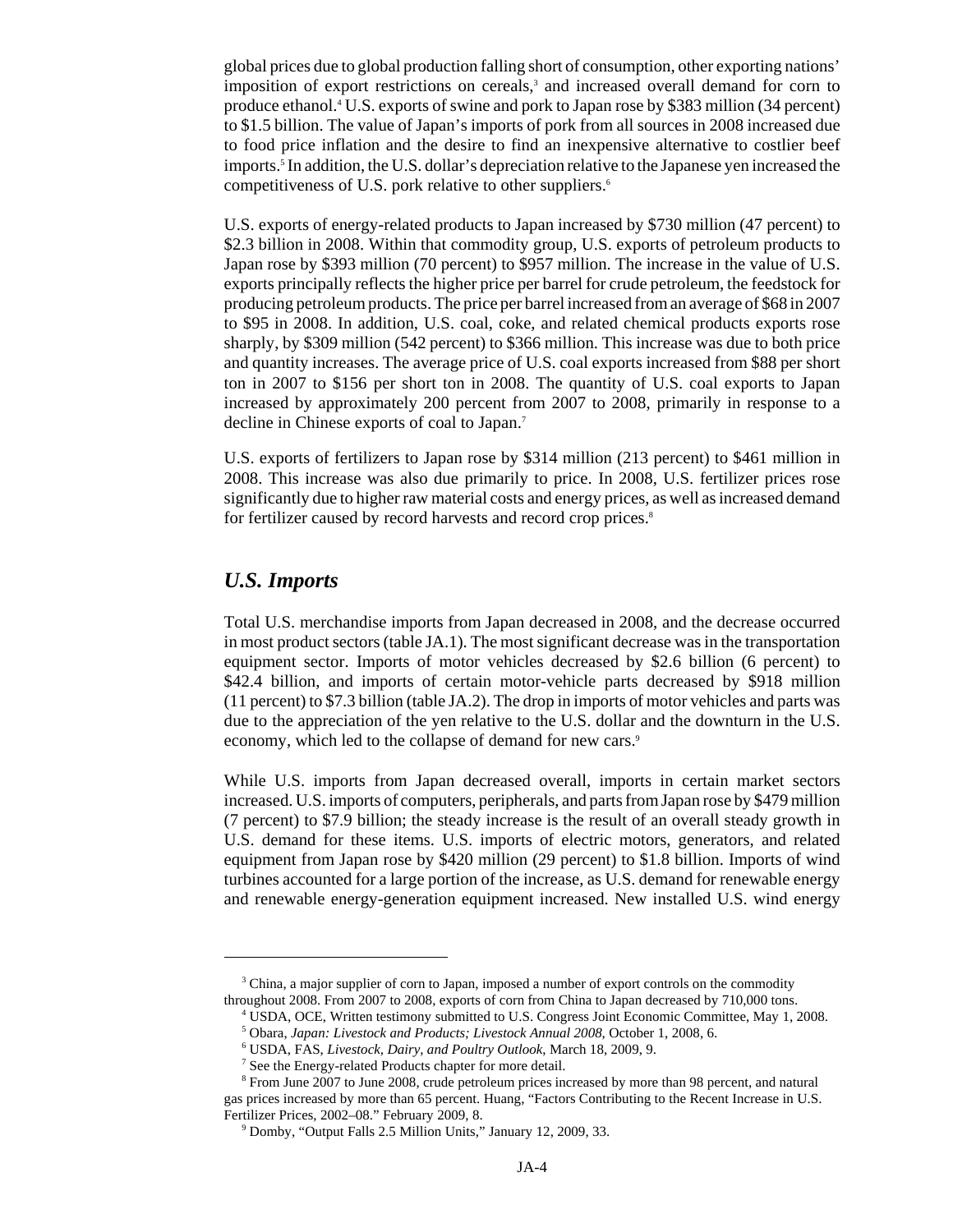global prices due to global production falling short of consumption, other exporting nations' imposition of export restrictions on cereals,<sup>3</sup> and increased overall demand for corn to produce ethanol.4 U.S. exports of swine and pork to Japan rose by \$383 million (34 percent) to \$1.5 billion. The value of Japan's imports of pork from all sources in 2008 increased due to food price inflation and the desire to find an inexpensive alternative to costlier beef imports.5 In addition, the U.S. dollar's depreciation relative to the Japanese yen increased the competitiveness of U.S. pork relative to other suppliers.<sup>6</sup>

U.S. exports of energy-related products to Japan increased by \$730 million (47 percent) to \$2.3 billion in 2008. Within that commodity group, U.S. exports of petroleum products to Japan rose by \$393 million (70 percent) to \$957 million. The increase in the value of U.S. exports principally reflects the higher price per barrel for crude petroleum, the feedstock for producing petroleum products. The price per barrel increased from an average of \$68 in 2007 to \$95 in 2008. In addition, U.S. coal, coke, and related chemical products exports rose sharply, by \$309 million (542 percent) to \$366 million. This increase was due to both price and quantity increases. The average price of U.S. coal exports increased from \$88 per short ton in 2007 to \$156 per short ton in 2008. The quantity of U.S. coal exports to Japan increased by approximately 200 percent from 2007 to 2008, primarily in response to a decline in Chinese exports of coal to Japan.7

U.S. exports of fertilizers to Japan rose by \$314 million (213 percent) to \$461 million in 2008. This increase was also due primarily to price. In 2008, U.S. fertilizer prices rose significantly due to higher raw material costs and energy prices, as well as increased demand for fertilizer caused by record harvests and record crop prices.<sup>8</sup>

#### *U.S. Imports*

Total U.S. merchandise imports from Japan decreased in 2008, and the decrease occurred in most product sectors (table JA.1). The most significant decrease was in the transportation equipment sector. Imports of motor vehicles decreased by \$2.6 billion (6 percent) to \$42.4 billion, and imports of certain motor-vehicle parts decreased by \$918 million (11 percent) to \$7.3 billion (table JA.2). The drop in imports of motor vehicles and parts was due to the appreciation of the yen relative to the U.S. dollar and the downturn in the U.S. economy, which led to the collapse of demand for new cars.<sup>9</sup>

While U.S. imports from Japan decreased overall, imports in certain market sectors increased. U.S. imports of computers, peripherals, and parts from Japan rose by \$479 million (7 percent) to \$7.9 billion; the steady increase is the result of an overall steady growth in U.S. demand for these items. U.S. imports of electric motors, generators, and related equipment from Japan rose by \$420 million (29 percent) to \$1.8 billion. Imports of wind turbines accounted for a large portion of the increase, as U.S. demand for renewable energy and renewable energy-generation equipment increased. New installed U.S. wind energy

<sup>&</sup>lt;sup>3</sup> China, a major supplier of corn to Japan, imposed a number of export controls on the commodity throughout 2008. From 2007 to 2008, exports of corn from China to Japan decreased by 710,000 tons.

 <sup>4</sup> USDA, OCE, Written testimony submitted to U.S. Congress Joint Economic Committee, May 1, 2008.

 <sup>5</sup> Obara, *Japan: Livestock and Products; Livestock Annual 2008*, October 1, 2008, 6.

 <sup>6</sup> USDA, FAS, *Livestock, Dairy, and Poultry Outlook*, March 18, 2009, 9.

<sup>&</sup>lt;sup>7</sup> See the Energy-related Products chapter for more detail.

<sup>&</sup>lt;sup>8</sup> From June 2007 to June 2008, crude petroleum prices increased by more than 98 percent, and natural gas prices increased by more than 65 percent. Huang, "Factors Contributing to the Recent Increase in U.S. Fertilizer Prices, 2002–08." February 2009, 8.

 <sup>9</sup> Domby, "Output Falls 2.5 Million Units," January 12, 2009, 33.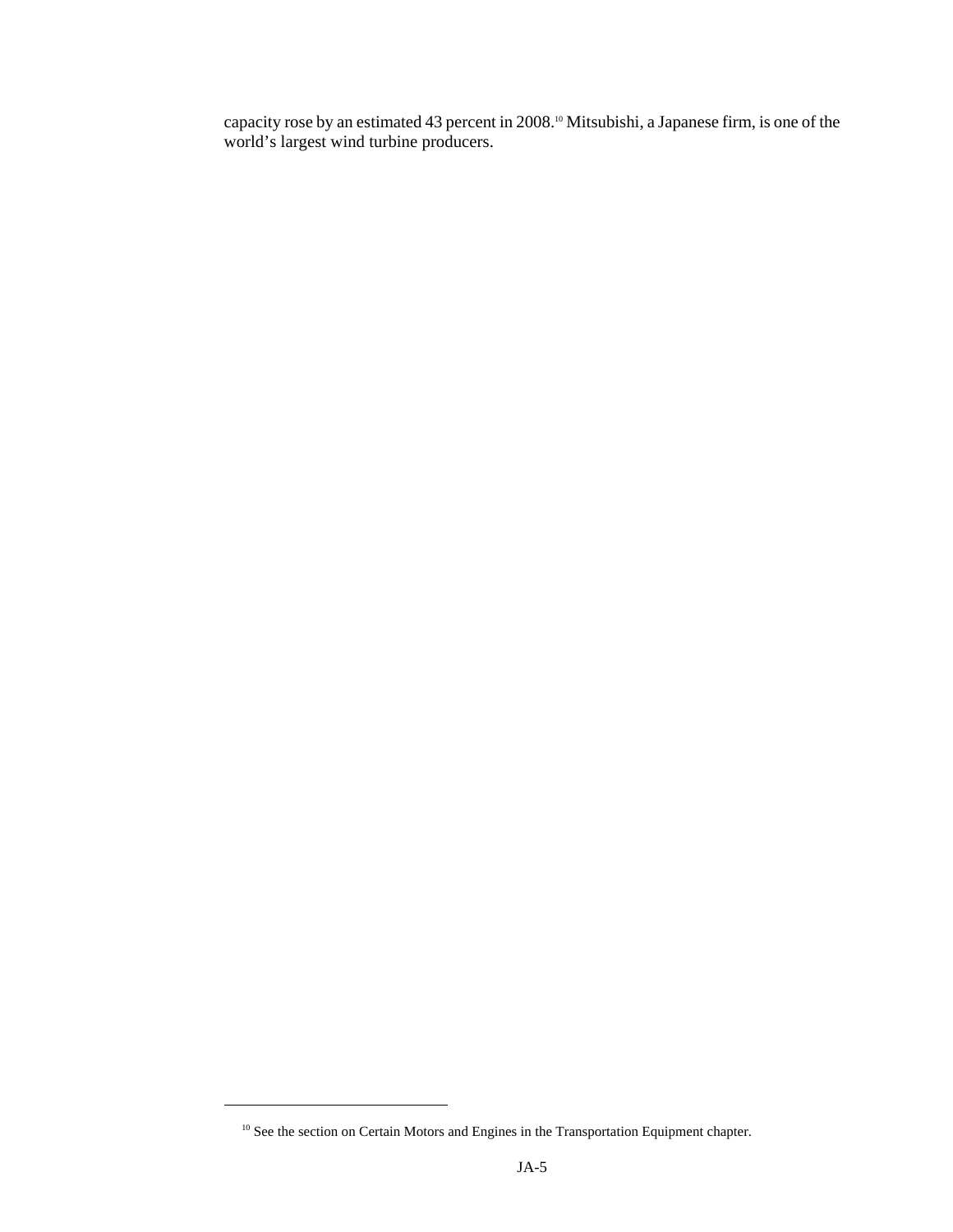capacity rose by an estimated 43 percent in 2008.10 Mitsubishi, a Japanese firm, is one of the world's largest wind turbine producers.

 $^{10}$  See the section on Certain Motors and Engines in the Transportation Equipment chapter.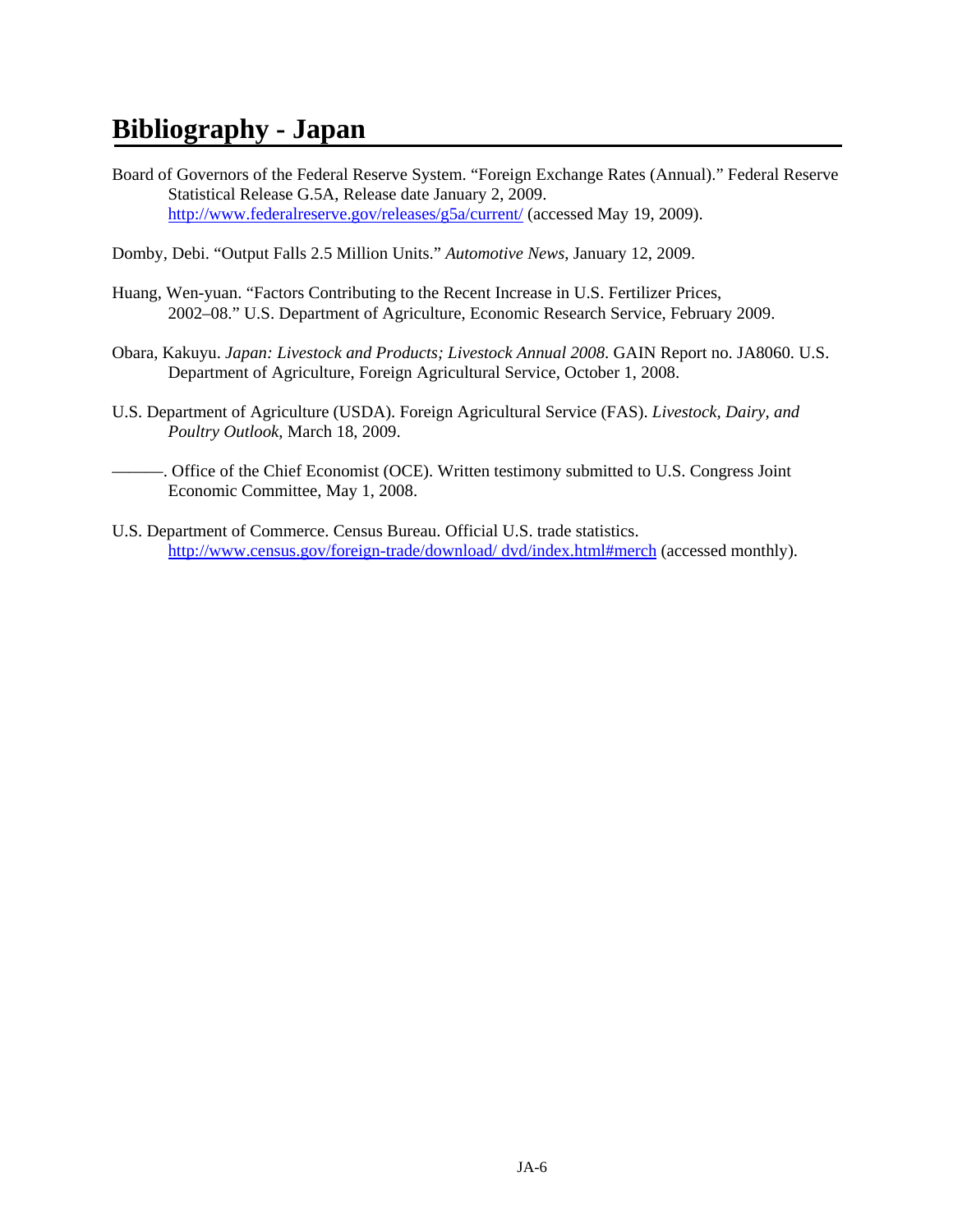# **Bibliography - Japan**

- Board of Governors of the Federal Reserve System. "Foreign Exchange Rates (Annual)." Federal Reserve Statistical Release G.5A, Release date January 2, 2009. http://www.federalreserve.gov/releases/g5a/current/ (accessed May 19, 2009).
- Domby, Debi. "Output Falls 2.5 Million Units." *Automotive News*, January 12, 2009.
- Huang, Wen-yuan. "Factors Contributing to the Recent Increase in U.S. Fertilizer Prices, 2002–08." U.S. Department of Agriculture, Economic Research Service, February 2009.
- Obara, Kakuyu. *Japan: Livestock and Products; Livestock Annual 2008*. GAIN Report no. JA8060. U.S. Department of Agriculture, Foreign Agricultural Service, October 1, 2008.
- U.S. Department of Agriculture (USDA). Foreign Agricultural Service (FAS). *Livestock, Dairy, and Poultry Outlook*, March 18, 2009.
- ———. Office of the Chief Economist (OCE). Written testimony submitted to U.S. Congress Joint Economic Committee, May 1, 2008.
- U.S. Department of Commerce. Census Bureau. Official U.S. trade statistics. http://www.census.gov/foreign-trade/download/ dvd/index.html#merch (accessed monthly).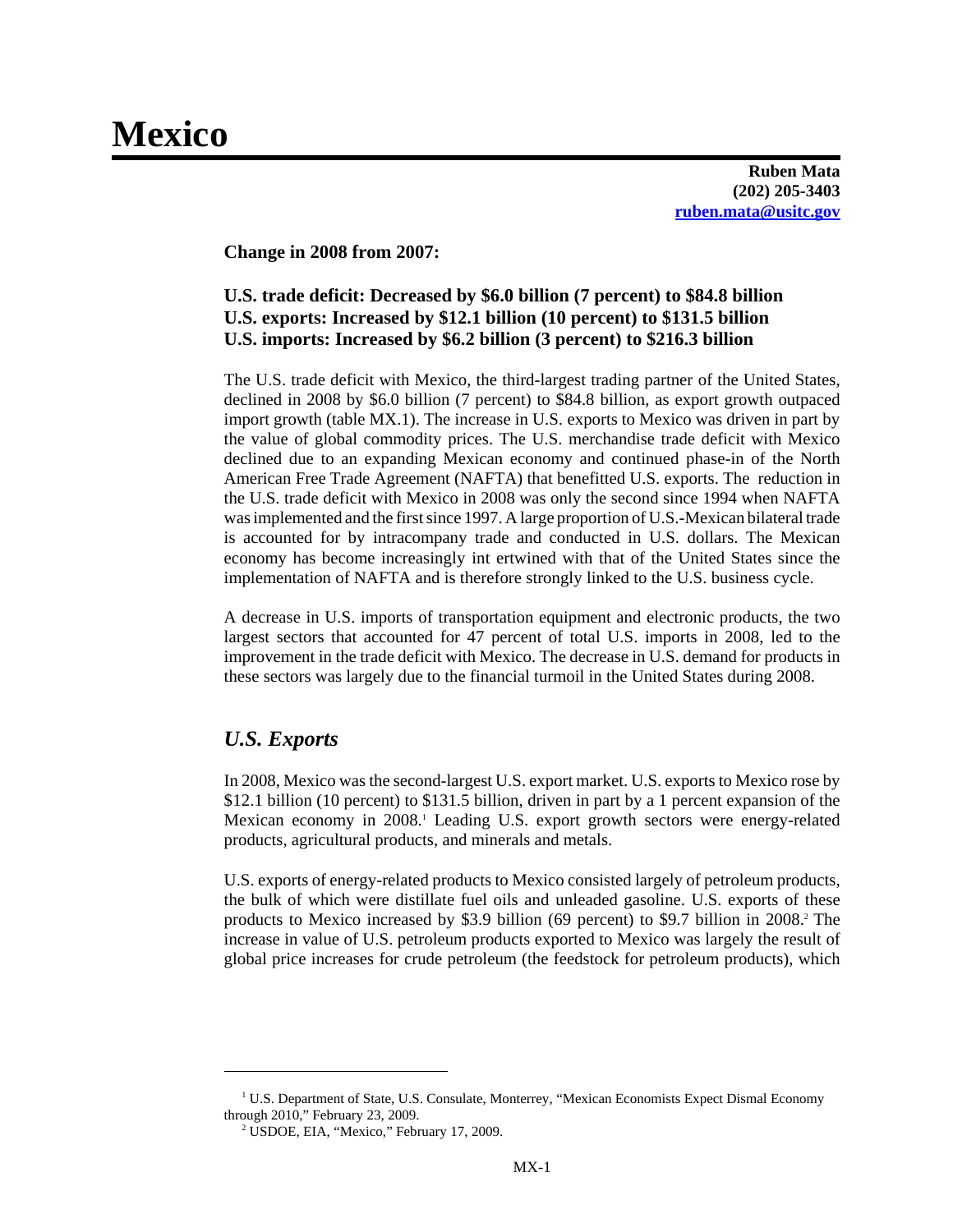# **Mexico**

**Ruben Mata (202) 205-3403 ruben.mata@usitc.gov**

**Change in 2008 from 2007:**

# **U.S. trade deficit: Decreased by \$6.0 billion (7 percent) to \$84.8 billion U.S. exports: Increased by \$12.1 billion (10 percent) to \$131.5 billion U.S. imports: Increased by \$6.2 billion (3 percent) to \$216.3 billion**

The U.S. trade deficit with Mexico, the third-largest trading partner of the United States, declined in 2008 by \$6.0 billion (7 percent) to \$84.8 billion, as export growth outpaced import growth (table MX.1). The increase in U.S. exports to Mexico was driven in part by the value of global commodity prices. The U.S. merchandise trade deficit with Mexico declined due to an expanding Mexican economy and continued phase-in of the North American Free Trade Agreement (NAFTA) that benefitted U.S. exports. The reduction in the U.S. trade deficit with Mexico in 2008 was only the second since 1994 when NAFTA was implemented and the first since 1997. A large proportion of U.S.-Mexican bilateral trade is accounted for by intracompany trade and conducted in U.S. dollars. The Mexican economy has become increasingly int ertwined with that of the United States since the implementation of NAFTA and is therefore strongly linked to the U.S. business cycle.

A decrease in U.S. imports of transportation equipment and electronic products, the two largest sectors that accounted for 47 percent of total U.S. imports in 2008, led to the improvement in the trade deficit with Mexico. The decrease in U.S. demand for products in these sectors was largely due to the financial turmoil in the United States during 2008.

# *U.S. Exports*

In 2008, Mexico was the second-largest U.S. export market. U.S. exports to Mexico rose by \$12.1 billion (10 percent) to \$131.5 billion, driven in part by a 1 percent expansion of the Mexican economy in 2008.<sup>1</sup> Leading U.S. export growth sectors were energy-related products, agricultural products, and minerals and metals.

U.S. exports of energy-related products to Mexico consisted largely of petroleum products, the bulk of which were distillate fuel oils and unleaded gasoline. U.S. exports of these products to Mexico increased by \$3.9 billion (69 percent) to \$9.7 billion in  $2008$ .<sup>2</sup> The increase in value of U.S. petroleum products exported to Mexico was largely the result of global price increases for crude petroleum (the feedstock for petroleum products), which

<sup>&</sup>lt;sup>1</sup> U.S. Department of State, U.S. Consulate, Monterrey, "Mexican Economists Expect Dismal Economy through 2010," February 23, 2009.

 <sup>2</sup> USDOE, EIA, "Mexico," February 17, 2009.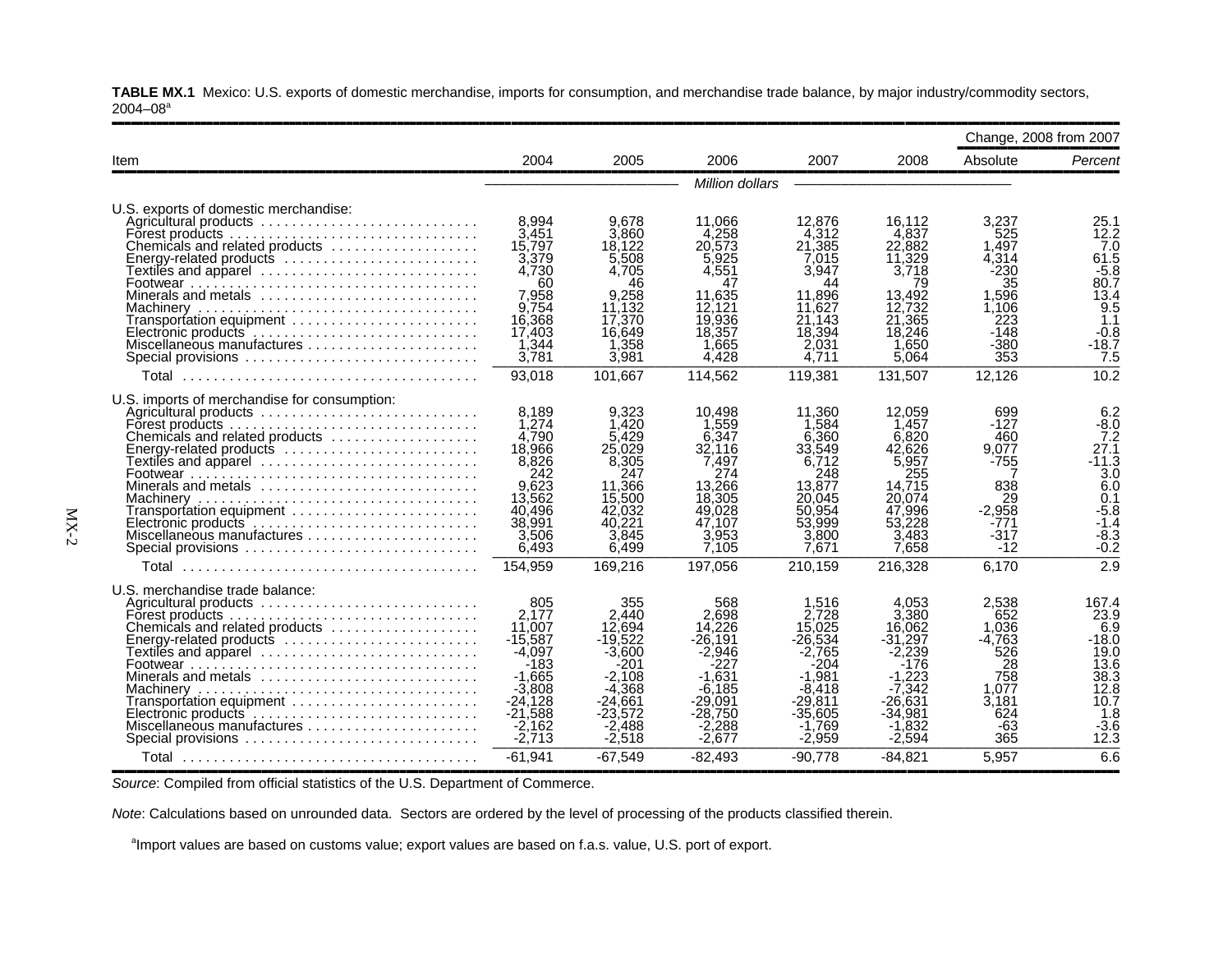**TABLE MX.1** Mexico: U.S. exports of domestic merchandise, imports for consumption, and merchandise trade balance, by major industry/commodity sectors,  $2004 - 08$ <sup>a</sup>

|                                                                                                                                   |                                                                                                                                 |                                                                                                                             |                                                                                                                               |                                                                                                                               |                                                                                                  | Change, 2008 from 2007                                                                                  |
|-----------------------------------------------------------------------------------------------------------------------------------|---------------------------------------------------------------------------------------------------------------------------------|-----------------------------------------------------------------------------------------------------------------------------|-------------------------------------------------------------------------------------------------------------------------------|-------------------------------------------------------------------------------------------------------------------------------|--------------------------------------------------------------------------------------------------|---------------------------------------------------------------------------------------------------------|
| 2004                                                                                                                              | 2005                                                                                                                            | 2006                                                                                                                        | 2007                                                                                                                          | 2008                                                                                                                          | Absolute                                                                                         | Percent                                                                                                 |
|                                                                                                                                   |                                                                                                                                 |                                                                                                                             |                                                                                                                               |                                                                                                                               |                                                                                                  |                                                                                                         |
| 8,994<br>3,451<br>15,797<br>3,379<br>4.730<br>60<br>7.958<br>9,754<br>16,368<br>17.403<br>1,344<br>3,781                          | 9,678<br>3.860<br>18.122<br>5.508<br>4,705<br>46<br>9.258<br>11,132<br>17,370<br>16.649<br>1,358<br>3,981                       | 11.066<br>4,258<br>20,573<br>5.925<br>4.551<br>47<br>11.635<br>12.121<br>19,936<br>18,357<br>1,665<br>4,428                 | 12,876<br>4.312<br>21,385<br>7.015<br>3,947<br>44<br>11.896<br>11.627<br>21,143<br>18,394<br>2,031<br>4.711                   | 16.112<br>4.837<br>22,882<br>11,329<br>3.718<br>79<br>13.492<br>12.732<br>21,365<br>18.246<br>1,650<br>5,064                  | 3.237<br>525<br>1.497<br>4,314<br>$-230$<br>35<br>1.596<br>1.106<br>223<br>$-148$<br>-380<br>353 | 25.1<br>12.2<br>7.0<br>61.5<br>$-5.8$<br>80.7<br>13.4<br>9.5<br>1.1<br>$-0.8$<br>$-18.7$<br>7.5         |
| 93,018                                                                                                                            | 101,667                                                                                                                         | 114,562                                                                                                                     | 119,381                                                                                                                       | 131,507                                                                                                                       | 12,126                                                                                           | 10.2                                                                                                    |
| 8,189<br>1.274<br>4.790<br>18,966<br>8,826<br>242<br>9,623<br>13,562<br>40.496<br>38,991<br>3,506<br>6,493                        | 9,323<br>.420<br>5.429<br>25,029<br>8,305<br>247<br>11.366<br>15,500<br>42,032<br>40.221<br>3,845<br>6,499                      | 10,498<br>1.559<br>6.347<br>32,116<br>7.497<br>274<br>13.266<br>18.305<br>49,028<br>47.107<br>3,953<br>7,105                | 11.360<br>1.584<br>6.360<br>33,549<br>6.712<br>248<br>13.877<br>20.045<br>50.954<br>53,999<br>3,800<br>7.671                  | 12,059<br>1.457<br>6.820<br>42,626<br>5,957<br>255<br>14.715<br>20.074<br>47.996<br>53,228<br>3,483<br>7,658                  | 699<br>$-127$<br>460<br>9,077<br>-755<br>838<br>29<br>$-2.958$<br>-771<br>$-317$<br>-12          | 6.2<br>$-8.0$<br>7.2<br>27.1<br>$-11.3$<br>3.0<br>6.0<br>0.1<br>$-5.8$<br>$-1.4$<br>$-8.3$<br>$-0.2$    |
|                                                                                                                                   |                                                                                                                                 |                                                                                                                             |                                                                                                                               |                                                                                                                               |                                                                                                  | 2.9                                                                                                     |
| 805<br>2.177<br>11.007<br>$-15.587$<br>-4.097<br>$-183$<br>$-1.665$<br>$-3,808$<br>$-24.128$<br>$-21.588$<br>$-2,162$<br>$-2,713$ | 355<br>2.440<br>12.694<br>$-19.522$<br>$-3,600$<br>-201<br>$-2.108$<br>$-4.368$<br>-24.661<br>$-23.572$<br>$-2,488$<br>$-2,518$ | 568<br>2,698<br>14.226<br>$-26.191$<br>-2.946<br>-227<br>$-1.631$<br>-6.185<br>-29.091<br>$-28.750$<br>$-2,288$<br>$-2.677$ | 1.516<br>2.728<br>15.025<br>$-26.534$<br>-2.765<br>-204<br>$-1.981$<br>$-8,418$<br>$-29.811$<br>-35.605<br>-1.769<br>$-2,959$ | 4,053<br>3,380<br>16.062<br>$-31,297$<br>$-2.239$<br>-176<br>-1.223<br>$-7.342$<br>-26.631<br>-34.981<br>$-1,832$<br>$-2.594$ | 2.538<br>652<br>1.036<br>-4.763<br>526<br>28<br>758<br>1,077<br>3.181<br>624<br>$-63$<br>365     | 167.4<br>23.9<br>6.9<br>$-18.0$<br>19.0<br>13.6<br>38.3<br>12.8<br>10.7<br>1.8<br>$-3.6$<br>12.3<br>6.6 |
|                                                                                                                                   | 154,959<br>$-61,941$                                                                                                            | 169.216<br>$-67,549$                                                                                                        | 197,056<br>$-82,493$                                                                                                          | Million dollars<br>210.159<br>$-90,778$                                                                                       | 216,328<br>$-84,821$                                                                             | 6.170<br>5,957                                                                                          |

**Source: Compiled from official statistics of the U.S. Department of Commerce.** 

*Note*: Calculations based on unrounded data. Sectors are ordered by the level of processing of the products classified therein.

<sup>a</sup>Import values are based on customs value; export values are based on f.a.s. value, U.S. port of export.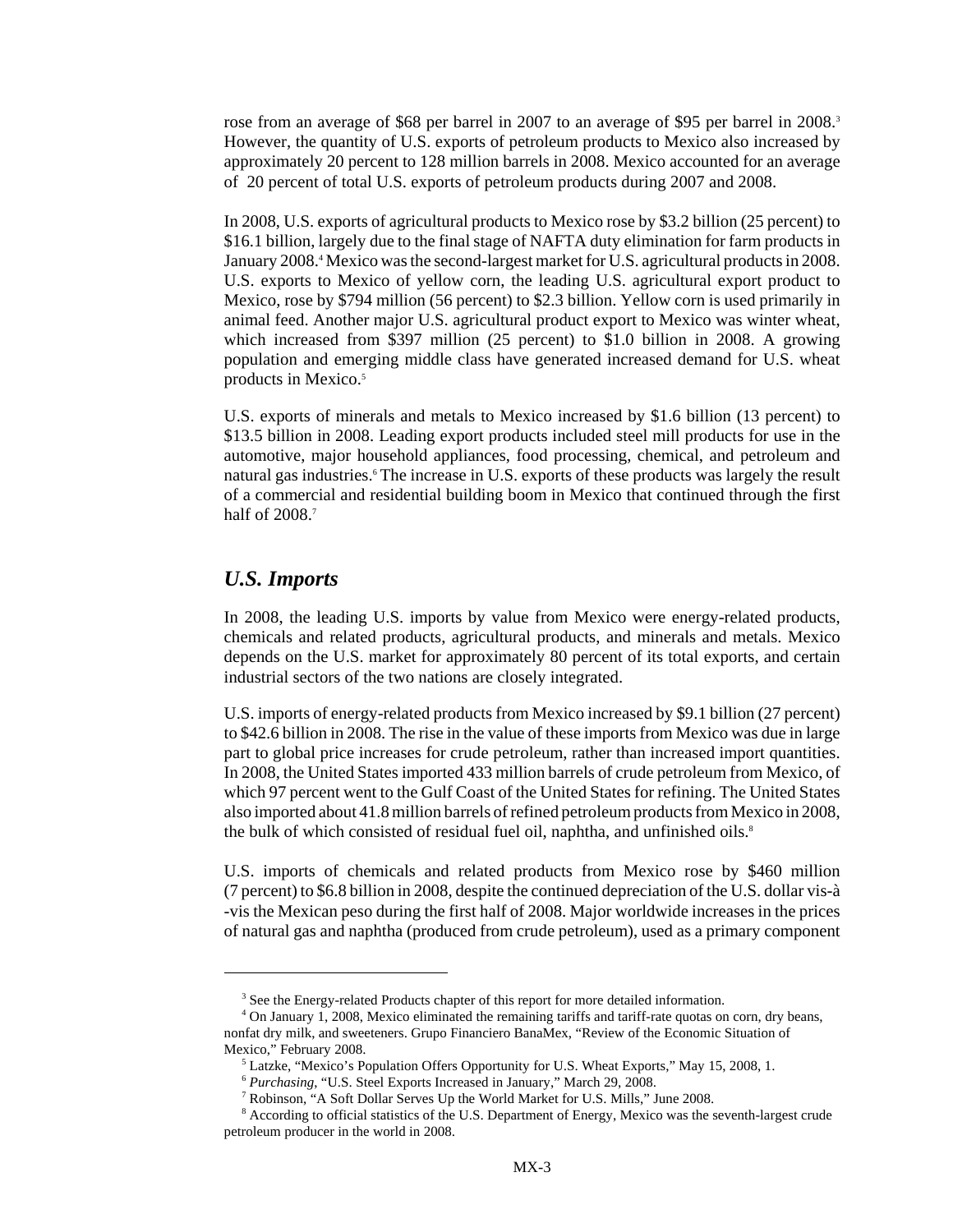rose from an average of \$68 per barrel in 2007 to an average of \$95 per barrel in 2008.<sup>3</sup> However, the quantity of U.S. exports of petroleum products to Mexico also increased by approximately 20 percent to 128 million barrels in 2008. Mexico accounted for an average of 20 percent of total U.S. exports of petroleum products during 2007 and 2008.

In 2008, U.S. exports of agricultural products to Mexico rose by \$3.2 billion (25 percent) to \$16.1 billion, largely due to the final stage of NAFTA duty elimination for farm products in January 2008.<sup>4</sup> Mexico was the second-largest market for U.S. agricultural products in 2008. U.S. exports to Mexico of yellow corn, the leading U.S. agricultural export product to Mexico, rose by \$794 million (56 percent) to \$2.3 billion. Yellow corn is used primarily in animal feed. Another major U.S. agricultural product export to Mexico was winter wheat, which increased from \$397 million (25 percent) to \$1.0 billion in 2008. A growing population and emerging middle class have generated increased demand for U.S. wheat products in Mexico.<sup>5</sup>

U.S. exports of minerals and metals to Mexico increased by \$1.6 billion (13 percent) to \$13.5 billion in 2008. Leading export products included steel mill products for use in the automotive, major household appliances, food processing, chemical, and petroleum and natural gas industries.<sup>6</sup> The increase in U.S. exports of these products was largely the result of a commercial and residential building boom in Mexico that continued through the first half of 2008.<sup>7</sup>

#### *U.S. Imports*

In 2008, the leading U.S. imports by value from Mexico were energy-related products, chemicals and related products, agricultural products, and minerals and metals. Mexico depends on the U.S. market for approximately 80 percent of its total exports, and certain industrial sectors of the two nations are closely integrated.

U.S. imports of energy-related products from Mexico increased by \$9.1 billion (27 percent) to \$42.6 billion in 2008. The rise in the value of these imports from Mexico was due in large part to global price increases for crude petroleum, rather than increased import quantities. In 2008, the United States imported 433 million barrels of crude petroleum from Mexico, of which 97 percent went to the Gulf Coast of the United States for refining. The United States also imported about 41.8 million barrels of refined petroleum products from Mexico in 2008, the bulk of which consisted of residual fuel oil, naphtha, and unfinished oils.<sup>8</sup>

U.S. imports of chemicals and related products from Mexico rose by \$460 million (7 percent) to \$6.8 billion in 2008, despite the continued depreciation of the U.S. dollar vis-à -vis the Mexican peso during the first half of 2008. Major worldwide increases in the prices of natural gas and naphtha (produced from crude petroleum), used as a primary component

<sup>&</sup>lt;sup>3</sup> See the Energy-related Products chapter of this report for more detailed information.

 <sup>4</sup> On January 1, 2008, Mexico eliminated the remaining tariffs and tariff-rate quotas on corn, dry beans, nonfat dry milk, and sweeteners. Grupo Financiero BanaMex, "Review of the Economic Situation of Mexico," February 2008.

 <sup>5</sup> Latzke, "Mexico's Population Offers Opportunity for U.S. Wheat Exports," May 15, 2008, 1.

 <sup>6</sup> *Purchasing*, "U.S. Steel Exports Increased in January," March 29, 2008.

 <sup>7</sup> Robinson, "A Soft Dollar Serves Up the World Market for U.S. Mills," June 2008.

<sup>&</sup>lt;sup>8</sup> According to official statistics of the U.S. Department of Energy, Mexico was the seventh-largest crude petroleum producer in the world in 2008.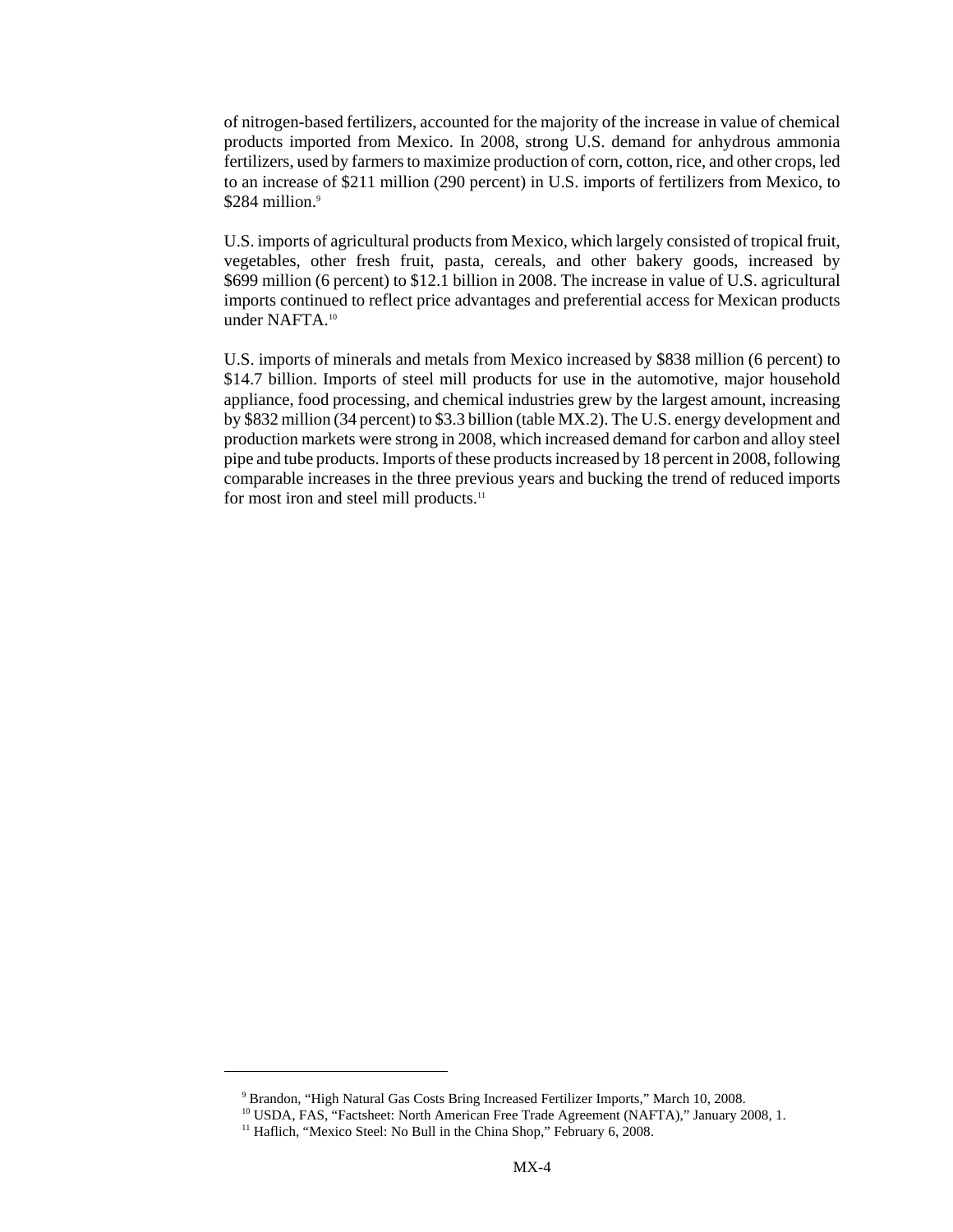of nitrogen-based fertilizers, accounted for the majority of the increase in value of chemical products imported from Mexico. In 2008, strong U.S. demand for anhydrous ammonia fertilizers, used by farmers to maximize production of corn, cotton, rice, and other crops, led to an increase of \$211 million (290 percent) in U.S. imports of fertilizers from Mexico, to  $$284$  million.<sup>9</sup>

U.S. imports of agricultural products from Mexico, which largely consisted of tropical fruit, vegetables, other fresh fruit, pasta, cereals, and other bakery goods, increased by \$699 million (6 percent) to \$12.1 billion in 2008. The increase in value of U.S. agricultural imports continued to reflect price advantages and preferential access for Mexican products under NAFTA.10

U.S. imports of minerals and metals from Mexico increased by \$838 million (6 percent) to \$14.7 billion. Imports of steel mill products for use in the automotive, major household appliance, food processing, and chemical industries grew by the largest amount, increasing by \$832 million (34 percent) to \$3.3 billion (table MX.2). The U.S. energy development and production markets were strong in 2008, which increased demand for carbon and alloy steel pipe and tube products. Imports of these products increased by 18 percent in 2008, following comparable increases in the three previous years and bucking the trend of reduced imports for most iron and steel mill products.<sup>11</sup>

 <sup>9</sup> Brandon, "High Natural Gas Costs Bring Increased Fertilizer Imports," March 10, 2008.

<sup>&</sup>lt;sup>10</sup> USDA, FAS, "Factsheet: North American Free Trade Agreement (NAFTA)," January 2008, 1.

<sup>&</sup>lt;sup>11</sup> Haflich, "Mexico Steel: No Bull in the China Shop," February 6, 2008.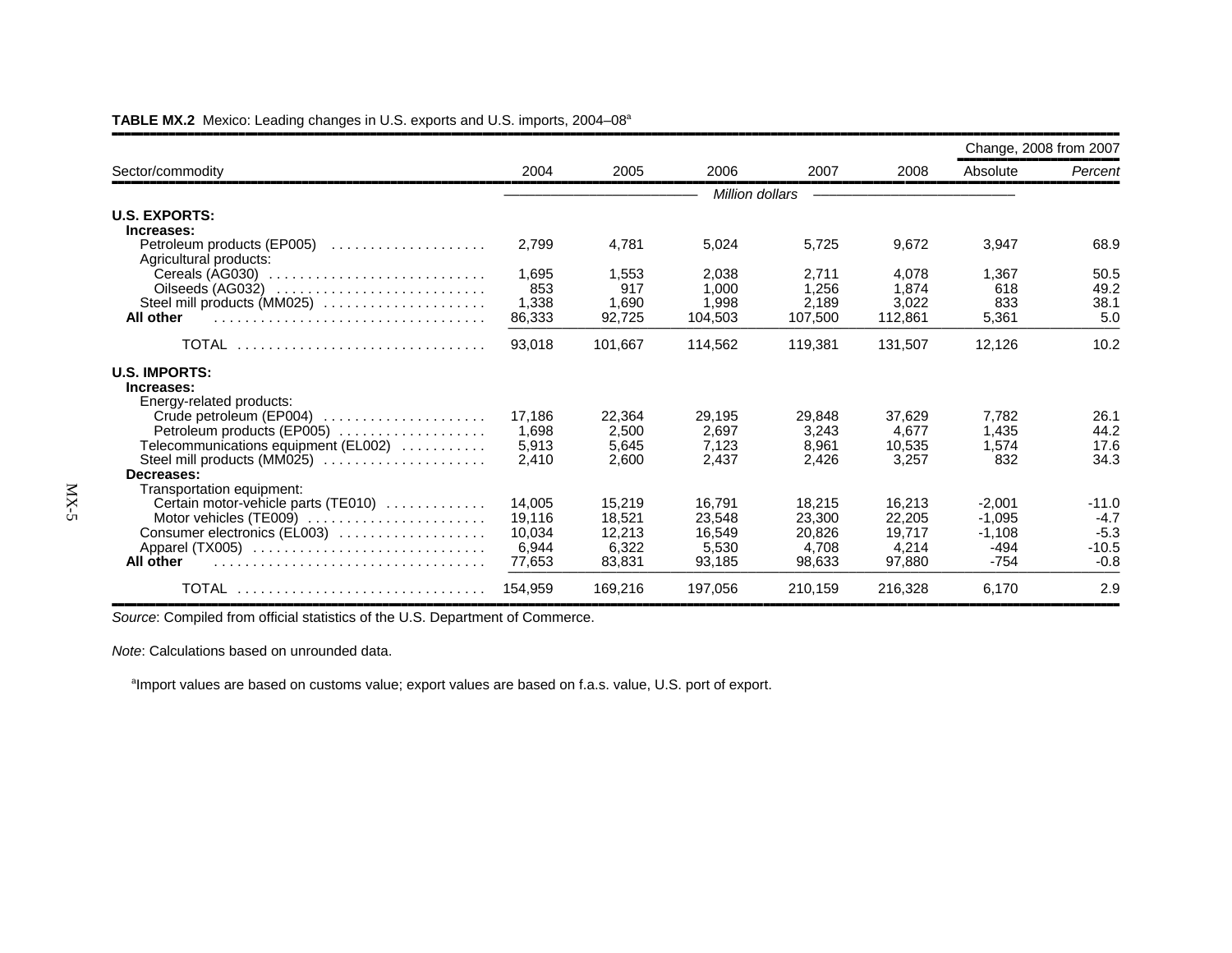|                                      |         |         |         |                 |         |          | Change, 2008 from 2007 |
|--------------------------------------|---------|---------|---------|-----------------|---------|----------|------------------------|
| Sector/commodity                     | 2004    | 2005    | 2006    | 2007            | 2008    | Absolute | Percent                |
|                                      |         |         |         | Million dollars |         |          |                        |
| <b>U.S. EXPORTS:</b>                 |         |         |         |                 |         |          |                        |
| Increases:                           |         |         |         |                 |         |          |                        |
| Petroleum products (EP005)           | 2,799   | 4,781   | 5,024   | 5,725           | 9,672   | 3,947    | 68.9                   |
| Agricultural products:               |         |         |         |                 |         |          |                        |
|                                      | 1.695   | 1.553   | 2.038   | 2.711           | 4.078   | 1.367    | 50.5                   |
| Oilseeds (AG032)                     | 853     | 917     | 1.000   | 1,256           | 1,874   | 618      | 49.2                   |
| Steel mill products (MM025)          | 1,338   | 1,690   | 1.998   | 2.189           | 3,022   | 833      | 38.1                   |
| All other                            | 86,333  | 92,725  | 104,503 | 107,500         | 112,861 | 5,361    | 5.0                    |
| TOTAL                                | 93,018  | 101.667 | 114,562 | 119,381         | 131,507 | 12,126   | 10.2                   |
| <b>U.S. IMPORTS:</b>                 |         |         |         |                 |         |          |                        |
| Increases:                           |         |         |         |                 |         |          |                        |
| Energy-related products:             |         |         |         |                 |         |          |                        |
| Crude petroleum (EP004)              | 17,186  | 22,364  | 29,195  | 29,848          | 37.629  | 7,782    | 26.1                   |
| Petroleum products (EP005)           | 1.698   | 2.500   | 2.697   | 3,243           | 4.677   | 1,435    | 44.2                   |
| Telecommunications equipment (EL002) | 5,913   | 5.645   | 7,123   | 8,961           | 10.535  | 1.574    | 17.6                   |
| Steel mill products (MM025)          | 2,410   | 2.600   | 2.437   | 2.426           | 3.257   | 832      | 34.3                   |
| Decreases:                           |         |         |         |                 |         |          |                        |
| Transportation equipment:            |         |         |         |                 |         |          |                        |
| Certain motor-vehicle parts (TE010)  | 14.005  | 15.219  | 16.791  | 18,215          | 16.213  | $-2.001$ | $-11.0$                |
| Motor vehicles (TE009)               | 19,116  | 18.521  | 23.548  | 23,300          | 22.205  | $-1.095$ | $-4.7$                 |
| Consumer electronics (EL003)         | 10.034  | 12.213  | 16.549  | 20.826          | 19.717  | $-1,108$ | $-5.3$                 |
| Apparel (TX005)                      | 6,944   | 6,322   | 5,530   | 4.708           | 4.214   | $-494$   | $-10.5$                |
| All other                            | 77,653  | 83.831  | 93.185  | 98.633          | 97,880  | $-754$   | $-0.8$                 |
| TOTAL                                | 154,959 | 169.216 | 197,056 | 210.159         | 216,328 | 6.170    | 2.9                    |

#### **TABLE MX.2** Mexico: Leading changes in U.S. exports and U.S. imports, 2004–08a

**Source: Compiled from official statistics of the U.S. Department of Commerce.** 

*Note*: Calculations based on unrounded data.

<sup>a</sup>Import values are based on customs value; export values are based on f.a.s. value, U.S. port of export.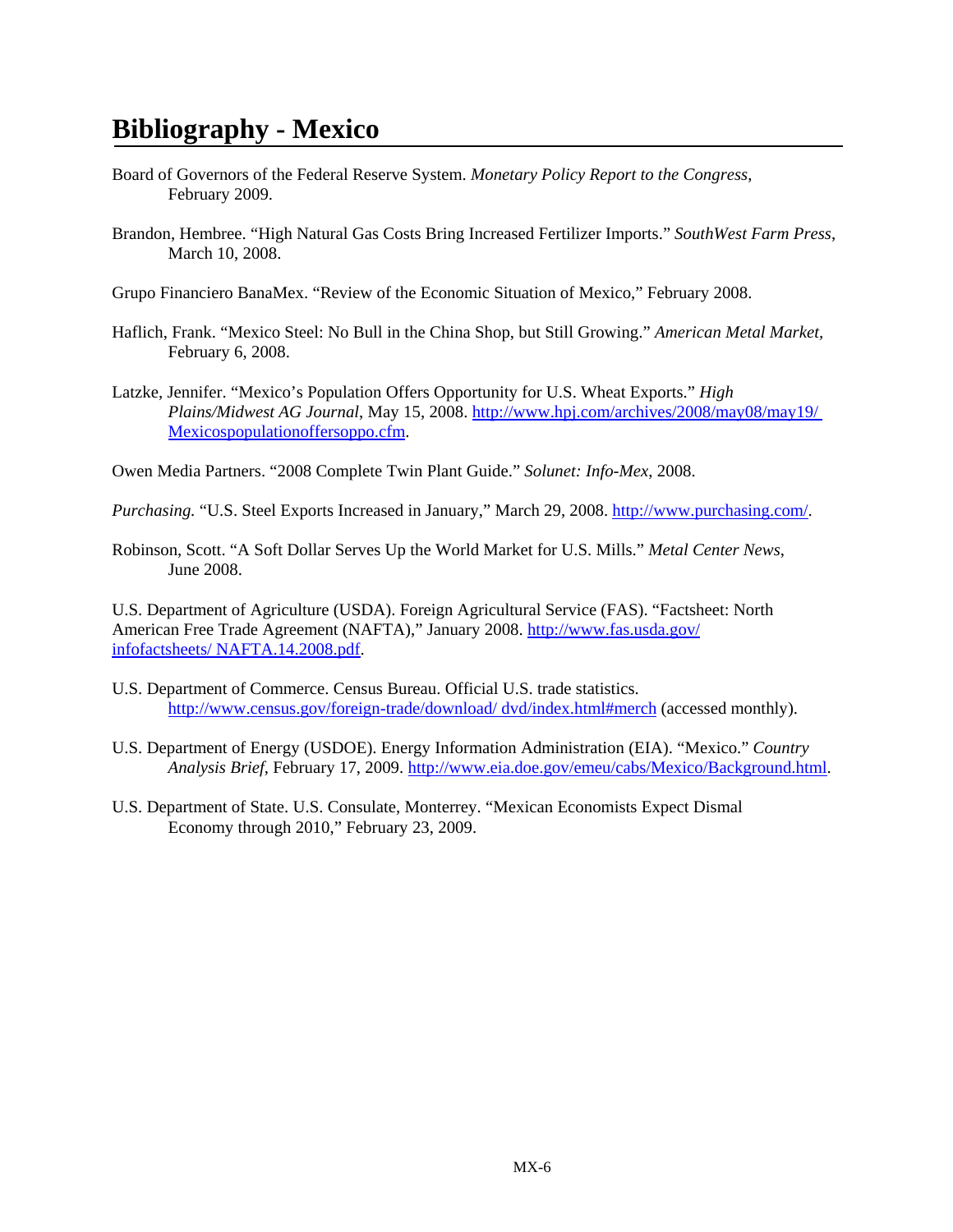# **Bibliography - Mexico**

- Board of Governors of the Federal Reserve System. *Monetary Policy Report to the Congress*, February 2009.
- Brandon, Hembree. "High Natural Gas Costs Bring Increased Fertilizer Imports." *SouthWest Farm Press*, March 10, 2008.
- Grupo Financiero BanaMex. "Review of the Economic Situation of Mexico," February 2008.
- Haflich, Frank. "Mexico Steel: No Bull in the China Shop, but Still Growing." *American Metal Market,*  February 6, 2008.
- Latzke, Jennifer. "Mexico's Population Offers Opportunity for U.S. Wheat Exports." *High Plains/Midwest AG Journal*, May 15, 2008. http://www.hpj.com/archives/2008/may08/may19/ Mexicospopulationoffersoppo.cfm.

Owen Media Partners. "2008 Complete Twin Plant Guide." *Solunet: Info-Mex*, 2008.

*Purchasing.* "U.S. Steel Exports Increased in January," March 29, 2008. http://www.purchasing.com/.

Robinson, Scott. "A Soft Dollar Serves Up the World Market for U.S. Mills." *Metal Center News*, June 2008.

U.S. Department of Agriculture (USDA). Foreign Agricultural Service (FAS). "Factsheet: North American Free Trade Agreement (NAFTA)," January 2008. http://www.fas.usda.gov/ infofactsheets/ NAFTA.14.2008.pdf.

- U.S. Department of Commerce. Census Bureau. Official U.S. trade statistics. http://www.census.gov/foreign-trade/download/ dvd/index.html#merch (accessed monthly).
- U.S. Department of Energy (USDOE). Energy Information Administration (EIA). "Mexico." *Country Analysis Brief*, February 17, 2009. http://www.eia.doe.gov/emeu/cabs/Mexico/Background.html.
- U.S. Department of State. U.S. Consulate, Monterrey. "Mexican Economists Expect Dismal Economy through 2010," February 23, 2009.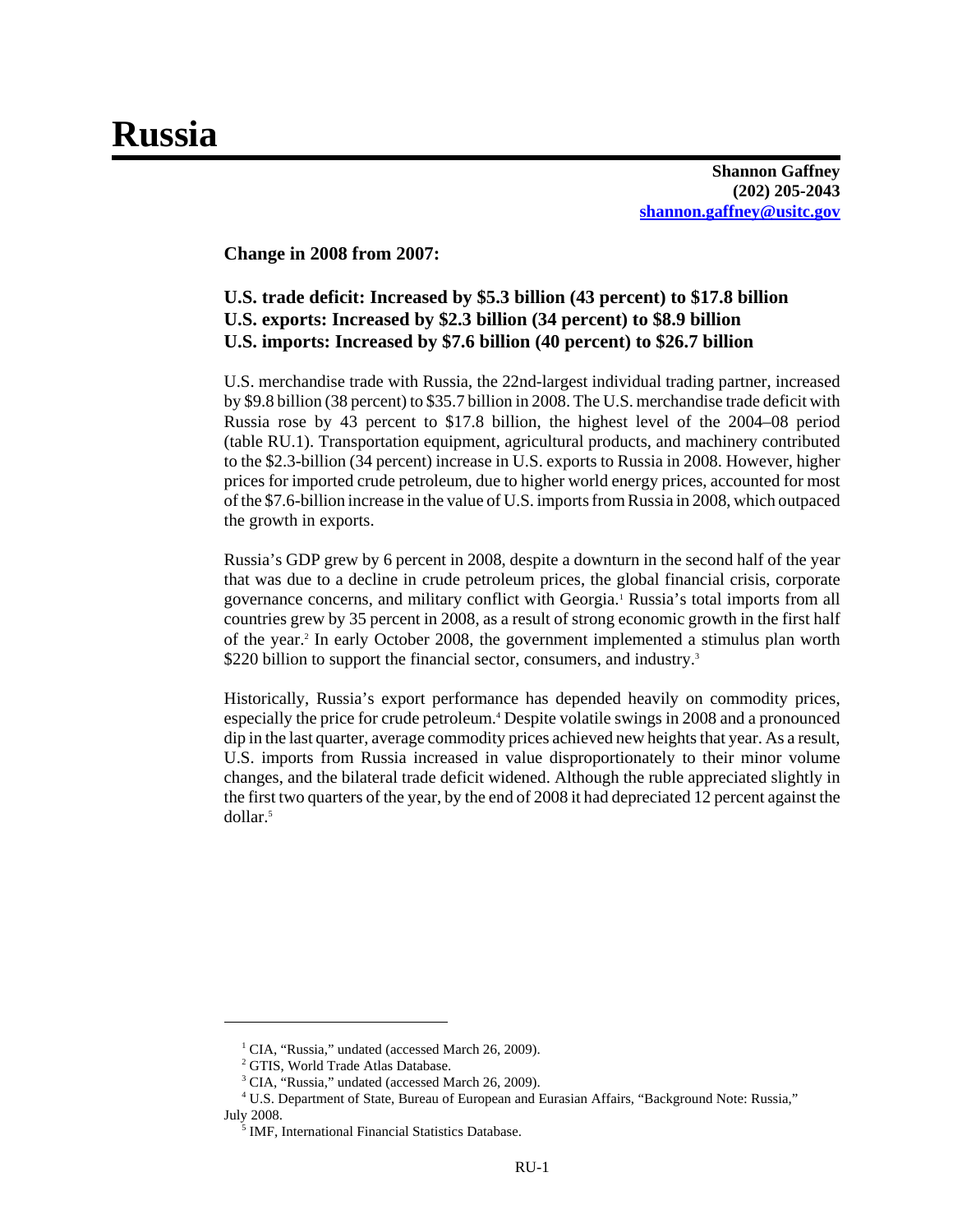# **Russia**

**Shannon Gaffney (202) 205-2043 shannon.gaffney@usitc.gov**

**Change in 2008 from 2007:**

# **U.S. trade deficit: Increased by \$5.3 billion (43 percent) to \$17.8 billion U.S. exports: Increased by \$2.3 billion (34 percent) to \$8.9 billion U.S. imports: Increased by \$7.6 billion (40 percent) to \$26.7 billion**

U.S. merchandise trade with Russia, the 22nd-largest individual trading partner, increased by \$9.8 billion (38 percent) to \$35.7 billion in 2008. The U.S. merchandise trade deficit with Russia rose by 43 percent to \$17.8 billion, the highest level of the 2004–08 period (table RU.1). Transportation equipment, agricultural products, and machinery contributed to the \$2.3-billion (34 percent) increase in U.S. exports to Russia in 2008. However, higher prices for imported crude petroleum, due to higher world energy prices, accounted for most of the \$7.6-billion increase in the value of U.S. imports from Russia in 2008, which outpaced the growth in exports.

Russia's GDP grew by 6 percent in 2008, despite a downturn in the second half of the year that was due to a decline in crude petroleum prices, the global financial crisis, corporate governance concerns, and military conflict with Georgia.<sup>1</sup> Russia's total imports from all countries grew by 35 percent in 2008, as a result of strong economic growth in the first half of the year.2 In early October 2008, the government implemented a stimulus plan worth \$220 billion to support the financial sector, consumers, and industry.<sup>3</sup>

Historically, Russia's export performance has depended heavily on commodity prices, especially the price for crude petroleum.<sup>4</sup> Despite volatile swings in 2008 and a pronounced dip in the last quarter, average commodity prices achieved new heights that year. As a result, U.S. imports from Russia increased in value disproportionately to their minor volume changes, and the bilateral trade deficit widened. Although the ruble appreciated slightly in the first two quarters of the year, by the end of 2008 it had depreciated 12 percent against the dollar<sup>5</sup>

<sup>&</sup>lt;sup>1</sup> CIA, "Russia," undated (accessed March 26, 2009).

<sup>&</sup>lt;sup>2</sup> GTIS, World Trade Atlas Database.

<sup>&</sup>lt;sup>3</sup> CIA, "Russia," undated (accessed March 26, 2009).

 <sup>4</sup> U.S. Department of State, Bureau of European and Eurasian Affairs, "Background Note: Russia," July 2008.

<sup>&</sup>lt;sup>5</sup> IMF, International Financial Statistics Database.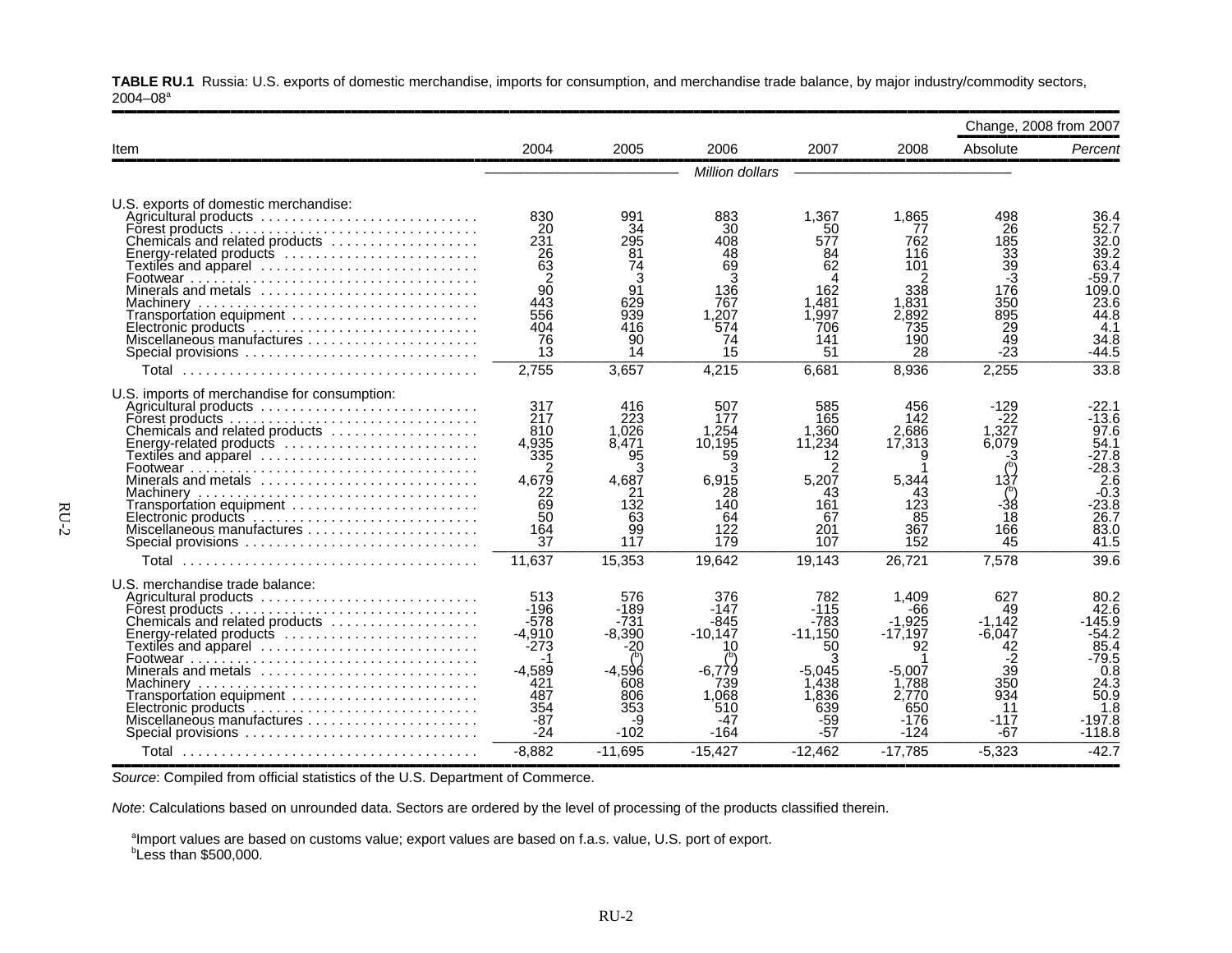**TABLE RU.1** Russia: U.S. exports of domestic merchandise, imports for consumption, and merchandise trade balance, by major industry/commodity sectors,  $2004 - 08$ <sup>a</sup>

|                                                                                                                                                                                                                                                                                                                                                                                                           |                                                                                                |                                                                                         |                                                                                              |                                                                                            |                                                                                                  |                                                                                                       | Change, 2008 from 2007                                                                                             |
|-----------------------------------------------------------------------------------------------------------------------------------------------------------------------------------------------------------------------------------------------------------------------------------------------------------------------------------------------------------------------------------------------------------|------------------------------------------------------------------------------------------------|-----------------------------------------------------------------------------------------|----------------------------------------------------------------------------------------------|--------------------------------------------------------------------------------------------|--------------------------------------------------------------------------------------------------|-------------------------------------------------------------------------------------------------------|--------------------------------------------------------------------------------------------------------------------|
| Item                                                                                                                                                                                                                                                                                                                                                                                                      | 2004                                                                                           | 2005                                                                                    | 2006                                                                                         | 2007                                                                                       | 2008                                                                                             | Absolute                                                                                              | Percent                                                                                                            |
|                                                                                                                                                                                                                                                                                                                                                                                                           |                                                                                                |                                                                                         | Million dollars                                                                              |                                                                                            |                                                                                                  |                                                                                                       |                                                                                                                    |
| U.S. exports of domestic merchandise:<br>Agricultural products<br>Forest products $\ldots \ldots \ldots \ldots \ldots \ldots \ldots \ldots \ldots \ldots$<br>Chemicals and related products<br>Energy-related products<br>Textiles and apparel ............................<br>Minerals and metals<br>Transportation equipment<br>Electronic products<br>Miscellaneous manufactures<br>Special provisions | 830<br>20<br>231<br>$\frac{26}{63}$<br>90<br>443<br>556<br>404<br>76<br>13                     | 991<br>34<br>295<br>81<br>74<br>3<br>91<br>629<br>939<br>416<br>90<br>14                | 883<br>30<br>408<br>48<br>69<br>3<br>136<br>767<br>1,207<br>574<br>74<br>15                  | 1.367<br>50<br>577<br>84<br>62<br>162<br>.481<br>1.997<br>706<br>141<br>51                 | 1,865<br>77<br>762<br>116<br>101<br>338<br>1.831<br>2,892<br>735<br>190<br>28                    | 498<br>26<br>185<br>33<br>39<br>-3<br>176<br>350<br>895<br>$\overline{29}$<br>$\overline{49}$<br>-23  | 36.4<br>52.7<br>32.0<br>39.2<br>63.4<br>$-59.7$<br>109.0<br>23.6<br>44.8<br>4.1<br>34.8<br>$-44.5$                 |
|                                                                                                                                                                                                                                                                                                                                                                                                           | 2,755                                                                                          | 3,657                                                                                   | 4.215                                                                                        | 6.681                                                                                      | 8.936                                                                                            | 2,255                                                                                                 | 33.8                                                                                                               |
| U.S. imports of merchandise for consumption:<br>Agricultural products<br>Chemicals and related products<br>Energy-related products $\ldots \ldots \ldots \ldots \ldots \ldots \ldots$<br>Minerals and metals<br>Transportation equipment<br>Miscellaneous manufactures<br>Special provisions                                                                                                              | 317<br>217<br>810<br>4.935<br>335<br>4,679<br>22<br>69<br>50<br>164<br>37<br>11,637            | 416<br>223<br>1.026<br>8.471<br>95<br>4,687<br>21<br>132<br>63<br>99<br>117<br>15,353   | 507<br>177<br>1.254<br>10.195<br>59<br>6,915<br>28<br>140<br>64<br>122<br>179<br>19,642      | 585<br>165<br>1.360<br>11.234<br>12<br>5,207<br>43<br>161<br>67<br>201<br>107<br>19,143    | 456<br>142<br>2.686<br>17,313<br>5,344<br>43<br>123<br>85<br>367<br>152<br>26,721                | $-129$<br>$-22$<br>1,327<br>6,079<br>-3<br>137<br>$\int_0^b$<br>18<br>166<br>45<br>7,578              | -22.1<br>$-13.6$<br>97.6<br>54.1<br>$-27.8$<br>$-28.3$<br>2.6<br>$-0.3$<br>$-23.8$<br>26.7<br>83.0<br>41.5<br>39.6 |
| U.S. merchandise trade balance:<br>Agricultural products<br>Forest products.<br>Chemicals and related products<br>Energy-related products<br>Textiles and apparel<br>Minerals and metals<br>Transportation equipment<br>Miscellaneous manufactures<br>Special provisions                                                                                                                                  | 513<br>$-196$<br>$-578$<br>$-4.910$<br>-273<br>$-4,589$<br>421<br>487<br>354<br>$-87$<br>$-24$ | 576<br>-189<br>-731<br>$-8.390$<br>20،<br>$-4,596$<br>608<br>806<br>353<br>-9<br>$-102$ | 376<br>-147<br>$-845$<br>$-10.147$<br>10<br>-6.779<br>739<br>1.068<br>510<br>$-47$<br>$-164$ | 782<br>-115<br>-783<br>$-11,150$<br>50<br>$-5.045$<br>.438<br>1.836<br>639<br>-59<br>$-57$ | 1.409<br>-66<br>$-1.925$<br>$-17,197$<br>92<br>$-5,007$<br>1.788<br>2.770<br>650<br>-176<br>-124 | 627<br>49<br>$-1.142$<br>$-6,047$<br>42<br>-2<br>$3\overline{9}$<br>350<br>934<br>11<br>$-117$<br>-67 | 80.2<br>42.6<br>$-145.9$<br>$-54.2$<br>85.4<br>$-79.5$<br>0.8<br>24.3<br>50.9<br>1.8<br>$-197.8$<br>$-118.8$       |
|                                                                                                                                                                                                                                                                                                                                                                                                           | $-8.882$                                                                                       | $-11.695$                                                                               | $-15,427$                                                                                    | $-12.462$                                                                                  | $-17.785$                                                                                        | $-5,323$                                                                                              | $-42.7$                                                                                                            |

,,,,,,,,,,,,,,,,,,,,,,,,,,,,,,,,,,,,,,,,,,,,,,,,,,,,,,,,,,,,,,,,,,,,,,,,,,,,,,,,,,,,,,,,,,,,,,,,,,,,,,,,,,,,,,,,,,,,,,,,,,,,,,,,,,,,,,,,,,,,,,,,,,,,,,,,,,,,,,,,*Source*: Compiled from official statistics of the U.S. Department of Commerce.

*Note*: Calculations based on unrounded data. Sectors are ordered by the level of processing of the products classified therein.

<sup>a</sup>Import values are based on customs value; export values are based on f.a.s. value, U.S. port of export.

**Less than \$500,000.**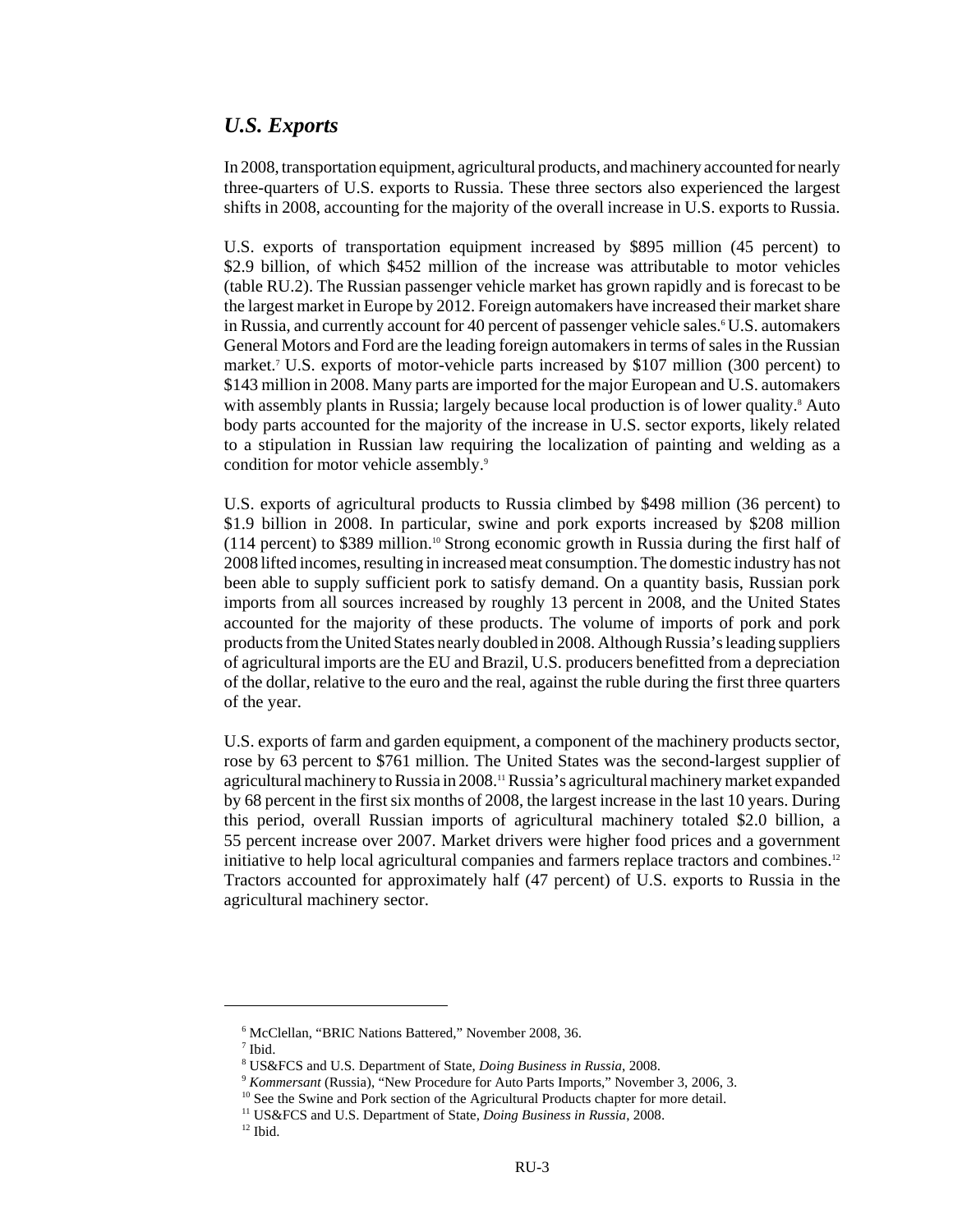## *U.S. Exports*

In 2008, transportation equipment, agricultural products, and machinery accounted for nearly three-quarters of U.S. exports to Russia. These three sectors also experienced the largest shifts in 2008, accounting for the majority of the overall increase in U.S. exports to Russia.

U.S. exports of transportation equipment increased by \$895 million (45 percent) to \$2.9 billion, of which \$452 million of the increase was attributable to motor vehicles (table RU.2). The Russian passenger vehicle market has grown rapidly and is forecast to be the largest market in Europe by 2012. Foreign automakers have increased their market share in Russia, and currently account for 40 percent of passenger vehicle sales.<sup>6</sup> U.S. automakers General Motors and Ford are the leading foreign automakers in terms of sales in the Russian market.7 U.S. exports of motor-vehicle parts increased by \$107 million (300 percent) to \$143 million in 2008. Many parts are imported for the major European and U.S. automakers with assembly plants in Russia; largely because local production is of lower quality.<sup>8</sup> Auto body parts accounted for the majority of the increase in U.S. sector exports, likely related to a stipulation in Russian law requiring the localization of painting and welding as a condition for motor vehicle assembly.<sup>9</sup>

U.S. exports of agricultural products to Russia climbed by \$498 million (36 percent) to \$1.9 billion in 2008. In particular, swine and pork exports increased by \$208 million (114 percent) to \$389 million.10 Strong economic growth in Russia during the first half of 2008 lifted incomes, resulting in increased meat consumption. The domestic industry has not been able to supply sufficient pork to satisfy demand. On a quantity basis, Russian pork imports from all sources increased by roughly 13 percent in 2008, and the United States accounted for the majority of these products. The volume of imports of pork and pork products from the United States nearly doubled in 2008. Although Russia's leading suppliers of agricultural imports are the EU and Brazil, U.S. producers benefitted from a depreciation of the dollar, relative to the euro and the real, against the ruble during the first three quarters of the year.

U.S. exports of farm and garden equipment, a component of the machinery products sector, rose by 63 percent to \$761 million. The United States was the second-largest supplier of agricultural machinery to Russia in 2008.<sup>11</sup> Russia's agricultural machinery market expanded by 68 percent in the first six months of 2008, the largest increase in the last 10 years. During this period, overall Russian imports of agricultural machinery totaled \$2.0 billion, a 55 percent increase over 2007. Market drivers were higher food prices and a government initiative to help local agricultural companies and farmers replace tractors and combines.12 Tractors accounted for approximately half (47 percent) of U.S. exports to Russia in the agricultural machinery sector.

 <sup>6</sup> McClellan, "BRIC Nations Battered," November 2008, 36.

 <sup>7</sup> Ibid.

 <sup>8</sup> US&FCS and U.S. Department of State, *Doing Business in Russia*, 2008.

 <sup>9</sup> *Kommersant* (Russia), "New Procedure for Auto Parts Imports," November 3, 2006, 3.

 $10$  See the Swine and Pork section of the Agricultural Products chapter for more detail.

 <sup>11</sup> US&FCS and U.S. Department of State, *Doing Business in Russia*, 2008.

 $^{12}$  Ibid.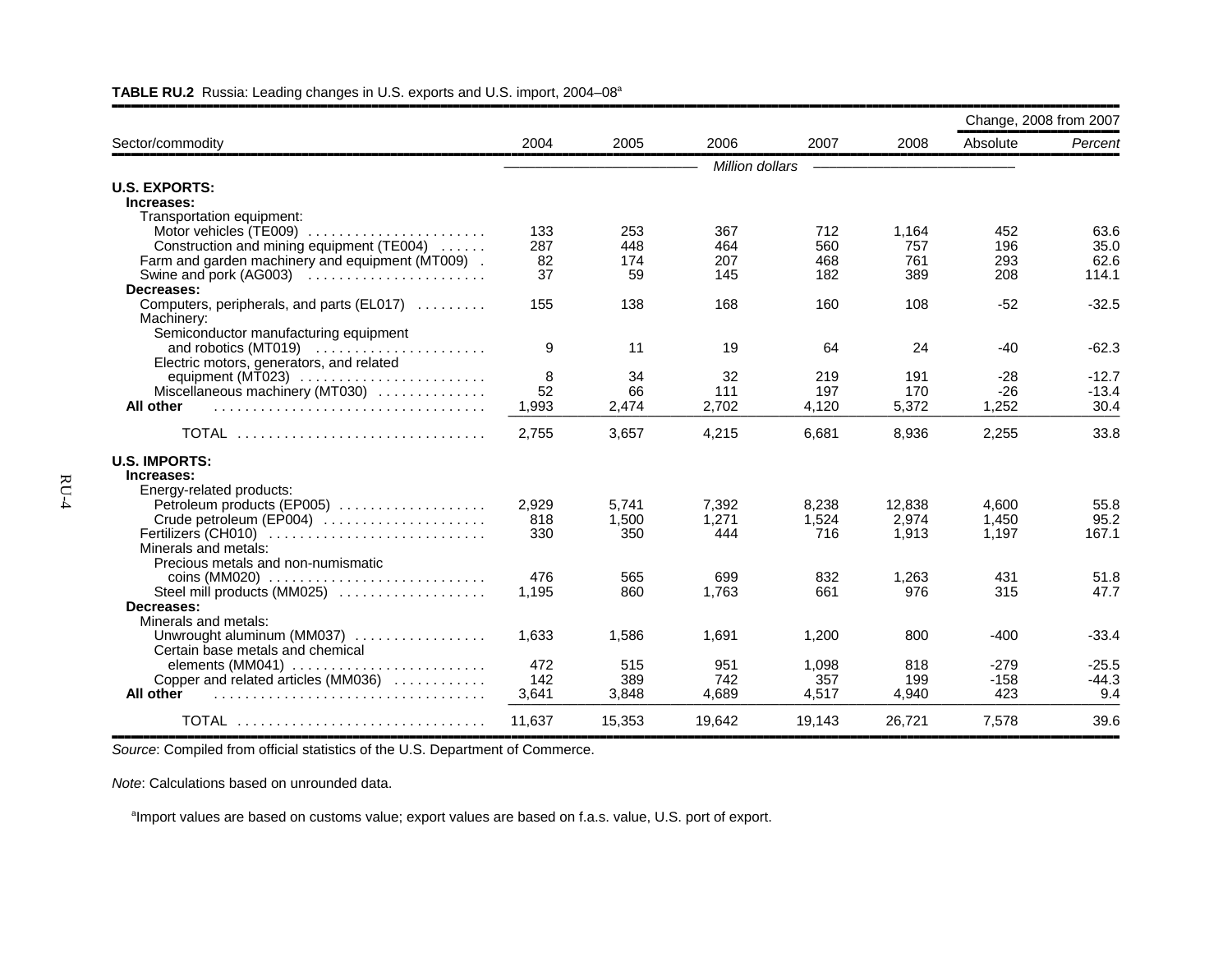|                                                                                                                                  |                        |                         |                          |                          |                            | Change, 2008 from 2007   |                               |
|----------------------------------------------------------------------------------------------------------------------------------|------------------------|-------------------------|--------------------------|--------------------------|----------------------------|--------------------------|-------------------------------|
| Sector/commodity                                                                                                                 | 2004                   | 2005                    | 2006                     | 2007                     | 2008                       | Absolute                 | Percent                       |
|                                                                                                                                  |                        |                         | Million dollars          |                          |                            |                          |                               |
| <b>U.S. EXPORTS:</b><br>Increases:                                                                                               |                        |                         |                          |                          |                            |                          |                               |
| Transportation equipment:<br>Construction and mining equipment (TE004)<br>Farm and garden machinery and equipment (MT009).       | 133<br>287<br>82<br>37 | 253<br>448<br>174<br>59 | 367<br>464<br>207<br>145 | 712<br>560<br>468<br>182 | 1,164<br>757<br>761<br>389 | 452<br>196<br>293<br>208 | 63.6<br>35.0<br>62.6<br>114.1 |
| Decreases:<br>Computers, peripherals, and parts (EL017)<br>Machinery:                                                            | 155                    | 138                     | 168                      | 160                      | 108                        | $-52$                    | $-32.5$                       |
| Semiconductor manufacturing equipment<br>Electric motors, generators, and related                                                | 9                      | 11                      | 19                       | 64                       | 24                         | $-40$                    | $-62.3$                       |
| equipment (MT023) $\ldots \ldots \ldots \ldots \ldots \ldots \ldots$<br>Miscellaneous machinery (MT030)<br>All other             | 8<br>52<br>1,993       | 34<br>66<br>2,474       | 32<br>111<br>2,702       | 219<br>197<br>4,120      | 191<br>170<br>5,372        | $-28$<br>$-26$<br>1,252  | $-12.7$<br>$-13.4$<br>30.4    |
| <b>TOTAL</b>                                                                                                                     | 2,755                  | 3,657                   | 4,215                    | 6,681                    | 8,936                      | 2,255                    | 33.8                          |
| <b>U.S. IMPORTS:</b><br>Increases:                                                                                               |                        |                         |                          |                          |                            |                          |                               |
| Energy-related products:<br>Petroleum products (EP005)<br>Crude petroleum (EP004)<br>Fertilizers (CH010)<br>Minerals and metals: | 2,929<br>818<br>330    | 5.741<br>1.500<br>350   | 7,392<br>1.271<br>444    | 8,238<br>1.524<br>716    | 12,838<br>2,974<br>1,913   | 4.600<br>1.450<br>1,197  | 55.8<br>95.2<br>167.1         |
| Precious metals and non-numismatic<br>$\cos(MM020)$<br>Steel mill products (MM025)<br>Decreases:                                 | 476<br>1,195           | 565<br>860              | 699<br>1,763             | 832<br>661               | 1,263<br>976               | 431<br>315               | 51.8<br>47.7                  |
| Minerals and metals:<br>Unwrought aluminum (MM037)<br>Certain base metals and chemical                                           | 1.633                  | 1,586                   | 1.691                    | 1,200                    | 800                        | $-400$                   | $-33.4$                       |
| elements (MM041) $\ldots \ldots \ldots \ldots \ldots \ldots \ldots$<br>Copper and related articles (MM036)<br>All other          | 472<br>142<br>3,641    | 515<br>389<br>3.848     | 951<br>742<br>4.689      | 1,098<br>357<br>4,517    | 818<br>199<br>4.940        | $-279$<br>$-158$<br>423  | $-25.5$<br>$-44.3$<br>9.4     |
| TOTAL                                                                                                                            | 11,637                 | 15,353                  | 19,642                   | 19,143                   | 26,721                     | 7,578                    | 39.6                          |

#### **TABLE RU.2** Russia: Leading changes in U.S. exports and U.S. import, 2004–08a

,,,,,,,,,,,,,,,,,,,,,,,,,,,,,,,,,,,,,,,,,,,,,,,,,,,,,,,,,,,,,,,,,,,,,,,,,,,,,,,,,,,,,,,,,,,,,,,,,,,,,,,,,,,,,,,,,,,,,,,,,,,,,,,,,,,,,,,,,,,,,,,,,,,,,,,,,,,,,,,,*Source*: Compiled from official statistics of the U.S. Department of Commerce.

*Note*: Calculations based on unrounded data.

<sup>a</sup>Import values are based on customs value; export values are based on f.a.s. value, U.S. port of export.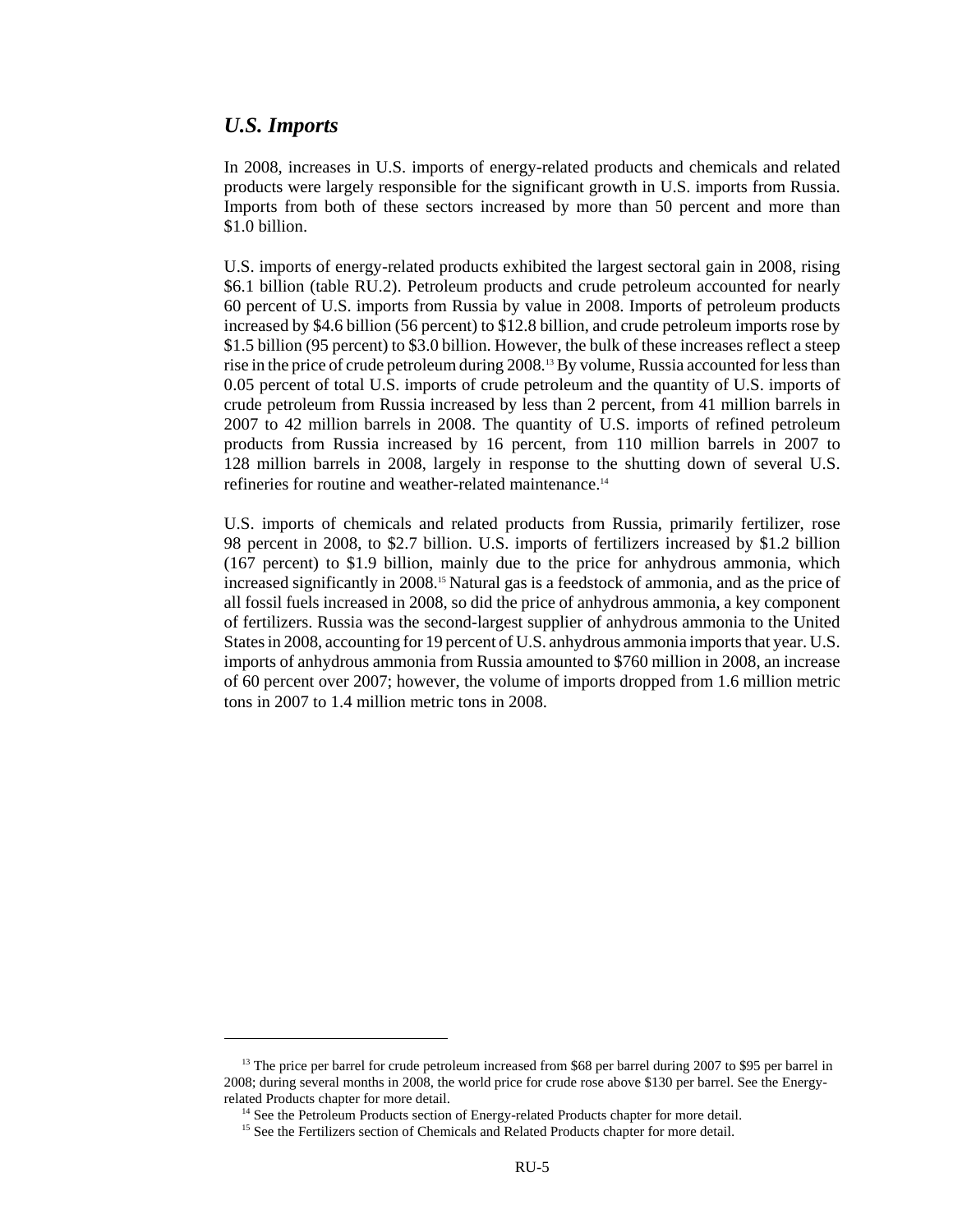### *U.S. Imports*

In 2008, increases in U.S. imports of energy-related products and chemicals and related products were largely responsible for the significant growth in U.S. imports from Russia. Imports from both of these sectors increased by more than 50 percent and more than \$1.0 billion.

U.S. imports of energy-related products exhibited the largest sectoral gain in 2008, rising \$6.1 billion (table RU.2). Petroleum products and crude petroleum accounted for nearly 60 percent of U.S. imports from Russia by value in 2008. Imports of petroleum products increased by \$4.6 billion (56 percent) to \$12.8 billion, and crude petroleum imports rose by \$1.5 billion (95 percent) to \$3.0 billion. However, the bulk of these increases reflect a steep rise in the price of crude petroleum during 2008.<sup>13</sup> By volume, Russia accounted for less than 0.05 percent of total U.S. imports of crude petroleum and the quantity of U.S. imports of crude petroleum from Russia increased by less than 2 percent, from 41 million barrels in 2007 to 42 million barrels in 2008. The quantity of U.S. imports of refined petroleum products from Russia increased by 16 percent, from 110 million barrels in 2007 to 128 million barrels in 2008, largely in response to the shutting down of several U.S. refineries for routine and weather-related maintenance.14

U.S. imports of chemicals and related products from Russia, primarily fertilizer, rose 98 percent in 2008, to \$2.7 billion. U.S. imports of fertilizers increased by \$1.2 billion (167 percent) to \$1.9 billion, mainly due to the price for anhydrous ammonia, which increased significantly in 2008.<sup>15</sup> Natural gas is a feedstock of ammonia, and as the price of all fossil fuels increased in 2008, so did the price of anhydrous ammonia, a key component of fertilizers. Russia was the second-largest supplier of anhydrous ammonia to the United States in 2008, accounting for 19 percent of U.S. anhydrous ammonia imports that year. U.S. imports of anhydrous ammonia from Russia amounted to \$760 million in 2008, an increase of 60 percent over 2007; however, the volume of imports dropped from 1.6 million metric tons in 2007 to 1.4 million metric tons in 2008.

<sup>&</sup>lt;sup>13</sup> The price per barrel for crude petroleum increased from \$68 per barrel during 2007 to \$95 per barrel in 2008; during several months in 2008, the world price for crude rose above \$130 per barrel. See the Energyrelated Products chapter for more detail.

<sup>&</sup>lt;sup>14</sup> See the Petroleum Products section of Energy-related Products chapter for more detail.

<sup>&</sup>lt;sup>15</sup> See the Fertilizers section of Chemicals and Related Products chapter for more detail.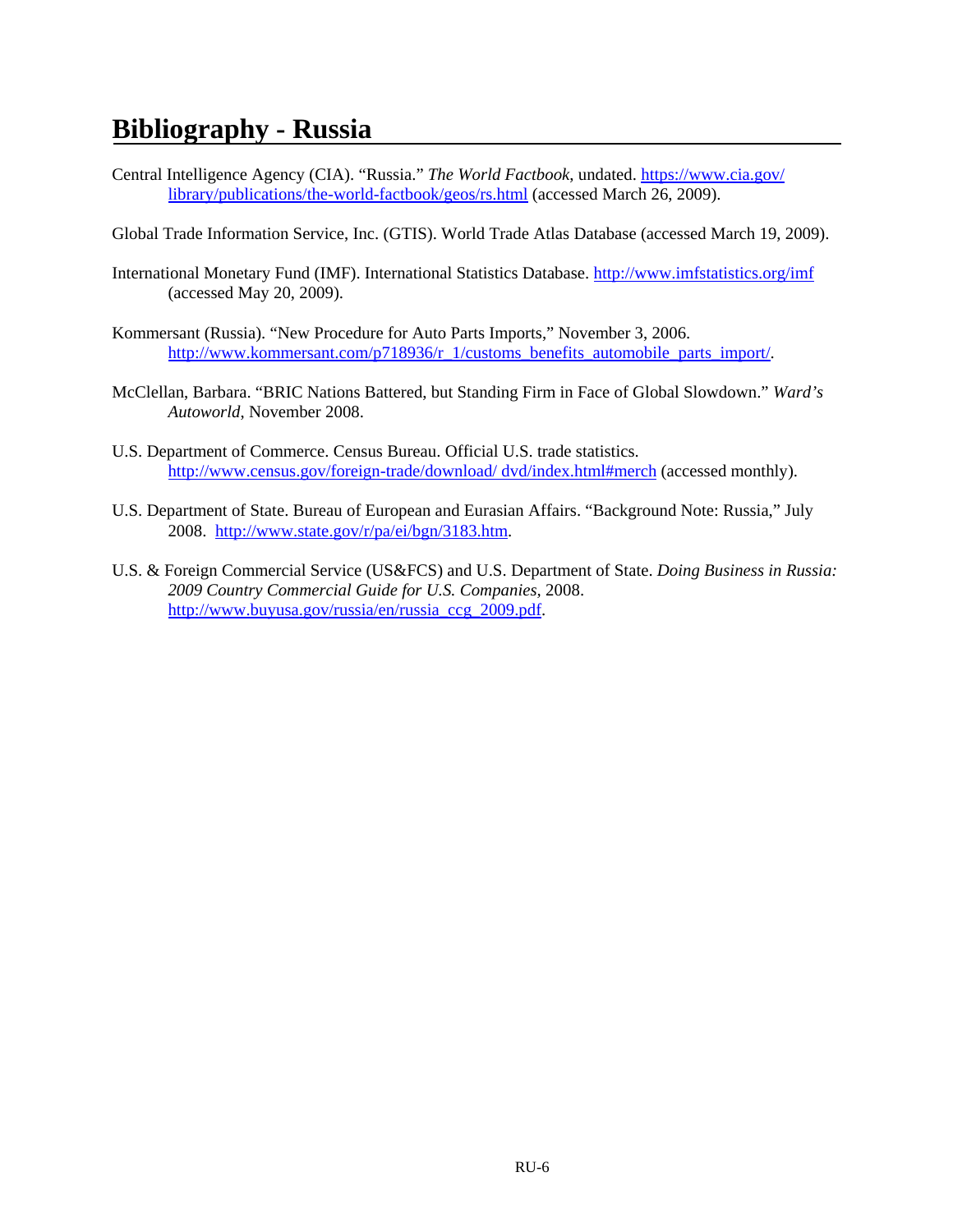# **Bibliography - Russia**

- Central Intelligence Agency (CIA). "Russia." *The World Factbook*, undated. https://www.cia.gov/ library/publications/the-world-factbook/geos/rs.html (accessed March 26, 2009).
- Global Trade Information Service, Inc. (GTIS). World Trade Atlas Database (accessed March 19, 2009).
- International Monetary Fund (IMF). International Statistics Database. http://www.imfstatistics.org/imf (accessed May 20, 2009).
- Kommersant (Russia). "New Procedure for Auto Parts Imports," November 3, 2006. http://www.kommersant.com/p718936/r\_1/customs\_benefits\_automobile\_parts\_import/.
- McClellan, Barbara. "BRIC Nations Battered, but Standing Firm in Face of Global Slowdown." *Ward's Autoworld*, November 2008.
- U.S. Department of Commerce. Census Bureau. Official U.S. trade statistics. http://www.census.gov/foreign-trade/download/ dvd/index.html#merch (accessed monthly).
- U.S. Department of State. Bureau of European and Eurasian Affairs. "Background Note: Russia," July 2008. http://www.state.gov/r/pa/ei/bgn/3183.htm.
- U.S. & Foreign Commercial Service (US&FCS) and U.S. Department of State. *Doing Business in Russia: 2009 Country Commercial Guide for U.S. Companies,* 2008. http://www.buyusa.gov/russia/en/russia\_ccg\_2009.pdf.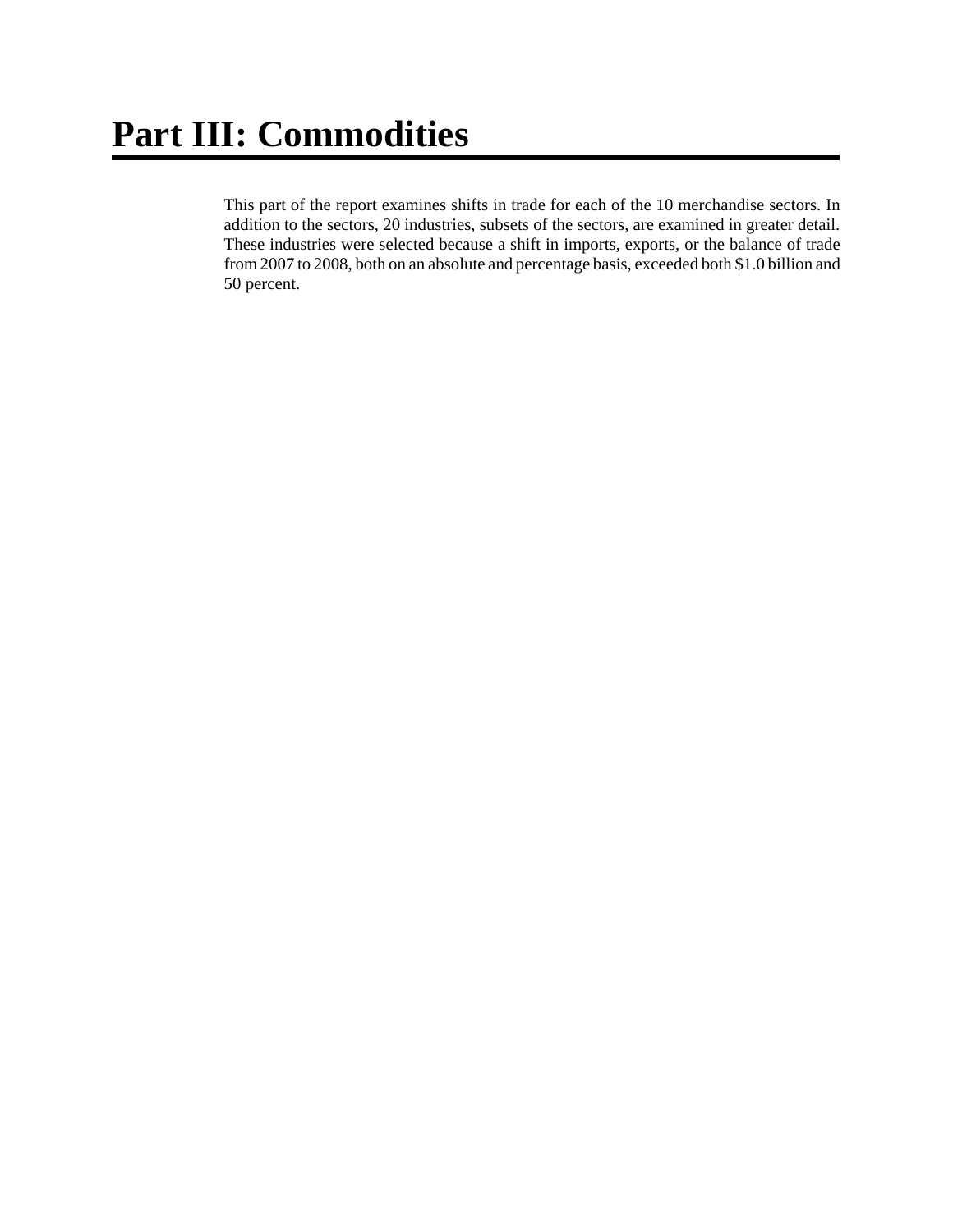This part of the report examines shifts in trade for each of the 10 merchandise sectors. In addition to the sectors, 20 industries, subsets of the sectors, are examined in greater detail. These industries were selected because a shift in imports, exports, or the balance of trade from 2007 to 2008, both on an absolute and percentage basis, exceeded both \$1.0 billion and 50 percent.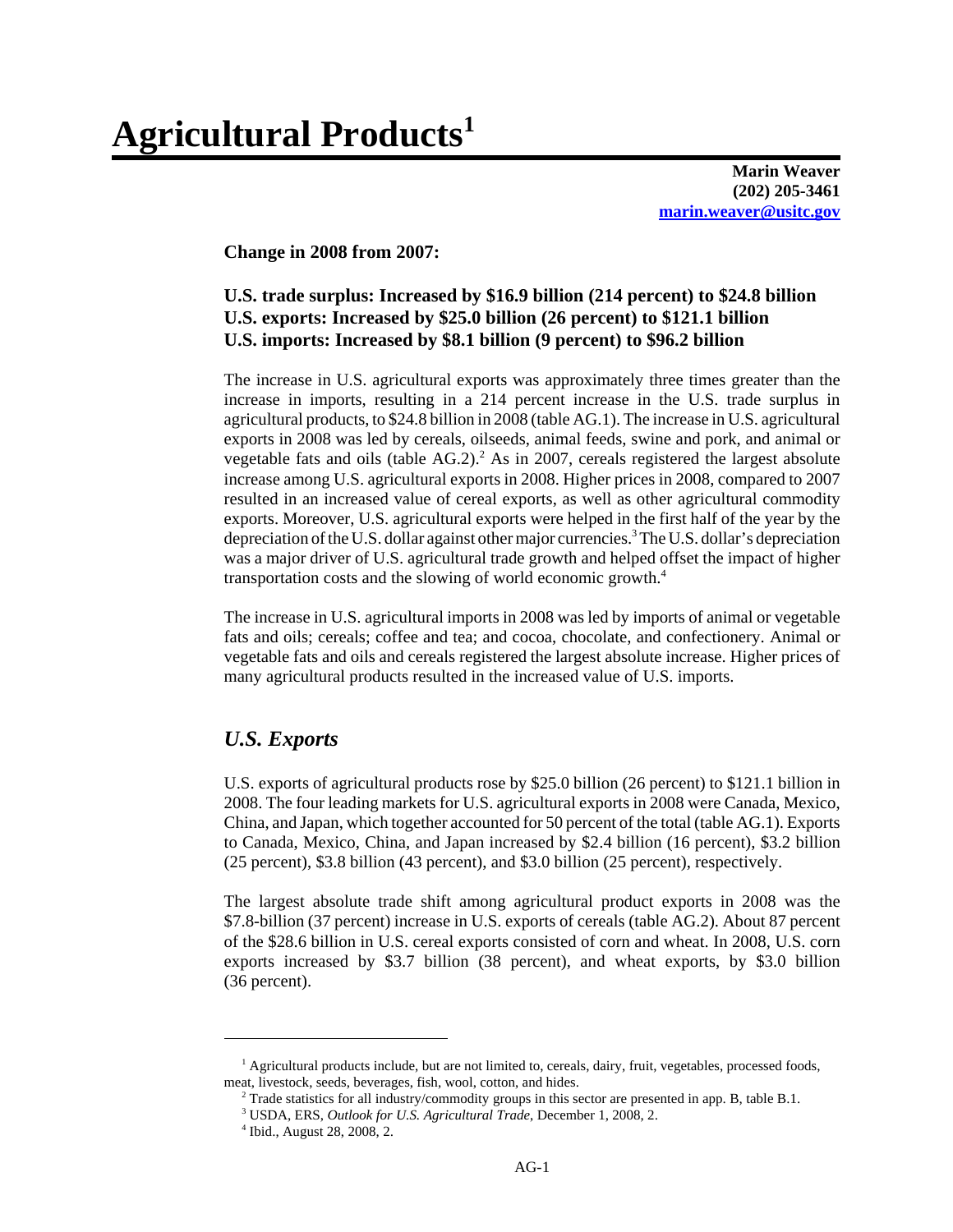# **Agricultural Products1**

**Marin Weaver (202) 205-3461 marin.weaver@usitc.gov**

**Change in 2008 from 2007:**

### **U.S. trade surplus: Increased by \$16.9 billion (214 percent) to \$24.8 billion U.S. exports: Increased by \$25.0 billion (26 percent) to \$121.1 billion U.S. imports: Increased by \$8.1 billion (9 percent) to \$96.2 billion**

The increase in U.S. agricultural exports was approximately three times greater than the increase in imports, resulting in a 214 percent increase in the U.S. trade surplus in agricultural products, to \$24.8 billion in 2008 (table AG.1). The increase in U.S. agricultural exports in 2008 was led by cereals, oilseeds, animal feeds, swine and pork, and animal or vegetable fats and oils (table  $AG.2$ ).<sup>2</sup> As in 2007, cereals registered the largest absolute increase among U.S. agricultural exports in 2008. Higher prices in 2008, compared to 2007 resulted in an increased value of cereal exports, as well as other agricultural commodity exports. Moreover, U.S. agricultural exports were helped in the first half of the year by the depreciation of the U.S. dollar against other major currencies.<sup>3</sup> The U.S. dollar's depreciation was a major driver of U.S. agricultural trade growth and helped offset the impact of higher transportation costs and the slowing of world economic growth.4

The increase in U.S. agricultural imports in 2008 was led by imports of animal or vegetable fats and oils; cereals; coffee and tea; and cocoa, chocolate, and confectionery. Animal or vegetable fats and oils and cereals registered the largest absolute increase. Higher prices of many agricultural products resulted in the increased value of U.S. imports.

#### *U.S. Exports*

U.S. exports of agricultural products rose by \$25.0 billion (26 percent) to \$121.1 billion in 2008. The four leading markets for U.S. agricultural exports in 2008 were Canada, Mexico, China, and Japan, which together accounted for 50 percent of the total (table AG.1). Exports to Canada, Mexico, China, and Japan increased by \$2.4 billion (16 percent), \$3.2 billion (25 percent), \$3.8 billion (43 percent), and \$3.0 billion (25 percent), respectively.

The largest absolute trade shift among agricultural product exports in 2008 was the \$7.8-billion (37 percent) increase in U.S. exports of cereals (table AG.2). About 87 percent of the \$28.6 billion in U.S. cereal exports consisted of corn and wheat. In 2008, U.S. corn exports increased by \$3.7 billion (38 percent), and wheat exports, by \$3.0 billion (36 percent).

<sup>&</sup>lt;sup>1</sup> Agricultural products include, but are not limited to, cereals, dairy, fruit, vegetables, processed foods, meat, livestock, seeds, beverages, fish, wool, cotton, and hides.

<sup>&</sup>lt;sup>2</sup> Trade statistics for all industry/commodity groups in this sector are presented in app. B, table B.1.

 <sup>3</sup> USDA, ERS, *Outlook for U.S. Agricultural Trade*, December 1, 2008, 2.

 <sup>4</sup> Ibid., August 28, 2008, 2.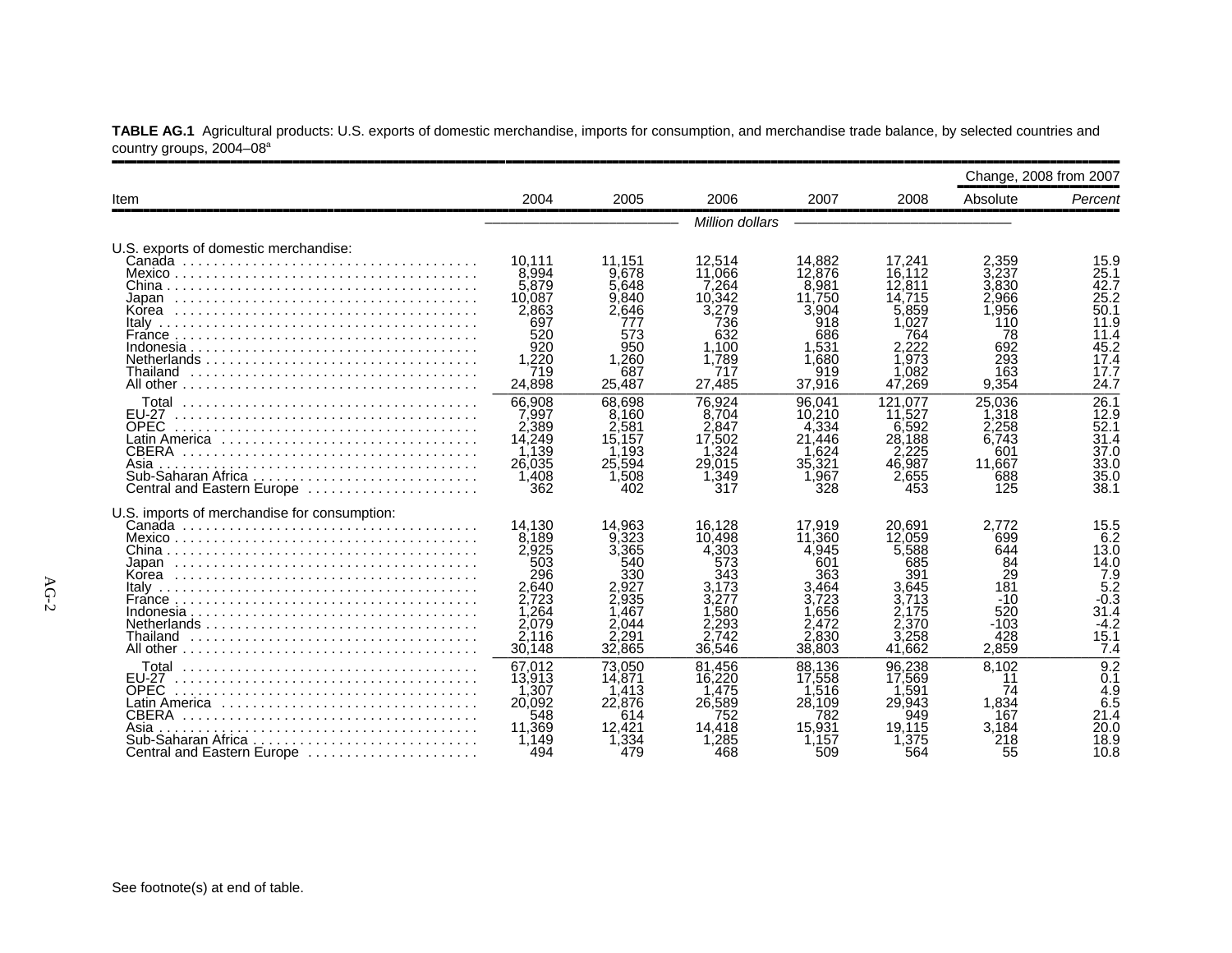**TABLE AG.1** Agricultural products: U.S. exports of domestic merchandise, imports for consumption, and merchandise trade balance, by selected countries and country groups, 2004–08a

|                                                                                                                                           |                                                                                               |                                                                                     |                                                                                            |                                                                                               |                                                                                                | Change, 2008 from 2007                                                           |                                                                                        |
|-------------------------------------------------------------------------------------------------------------------------------------------|-----------------------------------------------------------------------------------------------|-------------------------------------------------------------------------------------|--------------------------------------------------------------------------------------------|-----------------------------------------------------------------------------------------------|------------------------------------------------------------------------------------------------|----------------------------------------------------------------------------------|----------------------------------------------------------------------------------------|
| Item                                                                                                                                      | 2004                                                                                          | 2005                                                                                | 2006                                                                                       | 2007                                                                                          | 2008                                                                                           | Absolute                                                                         | Percent                                                                                |
|                                                                                                                                           |                                                                                               |                                                                                     | Million dollars                                                                            |                                                                                               |                                                                                                |                                                                                  |                                                                                        |
| U.S. exports of domestic merchandise:                                                                                                     | 10.111                                                                                        | 11.151                                                                              | 12.514                                                                                     | 14.882                                                                                        | 17.241                                                                                         | 2.359                                                                            | 15.9                                                                                   |
|                                                                                                                                           | 8.994<br>5.879<br>10.087<br>2.863                                                             | 9.678<br>5.648<br>9.840<br>2.646                                                    | 11,066<br>7.264<br>10.342<br>3,279                                                         | 12.876<br>8.981<br>11.750<br>3.904                                                            | 16.112<br>12,811<br>14.715<br>5.859                                                            | 3.237<br>3.830<br>2.966<br>.956                                                  | 25.1<br>42.7<br>25.2<br>50.1                                                           |
|                                                                                                                                           | 697<br>520<br>920<br>1.220                                                                    | 777<br>573<br>950<br>1.260                                                          | 736<br>632<br>1.100<br>1.789                                                               | 918<br>686<br>.531<br>.680                                                                    | 1.027<br>764<br>2.222<br>1.973                                                                 | 110<br>78<br>692<br>293                                                          | 11.9<br>11.4<br>45.2<br>17.4                                                           |
| Thailand                                                                                                                                  | 719<br>24,898                                                                                 | 687<br>25.487                                                                       | 717<br>27,485                                                                              | 919<br>37,916                                                                                 | 1,082<br>47,269                                                                                | 163<br>9,354                                                                     | 17.7<br>24.7                                                                           |
| Гotal<br>EU-27<br><b>OPEC</b><br><b>CBERA</b><br>Asia<br>Central and Eastern Europe                                                       | 66.908<br>7,997<br>2.389<br>14.249<br>1.139<br>26.035<br>1.408<br>362                         | 68.698<br>8.160<br>2.581<br>15.157<br>1.193<br>25,594<br>1.508<br>402               | 76.924<br>8.704<br>2.847<br>17,502<br>$\dot{.}324$<br>29.015<br>1,349<br>317               | 96.041<br>10.210<br>.334<br>4<br>21.446<br>1.624<br>35,321<br>1.967<br>328                    | 121.077<br>11.527<br>6.592<br>28.188<br>2.225<br>46,987<br>2,655<br>453                        | 25.036<br>⊟318<br>2.258<br>6.743<br>601<br>11.667<br>688<br>125                  | 26.1<br>12.9<br>52.1<br>31.4<br>37.0<br>33.0<br>35.0<br>38.1                           |
| U.S. imports of merchandise for consumption:                                                                                              | 14.130<br>8.189<br>2,925<br>503<br>296<br>2.640<br>2.723<br>1.264<br>2.079<br>2.116<br>30.148 | 14.963<br>9.323<br>3.365<br>540<br>330<br>2.935<br>.467<br>2.044<br>2.291<br>32,865 | 16.128<br>10.498<br>4.303<br>573<br>343<br>3.173<br>3.277<br>.580<br>.293<br>742<br>36.546 | 17.919<br>11,360<br>4.945<br>601<br>363<br>3.464<br>3.723<br>.656<br>2.472<br>2.830<br>38,803 | 20.691<br>12,059<br>5,588<br>685<br>391<br>3.645<br>3.713<br>2.175<br>2.370<br>3.258<br>41.662 | 2.772<br>699<br>644<br>84<br>29<br>181<br>$-10$<br>520<br>$-103$<br>428<br>2.859 | 15.5<br>6.2<br>13.0<br>14.0<br>$7.9$<br>5.2<br>$-0.3$<br>31.4<br>$-4.2$<br>15.1<br>7.4 |
| Γotal<br><b>FU-27</b><br><b>OPEC</b><br>Latin America ,,,,,,,,,,,,,,,,,,,,,,,,,,,,,<br><b>CBERA</b><br>Asia<br>Central and Eastern Europe | 67,012<br>13,913<br>1,307<br>20,092<br>548<br>11.369<br>1.149<br>494                          | 73,050<br>14,871<br>.413<br>22,876<br>614<br>12.421<br>1,334<br>479                 | 81,456<br>16,220<br>475<br>26,589<br>752<br>14.418<br>$\overline{.285}$<br>468             | 88,136<br>17,558<br>.516<br>28.109<br>782<br>15.931<br>1.157<br>509                           | 96.238<br>17,569<br>.591<br>29.943<br>949<br>19.115<br>1,375<br>564                            | 8,102<br>11<br>74<br>1,834<br>167<br>3.184<br>218<br>55                          | 9.2<br>0.1<br>4.9<br>6.5<br>21.4<br>20.0<br>18.9<br>10.8                               |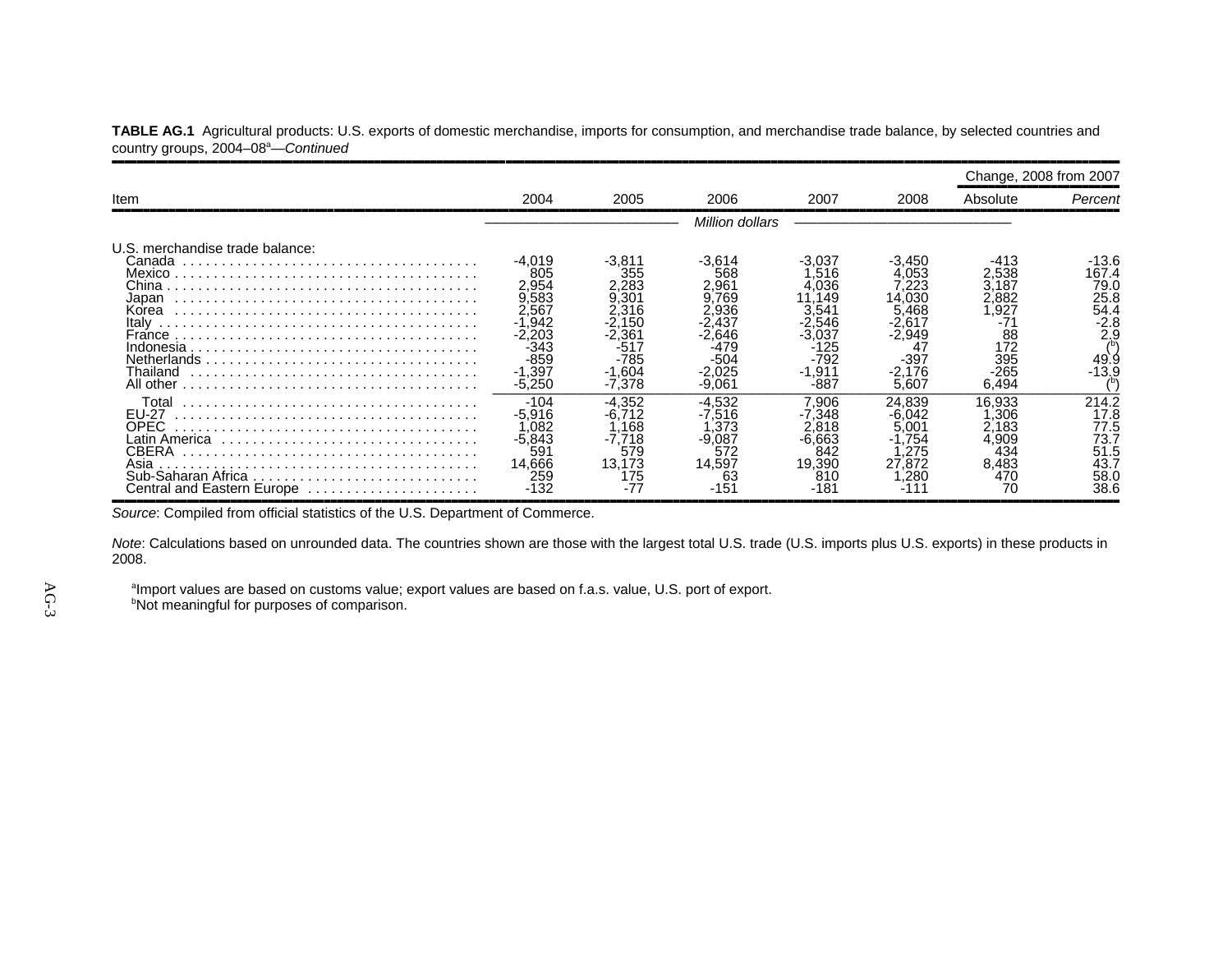|                                                 |  | TABLE AG.1 Agricultural products: U.S. exports of domestic merchandise, imports for consumption, and merchandise trade balance, by selected countries and |  |  |
|-------------------------------------------------|--|-----------------------------------------------------------------------------------------------------------------------------------------------------------|--|--|
| country groups, 2004-08 <sup>a</sup> -Continued |  |                                                                                                                                                           |  |  |

|                                                                                                                      |                                                                                              |                                                                                                      |                                                                           |                                                                                                  |                                                                                              | Change, 2008 from 2007                                                                |                                                                            |
|----------------------------------------------------------------------------------------------------------------------|----------------------------------------------------------------------------------------------|------------------------------------------------------------------------------------------------------|---------------------------------------------------------------------------|--------------------------------------------------------------------------------------------------|----------------------------------------------------------------------------------------------|---------------------------------------------------------------------------------------|----------------------------------------------------------------------------|
| Item                                                                                                                 | 2004                                                                                         | 2005                                                                                                 | 2006                                                                      | 2007                                                                                             | 2008                                                                                         | Absolute                                                                              | Percent                                                                    |
|                                                                                                                      |                                                                                              |                                                                                                      | Million dollars                                                           |                                                                                                  |                                                                                              |                                                                                       |                                                                            |
| U.S. merchandise trade balance:<br>Canada<br>Japan<br>Korea<br>Italy<br>France<br>Indonesia<br>Thailand<br>All other | -4.019<br>805<br>2.954<br>9,583<br>2.567<br>.942<br>.203<br>-343<br>-859<br>.397<br>$-5.250$ | -3.811<br>355<br>2.283<br>9.301<br>2,316<br>2.150<br>2,361<br>$-517$<br>$-785$<br>$-1.604$<br>-7.378 | -3.614<br>568<br>2.961<br>.769<br>:.936<br>.646<br>-504<br>.025<br>-9.061 | -3.037<br>.516<br>.036<br>.149<br>.541<br>.546<br>·3.037<br>-125<br>-792<br>911. ا<br>-1<br>-887 | -3.450<br>.053<br>.223<br>14,030<br>.468<br>.61<br>2.949<br>4<br>$-397$<br>$-2.176$<br>5.607 | -413<br>2,538<br>3.187<br>2.882<br>.927<br>-71<br>88<br>172<br>395<br>$-265$<br>6,494 | -13.6<br>167.4<br>79.C<br>25.8<br>54.4<br>$-2.8$<br>2,9<br>49.9<br>$-13.9$ |
| Total<br><b>EU-27</b><br>OPEC<br>CBERA<br>Asia<br>Sub-Saharan Africa<br>Central and Eastern Europe                   | -104<br>$-5,916$<br>.082<br>-5,843<br>59<br>14.666<br>259<br>-132                            | -4.352<br>.168<br>-7.718<br>579<br>13.173<br>175<br>$-77$                                            | $-4.532$<br>.516<br>.373<br>$-9.087$<br>572<br>14,597<br>63<br>-151       | 906.'<br>.348<br>.818<br>-6.663<br>842<br>19.390<br>810<br>-181                                  | 24.839<br>.042<br>5,001<br>.754<br>.275<br>27.872<br>,280                                    | 16.933<br>.306<br>2,183<br>4.909<br>434<br>8.483<br>470<br>70                         | 214.2<br>17.8<br>77.5<br>73.7<br>51.5<br>43.7<br>58.C<br>38.6              |

*Source*: Compiled from official statistics of the U.S. Department of Commerce.

*Note*: Calculations based on unrounded data. The countries shown are those with the largest total U.S. trade (U.S. imports plus U.S. exports) in these products in 2008.

 $^{\text{a}}$ Import values are based on customs value; export values are based on f.a.s. value, U.S. port of export.

<sup>b</sup>Not meaningful for purposes of comparison.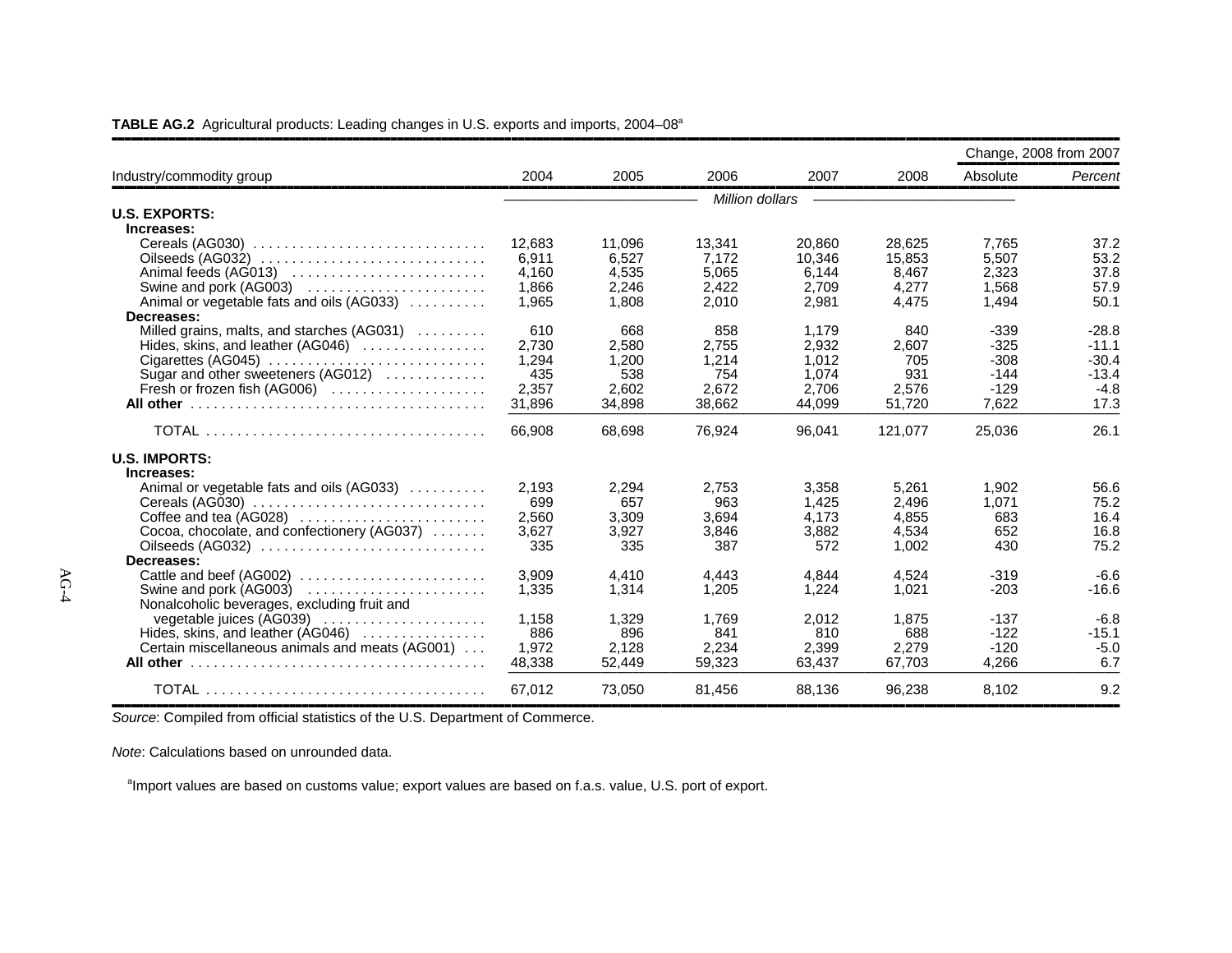|                                                 |              |                 |                        |                 |                 | Change, 2008 from 2007 |                    |
|-------------------------------------------------|--------------|-----------------|------------------------|-----------------|-----------------|------------------------|--------------------|
| Industry/commodity group                        | 2004         | 2005            | 2006                   | 2007            | 2008            | Absolute               | Percent            |
|                                                 |              |                 | <b>Million dollars</b> |                 |                 |                        |                    |
| <b>U.S. EXPORTS:</b>                            |              |                 |                        |                 |                 |                        |                    |
| Increases:                                      |              |                 |                        |                 |                 |                        |                    |
|                                                 | 12,683       | 11.096          | 13.341                 | 20.860          | 28.625          | 7.765                  | 37.2               |
|                                                 | 6,911        | 6.527           | 7.172                  | 10.346          | 15.853          | 5,507                  | 53.2               |
| Animal feeds (AG013)                            | 4,160        | 4.535           | 5.065                  | 6.144           | 8,467           | 2,323                  | 37.8               |
| Swine and pork (AG003)                          | 1,866        | 2,246           | 2,422                  | 2,709           | 4,277           | 1,568                  | 57.9               |
| Animal or vegetable fats and oils (AG033)       | 1,965        | 1.808           | 2,010                  | 2,981           | 4,475           | 1,494                  | 50.1               |
| Decreases:                                      |              |                 |                        |                 |                 |                        |                    |
| Milled grains, malts, and starches (AG031)      | 610          | 668             | 858                    | 1.179           | 840             | $-339$                 | $-28.8$            |
| Hides, skins, and leather $(AG046)$             | 2.730        | 2,580           | 2,755                  | 2,932           | 2,607           | $-325$                 | $-11.1$            |
| Cigarettes (AG045)                              | 1.294<br>435 | 1,200<br>538    | 1.214<br>754           | 1.012           | 705<br>931      | $-308$<br>$-144$       | $-30.4$<br>$-13.4$ |
| Sugar and other sweeteners (AG012)              | 2,357        | 2,602           | 2.672                  | 1,074<br>2,706  | 2,576           | $-129$                 | $-4.8$             |
| Fresh or frozen fish (AG006)                    | 31,896       | 34.898          | 38.662                 | 44.099          | 51.720          | 7.622                  | 17.3               |
|                                                 |              |                 |                        |                 |                 |                        |                    |
|                                                 | 66,908       | 68.698          | 76,924                 | 96,041          | 121,077         | 25,036                 | 26.1               |
| <b>U.S. IMPORTS:</b>                            |              |                 |                        |                 |                 |                        |                    |
| Increases:                                      |              |                 |                        |                 |                 |                        |                    |
| Animal or vegetable fats and oils (AG033)       | 2.193        | 2,294           | 2,753                  | 3.358           | 5.261           | 1.902                  | 56.6               |
| Cereals (AG030)                                 | 699          | 657             | 963                    | 1.425           | 2,496           | 1,071                  | 75.2               |
| Coffee and tea (AG028)                          | 2,560        | 3,309           | 3,694                  | 4,173           | 4,855           | 683                    | 16.4               |
| Cocoa, chocolate, and confectionery (AG037)     | 3,627        | 3,927           | 3,846                  | 3,882           | 4,534           | 652                    | 16.8               |
| Oilseeds (AG032)                                | 335          | 335             | 387                    | 572             | 1,002           | 430                    | 75.2               |
| Decreases:                                      |              |                 |                        |                 |                 |                        |                    |
| Cattle and beef (AG002)                         | 3,909        | 4.410           | 4,443                  | 4.844           | 4.524           | $-319$                 | $-6.6$             |
|                                                 | 1,335        | 1,314           | 1,205                  | 1,224           | 1,021           | $-203$                 | $-16.6$            |
| Nonalcoholic beverages, excluding fruit and     |              |                 |                        |                 |                 |                        |                    |
| vegetable juices (AG039)                        | 1.158        | 1,329           | 1.769                  | 2,012           | 1,875           | $-137$<br>$-122$       | $-6.8$             |
| Hides, skins, and leather $(AG046)$             | 886          | 896             | 841                    | 810             | 688             | $-120$                 | $-15.1$            |
| Certain miscellaneous animals and meats (AG001) | 1,972        | 2,128<br>52,449 | 2,234<br>59,323        | 2,399<br>63,437 | 2,279<br>67,703 | 4,266                  | $-5.0$<br>6.7      |
|                                                 | 48,338       |                 |                        |                 |                 |                        |                    |
|                                                 | 67,012       | 73,050          | 81,456                 | 88,136          | 96,238          | 8,102                  | 9.2                |

#### **TABLE AG.2** Agricultural products: Leading changes in U.S. exports and imports, 2004–08<sup>a</sup>

*Source*: Compiled from official statistics of the U.S. Department of Commerce.

*Note*: Calculations based on unrounded data.

<sup>a</sup>Import values are based on customs value; export values are based on f.a.s. value, U.S. port of export.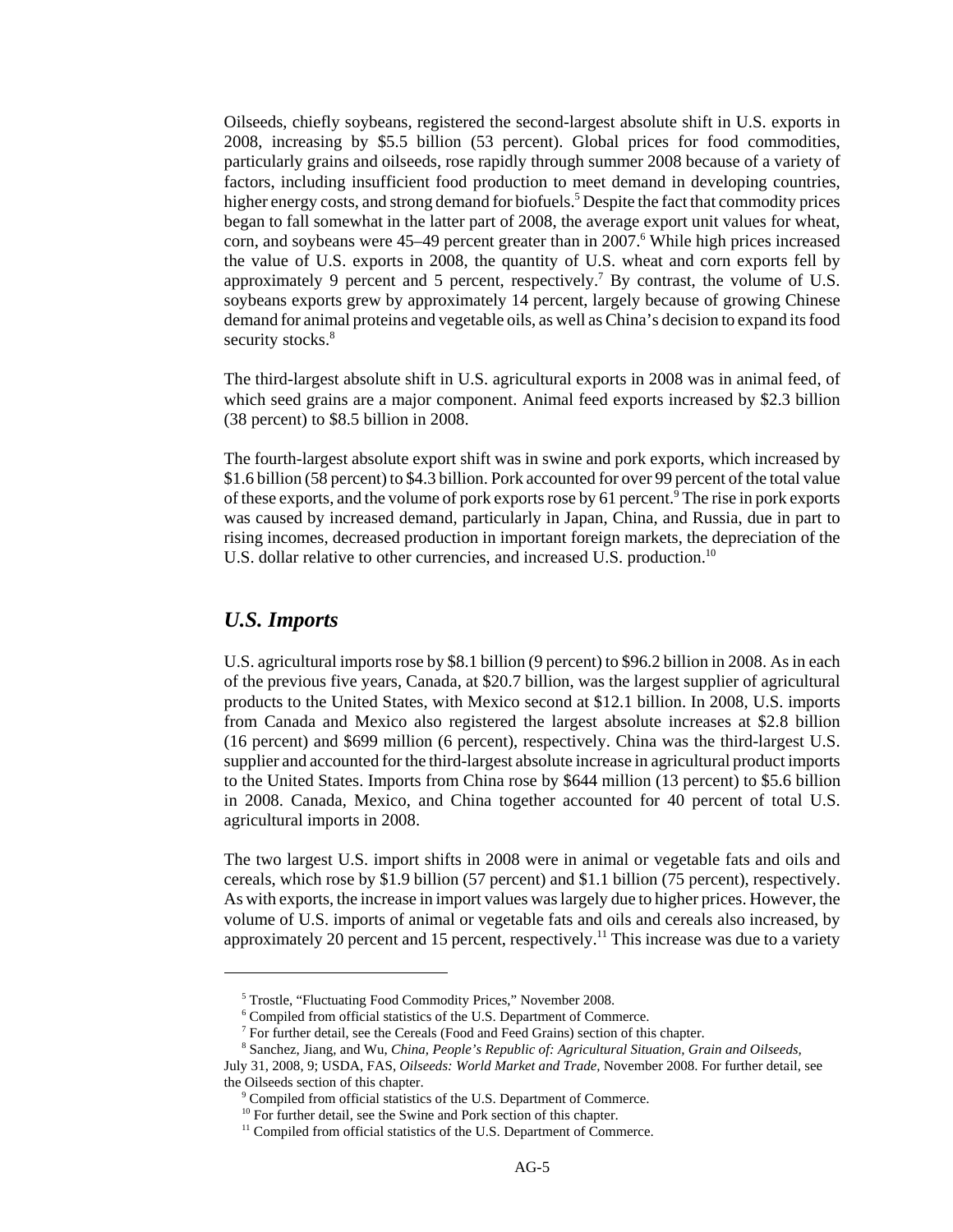Oilseeds, chiefly soybeans, registered the second-largest absolute shift in U.S. exports in 2008, increasing by \$5.5 billion (53 percent). Global prices for food commodities, particularly grains and oilseeds, rose rapidly through summer 2008 because of a variety of factors, including insufficient food production to meet demand in developing countries, higher energy costs, and strong demand for biofuels.<sup>5</sup> Despite the fact that commodity prices began to fall somewhat in the latter part of 2008, the average export unit values for wheat, corn, and soybeans were 45–49 percent greater than in 2007.<sup>6</sup> While high prices increased the value of U.S. exports in 2008, the quantity of U.S. wheat and corn exports fell by approximately 9 percent and 5 percent, respectively.<sup>7</sup> By contrast, the volume of U.S. soybeans exports grew by approximately 14 percent, largely because of growing Chinese demand for animal proteins and vegetable oils, as well as China's decision to expand its food security stocks.<sup>8</sup>

The third-largest absolute shift in U.S. agricultural exports in 2008 was in animal feed, of which seed grains are a major component. Animal feed exports increased by \$2.3 billion (38 percent) to \$8.5 billion in 2008.

The fourth-largest absolute export shift was in swine and pork exports, which increased by \$1.6 billion (58 percent) to \$4.3 billion. Pork accounted for over 99 percent of the total value of these exports, and the volume of pork exports rose by 61 percent. <sup>9</sup> The rise in pork exports was caused by increased demand, particularly in Japan, China, and Russia, due in part to rising incomes, decreased production in important foreign markets, the depreciation of the U.S. dollar relative to other currencies, and increased U.S. production.<sup>10</sup>

#### *U.S. Imports*

U.S. agricultural imports rose by \$8.1 billion (9 percent) to \$96.2 billion in 2008. As in each of the previous five years, Canada, at \$20.7 billion, was the largest supplier of agricultural products to the United States, with Mexico second at \$12.1 billion. In 2008, U.S. imports from Canada and Mexico also registered the largest absolute increases at \$2.8 billion (16 percent) and \$699 million (6 percent), respectively. China was the third-largest U.S. supplier and accounted for the third-largest absolute increase in agricultural product imports to the United States. Imports from China rose by \$644 million (13 percent) to \$5.6 billion in 2008. Canada, Mexico, and China together accounted for 40 percent of total U.S. agricultural imports in 2008.

The two largest U.S. import shifts in 2008 were in animal or vegetable fats and oils and cereals, which rose by \$1.9 billion (57 percent) and \$1.1 billion (75 percent), respectively. As with exports, the increase in import values was largely due to higher prices. However, the volume of U.S. imports of animal or vegetable fats and oils and cereals also increased, by approximately 20 percent and 15 percent, respectively.<sup>11</sup> This increase was due to a variety

 <sup>5</sup> Trostle, "Fluctuating Food Commodity Prices," November 2008.

 <sup>6</sup> Compiled from official statistics of the U.S. Department of Commerce.

 <sup>7</sup> For further detail, see the Cereals (Food and Feed Grains) section of this chapter.

 <sup>8</sup> Sanchez, Jiang, and Wu, *China, People's Republic of: Agricultural Situation, Grain and Oilseeds,*

July 31, 2008, 9; USDA, FAS, *Oilseeds: World Market and Trade,* November 2008. For further detail, see the Oilseeds section of this chapter.

<sup>&</sup>lt;sup>9</sup> Compiled from official statistics of the U.S. Department of Commerce.

 $10$  For further detail, see the Swine and Pork section of this chapter.

<sup>&</sup>lt;sup>11</sup> Compiled from official statistics of the U.S. Department of Commerce.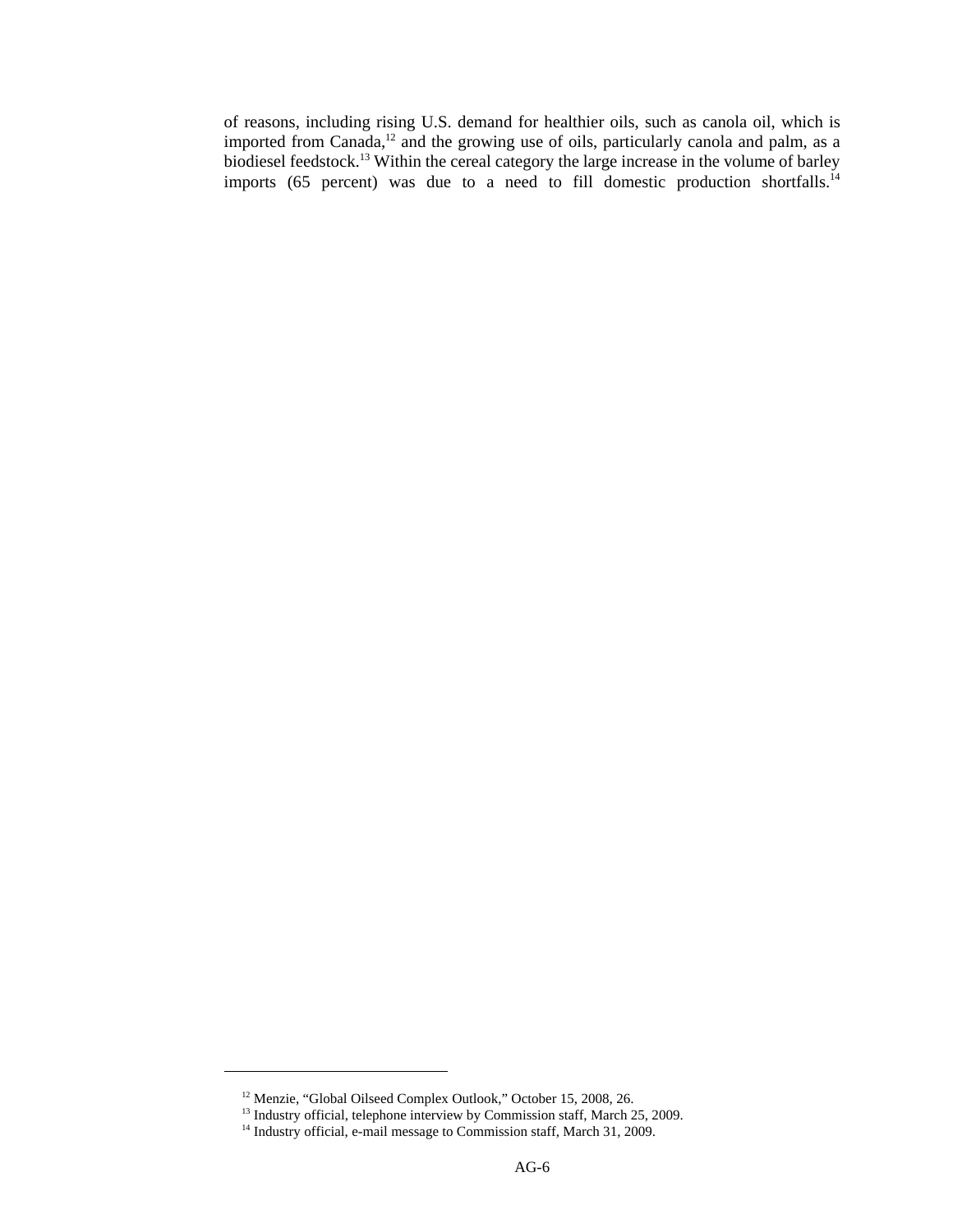of reasons, including rising U.S. demand for healthier oils, such as canola oil, which is imported from Canada, $12$  and the growing use of oils, particularly canola and palm, as a biodiesel feedstock.<sup>13</sup> Within the cereal category the large increase in the volume of barley imports (65 percent) was due to a need to fill domestic production shortfalls.<sup>14</sup>

<sup>&</sup>lt;sup>12</sup> Menzie, "Global Oilseed Complex Outlook," October 15, 2008, 26.

<sup>&</sup>lt;sup>13</sup> Industry official, telephone interview by Commission staff, March 25, 2009.

<sup>&</sup>lt;sup>14</sup> Industry official, e-mail message to Commission staff, March 31, 2009.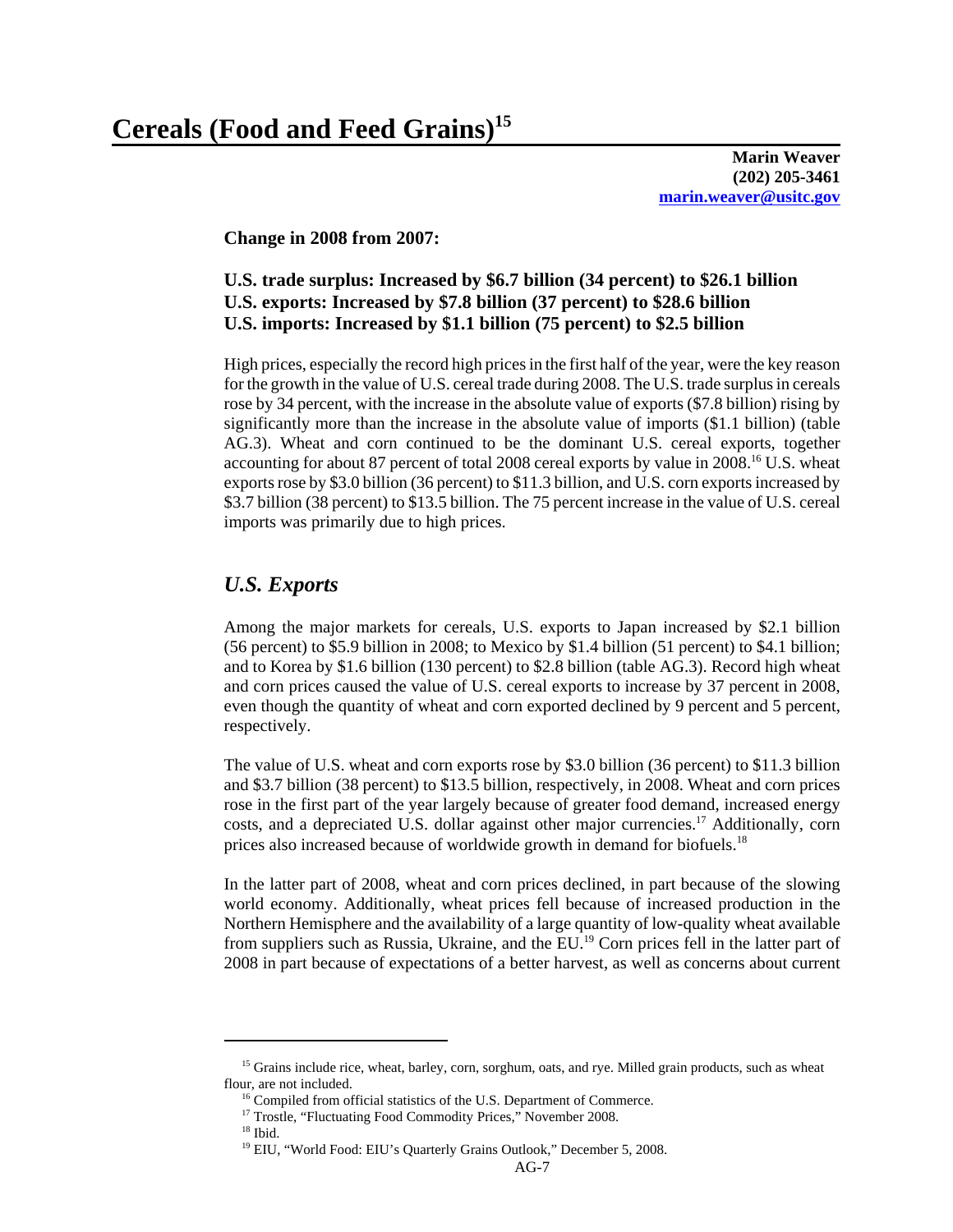**Marin Weaver (202) 205-3461 marin.weaver@usitc.gov**

**Change in 2008 from 2007:**

# **U.S. trade surplus: Increased by \$6.7 billion (34 percent) to \$26.1 billion U.S. exports: Increased by \$7.8 billion (37 percent) to \$28.6 billion U.S. imports: Increased by \$1.1 billion (75 percent) to \$2.5 billion**

High prices, especially the record high prices in the first half of the year, were the key reason for the growth in the value of U.S. cereal trade during 2008. The U.S. trade surplus in cereals rose by 34 percent, with the increase in the absolute value of exports (\$7.8 billion) rising by significantly more than the increase in the absolute value of imports (\$1.1 billion) (table AG.3). Wheat and corn continued to be the dominant U.S. cereal exports, together accounting for about 87 percent of total 2008 cereal exports by value in 2008.<sup>16</sup> U.S. wheat exports rose by \$3.0 billion (36 percent) to \$11.3 billion, and U.S. corn exports increased by \$3.7 billion (38 percent) to \$13.5 billion. The 75 percent increase in the value of U.S. cereal imports was primarily due to high prices.

# *U.S. Exports*

Among the major markets for cereals, U.S. exports to Japan increased by \$2.1 billion (56 percent) to \$5.9 billion in 2008; to Mexico by \$1.4 billion (51 percent) to \$4.1 billion; and to Korea by \$1.6 billion (130 percent) to \$2.8 billion (table AG.3). Record high wheat and corn prices caused the value of U.S. cereal exports to increase by 37 percent in 2008, even though the quantity of wheat and corn exported declined by 9 percent and 5 percent, respectively.

The value of U.S. wheat and corn exports rose by \$3.0 billion (36 percent) to \$11.3 billion and \$3.7 billion (38 percent) to \$13.5 billion, respectively, in 2008. Wheat and corn prices rose in the first part of the year largely because of greater food demand, increased energy costs, and a depreciated U.S. dollar against other major currencies.17 Additionally, corn prices also increased because of worldwide growth in demand for biofuels.<sup>18</sup>

In the latter part of 2008, wheat and corn prices declined, in part because of the slowing world economy. Additionally, wheat prices fell because of increased production in the Northern Hemisphere and the availability of a large quantity of low-quality wheat available from suppliers such as Russia, Ukraine, and the  $EU<sup>19</sup>$  Corn prices fell in the latter part of 2008 in part because of expectations of a better harvest, as well as concerns about current

<sup>&</sup>lt;sup>15</sup> Grains include rice, wheat, barley, corn, sorghum, oats, and rye. Milled grain products, such as wheat flour, are not included.

<sup>&</sup>lt;sup>16</sup> Compiled from official statistics of the U.S. Department of Commerce.

<sup>&</sup>lt;sup>17</sup> Trostle, "Fluctuating Food Commodity Prices," November 2008.

 <sup>18</sup> Ibid.

<sup>&</sup>lt;sup>19</sup> EIU, "World Food: EIU's Quarterly Grains Outlook," December 5, 2008.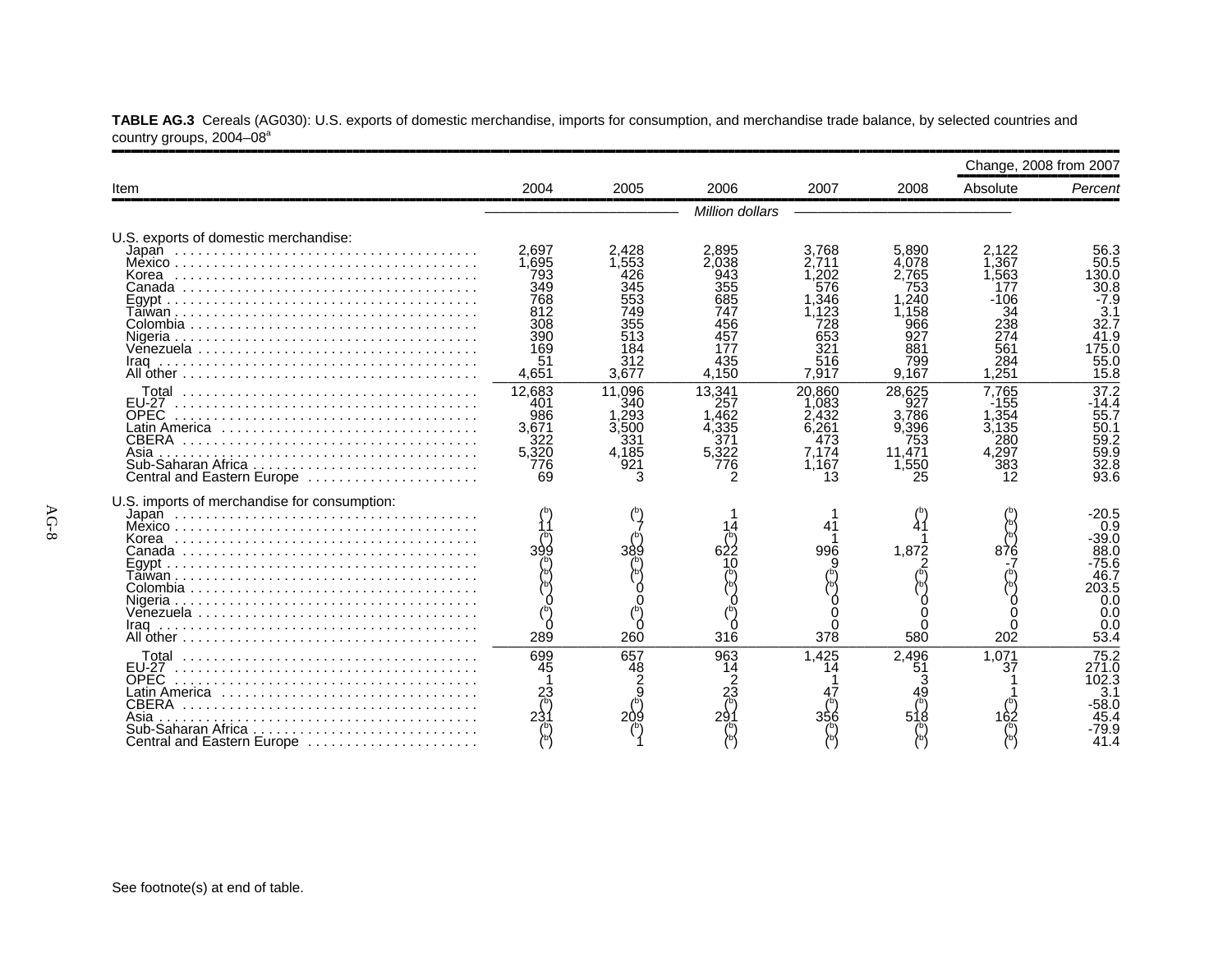|                                                                                                                                                                             |                                                                                |                                                             |                                                                                 |                                                                                    |                                                                                     | Change, 2008 from 2007                                                              |                                                                                         |
|-----------------------------------------------------------------------------------------------------------------------------------------------------------------------------|--------------------------------------------------------------------------------|-------------------------------------------------------------|---------------------------------------------------------------------------------|------------------------------------------------------------------------------------|-------------------------------------------------------------------------------------|-------------------------------------------------------------------------------------|-----------------------------------------------------------------------------------------|
| Item                                                                                                                                                                        | 2004                                                                           | 2005                                                        | 2006                                                                            | 2007                                                                               | 2008                                                                                | Absolute                                                                            | Percent                                                                                 |
|                                                                                                                                                                             |                                                                                |                                                             | Million dollars                                                                 |                                                                                    |                                                                                     |                                                                                     |                                                                                         |
| U.S. exports of domestic merchandise:<br>Korea<br>Venezuela                                                                                                                 | 2.697<br>1.695<br>793<br>349<br>768<br>812<br>308<br>390<br>169<br>51<br>4,651 | 2,428<br>1.553<br>345<br>749<br>513<br>184<br>312<br>3,677  | 2,895<br>2.038<br>943<br>355<br>685<br>747<br>456<br>457<br>177<br>435<br>4,150 | 3.768<br>2.711<br>.202<br>576<br>.346<br>.123<br>728<br>653<br>321<br>516<br>7,917 | 5,890<br>4.078<br>2.765<br>753<br>.240<br>.158<br>966<br>927<br>881<br>799<br>9,167 | 2.122<br>1.367<br>1.563<br>177<br>$-106$<br>34<br>238<br>274<br>561<br>284<br>1.251 | 56.3<br>50.5<br>130.0<br>30.8<br>$-7.9$<br>3.1<br>32.7<br>41.9<br>175.0<br>55.0<br>15.8 |
| <b>EU-27</b><br><b>OPEC</b><br>Latin America $\ldots \ldots \ldots \ldots \ldots \ldots \ldots$<br><b>CBERA</b><br>Asia<br>Sub-Saharan Africa<br>Central and Eastern Europe | 12,683<br>401<br>986<br>3.671<br>322<br>5,320<br>776<br>69                     | 11.096<br>340<br>1.293<br>3.500<br>331<br>4,185<br>921<br>3 | 13.341<br>257<br>.462<br>4.335<br>371<br>5,322<br>776                           | 20.860<br>1.083<br>2.432<br>6.261<br>473<br>7.174<br>1.167<br>13                   | 28.625<br>927<br>3,786<br>9.396<br>753<br>11.471<br>1.550<br>25                     | 7.765<br>$-155$<br>1,354<br>3.135<br>280<br>4.297<br>12                             | 37.2<br>$-14.4$<br>55.7<br>50.1<br>59.2<br>59.9<br>32.8<br>93.6                         |
| U.S. imports of merchandise for consumption:<br>Korea<br>Iraq                                                                                                               | 399<br>289                                                                     | 260                                                         | 316                                                                             | 996<br>378                                                                         | 1.872<br>580                                                                        | 876<br>202                                                                          | -20.5<br>0.9<br>39.0<br>88.0<br>-75.6<br>46.7<br>203.5<br>0.0<br>0.0<br>0.0<br>53.4     |
| <b>EU-27</b><br><b>OPEC</b><br>Latin America<br>Asia<br>Sub-Saharan Africa<br>Central and Eastern Europe                                                                    | 699<br>45<br>$\frac{23}{6}$                                                    | 657<br>48<br>$\frac{2}{9}$<br>209                           | 963<br>14<br>23<br>小<br>29                                                      | 1.425<br>14                                                                        | 2.496<br>51<br>51                                                                   | 1,071<br>37                                                                         | 75.2<br>271.0<br>102.3<br>3.1<br>·58.0<br>45.4<br>79.9<br>41.4                          |

**TABLE AG.3** Cereals (AG030): U.S. exports of domestic merchandise, imports for consumption, and merchandise trade balance, by selected countries and country groups, 2004–08ª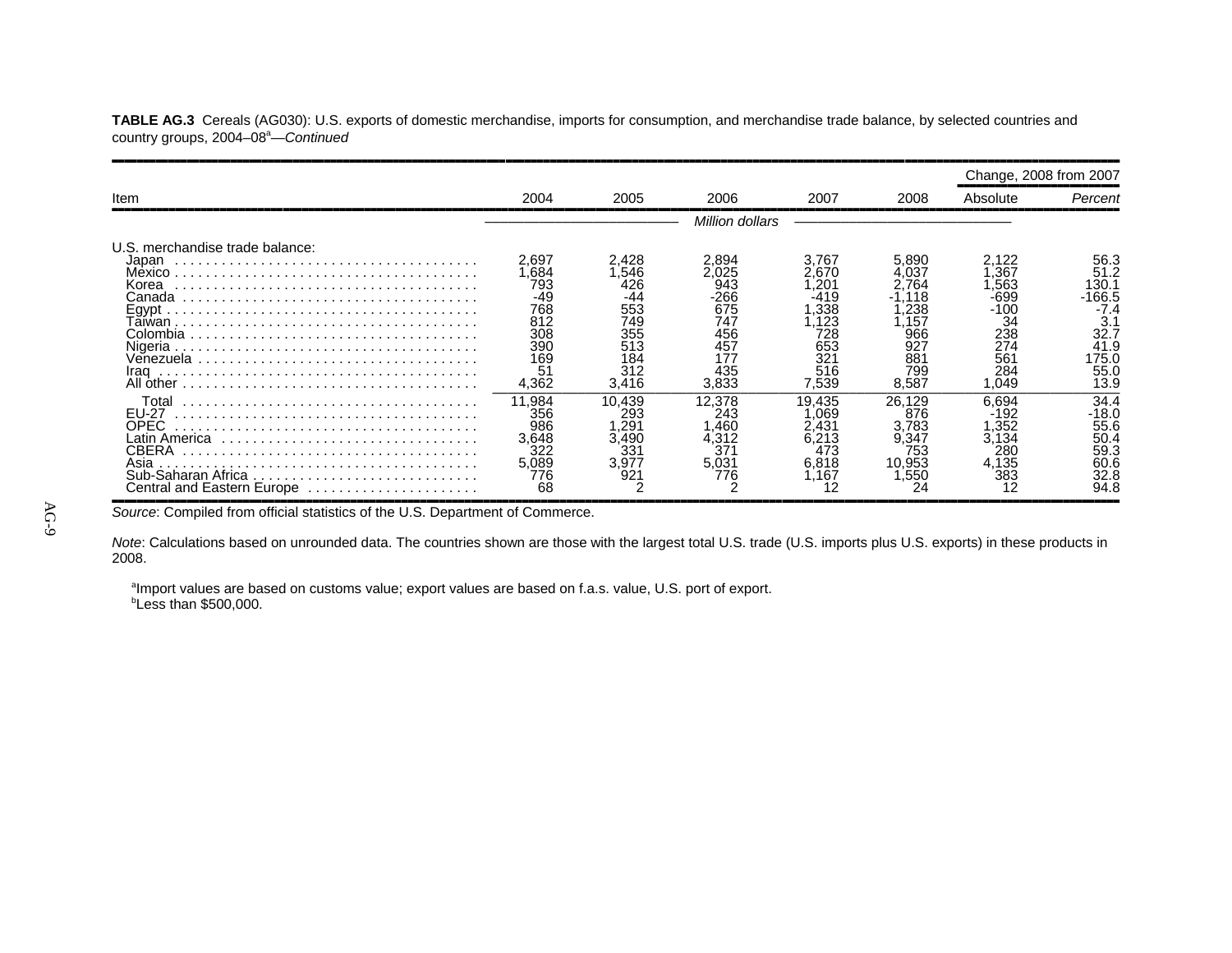**TABLE AG.3** Cereals (AG030): U.S. exports of domestic merchandise, imports for consumption, and merchandise trade balance, by selected countries and country groups, 2004–08<sup>a</sup>—Continued

|                                                                                                                     |                                                                               |                                                                               |                                                                         |                                                                                              |                                                                 | Change, 2008 from 2007                                                           |                                                                               |
|---------------------------------------------------------------------------------------------------------------------|-------------------------------------------------------------------------------|-------------------------------------------------------------------------------|-------------------------------------------------------------------------|----------------------------------------------------------------------------------------------|-----------------------------------------------------------------|----------------------------------------------------------------------------------|-------------------------------------------------------------------------------|
| Item                                                                                                                | 2004                                                                          | 2005                                                                          | 2006                                                                    | 2007                                                                                         | 2008                                                            | Absolute                                                                         | Percent                                                                       |
|                                                                                                                     |                                                                               |                                                                               | Million dollars                                                         |                                                                                              |                                                                 |                                                                                  |                                                                               |
| U.S. merchandise trade balance:<br>Japan<br>Mexico<br>Korea<br>Canada<br>Iraq                                       | 2.697<br>.684<br>793<br>-49<br>768<br>812<br>308<br>390<br>169<br>51<br>4,362 | 2.428<br>546<br>426<br>-44<br>553<br>749<br>355<br>513<br>184<br>312<br>3,416 | 2.894<br>943<br>-266<br>675<br>747<br>456<br>457<br>177<br>435<br>3,833 | 3.767<br>670<br>.20 <sup>.</sup><br>-419<br>.338<br>123<br>728<br>653<br>321<br>516<br>7.539 | 5.890<br>764<br>238<br>157<br>966<br>927<br>881<br>799<br>8,587 | 2.122<br>.367<br>.563<br>-699<br>-100<br>34<br>238<br>274<br>561<br>284<br>1.049 | 56.3<br>51.2<br>30.1<br>166.5<br>3.1<br>32.7<br>41.9<br>175.0<br>55.C<br>13.9 |
| Total<br><b>EU-27</b><br>OPEC<br>Latin America<br>CBERA<br>Asia<br>Sub-Saharan Africa<br>Central and Eastern Europe | 11.984<br>356<br>986<br>3.648<br>5,089<br>776<br>68                           | 10.439<br>293<br>29′.<br>3,490<br>331<br>3.977<br>92.                         | 12.378<br>243<br>.460<br>4.312<br>37<br>5,031<br>776                    | 19.435<br>069<br>.431<br>.213<br>473<br>6.818<br>.167                                        | 26.129<br>876<br>3.783<br>9.347<br>753<br>10,953<br>.550        | 6.694<br>-192<br>.352<br>3.134<br>280<br>4,135<br>383<br>12                      | 34.4<br>-18.0<br>55.6<br>50.4<br>59.3<br>60.6<br>32.8<br>94.8                 |

*Source*: Compiled from official statistics of the U.S. Department of Commerce.

*Note*: Calculations based on unrounded data. The countries shown are those with the largest total U.S. trade (U.S. imports plus U.S. exports) in these products in 2008.

<sup>a</sup>Import values are based on customs value; export values are based on f.a.s. value, U.S. port of export. *b***Less than \$500,000.**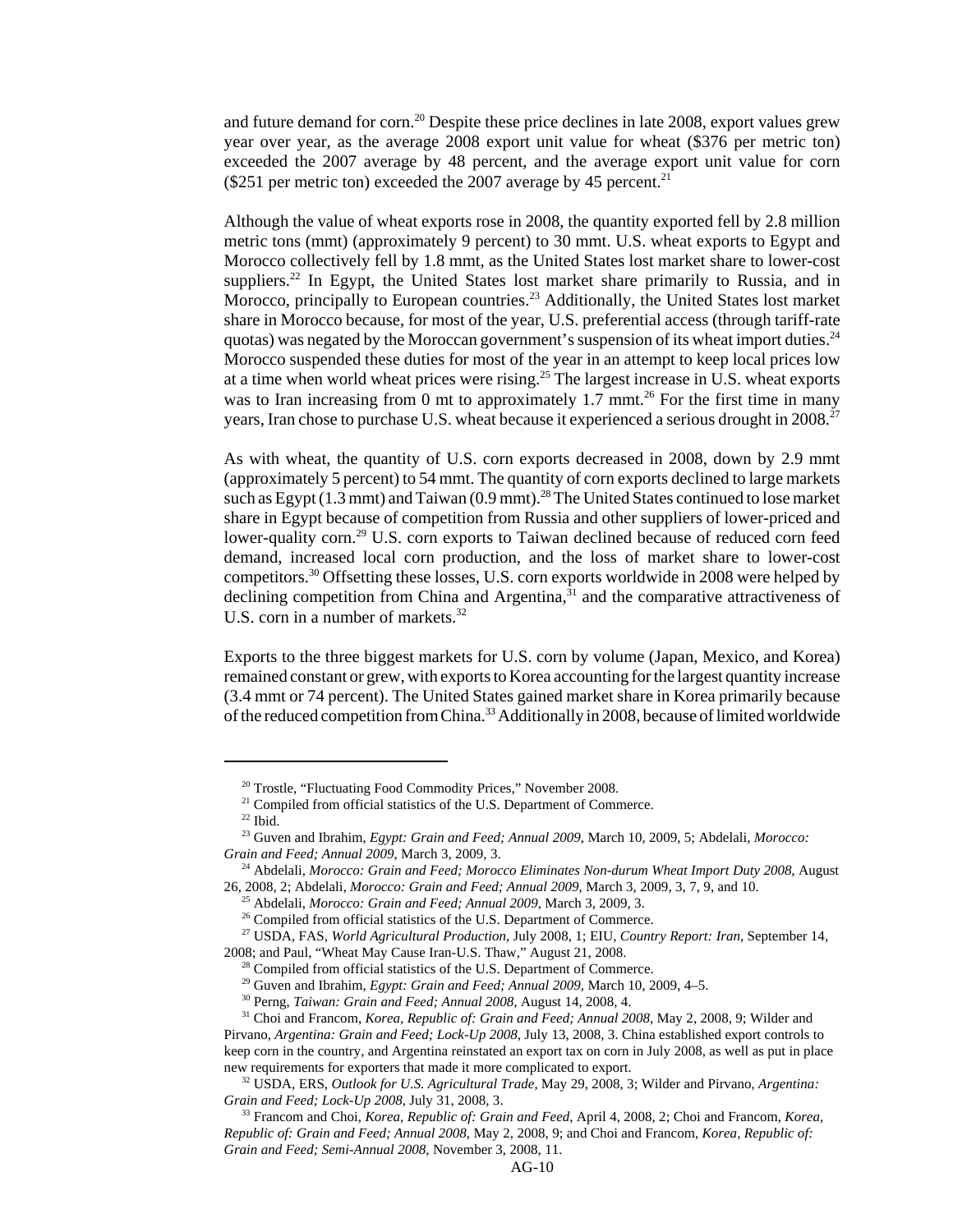and future demand for corn.20 Despite these price declines in late 2008, export values grew year over year, as the average 2008 export unit value for wheat (\$376 per metric ton) exceeded the 2007 average by 48 percent, and the average export unit value for corn ( $$251$  per metric ton) exceeded the 2007 average by 45 percent.<sup>21</sup>

Although the value of wheat exports rose in 2008, the quantity exported fell by 2.8 million metric tons (mmt) (approximately 9 percent) to 30 mmt. U.S. wheat exports to Egypt and Morocco collectively fell by 1.8 mmt, as the United States lost market share to lower-cost suppliers.<sup>22</sup> In Egypt, the United States lost market share primarily to Russia, and in Morocco, principally to European countries.<sup>23</sup> Additionally, the United States lost market share in Morocco because, for most of the year, U.S. preferential access (through tariff-rate quotas) was negated by the Moroccan government's suspension of its wheat import duties.<sup>24</sup> Morocco suspended these duties for most of the year in an attempt to keep local prices low at a time when world wheat prices were rising.25 The largest increase in U.S. wheat exports was to Iran increasing from 0 mt to approximately 1.7 mmt.<sup>26</sup> For the first time in many years, Iran chose to purchase U.S. wheat because it experienced a serious drought in 2008.<sup>27</sup>

As with wheat, the quantity of U.S. corn exports decreased in 2008, down by 2.9 mmt (approximately 5 percent) to 54 mmt. The quantity of corn exports declined to large markets such as Egypt  $(1.3 \text{ mm})$  and Taiwan  $(0.9 \text{ mm})$ .<sup>28</sup> The United States continued to lose market share in Egypt because of competition from Russia and other suppliers of lower-priced and lower-quality corn.<sup>29</sup> U.S. corn exports to Taiwan declined because of reduced corn feed demand, increased local corn production, and the loss of market share to lower-cost competitors.30 Offsetting these losses, U.S. corn exports worldwide in 2008 were helped by declining competition from China and Argentina,<sup>31</sup> and the comparative attractiveness of U.S. corn in a number of markets.<sup>32</sup>

Exports to the three biggest markets for U.S. corn by volume (Japan, Mexico, and Korea) remained constant or grew, with exports to Korea accounting for the largest quantity increase (3.4 mmt or 74 percent). The United States gained market share in Korea primarily because of the reduced competition from China.<sup>33</sup> Additionally in 2008, because of limited worldwide

<sup>&</sup>lt;sup>20</sup> Trostle, "Fluctuating Food Commodity Prices," November 2008.

<sup>&</sup>lt;sup>21</sup> Compiled from official statistics of the U.S. Department of Commerce.

 $^\mathrm{22}$  Ibid.

 <sup>23</sup> Guven and Ibrahim, *Egypt: Grain and Feed; Annual 2009*, March 10, 2009, 5; Abdelali, *Morocco: Grain and Feed; Annual 2009*, March 3, 2009, 3.

 <sup>24</sup> Abdelali, *Morocco: Grain and Feed; Morocco Eliminates Non-durum Wheat Import Duty 2008*, August 26, 2008, 2; Abdelali, *Morocco: Grain and Feed; Annual 2009*, March 3, 2009, 3, 7, 9, and 10.

 <sup>25</sup> Abdelali, *Morocco: Grain and Feed; Annual 2009*, March 3, 2009, 3.

<sup>&</sup>lt;sup>26</sup> Compiled from official statistics of the U.S. Department of Commerce.

 <sup>27</sup> USDA, FAS, *World Agricultural Production*, July 2008, 1; EIU, *Country Report: Iran*, September 14, 2008; and Paul, "Wheat May Cause Iran-U.S. Thaw," August 21, 2008.

<sup>&</sup>lt;sup>28</sup> Compiled from official statistics of the U.S. Department of Commerce.

<sup>&</sup>lt;sup>29</sup> Guven and Ibrahim, *Egypt: Grain and Feed; Annual 2009*, March 10, 2009, 4–5.

 <sup>30</sup> Perng, *Taiwan: Grain and Feed; Annual 2008,* August 14, 2008, 4.

 <sup>31</sup> Choi and Francom, *Korea, Republic of: Grain and Feed; Annual 2008*, May 2, 2008, 9; Wilder and

Pirvano*, Argentina: Grain and Feed; Lock-Up 2008*, July 13, 2008, 3. China established export controls to keep corn in the country, and Argentina reinstated an export tax on corn in July 2008, as well as put in place new requirements for exporters that made it more complicated to export.

 <sup>32</sup> USDA, ERS, *Outlook for U.S. Agricultural Trade,* May 29, 2008, 3; Wilder and Pirvano, *Argentina: Grain and Feed; Lock-Up 2008*, July 31, 2008, 3.

 <sup>33</sup> Francom and Choi, *Korea, Republic of: Grain and Feed*, April 4, 2008, 2; Choi and Francom, *Korea, Republic of: Grain and Feed; Annual 2008*, May 2, 2008, 9; and Choi and Francom, *Korea, Republic of: Grain and Feed; Semi-Annual 2008*, November 3, 2008, 11.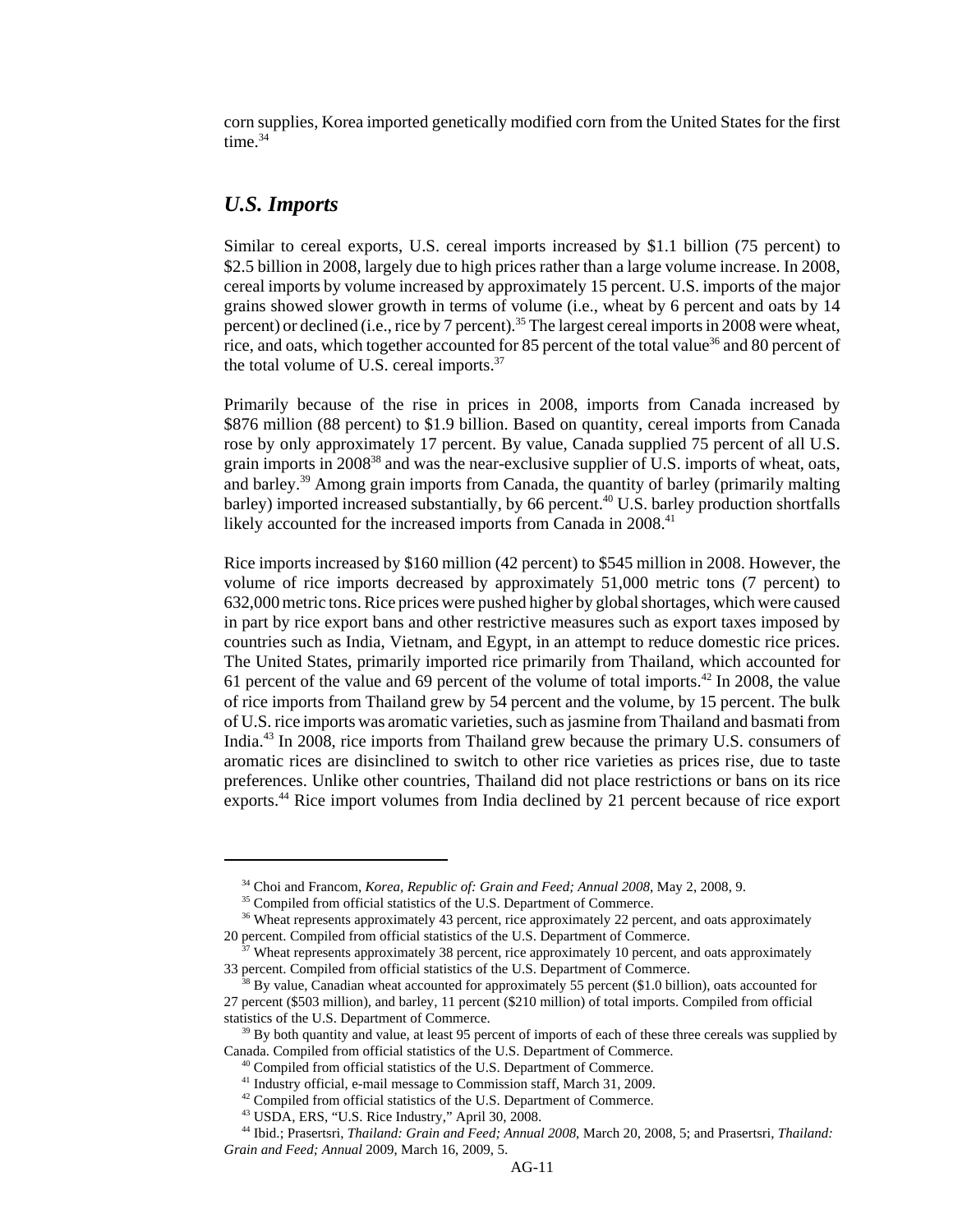corn supplies, Korea imported genetically modified corn from the United States for the first time.<sup>34</sup>

#### *U.S. Imports*

Similar to cereal exports, U.S. cereal imports increased by \$1.1 billion (75 percent) to \$2.5 billion in 2008, largely due to high prices rather than a large volume increase. In 2008, cereal imports by volume increased by approximately 15 percent. U.S. imports of the major grains showed slower growth in terms of volume (i.e., wheat by 6 percent and oats by 14 percent) or declined (i.e., rice by 7 percent).<sup>35</sup> The largest cereal imports in 2008 were wheat, rice, and oats, which together accounted for 85 percent of the total value<sup>36</sup> and 80 percent of the total volume of U.S. cereal imports.<sup>37</sup>

Primarily because of the rise in prices in 2008, imports from Canada increased by \$876 million (88 percent) to \$1.9 billion. Based on quantity, cereal imports from Canada rose by only approximately 17 percent. By value, Canada supplied 75 percent of all U.S. grain imports in 200838 and was the near-exclusive supplier of U.S. imports of wheat, oats, and barley.39 Among grain imports from Canada, the quantity of barley (primarily malting barley) imported increased substantially, by 66 percent.<sup>40</sup> U.S. barley production shortfalls likely accounted for the increased imports from Canada in 2008.<sup>41</sup>

Rice imports increased by \$160 million (42 percent) to \$545 million in 2008. However, the volume of rice imports decreased by approximately 51,000 metric tons (7 percent) to 632,000 metric tons. Rice prices were pushed higher by global shortages, which were caused in part by rice export bans and other restrictive measures such as export taxes imposed by countries such as India, Vietnam, and Egypt, in an attempt to reduce domestic rice prices. The United States, primarily imported rice primarily from Thailand, which accounted for 61 percent of the value and 69 percent of the volume of total imports.<sup>42</sup> In 2008, the value of rice imports from Thailand grew by 54 percent and the volume, by 15 percent. The bulk of U.S. rice imports was aromatic varieties, such as jasmine from Thailand and basmati from India.43 In 2008, rice imports from Thailand grew because the primary U.S. consumers of aromatic rices are disinclined to switch to other rice varieties as prices rise, due to taste preferences. Unlike other countries, Thailand did not place restrictions or bans on its rice exports.44 Rice import volumes from India declined by 21 percent because of rice export

 <sup>34</sup> Choi and Francom, *Korea, Republic of: Grain and Feed; Annual 2008*, May 2, 2008, 9.

<sup>&</sup>lt;sup>35</sup> Compiled from official statistics of the U.S. Department of Commerce.

<sup>&</sup>lt;sup>36</sup> Wheat represents approximately 43 percent, rice approximately 22 percent, and oats approximately 20 percent. Compiled from official statistics of the U.S. Department of Commerce.

 <sup>37</sup> Wheat represents approximately 38 percent, rice approximately 10 percent, and oats approximately 33 percent. Compiled from official statistics of the U.S. Department of Commerce.

 $38$  By value, Canadian wheat accounted for approximately 55 percent (\$1.0 billion), oats accounted for 27 percent (\$503 million), and barley, 11 percent (\$210 million) of total imports. Compiled from official statistics of the U.S. Department of Commerce.

<sup>&</sup>lt;sup>39</sup> By both quantity and value, at least 95 percent of imports of each of these three cereals was supplied by Canada. Compiled from official statistics of the U.S. Department of Commerce.

<sup>&</sup>lt;sup>40</sup> Compiled from official statistics of the U.S. Department of Commerce.

<sup>&</sup>lt;sup>41</sup> Industry official, e-mail message to Commission staff, March 31, 2009.

<sup>&</sup>lt;sup>42</sup> Compiled from official statistics of the U.S. Department of Commerce.

 <sup>43</sup> USDA, ERS, "U.S. Rice Industry," April 30, 2008.

 <sup>44</sup> Ibid.; Prasertsri, *Thailand: Grain and Feed; Annual 2008*, March 20, 2008, 5; and Prasertsri, *Thailand: Grain and Feed; Annual* 2009, March 16, 2009, 5.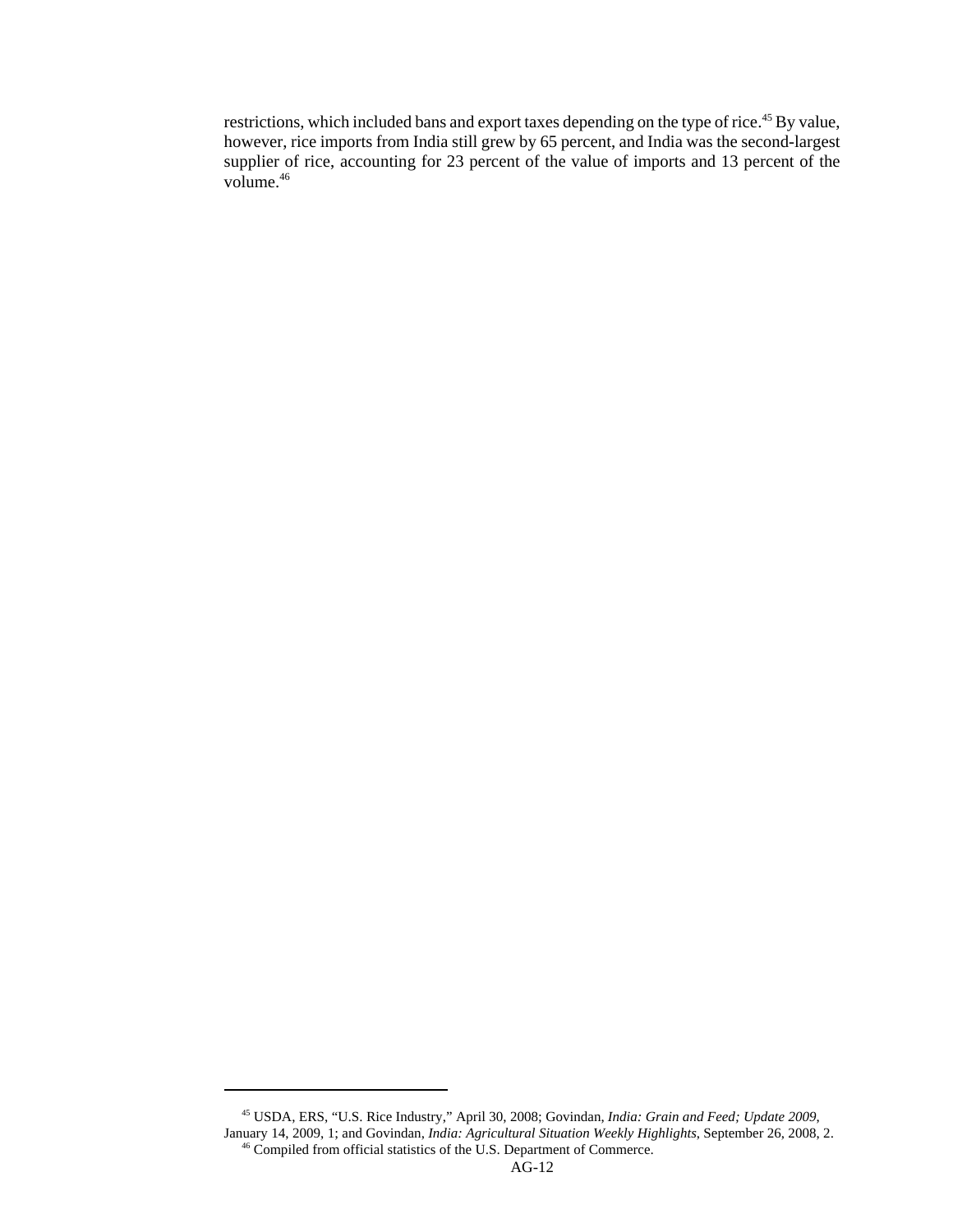restrictions, which included bans and export taxes depending on the type of rice.<sup>45</sup> By value, however, rice imports from India still grew by 65 percent, and India was the second-largest supplier of rice, accounting for 23 percent of the value of imports and 13 percent of the volume.<sup>46</sup>

 <sup>45</sup> USDA, ERS, "U.S. Rice Industry," April 30, 2008; Govindan, *India: Grain and Feed; Update 2009*, January 14, 2009, 1; and Govindan, *India: Agricultural Situation Weekly Highlights*, September 26, 2008, 2. <sup>46</sup> Compiled from official statistics of the U.S. Department of Commerce.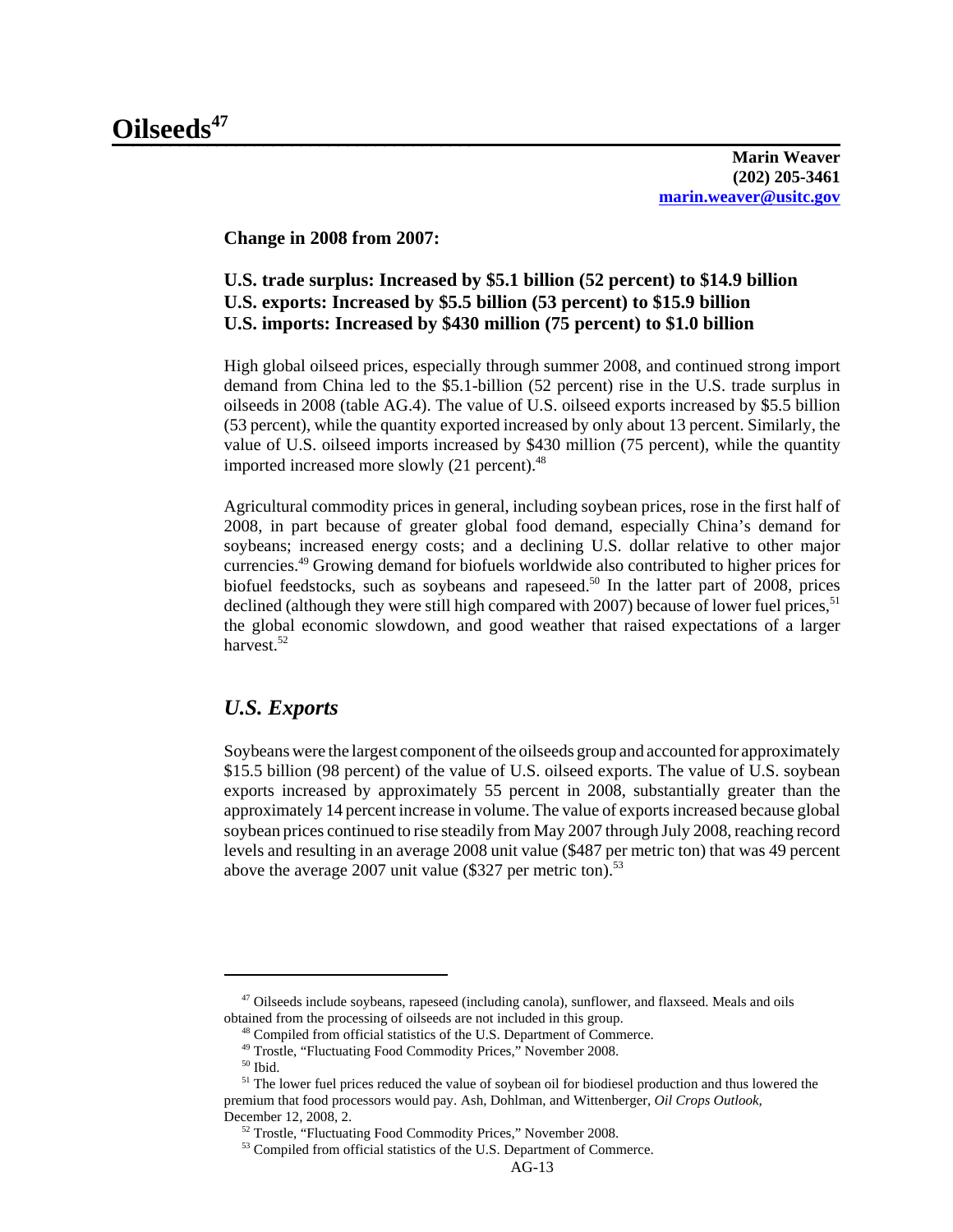**Change in 2008 from 2007:**

# **U.S. trade surplus: Increased by \$5.1 billion (52 percent) to \$14.9 billion U.S. exports: Increased by \$5.5 billion (53 percent) to \$15.9 billion U.S. imports: Increased by \$430 million (75 percent) to \$1.0 billion**

High global oilseed prices, especially through summer 2008, and continued strong import demand from China led to the \$5.1-billion (52 percent) rise in the U.S. trade surplus in oilseeds in 2008 (table AG.4). The value of U.S. oilseed exports increased by \$5.5 billion (53 percent), while the quantity exported increased by only about 13 percent. Similarly, the value of U.S. oilseed imports increased by \$430 million (75 percent), while the quantity imported increased more slowly  $(21$  percent).<sup>48</sup>

Agricultural commodity prices in general, including soybean prices, rose in the first half of 2008, in part because of greater global food demand, especially China's demand for soybeans; increased energy costs; and a declining U.S. dollar relative to other major currencies.49 Growing demand for biofuels worldwide also contributed to higher prices for biofuel feedstocks, such as soybeans and rapeseed.<sup>50</sup> In the latter part of  $2008$ , prices declined (although they were still high compared with 2007) because of lower fuel prices,  $51$ the global economic slowdown, and good weather that raised expectations of a larger harvest.<sup>52</sup>

# *U.S. Exports*

Soybeans were the largest component of the oilseeds group and accounted for approximately \$15.5 billion (98 percent) of the value of U.S. oilseed exports. The value of U.S. soybean exports increased by approximately 55 percent in 2008, substantially greater than the approximately 14 percent increase in volume. The value of exports increased because global soybean prices continued to rise steadily from May 2007 through July 2008, reaching record levels and resulting in an average 2008 unit value (\$487 per metric ton) that was 49 percent above the average 2007 unit value (\$327 per metric ton).<sup>53</sup>

 <sup>47</sup> Oilseeds include soybeans, rapeseed (including canola), sunflower, and flaxseed. Meals and oils obtained from the processing of oilseeds are not included in this group.

 <sup>48</sup> Compiled from official statistics of the U.S. Department of Commerce.

<sup>&</sup>lt;sup>49</sup> Trostle, "Fluctuating Food Commodity Prices," November 2008.

 $50$  Ibid.

<sup>&</sup>lt;sup>51</sup> The lower fuel prices reduced the value of soybean oil for biodiesel production and thus lowered the premium that food processors would pay. Ash, Dohlman, and Wittenberger, *Oil Crops Outlook,* December 12, 2008, 2.

 <sup>52</sup> Trostle, "Fluctuating Food Commodity Prices," November 2008.

<sup>53</sup> Compiled from official statistics of the U.S. Department of Commerce.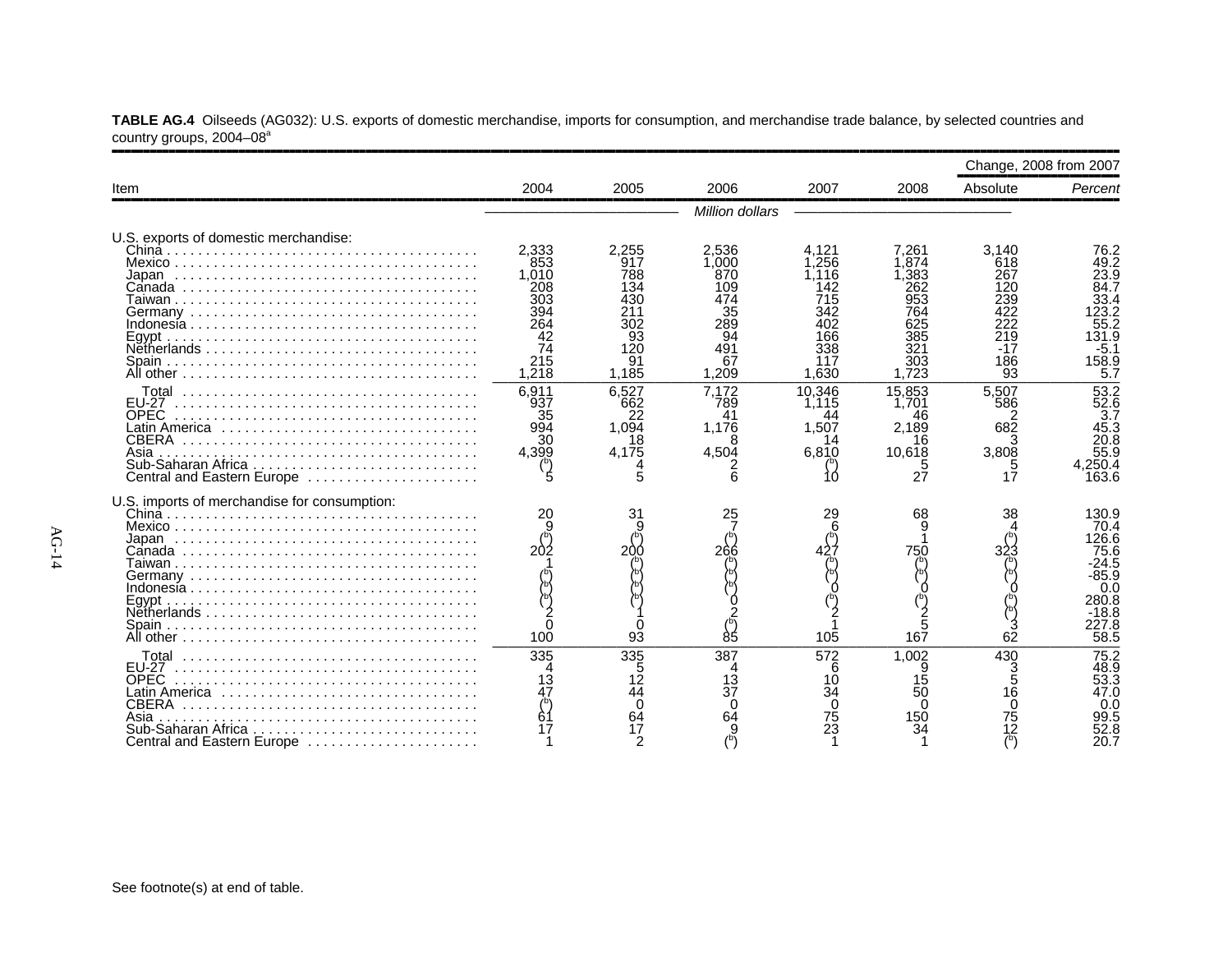|                                                                                                              |                                                                               |                                                               |                                                                              |                                                                                 |                                                                                 |                                                                            | Change, 2008 from 2007                                                                       |
|--------------------------------------------------------------------------------------------------------------|-------------------------------------------------------------------------------|---------------------------------------------------------------|------------------------------------------------------------------------------|---------------------------------------------------------------------------------|---------------------------------------------------------------------------------|----------------------------------------------------------------------------|----------------------------------------------------------------------------------------------|
| Item                                                                                                         | 2004                                                                          | 2005                                                          | 2006                                                                         | 2007                                                                            | 2008                                                                            | Absolute                                                                   | Percent                                                                                      |
|                                                                                                              |                                                                               |                                                               | Million dollars                                                              |                                                                                 |                                                                                 |                                                                            |                                                                                              |
| U.S. exports of domestic merchandise:<br>All other $\ldots \ldots \ldots \ldots \ldots \ldots \ldots \ldots$ | 2.333<br>853<br>1.010<br>208<br>303<br>394<br>264<br>42<br>74<br>215<br>1.218 | 2,255<br>917<br>788<br>134<br>302<br>93<br>120<br>91<br>1.185 | 2,536<br>1.000<br>870<br>109<br>474<br>35<br>289<br>94<br>491<br>67<br>1.209 | 4.121<br>.256<br>.116<br>142<br>715<br>342<br>402<br>166<br>338<br>117<br>1.630 | 7.261<br>.874<br>.383<br>262<br>953<br>764<br>625<br>385<br>321<br>303<br>1.723 | 3.140<br>618<br>267<br>120<br>239<br>122<br>222<br>219<br>-17<br>186<br>93 | 76.2<br>49.2<br>23.9<br>84.7<br>33.4<br>23.2<br>55.2<br>131.9<br>$-5.1$<br>158.9<br>5.7      |
| OPEC<br>Latin America<br>CBERA<br>Asia<br>Central and Eastern Europe                                         | 6.911<br>937<br>35<br>994<br>30<br>4.399                                      | 6.527<br>662<br>22<br>1,094<br>18<br>4,175<br>5               | 7.172<br>789<br>41<br>1,176<br>4,504                                         | 10.346<br>1.115<br>1,507<br>14<br>6,810                                         | 15.853<br>1.701<br>46<br>2,189<br>16<br>10,618<br>27                            | 5.507<br>586<br>682<br>3<br>3,808<br>5<br>17                               | 53.2<br>52.6<br>3.7<br>45.3<br>20.8<br>55.9<br>250.4,ا<br>163.6                              |
| U.S. imports of merchandise for consumption:                                                                 | 20<br>202<br>100                                                              | 31<br>200<br>93                                               | 25<br>266<br>85                                                              | 29<br>105                                                                       | 68<br>750<br>167                                                                | 38<br>$\frac{3}{62}$                                                       | 130.9<br>70.4<br>126.6<br>75.6<br>-24.5<br>$-85.9$<br>0.0<br>280.8<br>-18.8<br>227.8<br>58.5 |
| <b>EU-27</b><br><b>OPEC</b><br>CBERA<br>Asia<br>Sub-Saharan Africa<br>Central and Eastern Europe             | 335<br>13<br>47<br>61                                                         | 335<br>5<br>12<br>44<br>$\Omega$<br>64<br>17<br>2             | 387<br>13<br>37<br>∩<br>64                                                   | 572<br>6<br>10<br>34<br><sup>0</sup><br>75<br>23                                | 1.002<br>15<br>50<br>150                                                        | 430<br>3<br>$\overline{5}$<br>$1\bar{6}$<br>$\Omega$<br>75<br>12           | 75.2<br>48.9<br>$53.\overline{3}$<br>47.0<br>0.0<br>99.5<br>52.8<br>20.7                     |

**TABLE AG.4** Oilseeds (AG032): U.S. exports of domestic merchandise, imports for consumption, and merchandise trade balance, by selected countries and country groups, 2004–08ª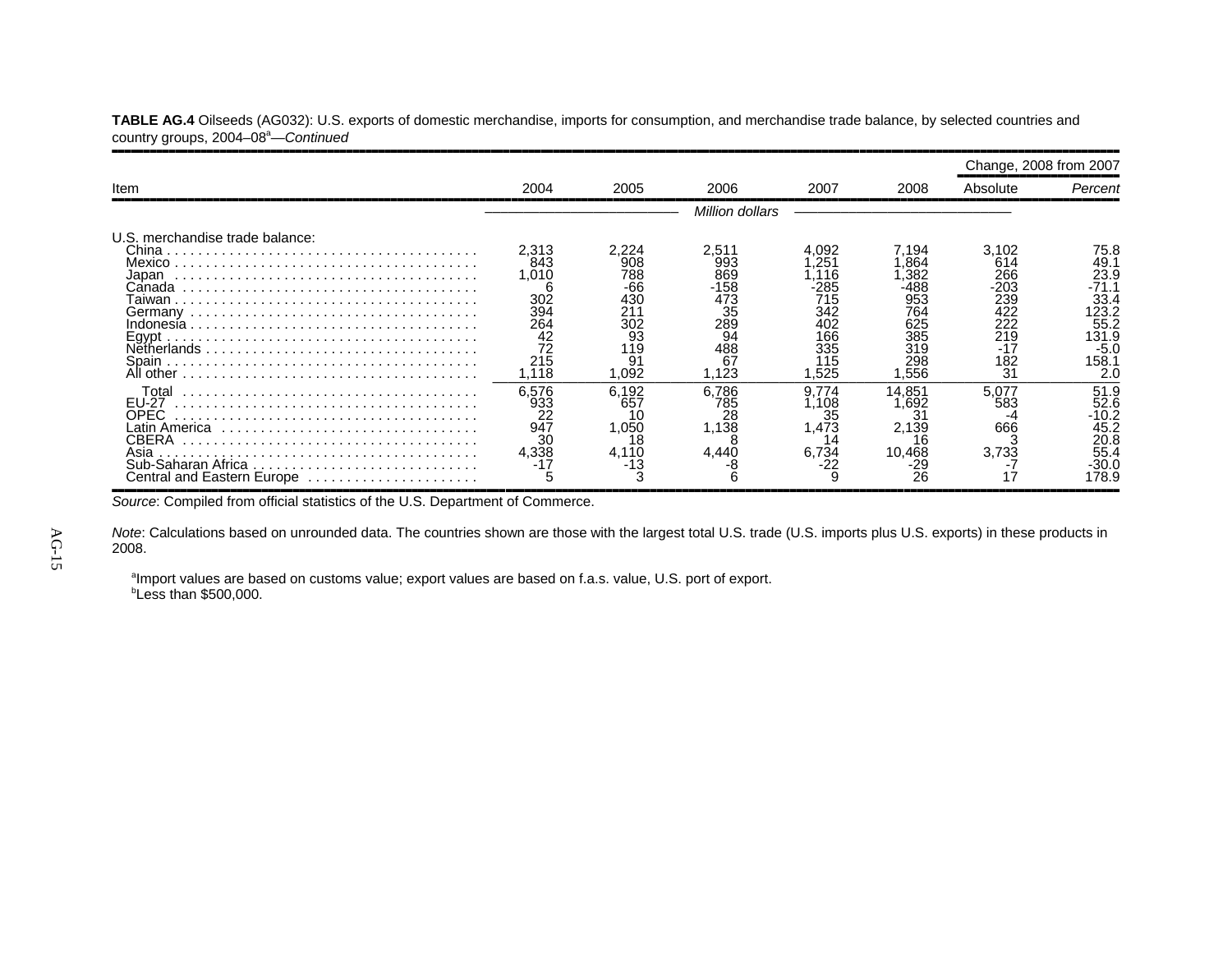|                                                                                                              |                                                                       |                                                                             |                                                                               |                                                                              |                                                                                 | Change, 2008 from 2007                                                        |                                                                                           |
|--------------------------------------------------------------------------------------------------------------|-----------------------------------------------------------------------|-----------------------------------------------------------------------------|-------------------------------------------------------------------------------|------------------------------------------------------------------------------|---------------------------------------------------------------------------------|-------------------------------------------------------------------------------|-------------------------------------------------------------------------------------------|
| Item                                                                                                         | 2004                                                                  | 2005                                                                        | 2006                                                                          | 2007                                                                         | 2008                                                                            | Absolute                                                                      | Percent                                                                                   |
|                                                                                                              |                                                                       |                                                                             | Million dollars                                                               |                                                                              |                                                                                 |                                                                               |                                                                                           |
| U.S. merchandise trade balance:<br>Mexico<br>Japan<br>Canada<br>. aiwan<br>Eavpt<br>Netherlands<br>All other | 2,313<br>843<br>1,010<br>302<br>394<br>264<br>42<br>72<br>215<br>.118 | 2.224<br>908<br>788<br>-66<br>430<br>211<br>302<br>93<br>119<br>91<br>1,092 | 2,511<br>993<br>869<br>$-158$<br>473<br>35<br>289<br>94<br>488<br>67<br>1,123 | 4.092<br>251<br>116<br>285<br>715<br>342<br>402<br>166<br>335<br>115<br>.525 | 7.194<br>.864<br>.382<br>·488<br>953<br>764<br>625<br>385<br>319<br>298<br>.556 | 3,102<br>614<br>266<br>$-203$<br>239<br>422<br>222<br>219<br>-17<br>182<br>31 | 75.8<br>49.1<br>23.9<br>-71.1<br>33.4<br>123.2<br>55.2<br>131.9<br>$-5.0$<br>158.1<br>2.0 |
| Total<br>EU-27<br>OPEC<br>Latin America<br>CBERA<br>Asia<br>Central and Eastern Europe                       | 6,576<br>933<br>22<br>947<br>30<br>4,338                              | 6,192<br>657<br>1,050<br>18<br>4.110<br>-13                                 | 6,786<br>785<br>28<br>1,138<br>4.440                                          | 9.774<br>.108<br>35<br>473. ا<br>14<br>6,734<br>-22                          | 14,851<br>.692<br>2,139<br>Iĥ<br>10.468<br>-29<br>26                            | 5.077<br>583<br>666<br>3.733                                                  | 51.9<br>52.6<br>-10.2<br>45.2<br>20.8<br>55.4<br>-30.0<br>178.9                           |

**TABLE AG.4** Oilseeds (AG032): U.S. exports of domestic merchandise, imports for consumption, and merchandise trade balance, by selected countries and country groups, 2004-08<sup>a</sup>-Continued

Source: Compiled from official statistics of the U.S. Department of Commerce.

*Note*: Calculations based on unrounded data. The countries shown are those with the largest total U.S. trade (U.S. imports plus U.S. exports) in these products in 2008.

<sup>a</sup>Import values are based on customs value; export values are based on f.a.s. value, U.S. port of export. *b***Less than \$500,000.**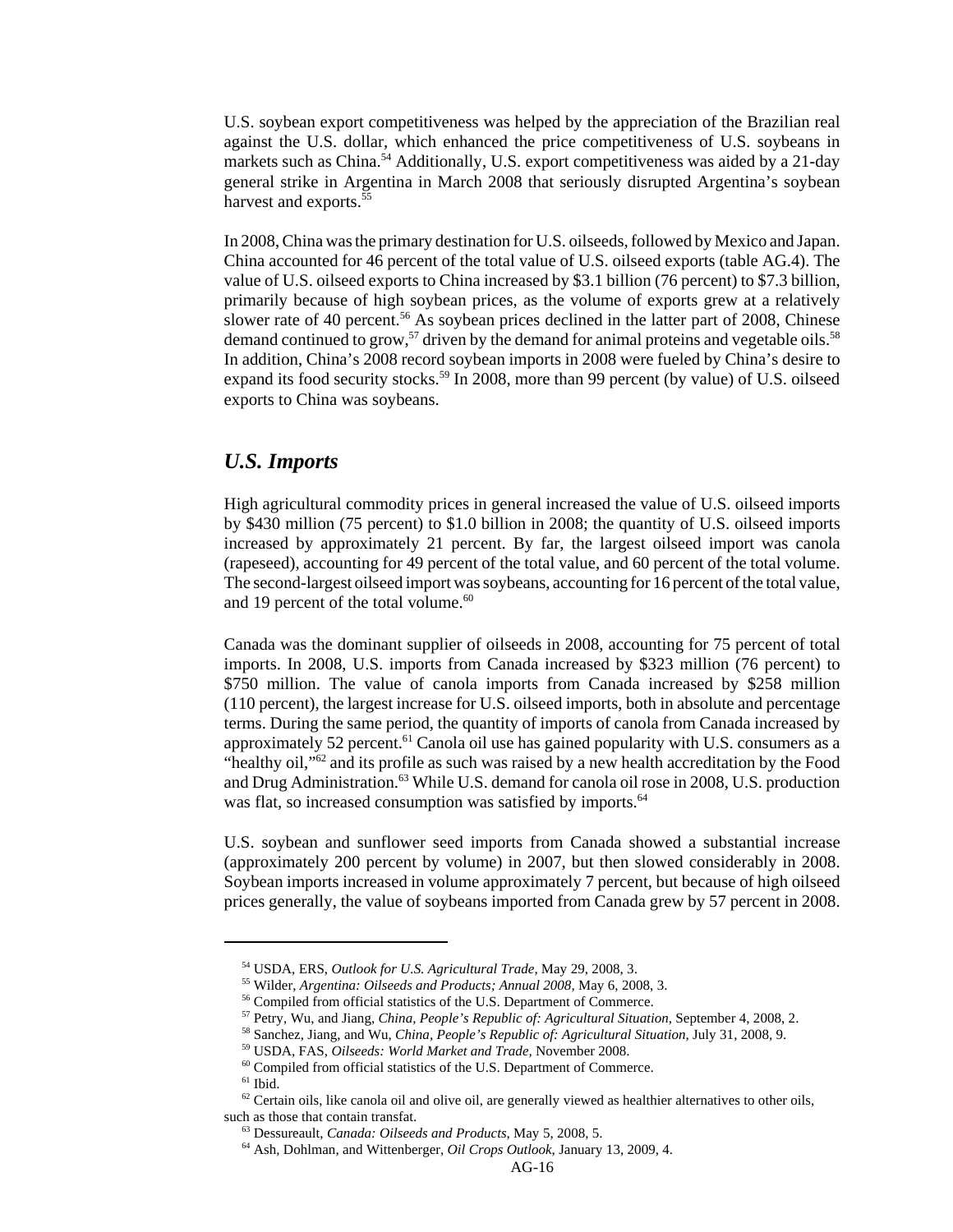U.S. soybean export competitiveness was helped by the appreciation of the Brazilian real against the U.S. dollar, which enhanced the price competitiveness of U.S. soybeans in markets such as China.<sup>54</sup> Additionally, U.S. export competitiveness was aided by a 21-day general strike in Argentina in March 2008 that seriously disrupted Argentina's soybean harvest and exports.<sup>55</sup>

In 2008, China was the primary destination for U.S. oilseeds, followed by Mexico and Japan. China accounted for 46 percent of the total value of U.S. oilseed exports (table AG.4). The value of U.S. oilseed exports to China increased by \$3.1 billion (76 percent) to \$7.3 billion, primarily because of high soybean prices, as the volume of exports grew at a relatively slower rate of 40 percent.<sup>56</sup> As soybean prices declined in the latter part of 2008, Chinese demand continued to grow,<sup>57</sup> driven by the demand for animal proteins and vegetable oils.<sup>58</sup> In addition, China's 2008 record soybean imports in 2008 were fueled by China's desire to expand its food security stocks.<sup>59</sup> In 2008, more than 99 percent (by value) of U.S. oilseed exports to China was soybeans.

#### *U.S. Imports*

High agricultural commodity prices in general increased the value of U.S. oilseed imports by \$430 million (75 percent) to \$1.0 billion in 2008; the quantity of U.S. oilseed imports increased by approximately 21 percent. By far, the largest oilseed import was canola (rapeseed), accounting for 49 percent of the total value, and 60 percent of the total volume. The second-largest oilseed import was soybeans, accounting for 16 percent of the total value, and 19 percent of the total volume.<sup>60</sup>

Canada was the dominant supplier of oilseeds in 2008, accounting for 75 percent of total imports. In 2008, U.S. imports from Canada increased by \$323 million (76 percent) to \$750 million. The value of canola imports from Canada increased by \$258 million (110 percent), the largest increase for U.S. oilseed imports, both in absolute and percentage terms. During the same period, the quantity of imports of canola from Canada increased by approximately 52 percent. $61$  Canola oil use has gained popularity with U.S. consumers as a "healthy oil,"62 and its profile as such was raised by a new health accreditation by the Food and Drug Administration.<sup>63</sup> While U.S. demand for canola oil rose in 2008, U.S. production was flat, so increased consumption was satisfied by imports.<sup>64</sup>

U.S. soybean and sunflower seed imports from Canada showed a substantial increase (approximately 200 percent by volume) in 2007, but then slowed considerably in 2008. Soybean imports increased in volume approximately 7 percent, but because of high oilseed prices generally, the value of soybeans imported from Canada grew by 57 percent in 2008.

 <sup>54</sup> USDA, ERS, *Outlook for U.S. Agricultural Trade,* May 29, 2008, 3.

 <sup>55</sup> Wilder, *Argentina: Oilseeds and Products; Annual 2008,* May 6, 2008, 3.

<sup>&</sup>lt;sup>56</sup> Compiled from official statistics of the U.S. Department of Commerce.

 <sup>57</sup> Petry, Wu, and Jiang, *China, People's Republic of: Agricultural Situation*, September 4, 2008, 2.

 <sup>58</sup> Sanchez, Jiang, and Wu, *China, People's Republic of: Agricultural Situation,* July 31, 2008, 9.

 <sup>59</sup> USDA, FAS, *Oilseeds: World Market and Trade,* November 2008.

 <sup>60</sup> Compiled from official statistics of the U.S. Department of Commerce.

 $61$  Ibid.

 $62$  Certain oils, like canola oil and olive oil, are generally viewed as healthier alternatives to other oils, such as those that contain transfat.

 <sup>63</sup> Dessureault, *Canada: Oilseeds and Products,* May 5, 2008, 5.

 <sup>64</sup> Ash, Dohlman, and Wittenberger, *Oil Crops Outlook*, January 13, 2009, 4.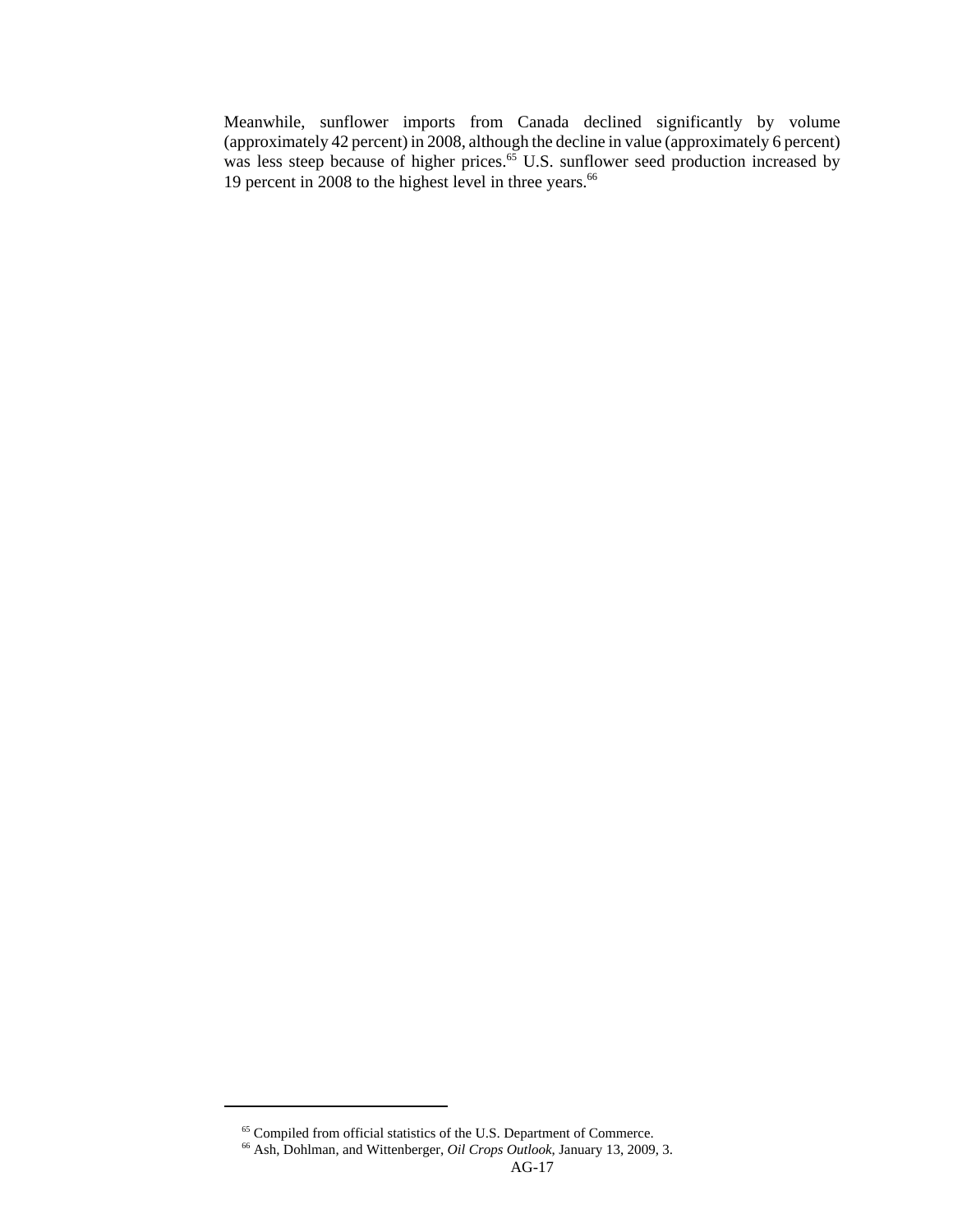Meanwhile, sunflower imports from Canada declined significantly by volume (approximately 42 percent) in 2008, although the decline in value (approximately 6 percent) was less steep because of higher prices.<sup>65</sup> U.S. sunflower seed production increased by 19 percent in 2008 to the highest level in three years.<sup>66</sup>

<sup>&</sup>lt;sup>65</sup> Compiled from official statistics of the U.S. Department of Commerce.

 <sup>66</sup> Ash, Dohlman, and Wittenberger, *Oil Crops Outlook*, January 13, 2009, 3.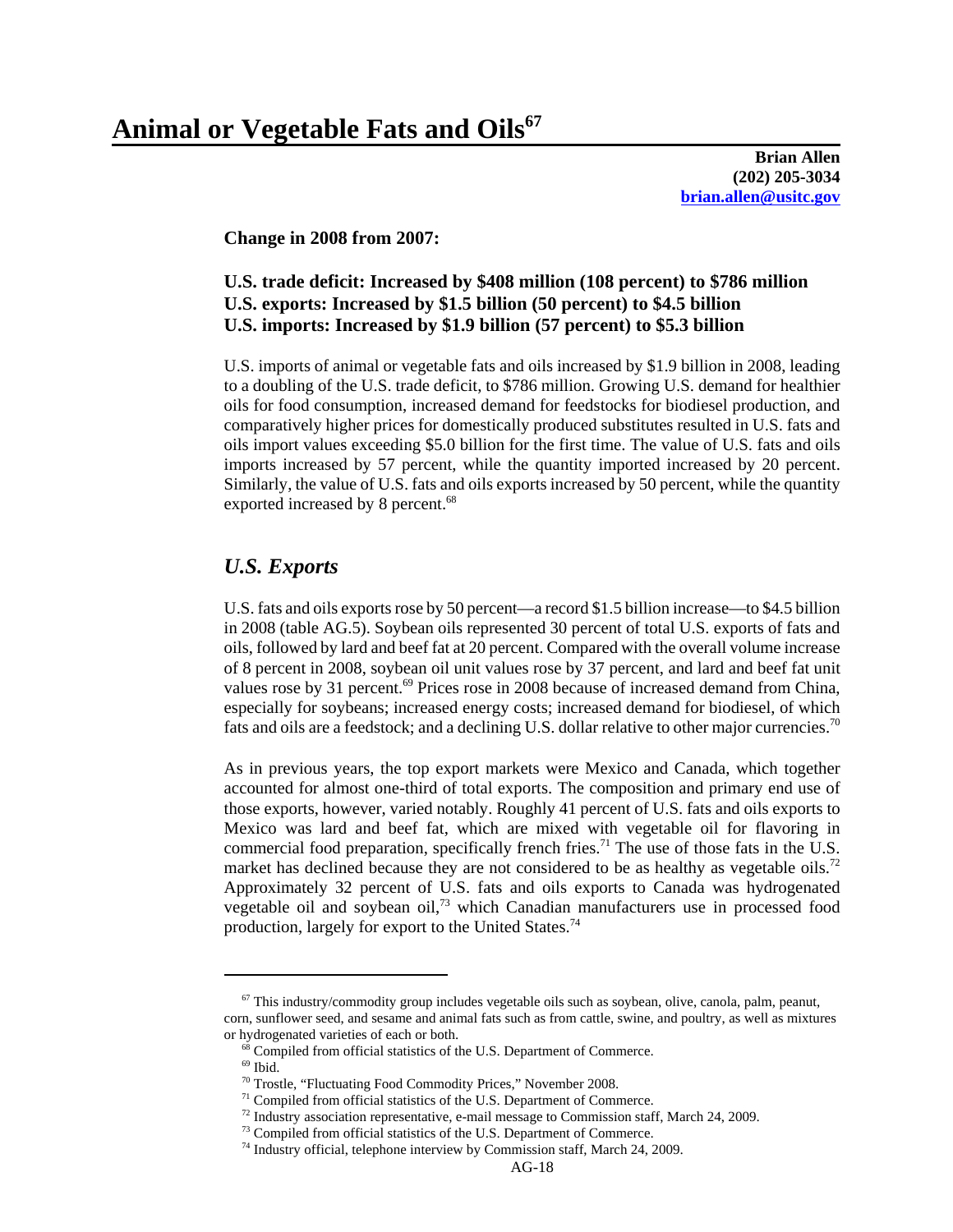**Brian Allen (202) 205-3034 brian.allen@usitc.gov**

**Change in 2008 from 2007:**

#### **U.S. trade deficit: Increased by \$408 million (108 percent) to \$786 million U.S. exports: Increased by \$1.5 billion (50 percent) to \$4.5 billion U.S. imports: Increased by \$1.9 billion (57 percent) to \$5.3 billion**

U.S. imports of animal or vegetable fats and oils increased by \$1.9 billion in 2008, leading to a doubling of the U.S. trade deficit, to \$786 million. Growing U.S. demand for healthier oils for food consumption, increased demand for feedstocks for biodiesel production, and comparatively higher prices for domestically produced substitutes resulted in U.S. fats and oils import values exceeding \$5.0 billion for the first time. The value of U.S. fats and oils imports increased by 57 percent, while the quantity imported increased by 20 percent. Similarly, the value of U.S. fats and oils exports increased by 50 percent, while the quantity exported increased by 8 percent.<sup>68</sup>

#### *U.S. Exports*

U.S. fats and oils exports rose by 50 percent—a record \$1.5 billion increase—to \$4.5 billion in 2008 (table AG.5). Soybean oils represented 30 percent of total U.S. exports of fats and oils, followed by lard and beef fat at 20 percent. Compared with the overall volume increase of 8 percent in 2008, soybean oil unit values rose by 37 percent, and lard and beef fat unit values rose by 31 percent.<sup>69</sup> Prices rose in 2008 because of increased demand from China, especially for soybeans; increased energy costs; increased demand for biodiesel, of which fats and oils are a feedstock; and a declining U.S. dollar relative to other major currencies.<sup>70</sup>

As in previous years, the top export markets were Mexico and Canada, which together accounted for almost one-third of total exports. The composition and primary end use of those exports, however, varied notably. Roughly 41 percent of U.S. fats and oils exports to Mexico was lard and beef fat, which are mixed with vegetable oil for flavoring in commercial food preparation, specifically french fries.<sup>71</sup> The use of those fats in the U.S. market has declined because they are not considered to be as healthy as vegetable oils.<sup>72</sup> Approximately 32 percent of U.S. fats and oils exports to Canada was hydrogenated vegetable oil and soybean oil, $73$  which Canadian manufacturers use in processed food production, largely for export to the United States.74

 $67$  This industry/commodity group includes vegetable oils such as soybean, olive, canola, palm, peanut, corn, sunflower seed, and sesame and animal fats such as from cattle, swine, and poultry, as well as mixtures or hydrogenated varieties of each or both.

 <sup>68</sup> Compiled from official statistics of the U.S. Department of Commerce.

 $^{69}$  Ibid.

 <sup>70</sup> Trostle, "Fluctuating Food Commodity Prices," November 2008.

 $71$  Compiled from official statistics of the U.S. Department of Commerce.

 $72$  Industry association representative, e-mail message to Commission staff, March 24, 2009.

<sup>&</sup>lt;sup>73</sup> Compiled from official statistics of the U.S. Department of Commerce.

<sup>&</sup>lt;sup>74</sup> Industry official, telephone interview by Commission staff, March 24, 2009.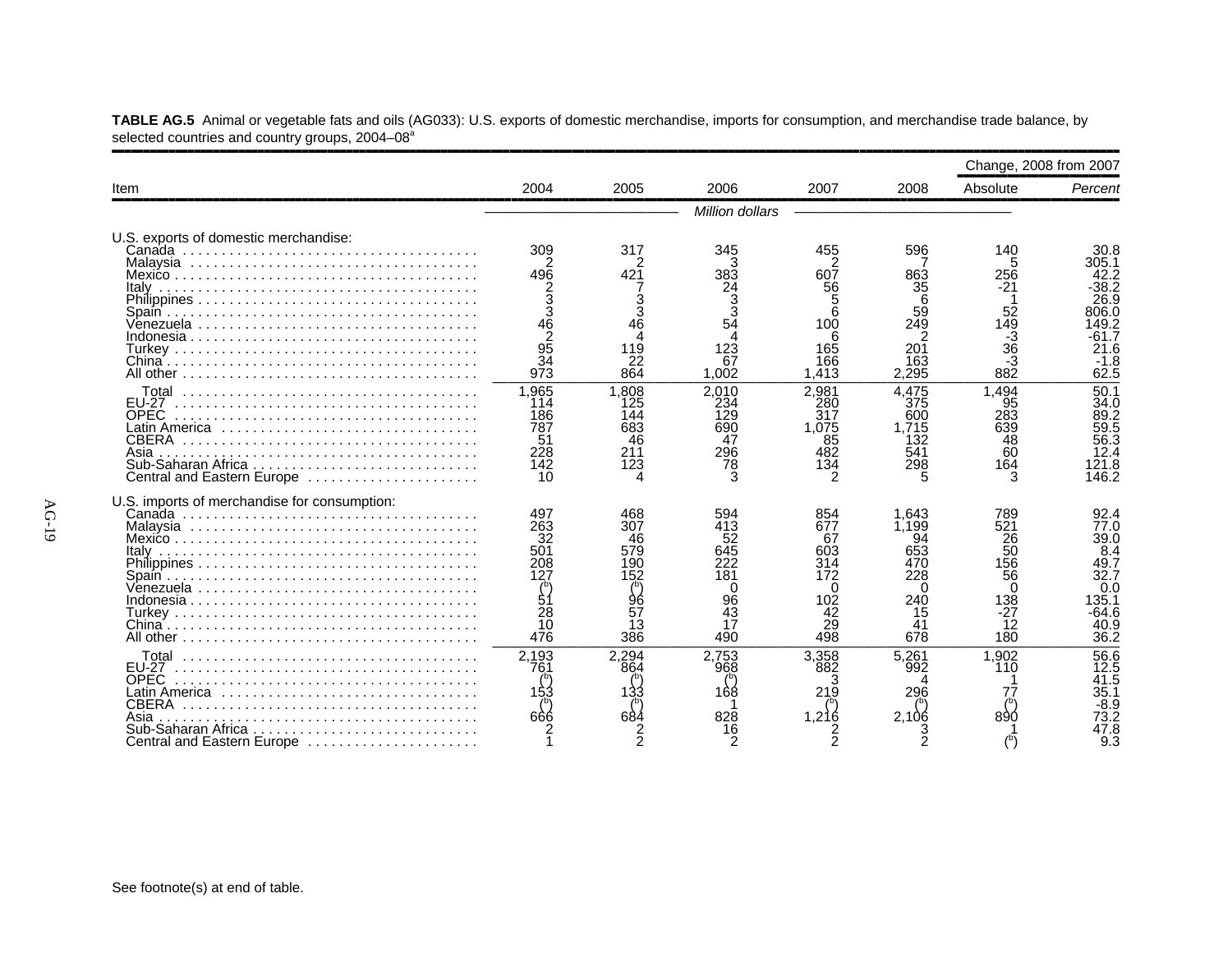|                                                                                                                                                                      |                                                                             |                                                                |                                                                     |                                                                      |                                                                          |                                                                           | Change, 2008 from 2007                                                               |
|----------------------------------------------------------------------------------------------------------------------------------------------------------------------|-----------------------------------------------------------------------------|----------------------------------------------------------------|---------------------------------------------------------------------|----------------------------------------------------------------------|--------------------------------------------------------------------------|---------------------------------------------------------------------------|--------------------------------------------------------------------------------------|
| Item                                                                                                                                                                 | 2004                                                                        | 2005                                                           | 2006                                                                | 2007                                                                 | 2008                                                                     | Absolute                                                                  | Percent                                                                              |
|                                                                                                                                                                      |                                                                             |                                                                | Million dollars                                                     |                                                                      |                                                                          |                                                                           |                                                                                      |
| U.S. exports of domestic merchandise:<br>Italv                                                                                                                       | 309<br>496                                                                  | 317<br>421<br>$\frac{3}{3}$                                    | 345<br>383                                                          | 455<br>607<br>56                                                     | 596<br>863<br>35                                                         | 140<br>256<br>-21                                                         | 30.8<br>305.1<br>42.2<br>$-38.2$<br>26.9                                             |
|                                                                                                                                                                      | $\frac{46}{95}$<br>$\overline{34}$<br>973                                   | 46<br>Λ<br>119<br>22<br>864                                    | 123<br>67<br>1.002                                                  | 6<br>100<br>165<br>166<br>1,413                                      | 59<br>249<br>2<br>201<br>163<br>2,295                                    | $\begin{array}{c} 52 \\ 149 \\ -3 \\ 36 \end{array}$<br>-3<br>$88\bar{2}$ | 306.0<br>149.2<br>61.7<br>21.6<br>$-1.8$<br>62.5                                     |
| Total<br><b>EU-27</b><br><b>OPEC</b><br>CBERA<br>Asia<br>Central and Eastern Europe                                                                                  | 1,965<br>114<br>186<br>787<br>51<br>228<br>142<br>10                        | 1.808<br>125<br>144<br>683<br>46<br>211<br>123                 | 2.010<br>234<br>129<br>690<br>47<br>296<br>78<br>3                  | 2.981<br>280<br>317<br>1.075<br>85<br>482<br>134                     | 4.475<br>375<br>600<br>1.715<br>132<br>541<br>298                        | 1,494<br>95<br>283<br>639<br>48<br>60<br>164<br>3                         | 50.1<br>34.0<br>89.2<br>89.2<br>59.5<br>56.3<br>12.4<br>121.8<br>146.2               |
| U.S. imports of merchandise for consumption:<br>Italv<br>Venezuela                                                                                                   | 497<br>263<br>32<br>501<br>208<br>127<br>$\int_{51}^{b}$<br>28<br>10<br>476 | 468<br>307<br>46<br>579<br>190<br>152<br>96<br>57<br>13<br>386 | 594<br>413<br>52<br>645<br>222<br>181<br>0<br>96<br>43<br>17<br>490 | 854<br>677<br>67<br>603<br>314<br>172<br>0<br>102<br>42<br>29<br>498 | 1.643<br>1.199<br>94<br>653<br>470<br>228<br>0<br>240<br>15<br>41<br>678 | 789<br>521<br>26<br>50<br>156<br>56<br>0<br>138<br>$-27$<br>12<br>180     | 92.4<br>77.0<br>39.0<br>8.4<br>49.7<br>32.7<br>0.0<br>135.1<br>-64.6<br>40.9<br>36.2 |
| <b>FU-27</b><br><b>OPEC</b><br>Latin America $\ldots \ldots \ldots \ldots \ldots \ldots$<br><b>CBERA</b><br>Asia<br>Sub-Saharan Africa<br>Central and Eastern Europe | 2,193<br>761<br>153<br>666                                                  | 2.294<br>864<br>133<br>684                                     | 2,753<br>968<br>168<br>828                                          | 3.358<br>882<br>3<br>219<br>1,216                                    | 5.261<br>992<br>296<br>2,106                                             | 1.902<br>110<br>77<br>890                                                 | 56.6<br>12.5<br>41.5<br>35.1<br>-8.9<br>73.2<br>47.8<br>9.3                          |

**TABLE AG.5** Animal or vegetable fats and oils (AG033): U.S. exports of domestic merchandise, imports for consumption, and merchandise trade balance, by selected countries and country groups, 2004–08<sup>a</sup>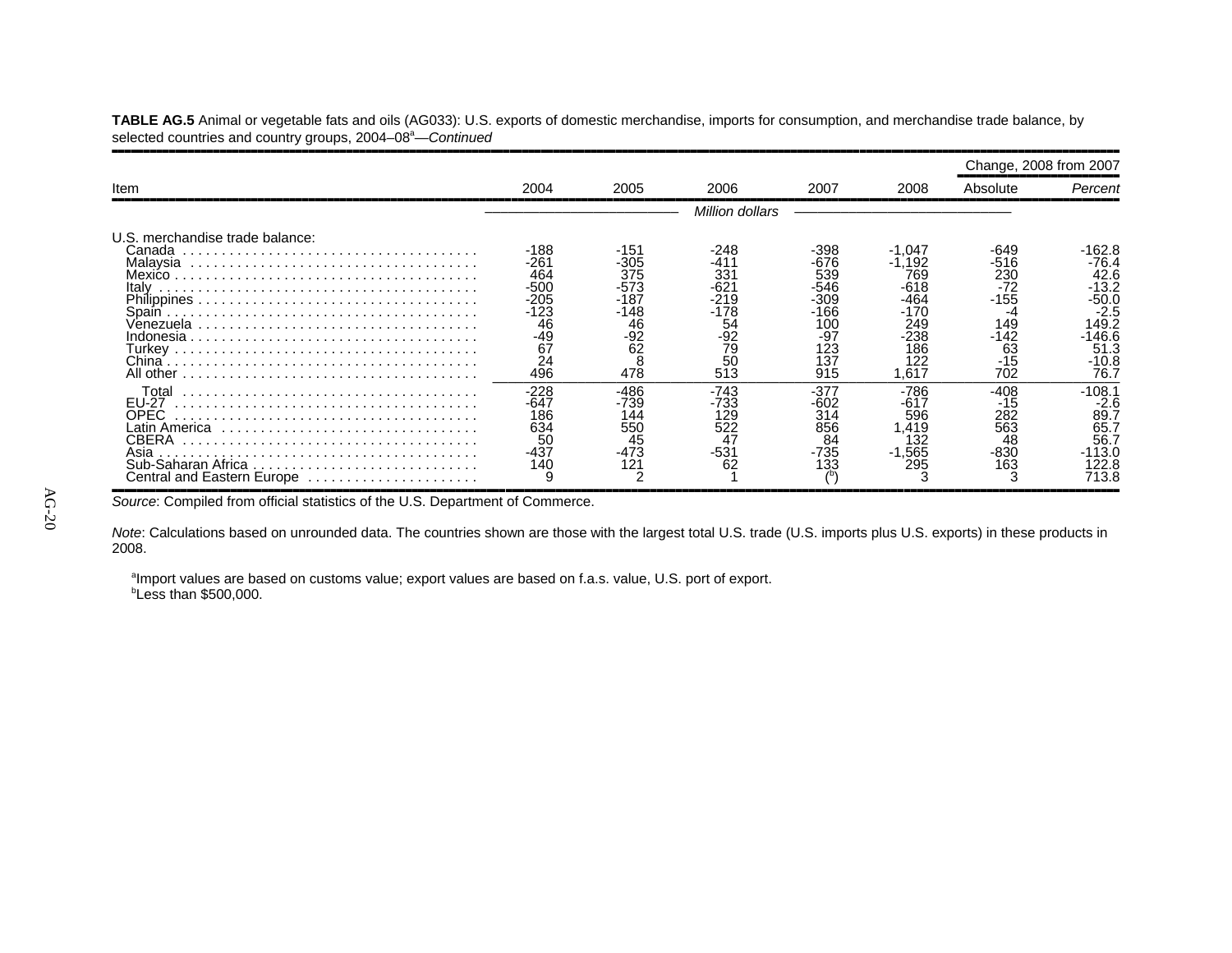**TABLE AG.5** Animal or vegetable fats and oils (AG033): U.S. exports of domestic merchandise, imports for consumption, and merchandise trade balance, by selected countries and country groups, 2004–08<sup>a</sup>—*Continued* ,,,,,,,,,,,,,,,,,,,,,,,,,,,,,,,,,,,,,,,,,,,,,,,,,,,,,,,,,,,,,,,,,,,,,,,,,,,,,,,,,,,,,,,,,,,,,,,,,,,,,,,,,,,,,,,,,,,,,,,,,,,,,,,,,,,,,,,,,,,,,,,,,,,,,,,,,,,,,,,,

|                                                                                            |                                                                                   |                                                                       |                                                                                 |                                                                               |                                                                                                 | Change, 2008 from 2007                                                            |                                                                                                     |
|--------------------------------------------------------------------------------------------|-----------------------------------------------------------------------------------|-----------------------------------------------------------------------|---------------------------------------------------------------------------------|-------------------------------------------------------------------------------|-------------------------------------------------------------------------------------------------|-----------------------------------------------------------------------------------|-----------------------------------------------------------------------------------------------------|
| Item                                                                                       | 2004                                                                              | 2005                                                                  | 2006                                                                            | 2007                                                                          | 2008                                                                                            | Absolute                                                                          | Percent                                                                                             |
|                                                                                            |                                                                                   |                                                                       | Million dollars                                                                 |                                                                               |                                                                                                 |                                                                                   |                                                                                                     |
| U.S. merchandise trade balance:<br>Canada<br>Italv<br>All other                            | $-188$<br>-261<br>464<br>$-500$<br>-205<br>$-123$<br>46<br>-49<br>67<br>24<br>496 | -151<br>-305<br>375<br>-573<br>-187<br>-148<br>46<br>-92<br>62<br>478 | -248<br>-411<br>331<br>-621<br>$-219$<br>-178<br>54<br>$-92$<br>79<br>50<br>513 | -398<br>-676<br>539<br>-546<br>-309<br>166<br>100<br>-97<br>123<br>137<br>915 | $-1,047$<br>$\, .192 \,$<br>769<br>$-618$<br>-464<br>-170<br>249<br>-238<br>186<br>122<br>1,617 | -649<br>-516<br>230<br>$-72$<br>$-155$<br>-4<br>149<br>-142<br>63<br>$-15$<br>702 | ·162.8<br>$-76.4$<br>42.6<br>-13.2<br>-50.0<br>$-2.5$<br>149.2<br>$-146.6$<br>51.3<br>-10.8<br>76.7 |
| Total<br><b>EU-27</b><br>OPEC<br>CBERA<br>Sub-Saharan Africa<br>Central and Eastern Europe | $-228$<br>-647<br>186<br>634<br>50<br>-437<br>140                                 | -486<br>-739<br>144<br>550<br>45<br>$-473$<br>121                     | -743<br>-733<br>129<br>522<br>47<br>-531<br>62                                  | $-377$<br>-602<br>314<br>856<br>84<br>-735<br>133                             | -786<br>$-617$<br>596<br>.419<br>132<br>$-1,565$<br>295                                         | -408<br>-15<br>282<br>563<br>48<br>-830<br>163                                    | $-108.1$<br>$-2.6$<br>89.7<br>65.7<br>56.7<br>$-113.0$<br>22.8<br>713.8                             |

Source: Compiled from official statistics of the U.S. Department of Commerce.

*Note*: Calculations based on unrounded data. The countries shown are those with the largest total U.S. trade (U.S. imports plus U.S. exports) in these products in 2008.

<sup>a</sup>Import values are based on customs value; export values are based on f.a.s. value, U.S. port of export. *b***Less than \$500,000.**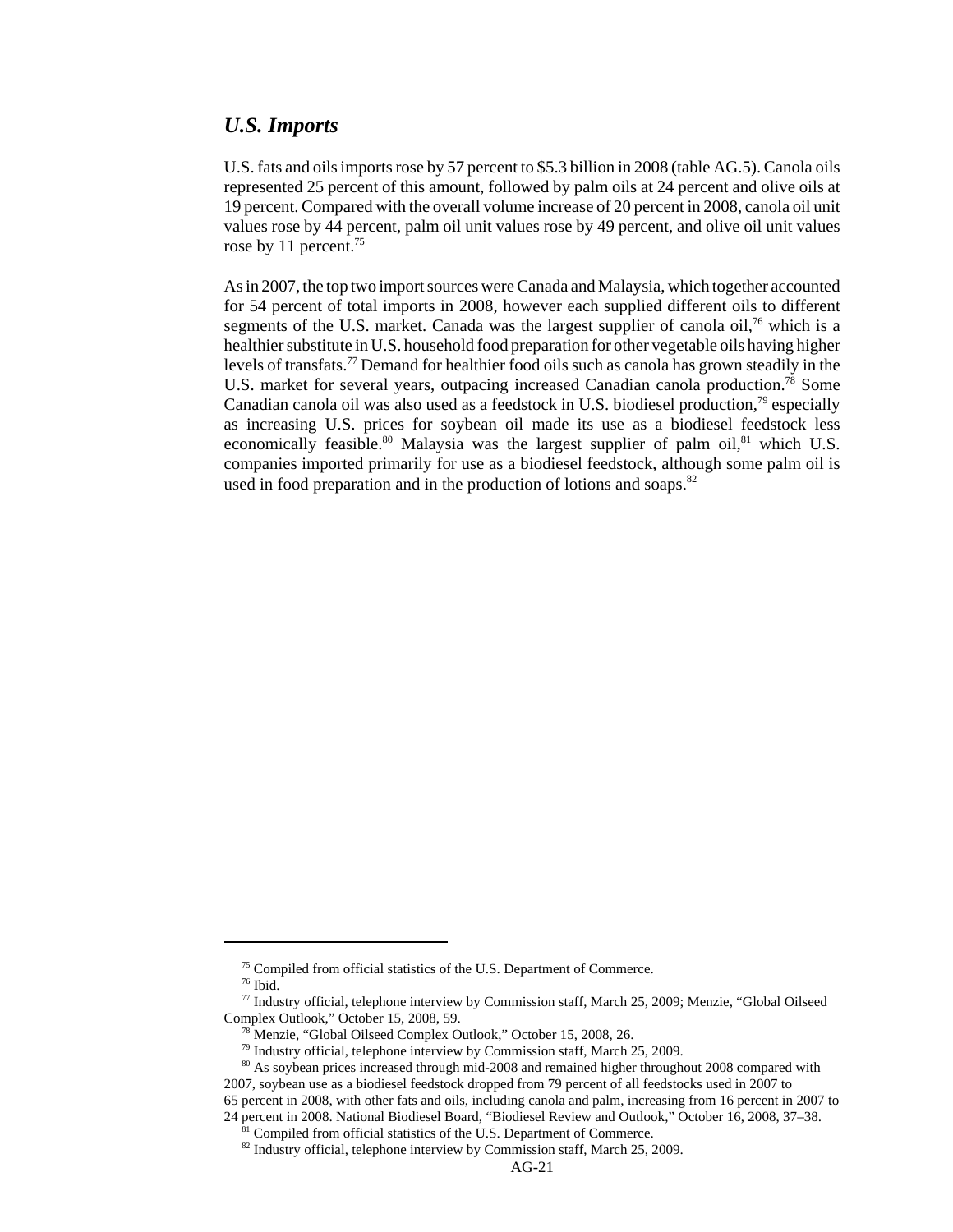#### *U.S. Imports*

U.S. fats and oils imports rose by 57 percent to \$5.3 billion in 2008 (table AG.5). Canola oils represented 25 percent of this amount, followed by palm oils at 24 percent and olive oils at 19 percent. Compared with the overall volume increase of 20 percent in 2008, canola oil unit values rose by 44 percent, palm oil unit values rose by 49 percent, and olive oil unit values rose by 11 percent.<sup>75</sup>

As in 2007, the top two import sources were Canada and Malaysia, which together accounted for 54 percent of total imports in 2008, however each supplied different oils to different segments of the U.S. market. Canada was the largest supplier of canola oil,<sup>76</sup> which is a healthier substitute in U.S. household food preparation for other vegetable oils having higher levels of transfats.77 Demand for healthier food oils such as canola has grown steadily in the U.S. market for several years, outpacing increased Canadian canola production.<sup>78</sup> Some Canadian canola oil was also used as a feedstock in U.S. biodiesel production,<sup>79</sup> especially as increasing U.S. prices for soybean oil made its use as a biodiesel feedstock less economically feasible.<sup>80</sup> Malaysia was the largest supplier of palm oil,<sup>81</sup> which U.S. companies imported primarily for use as a biodiesel feedstock, although some palm oil is used in food preparation and in the production of lotions and soaps.<sup>82</sup>

<sup>&</sup>lt;sup>75</sup> Compiled from official statistics of the U.S. Department of Commerce.

 $^{76}$  Ibid.

 <sup>77</sup> Industry official, telephone interview by Commission staff, March 25, 2009; Menzie, "Global Oilseed Complex Outlook," October 15, 2008, 59.

 <sup>78</sup> Menzie, "Global Oilseed Complex Outlook," October 15, 2008, 26.

<sup>&</sup>lt;sup>79</sup> Industry official, telephone interview by Commission staff, March 25, 2009.

<sup>&</sup>lt;sup>80</sup> As soybean prices increased through mid-2008 and remained higher throughout 2008 compared with 2007, soybean use as a biodiesel feedstock dropped from 79 percent of all feedstocks used in 2007 to 65 percent in 2008, with other fats and oils, including canola and palm, increasing from 16 percent in 2007 to 24 percent in 2008. National Biodiesel Board, "Biodiesel Review and Outlook," October 16, 2008, 37–38.

<sup>&</sup>lt;sup>1</sup> Compiled from official statistics of the U.S. Department of Commerce.

 $82$  Industry official, telephone interview by Commission staff, March 25, 2009.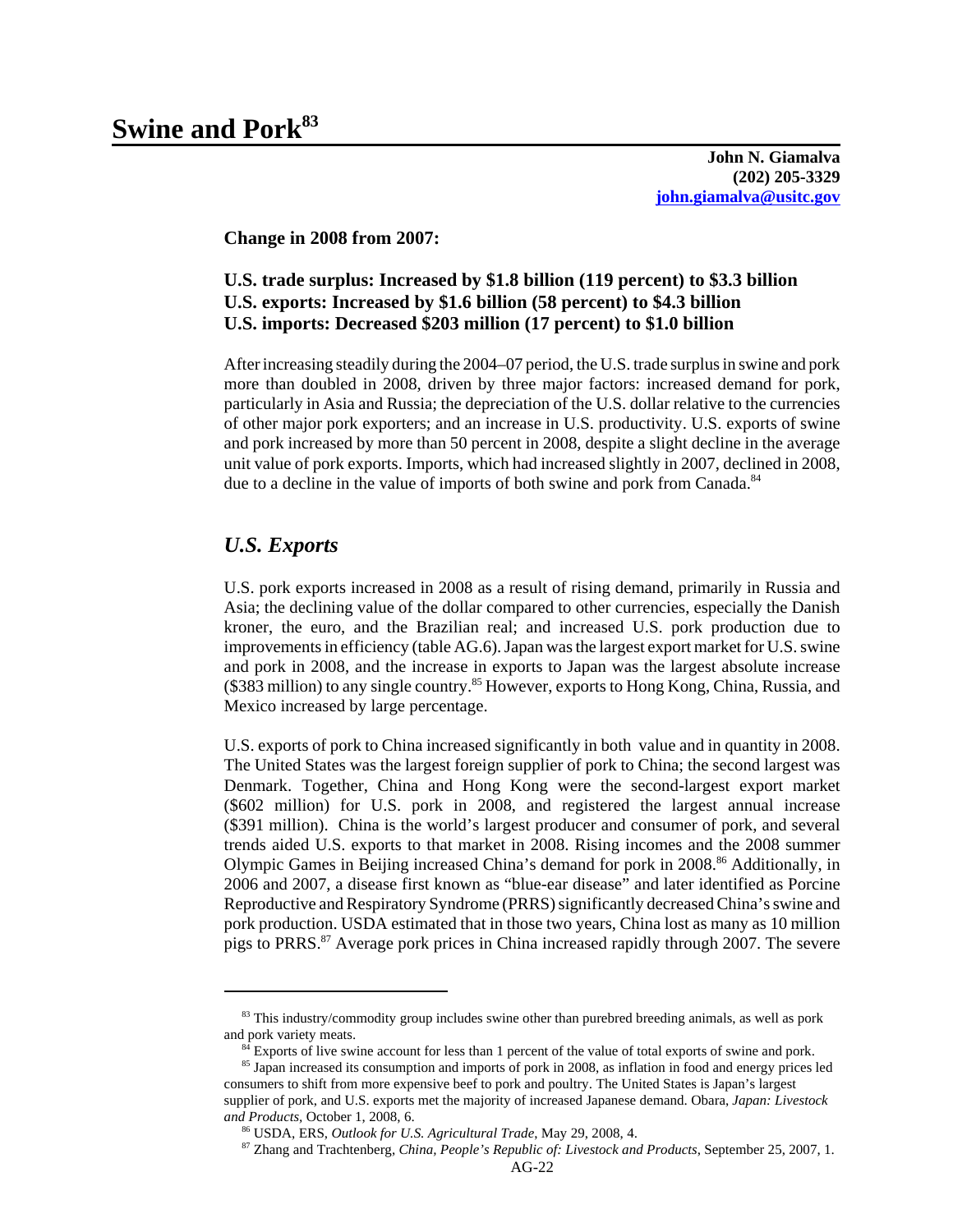**John N. Giamalva (202) 205-3329 john.giamalva@usitc.gov**

**Change in 2008 from 2007:**

#### **U.S. trade surplus: Increased by \$1.8 billion (119 percent) to \$3.3 billion U.S. exports: Increased by \$1.6 billion (58 percent) to \$4.3 billion U.S. imports: Decreased \$203 million (17 percent) to \$1.0 billion**

After increasing steadily during the 2004–07 period, the U.S. trade surplus in swine and pork more than doubled in 2008, driven by three major factors: increased demand for pork, particularly in Asia and Russia; the depreciation of the U.S. dollar relative to the currencies of other major pork exporters; and an increase in U.S. productivity. U.S. exports of swine and pork increased by more than 50 percent in 2008, despite a slight decline in the average unit value of pork exports. Imports, which had increased slightly in 2007, declined in 2008, due to a decline in the value of imports of both swine and pork from Canada.<sup>84</sup>

#### *U.S. Exports*

U.S. pork exports increased in 2008 as a result of rising demand, primarily in Russia and Asia; the declining value of the dollar compared to other currencies, especially the Danish kroner, the euro, and the Brazilian real; and increased U.S. pork production due to improvements in efficiency (table AG.6). Japan was the largest export market for U.S. swine and pork in 2008, and the increase in exports to Japan was the largest absolute increase (\$383 million) to any single country.<sup>85</sup> However, exports to Hong Kong, China, Russia, and Mexico increased by large percentage.

U.S. exports of pork to China increased significantly in both value and in quantity in 2008. The United States was the largest foreign supplier of pork to China; the second largest was Denmark. Together, China and Hong Kong were the second-largest export market (\$602 million) for U.S. pork in 2008, and registered the largest annual increase (\$391 million). China is the world's largest producer and consumer of pork, and several trends aided U.S. exports to that market in 2008. Rising incomes and the 2008 summer Olympic Games in Beijing increased China's demand for pork in 2008.<sup>86</sup> Additionally, in 2006 and 2007, a disease first known as "blue-ear disease" and later identified as Porcine Reproductive and Respiratory Syndrome (PRRS) significantly decreased China's swine and pork production. USDA estimated that in those two years, China lost as many as 10 million pigs to PRRS.87 Average pork prices in China increased rapidly through 2007. The severe

<sup>&</sup>lt;sup>83</sup> This industry/commodity group includes swine other than purebred breeding animals, as well as pork and pork variety meats.

<sup>&</sup>lt;sup>84</sup> Exports of live swine account for less than 1 percent of the value of total exports of swine and pork.

<sup>&</sup>lt;sup>85</sup> Japan increased its consumption and imports of pork in 2008, as inflation in food and energy prices led consumers to shift from more expensive beef to pork and poultry. The United States is Japan's largest supplier of pork, and U.S. exports met the majority of increased Japanese demand. Obara, *Japan: Livestock and Products,* October 1, 2008, 6.

 <sup>86</sup> USDA, ERS, *Outlook for U.S. Agricultural Trade*, May 29, 2008, 4.

 <sup>87</sup> Zhang and Trachtenberg, *China, People's Republic of: Livestock and Products*, September 25, 2007, 1.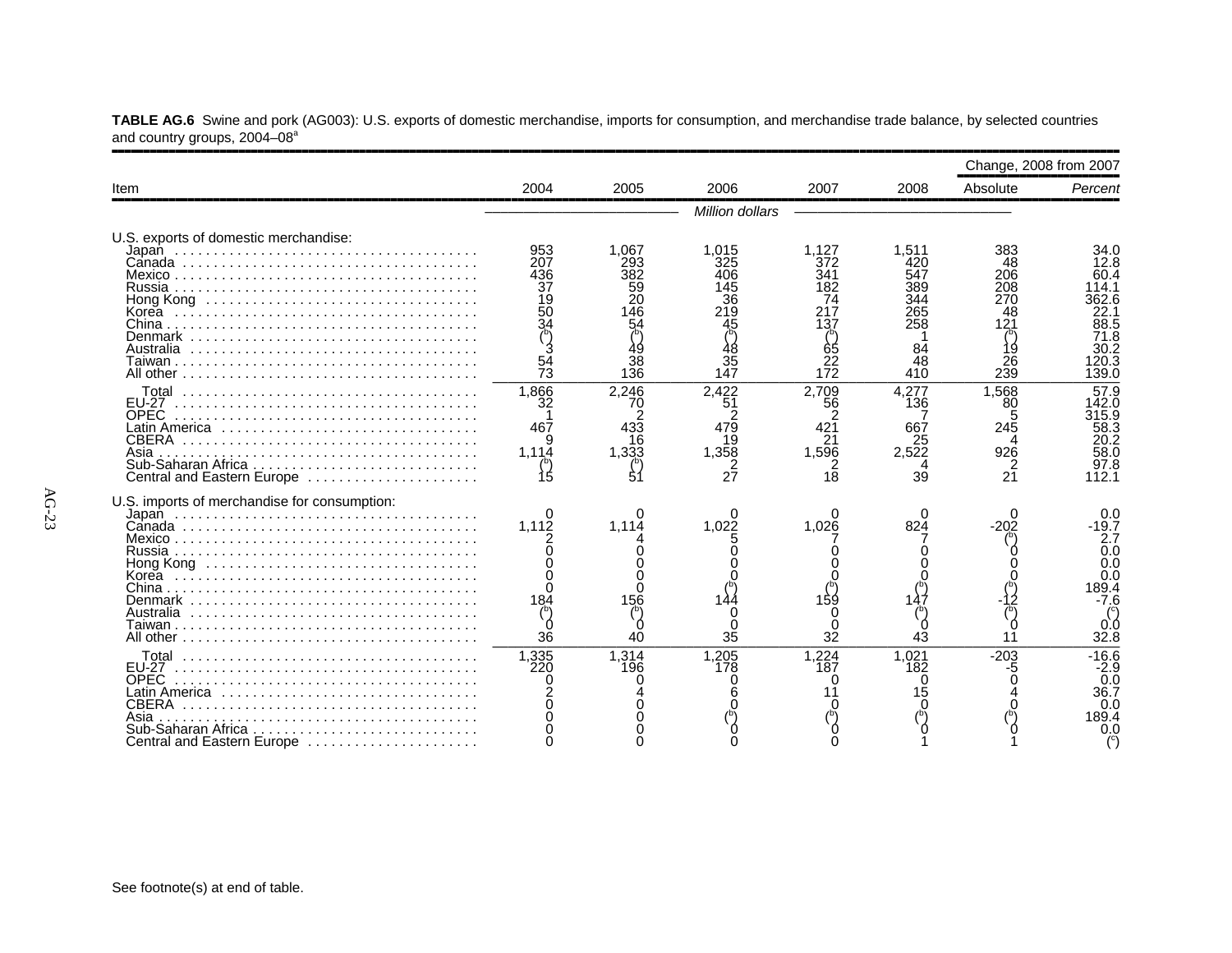|                                                                                                                               |                                                                      |                                                          |                                                            |                                                                   |                                                                    | Change, 2008 from 2007                                         |                                                                                                                           |
|-------------------------------------------------------------------------------------------------------------------------------|----------------------------------------------------------------------|----------------------------------------------------------|------------------------------------------------------------|-------------------------------------------------------------------|--------------------------------------------------------------------|----------------------------------------------------------------|---------------------------------------------------------------------------------------------------------------------------|
| Item                                                                                                                          | 2004                                                                 | 2005                                                     | 2006                                                       | 2007                                                              | 2008                                                               | Absolute                                                       | Percent                                                                                                                   |
|                                                                                                                               |                                                                      |                                                          | Million dollars                                            |                                                                   |                                                                    |                                                                |                                                                                                                           |
| U.S. exports of domestic merchandise:<br>Korea<br>Denmark<br>Australia                                                        | 953<br>207<br>436<br>37<br>19<br>$5\bar{0}$<br>34<br>$\frac{54}{73}$ | 1,067<br>293<br>382<br>59<br>20<br>46<br>54<br>38<br>136 | 1.015<br>325<br>406<br>145<br>36<br>219<br>45<br>35<br>147 | 1.127<br>372<br>341<br>182<br>74<br>217<br>137<br>65<br>22<br>172 | 1.511<br>420<br>547<br>389<br>344<br>265<br>258<br>84<br>48<br>410 | 383<br>48<br>206<br>208<br>270<br>48<br>121<br>19<br>26<br>239 | 34.0<br>12.8<br>60.4<br>14.1<br>362.6<br>22.1<br>$\overline{8}\overline{8}\overline{.}5$<br>71.8<br>30.2<br>20.3<br>139.0 |
| Total<br>EU-27<br><b>OPEC</b><br>Latin America ,,,,,,,,,,,,,,,<br>CBERA<br>Asia<br>Central and Eastern Europe                 | 1,866<br>32<br>467<br>1,114<br>15                                    | 2.246<br>70<br>2<br>433<br>16<br>1.333<br>$\int_{5}^{5}$ | 2,422<br>51<br>2<br>479<br>19<br>1.358<br>27               | 2,709<br>56<br>421<br>21<br>1,596<br>18                           | 4,277<br>136<br>667<br>25<br>2.522<br>39                           | 1,568<br>80<br>245<br>926<br>$\frac{2}{21}$                    | 57.9<br>142.0<br>315.9<br>58.3<br>20.2<br>58.0<br>97.8<br>112.1                                                           |
| U.S. imports of merchandise for consumption:<br>Korea<br>Denmark<br>Australia                                                 | 1.112<br>184<br>36                                                   | O<br>1.114<br>156<br>40                                  | 1.022<br>35                                                | 1.026<br>159<br>32                                                | 0<br>824<br>43                                                     | 11                                                             | 0.0<br>$-19.7$<br>2.7<br>0.0<br>0.0<br>0.0<br>189.4<br>-7.6<br>O.C<br>32.8                                                |
| Total<br>EU-27<br><b>OPEC</b><br>Latin America<br>.<br>CBERA<br>Asia<br>.<br>Sub-Saharan Africa<br>Central and Eastern Europe | 1,335<br>220                                                         | 1,314<br>196                                             | 1,205<br>178                                               | 1.224<br>187                                                      | 1.021<br>182                                                       | $-203$<br>-5                                                   | $-16.6$<br>$-2.9$<br>0.0<br>36.7<br>0.0<br>189.4<br>0.0                                                                   |

**TABLE AG.6** Swine and pork (AG003): U.S. exports of domestic merchandise, imports for consumption, and merchandise trade balance, by selected countries and country groups, 2004–08ª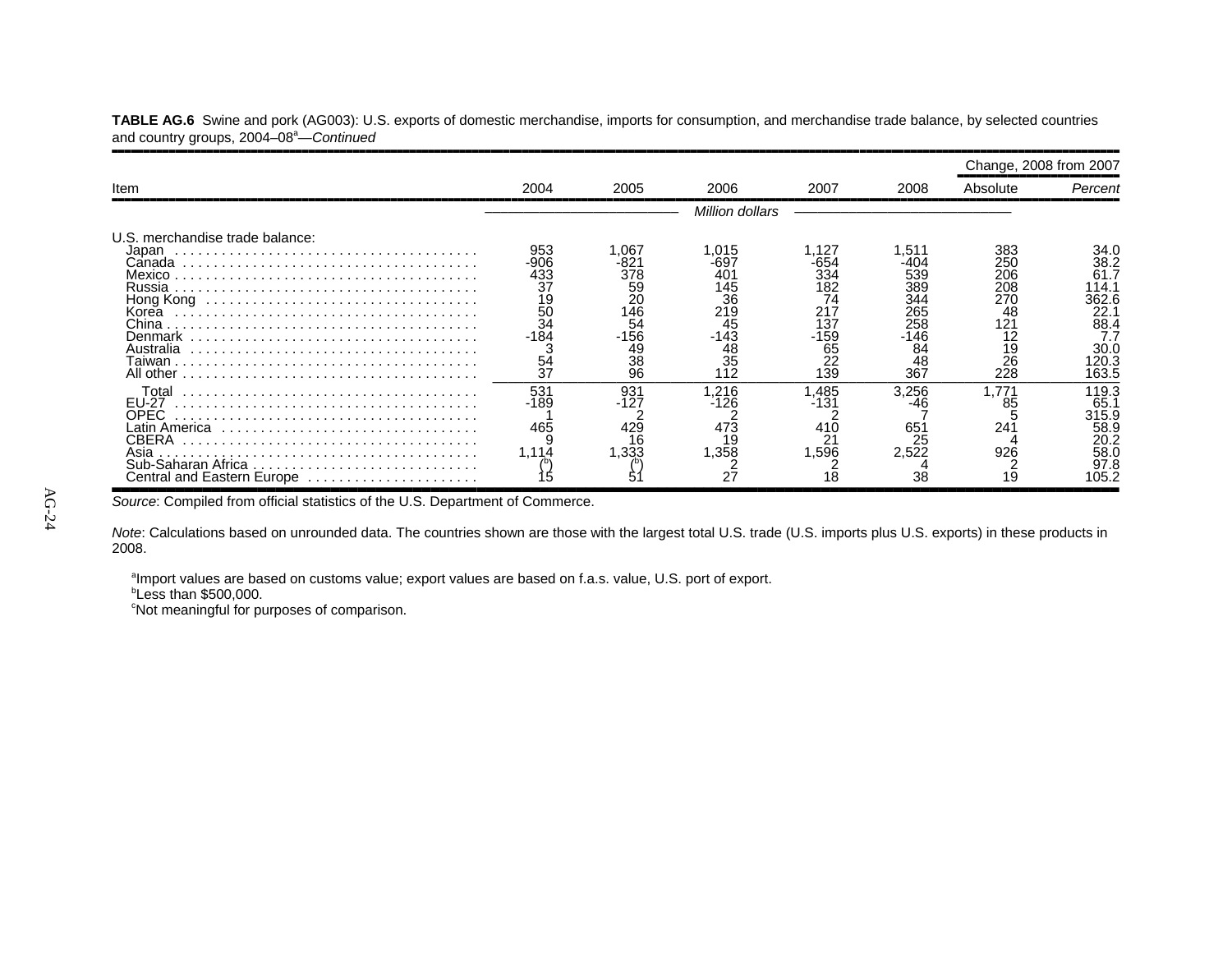|                                                                                                                                |                                                                                |                                                                           |                                                                             |                                                                            |                                                                            | Change, 2008 from 2007                                                |                                                                                        |
|--------------------------------------------------------------------------------------------------------------------------------|--------------------------------------------------------------------------------|---------------------------------------------------------------------------|-----------------------------------------------------------------------------|----------------------------------------------------------------------------|----------------------------------------------------------------------------|-----------------------------------------------------------------------|----------------------------------------------------------------------------------------|
| Item                                                                                                                           | 2004                                                                           | 2005                                                                      | 2006                                                                        | 2007                                                                       | 2008                                                                       | Absolute                                                              | Percent                                                                                |
|                                                                                                                                |                                                                                |                                                                           | Million dollars                                                             |                                                                            |                                                                            |                                                                       |                                                                                        |
| U.S. merchandise trade balance:<br>Japan<br>Canada<br>Mexico<br>Russia<br>Hong Kong<br>Korea<br>Denmark<br>Australia<br>Γaiwan | 953<br>-906<br>433<br>37<br>$\frac{19}{50}$<br>34<br>$-184$<br>$\frac{54}{37}$ | 1.067<br>-821<br>378<br>59<br>20<br>146<br>54<br>$-156$<br>49<br>38<br>96 | 1,015<br>-697<br>401<br>145<br>36<br>219<br>45<br>$-143$<br>48<br>35<br>112 | 1,127<br>-654<br>334<br>182<br>74<br>217<br>137<br>-159<br>65<br>22<br>139 | .511<br>-404<br>539<br>389<br>344<br>265<br>258<br>-146<br>84<br>48<br>367 | 383<br>250<br>206<br>208<br>270<br>48<br>121<br>12<br>19<br>26<br>228 | 34.0<br>38.2<br>61.7<br>14.1<br>362.6<br>22.7<br>88.4<br>7.7<br>30.0<br>120.3<br>163.5 |
| Total<br><b>EU-27</b><br>OPEC<br>Latin America ,,,,,,,,,,,,,,,,,,,,,,,,,,,,,<br>CBERA<br>Asia<br>Central and Eastern Europe    | 531<br>-189<br>465<br>1.114                                                    | 931<br>-127<br>429<br>16<br>1.333                                         | 1,216<br>-126<br>473<br>1,358                                               | 1,485<br>-131<br>410<br>2 <sub>1</sub><br>.596                             | 3,256<br>65'<br>25<br>2,522<br>38                                          | .771<br>85<br>241<br>926<br>19                                        | 119.3<br>65.1<br>315.9<br>58.9<br>20.2<br>58.0<br>97.8<br>105.2                        |

**TABLE AG.6** Swine and pork (AG003): U.S. exports of domestic merchandise, imports for consumption, and merchandise trade balance, by selected countries and country groups, 2004–08<sup>a</sup>—Continued

Source: Compiled from official statistics of the U.S. Department of Commerce.

*Note*: Calculations based on unrounded data. The countries shown are those with the largest total U.S. trade (U.S. imports plus U.S. exports) in these products in 2008.

aImport values are based on customs value; export values are based on f.a.s. value, U.S. port of export.

 $b$ Less than \$500,000.

<sup>c</sup>Not meaningful for purposes of comparison.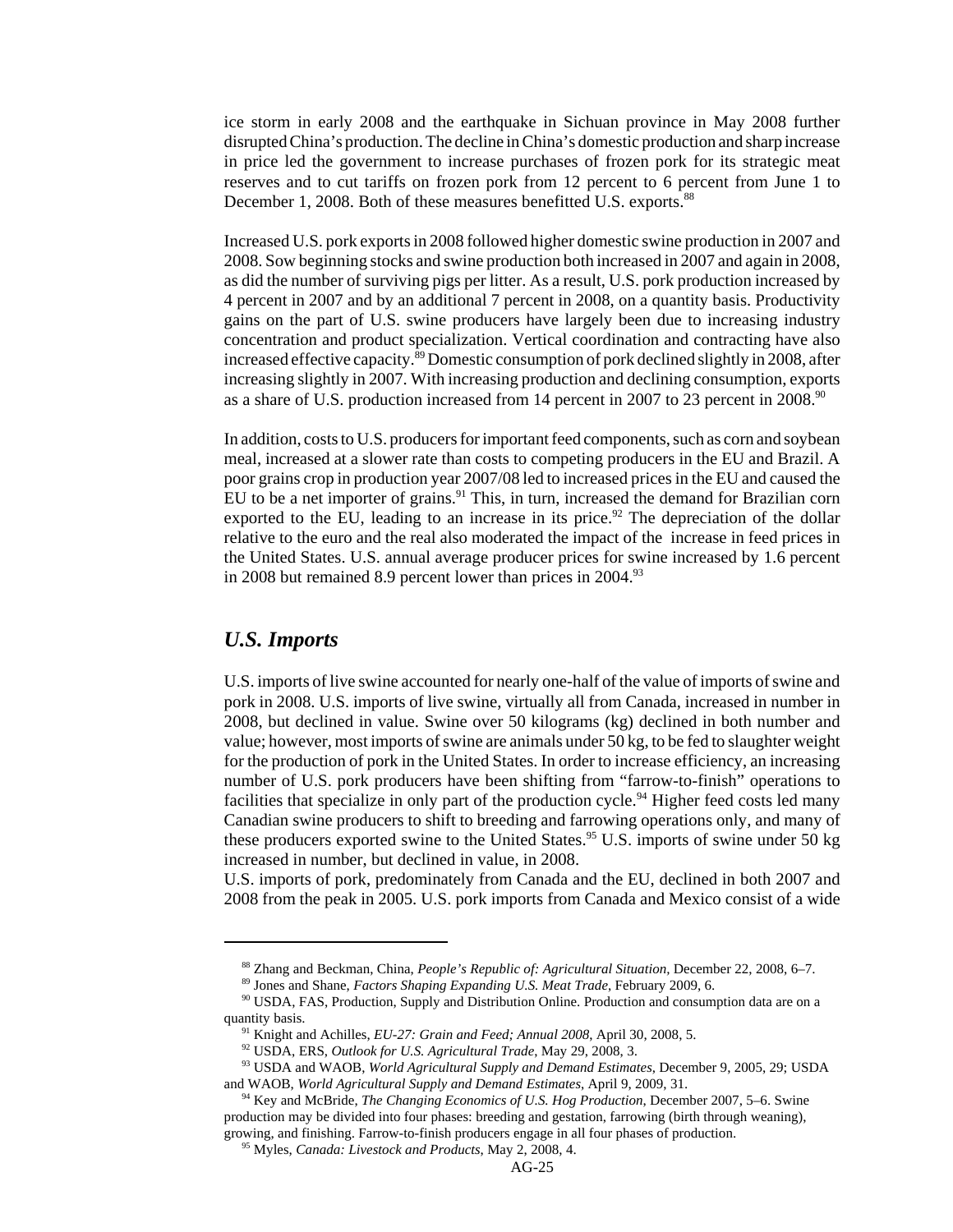ice storm in early 2008 and the earthquake in Sichuan province in May 2008 further disrupted China's production. The decline in China's domestic production and sharp increase in price led the government to increase purchases of frozen pork for its strategic meat reserves and to cut tariffs on frozen pork from 12 percent to 6 percent from June 1 to December 1, 2008. Both of these measures benefitted U.S. exports.<sup>88</sup>

Increased U.S. pork exports in 2008 followed higher domestic swine production in 2007 and 2008. Sow beginning stocks and swine production both increased in 2007 and again in 2008, as did the number of surviving pigs per litter. As a result, U.S. pork production increased by 4 percent in 2007 and by an additional 7 percent in 2008, on a quantity basis. Productivity gains on the part of U.S. swine producers have largely been due to increasing industry concentration and product specialization. Vertical coordination and contracting have also increased effective capacity.89 Domestic consumption of pork declined slightly in 2008, after increasing slightly in 2007. With increasing production and declining consumption, exports as a share of U.S. production increased from 14 percent in 2007 to 23 percent in 2008.<sup>90</sup>

In addition, costs to U.S. producers for important feed components, such as corn and soybean meal, increased at a slower rate than costs to competing producers in the EU and Brazil. A poor grains crop in production year 2007/08 led to increased prices in the EU and caused the EU to be a net importer of grains.<sup>91</sup> This, in turn, increased the demand for Brazilian corn exported to the EU, leading to an increase in its price.<sup>92</sup> The depreciation of the dollar relative to the euro and the real also moderated the impact of the increase in feed prices in the United States. U.S. annual average producer prices for swine increased by 1.6 percent in 2008 but remained 8.9 percent lower than prices in 2004.<sup>93</sup>

#### *U.S. Imports*

U.S. imports of live swine accounted for nearly one-half of the value of imports of swine and pork in 2008. U.S. imports of live swine, virtually all from Canada, increased in number in 2008, but declined in value. Swine over 50 kilograms (kg) declined in both number and value; however, most imports of swine are animals under 50 kg, to be fed to slaughter weight for the production of pork in the United States. In order to increase efficiency, an increasing number of U.S. pork producers have been shifting from "farrow-to-finish" operations to facilities that specialize in only part of the production cycle.<sup>94</sup> Higher feed costs led many Canadian swine producers to shift to breeding and farrowing operations only, and many of these producers exported swine to the United States.<sup>95</sup> U.S. imports of swine under 50 kg increased in number, but declined in value, in 2008.

U.S. imports of pork, predominately from Canada and the EU, declined in both 2007 and 2008 from the peak in 2005. U.S. pork imports from Canada and Mexico consist of a wide

 <sup>88</sup> Zhang and Beckman, China, *People's Republic of: Agricultural Situation,* December 22, 2008, 6–7.

 <sup>89</sup> Jones and Shane, *Factors Shaping Expanding U.S. Meat Trade*, February 2009, 6.

 <sup>90</sup> USDA, FAS, Production, Supply and Distribution Online. Production and consumption data are on a quantity basis.

 <sup>91</sup> Knight and Achilles, *EU-27: Grain and Feed; Annual 2008*, April 30, 2008, 5.

 <sup>92</sup> USDA, ERS, *Outlook for U.S. Agricultural Trade*, May 29, 2008, 3.

 <sup>93</sup> USDA and WAOB, *World Agricultural Supply and Demand Estimates*, December 9, 2005, 29; USDA and WAOB, *World Agricultural Supply and Demand Estimates*, April 9, 2009, 31.

 <sup>94</sup> Key and McBride, *The Changing Economics of U.S. Hog Production*, December 2007, 5–6. Swine production may be divided into four phases: breeding and gestation, farrowing (birth through weaning), growing, and finishing. Farrow-to-finish producers engage in all four phases of production.

 <sup>95</sup> Myles, *Canada: Livestock and Products*, May 2, 2008, 4.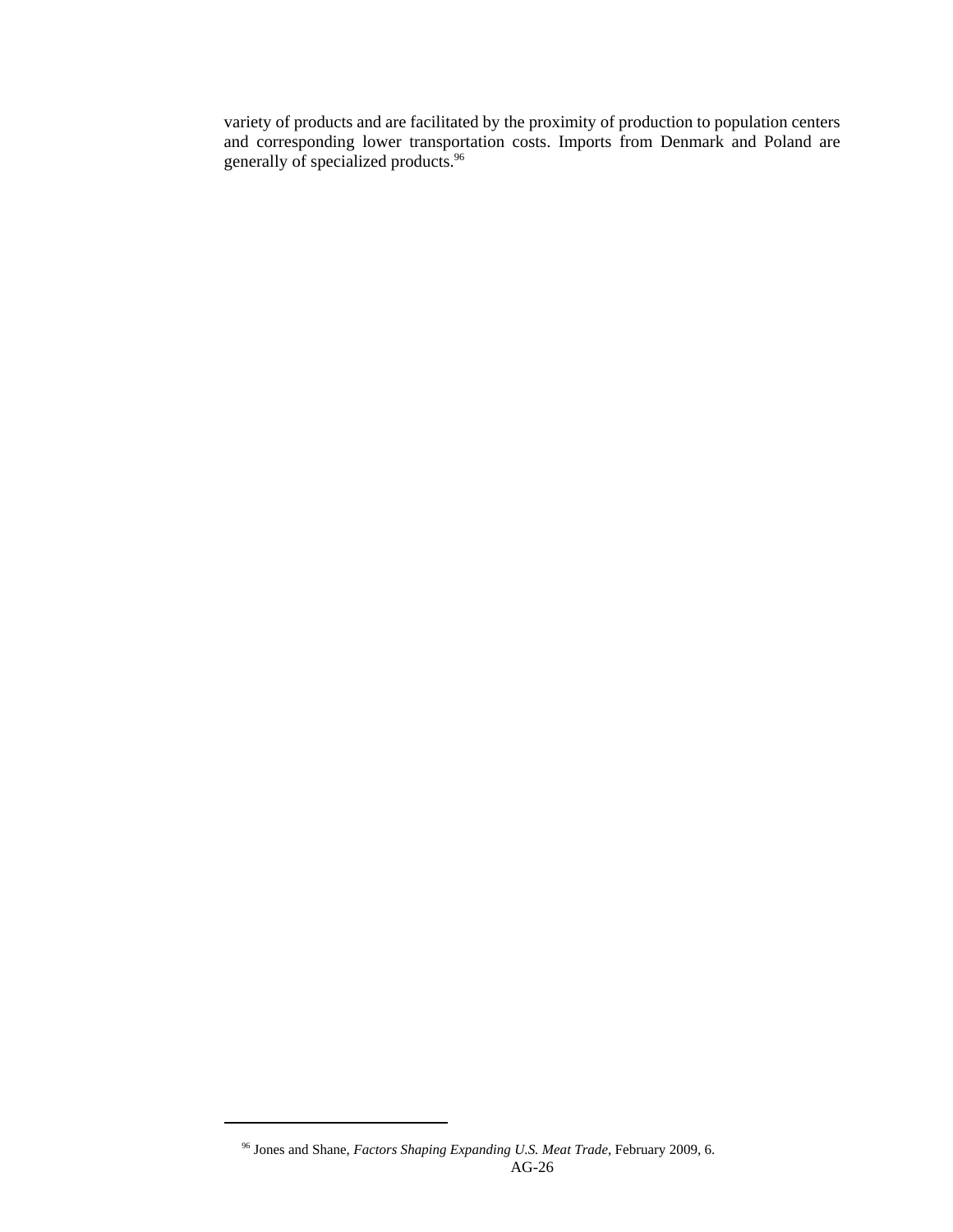variety of products and are facilitated by the proximity of production to population centers and corresponding lower transportation costs. Imports from Denmark and Poland are generally of specialized products.96

 <sup>96</sup> Jones and Shane, *Factors Shaping Expanding U.S. Meat Trade*, February 2009, 6. AG-26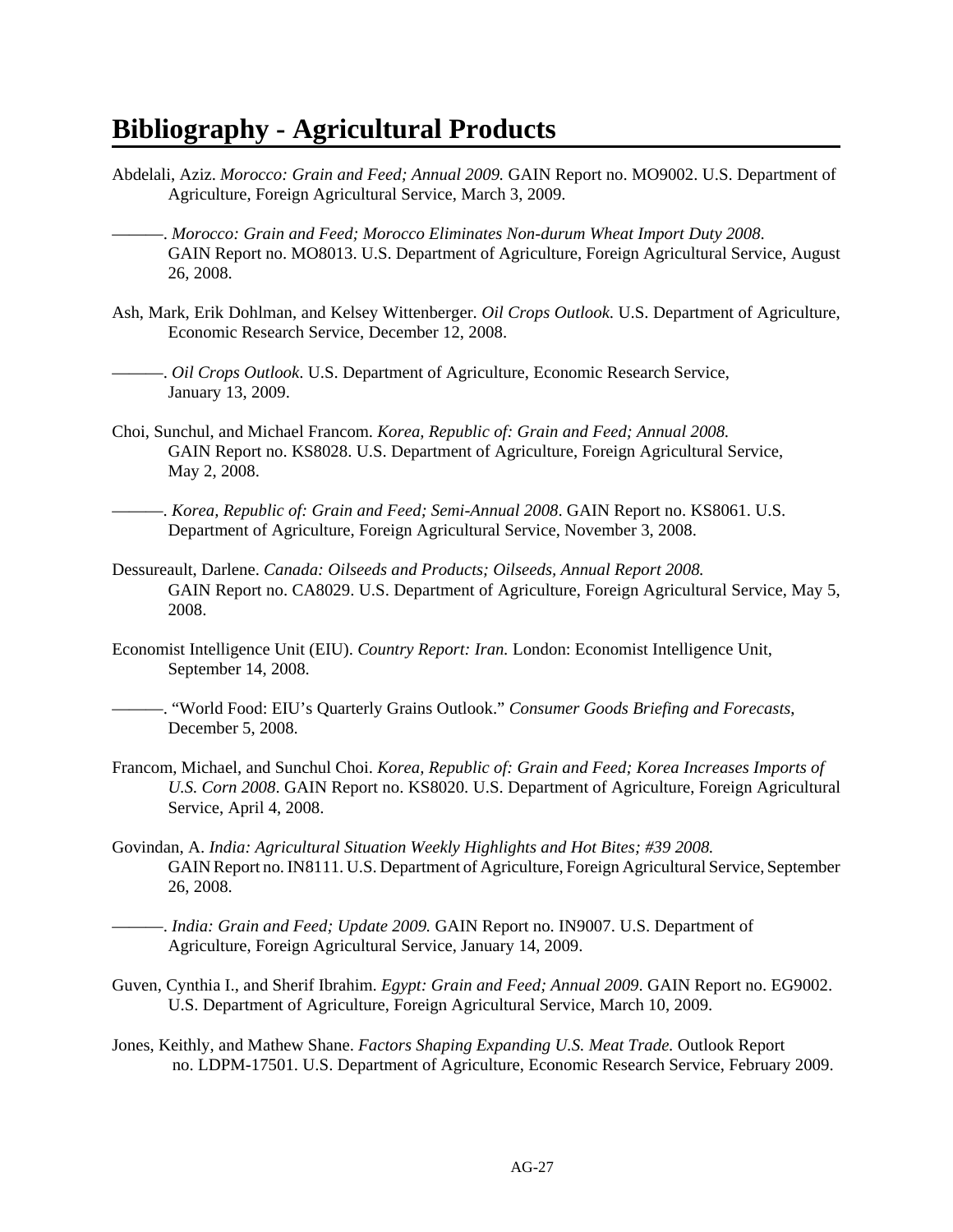# **Bibliography - Agricultural Products**

- Abdelali, Aziz. *Morocco: Grain and Feed; Annual 2009.* GAIN Report no. MO9002. U.S. Department of Agriculture, Foreign Agricultural Service, March 3, 2009.
	- ———. *Morocco: Grain and Feed; Morocco Eliminates Non-durum Wheat Import Duty 2008*. GAIN Report no. MO8013. U.S. Department of Agriculture, Foreign Agricultural Service, August 26, 2008.
- Ash, Mark, Erik Dohlman, and Kelsey Wittenberger. *Oil Crops Outlook*. U.S. Department of Agriculture, Economic Research Service, December 12, 2008.

———. *Oil Crops Outlook*. U.S. Department of Agriculture, Economic Research Service, January 13, 2009.

- Choi, Sunchul, and Michael Francom. *Korea, Republic of: Grain and Feed; Annual 2008.* GAIN Report no. KS8028. U.S. Department of Agriculture, Foreign Agricultural Service, May 2, 2008.
- ———. *Korea, Republic of: Grain and Feed; Semi-Annual 2008*. GAIN Report no. KS8061. U.S. Department of Agriculture, Foreign Agricultural Service, November 3, 2008.
- Dessureault, Darlene. *Canada: Oilseeds and Products; Oilseeds, Annual Report 2008.* GAIN Report no. CA8029. U.S. Department of Agriculture, Foreign Agricultural Service, May 5, 2008.
- Economist Intelligence Unit (EIU). *Country Report: Iran.* London: Economist Intelligence Unit, September 14, 2008.
- ———. "World Food: EIU's Quarterly Grains Outlook." *Consumer Goods Briefing and Forecasts*, December 5, 2008.
- Francom, Michael, and Sunchul Choi. *Korea, Republic of: Grain and Feed; Korea Increases Imports of U.S. Corn 2008*. GAIN Report no. KS8020. U.S. Department of Agriculture, Foreign Agricultural Service, April 4, 2008.
- Govindan, A. *India: Agricultural Situation Weekly Highlights and Hot Bites; #39 2008.* GAIN Report no. IN8111. U.S. Department of Agriculture, Foreign Agricultural Service, September 26, 2008.

- Guven, Cynthia I., and Sherif Ibrahim. *Egypt: Grain and Feed; Annual 2009*. GAIN Report no. EG9002. U.S. Department of Agriculture, Foreign Agricultural Service, March 10, 2009.
- Jones, Keithly, and Mathew Shane. *Factors Shaping Expanding U.S. Meat Trade.* Outlook Report no. LDPM-17501. U.S. Department of Agriculture, Economic Research Service, February 2009.

<sup>———.</sup> *India: Grain and Feed; Update 2009.* GAIN Report no. IN9007. U.S. Department of Agriculture, Foreign Agricultural Service, January 14, 2009.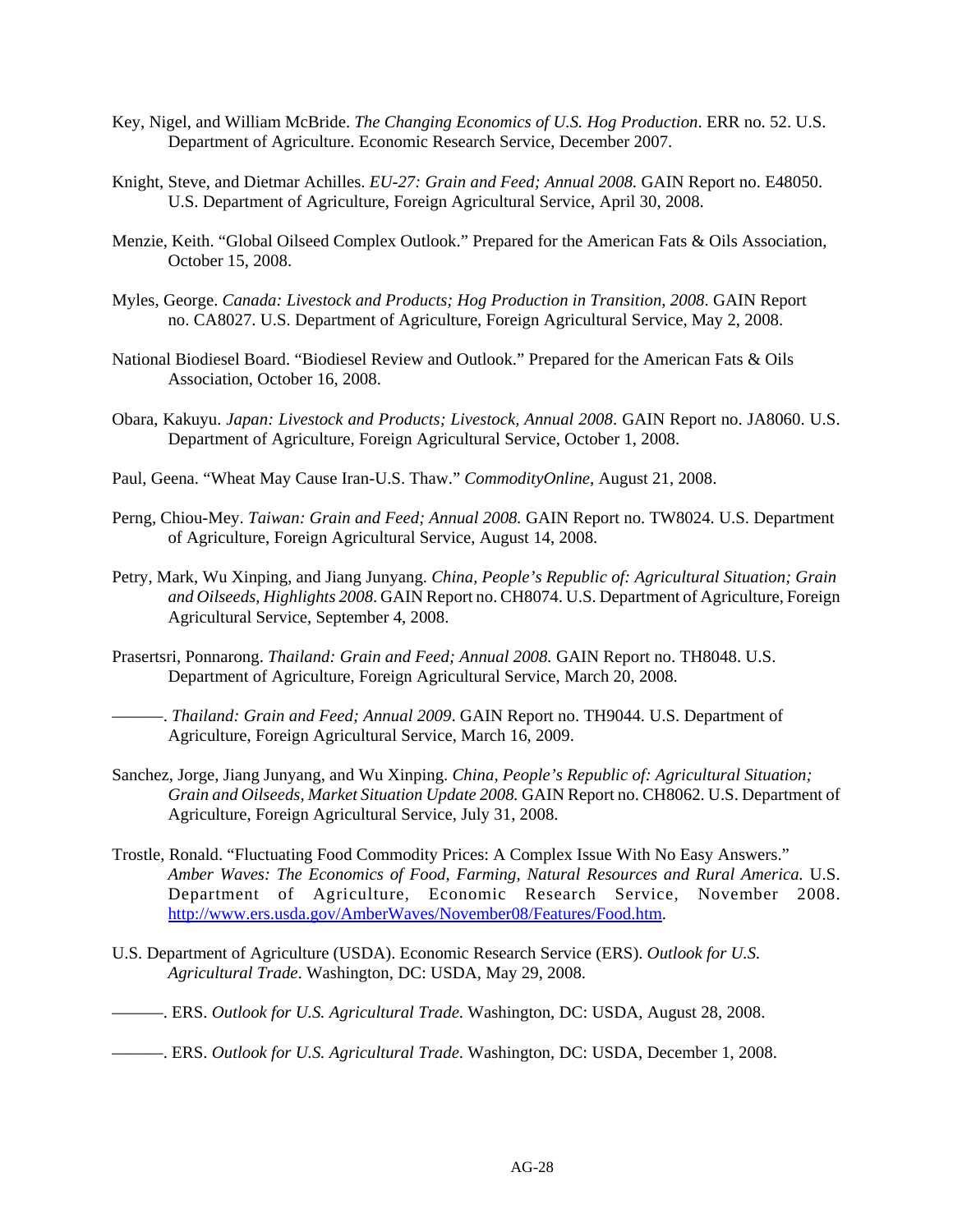- Key, Nigel, and William McBride. *The Changing Economics of U.S. Hog Production*. ERR no. 52. U.S. Department of Agriculture. Economic Research Service, December 2007.
- Knight, Steve, and Dietmar Achilles. *EU-27: Grain and Feed; Annual 2008.* GAIN Report no. E48050. U.S. Department of Agriculture, Foreign Agricultural Service, April 30, 2008.
- Menzie, Keith. "Global Oilseed Complex Outlook." Prepared for the American Fats & Oils Association, October 15, 2008.
- Myles, George. *Canada: Livestock and Products; Hog Production in Transition, 2008*. GAIN Report no. CA8027. U.S. Department of Agriculture, Foreign Agricultural Service, May 2, 2008.
- National Biodiesel Board. "Biodiesel Review and Outlook." Prepared for the American Fats & Oils Association, October 16, 2008.
- Obara, Kakuyu. *Japan: Livestock and Products; Livestock, Annual 2008*. GAIN Report no. JA8060. U.S. Department of Agriculture, Foreign Agricultural Service, October 1, 2008.
- Paul, Geena. "Wheat May Cause Iran-U.S. Thaw." *CommodityOnline*, August 21, 2008.
- Perng, Chiou-Mey. *Taiwan: Grain and Feed; Annual 2008.* GAIN Report no. TW8024. U.S. Department of Agriculture, Foreign Agricultural Service, August 14, 2008.
- Petry, Mark, Wu Xinping, and Jiang Junyang. *China, People's Republic of: Agricultural Situation; Grain and Oilseeds, Highlights 2008*. GAIN Report no. CH8074. U.S. Department of Agriculture, Foreign Agricultural Service, September 4, 2008.
- Prasertsri, Ponnarong. *Thailand: Grain and Feed; Annual 2008.* GAIN Report no. TH8048. U.S. Department of Agriculture, Foreign Agricultural Service, March 20, 2008.
	- ———. *Thailand: Grain and Feed; Annual 2009*. GAIN Report no. TH9044. U.S. Department of Agriculture, Foreign Agricultural Service, March 16, 2009.
- Sanchez, Jorge, Jiang Junyang, and Wu Xinping. *China, People's Republic of: Agricultural Situation; Grain and Oilseeds, Market Situation Update 2008.* GAIN Report no. CH8062. U.S. Department of Agriculture, Foreign Agricultural Service, July 31, 2008.
- Trostle, Ronald. "Fluctuating Food Commodity Prices: A Complex Issue With No Easy Answers." *Amber Waves: The Economics of Food, Farming, Natural Resources and Rural America.* U.S. Department of Agriculture, Economic Research Service, November 2008. http://www.ers.usda.gov/AmberWaves/November08/Features/Food.htm.
- U.S. Department of Agriculture (USDA). Economic Research Service (ERS). *Outlook for U.S. Agricultural Trade*. Washington, DC: USDA, May 29, 2008.
- ———. ERS. *Outlook for U.S. Agricultural Trade*. Washington, DC: USDA, August 28, 2008.
- ———. ERS. *Outlook for U.S. Agricultural Trade*. Washington, DC: USDA, December 1, 2008.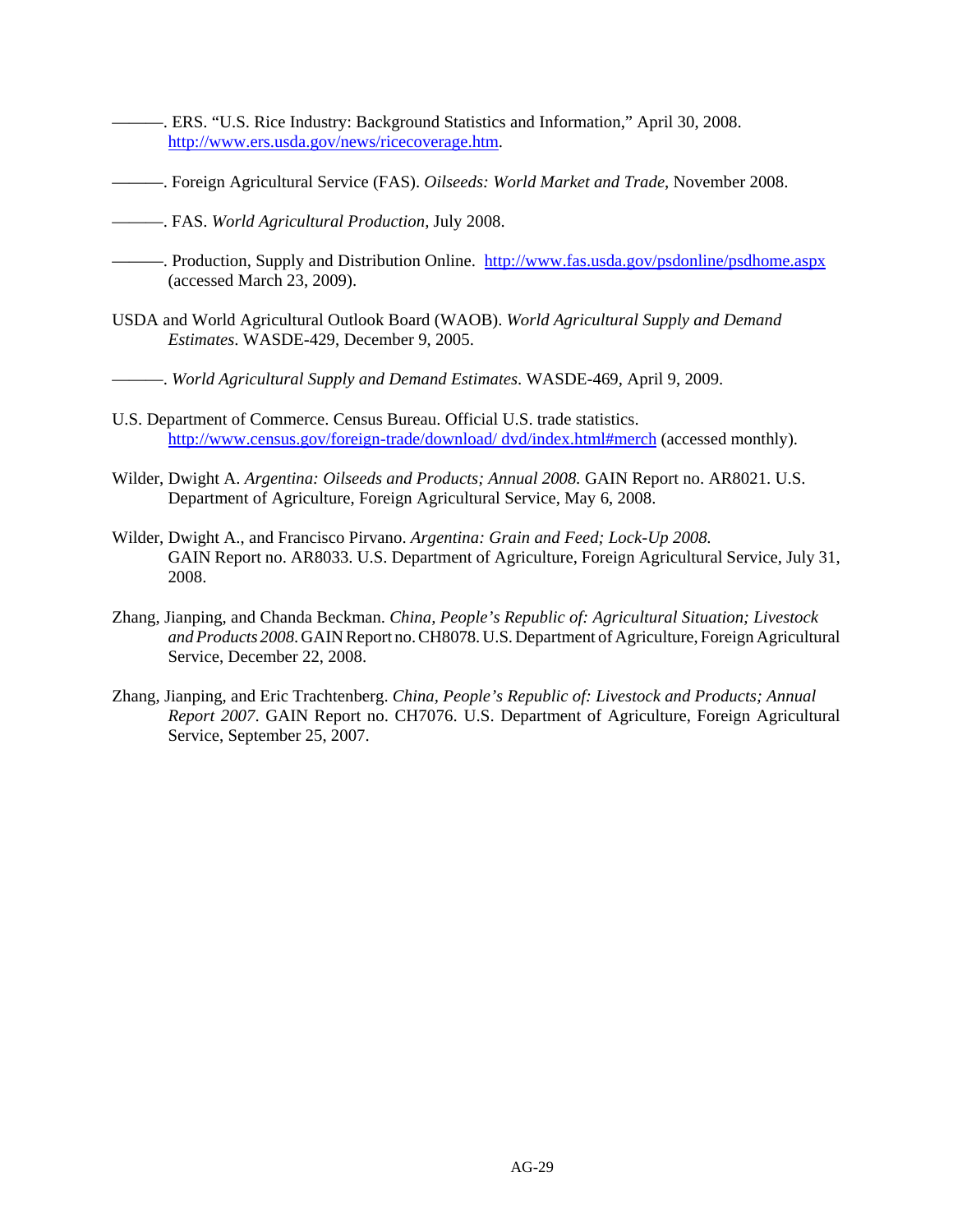- ———. ERS. "U.S. Rice Industry: Background Statistics and Information," April 30, 2008. http://www.ers.usda.gov/news/ricecoverage.htm.
- ———. Foreign Agricultural Service (FAS). *Oilseeds: World Market and Trade*, November 2008.
- ———. FAS. *World Agricultural Production,* July 2008.
- ———. Production, Supply and Distribution Online. http://www.fas.usda.gov/psdonline/psdhome.aspx (accessed March 23, 2009).
- USDA and World Agricultural Outlook Board (WAOB). *World Agricultural Supply and Demand Estimates*. WASDE-429, December 9, 2005.
- ———. *World Agricultural Supply and Demand Estimates*. WASDE-469, April 9, 2009.
- U.S. Department of Commerce. Census Bureau. Official U.S. trade statistics. http://www.census.gov/foreign-trade/download/ dvd/index.html#merch (accessed monthly).
- Wilder, Dwight A. *Argentina: Oilseeds and Products; Annual 2008.* GAIN Report no. AR8021. U.S. Department of Agriculture, Foreign Agricultural Service, May 6, 2008.
- Wilder, Dwight A., and Francisco Pirvano. *Argentina: Grain and Feed; Lock-Up 2008.* GAIN Report no. AR8033. U.S. Department of Agriculture, Foreign Agricultural Service, July 31, 2008.
- Zhang, Jianping, and Chanda Beckman. *China, People's Republic of: Agricultural Situation; Livestock and Products 2008*. GAIN Report no. CH8078. U.S. Department of Agriculture, Foreign Agricultural Service, December 22, 2008.
- Zhang, Jianping, and Eric Trachtenberg. *China, People's Republic of: Livestock and Products; Annual Report 2007*. GAIN Report no. CH7076. U.S. Department of Agriculture, Foreign Agricultural Service, September 25, 2007.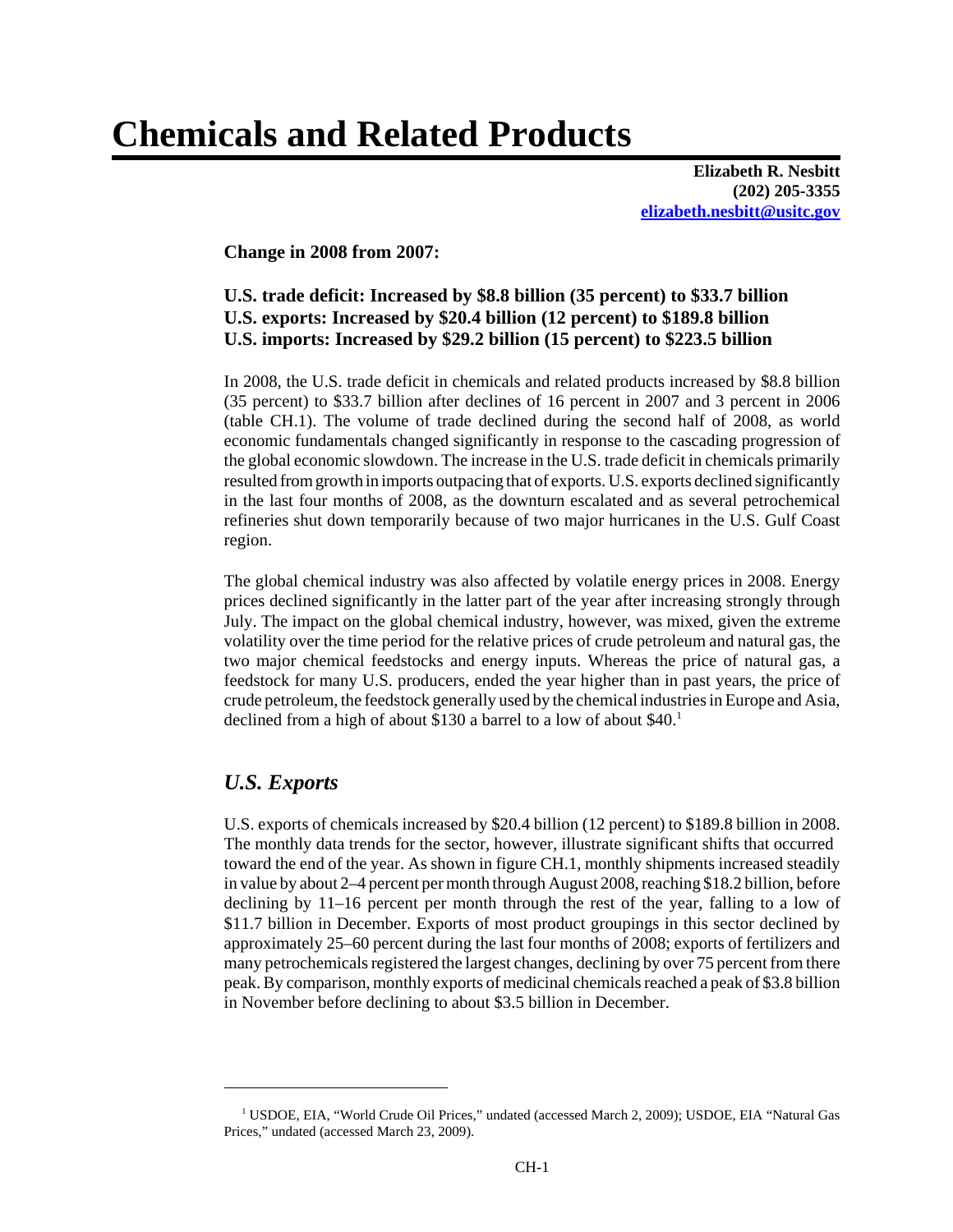# **Chemicals and Related Products**

**Elizabeth R. Nesbitt (202) 205-3355 elizabeth.nesbitt@usitc.gov**

**Change in 2008 from 2007:**

# **U.S. trade deficit: Increased by \$8.8 billion (35 percent) to \$33.7 billion U.S. exports: Increased by \$20.4 billion (12 percent) to \$189.8 billion U.S. imports: Increased by \$29.2 billion (15 percent) to \$223.5 billion**

In 2008, the U.S. trade deficit in chemicals and related products increased by \$8.8 billion (35 percent) to \$33.7 billion after declines of 16 percent in 2007 and 3 percent in 2006 (table CH.1). The volume of trade declined during the second half of 2008, as world economic fundamentals changed significantly in response to the cascading progression of the global economic slowdown. The increase in the U.S. trade deficit in chemicals primarily resulted from growth in imports outpacing that of exports. U.S. exports declined significantly in the last four months of 2008, as the downturn escalated and as several petrochemical refineries shut down temporarily because of two major hurricanes in the U.S. Gulf Coast region.

The global chemical industry was also affected by volatile energy prices in 2008. Energy prices declined significantly in the latter part of the year after increasing strongly through July. The impact on the global chemical industry, however, was mixed, given the extreme volatility over the time period for the relative prices of crude petroleum and natural gas, the two major chemical feedstocks and energy inputs. Whereas the price of natural gas, a feedstock for many U.S. producers, ended the year higher than in past years, the price of crude petroleum, the feedstock generally used by the chemical industries in Europe and Asia, declined from a high of about \$130 a barrel to a low of about \$40.<sup>1</sup>

# *U.S. Exports*

U.S. exports of chemicals increased by \$20.4 billion (12 percent) to \$189.8 billion in 2008. The monthly data trends for the sector, however, illustrate significant shifts that occurred toward the end of the year. As shown in figure CH.1, monthly shipments increased steadily in value by about 2–4 percent per month through August 2008, reaching \$18.2 billion, before declining by 11–16 percent per month through the rest of the year, falling to a low of \$11.7 billion in December. Exports of most product groupings in this sector declined by approximately 25–60 percent during the last four months of 2008; exports of fertilizers and many petrochemicals registered the largest changes, declining by over 75 percent from there peak. By comparison, monthly exports of medicinal chemicals reached a peak of \$3.8 billion in November before declining to about \$3.5 billion in December.

<sup>&</sup>lt;sup>1</sup> USDOE, EIA, "World Crude Oil Prices," undated (accessed March 2, 2009); USDOE, EIA "Natural Gas Prices," undated (accessed March 23, 2009).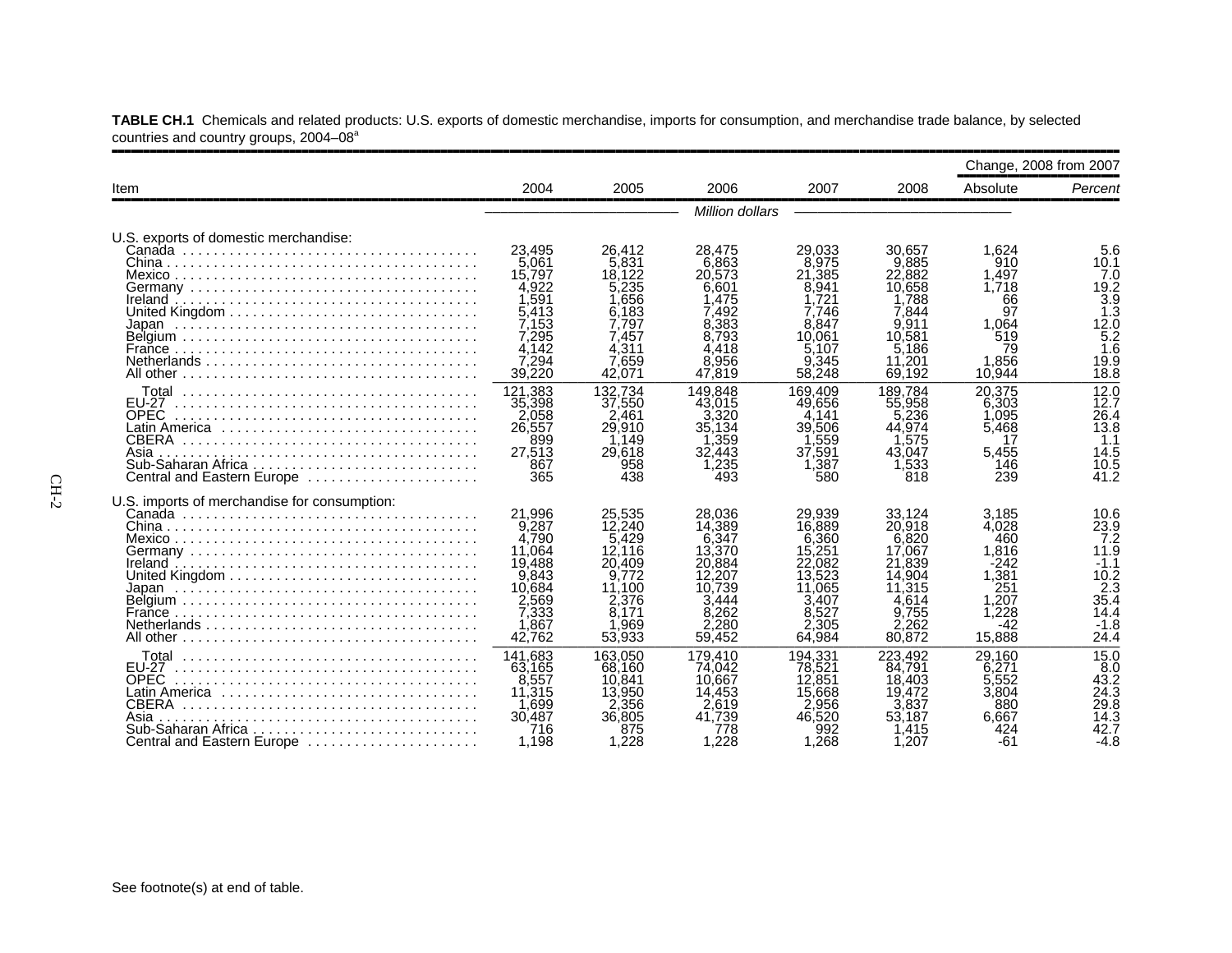|                                                                                                                                   | Change, 2008 from 2007                                                                               |                                                                                                      |                                                                                                        |                                                                                                        |                                                                                                        |                                                                                           |                                                                                        |
|-----------------------------------------------------------------------------------------------------------------------------------|------------------------------------------------------------------------------------------------------|------------------------------------------------------------------------------------------------------|--------------------------------------------------------------------------------------------------------|--------------------------------------------------------------------------------------------------------|--------------------------------------------------------------------------------------------------------|-------------------------------------------------------------------------------------------|----------------------------------------------------------------------------------------|
| Item                                                                                                                              | 2004                                                                                                 | 2005                                                                                                 | 2006                                                                                                   | 2007                                                                                                   | 2008                                                                                                   | Absolute                                                                                  | Percent                                                                                |
|                                                                                                                                   |                                                                                                      |                                                                                                      |                                                                                                        |                                                                                                        |                                                                                                        |                                                                                           |                                                                                        |
| U.S. exports of domestic merchandise:                                                                                             | 23.495<br>5.061<br>15,797<br>4,922<br>1.591<br>5.413<br>7.153                                        | 26,412<br>5.831<br>18.122<br>5.235<br>1.656<br>6.183<br>7.797                                        | 28,475<br>6.863<br>20.573<br>6.601<br>1.475<br>7.492<br>8.383                                          | 29.033<br>8.975<br>21,385<br>8.941<br>1.721<br>7.746<br>8.847                                          | 30,657<br>9.885<br>22,882<br>10,658<br>1.788<br>7.844<br>9.911                                         | 1.624<br>910<br>1.497<br>1.718<br>66<br>97<br>1.064                                       | 5.6<br>10.1<br>7.0<br>19.2<br>$\frac{3.9}{1.3}$<br>$12.\overline{0}$                   |
|                                                                                                                                   | 7.295<br>4,142<br>7,294<br>39,220                                                                    | 7.457<br>4,311<br>7.659<br>42.071                                                                    | 8.793<br>4.418<br>.956<br>8.<br>47,819                                                                 | 10.061<br>5.107<br>9.345<br>58,248                                                                     | 10.581<br>5,186<br>11.201<br>69.192                                                                    | 519<br>79<br>1.856<br>10.944                                                              | $\overline{5.2}$<br>1.6<br>19.9<br>18.8                                                |
| Total<br><b>EU-27</b><br><b>OPEC</b><br><b>CBERA</b><br>Asia<br>Central and Eastern Europe                                        | 121.383<br>35,398<br>2.058<br>26,557<br>899<br>27,513<br>867<br>365                                  | 132.734<br>37,550<br>2.461<br>29,910<br>1.149<br>29,618<br>958<br>438                                | 149.848<br>43.015<br>3.320<br>35.134<br>359<br>32,443<br>,235<br>493                                   | 169.409<br>49.656<br>4.141<br>39,506<br>.559<br>37,591<br>1.387<br>580                                 | 189.784<br>55,958<br>.236<br>44.974<br>.575<br>43.047<br>1,533<br>818                                  | 20.375<br>6,303<br>1.095<br>5,468<br>17<br>5,455<br>146<br>239                            | 12.0<br>12.7<br>26.4<br>13.8<br>1.1<br>14.5<br>10.5<br>41.2                            |
| U.S. imports of merchandise for consumption:<br>Netherlands                                                                       | 21.996<br>9,287<br>4,790<br>11.064<br>19.488<br>9,843<br>10.684<br>2,569<br>7,333<br>1,867<br>42.762 | 25.535<br>12,240<br>5,429<br>12.116<br>20,409<br>9.772<br>11.100<br>2.376<br>8.171<br>.969<br>53,933 | 28,036<br>14,389<br>6,347<br>13.370<br>20,884<br>12.207<br>10.739<br>3.444<br>8.262<br>2.280<br>59.452 | 29.939<br>16,889<br>6.360<br>15,251<br>22,082<br>13.523<br>11.065<br>3.407<br>8.527<br>2.305<br>64.984 | 33.124<br>20,918<br>6,820<br>17,067<br>21,839<br>14.904<br>11.315<br>4.614<br>9.755<br>2,262<br>80,872 | 3.185<br>4.028<br>460<br>1.816<br>-242<br>1.381<br>251<br>1.207<br>1,228<br>-42<br>15,888 | 10.6<br>23.9<br>7.2<br>11.9<br>$-1.1$<br>10.2<br>2.3<br>35.4<br>14.4<br>$-1.8$<br>24.4 |
| Total<br><b>FU-27</b><br><b>OPEC</b><br>Latin America<br><b>CBERA</b><br>Asia<br>Sub-Saharan Africa<br>Central and Eastern Europe | 141,683<br>63.165<br>8.557<br>11,315<br>1.699<br>30,487<br>716<br>1.198                              | 163.050<br>68,160<br>10.841<br>13,950<br>2,356<br>36,805<br>875<br>1.228                             | 179.410<br>74.042<br>10.667<br>14.453<br>2.619<br>41.739<br>778<br>.228                                | 194.331<br>78.521<br>12,851<br>15,668<br>2.956<br>46,520<br>992<br>1.268                               | 223.492<br>84.791<br>18,403<br>19.472<br>.837<br>53,187<br>.415<br>1.207                               | 29,160<br>6,271<br>5.552<br>3,804<br>880<br>6.667<br>424<br>-61                           | 15.0<br>8.0<br>43.2<br>24.3<br>29.8<br>14.3<br>42.7<br>$-4.8$                          |

**TABLE CH.1** Chemicals and related products: U.S. exports of domestic merchandise, imports for consumption, and merchandise trade balance, by selected countries and country groups, 2004–08<sup>a</sup>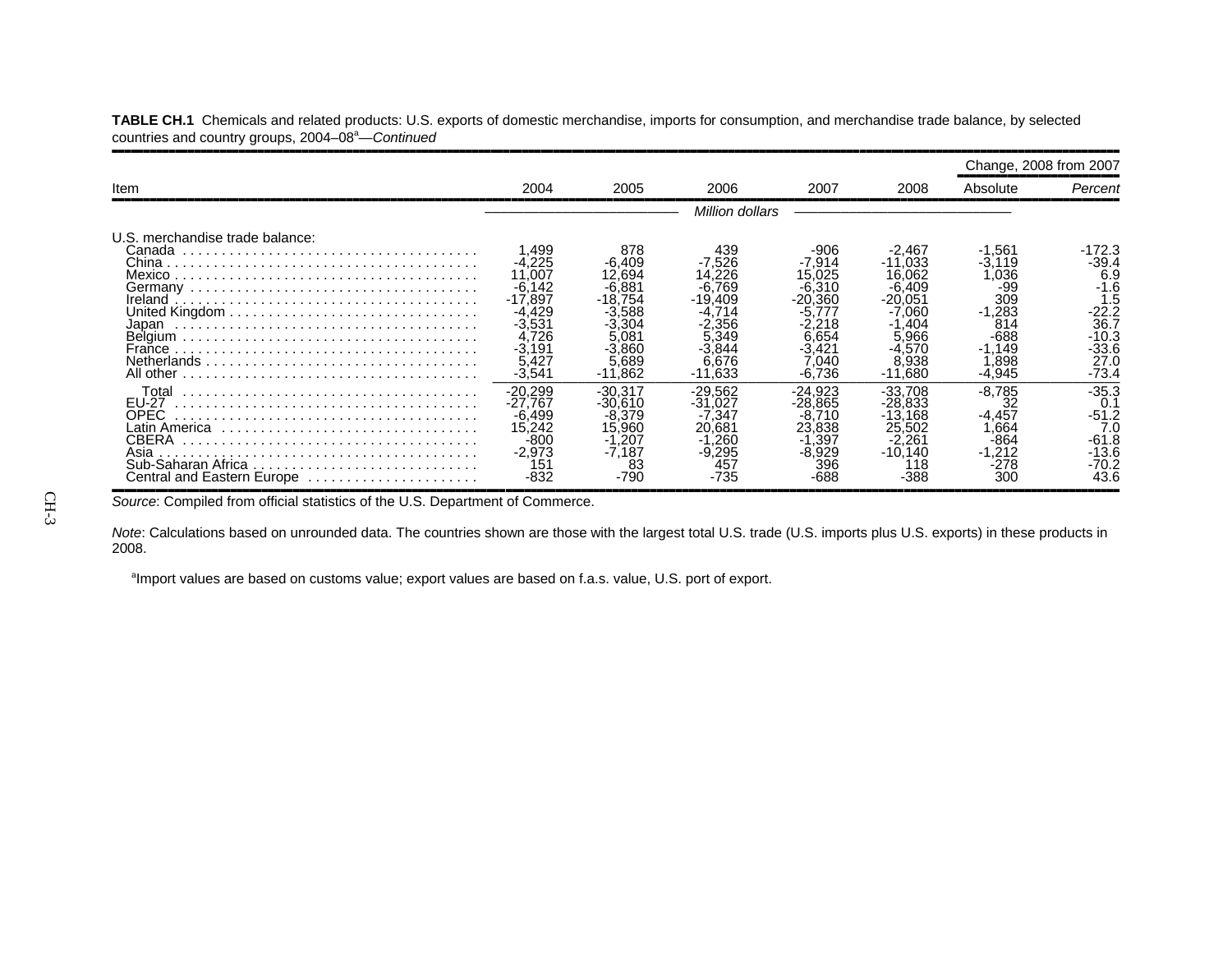|                                                                                               |                                                                                                                   |                                                                                                             |                                                                                  |                                                                                                            |                                                                                                          | Change, 2008 from 2007                                                                                 |                                                                                         |  |  |
|-----------------------------------------------------------------------------------------------|-------------------------------------------------------------------------------------------------------------------|-------------------------------------------------------------------------------------------------------------|----------------------------------------------------------------------------------|------------------------------------------------------------------------------------------------------------|----------------------------------------------------------------------------------------------------------|--------------------------------------------------------------------------------------------------------|-----------------------------------------------------------------------------------------|--|--|
| Item                                                                                          | 2004                                                                                                              | 2005                                                                                                        | 2006                                                                             | 2007                                                                                                       | 2008                                                                                                     | Absolute                                                                                               | Percent                                                                                 |  |  |
|                                                                                               | Million dollars                                                                                                   |                                                                                                             |                                                                                  |                                                                                                            |                                                                                                          |                                                                                                        |                                                                                         |  |  |
| U.S. merchandise trade balance:<br>Canada<br>France<br>Netherlands<br>All other               | .499<br>$-4.225$<br>11.007<br>$-6,142$<br>$-17.897$<br>-4.429<br>-3.531<br>4.726<br>$-3,191$<br>5.427<br>$-3,541$ | 878<br>$-6.409$<br>12.694<br>-6.881<br>-18.754<br>-3.588<br>-3.304<br>5.081<br>$-3.860$<br>5.689<br>-11.862 | 439<br>-7.526<br>.226<br>769<br>$-19.409$<br>.356<br>5.349<br>6.676<br>$-11.633$ | -906<br>$-7.914$<br>15.025<br>-6.310<br>$-20.360$<br>-5.777<br>.218<br>6.654<br>-3,421<br>.040<br>$-6.736$ | -2,467<br>$-11.033$<br>16.062<br>-6.409<br>-20.051<br>060<br>.404<br>5.966<br>-4.570<br>8.938<br>-11.680 | $-1,561$<br>$-3.119$<br>036<br>-99<br>309<br>$-1,283$<br>814<br>$-688$<br>$-1.149$<br>.898<br>$-4,945$ | 172.3<br>$-39.4$<br>6.9<br>$-1.6$<br>1.5<br>36.7<br>$-10.3$<br>-33.6<br>27.0<br>$-73.4$ |  |  |
| Total<br>EU-27<br>OPEC<br>Latin America<br><b>CBERA</b><br>Asia<br>Central and Eastern Europe | $-20.299$<br>$-27.767$<br>$-6.499$<br>15,242<br>-800<br>$-2,973$<br>151<br>-832                                   | -30.317<br>$-30.610$<br>-8.379<br>15.960<br>$-1,207$<br>-7.187<br>83<br>-790                                | $-29.562$<br>$-31.027$<br>7.347<br>20.681<br>,260<br>-9,295<br>457<br>$-735$     | $-24.923$<br>$-28.865$<br>.710<br>-8.<br>23,838<br>$-1.397$<br>-8.929<br>396<br>-688                       | -33.708<br>$-28.833$<br>-13.168<br>25.502<br>-2.261<br>$-10.140$<br>118<br>-388                          | $-8.785$<br>32<br>$-4,457$<br>.664<br>-864<br>$-1.212$<br>-278<br>300                                  | $-35.3$<br>0.1<br>$-51.2$<br>7 <sub>0</sub><br>$-61.8$<br>-13.6<br>$-70.2$<br>43.6      |  |  |

**TABLE CH.1** Chemicals and related products: U.S. exports of domestic merchandise, imports for consumption, and merchandise trade balance, by selected countries and country groups, 2004–08<sup>a</sup>—Continued

Source: Compiled from official statistics of the U.S. Department of Commerce.

*Note*: Calculations based on unrounded data. The countries shown are those with the largest total U.S. trade (U.S. imports plus U.S. exports) in these products in 2008.

<sup>a</sup>Import values are based on customs value; export values are based on f.a.s. value, U.S. port of export.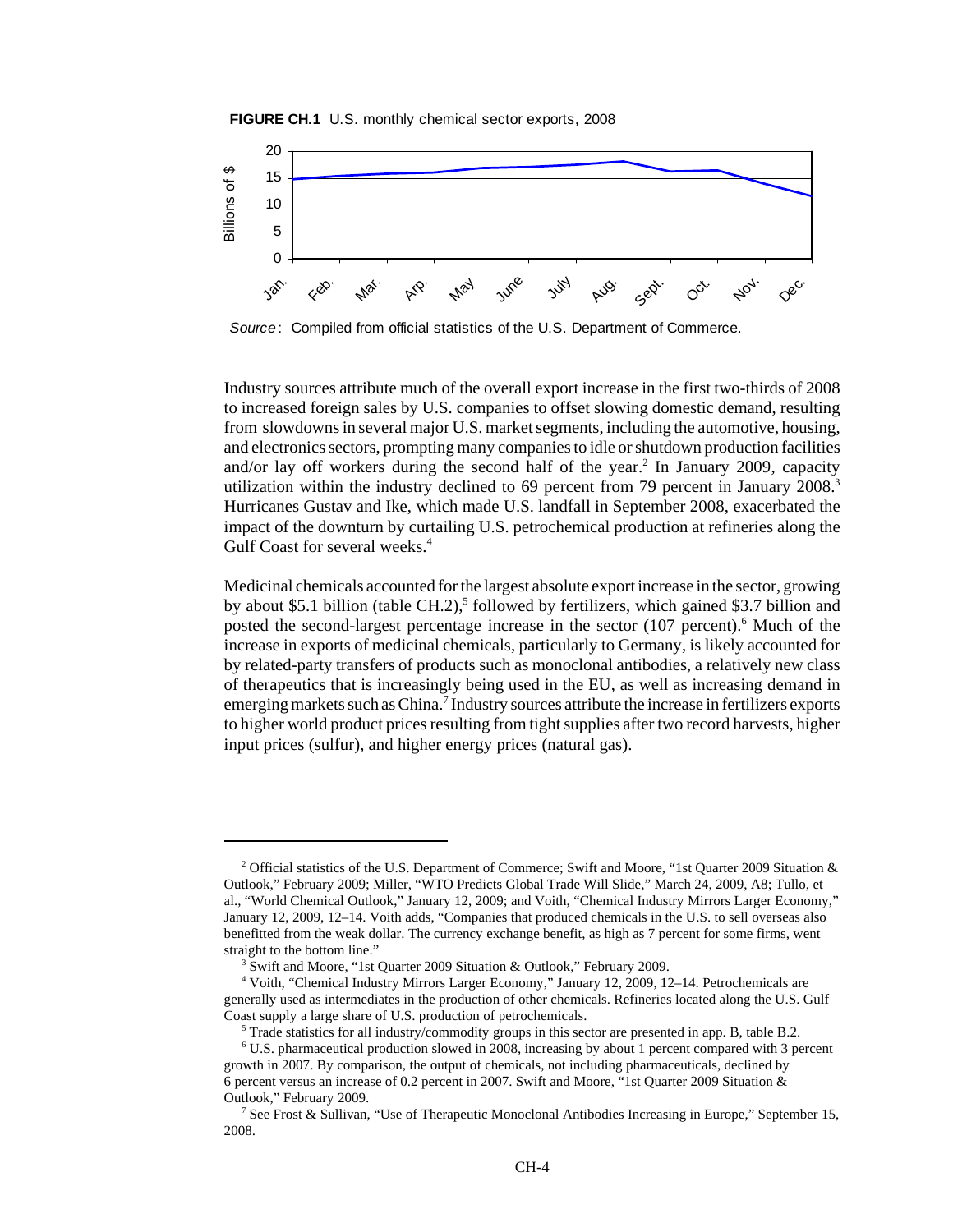



*Source*: Compiled from official statistics of the U.S. Department of Commerce.

Industry sources attribute much of the overall export increase in the first two-thirds of 2008 to increased foreign sales by U.S. companies to offset slowing domestic demand, resulting from slowdowns in several major U.S. market segments, including the automotive, housing, and electronics sectors, prompting many companies to idle or shutdown production facilities and/or lay off workers during the second half of the year.<sup>2</sup> In January 2009, capacity utilization within the industry declined to 69 percent from 79 percent in January 2008.<sup>3</sup> Hurricanes Gustav and Ike, which made U.S. landfall in September 2008, exacerbated the impact of the downturn by curtailing U.S. petrochemical production at refineries along the Gulf Coast for several weeks.<sup>4</sup>

Medicinal chemicals accounted for the largest absolute export increase in the sector, growing by about \$5.1 billion (table CH.2),<sup>5</sup> followed by fertilizers, which gained \$3.7 billion and posted the second-largest percentage increase in the sector (107 percent).<sup>6</sup> Much of the increase in exports of medicinal chemicals, particularly to Germany, is likely accounted for by related-party transfers of products such as monoclonal antibodies, a relatively new class of therapeutics that is increasingly being used in the EU, as well as increasing demand in emerging markets such as China.<sup>7</sup> Industry sources attribute the increase in fertilizers exports to higher world product prices resulting from tight supplies after two record harvests, higher input prices (sulfur), and higher energy prices (natural gas).

<sup>&</sup>lt;sup>2</sup> Official statistics of the U.S. Department of Commerce; Swift and Moore, "1st Quarter 2009 Situation & Outlook," February 2009; Miller, "WTO Predicts Global Trade Will Slide," March 24, 2009, A8; Tullo, et al., "World Chemical Outlook," January 12, 2009; and Voith, "Chemical Industry Mirrors Larger Economy," January 12, 2009, 12–14. Voith adds, "Companies that produced chemicals in the U.S. to sell overseas also benefitted from the weak dollar. The currency exchange benefit, as high as 7 percent for some firms, went straight to the bottom line."

<sup>&</sup>lt;sup>3</sup> Swift and Moore, "1st Quarter 2009 Situation & Outlook," February 2009.

 <sup>4</sup> Voith, "Chemical Industry Mirrors Larger Economy," January 12, 2009, 12–14. Petrochemicals are generally used as intermediates in the production of other chemicals. Refineries located along the U.S. Gulf Coast supply a large share of U.S. production of petrochemicals.

 <sup>5</sup> Trade statistics for all industry/commodity groups in this sector are presented in app. B, table B.2.

 <sup>6</sup> U.S. pharmaceutical production slowed in 2008, increasing by about 1 percent compared with 3 percent growth in 2007. By comparison, the output of chemicals, not including pharmaceuticals, declined by 6 percent versus an increase of 0.2 percent in 2007. Swift and Moore, "1st Quarter 2009 Situation & Outlook," February 2009.

 <sup>7</sup> See Frost & Sullivan, "Use of Therapeutic Monoclonal Antibodies Increasing in Europe," September 15, 2008.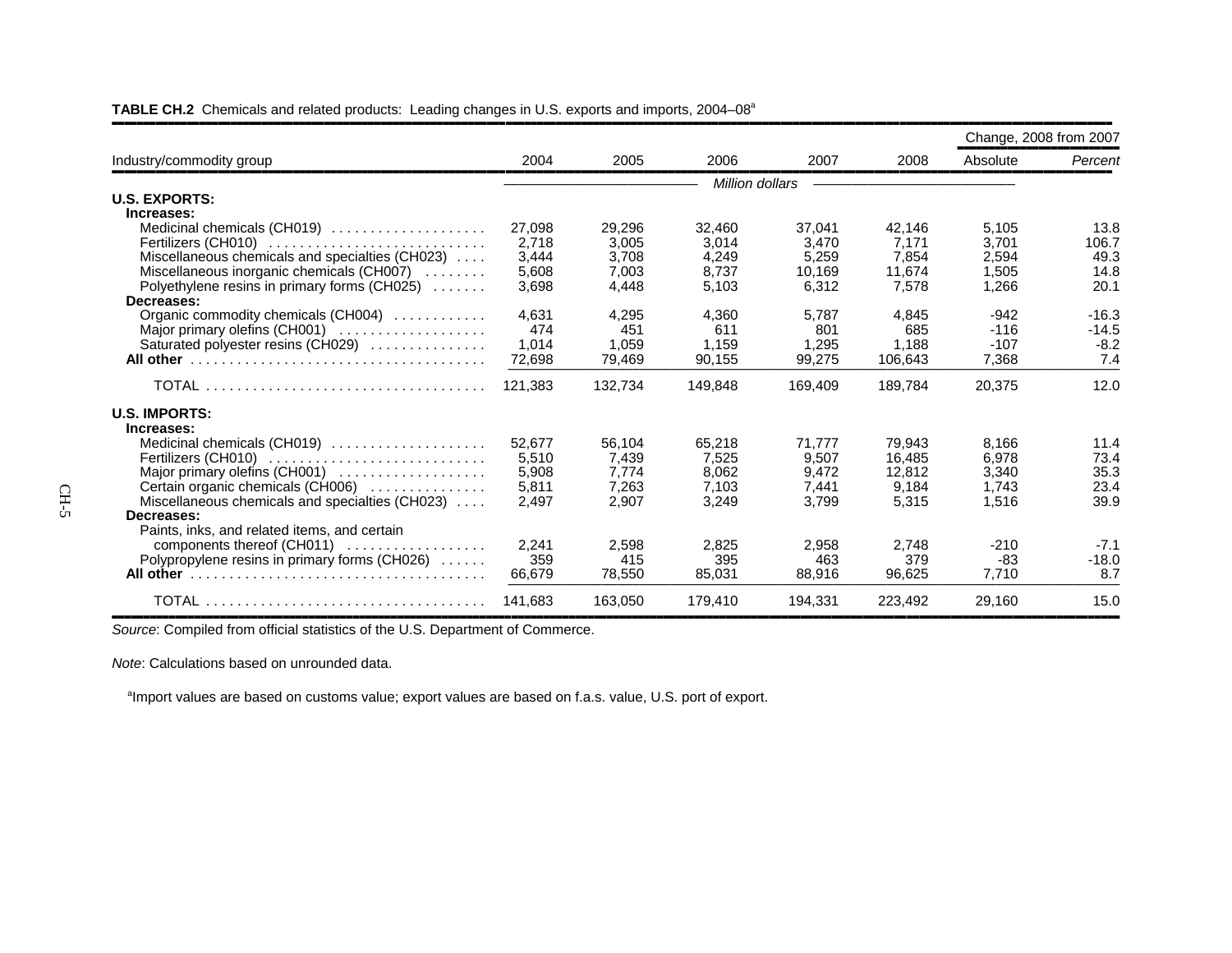| Industry/commodity group                        |         |         |                 |         |         | Change, 2008 from 2007 |         |
|-------------------------------------------------|---------|---------|-----------------|---------|---------|------------------------|---------|
|                                                 | 2004    | 2005    | 2006            | 2007    | 2008    | Absolute               | Percent |
|                                                 |         |         | Million dollars |         |         |                        |         |
| <b>U.S. EXPORTS:</b>                            |         |         |                 |         |         |                        |         |
| Increases:                                      |         |         |                 |         |         |                        |         |
| Medicinal chemicals (CH019)                     | 27,098  | 29,296  | 32,460          | 37,041  | 42,146  | 5,105                  | 13.8    |
| Fertilizers (CH010)                             | 2.718   | 3.005   | 3.014           | 3.470   | 7.171   | 3.701                  | 106.7   |
| Miscellaneous chemicals and specialties (CH023) | 3,444   | 3,708   | 4,249           | 5,259   | 7,854   | 2,594                  | 49.3    |
| Miscellaneous inorganic chemicals (CH007)       | 5,608   | 7,003   | 8,737           | 10,169  | 11,674  | 1,505                  | 14.8    |
| Polyethylene resins in primary forms (CH025)    | 3,698   | 4,448   | 5,103           | 6,312   | 7,578   | 1,266                  | 20.1    |
| Decreases:                                      |         |         |                 |         |         |                        |         |
| Organic commodity chemicals (CH004)             | 4.631   | 4,295   | 4.360           | 5.787   | 4.845   | $-942$                 | $-16.3$ |
| Major primary olefins (CH001)                   | 474     | 451     | 611             | 801     | 685     | $-116$                 | $-14.5$ |
| Saturated polyester resins (CH029)              | 1.014   | 1,059   | 1,159           | 1,295   | 1,188   | $-107$                 | $-8.2$  |
|                                                 | 72,698  | 79,469  | 90,155          | 99,275  | 106,643 | 7,368                  | 7.4     |
|                                                 | 121,383 | 132,734 | 149,848         | 169,409 | 189,784 | 20,375                 | 12.0    |
| <b>U.S. IMPORTS:</b>                            |         |         |                 |         |         |                        |         |
| Increases:                                      |         |         |                 |         |         |                        |         |
| Medicinal chemicals (CH019)                     | 52,677  | 56,104  | 65,218          | 71.777  | 79,943  | 8.166                  | 11.4    |
| Fertilizers (CH010)                             | 5,510   | 7,439   | 7,525           | 9,507   | 16,485  | 6,978                  | 73.4    |
| Major primary olefins (CH001)                   | 5,908   | 7.774   | 8.062           | 9,472   | 12.812  | 3,340                  | 35.3    |
| Certain organic chemicals (CH006)               | 5,811   | 7,263   | 7.103           | 7,441   | 9,184   | 1.743                  | 23.4    |
| Miscellaneous chemicals and specialties (CH023) | 2.497   | 2.907   | 3,249           | 3,799   | 5,315   | 1,516                  | 39.9    |
| Decreases:                                      |         |         |                 |         |         |                        |         |
| Paints, inks, and related items, and certain    |         |         |                 |         |         |                        |         |
| components thereof (CH011)                      | 2,241   | 2,598   | 2,825           | 2,958   | 2.748   | $-210$                 | $-7.1$  |
| Polypropylene resins in primary forms (CH026)   | 359     | 415     | 395             | 463     | 379     | -83                    | $-18.0$ |
|                                                 | 66.679  | 78.550  | 85.031          | 88,916  | 96.625  | 7.710                  | 8.7     |
|                                                 | 141.683 | 163.050 | 179.410         | 194,331 | 223,492 | 29,160                 | 15.0    |

#### TABLE CH.2 Chemicals and related products: Leading changes in U.S. exports and imports, 2004–08<sup>a</sup>

,,,,,,,,,,,,,,,,,,,,,,,,,,,,,,,,,,,,,,,,,,,,,,,,,,,,,,,,,,,,,,,,,,,,,,,,,,,,,,,,,,,,,,,,,,,,,,,,,,,,,,,,,,,,,,,,,,,,,,,,,,,,,,,,,,,,,,,,,,,,,,,,,,,,,,,,,,,,,,,,*Source*: Compiled from official statistics of the U.S. Department of Commerce.

*Note*: Calculations based on unrounded data.

<sup>a</sup>Import values are based on customs value; export values are based on f.a.s. value, U.S. port of export.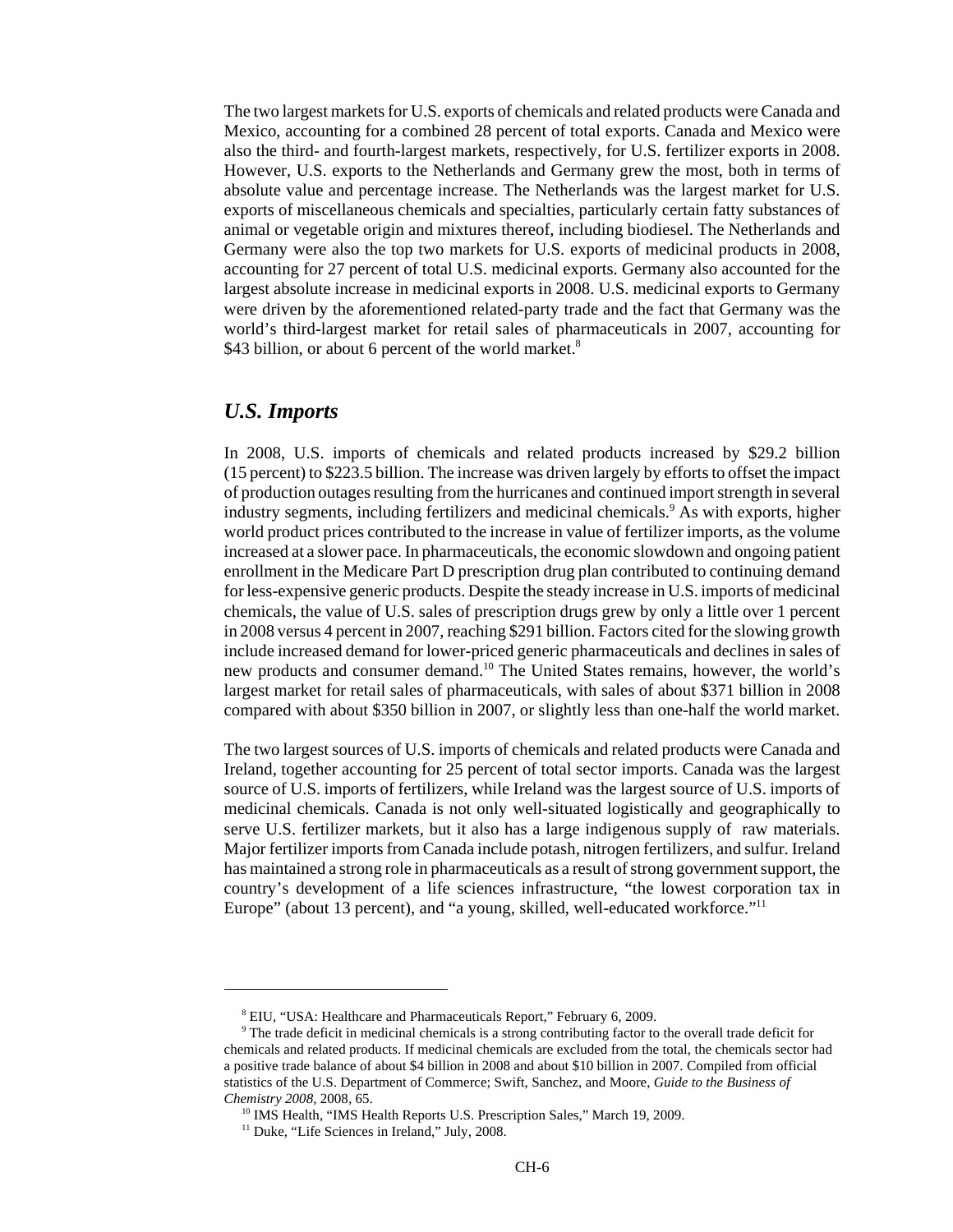The two largest markets for U.S. exports of chemicals and related products were Canada and Mexico, accounting for a combined 28 percent of total exports. Canada and Mexico were also the third- and fourth-largest markets, respectively, for U.S. fertilizer exports in 2008. However, U.S. exports to the Netherlands and Germany grew the most, both in terms of absolute value and percentage increase. The Netherlands was the largest market for U.S. exports of miscellaneous chemicals and specialties, particularly certain fatty substances of animal or vegetable origin and mixtures thereof, including biodiesel. The Netherlands and Germany were also the top two markets for U.S. exports of medicinal products in 2008, accounting for 27 percent of total U.S. medicinal exports. Germany also accounted for the largest absolute increase in medicinal exports in 2008. U.S. medicinal exports to Germany were driven by the aforementioned related-party trade and the fact that Germany was the world's third-largest market for retail sales of pharmaceuticals in 2007, accounting for \$43 billion, or about 6 percent of the world market.<sup>8</sup>

#### *U.S. Imports*

In 2008, U.S. imports of chemicals and related products increased by \$29.2 billion (15 percent) to \$223.5 billion. The increase was driven largely by efforts to offset the impact of production outages resulting from the hurricanes and continued import strength in several industry segments, including fertilizers and medicinal chemicals.<sup>9</sup> As with exports, higher world product prices contributed to the increase in value of fertilizer imports, as the volume increased at a slower pace. In pharmaceuticals, the economic slowdown and ongoing patient enrollment in the Medicare Part D prescription drug plan contributed to continuing demand for less-expensive generic products. Despite the steady increase in U.S. imports of medicinal chemicals, the value of U.S. sales of prescription drugs grew by only a little over 1 percent in 2008 versus 4 percent in 2007, reaching \$291 billion. Factors cited for the slowing growth include increased demand for lower-priced generic pharmaceuticals and declines in sales of new products and consumer demand.10 The United States remains, however, the world's largest market for retail sales of pharmaceuticals, with sales of about \$371 billion in 2008 compared with about \$350 billion in 2007, or slightly less than one-half the world market.

The two largest sources of U.S. imports of chemicals and related products were Canada and Ireland, together accounting for 25 percent of total sector imports. Canada was the largest source of U.S. imports of fertilizers, while Ireland was the largest source of U.S. imports of medicinal chemicals. Canada is not only well-situated logistically and geographically to serve U.S. fertilizer markets, but it also has a large indigenous supply of raw materials. Major fertilizer imports from Canada include potash, nitrogen fertilizers, and sulfur. Ireland has maintained a strong role in pharmaceuticals as a result of strong government support, the country's development of a life sciences infrastructure, "the lowest corporation tax in Europe" (about 13 percent), and "a young, skilled, well-educated workforce."<sup>11</sup>

 <sup>8</sup> EIU, "USA: Healthcare and Pharmaceuticals Report," February 6, 2009.

 <sup>9</sup> The trade deficit in medicinal chemicals is a strong contributing factor to the overall trade deficit for chemicals and related products. If medicinal chemicals are excluded from the total, the chemicals sector had a positive trade balance of about \$4 billion in 2008 and about \$10 billion in 2007. Compiled from official statistics of the U.S. Department of Commerce; Swift, Sanchez, and Moore, *Guide to the Business of Chemistry 2008*, 2008, 65.

<sup>&</sup>lt;sup>10</sup> IMS Health, "IMS Health Reports U.S. Prescription Sales," March 19, 2009.

<sup>&</sup>lt;sup>11</sup> Duke, "Life Sciences in Ireland," July, 2008.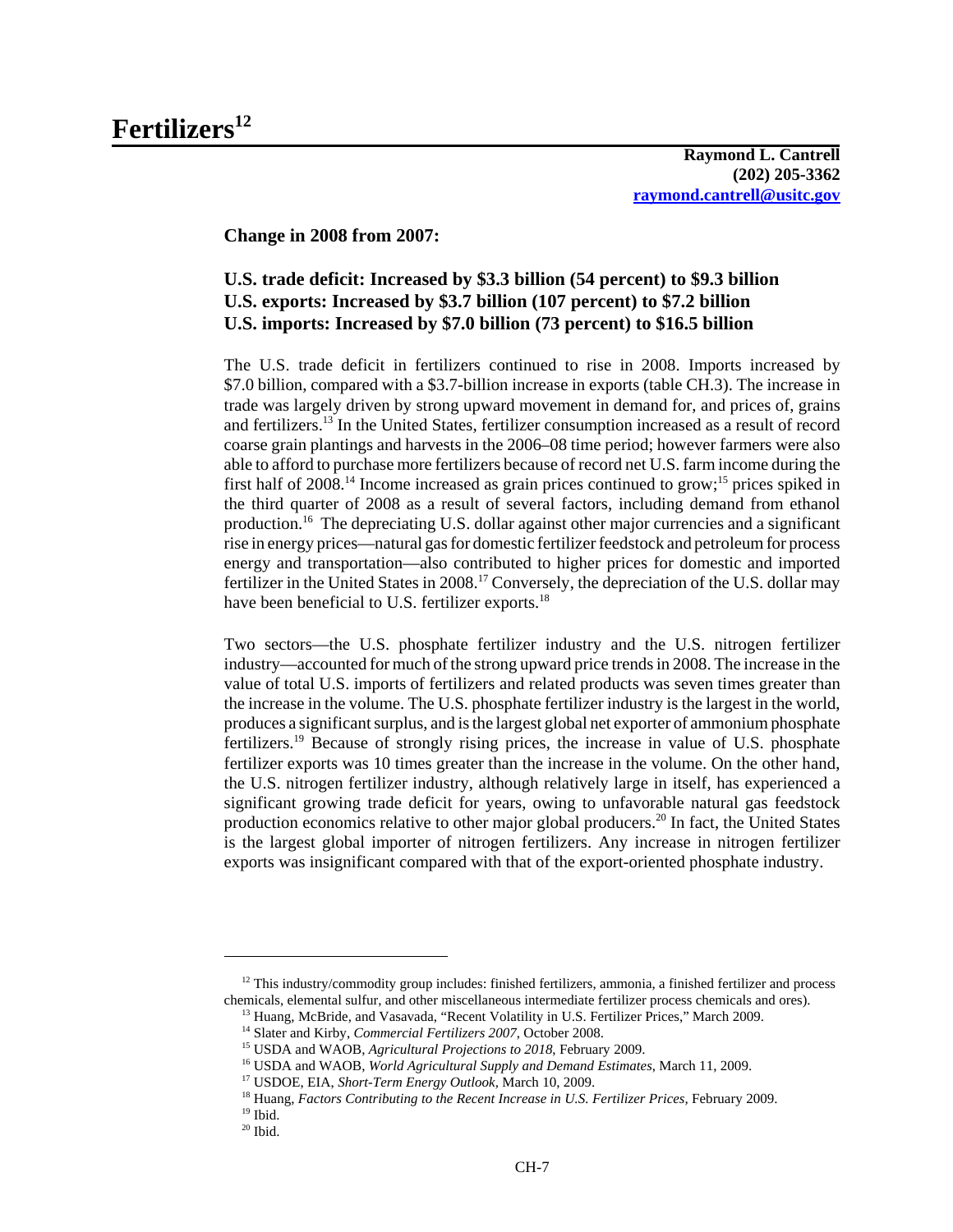**Raymond L. Cantrell (202) 205-3362 raymond.cantrell@usitc.gov**

**Change in 2008 from 2007:**

#### **U.S. trade deficit: Increased by \$3.3 billion (54 percent) to \$9.3 billion U.S. exports: Increased by \$3.7 billion (107 percent) to \$7.2 billion U.S. imports: Increased by \$7.0 billion (73 percent) to \$16.5 billion**

The U.S. trade deficit in fertilizers continued to rise in 2008. Imports increased by \$7.0 billion, compared with a \$3.7-billion increase in exports (table CH.3). The increase in trade was largely driven by strong upward movement in demand for, and prices of, grains and fertilizers.13 In the United States, fertilizer consumption increased as a result of record coarse grain plantings and harvests in the 2006–08 time period; however farmers were also able to afford to purchase more fertilizers because of record net U.S. farm income during the first half of  $2008$ <sup>14</sup> Income increased as grain prices continued to grow;<sup>15</sup> prices spiked in the third quarter of 2008 as a result of several factors, including demand from ethanol production.16 The depreciating U.S. dollar against other major currencies and a significant rise in energy prices—natural gas for domestic fertilizer feedstock and petroleum for process energy and transportation—also contributed to higher prices for domestic and imported fertilizer in the United States in 2008.<sup>17</sup> Conversely, the depreciation of the U.S. dollar may have been beneficial to U.S. fertilizer exports.<sup>18</sup>

Two sectors—the U.S. phosphate fertilizer industry and the U.S. nitrogen fertilizer industry—accounted for much of the strong upward price trends in 2008. The increase in the value of total U.S. imports of fertilizers and related products was seven times greater than the increase in the volume. The U.S. phosphate fertilizer industry is the largest in the world, produces a significant surplus, and is the largest global net exporter of ammonium phosphate fertilizers.19 Because of strongly rising prices, the increase in value of U.S. phosphate fertilizer exports was 10 times greater than the increase in the volume. On the other hand, the U.S. nitrogen fertilizer industry, although relatively large in itself, has experienced a significant growing trade deficit for years, owing to unfavorable natural gas feedstock production economics relative to other major global producers.20 In fact, the United States is the largest global importer of nitrogen fertilizers. Any increase in nitrogen fertilizer exports was insignificant compared with that of the export-oriented phosphate industry.

 $12$  This industry/commodity group includes: finished fertilizers, ammonia, a finished fertilizer and process chemicals, elemental sulfur, and other miscellaneous intermediate fertilizer process chemicals and ores).

<sup>&</sup>lt;sup>13</sup> Huang, McBride, and Vasavada, "Recent Volatility in U.S. Fertilizer Prices," March 2009.

 <sup>14</sup> Slater and Kirby, *Commercial Fertilizers 2007*, October 2008.

 <sup>15</sup> USDA and WAOB, *Agricultural Projections to 2018*, February 2009.

 <sup>16</sup> USDA and WAOB, *World Agricultural Supply and Demand Estimates*, March 11, 2009.

 <sup>17</sup> USDOE, EIA, *Short-Term Energy Outlook,* March 10, 2009.

 <sup>18</sup> Huang, *Factors Contributing to the Recent Increase in U.S. Fertilizer Prices,* February 2009.

 $^{\rm 19}$  Ibid.

 $20$  Ibid.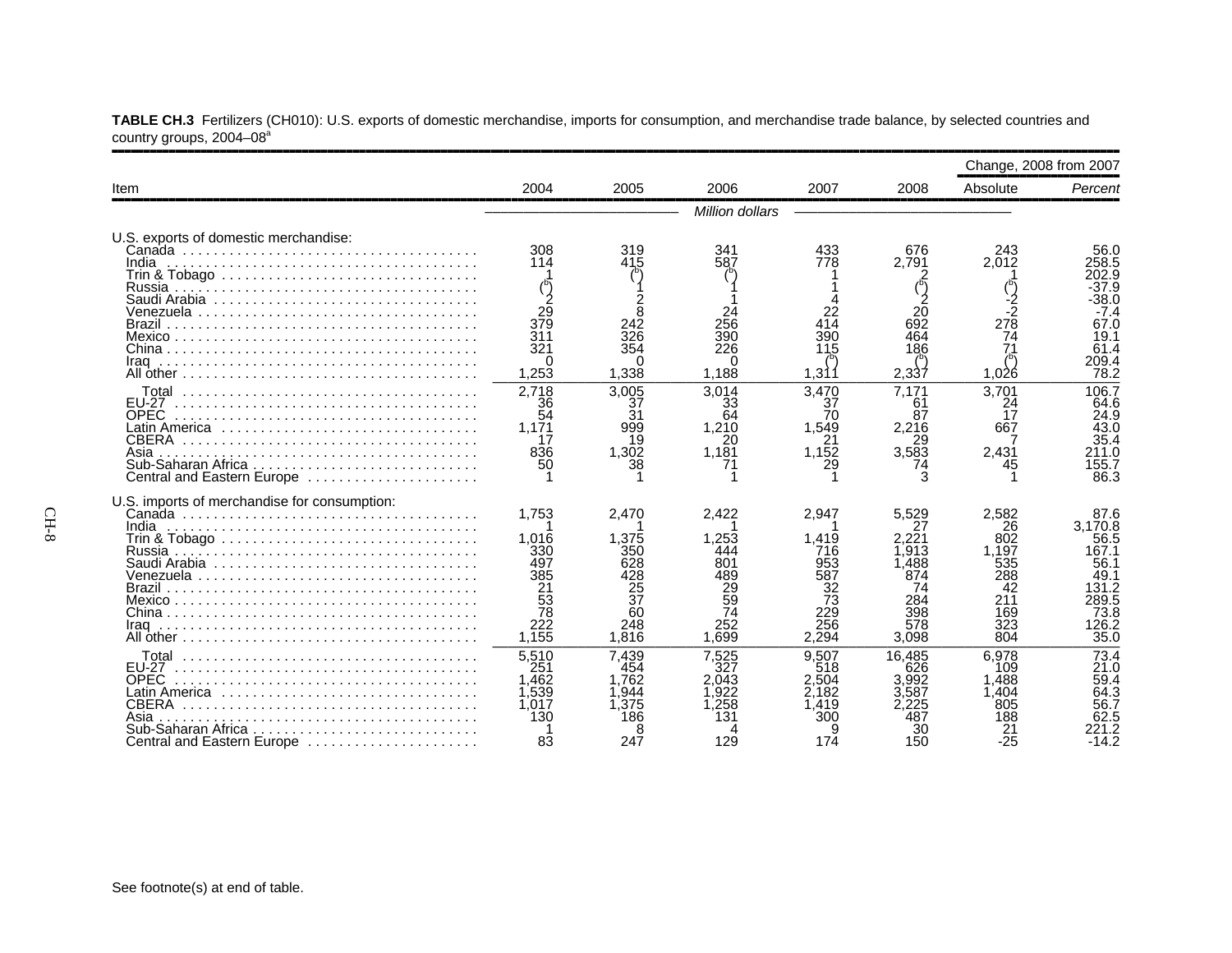|                                                                                                                   |                                                                              |                                                                              |                                                                             |                                                                        |                                                                                 | Change, 2008 from 2007                                                     |                                                                                             |
|-------------------------------------------------------------------------------------------------------------------|------------------------------------------------------------------------------|------------------------------------------------------------------------------|-----------------------------------------------------------------------------|------------------------------------------------------------------------|---------------------------------------------------------------------------------|----------------------------------------------------------------------------|---------------------------------------------------------------------------------------------|
| Item                                                                                                              | 2004                                                                         | 2005                                                                         | 2006                                                                        | 2007                                                                   | 2008                                                                            | Absolute                                                                   | Percent                                                                                     |
|                                                                                                                   |                                                                              |                                                                              | Million dollars                                                             |                                                                        |                                                                                 |                                                                            |                                                                                             |
| U.S. exports of domestic merchandise:<br>India                                                                    | 308<br>114<br>$\frac{29}{379}$<br>311<br>321                                 | 319<br>415<br>354                                                            | 341<br>587<br>256<br>390<br>226                                             | 433<br>778<br>414<br>390<br>115                                        | 676<br>2.791<br>692<br>464<br>186                                               | 243<br>2,012<br>2۔<br>278<br>74                                            | 56.0<br>258.5<br>202.9<br>37.9<br>38.0<br>$-7.4$<br>67.0<br>19.1<br>61.4                    |
| Iraq                                                                                                              | 1,253<br>2.718                                                               | 1,338<br>3.005                                                               | 1,188<br>3.014                                                              | 1,311<br>3,470                                                         | 2,337<br>7.171                                                                  | 1,026<br>3.701                                                             | 209.4<br>78.2<br>106.7                                                                      |
| <b>FU-27</b><br><b>OPEC</b><br><b>CBERA</b><br>Asia<br>Central and Eastern Europe                                 | 36<br>54<br>1.171<br>17<br>836<br>50                                         | 37<br>31<br>999<br>19<br>1,302<br>38                                         | 33<br>64<br>1,210<br>20<br>1,181                                            | 37<br>70<br>1,549<br>21<br>1,152<br>29                                 | 61<br>87<br>2,216<br>29<br>3.583                                                | 24<br>17<br>667<br>2.431                                                   | 64.6<br>24.9<br>43.0<br>35.4<br>211.0<br>155.7<br>86.3                                      |
| U.S. imports of merchandise for consumption:<br>India<br>Iraq                                                     | 1.753<br>1.016<br>330<br>497<br>385<br>$\frac{21}{53}$<br>78<br>222<br>1,155 | 2.470<br>1.375<br>350<br>628<br>428<br>$\frac{25}{37}$<br>60<br>248<br>1.816 | 2.422<br>.253<br>444<br>801<br>489<br>$\frac{29}{59}$<br>74<br>252<br>1.699 | 2,947<br>1.419<br>716<br>953<br>587<br>32<br>73<br>229<br>256<br>2,294 | 5.529<br>27<br>.221<br>.913<br>1.488<br>874<br>74<br>284<br>398<br>578<br>3.098 | 2,582<br>26<br>802<br>.197<br>535<br>288<br>42<br>211<br>169<br>323<br>804 | 87.6<br>3,170.8<br>56.5<br>167.1<br>56.1<br>49.1<br>131.2<br>289.5<br>73.8<br>126.2<br>35.0 |
| <b>FU-27</b><br><b>OPEC</b><br>Latin America<br>CBERA<br>Asia<br>Sub-Saharan Africa<br>Central and Eastern Europe | 5,510<br>251<br>.462<br>1.539<br>1,017<br>130<br>83                          | 7,439<br>454<br>1.762<br>1.944<br>1.375<br>186<br>247                        | 7,525<br>327<br>2.043<br>.922<br>.258<br>131<br>129                         | 9.507<br>518<br>2.504<br>2.182<br>.419<br>300<br>174                   | 16.485<br>626<br>.992<br>587<br>48.<br>150                                      | 6.978<br>109<br>.488<br>.404<br>805<br>188<br>21<br>$-25$                  | 73.4<br>21.0<br>59.4<br>64.3<br>56.7<br>62.5<br>$-14.2$                                     |

**TABLE CH.3** Fertilizers (CH010): U.S. exports of domestic merchandise, imports for consumption, and merchandise trade balance, by selected countries and country groups, 2004–08ª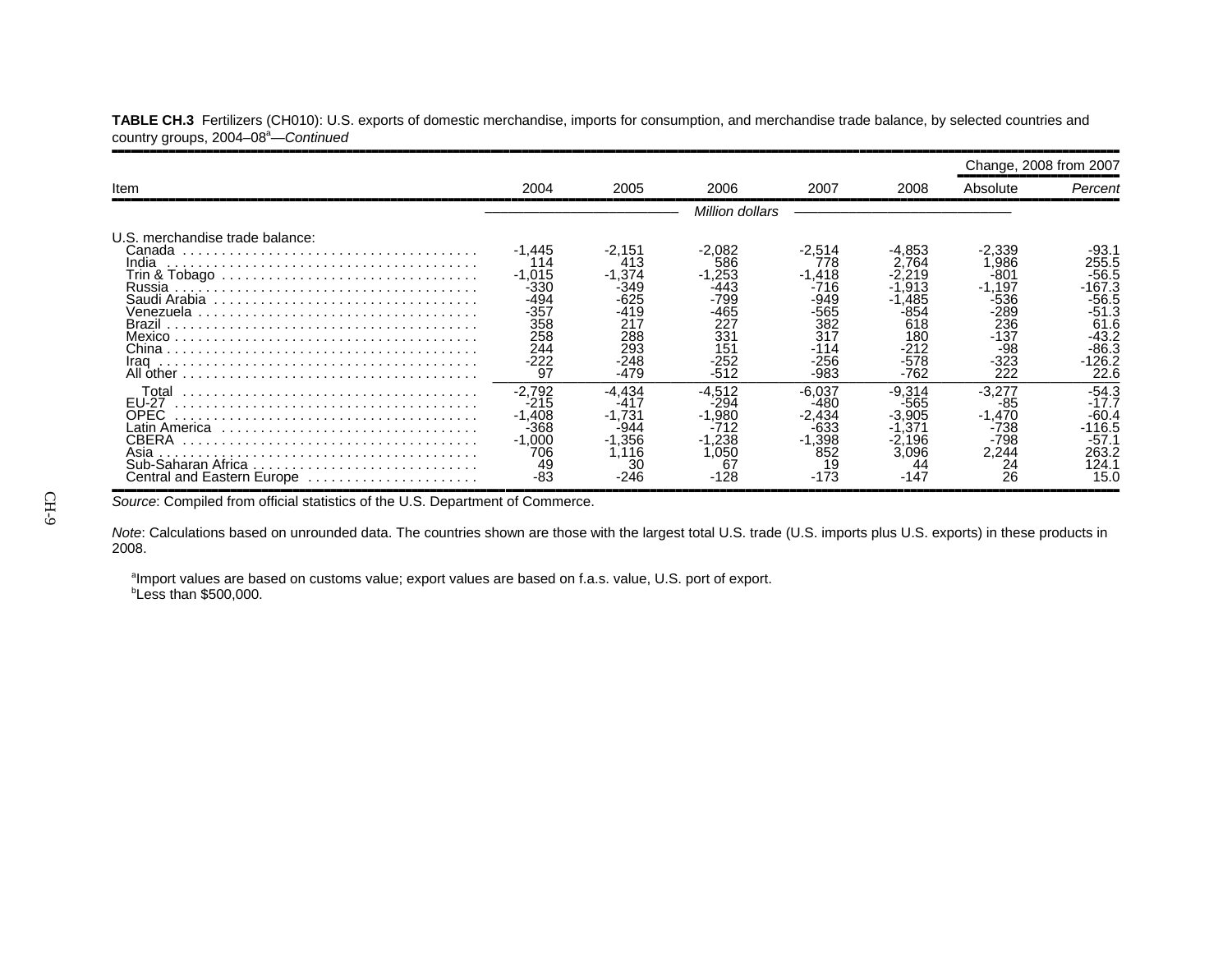|                                                                                                             |                                                                                     |                                                                                 |                                                                                      |                                                                                  |                                                                              | Change, 2008 from 2007                                                                  |                                                                                                      |
|-------------------------------------------------------------------------------------------------------------|-------------------------------------------------------------------------------------|---------------------------------------------------------------------------------|--------------------------------------------------------------------------------------|----------------------------------------------------------------------------------|------------------------------------------------------------------------------|-----------------------------------------------------------------------------------------|------------------------------------------------------------------------------------------------------|
| Item                                                                                                        | 2004                                                                                | 2005                                                                            | 2006                                                                                 | 2007                                                                             | 2008                                                                         | Absolute                                                                                | Percent                                                                                              |
|                                                                                                             |                                                                                     |                                                                                 | Million dollars                                                                      |                                                                                  |                                                                              |                                                                                         |                                                                                                      |
| U.S. merchandise trade balance:<br>Canada<br>India<br>Russia                                                | $-1,445$<br>$-1.015$<br>-330<br>-494<br>$-357$<br>358<br>258<br>244<br>$-222$<br>97 | $-2,151$<br>413<br>$-1.374$<br>349<br>-419<br>217<br>288<br>293<br>-248<br>-479 | -2.082<br>586<br>-1,253<br>-443<br>-799<br>-465<br>227<br>331<br>151<br>-252<br>-512 | $-2,514$<br>778<br>$-1,418$<br>-716<br>-949<br>-565<br>382<br>317<br>256<br>-983 | 4.853<br>764<br>.913<br>.485<br>-854<br>618<br>180<br>-212<br>$-578$<br>-762 | -2,339<br>.986<br>-801<br>$-1.197$<br>-536<br>-289<br>236<br>-137<br>-98<br>-323<br>222 | -93.1<br>255.5<br>$-56.5$<br>$-167.3$<br>$-56.5$<br>-51.3<br>61.6<br>-43.2<br>-86.3<br>126.2<br>22.6 |
| Total<br><b>EU-27</b><br>OPEC.<br>Latin America<br>Asia<br>Sub-Saharan Africa<br>Central and Eastern Europe | $-2.792$<br>-215<br>$-1,408$<br>-368<br>$-1.000$<br>706<br>49<br>-83                | $-4.434$<br>-417<br>$-1,731$<br>$-944$<br>$-1,356$<br>.116<br>ЗС<br>-246        | -4.512<br>-294<br>-1.980<br>$-1,238$<br>.050<br>67<br>-128                           | -6.037<br>-480<br>-2,434<br>-633<br>$-1,398$<br>852<br>19<br>-173                | -9.314<br>-565<br>.905<br>37<br>2.196<br>3.096<br>-147                       | $-3.277$<br>-85<br>$-1,470$<br>-738<br>-798<br>2,244<br>$^{24}_{26}$                    | $-54.3$<br>-17.7<br>$-60.4$<br>116.5<br>-57.1<br>263.2<br>124.1<br>15.0                              |

**TABLE CH.3** Fertilizers (CH010): U.S. exports of domestic merchandise, imports for consumption, and merchandise trade balance, by selected countries and country groups, 2004–08<sup>a</sup>—*Continued* 

Source: Compiled from official statistics of the U.S. Department of Commerce.

*Note*: Calculations based on unrounded data. The countries shown are those with the largest total U.S. trade (U.S. imports plus U.S. exports) in these products in 2008.

<sup>a</sup>Import values are based on customs value; export values are based on f.a.s. value, U.S. port of export. *b***Less than \$500,000.**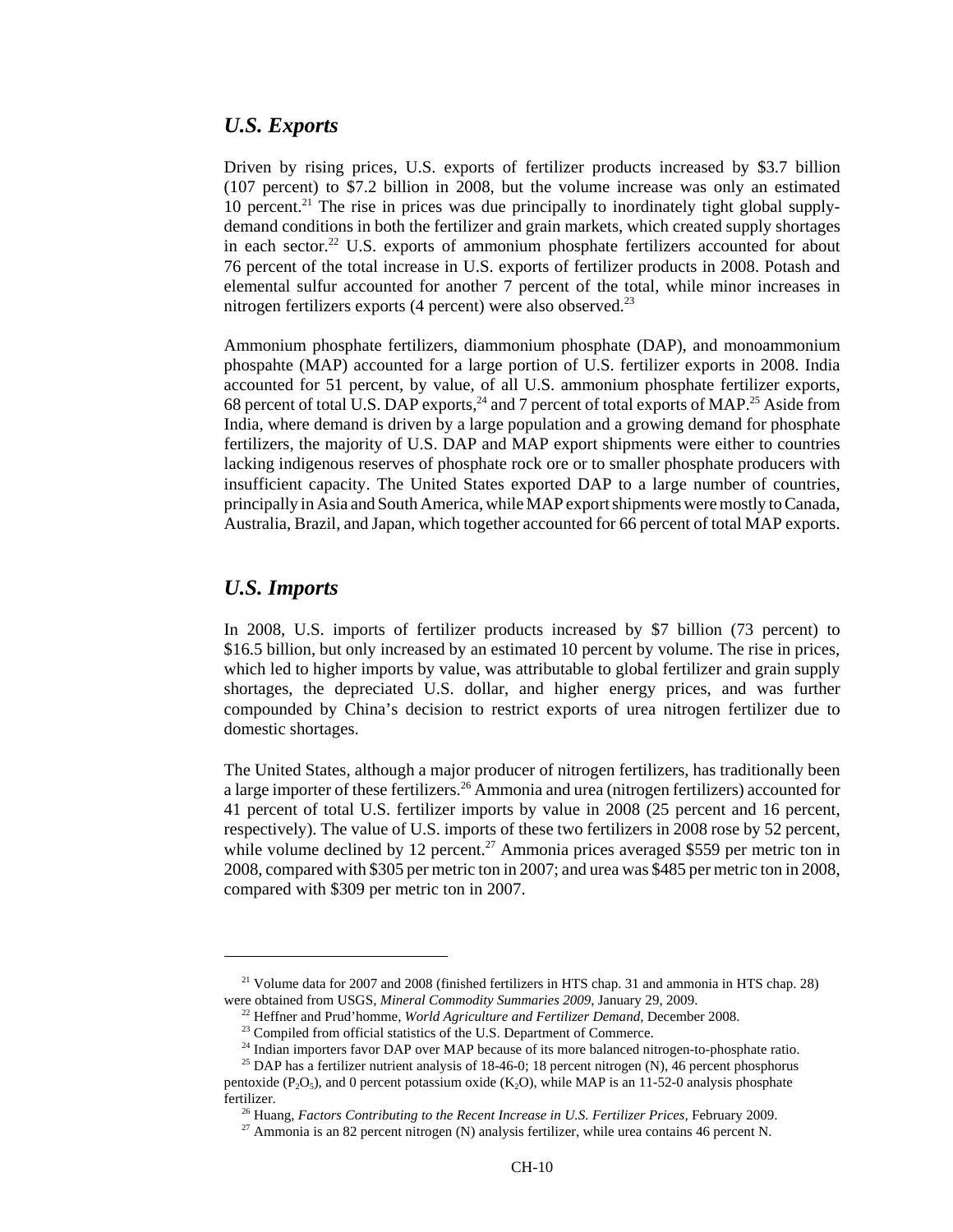#### *U.S. Exports*

Driven by rising prices, U.S. exports of fertilizer products increased by \$3.7 billion (107 percent) to \$7.2 billion in 2008, but the volume increase was only an estimated 10 percent.<sup>21</sup> The rise in prices was due principally to inordinately tight global supplydemand conditions in both the fertilizer and grain markets, which created supply shortages in each sector.<sup>22</sup> U.S. exports of ammonium phosphate fertilizers accounted for about 76 percent of the total increase in U.S. exports of fertilizer products in 2008. Potash and elemental sulfur accounted for another 7 percent of the total, while minor increases in nitrogen fertilizers exports  $(4$  percent) were also observed.<sup>23</sup>

Ammonium phosphate fertilizers, diammonium phosphate (DAP), and monoammonium phospahte (MAP) accounted for a large portion of U.S. fertilizer exports in 2008. India accounted for 51 percent, by value, of all U.S. ammonium phosphate fertilizer exports, 68 percent of total U.S. DAP exports,  $^{24}$  and 7 percent of total exports of MAP.<sup>25</sup> Aside from India, where demand is driven by a large population and a growing demand for phosphate fertilizers, the majority of U.S. DAP and MAP export shipments were either to countries lacking indigenous reserves of phosphate rock ore or to smaller phosphate producers with insufficient capacity. The United States exported DAP to a large number of countries, principally in Asia and South America, while MAP export shipments were mostly to Canada, Australia, Brazil, and Japan, which together accounted for 66 percent of total MAP exports.

#### *U.S. Imports*

In 2008, U.S. imports of fertilizer products increased by \$7 billion (73 percent) to \$16.5 billion, but only increased by an estimated 10 percent by volume. The rise in prices, which led to higher imports by value, was attributable to global fertilizer and grain supply shortages, the depreciated U.S. dollar, and higher energy prices, and was further compounded by China's decision to restrict exports of urea nitrogen fertilizer due to domestic shortages.

The United States, although a major producer of nitrogen fertilizers, has traditionally been a large importer of these fertilizers.<sup>26</sup> Ammonia and urea (nitrogen fertilizers) accounted for 41 percent of total U.S. fertilizer imports by value in 2008 (25 percent and 16 percent, respectively). The value of U.S. imports of these two fertilizers in 2008 rose by 52 percent, while volume declined by 12 percent.<sup>27</sup> Ammonia prices averaged \$559 per metric ton in 2008, compared with \$305 per metric ton in 2007; and urea was \$485 per metric ton in 2008, compared with \$309 per metric ton in 2007.

<sup>&</sup>lt;sup>21</sup> Volume data for 2007 and 2008 (finished fertilizers in HTS chap. 31 and ammonia in HTS chap. 28) were obtained from USGS, *Mineral Commodity Summaries 2009,* January 29, 2009.

 <sup>22</sup> Heffner and Prud'homme, *World Agriculture and Fertilizer Demand,* December 2008.

<sup>&</sup>lt;sup>23</sup> Compiled from official statistics of the U.S. Department of Commerce.

<sup>&</sup>lt;sup>24</sup> Indian importers favor DAP over MAP because of its more balanced nitrogen-to-phosphate ratio.

<sup>&</sup>lt;sup>25</sup> DAP has a fertilizer nutrient analysis of 18-46-0; 18 percent nitrogen (N), 46 percent phosphorus pentoxide  $(P_2O_5)$ , and 0 percent potassium oxide  $(K_2O)$ , while MAP is an 11-52-0 analysis phosphate fertilizer.

 <sup>26</sup> Huang, *Factors Contributing to the Recent Increase in U.S. Fertilizer Prices,* February 2009.

<sup>&</sup>lt;sup>27</sup> Ammonia is an 82 percent nitrogen (N) analysis fertilizer, while urea contains 46 percent N.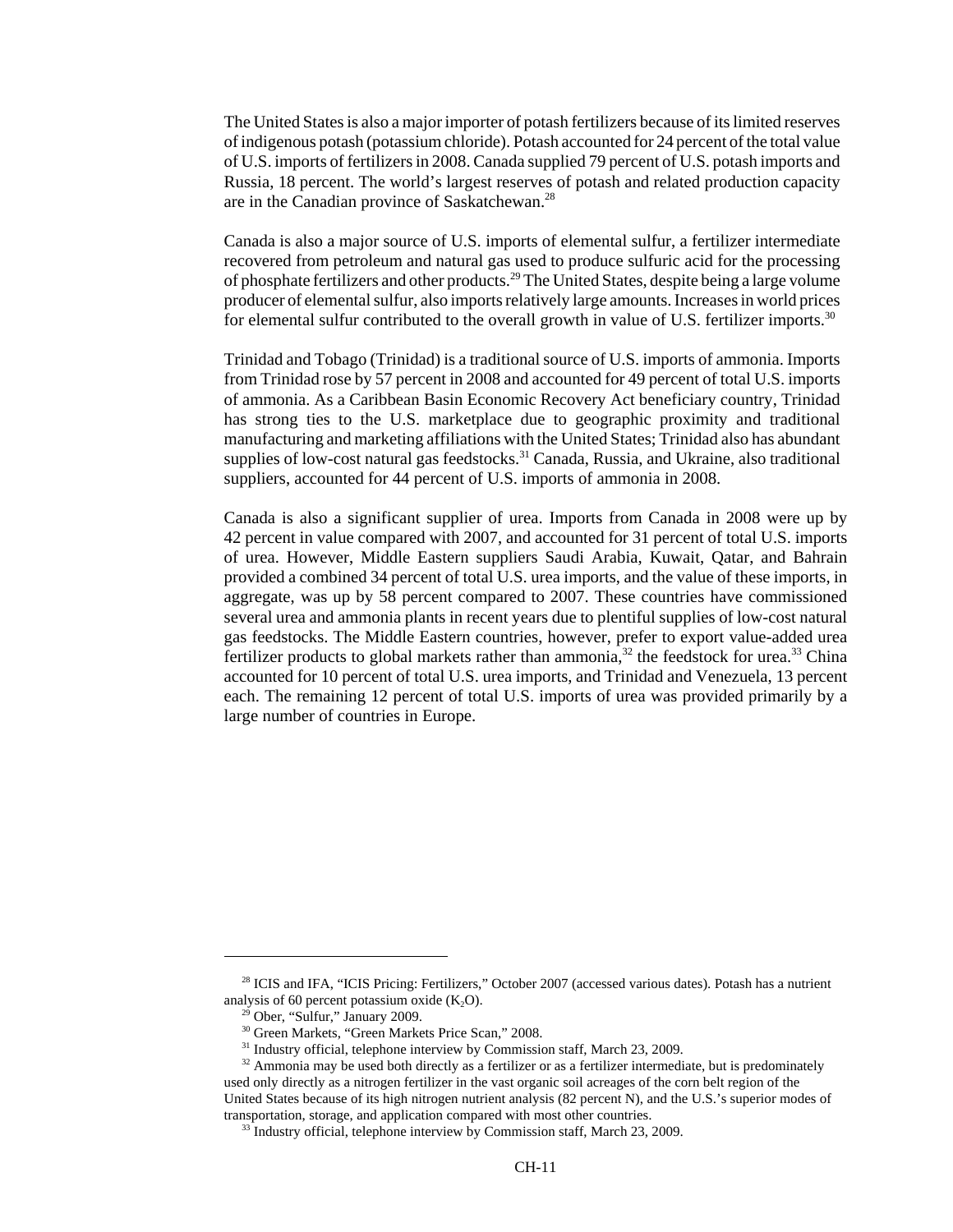The United States is also a major importer of potash fertilizers because of its limited reserves of indigenous potash (potassium chloride). Potash accounted for 24 percent of the total value of U.S. imports of fertilizers in 2008. Canada supplied 79 percent of U.S. potash imports and Russia, 18 percent. The world's largest reserves of potash and related production capacity are in the Canadian province of Saskatchewan.<sup>28</sup>

Canada is also a major source of U.S. imports of elemental sulfur, a fertilizer intermediate recovered from petroleum and natural gas used to produce sulfuric acid for the processing of phosphate fertilizers and other products.<sup>29</sup> The United States, despite being a large volume producer of elemental sulfur, also imports relatively large amounts. Increases in world prices for elemental sulfur contributed to the overall growth in value of U.S. fertilizer imports.<sup>30</sup>

Trinidad and Tobago (Trinidad) is a traditional source of U.S. imports of ammonia. Imports from Trinidad rose by 57 percent in 2008 and accounted for 49 percent of total U.S. imports of ammonia. As a Caribbean Basin Economic Recovery Act beneficiary country, Trinidad has strong ties to the U.S. marketplace due to geographic proximity and traditional manufacturing and marketing affiliations with the United States; Trinidad also has abundant supplies of low-cost natural gas feedstocks.<sup>31</sup> Canada, Russia, and Ukraine, also traditional suppliers, accounted for 44 percent of U.S. imports of ammonia in 2008.

Canada is also a significant supplier of urea. Imports from Canada in 2008 were up by 42 percent in value compared with 2007, and accounted for 31 percent of total U.S. imports of urea. However, Middle Eastern suppliers Saudi Arabia, Kuwait, Qatar, and Bahrain provided a combined 34 percent of total U.S. urea imports, and the value of these imports, in aggregate, was up by 58 percent compared to 2007. These countries have commissioned several urea and ammonia plants in recent years due to plentiful supplies of low-cost natural gas feedstocks. The Middle Eastern countries, however, prefer to export value-added urea fertilizer products to global markets rather than ammonia,<sup>32</sup> the feedstock for urea.<sup>33</sup> China accounted for 10 percent of total U.S. urea imports, and Trinidad and Venezuela, 13 percent each. The remaining 12 percent of total U.S. imports of urea was provided primarily by a large number of countries in Europe.

<sup>&</sup>lt;sup>28</sup> ICIS and IFA, "ICIS Pricing: Fertilizers," October 2007 (accessed various dates). Potash has a nutrient analysis of 60 percent potassium oxide  $(K_2O)$ .

 <sup>29</sup> Ober, "Sulfur," January 2009.

 <sup>30</sup> Green Markets, "Green Markets Price Scan," 2008.

<sup>&</sup>lt;sup>31</sup> Industry official, telephone interview by Commission staff, March 23, 2009.

<sup>&</sup>lt;sup>32</sup> Ammonia may be used both directly as a fertilizer or as a fertilizer intermediate, but is predominately used only directly as a nitrogen fertilizer in the vast organic soil acreages of the corn belt region of the United States because of its high nitrogen nutrient analysis (82 percent N), and the U.S.'s superior modes of transportation, storage, and application compared with most other countries.

<sup>&</sup>lt;sup>33</sup> Industry official, telephone interview by Commission staff, March 23, 2009.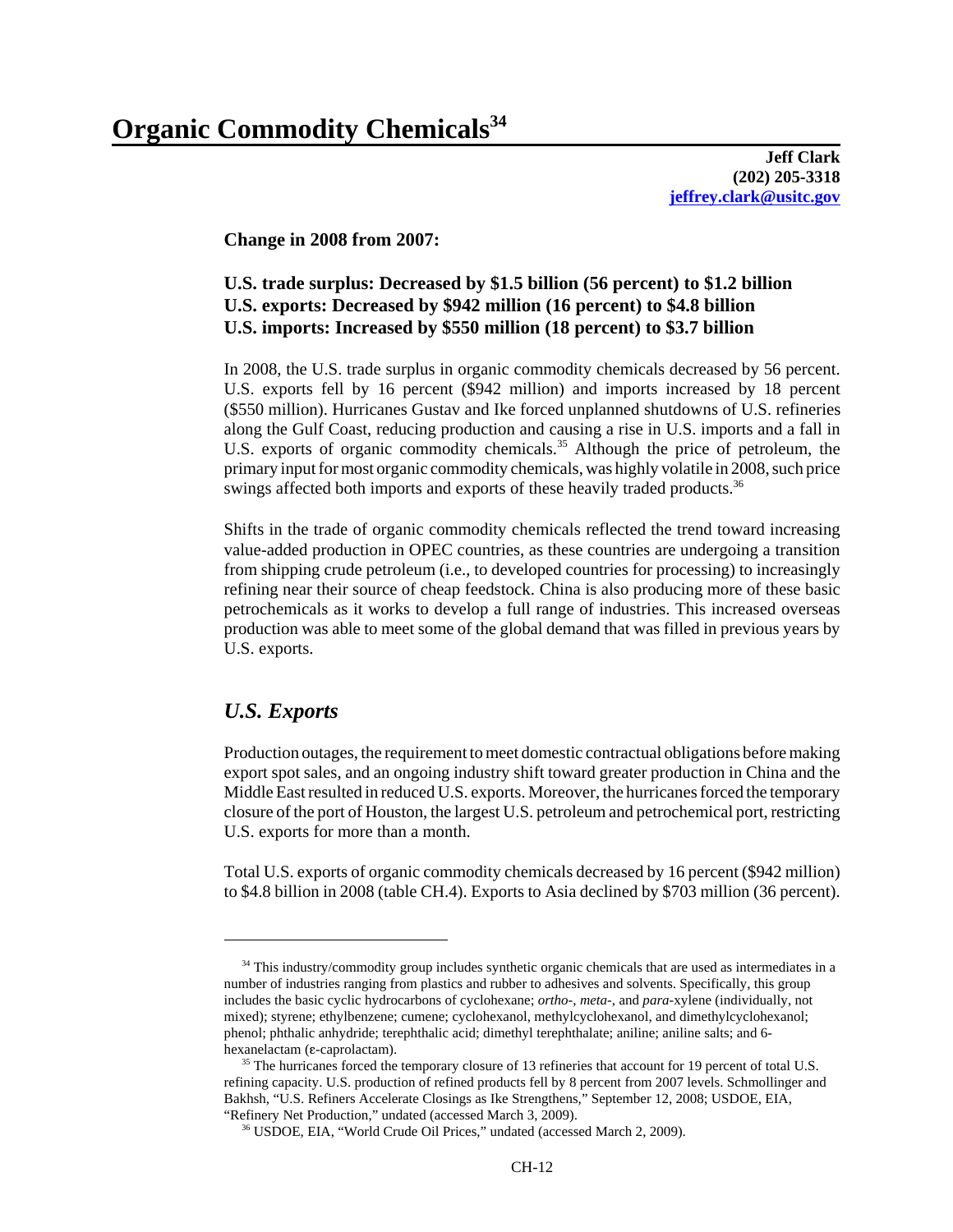**Jeff Clark (202) 205-3318 jeffrey.clark@usitc.gov**

**Change in 2008 from 2007:**

# **U.S. trade surplus: Decreased by \$1.5 billion (56 percent) to \$1.2 billion U.S. exports: Decreased by \$942 million (16 percent) to \$4.8 billion U.S. imports: Increased by \$550 million (18 percent) to \$3.7 billion**

In 2008, the U.S. trade surplus in organic commodity chemicals decreased by 56 percent. U.S. exports fell by 16 percent (\$942 million) and imports increased by 18 percent (\$550 million). Hurricanes Gustav and Ike forced unplanned shutdowns of U.S. refineries along the Gulf Coast, reducing production and causing a rise in U.S. imports and a fall in U.S. exports of organic commodity chemicals.<sup>35</sup> Although the price of petroleum, the primary input for most organic commodity chemicals, was highly volatile in 2008, such price swings affected both imports and exports of these heavily traded products.<sup>36</sup>

Shifts in the trade of organic commodity chemicals reflected the trend toward increasing value-added production in OPEC countries, as these countries are undergoing a transition from shipping crude petroleum (i.e., to developed countries for processing) to increasingly refining near their source of cheap feedstock. China is also producing more of these basic petrochemicals as it works to develop a full range of industries. This increased overseas production was able to meet some of the global demand that was filled in previous years by U.S. exports.

# *U.S. Exports*

Production outages, the requirement to meet domestic contractual obligations before making export spot sales, and an ongoing industry shift toward greater production in China and the Middle East resulted in reduced U.S. exports. Moreover, the hurricanes forced the temporary closure of the port of Houston, the largest U.S. petroleum and petrochemical port, restricting U.S. exports for more than a month.

Total U.S. exports of organic commodity chemicals decreased by 16 percent (\$942 million) to \$4.8 billion in 2008 (table CH.4). Exports to Asia declined by \$703 million (36 percent).

<sup>&</sup>lt;sup>34</sup> This industry/commodity group includes synthetic organic chemicals that are used as intermediates in a number of industries ranging from plastics and rubber to adhesives and solvents. Specifically, this group includes the basic cyclic hydrocarbons of cyclohexane; *ortho*-, *meta*-, and *para*-xylene (individually, not mixed); styrene; ethylbenzene; cumene; cyclohexanol, methylcyclohexanol, and dimethylcyclohexanol; phenol; phthalic anhydride; terephthalic acid; dimethyl terephthalate; aniline; aniline salts; and 6 hexanelactam (ε-caprolactam).

<sup>&</sup>lt;sup>35</sup> The hurricanes forced the temporary closure of 13 refineries that account for 19 percent of total U.S. refining capacity. U.S. production of refined products fell by 8 percent from 2007 levels. Schmollinger and Bakhsh, "U.S. Refiners Accelerate Closings as Ike Strengthens," September 12, 2008; USDOE, EIA, "Refinery Net Production," undated (accessed March 3, 2009).

 <sup>36</sup> USDOE, EIA, "World Crude Oil Prices," undated (accessed March 2, 2009).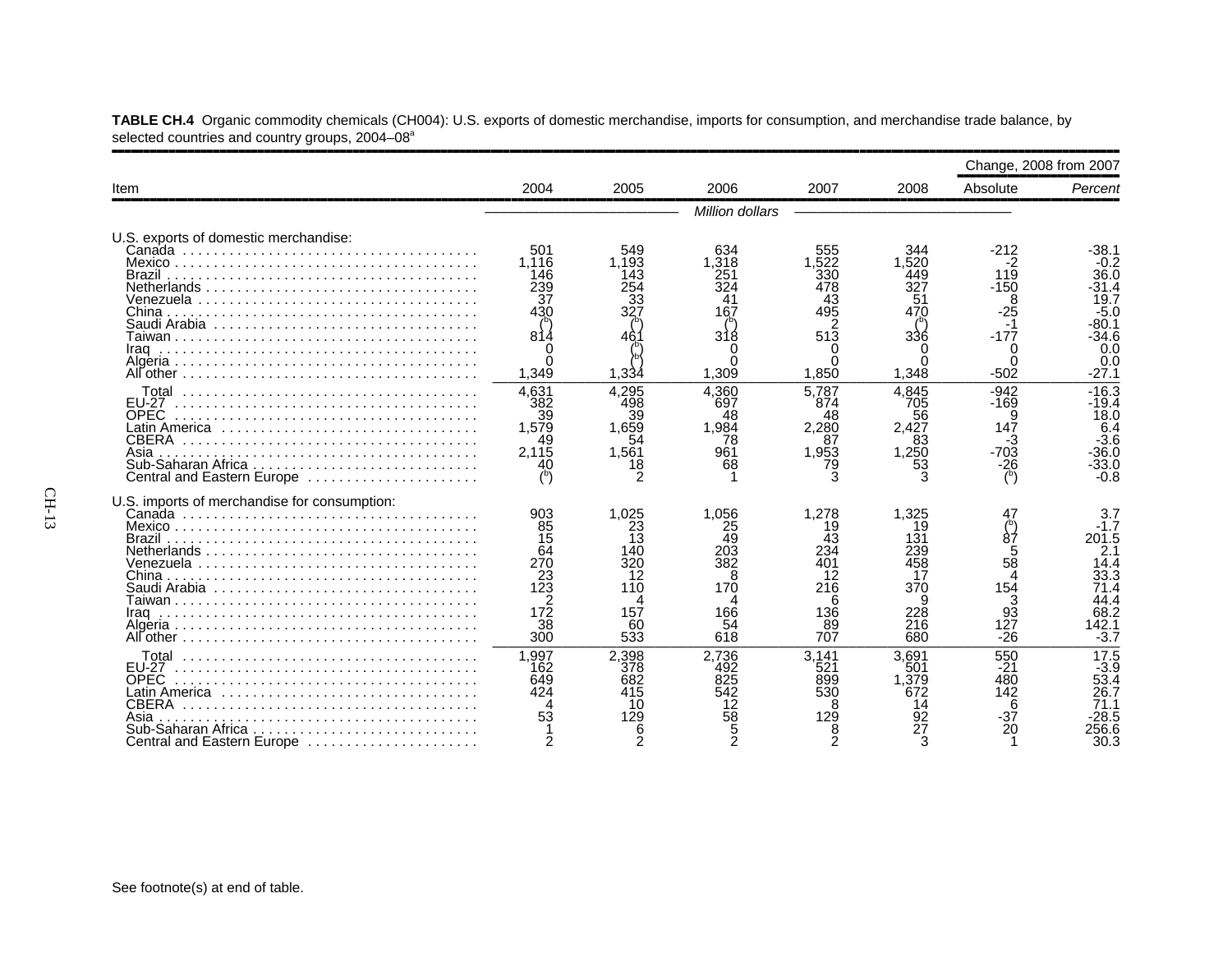|                                                                                                                   |                                                                                        |                                                                       |                                                                 |                                                                       |                                                                         | Change, 2008 from 2007                                                     |                                                                                          |
|-------------------------------------------------------------------------------------------------------------------|----------------------------------------------------------------------------------------|-----------------------------------------------------------------------|-----------------------------------------------------------------|-----------------------------------------------------------------------|-------------------------------------------------------------------------|----------------------------------------------------------------------------|------------------------------------------------------------------------------------------|
| Item                                                                                                              | 2004                                                                                   | 2005                                                                  | 2006                                                            | 2007                                                                  | 2008                                                                    | Absolute                                                                   | Percent                                                                                  |
|                                                                                                                   |                                                                                        |                                                                       | Million dollars                                                 |                                                                       |                                                                         |                                                                            |                                                                                          |
| U.S. exports of domestic merchandise:<br>China<br>Saudi Arabia                                                    | 501<br>1.116<br>146<br>239<br>37<br>430<br>814                                         | 549<br>1.193<br>143<br>254<br>33<br>327                               | 634<br>1.318<br>251<br>324<br>41<br>167<br>31                   | 555<br>1.522<br>330<br>478<br>43<br>495<br>513                        | 344<br>1.520<br>449<br>327<br>51<br>470<br>336                          | $-212$<br>-2<br>119<br>$-150$<br>8<br>-25<br>$-177$                        | -38.1<br>$-0.2$<br>36.0<br>-31.4<br>19.7<br>$-5.0$<br>-80.1<br>-34.6<br>0.0              |
|                                                                                                                   | 1,349                                                                                  | 1,334                                                                 | 1,309                                                           | O<br>1,850                                                            | 1,348                                                                   | $-502$                                                                     | 0.0<br>$-27.1$                                                                           |
| <b>FU-27</b><br><b>OPEC</b><br><b>CBERA</b><br>Asia<br>Central and Eastern Europe                                 | 4.631<br>382<br>39<br>1,579<br>49<br>2.115                                             | 4.295<br>498<br>39<br>1.659<br>54<br>1.561<br>18<br>2                 | 4.360<br>697<br>48<br>1.984<br>78<br>961<br>68                  | 5.787<br>874<br>48<br>2.280<br>87<br>1.953<br>79<br>3                 | 4.845<br>705<br>56<br>2.427<br>83<br>1,250<br>53                        | $-942$<br>$-169$<br>9<br>-3<br>-703<br>$-\frac{26}{5}$                     | $-16.3$<br>-19.4<br>18.0<br>6.4<br>$-3.6$<br>$-36.0$<br>$-33.0$<br>$-0.8$                |
| U.S. imports of merchandise for consumption:<br>Brazil<br>Iraq                                                    | 903<br>85<br>15<br>64<br>270<br>$\frac{23}{123}$<br>2<br>$17\overline{2}$<br>38<br>300 | 1.025<br>23<br>13<br>140<br>320<br>12<br>110<br>Λ<br>157<br>60<br>533 | 1.056<br>25<br>49<br>203<br>382<br>8<br>170<br>166<br>54<br>618 | 1.278<br>19<br>43<br>234<br>401<br>12<br>216<br>6<br>136<br>89<br>707 | 1.325<br>19<br>131<br>239<br>458<br>17<br>370<br>9<br>228<br>216<br>680 | 87<br>$\frac{5}{58}$<br>$\Delta$<br>154<br>3<br>$9\bar{3}$<br>127<br>$-26$ | 3.7<br>$-1.7$<br>201.5<br>2.1<br>14.4<br>33.3<br>71.4<br>44.4<br>68.2<br>142.1<br>$-3.7$ |
| EU-27<br><b>OPEC</b><br>Latin America<br><b>CBERA</b><br>Asia<br>Sub-Saharan Africa<br>Central and Eastern Europe | 1,997<br>162<br>649<br>424                                                             | 2,398<br>378<br>682<br>415<br>10<br>129<br>6<br>2                     | 2,736<br>492<br>825<br>542<br>12<br>58                          | 3.141<br>521<br>899<br>530<br>8<br>129                                | 3.691<br>501<br>1.379<br>672<br>14<br>92<br>27                          | 550<br>-21<br>480<br>142<br>6<br>-37<br>20                                 | 17.5<br>$-3.9$<br>53.4<br>26.7<br>28.5<br>56.6<br>30.3                                   |

**TABLE CH.4** Organic commodity chemicals (CH004): U.S. exports of domestic merchandise, imports for consumption, and merchandise trade balance, by selected countries and country groups, 2004–08<sup>a</sup>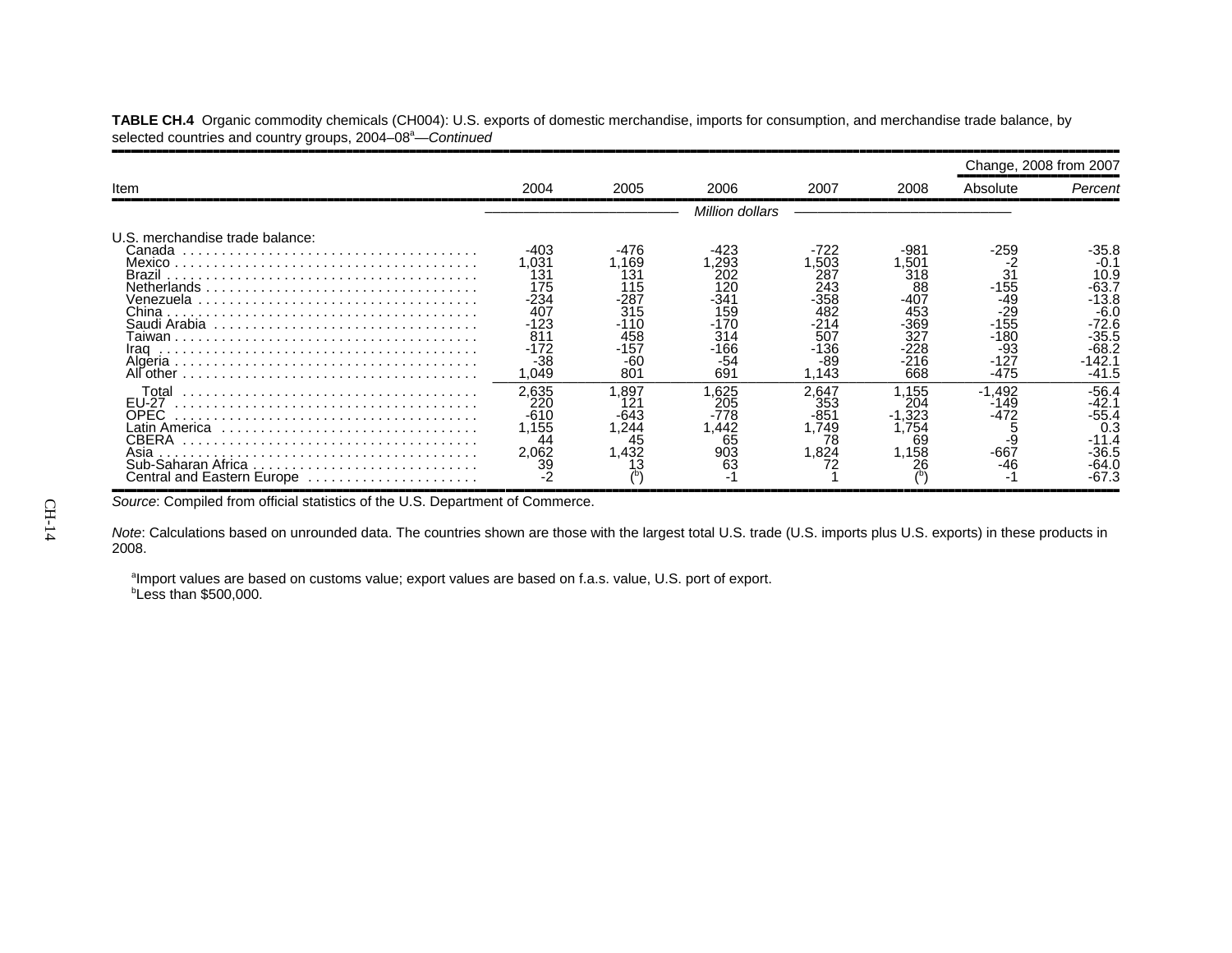|                                                                              |                                                                                                     |                                                                         |                                                                          |                                                                                  |                                                                                 | Change, 2008 from 2007                                                      |                                                                                                           |
|------------------------------------------------------------------------------|-----------------------------------------------------------------------------------------------------|-------------------------------------------------------------------------|--------------------------------------------------------------------------|----------------------------------------------------------------------------------|---------------------------------------------------------------------------------|-----------------------------------------------------------------------------|-----------------------------------------------------------------------------------------------------------|
| Item                                                                         | 2004                                                                                                | 2005                                                                    | 2006                                                                     | 2007                                                                             | 2008                                                                            | Absolute                                                                    | Percent                                                                                                   |
|                                                                              |                                                                                                     |                                                                         | Million dollars                                                          |                                                                                  |                                                                                 |                                                                             |                                                                                                           |
| U.S. merchandise trade balance:<br>Canada<br>Brazil<br>China<br>Iraq         | -403<br>031. ا<br>131<br>175<br>$-234$<br>407<br>$-123$<br>81 <sup>°</sup><br>-172<br>$-38$<br>.049 | -476<br>1.169<br>131<br>115<br>-287<br>315<br>458<br>-157<br>-60<br>801 | .293<br>202<br>120<br>-341<br>159<br>-170<br>314<br>$-166$<br>-54<br>691 | -722<br>.503<br>287<br>243<br>$-358$<br>482<br>214<br>507<br>-136<br>-89<br>.143 | -981<br>.50<br>318<br>88<br>$-407$<br>453<br>-369<br>327<br>-228<br>-216<br>668 | -259<br>31<br>$-155$<br>-49<br>-29<br>$-155$<br>-180<br>-93<br>-127<br>-475 | -35.8<br>$-0.1$<br>10.9<br>$-63.7$<br>-13.8<br>$-6.0$<br>$-72.6$<br>$-35.5$<br>$-68.2$<br>-142.1<br>-41.5 |
| Total<br><b>EU-27</b><br>OPEC<br>CBERA<br>Asia<br>Central and Eastern Europe | 2,635<br>22C<br>$-610$<br>1.155<br>44<br>2.062<br>39                                                | .897<br>12′<br>-643<br>1,244<br>45<br>1.432<br>3                        | .625<br>205<br>-778<br>.442<br>65<br>903<br>63<br>٠                      | 2,647<br>353<br>-851<br>.749<br>78<br>.824<br>72                                 | .155<br>204<br>1,323<br>.754<br>69<br>1.158                                     | $-1,492$<br>-149<br>-472<br>-9<br>-667<br>-46                               | $-56.4$<br>-42.1<br>-55.4<br>0.3<br>-36.5<br>-64.0<br>-67.3                                               |

**TABLE CH.4** Organic commodity chemicals (CH004): U.S. exports of domestic merchandise, imports for consumption, and merchandise trade balance, by selected countries and country groups, 2004–08<sup>a</sup>—*Continued* 

Source: Compiled from official statistics of the U.S. Department of Commerce.

*Note*: Calculations based on unrounded data. The countries shown are those with the largest total U.S. trade (U.S. imports plus U.S. exports) in these products in 2008.

<sup>a</sup>Import values are based on customs value; export values are based on f.a.s. value, U.S. port of export. *b***Less than \$500,000.**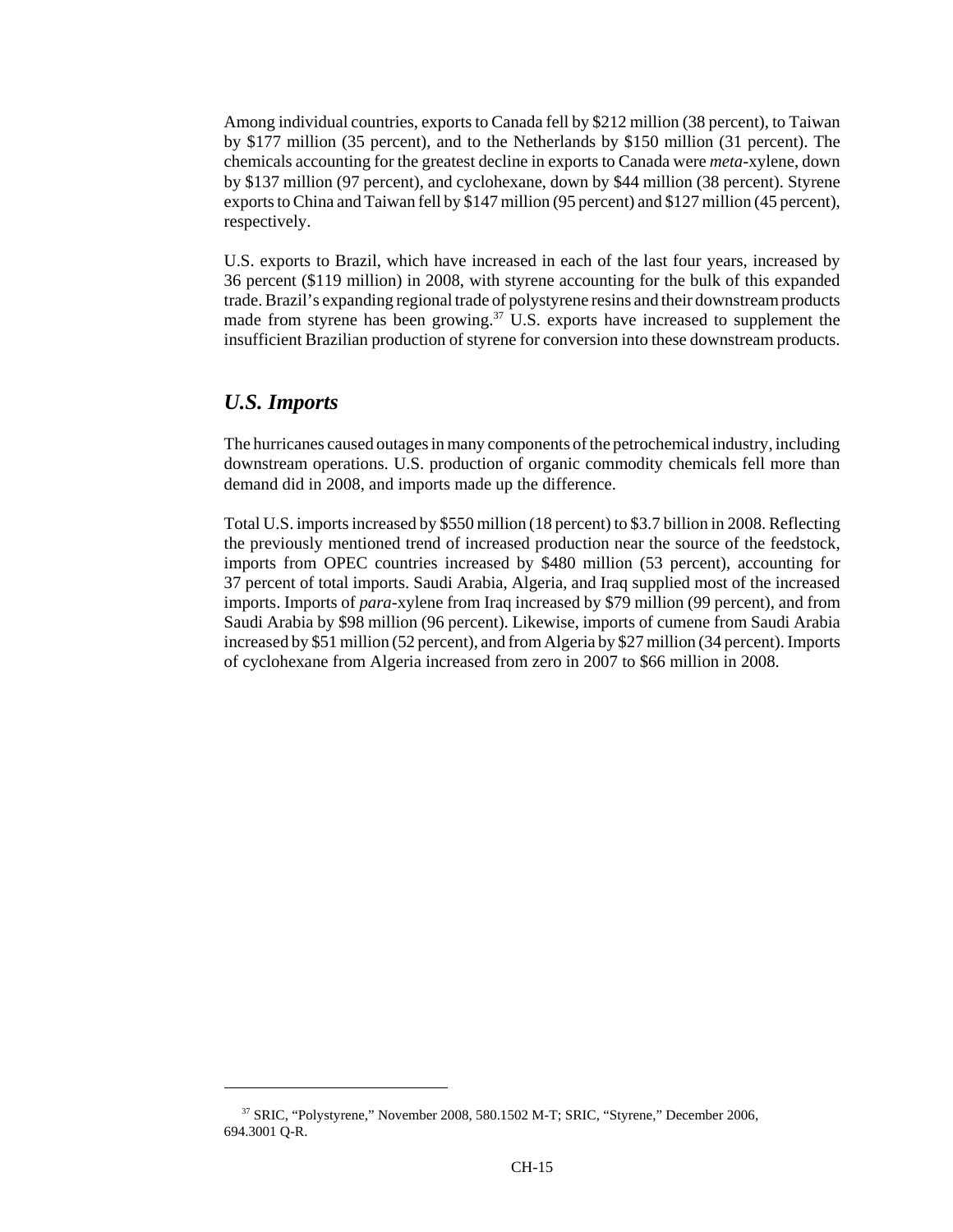Among individual countries, exports to Canada fell by \$212 million (38 percent), to Taiwan by \$177 million (35 percent), and to the Netherlands by \$150 million (31 percent). The chemicals accounting for the greatest decline in exports to Canada were *meta*-xylene, down by \$137 million (97 percent), and cyclohexane, down by \$44 million (38 percent). Styrene exports to China and Taiwan fell by \$147 million (95 percent) and \$127 million (45 percent), respectively.

U.S. exports to Brazil, which have increased in each of the last four years, increased by 36 percent (\$119 million) in 2008, with styrene accounting for the bulk of this expanded trade. Brazil's expanding regional trade of polystyrene resins and their downstream products made from styrene has been growing.<sup>37</sup> U.S. exports have increased to supplement the insufficient Brazilian production of styrene for conversion into these downstream products.

#### *U.S. Imports*

The hurricanes caused outages in many components of the petrochemical industry, including downstream operations. U.S. production of organic commodity chemicals fell more than demand did in 2008, and imports made up the difference.

Total U.S. imports increased by \$550 million (18 percent) to \$3.7 billion in 2008. Reflecting the previously mentioned trend of increased production near the source of the feedstock, imports from OPEC countries increased by \$480 million (53 percent), accounting for 37 percent of total imports. Saudi Arabia, Algeria, and Iraq supplied most of the increased imports. Imports of *para*-xylene from Iraq increased by \$79 million (99 percent), and from Saudi Arabia by \$98 million (96 percent). Likewise, imports of cumene from Saudi Arabia increased by \$51 million (52 percent), and from Algeria by \$27 million (34 percent). Imports of cyclohexane from Algeria increased from zero in 2007 to \$66 million in 2008.

 <sup>37</sup> SRIC, "Polystyrene," November 2008, 580.1502 M-T; SRIC, "Styrene," December 2006, 694.3001 Q-R.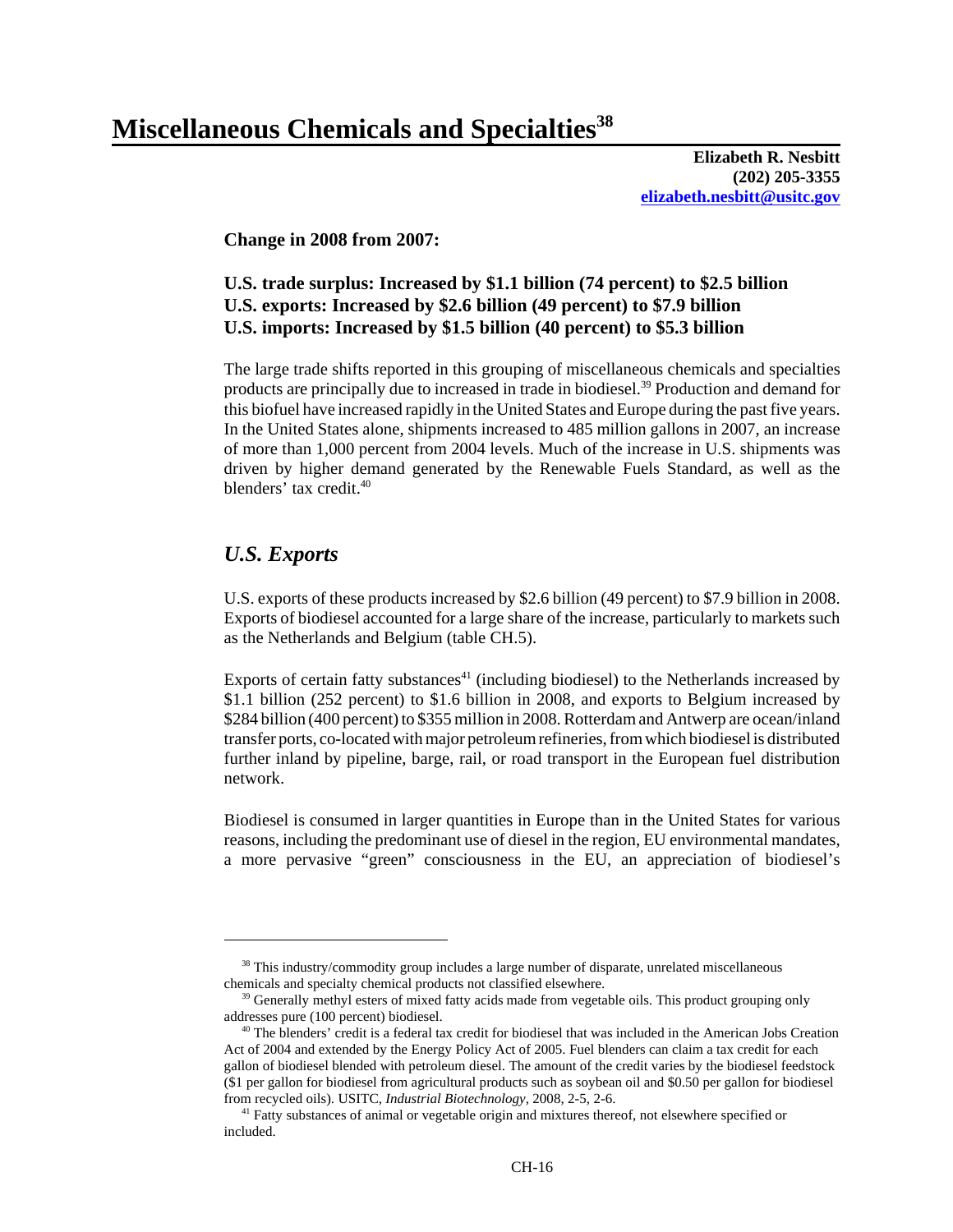**Elizabeth R. Nesbitt (202) 205-3355 elizabeth.nesbitt@usitc.gov**

**Change in 2008 from 2007:** 

# **U.S. trade surplus: Increased by \$1.1 billion (74 percent) to \$2.5 billion U.S. exports: Increased by \$2.6 billion (49 percent) to \$7.9 billion U.S. imports: Increased by \$1.5 billion (40 percent) to \$5.3 billion**

The large trade shifts reported in this grouping of miscellaneous chemicals and specialties products are principally due to increased in trade in biodiesel.<sup>39</sup> Production and demand for this biofuel have increased rapidly in the United States and Europe during the past five years. In the United States alone, shipments increased to 485 million gallons in 2007, an increase of more than 1,000 percent from 2004 levels. Much of the increase in U.S. shipments was driven by higher demand generated by the Renewable Fuels Standard, as well as the blenders' tax credit.<sup>40</sup>

# *U.S. Exports*

U.S. exports of these products increased by \$2.6 billion (49 percent) to \$7.9 billion in 2008. Exports of biodiesel accounted for a large share of the increase, particularly to markets such as the Netherlands and Belgium (table CH.5).

Exports of certain fatty substances<sup>41</sup> (including biodiesel) to the Netherlands increased by \$1.1 billion (252 percent) to \$1.6 billion in 2008, and exports to Belgium increased by \$284 billion (400 percent) to \$355 million in 2008. Rotterdam and Antwerp are ocean/inland transfer ports, co-located with major petroleum refineries, from which biodiesel is distributed further inland by pipeline, barge, rail, or road transport in the European fuel distribution network.

Biodiesel is consumed in larger quantities in Europe than in the United States for various reasons, including the predominant use of diesel in the region, EU environmental mandates, a more pervasive "green" consciousness in the EU, an appreciation of biodiesel's

<sup>&</sup>lt;sup>38</sup> This industry/commodity group includes a large number of disparate, unrelated miscellaneous chemicals and specialty chemical products not classified elsewhere.

<sup>&</sup>lt;sup>39</sup> Generally methyl esters of mixed fatty acids made from vegetable oils. This product grouping only addresses pure (100 percent) biodiesel.

 <sup>40</sup> The blenders' credit is a federal tax credit for biodiesel that was included in the American Jobs Creation Act of 2004 and extended by the Energy Policy Act of 2005. Fuel blenders can claim a tax credit for each gallon of biodiesel blended with petroleum diesel. The amount of the credit varies by the biodiesel feedstock (\$1 per gallon for biodiesel from agricultural products such as soybean oil and \$0.50 per gallon for biodiesel from recycled oils). USITC, *Industrial Biotechnology*, 2008, 2-5, 2-6.

<sup>&</sup>lt;sup>41</sup> Fatty substances of animal or vegetable origin and mixtures thereof, not elsewhere specified or included.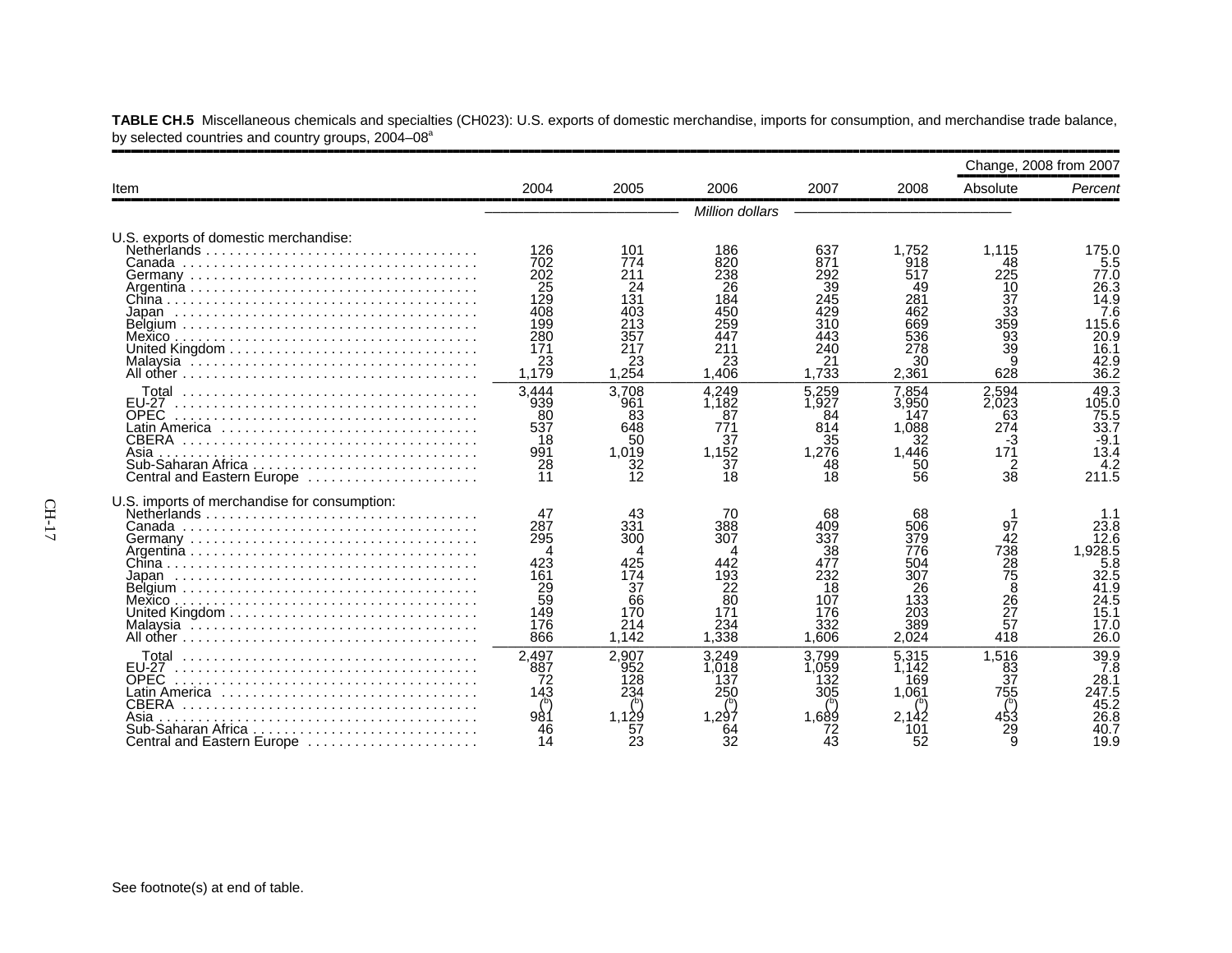|                                                                                                                                              |                                                                                        |                                                                           |                                                                           |                                                                           |                                                                             | Change, 2008 from 2007                                              |                                                                                        |
|----------------------------------------------------------------------------------------------------------------------------------------------|----------------------------------------------------------------------------------------|---------------------------------------------------------------------------|---------------------------------------------------------------------------|---------------------------------------------------------------------------|-----------------------------------------------------------------------------|---------------------------------------------------------------------|----------------------------------------------------------------------------------------|
| Item                                                                                                                                         | 2004                                                                                   | 2005                                                                      | 2006                                                                      | 2007                                                                      | 2008                                                                        | Absolute                                                            | Percent                                                                                |
|                                                                                                                                              |                                                                                        |                                                                           | Million dollars                                                           |                                                                           |                                                                             |                                                                     |                                                                                        |
| U.S. exports of domestic merchandise:                                                                                                        | 126<br>702<br>202<br>25<br>$1\overline{29}$<br>408<br>199<br>280<br>171<br>23<br>1,179 | 101<br>774<br>211<br>24<br>131<br>403<br>213<br>357<br>217<br>23<br>1,254 | 186<br>820<br>238<br>26<br>184<br>450<br>259<br>447<br>211<br>23<br>1,406 | 637<br>871<br>292<br>39<br>245<br>429<br>310<br>443<br>240<br>21<br>1,733 | 1,752<br>918<br>517<br>49<br>281<br>462<br>669<br>536<br>278<br>30<br>2,361 | 1,115<br>48<br>225<br>10<br>37<br>33<br>359<br>93<br>39<br>9<br>628 | 175.0<br>5.5<br>77.0<br>26.3<br>14.9<br>7.6<br>115.6<br>20.9<br>16.1<br>42.9<br>36.2   |
| Total<br><b>EU-27</b><br><b>OPEC</b><br><b>CBERA</b><br>Asia<br>Central and Eastern Europe                                                   | 3.444<br>939<br>80<br>537<br>18<br>991<br>28<br>11                                     | 3,708<br>961<br>83<br>648<br>50<br>1.019<br>32<br>12                      | 4.249<br>1.182<br>87<br>771<br>37<br>1.152<br>37<br>18                    | 5.259<br>1.927<br>84<br>814<br>35<br>1.276<br>48<br>18                    | 7.854<br>3.950<br>147<br>1.088<br>32<br>1.446<br>50<br>56                   | 2,594<br>2.023<br>63<br>274<br>-3<br>171<br>$\overline{2}$<br>38    | 49.3<br>105.0<br>75.5<br>33.7<br>$-9.1$<br>13.4<br>$\frac{4.2}{211.5}$                 |
| U.S. imports of merchandise for consumption:                                                                                                 | 47<br>287<br>295<br>423<br>161<br>$\frac{29}{59}$<br>149<br>176<br>866                 | 43<br>331<br>300<br>174<br>37<br>66<br>170<br>214<br>1,142                | 70<br>388<br>307<br>442<br>193<br>22<br>80<br>171<br>234<br>.338          | 68<br>409<br>337<br>38<br>477<br>232<br>18<br>107<br>176<br>332<br>1.606  | 68<br>506<br>379<br>776<br>504<br>307<br>26<br>133<br>203<br>389<br>2,024   | 97<br>42<br>738<br>28<br>75<br>26<br>26<br>27<br>57<br>418          | 23.8<br>12.6<br>1.928.5<br>5.8<br>32.5<br>41.9<br>41.9<br>24.5<br>15.1<br>17.0<br>26.0 |
| <b>FU-27</b><br><b>OPEC</b><br>Latin America ,,,,,,,,,,,,,,,,,,,<br><b>CBERA</b><br>Asia<br>Sub-Saharan Africa<br>Central and Eastern Europe | 2,497<br>887<br>72<br>143<br>981<br>14                                                 | 2.907<br>952<br>128<br>234<br>1.129<br>57<br>23                           | 3.249<br>.018<br>137<br>250<br>.297<br>32                                 | 3.799<br>.059<br>132<br>305<br>1.689<br>72<br>43                          | 5.315<br>1.142<br>169<br>1.061<br>52                                        | 1,516<br>83<br>37<br>755<br>29<br>q                                 | 39.9<br>7.8<br>28.1<br>247.5<br>45.2<br>26.8<br>40.7<br>19.9                           |

**TABLE CH.5** Miscellaneous chemicals and specialties (CH023): U.S. exports of domestic merchandise, imports for consumption, and merchandise trade balance, by selected countries and country groups, 2004–08<sup>a</sup>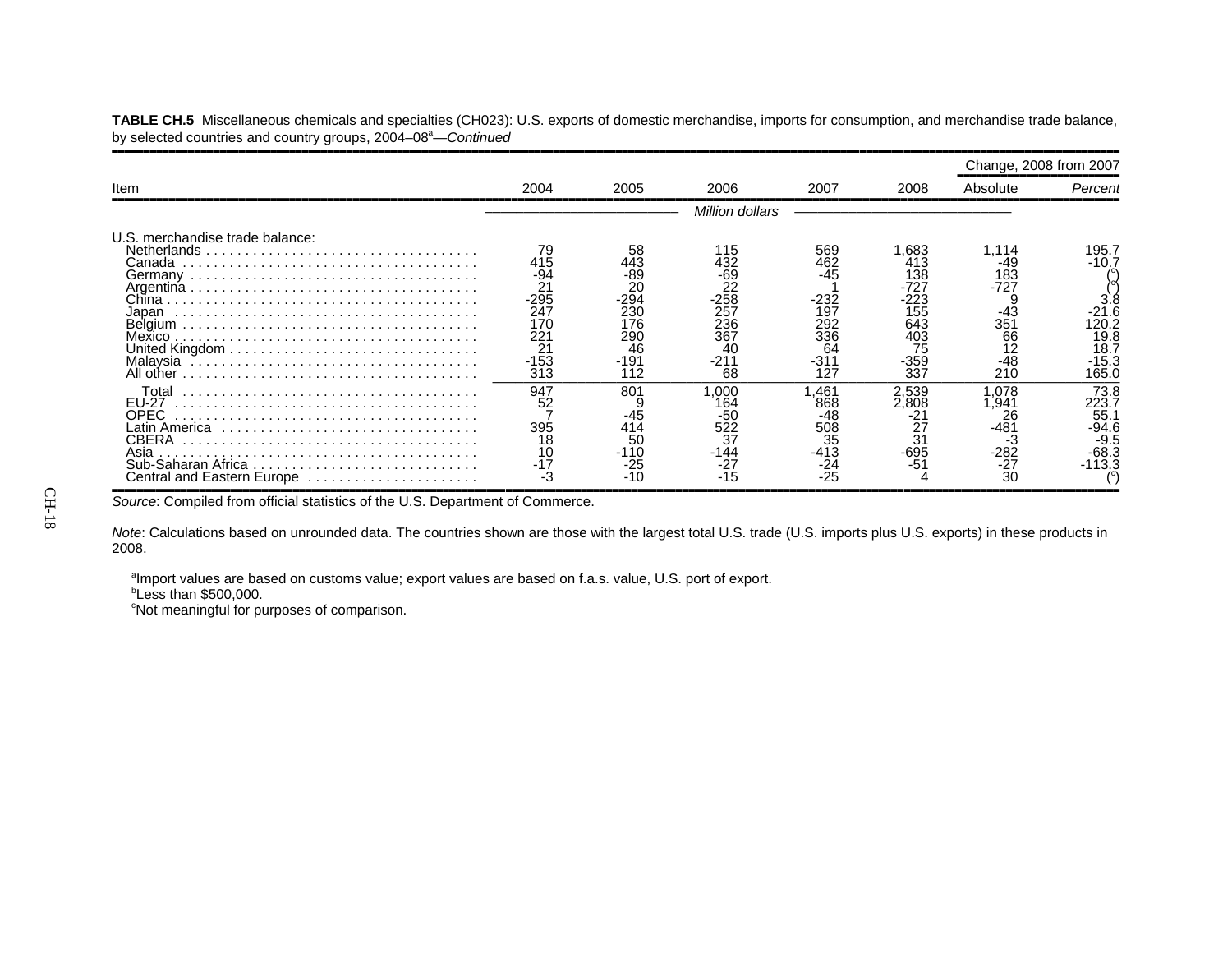**TABLE CH.5** Miscellaneous chemicals and specialties (CH023): U.S. exports of domestic merchandise, imports for consumption, and merchandise trade balance, by selected countries and country groups, 2004–08<sup>a</sup>—Continued

|                                                                                                    |                                                                                          |                                                                           |                                                                              |                                                                       |                                                                             | Change, 2008 from 2007                                                 |                                                                  |
|----------------------------------------------------------------------------------------------------|------------------------------------------------------------------------------------------|---------------------------------------------------------------------------|------------------------------------------------------------------------------|-----------------------------------------------------------------------|-----------------------------------------------------------------------------|------------------------------------------------------------------------|------------------------------------------------------------------|
| Item                                                                                               | 2004                                                                                     | 2005                                                                      | 2006                                                                         | 2007                                                                  | 2008                                                                        | Absolute                                                               | Percent                                                          |
|                                                                                                    |                                                                                          |                                                                           | Million dollars                                                              |                                                                       |                                                                             |                                                                        |                                                                  |
| U.S. merchandise trade balance:<br>Netherlands<br>Canada<br>Chinal<br>Japan<br>Mexico<br>All other | 79<br>415<br>-94<br>21<br>$-295$<br>247<br>17C<br>221<br>2 <sup>1</sup><br>$-153$<br>313 | 58<br>443<br>-89<br>20<br>294<br>230<br>176<br>290<br>46<br>$-191$<br>112 | 115<br>432<br>-69<br>22<br>$-258$<br>257<br>236<br>367<br>40<br>$-211$<br>68 | 569<br>462<br>$-45$<br>-232<br>197<br>292<br>336<br>64<br>-311<br>127 | .683<br>413<br>138<br>-727<br>223<br>155<br>643<br>403<br>75<br>-359<br>337 | 1.114<br>49<br>183<br>-727<br>$-43$<br>351<br>66<br>12<br>$-48$<br>210 | 195.7<br>$-10.7$<br>20.7،<br>19.8<br>18.7<br>$-15.3$<br>165.0    |
| Total<br>EU-27<br>OPEC<br>Latin America<br>CBERA<br>Asia<br>Central and Eastern Europe             | 947<br>52<br>395<br>18<br>10<br>-3                                                       | 801<br>-45<br>414<br>50<br>$-110$<br>-25<br>-10                           | 1.000<br>164<br>-50<br>522<br>37<br>-144<br>$-27$<br>$-15$                   | .461<br>868<br>-48<br>508<br>35<br>-413<br>-24<br>$-25$               | 2.539<br>2.808<br>-695<br>-5                                                | .078<br>,941<br>26<br>-481<br>-3<br>282 <sup>.</sup><br>27-<br>30      | 73.8<br>223.7<br>55.<br>$-94.6$<br>$-9.5$<br>$-68.3$<br>$-113.3$ |

Source: Compiled from official statistics of the U.S. Department of Commerce.

*Note*: Calculations based on unrounded data. The countries shown are those with the largest total U.S. trade (U.S. imports plus U.S. exports) in these products in 2008.

aImport values are based on customs value; export values are based on f.a.s. value, U.S. port of export.

*b***Less than \$500,000.** 

<sup>c</sup>Not meaningful for purposes of comparison.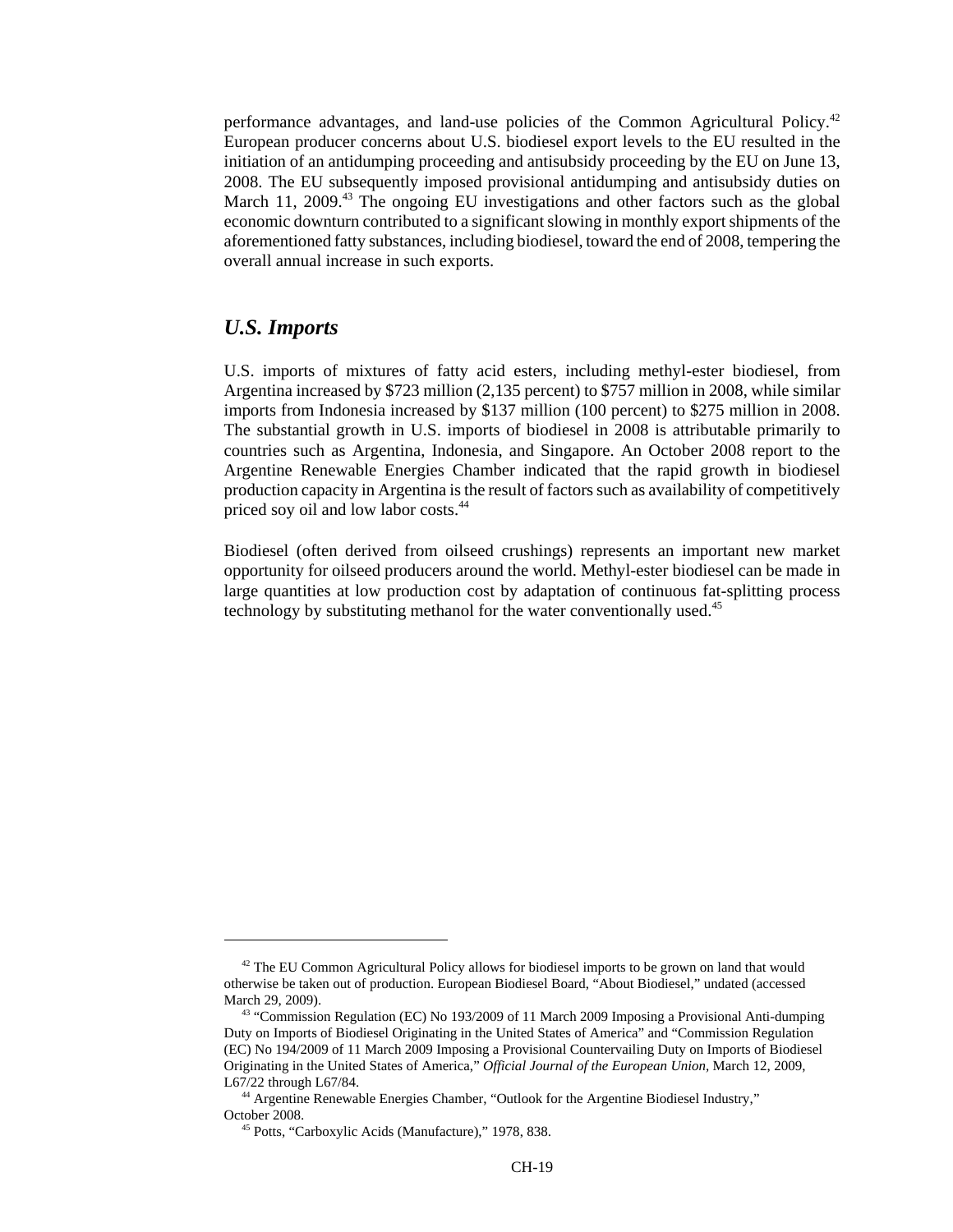performance advantages, and land-use policies of the Common Agricultural Policy.42 European producer concerns about U.S. biodiesel export levels to the EU resulted in the initiation of an antidumping proceeding and antisubsidy proceeding by the EU on June 13, 2008. The EU subsequently imposed provisional antidumping and antisubsidy duties on March 11, 2009.<sup>43</sup> The ongoing EU investigations and other factors such as the global economic downturn contributed to a significant slowing in monthly export shipments of the aforementioned fatty substances, including biodiesel, toward the end of 2008, tempering the overall annual increase in such exports.

#### *U.S. Imports*

U.S. imports of mixtures of fatty acid esters, including methyl-ester biodiesel, from Argentina increased by \$723 million (2,135 percent) to \$757 million in 2008, while similar imports from Indonesia increased by \$137 million (100 percent) to \$275 million in 2008. The substantial growth in U.S. imports of biodiesel in 2008 is attributable primarily to countries such as Argentina, Indonesia, and Singapore. An October 2008 report to the Argentine Renewable Energies Chamber indicated that the rapid growth in biodiesel production capacity in Argentina is the result of factors such as availability of competitively priced soy oil and low labor costs.44

Biodiesel (often derived from oilseed crushings) represents an important new market opportunity for oilseed producers around the world. Methyl-ester biodiesel can be made in large quantities at low production cost by adaptation of continuous fat-splitting process technology by substituting methanol for the water conventionally used.<sup>45</sup>

 $42$  The EU Common Agricultural Policy allows for biodiesel imports to be grown on land that would otherwise be taken out of production. European Biodiesel Board, "About Biodiesel," undated (accessed March 29, 2009).

 <sup>43 &</sup>quot;Commission Regulation (EC) No 193/2009 of 11 March 2009 Imposing a Provisional Anti-dumping Duty on Imports of Biodiesel Originating in the United States of America" and "Commission Regulation (EC) No 194/2009 of 11 March 2009 Imposing a Provisional Countervailing Duty on Imports of Biodiesel Originating in the United States of America," *Official Journal of the European Union,* March 12, 2009, L67/22 through L67/84.

 <sup>44</sup> Argentine Renewable Energies Chamber, "Outlook for the Argentine Biodiesel Industry," October 2008.

 <sup>45</sup> Potts, "Carboxylic Acids (Manufacture)," 1978, 838.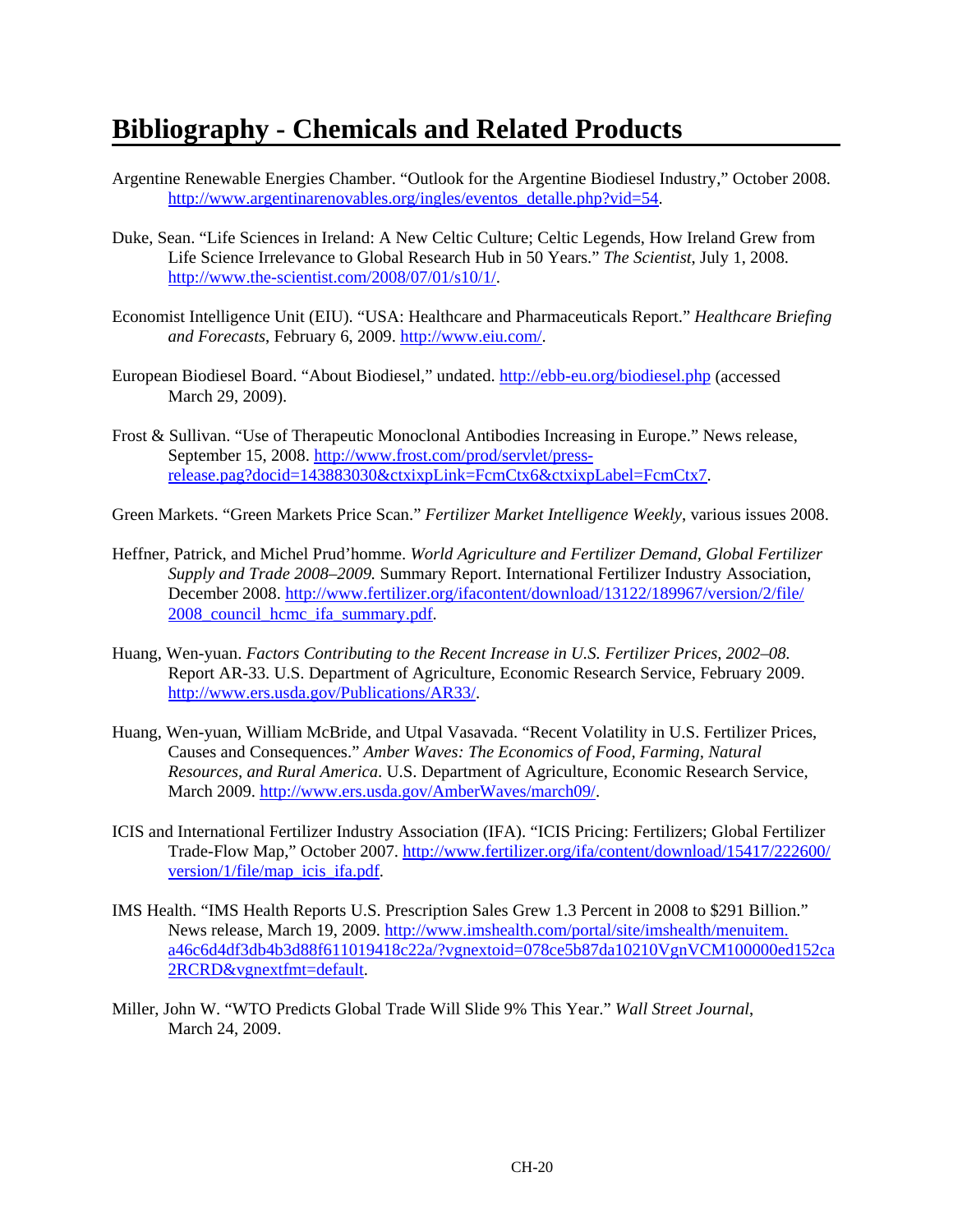# **Bibliography - Chemicals and Related Products**

- Argentine Renewable Energies Chamber. "Outlook for the Argentine Biodiesel Industry," October 2008. http://www.argentinarenovables.org/ingles/eventos\_detalle.php?vid=54.
- Duke, Sean. "Life Sciences in Ireland: A New Celtic Culture; Celtic Legends, How Ireland Grew from Life Science Irrelevance to Global Research Hub in 50 Years." *The Scientist*, July 1, 2008. http://www.the-scientist.com/2008/07/01/s10/1/.
- Economist Intelligence Unit (EIU). "USA: Healthcare and Pharmaceuticals Report." *Healthcare Briefing and Forecasts*, February 6, 2009. http://www.eiu.com/.
- European Biodiesel Board. "About Biodiesel," undated. http://ebb-eu.org/biodiesel.php (accessed March 29, 2009).
- Frost & Sullivan. "Use of Therapeutic Monoclonal Antibodies Increasing in Europe." News release, September 15, 2008. http://www.frost.com/prod/servlet/pressrelease.pag?docid=143883030&ctxixpLink=FcmCtx6&ctxixpLabel=FcmCtx7.

Green Markets. "Green Markets Price Scan." *Fertilizer Market Intelligence Weekly*, various issues 2008.

- Heffner, Patrick, and Michel Prud'homme. *World Agriculture and Fertilizer Demand, Global Fertilizer Supply and Trade 2008–2009.* Summary Report. International Fertilizer Industry Association, December 2008. http://www.fertilizer.org/ifacontent/download/13122/189967/version/2/file/ 2008 council hcmc ifa summary.pdf.
- Huang, Wen-yuan. *Factors Contributing to the Recent Increase in U.S. Fertilizer Prices, 2002–08.* Report AR-33. U.S. Department of Agriculture, Economic Research Service, February 2009. http://www.ers.usda.gov/Publications/AR33/.
- Huang, Wen-yuan, William McBride, and Utpal Vasavada. "Recent Volatility in U.S. Fertilizer Prices, Causes and Consequences." *Amber Waves: The Economics of Food, Farming, Natural Resources, and Rural America*. U.S. Department of Agriculture, Economic Research Service*,* March 2009. http://www.ers.usda.gov/AmberWaves/march09/.
- ICIS and International Fertilizer Industry Association (IFA). "ICIS Pricing: Fertilizers; Global Fertilizer Trade-Flow Map," October 2007. http://www.fertilizer.org/ifa/content/download/15417/222600/ version/1/file/map\_icis\_ifa.pdf.
- IMS Health. "IMS Health Reports U.S. Prescription Sales Grew 1.3 Percent in 2008 to \$291 Billion." News release, March 19, 2009. http://www.imshealth.com/portal/site/imshealth/menuitem. a46c6d4df3db4b3d88f611019418c22a/?vgnextoid=078ce5b87da10210VgnVCM100000ed152ca 2RCRD&vgnextfmt=default.
- Miller, John W. "WTO Predicts Global Trade Will Slide 9% This Year." *Wall Street Journal*, March 24, 2009.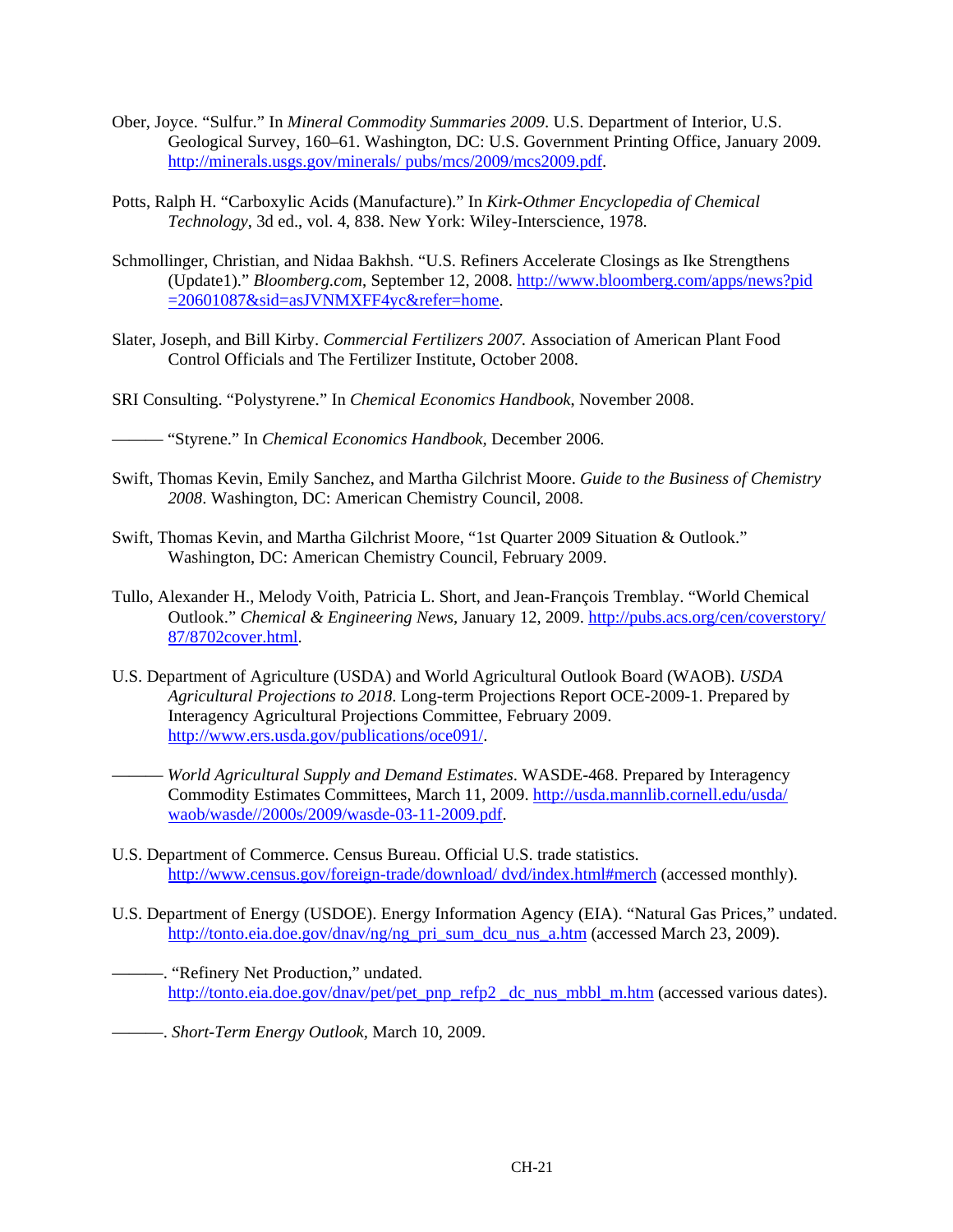- Ober, Joyce. "Sulfur." In *Mineral Commodity Summaries 2009*. U.S. Department of Interior, U.S. Geological Survey, 160–61. Washington, DC: U.S. Government Printing Office, January 2009. http://minerals.usgs.gov/minerals/ pubs/mcs/2009/mcs2009.pdf.
- Potts, Ralph H. "Carboxylic Acids (Manufacture)." In *Kirk-Othmer Encyclopedia of Chemical Technology*, 3d ed., vol. 4, 838. New York: Wiley-Interscience, 1978.
- Schmollinger, Christian, and Nidaa Bakhsh. "U.S. Refiners Accelerate Closings as Ike Strengthens (Update1)." *Bloomberg.com*, September 12, 2008. http://www.bloomberg.com/apps/news?pid =20601087&sid=asJVNMXFF4yc&refer=home.
- Slater, Joseph, and Bill Kirby. *Commercial Fertilizers 2007.* Association of American Plant Food Control Officials and The Fertilizer Institute, October 2008.
- SRI Consulting. "Polystyrene." In *Chemical Economics Handbook*, November 2008.

——— "Styrene." In *Chemical Economics Handbook,* December 2006.

- Swift, Thomas Kevin, Emily Sanchez, and Martha Gilchrist Moore. *Guide to the Business of Chemistry 2008*. Washington, DC: American Chemistry Council, 2008.
- Swift, Thomas Kevin, and Martha Gilchrist Moore, "1st Quarter 2009 Situation & Outlook." Washington, DC: American Chemistry Council, February 2009.
- Tullo, Alexander H., Melody Voith, Patricia L. Short, and Jean-François Tremblay. "World Chemical Outlook." *Chemical & Engineering News*, January 12, 2009. http://pubs.acs.org/cen/coverstory/ 87/8702cover.html.
- U.S. Department of Agriculture (USDA) and World Agricultural Outlook Board (WAOB). *USDA Agricultural Projections to 2018*. Long-term Projections Report OCE-2009-1. Prepared by Interagency Agricultural Projections Committee, February 2009. http://www.ers.usda.gov/publications/oce091/.
	- ——— *World Agricultural Supply and Demand Estimates*. WASDE-468. Prepared by Interagency Commodity Estimates Committees, March 11, 2009. http://usda.mannlib.cornell.edu/usda/ waob/wasde//2000s/2009/wasde-03-11-2009.pdf.
- U.S. Department of Commerce. Census Bureau. Official U.S. trade statistics. http://www.census.gov/foreign-trade/download/ dvd/index.html#merch (accessed monthly).
- U.S. Department of Energy (USDOE). Energy Information Agency (EIA). "Natural Gas Prices," undated. http://tonto.eia.doe.gov/dnav/ng/ng\_pri\_sum\_dcu\_nus\_a.htm (accessed March 23, 2009).
	- ———. "Refinery Net Production," undated. http://tonto.eia.doe.gov/dnav/pet/pet\_pnp\_refp2 \_dc\_nus\_mbbl\_m.htm (accessed various dates).

———. *Short-Term Energy Outlook,* March 10, 2009.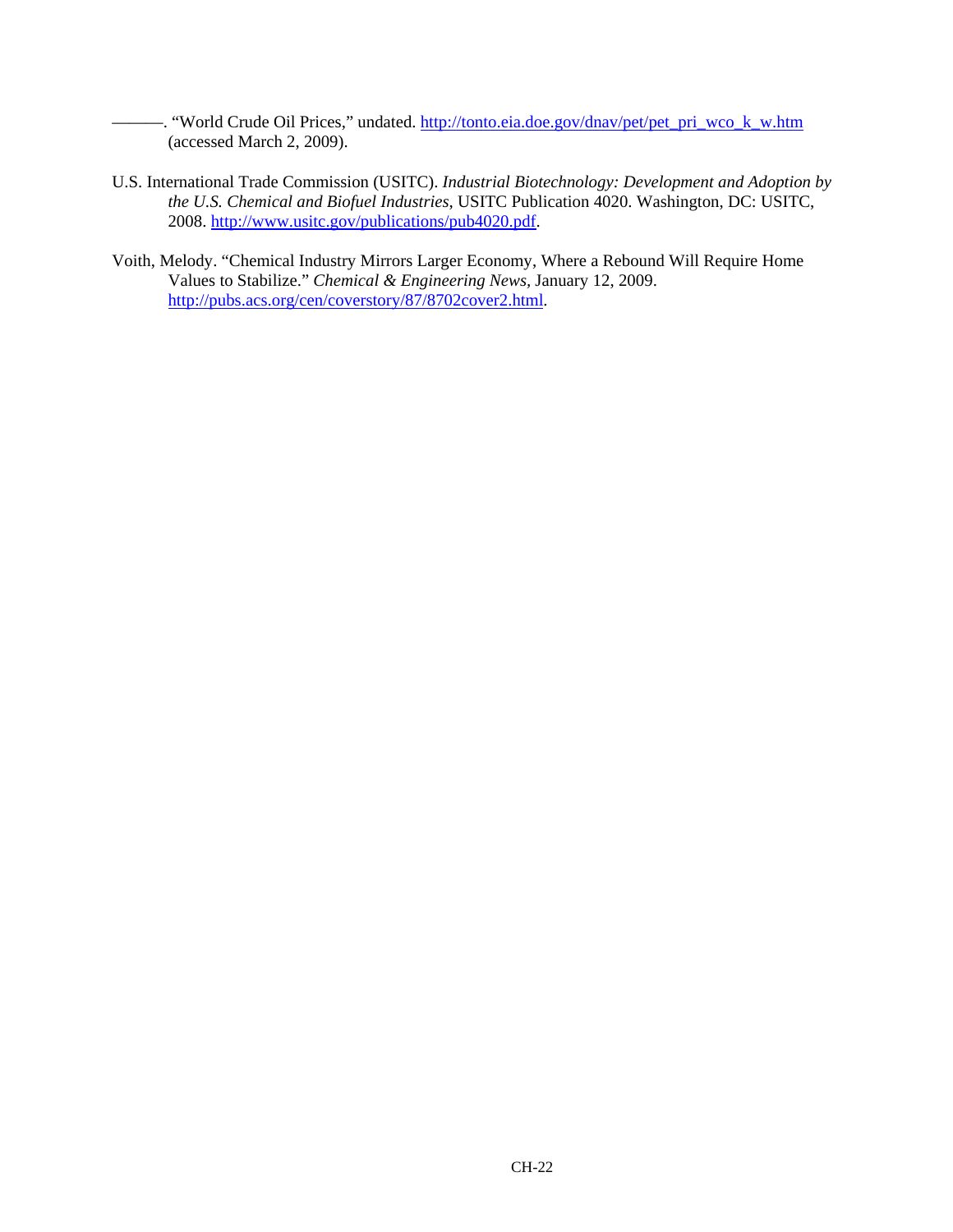- "World Crude Oil Prices," undated. http://tonto.eia.doe.gov/dnav/pet/pet\_pri\_wco\_k\_w.htm (accessed March 2, 2009).

- U.S. International Trade Commission (USITC). *Industrial Biotechnology: Development and Adoption by the U.S. Chemical and Biofuel Industries*, USITC Publication 4020. Washington, DC: USITC, 2008. http://www.usitc.gov/publications/pub4020.pdf.
- Voith, Melody. "Chemical Industry Mirrors Larger Economy, Where a Rebound Will Require Home Values to Stabilize." *Chemical & Engineering News,* January 12, 2009. http://pubs.acs.org/cen/coverstory/87/8702cover2.html.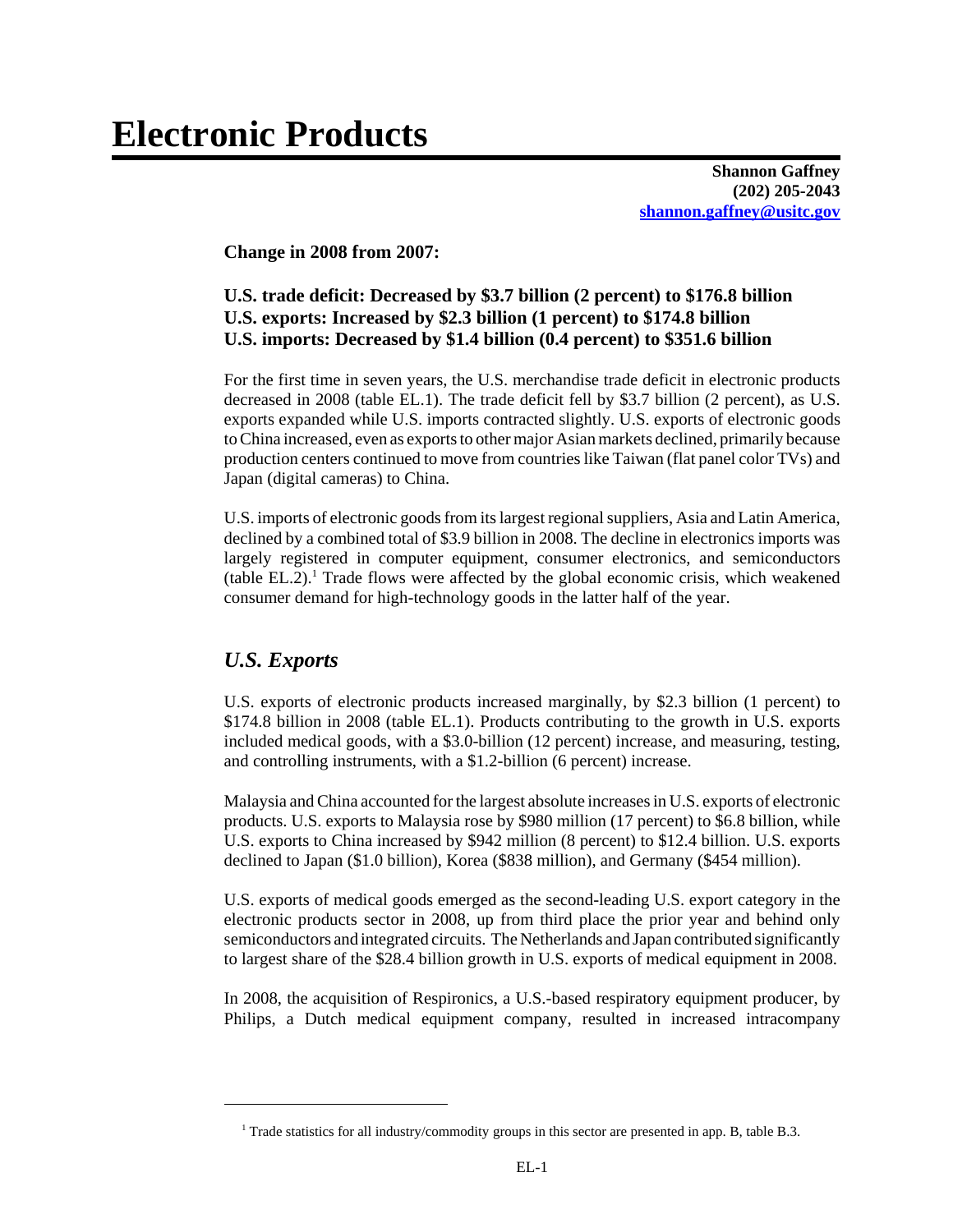# **Electronic Products**

**Shannon Gaffney (202) 205-2043 shannon.gaffney@usitc.gov**

**Change in 2008 from 2007:**

# **U.S. trade deficit: Decreased by \$3.7 billion (2 percent) to \$176.8 billion U.S. exports: Increased by \$2.3 billion (1 percent) to \$174.8 billion U.S. imports: Decreased by \$1.4 billion (0.4 percent) to \$351.6 billion**

For the first time in seven years, the U.S. merchandise trade deficit in electronic products decreased in 2008 (table EL.1). The trade deficit fell by \$3.7 billion (2 percent), as U.S. exports expanded while U.S. imports contracted slightly. U.S. exports of electronic goods to China increased, even as exports to other major Asian markets declined, primarily because production centers continued to move from countries like Taiwan (flat panel color TVs) and Japan (digital cameras) to China.

U.S. imports of electronic goods from its largest regional suppliers, Asia and Latin America, declined by a combined total of \$3.9 billion in 2008. The decline in electronics imports was largely registered in computer equipment, consumer electronics, and semiconductors (table EL.2).<sup>1</sup> Trade flows were affected by the global economic crisis, which weakened consumer demand for high-technology goods in the latter half of the year.

# *U.S. Exports*

U.S. exports of electronic products increased marginally, by \$2.3 billion (1 percent) to \$174.8 billion in 2008 (table EL.1). Products contributing to the growth in U.S. exports included medical goods, with a \$3.0-billion (12 percent) increase, and measuring, testing, and controlling instruments, with a \$1.2-billion (6 percent) increase.

Malaysia and China accounted for the largest absolute increases in U.S. exports of electronic products. U.S. exports to Malaysia rose by \$980 million (17 percent) to \$6.8 billion, while U.S. exports to China increased by \$942 million (8 percent) to \$12.4 billion. U.S. exports declined to Japan (\$1.0 billion), Korea (\$838 million), and Germany (\$454 million).

U.S. exports of medical goods emerged as the second-leading U.S. export category in the electronic products sector in 2008, up from third place the prior year and behind only semiconductors and integrated circuits. The Netherlands and Japan contributed significantly to largest share of the \$28.4 billion growth in U.S. exports of medical equipment in 2008.

In 2008, the acquisition of Respironics, a U.S.-based respiratory equipment producer, by Philips, a Dutch medical equipment company, resulted in increased intracompany

 <sup>1</sup> Trade statistics for all industry/commodity groups in this sector are presented in app. B, table B.3.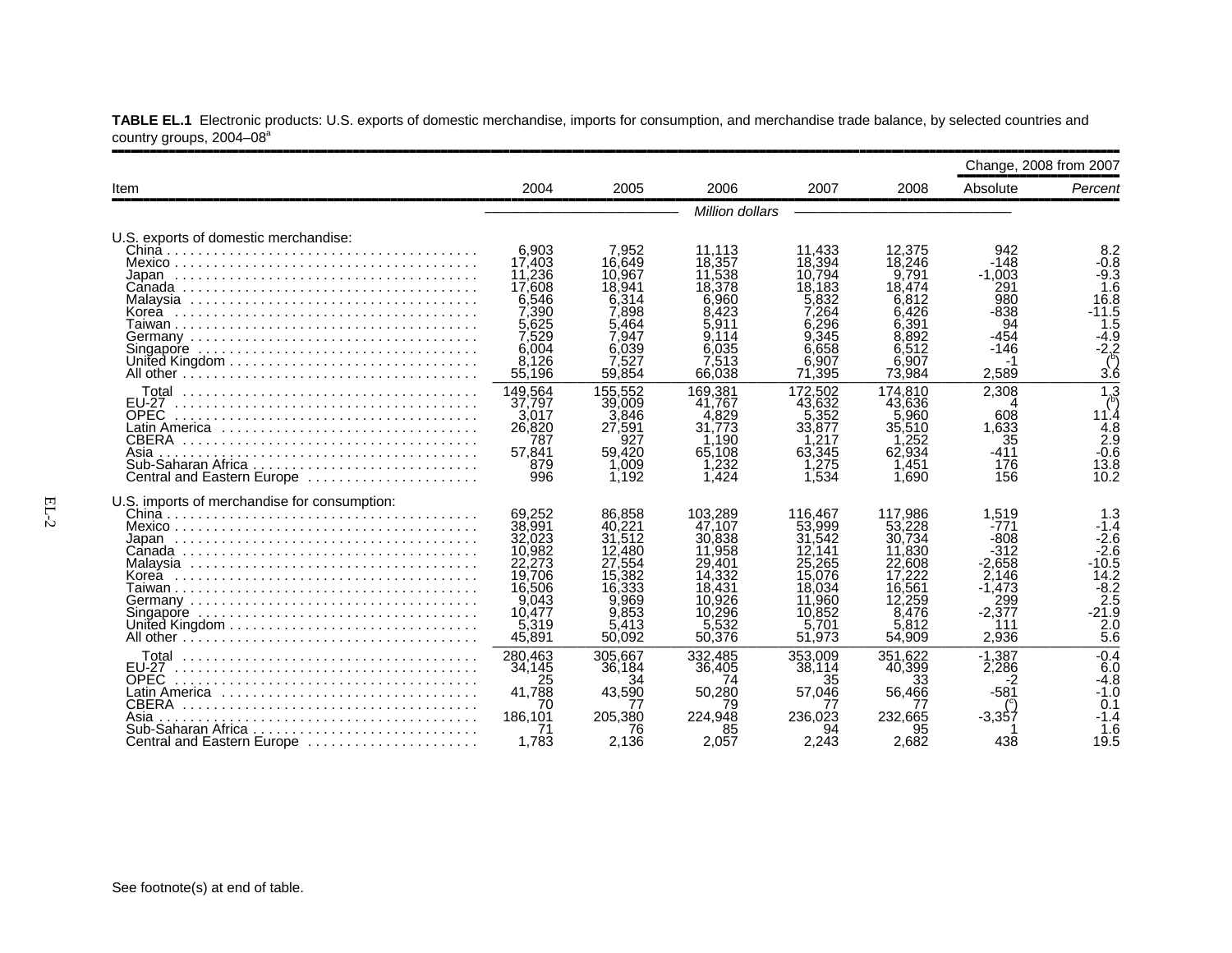|                                                                                                                                                          |                                                                                                          |                                                                                                         |                                                                                                                 |                                                                                                            |                                                                                                           | Change, 2008 from 2007                                                                              |                                                                                                                                                |
|----------------------------------------------------------------------------------------------------------------------------------------------------------|----------------------------------------------------------------------------------------------------------|---------------------------------------------------------------------------------------------------------|-----------------------------------------------------------------------------------------------------------------|------------------------------------------------------------------------------------------------------------|-----------------------------------------------------------------------------------------------------------|-----------------------------------------------------------------------------------------------------|------------------------------------------------------------------------------------------------------------------------------------------------|
| Item                                                                                                                                                     | 2004                                                                                                     | 2005                                                                                                    | 2006                                                                                                            | 2007                                                                                                       | 2008                                                                                                      | Absolute                                                                                            | Percent                                                                                                                                        |
|                                                                                                                                                          |                                                                                                          |                                                                                                         | Million dollars                                                                                                 |                                                                                                            |                                                                                                           |                                                                                                     |                                                                                                                                                |
| U.S. exports of domestic merchandise:                                                                                                                    | 6,903<br>17.403<br>11,236<br>17,608<br>6.546<br>7.390<br>5.625<br>7.529<br>6.004<br>8,126<br>55,196      | 7,952<br>16.649<br>10.967<br>18.941<br>6.314<br>7.898<br>5.464<br>7.947<br>6,039<br>7.527<br>59.854     | 11,113<br>18.357<br>11.538<br>18,378<br>6.960<br>8.423<br>5.911<br>9.114<br>6,035<br>7.513<br>66,038            | 11,433<br>18,394<br>10.794<br>18.183<br>5.832<br>7.264<br>6.296<br>.345<br>6.658<br>.907<br>6.<br>71,395   | 12,375<br>18.246<br>9,791<br>18,474<br>6.812<br>6.426<br>6.391<br>8.892<br>6.512<br>6.907<br>73.984       | 942<br>$-148$<br>$-1.003$<br>291<br>980<br>-838<br>94<br>$-454$<br>$-146$<br>2.589                  | 8.2<br>$-0.8$<br>$-9.3$<br>1.6<br>16.8<br>$-11.5$<br>$1.\overline{5}$<br>-4.9<br>-2.2<br>3.6                                                   |
| Total<br><b>EU-27</b><br><b>OPEC</b><br>Latin America ,,,,,,,,,,,,,,,,,,,,,,,,,,,,,<br>CBERA<br>Asia<br>Central and Eastern Europe                       | 149.564<br>37,797<br>3.017<br>26,820<br>787<br>57,841<br>879<br>996                                      | 155.552<br>39,009<br>3.846<br>27,591<br>927<br>59.420<br>1.009<br>1.192                                 | 169.381<br>41.767<br>.829<br>4<br>31.773<br>.190<br>65.108<br>.232<br>1.424                                     | 172.502<br>43.632<br>5.352<br>33,877<br>.217<br>63.345<br>.275<br>1.534                                    | 174.810<br>43.636<br>.960<br>35,510<br>.252<br>62.934<br>,451<br>1.690                                    | 2.308<br>608<br>1.633<br>35<br>$-411$<br>176<br>156                                                 | $\overline{1,3}$<br>11.4<br>$\frac{4.8}{2.9}$<br>$-0.6$<br>13.8<br>10.2                                                                        |
| U.S. imports of merchandise for consumption:                                                                                                             | 69.252<br>38,991<br>32,023<br>10.982<br>22,273<br>19,706<br>16,506<br>9.043<br>10.477<br>5,319<br>45,891 | 86.858<br>40.221<br>31,512<br>12,480<br>27.554<br>15,382<br>16,333<br>9.969<br>9.853<br>5.413<br>50,092 | 103.289<br>47.107<br>30,838<br>11.958<br>29,401<br>14.332<br>18.431<br>10.926<br>10.296<br>.532<br>5.<br>50,376 | 116.467<br>53,999<br>31,542<br>12.141<br>25,265<br>15.076<br>18.034<br>11.960<br>10.852<br>5.701<br>51,973 | 117.986<br>53,228<br>30.734<br>11,830<br>22.608<br>17.222<br>16.561<br>12,259<br>8.476<br>5,812<br>54,909 | 1,519<br>$-771$<br>-808<br>-312<br>$-2,658$<br>2.146<br>$-1.473$<br>299<br>$-2.377$<br>111<br>2.936 | 1.3<br>$-1.4$<br>$-2.6$<br>$-2.\overline{6}$<br>$-10.5$<br>14.2<br>$-8.2$<br>$\overline{2.5}$<br>$-21.\overline{9}$<br>2.0<br>$5.\overline{6}$ |
| Total<br><b>EU-27</b><br><b>OPEC</b><br>Latin America ,,,,,,,,,,,,,,,,,,,,,,,,,,,,,<br>CBERA<br>Asia<br>Sub-Saharan Africa<br>Central and Eastern Europe | 280.463<br>34.145<br>25<br>41.788<br>70<br>186.101<br>1.783                                              | 305.667<br>36.184<br>34<br>43,590<br>77<br>205.380<br>76<br>2.136                                       | 332.485<br>36,405<br>74<br>50.280<br>79<br>224.948<br>85<br>2,057                                               | 353.009<br>38,114<br>35<br>57,046<br>77<br>236.023<br>94<br>2.243                                          | 351.622<br>40,399<br>33<br>56.466<br>77<br>232,665<br>2.682                                               | $-1.387$<br>2.286<br>-2<br>$-581$<br>-3.357<br>438                                                  | $-0.4$<br>6.0<br>$-4.8$<br>$-1.0$<br>0.1<br>$-1.4$<br>1.6<br>19.5                                                                              |

**TABLE EL.1** Electronic products: U.S. exports of domestic merchandise, imports for consumption, and merchandise trade balance, by selected countries and country groups, 2004–08ª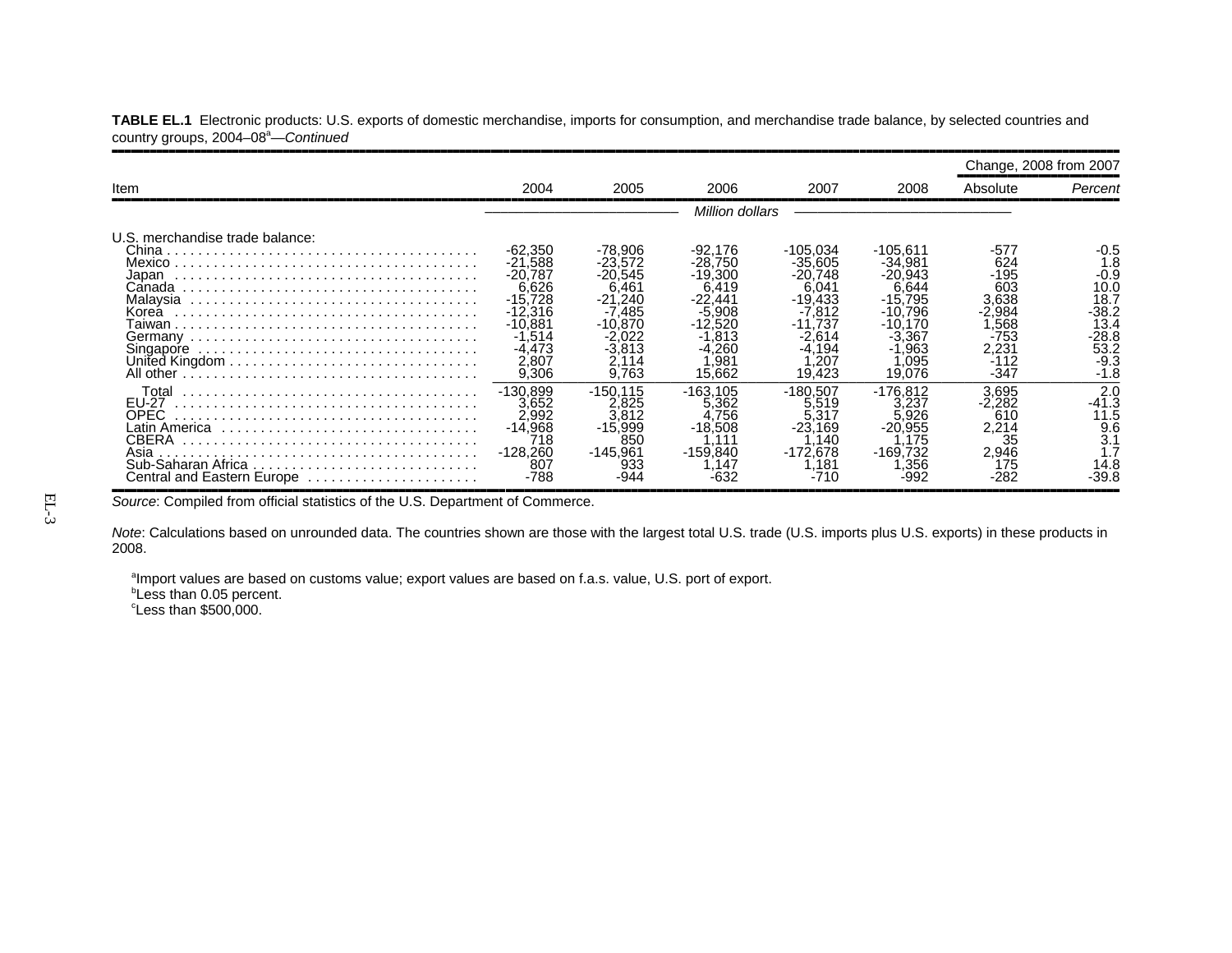|                                                                              |                                                                                                                           |                                                                                                             |                                                                                                                                |                                                                                                                        |                                                                                                                          |                                                                                        | Change, 2008 from 2007                                                                      |
|------------------------------------------------------------------------------|---------------------------------------------------------------------------------------------------------------------------|-------------------------------------------------------------------------------------------------------------|--------------------------------------------------------------------------------------------------------------------------------|------------------------------------------------------------------------------------------------------------------------|--------------------------------------------------------------------------------------------------------------------------|----------------------------------------------------------------------------------------|---------------------------------------------------------------------------------------------|
| Item                                                                         | 2004                                                                                                                      | 2005                                                                                                        | 2006                                                                                                                           | 2007                                                                                                                   | 2008                                                                                                                     | Absolute                                                                               | Percent                                                                                     |
|                                                                              |                                                                                                                           |                                                                                                             | Million dollars                                                                                                                |                                                                                                                        |                                                                                                                          |                                                                                        |                                                                                             |
| U.S. merchandise trade balance:<br>Japan<br>Canada<br>Korea<br>Singapore     | $-62,350$<br>$-21.588$<br>$-20.787$<br>6,626<br>$-15,728$<br>$-12.316$<br>$-10.881$<br>.514<br>$-4.473$<br>2,807<br>9,306 | -78,906<br>$-23.572$<br>$-20.545$<br>6.461<br>$-21.240$<br>-7.485<br>$-10.870$<br>-2.022<br>-3.813<br>9.763 | -92.176<br>$-28.750$<br>$-19.300$<br>6.419<br>$-22.441$<br>-5.908<br>$-12.520$<br>.813<br>-4,260<br>.98 <sup>°</sup><br>15,662 | -105.034<br>$-35.605$<br>$-20.748$<br>6,041<br>$-19.433$<br>$-7.812$<br>.737<br>$-2.614$<br>$-4.194$<br>.207<br>19.423 | $-105.611$<br>$-34.981$<br>$-20.943$<br>6.644<br>$-15.795$<br>$-10.796$<br>-10.170<br>-3.367<br>-1.963<br>.095<br>19,076 | -577<br>624<br>-195<br>603<br>3.638<br>-2.984<br>.568<br>-753<br>2.231<br>-112<br>-347 | -0.5<br>1.8<br>-0.9<br>10.0<br>18.7<br>$-38.2$<br>13.4<br>-28.8<br>53.2<br>$-9.3$<br>$-1.8$ |
| Total<br><b>EU-27</b><br>OPEC<br>CBERA<br>Asia<br>Central and Eastern Europe | $-130.899$<br>3.652<br>2.992<br>$-14.968$<br>718<br>$-128.260$<br>807<br>$-788$                                           | $-150.115$<br>2.825<br>3.812<br>-15.999<br>85C<br>$-145.961$<br>933                                         | $-163.105$<br>5.362<br>.756<br>$-18.508$<br>$-159.840$<br>.147                                                                 | -180.507<br>5.519<br>.317<br>.169<br>-23.<br>.140<br>$-172.678$<br>.181<br>-710                                        | $-176.812$<br>3.237<br>.926<br>$-20.955$<br>.175<br>-169.732<br>.356                                                     | 3.695<br>-2.282<br>610<br>2,214<br>35<br>2.946<br>175<br>-282                          | 2.0<br>-41.3<br>11.5<br>9.6<br>3.1<br>14.8<br>-39.8                                         |

**TABLE EL.1** Electronic products: U.S. exports of domestic merchandise, imports for consumption, and merchandise trade balance, by selected countries and country groups, 2004–08<sup>a</sup>—Continued

Source: Compiled from official statistics of the U.S. Department of Commerce.

*Note*: Calculations based on unrounded data. The countries shown are those with the largest total U.S. trade (U.S. imports plus U.S. exports) in these products in 2008.

<sup>a</sup>Import values are based on customs value; export values are based on f.a.s. value, U.S. port of export.

**bLess than 0.05 percent.** 

 $\textdegree$ Less than \$500,000.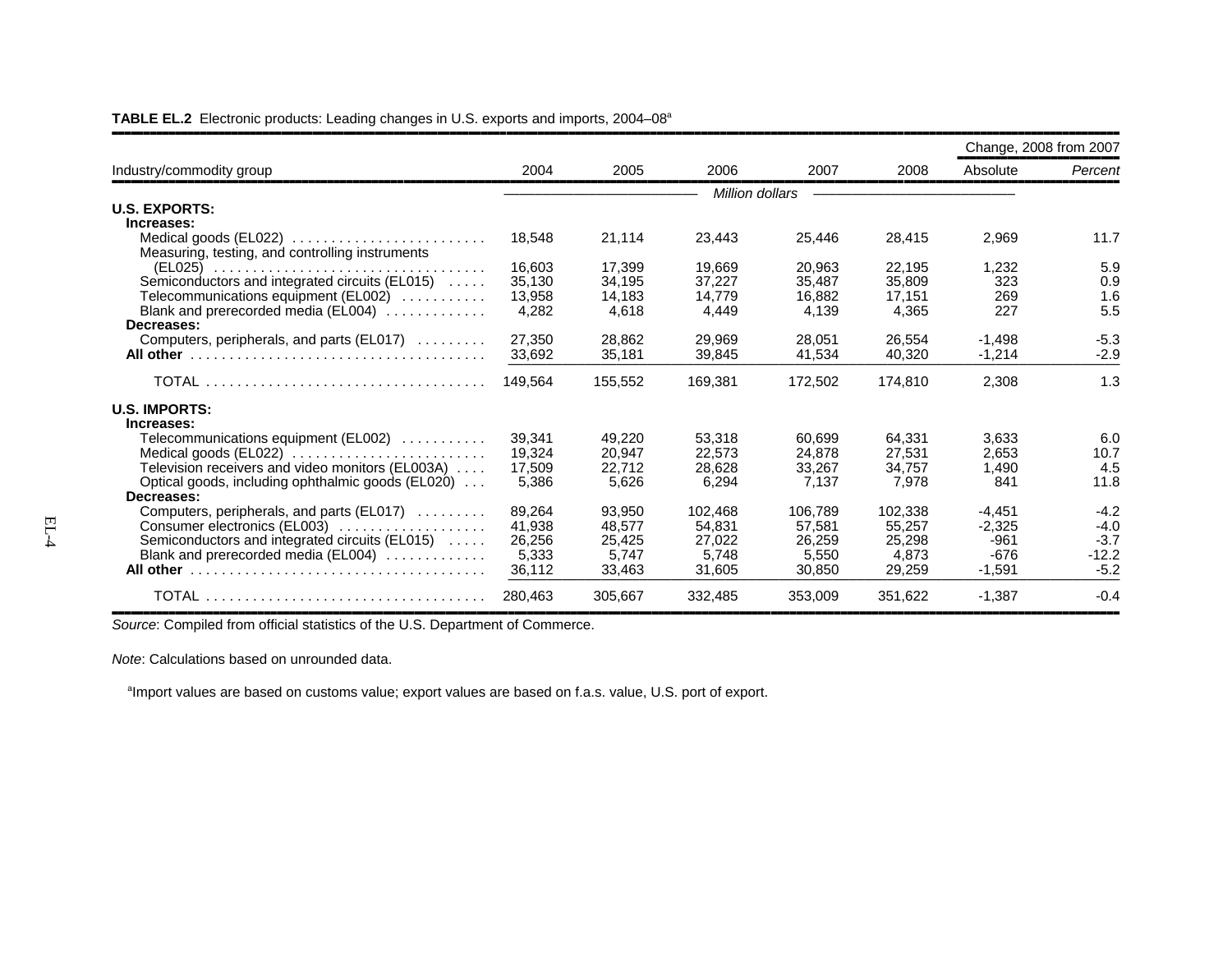|                                                                          |         |         |         |                 |         |          | Change, 2008 from 2007 |
|--------------------------------------------------------------------------|---------|---------|---------|-----------------|---------|----------|------------------------|
| Industry/commodity group                                                 | 2004    | 2005    | 2006    | 2007            | 2008    | Absolute | Percent                |
|                                                                          |         |         |         | Million dollars |         |          |                        |
| <b>U.S. EXPORTS:</b>                                                     |         |         |         |                 |         |          |                        |
| Increases:                                                               |         |         |         |                 |         |          |                        |
| Medical goods (EL022)                                                    | 18,548  | 21,114  | 23,443  | 25,446          | 28,415  | 2,969    | 11.7                   |
| Measuring, testing, and controlling instruments                          |         |         |         |                 |         |          |                        |
|                                                                          | 16,603  | 17,399  | 19,669  | 20,963          | 22,195  | 1,232    | 5.9                    |
| Semiconductors and integrated circuits (EL015)                           | 35,130  | 34,195  | 37.227  | 35.487          | 35,809  | 323      | 0.9                    |
| Telecommunications equipment (EL002)                                     | 13,958  | 14,183  | 14.779  | 16,882          | 17,151  | 269      | 1.6                    |
| Blank and prerecorded media (EL004)                                      | 4,282   | 4.618   | 4.449   | 4.139           | 4,365   | 227      | 5.5                    |
| Decreases:                                                               |         |         |         |                 |         |          |                        |
| Computers, peripherals, and parts (EL017)                                | 27,350  | 28,862  | 29,969  | 28,051          | 26,554  | $-1,498$ | $-5.3$                 |
|                                                                          | 33.692  | 35.181  | 39.845  | 41.534          | 40.320  | $-1.214$ | $-2.9$                 |
|                                                                          | 149.564 | 155.552 | 169,381 | 172,502         | 174,810 | 2,308    | 1.3                    |
| <b>U.S. IMPORTS:</b>                                                     |         |         |         |                 |         |          |                        |
| Increases:                                                               |         |         |         |                 |         |          |                        |
| Telecommunications equipment (EL002)                                     | 39,341  | 49,220  | 53,318  | 60.699          | 64,331  | 3,633    | 6.0                    |
| Medical goods (EL022) $\ldots \ldots \ldots \ldots \ldots \ldots \ldots$ | 19,324  | 20,947  | 22,573  | 24.878          | 27,531  | 2,653    | 10.7                   |
| Television receivers and video monitors (EL003A)                         | 17,509  | 22.712  | 28.628  | 33,267          | 34.757  | 1,490    | 4.5                    |
| Optical goods, including ophthalmic goods (EL020)                        | 5,386   | 5,626   | 6,294   | 7,137           | 7,978   | 841      | 11.8                   |
| Decreases:                                                               |         |         |         |                 |         |          |                        |
| Computers, peripherals, and parts (EL017)                                | 89.264  | 93.950  | 102.468 | 106.789         | 102,338 | $-4,451$ | $-4.2$                 |
| Consumer electronics (EL003)                                             | 41,938  | 48,577  | 54,831  | 57,581          | 55,257  | $-2,325$ | $-4.0$                 |
| Semiconductors and integrated circuits (EL015)                           | 26.256  | 25.425  | 27.022  | 26.259          | 25.298  | $-961$   | $-3.7$                 |
| Blank and prerecorded media (EL004)                                      | 5.333   | 5.747   | 5.748   | 5.550           | 4.873   | $-676$   | $-12.2$                |
|                                                                          | 36,112  | 33,463  | 31,605  | 30,850          | 29,259  | $-1,591$ | $-5.2$                 |
|                                                                          | 280,463 | 305,667 | 332,485 | 353,009         | 351,622 | $-1,387$ | $-0.4$                 |

**TABLE EL.2** Electronic products: Leading changes in U.S. exports and imports, 2004–08a

,,,,,,,,,,,,,,,,,,,,,,,,,,,,,,,,,,,,,,,,,,,,,,,,,,,,,,,,,,,,,,,,,,,,,,,,,,,,,,,,,,,,,,,,,,,,,,,,,,,,,,,,,,,,,,,,,,,,,,,,,,,,,,,,,,,,,,,,,,,,,,,,,,,,,,,,,,,,,,,,*Source*: Compiled from official statistics of the U.S. Department of Commerce.

*Note*: Calculations based on unrounded data.

<sup>a</sup>Import values are based on customs value; export values are based on f.a.s. value, U.S. port of export.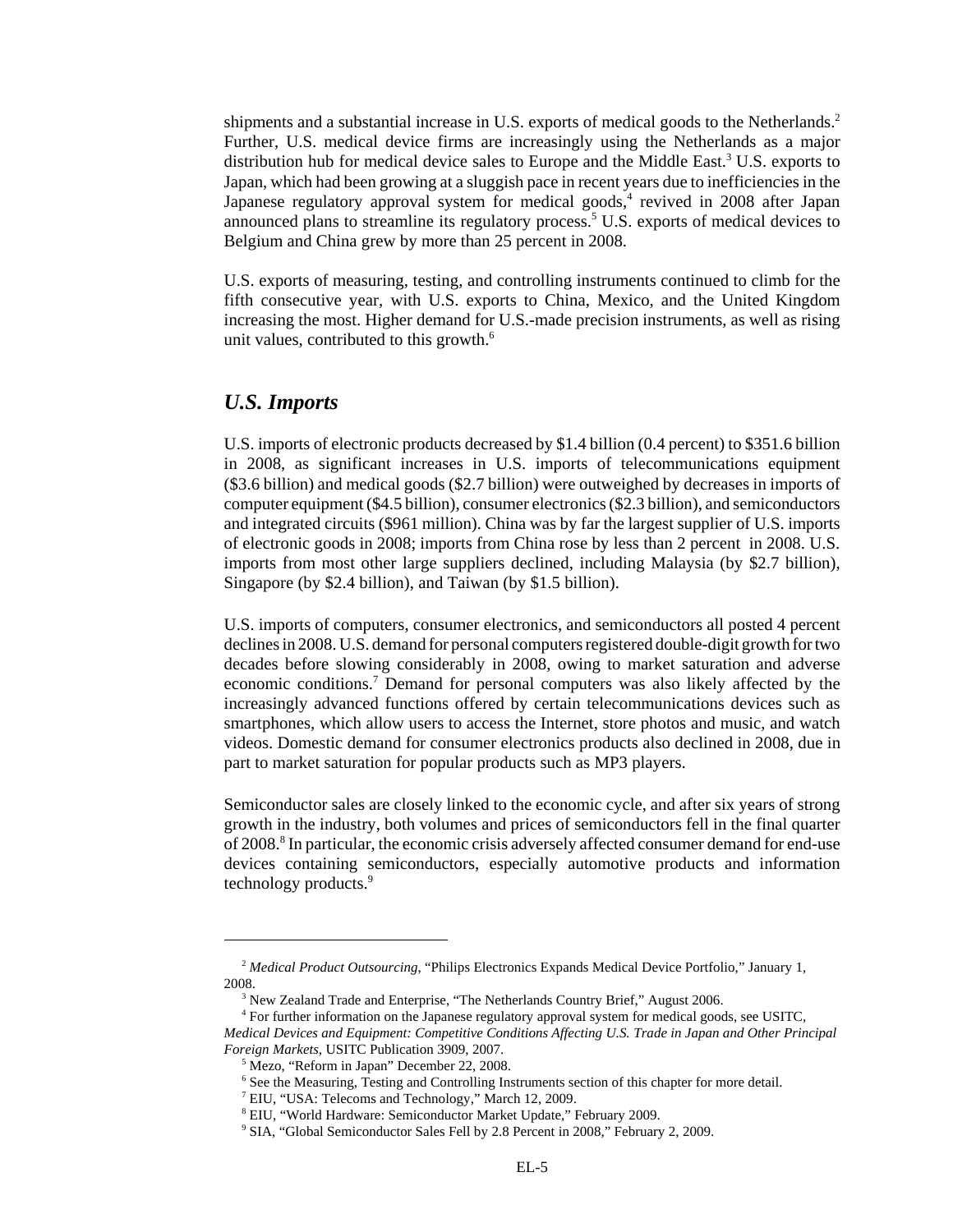shipments and a substantial increase in U.S. exports of medical goods to the Netherlands.<sup>2</sup> Further, U.S. medical device firms are increasingly using the Netherlands as a major distribution hub for medical device sales to Europe and the Middle East.<sup>3</sup> U.S. exports to Japan, which had been growing at a sluggish pace in recent years due to inefficiencies in the Japanese regulatory approval system for medical goods,<sup>4</sup> revived in 2008 after Japan announced plans to streamline its regulatory process.<sup>5</sup> U.S. exports of medical devices to Belgium and China grew by more than 25 percent in 2008.

U.S. exports of measuring, testing, and controlling instruments continued to climb for the fifth consecutive year, with U.S. exports to China, Mexico, and the United Kingdom increasing the most. Higher demand for U.S.-made precision instruments, as well as rising unit values, contributed to this growth.<sup>6</sup>

#### *U.S. Imports*

U.S. imports of electronic products decreased by \$1.4 billion (0.4 percent) to \$351.6 billion in 2008, as significant increases in U.S. imports of telecommunications equipment (\$3.6 billion) and medical goods (\$2.7 billion) were outweighed by decreases in imports of computer equipment (\$4.5 billion), consumer electronics (\$2.3 billion), and semiconductors and integrated circuits (\$961 million). China was by far the largest supplier of U.S. imports of electronic goods in 2008; imports from China rose by less than 2 percent in 2008. U.S. imports from most other large suppliers declined, including Malaysia (by \$2.7 billion), Singapore (by \$2.4 billion), and Taiwan (by \$1.5 billion).

U.S. imports of computers, consumer electronics, and semiconductors all posted 4 percent declines in 2008. U.S. demand for personal computers registered double-digit growth for two decades before slowing considerably in 2008, owing to market saturation and adverse economic conditions.<sup>7</sup> Demand for personal computers was also likely affected by the increasingly advanced functions offered by certain telecommunications devices such as smartphones, which allow users to access the Internet, store photos and music, and watch videos. Domestic demand for consumer electronics products also declined in 2008, due in part to market saturation for popular products such as MP3 players.

Semiconductor sales are closely linked to the economic cycle, and after six years of strong growth in the industry, both volumes and prices of semiconductors fell in the final quarter of 2008.<sup>8</sup> In particular, the economic crisis adversely affected consumer demand for end-use devices containing semiconductors, especially automotive products and information technology products.<sup>9</sup>

<sup>&</sup>lt;sup>2</sup> Medical Product Outsourcing, "Philips Electronics Expands Medical Device Portfolio," January 1, 2008.

<sup>&</sup>lt;sup>3</sup> New Zealand Trade and Enterprise, "The Netherlands Country Brief," August 2006.

 <sup>4</sup> For further information on the Japanese regulatory approval system for medical goods, see USITC, *Medical Devices and Equipment: Competitive Conditions Affecting U.S. Trade in Japan and Other Principal Foreign Markets*, USITC Publication 3909, 2007.

 <sup>5</sup> Mezo, "Reform in Japan" December 22, 2008.

 <sup>6</sup> See the Measuring, Testing and Controlling Instruments section of this chapter for more detail.

<sup>&</sup>lt;sup>7</sup> EIU, "USA: Telecoms and Technology," March 12, 2009.

 <sup>8</sup> EIU, "World Hardware: Semiconductor Market Update," February 2009.

 <sup>9</sup> SIA, "Global Semiconductor Sales Fell by 2.8 Percent in 2008," February 2, 2009.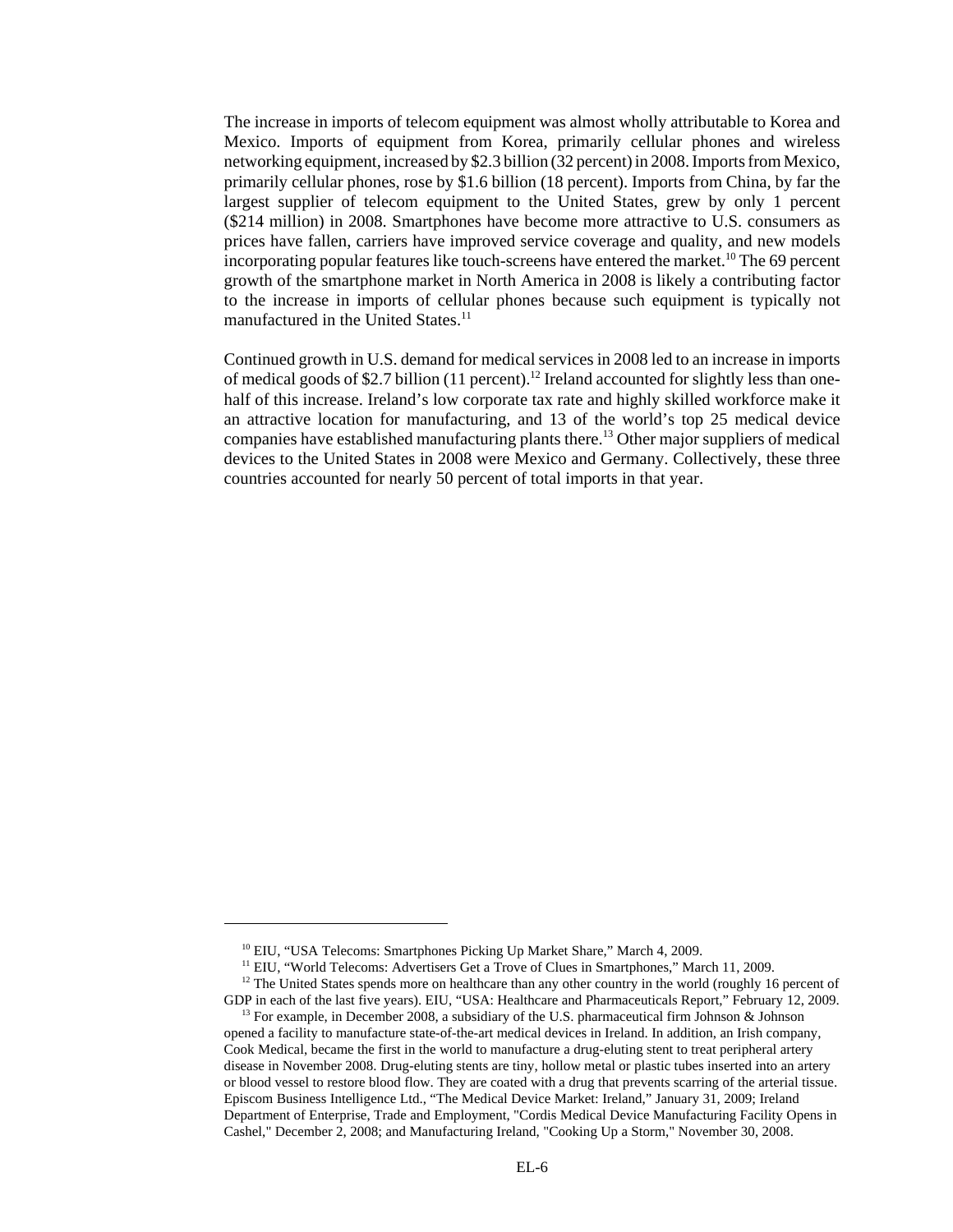The increase in imports of telecom equipment was almost wholly attributable to Korea and Mexico. Imports of equipment from Korea, primarily cellular phones and wireless networking equipment, increased by \$2.3 billion (32 percent) in 2008. Imports from Mexico, primarily cellular phones, rose by \$1.6 billion (18 percent). Imports from China, by far the largest supplier of telecom equipment to the United States, grew by only 1 percent (\$214 million) in 2008. Smartphones have become more attractive to U.S. consumers as prices have fallen, carriers have improved service coverage and quality, and new models incorporating popular features like touch-screens have entered the market.<sup>10</sup> The 69 percent growth of the smartphone market in North America in 2008 is likely a contributing factor to the increase in imports of cellular phones because such equipment is typically not manufactured in the United States.<sup>11</sup>

Continued growth in U.S. demand for medical services in 2008 led to an increase in imports of medical goods of \$2.7 billion (11 percent).<sup>12</sup> Ireland accounted for slightly less than onehalf of this increase. Ireland's low corporate tax rate and highly skilled workforce make it an attractive location for manufacturing, and 13 of the world's top 25 medical device companies have established manufacturing plants there.13 Other major suppliers of medical devices to the United States in 2008 were Mexico and Germany. Collectively, these three countries accounted for nearly 50 percent of total imports in that year.

<sup>&</sup>lt;sup>10</sup> EIU, "USA Telecoms: Smartphones Picking Up Market Share," March 4, 2009.

<sup>&</sup>lt;sup>11</sup> EIU, "World Telecoms: Advertisers Get a Trove of Clues in Smartphones," March 11, 2009.

<sup>&</sup>lt;sup>12</sup> The United States spends more on healthcare than any other country in the world (roughly 16 percent of GDP in each of the last five years). EIU, "USA: Healthcare and Pharmaceuticals Report*,*" February 12, 2009.

<sup>&</sup>lt;sup>13</sup> For example, in December 2008, a subsidiary of the U.S. pharmaceutical firm Johnson & Johnson opened a facility to manufacture state-of-the-art medical devices in Ireland. In addition, an Irish company, Cook Medical, became the first in the world to manufacture a drug-eluting stent to treat peripheral artery disease in November 2008. Drug-eluting stents are tiny, hollow metal or plastic tubes inserted into an artery or blood vessel to restore blood flow. They are coated with a drug that prevents scarring of the arterial tissue. Episcom Business Intelligence Ltd., "The Medical Device Market: Ireland," January 31, 2009; Ireland Department of Enterprise, Trade and Employment, "Cordis Medical Device Manufacturing Facility Opens in Cashel," December 2, 2008; and Manufacturing Ireland, "Cooking Up a Storm," November 30, 2008.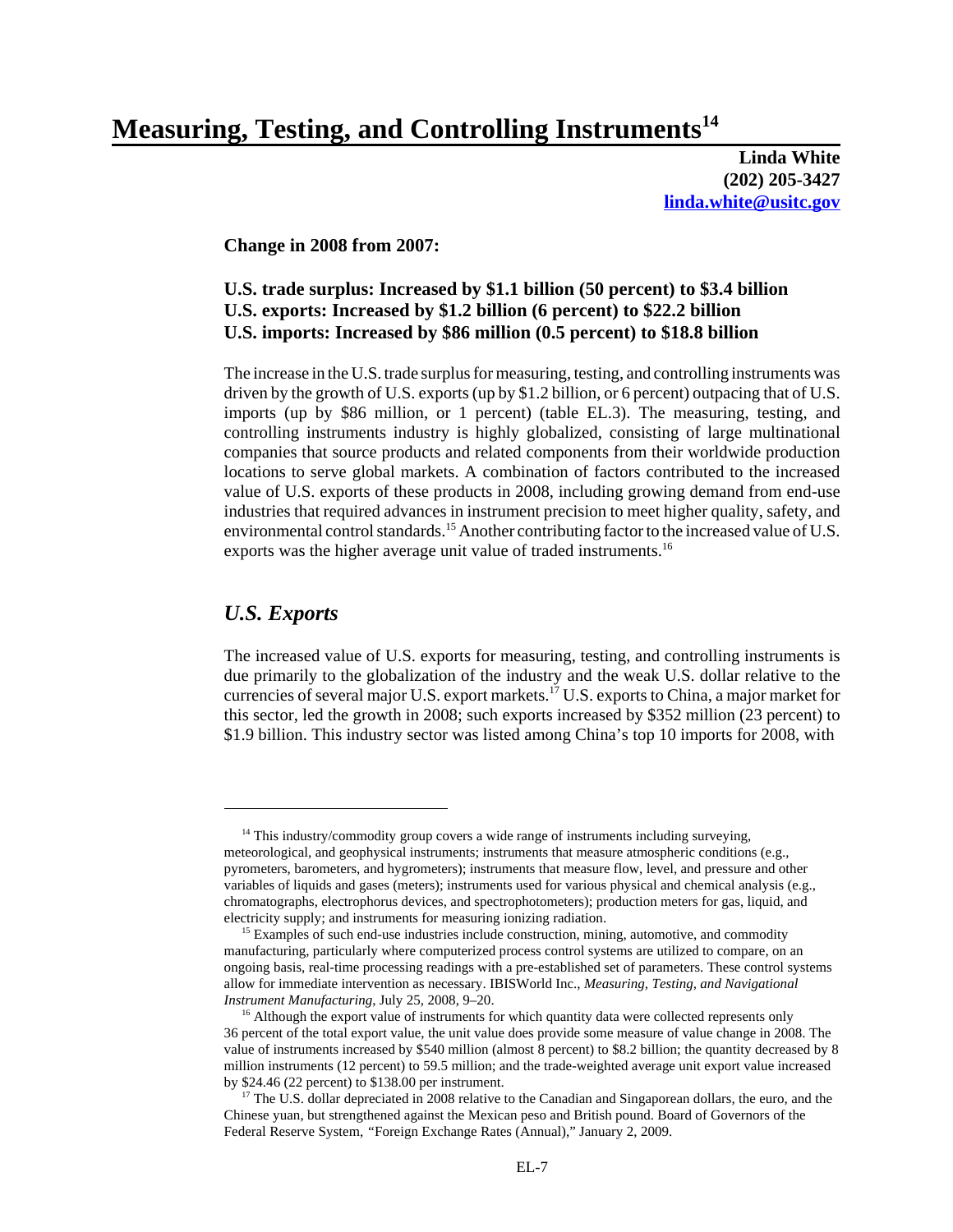# **Measuring, Testing, and Controlling Instruments14**

**Linda White (202) 205-3427 linda.white@usitc.gov**

**Change in 2008 from 2007:**

#### **U.S. trade surplus: Increased by \$1.1 billion (50 percent) to \$3.4 billion U.S. exports: Increased by \$1.2 billion (6 percent) to \$22.2 billion U.S. imports: Increased by \$86 million (0.5 percent) to \$18.8 billion**

The increase in the U.S. trade surplus for measuring, testing, and controlling instruments was driven by the growth of U.S. exports (up by \$1.2 billion, or 6 percent) outpacing that of U.S. imports (up by \$86 million, or 1 percent) (table EL.3). The measuring, testing, and controlling instruments industry is highly globalized, consisting of large multinational companies that source products and related components from their worldwide production locations to serve global markets. A combination of factors contributed to the increased value of U.S. exports of these products in 2008, including growing demand from end-use industries that required advances in instrument precision to meet higher quality, safety, and environmental control standards.<sup>15</sup> Another contributing factor to the increased value of U.S. exports was the higher average unit value of traded instruments.<sup>16</sup>

#### *U.S. Exports*

The increased value of U.S. exports for measuring, testing, and controlling instruments is due primarily to the globalization of the industry and the weak U.S. dollar relative to the currencies of several major U.S. export markets.17 U.S. exports to China, a major market for this sector, led the growth in 2008; such exports increased by \$352 million (23 percent) to \$1.9 billion. This industry sector was listed among China's top 10 imports for 2008, with

<sup>&</sup>lt;sup>14</sup> This industry/commodity group covers a wide range of instruments including surveying, meteorological, and geophysical instruments; instruments that measure atmospheric conditions (e.g., pyrometers, barometers, and hygrometers); instruments that measure flow, level, and pressure and other variables of liquids and gases (meters); instruments used for various physical and chemical analysis (e.g., chromatographs, electrophorus devices, and spectrophotometers); production meters for gas, liquid, and electricity supply; and instruments for measuring ionizing radiation.

<sup>&</sup>lt;sup>15</sup> Examples of such end-use industries include construction, mining, automotive, and commodity manufacturing, particularly where computerized process control systems are utilized to compare, on an ongoing basis, real-time processing readings with a pre-established set of parameters. These control systems allow for immediate intervention as necessary. IBISWorld Inc., *Measuring, Testing, and Navigational Instrument Manufacturing*, July 25, 2008, 9–20.

<sup>&</sup>lt;sup>16</sup> Although the export value of instruments for which quantity data were collected represents only 36 percent of the total export value, the unit value does provide some measure of value change in 2008. The value of instruments increased by \$540 million (almost 8 percent) to \$8.2 billion; the quantity decreased by 8 million instruments (12 percent) to 59.5 million; and the trade-weighted average unit export value increased by \$24.46 (22 percent) to \$138.00 per instrument.

<sup>&</sup>lt;sup>17</sup> The U.S. dollar depreciated in 2008 relative to the Canadian and Singaporean dollars, the euro, and the Chinese yuan, but strengthened against the Mexican peso and British pound. Board of Governors of the Federal Reserve System, *"*Foreign Exchange Rates (Annual)," January 2, 2009.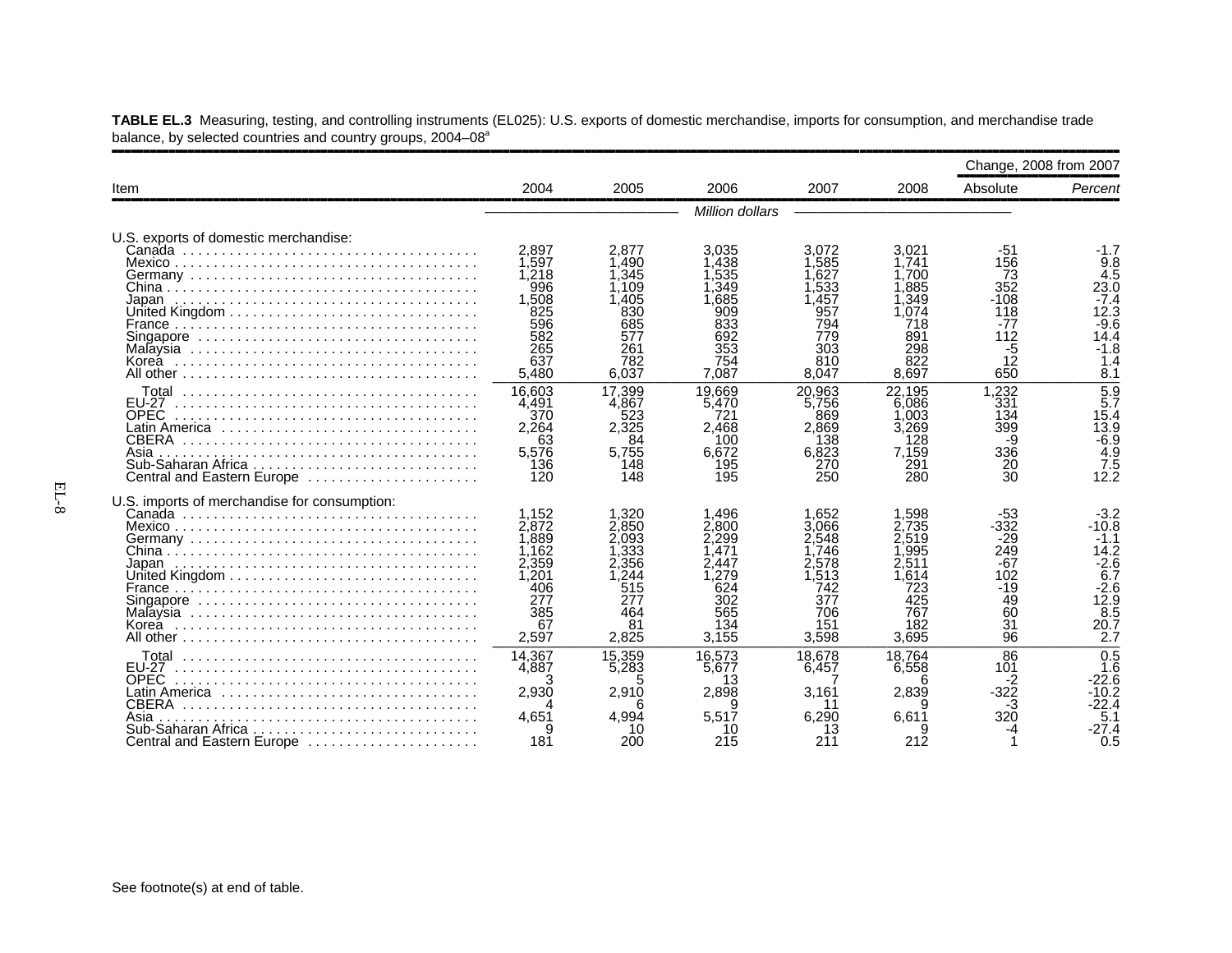|                                                                                                                                                                 |                                                                                        |                                                                                      |                                                                                       |                                                                                      |                                                                                     | Change, 2008 from 2007                                                       |                                                                                                                        |
|-----------------------------------------------------------------------------------------------------------------------------------------------------------------|----------------------------------------------------------------------------------------|--------------------------------------------------------------------------------------|---------------------------------------------------------------------------------------|--------------------------------------------------------------------------------------|-------------------------------------------------------------------------------------|------------------------------------------------------------------------------|------------------------------------------------------------------------------------------------------------------------|
| Item                                                                                                                                                            | 2004                                                                                   | 2005                                                                                 | 2006                                                                                  | 2007                                                                                 | 2008                                                                                | Absolute                                                                     | Percent                                                                                                                |
|                                                                                                                                                                 |                                                                                        |                                                                                      | Million dollars                                                                       |                                                                                      |                                                                                     |                                                                              |                                                                                                                        |
| U.S. exports of domestic merchandise:<br>Japan                                                                                                                  | 2,897<br>1.597<br>1.218<br>996<br>1.508<br>825<br>596<br>582<br>265<br>637<br>5,480    | 2,877<br>1.490<br>1.345<br>l.109<br>.405<br>830<br>685<br>577<br>261<br>782<br>6.037 | 3,035<br>.438<br>.535<br>,349<br>.685<br>909<br>833<br>692<br>353<br>754<br>7.087     | 3.072<br>.585<br>.627<br>.533<br>.457<br>957<br>794<br>779<br>303<br>810<br>8.047    | 3,021<br>1.741<br>.700<br>.885<br>.349<br>.074<br>718<br>891<br>298<br>822<br>8.697 | -51<br>156<br>73<br>352<br>$-108$<br>118<br>$-77$<br>112<br>-5<br>12<br>650  | -1.7<br>9.8<br>4.5<br>23.0<br>$-7.4$<br>12.3<br>$-9.6$<br>14.4<br>$-1.8$<br>1.4<br>8.1                                 |
| Total<br>EU-27<br><b>OPEC</b><br>Latin America ,,,,,,,,,,,,,,,,,,,,,,,,,,,,,<br><b>CBERA</b><br>Asia<br>Central and Eastern Europe                              | 16.603<br>4,491<br>370<br>2,264<br>63<br>5,576<br>136<br>120                           | 17.399<br>4,867<br>523<br>2.325<br>84<br>5,755<br>148<br>148                         | 19.669<br>5.470<br>721<br>2.468<br>100<br>6.672<br>195<br>195                         | 20.963<br>5,756<br>869<br>2.869<br>138<br>6,823<br>270<br>250                        | 22.195<br>6.086<br>.003<br>3.269<br>128<br>7,159<br>291<br>280                      | 1.232<br>331<br>134<br>399<br>-9<br>336<br>20<br>30                          | $\frac{5.9}{5.7}$<br>15.4<br>$\begin{array}{c} 13.9 \\ -6.9 \\ 4.9 \end{array}$<br>$\frac{7.5}{12.2}$                  |
| U.S. imports of merchandise for consumption:<br>Japan                                                                                                           | 1.152<br>2,872<br>1,889<br>1.162<br>2,359<br>1.201<br>406<br>277<br>385<br>67<br>2,597 | 1.320<br>2.850<br>2.093<br>.333<br>2.356<br>.244<br>515<br>277<br>464<br>81<br>2,825 | 1.496<br>2.800<br>2.299<br>.471<br>2.447<br>.279<br>624<br>302<br>565<br>134<br>3,155 | 1.652<br>3.066<br>2.548<br>746<br>2.578<br>.513<br>742<br>377<br>706<br>151<br>3,598 | 1.598<br>.735<br>.519<br>.995<br>.511<br>.614<br>723<br>425<br>767<br>182<br>3,695  | -53<br>$-332$<br>-29<br>249<br>$-67$<br>102<br>$-19$<br>49<br>60<br>31<br>96 | $-3.2$<br>$-10.8$<br>$-1.1$<br>14.2<br>$-2.6$<br>$\overline{6.7}$<br>$-2.6$<br>12.9<br>$8.\overline{5}$<br>20.7<br>2.7 |
| Total<br><b>FU-27</b><br><b>OPEC</b><br>Latin America ,,,,,,,,,,,,,,,,,,,,,,,,,,,,,<br><b>CBERA</b><br>Asia<br>Sub-Saharan Africa<br>Central and Eastern Europe | 14.367<br>4.887<br>2,930<br>4.651<br>181                                               | 15,359<br>5.283<br>5<br>2,910<br>6<br>4.994<br>10<br>200                             | 16.573<br>5.677<br>13<br>2.898<br>я<br>5.517<br>10<br>215                             | 18.678<br>6.457<br>3,161<br>6.290<br>13<br>211                                       | 18.764<br>6.558<br>6<br>2,839<br>9<br>6.611<br>212                                  | 86<br>101<br>-2<br>-322<br>-3<br>320                                         | 0.5<br>1.6<br>$-22.6$<br>-10.2<br>-22.4<br>5.1<br>-27.4<br>0.5                                                         |

**TABLE EL.3** Measuring, testing, and controlling instruments (EL025): U.S. exports of domestic merchandise, imports for consumption, and merchandise trade balance, by selected countries and country groups, 2004–08<sup>a</sup>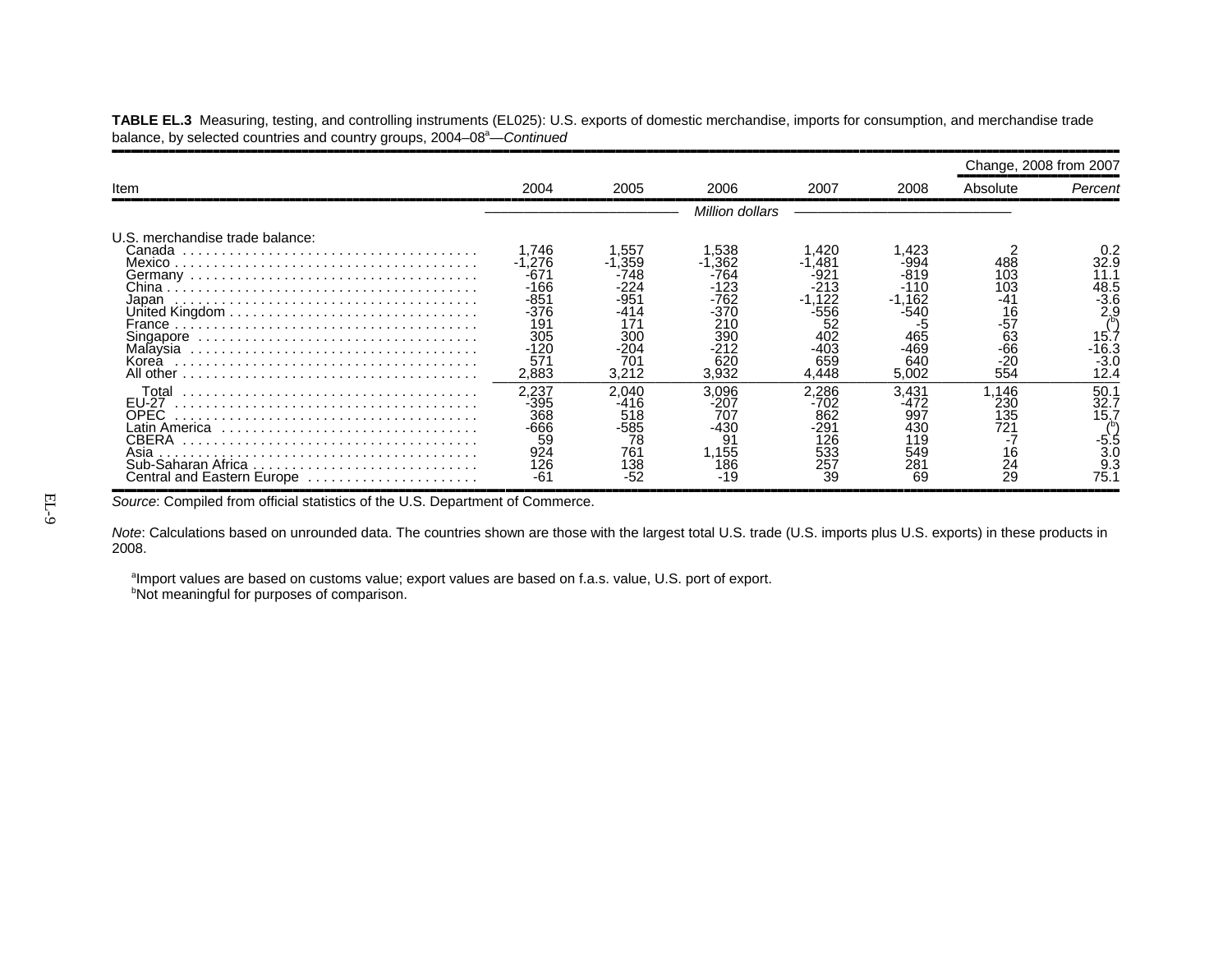|                                                                                                              |                                                                                              |                                                               |                                                                                    |                                                                                  |                                                                             | Change, 2008 from 2007                                                    |                                                                                   |
|--------------------------------------------------------------------------------------------------------------|----------------------------------------------------------------------------------------------|---------------------------------------------------------------|------------------------------------------------------------------------------------|----------------------------------------------------------------------------------|-----------------------------------------------------------------------------|---------------------------------------------------------------------------|-----------------------------------------------------------------------------------|
| Item                                                                                                         | 2004                                                                                         | 2005                                                          | 2006                                                                               | 2007                                                                             | 2008                                                                        | Absolute                                                                  | Percent                                                                           |
|                                                                                                              |                                                                                              |                                                               | Million dollars                                                                    |                                                                                  |                                                                             |                                                                           |                                                                                   |
| U.S. merchandise trade balance:<br>Canada<br>Japan<br>Malaysia<br>Korea                                      | .746<br>$-1.276$<br>-671<br>$-166$<br>$-851$<br>-376<br>191<br>305<br>$-120$<br>571<br>2,883 | .557<br>-1,359<br>-748<br>-951<br>30C<br>-204<br>70٬<br>3,212 | .538<br>.362<br>-764<br>-123<br>-762<br>-370<br>21C<br>39C<br>-212<br>620<br>3,932 | .420<br>481<br>-92.<br>-213<br>.122<br>-556<br>52<br>402<br>-403<br>659<br>4.448 | .423<br>-994<br>-819<br>-110<br>.162<br>-540<br>465<br>-469<br>640<br>5,002 | 488<br>103<br>103<br>۰4٬<br>$\frac{16}{-57}$<br>63<br>-66<br>$-20$<br>554 | 32.9<br>11.1<br>48.5<br>$-3.6$<br>2.9<br>15 <sup>2</sup><br>-16.3<br>-3.0<br>12.4 |
| Total<br>EU-27<br>OPEC<br>Latin America<br>CBERA<br>Asia<br>Sub-Saharan Africa<br>Central and Eastern Europe | 2,237<br>-395<br>368<br>-666<br>59<br>924<br>126<br>-61                                      | 2.040<br>-416<br>518<br>-585<br>78<br>761<br>138              | 3,096<br>-207<br>707<br>-430<br>91<br>.155<br>186<br>-19                           | 2.286<br>-702<br>862<br>-291<br>126<br>533<br>257<br>39                          | 3,431<br>-472<br>997<br>430<br>119<br>549<br>281<br>69                      | .146<br>230<br>135<br>721<br>16<br>$\frac{24}{29}$                        | 50.1<br>32.7<br>15.7<br>3(<br>75.1                                                |

**TABLE EL.3** Measuring, testing, and controlling instruments (EL025): U.S. exports of domestic merchandise, imports for consumption, and merchandise trade balance, by selected countries and country groups, 2004–08<sup>a</sup>—*Continued* 

Source: Compiled from official statistics of the U.S. Department of Commerce.

*Note*: Calculations based on unrounded data. The countries shown are those with the largest total U.S. trade (U.S. imports plus U.S. exports) in these products in 2008.

aImport values are based on customs value; export values are based on f.a.s. value, U.S. port of export. **bNot meaningful for purposes of comparison.**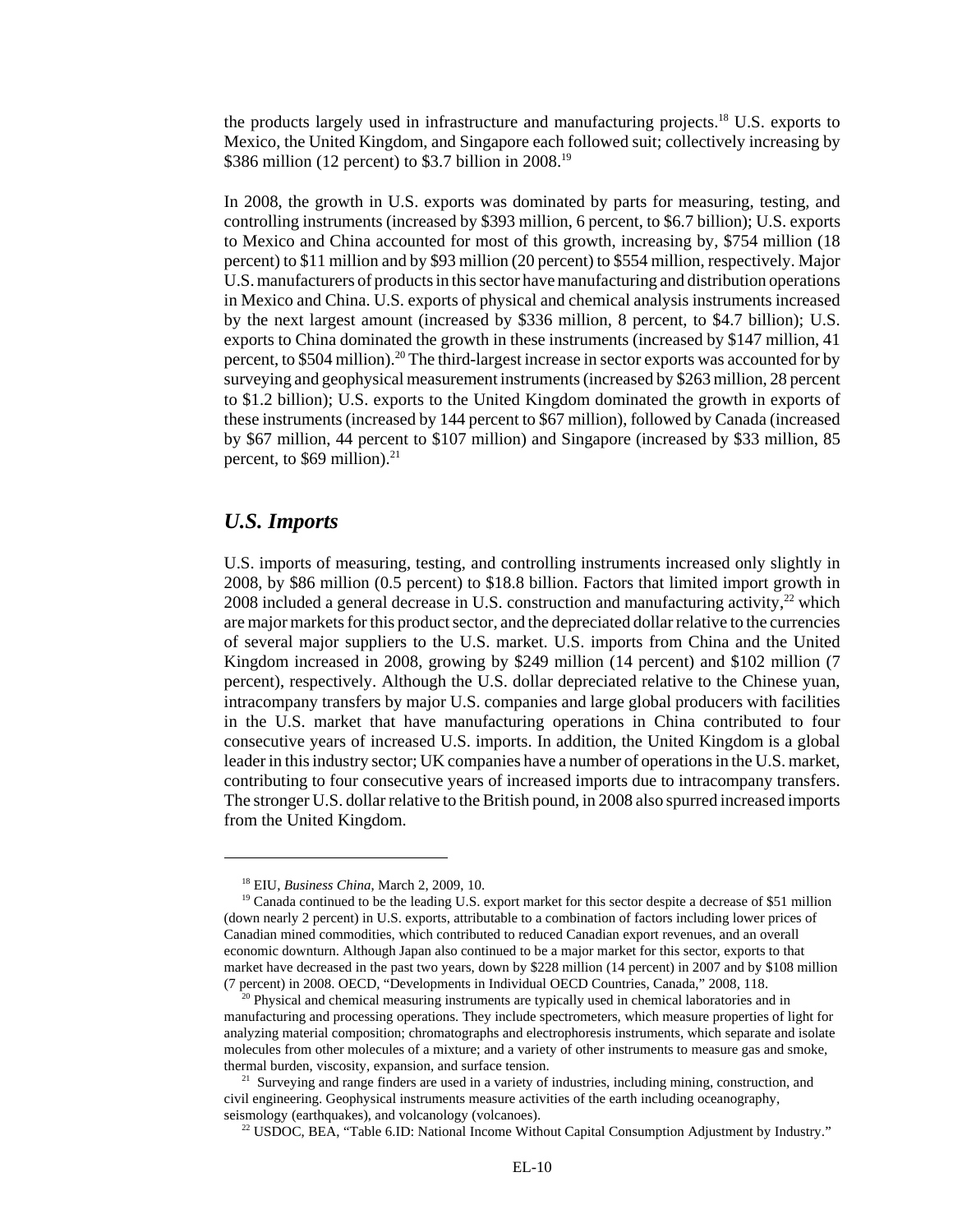the products largely used in infrastructure and manufacturing projects.<sup>18</sup> U.S. exports to Mexico, the United Kingdom, and Singapore each followed suit; collectively increasing by \$386 million (12 percent) to \$3.7 billion in 2008.<sup>19</sup>

In 2008, the growth in U.S. exports was dominated by parts for measuring, testing, and controlling instruments (increased by \$393 million, 6 percent, to \$6.7 billion); U.S. exports to Mexico and China accounted for most of this growth, increasing by, \$754 million (18 percent) to \$11 million and by \$93 million (20 percent) to \$554 million, respectively. Major U.S. manufacturers of products in this sector have manufacturing and distribution operations in Mexico and China. U.S. exports of physical and chemical analysis instruments increased by the next largest amount (increased by \$336 million, 8 percent, to \$4.7 billion); U.S. exports to China dominated the growth in these instruments (increased by \$147 million, 41 percent, to \$504 million).<sup>20</sup> The third-largest increase in sector exports was accounted for by surveying and geophysical measurement instruments (increased by \$263 million, 28 percent to \$1.2 billion); U.S. exports to the United Kingdom dominated the growth in exports of these instruments (increased by 144 percent to \$67 million), followed by Canada (increased by \$67 million, 44 percent to \$107 million) and Singapore (increased by \$33 million, 85 percent, to  $$69$  million).<sup>21</sup>

#### *U.S. Imports*

U.S. imports of measuring, testing, and controlling instruments increased only slightly in 2008, by \$86 million (0.5 percent) to \$18.8 billion. Factors that limited import growth in 2008 included a general decrease in U.S. construction and manufacturing activity,<sup>22</sup> which are major markets for this product sector, and the depreciated dollar relative to the currencies of several major suppliers to the U.S. market. U.S. imports from China and the United Kingdom increased in 2008, growing by \$249 million (14 percent) and \$102 million (7 percent), respectively. Although the U.S. dollar depreciated relative to the Chinese yuan, intracompany transfers by major U.S. companies and large global producers with facilities in the U.S. market that have manufacturing operations in China contributed to four consecutive years of increased U.S. imports. In addition, the United Kingdom is a global leader in this industry sector; UK companies have a number of operations in the U.S. market, contributing to four consecutive years of increased imports due to intracompany transfers. The stronger U.S. dollar relative to the British pound, in 2008 also spurred increased imports from the United Kingdom.

 <sup>18</sup> EIU, *Business China*, March 2, 2009, 10.

<sup>&</sup>lt;sup>19</sup> Canada continued to be the leading U.S. export market for this sector despite a decrease of \$51 million (down nearly 2 percent) in U.S. exports, attributable to a combination of factors including lower prices of Canadian mined commodities, which contributed to reduced Canadian export revenues, and an overall economic downturn. Although Japan also continued to be a major market for this sector, exports to that market have decreased in the past two years, down by \$228 million (14 percent) in 2007 and by \$108 million (7 percent) in 2008. OECD, "Developments in Individual OECD Countries, Canada," 2008, 118.

<sup>&</sup>lt;sup>20</sup> Physical and chemical measuring instruments are typically used in chemical laboratories and in manufacturing and processing operations. They include spectrometers, which measure properties of light for analyzing material composition; chromatographs and electrophoresis instruments, which separate and isolate molecules from other molecules of a mixture; and a variety of other instruments to measure gas and smoke, thermal burden, viscosity, expansion, and surface tension.

<sup>&</sup>lt;sup>21</sup> Surveying and range finders are used in a variety of industries, including mining, construction, and civil engineering. Geophysical instruments measure activities of the earth including oceanography, seismology (earthquakes), and volcanology (volcanoes).

<sup>&</sup>lt;sup>22</sup> USDOC, BEA, "Table 6.ID: National Income Without Capital Consumption Adjustment by Industry."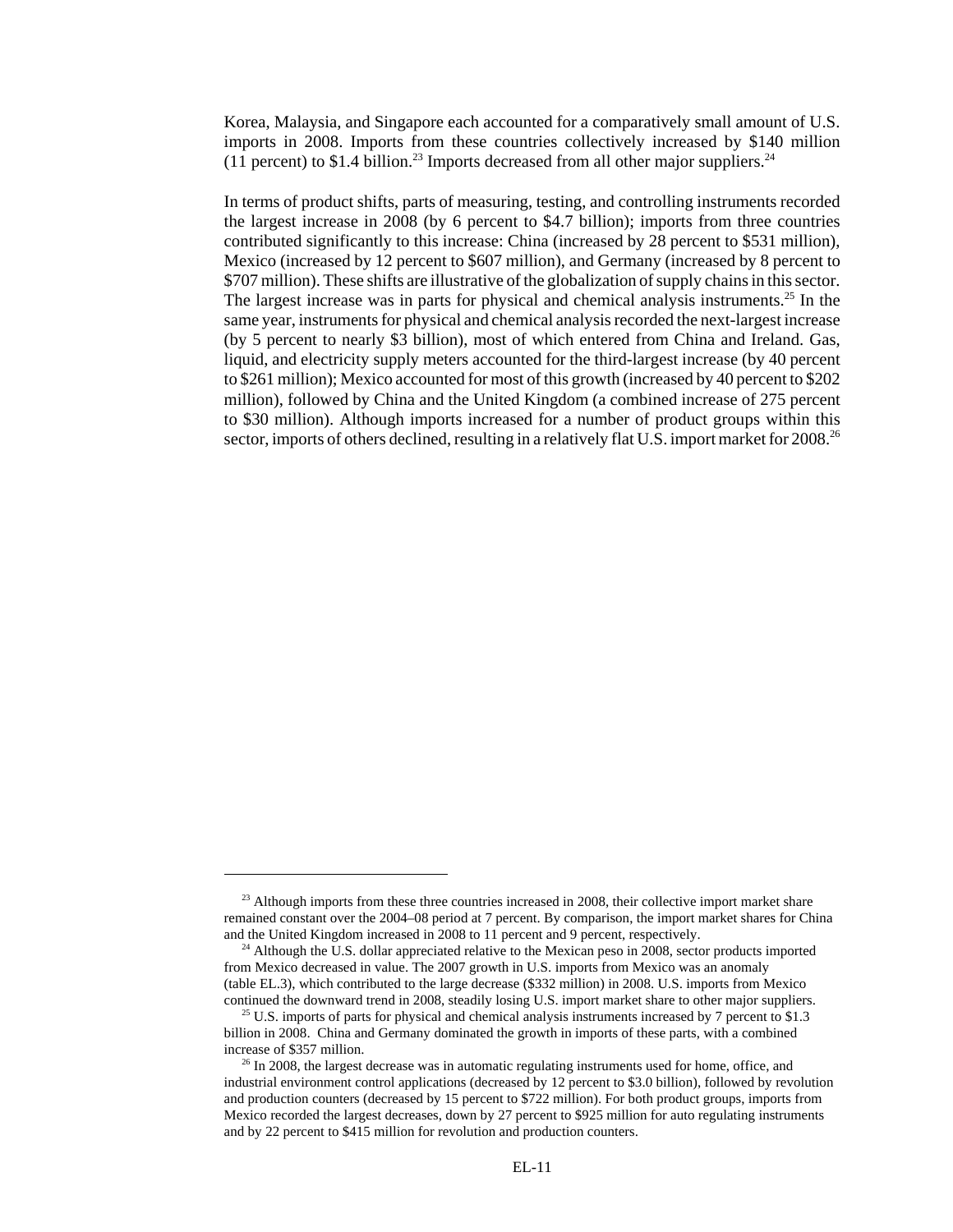Korea, Malaysia, and Singapore each accounted for a comparatively small amount of U.S. imports in 2008. Imports from these countries collectively increased by \$140 million (11 percent) to \$1.4 billion.<sup>23</sup> Imports decreased from all other major suppliers.<sup>24</sup>

In terms of product shifts, parts of measuring, testing, and controlling instruments recorded the largest increase in 2008 (by 6 percent to \$4.7 billion); imports from three countries contributed significantly to this increase: China (increased by 28 percent to \$531 million), Mexico (increased by 12 percent to \$607 million), and Germany (increased by 8 percent to \$707 million). These shifts are illustrative of the globalization of supply chains in this sector. The largest increase was in parts for physical and chemical analysis instruments.<sup>25</sup> In the same year, instruments for physical and chemical analysis recorded the next-largest increase (by 5 percent to nearly \$3 billion), most of which entered from China and Ireland. Gas, liquid, and electricity supply meters accounted for the third-largest increase (by 40 percent to \$261 million); Mexico accounted for most of this growth (increased by 40 percent to \$202 million), followed by China and the United Kingdom (a combined increase of 275 percent to \$30 million). Although imports increased for a number of product groups within this sector, imports of others declined, resulting in a relatively flat U.S. import market for 2008.<sup>26</sup>

<sup>&</sup>lt;sup>23</sup> Although imports from these three countries increased in 2008, their collective import market share remained constant over the 2004–08 period at 7 percent. By comparison, the import market shares for China and the United Kingdom increased in 2008 to 11 percent and 9 percent, respectively.

<sup>&</sup>lt;sup>24</sup> Although the U.S. dollar appreciated relative to the Mexican peso in 2008, sector products imported from Mexico decreased in value. The 2007 growth in U.S. imports from Mexico was an anomaly (table EL.3), which contributed to the large decrease (\$332 million) in 2008. U.S. imports from Mexico continued the downward trend in 2008, steadily losing U.S. import market share to other major suppliers.

 $25$  U.S. imports of parts for physical and chemical analysis instruments increased by 7 percent to \$1.3 billion in 2008. China and Germany dominated the growth in imports of these parts, with a combined increase of \$357 million.

 $^{26}$  In 2008, the largest decrease was in automatic regulating instruments used for home, office, and industrial environment control applications (decreased by 12 percent to \$3.0 billion), followed by revolution and production counters (decreased by 15 percent to \$722 million). For both product groups, imports from Mexico recorded the largest decreases, down by 27 percent to \$925 million for auto regulating instruments and by 22 percent to \$415 million for revolution and production counters.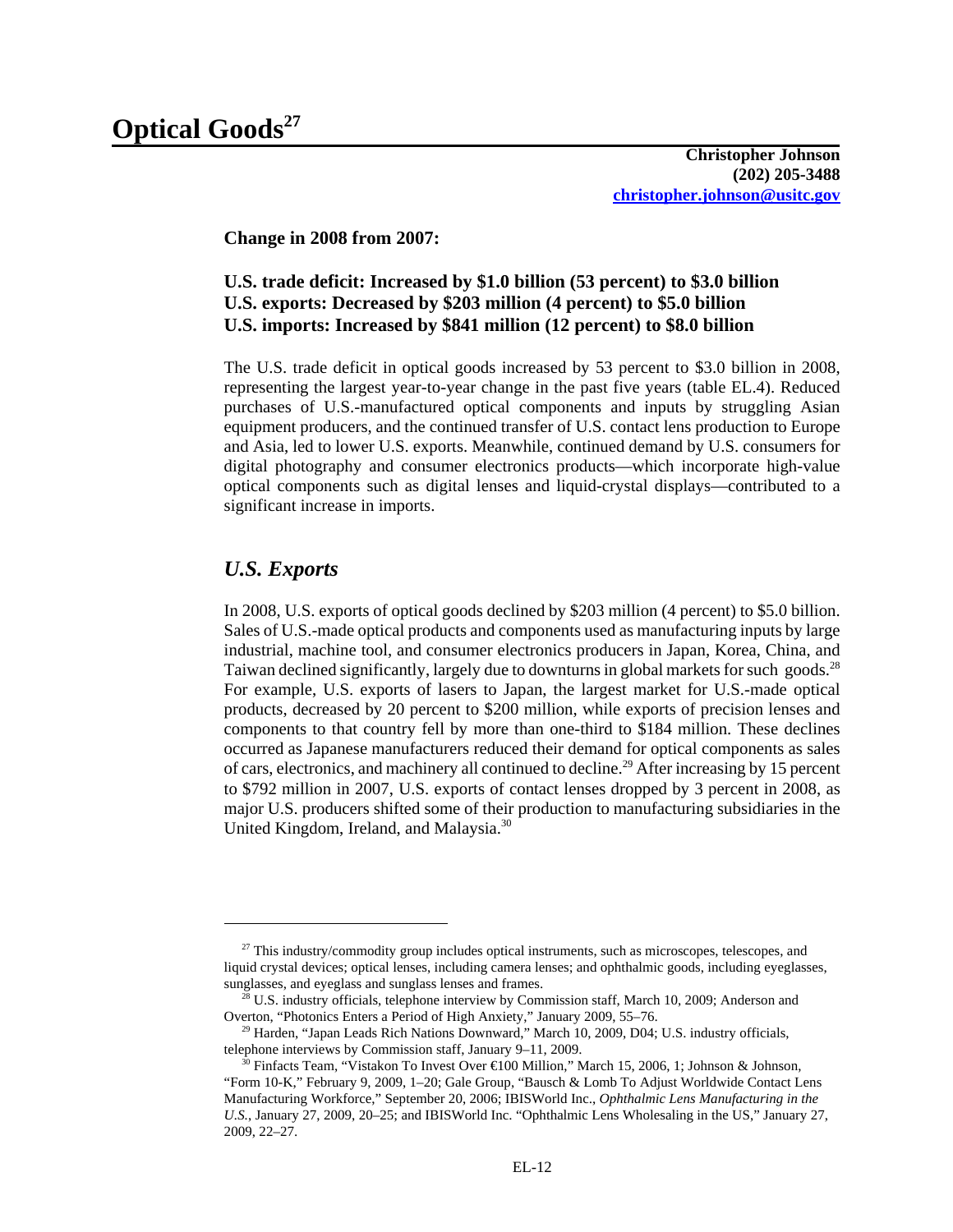**Change in 2008 from 2007:**

## **U.S. trade deficit: Increased by \$1.0 billion (53 percent) to \$3.0 billion U.S. exports: Decreased by \$203 million (4 percent) to \$5.0 billion U.S. imports: Increased by \$841 million (12 percent) to \$8.0 billion**

The U.S. trade deficit in optical goods increased by 53 percent to \$3.0 billion in 2008, representing the largest year-to-year change in the past five years (table EL.4). Reduced purchases of U.S.-manufactured optical components and inputs by struggling Asian equipment producers, and the continued transfer of U.S. contact lens production to Europe and Asia, led to lower U.S. exports. Meanwhile, continued demand by U.S. consumers for digital photography and consumer electronics products—which incorporate high-value optical components such as digital lenses and liquid-crystal displays—contributed to a significant increase in imports.

# *U.S. Exports*

In 2008, U.S. exports of optical goods declined by \$203 million (4 percent) to \$5.0 billion. Sales of U.S.-made optical products and components used as manufacturing inputs by large industrial, machine tool, and consumer electronics producers in Japan, Korea, China, and Taiwan declined significantly, largely due to downturns in global markets for such goods.<sup>28</sup> For example, U.S. exports of lasers to Japan, the largest market for U.S.-made optical products, decreased by 20 percent to \$200 million, while exports of precision lenses and components to that country fell by more than one-third to \$184 million. These declines occurred as Japanese manufacturers reduced their demand for optical components as sales of cars, electronics, and machinery all continued to decline.<sup>29</sup> After increasing by 15 percent to \$792 million in 2007, U.S. exports of contact lenses dropped by 3 percent in 2008, as major U.S. producers shifted some of their production to manufacturing subsidiaries in the United Kingdom, Ireland, and Malaysia.30

 $27$  This industry/commodity group includes optical instruments, such as microscopes, telescopes, and liquid crystal devices; optical lenses, including camera lenses; and ophthalmic goods, including eyeglasses, sunglasses, and eyeglass and sunglass lenses and frames.

 $^{28}$  U.S. industry officials, telephone interview by Commission staff, March 10, 2009; Anderson and Overton, "Photonics Enters a Period of High Anxiety," January 2009, 55–76.

 $29$  Harden, "Japan Leads Rich Nations Downward," March 10, 2009, D04; U.S. industry officials, telephone interviews by Commission staff, January 9–11, 2009.

<sup>&</sup>lt;sup>30</sup> Finfacts Team, "Vistakon To Invest Over  $\bigoplus$  00 Million," March 15, 2006, 1; Johnson & Johnson, "Form 10-K," February 9, 2009, 1–20; Gale Group, "Bausch & Lomb To Adjust Worldwide Contact Lens Manufacturing Workforce," September 20, 2006; IBISWorld Inc., *Ophthalmic Lens Manufacturing in the U.S.*, January 27, 2009, 20–25; and IBISWorld Inc. "Ophthalmic Lens Wholesaling in the US," January 27, 2009, 22–27.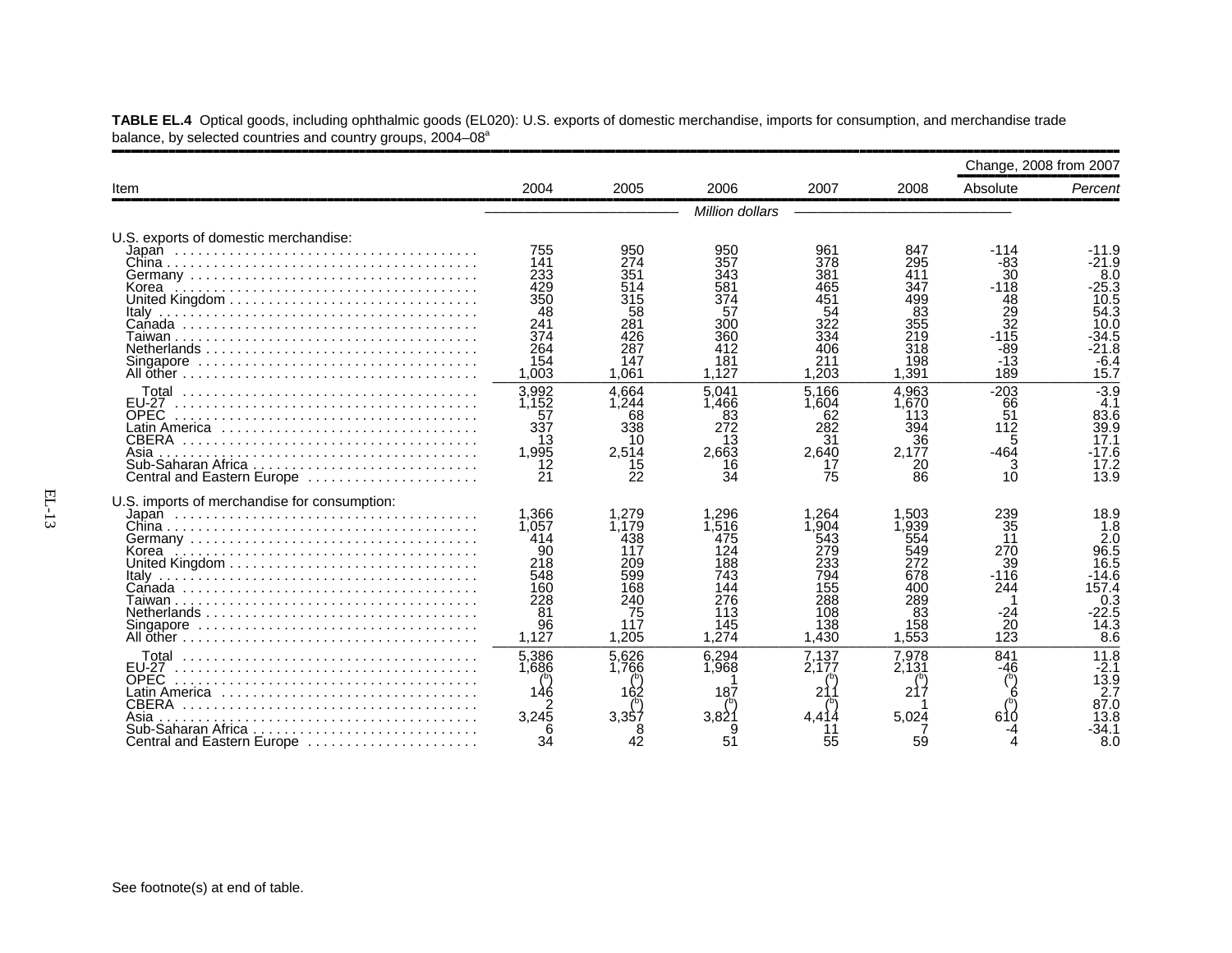|                                                                                                                  |                                                                              |                                                                                |                                                                              |                                                                                |                                                                                | Change, 2008 from 2007                                                                      |                                                                                                                 |
|------------------------------------------------------------------------------------------------------------------|------------------------------------------------------------------------------|--------------------------------------------------------------------------------|------------------------------------------------------------------------------|--------------------------------------------------------------------------------|--------------------------------------------------------------------------------|---------------------------------------------------------------------------------------------|-----------------------------------------------------------------------------------------------------------------|
| Item                                                                                                             | 2004                                                                         | 2005                                                                           | 2006                                                                         | 2007                                                                           | 2008                                                                           | Absolute                                                                                    | Percent                                                                                                         |
|                                                                                                                  |                                                                              |                                                                                | Million dollars                                                              |                                                                                |                                                                                |                                                                                             |                                                                                                                 |
| U.S. exports of domestic merchandise:<br>Korea                                                                   | 755<br>141<br>233<br>429<br>350<br>48<br>241<br>374<br>264<br>154<br>1,003   | 950<br>274<br>351<br>514<br>315<br>58<br>281<br>426<br>287<br>147<br>1.061     | 950<br>357<br>343<br>581<br>374<br>57<br>300<br>360<br>412<br>181<br>1.127   | 961<br>378<br>381<br>165<br>451<br>54<br>322<br>334<br>406<br>211<br>1.203     | 847<br>295<br>411<br>347<br>499<br>83<br>355<br>219<br>318<br>198<br>1.391     | $-114$<br>-83<br>30<br>$-118$<br>$\frac{48}{29}$<br>32<br>-115<br>$-89$<br>$-13$<br>189     | $-11.9$<br>-21.9<br>8.0<br>$-25.3$<br>10.5<br>54.3<br>10.0<br>34.5<br>$-21.8$<br>$-6.4$<br>15.7                 |
| Total<br><b>EU-27</b><br><b>OPEC</b><br><b>CBERA</b><br>Asia<br>Central and Eastern Europe                       | 3,992<br>1.152<br>57<br>337<br>13<br>1.995<br>12<br>21                       | 4.664<br>1.244<br>68<br>338<br>10<br>2,514<br>15<br>22                         | 5.041<br>1.466<br>83<br>272<br>13<br>2.663<br>16<br>34                       | 5.166<br>1.604<br>62<br>282<br>31<br>2.640<br>75                               | 4.963<br>1.670<br>113<br>394<br>36<br>2.177<br>20<br>86                        | $-203$<br>66<br>51<br>112<br>5<br>$-464$<br>3<br>10                                         | $-3.9$<br>4.1<br>83.6<br>39.9<br>17.1<br>-17.6<br>17.2<br>13.9                                                  |
| U.S. imports of merchandise for consumption:<br>Korea<br>Italy                                                   | 1.366<br>1,057<br>414<br>90<br>218<br>548<br>160<br>228<br>81<br>96<br>1.127 | 1.279<br>1.179<br>438<br>117<br>209<br>599<br>168<br>240<br>75<br>117<br>1.205 | .296<br>.516<br>475<br>124<br>188<br>743<br>144<br>276<br>113<br>145<br>.274 | 1.264<br>.904<br>543<br>279<br>233<br>794<br>155<br>288<br>108<br>138<br>1.430 | 1.503<br>1.939<br>554<br>549<br>272<br>678<br>400<br>289<br>83<br>158<br>1,553 | 239<br>$\overline{35}$<br>11<br>270<br>39<br>$-116$<br>244<br>-24<br>$\overline{2}0$<br>123 | 18.9<br>$\overline{1.8}$<br>2.0<br>96.5<br>16.5<br>-14.6<br>157.4<br>0.3<br>$-22.5$<br>$\overline{14.3}$<br>8.6 |
| Total<br><b>FU-27</b><br><b>OPEC</b><br><b>CBERA</b><br>Asia<br>Sub-Saharan Africa<br>Central and Eastern Europe | 5,386<br>1.686<br>3.245<br>34                                                | 5.626<br>1.766<br>162<br>3.357<br>42                                           | 6.294<br>1.968<br>187<br>3.82<br>51                                          | 7.137<br>2,177<br>21<br>4.414<br>55                                            | 7,978<br>2.131<br>217<br>5.024<br>59                                           | 841<br>-46<br>610                                                                           | 11.8<br>$-2.1$<br>13.9<br>2.7<br>87.0<br>13.8<br>-34.1<br>8.0                                                   |

**TABLE EL.4** Optical goods, including ophthalmic goods (EL020): U.S. exports of domestic merchandise, imports for consumption, and merchandise trade balance, by selected countries and country groups, 2004–08<sup>a</sup>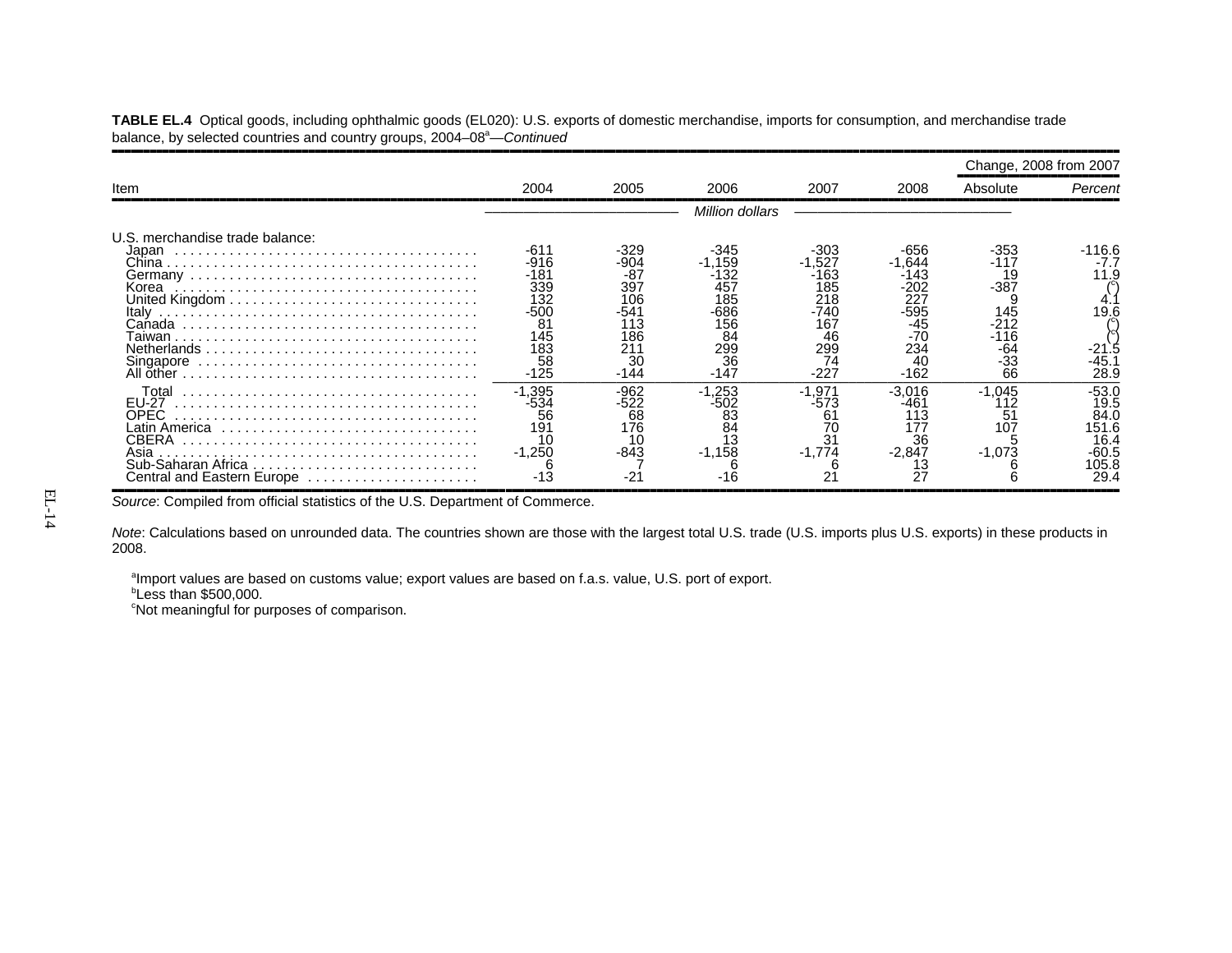**TABLE EL.4** Optical goods, including ophthalmic goods (EL020): U.S. exports of domestic merchandise, imports for consumption, and merchandise trade balance, by selected countries and country groups, 2004–08<sup>a</sup>—*Continued* 

|                                                                                            |                                                                                    |                                                                               |                                                                              |                                                                                      |                                                                                      | Change, 2008 from 2007                                                    |                                                                  |  |  |  |
|--------------------------------------------------------------------------------------------|------------------------------------------------------------------------------------|-------------------------------------------------------------------------------|------------------------------------------------------------------------------|--------------------------------------------------------------------------------------|--------------------------------------------------------------------------------------|---------------------------------------------------------------------------|------------------------------------------------------------------|--|--|--|
| Item                                                                                       | 2004                                                                               | 2005                                                                          | 2006                                                                         | 2007                                                                                 | 2008                                                                                 | Absolute                                                                  | Percent                                                          |  |  |  |
|                                                                                            | Million dollars                                                                    |                                                                               |                                                                              |                                                                                      |                                                                                      |                                                                           |                                                                  |  |  |  |
| U.S. merchandise trade balance:<br>Japan<br>Korea<br>Italy<br>Canada<br>aiwan<br>Singapore | -611<br>$-916$<br>-181<br>339<br>132<br>$-500$<br>81<br>145<br>183<br>58<br>$-125$ | -329<br>904<br>$-87$<br>397<br>106<br>-541<br>113<br>186<br>21٬<br>30<br>-144 | -345<br>.159<br>-132<br>457<br>185<br>-686<br>156<br>84<br>299<br>36<br>-147 | $-303$<br>$-1.527$<br>-163<br>185<br>218<br>-740<br>167<br>46<br>299<br>74<br>$-227$ | $-656$<br>.644<br>-143<br>-202<br>227<br>-595<br>-45<br>$-70$<br>234<br>40<br>$-162$ | -353<br>-117<br>19<br>$-387$<br>145<br>$-212$<br>-116<br>-64<br>-33<br>66 | -116.6<br>-7.7<br>11.9<br>19.6<br>-21.5<br>45.<br>28.9           |  |  |  |
| Total<br><b>EU-27</b><br>OPEC.<br>CBERA<br>Asia<br>Central and Eastern Europe              | $-1,395$<br>-534<br>56<br>191<br>10<br>$-1,250$                                    | $-962$<br>-522<br>68<br>176<br>-843<br>-21                                    | $-1,253$<br>-502<br>83<br>84<br>1.3<br>$-1,158$                              | $-1,971$<br>-573<br>61<br>31<br>$-1,774$                                             | -3.016<br>-461<br>113<br>36<br>$-2,847$<br>27                                        | $-1.045$<br>112<br>51<br>107<br>$-1,073$                                  | -53.0<br>19.5<br>84.0<br>151.6<br>16.4<br>-60.5<br>105.8<br>29.4 |  |  |  |

Source: Compiled from official statistics of the U.S. Department of Commerce.

*Note*: Calculations based on unrounded data. The countries shown are those with the largest total U.S. trade (U.S. imports plus U.S. exports) in these products in 2008.

<sup>a</sup>Import values are based on customs value; export values are based on f.a.s. value, U.S. port of export.

*b***Less than \$500,000.** 

<sup>c</sup>Not meaningful for purposes of comparison.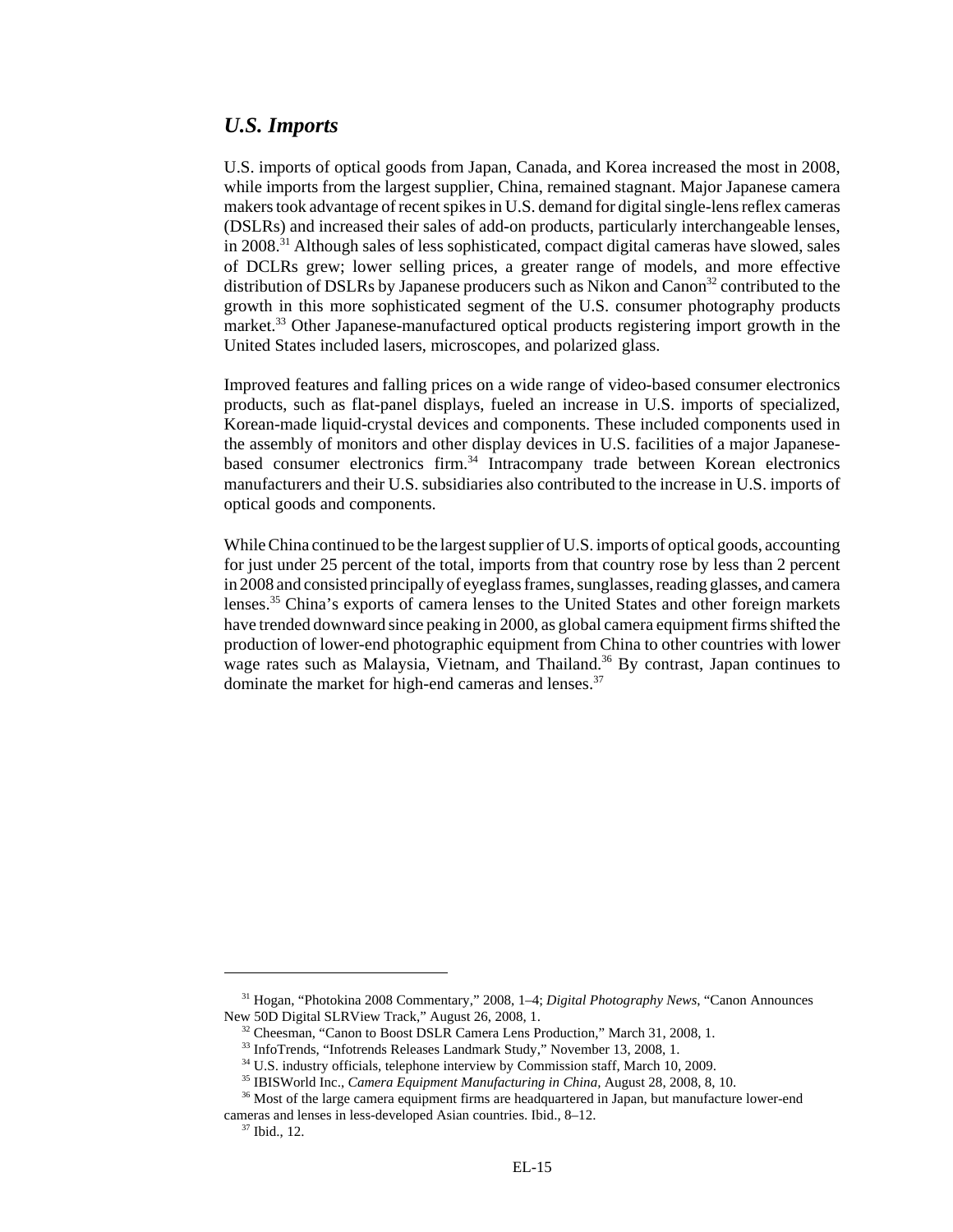#### *U.S. Imports*

U.S. imports of optical goods from Japan, Canada, and Korea increased the most in 2008, while imports from the largest supplier, China, remained stagnant. Major Japanese camera makers took advantage of recent spikes in U.S. demand for digital single-lens reflex cameras (DSLRs) and increased their sales of add-on products, particularly interchangeable lenses, in 2008.31 Although sales of less sophisticated, compact digital cameras have slowed, sales of DCLRs grew; lower selling prices, a greater range of models, and more effective distribution of DSLRs by Japanese producers such as Nikon and Canon<sup>32</sup> contributed to the growth in this more sophisticated segment of the U.S. consumer photography products market.<sup>33</sup> Other Japanese-manufactured optical products registering import growth in the United States included lasers, microscopes, and polarized glass.

Improved features and falling prices on a wide range of video-based consumer electronics products, such as flat-panel displays, fueled an increase in U.S. imports of specialized, Korean-made liquid-crystal devices and components. These included components used in the assembly of monitors and other display devices in U.S. facilities of a major Japanesebased consumer electronics firm.<sup>34</sup> Intracompany trade between Korean electronics manufacturers and their U.S. subsidiaries also contributed to the increase in U.S. imports of optical goods and components.

While China continued to be the largest supplier of U.S. imports of optical goods, accounting for just under 25 percent of the total, imports from that country rose by less than 2 percent in 2008 and consisted principally of eyeglass frames, sunglasses, reading glasses, and camera lenses.35 China's exports of camera lenses to the United States and other foreign markets have trended downward since peaking in 2000, as global camera equipment firms shifted the production of lower-end photographic equipment from China to other countries with lower wage rates such as Malaysia, Vietnam, and Thailand.<sup>36</sup> By contrast, Japan continues to dominate the market for high-end cameras and lenses.<sup>37</sup>

 <sup>31</sup> Hogan, "Photokina 2008 Commentary," 2008, 1–4; *Digital Photography News*, "Canon Announces New 50D Digital SLRView Track," August 26, 2008, 1.

<sup>&</sup>lt;sup>32</sup> Cheesman, "Canon to Boost DSLR Camera Lens Production," March 31, 2008, 1.

 <sup>33</sup> InfoTrends, "Infotrends Releases Landmark Study," November 13, 2008, 1.

<sup>&</sup>lt;sup>34</sup> U.S. industry officials, telephone interview by Commission staff, March 10, 2009.

 <sup>35</sup> IBISWorld Inc., *Camera Equipment Manufacturing in China,* August 28, 2008, 8, 10.

<sup>&</sup>lt;sup>36</sup> Most of the large camera equipment firms are headquartered in Japan, but manufacture lower-end cameras and lenses in less-developed Asian countries. Ibid., 8–12.

 <sup>37</sup> Ibid., 12.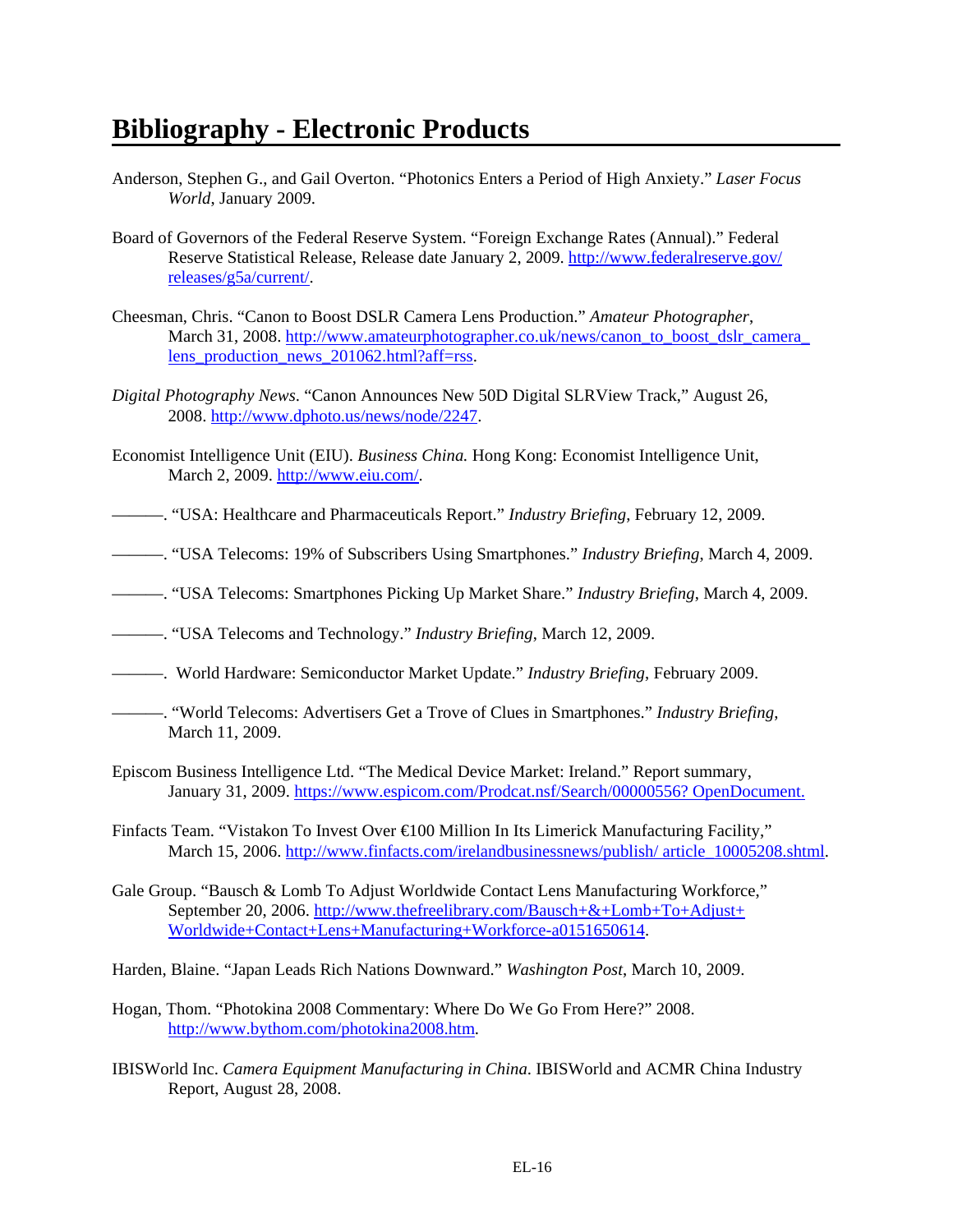# **Bibliography - Electronic Products**

- Anderson, Stephen G., and Gail Overton. "Photonics Enters a Period of High Anxiety." *Laser Focus World*, January 2009.
- Board of Governors of the Federal Reserve System. "Foreign Exchange Rates (Annual)." Federal Reserve Statistical Release, Release date January 2, 2009. http://www.federalreserve.gov/ releases/g5a/current/.
- Cheesman, Chris. "Canon to Boost DSLR Camera Lens Production." *Amateur Photographer*, March 31, 2008. http://www.amateurphotographer.co.uk/news/canon\_to\_boost\_dslr\_camera lens production news 201062.html?aff=rss.
- *Digital Photography News*. "Canon Announces New 50D Digital SLRView Track," August 26, 2008. http://www.dphoto.us/news/node/2247.
- Economist Intelligence Unit (EIU). *Business China.* Hong Kong: Economist Intelligence Unit, March 2, 2009. http://www.eiu.com/.
- ———. "USA: Healthcare and Pharmaceuticals Report." *Industry Briefing*, February 12, 2009.
- ———. "USA Telecoms: 19% of Subscribers Using Smartphones." *Industry Briefing*, March 4, 2009.
- ———. "USA Telecoms: Smartphones Picking Up Market Share." *Industry Briefing*, March 4, 2009.
- ———. "USA Telecoms and Technology." *Industry Briefing*, March 12, 2009.
- ———. World Hardware: Semiconductor Market Update." *Industry Briefing*, February 2009.
- ———. "World Telecoms: Advertisers Get a Trove of Clues in Smartphones." *Industry Briefing*, March 11, 2009.
- Episcom Business Intelligence Ltd. "The Medical Device Market: Ireland." Report summary, January 31, 2009. https://www.espicom.com/Prodcat.nsf/Search/00000556? OpenDocument.

Finfacts Team. "Vistakon To Invest Over €100 Million In Its Limerick Manufacturing Facility," March 15, 2006. http://www.finfacts.com/irelandbusinessnews/publish/ article 10005208.shtml.

- Gale Group. "Bausch & Lomb To Adjust Worldwide Contact Lens Manufacturing Workforce," September 20, 2006. http://www.thefreelibrary.com/Bausch+&+Lomb+To+Adjust+ Worldwide+Contact+Lens+Manufacturing+Workforce-a0151650614.
- Harden, Blaine. "Japan Leads Rich Nations Downward." *Washington Post*, March 10, 2009.
- Hogan, Thom. "Photokina 2008 Commentary: Where Do We Go From Here?" 2008. http://www.bythom.com/photokina2008.htm.
- IBISWorld Inc. *Camera Equipment Manufacturing in China*. IBISWorld and ACMR China Industry Report, August 28, 2008.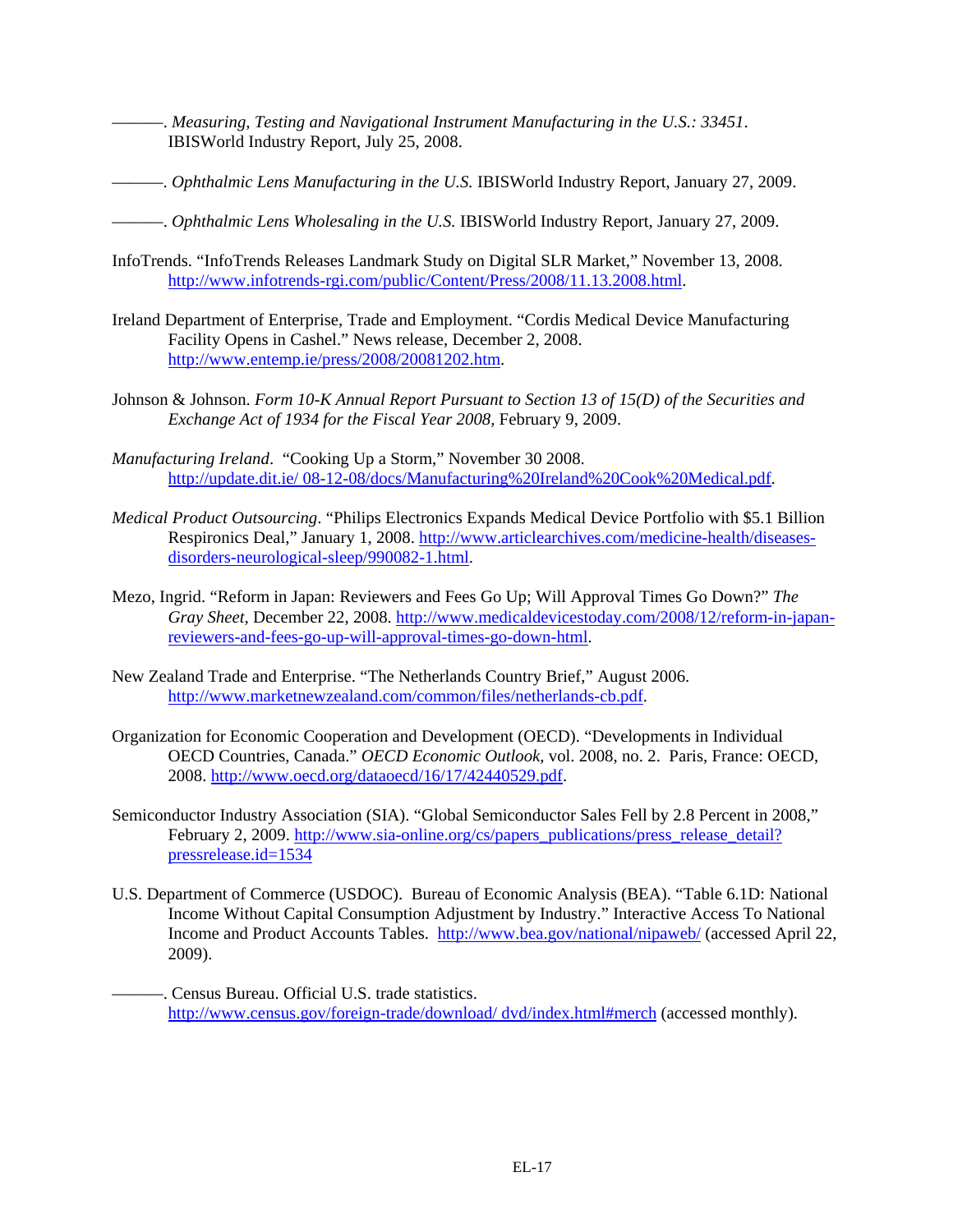———. *Measuring, Testing and Navigational Instrument Manufacturing in the U.S.: 33451*. IBISWorld Industry Report, July 25, 2008.

- ———. *Ophthalmic Lens Manufacturing in the U.S.* IBISWorld Industry Report, January 27, 2009.
- ———. *Ophthalmic Lens Wholesaling in the U.S.* IBISWorld Industry Report, January 27, 2009.
- InfoTrends. "InfoTrends Releases Landmark Study on Digital SLR Market," November 13, 2008. http://www.infotrends-rgi.com/public/Content/Press/2008/11.13.2008.html.
- Ireland Department of Enterprise, Trade and Employment. "Cordis Medical Device Manufacturing Facility Opens in Cashel." News release, December 2, 2008. http://www.entemp.ie/press/2008/20081202.htm.
- Johnson & Johnson. *Form 10-K Annual Report Pursuant to Section 13 of 15(D) of the Securities and Exchange Act of 1934 for the Fiscal Year 2008,* February 9, 2009.
- *Manufacturing Ireland*. "Cooking Up a Storm," November 30 2008. http://update.dit.ie/ 08-12-08/docs/Manufacturing%20Ireland%20Cook%20Medical.pdf.
- *Medical Product Outsourcing*. "Philips Electronics Expands Medical Device Portfolio with \$5.1 Billion Respironics Deal," January 1, 2008. http://www.articlearchives.com/medicine-health/diseasesdisorders-neurological-sleep/990082-1.html.
- Mezo, Ingrid. "Reform in Japan: Reviewers and Fees Go Up; Will Approval Times Go Down?" *The Gray Sheet*, December 22, 2008. http://www.medicaldevicestoday.com/2008/12/reform-in-japanreviewers-and-fees-go-up-will-approval-times-go-down-html.
- New Zealand Trade and Enterprise. "The Netherlands Country Brief," August 2006. http://www.marketnewzealand.com/common/files/netherlands-cb.pdf.
- Organization for Economic Cooperation and Development (OECD). "Developments in Individual OECD Countries, Canada." *OECD Economic Outlook,* vol. 2008, no. 2. Paris, France: OECD, 2008. http://www.oecd.org/dataoecd/16/17/42440529.pdf.
- Semiconductor Industry Association (SIA). "Global Semiconductor Sales Fell by 2.8 Percent in 2008," February 2, 2009. http://www.sia-online.org/cs/papers\_publications/press\_release\_detail? pressrelease.id=1534
- U.S. Department of Commerce (USDOC). Bureau of Economic Analysis (BEA). "Table 6.1D: National Income Without Capital Consumption Adjustment by Industry." Interactive Access To National Income and Product Accounts Tables. http://www.bea.gov/national/nipaweb/ (accessed April 22, 2009).
	- ———. Census Bureau. Official U.S. trade statistics. http://www.census.gov/foreign-trade/download/ dvd/index.html#merch (accessed monthly).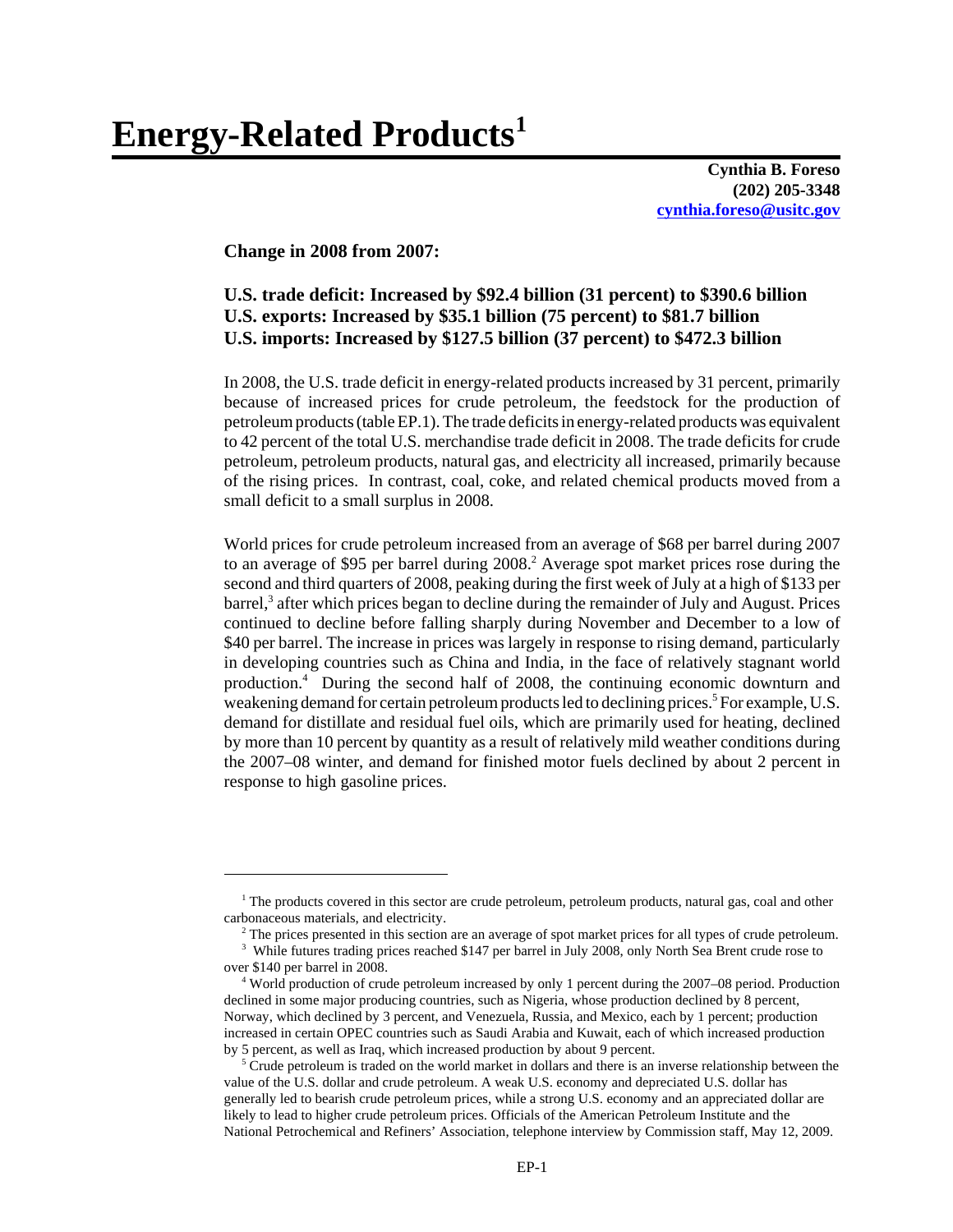**Cynthia B. Foreso (202) 205-3348 cynthia.foreso@usitc.gov**

#### **Change in 2008 from 2007:**

## **U.S. trade deficit: Increased by \$92.4 billion (31 percent) to \$390.6 billion U.S. exports: Increased by \$35.1 billion (75 percent) to \$81.7 billion U.S. imports: Increased by \$127.5 billion (37 percent) to \$472.3 billion**

In 2008, the U.S. trade deficit in energy-related products increased by 31 percent, primarily because of increased prices for crude petroleum, the feedstock for the production of petroleum products (table EP.1). The trade deficits in energy-related products was equivalent to 42 percent of the total U.S. merchandise trade deficit in 2008. The trade deficits for crude petroleum, petroleum products, natural gas, and electricity all increased, primarily because of the rising prices. In contrast, coal, coke, and related chemical products moved from a small deficit to a small surplus in 2008.

World prices for crude petroleum increased from an average of \$68 per barrel during 2007 to an average of \$95 per barrel during 2008.<sup>2</sup> Average spot market prices rose during the second and third quarters of 2008, peaking during the first week of July at a high of \$133 per barrel,<sup>3</sup> after which prices began to decline during the remainder of July and August. Prices continued to decline before falling sharply during November and December to a low of \$40 per barrel. The increase in prices was largely in response to rising demand, particularly in developing countries such as China and India, in the face of relatively stagnant world production.4 During the second half of 2008, the continuing economic downturn and weakening demand for certain petroleum products led to declining prices.<sup>5</sup> For example, U.S. demand for distillate and residual fuel oils, which are primarily used for heating, declined by more than 10 percent by quantity as a result of relatively mild weather conditions during the 2007–08 winter, and demand for finished motor fuels declined by about 2 percent in response to high gasoline prices.

<sup>&</sup>lt;sup>1</sup> The products covered in this sector are crude petroleum, petroleum products, natural gas, coal and other carbonaceous materials, and electricity.

<sup>&</sup>lt;sup>2</sup> The prices presented in this section are an average of spot market prices for all types of crude petroleum.

<sup>&</sup>lt;sup>3</sup> While futures trading prices reached \$147 per barrel in July 2008, only North Sea Brent crude rose to over \$140 per barrel in 2008.

 <sup>4</sup> World production of crude petroleum increased by only 1 percent during the 2007–08 period. Production declined in some major producing countries, such as Nigeria, whose production declined by 8 percent, Norway, which declined by 3 percent, and Venezuela, Russia, and Mexico, each by 1 percent; production increased in certain OPEC countries such as Saudi Arabia and Kuwait, each of which increased production by 5 percent, as well as Iraq, which increased production by about 9 percent.

<sup>&</sup>lt;sup>5</sup> Crude petroleum is traded on the world market in dollars and there is an inverse relationship between the value of the U.S. dollar and crude petroleum. A weak U.S. economy and depreciated U.S. dollar has generally led to bearish crude petroleum prices, while a strong U.S. economy and an appreciated dollar are likely to lead to higher crude petroleum prices. Officials of the American Petroleum Institute and the National Petrochemical and Refiners' Association, telephone interview by Commission staff, May 12, 2009.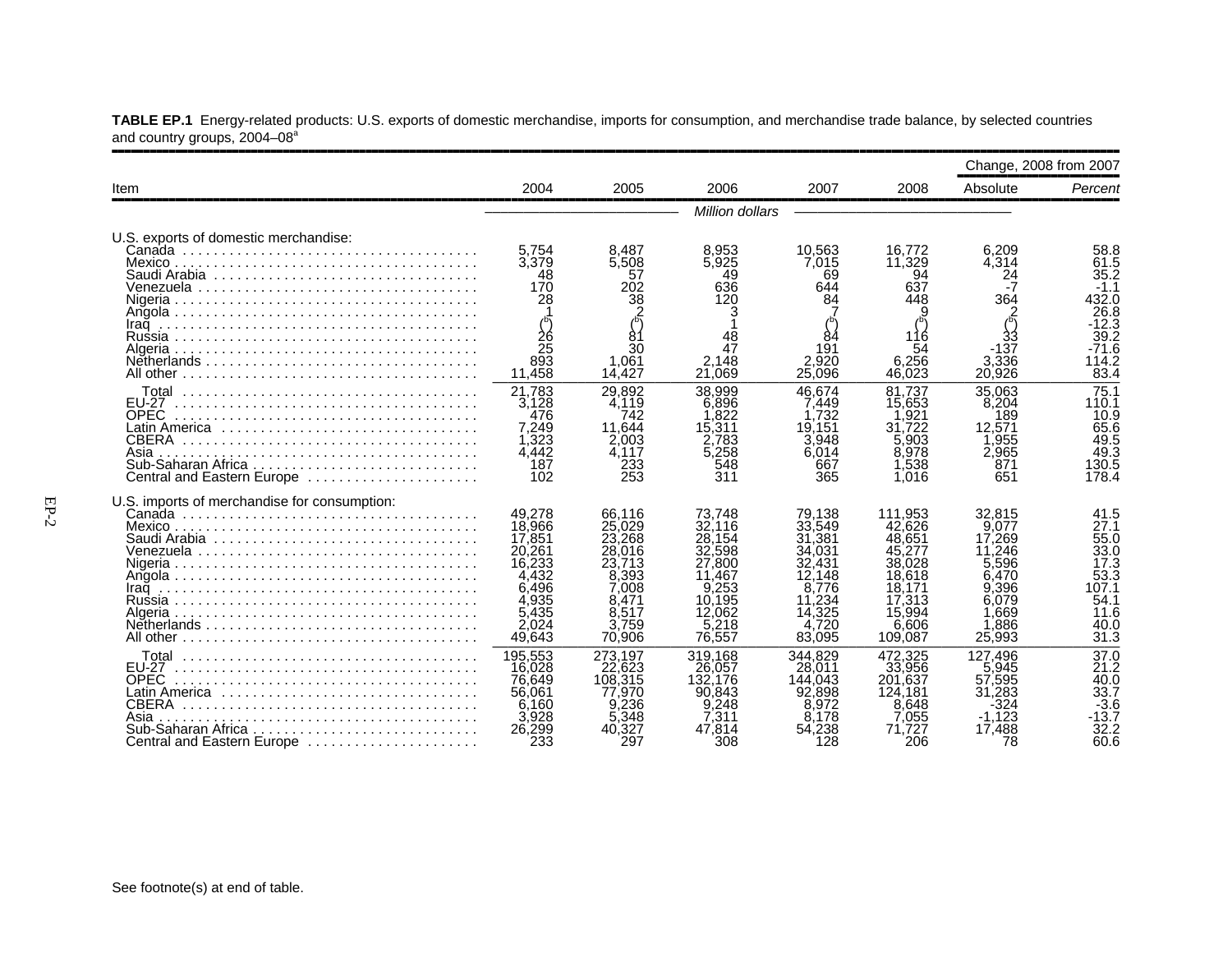|                                                                                                                                           | Change, 2008 from 2007                                                                                |                                                                                                       |                                                                                                        |                                                                                                          |                                                                                                             |                                                                                                   |                                                                                              |  |  |  |
|-------------------------------------------------------------------------------------------------------------------------------------------|-------------------------------------------------------------------------------------------------------|-------------------------------------------------------------------------------------------------------|--------------------------------------------------------------------------------------------------------|----------------------------------------------------------------------------------------------------------|-------------------------------------------------------------------------------------------------------------|---------------------------------------------------------------------------------------------------|----------------------------------------------------------------------------------------------|--|--|--|
| Item                                                                                                                                      | 2004                                                                                                  | 2005                                                                                                  | 2006                                                                                                   | 2007                                                                                                     | 2008                                                                                                        | Absolute                                                                                          | Percent                                                                                      |  |  |  |
|                                                                                                                                           | Million dollars                                                                                       |                                                                                                       |                                                                                                        |                                                                                                          |                                                                                                             |                                                                                                   |                                                                                              |  |  |  |
| U.S. exports of domestic merchandise:<br>Iraq                                                                                             | 5.754<br>3.379<br>48<br>170<br>28<br>$\frac{26}{25}$<br>893<br>11,458                                 | 8,487<br>5.508<br>57<br>202<br>38<br>2<br>81<br>30<br>1.061<br>14.427                                 | 8,953<br>5.925<br>49<br>636<br>120<br>48<br>47<br>2.148<br>21,069                                      | 10.563<br>7.015<br>69<br>644<br>84<br>84<br>191<br>2.920<br>25,096                                       | 16.772<br>11.329<br>94<br>637<br>448<br>116<br>54<br>6.256<br>46,023                                        | 6.209<br>4.314<br>24<br>$-7$<br>364<br>$\epsilon^2$<br>33<br>$-137$<br>3.336<br>20.926            | 58.8<br>61.5<br>35.2<br>$-1.1$<br>432.0<br>26.8<br>$-12.3$<br>39.2<br>-71.6<br>114.2<br>83.4 |  |  |  |
| Total<br><b>EU-27</b><br><b>OPEC</b><br>Latin America ,,,,,,,,,,,,,,,,,,,,,,,,,,,,,<br><b>CBERA</b><br>Asia<br>Central and Eastern Europe | 21.783<br>3,128<br>476<br>7,249<br>l,323<br>4.442<br>187<br>102                                       | 29.892<br>4.119<br>742<br>11.644<br>2.003<br>4.117<br>233<br>253                                      | 38.999<br>6.896<br>.822<br>15.311<br>2.783<br>5,258<br>548<br>311                                      | 46.674<br>7.449<br>.732<br>19.151<br>3.948<br>6.014<br>667<br>365                                        | 81.737<br>15.653<br>.921<br>.722<br>31<br>.903<br>8.978<br>.538<br>1.016                                    | 35.063<br>8,204<br>189<br>12.571<br>.955<br>2.965<br>871<br>651                                   | 75.1<br>110.1<br>10.9<br>65.6<br>49.5<br>49.3<br>130.5<br>178.4                              |  |  |  |
| U.S. imports of merchandise for consumption:<br>Iraq<br>Netherlands                                                                       | 49,278<br>18,966<br>17,851<br>20,261<br>16,233<br>4.432<br>6.496<br>4,935<br>5,435<br>2.024<br>49.643 | 66,116<br>25,029<br>23,268<br>28,016<br>23.713<br>8.393<br>7.008<br>8.471<br>8.517<br>3,759<br>70,906 | 73,748<br>32.116<br>28.154<br>32,598<br>27,800<br>.467<br>9.253<br>10.195<br>12.062<br>5,218<br>76,557 | 79,138<br>33,549<br>31,381<br>34,031<br>32,431<br>12.148<br>8.776<br>11.234<br>14,325<br>4,720<br>83.095 | 111.953<br>42,626<br>48,651<br>45.277<br>38,028<br>18.618<br>18.171<br>17.313<br>15.994<br>6,606<br>109,087 | 32.815<br>9.077<br>17.269<br>11.246<br>5.596<br>6.470<br>9.396<br>6.079<br>.669<br>.886<br>25.993 | 41.5<br>27.1<br>55.0<br>33.0<br>17.3<br>53.3<br>107.1<br>54.1<br>11.6<br>40.0<br>31.3        |  |  |  |
| Total<br><b>FU-27</b><br>OPEC<br>CBERA<br>Asia<br>Sub-Saharan Africa<br>Central and Eastern Europe                                        | 195,553<br>16,028<br>76,649<br>56,061<br>6,160<br>3.928<br>26,299<br>233                              | 273.197<br>22,623<br>108,315<br>77.970<br>9.236<br>5.348<br>.327<br>40.<br>297                        | 319.168<br>26,057<br>132.176<br>90,843<br>9.248<br>7.311<br>47.814<br>308                              | 344.829<br>28,011<br>144.043<br>92,898<br>8,972<br>8.178<br>54.<br>.238<br>128                           | 472.325<br>33.956<br>.637<br>201<br>124.181<br>8.648<br>7.055<br>71.727<br>206                              | 127.496<br>5.945<br>57,595<br>31,283<br>324<br>-1.123<br>17.488<br>78                             | 37.0<br>21.2<br>40.0<br>33.7<br>$-3.6$<br>-13.7<br>32.2<br>60.6                              |  |  |  |

**TABLE EP.1** Energy-related products: U.S. exports of domestic merchandise, imports for consumption, and merchandise trade balance, by selected countries and country groups, 2004–08ª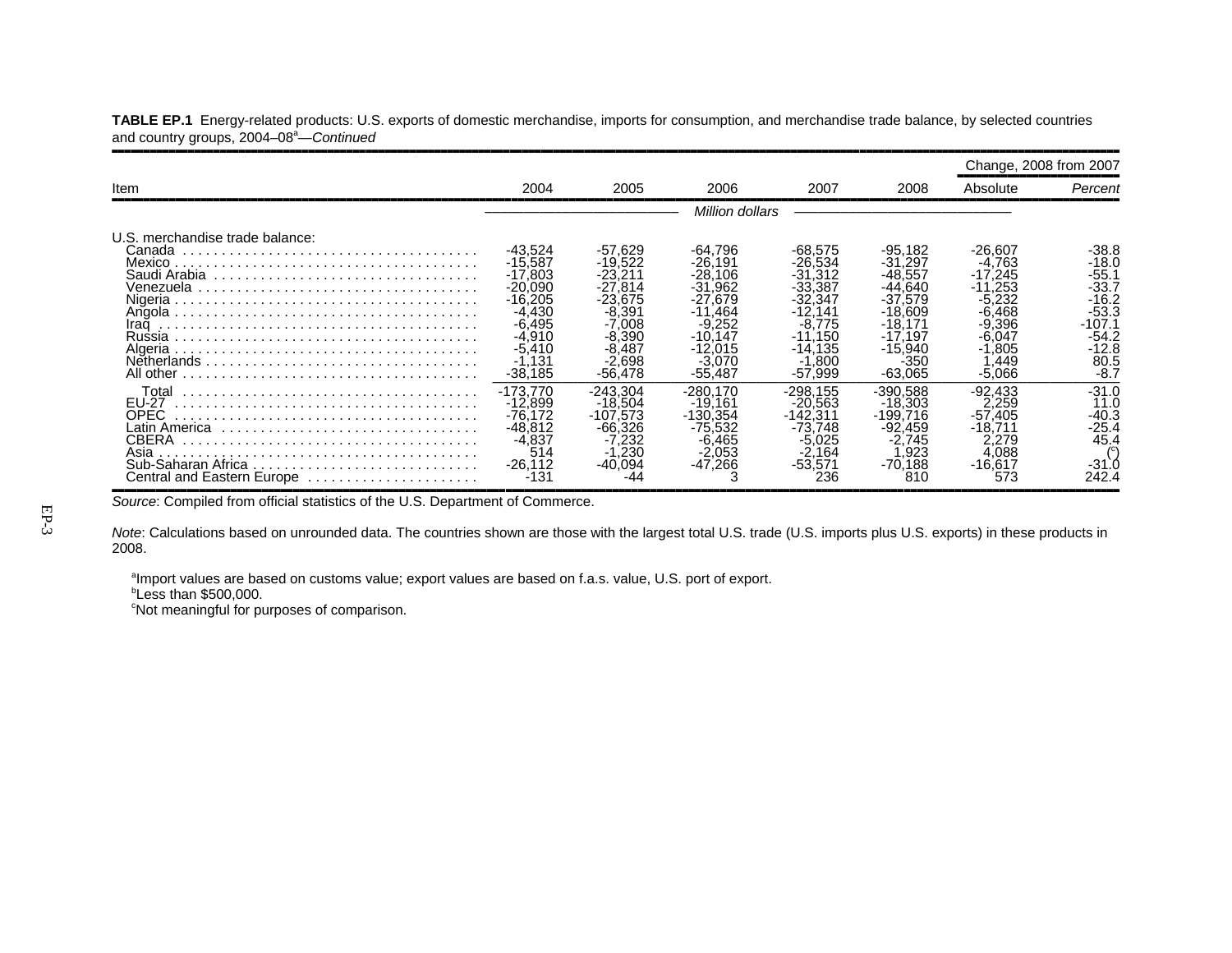|                                                                                           |                                                                                                                                    |                                                                                                                                        |                                                                                                                                             |                                                                                                                                       |                                                                                                                                          |                                                                                                                             | Change, 2008 from 2007                                                                                         |
|-------------------------------------------------------------------------------------------|------------------------------------------------------------------------------------------------------------------------------------|----------------------------------------------------------------------------------------------------------------------------------------|---------------------------------------------------------------------------------------------------------------------------------------------|---------------------------------------------------------------------------------------------------------------------------------------|------------------------------------------------------------------------------------------------------------------------------------------|-----------------------------------------------------------------------------------------------------------------------------|----------------------------------------------------------------------------------------------------------------|
| Item                                                                                      | 2004                                                                                                                               | 2005                                                                                                                                   | 2006                                                                                                                                        | 2007                                                                                                                                  | 2008                                                                                                                                     | Absolute                                                                                                                    | Percent                                                                                                        |
|                                                                                           |                                                                                                                                    |                                                                                                                                        | Million dollars                                                                                                                             |                                                                                                                                       |                                                                                                                                          |                                                                                                                             |                                                                                                                |
| U.S. merchandise trade balance:<br>Canada<br>Mexico.<br>Algeria<br>All other              | $-43,524$<br>$-15,587$<br>$-17,803$<br>$-20,090$<br>$-16.205$<br>$-4,430$<br>$-6,495$<br>$-4.910$<br>$-5,410$<br>.131<br>$-38.185$ | $-57,629$<br>$-19.522$<br>$-23.211$<br>$-27.814$<br>$-23.675$<br>$-8,391$<br>$-7.008$<br>$-8.390$<br>$-8.487$<br>$-2.698$<br>$-56.478$ | -64.796<br>$-26.191$<br>$-28,106$<br>$-31$<br>⊟962<br>$-27.679$<br>$-11.464$<br>$-9.252$<br>$-10.147$<br>$-12,015$<br>$-3.070$<br>$-55.487$ | $-68.575$<br>$-26.534$<br>$-31.312$<br>$-33.387$<br>$-32.347$<br>$-12.141$<br>$-8.775$<br>$-11.150$<br>$-14.135$<br>.800<br>$-57.999$ | $-95.182$<br>$-31,297$<br>$-48.557$<br>$-44.640$<br>$-37.579$<br>$-18.609$<br>$-18.171$<br>$-17.197$<br>$-15,940$<br>$-350$<br>$-63.065$ | -26.607<br>$-4.763$<br>$-17.245$<br>$-11.253$<br>$-5.232$<br>-6.468<br>$-9.396$<br>$-6.047$<br>$-1,805$<br>.449<br>$-5.066$ | $-38.8$<br>$-18.0$<br>$-55.1$<br>$-33.7$<br>$-16.2$<br>$-53.3$<br>$-107.1$<br>-54.2<br>-12.8<br>80.5<br>$-8.7$ |
| Total<br>EU-27<br><b>OPEC</b><br>Asia<br>Sub-Saharan Africa<br>Central and Eastern Europe | $-173,770$<br>$-12.899$<br>$-76,172$<br>-48,812<br>-4.837<br>514<br>$-26.112$<br>$-131$                                            | $-243.304$<br>$-18.504$<br>$-107.573$<br>$-66.326$<br>-7.232<br>$\frac{1}{2}$ 30<br>$-40.094$<br>-44                                   | $-280.170$<br>$-19.161$<br>$-130.354$<br>$-75.532$<br>$-6.465$<br>$-2.053$<br>$-47,266$                                                     | -298.155<br>$-20.563$<br>$-142.311$<br>$-73.748$<br>$-5.025$<br>$-2.164$<br>$-53.571$<br>236                                          | $-390.588$<br>$-18.303$<br>$-199.716$<br>$-92.459$<br>-2.745<br>.923<br>$-70.188$<br>810                                                 | -92.433<br>2.259<br>$-57.405$<br>$-18.711$<br>2.279<br>4.088<br>$-16.617$<br>573                                            | $-31.0$<br>11.0<br>-40.3<br>$-25.4$<br>45.4<br>-31`.C<br>242.4                                                 |

**TABLE EP.1** Energy-related products: U.S. exports of domestic merchandise, imports for consumption, and merchandise trade balance, by selected countries and country groups, 2004–08<sup>a</sup>—Continued

Source: Compiled from official statistics of the U.S. Department of Commerce.

*Note*: Calculations based on unrounded data. The countries shown are those with the largest total U.S. trade (U.S. imports plus U.S. exports) in these products in 2008.

aImport values are based on customs value; export values are based on f.a.s. value, U.S. port of export.

*b***Less than \$500,000.** 

<sup>c</sup>Not meaningful for purposes of comparison.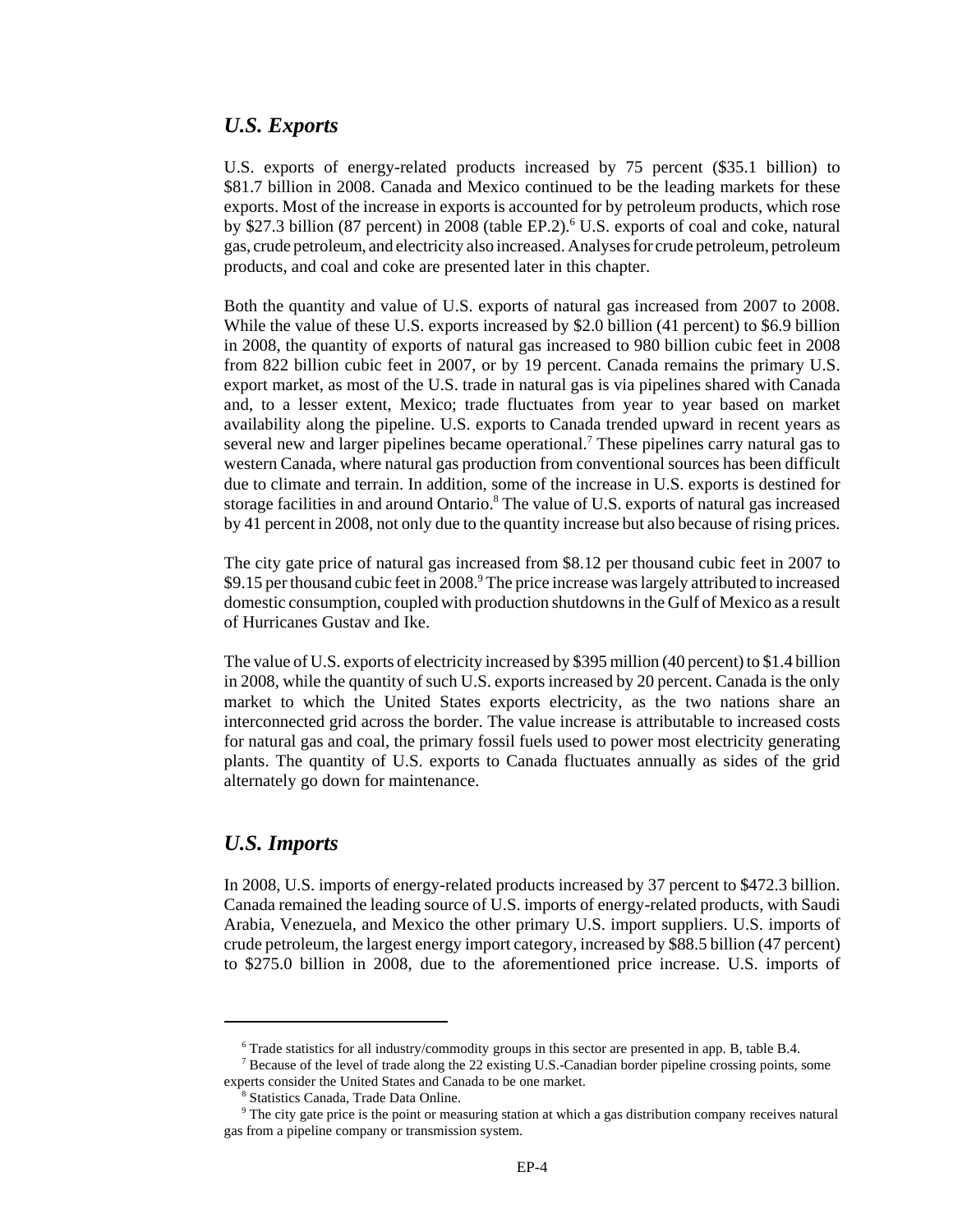#### *U.S. Exports*

U.S. exports of energy-related products increased by 75 percent (\$35.1 billion) to \$81.7 billion in 2008. Canada and Mexico continued to be the leading markets for these exports. Most of the increase in exports is accounted for by petroleum products, which rose by \$27.3 billion (87 percent) in 2008 (table EP.2).<sup>6</sup> U.S. exports of coal and coke, natural gas, crude petroleum, and electricity also increased. Analyses for crude petroleum, petroleum products, and coal and coke are presented later in this chapter.

Both the quantity and value of U.S. exports of natural gas increased from 2007 to 2008. While the value of these U.S. exports increased by \$2.0 billion (41 percent) to \$6.9 billion in 2008, the quantity of exports of natural gas increased to 980 billion cubic feet in 2008 from 822 billion cubic feet in 2007, or by 19 percent. Canada remains the primary U.S. export market, as most of the U.S. trade in natural gas is via pipelines shared with Canada and, to a lesser extent, Mexico; trade fluctuates from year to year based on market availability along the pipeline. U.S. exports to Canada trended upward in recent years as several new and larger pipelines became operational.<sup>7</sup> These pipelines carry natural gas to western Canada, where natural gas production from conventional sources has been difficult due to climate and terrain. In addition, some of the increase in U.S. exports is destined for storage facilities in and around Ontario.<sup>8</sup> The value of U.S. exports of natural gas increased by 41 percent in 2008, not only due to the quantity increase but also because of rising prices.

The city gate price of natural gas increased from \$8.12 per thousand cubic feet in 2007 to \$9.15 per thousand cubic feet in 2008.<sup>9</sup> The price increase was largely attributed to increased domestic consumption, coupled with production shutdowns in the Gulf of Mexico as a result of Hurricanes Gustav and Ike.

The value of U.S. exports of electricity increased by \$395 million (40 percent) to \$1.4 billion in 2008, while the quantity of such U.S. exports increased by 20 percent. Canada is the only market to which the United States exports electricity, as the two nations share an interconnected grid across the border. The value increase is attributable to increased costs for natural gas and coal, the primary fossil fuels used to power most electricity generating plants. The quantity of U.S. exports to Canada fluctuates annually as sides of the grid alternately go down for maintenance.

#### *U.S. Imports*

In 2008, U.S. imports of energy-related products increased by 37 percent to \$472.3 billion. Canada remained the leading source of U.S. imports of energy-related products, with Saudi Arabia, Venezuela, and Mexico the other primary U.S. import suppliers. U.S. imports of crude petroleum, the largest energy import category, increased by \$88.5 billion (47 percent) to \$275.0 billion in 2008, due to the aforementioned price increase. U.S. imports of

 <sup>6</sup> Trade statistics for all industry/commodity groups in this sector are presented in app. B, table B.4.

<sup>&</sup>lt;sup>7</sup> Because of the level of trade along the 22 existing U.S.-Canadian border pipeline crossing points, some experts consider the United States and Canada to be one market.

 <sup>8</sup> Statistics Canada, Trade Data Online.

 <sup>9</sup> The city gate price is the point or measuring station at which a gas distribution company receives natural gas from a pipeline company or transmission system.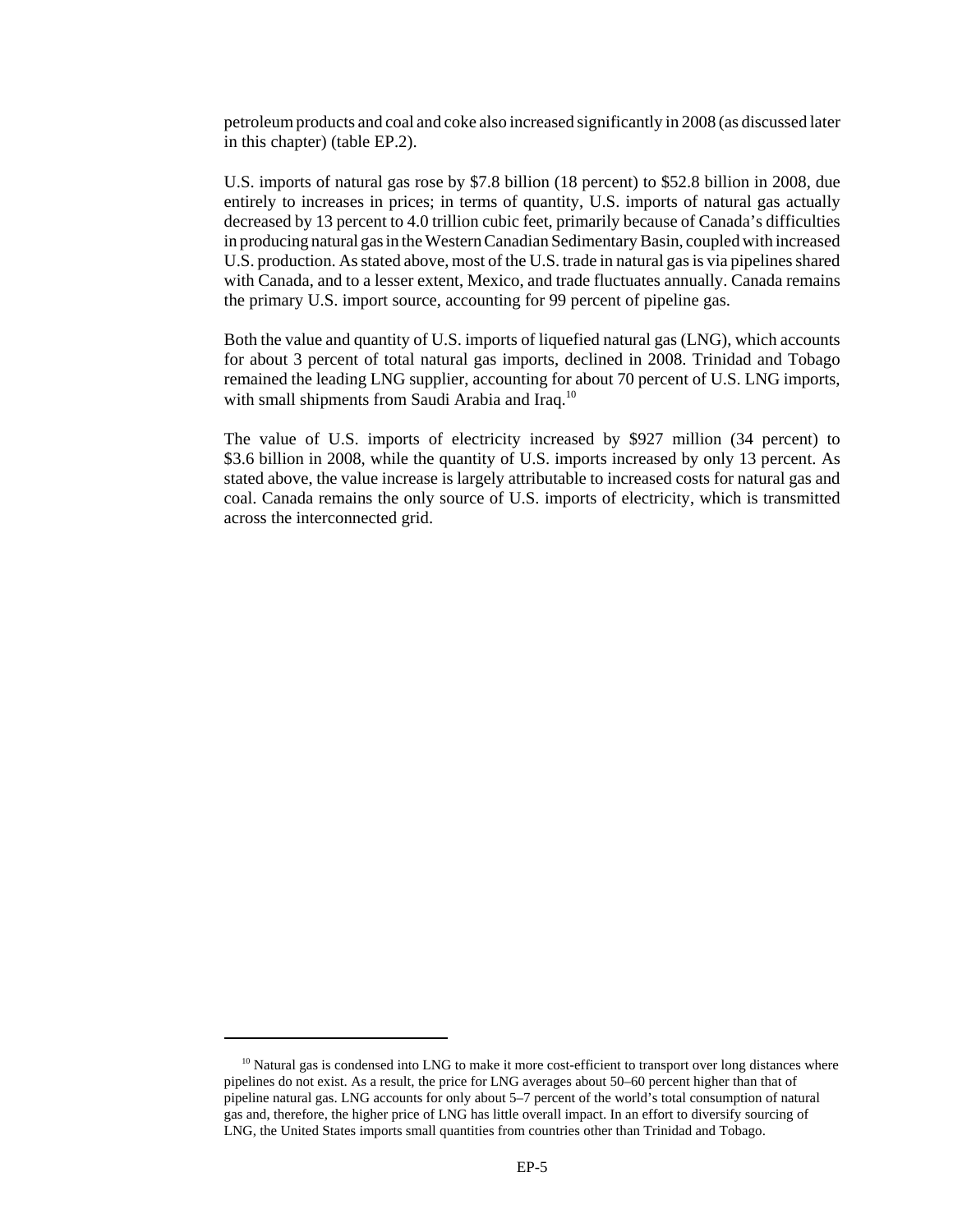petroleum products and coal and coke also increased significantly in 2008 (as discussed later in this chapter) (table EP.2).

U.S. imports of natural gas rose by \$7.8 billion (18 percent) to \$52.8 billion in 2008, due entirely to increases in prices; in terms of quantity, U.S. imports of natural gas actually decreased by 13 percent to 4.0 trillion cubic feet, primarily because of Canada's difficulties in producing natural gas in the Western Canadian Sedimentary Basin, coupled with increased U.S. production. As stated above, most of the U.S. trade in natural gas is via pipelines shared with Canada, and to a lesser extent, Mexico, and trade fluctuates annually. Canada remains the primary U.S. import source, accounting for 99 percent of pipeline gas.

Both the value and quantity of U.S. imports of liquefied natural gas (LNG), which accounts for about 3 percent of total natural gas imports, declined in 2008. Trinidad and Tobago remained the leading LNG supplier, accounting for about 70 percent of U.S. LNG imports, with small shipments from Saudi Arabia and Iraq.<sup>10</sup>

The value of U.S. imports of electricity increased by \$927 million (34 percent) to \$3.6 billion in 2008, while the quantity of U.S. imports increased by only 13 percent. As stated above, the value increase is largely attributable to increased costs for natural gas and coal. Canada remains the only source of U.S. imports of electricity, which is transmitted across the interconnected grid.

<sup>&</sup>lt;sup>10</sup> Natural gas is condensed into LNG to make it more cost-efficient to transport over long distances where pipelines do not exist. As a result, the price for LNG averages about 50–60 percent higher than that of pipeline natural gas. LNG accounts for only about 5–7 percent of the world's total consumption of natural gas and, therefore, the higher price of LNG has little overall impact. In an effort to diversify sourcing of LNG, the United States imports small quantities from countries other than Trinidad and Tobago.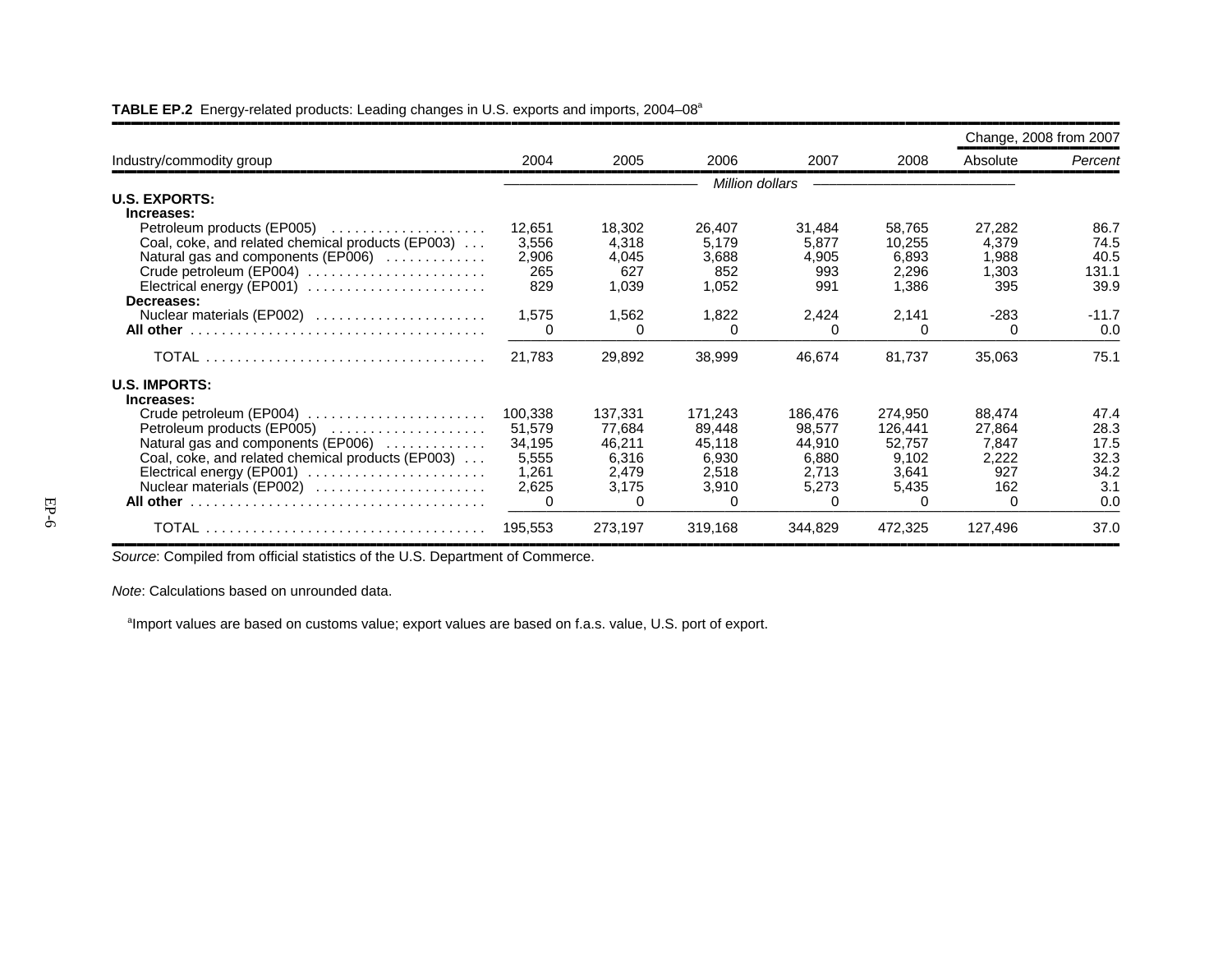|                                                                                                                                                                                                                                                |                                                        |                                                             |                                                             |                                                                        |                                                                         | Change, 2008 from 2007                                       |                                            |
|------------------------------------------------------------------------------------------------------------------------------------------------------------------------------------------------------------------------------------------------|--------------------------------------------------------|-------------------------------------------------------------|-------------------------------------------------------------|------------------------------------------------------------------------|-------------------------------------------------------------------------|--------------------------------------------------------------|--------------------------------------------|
| Industry/commodity group                                                                                                                                                                                                                       | 2004                                                   | 2005                                                        | 2006                                                        | 2007                                                                   | 2008                                                                    | Absolute                                                     | Percent                                    |
| <b>U.S. EXPORTS:</b>                                                                                                                                                                                                                           |                                                        |                                                             | Million dollars                                             |                                                                        |                                                                         |                                                              |                                            |
| Increases:<br>Petroleum products (EP005)<br>Coal, coke, and related chemical products (EP003)<br>Natural gas and components (EP006)<br>Crude petroleum (EP004)<br>Electrical energy (EP001) $\ldots \ldots \ldots \ldots \ldots \ldots \ldots$ | 12,651<br>3,556<br>2,906<br>265<br>829                 | 18,302<br>4,318<br>4,045<br>627<br>1,039                    | 26,407<br>5,179<br>3,688<br>852<br>1,052                    | 31,484<br>5,877<br>4,905<br>993<br>991                                 | 58,765<br>10,255<br>6,893<br>2,296<br>1,386                             | 27,282<br>4,379<br>1,988<br>1,303<br>395                     | 86.7<br>74.5<br>40.5<br>131.1<br>39.9      |
| Decreases:<br>Nuclear materials (EP002)                                                                                                                                                                                                        | 1,575<br>0                                             | 1,562<br><sup>0</sup>                                       | 1,822<br>∩                                                  | 2,424<br><sup>0</sup>                                                  | 2,141<br>0                                                              | $-283$<br>$\Omega$                                           | $-11.7$<br>0.0                             |
|                                                                                                                                                                                                                                                | 21,783                                                 | 29,892                                                      | 38,999                                                      | 46,674                                                                 | 81,737                                                                  | 35,063                                                       | 75.1                                       |
| <b>U.S. IMPORTS:</b><br>Increases:                                                                                                                                                                                                             |                                                        |                                                             |                                                             |                                                                        |                                                                         |                                                              | 47.4                                       |
| Crude petroleum (EP004)<br>Petroleum products (EP005)<br>Natural gas and components (EP006)<br>Coal, coke, and related chemical products (EP003)<br>Electrical energy (EP001)<br>Nuclear materials (EP002) $\ldots$                            | 100,338<br>51,579<br>34,195<br>5,555<br>1,261<br>2,625 | 137,331<br>77.684<br>46,211<br>6,316<br>2,479<br>3,175<br>0 | 171,243<br>89,448<br>45,118<br>6,930<br>2,518<br>3,910<br>∩ | 186,476<br>98,577<br>44,910<br>6,880<br>2,713<br>5,273<br><sup>0</sup> | 274,950<br>126,441<br>52,757<br>9,102<br>3,641<br>5,435<br><sup>0</sup> | 88,474<br>27,864<br>7,847<br>2,222<br>927<br>162<br>$\Omega$ | 28.3<br>17.5<br>32.3<br>34.2<br>3.1<br>0.0 |
|                                                                                                                                                                                                                                                | 195,553                                                | 273,197                                                     | 319,168                                                     | 344,829                                                                | 472,325                                                                 | 127,496                                                      | 37.0                                       |

#### **TABLE EP.2** Energy-related products: Leading changes in U.S. exports and imports, 2004–08a

*Source*: Compiled from official statistics of the U.S. Department of Commerce.

*Note*: Calculations based on unrounded data.

<sup>a</sup>Import values are based on customs value; export values are based on f.a.s. value, U.S. port of export.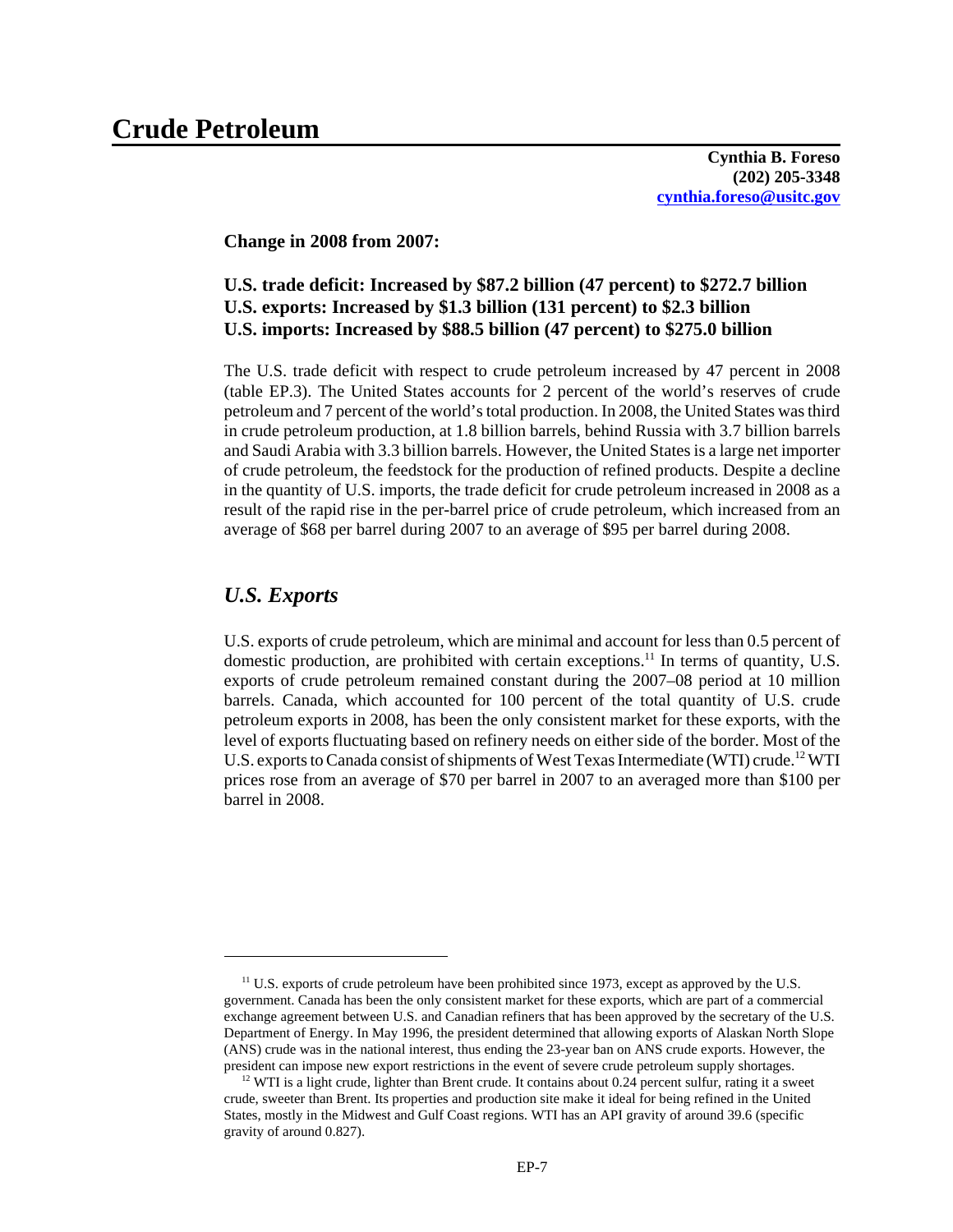**Cynthia B. Foreso (202) 205-3348 cynthia.foreso@usitc.gov**

**Change in 2008 from 2007:**

#### **U.S. trade deficit: Increased by \$87.2 billion (47 percent) to \$272.7 billion U.S. exports: Increased by \$1.3 billion (131 percent) to \$2.3 billion U.S. imports: Increased by \$88.5 billion (47 percent) to \$275.0 billion**

The U.S. trade deficit with respect to crude petroleum increased by 47 percent in 2008 (table EP.3). The United States accounts for 2 percent of the world's reserves of crude petroleum and 7 percent of the world's total production. In 2008, the United States was third in crude petroleum production, at 1.8 billion barrels, behind Russia with 3.7 billion barrels and Saudi Arabia with 3.3 billion barrels. However, the United States is a large net importer of crude petroleum, the feedstock for the production of refined products. Despite a decline in the quantity of U.S. imports, the trade deficit for crude petroleum increased in 2008 as a result of the rapid rise in the per-barrel price of crude petroleum, which increased from an average of \$68 per barrel during 2007 to an average of \$95 per barrel during 2008.

#### *U.S. Exports*

U.S. exports of crude petroleum, which are minimal and account for less than 0.5 percent of domestic production, are prohibited with certain exceptions.<sup>11</sup> In terms of quantity, U.S. exports of crude petroleum remained constant during the 2007–08 period at 10 million barrels. Canada, which accounted for 100 percent of the total quantity of U.S. crude petroleum exports in 2008, has been the only consistent market for these exports, with the level of exports fluctuating based on refinery needs on either side of the border. Most of the U.S. exports to Canada consist of shipments of West Texas Intermediate (WTI) crude.<sup>12</sup> WTI prices rose from an average of \$70 per barrel in 2007 to an averaged more than \$100 per barrel in 2008.

 $11$  U.S. exports of crude petroleum have been prohibited since 1973, except as approved by the U.S. government. Canada has been the only consistent market for these exports, which are part of a commercial exchange agreement between U.S. and Canadian refiners that has been approved by the secretary of the U.S. Department of Energy. In May 1996, the president determined that allowing exports of Alaskan North Slope (ANS) crude was in the national interest, thus ending the 23-year ban on ANS crude exports. However, the president can impose new export restrictions in the event of severe crude petroleum supply shortages.

 $12$  WTI is a light crude, lighter than Brent crude. It contains about 0.24 percent sulfur, rating it a sweet crude, sweeter than Brent. Its properties and production site make it ideal for being refined in the United States, mostly in the Midwest and Gulf Coast regions. WTI has an API gravity of around 39.6 (specific gravity of around 0.827).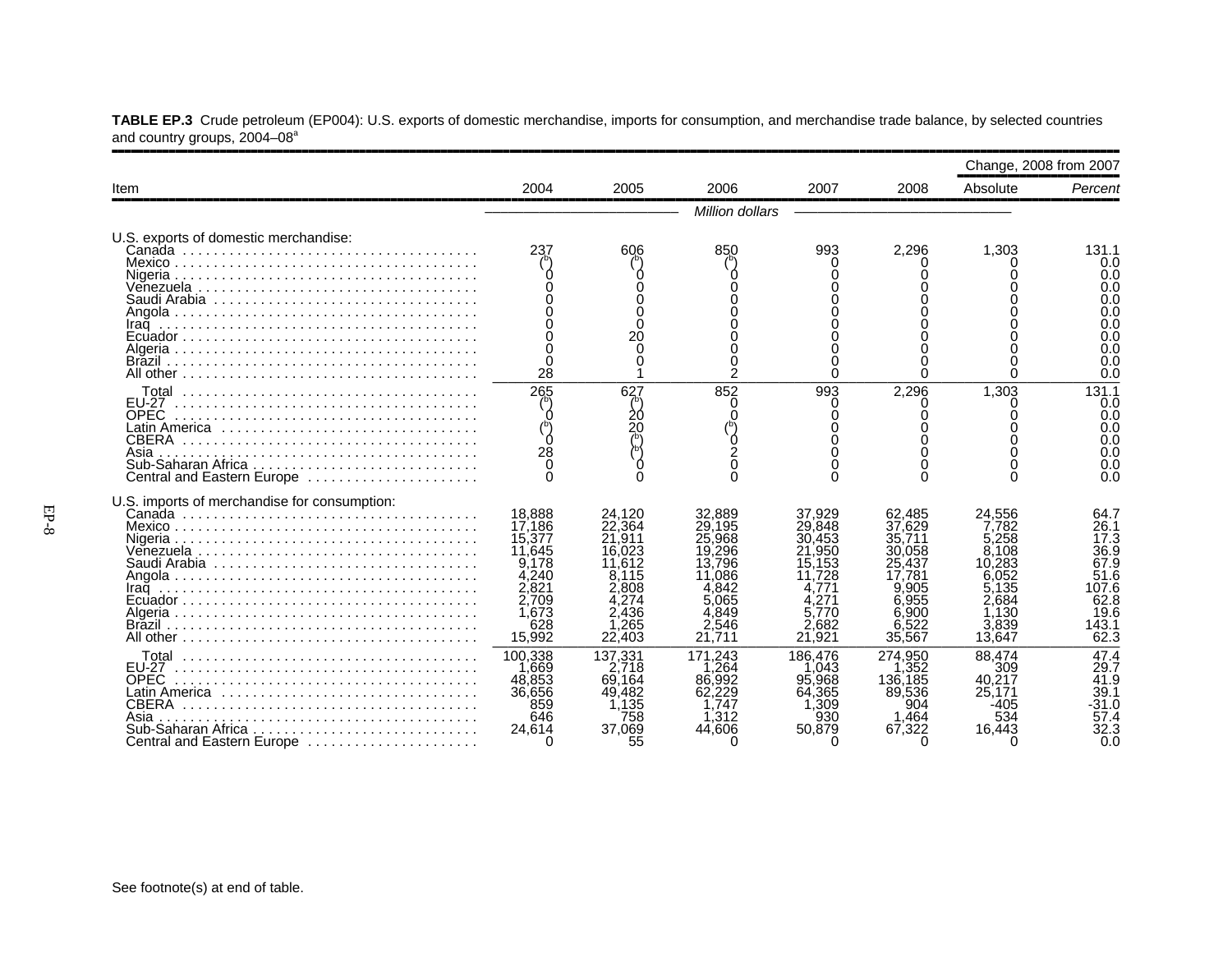|                                          |  |  |  | TABLE EP.3 Crude petroleum (EP004): U.S. exports of domestic merchandise, imports for consumption, and merchandise trade balance, by selected countries |  |
|------------------------------------------|--|--|--|---------------------------------------------------------------------------------------------------------------------------------------------------------|--|
| and country groups, 2004–08 <sup>a</sup> |  |  |  |                                                                                                                                                         |  |

|                                                                                                                                                   |                                                                                                                                                                   |                                                                                                                                                               |                                                                                                                                                                           |                                                                                                                                                           |                                                                                                                                                                      | Change, 2008 from 2007                                                                                                                                           |                                                                                                                                                   |
|---------------------------------------------------------------------------------------------------------------------------------------------------|-------------------------------------------------------------------------------------------------------------------------------------------------------------------|---------------------------------------------------------------------------------------------------------------------------------------------------------------|---------------------------------------------------------------------------------------------------------------------------------------------------------------------------|-----------------------------------------------------------------------------------------------------------------------------------------------------------|----------------------------------------------------------------------------------------------------------------------------------------------------------------------|------------------------------------------------------------------------------------------------------------------------------------------------------------------|---------------------------------------------------------------------------------------------------------------------------------------------------|
| Item                                                                                                                                              | 2004                                                                                                                                                              | 2005                                                                                                                                                          | 2006                                                                                                                                                                      | 2007                                                                                                                                                      | 2008                                                                                                                                                                 | Absolute                                                                                                                                                         | Percent                                                                                                                                           |
|                                                                                                                                                   |                                                                                                                                                                   |                                                                                                                                                               | Million dollars                                                                                                                                                           |                                                                                                                                                           |                                                                                                                                                                      |                                                                                                                                                                  |                                                                                                                                                   |
| U.S. exports of domestic merchandise:<br>Iraq                                                                                                     | 237<br>28                                                                                                                                                         | 606<br>20<br>U                                                                                                                                                | 850<br>$\overline{c}$                                                                                                                                                     | 993<br>U                                                                                                                                                  | 2.296<br>∩                                                                                                                                                           | 1.303<br>∩                                                                                                                                                       | 131.1<br>0.0<br>0.0<br>0.0<br>0.0<br>0.0<br>0.0<br>0.0<br>0.0<br>0.0<br>0.0                                                                       |
| <b>EU-27</b><br><b>OPEC</b><br>Latin America<br><b>CBERA</b><br>Asia<br>Central and Eastern Europe                                                | 265<br>28                                                                                                                                                         | 627<br>20<br>20                                                                                                                                               | 852                                                                                                                                                                       | 993                                                                                                                                                       | 2,296                                                                                                                                                                | 1.303                                                                                                                                                            | 131.1<br>0.0<br>0.0<br>0.0<br>0.0<br>0.0<br>0.0<br>0.0                                                                                            |
| U.S. imports of merchandise for consumption:<br>Iraq<br><b>EU-27</b><br>OPEC<br>CBERA<br>Asia<br>Sub-Saharan Africa<br>Central and Eastern Europe | 18,888<br>17,186<br>15,377<br>11.645<br>9.178<br>4.240<br>2.821<br>2.709<br>1.673<br>628<br>15,992<br>100,338<br>.669<br>48,853<br>36,656<br>859<br>646<br>24,614 | 24,120<br>22,364<br>21.911<br>16.023<br>11.612<br>.115<br>2.808<br>2.436<br>1,265<br>22,403<br>137,331<br>2.718<br>69.164<br>49,482<br>1,135<br>758<br>37,069 | 32,889<br>29,195<br>.968<br>25<br>19.296<br>13,796<br>.086<br>.842<br>065<br>.849<br>546<br>21.711<br>171.243<br>.264<br>.992<br>86.<br>62,229<br>.747<br>1.312<br>44,606 | 37,929<br>29,848<br>30.453<br>.950<br>15.153<br>.728<br>.77'<br>5.770<br>2.682<br>21.921<br>186.476<br>1.043<br>95,968<br>64.365<br>.309<br>930<br>50.879 | 62,485<br>37.629<br>35,711<br>30.058<br>25.437<br>.781<br>9.905<br>955<br>6.900<br>6,522<br>35,567<br>274.950<br>.352<br>136,185<br>89,536<br>904<br>1.464<br>67,322 | 24.556<br>7.782<br>5.258<br>8.108<br>10.283<br>6.052<br>5.135<br>2.684<br>1.130<br>3,839<br>13.647<br>88.474<br>309<br>40.217<br>25.171<br>-405<br>534<br>16,443 | 64.7<br>26.1<br>17.3<br>36.9<br>67.9<br>51.6<br>107.6<br>62.8<br>19.6<br>143.1<br>62.3<br>47.4<br>29.7<br>41.9<br>39.1<br>$-31.0$<br>57.4<br>32.3 |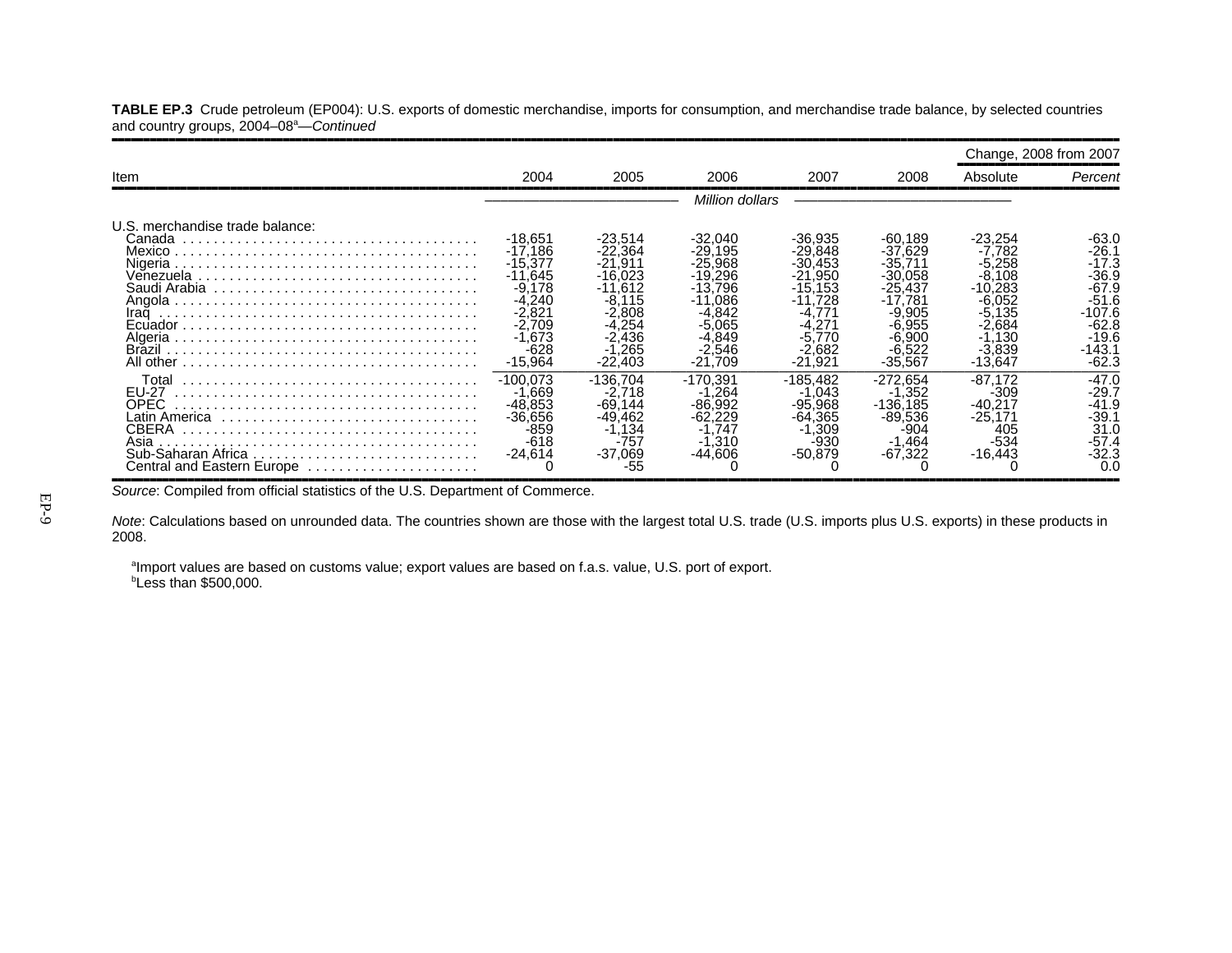**TABLE EP.3** Crude petroleum (EP004): U.S. exports of domestic merchandise, imports for consumption, and merchandise trade balance, by selected countries and country groups, 2004–08<sup>a</sup>—Continued ,,,,,,,,,,,,,,,,,,,,,,,,,,,,,,,,,,,,,,,,,,,,,,,,,,,,,,,,,,,,,,,,,,,,,,,,,,,,,,,,,,,,,,,,,,,,,,,,,,,,,,,,,,,,,,,,,,,,,,,,,,,,,,,,,,,,,,,,,,,,,,,,,,,,,,,,,,,,,,,,

|                                                                     |                                                                                                                               |                                                                                                                              |                                                                                                                                 |                                                                                                                               |                                                                                                                     | Change, 2008 from 2007                                                                                                      |                                                                                                             |
|---------------------------------------------------------------------|-------------------------------------------------------------------------------------------------------------------------------|------------------------------------------------------------------------------------------------------------------------------|---------------------------------------------------------------------------------------------------------------------------------|-------------------------------------------------------------------------------------------------------------------------------|---------------------------------------------------------------------------------------------------------------------|-----------------------------------------------------------------------------------------------------------------------------|-------------------------------------------------------------------------------------------------------------|
| Item                                                                | 2004                                                                                                                          | 2005                                                                                                                         | 2006                                                                                                                            | 2007                                                                                                                          | 2008                                                                                                                | Absolute                                                                                                                    | Percent                                                                                                     |
|                                                                     |                                                                                                                               |                                                                                                                              | Million dollars                                                                                                                 |                                                                                                                               |                                                                                                                     |                                                                                                                             |                                                                                                             |
| U.S. merchandise trade balance:<br>Canada<br>Iraq                   | -18.651<br>$-17.186$<br>$-15.377$<br>$-11.645$<br>$-9.178$<br>$-4.240$<br>-2.821<br>$-2.709$<br>$-1.673$<br>-628<br>$-15,964$ | -23.514<br>$-22,364$<br>$-21.911$<br>$-16.023$<br>$-11.612$<br>$-8.115$<br>$-2.808$<br>$-4.254$<br>-2.436<br>.265<br>-22.403 | $-32.040$<br>$-29.195$<br>$-25.968$<br>$-19.296$<br>$-13.796$<br>$-11.086$<br>-4.842<br>-5.065<br>-4.849<br>-2.546<br>$-21.709$ | $-36.935$<br>$-29.848$<br>$-30.453$<br>$-21.950$<br>$-15.153$<br>$-11.728$<br>-4.771<br>-4.271<br>.770<br>-2.682<br>$-21.921$ | -60.189<br>$-37.629$<br>-35.711<br>-30.058<br>-25.437<br>-17.781<br>-9.905<br>-6.955<br>-6.900<br>-6.522<br>-35.567 | -23.254<br>$-7.782$<br>$-5.258$<br>$-8.108$<br>$-10.283$<br>-6.052<br>$-5.135$<br>$-2.684$<br>-1.130<br>$-3.839$<br>-13.647 | -63.0<br>$-26.1$<br>$-17.3$<br>$-36.9$<br>$-67.9$<br>$-51.6$<br>-107.6<br>-62.8<br>-19.6<br>-143.1<br>-62.3 |
| Total<br><b>FU-27</b><br>OPEC<br>Asia<br>Central and Eastern Europe | $-100.073$<br>$-1.669$<br>$-48.853$<br>$-36.656$<br>$-859$<br>$-618$<br>$-24.614$                                             | -136.704<br>-2.718<br>-69.144<br>-49.462<br>$-1.134$<br>$-757$<br>-37.069<br>-55                                             | -170.391<br>.264<br>$-86.992$<br>-62.229<br>.747<br>l .310<br>$-44.606$                                                         | $-185.482$<br>-1.043<br>$-95.968$<br>$-64.365$<br>$-1,309$<br>$-930$<br>$-50,879$                                             | $-272.654$<br>$-1,352$<br>$-136.185$<br>$-89.536$<br>$-904$<br>$-1,464$<br>$-67,322$                                | $-87.172$<br>-309<br>$-40.217$<br>$-25.171$<br>405<br>$-534$<br>$-16,443$                                                   | $-47.0$<br>$-29.7$<br>$-41.9$<br>$-39.1$<br>31.0<br>$-57.4$<br>$-32.3$<br>0.(                               |

*Source*: Compiled from official statistics of the U.S. Department of Commerce.

*Note*: Calculations based on unrounded data. The countries shown are those with the largest total U.S. trade (U.S. imports plus U.S. exports) in these products in 2008.

aImport values are based on customs value; export values are based on f.a.s. value, U.S. port of export.  $b$ Less than \$500,000.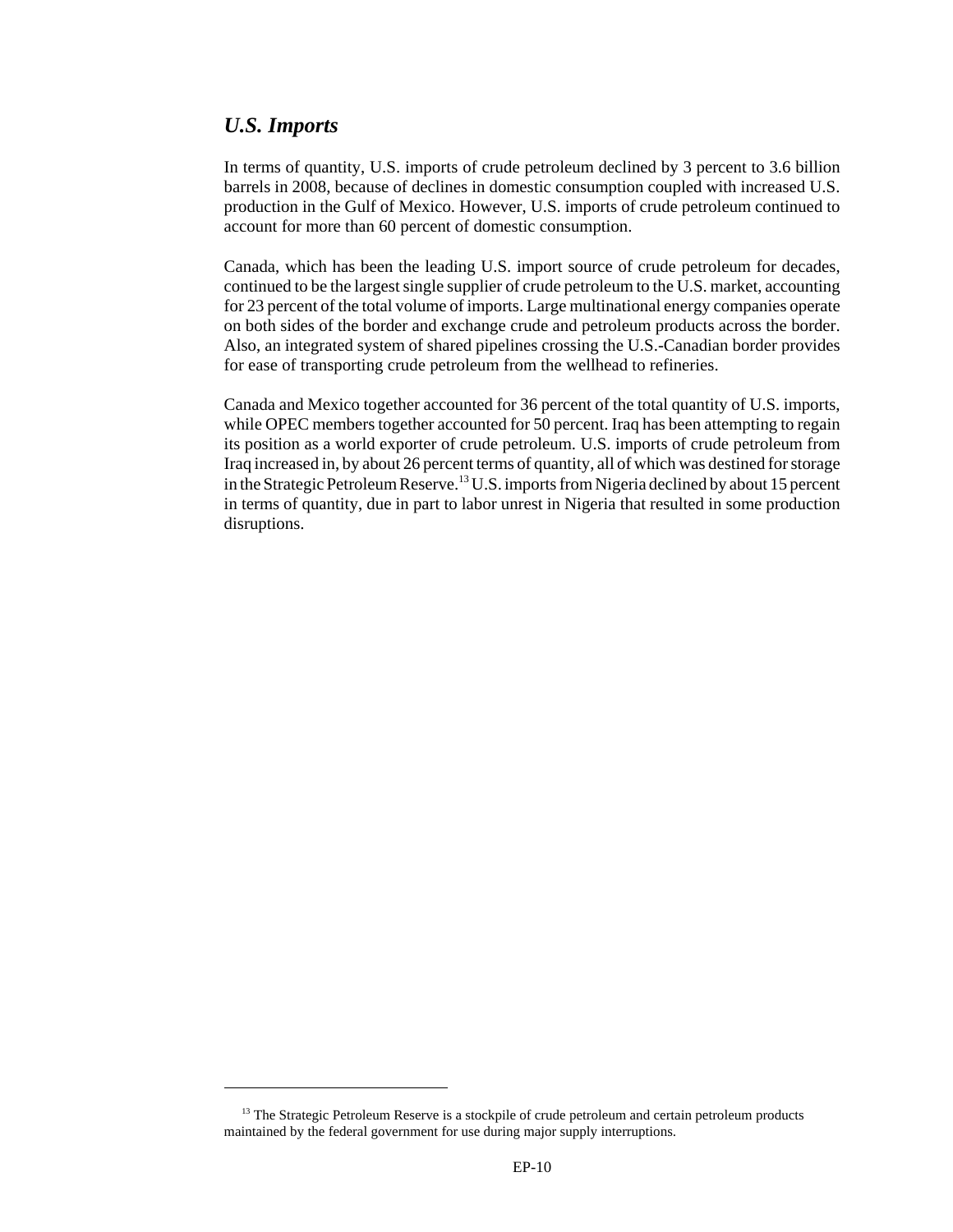#### *U.S. Imports*

In terms of quantity, U.S. imports of crude petroleum declined by 3 percent to 3.6 billion barrels in 2008, because of declines in domestic consumption coupled with increased U.S. production in the Gulf of Mexico. However, U.S. imports of crude petroleum continued to account for more than 60 percent of domestic consumption.

Canada, which has been the leading U.S. import source of crude petroleum for decades, continued to be the largest single supplier of crude petroleum to the U.S. market, accounting for 23 percent of the total volume of imports. Large multinational energy companies operate on both sides of the border and exchange crude and petroleum products across the border. Also, an integrated system of shared pipelines crossing the U.S.-Canadian border provides for ease of transporting crude petroleum from the wellhead to refineries.

Canada and Mexico together accounted for 36 percent of the total quantity of U.S. imports, while OPEC members together accounted for 50 percent. Iraq has been attempting to regain its position as a world exporter of crude petroleum. U.S. imports of crude petroleum from Iraq increased in, by about 26 percent terms of quantity, all of which was destined for storage in the Strategic Petroleum Reserve.13 U.S. imports from Nigeria declined by about 15 percent in terms of quantity, due in part to labor unrest in Nigeria that resulted in some production disruptions.

<sup>&</sup>lt;sup>13</sup> The Strategic Petroleum Reserve is a stockpile of crude petroleum and certain petroleum products maintained by the federal government for use during major supply interruptions.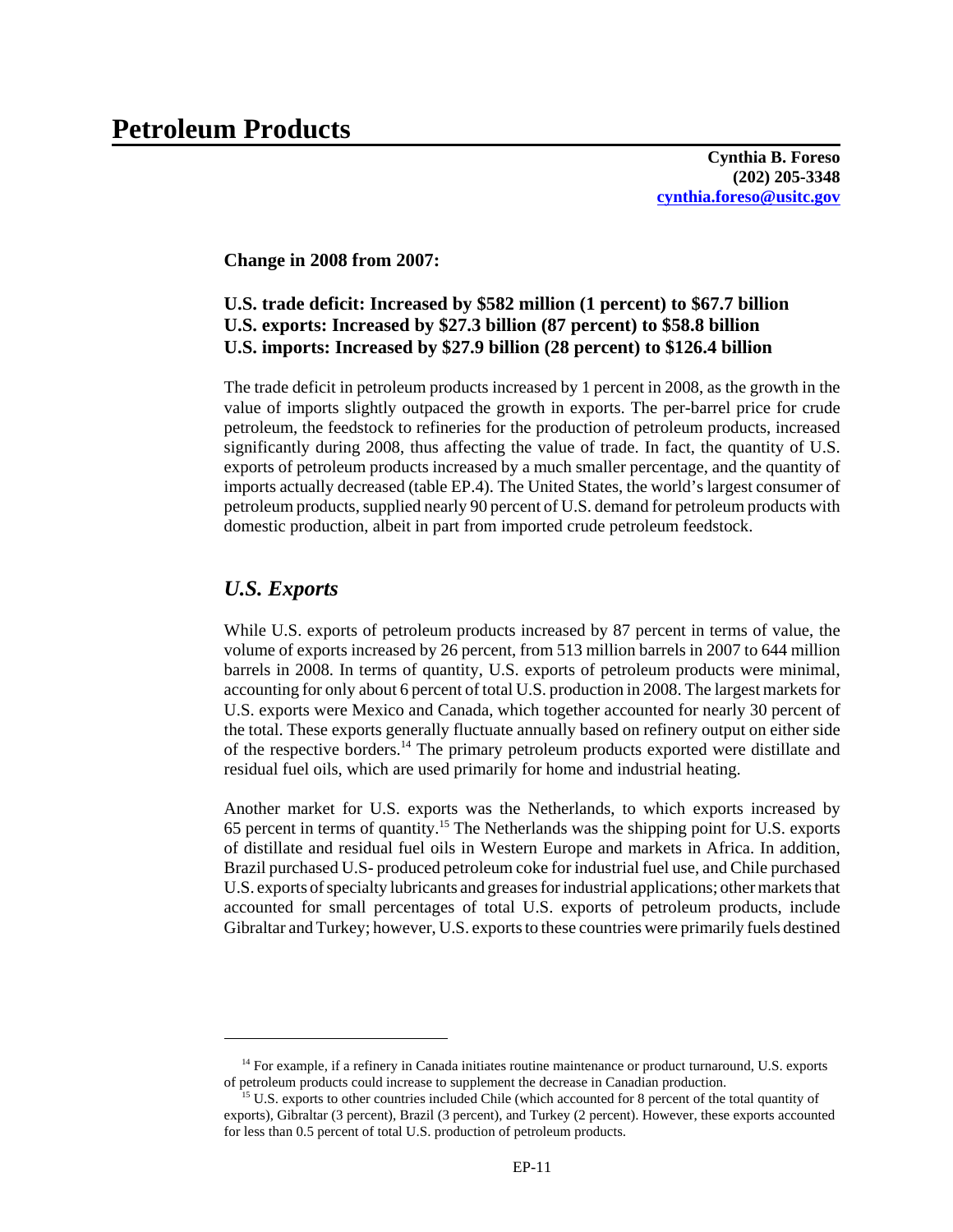#### **Change in 2008 from 2007:**

#### **U.S. trade deficit: Increased by \$582 million (1 percent) to \$67.7 billion U.S. exports: Increased by \$27.3 billion (87 percent) to \$58.8 billion U.S. imports: Increased by \$27.9 billion (28 percent) to \$126.4 billion**

The trade deficit in petroleum products increased by 1 percent in 2008, as the growth in the value of imports slightly outpaced the growth in exports. The per-barrel price for crude petroleum, the feedstock to refineries for the production of petroleum products, increased significantly during 2008, thus affecting the value of trade. In fact, the quantity of U.S. exports of petroleum products increased by a much smaller percentage, and the quantity of imports actually decreased (table EP.4). The United States, the world's largest consumer of petroleum products, supplied nearly 90 percent of U.S. demand for petroleum products with domestic production, albeit in part from imported crude petroleum feedstock.

## *U.S. Exports*

While U.S. exports of petroleum products increased by 87 percent in terms of value, the volume of exports increased by 26 percent, from 513 million barrels in 2007 to 644 million barrels in 2008. In terms of quantity, U.S. exports of petroleum products were minimal, accounting for only about 6 percent of total U.S. production in 2008. The largest markets for U.S. exports were Mexico and Canada, which together accounted for nearly 30 percent of the total. These exports generally fluctuate annually based on refinery output on either side of the respective borders.14 The primary petroleum products exported were distillate and residual fuel oils, which are used primarily for home and industrial heating.

Another market for U.S. exports was the Netherlands, to which exports increased by 65 percent in terms of quantity.15 The Netherlands was the shipping point for U.S. exports of distillate and residual fuel oils in Western Europe and markets in Africa. In addition, Brazil purchased U.S- produced petroleum coke for industrial fuel use, and Chile purchased U.S. exports of specialty lubricants and greases for industrial applications; other markets that accounted for small percentages of total U.S. exports of petroleum products, include Gibraltar and Turkey; however, U.S. exports to these countries were primarily fuels destined

<sup>&</sup>lt;sup>14</sup> For example, if a refinery in Canada initiates routine maintenance or product turnaround, U.S. exports of petroleum products could increase to supplement the decrease in Canadian production.

<sup>&</sup>lt;sup>15</sup> U.S. exports to other countries included Chile (which accounted for 8 percent of the total quantity of exports), Gibraltar (3 percent), Brazil (3 percent), and Turkey (2 percent). However, these exports accounted for less than 0.5 percent of total U.S. production of petroleum products.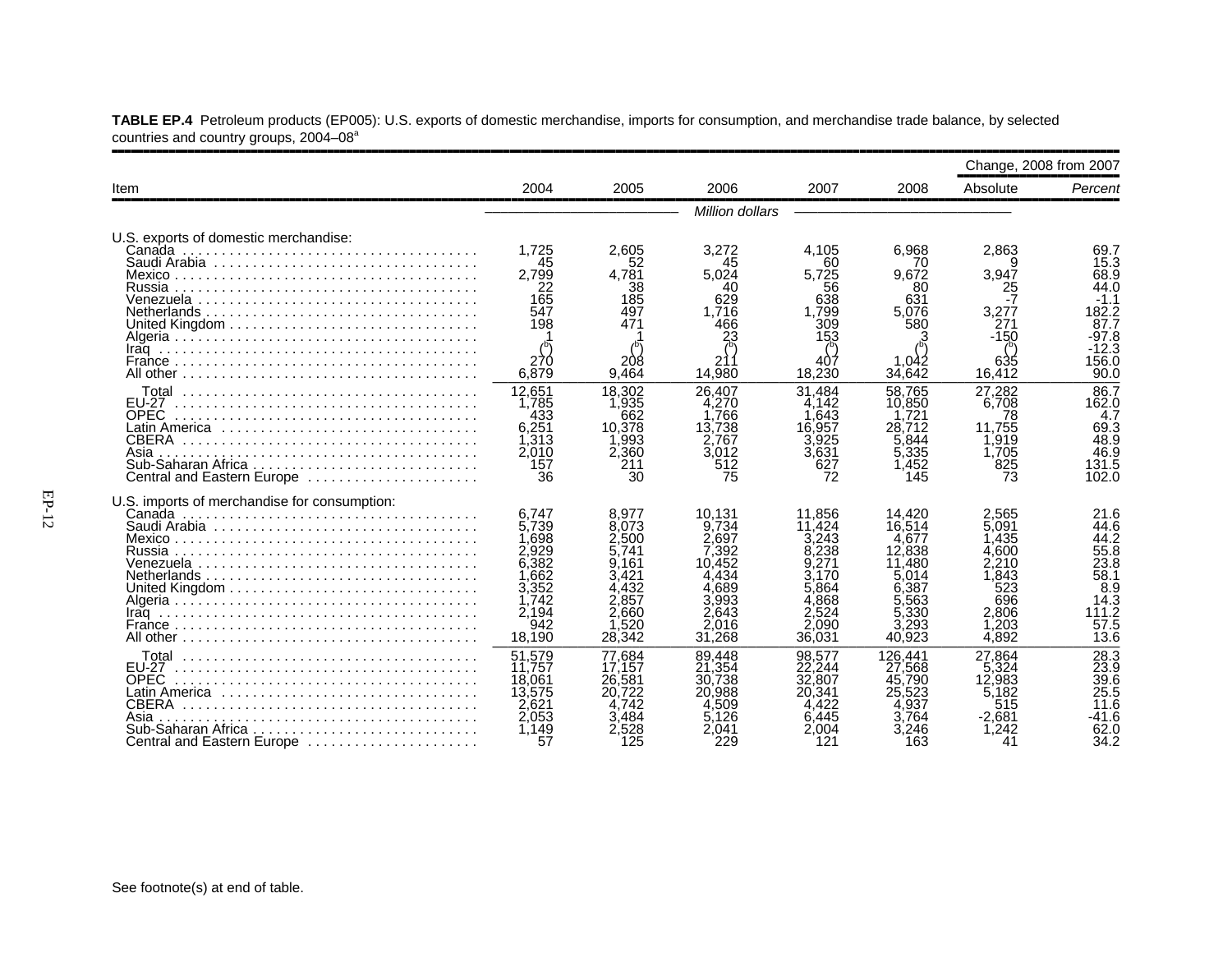|                                                                                                            |                                                                                               |                                                                                                 |                                                                                                   |                                                                                                 |                                                                                                    | Change, 2008 from 2007                                                                   |                                                                                      |
|------------------------------------------------------------------------------------------------------------|-----------------------------------------------------------------------------------------------|-------------------------------------------------------------------------------------------------|---------------------------------------------------------------------------------------------------|-------------------------------------------------------------------------------------------------|----------------------------------------------------------------------------------------------------|------------------------------------------------------------------------------------------|--------------------------------------------------------------------------------------|
| Item                                                                                                       | 2004                                                                                          | 2005                                                                                            | 2006                                                                                              | 2007                                                                                            | 2008                                                                                               | Absolute                                                                                 | Percent                                                                              |
|                                                                                                            |                                                                                               |                                                                                                 | Million dollars                                                                                   |                                                                                                 |                                                                                                    |                                                                                          |                                                                                      |
| U.S. exports of domestic merchandise:<br>Canada<br>Russia                                                  | 1.725<br>45<br>2,799<br>22<br>165<br>547<br>198                                               | 2.605<br>52<br>4,781<br>38<br>185<br>497<br>471                                                 | 3,272<br>45<br>5.024<br>40<br>629<br>1.716<br>466<br>23                                           | 4.105<br>60<br>5,725<br>56<br>638<br>1.799<br>309<br>153                                        | 6.968<br>70<br>9.672<br>80<br>631<br>5.076<br>580                                                  | 2.863<br>9<br>3,947<br>25<br>3.277<br>271<br>$-150$                                      | 69.7<br>15.3<br>68.9<br>44.0<br>$-1.1$<br>182.2<br>87.7<br>$-97.8$<br>$-12.3$        |
|                                                                                                            | 270<br>6.879                                                                                  | 208<br>9,464                                                                                    | 14.980                                                                                            | 407<br>18.230                                                                                   | 1.042<br>34.642                                                                                    | 635<br>16.412                                                                            | 156.0<br>90.0                                                                        |
| EU-27<br><b>OPEC</b><br>Latin America<br>CBERA<br>Asia<br>Sub-Saharan Africa<br>Central and Eastern Europe | 12.651<br>1,785<br>433<br>6,251<br>1,313<br>2,010<br>157<br>36                                | 18.302<br>1,935<br>662<br>10.378<br>1,993<br>2,360<br>211<br>30                                 | 26.407<br>4.270<br>.766<br>13.738<br>.767<br>3,012<br>512<br>75                                   | 31.484<br>4.142<br>.643<br>16,957<br>3.925<br>3.631<br>627<br>72                                | 58.765<br>10.850<br>.721<br>28.712<br>5.844<br>5,335<br>145                                        | 27.282<br>6.708<br>78<br>11.755<br>1,919<br>1,705<br>825<br>73                           | 86.7<br>162.0<br>4.7<br>69.3<br>48.9<br>46.9<br>131.5<br>102.0                       |
| U.S. imports of merchandise for consumption:<br>Mexico<br>Russia                                           | 6,747<br>5,739<br>698,⊺<br>2.929<br>6,382<br>.662<br>3,352<br>1,742<br>2.194<br>942<br>18,190 | 8.977<br>8.073<br>2.500<br>5.741<br>9.161<br>3.421<br>4.432<br>2.857<br>2.660<br>.520<br>28,342 | 10.131<br>9.734<br>2,697<br>392:′<br>10.452<br>434:<br>4.689<br>3,993<br>2.643<br>2.016<br>31,268 | 11,856<br>11,424<br>3.243<br>.238<br>.271<br>3.170<br>5.864<br>868.<br>2.524<br>2.090<br>36,031 | 14.420<br>16,514<br>4,677<br>12,838<br>11.480<br>5.014<br>6.387<br>.563<br>5.330<br>.293<br>40.923 | 2.565<br>5.091<br>1.435<br>.600<br>2.210<br>.843<br>523<br>696<br>2.806<br>.203<br>4.892 | 21.6<br>44.6<br>44.2<br>55.8<br>23.8<br>58.1<br>8.9<br>14.3<br>111.2<br>57.5<br>13.6 |
| <b>FU-27</b><br><b>OPEC</b><br>CBERA<br>Asia<br>Sub-Saharan Africa<br>Central and Eastern Europe           | 51,579<br>11.757<br>18,061<br>13,575<br>2,621<br>2.053<br>1.149<br>57                         | 77.684<br>17.157<br>26,581<br>20.722<br>4.742<br>3.484<br>2.528<br>125                          | 89.448<br>21,354<br>.738<br>30.<br>20,988<br>.509<br>5.126<br>2.041<br>229                        | 98.577<br>22,244<br>32,807<br>20.341<br>4.422<br>6.445<br>2.004<br>121                          | 126,441<br>27,568<br>45,790<br>25,523<br>.937<br>3.764<br>.246<br>163                              | 27.864<br>5.324<br>12,983<br>5.182<br>515<br>$-2.681$<br>.242<br>41                      | 28.3<br>23.9<br>39.6<br>25.5<br>11.6<br>-41.6<br>62.0<br>34.2                        |

**TABLE EP.4** Petroleum products (EP005): U.S. exports of domestic merchandise, imports for consumption, and merchandise trade balance, by selected countries and country groups, 2004–08<sup>a</sup>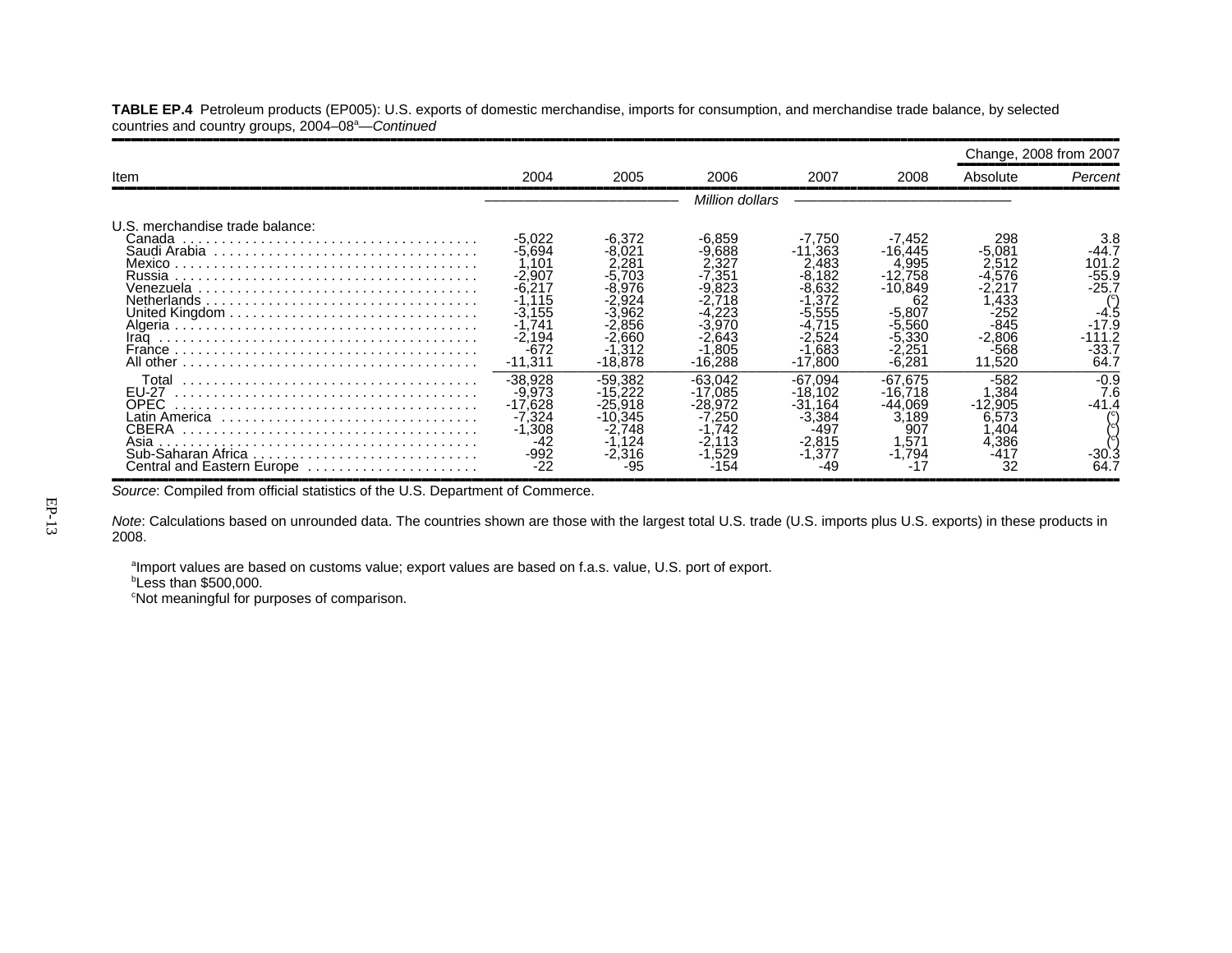**TABLE EP.4** Petroleum products (EP005): U.S. exports of domestic merchandise, imports for consumption, and merchandise trade balance, by selected countries and country groups, 2004–08<sup>a</sup>—Continued

,,,,,,,,,,,,,,,,,,,,,,,,,,,,,,,,,,,,,,,,,,,,,,,,,,,,,,,,,,,,,,,,,,,,,,,,,,,,,,,,,,,,,,,,,,,,,,,,,,,,,,,,,,,,,,,,,,,,,,,,,,,,,,,,,,,,,,,,,,,,,,,,,,,,,,,,,,,,,,,,

|                                                                                                   |                                                                                                                       |                                                                                                                |                                                                                |                                                                                                           |                                                                                                                    | Change, 2008 from 2007                                                                                |                                                                                    |
|---------------------------------------------------------------------------------------------------|-----------------------------------------------------------------------------------------------------------------------|----------------------------------------------------------------------------------------------------------------|--------------------------------------------------------------------------------|-----------------------------------------------------------------------------------------------------------|--------------------------------------------------------------------------------------------------------------------|-------------------------------------------------------------------------------------------------------|------------------------------------------------------------------------------------|
| Item                                                                                              | 2004                                                                                                                  | 2005                                                                                                           | 2006                                                                           | 2007                                                                                                      | 2008                                                                                                               | Absolute                                                                                              | Percent                                                                            |
|                                                                                                   |                                                                                                                       |                                                                                                                | Million dollars                                                                |                                                                                                           |                                                                                                                    |                                                                                                       |                                                                                    |
| U.S. merchandise trade balance:<br>Canada<br>Mexico<br>Russia<br>Venezuela<br>Netherlands<br>Iraq | $-5.022$<br>$-5,694$<br>.101<br>$-2.907$<br>-6.217<br>$-1.115$<br>$-3.155$<br>.741<br>$-2,194$<br>$-672$<br>$-11.311$ | $-6.372$<br>$-8.021$<br>$2.28^{\circ}$<br>-5.703<br>-8.976<br>-3.962<br>2.856<br>-2.660<br>-1.312<br>$-18.878$ | -6.859<br>.688<br>.32<br>.35 <sup>.</sup><br>.643<br>.805<br>$-16.288$         | -7.750<br>$-11,363$<br>2.483<br>-8,182<br>-8.632<br>.372<br>-5,555<br>.715<br>-2.524<br>-1.683<br>-17.800 | -7,452<br>$-16,445$<br>4,995<br>$-12.758$<br>$-10.849$<br>62<br>$-5,807$<br>-5.560<br>$-5.330$<br>2,25<br>$-6.28'$ | 298<br>$-5.081$<br>2.512<br>-4.576<br>2.217<br>.433<br>-252<br>$-845$<br>$-2.806$<br>$-568$<br>11.520 | -44.7<br>101.2<br>-55.9<br>$-25.7$<br>-4.5<br>$-17.9$<br>-111.2<br>$-33.7$<br>64.7 |
| Total<br><b>EU-27</b><br><b>OPEC</b><br><b>CBERA</b><br>Asia<br>Central and Eastern Europe        | $-38.928$<br>$-9.973$<br>$-17.628$<br>$-7.324$<br>$-1.308$<br>-42<br>$-992$<br>-22                                    | $-59.382$<br>$-15.222$<br>-25.918<br>-10.345<br>$-2.748$<br>$-1.124$<br>-2.316<br>-95                          | $-63.042$<br>$-17,085$<br>-28.972<br>250.'<br>.742<br>.113<br>$-1.529$<br>-154 | $-67.094$<br>$-18.102$<br>$-31.164$<br>$-3,384$<br>$-497$<br>$-2.815$<br>-1.377                           | $-67.675$<br>-16.718<br>-44.069<br>3.189<br>907<br>.571<br>$-1.794$                                                | -582<br>.384<br>$-12.905$<br>6.573<br>,404<br>4,386<br>-417<br>32                                     | $-0.9$<br>7.6<br>$-41.4$<br>-30.<br>64.                                            |

*Source*: Compiled from official statistics of the U.S. Department of Commerce.

*Note*: Calculations based on unrounded data. The countries shown are those with the largest total U.S. trade (U.S. imports plus U.S. exports) in these products in 2008.

aImport values are based on customs value; export values are based on f.a.s. value, U.S. port of export.

 $b$ Less than \$500,000.

<sup>c</sup>Not meaningful for purposes of comparison.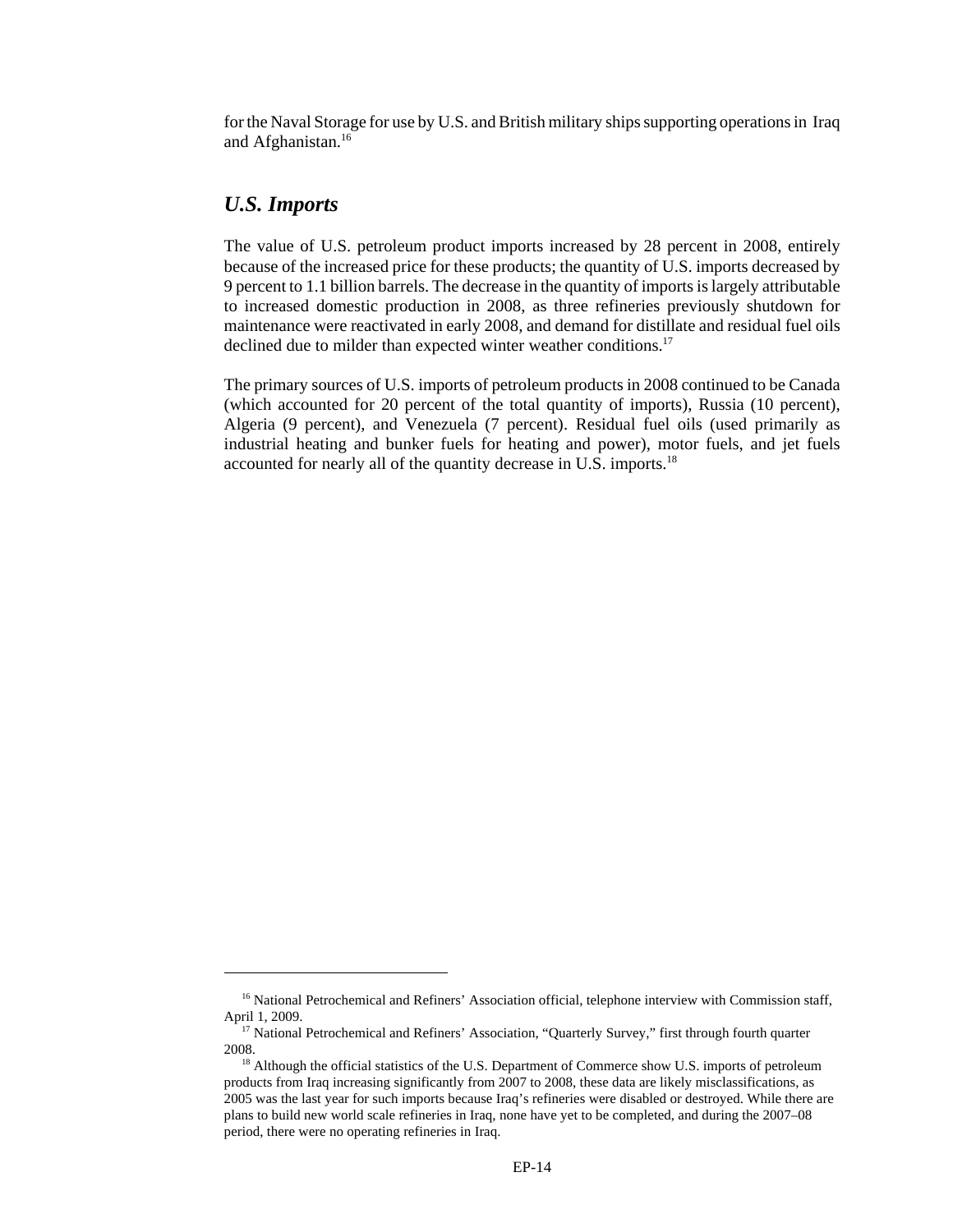for the Naval Storage for use by U.S. and British military ships supporting operations in Iraq and Afghanistan.<sup>16</sup>

#### *U.S. Imports*

The value of U.S. petroleum product imports increased by 28 percent in 2008, entirely because of the increased price for these products; the quantity of U.S. imports decreased by 9 percent to 1.1 billion barrels. The decrease in the quantity of imports is largely attributable to increased domestic production in 2008, as three refineries previously shutdown for maintenance were reactivated in early 2008, and demand for distillate and residual fuel oils declined due to milder than expected winter weather conditions.<sup>17</sup>

The primary sources of U.S. imports of petroleum products in 2008 continued to be Canada (which accounted for 20 percent of the total quantity of imports), Russia (10 percent), Algeria (9 percent), and Venezuela (7 percent). Residual fuel oils (used primarily as industrial heating and bunker fuels for heating and power), motor fuels, and jet fuels accounted for nearly all of the quantity decrease in U.S. imports.18

<sup>&</sup>lt;sup>16</sup> National Petrochemical and Refiners' Association official, telephone interview with Commission staff, April 1, 2009.

<sup>&</sup>lt;sup>17</sup> National Petrochemical and Refiners' Association, "Quarterly Survey," first through fourth quarter 2008.

<sup>&</sup>lt;sup>18</sup> Although the official statistics of the U.S. Department of Commerce show U.S. imports of petroleum products from Iraq increasing significantly from 2007 to 2008, these data are likely misclassifications, as 2005 was the last year for such imports because Iraq's refineries were disabled or destroyed. While there are plans to build new world scale refineries in Iraq, none have yet to be completed, and during the 2007–08 period, there were no operating refineries in Iraq.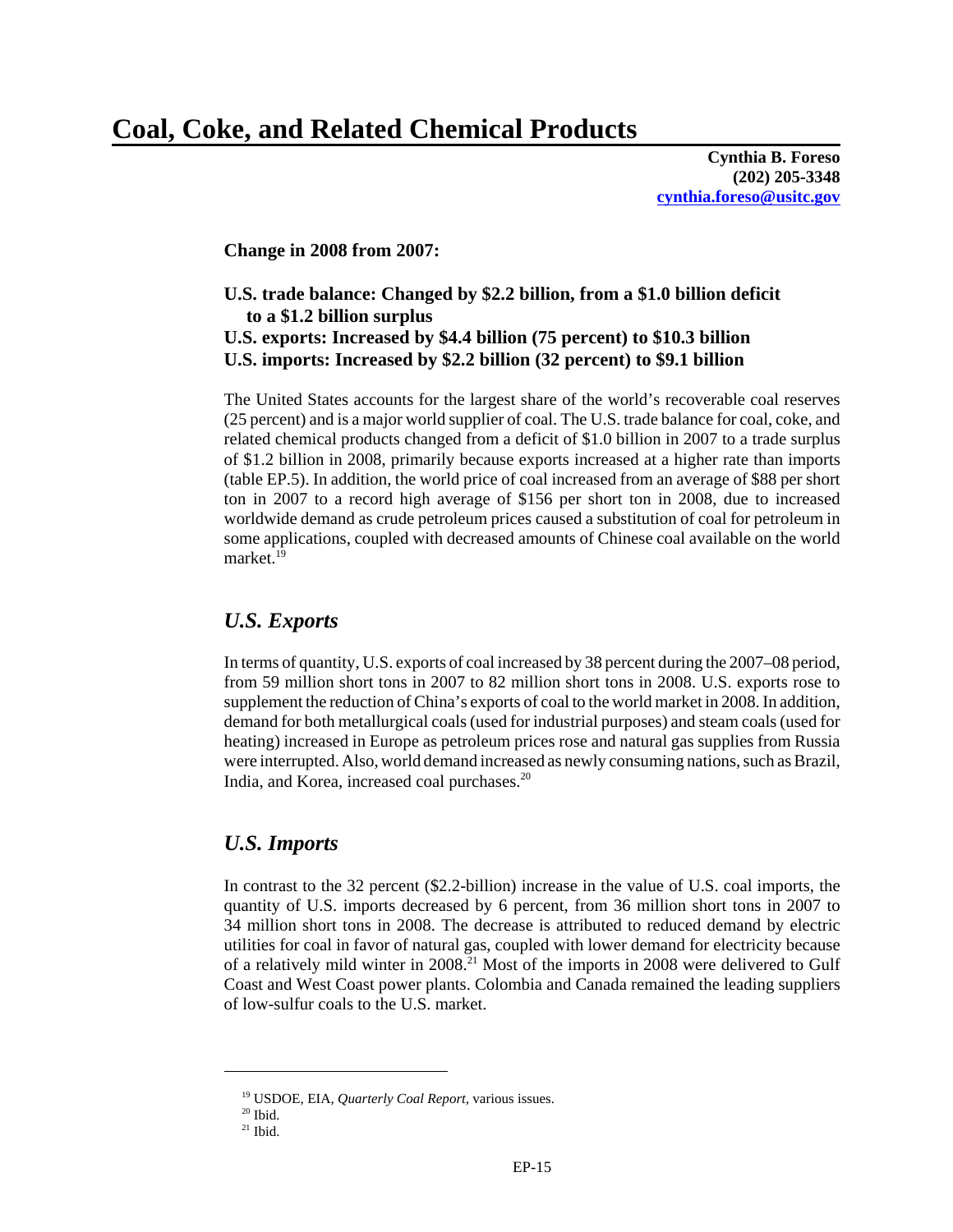# **Coal, Coke, and Related Chemical Products**

**Cynthia B. Foreso (202) 205-3348 cynthia.foreso@usitc.gov**

**Change in 2008 from 2007:**

## **U.S. trade balance: Changed by \$2.2 billion, from a \$1.0 billion deficit to a \$1.2 billion surplus U.S. exports: Increased by \$4.4 billion (75 percent) to \$10.3 billion U.S. imports: Increased by \$2.2 billion (32 percent) to \$9.1 billion**

The United States accounts for the largest share of the world's recoverable coal reserves (25 percent) and is a major world supplier of coal. The U.S. trade balance for coal, coke, and related chemical products changed from a deficit of \$1.0 billion in 2007 to a trade surplus of \$1.2 billion in 2008, primarily because exports increased at a higher rate than imports (table EP.5). In addition, the world price of coal increased from an average of \$88 per short ton in 2007 to a record high average of \$156 per short ton in 2008, due to increased worldwide demand as crude petroleum prices caused a substitution of coal for petroleum in some applications, coupled with decreased amounts of Chinese coal available on the world market.<sup>19</sup>

#### *U.S. Exports*

In terms of quantity, U.S. exports of coal increased by 38 percent during the 2007–08 period, from 59 million short tons in 2007 to 82 million short tons in 2008. U.S. exports rose to supplement the reduction of China's exports of coal to the world market in 2008. In addition, demand for both metallurgical coals (used for industrial purposes) and steam coals (used for heating) increased in Europe as petroleum prices rose and natural gas supplies from Russia were interrupted. Also, world demand increased as newly consuming nations, such as Brazil, India, and Korea, increased coal purchases.20

#### *U.S. Imports*

In contrast to the 32 percent (\$2.2-billion) increase in the value of U.S. coal imports, the quantity of U.S. imports decreased by 6 percent, from 36 million short tons in 2007 to 34 million short tons in 2008. The decrease is attributed to reduced demand by electric utilities for coal in favor of natural gas, coupled with lower demand for electricity because of a relatively mild winter in 2008.21 Most of the imports in 2008 were delivered to Gulf Coast and West Coast power plants. Colombia and Canada remained the leading suppliers of low-sulfur coals to the U.S. market.

 <sup>19</sup> USDOE, EIA*, Quarterly Coal Report,* various issues.

 $20$  Ibid.

 $21$  Ibid.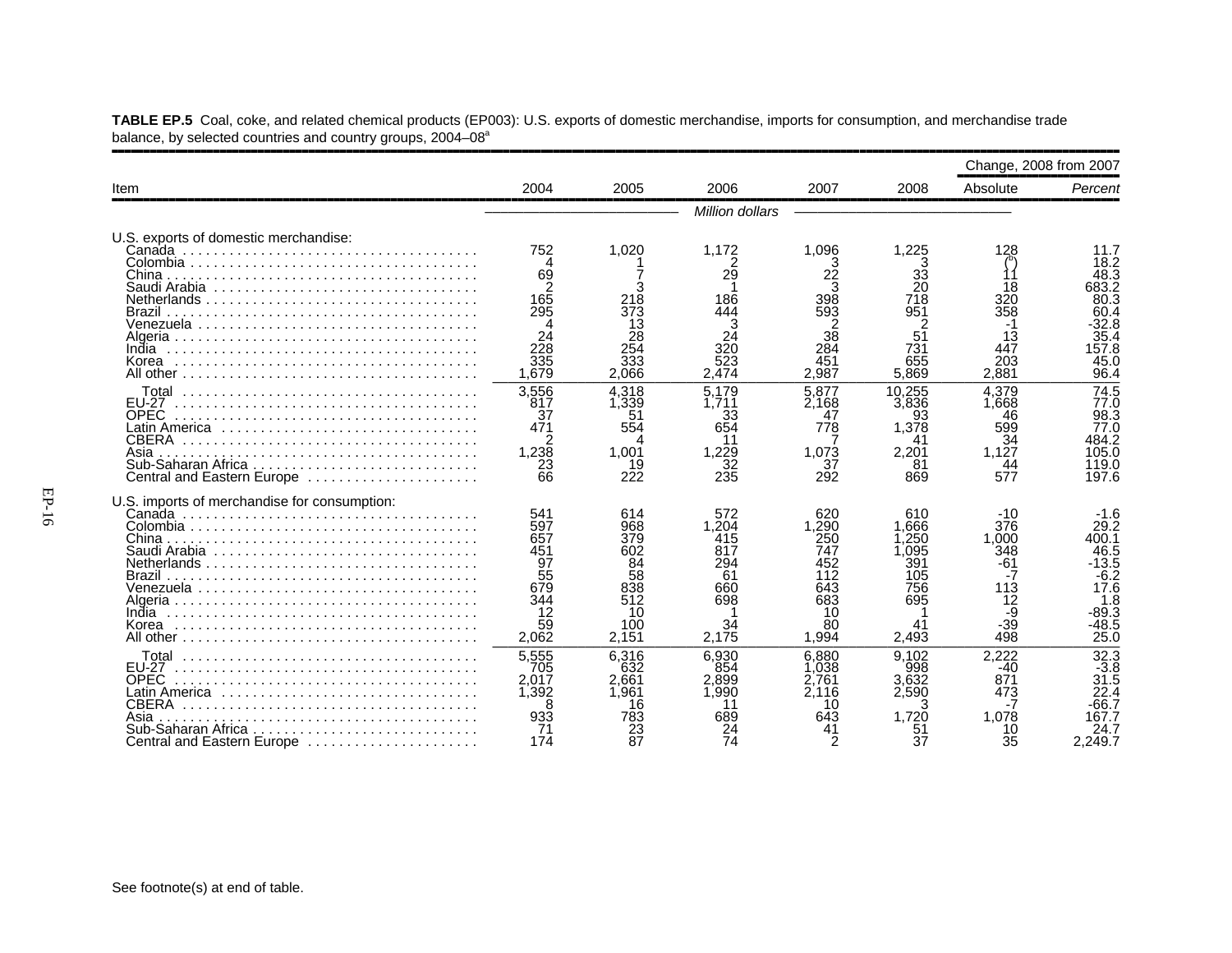|                                                                                                                         |                                                                         |                                                                          |                                                                      |                                                                             |                                                                         | Change, 2008 from 2007                                                     |                                                                                                 |
|-------------------------------------------------------------------------------------------------------------------------|-------------------------------------------------------------------------|--------------------------------------------------------------------------|----------------------------------------------------------------------|-----------------------------------------------------------------------------|-------------------------------------------------------------------------|----------------------------------------------------------------------------|-------------------------------------------------------------------------------------------------|
| Item                                                                                                                    | 2004                                                                    | 2005                                                                     | 2006                                                                 | 2007                                                                        | 2008                                                                    | Absolute                                                                   | Percent                                                                                         |
|                                                                                                                         |                                                                         |                                                                          | Million dollars                                                      |                                                                             |                                                                         |                                                                            |                                                                                                 |
| U.S. exports of domestic merchandise:                                                                                   | 752                                                                     | 1,020                                                                    | 1,172                                                                | 1,096                                                                       | 225. ا                                                                  | 128                                                                        | 11.7                                                                                            |
| China<br>Brazil<br>Venezuela                                                                                            | 69<br>165<br>295<br>24<br>228                                           | 218<br>373<br>13<br>28                                                   | 29<br>186<br>444                                                     | 3<br>22<br>3<br>398<br>593<br>38                                            | 33<br>20<br>718<br>951<br>51                                            | 18<br>320<br>358<br>13                                                     | 18.2<br>48.3<br>683.2<br>80.3<br>60.4<br>$-32.8$<br>35.4                                        |
| India<br>Korea                                                                                                          | 335<br>1.679                                                            | 254<br>333<br>2.066                                                      | 320<br>523<br>2.474                                                  | 284<br>451<br>2.987                                                         | 731<br>655<br>5.869                                                     | 447<br>203<br>2.881                                                        | 157.8<br>45.0<br>96.4                                                                           |
| Total<br>EU-27<br><b>OPEC</b><br>Latin America ,,,,,,,,,,,,,,,,,,<br><b>CBERA</b><br>Asia<br>Central and Eastern Europe | 3,556<br>817<br>37<br>471<br>1,238<br>23<br>66                          | 4.318<br>1,339<br>51<br>554<br>Δ<br>1.001<br>19<br>222                   | 5.179<br>.711<br>33<br>654<br>11<br>.229<br>32<br>235                | 5.877<br>2.168<br>47<br>778<br>1,073<br>37<br>292                           | 10.255<br>3,836<br>93<br>1,378<br>41<br>2,201<br>81<br>869              | 4,379<br>1.668<br>46<br>599<br>$\overline{34}$<br>1,127<br>44<br>577       | 74.5<br>77.0<br>98.3<br>77.0<br>484.2<br>105.0<br>119.0<br>197.6                                |
| U.S. imports of merchandise for consumption:                                                                            |                                                                         |                                                                          |                                                                      |                                                                             |                                                                         |                                                                            |                                                                                                 |
| Chinal<br>Brazil<br>India<br>Korea                                                                                      | 541<br>597<br>657<br>451<br>97<br>55<br>679<br>344<br>12<br>59<br>2,062 | 614<br>968<br>379<br>602<br>84<br>58<br>838<br>512<br>10<br>100<br>2,151 | 572<br>1.204<br>415<br>817<br>294<br>61<br>660<br>698<br>34<br>2,175 | 620<br>1.290<br>250<br>747<br>452<br>112<br>643<br>683<br>10<br>80<br>1.994 | 610<br>1.666<br>.250<br>.095<br>391<br>105<br>756<br>695<br>41<br>2.493 | -10<br>376<br>1.000<br>348<br>$-61$<br>-7<br>113<br>12<br>-9<br>-39<br>498 | -1.6<br>29.2<br>400.1<br>46.5<br>$-13.5$<br>$-6.2$<br>17.6<br>1.8<br>$-89.3$<br>$-48.5$<br>25.0 |
| Total<br><b>EU-27</b><br><b>OPEC</b><br>CBERA<br>Asia<br>Sub-Saharan Africa<br>Central and Eastern Europe               | 5,555<br>705<br>2,017<br>1.392<br>933<br>71<br>174                      | 6,316<br>632<br>2.661<br>1.961<br>16<br>783<br>23<br>87                  | 6.930<br>854<br>2.899<br>1.990<br>689<br>74                          | 6.880<br>.038<br>.761<br>2.116<br>10<br>643<br>2                            | 9.102<br>998<br>3.632<br>2.590<br>1.720<br>51<br>37                     | 2,222<br>$-40$<br>871<br>473<br>1.078<br>10<br>35                          | 32.3<br>$-3.8$<br>31.5<br>22.4<br>$-66.7$<br>167.7<br>24.7<br>2.249.7                           |

**TABLE EP.5** Coal, coke, and related chemical products (EP003): U.S. exports of domestic merchandise, imports for consumption, and merchandise trade balance, by selected countries and country groups, 2004–08<sup>a</sup>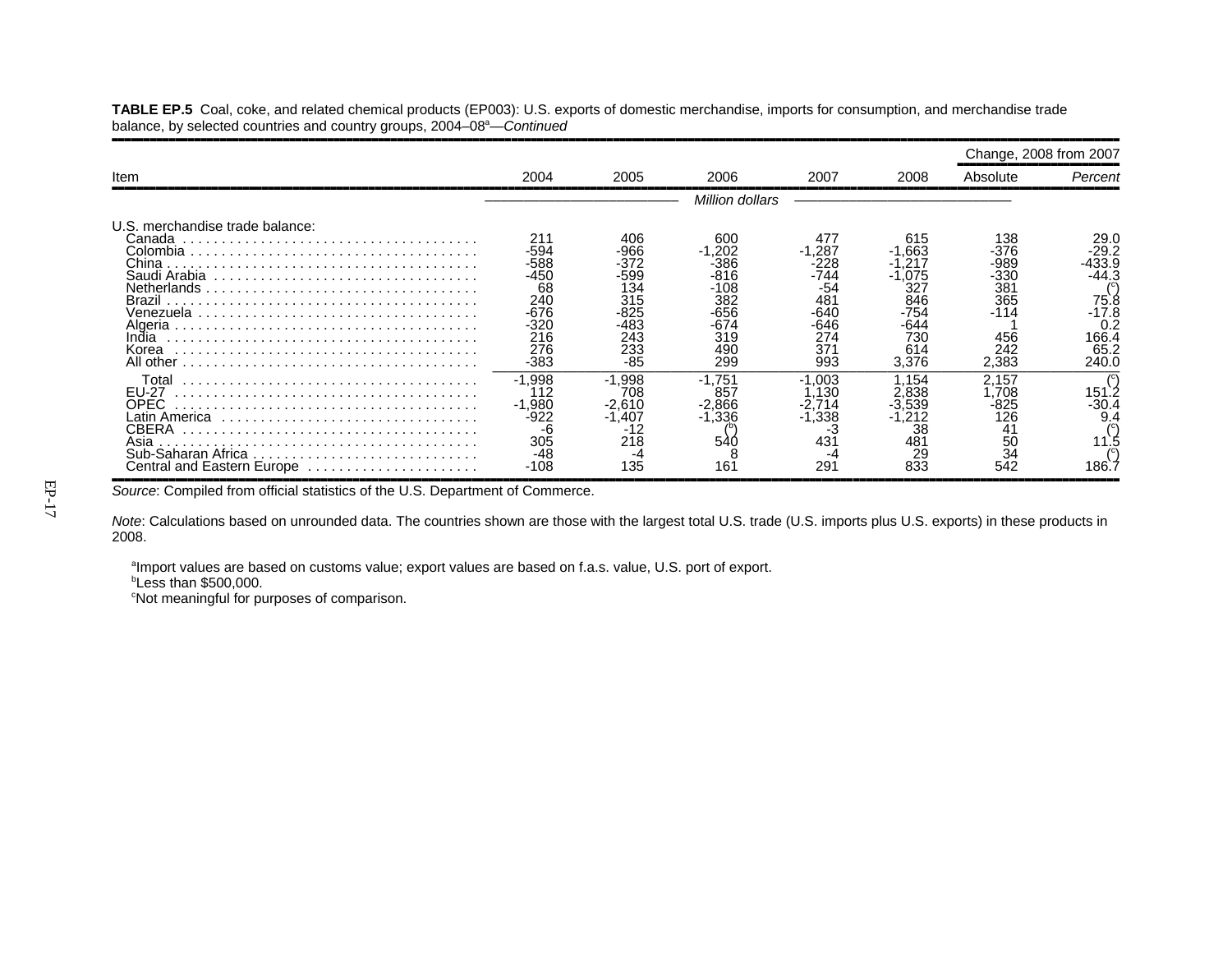**TABLE EP.5** Coal, coke, and related chemical products (EP003): U.S. exports of domestic merchandise, imports for consumption, and merchandise trade balance, by selected countries and country groups, 2004–08<sup>a</sup>—Continued

,,,,,,,,,,,,,,,,,,,,,,,,,,,,,,,,,,,,,,,,,,,,,,,,,,,,,,,,,,,,,,,,,,,,,,,,,,,,,,,,,,,,,,,,,,,,,,,,,,,,,,,,,,,,,,,,,,,,,,,,,,,,,,,,,,,,,,,,,,,,,,,,,,,,,,,,,,,,,,,,

|                                                                                                                          |                                                                                    |                                                                               |                                                                                   |                                                                              |                                                                          | Change, 2008 from 2007                                                     |                                                                                   |
|--------------------------------------------------------------------------------------------------------------------------|------------------------------------------------------------------------------------|-------------------------------------------------------------------------------|-----------------------------------------------------------------------------------|------------------------------------------------------------------------------|--------------------------------------------------------------------------|----------------------------------------------------------------------------|-----------------------------------------------------------------------------------|
| Item                                                                                                                     | 2004                                                                               | 2005                                                                          | 2006                                                                              | 2007                                                                         | 2008                                                                     | Absolute                                                                   | Percent                                                                           |
|                                                                                                                          |                                                                                    |                                                                               | Million dollars                                                                   |                                                                              |                                                                          |                                                                            |                                                                                   |
| U.S. merchandise trade balance:<br>Canada<br>China<br>Saudi Arabia<br>Brazil<br>Venezuela<br>India<br>Korea<br>All other | 21'<br>-594<br>$-588$<br>-450<br>68<br>240<br>-676<br>-320<br>216<br>276<br>$-383$ | 406<br>966<br>-372<br>599-<br>134<br>315<br>-825<br>·483<br>243<br>233<br>-85 | 60C<br>.202<br>$-386$<br>-816<br>-108<br>382<br>-656<br>-674<br>319<br>490<br>299 | 477<br>.287<br>228<br>-744<br>-54<br>481<br>-640<br>646<br>274<br>371<br>993 | 615<br>.663<br>.075<br>327<br>846<br>-754<br>-644<br>730<br>614<br>3.376 | 138<br>-376<br>-989<br>$-330$<br>381<br>365<br>-114<br>456<br>242<br>2.383 | 29.0<br>-29.2<br>133.9<br>-44.3<br>75.8<br>-17.8<br>0.2<br>166.4<br>65.2<br>240.0 |
| Total<br><b>EU-27</b><br>OPEC.<br>CBERA<br>Asia<br>Sub-Saharan Africa<br>Central and Eastern Europe                      | $-1.998$<br>112<br>$-1,980$<br>-922<br>-6<br>305<br>-48<br>-108                    | $-1.998$<br>708<br>$-2,610$<br>$-1,407$<br>-12<br>218<br>135                  | -1.751<br>857<br>$-2,866$<br>$-1.336$<br>540<br>16'                               | $-1.003$<br>.130<br>.714<br>-1,338<br>- 3<br>431<br>-4<br>291                | .154<br>.838<br>3.539<br>38<br>481<br>29<br>833                          | 2.157<br>.708<br>-825<br>126<br>41<br>50<br>$\overline{34}$<br>542         | 151.<br>$-30.4$<br>9.4<br>186.                                                    |

*Source*: Compiled from official statistics of the U.S. Department of Commerce.

*Note*: Calculations based on unrounded data. The countries shown are those with the largest total U.S. trade (U.S. imports plus U.S. exports) in these products in 2008.

aImport values are based on customs value; export values are based on f.a.s. value, U.S. port of export.

 $b$ Less than \$500,000.

<sup>c</sup>Not meaningful for purposes of comparison.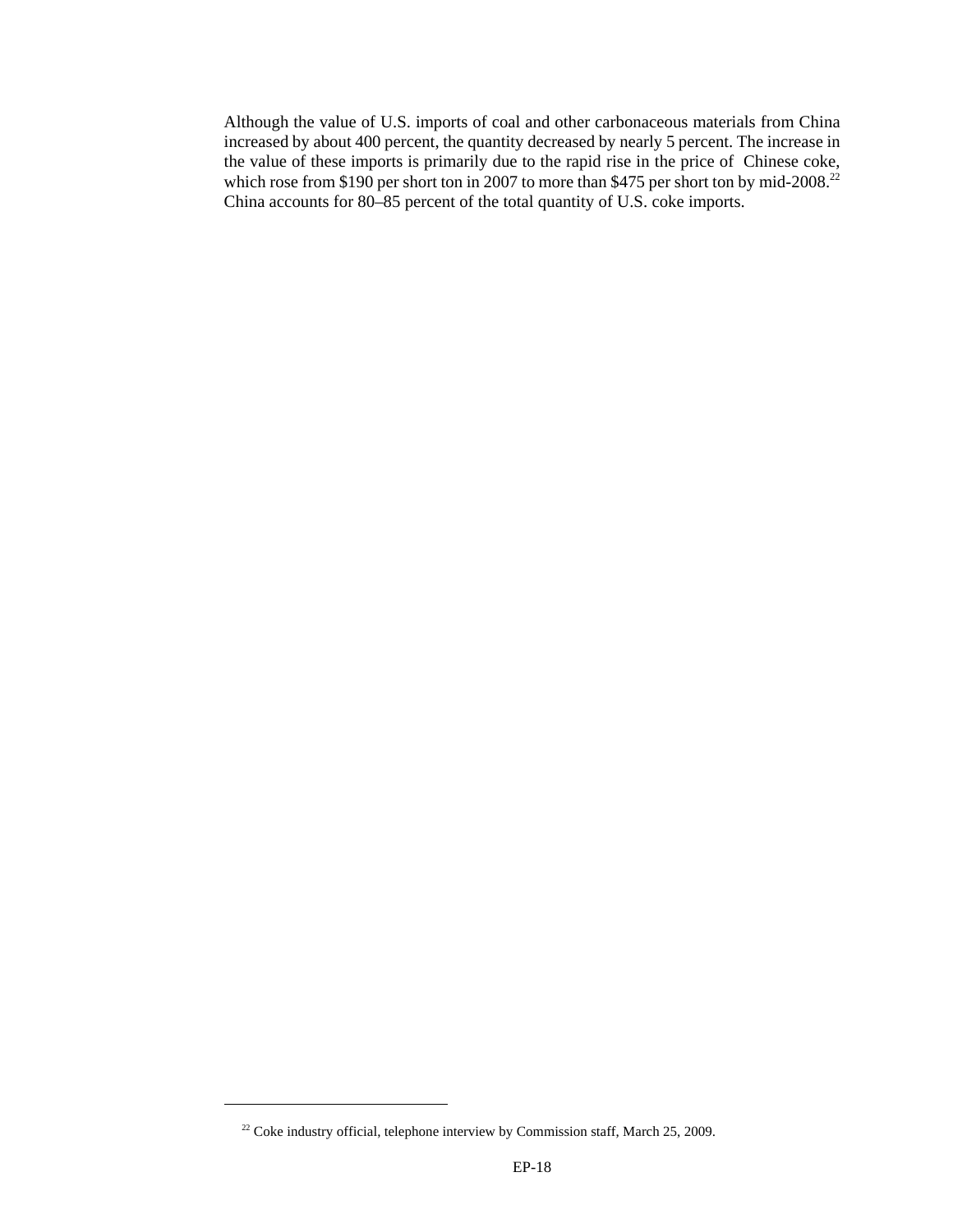Although the value of U.S. imports of coal and other carbonaceous materials from China increased by about 400 percent, the quantity decreased by nearly 5 percent. The increase in the value of these imports is primarily due to the rapid rise in the price of Chinese coke, which rose from \$190 per short ton in 2007 to more than \$475 per short ton by mid-2008.<sup>22</sup> China accounts for 80–85 percent of the total quantity of U.S. coke imports.

<sup>&</sup>lt;sup>22</sup> Coke industry official, telephone interview by Commission staff, March 25, 2009.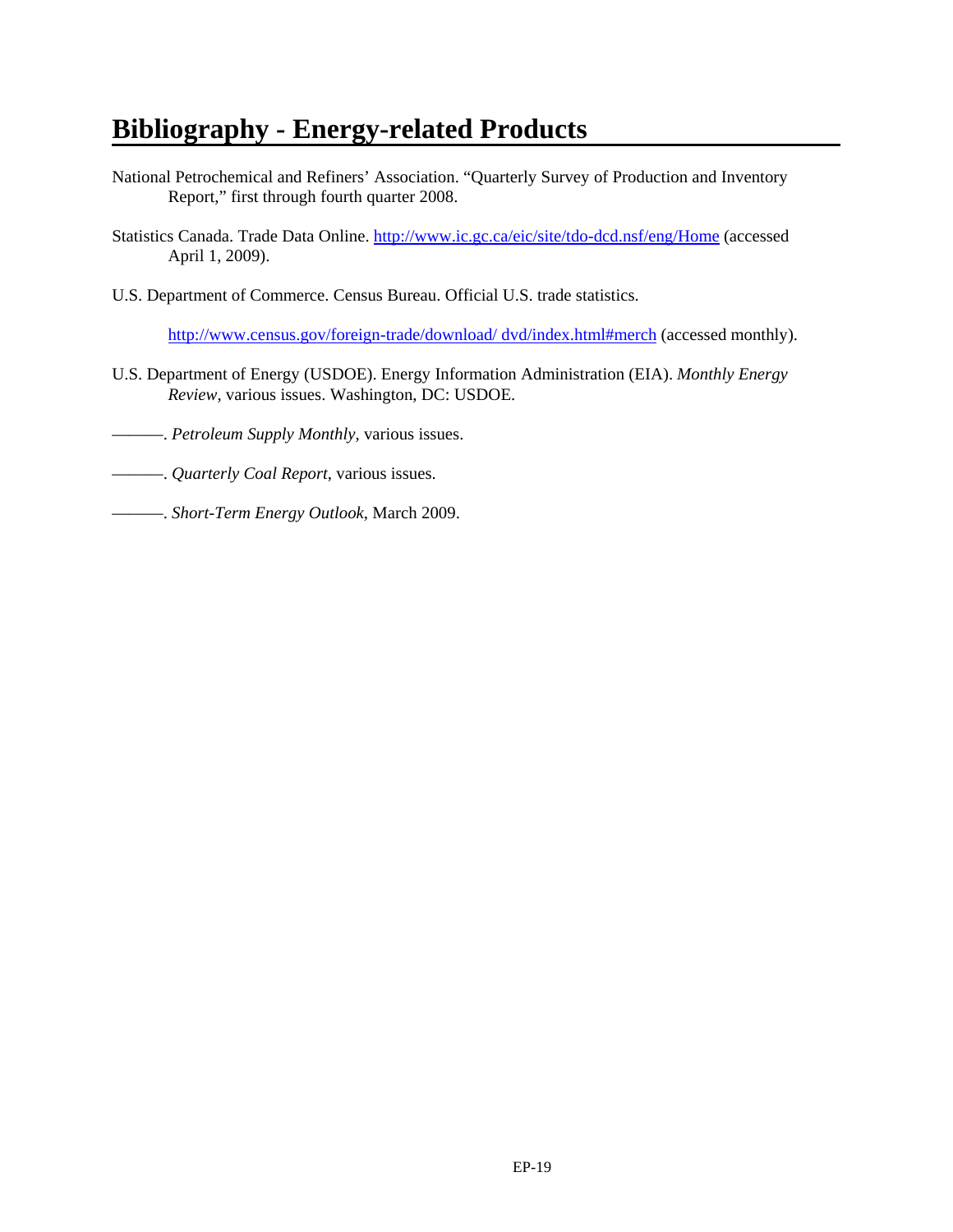# **Bibliography - Energy-related Products**

- National Petrochemical and Refiners' Association. "Quarterly Survey of Production and Inventory Report," first through fourth quarter 2008.
- Statistics Canada. Trade Data Online. http://www.ic.gc.ca/eic/site/tdo-dcd.nsf/eng/Home (accessed April 1, 2009).
- U.S. Department of Commerce. Census Bureau. Official U.S. trade statistics.

http://www.census.gov/foreign-trade/download/ dvd/index.html#merch (accessed monthly).

- U.S. Department of Energy (USDOE). Energy Information Administration (EIA). *Monthly Energy Review*, various issues. Washington, DC: USDOE.
- ———. *Petroleum Supply Monthly*, various issues.
- ———. *Quarterly Coal Report*, various issues.
- ———. *Short-Term Energy Outlook*, March 2009.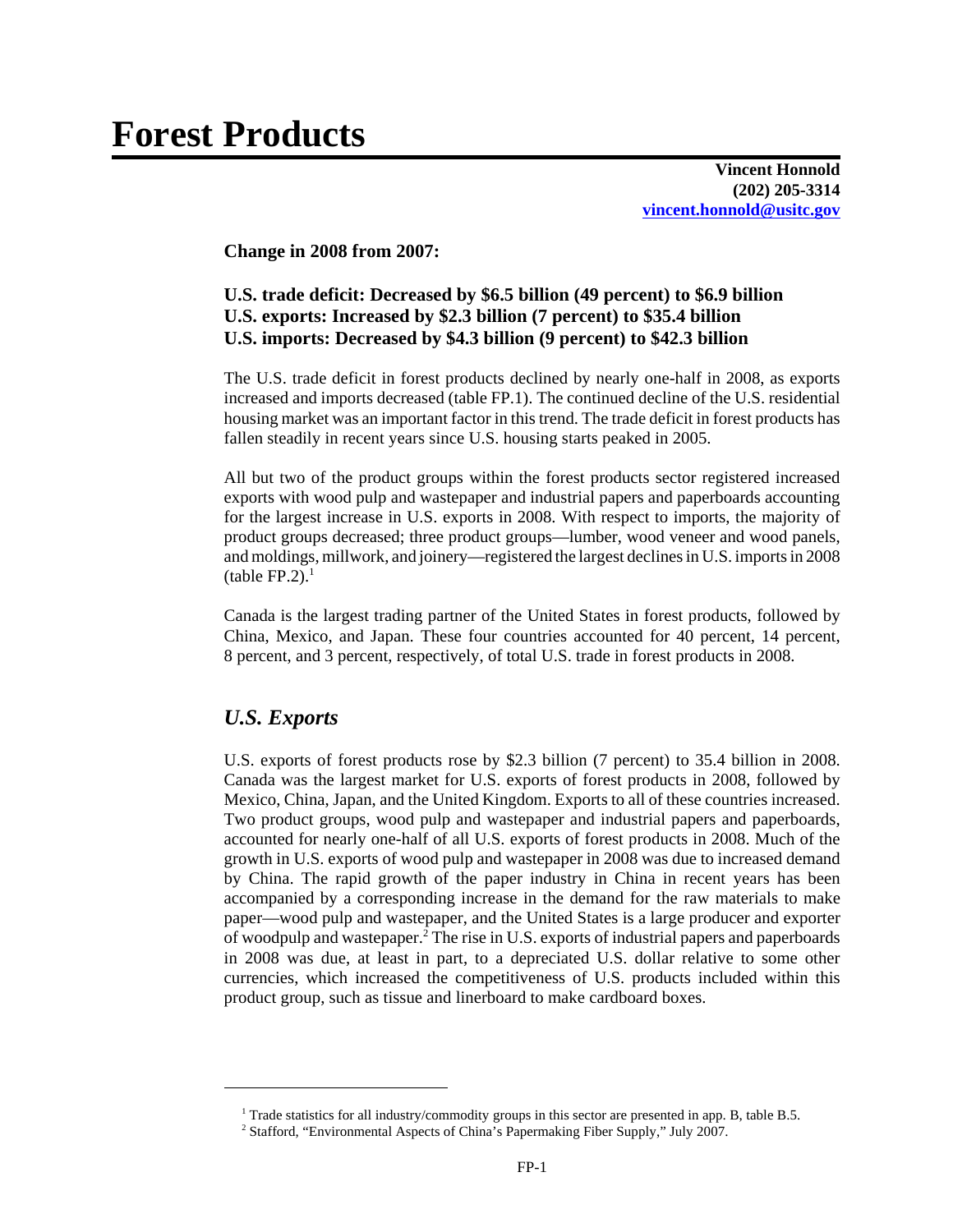**Vincent Honnold (202) 205-3314 vincent.honnold@usitc.gov**

**Change in 2008 from 2007:**

#### **U.S. trade deficit: Decreased by \$6.5 billion (49 percent) to \$6.9 billion U.S. exports: Increased by \$2.3 billion (7 percent) to \$35.4 billion U.S. imports: Decreased by \$4.3 billion (9 percent) to \$42.3 billion**

The U.S. trade deficit in forest products declined by nearly one-half in 2008, as exports increased and imports decreased (table FP.1). The continued decline of the U.S. residential housing market was an important factor in this trend. The trade deficit in forest products has fallen steadily in recent years since U.S. housing starts peaked in 2005.

All but two of the product groups within the forest products sector registered increased exports with wood pulp and wastepaper and industrial papers and paperboards accounting for the largest increase in U.S. exports in 2008. With respect to imports, the majority of product groups decreased; three product groups—lumber, wood veneer and wood panels, and moldings, millwork, and joinery—registered the largest declines in U.S. imports in 2008  $(table FP.2).<sup>1</sup>$ 

Canada is the largest trading partner of the United States in forest products, followed by China, Mexico, and Japan. These four countries accounted for 40 percent, 14 percent, 8 percent, and 3 percent, respectively, of total U.S. trade in forest products in 2008.

## *U.S. Exports*

U.S. exports of forest products rose by \$2.3 billion (7 percent) to 35.4 billion in 2008. Canada was the largest market for U.S. exports of forest products in 2008, followed by Mexico, China, Japan, and the United Kingdom. Exports to all of these countries increased. Two product groups, wood pulp and wastepaper and industrial papers and paperboards, accounted for nearly one-half of all U.S. exports of forest products in 2008. Much of the growth in U.S. exports of wood pulp and wastepaper in 2008 was due to increased demand by China. The rapid growth of the paper industry in China in recent years has been accompanied by a corresponding increase in the demand for the raw materials to make paper—wood pulp and wastepaper, and the United States is a large producer and exporter of woodpulp and wastepaper.<sup>2</sup> The rise in U.S. exports of industrial papers and paperboards in 2008 was due, at least in part, to a depreciated U.S. dollar relative to some other currencies, which increased the competitiveness of U.S. products included within this product group, such as tissue and linerboard to make cardboard boxes.

<sup>&</sup>lt;sup>1</sup> Trade statistics for all industry/commodity groups in this sector are presented in app. B, table B.5.

<sup>&</sup>lt;sup>2</sup> Stafford, "Environmental Aspects of China's Papermaking Fiber Supply," July 2007.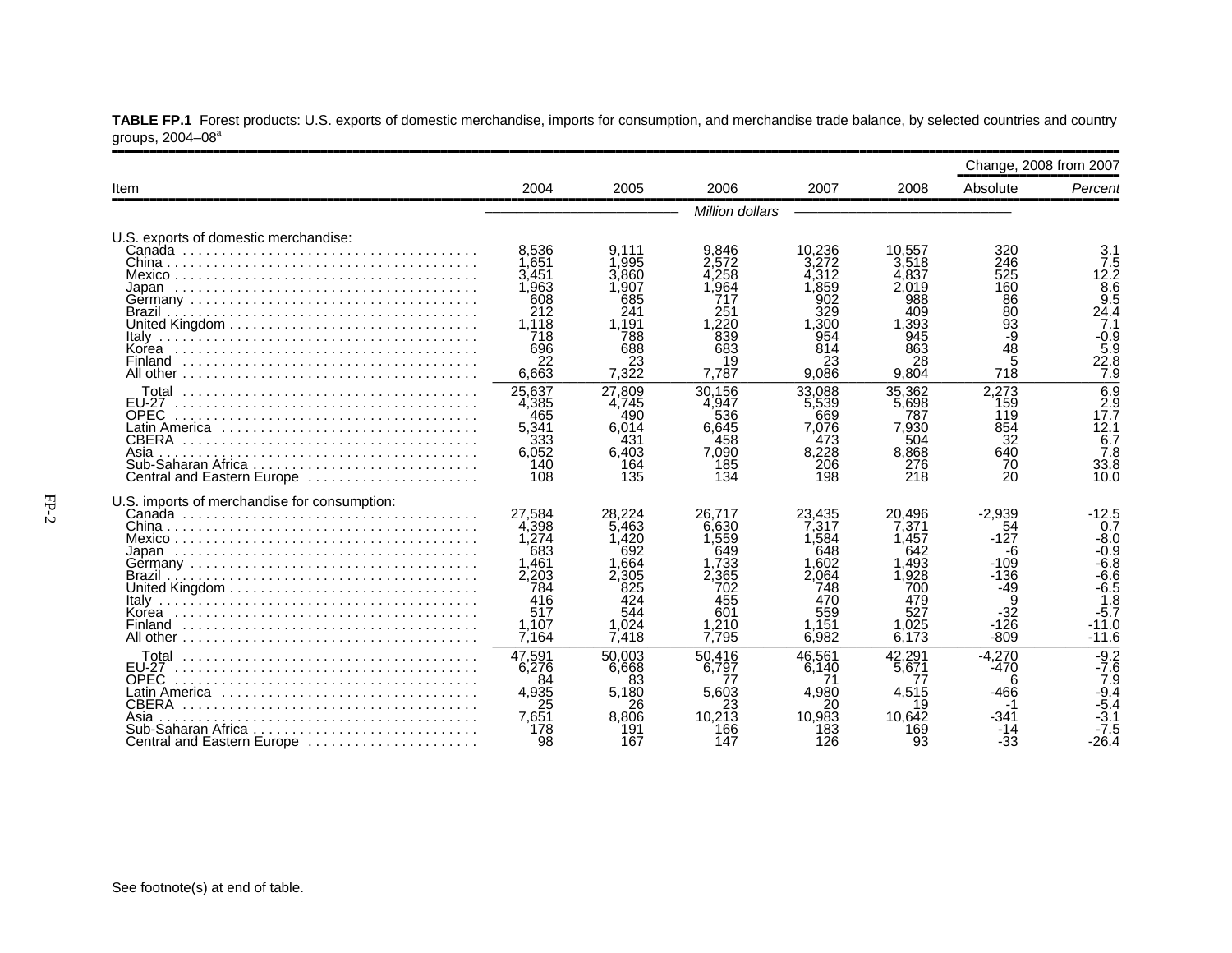|                                                                                                  |                                                                                          |                                                                                          |                                                                                          |                                                                                          |                                                                                         | Change, 2008 from 2007                                                                      |                                                                                                               |
|--------------------------------------------------------------------------------------------------|------------------------------------------------------------------------------------------|------------------------------------------------------------------------------------------|------------------------------------------------------------------------------------------|------------------------------------------------------------------------------------------|-----------------------------------------------------------------------------------------|---------------------------------------------------------------------------------------------|---------------------------------------------------------------------------------------------------------------|
| Item                                                                                             | 2004                                                                                     | 2005                                                                                     | 2006                                                                                     | 2007                                                                                     | 2008                                                                                    | Absolute                                                                                    | Percent                                                                                                       |
|                                                                                                  |                                                                                          |                                                                                          | <b>Million dollars</b>                                                                   |                                                                                          |                                                                                         |                                                                                             |                                                                                                               |
| U.S. exports of domestic merchandise:                                                            | 8.536<br>1.651<br>3,451<br>1,963<br>608<br>212<br>1.118                                  | 9.111<br>1.995<br>3.860<br>1.907<br>685<br>241<br>1.191                                  | 9.846<br>2.572<br>4.258<br>.964<br>717<br>251<br>.220                                    | 10.236<br>3.272<br>4.312<br>,859<br>902<br>329<br>1.300                                  | 10.557<br>3.518<br>4.837<br>2.019<br>988<br>409<br>1.393                                | 320<br>246<br>525<br>160<br>86<br>80                                                        | 3.1<br>7.5<br>12.2<br>$\overline{8.6}$<br>9.5<br>24.4<br>7.1                                                  |
|                                                                                                  | 718<br>696<br>22<br>6,663                                                                | 788<br>688<br>23<br>7.322                                                                | 839<br>683<br>19<br>7.787                                                                | 954<br>814<br>23<br>9.086                                                                | 945<br>863<br>28<br>9.804                                                               | $\frac{93}{9}$<br>$4\bar{8}$<br>5<br>718                                                    | $-0.9$<br>5.9<br>22.8<br>7.9                                                                                  |
| EU-27<br><b>OPEC</b><br>Latin America<br>CBERA<br>Asia<br>Central and Eastern Europe             | 25.637<br>4,385<br>465<br>5,341<br>333<br>6,052<br>140<br>108                            | 27.809<br>4,745<br>490<br>6,014<br>431<br>6,403<br>164<br>135                            | 30.156<br>4.947<br>536<br>6,645<br>458<br>7,090<br>185<br>134                            | 33.088<br>5,539<br>669<br>7.076<br>473<br>8,228<br>206<br>198                            | 35.362<br>5.698<br>787<br>7,930<br>504<br>8,868<br>276<br>218                           | 2,273<br>159<br>119<br>854<br>32<br>640<br>70<br>20                                         | 6.9<br>2.9<br>17.7<br>12.1<br>6.7<br>7.8<br>33.8<br>10.0                                                      |
| U.S. imports of merchandise for consumption:<br>Brazil<br>Korea                                  | 27.584<br>4.398<br>1.274<br>683<br>1,461<br>2,203<br>784<br>416<br>517<br>1.107<br>7,164 | 28.224<br>5.463<br>1.420<br>692<br>1.664<br>2,305<br>825<br>424<br>544<br>1.024<br>7,418 | 26.717<br>6.630<br>1.559<br>649<br>1,733<br>2.365<br>702<br>455<br>601<br>1.210<br>7.795 | 23.435<br>7.317<br>1.584<br>648<br>1.602<br>2.064<br>748<br>470<br>559<br>1.151<br>6.982 | 20.496<br>7.371<br>1.457<br>642<br>1.493<br>.928<br>700<br>479<br>527<br>1.025<br>6.173 | $-2.939$<br>54<br>$-127$<br>-6<br>$-109$<br>$-136$<br>$-49$<br>9<br>-32<br>$-126$<br>$-809$ | $-12.5$<br>0.7<br>$-8.0$<br>$-0.9$<br>$-6.\bar{8}$<br>$-6.6$<br>$-6.5$<br>1.8<br>$-5.7$<br>$-11.0$<br>$-11.6$ |
| <b>EU-27</b><br><b>OPEC</b><br>CBERA<br>Asia<br>Sub-Saharan Africa<br>Central and Eastern Europe | 47,591<br>6.276<br>84<br>4,935<br>25<br>7.651<br>178<br>98                               | 50.003<br>6.668<br>83<br>5.180<br>26<br>8.806<br>191<br>167                              | 50.416<br>6.797<br>77<br>5,603<br>10.213<br>166<br>147                                   | 46.561<br>6.140<br>4,980<br>20<br>10,983<br>183<br>126                                   | 42.291<br>5.671<br>77<br>4,515<br>19<br>10.642<br>169<br>93                             | $-4.270$<br>$-470$<br>6<br>$-466$<br>$-341$<br>-14<br>-33                                   | $-9.2$<br>$-7.6$<br>7.9<br>$-9.4$<br>$-5.4$<br>$-3.1$<br>$-7.5$<br>$-26.4$                                    |

**TABLE FP.1** Forest products: U.S. exports of domestic merchandise, imports for consumption, and merchandise trade balance, by selected countries and country groups, 2004–08ª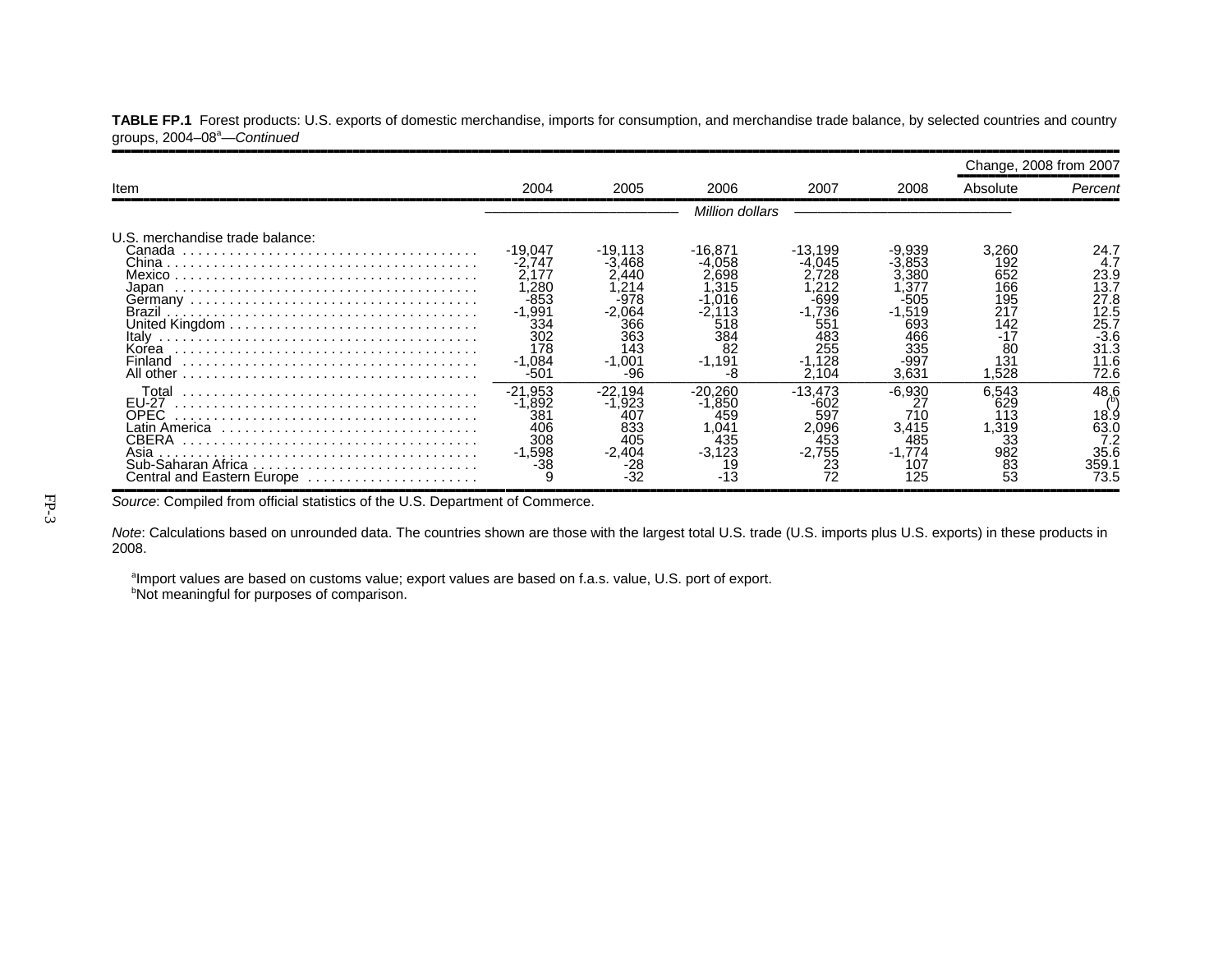|                                                                                              |                                                                                               |                                                                                                |                                                                      |                                                                                                 |                                                                                         |                                                                             | Change, 2008 from 2007                                                                |
|----------------------------------------------------------------------------------------------|-----------------------------------------------------------------------------------------------|------------------------------------------------------------------------------------------------|----------------------------------------------------------------------|-------------------------------------------------------------------------------------------------|-----------------------------------------------------------------------------------------|-----------------------------------------------------------------------------|---------------------------------------------------------------------------------------|
| Item                                                                                         | 2004                                                                                          | 2005                                                                                           | 2006                                                                 | 2007                                                                                            | 2008                                                                                    | Absolute                                                                    | Percent                                                                               |
|                                                                                              |                                                                                               |                                                                                                | Million dollars                                                      |                                                                                                 |                                                                                         |                                                                             |                                                                                       |
| U.S. merchandise trade balance:<br>Canada<br>Japan<br>Italy<br>Korea<br>Finland<br>All other | -19.047<br>-2.747<br>2.177<br>.280<br>-853<br>-1,991<br>334<br>302<br>178<br>$-1.084$<br>-501 | $-19,113$<br>-3.468<br>2,440<br>,214<br>-978<br>-2.064<br>366<br>363<br>143<br>$-1.001$<br>-96 | -16.871<br>058<br>.698<br>.315<br>518<br>384<br>82<br>$-1,191$<br>-8 | -13,199<br>$-4.045$<br>728<br>212<br>-699<br>$-1,736$<br>551<br>483<br>255<br>$-1.128$<br>2,104 | -9.939<br>.853<br>.380<br>.37<br>-505<br>$-1,519$<br>693<br>466<br>335<br>-997<br>3,631 | 3,260<br>192<br>652<br>166<br>195<br>217<br>142<br>-17<br>80<br>131<br>528. | 24.7<br>4.7<br>23.9<br>13.7<br>27.8<br>12.5<br>25.7<br>$-3.6$<br>31.3<br>11.6<br>72.6 |
| Total<br><b>EU-27</b><br>OPEC<br>CBERA<br>Asia<br>Central and Eastern Europe                 | $-21,953$<br>.892<br>38 <sup>2</sup><br>406<br>308<br>$-1,598$<br>-38                         | $-22.194$<br>-1,923<br>407<br>833<br>405<br>$-2,404$<br>-28                                    | $-20.260$<br>0.850<br>459<br>.041<br>435<br>$-3,123$                 | $-13,473$<br>-602<br>597<br>2,096<br>453<br>$-2,755$<br>23<br>72                                | $-6,930$<br>27<br>710<br>3,415<br>485<br>1.774<br>107<br>125                            | 6.543<br>629<br>113<br>1,319<br>33<br>982<br>83<br>53                       | 48.6<br>18.9<br>63.0<br>35.6<br>359.′<br>73.5                                         |

TABLE FP.1 Forest products: U.S. exports of domestic merchandise, imports for consumption, and merchandise trade balance, by selected countries and country groups, 2004–08a—*Continued*

Source: Compiled from official statistics of the U.S. Department of Commerce.

*Note*: Calculations based on unrounded data. The countries shown are those with the largest total U.S. trade (U.S. imports plus U.S. exports) in these products in 2008.

aImport values are based on customs value; export values are based on f.a.s. value, U.S. port of export. **bNot meaningful for purposes of comparison.**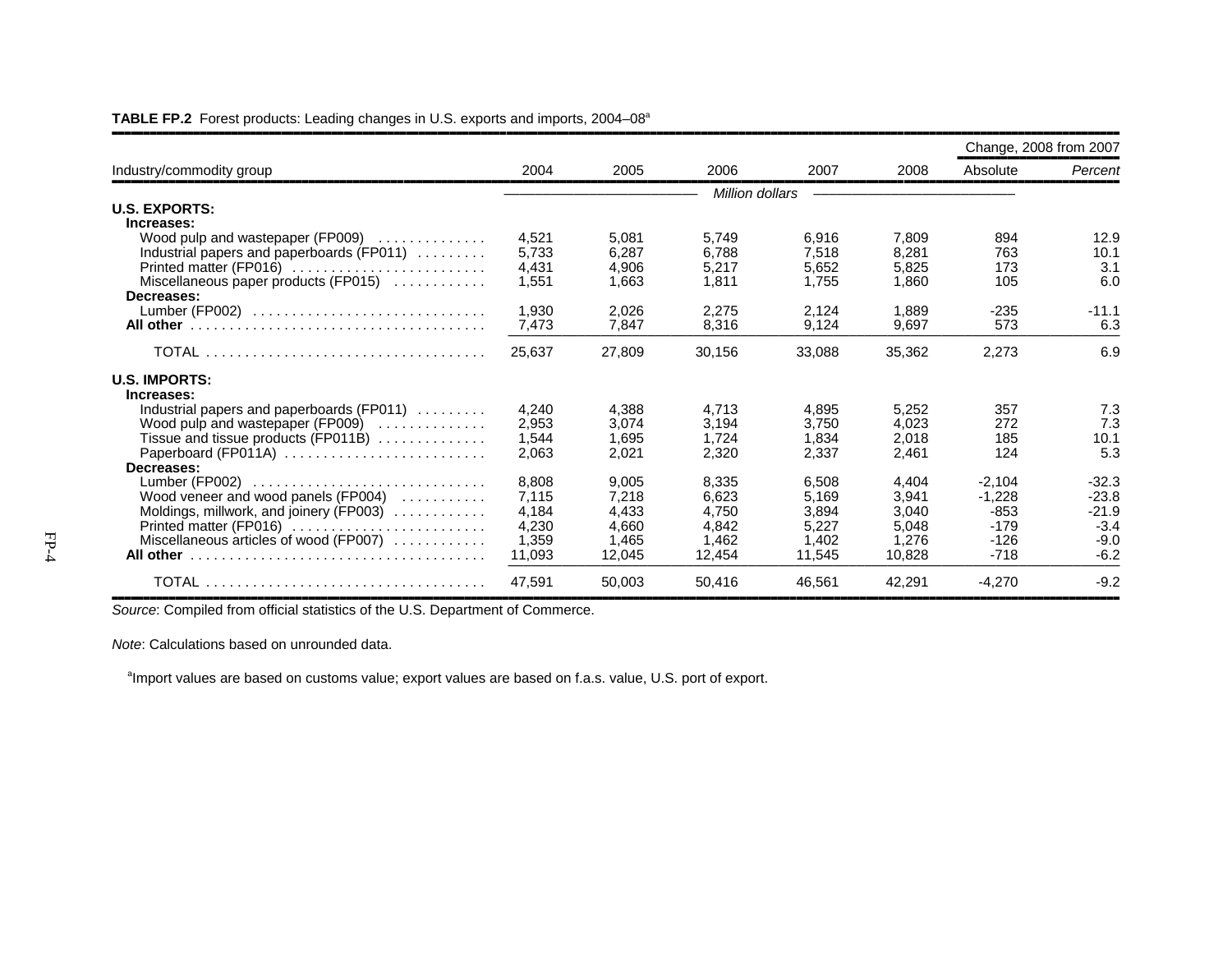|                                              |        |        |        |                 |        |          | Change, 2008 from 2007 |
|----------------------------------------------|--------|--------|--------|-----------------|--------|----------|------------------------|
| Industry/commodity group                     | 2004   | 2005   | 2006   | 2007            | 2008   | Absolute | Percent                |
|                                              |        |        |        | Million dollars |        |          |                        |
| <b>U.S. EXPORTS:</b>                         |        |        |        |                 |        |          |                        |
| Increases:                                   |        |        |        |                 |        |          |                        |
| Wood pulp and wastepaper (FP009) $\ldots$    | 4,521  | 5.081  | 5,749  | 6,916           | 7,809  | 894      | 12.9                   |
| Industrial papers and paperboards (FP011)    | 5,733  | 6.287  | 6.788  | 7,518           | 8,281  | 763      | 10.1                   |
| Printed matter (FP016)                       | 4,431  | 4.906  | 5.217  | 5,652           | 5,825  | 173      | 3.1                    |
| Miscellaneous paper products (FP015)         | 1,551  | 1,663  | 1.811  | 1.755           | 1.860  | 105      | 6.0                    |
| Decreases:                                   |        |        |        |                 |        |          |                        |
| Lumber (FP002)                               | 1,930  | 2.026  | 2,275  | 2.124           | 1.889  | $-235$   | $-11.1$                |
|                                              | 7,473  | 7.847  | 8.316  | 9.124           | 9.697  | 573      | 6.3                    |
|                                              | 25,637 | 27,809 | 30,156 | 33,088          | 35,362 | 2,273    | 6.9                    |
| <b>U.S. IMPORTS:</b>                         |        |        |        |                 |        |          |                        |
| Increases:                                   |        |        |        |                 |        |          |                        |
| Industrial papers and paperboards (FP011)    | 4.240  | 4.388  | 4.713  | 4.895           | 5,252  | 357      | 7.3                    |
| Wood pulp and wastepaper (FP009)             | 2,953  | 3.074  | 3.194  | 3.750           | 4.023  | 272      | 7.3                    |
| Tissue and tissue products (FP011B) $\ldots$ | 1,544  | 1,695  | 1,724  | 1,834           | 2,018  | 185      | 10.1                   |
| Paperboard (FP011A)                          | 2,063  | 2,021  | 2,320  | 2,337           | 2,461  | 124      | 5.3                    |
| Decreases:                                   |        |        |        |                 |        |          |                        |
|                                              | 8,808  | 9,005  | 8,335  | 6,508           | 4,404  | $-2,104$ | $-32.3$                |
| Wood veneer and wood panels (FP004)          | 7.115  | 7.218  | 6.623  | 5.169           | 3.941  | $-1.228$ | $-23.8$                |
| Moldings, millwork, and joinery (FP003)      | 4.184  | 4.433  | 4.750  | 3.894           | 3.040  | $-853$   | $-21.9$                |
| Printed matter (FP016)                       | 4,230  | 4,660  | 4,842  | 5,227           | 5,048  | $-179$   | $-3.4$                 |
| Miscellaneous articles of wood (FP007)       | 1,359  | 1.465  | 1.462  | 1.402           | 1.276  | $-126$   | $-9.0$                 |
|                                              | 11,093 | 12,045 | 12,454 | 11,545          | 10,828 | $-718$   | $-6.2$                 |
|                                              | 47,591 | 50,003 | 50,416 | 46.561          | 42,291 | $-4.270$ | $-9.2$                 |

**TABLE FP.2** Forest products: Leading changes in U.S. exports and imports, 2004–08a

*Source*: Compiled from official statistics of the U.S. Department of Commerce.

*Note*: Calculations based on unrounded data.

<sup>a</sup>Import values are based on customs value; export values are based on f.a.s. value, U.S. port of export.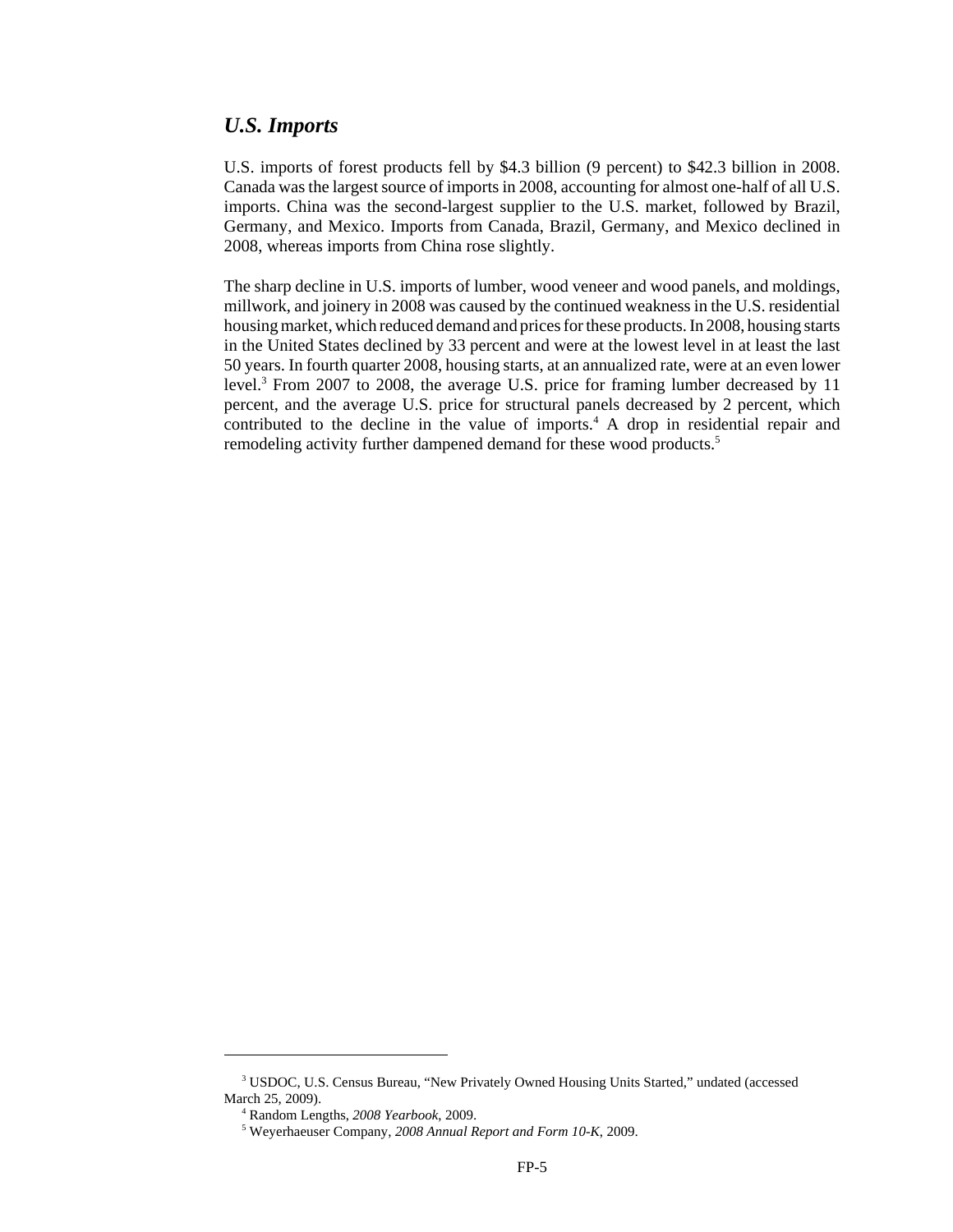#### *U.S. Imports*

U.S. imports of forest products fell by \$4.3 billion (9 percent) to \$42.3 billion in 2008. Canada was the largest source of imports in 2008, accounting for almost one-half of all U.S. imports. China was the second-largest supplier to the U.S. market, followed by Brazil, Germany, and Mexico. Imports from Canada, Brazil, Germany, and Mexico declined in 2008, whereas imports from China rose slightly.

The sharp decline in U.S. imports of lumber, wood veneer and wood panels, and moldings, millwork, and joinery in 2008 was caused by the continued weakness in the U.S. residential housing market, which reduced demand and prices for these products. In 2008, housing starts in the United States declined by 33 percent and were at the lowest level in at least the last 50 years. In fourth quarter 2008, housing starts, at an annualized rate, were at an even lower level.<sup>3</sup> From 2007 to 2008, the average U.S. price for framing lumber decreased by 11 percent, and the average U.S. price for structural panels decreased by 2 percent, which contributed to the decline in the value of imports.<sup>4</sup> A drop in residential repair and remodeling activity further dampened demand for these wood products.<sup>5</sup>

 <sup>3</sup> USDOC, U.S. Census Bureau, "New Privately Owned Housing Units Started," undated (accessed March 25, 2009).

 <sup>4</sup> Random Lengths, *2008 Yearbook*, 2009.

 <sup>5</sup> Weyerhaeuser Company, *2008 Annual Report and Form 10-K*, 2009.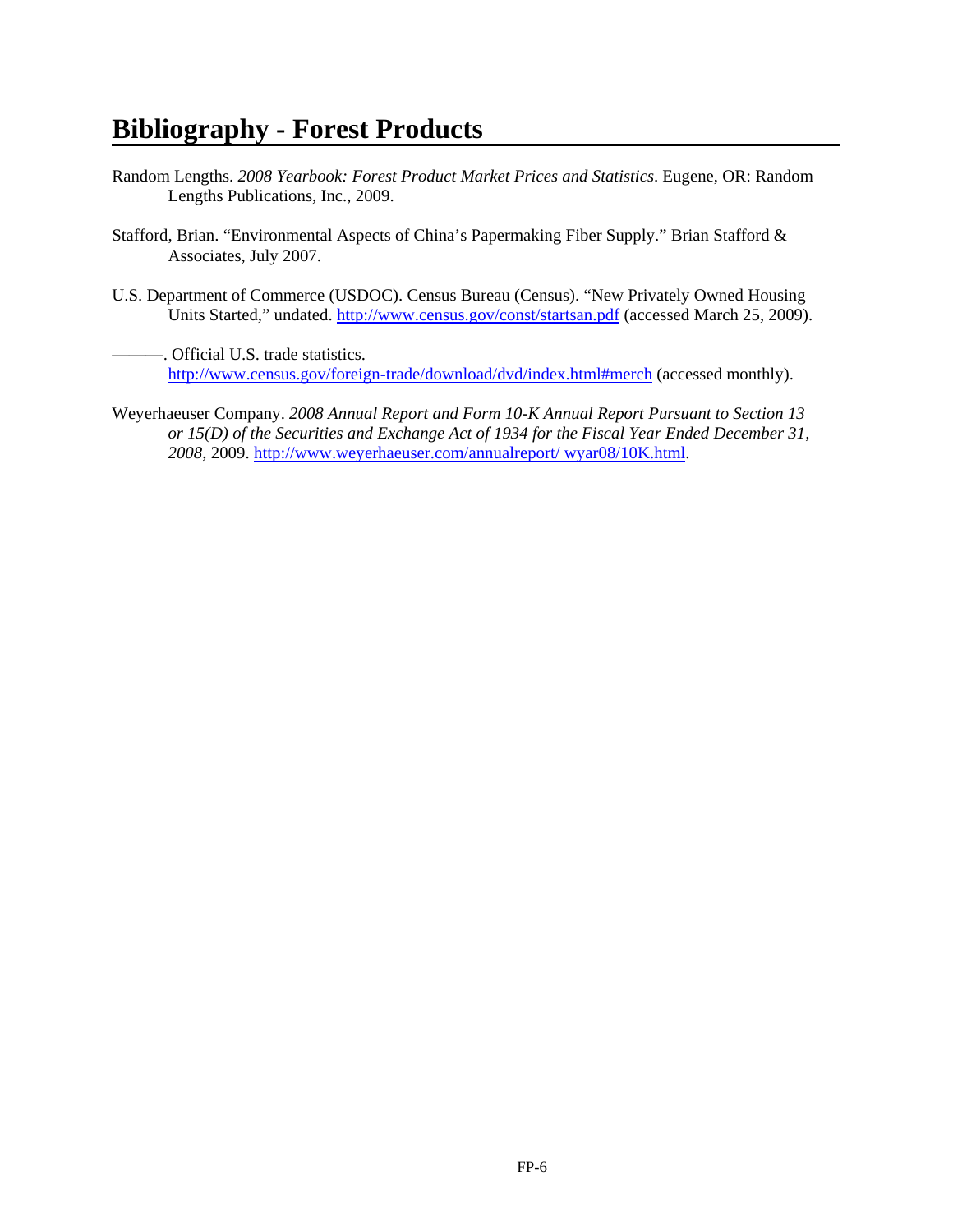# **Bibliography - Forest Products**

- Random Lengths. *2008 Yearbook: Forest Product Market Prices and Statistics*. Eugene, OR: Random Lengths Publications, Inc., 2009.
- Stafford, Brian. "Environmental Aspects of China's Papermaking Fiber Supply." Brian Stafford & Associates, July 2007.
- U.S. Department of Commerce (USDOC). Census Bureau (Census). "New Privately Owned Housing Units Started," undated. http://www.census.gov/const/startsan.pdf (accessed March 25, 2009).
- -. Official U.S. trade statistics. http://www.census.gov/foreign-trade/download/dvd/index.html#merch (accessed monthly).
- Weyerhaeuser Company. *2008 Annual Report and Form 10-K Annual Report Pursuant to Section 13 or 15(D) of the Securities and Exchange Act of 1934 for the Fiscal Year Ended December 31, 2008*, 2009. http://www.weyerhaeuser.com/annualreport/ wyar08/10K.html.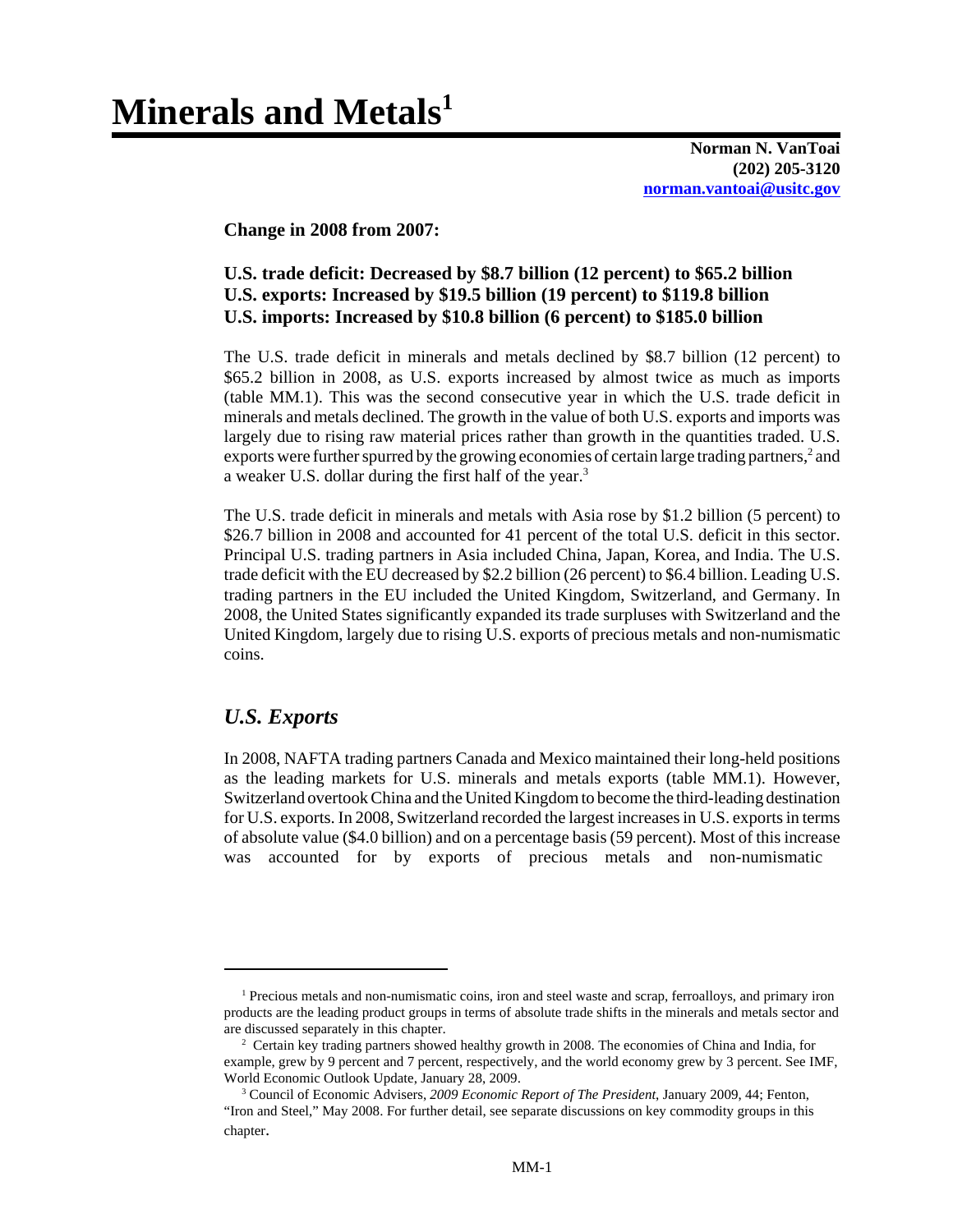# **Minerals and Metals1**

**Norman N. VanToai (202) 205-3120 norman.vantoai@usitc.gov**

**Change in 2008 from 2007:**

#### **U.S. trade deficit: Decreased by \$8.7 billion (12 percent) to \$65.2 billion U.S. exports: Increased by \$19.5 billion (19 percent) to \$119.8 billion U.S. imports: Increased by \$10.8 billion (6 percent) to \$185.0 billion**

The U.S. trade deficit in minerals and metals declined by \$8.7 billion (12 percent) to \$65.2 billion in 2008, as U.S. exports increased by almost twice as much as imports (table MM.1). This was the second consecutive year in which the U.S. trade deficit in minerals and metals declined. The growth in the value of both U.S. exports and imports was largely due to rising raw material prices rather than growth in the quantities traded. U.S. exports were further spurred by the growing economies of certain large trading partners,<sup>2</sup> and a weaker U.S. dollar during the first half of the year.<sup>3</sup>

The U.S. trade deficit in minerals and metals with Asia rose by \$1.2 billion (5 percent) to \$26.7 billion in 2008 and accounted for 41 percent of the total U.S. deficit in this sector. Principal U.S. trading partners in Asia included China, Japan, Korea, and India. The U.S. trade deficit with the EU decreased by \$2.2 billion (26 percent) to \$6.4 billion. Leading U.S. trading partners in the EU included the United Kingdom, Switzerland, and Germany. In 2008, the United States significantly expanded its trade surpluses with Switzerland and the United Kingdom, largely due to rising U.S. exports of precious metals and non-numismatic coins.

## *U.S. Exports*

In 2008, NAFTA trading partners Canada and Mexico maintained their long-held positions as the leading markets for U.S. minerals and metals exports (table MM.1). However, Switzerland overtook China and the United Kingdom to become the third-leading destination for U.S. exports. In 2008, Switzerland recorded the largest increases in U.S. exports in terms of absolute value (\$4.0 billion) and on a percentage basis (59 percent). Most of this increase was accounted for by exports of precious metals and non-numismatic

<sup>&</sup>lt;sup>1</sup> Precious metals and non-numismatic coins, iron and steel waste and scrap, ferroalloys, and primary iron products are the leading product groups in terms of absolute trade shifts in the minerals and metals sector and are discussed separately in this chapter.

<sup>&</sup>lt;sup>2</sup> Certain key trading partners showed healthy growth in 2008. The economies of China and India, for example, grew by 9 percent and 7 percent, respectively, and the world economy grew by 3 percent. See IMF, World Economic Outlook Update, January 28, 2009.

 <sup>3</sup> Council of Economic Advisers, *2009 Economic Report of The President*, January 2009, 44; Fenton, "Iron and Steel," May 2008. For further detail, see separate discussions on key commodity groups in this chapter.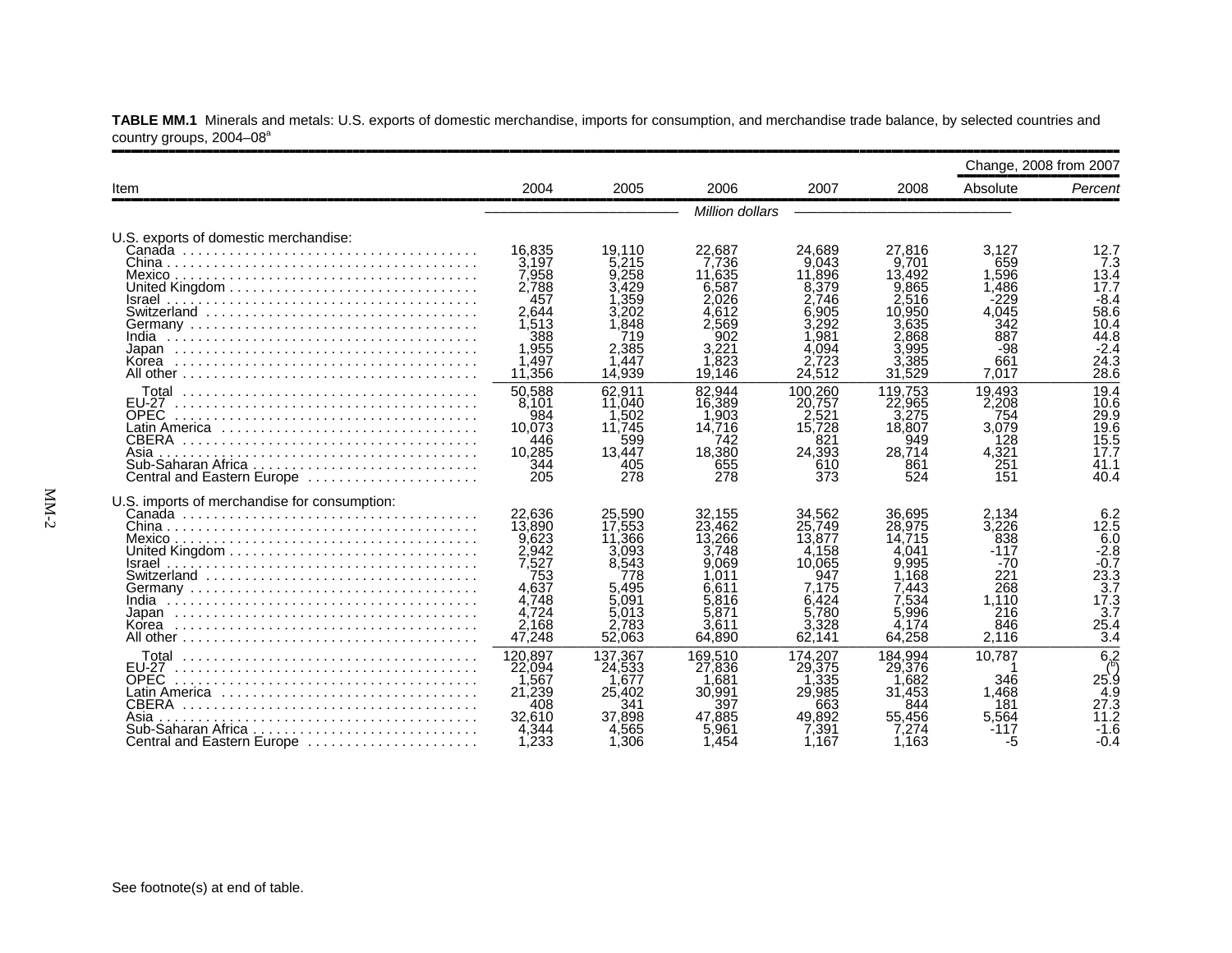|                                                                                                                                                 |                                                                                                  |                                                                                                   |                                                                                                    |                                                                                                    |                                                                                                    |                                                                                        | Change, 2008 from 2007                                                                                  |
|-------------------------------------------------------------------------------------------------------------------------------------------------|--------------------------------------------------------------------------------------------------|---------------------------------------------------------------------------------------------------|----------------------------------------------------------------------------------------------------|----------------------------------------------------------------------------------------------------|----------------------------------------------------------------------------------------------------|----------------------------------------------------------------------------------------|---------------------------------------------------------------------------------------------------------|
| Item                                                                                                                                            | 2004                                                                                             | 2005                                                                                              | 2006                                                                                               | 2007                                                                                               | 2008                                                                                               | Absolute                                                                               | Percent                                                                                                 |
|                                                                                                                                                 |                                                                                                  |                                                                                                   | Million dollars                                                                                    |                                                                                                    |                                                                                                    |                                                                                        |                                                                                                         |
| U.S. exports of domestic merchandise:<br>Israel<br>India                                                                                        | 16.835<br>3.197<br>7,958<br>2.788<br>457<br>2.644<br>1.513<br>388<br>1,955                       | 19.110<br>5.215<br>9.258<br>3.429<br>l .359<br>3.202<br>1.848<br>719<br>2.385                     | 22.687<br>7.736<br>11.635<br>6,587<br>2.026<br>4.612<br>2.569<br>902<br>3,221                      | 24.689<br>9.043<br>11,896<br>8.379<br>2.746<br>.905<br>3.292<br>.981<br>4.094                      | 27.816<br>9.701<br>13.492<br>9,865<br>2,516<br>10.950<br>3.635<br>2.868<br>3,995                   | 3.127<br>659<br>1.596<br>1.486<br>-229<br>4.045<br>342<br>887<br>-98                   | 12.7<br>7.3<br>13.4<br>17.7<br>$-8.4$<br>58.6<br>10.4<br>44.8<br>$-2.4$                                 |
| Korea                                                                                                                                           | .497<br>11,356                                                                                   | .447<br>14.939                                                                                    | .823<br>19.146                                                                                     | 723<br>24.512                                                                                      | .385<br>31.529                                                                                     | 661<br>7.017                                                                           | 24.3<br>28.6                                                                                            |
| Total<br><b>EU-27</b><br><b>OPEC</b><br><b>CBERA</b><br>Asia<br>Central and Eastern Europe                                                      | 50,588<br>8.101<br>984<br>10.073<br>446<br>10,285<br>344<br>205                                  | 62.911<br>11.040<br>1.502<br>11.745<br>599<br>13,447<br>405<br>278                                | 82.944<br>16,389<br>.903<br>14.716<br>742<br>18.380<br>655<br>278                                  | 100.260<br>20,757<br>2.521<br>15,728<br>821<br>24.393<br>610<br>373                                | 119.753<br>22,965<br>3.275<br>18,807<br>949<br>28.714<br>861<br>524                                | 19.493<br>2.208<br>754<br>3.079<br>128<br>4.321<br>251<br>151                          | 19.4<br>10.6<br>29.9<br>19.6<br>15.5<br>17.7<br>41.1<br>40.4                                            |
| U.S. imports of merchandise for consumption:<br>India<br>Korea                                                                                  | 22.636<br>13,890<br>9.623<br>2.942<br>7,527<br>753<br>4.637<br>4,748<br>4.724<br>2,168<br>47,248 | 25,590<br>17.553<br>11,366<br>3.093<br>8.543<br>778<br>5.495<br>5.091<br>5.013<br>2.783<br>52,063 | 32.155<br>23.462<br>13.266<br>3.748<br>9.069<br>.011<br>6.611<br>5.816<br>5.871<br>3.611<br>64,890 | 34.562<br>25.749<br>13,877<br>4.158<br>10.065<br>947<br>7.175<br>6.424<br>5.780<br>3.328<br>62.141 | 36.695<br>28.975<br>14.715<br>4.041<br>9.995<br>.168<br>7.443<br>7.534<br>5.996<br>4.174<br>64,258 | 2.134<br>3.226<br>838<br>$-117$<br>$-70$<br>221<br>268<br>1.110<br>216<br>846<br>2.116 | 6.2<br>12.5<br>6.0<br>$-2.8$<br>$-0.\overline{7}$<br>$2\bar{3}$ .3<br>3.7<br>17.3<br>3.7<br>25.4<br>3.4 |
| <b>EU-27</b><br><b>OPEC</b><br>Latin America ,,,,,,,,,,,,,,,,,,,,,,,,,,,,,<br>CBERA<br>Asia<br>Sub-Saharan Africa<br>Central and Eastern Europe | 120.897<br>22,094<br>,567<br>21,239<br>408<br>32.610<br>4,344<br>1.233                           | 137.367<br>24,533<br>.677<br>25,402<br>341<br>37.898<br>4.565<br>1,306                            | 169.510<br>27,836<br>.681<br>30,991<br>397<br>47.885<br>5,961<br>1.454                             | 174.207<br>29,375<br>.335<br>29,985<br>663<br>49.892<br>7.391<br>1.167                             | 184.994<br>29,376<br>.682<br>31.453<br>844<br>55.456<br>7.274<br>1.163                             | 10.787<br>346<br>1.468<br>181<br>5,564<br>-117<br>-5                                   | $6\overline{6}$<br>25.9<br>4.9<br>27.3<br>$11.\overline{2}$<br>$-1.6$<br>-0.4                           |

**TABLE MM.1** Minerals and metals: U.S. exports of domestic merchandise, imports for consumption, and merchandise trade balance, by selected countries and country groups, 2004-08<sup>a</sup>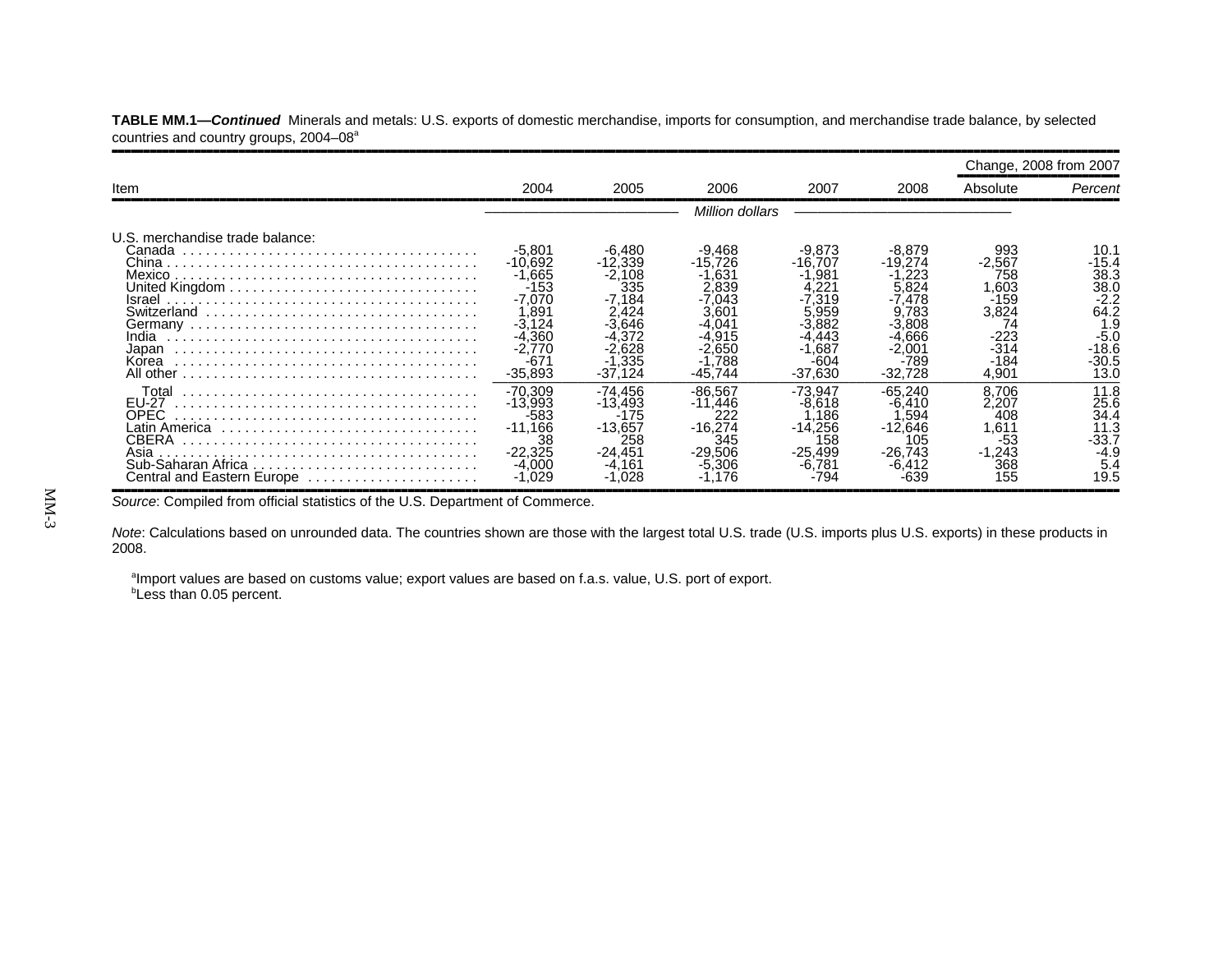|                                                                                                                                                   |                                                                                                                   |                                                                                                    |                                                                                                           |                                                                                      |                                                                                             | Change, 2008 from 2007                                                                           |                                                                                                |
|---------------------------------------------------------------------------------------------------------------------------------------------------|-------------------------------------------------------------------------------------------------------------------|----------------------------------------------------------------------------------------------------|-----------------------------------------------------------------------------------------------------------|--------------------------------------------------------------------------------------|---------------------------------------------------------------------------------------------|--------------------------------------------------------------------------------------------------|------------------------------------------------------------------------------------------------|
| <b>Item</b>                                                                                                                                       | 2004                                                                                                              | 2005                                                                                               | 2006                                                                                                      | 2007                                                                                 | 2008                                                                                        | Absolute                                                                                         | Percent                                                                                        |
|                                                                                                                                                   |                                                                                                                   |                                                                                                    | <i>Million dollars</i>                                                                                    |                                                                                      |                                                                                             |                                                                                                  |                                                                                                |
| U.S. merchandise trade balance:<br>Canada<br>Mexico.<br>Israel<br>India<br>Japan<br>Korea                                                         | -5,801<br>$-10.692$<br>$-1.665$<br>-153<br>$-7.070$<br>.891<br>$-3.124$<br>-4.360<br>$-2,770$<br>-67<br>$-35,893$ | -6,480<br>$-12,339$<br>$-2,108$<br>335<br>-7.184<br>3.646<br>4.372<br>2.628<br>$-1.335$<br>-37.124 | -9,468<br>$-15.726$<br>.631<br>2.839<br>.043<br>3.60′<br>$04^{\circ}$<br>.91<br>-2.650<br>.788<br>-45.744 | $-9,873$<br>$-16,707$<br>.981<br>.319<br>.959<br>.443<br>.687<br>$-604$<br>$-37,630$ | -8.879<br>-19.274<br>.824<br>.478<br>783<br>1.666<br>2.00 <sup>.</sup><br>-789<br>$-32,728$ | 993<br>$-2.567$<br>758<br>603. ا<br>$-159$<br>3,824<br>74<br>$-223$<br>$-314$<br>$-184$<br>4,901 | 10.1<br>-15.4<br>38.3<br>38.0<br>$-2.2$<br>64.2<br>1.9<br>$-5.0$<br>$-18.6$<br>$-30.5$<br>13.0 |
| Total<br><b>EU-27</b><br>OPEC<br>Latin America ,,,,,,,,,,,,,,,,,,,,,,,,,,,,,<br>CBERA<br>Asia<br>Sub-Saharan Africa<br>Central and Eastern Europe | $-70.309$<br>$-13.993$<br>$-583$<br>$-11.166$<br>38<br>$-22.325$<br>$-4.000$                                      | -74.456<br>$-13.493$<br>$-175$<br>$-13,657$<br>258<br>$-24.451$<br>$-4.161$<br>.028                | $-86.567$<br>$-11.446$<br>222<br>$-16.274$<br>345<br>$-29.506$<br>-5.306<br>.176                          | $-73.947$<br>$-8.618$<br>.186<br>$-14.256$<br>158<br>$-25.499$<br>-6.781<br>-794     | $-65.240$<br>-6.410<br>.594<br>$-12.646$<br>105<br>$-26.743$                                | 8.706<br>2.207<br>408<br>.611<br>$-53$<br>$-1.243$<br>368<br>155                                 | 11.8<br>25.6<br>34.4<br>11.3<br>$-33.7$<br>-4.9<br>5.4<br>19.5                                 |

**TABLE MM.1—***Continued* Minerals and metals: U.S. exports of domestic merchandise, imports for consumption, and merchandise trade balance, by selected countries and country groups, 2004-08<sup>a</sup>

,,,,,,,,,,,,,,,,,,,,,,,,,,,,,,,,,,,,,,,,,,,,,,,,,,,,,,,,,,,,,,,,,,,,,,,,,,,,,,,,,,,,,,,,,,,,,,,,,,,,,,,,,,,,,,,,,,,,,,,,,,,,,,,,,,,,,,,,,,,,,,,,,,,,,,,,,,,,,,*Source*: Compiled from official statistics of the U.S. Department of Commerce.

*Note*: Calculations based on unrounded data. The countries shown are those with the largest total U.S. trade (U.S. imports plus U.S. exports) in these products in 2008.

<sup>a</sup>Import values are based on customs value; export values are based on f.a.s. value, U.S. port of export. **Less than 0.05 percent.**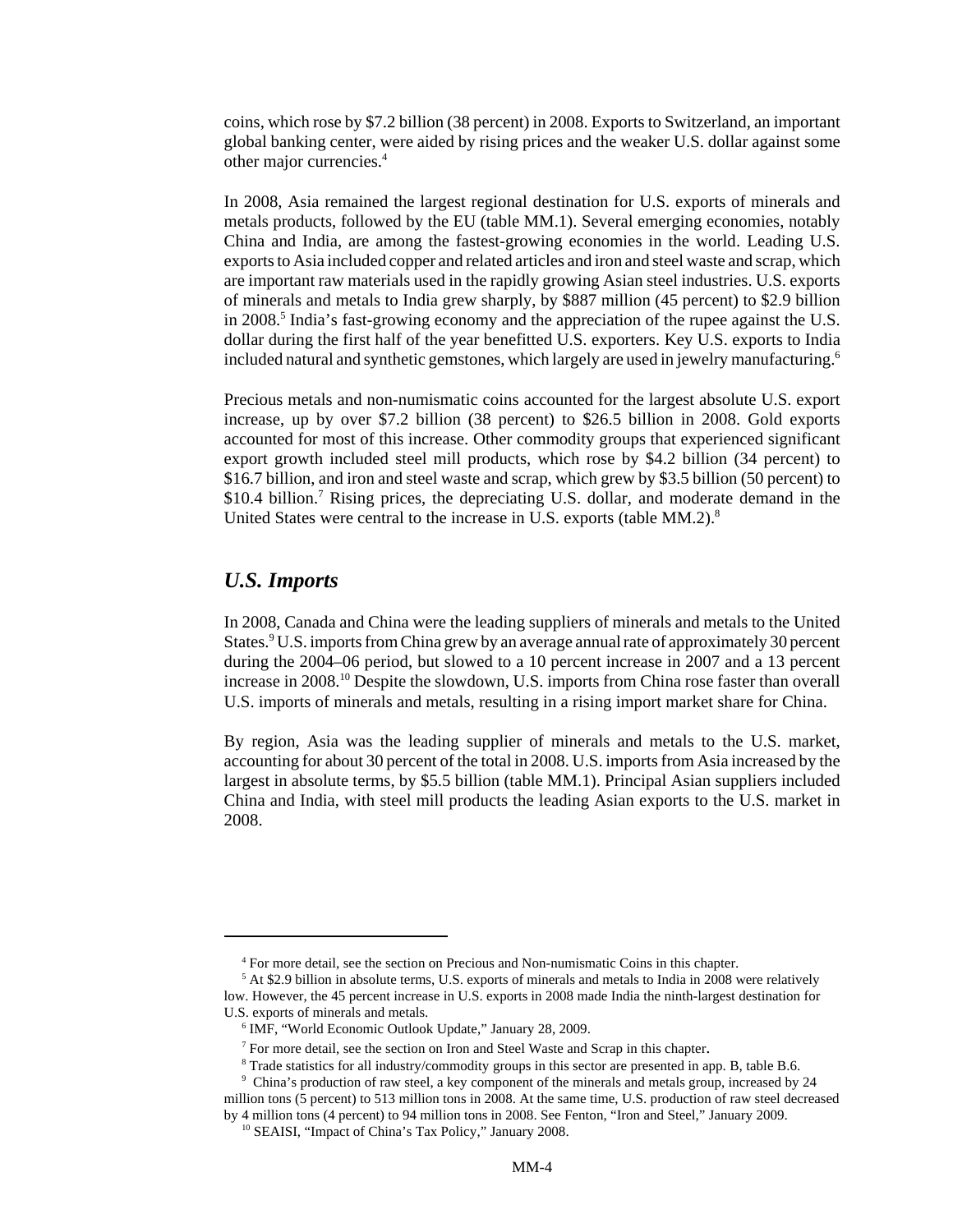coins, which rose by \$7.2 billion (38 percent) in 2008. Exports to Switzerland, an important global banking center, were aided by rising prices and the weaker U.S. dollar against some other major currencies.4

In 2008, Asia remained the largest regional destination for U.S. exports of minerals and metals products, followed by the EU (table MM.1). Several emerging economies, notably China and India, are among the fastest-growing economies in the world. Leading U.S. exports to Asia included copper and related articles and iron and steel waste and scrap, which are important raw materials used in the rapidly growing Asian steel industries. U.S. exports of minerals and metals to India grew sharply, by \$887 million (45 percent) to \$2.9 billion in 2008.<sup>5</sup> India's fast-growing economy and the appreciation of the rupee against the U.S. dollar during the first half of the year benefitted U.S. exporters. Key U.S. exports to India included natural and synthetic gemstones, which largely are used in jewelry manufacturing.<sup>6</sup>

Precious metals and non-numismatic coins accounted for the largest absolute U.S. export increase, up by over \$7.2 billion (38 percent) to \$26.5 billion in 2008. Gold exports accounted for most of this increase. Other commodity groups that experienced significant export growth included steel mill products, which rose by \$4.2 billion (34 percent) to \$16.7 billion, and iron and steel waste and scrap, which grew by \$3.5 billion (50 percent) to \$10.4 billion.<sup>7</sup> Rising prices, the depreciating U.S. dollar, and moderate demand in the United States were central to the increase in U.S. exports (table MM.2).<sup>8</sup>

#### *U.S. Imports*

In 2008, Canada and China were the leading suppliers of minerals and metals to the United States.<sup>9</sup> U.S. imports from China grew by an average annual rate of approximately 30 percent during the 2004–06 period, but slowed to a 10 percent increase in 2007 and a 13 percent increase in 2008.10 Despite the slowdown, U.S. imports from China rose faster than overall U.S. imports of minerals and metals, resulting in a rising import market share for China.

By region, Asia was the leading supplier of minerals and metals to the U.S. market, accounting for about 30 percent of the total in 2008. U.S. imports from Asia increased by the largest in absolute terms, by \$5.5 billion (table MM.1). Principal Asian suppliers included China and India, with steel mill products the leading Asian exports to the U.S. market in 2008.

<sup>&</sup>lt;sup>4</sup> For more detail, see the section on Precious and Non-numismatic Coins in this chapter.

 <sup>5</sup> At \$2.9 billion in absolute terms, U.S. exports of minerals and metals to India in 2008 were relatively low. However, the 45 percent increase in U.S. exports in 2008 made India the ninth-largest destination for U.S. exports of minerals and metals.

 <sup>6</sup> IMF, "World Economic Outlook Update," January 28, 2009.

<sup>&</sup>lt;sup>7</sup> For more detail, see the section on Iron and Steel Waste and Scrap in this chapter.

Trade statistics for all industry/commodity groups in this sector are presented in app. B, table B.6.

 <sup>9</sup> China's production of raw steel, a key component of the minerals and metals group, increased by 24 million tons (5 percent) to 513 million tons in 2008. At the same time, U.S. production of raw steel decreased

by 4 million tons (4 percent) to 94 million tons in 2008. See Fenton, "Iron and Steel," January 2009. 10 SEAISI, "Impact of China's Tax Policy," January 2008.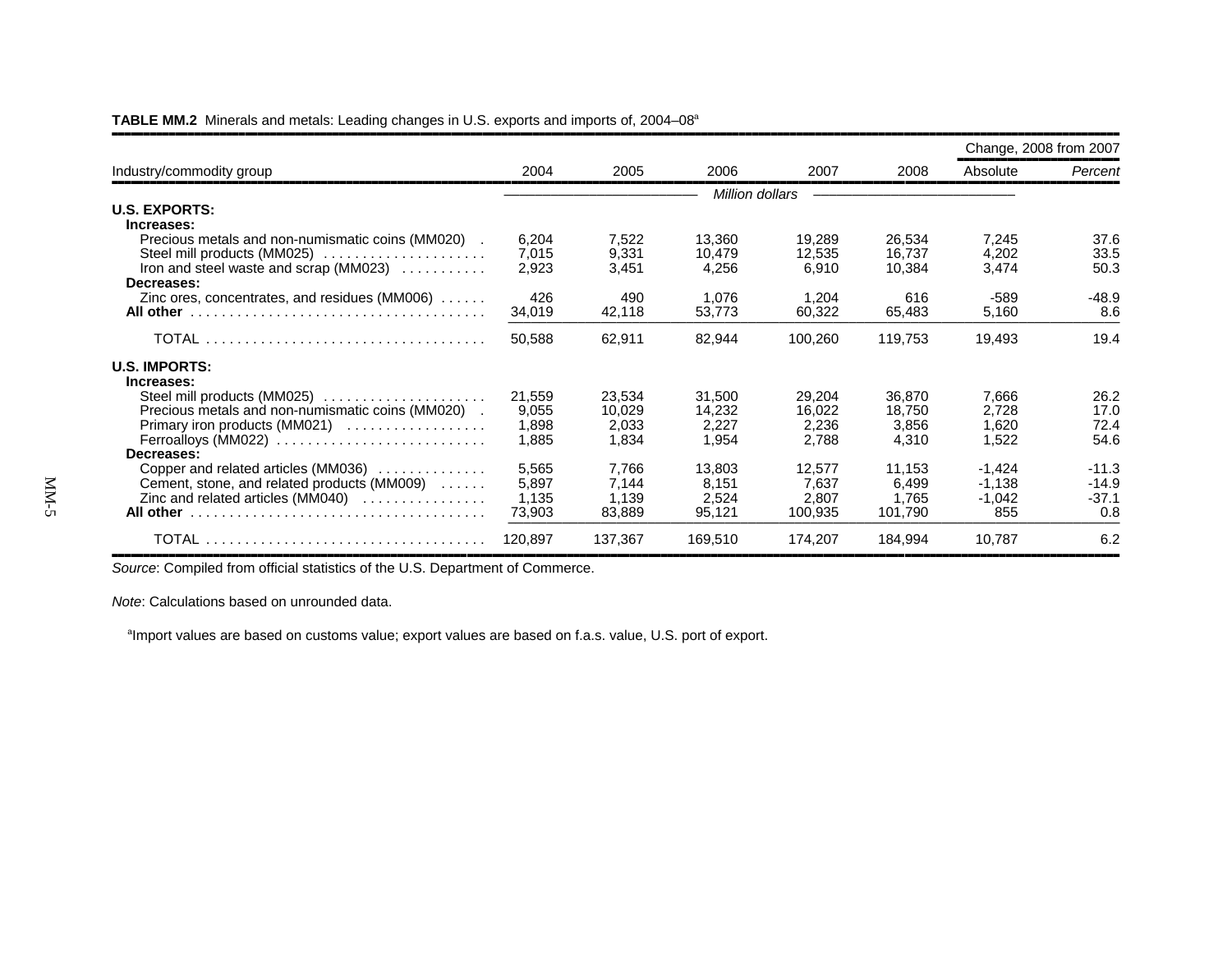|                                                                                                                                                                               |                                   |                                    |                                    |                                     |                                     | Change, 2008 from 2007                  |                                      |
|-------------------------------------------------------------------------------------------------------------------------------------------------------------------------------|-----------------------------------|------------------------------------|------------------------------------|-------------------------------------|-------------------------------------|-----------------------------------------|--------------------------------------|
| Industry/commodity group                                                                                                                                                      | 2004                              | 2005<br>2006                       | 2007                               | 2008                                | Absolute                            | Percent                                 |                                      |
|                                                                                                                                                                               |                                   |                                    |                                    | Million dollars                     |                                     |                                         |                                      |
| <b>U.S. EXPORTS:</b>                                                                                                                                                          |                                   |                                    |                                    |                                     |                                     |                                         |                                      |
| Increases:<br>Precious metals and non-numismatic coins (MM020).<br>Steel mill products (MM025)<br>Iron and steel waste and scrap (MM023)<br>Decreases:                        | 6,204<br>7,015<br>2,923           | 7,522<br>9,331<br>3,451            | 13,360<br>10,479<br>4,256          | 19,289<br>12,535<br>6,910           | 26,534<br>16,737<br>10,384          | 7,245<br>4,202<br>3,474                 | 37.6<br>33.5<br>50.3                 |
| Zinc ores, concentrates, and residues ( $MM006$ ) $\ldots$                                                                                                                    | 426<br>34,019                     | 490<br>42,118                      | 1.076<br>53,773                    | 1.204<br>60,322                     | 616<br>65,483                       | $-589$<br>5,160                         | $-48.9$<br>8.6                       |
|                                                                                                                                                                               | 50,588                            | 62,911                             | 82,944                             | 100,260                             | 119,753                             | 19,493                                  | 19.4                                 |
| <b>U.S. IMPORTS:</b><br>Increases:                                                                                                                                            |                                   |                                    |                                    |                                     |                                     |                                         |                                      |
| Precious metals and non-numismatic coins (MM020) .<br>Primary iron products (MM021) $\ldots$<br>$Ferroallows (MM022) \ldots \ldots \ldots \ldots \ldots \ldots \ldots \ldots$ | 21,559<br>9,055<br>1,898<br>1,885 | 23,534<br>10,029<br>2,033<br>1,834 | 31,500<br>14,232<br>2,227<br>1.954 | 29,204<br>16,022<br>2,236<br>2,788  | 36,870<br>18,750<br>3,856<br>4,310  | 7,666<br>2,728<br>1,620<br>1,522        | 26.2<br>17.0<br>72.4<br>54.6         |
| Decreases:                                                                                                                                                                    |                                   |                                    |                                    |                                     |                                     |                                         |                                      |
| Copper and related articles (MM036)<br>Cement, stone, and related products (MM009)<br>Zinc and related articles $(MM040)$                                                     | 5,565<br>5,897<br>1,135<br>73,903 | 7,766<br>7,144<br>1,139<br>83,889  | 13,803<br>8,151<br>2,524<br>95,121 | 12,577<br>7,637<br>2,807<br>100,935 | 11,153<br>6,499<br>1.765<br>101,790 | $-1,424$<br>$-1,138$<br>$-1,042$<br>855 | $-11.3$<br>$-14.9$<br>$-37.1$<br>0.8 |
|                                                                                                                                                                               | 120,897                           | 137,367                            | 169,510                            | 174,207                             | 184,994                             | 10,787                                  | 6.2                                  |

#### TABLE MM.2 Minerals and metals: Leading changes in U.S. exports and imports of, 2004–08<sup>a</sup>

*Source*: Compiled from official statistics of the U.S. Department of Commerce.

*Note*: Calculations based on unrounded data.

<sup>a</sup>Import values are based on customs value; export values are based on f.a.s. value, U.S. port of export.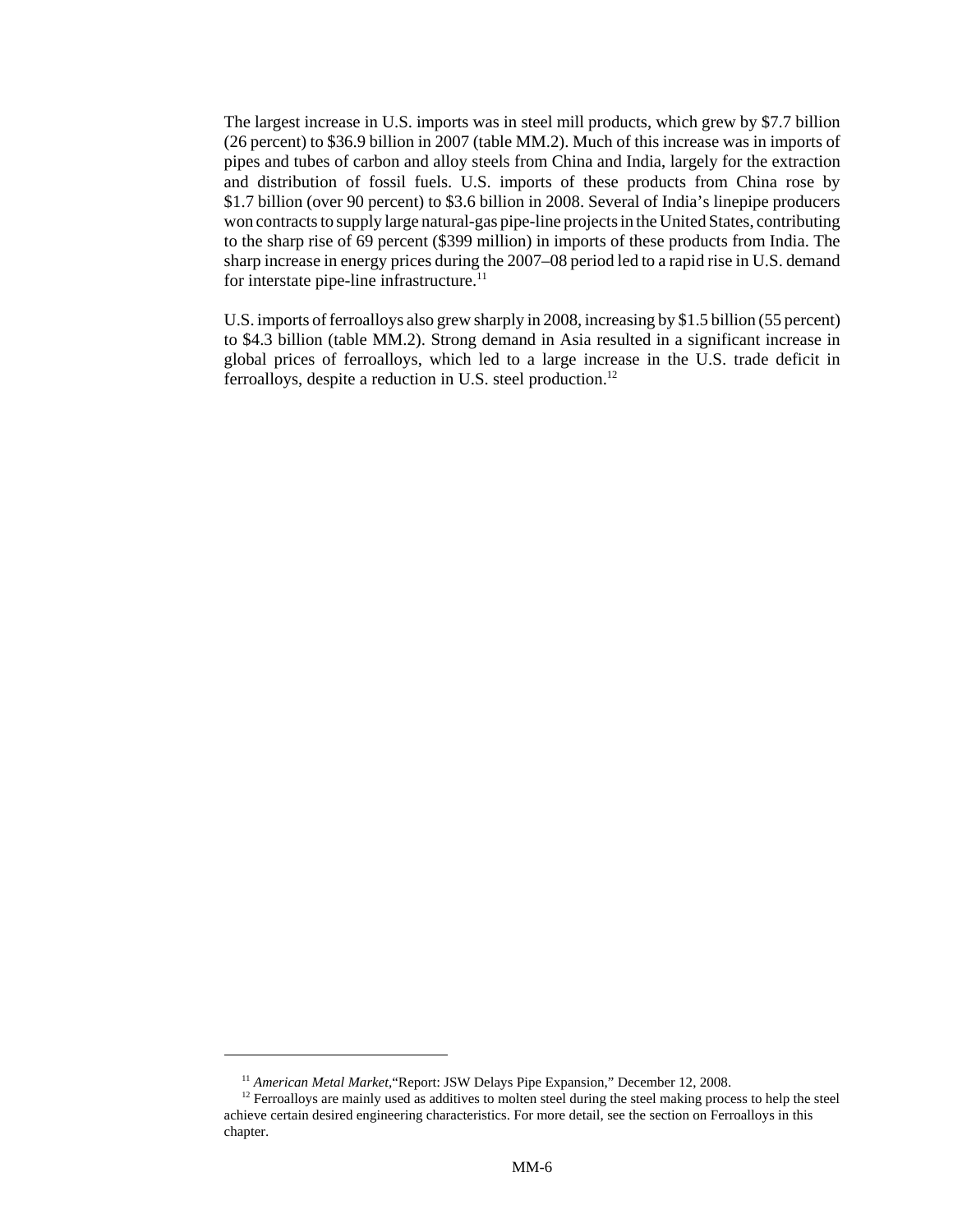The largest increase in U.S. imports was in steel mill products, which grew by \$7.7 billion (26 percent) to \$36.9 billion in 2007 (table MM.2). Much of this increase was in imports of pipes and tubes of carbon and alloy steels from China and India, largely for the extraction and distribution of fossil fuels. U.S. imports of these products from China rose by \$1.7 billion (over 90 percent) to \$3.6 billion in 2008. Several of India's linepipe producers won contracts to supply large natural-gas pipe-line projects in the United States, contributing to the sharp rise of 69 percent (\$399 million) in imports of these products from India. The sharp increase in energy prices during the 2007–08 period led to a rapid rise in U.S. demand for interstate pipe-line infrastructure. $11$ 

U.S. imports of ferroalloys also grew sharply in 2008, increasing by \$1.5 billion (55 percent) to \$4.3 billion (table MM.2). Strong demand in Asia resulted in a significant increase in global prices of ferroalloys, which led to a large increase in the U.S. trade deficit in ferroalloys, despite a reduction in U.S. steel production.<sup>12</sup>

<sup>&</sup>lt;sup>11</sup> American Metal Market, "Report: JSW Delays Pipe Expansion," December 12, 2008.

 $12$  Ferroalloys are mainly used as additives to molten steel during the steel making process to help the steel achieve certain desired engineering characteristics. For more detail, see the section on Ferroalloys in this chapter.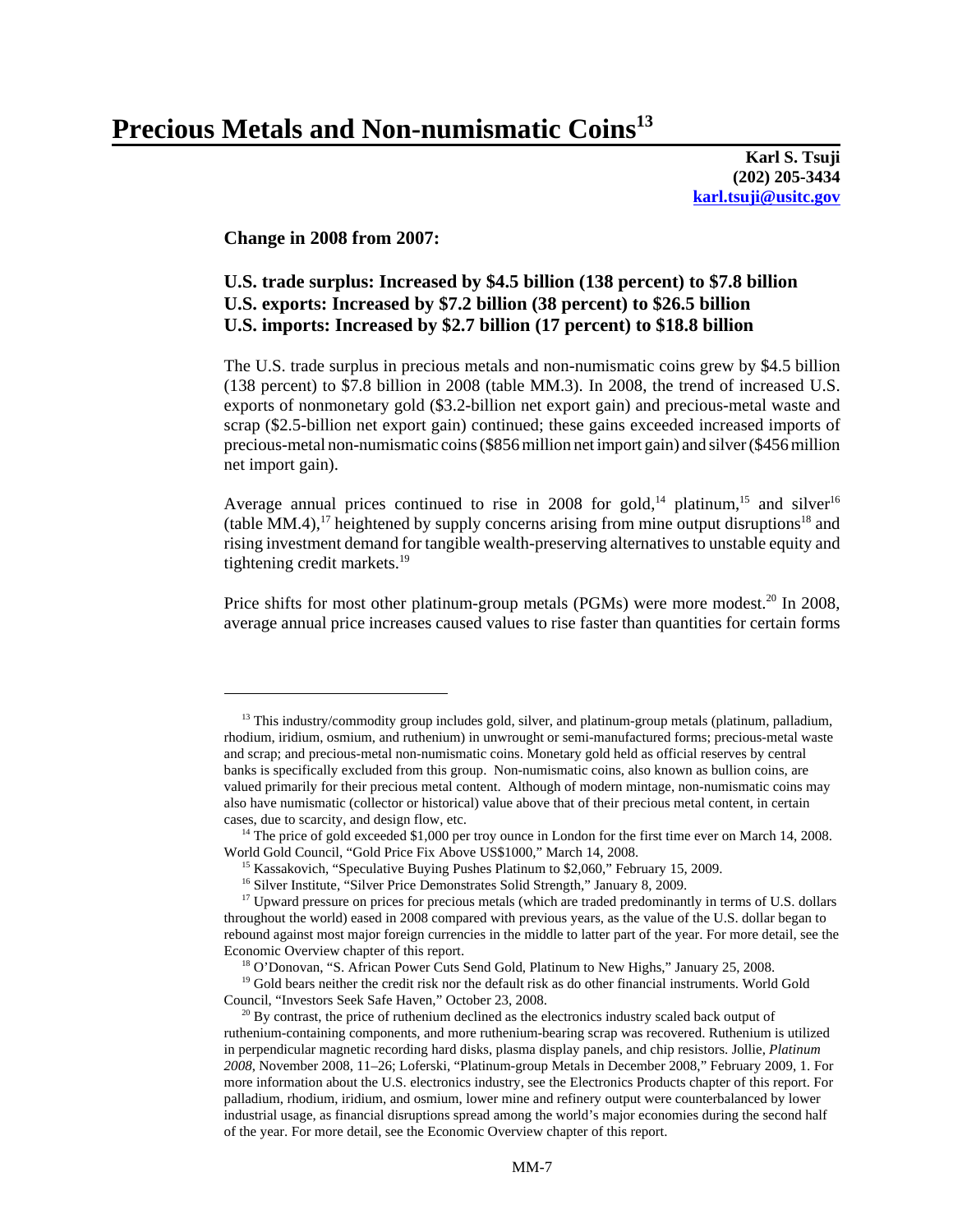# Precious Metals and Non-numismatic Coins<sup>13</sup>

**Karl S. Tsuji (202) 205-3434 karl.tsuji@usitc.gov**

#### **Change in 2008 from 2007:**

#### **U.S. trade surplus: Increased by \$4.5 billion (138 percent) to \$7.8 billion U.S. exports: Increased by \$7.2 billion (38 percent) to \$26.5 billion U.S. imports: Increased by \$2.7 billion (17 percent) to \$18.8 billion**

The U.S. trade surplus in precious metals and non-numismatic coins grew by \$4.5 billion (138 percent) to \$7.8 billion in 2008 (table MM.3). In 2008, the trend of increased U.S. exports of nonmonetary gold (\$3.2-billion net export gain) and precious-metal waste and scrap (\$2.5-billion net export gain) continued; these gains exceeded increased imports of precious-metal non-numismatic coins (\$856 million net import gain) and silver (\$456 million net import gain).

Average annual prices continued to rise in 2008 for gold,<sup>14</sup> platinum,<sup>15</sup> and silver<sup>16</sup> (table MM.4),<sup>17</sup> heightened by supply concerns arising from mine output disruptions<sup>18</sup> and rising investment demand for tangible wealth-preserving alternatives to unstable equity and tightening credit markets.<sup>19</sup>

Price shifts for most other platinum-group metals (PGMs) were more modest.<sup>20</sup> In 2008, average annual price increases caused values to rise faster than quantities for certain forms

 $13$  This industry/commodity group includes gold, silver, and platinum-group metals (platinum, palladium, rhodium, iridium, osmium, and ruthenium) in unwrought or semi-manufactured forms; precious-metal waste and scrap; and precious-metal non-numismatic coins. Monetary gold held as official reserves by central banks is specifically excluded from this group. Non-numismatic coins, also known as bullion coins, are valued primarily for their precious metal content. Although of modern mintage, non-numismatic coins may also have numismatic (collector or historical) value above that of their precious metal content, in certain cases, due to scarcity, and design flow, etc.

<sup>&</sup>lt;sup>14</sup> The price of gold exceeded \$1,000 per troy ounce in London for the first time ever on March 14, 2008. World Gold Council, "Gold Price Fix Above US\$1000," March 14, 2008.

<sup>&</sup>lt;sup>15</sup> Kassakovich, "Speculative Buying Pushes Platinum to \$2,060," February 15, 2009.

<sup>&</sup>lt;sup>16</sup> Silver Institute, "Silver Price Demonstrates Solid Strength," January 8, 2009.

<sup>&</sup>lt;sup>17</sup> Upward pressure on prices for precious metals (which are traded predominantly in terms of U.S. dollars throughout the world) eased in 2008 compared with previous years, as the value of the U.S. dollar began to rebound against most major foreign currencies in the middle to latter part of the year. For more detail, see the Economic Overview chapter of this report.

<sup>&</sup>lt;sup>18</sup> O'Donovan, "S. African Power Cuts Send Gold, Platinum to New Highs," January 25, 2008.

<sup>&</sup>lt;sup>19</sup> Gold bears neither the credit risk nor the default risk as do other financial instruments. World Gold Council, "Investors Seek Safe Haven," October 23, 2008.

 $20$  By contrast, the price of ruthenium declined as the electronics industry scaled back output of ruthenium-containing components, and more ruthenium-bearing scrap was recovered. Ruthenium is utilized in perpendicular magnetic recording hard disks, plasma display panels, and chip resistors. Jollie, *Platinum 2008*, November 2008, 11–26; Loferski, "Platinum-group Metals in December 2008," February 2009, 1. For more information about the U.S. electronics industry, see the Electronics Products chapter of this report. For palladium, rhodium, iridium, and osmium, lower mine and refinery output were counterbalanced by lower industrial usage, as financial disruptions spread among the world's major economies during the second half of the year. For more detail, see the Economic Overview chapter of this report.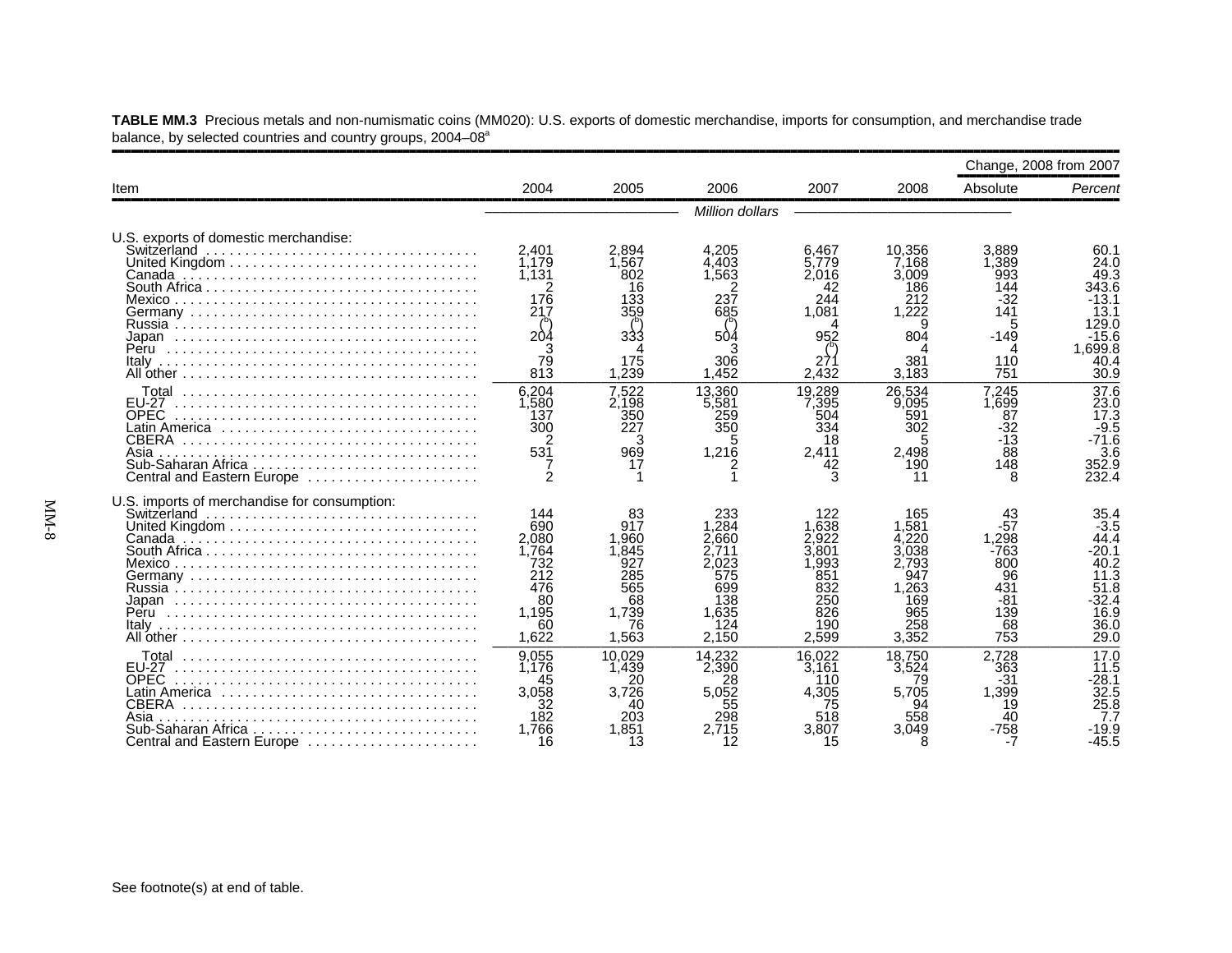|                                                                                                                                                 |                                                                                 |                                                                                |                                                                                     |                                                                                   |                                                                                     | Change, 2008 from 2007                                                                |                                                                                             |
|-------------------------------------------------------------------------------------------------------------------------------------------------|---------------------------------------------------------------------------------|--------------------------------------------------------------------------------|-------------------------------------------------------------------------------------|-----------------------------------------------------------------------------------|-------------------------------------------------------------------------------------|---------------------------------------------------------------------------------------|---------------------------------------------------------------------------------------------|
| Item                                                                                                                                            | 2004                                                                            | 2005                                                                           | 2006                                                                                | 2007                                                                              | 2008                                                                                | Absolute                                                                              | Percent                                                                                     |
|                                                                                                                                                 |                                                                                 |                                                                                | Million dollars                                                                     |                                                                                   |                                                                                     |                                                                                       |                                                                                             |
| U.S. exports of domestic merchandise:<br>Switzerland                                                                                            | 2.401<br>1.179<br>1.131<br>176<br>217<br>204<br>79<br>813                       | 2.894<br>1.567<br>802<br>16<br>133<br>359<br>333<br>175<br>1,239               | 4.205<br>4.403<br>.563<br>237<br>685<br>504<br>306<br>1.452                         | 6.467<br>5.779<br>2,016<br>42<br>244<br>1.081<br>952<br>271<br>2,432              | 10.356<br>7.168<br>3.009<br>186<br>212<br>1.222<br>804<br>381<br>3,183              | 3.889<br>$\overline{.}389$<br>993<br>144<br>$-32$<br>141<br>5<br>$-149$<br>110<br>751 | 60.1<br>24.0<br>49.3<br>343.6<br>-13.1<br>13.1<br>129.0<br>-15.6<br>1.699.8<br>40.4<br>30.9 |
| <b>EU-27</b><br><b>OPEC</b><br>Latin America ,,,,,,,,,,,,,,,,,,,,,,,,,,,,,<br>CBERA<br>Asia<br>Central and Eastern Europe                       | 6,204<br>1,580<br>137<br>300<br>531                                             | 7.522<br>2.198<br>350<br>227<br>з<br>969<br>17                                 | 13.360<br>5.581<br>259<br>350<br>5<br>1,216                                         | 19.289<br>7.395<br>504<br>334<br>18<br>2,411<br>42                                | 26.534<br>9,095<br>591<br>302<br>2.498<br>190                                       | 7.245<br>1.699<br>87<br>32<br>$-13$<br>88<br>148<br>8                                 | 37.6<br>23.0<br>17.3<br>$-9.5$<br>$-71.6$<br>3.6<br>352.9<br>232.4                          |
| U.S. imports of merchandise for consumption:                                                                                                    | 144<br>690<br>2,080<br>1.764<br>732<br>212<br>476<br>80<br>1.195<br>60<br>1.622 | 83<br>917<br>1.960<br>1.845<br>927<br>285<br>565<br>68<br>1.739<br>76<br>1.563 | 233<br>.284<br>2.660<br>.711<br>2.023<br>575<br>699<br>138<br>1.635<br>124<br>2.150 | 122<br>.638<br>2.922<br>3.801<br>.993<br>851<br>832<br>250<br>826<br>190<br>2.599 | 165<br>1.581<br>.220<br>.038<br>2.793<br>947<br>1.263<br>169<br>965<br>258<br>3.352 | 43<br>$-57$<br>.298<br>-763<br>800<br>96<br>431<br>-81<br>139<br>68<br>753            | 35.4<br>$-3.5$<br>44.4<br>.20.1<br>40.2<br>11.3<br>51.8<br>$-32.4$<br>16.9<br>36.0<br>29.0  |
| <b>FU-27</b><br><b>OPEC</b><br>Latin America ,,,,,,,,,,,,,,,,,,,,,,,,,,,,,<br>CBERA<br>Asia<br>Sub-Saharan Africa<br>Central and Eastern Europe | 9,055<br>1.176<br>45<br>3.058<br>182<br>1.766<br>16                             | 10.029<br>1.439<br>20<br>3.726<br>40<br>203<br>1.851<br>13                     | 14.232<br>2.390<br>28<br>5.052<br>55<br>298<br>2.715<br>12                          | 16.022<br>3.161<br>110<br>4.305<br>75<br>518<br>3.807<br>15                       | 18.750<br>3.524<br>79<br>5.705<br>94<br>558<br>3.049                                | 2,728<br>363<br>-31<br>1,399<br>19<br>40<br>-758                                      | 17.0<br>11.5<br>$-28.1$<br>32.5<br>25.8<br>-19.9<br>-45.5                                   |

**TABLE MM.3** Precious metals and non-numismatic coins (MM020): U.S. exports of domestic merchandise, imports for consumption, and merchandise trade balance, by selected countries and country groups, 2004–08<sup>a</sup>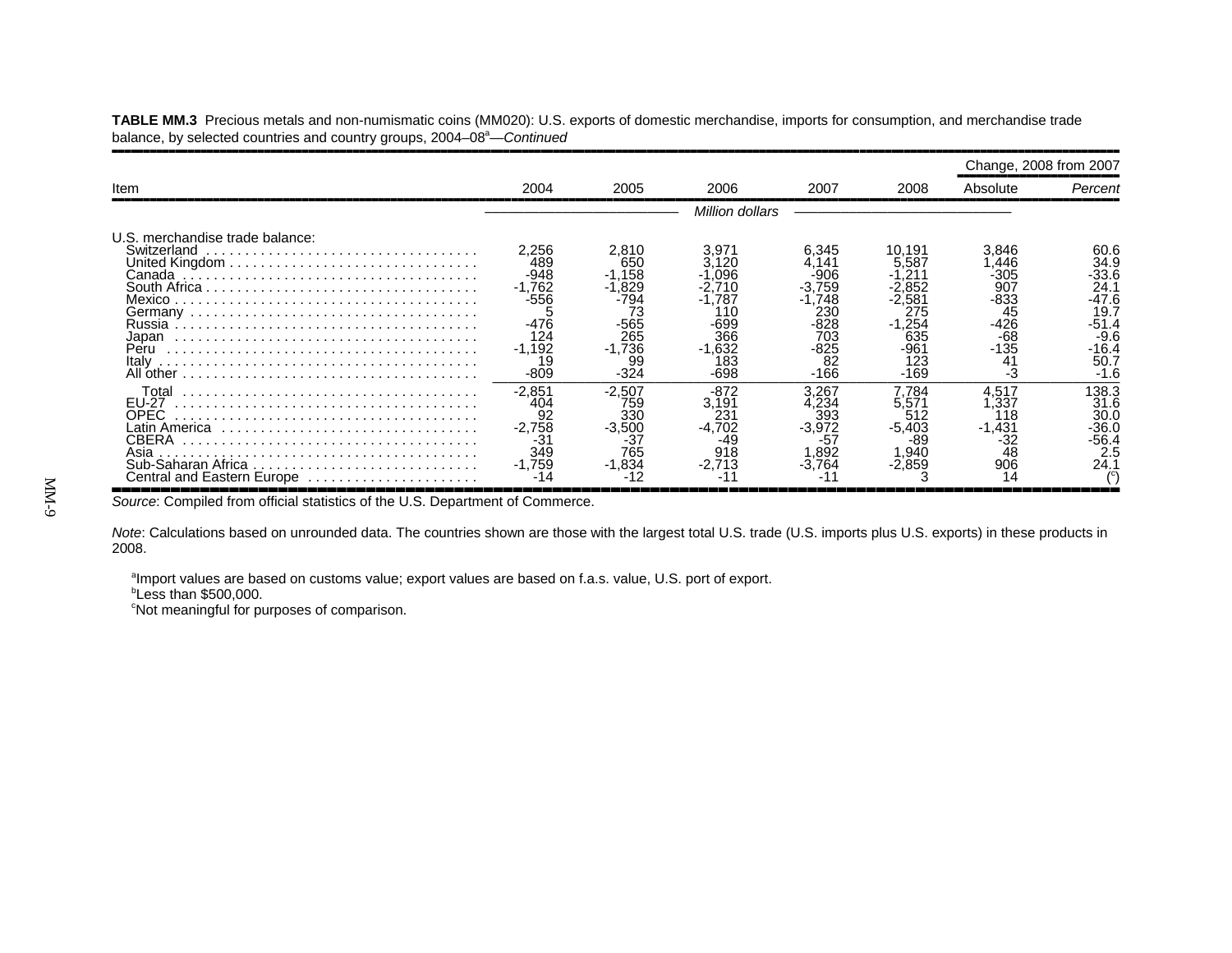**TABLE MM.3** Precious metals and non-numismatic coins (MM020): U.S. exports of domestic merchandise, imports for consumption, and merchandise trade balance, by selected countries and country groups, 2004–08<sup>a</sup>—Continued

|                                                                                                               |                                                                                       |                                                                                   |                                                                                |                                                                               |                                                              | Change, 2008 from 2007                                                                |                                                                                              |
|---------------------------------------------------------------------------------------------------------------|---------------------------------------------------------------------------------------|-----------------------------------------------------------------------------------|--------------------------------------------------------------------------------|-------------------------------------------------------------------------------|--------------------------------------------------------------|---------------------------------------------------------------------------------------|----------------------------------------------------------------------------------------------|
| Item                                                                                                          | 2004                                                                                  | 2005                                                                              | 2006                                                                           | 2007                                                                          | 2008                                                         | Absolute                                                                              | Percent                                                                                      |
|                                                                                                               |                                                                                       |                                                                                   | Million dollars                                                                |                                                                               |                                                              |                                                                                       |                                                                                              |
| U.S. merchandise trade balance:<br>Switzerland<br>Japan<br>Peru<br>Italy<br>All other                         | 2,256<br>489<br>$-948$<br>$-1,762$<br>-556<br>-476<br>124<br>$-1,192$<br>19<br>$-809$ | 2,810<br>650<br>$-1,158$<br>.829<br>73<br>-565<br>265<br>$-1,736$<br>99<br>$-324$ | 3.971<br>.120<br>.096<br>.787<br>11C<br>-699<br>366<br>$-1,632$<br>183<br>-698 | 6,345<br>141<br>-906<br>759<br>748<br>23C<br>828<br>703<br>-825<br>82<br>-166 | 10,191<br>5.587<br>1.254<br>635<br>-961<br>123<br>$-169$     | 3.846<br>.446<br>$-305$<br>907<br>-833<br>45<br>$-426$<br>$-68$<br>$-135$<br>41<br>-3 | 60.6<br>34.9<br>-33.6<br>24.7<br>-47.6<br>19.7<br>$-51.4$<br>$-9.6$<br>-16.4<br>50.7<br>-1.6 |
| Total<br>EU-27<br>OPEC.<br>∟atin America<br>CBERA<br>Asia<br>Sub-Saharan Africa<br>Central and Eastern Europe | $-2.851$<br>404<br>92<br>$-2.758$<br>-31<br>349<br>$-1.759$                           | $-2,507$<br>759<br>330<br>$-3,500$<br>-37<br>765<br>$-1.834$                      | -872<br>3,191<br>$23^{\circ}$<br>$-4.702$<br>-49<br>918                        | 3.267<br>.234<br>393<br>$-3,972$<br>-57<br>.892<br>-3.764                     | 7.784<br>5,571<br>512<br>$-5.403$<br>-89<br>940. ا<br>-2.859 | 4.517<br>.337<br>18<br>$-1,431$<br>-32<br>48<br>906                                   | 138.3<br>31.6<br>30.0<br>$-36.0$<br>-56.4<br>2.5<br>24.                                      |

,,,,,,,,,,,,,,,,,,,,,,,,,,,,,,,,,,,,,,,,,,,,,,,,,,,,,,,,,,,,,,,,,,,,,,,,,,,,,,,,,,,,,,,,,,,,,,,,,,,,,,,*Source*: Compiled from official statistics of the U.S. Department of Commerce.

*Note*: Calculations based on unrounded data. The countries shown are those with the largest total U.S. trade (U.S. imports plus U.S. exports) in these products in 2008.

aImport values are based on customs value; export values are based on f.a.s. value, U.S. port of export.

 $b$ Less than \$500,000.

<sup>c</sup>Not meaningful for purposes of comparison.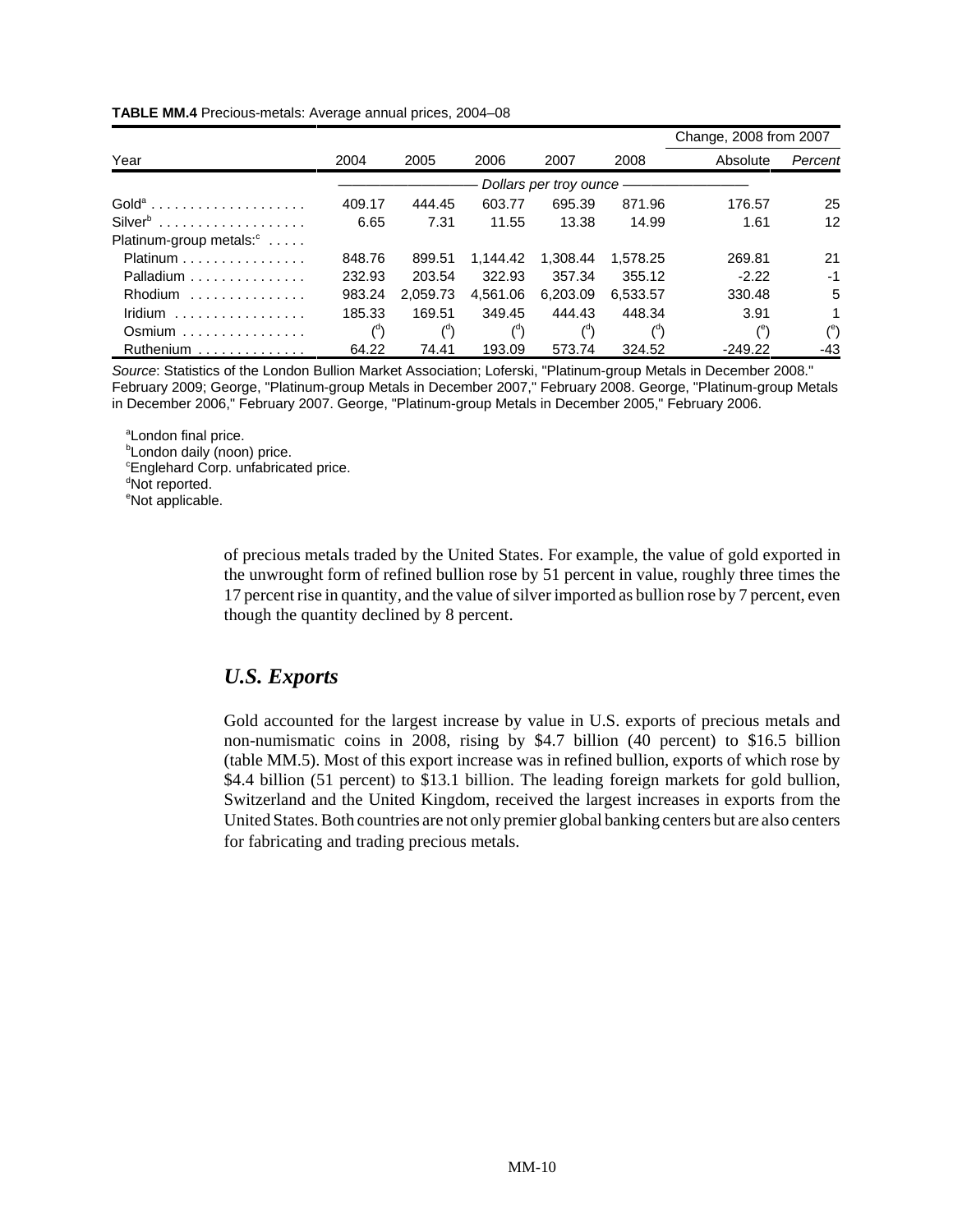|                                         |                        |                |                |                |                | Change, 2008 from 2007 |                      |  |  |  |
|-----------------------------------------|------------------------|----------------|----------------|----------------|----------------|------------------------|----------------------|--|--|--|
| Year                                    | 2004                   | 2005           | 2006           | 2007           | 2008           | Absolute               | Percent              |  |  |  |
|                                         | Dollars per troy ounce |                |                |                |                |                        |                      |  |  |  |
| $Golda$                                 | 409.17                 | 444.45         | 603.77         | 695.39         | 871.96         | 176.57                 | 25                   |  |  |  |
| $\mathsf{Silver}^{\mathsf{b}}$          | 6.65                   | 7.31           | 11.55          | 13.38          | 14.99          | 1.61                   | 12                   |  |  |  |
| Platinum-group metals: <sup>c</sup>     |                        |                |                |                |                |                        |                      |  |  |  |
| $Platinum$                              | 848.76                 | 899.51         | 1.144.42       | 1.308.44       | 1.578.25       | 269.81                 | 21                   |  |  |  |
| Palladium $\ldots \ldots \ldots \ldots$ | 232.93                 | 203.54         | 322.93         | 357.34         | 355.12         | $-2.22$                | $-1$                 |  |  |  |
| Rhodium                                 | 983.24                 | 2,059.73       | 4.561.06       | 6,203.09       | 6.533.57       | 330.48                 | 5                    |  |  |  |
| Iridium                                 | 185.33                 | 169.51         | 349.45         | 444.43         | 448.34         | 3.91                   | $\mathbf 1$          |  |  |  |
| $Osmium \ldots \ldots \ldots \ldots$    | $\binom{d}{ }$         | $\binom{d}{d}$ | $\binom{d}{ }$ | $\binom{d}{d}$ | $\binom{a}{b}$ | $^{\circ}$             | $($ <sup>e</sup> $)$ |  |  |  |
| Ruthenium                               | 64.22                  | 74.41          | 193.09         | 573.74         | 324.52         | $-249.22$              | -43                  |  |  |  |

#### **TABLE MM.4** Precious-metals: Average annual prices, 2004–08

*Source*: Statistics of the London Bullion Market Association; Loferski, "Platinum-group Metals in December 2008." February 2009; George, "Platinum-group Metals in December 2007," February 2008. George, "Platinum-group Metals in December 2006," February 2007. George, "Platinum-group Metals in December 2005," February 2006.

<sup>a</sup>London final price.

**London daily (noon) price.** 

<sup>c</sup>Englehard Corp. unfabricated price.

<sup>d</sup>Not reported.

<sup>e</sup>Not applicable.

of precious metals traded by the United States. For example, the value of gold exported in the unwrought form of refined bullion rose by 51 percent in value, roughly three times the 17 percent rise in quantity, and the value of silver imported as bullion rose by 7 percent, even though the quantity declined by 8 percent.

## *U.S. Exports*

Gold accounted for the largest increase by value in U.S. exports of precious metals and non-numismatic coins in 2008, rising by \$4.7 billion (40 percent) to \$16.5 billion (table MM.5). Most of this export increase was in refined bullion, exports of which rose by \$4.4 billion (51 percent) to \$13.1 billion. The leading foreign markets for gold bullion, Switzerland and the United Kingdom, received the largest increases in exports from the United States. Both countries are not only premier global banking centers but are also centers for fabricating and trading precious metals.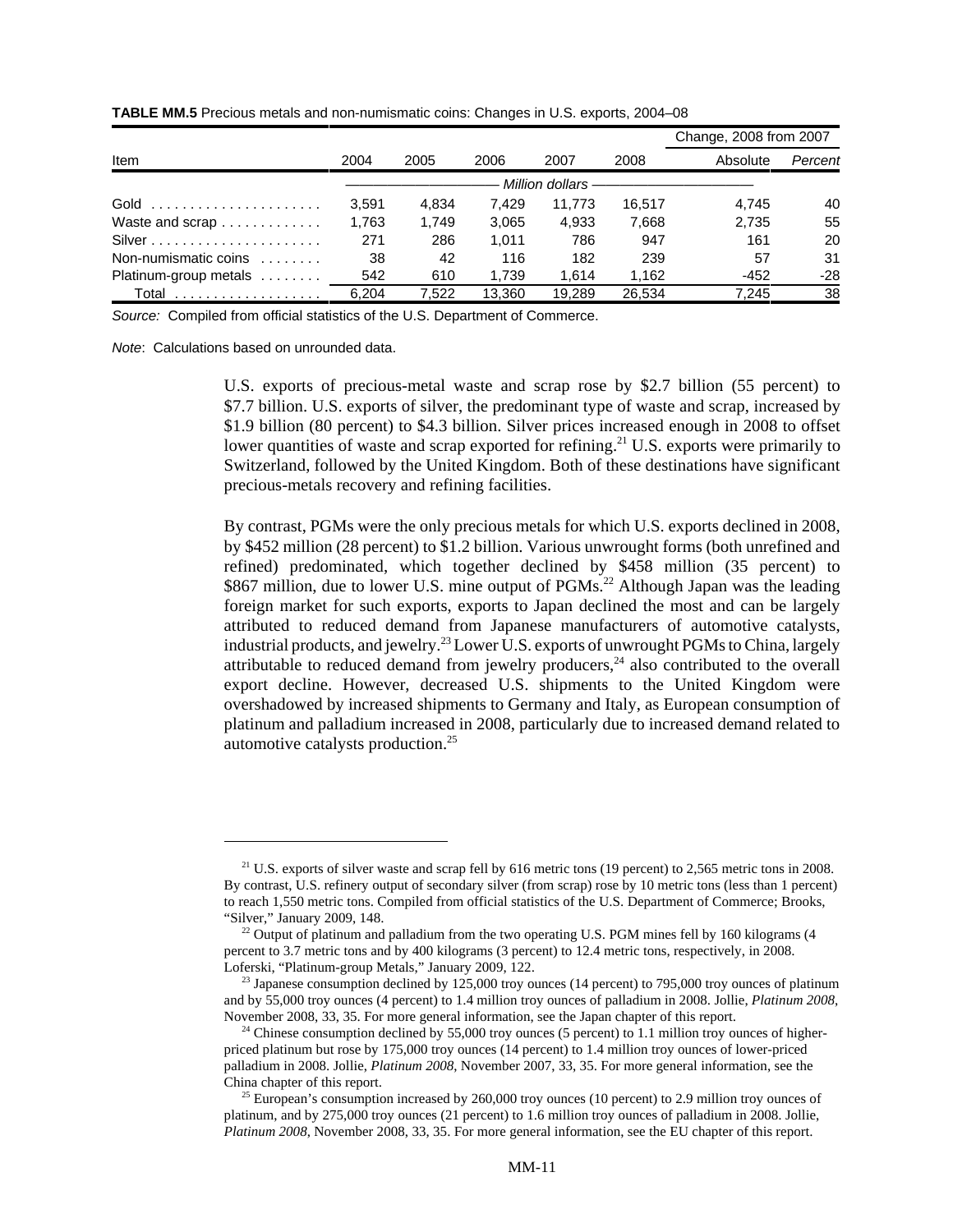|                                                  |       |       |        |                   |        | Change, 2008 from 2007 |         |
|--------------------------------------------------|-------|-------|--------|-------------------|--------|------------------------|---------|
| Item                                             | 2004  | 2005  | 2006   | 2007              | 2008   | Absolute               | Percent |
|                                                  |       |       |        | Million dollars - |        |                        |         |
| Gold $\ldots \ldots \ldots \ldots \ldots \ldots$ | 3.591 | 4.834 | 7.429  | 11.773            | 16.517 | 4.745                  | 40      |
| Waste and scrap                                  | 1.763 | 1.749 | 3.065  | 4.933             | 7,668  | 2.735                  | 55      |
|                                                  | 271   | 286   | 1.011  | 786               | 947    | 161                    | 20      |
| Non-numismatic coins                             | 38    | 42    | 116    | 182               | 239    | 57                     | 31      |
| Platinum-group metals                            | 542   | 610   | 1.739  | 1.614             | 1.162  | $-452$                 | $-28$   |
|                                                  | 6.204 | 7.522 | 13.360 | 19.289            | 26.534 | 7.245                  | 38      |

**TABLE MM.5** Precious metals and non-numismatic coins: Changes in U.S. exports, 2004–08

*Source:* Compiled from official statistics of the U.S. Department of Commerce.

*Note*: Calculations based on unrounded data.

U.S. exports of precious-metal waste and scrap rose by \$2.7 billion (55 percent) to \$7.7 billion. U.S. exports of silver, the predominant type of waste and scrap, increased by \$1.9 billion (80 percent) to \$4.3 billion. Silver prices increased enough in 2008 to offset lower quantities of waste and scrap exported for refining.<sup>21</sup> U.S. exports were primarily to Switzerland, followed by the United Kingdom. Both of these destinations have significant precious-metals recovery and refining facilities.

By contrast, PGMs were the only precious metals for which U.S. exports declined in 2008, by \$452 million (28 percent) to \$1.2 billion. Various unwrought forms (both unrefined and refined) predominated, which together declined by \$458 million (35 percent) to \$867 million, due to lower U.S. mine output of PGMs.<sup>22</sup> Although Japan was the leading foreign market for such exports, exports to Japan declined the most and can be largely attributed to reduced demand from Japanese manufacturers of automotive catalysts, industrial products, and jewelry.<sup>23</sup> Lower U.S. exports of unwrought PGMs to China, largely attributable to reduced demand from jewelry producers,<sup>24</sup> also contributed to the overall export decline. However, decreased U.S. shipments to the United Kingdom were overshadowed by increased shipments to Germany and Italy, as European consumption of platinum and palladium increased in 2008, particularly due to increased demand related to automotive catalysts production.25

<sup>&</sup>lt;sup>21</sup> U.S. exports of silver waste and scrap fell by 616 metric tons (19 percent) to 2,565 metric tons in 2008. By contrast, U.S. refinery output of secondary silver (from scrap) rose by 10 metric tons (less than 1 percent) to reach 1,550 metric tons. Compiled from official statistics of the U.S. Department of Commerce; Brooks, "Silver," January 2009, 148.

 $^{22}$  Output of platinum and palladium from the two operating U.S. PGM mines fell by 160 kilograms (4 percent to 3.7 metric tons and by 400 kilograms (3 percent) to 12.4 metric tons, respectively, in 2008. Loferski, "Platinum-group Metals," January 2009, 122.

 $^{23}$  Japanese consumption declined by 125,000 troy ounces (14 percent) to 795,000 troy ounces of platinum and by 55,000 troy ounces (4 percent) to 1.4 million troy ounces of palladium in 2008. Jollie, *Platinum 2008*, November 2008, 33, 35. For more general information, see the Japan chapter of this report.

 $24$  Chinese consumption declined by 55,000 troy ounces (5 percent) to 1.1 million troy ounces of higherpriced platinum but rose by 175,000 troy ounces (14 percent) to 1.4 million troy ounces of lower-priced palladium in 2008. Jollie, *Platinum 2008*, November 2007, 33, 35. For more general information, see the China chapter of this report.

<sup>&</sup>lt;sup>25</sup> European's consumption increased by 260,000 troy ounces (10 percent) to 2.9 million troy ounces of platinum, and by 275,000 troy ounces (21 percent) to 1.6 million troy ounces of palladium in 2008. Jollie, *Platinum 2008*, November 2008, 33, 35. For more general information, see the EU chapter of this report.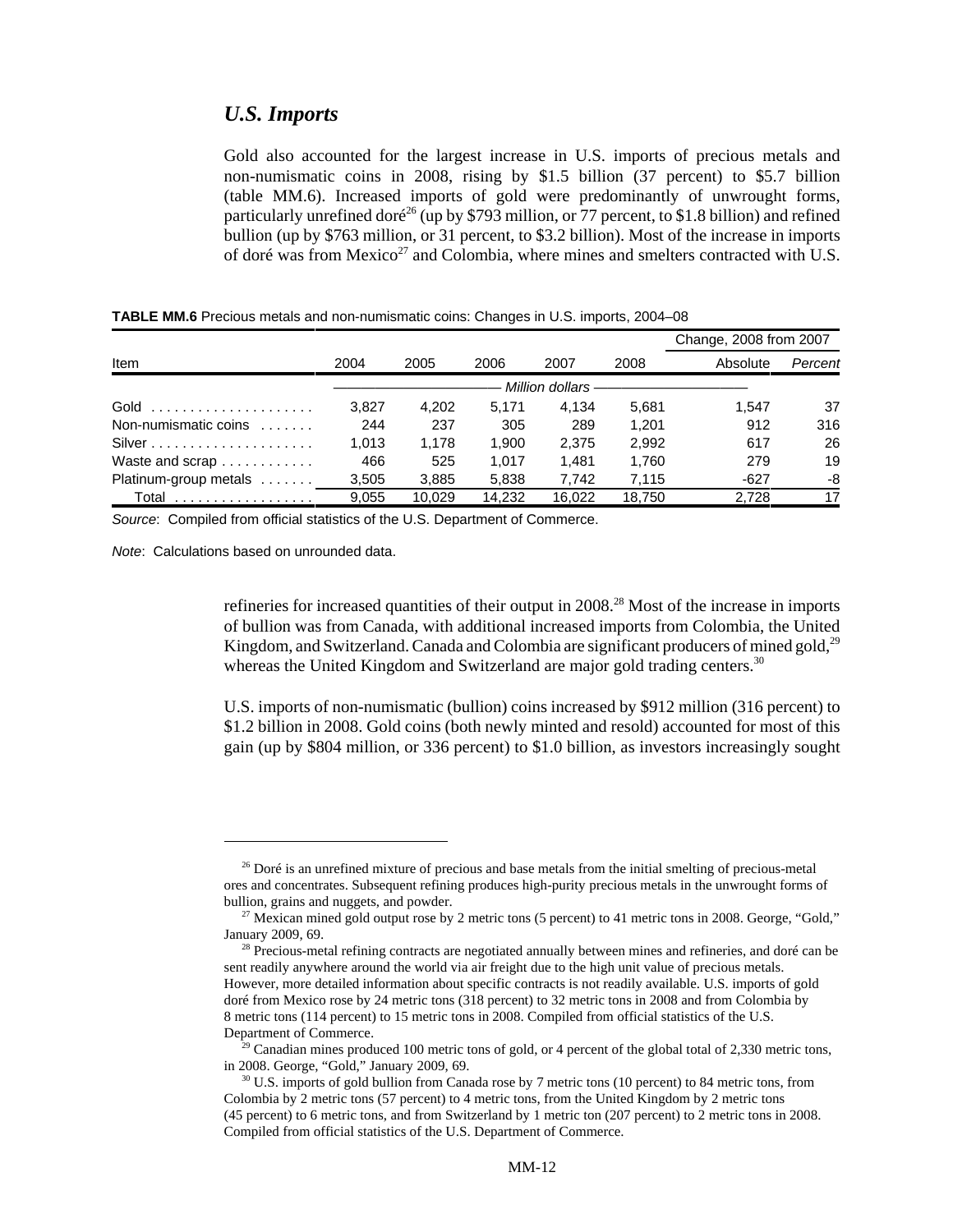#### *U.S. Imports*

Gold also accounted for the largest increase in U.S. imports of precious metals and non-numismatic coins in 2008, rising by \$1.5 billion (37 percent) to \$5.7 billion (table MM.6). Increased imports of gold were predominantly of unwrought forms, particularly unrefined doré<sup>26</sup> (up by \$793 million, or 77 percent, to \$1.8 billion) and refined bullion (up by \$763 million, or 31 percent, to \$3.2 billion). Most of the increase in imports of doré was from Mexico<sup>27</sup> and Colombia, where mines and smelters contracted with U.S.

|                                   |       |        |        |                 |        | Change, 2008 from 2007 |         |
|-----------------------------------|-------|--------|--------|-----------------|--------|------------------------|---------|
| Item                              | 2004  | 2005   | 2006   | 2007            | 2008   | Absolute               | Percent |
|                                   |       |        |        | Million dollars |        |                        |         |
|                                   | 3,827 | 4,202  | 5.171  | 4.134           | 5.681  | 1.547                  | 37      |
| Non-numismatic coins $\dots\dots$ | 244   | 237    | 305    | 289             | 1.201  | 912                    | 316     |
|                                   | 1.013 | 1,178  | 1.900  | 2.375           | 2,992  | 617                    | 26      |
| Waste and scrap                   | 466   | 525    | 1.017  | 1.481           | 1.760  | 279                    | 19      |
| Platinum-group metals             | 3,505 | 3,885  | 5,838  | 7,742           | 7,115  | $-627$                 | -8      |
| Total <u>.</u>                    | 9.055 | 10.029 | 14.232 | 16.022          | 18.750 | 2.728                  | 17      |

**TABLE MM.6** Precious metals and non-numismatic coins: Changes in U.S. imports, 2004–08

*Source*: Compiled from official statistics of the U.S. Department of Commerce.

*Note*: Calculations based on unrounded data.

refineries for increased quantities of their output in  $2008<sup>28</sup>$  Most of the increase in imports of bullion was from Canada, with additional increased imports from Colombia, the United Kingdom, and Switzerland. Canada and Colombia are significant producers of mined gold, $^{29}$ whereas the United Kingdom and Switzerland are major gold trading centers.<sup>30</sup>

U.S. imports of non-numismatic (bullion) coins increased by \$912 million (316 percent) to \$1.2 billion in 2008. Gold coins (both newly minted and resold) accounted for most of this gain (up by \$804 million, or 336 percent) to \$1.0 billion, as investors increasingly sought

<sup>&</sup>lt;sup>26</sup> Doré is an unrefined mixture of precious and base metals from the initial smelting of precious-metal ores and concentrates. Subsequent refining produces high-purity precious metals in the unwrought forms of bullion, grains and nuggets, and powder.

<sup>&</sup>lt;sup>27</sup> Mexican mined gold output rose by 2 metric tons (5 percent) to 41 metric tons in 2008. George, "Gold," January 2009, 69.

 $28$  Precious-metal refining contracts are negotiated annually between mines and refineries, and doré can be sent readily anywhere around the world via air freight due to the high unit value of precious metals. However, more detailed information about specific contracts is not readily available. U.S. imports of gold doré from Mexico rose by 24 metric tons (318 percent) to 32 metric tons in 2008 and from Colombia by 8 metric tons (114 percent) to 15 metric tons in 2008. Compiled from official statistics of the U.S. Department of Commerce.

<sup>&</sup>lt;sup>29</sup> Canadian mines produced 100 metric tons of gold, or 4 percent of the global total of 2,330 metric tons, in 2008. George, "Gold," January 2009, 69.

 $30$  U.S. imports of gold bullion from Canada rose by 7 metric tons (10 percent) to 84 metric tons, from Colombia by 2 metric tons (57 percent) to 4 metric tons, from the United Kingdom by 2 metric tons (45 percent) to 6 metric tons, and from Switzerland by 1 metric ton (207 percent) to 2 metric tons in 2008. Compiled from official statistics of the U.S. Department of Commerce.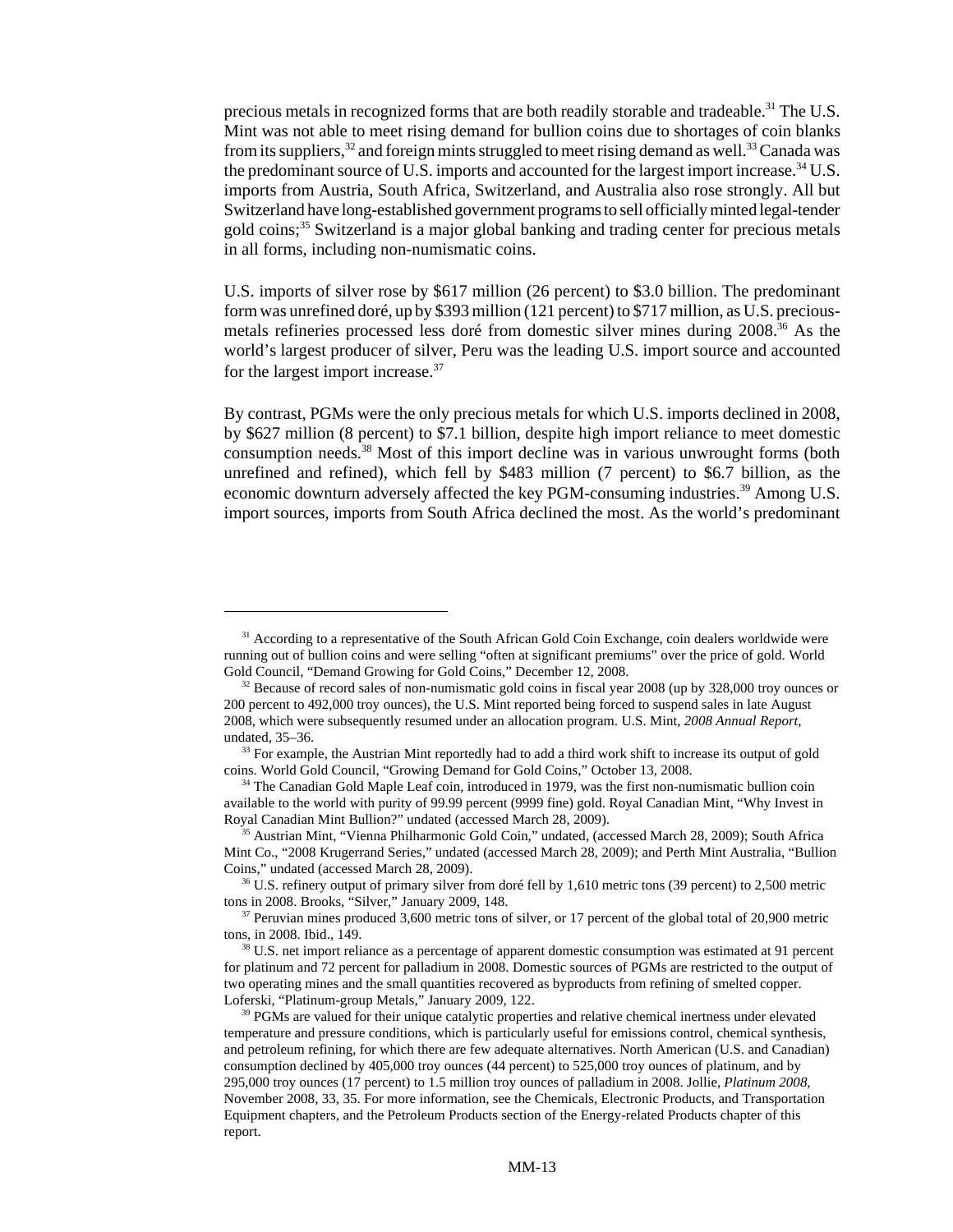precious metals in recognized forms that are both readily storable and tradeable.<sup>31</sup> The U.S. Mint was not able to meet rising demand for bullion coins due to shortages of coin blanks from its suppliers,  $32$  and foreign mints struggled to meet rising demand as well.  $33$  Canada was the predominant source of U.S. imports and accounted for the largest import increase.<sup>34</sup> U.S. imports from Austria, South Africa, Switzerland, and Australia also rose strongly. All but Switzerland have long-established government programs to sell officially minted legal-tender gold coins;<sup>35</sup> Switzerland is a major global banking and trading center for precious metals in all forms, including non-numismatic coins.

U.S. imports of silver rose by \$617 million (26 percent) to \$3.0 billion. The predominant form was unrefined doré, up by \$393 million (121 percent) to \$717 million, as U.S. preciousmetals refineries processed less doré from domestic silver mines during 2008.36 As the world's largest producer of silver, Peru was the leading U.S. import source and accounted for the largest import increase.<sup>37</sup>

By contrast, PGMs were the only precious metals for which U.S. imports declined in 2008, by \$627 million (8 percent) to \$7.1 billion, despite high import reliance to meet domestic consumption needs.38 Most of this import decline was in various unwrought forms (both unrefined and refined), which fell by \$483 million (7 percent) to \$6.7 billion, as the economic downturn adversely affected the key PGM-consuming industries.<sup>39</sup> Among U.S. import sources, imports from South Africa declined the most. As the world's predominant

<sup>&</sup>lt;sup>31</sup> According to a representative of the South African Gold Coin Exchange, coin dealers worldwide were running out of bullion coins and were selling "often at significant premiums" over the price of gold. World Gold Council, "Demand Growing for Gold Coins," December 12, 2008.

 $32$  Because of record sales of non-numismatic gold coins in fiscal year 2008 (up by 328,000 troy ounces or 200 percent to 492,000 troy ounces), the U.S. Mint reported being forced to suspend sales in late August 2008, which were subsequently resumed under an allocation program. U.S. Mint, *2008 Annual Report*, undated, 35–36.

<sup>&</sup>lt;sup>33</sup> For example, the Austrian Mint reportedly had to add a third work shift to increase its output of gold coins. World Gold Council, "Growing Demand for Gold Coins," October 13, 2008.

<sup>&</sup>lt;sup>34</sup> The Canadian Gold Maple Leaf coin, introduced in 1979, was the first non-numismatic bullion coin available to the world with purity of 99.99 percent (9999 fine) gold. Royal Canadian Mint, "Why Invest in Royal Canadian Mint Bullion?" undated (accessed March 28, 2009).

<sup>&</sup>lt;sup>35</sup> Austrian Mint, "Vienna Philharmonic Gold Coin," undated, (accessed March 28, 2009); South Africa Mint Co., "2008 Krugerrand Series," undated (accessed March 28, 2009); and Perth Mint Australia, "Bullion Coins," undated (accessed March 28, 2009).

<sup>&</sup>lt;sup>36</sup> U.S. refinery output of primary silver from doré fell by 1,610 metric tons (39 percent) to 2,500 metric tons in 2008. Brooks, "Silver," January 2009, 148.

<sup>&</sup>lt;sup>37</sup> Peruvian mines produced 3,600 metric tons of silver, or 17 percent of the global total of 20,900 metric tons, in 2008. Ibid., 149.

<sup>&</sup>lt;sup>38</sup> U.S. net import reliance as a percentage of apparent domestic consumption was estimated at 91 percent for platinum and 72 percent for palladium in 2008. Domestic sources of PGMs are restricted to the output of two operating mines and the small quantities recovered as byproducts from refining of smelted copper. Loferski, "Platinum-group Metals," January 2009, 122.

<sup>&</sup>lt;sup>39</sup> PGMs are valued for their unique catalytic properties and relative chemical inertness under elevated temperature and pressure conditions, which is particularly useful for emissions control, chemical synthesis, and petroleum refining, for which there are few adequate alternatives. North American (U.S. and Canadian) consumption declined by 405,000 troy ounces (44 percent) to 525,000 troy ounces of platinum, and by 295,000 troy ounces (17 percent) to 1.5 million troy ounces of palladium in 2008. Jollie, *Platinum 2008*, November 2008, 33, 35. For more information, see the Chemicals, Electronic Products, and Transportation Equipment chapters, and the Petroleum Products section of the Energy-related Products chapter of this report.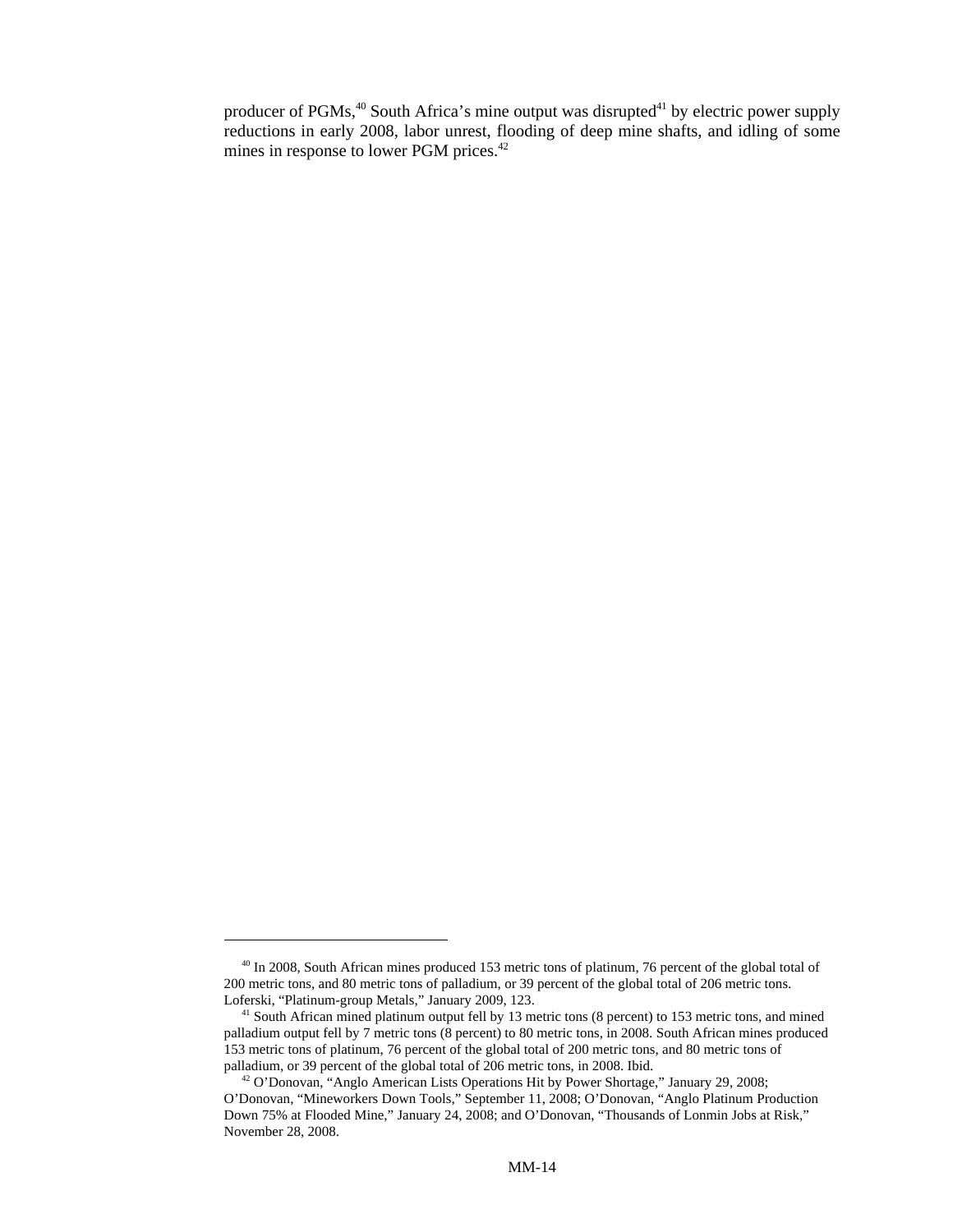producer of  $PGMs<sup>40</sup>$  South Africa's mine output was disrupted<sup>41</sup> by electric power supply reductions in early 2008, labor unrest, flooding of deep mine shafts, and idling of some mines in response to lower PGM prices.<sup>42</sup>

<sup>&</sup>lt;sup>40</sup> In 2008, South African mines produced 153 metric tons of platinum, 76 percent of the global total of 200 metric tons, and 80 metric tons of palladium, or 39 percent of the global total of 206 metric tons. Loferski, "Platinum-group Metals," January 2009, 123.

 <sup>41</sup> South African mined platinum output fell by 13 metric tons (8 percent) to 153 metric tons, and mined palladium output fell by 7 metric tons (8 percent) to 80 metric tons, in 2008. South African mines produced 153 metric tons of platinum, 76 percent of the global total of 200 metric tons, and 80 metric tons of palladium, or 39 percent of the global total of 206 metric tons, in 2008. Ibid.

 <sup>42</sup> O'Donovan, "Anglo American Lists Operations Hit by Power Shortage," January 29, 2008; O'Donovan, "Mineworkers Down Tools," September 11, 2008; O'Donovan, "Anglo Platinum Production Down 75% at Flooded Mine," January 24, 2008; and O'Donovan, "Thousands of Lonmin Jobs at Risk," November 28, 2008.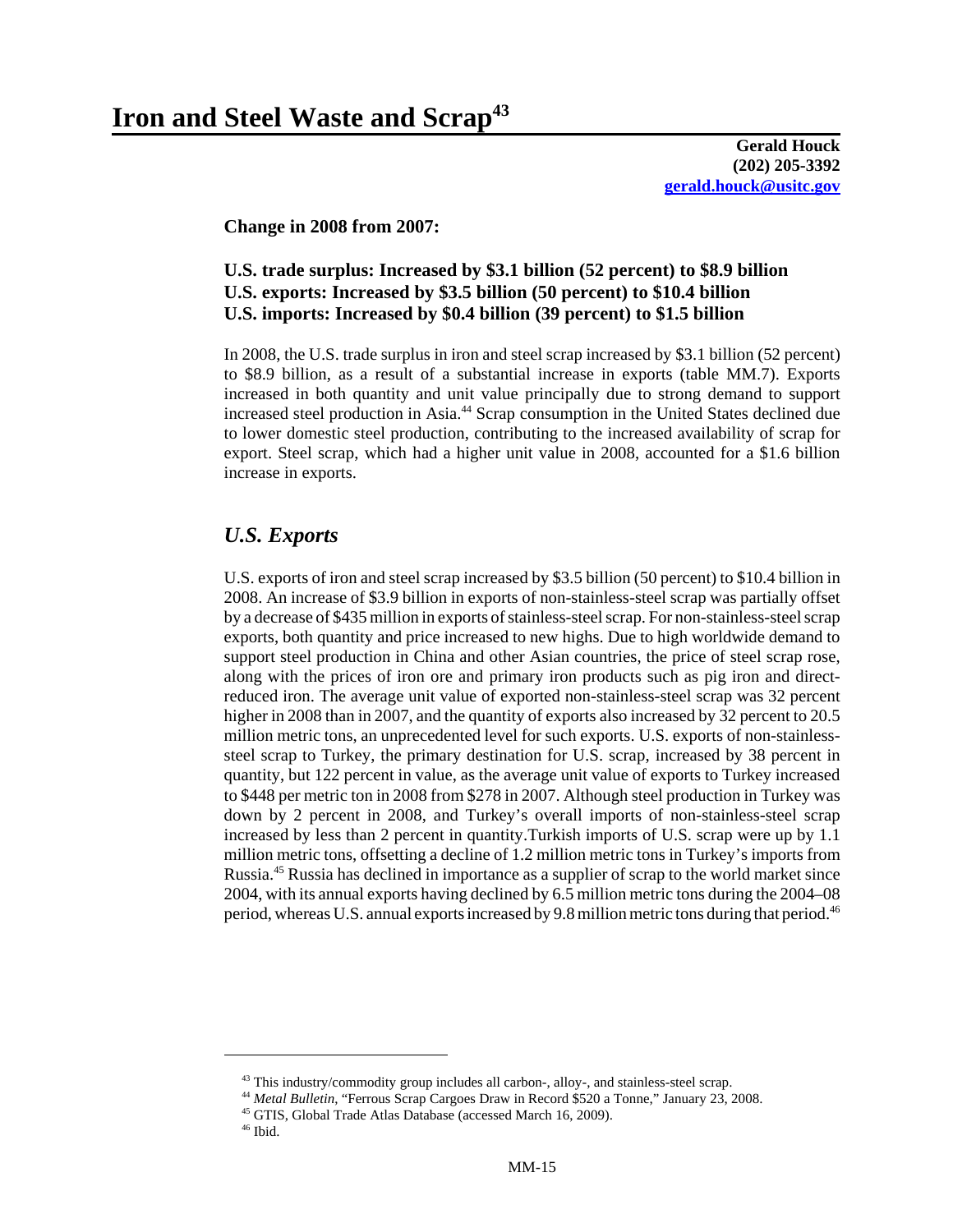**Gerald Houck (202) 205-3392 gerald.houck@usitc.gov**

**Change in 2008 from 2007:** 

#### **U.S. trade surplus: Increased by \$3.1 billion (52 percent) to \$8.9 billion U.S. exports: Increased by \$3.5 billion (50 percent) to \$10.4 billion U.S. imports: Increased by \$0.4 billion (39 percent) to \$1.5 billion**

In 2008, the U.S. trade surplus in iron and steel scrap increased by \$3.1 billion (52 percent) to \$8.9 billion, as a result of a substantial increase in exports (table MM.7). Exports increased in both quantity and unit value principally due to strong demand to support increased steel production in Asia.<sup>44</sup> Scrap consumption in the United States declined due to lower domestic steel production, contributing to the increased availability of scrap for export. Steel scrap, which had a higher unit value in 2008, accounted for a \$1.6 billion increase in exports.

## *U.S. Exports*

U.S. exports of iron and steel scrap increased by \$3.5 billion (50 percent) to \$10.4 billion in 2008. An increase of \$3.9 billion in exports of non-stainless-steel scrap was partially offset by a decrease of \$435 million in exports of stainless-steel scrap. For non-stainless-steel scrap exports, both quantity and price increased to new highs. Due to high worldwide demand to support steel production in China and other Asian countries, the price of steel scrap rose, along with the prices of iron ore and primary iron products such as pig iron and directreduced iron. The average unit value of exported non-stainless-steel scrap was 32 percent higher in 2008 than in 2007, and the quantity of exports also increased by 32 percent to 20.5 million metric tons, an unprecedented level for such exports. U.S. exports of non-stainlesssteel scrap to Turkey, the primary destination for U.S. scrap, increased by 38 percent in quantity, but 122 percent in value, as the average unit value of exports to Turkey increased to \$448 per metric ton in 2008 from \$278 in 2007. Although steel production in Turkey was down by 2 percent in 2008, and Turkey's overall imports of non-stainless-steel scrap increased by less than 2 percent in quantity.Turkish imports of U.S. scrap were up by 1.1 million metric tons, offsetting a decline of 1.2 million metric tons in Turkey's imports from Russia.45 Russia has declined in importance as a supplier of scrap to the world market since 2004, with its annual exports having declined by 6.5 million metric tons during the 2004–08 period, whereas U.S. annual exports increased by 9.8 million metric tons during that period.46

 $43$  This industry/commodity group includes all carbon-, alloy-, and stainless-steel scrap.

 <sup>44</sup> *Metal Bulletin*, "Ferrous Scrap Cargoes Draw in Record \$520 a Tonne," January 23, 2008.

 <sup>45</sup> GTIS, Global Trade Atlas Database (accessed March 16, 2009).

 $^{\rm 46}$  Ibid.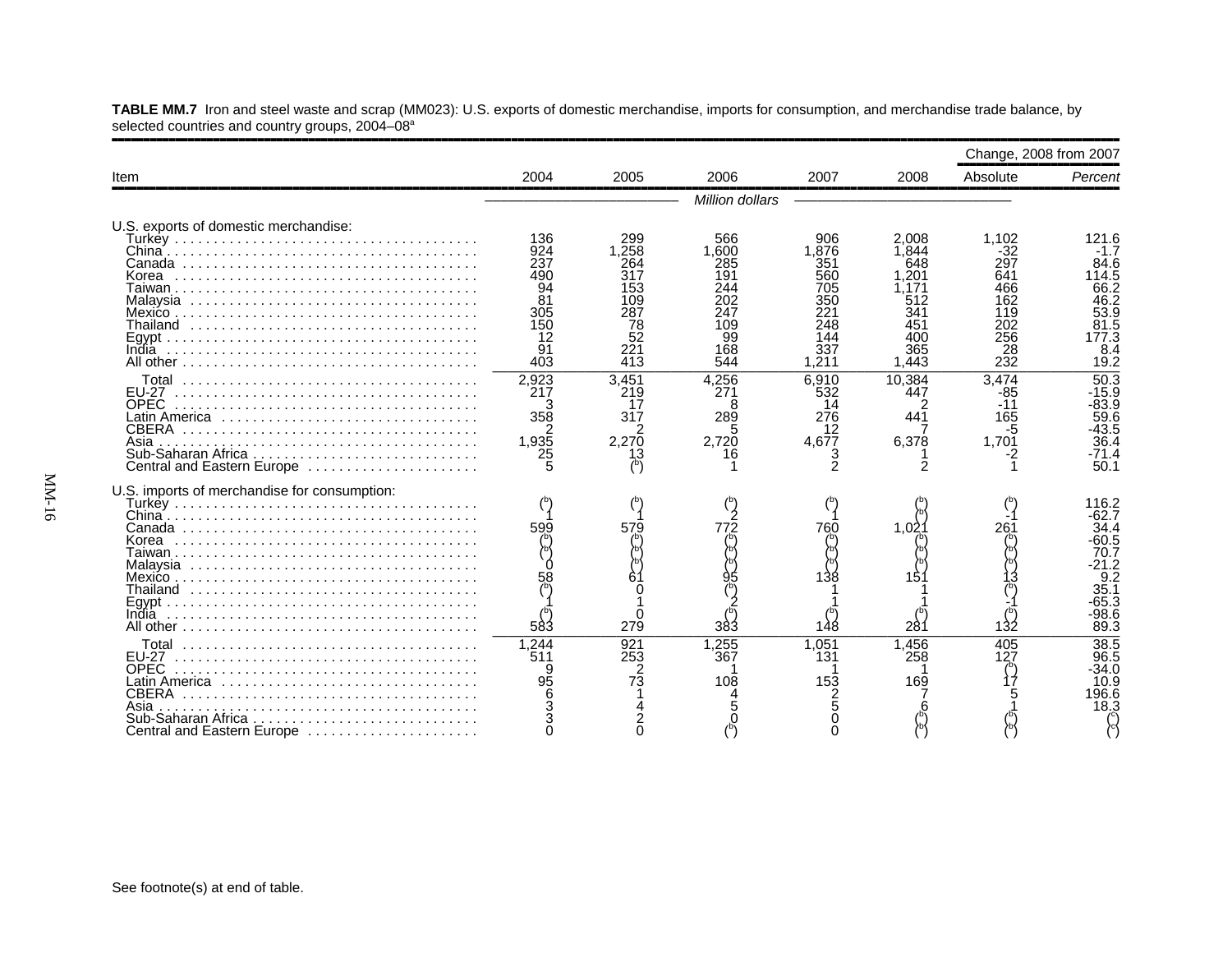|                                                                                                         |                                                    |                                                       |                                                        |                                                        |                                                    | Change, 2008 from 2007                                 |                                                                                                 |
|---------------------------------------------------------------------------------------------------------|----------------------------------------------------|-------------------------------------------------------|--------------------------------------------------------|--------------------------------------------------------|----------------------------------------------------|--------------------------------------------------------|-------------------------------------------------------------------------------------------------|
| Item                                                                                                    | 2004                                               | 2005                                                  | 2006                                                   | 2007                                                   | 2008                                               | Absolute                                               | Percent                                                                                         |
|                                                                                                         |                                                    |                                                       | Million dollars                                        |                                                        |                                                    |                                                        |                                                                                                 |
| U.S. exports of domestic merchandise:<br>Korea                                                          | 136<br>924<br>237<br>490<br>94<br>81<br>305<br>150 | 299<br>1.258<br>264<br>317<br>153<br>109<br>287<br>78 | 566<br>1.600<br>285<br>191<br>244<br>202<br>247<br>109 | 906<br>1.876<br>351<br>560<br>705<br>350<br>221<br>248 | 2.008<br>1.844<br>648<br>.201<br>512<br>341<br>451 | 1.102<br>-32<br>297<br>641<br>466<br>162<br>119<br>202 | 121.6<br>$-1.7$<br>84.6<br>114.5<br>66.2<br>46.2<br>53.9<br>81.5                                |
|                                                                                                         | 12<br>91<br>403                                    | 52<br>221<br>413                                      | 99<br>168<br>544                                       | 144<br>337<br>1,211                                    | 400<br>365<br>1,443                                | 256<br>28<br>232                                       | 177.3<br>8.4<br>19.2                                                                            |
| <b>EU-27</b><br><b>OPEC</b><br>Latin America<br>Asia<br>Central and Eastern Europe                      | 2.923<br>217<br>358<br>2<br>1,935<br>25            | 3.451<br>219<br>17<br>317<br>2<br>2,270<br>13         | 4.256<br>271<br>8<br>289<br>5<br>2.720<br>16           | 6.910<br>532<br>14<br>276<br>12<br>4.677               | 10.384<br>447<br>441<br>6,378                      | 3.474<br>-85<br>$-11$<br>165<br>-5<br>1,701            | 50.3<br>$-15.9$<br>-83.9<br>59.6<br>$-43.5$<br>36.4<br>4.71-<br>50.1                            |
| U.S. imports of merchandise for consumption:                                                            | 599<br>583                                         | 579<br>279                                            | 772<br>383                                             | 760<br>148                                             | 1.02<br>28٬                                        | 26٬<br>132                                             | 116.2<br>-62.7<br>34.4<br>-60.5<br>70.7<br>$-21.2$<br>9.2<br>35.1<br>$-65.3$<br>$-98.6$<br>89.3 |
| <b>FU-27</b><br><b>OPEC</b><br><b>CBERA</b><br>Asia<br>Sub-Saharan Africa<br>Central and Eastern Europe | 1,244<br>511<br>95                                 | 921<br>253<br>2<br>$7\overline{3}$                    | 1,255<br>367<br>108                                    | 1.051<br>131<br>153                                    | 1,456<br>258<br>169                                | 405                                                    | 38.5<br>96.5<br>$-34.0$<br>10.9<br>196.6<br>18.3                                                |

**TABLE MM.7** Iron and steel waste and scrap (MM023): U.S. exports of domestic merchandise, imports for consumption, and merchandise trade balance, by selected countries and country groups, 2004–08ª

,,,,,,,,,,,,,,,,,,,,,,,,,,,,,,,,,,,,,,,,,,,,,,,,,,,,,,,,,,,,,,,,,,,,,,,,,,,,,,,,,,,,,,,,,,,,,,,,,,,,,,,,,,,,,,,,,,,,,,,,,,,,,,,,,,,,,,,,,,,,,,,,,,,,,,,,,,,,,,,,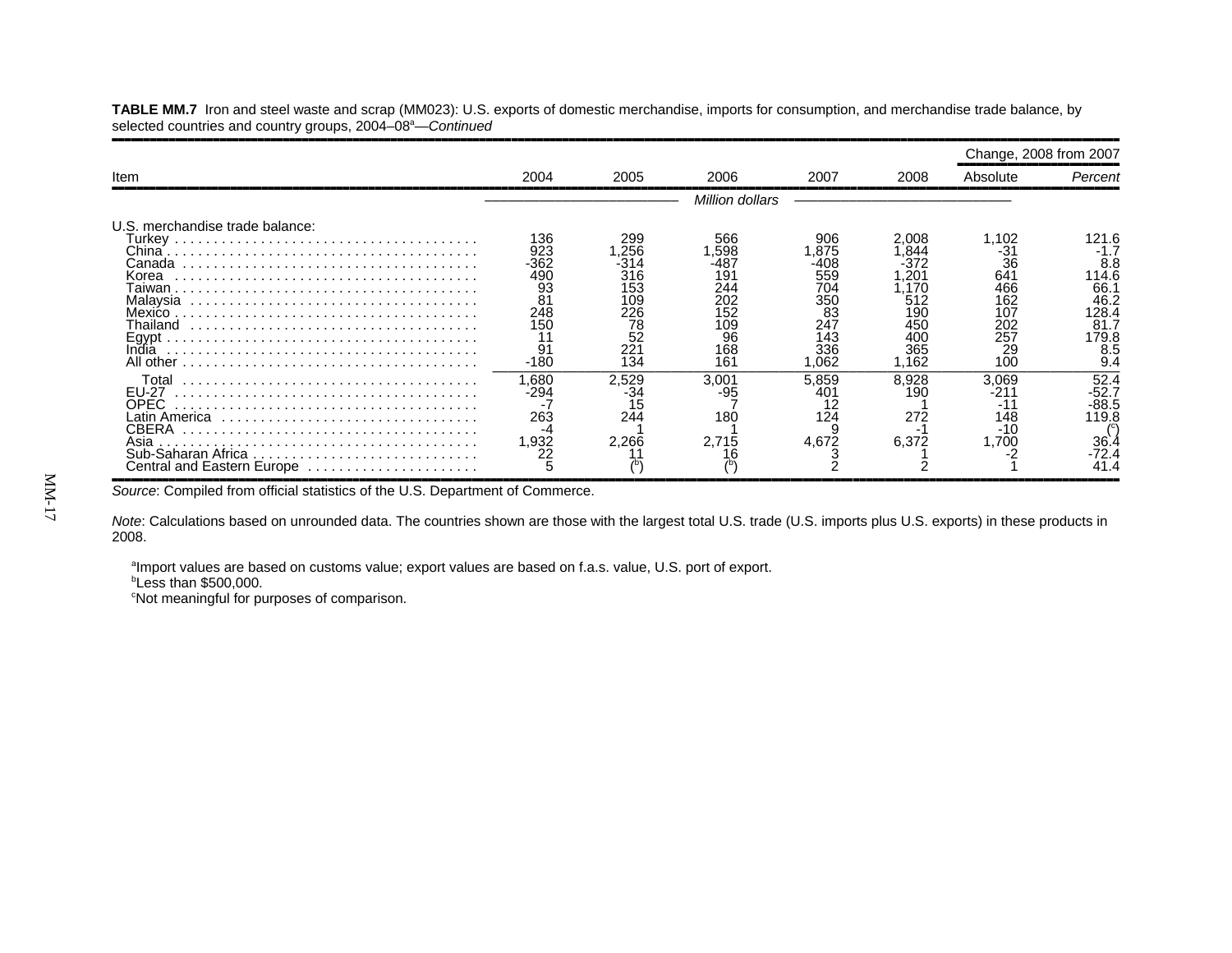**TABLE MM.7** Iron and steel waste and scrap (MM023): U.S. exports of domestic merchandise, imports for consumption, and merchandise trade balance, by selected countries and country groups, 2004–08<sup>a</sup>—*Continued* 

,,,,,,,,,,,,,,,,,,,,,,,,,,,,,,,,,,,,,,,,,,,,,,,,,,,,,,,,,,,,,,,,,,,,,,,,,,,,,,,,,,,,,,,,,,,,,,,,,,,,,,,,,,,,,,,,,,,,,,,,,,,,,,,,,,,,,,,,,,,,,,,,,,,,,,,,,,,,,,,,

|                                                                                    |                                                                     |                                                                         |                                                                            |                                                                              |                                                                                   | Change, 2008 from 2007                                                    |                                                              |
|------------------------------------------------------------------------------------|---------------------------------------------------------------------|-------------------------------------------------------------------------|----------------------------------------------------------------------------|------------------------------------------------------------------------------|-----------------------------------------------------------------------------------|---------------------------------------------------------------------------|--------------------------------------------------------------|
| Item                                                                               | 2004                                                                | 2005                                                                    | 2006                                                                       | 2007                                                                         | 2008                                                                              | Absolute                                                                  | Percent                                                      |
|                                                                                    |                                                                     |                                                                         | Million dollars                                                            |                                                                              |                                                                                   |                                                                           |                                                              |
| U.S. merchandise trade balance:<br>Canada<br>Korea<br>Mexico.<br>[hailand<br>India | 136<br>923<br>-362<br>490<br>93<br>81<br>248<br>150<br>91<br>$-180$ | 299<br>.256<br>-314<br>316<br>53<br>09<br>226<br>78<br>52<br>221<br>134 | 566<br>.598<br>-487<br>191<br>244<br>202<br>152<br>109<br>96<br>168<br>161 | 906<br>.875<br>-408<br>559<br>704<br>350<br>83<br>247<br>143<br>336<br>1.062 | 2.008<br>.844<br>:372<br>20′.<br>.170<br>512<br>19C<br>450<br>400<br>365<br>1.162 | 1,102<br>-31<br>36<br>641<br>466<br>162<br>107<br>202<br>257<br>29<br>100 | 8.8<br>14.6<br>66.7<br>46.2<br>128.4<br>81.7<br>179.8<br>8.5 |
| Total<br>EU-27<br>OPEC.<br>Asia<br>Central and Eastern Europe                      | .680<br>-294<br>263<br>-4<br>.932<br>22                             | 2,529<br>15<br>244<br>2.266                                             | 3.001<br>-95<br>180<br>2.715                                               | 5.859<br>401<br>124<br>4,672                                                 | 8.928<br>19C<br>272<br>6,372                                                      | 3.069<br>-211<br>-11<br>148<br>$-10$<br>1.700                             | 52.4<br>-52.7<br>$-88.5$<br>119.8<br>36.4<br>$-72.4$<br>41.4 |

*Source*: Compiled from official statistics of the U.S. Department of Commerce.

*Note*: Calculations based on unrounded data. The countries shown are those with the largest total U.S. trade (U.S. imports plus U.S. exports) in these products in 2008.

aImport values are based on customs value; export values are based on f.a.s. value, U.S. port of export.

 $b$ Less than \$500,000.

<sup>c</sup>Not meaningful for purposes of comparison.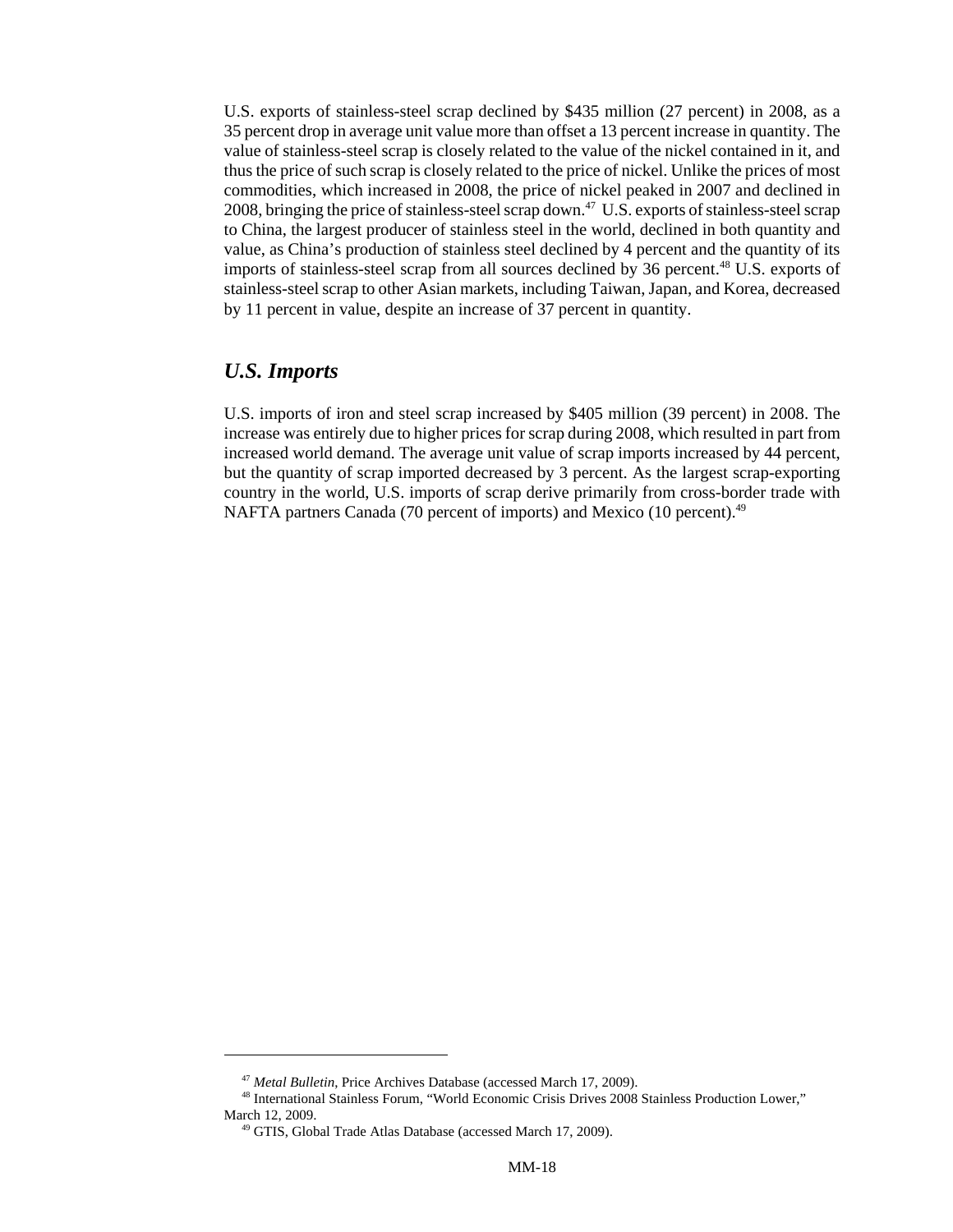U.S. exports of stainless-steel scrap declined by \$435 million (27 percent) in 2008, as a 35 percent drop in average unit value more than offset a 13 percent increase in quantity. The value of stainless-steel scrap is closely related to the value of the nickel contained in it, and thus the price of such scrap is closely related to the price of nickel. Unlike the prices of most commodities, which increased in 2008, the price of nickel peaked in 2007 and declined in 2008, bringing the price of stainless-steel scrap down.<sup>47</sup> U.S. exports of stainless-steel scrap to China, the largest producer of stainless steel in the world, declined in both quantity and value, as China's production of stainless steel declined by 4 percent and the quantity of its imports of stainless-steel scrap from all sources declined by 36 percent.<sup>48</sup> U.S. exports of stainless-steel scrap to other Asian markets, including Taiwan, Japan, and Korea, decreased by 11 percent in value, despite an increase of 37 percent in quantity.

#### *U.S. Imports*

U.S. imports of iron and steel scrap increased by \$405 million (39 percent) in 2008. The increase was entirely due to higher prices for scrap during 2008, which resulted in part from increased world demand. The average unit value of scrap imports increased by 44 percent, but the quantity of scrap imported decreased by 3 percent. As the largest scrap-exporting country in the world, U.S. imports of scrap derive primarily from cross-border trade with NAFTA partners Canada (70 percent of imports) and Mexico (10 percent).<sup>49</sup>

 <sup>47</sup> *Metal Bulletin*, Price Archives Database (accessed March 17, 2009).

 <sup>48</sup> International Stainless Forum, "World Economic Crisis Drives 2008 Stainless Production Lower," March 12, 2009.

 <sup>49</sup> GTIS, Global Trade Atlas Database (accessed March 17, 2009).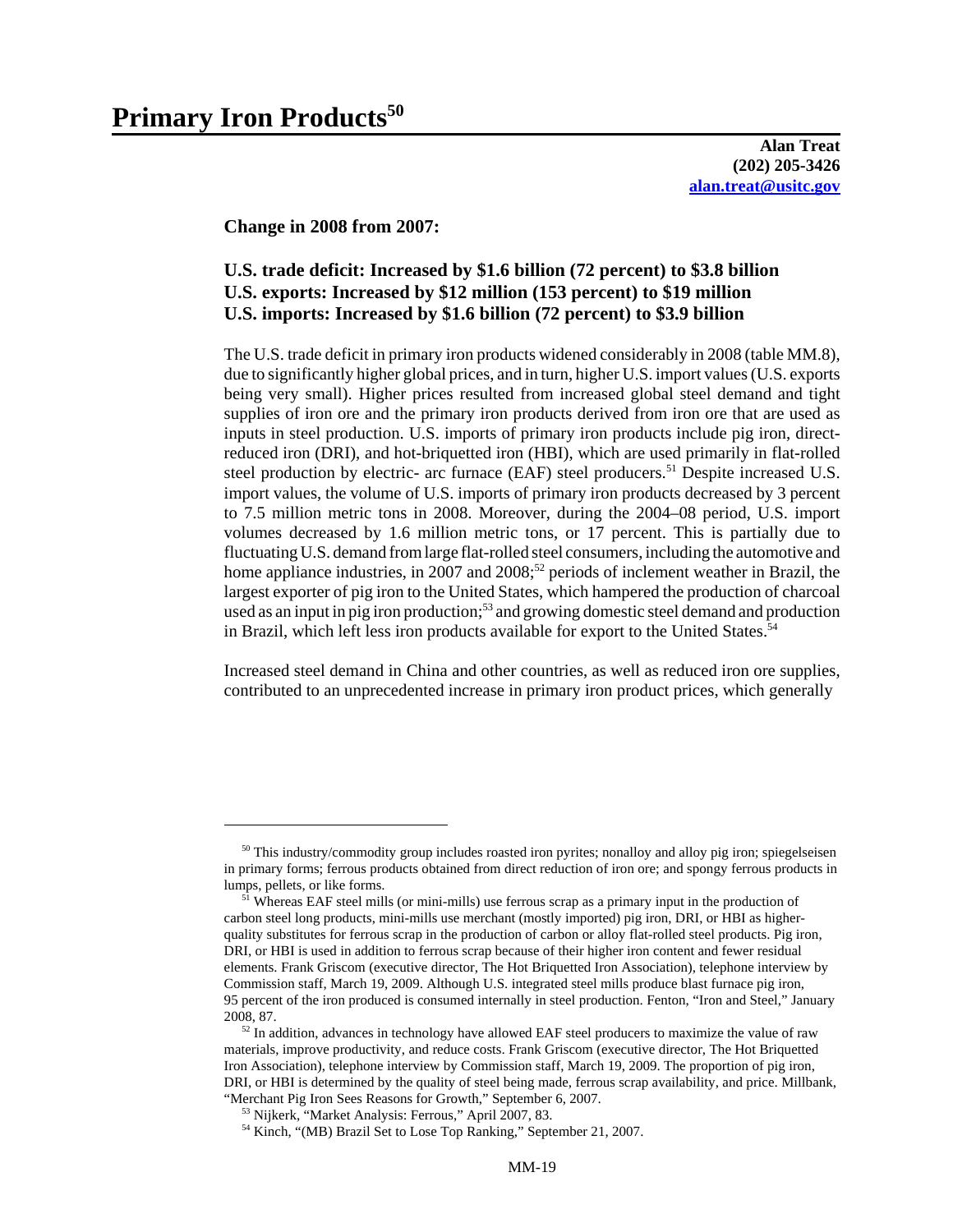**Alan Treat (202) 205-3426 alan.treat@usitc.gov**

**Change in 2008 from 2007:**

#### **U.S. trade deficit: Increased by \$1.6 billion (72 percent) to \$3.8 billion U.S. exports: Increased by \$12 million (153 percent) to \$19 million U.S. imports: Increased by \$1.6 billion (72 percent) to \$3.9 billion**

The U.S. trade deficit in primary iron products widened considerably in 2008 (table MM.8), due to significantly higher global prices, and in turn, higher U.S. import values (U.S. exports being very small). Higher prices resulted from increased global steel demand and tight supplies of iron ore and the primary iron products derived from iron ore that are used as inputs in steel production. U.S. imports of primary iron products include pig iron, directreduced iron (DRI), and hot-briquetted iron (HBI), which are used primarily in flat-rolled steel production by electric- arc furnace (EAF) steel producers.<sup>51</sup> Despite increased U.S. import values, the volume of U.S. imports of primary iron products decreased by 3 percent to 7.5 million metric tons in 2008. Moreover, during the 2004–08 period, U.S. import volumes decreased by 1.6 million metric tons, or 17 percent. This is partially due to fluctuating U.S. demand from large flat-rolled steel consumers, including the automotive and home appliance industries, in 2007 and 2008;<sup>52</sup> periods of inclement weather in Brazil, the largest exporter of pig iron to the United States, which hampered the production of charcoal used as an input in pig iron production;<sup>53</sup> and growing domestic steel demand and production in Brazil, which left less iron products available for export to the United States.<sup>54</sup>

Increased steel demand in China and other countries, as well as reduced iron ore supplies, contributed to an unprecedented increase in primary iron product prices, which generally

 $50$  This industry/commodity group includes roasted iron pyrites; nonalloy and alloy pig iron; spiegelseisen in primary forms; ferrous products obtained from direct reduction of iron ore; and spongy ferrous products in lumps, pellets, or like forms.

<sup>&</sup>lt;sup>51</sup> Whereas EAF steel mills (or mini-mills) use ferrous scrap as a primary input in the production of carbon steel long products, mini-mills use merchant (mostly imported) pig iron, DRI, or HBI as higherquality substitutes for ferrous scrap in the production of carbon or alloy flat-rolled steel products. Pig iron, DRI, or HBI is used in addition to ferrous scrap because of their higher iron content and fewer residual elements. Frank Griscom (executive director, The Hot Briquetted Iron Association), telephone interview by Commission staff, March 19, 2009. Although U.S. integrated steel mills produce blast furnace pig iron, 95 percent of the iron produced is consumed internally in steel production. Fenton, "Iron and Steel," January 2008, 87.

 $52$  In addition, advances in technology have allowed EAF steel producers to maximize the value of raw materials, improve productivity, and reduce costs. Frank Griscom (executive director, The Hot Briquetted Iron Association), telephone interview by Commission staff, March 19, 2009. The proportion of pig iron, DRI, or HBI is determined by the quality of steel being made, ferrous scrap availability, and price. Millbank, "Merchant Pig Iron Sees Reasons for Growth," September 6, 2007.

 <sup>53</sup> Nijkerk, "Market Analysis: Ferrous," April 2007, 83.

 <sup>54</sup> Kinch, "(MB) Brazil Set to Lose Top Ranking," September 21, 2007.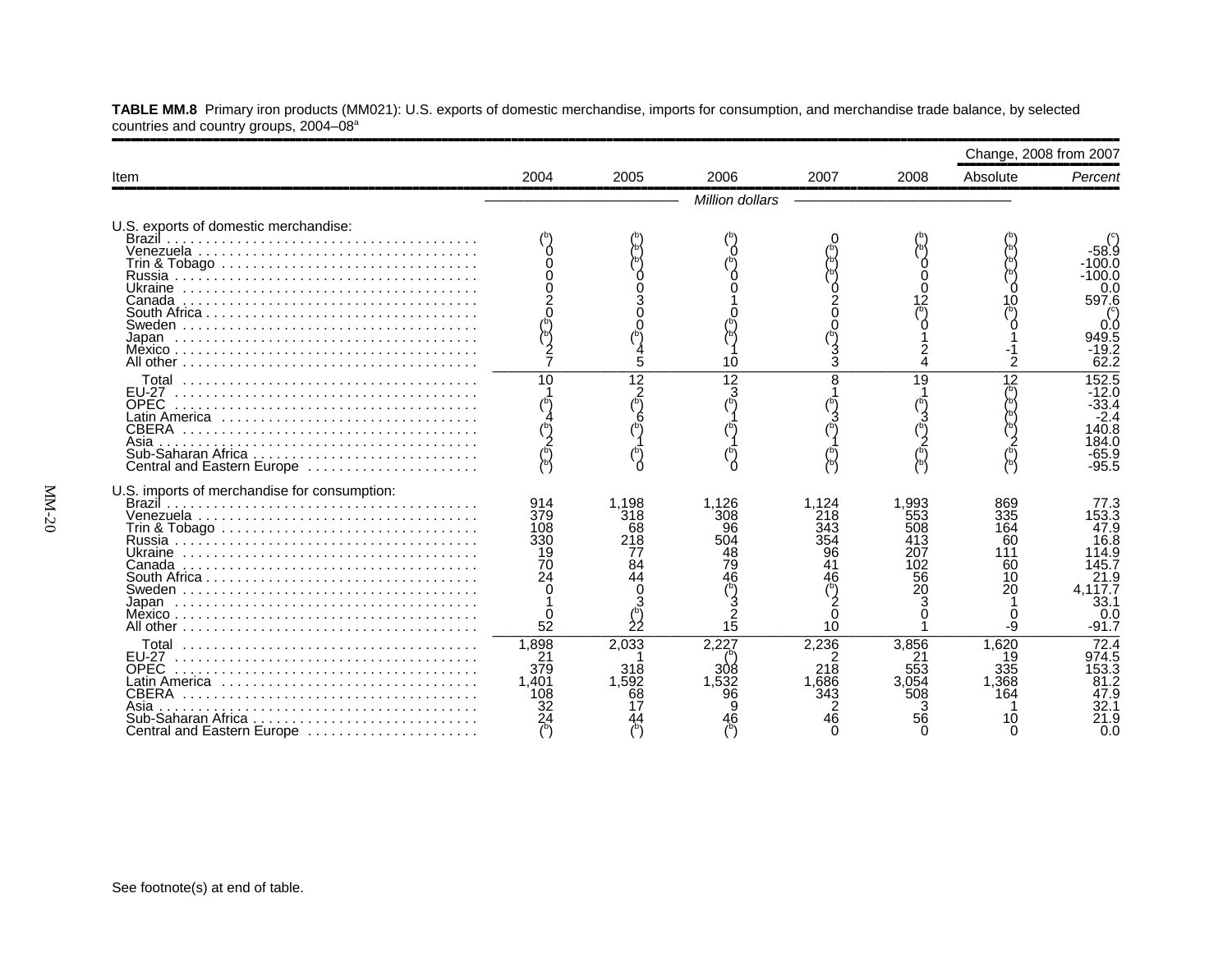**TABLE MM.8** Primary iron products (MM021): U.S. exports of domestic merchandise, imports for consumption, and merchandise trade balance, by selected countries and country groups, 2004–08ª

|                                                                                                                     |                                                  |                                            |                                                   |                                                    |                                                      | Change, 2008 from 2007                           |                                                                                                       |
|---------------------------------------------------------------------------------------------------------------------|--------------------------------------------------|--------------------------------------------|---------------------------------------------------|----------------------------------------------------|------------------------------------------------------|--------------------------------------------------|-------------------------------------------------------------------------------------------------------|
| Item                                                                                                                | 2004                                             | 2005                                       | 2006                                              | 2007                                               | 2008                                                 | Absolute                                         | Percent                                                                                               |
|                                                                                                                     |                                                  |                                            | Million dollars                                   |                                                    |                                                      |                                                  |                                                                                                       |
| U.S. exports of domestic merchandise:<br>Brazil<br>South Africa<br>Japan                                            |                                                  | 5                                          | 10                                                | 3                                                  |                                                      |                                                  | 100.0<br>$-100.0$<br>0.0<br>597.6<br>0.0<br>949.5<br>-19.2<br>62.2                                    |
| EU-27<br><b>OPEC</b><br>Latin America<br><b>CBERA</b><br>Asia<br>Central and Eastern Europe                         | 10                                               | 12<br>$\frac{2}{(5)}$                      | 12                                                | 8                                                  | 19                                                   | 12                                               | 152.5<br>-12.0<br>$-33.4$<br>$-2.4$<br>140.8<br>84.0<br>65.9<br>$-95.5$                               |
| U.S. imports of merchandise for consumption:<br>Ukraine<br>South Africa $\ldots \ldots \ldots \ldots \ldots \ldots$ | 914<br>379<br>108<br>330<br>19<br>70<br>24<br>52 | 1.198<br>318<br>68<br>218<br>84<br>44<br>0 | 1,126<br>308<br>96<br>504<br>48<br>79<br>46<br>15 | 1.124<br>218<br>343<br>354<br>96<br>41<br>46<br>10 | 1.993<br>553<br>508<br>413<br>207<br>102<br>56<br>20 | 869<br>335<br>164<br>60<br>111<br>60<br>10<br>20 | 77.3<br>153.3<br>47.9<br>16.8<br>14.9<br>145.7<br>21.9<br>4.117.7<br>33.1<br>0. <sub>C</sub><br>-91.7 |
| Total<br>EU-27<br><b>OPEC</b><br>Latin America<br>CBERA<br>Asia<br>Sub-Saharan Africa<br>Central and Eastern Europe | 1,898<br>21<br>379<br>1.401<br>108               | 2,033<br>318<br>1,592<br>68                | 2.227<br>308<br>96                                | 2,236<br>218<br>1.686<br>343<br>46                 | 3.856<br>553<br>3.054<br>508<br>56                   | 1,620<br>19<br>335<br>1,368<br>164<br>10         | 72.4<br>974.5<br>153.3<br>81.2<br>47.9<br>32.1<br>21.9<br>n c                                         |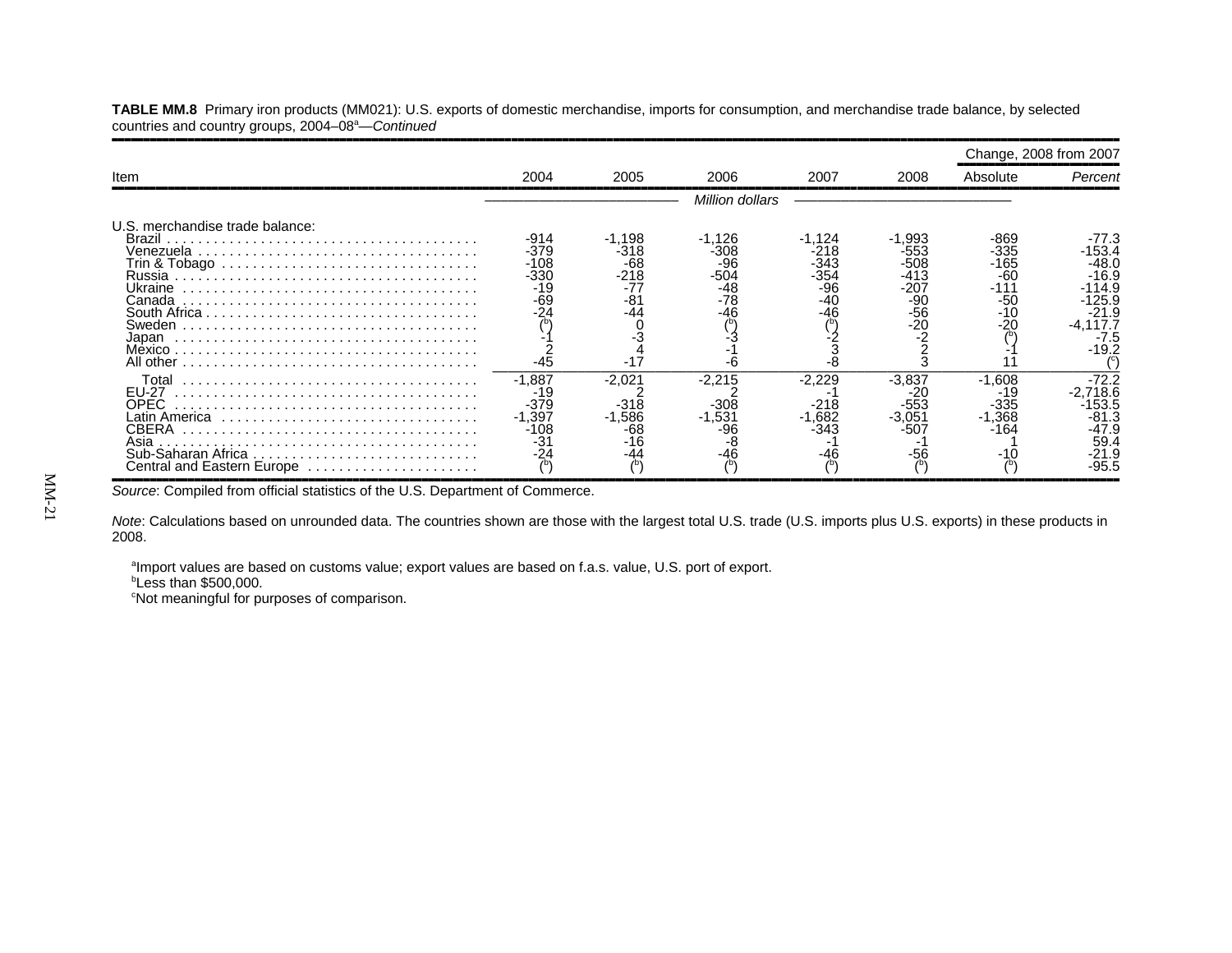**TABLE MM.8** Primary iron products (MM021): U.S. exports of domestic merchandise, imports for consumption, and merchandise trade balance, by selected countries and country groups, 2004–08<sup>a</sup>—Continued

|                                                                                                                                                                                                |                                                               |                                                          |                                                        |                                                       |                                                            |                                                           | Change, 2008 from 2007                                                                                   |
|------------------------------------------------------------------------------------------------------------------------------------------------------------------------------------------------|---------------------------------------------------------------|----------------------------------------------------------|--------------------------------------------------------|-------------------------------------------------------|------------------------------------------------------------|-----------------------------------------------------------|----------------------------------------------------------------------------------------------------------|
| Item                                                                                                                                                                                           | 2004                                                          | 2005                                                     | 2006                                                   | 2007                                                  | 2008                                                       | Absolute                                                  | Percent                                                                                                  |
|                                                                                                                                                                                                |                                                               |                                                          | <b>Million dollars</b>                                 |                                                       |                                                            |                                                           |                                                                                                          |
| U.S. merchandise trade balance:<br>Brazil<br>Venezuela<br>Trin & Tobago $\ldots \ldots \ldots \ldots \ldots \ldots \ldots \ldots \ldots \ldots \ldots$<br>Ukraine<br>Canada<br>Sweden<br>Japan | $-914$<br>$-379$<br>$-108$<br>-330<br>-19<br>$-69$<br>$-45$   | $-1,198$<br>-318<br>-68<br>$-218$<br>-81<br>-44<br>$-17$ | -1,126<br>-308<br>-96<br>$-504$<br>-48<br>$-78$<br>-46 | $-1,124$<br>-218<br>-343<br>-354<br>-96<br>-40<br>-46 | $-1,993$<br>-553<br>$-508$<br>$-413$<br>-207<br>-90<br>-56 | -869<br>-335<br>-165<br>$-60$<br>-111<br>-50<br>-10<br>20 | -77.3<br>-153.4<br>$-48.0$<br>$-16.9$<br>$-114.9$<br>125.9<br>$-21.9$<br>$-4,117.7$<br>$-7.5$<br>$-19.2$ |
| Total<br>EU-27<br><b>OPEC</b><br>Asia<br>Central and Eastern Europe                                                                                                                            | $-1.887$<br>-19<br>$-379$<br>$-1.397$<br>-108<br>$-31$<br>-24 | -2,021<br>$-318$<br>$-1,586$<br>-68<br>$-16$             | -2,215<br>$-308$<br>$-1.531$<br>-46                    | -2,229<br>$-218$<br>$-1,682$<br>-343<br>-46           | -3.837<br>-553<br>$-3.05'$<br>-507                         | $-1.608$<br>19۰<br>$-335$<br>$-1,368$<br>-164             | $-72.2$<br>$-2,718.6$<br>153.5<br>$-81.3$<br>-47.9<br>59.4<br>-21.9<br>$-95.5$                           |

*Source*: Compiled from official statistics of the U.S. Department of Commerce.

*Note*: Calculations based on unrounded data. The countries shown are those with the largest total U.S. trade (U.S. imports plus U.S. exports) in these products in 2008.

aImport values are based on customs value; export values are based on f.a.s. value, U.S. port of export.

 $b$ Less than \$500,000.

cost meaningful for purposes of comparison.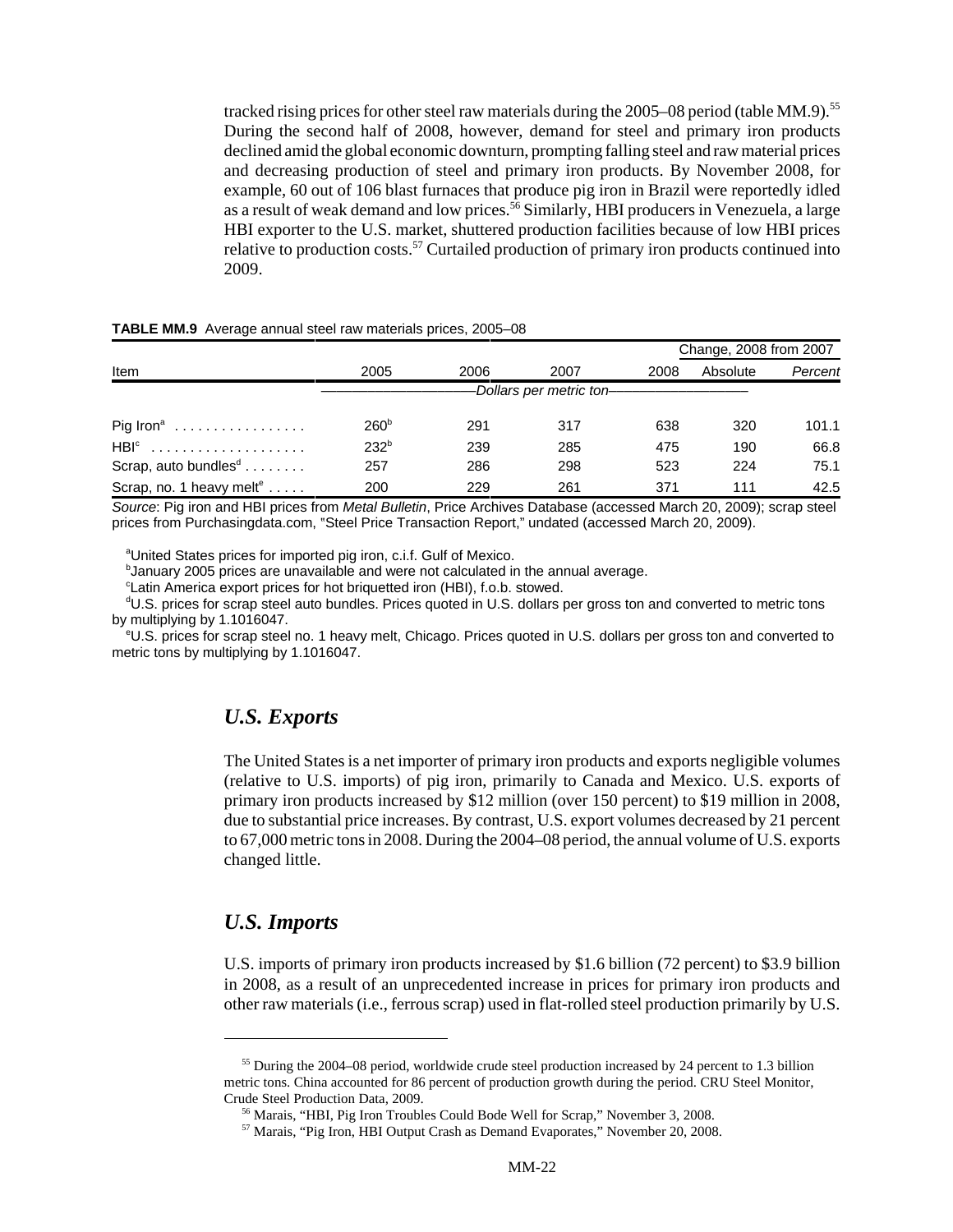tracked rising prices for other steel raw materials during the 2005–08 period (table MM.9).<sup>55</sup> During the second half of 2008, however, demand for steel and primary iron products declined amid the global economic downturn, prompting falling steel and raw material prices and decreasing production of steel and primary iron products. By November 2008, for example, 60 out of 106 blast furnaces that produce pig iron in Brazil were reportedly idled as a result of weak demand and low prices.<sup>56</sup> Similarly, HBI producers in Venezuela, a large HBI exporter to the U.S. market, shuttered production facilities because of low HBI prices relative to production costs.<sup>57</sup> Curtailed production of primary iron products continued into 2009.

#### **TABLE MM.9** Average annual steel raw materials prices, 2005–08

|                                      |                  |      |                          |      | Change, 2008 from 2007 |         |
|--------------------------------------|------------------|------|--------------------------|------|------------------------|---------|
| Item                                 | 2005             | 2006 | 2007                     | 2008 | Absolute               | Percent |
|                                      |                  |      | -Dollars per metric ton- |      |                        |         |
| $\text{Pig Iron}$                    | 260 <sup>b</sup> | 291  | 317                      | 638  | 320                    | 101.1   |
| HBI <sup>c</sup>                     | $232^{b}$        | 239  | 285                      | 475  | 190                    | 66.8    |
| Scrap, auto bundles <sup>d</sup>     | 257              | 286  | 298                      | 523  | 224                    | 75.1    |
| Scrap, no. 1 heavy melt <sup>e</sup> | 200              | 229  | 261                      | 371  | 111                    | 42.5    |

*Source*: Pig iron and HBI prices from *Metal Bulletin*, Price Archives Database (accessed March 20, 2009); scrap steel prices from Purchasingdata.com, "Steel Price Transaction Report," undated (accessed March 20, 2009).

<sup>a</sup>United States prices for imported pig iron, c.i.f. Gulf of Mexico.

<sup>b</sup>January 2005 prices are unavailable and were not calculated in the annual average.

<sup>c</sup>Latin America export prices for hot briquetted iron (HBI), f.o.b. stowed.

d U.S. prices for scrap steel auto bundles. Prices quoted in U.S. dollars per gross ton and converted to metric tons by multiplying by 1.1016047.

e U.S. prices for scrap steel no. 1 heavy melt, Chicago. Prices quoted in U.S. dollars per gross ton and converted to metric tons by multiplying by 1.1016047.

#### *U.S. Exports*

The United States is a net importer of primary iron products and exports negligible volumes (relative to U.S. imports) of pig iron, primarily to Canada and Mexico. U.S. exports of primary iron products increased by \$12 million (over 150 percent) to \$19 million in 2008, due to substantial price increases. By contrast, U.S. export volumes decreased by 21 percent to 67,000 metric tons in 2008. During the 2004–08 period, the annual volume of U.S. exports changed little.

#### *U.S. Imports*

U.S. imports of primary iron products increased by \$1.6 billion (72 percent) to \$3.9 billion in 2008, as a result of an unprecedented increase in prices for primary iron products and other raw materials (i.e., ferrous scrap) used in flat-rolled steel production primarily by U.S.

<sup>&</sup>lt;sup>55</sup> During the 2004–08 period, worldwide crude steel production increased by 24 percent to 1.3 billion metric tons. China accounted for 86 percent of production growth during the period. CRU Steel Monitor, Crude Steel Production Data, 2009.

 <sup>56</sup> Marais, "HBI, Pig Iron Troubles Could Bode Well for Scrap," November 3, 2008.

 <sup>57</sup> Marais, "Pig Iron, HBI Output Crash as Demand Evaporates," November 20, 2008.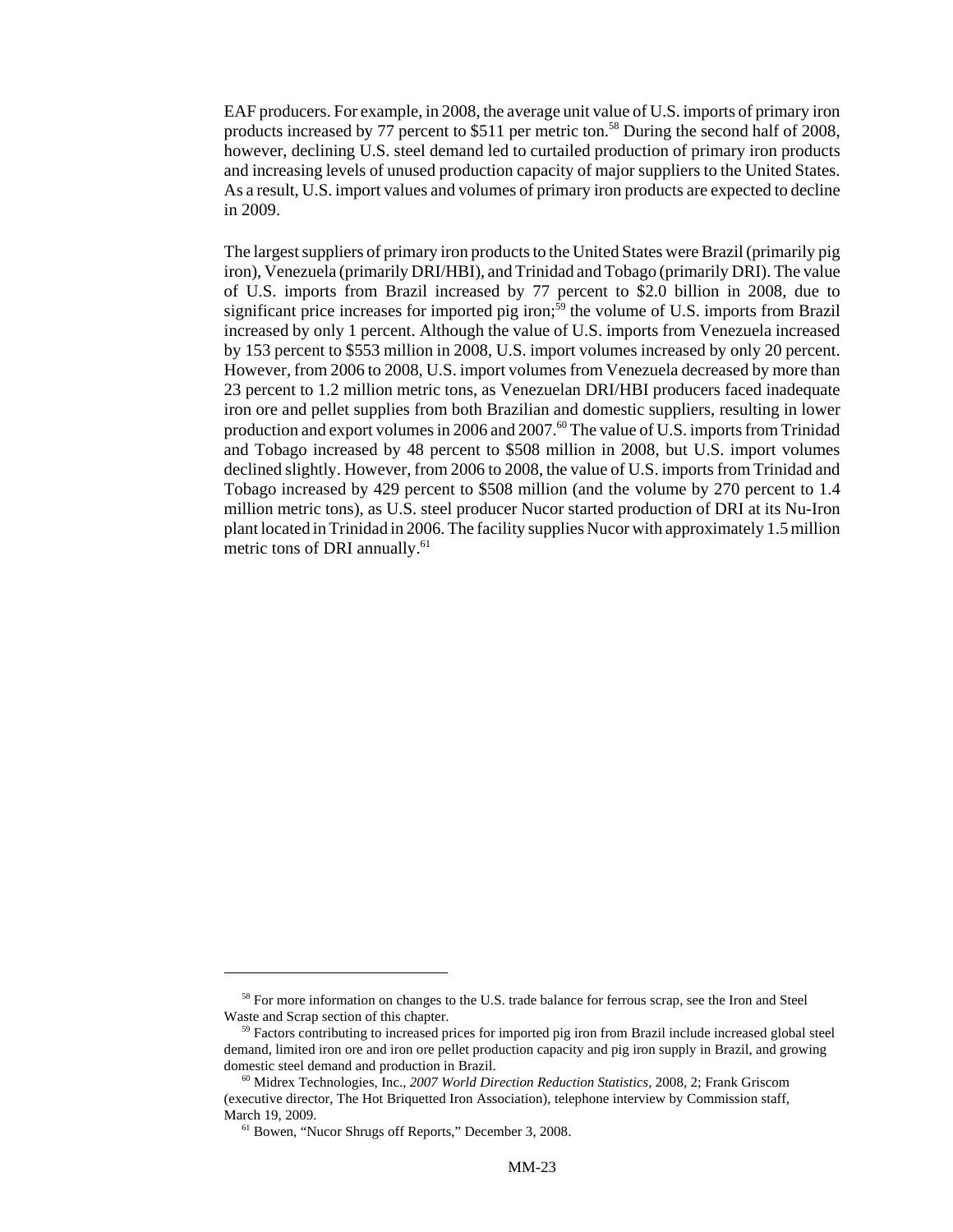EAF producers. For example, in 2008, the average unit value of U.S. imports of primary iron products increased by 77 percent to \$511 per metric ton.<sup>58</sup> During the second half of 2008, however, declining U.S. steel demand led to curtailed production of primary iron products and increasing levels of unused production capacity of major suppliers to the United States. As a result, U.S. import values and volumes of primary iron products are expected to decline in 2009.

The largest suppliers of primary iron products to the United States were Brazil (primarily pig iron), Venezuela (primarily DRI/HBI), and Trinidad and Tobago (primarily DRI). The value of U.S. imports from Brazil increased by 77 percent to \$2.0 billion in 2008, due to significant price increases for imported pig iron;<sup>59</sup> the volume of U.S. imports from Brazil increased by only 1 percent. Although the value of U.S. imports from Venezuela increased by 153 percent to \$553 million in 2008, U.S. import volumes increased by only 20 percent. However, from 2006 to 2008, U.S. import volumes from Venezuela decreased by more than 23 percent to 1.2 million metric tons, as Venezuelan DRI/HBI producers faced inadequate iron ore and pellet supplies from both Brazilian and domestic suppliers, resulting in lower production and export volumes in 2006 and 2007.<sup>60</sup> The value of U.S. imports from Trinidad and Tobago increased by 48 percent to \$508 million in 2008, but U.S. import volumes declined slightly. However, from 2006 to 2008, the value of U.S. imports from Trinidad and Tobago increased by 429 percent to \$508 million (and the volume by 270 percent to 1.4 million metric tons), as U.S. steel producer Nucor started production of DRI at its Nu-Iron plant located in Trinidad in 2006. The facility supplies Nucor with approximately 1.5 million metric tons of DRI annually.<sup>61</sup>

<sup>&</sup>lt;sup>58</sup> For more information on changes to the U.S. trade balance for ferrous scrap, see the Iron and Steel Waste and Scrap section of this chapter.

<sup>&</sup>lt;sup>59</sup> Factors contributing to increased prices for imported pig iron from Brazil include increased global steel demand, limited iron ore and iron ore pellet production capacity and pig iron supply in Brazil, and growing domestic steel demand and production in Brazil.

 <sup>60</sup> Midrex Technologies, Inc., *2007 World Direction Reduction Statistics*, 2008, 2; Frank Griscom (executive director, The Hot Briquetted Iron Association), telephone interview by Commission staff, March 19, 2009.

 <sup>61</sup> Bowen, "Nucor Shrugs off Reports," December 3, 2008.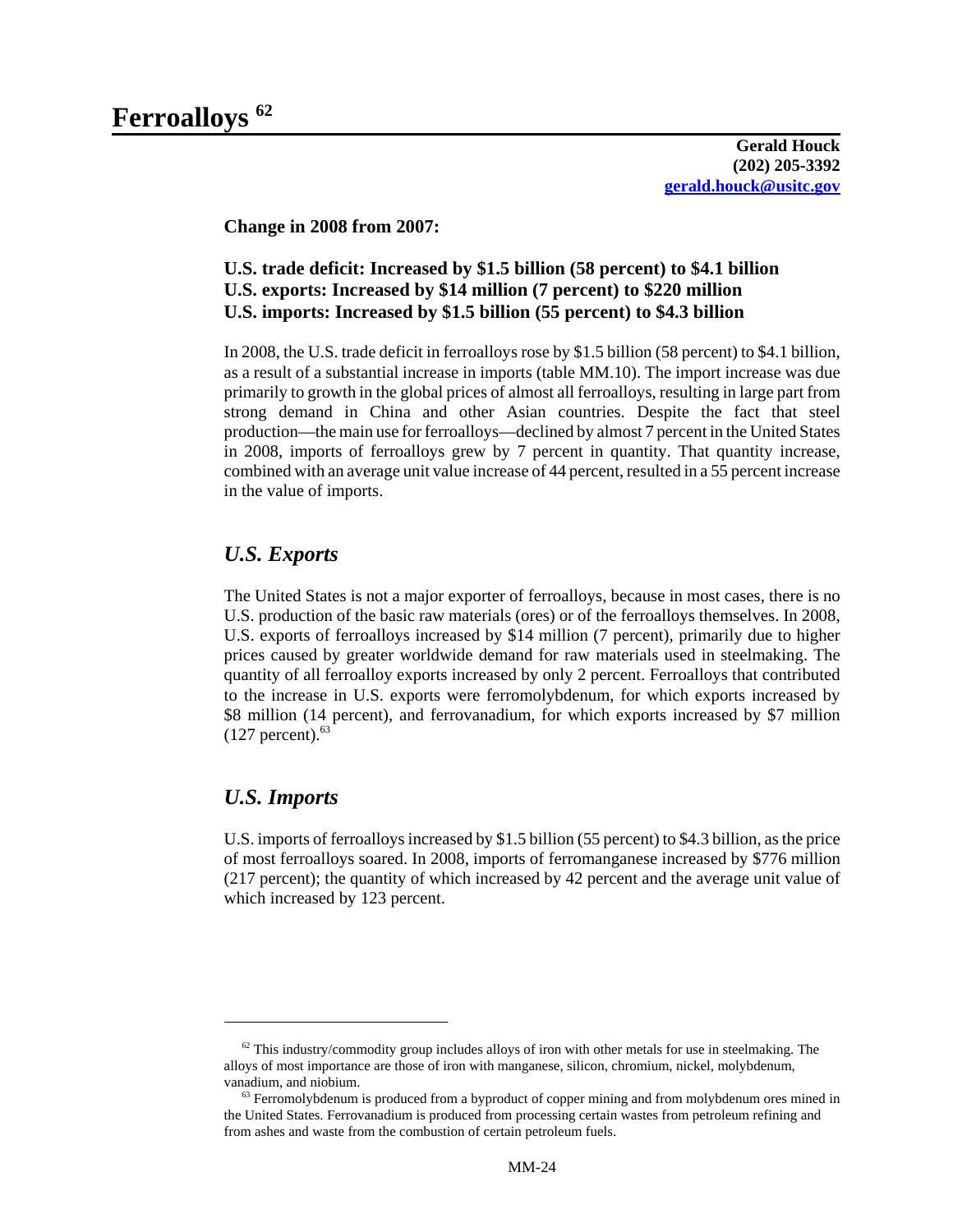**Change in 2008 from 2007:**

#### **U.S. trade deficit: Increased by \$1.5 billion (58 percent) to \$4.1 billion U.S. exports: Increased by \$14 million (7 percent) to \$220 million U.S. imports: Increased by \$1.5 billion (55 percent) to \$4.3 billion**

In 2008, the U.S. trade deficit in ferroalloys rose by \$1.5 billion (58 percent) to \$4.1 billion, as a result of a substantial increase in imports (table MM.10). The import increase was due primarily to growth in the global prices of almost all ferroalloys, resulting in large part from strong demand in China and other Asian countries. Despite the fact that steel production—the main use for ferroalloys—declined by almost 7 percent in the United States in 2008, imports of ferroalloys grew by 7 percent in quantity. That quantity increase, combined with an average unit value increase of 44 percent, resulted in a 55 percent increase in the value of imports.

## *U.S. Exports*

The United States is not a major exporter of ferroalloys, because in most cases, there is no U.S. production of the basic raw materials (ores) or of the ferroalloys themselves. In 2008, U.S. exports of ferroalloys increased by \$14 million (7 percent), primarily due to higher prices caused by greater worldwide demand for raw materials used in steelmaking. The quantity of all ferroalloy exports increased by only 2 percent. Ferroalloys that contributed to the increase in U.S. exports were ferromolybdenum, for which exports increased by \$8 million (14 percent), and ferrovanadium, for which exports increased by \$7 million  $(127$  percent).<sup>63</sup>

## *U.S. Imports*

U.S. imports of ferroalloys increased by \$1.5 billion (55 percent) to \$4.3 billion, as the price of most ferroalloys soared. In 2008, imports of ferromanganese increased by \$776 million (217 percent); the quantity of which increased by 42 percent and the average unit value of which increased by 123 percent.

 $62$  This industry/commodity group includes alloys of iron with other metals for use in steelmaking. The alloys of most importance are those of iron with manganese, silicon, chromium, nickel, molybdenum, vanadium, and niobium.

 $63$  Ferromolybdenum is produced from a byproduct of copper mining and from molybdenum ores mined in the United States. Ferrovanadium is produced from processing certain wastes from petroleum refining and from ashes and waste from the combustion of certain petroleum fuels.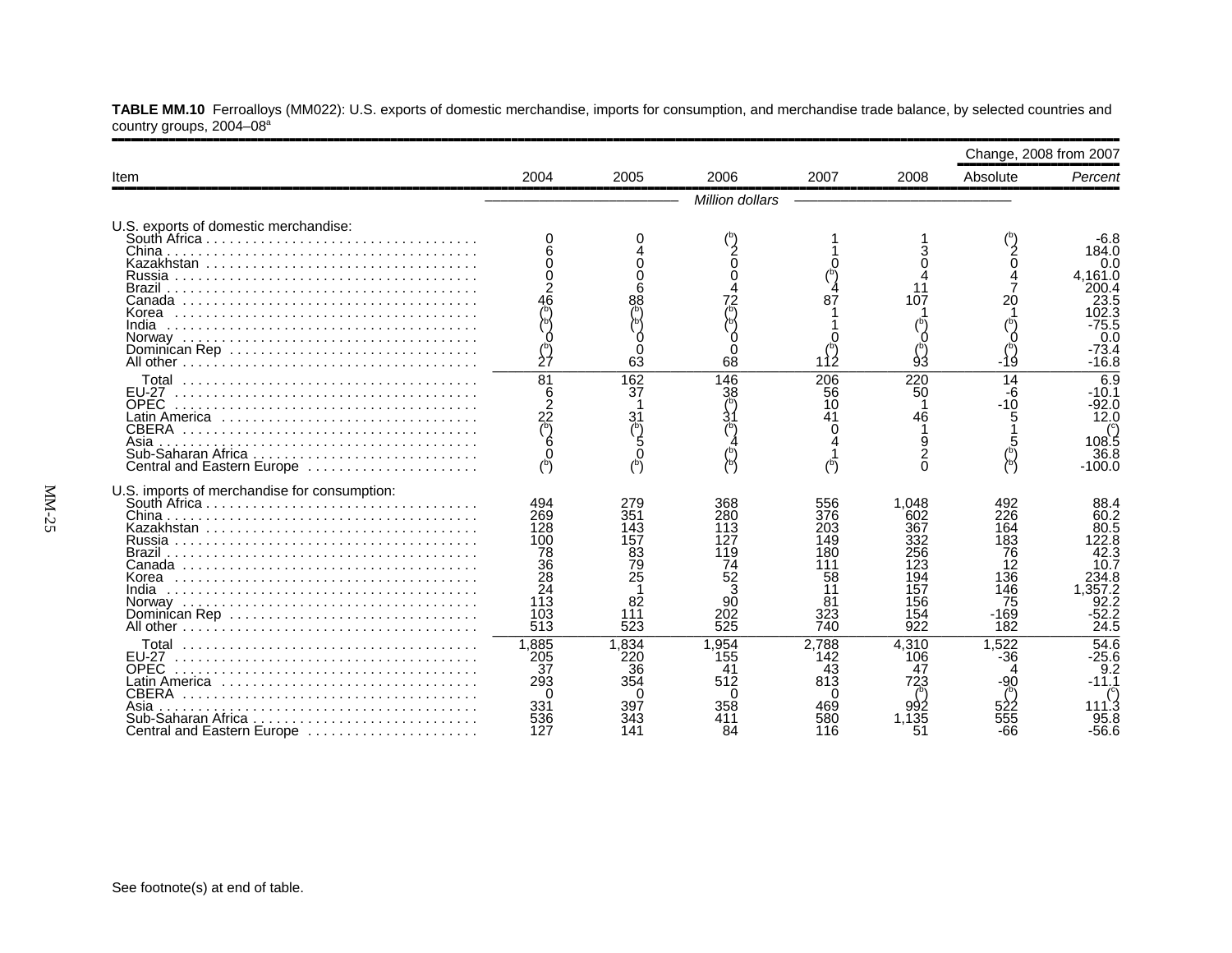**TABLE MM.10** Ferroalloys (MM022): U.S. exports of domestic merchandise, imports for consumption, and merchandise trade balance, by selected countries and country groups, 2004–08a

|                                                                                                                                                  |                                                                        |                                                                |                                                                           |                                                                 |                                                                             |                                                                           | Change, 2008 from 2007                                                                            |
|--------------------------------------------------------------------------------------------------------------------------------------------------|------------------------------------------------------------------------|----------------------------------------------------------------|---------------------------------------------------------------------------|-----------------------------------------------------------------|-----------------------------------------------------------------------------|---------------------------------------------------------------------------|---------------------------------------------------------------------------------------------------|
| <b>Item</b>                                                                                                                                      | 2004                                                                   | 2005                                                           | 2006                                                                      | 2007                                                            | 2008                                                                        | Absolute                                                                  | Percent                                                                                           |
|                                                                                                                                                  |                                                                        |                                                                | Million dollars                                                           |                                                                 |                                                                             |                                                                           |                                                                                                   |
| U.S. exports of domestic merchandise:<br>China<br>Canada<br>Korea<br>India                                                                       | 27                                                                     | 88<br>63                                                       | 68                                                                        | 87<br>112                                                       | 107<br>93                                                                   | 20<br>-19                                                                 | $-6.8$<br>184.0<br>0.0<br>4,161.0<br>200.4<br>23.5<br>102.3<br>-75.5<br>0.0<br>$-73.4$<br>$-16.8$ |
| Total<br>EU-27<br><b>OPEC</b><br>Latin America $\ldots \ldots \ldots \ldots \ldots \ldots \ldots$<br>CBERA<br>Asia<br>Central and Eastern Europe | 81<br>$\frac{22}{5}$                                                   | 162<br>37<br>31                                                | 146<br>38                                                                 | 206<br>56<br>10                                                 | 220<br>50<br>46                                                             | 14<br>-6<br>$-10$<br>5                                                    | 6.9<br>$-10.1$<br>$-92.0$<br>12.0<br>108.5<br>36.8<br>$-100.0$                                    |
| U.S. imports of merchandise for consumption:<br>Canada<br>Korea<br>India                                                                         | 494<br>269<br>128<br>100<br>78<br>$\frac{18}{28}$<br>113<br>103<br>513 | 279<br>351<br>143<br>157<br>83<br>79<br>25<br>82<br>111<br>523 | 368<br>280<br>113<br>127<br>119<br>74<br>.<br>52<br>3<br>90<br>202<br>525 | 556<br>376<br>203<br>49<br>180<br>111<br>58<br>81<br>323<br>740 | 1,048<br>602<br>367<br>332<br>256<br>123<br>194<br>157<br>156<br>154<br>922 | 492<br>226<br>164<br>183<br>76<br>12<br>136<br>146<br>75<br>$-169$<br>182 | 88.4<br>60.2<br>80.5<br>22.8<br>42.3<br>10.7<br>234.8<br>357.2<br>92.2<br>52.2<br>24.5            |
| EU-27<br>OPEC<br>Latin America ,,,,,,,,,,,,,,,,,,,,,,,,,,<br>CBERA<br>Asia<br>Sub-Saharan Africa<br>Central and Eastern Europe                   | 1,885<br>205<br>37<br>293<br>n<br>331<br>536<br>127                    | 1.834<br>220<br>36<br>354<br>397<br>343<br>141                 | 1,954<br>155<br>41<br>512<br>0<br>358<br>411<br>84                        | 2.788<br>142<br>43<br>813<br>0<br>469<br>580<br>116             | 4.310<br>106<br>47<br>723<br>l.135<br>51                                    | $\frac{1,522}{-36}$<br>-66                                                | $\frac{54.6}{25.6}$<br>9.2<br>$-11.1$<br>111.3<br>95.8<br>$-56.6$                                 |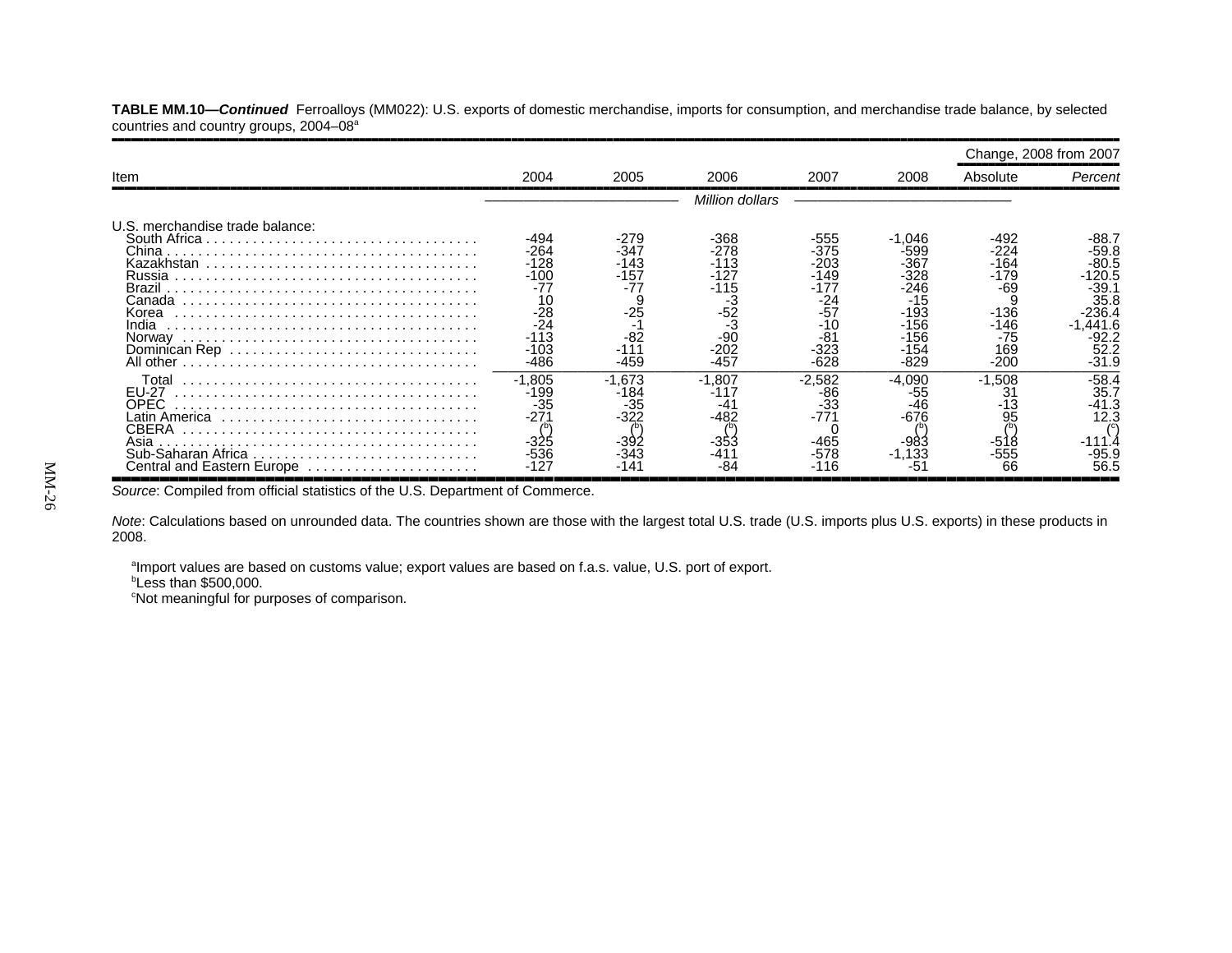**TABLE MM.10—***Continued* Ferroalloys (MM022): U.S. exports of domestic merchandise, imports for consumption, and merchandise trade balance, by selected countries and country groups, 2004-08<sup>a</sup> ,,,,,,,,,,,,,,,,,,,,,,,,,,,,,,,,,,,,,,,,,,,,,,,,,,,,,,,,,,,,,,,,,,,,,,,,,,,,,,,,,,,,,,,,,,,,,,,,,,,,,,,,,,,,,,,,,,,,,,,,,,,,,,,,,,,,,,,,,,,,,,,,,,,,,,,,,,,,,,,,

|                                                                                                                            |                                                                                                 |                                                                          |                                                                                                |                                                                                              |                                                                                                   | Change, 2008 from 2007                                                            |                                                                                                           |
|----------------------------------------------------------------------------------------------------------------------------|-------------------------------------------------------------------------------------------------|--------------------------------------------------------------------------|------------------------------------------------------------------------------------------------|----------------------------------------------------------------------------------------------|---------------------------------------------------------------------------------------------------|-----------------------------------------------------------------------------------|-----------------------------------------------------------------------------------------------------------|
| Item                                                                                                                       | 2004                                                                                            | 2005                                                                     | 2006                                                                                           | 2007                                                                                         | 2008                                                                                              | Absolute                                                                          | Percent                                                                                                   |
|                                                                                                                            |                                                                                                 |                                                                          | Million dollars                                                                                |                                                                                              |                                                                                                   |                                                                                   |                                                                                                           |
| U.S. merchandise trade balance:<br>China<br>Brazil<br>Canada<br>Korea<br>India                                             | -494<br>-264<br>$-128$<br>$-100$<br>$-77$<br>10<br>$-28$<br>$-24$<br>$-113$<br>$-103$<br>$-486$ | -279<br>-347<br>143<br>-157<br>-77<br>S<br>$-25$<br>÷<br>$-82$<br>$-459$ | $-368$<br>$-278$<br>$-113$<br>-127<br>$-115$<br>-3<br>$-52$<br>-3<br>$-90$<br>$-202$<br>$-457$ | -555<br>$-375$<br>$-203$<br>-149<br>-177<br>-24<br>$-57$<br>$-10$<br>$-81$<br>-323<br>$-628$ | -1.046<br>-599<br>-367<br>-328<br>$-246$<br>$-15$<br>$-193$<br>$-156$<br>$-156$<br>-154<br>$-829$ | -492<br>$-224$<br>-164<br>-179<br>-69<br>$-136$<br>-146<br>$-75$<br>169<br>$-200$ | -88.7<br>$-59.8$<br>$-80.5$<br>120.5<br>$-39.7$<br>35.8<br>$-236.4$<br>.441.6<br>-92.2<br>52.2<br>$-31.9$ |
| Total<br><b>EU-27</b><br>OPEC.<br>atin America<br><b>CBERA</b><br>Asia<br>Sub-Saharan Africa<br>Central and Eastern Europe | $-1.805$<br>-199<br>$-35$<br>$-27$<br>-325<br>$-536$<br>.127                                    | $-1,673$<br>184-<br>35-<br>-322                                          | $-1,807$<br>-117<br>$-4^{\circ}$<br>-482<br>-353                                               | $-2,582$<br>-86<br>$-33$<br>$-771$<br>$-465$<br>-578                                         | $-4.090$<br>-55<br>$-676$<br>-983<br>$-1,133$                                                     | $-1.508$<br>31<br>13<br>95<br>$-555$<br>66                                        | $-58.4$<br>35.7<br>-41.3<br>12.3<br>-95.9<br>56.5                                                         |

*Source*: Compiled from official statistics of the U.S. Department of Commerce.

*Note*: Calculations based on unrounded data. The countries shown are those with the largest total U.S. trade (U.S. imports plus U.S. exports) in these products in 2008.

aImport values are based on customs value; export values are based on f.a.s. value, U.S. port of export.

 $b$ Less than \$500,000.

<sup>c</sup>Not meaningful for purposes of comparison.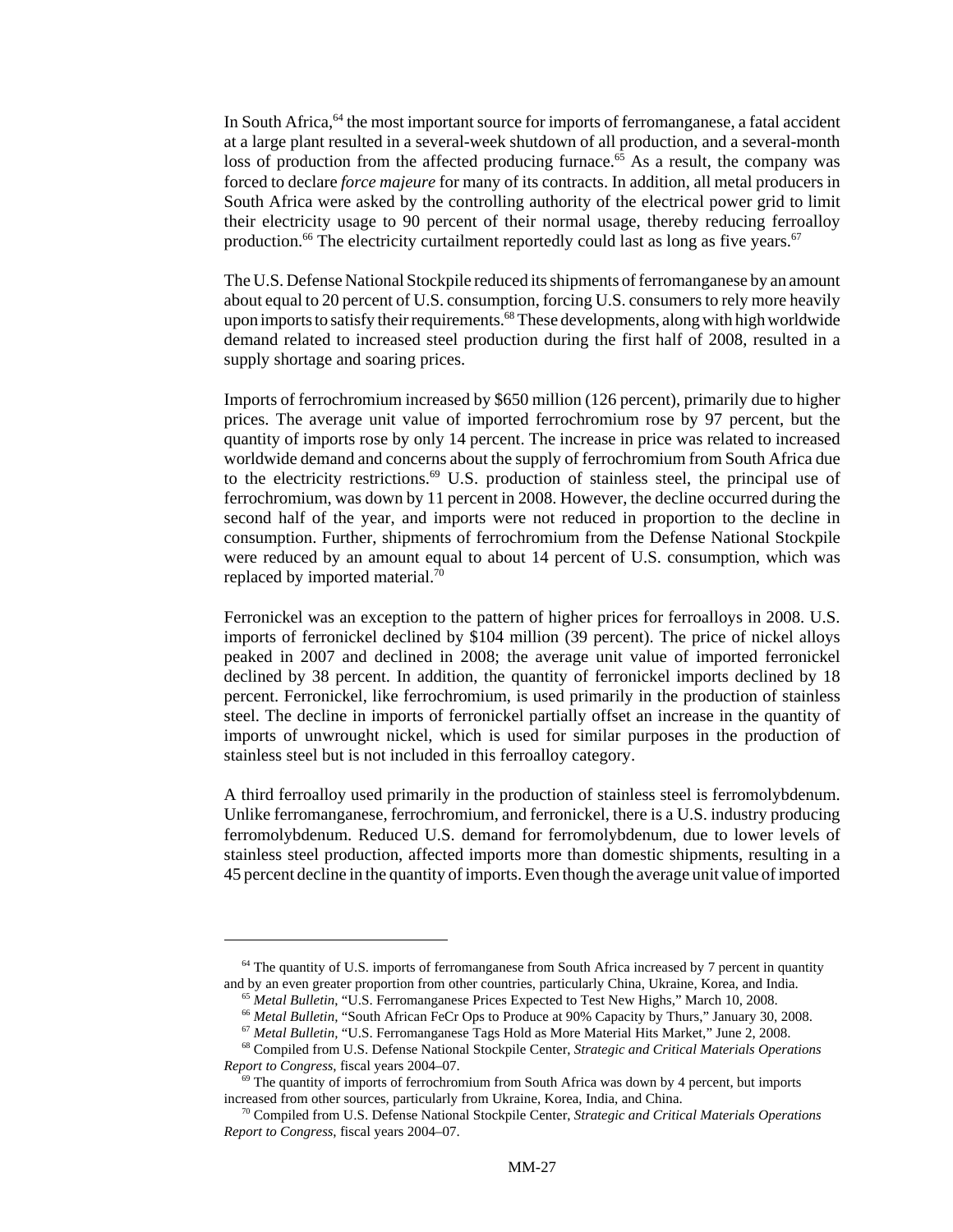In South Africa, <sup>64</sup> the most important source for imports of ferromanganese, a fatal accident at a large plant resulted in a several-week shutdown of all production, and a several-month loss of production from the affected producing furnace.<sup>65</sup> As a result, the company was forced to declare *force majeure* for many of its contracts. In addition, all metal producers in South Africa were asked by the controlling authority of the electrical power grid to limit their electricity usage to 90 percent of their normal usage, thereby reducing ferroalloy production.<sup>66</sup> The electricity curtailment reportedly could last as long as five years.<sup>67</sup>

The U.S. Defense National Stockpile reduced its shipments of ferromanganese by an amount about equal to 20 percent of U.S. consumption, forcing U.S. consumers to rely more heavily upon imports to satisfy their requirements.<sup>68</sup> These developments, along with high worldwide demand related to increased steel production during the first half of 2008, resulted in a supply shortage and soaring prices.

Imports of ferrochromium increased by \$650 million (126 percent), primarily due to higher prices. The average unit value of imported ferrochromium rose by 97 percent, but the quantity of imports rose by only 14 percent. The increase in price was related to increased worldwide demand and concerns about the supply of ferrochromium from South Africa due to the electricity restrictions. $69$  U.S. production of stainless steel, the principal use of ferrochromium, was down by 11 percent in 2008. However, the decline occurred during the second half of the year, and imports were not reduced in proportion to the decline in consumption. Further, shipments of ferrochromium from the Defense National Stockpile were reduced by an amount equal to about 14 percent of U.S. consumption, which was replaced by imported material.<sup>70</sup>

Ferronickel was an exception to the pattern of higher prices for ferroalloys in 2008. U.S. imports of ferronickel declined by \$104 million (39 percent). The price of nickel alloys peaked in 2007 and declined in 2008; the average unit value of imported ferronickel declined by 38 percent. In addition, the quantity of ferronickel imports declined by 18 percent. Ferronickel, like ferrochromium, is used primarily in the production of stainless steel. The decline in imports of ferronickel partially offset an increase in the quantity of imports of unwrought nickel, which is used for similar purposes in the production of stainless steel but is not included in this ferroalloy category.

A third ferroalloy used primarily in the production of stainless steel is ferromolybdenum. Unlike ferromanganese, ferrochromium, and ferronickel, there is a U.S. industry producing ferromolybdenum. Reduced U.S. demand for ferromolybdenum, due to lower levels of stainless steel production, affected imports more than domestic shipments, resulting in a 45 percent decline in the quantity of imports. Even though the average unit value of imported

<sup>&</sup>lt;sup>64</sup> The quantity of U.S. imports of ferromanganese from South Africa increased by 7 percent in quantity and by an even greater proportion from other countries, particularly China, Ukraine, Korea, and India.

 <sup>65</sup> *Metal Bulletin*, "U.S. Ferromanganese Prices Expected to Test New Highs," March 10, 2008.

 <sup>66</sup> *Metal Bulletin,* "South African FeCr Ops to Produce at 90% Capacity by Thurs," January 30, 2008.

 <sup>67</sup> *Metal Bulletin,* "U.S. Ferromanganese Tags Hold as More Material Hits Market," June 2, 2008.

 <sup>68</sup> Compiled from U.S. Defense National Stockpile Center, *Strategic and Critical Materials Operations Report to Congress*, fiscal years 2004–07.

 $69$  The quantity of imports of ferrochromium from South Africa was down by 4 percent, but imports increased from other sources, particularly from Ukraine, Korea, India, and China.

 <sup>70</sup> Compiled from U.S. Defense National Stockpile Center, *Strategic and Critical Materials Operations Report to Congress*, fiscal years 2004–07.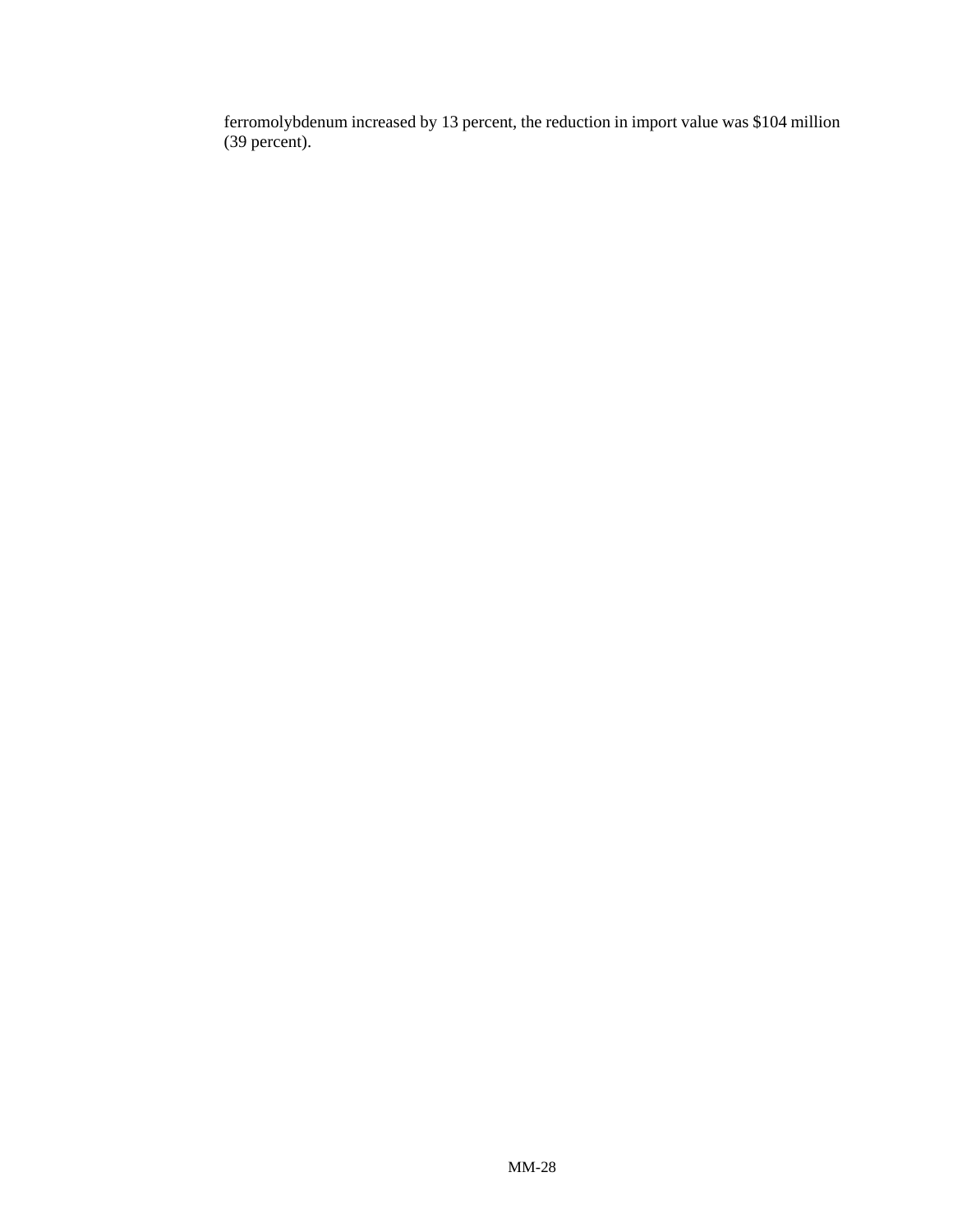ferromolybdenum increased by 13 percent, the reduction in import value was \$104 million (39 percent).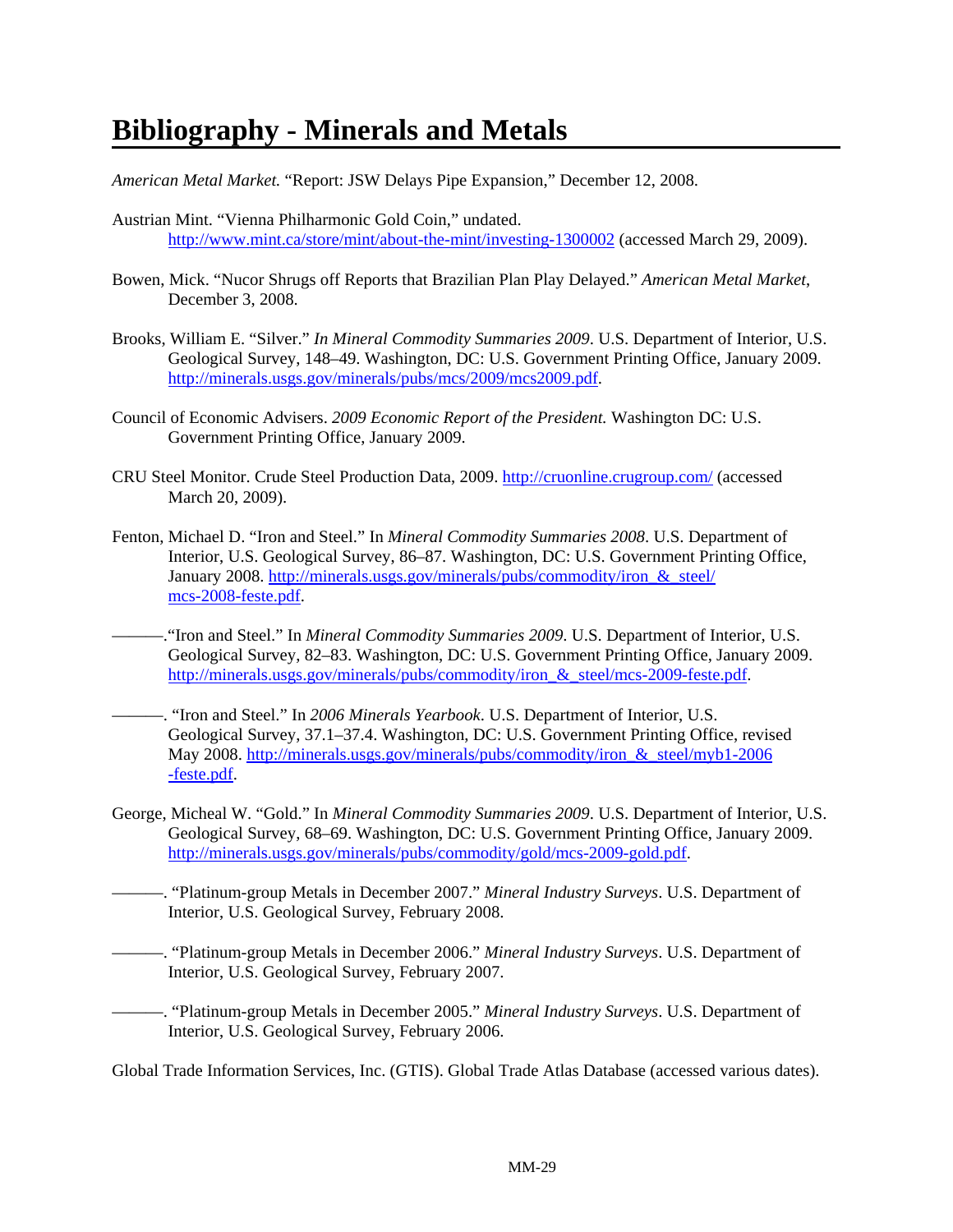# **Bibliography - Minerals and Metals**

*American Metal Market.* "Report: JSW Delays Pipe Expansion," December 12, 2008.

- Austrian Mint. "Vienna Philharmonic Gold Coin," undated. http://www.mint.ca/store/mint/about-the-mint/investing-1300002 (accessed March 29, 2009).
- Bowen, Mick. "Nucor Shrugs off Reports that Brazilian Plan Play Delayed." *American Metal Market*, December 3, 2008.
- Brooks, William E. "Silver." *In Mineral Commodity Summaries 2009*. U.S. Department of Interior, U.S. Geological Survey, 148–49. Washington, DC: U.S. Government Printing Office, January 2009. http://minerals.usgs.gov/minerals/pubs/mcs/2009/mcs2009.pdf.
- Council of Economic Advisers. *2009 Economic Report of the President.* Washington DC: U.S. Government Printing Office, January 2009.
- CRU Steel Monitor. Crude Steel Production Data, 2009. http://cruonline.crugroup.com/ (accessed March 20, 2009).
- Fenton, Michael D. "Iron and Steel." In *Mineral Commodity Summaries 2008*. U.S. Department of Interior, U.S. Geological Survey, 86–87. Washington, DC: U.S. Government Printing Office, January 2008. http://minerals.usgs.gov/minerals/pubs/commodity/iron\_&\_steel/ mcs-2008-feste.pdf.
- ———."Iron and Steel." In *Mineral Commodity Summaries 2009*. U.S. Department of Interior, U.S. Geological Survey, 82–83. Washington, DC: U.S. Government Printing Office, January 2009. http://minerals.usgs.gov/minerals/pubs/commodity/iron\_&\_steel/mcs-2009-feste.pdf.
- ———. "Iron and Steel." In *2006 Minerals Yearbook*. U.S. Department of Interior, U.S. Geological Survey, 37.1–37.4. Washington, DC: U.S. Government Printing Office, revised May 2008. http://minerals.usgs.gov/minerals/pubs/commodity/iron\_&\_steel/myb1-2006 -feste.pdf.
- George, Micheal W. "Gold." In *Mineral Commodity Summaries 2009*. U.S. Department of Interior, U.S. Geological Survey, 68–69. Washington, DC: U.S. Government Printing Office, January 2009. http://minerals.usgs.gov/minerals/pubs/commodity/gold/mcs-2009-gold.pdf.
	- ———. "Platinum-group Metals in December 2007." *Mineral Industry Surveys*. U.S. Department of Interior, U.S. Geological Survey, February 2008.
- ———. "Platinum-group Metals in December 2006." *Mineral Industry Surveys*. U.S. Department of Interior, U.S. Geological Survey, February 2007.

———. "Platinum-group Metals in December 2005." *Mineral Industry Surveys*. U.S. Department of Interior, U.S. Geological Survey, February 2006.

Global Trade Information Services, Inc. (GTIS). Global Trade Atlas Database (accessed various dates).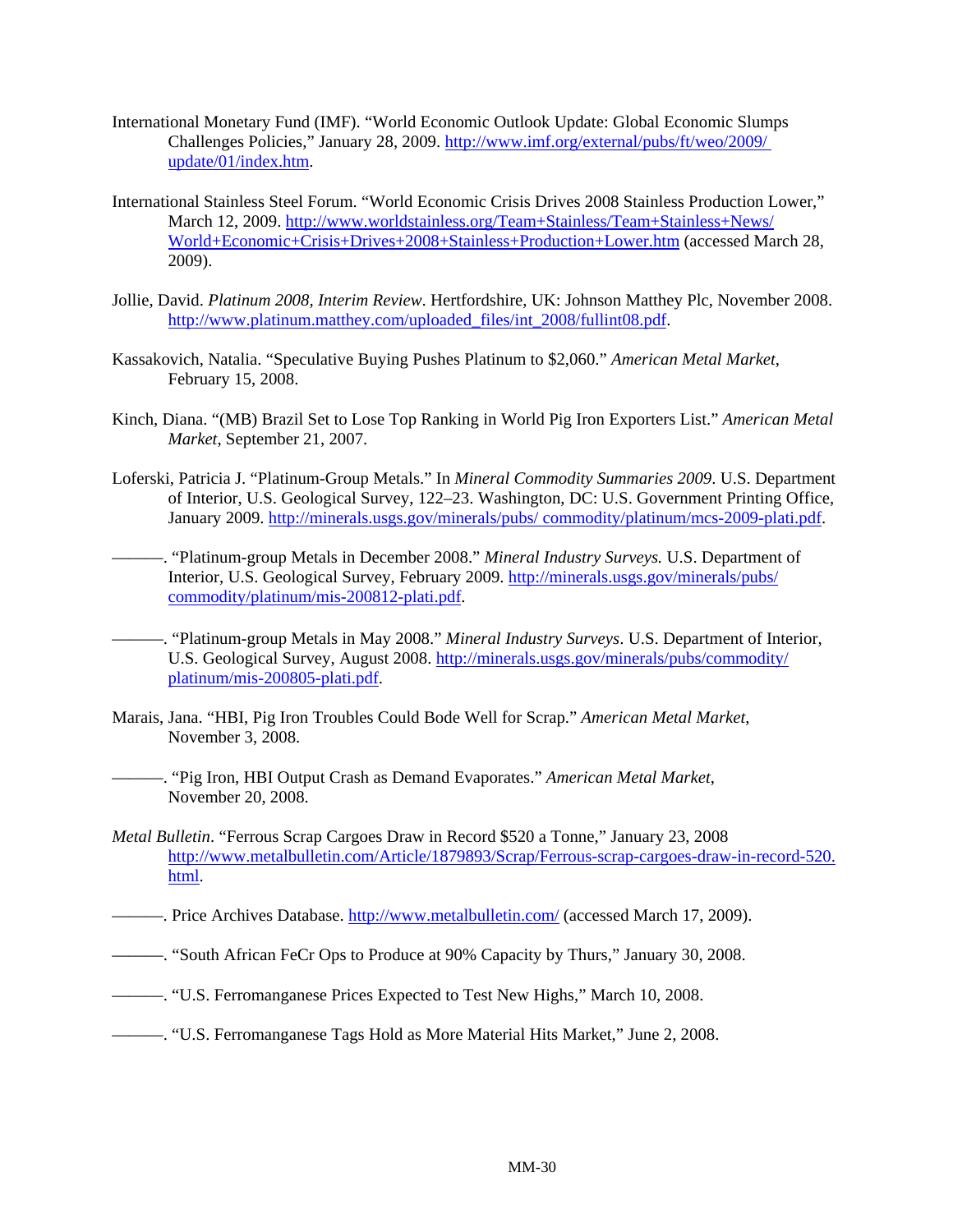- International Monetary Fund (IMF). "World Economic Outlook Update: Global Economic Slumps Challenges Policies," January 28, 2009. http://www.imf.org/external/pubs/ft/weo/2009/ update/01/index.htm.
- International Stainless Steel Forum. "World Economic Crisis Drives 2008 Stainless Production Lower," March 12, 2009. http://www.worldstainless.org/Team+Stainless/Team+Stainless+News/ World+Economic+Crisis+Drives+2008+Stainless+Production+Lower.htm (accessed March 28, 2009).
- Jollie, David. *Platinum 2008, Interim Review*. Hertfordshire, UK: Johnson Matthey Plc, November 2008. http://www.platinum.matthey.com/uploaded\_files/int\_2008/fullint08.pdf.
- Kassakovich, Natalia. "Speculative Buying Pushes Platinum to \$2,060." *American Metal Market*, February 15, 2008.
- Kinch, Diana. "(MB) Brazil Set to Lose Top Ranking in World Pig Iron Exporters List." *American Metal Market*, September 21, 2007.
- Loferski, Patricia J. "Platinum-Group Metals." In *Mineral Commodity Summaries 2009*. U.S. Department of Interior, U.S. Geological Survey, 122–23. Washington, DC: U.S. Government Printing Office, January 2009. http://minerals.usgs.gov/minerals/pubs/ commodity/platinum/mcs-2009-plati.pdf.
- ———. "Platinum-group Metals in December 2008." *Mineral Industry Surveys.* U.S. Department of Interior, U.S. Geological Survey, February 2009. http://minerals.usgs.gov/minerals/pubs/ commodity/platinum/mis-200812-plati.pdf.
- ———. "Platinum-group Metals in May 2008." *Mineral Industry Surveys*. U.S. Department of Interior, U.S. Geological Survey, August 2008. http://minerals.usgs.gov/minerals/pubs/commodity/ platinum/mis-200805-plati.pdf.
- Marais, Jana. "HBI, Pig Iron Troubles Could Bode Well for Scrap." *American Metal Market*, November 3, 2008.
	- ———. "Pig Iron, HBI Output Crash as Demand Evaporates." *American Metal Market*, November 20, 2008.
- *Metal Bulletin*. "Ferrous Scrap Cargoes Draw in Record \$520 a Tonne," January 23, 2008 http://www.metalbulletin.com/Article/1879893/Scrap/Ferrous-scrap-cargoes-draw-in-record-520. html.
- ——. Price Archives Database. http://www.metalbulletin.com/ (accessed March 17, 2009).
- ———. "South African FeCr Ops to Produce at 90% Capacity by Thurs," January 30, 2008.
- ———. "U.S. Ferromanganese Prices Expected to Test New Highs," March 10, 2008.
- ———. "U.S. Ferromanganese Tags Hold as More Material Hits Market," June 2, 2008.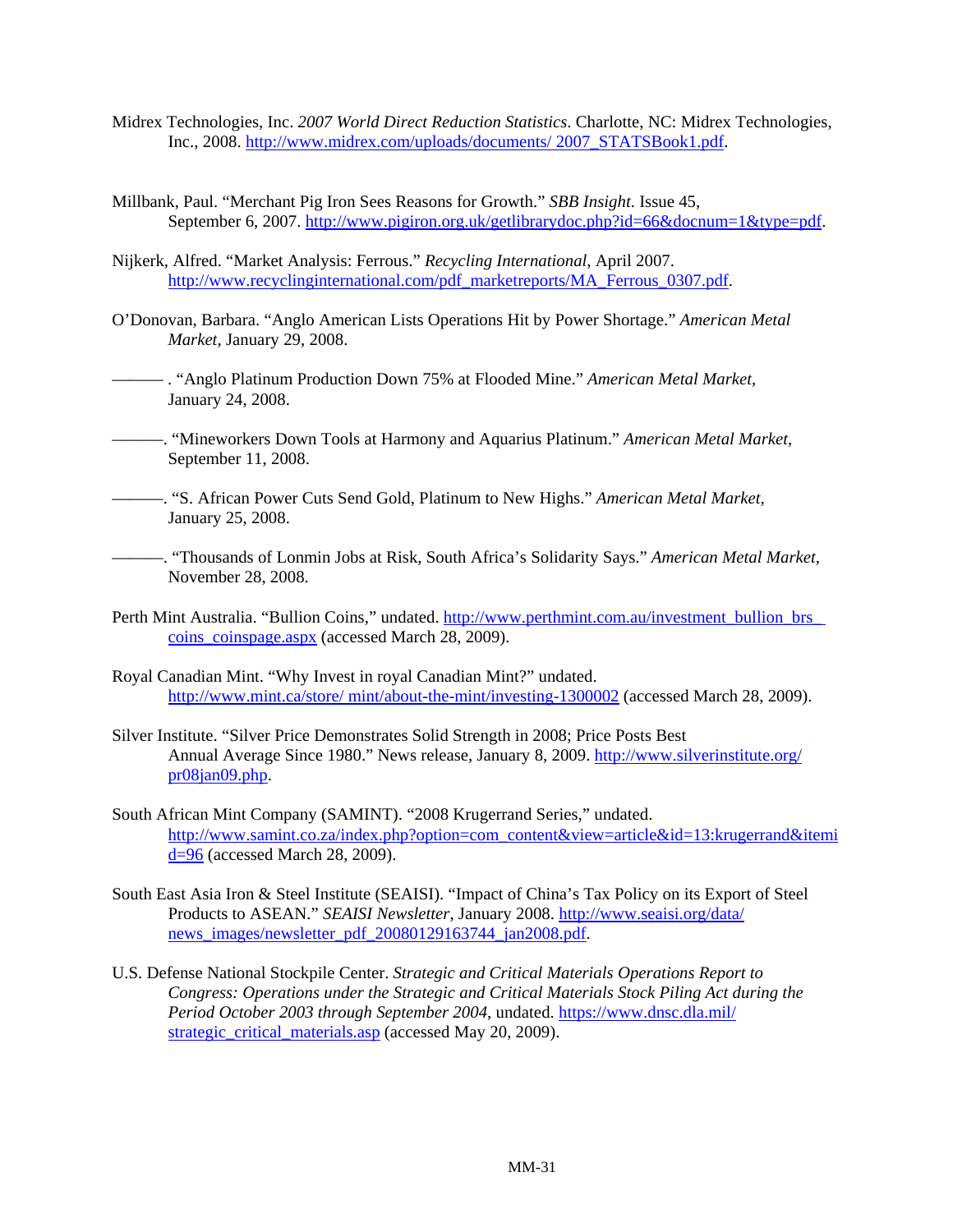- Midrex Technologies, Inc. *2007 World Direct Reduction Statistics*. Charlotte, NC: Midrex Technologies, Inc., 2008. http://www.midrex.com/uploads/documents/ 2007\_STATSBook1.pdf.
- Millbank, Paul. "Merchant Pig Iron Sees Reasons for Growth." *SBB Insight*. Issue 45, September 6, 2007. http://www.pigiron.org.uk/getlibrarydoc.php?id=66&docnum=1&type=pdf.
- Nijkerk, Alfred. "Market Analysis: Ferrous." *Recycling International*, April 2007. http://www.recyclinginternational.com/pdf\_marketreports/MA\_Ferrous\_0307.pdf.
- O'Donovan, Barbara. "Anglo American Lists Operations Hit by Power Shortage." *American Metal Market*, January 29, 2008.
- ——— . "Anglo Platinum Production Down 75% at Flooded Mine." *American Metal Market*, January 24, 2008.
- ———. "Mineworkers Down Tools at Harmony and Aquarius Platinum." *American Metal Market*, September 11, 2008.
- ———. "S. African Power Cuts Send Gold, Platinum to New Highs." *American Metal Market*, January 25, 2008.
- ———. "Thousands of Lonmin Jobs at Risk, South Africa's Solidarity Says." *American Metal Market*, November 28, 2008.
- Perth Mint Australia. "Bullion Coins," undated. http://www.perthmint.com.au/investment\_bullion\_brs\_ coins\_coinspage.aspx (accessed March 28, 2009).
- Royal Canadian Mint. "Why Invest in royal Canadian Mint?" undated. http://www.mint.ca/store/ mint/about-the-mint/investing-1300002 (accessed March 28, 2009).
- Silver Institute. "Silver Price Demonstrates Solid Strength in 2008; Price Posts Best Annual Average Since 1980." News release, January 8, 2009. http://www.silverinstitute.org/ pr08jan09.php.
- South African Mint Company (SAMINT). "2008 Krugerrand Series," undated. http://www.samint.co.za/index.php?option=com\_content&view=article&id=13:krugerrand&itemi  $d=96$  (accessed March 28, 2009).
- South East Asia Iron & Steel Institute (SEAISI). "Impact of China's Tax Policy on its Export of Steel Products to ASEAN." *SEAISI Newsletter*, January 2008. http://www.seaisi.org/data/ news\_images/newsletter\_pdf\_20080129163744\_jan2008.pdf.
- U.S. Defense National Stockpile Center. *Strategic and Critical Materials Operations Report to Congress: Operations under the Strategic and Critical Materials Stock Piling Act during the Period October 2003 through September 2004*, undated. https://www.dnsc.dla.mil/ strategic\_critical\_materials.asp (accessed May 20, 2009).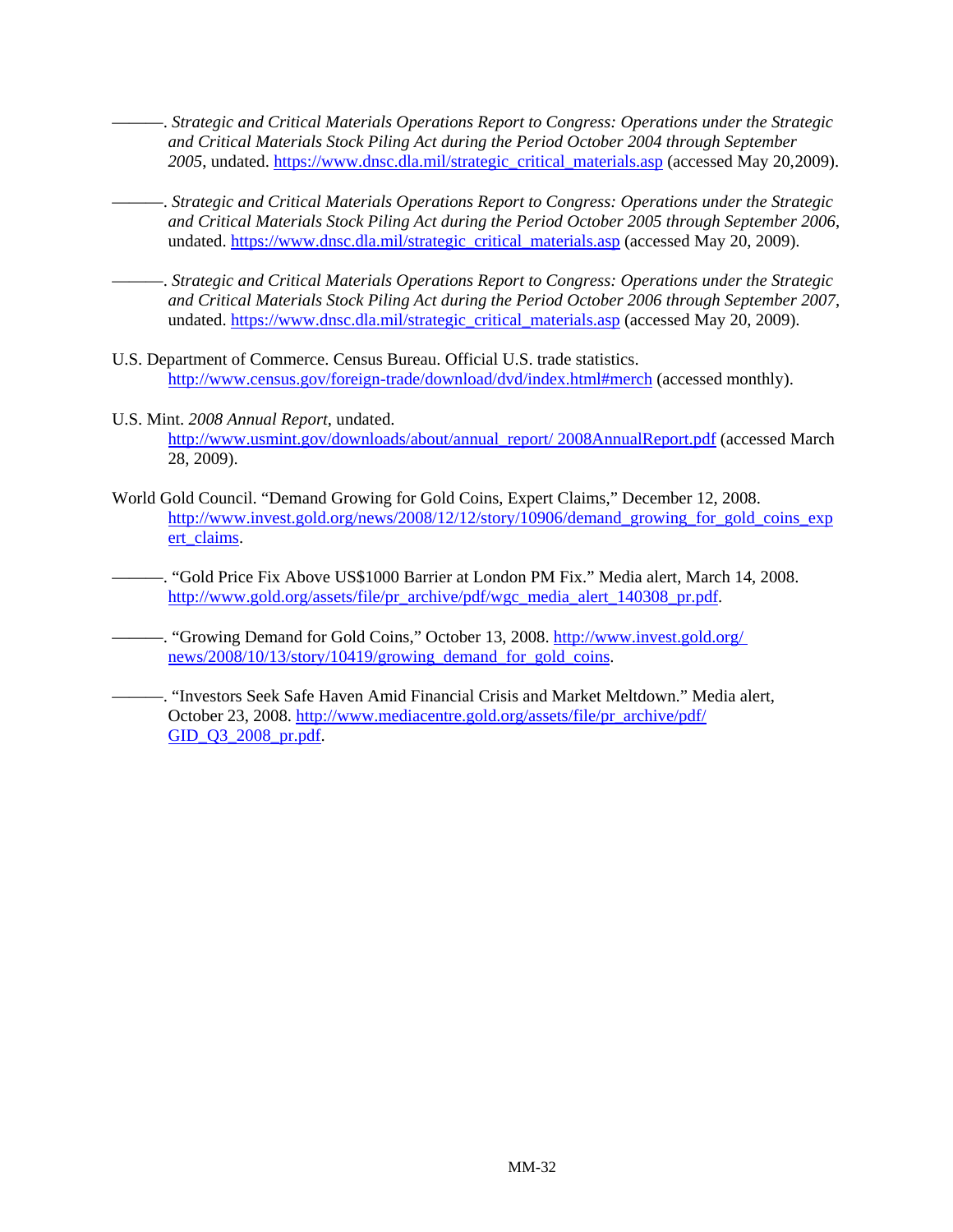———. *Strategic and Critical Materials Operations Report to Congress: Operations under the Strategic and Critical Materials Stock Piling Act during the Period October 2004 through September*  2005, undated. https://www.dnsc.dla.mil/strategic\_critical\_materials.asp (accessed May 20,2009).

- ———. *Strategic and Critical Materials Operations Report to Congress: Operations under the Strategic and Critical Materials Stock Piling Act during the Period October 2005 through September 2006*, undated. https://www.dnsc.dla.mil/strategic\_critical\_materials.asp (accessed May 20, 2009).
- ———. *Strategic and Critical Materials Operations Report to Congress: Operations under the Strategic and Critical Materials Stock Piling Act during the Period October 2006 through September 2007*, undated. https://www.dnsc.dla.mil/strategic\_critical\_materials.asp (accessed May 20, 2009).
- U.S. Department of Commerce. Census Bureau. Official U.S. trade statistics. http://www.census.gov/foreign-trade/download/dvd/index.html#merch (accessed monthly).
- U.S. Mint. *2008 Annual Report*, undated. http://www.usmint.gov/downloads/about/annual\_report/ 2008AnnualReport.pdf (accessed March 28, 2009).
- World Gold Council. "Demand Growing for Gold Coins, Expert Claims," December 12, 2008. http://www.invest.gold.org/news/2008/12/12/story/10906/demand\_growing\_for\_gold\_coins\_exp ert\_claims.
- ———. "Gold Price Fix Above US\$1000 Barrier at London PM Fix." Media alert, March 14, 2008. http://www.gold.org/assets/file/pr\_archive/pdf/wgc\_media\_alert\_140308\_pr.pdf.
- -. "Growing Demand for Gold Coins," October 13, 2008. http://www.invest.gold.org/ news/2008/10/13/story/10419/growing\_demand\_for\_gold\_coins.
- ———. "Investors Seek Safe Haven Amid Financial Crisis and Market Meltdown." Media alert, October 23, 2008. http://www.mediacentre.gold.org/assets/file/pr\_archive/pdf/ GID O3 2008 pr.pdf.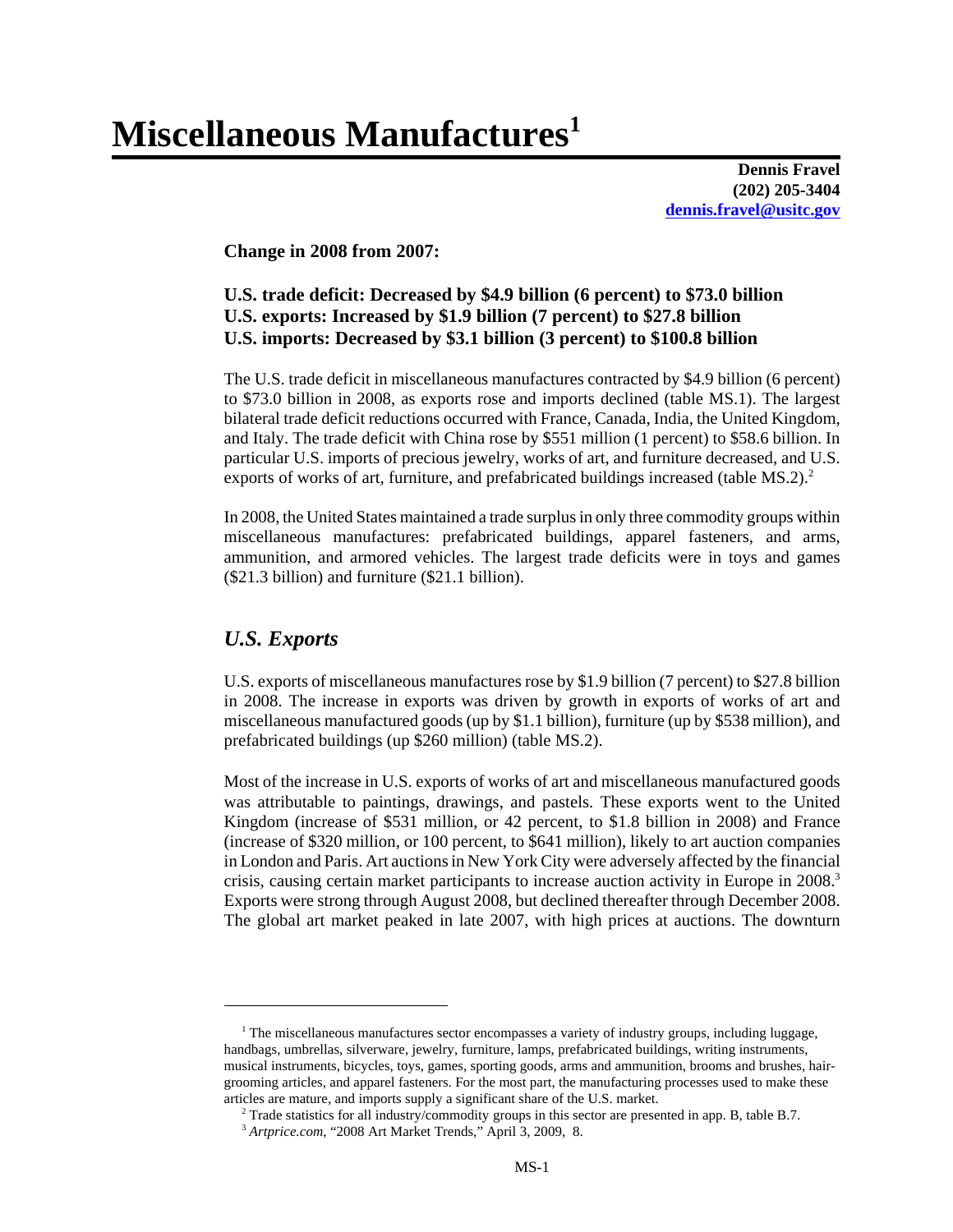# **Miscellaneous Manufactures1**

**Dennis Fravel (202) 205-3404 dennis.fravel@usitc.gov**

#### **Change in 2008 from 2007:**

#### **U.S. trade deficit: Decreased by \$4.9 billion (6 percent) to \$73.0 billion U.S. exports: Increased by \$1.9 billion (7 percent) to \$27.8 billion U.S. imports: Decreased by \$3.1 billion (3 percent) to \$100.8 billion**

The U.S. trade deficit in miscellaneous manufactures contracted by \$4.9 billion (6 percent) to \$73.0 billion in 2008, as exports rose and imports declined (table MS.1). The largest bilateral trade deficit reductions occurred with France, Canada, India, the United Kingdom, and Italy. The trade deficit with China rose by \$551 million (1 percent) to \$58.6 billion. In particular U.S. imports of precious jewelry, works of art, and furniture decreased, and U.S. exports of works of art, furniture, and prefabricated buildings increased (table  $MS.2$ ).<sup>2</sup>

In 2008, the United States maintained a trade surplus in only three commodity groups within miscellaneous manufactures: prefabricated buildings, apparel fasteners, and arms, ammunition, and armored vehicles. The largest trade deficits were in toys and games (\$21.3 billion) and furniture (\$21.1 billion).

#### *U.S. Exports*

U.S. exports of miscellaneous manufactures rose by \$1.9 billion (7 percent) to \$27.8 billion in 2008. The increase in exports was driven by growth in exports of works of art and miscellaneous manufactured goods (up by \$1.1 billion), furniture (up by \$538 million), and prefabricated buildings (up \$260 million) (table MS.2).

Most of the increase in U.S. exports of works of art and miscellaneous manufactured goods was attributable to paintings, drawings, and pastels. These exports went to the United Kingdom (increase of \$531 million, or 42 percent, to \$1.8 billion in 2008) and France (increase of \$320 million, or 100 percent, to \$641 million), likely to art auction companies in London and Paris. Art auctions in New York City were adversely affected by the financial crisis, causing certain market participants to increase auction activity in Europe in 2008.<sup>3</sup> Exports were strong through August 2008, but declined thereafter through December 2008. The global art market peaked in late 2007, with high prices at auctions. The downturn

<sup>&</sup>lt;sup>1</sup> The miscellaneous manufactures sector encompasses a variety of industry groups, including luggage, handbags, umbrellas, silverware, jewelry, furniture, lamps, prefabricated buildings, writing instruments, musical instruments, bicycles, toys, games, sporting goods, arms and ammunition, brooms and brushes, hairgrooming articles, and apparel fasteners. For the most part, the manufacturing processes used to make these articles are mature, and imports supply a significant share of the U.S. market.

 <sup>2</sup> Trade statistics for all industry/commodity groups in this sector are presented in app. B, table B.7.

 <sup>3</sup> *Artprice.com*, "2008 Art Market Trends," April 3, 2009, 8.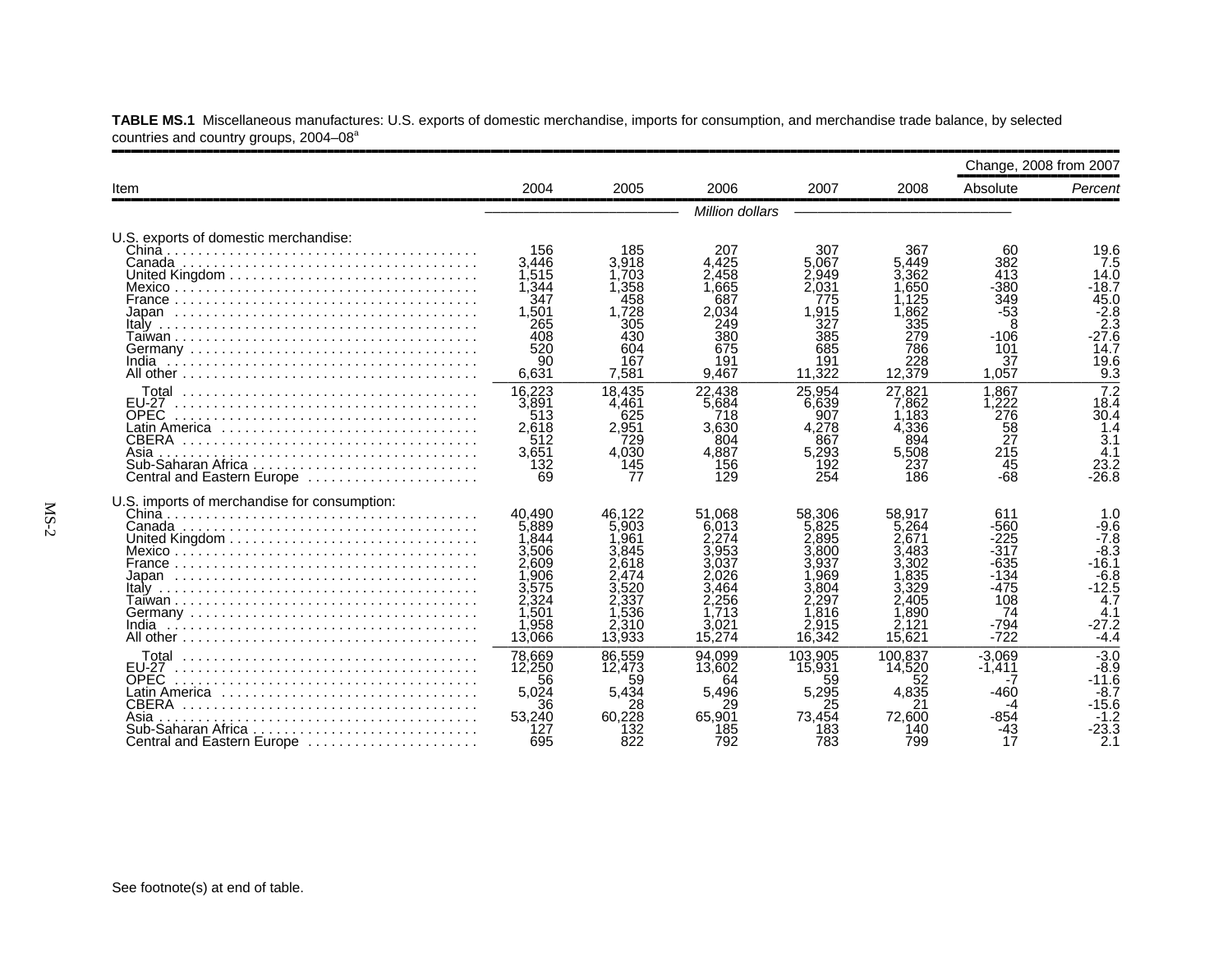|                                                                                                                                                 |                                                                                                |                                                                                                   |                                                                                                  |                                                                                             |                                                                                                 | Change, 2008 from 2007                                                                   |                                                                                                               |
|-------------------------------------------------------------------------------------------------------------------------------------------------|------------------------------------------------------------------------------------------------|---------------------------------------------------------------------------------------------------|--------------------------------------------------------------------------------------------------|---------------------------------------------------------------------------------------------|-------------------------------------------------------------------------------------------------|------------------------------------------------------------------------------------------|---------------------------------------------------------------------------------------------------------------|
| Item                                                                                                                                            | 2004                                                                                           | 2005                                                                                              | 2006                                                                                             | 2007                                                                                        | 2008                                                                                            | Absolute                                                                                 | Percent                                                                                                       |
|                                                                                                                                                 |                                                                                                |                                                                                                   | Million dollars                                                                                  |                                                                                             |                                                                                                 |                                                                                          |                                                                                                               |
| U.S. exports of domestic merchandise:<br>China                                                                                                  | 156<br>3.446<br>1,515<br>1,344<br>347<br>1.501<br>265<br>408<br>520                            | 185<br>3,918<br>1.703<br>1,358<br>458<br>1.728<br>305<br>430<br>604                               | 207<br>4.425<br>2.458<br>1.665<br>687<br>2.034<br>249<br>380<br>675                              | 307<br>5.067<br>2.949<br>2,031<br>775<br>1.915<br>327<br>385<br>685                         | 367<br>5.449<br>3.362<br>.650<br>.125<br>.862<br>335<br>279<br>786                              | 60<br>382<br>413<br>$-380$<br>349<br>$-53$<br>8<br>$-106$<br>101                         | 19.6<br>7.5<br>14.0<br>-18.7<br>45.0<br>$-2.8$<br>2.3<br>$-27.6$<br>14.7                                      |
|                                                                                                                                                 | 90<br>6,631                                                                                    | 167<br>7.581                                                                                      | 191<br>9.467                                                                                     | 191<br>11.322                                                                               | 228<br>12.379                                                                                   | 37<br>1.057                                                                              | 19.6<br>9.3                                                                                                   |
| <b>EU-27</b><br><b>OPEC</b><br>Latin America ,,,,,,,,,,,,,,,,,,,,,,,,,,,,,<br><b>CBERA</b><br>Asia<br>Central and Eastern Europe                | 16.223<br>3,891<br>513<br>2,618<br>512<br>3,651<br>132<br>69                                   | 18,435<br>4,461<br>625<br>2,951<br>729<br>4.030<br>145<br>77                                      | 22.438<br>5.684<br>718<br>3.630<br>804<br>4.887<br>156<br>129                                    | 25.954<br>6.639<br>907<br>4.278<br>867<br>5,293<br>192<br>254                               | 27.821<br>7.862<br>.183<br>4,336<br>894<br>5,508<br>237<br>186                                  | 1.867<br>.222<br>276<br>58<br>ŽŽ<br>215<br>45<br>-68                                     | $\overline{7.2}$<br>18.4<br>30.4<br>1.4<br>3.1<br>4.1<br>23.2<br>$-26.8$                                      |
| U.S. imports of merchandise for consumption:<br>India                                                                                           | 40.490<br>5,889<br>1,844<br>3,506<br>2,609<br>,906<br>3,575<br>2.324<br>,501<br>,958<br>13,066 | 46,122<br>5.903<br>1,961<br>3.845<br>2.618<br>2.474<br>3.520<br>2.337<br>1.536<br>2,310<br>13.933 | 51.068<br>6.013<br>2.274<br>3.953<br>3.037<br>2.026<br>3.464<br>2.256<br>.713<br>3,021<br>15.274 | 58.306<br>5.825<br>.895<br>800<br>3.937<br>.969<br>3.804<br>.297<br>.816<br>2.915<br>16.342 | 58.917<br>5.264<br>2.671<br>.483<br>3.302<br>.835<br>3.329<br>2.405<br>1.890<br>2,121<br>15.621 | 611<br>-560<br>$-225$<br>-317<br>-635<br>$-134$<br>-475<br>108<br>74<br>$-794$<br>$-722$ | 1.0<br>$-9.6$<br>$-7.8$<br>$-8.\overline{3}$<br>-16.1<br>$-6.8$<br>$-12.5$<br>4.7<br>4.1<br>$-27.2$<br>$-4.4$ |
| <b>EU-27</b><br><b>OPEC</b><br>Latin America ,,,,,,,,,,,,,,,,,,,,,,,,,,,,,<br>CBERA<br>Asia<br>Sub-Saharan Africa<br>Central and Eastern Europe | 78,669<br>12,250<br>56<br>5.024<br>36<br>53.240<br>127<br>695                                  | 86.559<br>12,473<br>59<br>5.434<br>28<br>60.228<br>132<br>822                                     | 94.099<br>13,602<br>64<br>5.496<br>29<br>65,901<br>185<br>792                                    | 103.905<br>15,931<br>59<br>5.295<br>25<br>73.454<br>183<br>783                              | 100.837<br>14.520<br>52<br>4.835<br>21<br>72.600<br>140<br>799                                  | $-3.069$<br>$-1.411$<br>-460<br>-854<br>-43<br>17                                        | $-3.0$<br>$-8.9$<br>$-11.6$<br>$-8.7$<br>$-15.6$<br>$-1.2$<br>-23.3<br>2.1                                    |

**TABLE MS.1** Miscellaneous manufactures: U.S. exports of domestic merchandise, imports for consumption, and merchandise trade balance, by selected countries and country groups, 2004–08<sup>a</sup>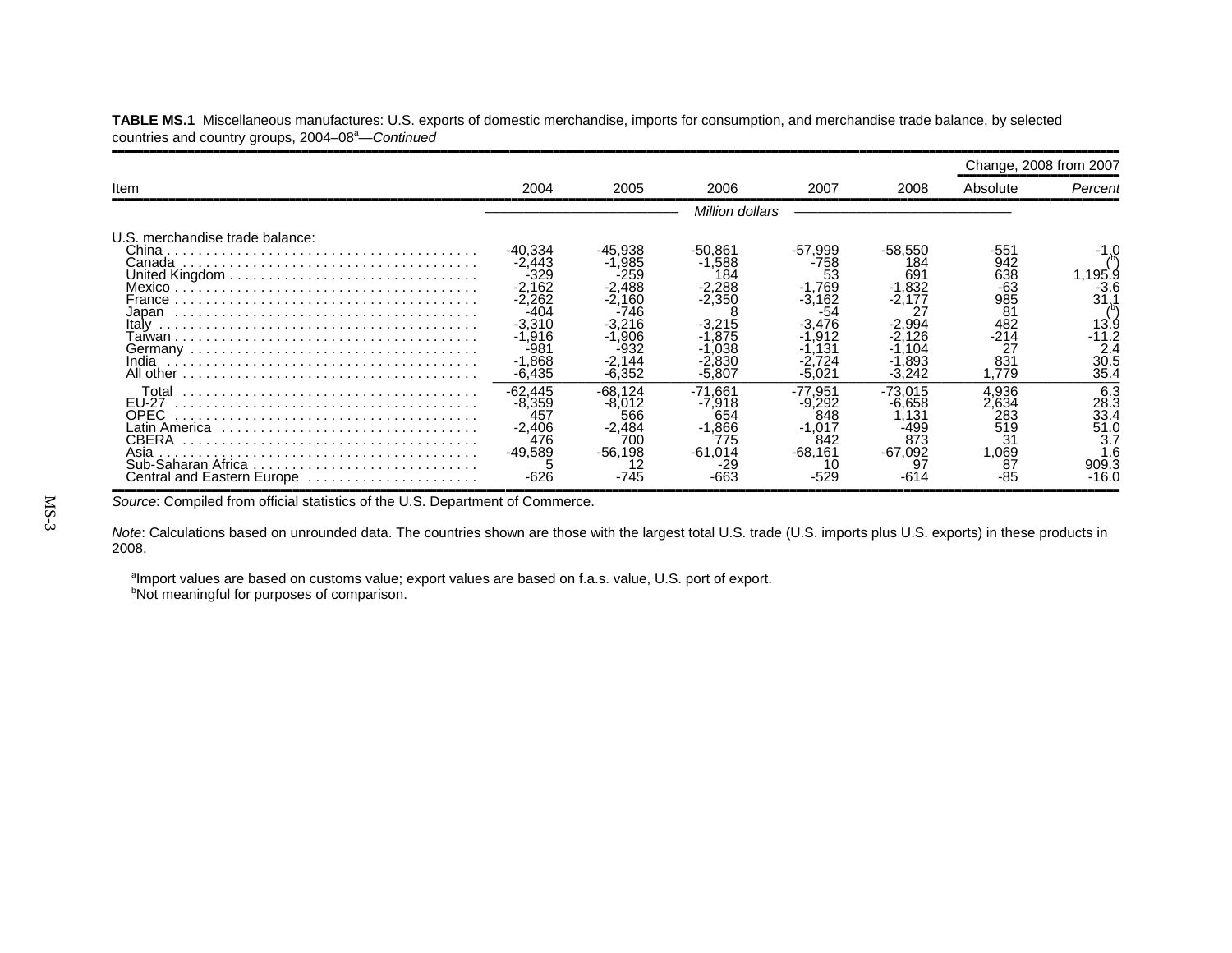|                                                               |                                                                                                                     |                                                                                                     |                                                                                                   |                                                                                                    |                                                          |                                                                              | Change, 2008 from 2007                               |
|---------------------------------------------------------------|---------------------------------------------------------------------------------------------------------------------|-----------------------------------------------------------------------------------------------------|---------------------------------------------------------------------------------------------------|----------------------------------------------------------------------------------------------------|----------------------------------------------------------|------------------------------------------------------------------------------|------------------------------------------------------|
| Item                                                          | 2004                                                                                                                | 2005                                                                                                | 2006                                                                                              | 2007                                                                                               | 2008                                                     | Absolute                                                                     | Percent                                              |
|                                                               |                                                                                                                     |                                                                                                     | Million dollars                                                                                   |                                                                                                    |                                                          |                                                                              |                                                      |
| U.S. merchandise trade balance:<br>China<br>France            | -40,334<br>$-2,443$<br>-329<br>$-2,162$<br>$-2,262$<br>-404<br>$-3.310$<br>$-1.916$<br>-98.<br>$-1.868$<br>$-6,435$ | -45.938<br>$-1.985$<br>-259<br>$-2.488$<br>-2.160<br>-746<br>-3.216<br>$-1.906$<br>-2.144<br>-6.352 | $-50.861$<br>$-1.588$<br>184<br>$-2,288$<br>$-2,350$<br>-3.215<br>.875<br>.038<br>2.830<br>-5.807 | -57.999<br>-758<br>53<br>$-1,769$<br>$-3,162$<br>-54<br>$-3.476$<br>.912<br>.131<br>.724<br>-5.021 | -58,550<br>184<br>69<br>1,832<br>-2.177<br>.893<br>3.242 | -551<br>942<br>638<br>-63<br>985<br>81<br>482<br>$-214$<br>27<br>831<br>.779 | .195.9<br>-3.6<br>31.<br>13.9<br>2.4<br>30.5<br>35.4 |
| Total<br>EU-27<br>OPEC.<br>Asia<br>Central and Eastern Europe | $-62,445$<br>$-8.359$<br>457<br>$-2.406$<br>476<br>$-49.589$<br>-626                                                | $-68.124$<br>$-8.012$<br>566<br>$-2.484$<br>700<br>$-56.198$<br>-745                                | $-71.661$<br>$-7.918$<br>654<br>$-1,866$<br>775<br>$-61.014$                                      | -77.951<br>$-9.292$<br>848<br>$-1.017$<br>842<br>$-68.161$                                         | -73.015<br>-6.658<br>.131<br>-499<br>873<br>$-67.092$    | 4.936<br>2.634<br>283<br>519<br>31<br>,069<br>87                             | 6.3<br>28.3<br>33.4<br>51.0<br>3.7<br>909.3<br>-16.0 |

**TABLE MS.1** Miscellaneous manufactures: U.S. exports of domestic merchandise, imports for consumption, and merchandise trade balance, by selected countries and country groups, 2004–08<sup>a</sup>—Continued

Source: Compiled from official statistics of the U.S. Department of Commerce.

*Note*: Calculations based on unrounded data. The countries shown are those with the largest total U.S. trade (U.S. imports plus U.S. exports) in these products in 2008.

aImport values are based on customs value; export values are based on f.a.s. value, U.S. port of export. **bNot meaningful for purposes of comparison.**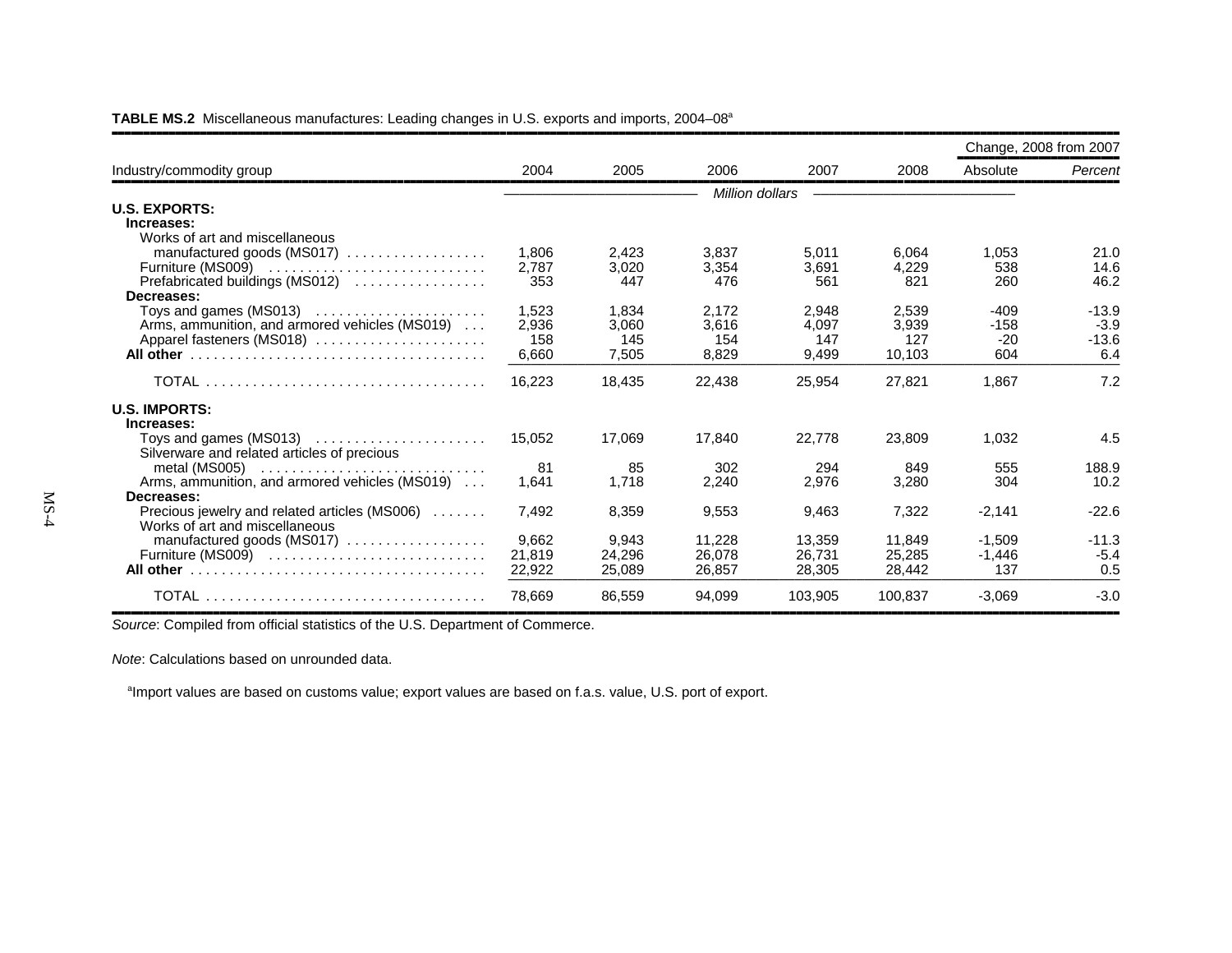|                                                                         |        |        |                 |         |         |          | Change, 2008 from 2007 |
|-------------------------------------------------------------------------|--------|--------|-----------------|---------|---------|----------|------------------------|
| Industry/commodity group                                                | 2004   | 2005   | 2006            | 2007    | 2008    | Absolute | Percent                |
|                                                                         |        |        | Million dollars |         |         |          |                        |
| <b>U.S. EXPORTS:</b>                                                    |        |        |                 |         |         |          |                        |
| Increases:                                                              |        |        |                 |         |         |          |                        |
| Works of art and miscellaneous                                          |        |        |                 |         |         |          |                        |
| manufactured goods (MS017)                                              | 1.806  | 2,423  | 3.837           | 5,011   | 6.064   | 1.053    | 21.0                   |
| Furniture (MS009)                                                       | 2.787  | 3,020  | 3,354           | 3.691   | 4,229   | 538      | 14.6                   |
| Prefabricated buildings (MS012)                                         | 353    | 447    | 476             | 561     | 821     | 260      | 46.2                   |
| Decreases:                                                              |        |        |                 |         |         |          |                        |
| Toys and games $(MS013)$                                                | 1,523  | 1,834  | 2,172           | 2,948   | 2,539   | $-409$   | $-13.9$                |
| Arms, ammunition, and armored vehicles (MS019)                          | 2,936  | 3,060  | 3,616           | 4,097   | 3,939   | $-158$   | $-3.9$                 |
| Apparel fasteners (MS018)                                               | 158    | 145    | 154             | 147     | 127     | $-20$    | $-13.6$                |
|                                                                         | 6,660  | 7,505  | 8.829           | 9.499   | 10,103  | 604      | 6.4                    |
|                                                                         | 16,223 | 18.435 | 22,438          | 25,954  | 27,821  | 1.867    | 7.2                    |
| <b>U.S. IMPORTS:</b>                                                    |        |        |                 |         |         |          |                        |
| Increases:                                                              |        |        |                 |         |         |          |                        |
|                                                                         | 15,052 | 17,069 | 17,840          | 22,778  | 23,809  | 1,032    | 4.5                    |
| Silverware and related articles of precious                             |        |        |                 |         |         |          |                        |
| metal (MS005) $\dots\dots\dots\dots\dots\dots\dots\dots\dots\dots\dots$ | 81     | 85     | 302             | 294     | 849     | 555      | 188.9                  |
| Arms, ammunition, and armored vehicles (MS019)                          | 1,641  | 1,718  | 2,240           | 2,976   | 3,280   | 304      | 10.2                   |
| Decreases:                                                              |        |        |                 |         |         |          |                        |
| Precious jewelry and related articles (MS006)                           | 7.492  | 8,359  | 9,553           | 9,463   | 7,322   | $-2,141$ | $-22.6$                |
| Works of art and miscellaneous                                          |        |        |                 |         |         |          |                        |
| manufactured goods (MS017)                                              | 9,662  | 9,943  | 11,228          | 13,359  | 11,849  | $-1,509$ | $-11.3$                |
| Furniture (MS009)                                                       | 21,819 | 24,296 | 26.078          | 26,731  | 25,285  | $-1.446$ | $-5.4$                 |
|                                                                         | 22,922 | 25,089 | 26.857          | 28,305  | 28.442  | 137      | 0.5                    |
|                                                                         | 78.669 | 86,559 | 94,099          | 103.905 | 100.837 | $-3,069$ | $-3.0$                 |

**TABLE MS.2** Miscellaneous manufactures: Leading changes in U.S. exports and imports, 2004–08a

,,,,,,,,,,,,,,,,,,,,,,,,,,,,,,,,,,,,,,,,,,,,,,,,,,,,,,,,,,,,,,,,,,,,,,,,,,,,,,,,,,,,,,,,,,,,,,,,,,,,,,,,,,,,,,,,,,,,,,,,,,,,,,,,,,,,,,,,,,,,,,,,,,,,,,,,,,,,,,,,*Source*: Compiled from official statistics of the U.S. Department of Commerce.

*Note*: Calculations based on unrounded data.

<sup>a</sup>Import values are based on customs value; export values are based on f.a.s. value, U.S. port of export.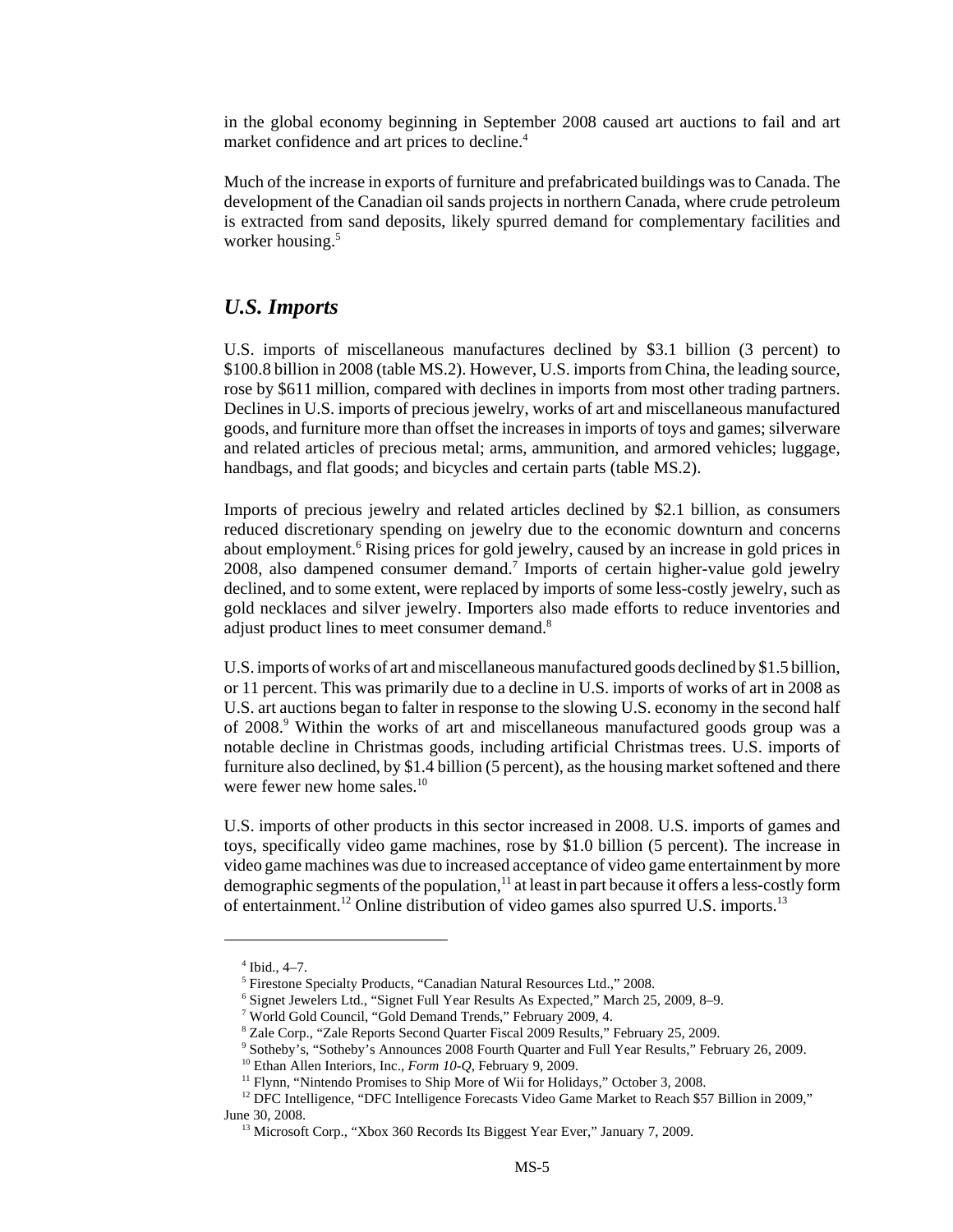in the global economy beginning in September 2008 caused art auctions to fail and art market confidence and art prices to decline.<sup>4</sup>

Much of the increase in exports of furniture and prefabricated buildings was to Canada. The development of the Canadian oil sands projects in northern Canada, where crude petroleum is extracted from sand deposits, likely spurred demand for complementary facilities and worker housing.<sup>5</sup>

#### *U.S. Imports*

U.S. imports of miscellaneous manufactures declined by \$3.1 billion (3 percent) to \$100.8 billion in 2008 (table MS.2). However, U.S. imports from China, the leading source, rose by \$611 million, compared with declines in imports from most other trading partners. Declines in U.S. imports of precious jewelry, works of art and miscellaneous manufactured goods, and furniture more than offset the increases in imports of toys and games; silverware and related articles of precious metal; arms, ammunition, and armored vehicles; luggage, handbags, and flat goods; and bicycles and certain parts (table MS.2).

Imports of precious jewelry and related articles declined by \$2.1 billion, as consumers reduced discretionary spending on jewelry due to the economic downturn and concerns about employment.<sup>6</sup> Rising prices for gold jewelry, caused by an increase in gold prices in 2008, also dampened consumer demand.<sup>7</sup> Imports of certain higher-value gold jewelry declined, and to some extent, were replaced by imports of some less-costly jewelry, such as gold necklaces and silver jewelry. Importers also made efforts to reduce inventories and adjust product lines to meet consumer demand.<sup>8</sup>

U.S. imports of works of art and miscellaneous manufactured goods declined by \$1.5 billion, or 11 percent. This was primarily due to a decline in U.S. imports of works of art in 2008 as U.S. art auctions began to falter in response to the slowing U.S. economy in the second half of 2008.<sup>9</sup> Within the works of art and miscellaneous manufactured goods group was a notable decline in Christmas goods, including artificial Christmas trees. U.S. imports of furniture also declined, by \$1.4 billion (5 percent), as the housing market softened and there were fewer new home sales.<sup>10</sup>

U.S. imports of other products in this sector increased in 2008. U.S. imports of games and toys, specifically video game machines, rose by \$1.0 billion (5 percent). The increase in video game machines was due to increased acceptance of video game entertainment by more demographic segments of the population, $11$  at least in part because it offers a less-costly form of entertainment.<sup>12</sup> Online distribution of video games also spurred U.S. imports.<sup>13</sup>

 $4$  Ibid., 4–7.

 <sup>5</sup> Firestone Specialty Products, "Canadian Natural Resources Ltd.," 2008.

 <sup>6</sup> Signet Jewelers Ltd., "Signet Full Year Results As Expected," March 25, 2009, 8–9.

 <sup>7</sup> World Gold Council, "Gold Demand Trends," February 2009, 4.

 <sup>8</sup> Zale Corp., "Zale Reports Second Quarter Fiscal 2009 Results," February 25, 2009.

 <sup>9</sup> Sotheby's, "Sotheby's Announces 2008 Fourth Quarter and Full Year Results," February 26, 2009.

 <sup>10</sup> Ethan Allen Interiors, Inc., *Form 10-Q*, February 9, 2009.

<sup>&</sup>lt;sup>11</sup> Flynn, "Nintendo Promises to Ship More of Wii for Holidays," October 3, 2008.

<sup>&</sup>lt;sup>12</sup> DFC Intelligence, "DFC Intelligence Forecasts Video Game Market to Reach \$57 Billion in 2009," June 30, 2008.

<sup>&</sup>lt;sup>13</sup> Microsoft Corp., "Xbox 360 Records Its Biggest Year Ever," January 7, 2009.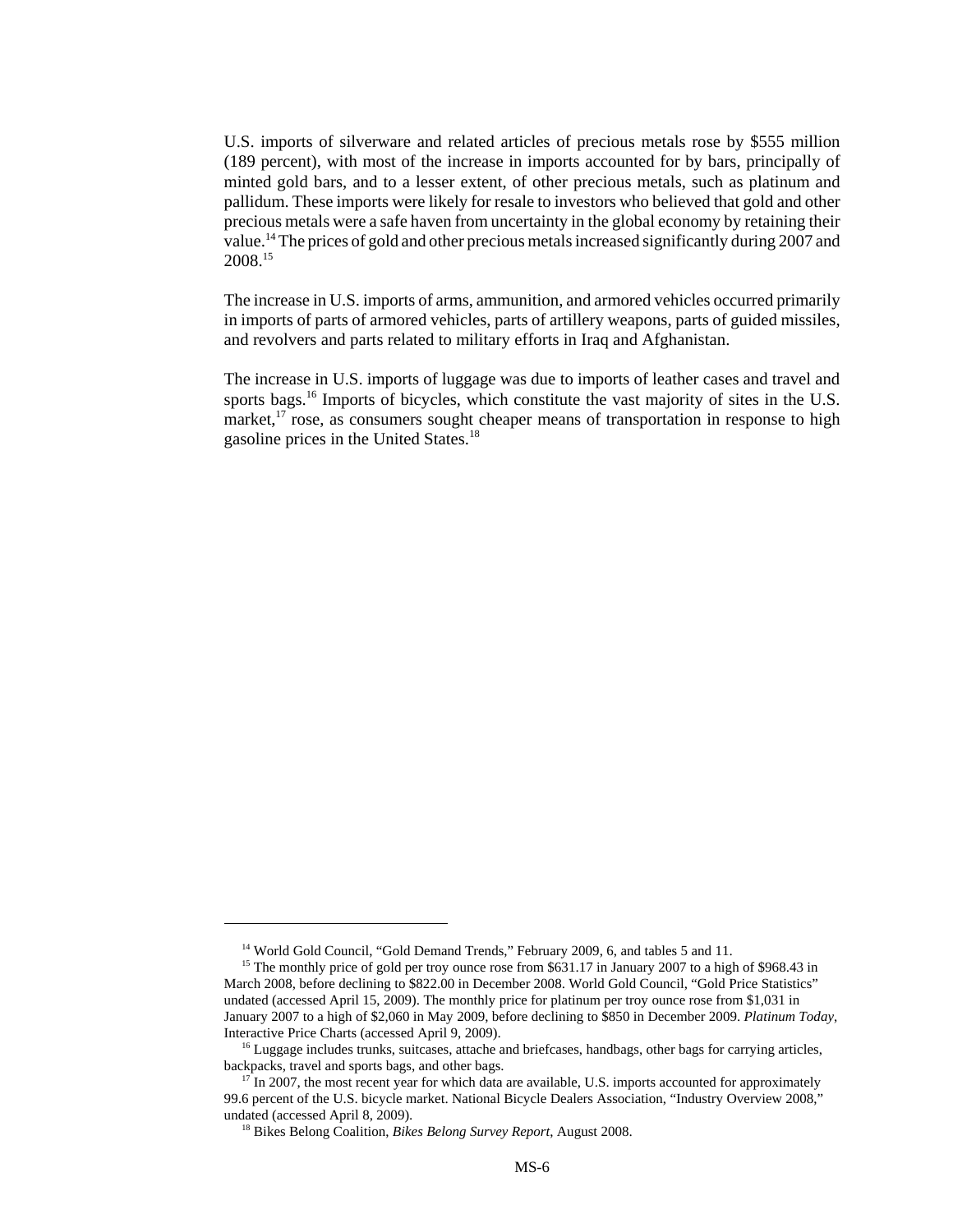U.S. imports of silverware and related articles of precious metals rose by \$555 million (189 percent), with most of the increase in imports accounted for by bars, principally of minted gold bars, and to a lesser extent, of other precious metals, such as platinum and pallidum. These imports were likely for resale to investors who believed that gold and other precious metals were a safe haven from uncertainty in the global economy by retaining their value.14 The prices of gold and other precious metals increased significantly during 2007 and 2008.15

The increase in U.S. imports of arms, ammunition, and armored vehicles occurred primarily in imports of parts of armored vehicles, parts of artillery weapons, parts of guided missiles, and revolvers and parts related to military efforts in Iraq and Afghanistan.

The increase in U.S. imports of luggage was due to imports of leather cases and travel and sports bags.<sup>16</sup> Imports of bicycles, which constitute the vast majority of sites in the U.S. market, $^{17}$  rose, as consumers sought cheaper means of transportation in response to high gasoline prices in the United States.18

<sup>&</sup>lt;sup>14</sup> World Gold Council, "Gold Demand Trends," February 2009, 6, and tables 5 and 11.

<sup>&</sup>lt;sup>15</sup> The monthly price of gold per troy ounce rose from \$631.17 in January 2007 to a high of \$968.43 in March 2008, before declining to \$822.00 in December 2008. World Gold Council, "Gold Price Statistics" undated (accessed April 15, 2009). The monthly price for platinum per troy ounce rose from \$1,031 in January 2007 to a high of \$2,060 in May 2009, before declining to \$850 in December 2009. *Platinum Today*, Interactive Price Charts (accessed April 9, 2009).

<sup>&</sup>lt;sup>16</sup> Luggage includes trunks, suitcases, attache and briefcases, handbags, other bags for carrying articles, backpacks, travel and sports bags, and other bags.

 $17$  In 2007, the most recent year for which data are available, U.S. imports accounted for approximately 99.6 percent of the U.S. bicycle market. National Bicycle Dealers Association, "Industry Overview 2008," undated (accessed April 8, 2009).

 <sup>18</sup> Bikes Belong Coalition, *Bikes Belong Survey Report*, August 2008.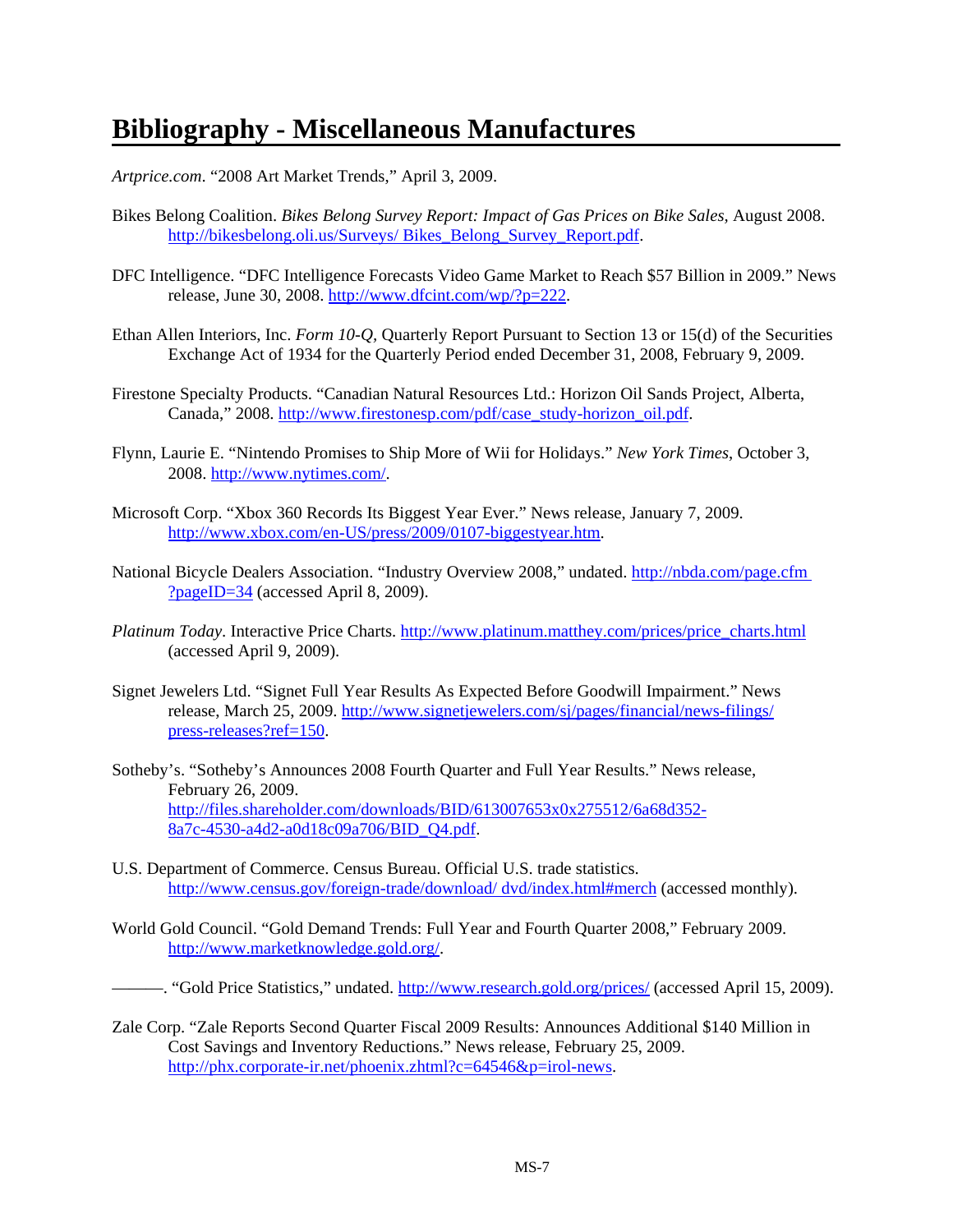# **Bibliography - Miscellaneous Manufactures**

*Artprice.com*. "2008 Art Market Trends," April 3, 2009.

- Bikes Belong Coalition. *Bikes Belong Survey Report: Impact of Gas Prices on Bike Sales,* August 2008. http://bikesbelong.oli.us/Surveys/ Bikes\_Belong\_Survey\_Report.pdf.
- DFC Intelligence. "DFC Intelligence Forecasts Video Game Market to Reach \$57 Billion in 2009." News release, June 30, 2008. http://www.dfcint.com/wp/?p=222.
- Ethan Allen Interiors, Inc. *Form 10-Q,* Quarterly Report Pursuant to Section 13 or 15(d) of the Securities Exchange Act of 1934 for the Quarterly Period ended December 31, 2008, February 9, 2009.
- Firestone Specialty Products. "Canadian Natural Resources Ltd.: Horizon Oil Sands Project, Alberta, Canada," 2008. http://www.firestonesp.com/pdf/case\_study-horizon\_oil.pdf.
- Flynn, Laurie E. "Nintendo Promises to Ship More of Wii for Holidays." *New York Times*, October 3, 2008. http://www.nytimes.com/.
- Microsoft Corp. "Xbox 360 Records Its Biggest Year Ever." News release, January 7, 2009. http://www.xbox.com/en-US/press/2009/0107-biggestyear.htm.
- National Bicycle Dealers Association. "Industry Overview 2008," undated. http://nbda.com/page.cfm ?pageID=34 (accessed April 8, 2009).
- *Platinum Today*. Interactive Price Charts. http://www.platinum.matthey.com/prices/price\_charts.html (accessed April 9, 2009).
- Signet Jewelers Ltd. "Signet Full Year Results As Expected Before Goodwill Impairment." News release, March 25, 2009. http://www.signetjewelers.com/sj/pages/financial/news-filings/ press-releases?ref=150.
- Sotheby's. "Sotheby's Announces 2008 Fourth Quarter and Full Year Results." News release, February 26, 2009. http://files.shareholder.com/downloads/BID/613007653x0x275512/6a68d352- 8a7c-4530-a4d2-a0d18c09a706/BID\_Q4.pdf.
- U.S. Department of Commerce. Census Bureau. Official U.S. trade statistics. http://www.census.gov/foreign-trade/download/ dvd/index.html#merch (accessed monthly).
- World Gold Council. "Gold Demand Trends: Full Year and Fourth Quarter 2008," February 2009. http://www.marketknowledge.gold.org/.
- ——. "Gold Price Statistics," undated. http://www.research.gold.org/prices/ (accessed April 15, 2009).
- Zale Corp. "Zale Reports Second Quarter Fiscal 2009 Results: Announces Additional \$140 Million in Cost Savings and Inventory Reductions." News release, February 25, 2009. http://phx.corporate-ir.net/phoenix.zhtml?c=64546&p=irol-news.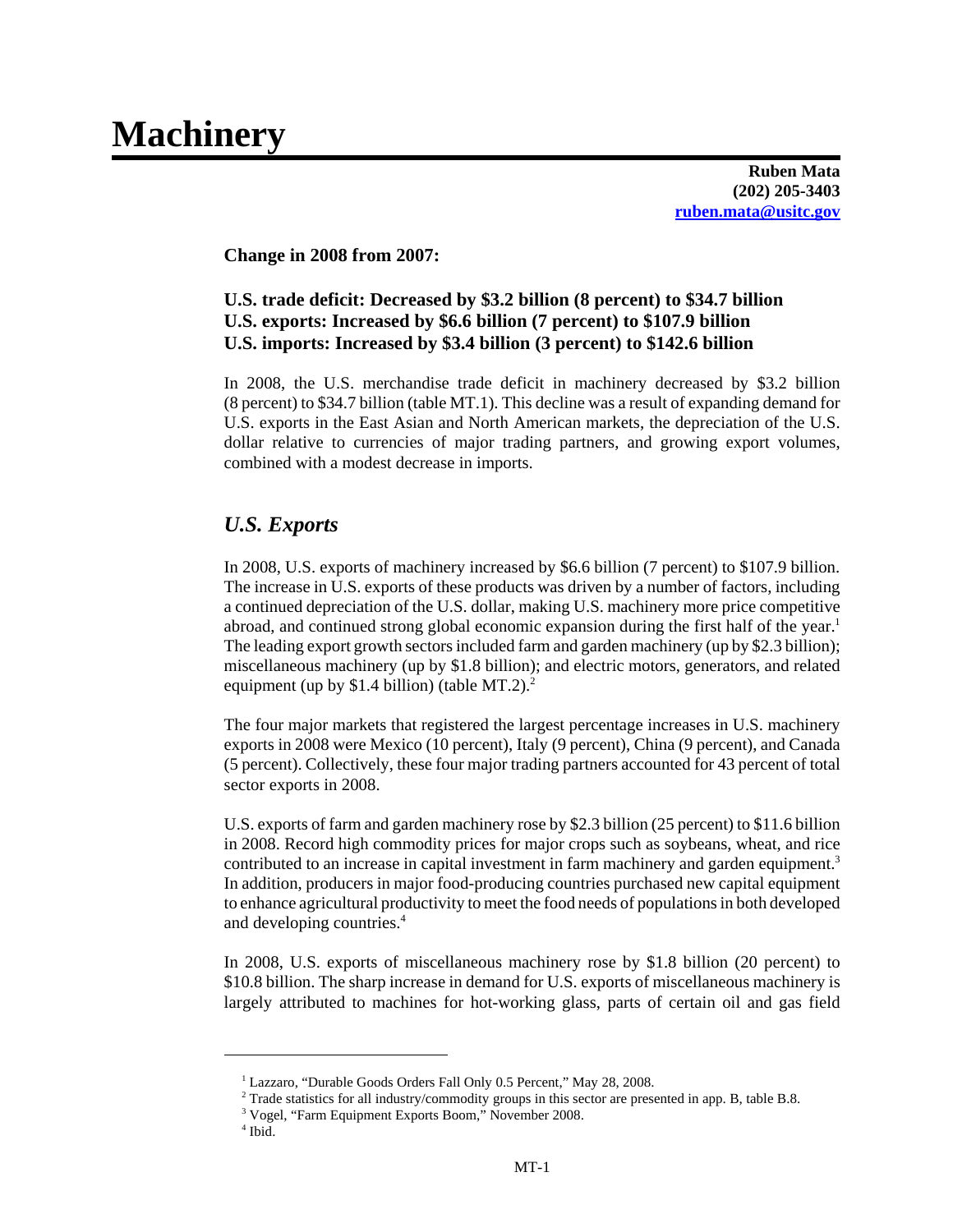# **Machinery**

**Ruben Mata (202) 205-3403 ruben.mata@usitc.gov**

#### **Change in 2008 from 2007:**

#### **U.S. trade deficit: Decreased by \$3.2 billion (8 percent) to \$34.7 billion U.S. exports: Increased by \$6.6 billion (7 percent) to \$107.9 billion U.S. imports: Increased by \$3.4 billion (3 percent) to \$142.6 billion**

In 2008, the U.S. merchandise trade deficit in machinery decreased by \$3.2 billion (8 percent) to \$34.7 billion (table MT.1). This decline was a result of expanding demand for U.S. exports in the East Asian and North American markets, the depreciation of the U.S. dollar relative to currencies of major trading partners, and growing export volumes, combined with a modest decrease in imports.

#### *U.S. Exports*

In 2008, U.S. exports of machinery increased by \$6.6 billion (7 percent) to \$107.9 billion. The increase in U.S. exports of these products was driven by a number of factors, including a continued depreciation of the U.S. dollar, making U.S. machinery more price competitive abroad, and continued strong global economic expansion during the first half of the year.<sup>1</sup> The leading export growth sectors included farm and garden machinery (up by \$2.3 billion); miscellaneous machinery (up by \$1.8 billion); and electric motors, generators, and related equipment (up by \$1.4 billion) (table MT.2).<sup>2</sup>

The four major markets that registered the largest percentage increases in U.S. machinery exports in 2008 were Mexico (10 percent), Italy (9 percent), China (9 percent), and Canada (5 percent). Collectively, these four major trading partners accounted for 43 percent of total sector exports in 2008.

U.S. exports of farm and garden machinery rose by \$2.3 billion (25 percent) to \$11.6 billion in 2008. Record high commodity prices for major crops such as soybeans, wheat, and rice contributed to an increase in capital investment in farm machinery and garden equipment.<sup>3</sup> In addition, producers in major food-producing countries purchased new capital equipment to enhance agricultural productivity to meet the food needs of populations in both developed and developing countries.4

In 2008, U.S. exports of miscellaneous machinery rose by \$1.8 billion (20 percent) to \$10.8 billion. The sharp increase in demand for U.S. exports of miscellaneous machinery is largely attributed to machines for hot-working glass, parts of certain oil and gas field

 <sup>1</sup> Lazzaro, "Durable Goods Orders Fall Only 0.5 Percent," May 28, 2008.

 <sup>2</sup> Trade statistics for all industry/commodity groups in this sector are presented in app. B, table B.8.

 <sup>3</sup> Vogel, "Farm Equipment Exports Boom," November 2008.

 <sup>4</sup> Ibid.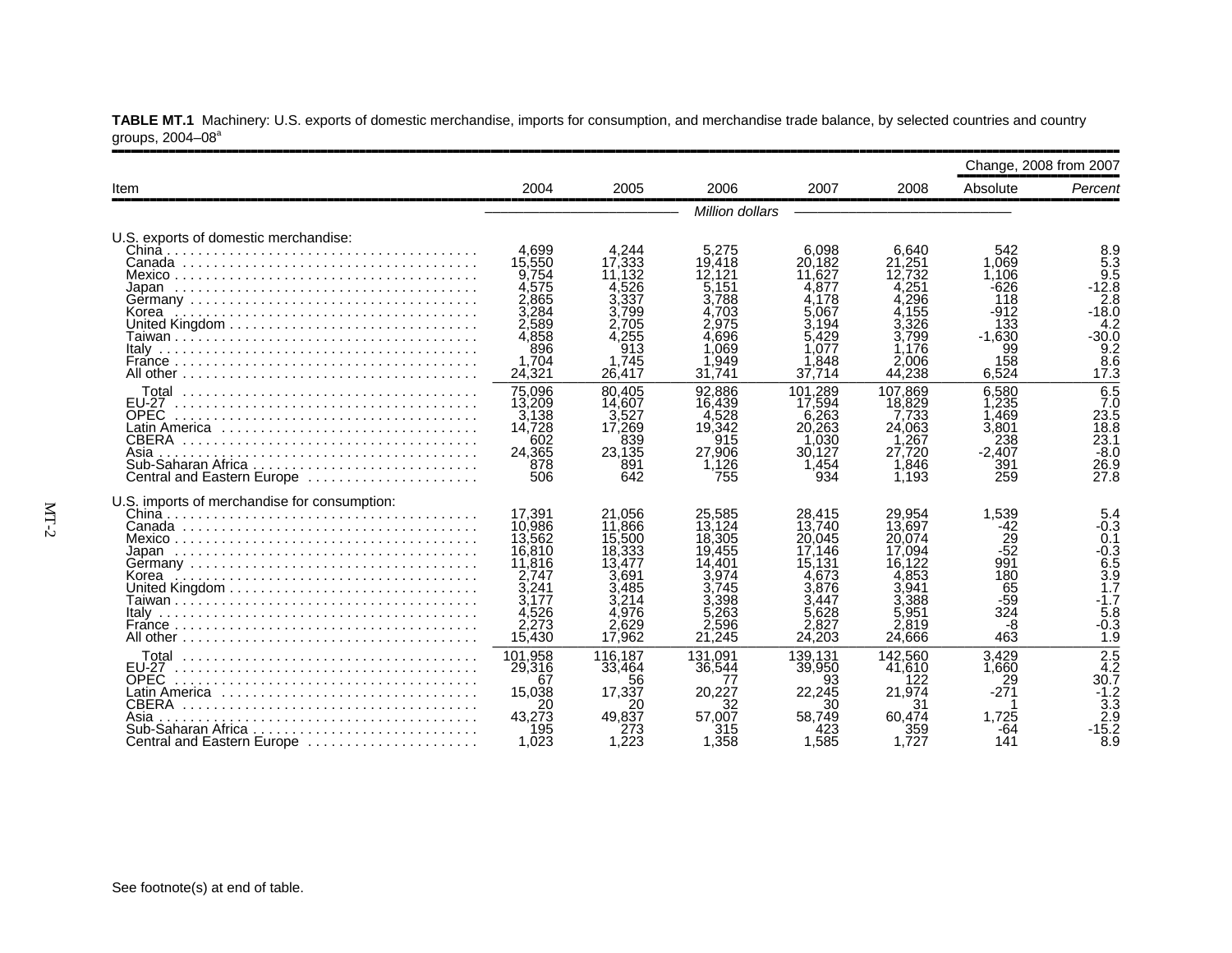|                                                                                                         |                                                                                                       |                                                                                                       |                                                                                                     |                                                                                                      |                                                                                                       |                                                                                  | Change, 2008 from 2007                                                                |
|---------------------------------------------------------------------------------------------------------|-------------------------------------------------------------------------------------------------------|-------------------------------------------------------------------------------------------------------|-----------------------------------------------------------------------------------------------------|------------------------------------------------------------------------------------------------------|-------------------------------------------------------------------------------------------------------|----------------------------------------------------------------------------------|---------------------------------------------------------------------------------------|
| Item                                                                                                    | 2004                                                                                                  | 2005                                                                                                  | 2006                                                                                                | 2007                                                                                                 | 2008                                                                                                  | Absolute                                                                         | Percent                                                                               |
|                                                                                                         |                                                                                                       |                                                                                                       | Million dollars                                                                                     |                                                                                                      |                                                                                                       |                                                                                  |                                                                                       |
| U.S. exports of domestic merchandise:<br>China<br>Korea                                                 | 4.699<br>15,550<br>9,754<br>4,575<br>2.865<br>3.284<br>2.589<br>4.858<br>896                          | 4.244<br>17.333<br>11.132<br>4.526<br>3.337<br>3.799<br>2.705<br>.255<br>913                          | 5.275<br>19.418<br>12.121<br>5,151<br>3.788<br>.703<br>2.975<br>.696<br>1.069                       | 6.098<br>20.182<br>11.627<br>4.877<br>4.178<br>5.067<br>3.194<br>5.429<br>.077                       | 6.640<br>21,251<br>12.732<br>.251<br>.296<br>.155<br>3.326<br>3.799<br>1.176                          | 542<br>1.069<br>1.106<br>$-626$<br>118<br>$-912$<br>133<br>$-1.630$<br>99        | 8.9<br>$5.\overline{3}$<br>9.5<br>$-12.8$<br>2.8<br>$-18.0$<br>4.2<br>-30.0<br>9.2    |
|                                                                                                         | 1.704<br>24,321                                                                                       | 1.745<br>26,417                                                                                       | .949<br>31.741                                                                                      | .848<br>37.714                                                                                       | 2.006<br>44.238                                                                                       | 158<br>6,524                                                                     | 8.6<br>17.3                                                                           |
| Total<br><b>EU-27</b><br><b>OPEC</b><br>CBERA<br>Asia<br>Central and Eastern Europe                     | 75.096<br>13,209<br>3.138<br>14.728<br>602<br>24.365<br>878<br>506                                    | 80.405<br>14.607<br>3.527<br>17,269<br>839<br>23,135<br>891<br>642                                    | 92.886<br>16.439<br>.528<br>19.342<br>915<br>27.906<br>1,126<br>755                                 | 101.289<br>17.594<br>6.263<br>20,263<br>.030<br>30.127<br>1.454<br>934                               | 107.869<br>18,829<br>.733<br>24,063<br>.267<br>27.720<br>1,846<br>1.193                               | 6.580<br>1.235<br>.469<br>3.801<br>238<br>$-2.407$<br>391<br>259                 | 6.5<br>7.0<br>$23.\overline{5}$<br>18.8<br>23.1<br>$-8.0$<br>26.9<br>27.8             |
| U.S. imports of merchandise for consumption:<br>Korea                                                   | 17.391<br>10.986<br>13.562<br>16,810<br>11,816<br>2.747<br>3.241<br>3.177<br>4,526<br>2,273<br>15,430 | 21.056<br>11,866<br>15,500<br>18,333<br>13.477<br>3.691<br>3.485<br>3.214<br>4.976<br>2.629<br>17.962 | 25.585<br>13.124<br>18.305<br>19.455<br>14.401<br>.974<br>3.745<br>.398<br>5.263<br>2,596<br>21.245 | 28.415<br>13.740<br>20,045<br>17.146<br>15.131<br>.673<br>3.876<br>3.447<br>5.628<br>2.827<br>24,203 | 29,954<br>13,697<br>20.074<br>17.094<br>16.122<br>4.853<br>3.941<br>3.388<br>5.951<br>2,819<br>24.666 | 1,539<br>-42<br>$\frac{25}{52}$<br>991<br>180<br>65<br>$-59$<br>324<br>-8<br>463 | 5.4<br>$-0.3$<br>0.1<br>$-0.3$<br>6.5<br>3.9<br>1.7<br>$-1.7$<br>5.8<br>$-0.3$<br>1.9 |
| <b>EU-27</b><br><b>OPEC</b><br><b>CBERA</b><br>Asia<br>Sub-Saharan Africa<br>Central and Eastern Europe | 101,958<br>29,316<br>67<br>15,038<br>20<br>43.273<br>195<br>1.023                                     | 116.187<br>33,464<br>56<br>17,337<br>20<br>49.837<br>273<br>1.223                                     | 131.091<br>36.544<br>20.227<br>57.007<br>315<br>1.358                                               | 139.131<br>39,950<br>93<br>22,245<br>30<br>58.749<br>423<br>1.585                                    | 142.560<br>41,610<br>122<br>21,974<br>31<br>60.474<br>359<br>1.727                                    | 3.429<br>1.660<br>29<br>1.725<br>-64<br>141                                      | $\frac{2.5}{4.2}$<br>30.7<br>$-1.2$<br>3.3<br>2.9<br>-15.2<br>8.9                     |

**TABLE MT.1** Machinery: U.S. exports of domestic merchandise, imports for consumption, and merchandise trade balance, by selected countries and country groups, 2004–08ª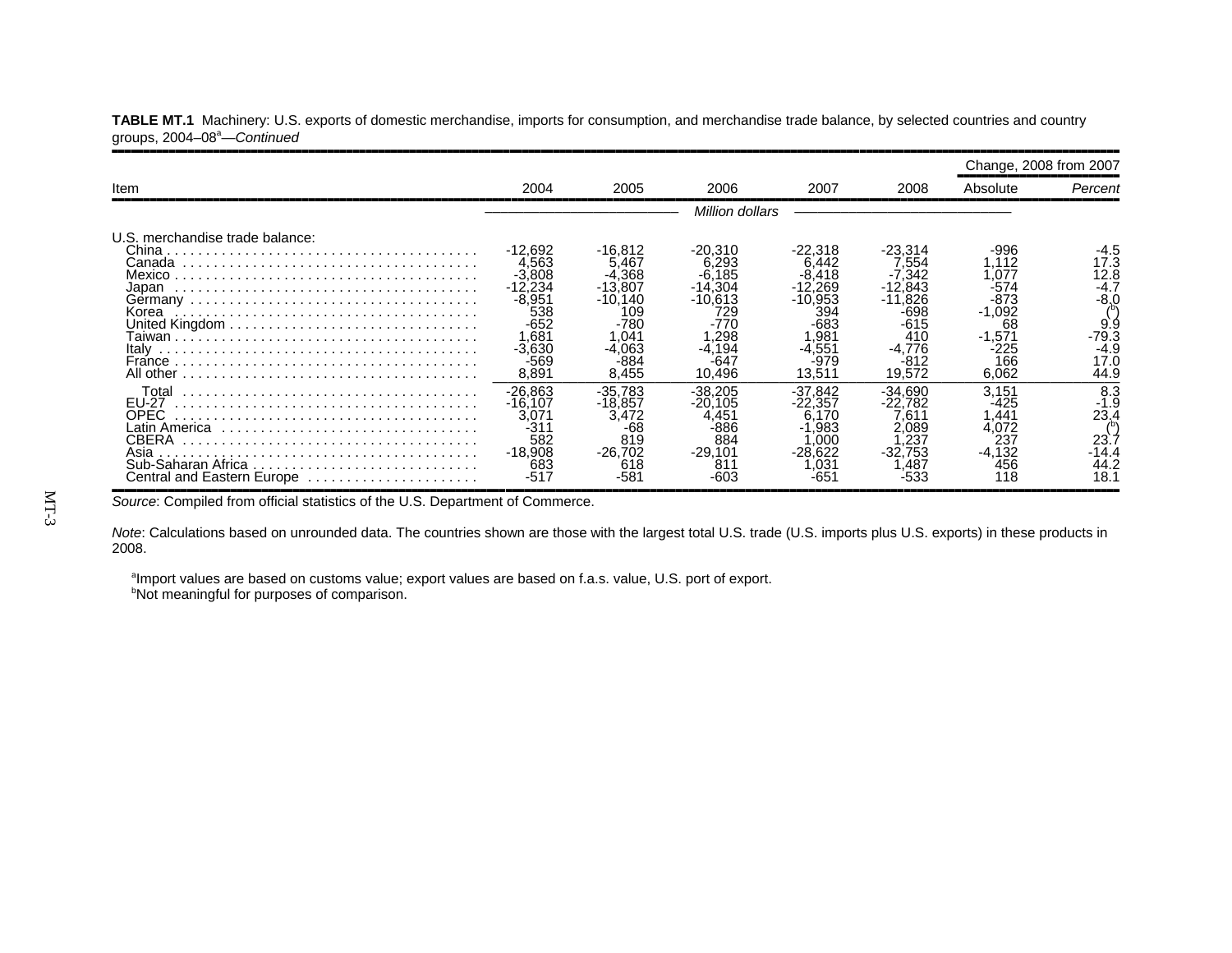|                                                                               |                                                                                                           |                                                                                                          |                                                                                                |                                                                                                              |                                                                                            | Change, 2008 from 2007                                                                       |                                                                        |
|-------------------------------------------------------------------------------|-----------------------------------------------------------------------------------------------------------|----------------------------------------------------------------------------------------------------------|------------------------------------------------------------------------------------------------|--------------------------------------------------------------------------------------------------------------|--------------------------------------------------------------------------------------------|----------------------------------------------------------------------------------------------|------------------------------------------------------------------------|
| Item                                                                          | 2004                                                                                                      | 2005                                                                                                     | 2006                                                                                           | 2007                                                                                                         | 2008                                                                                       | Absolute                                                                                     | Percent                                                                |
|                                                                               |                                                                                                           |                                                                                                          | Million dollars                                                                                |                                                                                                              |                                                                                            |                                                                                              |                                                                        |
| U.S. merchandise trade balance:<br>Japan<br>Korea<br>Italy                    | -12,692<br>4.563<br>$-3.808$<br>-12.234<br>$-8.951$<br>538<br>$-652$<br>.681<br>$-3,630$<br>-569<br>8,891 | -16,812<br>5.467<br>$-4.368$<br>$-13.807$<br>$-10.140$<br>109<br>-780<br>.041<br>-4.063<br>-884<br>8,455 | $-20,310$<br>6.293<br>$-6.185$<br>-14.304<br>-10.613<br>729<br>.298<br>-4.194<br>-64<br>10,496 | $-22,318$<br>6.442<br>.418<br>-12.269<br>$-10.953$<br>394<br>-683<br>.981<br>$.55^{\circ}$<br>-979<br>13,511 | -23.314<br>554.′<br>342<br>.843<br>.826<br>-698<br>-615<br>410<br>-4.776<br>-812<br>19,572 | -996<br>.112<br>.077<br>-574<br>$-873$<br>$-1,092$<br>68<br>$-1.571$<br>-225<br>166<br>6,062 | 17.3<br>12.8<br>-4.7<br>-8.0<br>9.9<br>-79.3<br>$-4.9$<br>17.0<br>44.9 |
| Total<br><b>EU-27</b><br>OPEC.<br>CBERA<br>Asia<br>Central and Eastern Europe | -26,863<br>-16.107<br>$3.07^{\circ}$<br>$-31'$<br>582<br>$-18.908$<br>683<br>-511                         | $-35.783$<br>$-18.857$<br>3.472<br>-68<br>819<br>$-26.702$<br>618<br>-581                                | $-38.205$<br>.105<br>$-20$<br>.45<br>-886<br>884<br>$-29.101$<br>$81^{\circ}$                  | $-37.842$<br>-22.357<br>170<br>6 1<br>.983<br>.000<br>$-28.622$<br>.031<br>-651                              | $-34.690$<br>-22.782<br>661<br>0.089<br>.23<br>.753<br>.487                                | 3,151<br>-425<br>.441<br>4.072<br>237<br>$-4,132$<br>456<br>18                               | 8.3<br>-1.9<br>23.4<br>23.<br>-14.4<br>44.2<br>18.1                    |

TABLE MT.1 Machinery: U.S. exports of domestic merchandise, imports for consumption, and merchandise trade balance, by selected countries and country groups, 2004-08<sup>a</sup>-Continued

Source: Compiled from official statistics of the U.S. Department of Commerce.

*Note*: Calculations based on unrounded data. The countries shown are those with the largest total U.S. trade (U.S. imports plus U.S. exports) in these products in 2008.

aImport values are based on customs value; export values are based on f.a.s. value, U.S. port of export. **bNot meaningful for purposes of comparison.**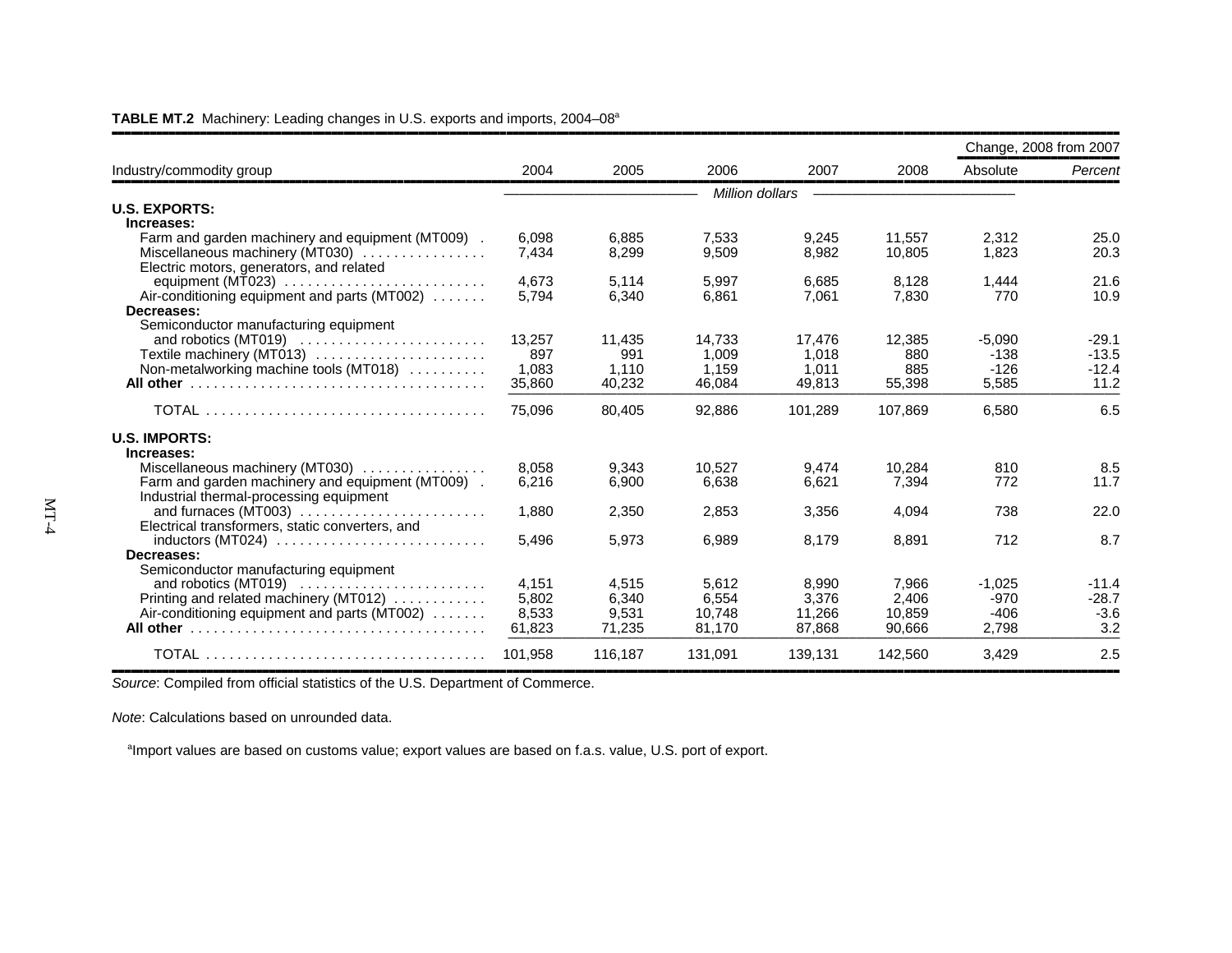| Industry/commodity group                                                           |                 | 2005           | 2006           |         | 2008           | Change, 2008 from 2007 |              |  |  |  |  |
|------------------------------------------------------------------------------------|-----------------|----------------|----------------|---------|----------------|------------------------|--------------|--|--|--|--|
|                                                                                    | 2004            |                |                | 2007    |                | Absolute               | Percent      |  |  |  |  |
|                                                                                    | Million dollars |                |                |         |                |                        |              |  |  |  |  |
| <b>U.S. EXPORTS:</b>                                                               |                 |                |                |         |                |                        |              |  |  |  |  |
| Increases:                                                                         |                 |                |                |         |                |                        |              |  |  |  |  |
| Farm and garden machinery and equipment (MT009).                                   | 6.098           | 6.885          | 7,533          | 9,245   | 11.557         | 2,312                  | 25.0         |  |  |  |  |
| Miscellaneous machinery (MT030)                                                    | 7,434           | 8,299          | 9,509          | 8,982   | 10,805         | 1,823                  | 20.3         |  |  |  |  |
| Electric motors, generators, and related                                           |                 |                |                |         |                |                        |              |  |  |  |  |
| equipment (MT023)                                                                  | 4.673<br>5.794  | 5,114<br>6.340 | 5,997<br>6.861 | 6,685   | 8,128<br>7.830 | 1,444<br>770           | 21.6<br>10.9 |  |  |  |  |
| Air-conditioning equipment and parts (MT002)<br>Decreases:                         |                 |                |                | 7,061   |                |                        |              |  |  |  |  |
| Semiconductor manufacturing equipment                                              |                 |                |                |         |                |                        |              |  |  |  |  |
|                                                                                    | 13,257          | 11,435         | 14,733         | 17,476  | 12,385         | $-5.090$               | $-29.1$      |  |  |  |  |
| Textile machinery (MT013)                                                          | 897             | 991            | 1,009          | 1,018   | 880            | $-138$                 | $-13.5$      |  |  |  |  |
| Non-metalworking machine tools (MT018)                                             | 1,083           | 1,110          | 1.159          | 1.011   | 885            | $-126$                 | $-12.4$      |  |  |  |  |
|                                                                                    | 35,860          | 40,232         | 46,084         | 49,813  | 55,398         | 5,585                  | 11.2         |  |  |  |  |
|                                                                                    | 75,096          | 80.405         | 92.886         | 101.289 | 107.869        | 6.580                  | 6.5          |  |  |  |  |
| <b>U.S. IMPORTS:</b>                                                               |                 |                |                |         |                |                        |              |  |  |  |  |
| Increases:                                                                         |                 |                |                |         |                |                        |              |  |  |  |  |
| Miscellaneous machinery (MT030)                                                    | 8,058           | 9,343          | 10.527         | 9,474   | 10.284         | 810                    | 8.5          |  |  |  |  |
| Farm and garden machinery and equipment (MT009).                                   | 6,216           | 6,900          | 6,638          | 6,621   | 7,394          | 772                    | 11.7         |  |  |  |  |
| Industrial thermal-processing equipment                                            |                 |                |                |         |                |                        |              |  |  |  |  |
|                                                                                    | 1.880           | 2,350          | 2,853          | 3,356   | 4,094          | 738                    | 22.0         |  |  |  |  |
| Electrical transformers, static converters, and                                    |                 |                |                |         |                |                        |              |  |  |  |  |
| $inductors (MT024) \ldots \ldots \ldots \ldots \ldots \ldots \ldots$<br>Decreases: | 5.496           | 5.973          | 6,989          | 8,179   | 8,891          | 712                    | 8.7          |  |  |  |  |
| Semiconductor manufacturing equipment                                              |                 |                |                |         |                |                        |              |  |  |  |  |
|                                                                                    | 4.151           | 4.515          | 5.612          | 8,990   | 7,966          | $-1.025$               | $-11.4$      |  |  |  |  |
| Printing and related machinery (MT012)                                             | 5.802           | 6.340          | 6,554          | 3,376   | 2,406          | $-970$                 | $-28.7$      |  |  |  |  |
| Air-conditioning equipment and parts (MT002)                                       | 8,533           | 9,531          | 10,748         | 11,266  | 10,859         | $-406$                 | $-3.6$       |  |  |  |  |
|                                                                                    | 61,823          | 71,235         | 81,170         | 87,868  | 90,666         | 2,798                  | 3.2          |  |  |  |  |
|                                                                                    | 101.958         | 116,187        | 131,091        | 139,131 | 142,560        | 3,429                  | 2.5          |  |  |  |  |

#### **TABLE MT.2** Machinery: Leading changes in U.S. exports and imports, 2004–08<sup>a</sup>

**Source: Compiled from official statistics of the U.S. Department of Commerce.** 

*Note*: Calculations based on unrounded data.

<sup>a</sup>Import values are based on customs value; export values are based on f.a.s. value, U.S. port of export.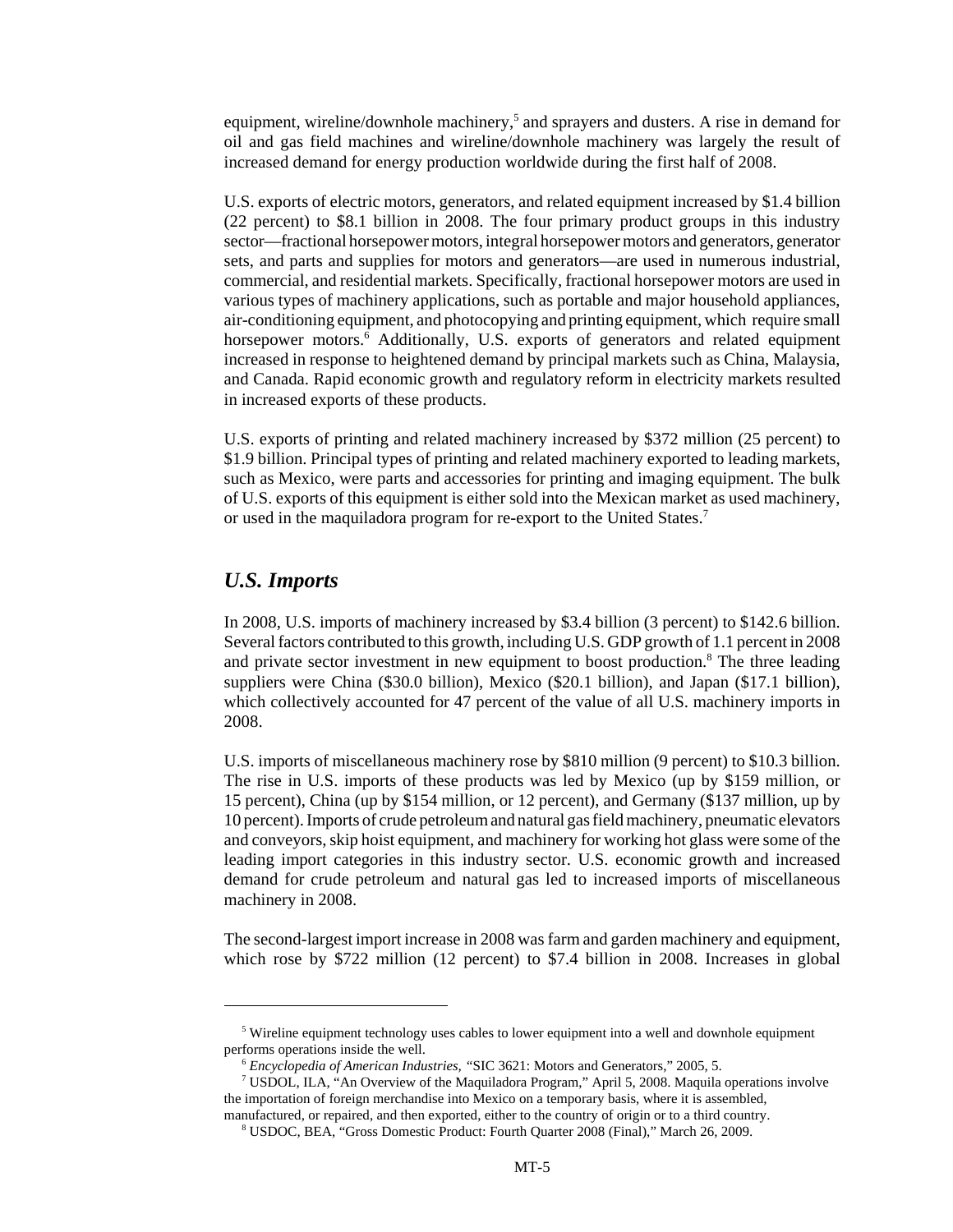equipment, wireline/downhole machinery,<sup>5</sup> and sprayers and dusters. A rise in demand for oil and gas field machines and wireline/downhole machinery was largely the result of increased demand for energy production worldwide during the first half of 2008.

U.S. exports of electric motors, generators, and related equipment increased by \$1.4 billion (22 percent) to \$8.1 billion in 2008. The four primary product groups in this industry sector—fractional horsepower motors, integral horsepower motors and generators, generator sets, and parts and supplies for motors and generators—are used in numerous industrial, commercial, and residential markets. Specifically, fractional horsepower motors are used in various types of machinery applications, such as portable and major household appliances, air-conditioning equipment, and photocopying and printing equipment, which require small horsepower motors.<sup>6</sup> Additionally, U.S. exports of generators and related equipment increased in response to heightened demand by principal markets such as China, Malaysia, and Canada. Rapid economic growth and regulatory reform in electricity markets resulted in increased exports of these products.

U.S. exports of printing and related machinery increased by \$372 million (25 percent) to \$1.9 billion. Principal types of printing and related machinery exported to leading markets, such as Mexico, were parts and accessories for printing and imaging equipment. The bulk of U.S. exports of this equipment is either sold into the Mexican market as used machinery, or used in the maquiladora program for re-export to the United States.<sup>7</sup>

#### *U.S. Imports*

In 2008, U.S. imports of machinery increased by \$3.4 billion (3 percent) to \$142.6 billion. Several factors contributed to this growth, including U.S. GDP growth of 1.1 percent in 2008 and private sector investment in new equipment to boost production.<sup>8</sup> The three leading suppliers were China (\$30.0 billion), Mexico (\$20.1 billion), and Japan (\$17.1 billion), which collectively accounted for 47 percent of the value of all U.S. machinery imports in 2008.

U.S. imports of miscellaneous machinery rose by \$810 million (9 percent) to \$10.3 billion. The rise in U.S. imports of these products was led by Mexico (up by \$159 million, or 15 percent), China (up by \$154 million, or 12 percent), and Germany (\$137 million, up by 10 percent). Imports of crude petroleum and natural gas field machinery, pneumatic elevators and conveyors, skip hoist equipment, and machinery for working hot glass were some of the leading import categories in this industry sector. U.S. economic growth and increased demand for crude petroleum and natural gas led to increased imports of miscellaneous machinery in 2008.

The second-largest import increase in 2008 was farm and garden machinery and equipment, which rose by \$722 million (12 percent) to \$7.4 billion in 2008. Increases in global

 <sup>5</sup> Wireline equipment technology uses cables to lower equipment into a well and downhole equipment performs operations inside the well.

 <sup>6</sup> *Encyclopedia of American Industries, "*SIC 3621: Motors and Generators," 2005, 5.

 <sup>7</sup> USDOL, ILA, "An Overview of the Maquiladora Program," April 5, 2008. Maquila operations involve the importation of foreign merchandise into Mexico on a temporary basis, where it is assembled, manufactured, or repaired, and then exported, either to the country of origin or to a third country.

 <sup>8</sup> USDOC, BEA, "Gross Domestic Product: Fourth Quarter 2008 (Final)," March 26, 2009.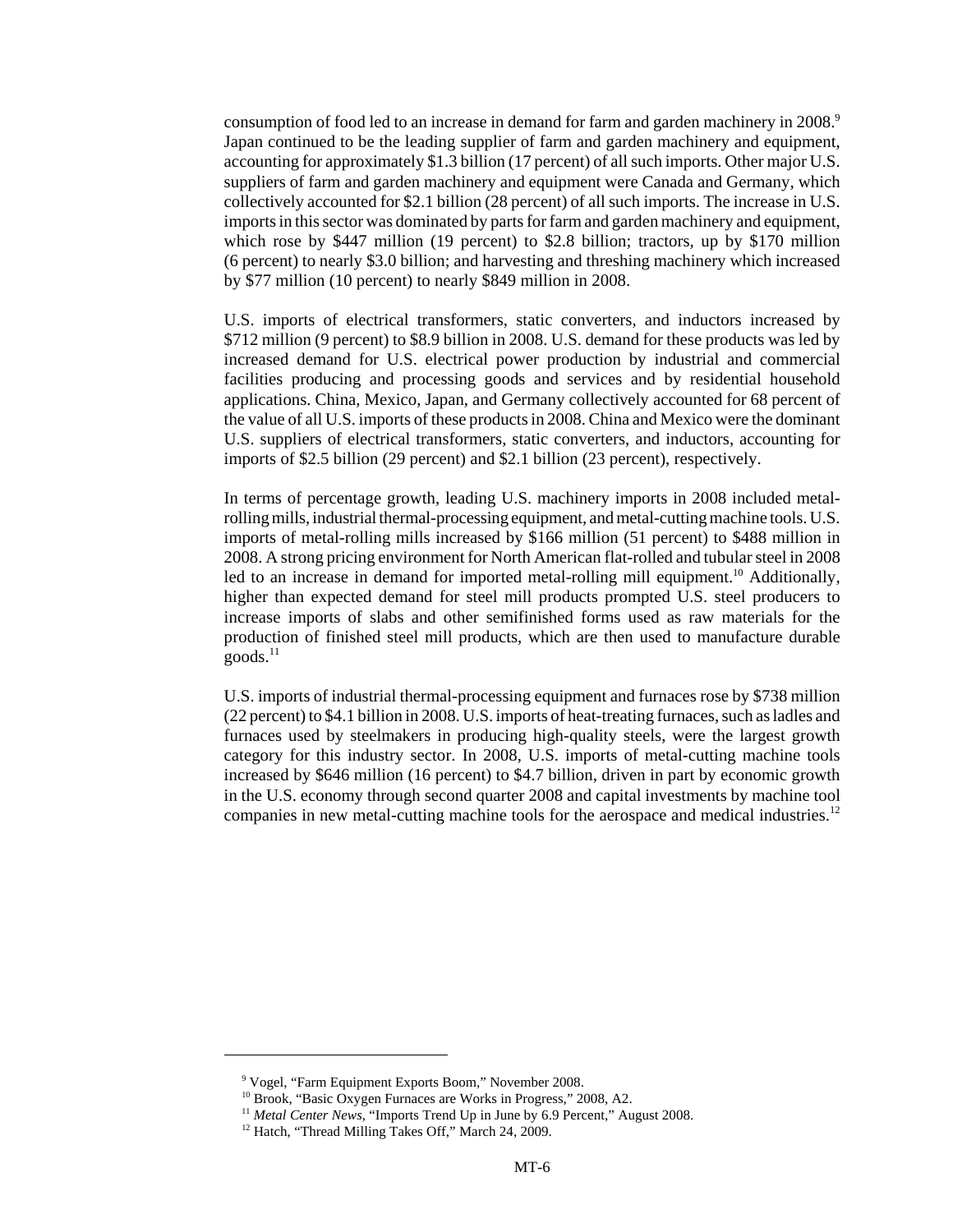consumption of food led to an increase in demand for farm and garden machinery in 2008.<sup>9</sup> Japan continued to be the leading supplier of farm and garden machinery and equipment, accounting for approximately \$1.3 billion (17 percent) of all such imports. Other major U.S. suppliers of farm and garden machinery and equipment were Canada and Germany, which collectively accounted for \$2.1 billion (28 percent) of all such imports. The increase in U.S. imports in this sector was dominated by parts for farm and garden machinery and equipment, which rose by \$447 million (19 percent) to \$2.8 billion; tractors, up by \$170 million (6 percent) to nearly \$3.0 billion; and harvesting and threshing machinery which increased by \$77 million (10 percent) to nearly \$849 million in 2008.

U.S. imports of electrical transformers, static converters, and inductors increased by \$712 million (9 percent) to \$8.9 billion in 2008. U.S. demand for these products was led by increased demand for U.S. electrical power production by industrial and commercial facilities producing and processing goods and services and by residential household applications. China, Mexico, Japan, and Germany collectively accounted for 68 percent of the value of all U.S. imports of these products in 2008. China and Mexico were the dominant U.S. suppliers of electrical transformers, static converters, and inductors, accounting for imports of \$2.5 billion (29 percent) and \$2.1 billion (23 percent), respectively.

In terms of percentage growth, leading U.S. machinery imports in 2008 included metalrolling mills, industrial thermal-processing equipment, and metal-cutting machine tools. U.S. imports of metal-rolling mills increased by \$166 million (51 percent) to \$488 million in 2008. A strong pricing environment for North American flat-rolled and tubular steel in 2008 led to an increase in demand for imported metal-rolling mill equipment.<sup>10</sup> Additionally, higher than expected demand for steel mill products prompted U.S. steel producers to increase imports of slabs and other semifinished forms used as raw materials for the production of finished steel mill products, which are then used to manufacture durable  $goods.<sup>11</sup>$ 

U.S. imports of industrial thermal-processing equipment and furnaces rose by \$738 million (22 percent) to \$4.1 billion in 2008. U.S. imports of heat-treating furnaces, such as ladles and furnaces used by steelmakers in producing high-quality steels, were the largest growth category for this industry sector. In 2008, U.S. imports of metal-cutting machine tools increased by \$646 million (16 percent) to \$4.7 billion, driven in part by economic growth in the U.S. economy through second quarter 2008 and capital investments by machine tool companies in new metal-cutting machine tools for the aerospace and medical industries.<sup>12</sup>

 <sup>9</sup> Vogel, "Farm Equipment Exports Boom," November 2008.

<sup>&</sup>lt;sup>10</sup> Brook, "Basic Oxygen Furnaces are Works in Progress," 2008, A2.

<sup>&</sup>lt;sup>11</sup> Metal Center News, "Imports Trend Up in June by 6.9 Percent," August 2008.

<sup>&</sup>lt;sup>12</sup> Hatch, "Thread Milling Takes Off," March 24, 2009.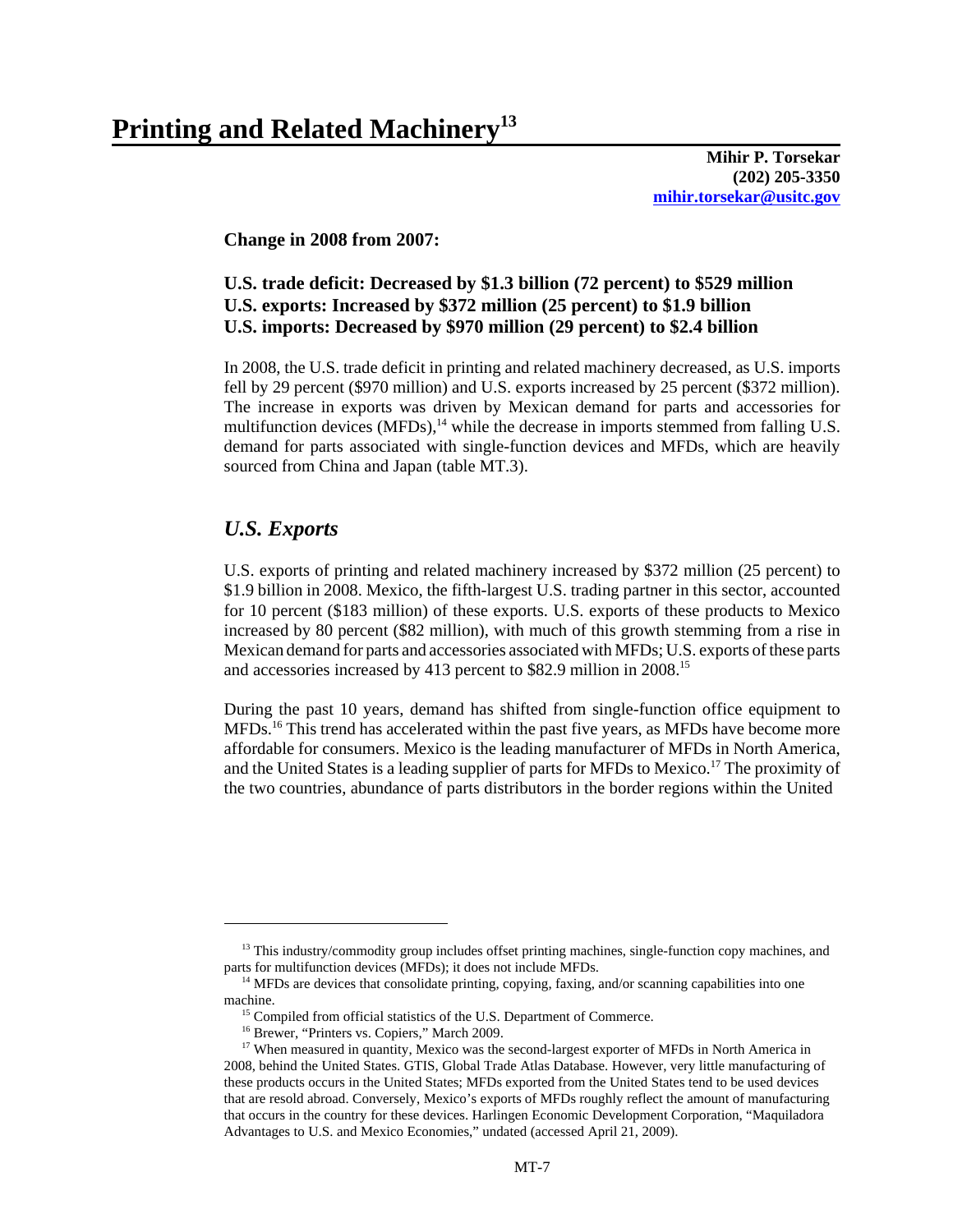**Mihir P. Torsekar (202) 205-3350 mihir.torsekar@usitc.gov**

**Change in 2008 from 2007:**

## **U.S. trade deficit: Decreased by \$1.3 billion (72 percent) to \$529 million U.S. exports: Increased by \$372 million (25 percent) to \$1.9 billion U.S. imports: Decreased by \$970 million (29 percent) to \$2.4 billion**

In 2008, the U.S. trade deficit in printing and related machinery decreased, as U.S. imports fell by 29 percent (\$970 million) and U.S. exports increased by 25 percent (\$372 million). The increase in exports was driven by Mexican demand for parts and accessories for multifunction devices  $(MFDs)$ ,<sup>14</sup> while the decrease in imports stemmed from falling U.S. demand for parts associated with single-function devices and MFDs, which are heavily sourced from China and Japan (table MT.3).

# *U.S. Exports*

U.S. exports of printing and related machinery increased by \$372 million (25 percent) to \$1.9 billion in 2008. Mexico, the fifth-largest U.S. trading partner in this sector, accounted for 10 percent (\$183 million) of these exports. U.S. exports of these products to Mexico increased by 80 percent (\$82 million), with much of this growth stemming from a rise in Mexican demand for parts and accessories associated with MFDs; U.S. exports of these parts and accessories increased by 413 percent to \$82.9 million in 2008.15

During the past 10 years, demand has shifted from single-function office equipment to MFDs.<sup>16</sup> This trend has accelerated within the past five years, as MFDs have become more affordable for consumers. Mexico is the leading manufacturer of MFDs in North America, and the United States is a leading supplier of parts for MFDs to Mexico.<sup>17</sup> The proximity of the two countries, abundance of parts distributors in the border regions within the United

<sup>&</sup>lt;sup>13</sup> This industry/commodity group includes offset printing machines, single-function copy machines, and parts for multifunction devices (MFDs); it does not include MFDs.

<sup>&</sup>lt;sup>14</sup> MFDs are devices that consolidate printing, copying, faxing, and/or scanning capabilities into one machine.

<sup>&</sup>lt;sup>15</sup> Compiled from official statistics of the U.S. Department of Commerce.

<sup>&</sup>lt;sup>16</sup> Brewer, "Printers vs. Copiers," March 2009.

<sup>&</sup>lt;sup>17</sup> When measured in quantity, Mexico was the second-largest exporter of MFDs in North America in 2008, behind the United States. GTIS, Global Trade Atlas Database. However, very little manufacturing of these products occurs in the United States; MFDs exported from the United States tend to be used devices that are resold abroad. Conversely, Mexico's exports of MFDs roughly reflect the amount of manufacturing that occurs in the country for these devices. Harlingen Economic Development Corporation, "Maquiladora Advantages to U.S. and Mexico Economies," undated (accessed April 21, 2009).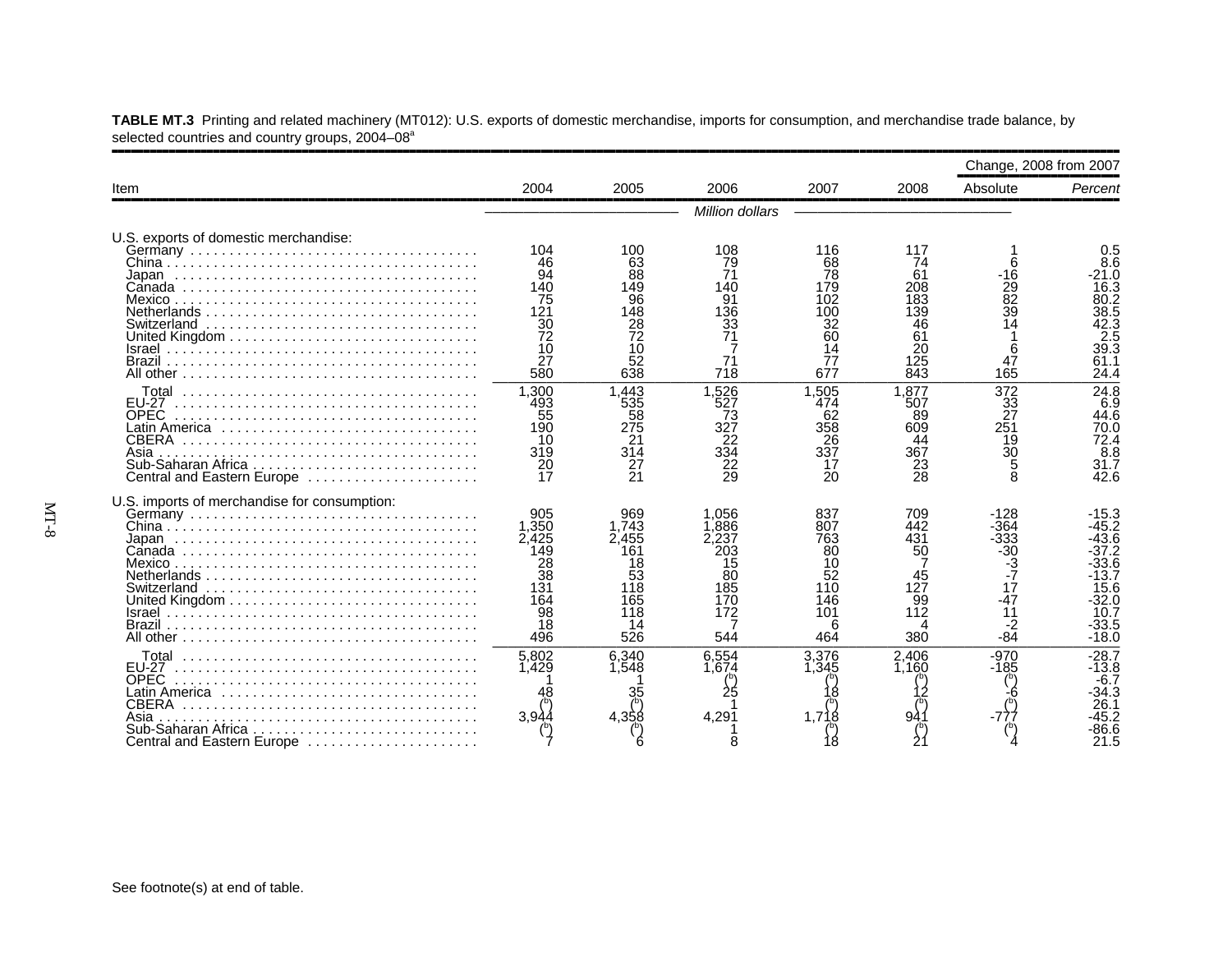| Item                                                                                                              |                                                                           |                                                                            | 2006                                                                 | 2007                                                                 | 2008                                                                 | Change, 2008 from 2007                                                         |                                                                                                           |  |  |  |
|-------------------------------------------------------------------------------------------------------------------|---------------------------------------------------------------------------|----------------------------------------------------------------------------|----------------------------------------------------------------------|----------------------------------------------------------------------|----------------------------------------------------------------------|--------------------------------------------------------------------------------|-----------------------------------------------------------------------------------------------------------|--|--|--|
|                                                                                                                   | 2004                                                                      | 2005                                                                       |                                                                      |                                                                      |                                                                      | Absolute                                                                       | Percent                                                                                                   |  |  |  |
|                                                                                                                   | Million dollars                                                           |                                                                            |                                                                      |                                                                      |                                                                      |                                                                                |                                                                                                           |  |  |  |
| U.S. exports of domestic merchandise:<br>Switzerland<br>Israel<br>Brazil                                          | 104<br>46<br>94<br>140<br>75<br>121<br>30<br>72<br>10<br>27<br>580        | 100<br>63<br>88<br>149<br>96<br>148<br>28<br>72<br>10<br>52<br>638         | 108<br>79<br>71<br>140<br>91<br>136<br>33<br>71<br>718               | 116<br>68<br>78<br>179<br>102<br>100<br>32<br>60<br>14<br>77<br>677  | 117<br>74<br>61<br>208<br>183<br>139<br>46<br>61<br>20<br>125<br>843 | 6<br>-16<br>29<br>82<br>39<br>14<br>6<br>47<br>165                             | 0.5<br>8.6<br>-21.0<br>16.3<br>80.2<br>38.5<br>38.5<br>42.3<br>2.5<br>39.3<br>61.1<br>24.4                |  |  |  |
| $FLJ-27$<br><b>OPEC</b><br>Latin America ,,,,,,,,,,,,,,,,,,<br><b>CBERA</b><br>Asia<br>Central and Eastern Europe | 1.300<br>493<br>55<br>190<br>10<br>319<br>20<br>17                        | 1.443<br>535<br>58<br>275<br>21<br>314<br>27<br>21                         | .526<br>527<br>73<br>327<br>22<br>334<br>22<br>29                    | 1.505<br>474<br>62<br>358<br>26<br>337<br>17<br>20                   | 1.877<br>507<br>89<br>609<br>44<br>367<br>23<br>28                   | 372<br>$\frac{3\overline{3}}{27}$<br>251<br>19<br>30<br>5<br>8                 | 24.8<br>6.9<br>44.6<br>70.0<br>72.4<br>8.8<br>31.7<br>42.6                                                |  |  |  |
| U.S. imports of merchandise for consumption:<br>Japan<br>Brazil                                                   | 905<br>1.350<br>2,425<br>149<br>28<br>38<br>131<br>164<br>98<br>18<br>496 | 969<br>1.743<br>2.455<br>161<br>18<br>53<br>118<br>165<br>118<br>14<br>526 | .056<br>.886<br>2,237<br>203<br>15<br>80<br>185<br>170<br>172<br>544 | 837<br>807<br>763<br>80<br>10<br>52<br>110<br>146<br>101<br>6<br>464 | 709<br>442<br>431<br>50<br>45<br>127<br>99<br>112<br>Δ<br>380        | $-128$<br>-364<br>$-333$<br>30<br>3-<br>7-<br>17<br>$-47$<br>11<br>-2<br>$-84$ | $-15.3$<br>-45.2<br>$-43.6$<br>$-37.2$<br>-33.6<br>-13.7<br>15.6<br>$-32.0$<br>10.7<br>$-33.5$<br>$-18.0$ |  |  |  |
| <b>EU-27</b><br>OPEC<br>Latin America<br><b>CBERA</b><br>Asia<br>Sub-Saharan Africa<br>Central and Eastern Europe | 5,802<br>1.429<br>3.94                                                    | 6.340<br>1.548<br>35<br>4.358                                              | 6.554<br>1.674<br>4,291                                              | 3,376<br>1.345<br>1.718                                              | 2,406<br>1.160<br>94                                                 | $-970$<br>$-185$                                                               | $-28.7$<br>$-13.8$<br>$-6.7$<br>34.3<br>26.1<br>45.2<br>86.6<br>21.5                                      |  |  |  |

**TABLE MT.3** Printing and related machinery (MT012): U.S. exports of domestic merchandise, imports for consumption, and merchandise trade balance, by selected countries and country groups, 2004–08<sup>a</sup>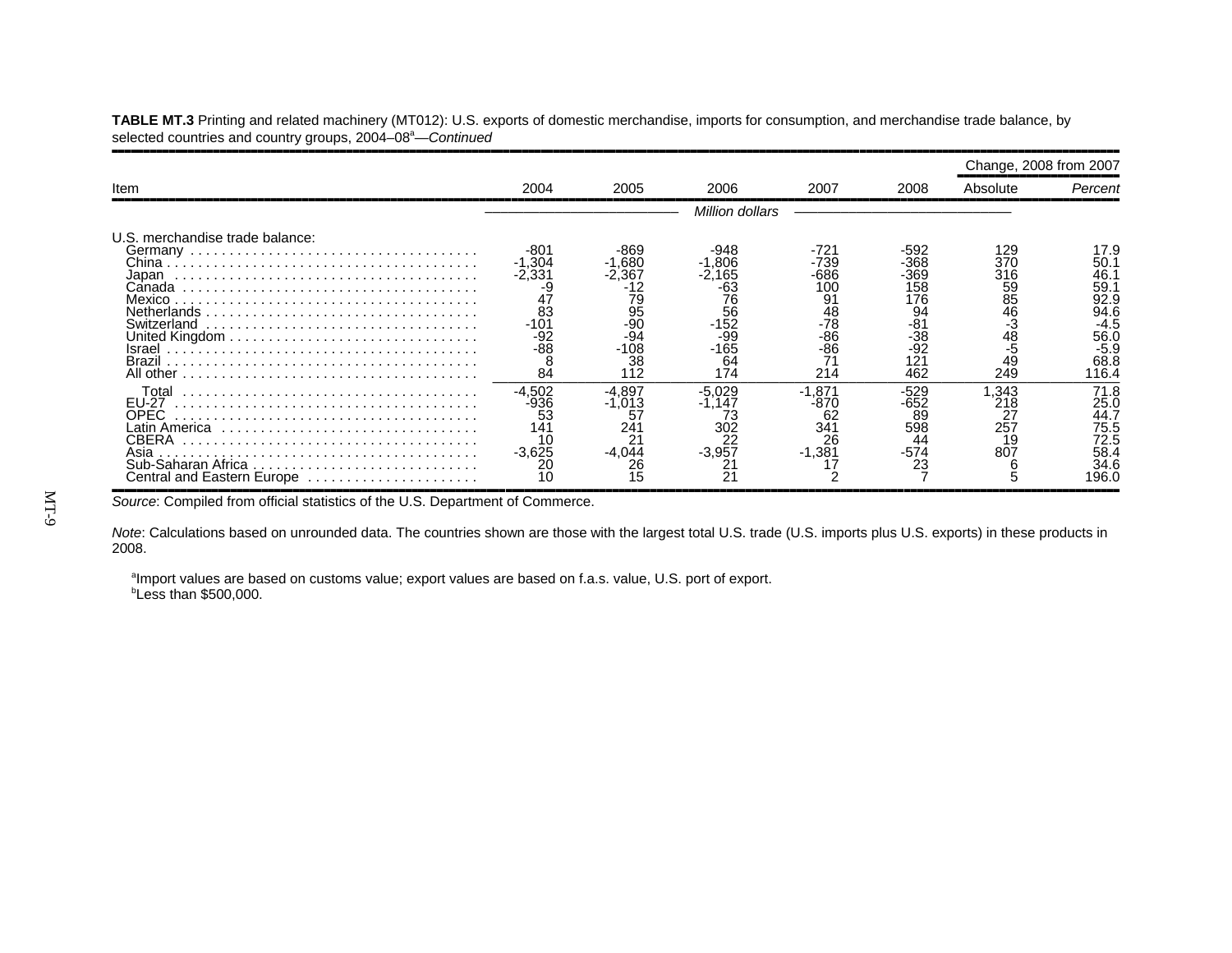,,,,,,,,,,,,,,,,,,,,,,,,,,,,,,,,,,,,,,,,,,,,,,,,,,,,,,,,,,,,,,,,,,,,,,,,,,,,,,,,,,,,,,,,,,,,,,,,,,,,,,,,,,,,,,,,,,,,,,,,,,,,,,,,,,,,,,,,,,,,,,,,,,,,,,,,,,,,,,,,Change, 2008 from 2007 ,,,,,,,,,,,,,,,,,,,,,,,,,,Item 2004 2005 2006 2007 2008 Absolute *Percent* ,,,,,,,,,,,,,,,,,,,,,,,,,,,,,,,,,,,,,,,,,,,,,,,,,,,,,,,,,,,,,,,,,,,,,,,,,,,,,,,,,,,,,,,,,,,,,,,,,,,,,,,,,,,,,,,,,,,,,,,,,,,,,,,,,,,,,,,,,,,,,,,,,,,,,,,,,,,,,,,,––––––––––––––––––––––––– *Million dollars* ––––––––––––––––––––––––––––U.S. merchandise trade balance: Germany . . . . . . . . . . . . . . . . . . . . . . . . . . . . . . . . . . . . . -801 -869 -948 -721 -592 <sup>129</sup> 17.9 China . . . . . . . . . . . . . . . . . . . . . . . . . . . . . . . . . . . . . . . . -1,304 -1,680 -1,806 -739 -368 <sup>370</sup> 50.1 Japan . . . . . . . . . . . . . . . . . . . . . . . . . . . . . . . . . . . . . . . -2,331 -2,367 -2,165 -686 -369 <sup>316</sup> 46.1 Canada . . . . . . . . . . . . . . . . . . . . . . . . . . . . . . . . . . . . . . -9 -12 -63 100 158 59 59.1 Mexico . . . . . . . . . . . . . . . . . . . . . . . . . . . . . . . . . . . . . . . 47 79 76 91 176 85 92.994.6 Netherlands . . . . . . . . . . . . . . . . . . . . . . . . . . . . . . . . . . . 83 95 56 48 94 46 94.6 $\ddot{\cdot}$ Switzerland . . . . . . . . . . . . . . . . . . . . . . . . . . . . . . . . . . . -101 -90 -152 -78 -81 -3 -4.5United Kingdom . . . . . . . . . . . . . . . . . . . . . . . . . . . . . . . . -92 -94 -99 -86 -38 <sup>48</sup> 56.0 Israel . . . . . . . . . . . . . . . . . . . . . . . . . . . . . . . . . . . . . . . . -88 -108 -165 -86 -92 -5 -5.9 $-5.9$ <br>68.8 Brazil . . . . . . . . . . . . . . . . . . . . . . . . . . . . . . . . . . . . . . . . 8 38 64 71 121 49 68.8 116.4 All other . . . . . . . . . . . . . . . . . . . . . . . . . . . . . . . . . . . . . . 84 112 174 214 462 249––––––––––––––––––––––––––––––––––––––––––––––––––––––––––––––––––––––––––––––––– $\frac{71.8}{25.0}$ <br>44.7 Total . . . . . . . . . . . . . . . . . . . . . . . . . . . . . . . . . . . . . . -4,502 -4,897 -5,029 -1,871 -529 1,343 71.8 EU-27 . . . . . . . . . . . . . . . . . . . . . . . . . . . . . . . . . . . . . . . -936 -1,013 -1,147 -870 -652 <sup>218</sup> 25.0 OPEC . . . . . . . . . . . . . . . . . . . . . . . . . . . . . . . . . . . . . . . <sup>53</sup> <sup>57</sup> <sup>73</sup> <sup>62</sup> <sup>89</sup> <sup>27</sup> 44.7: Latin America . . . . . . . . . . . . . . . . . . . . . . . . . . . . . . . . . 141 241 302 341 598 257 75.5CBERA . . . . . . . . . . . . . . . . . . . . . . . . . . . . . . . . . . . . . . 10 21 22 26 44 19 72.5 $58.4$ Asia . . . . . . . . . . . . . . . . . . . . . . . . . . . . . . . . . . . . . . . . . -3,625 -4,044 -3,957 -1,381 -574 <sup>807</sup> 58.4 Sub-Saharan Africa . . . . . . . . . . . . . . . . . . . . . . . . . . . . . 20 26 21 17 23 6 34.6 Central and Eastern Europe . . . . . . . . . . . . . . . . . . . . . . 10 15 21 2 7 5 196.0 ,,,,,,,,,,,,,,,,,,,,,,,,,,,,,,,,,,,,,,,,,,,,,,,,,,,,,,,,,,,,,,,,,,,,,,,,,,,,,,,,,,,,,,,,,,,,,,,,,,,,,,,,,,,,,,,,,,,,,,,,,,,,,,,,,,,,,,,,,,,,,,,,,,,,,,,,,,,,,,,,

**TABLE MT.3** Printing and related machinery (MT012): U.S. exports of domestic merchandise, imports for consumption, and merchandise trade balance, by selected countries and country groups, 2004–08<sup>a</sup>—*Continued* 

*Source*: Compiled from official statistics of the U.S. Department of Commerce.

*Note*: Calculations based on unrounded data. The countries shown are those with the largest total U.S. trade (U.S. imports plus U.S. exports) in these products in 2008.

<sup>a</sup>Import values are based on customs value; export values are based on f.a.s. value, U.S. port of export. bLess than \$500,000.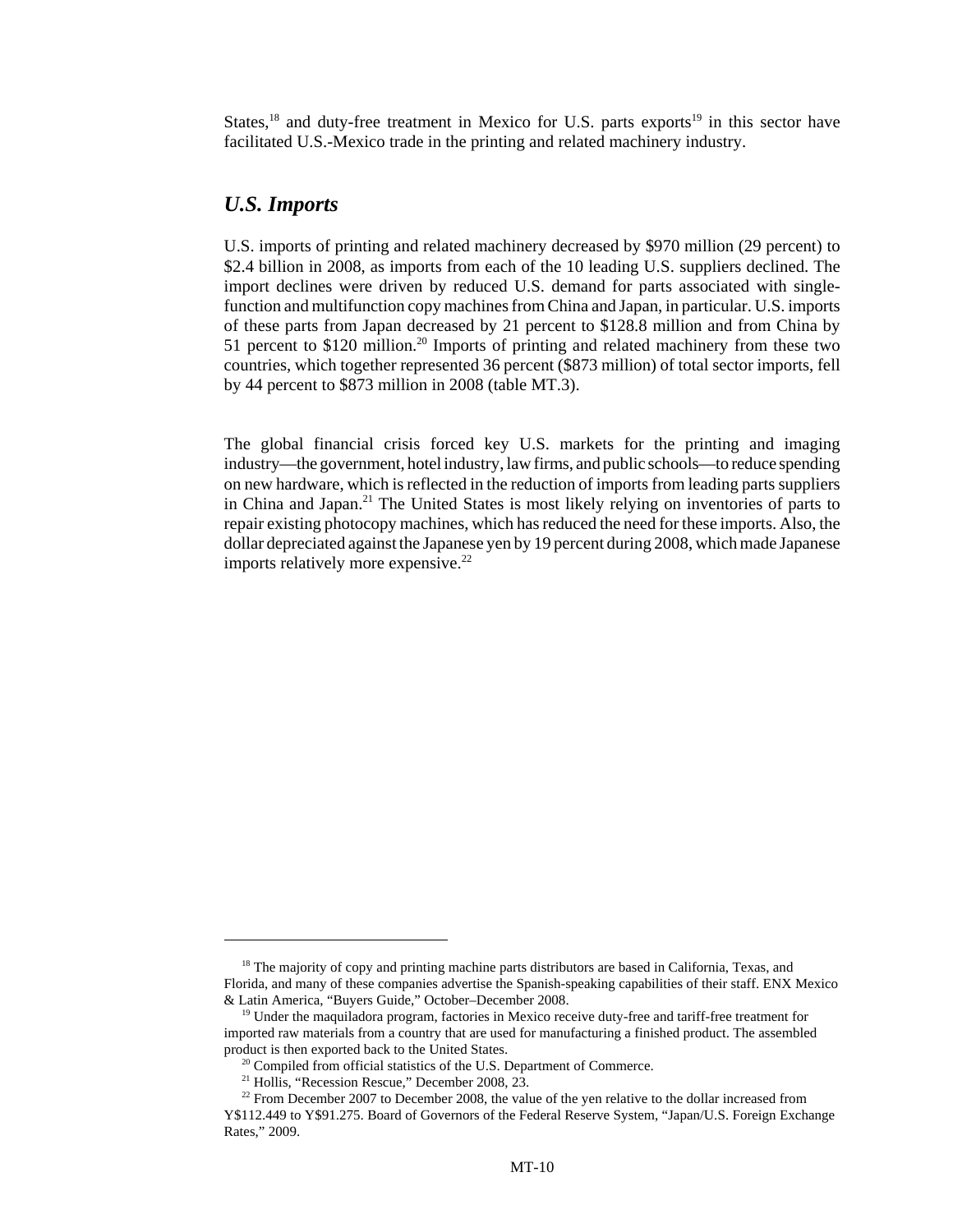States, $18$  and duty-free treatment in Mexico for U.S. parts exports $19$  in this sector have facilitated U.S.-Mexico trade in the printing and related machinery industry.

#### *U.S. Imports*

U.S. imports of printing and related machinery decreased by \$970 million (29 percent) to \$2.4 billion in 2008, as imports from each of the 10 leading U.S. suppliers declined. The import declines were driven by reduced U.S. demand for parts associated with singlefunction and multifunction copy machines from China and Japan, in particular. U.S. imports of these parts from Japan decreased by 21 percent to \$128.8 million and from China by 51 percent to \$120 million.<sup>20</sup> Imports of printing and related machinery from these two countries, which together represented 36 percent (\$873 million) of total sector imports, fell by 44 percent to \$873 million in 2008 (table MT.3).

The global financial crisis forced key U.S. markets for the printing and imaging industry—the government, hotel industry, law firms, and public schools—to reduce spending on new hardware, which is reflected in the reduction of imports from leading parts suppliers in China and Japan.<sup>21</sup> The United States is most likely relying on inventories of parts to repair existing photocopy machines, which has reduced the need for these imports. Also, the dollar depreciated against the Japanese yen by 19 percent during 2008, which made Japanese imports relatively more expensive. $22$ 

<sup>&</sup>lt;sup>18</sup> The majority of copy and printing machine parts distributors are based in California, Texas, and Florida, and many of these companies advertise the Spanish-speaking capabilities of their staff. ENX Mexico & Latin America, "Buyers Guide," October–December 2008.

<sup>&</sup>lt;sup>19</sup> Under the maquiladora program, factories in Mexico receive duty-free and tariff-free treatment for imported raw materials from a country that are used for manufacturing a finished product. The assembled product is then exported back to the United States.

 $20$  Compiled from official statistics of the U.S. Department of Commerce.

 $21$  Hollis, "Recession Rescue," December 2008, 23.

 $22$  From December 2007 to December 2008, the value of the yen relative to the dollar increased from Y\$112.449 to Y\$91.275. Board of Governors of the Federal Reserve System, "Japan/U.S. Foreign Exchange Rates," 2009.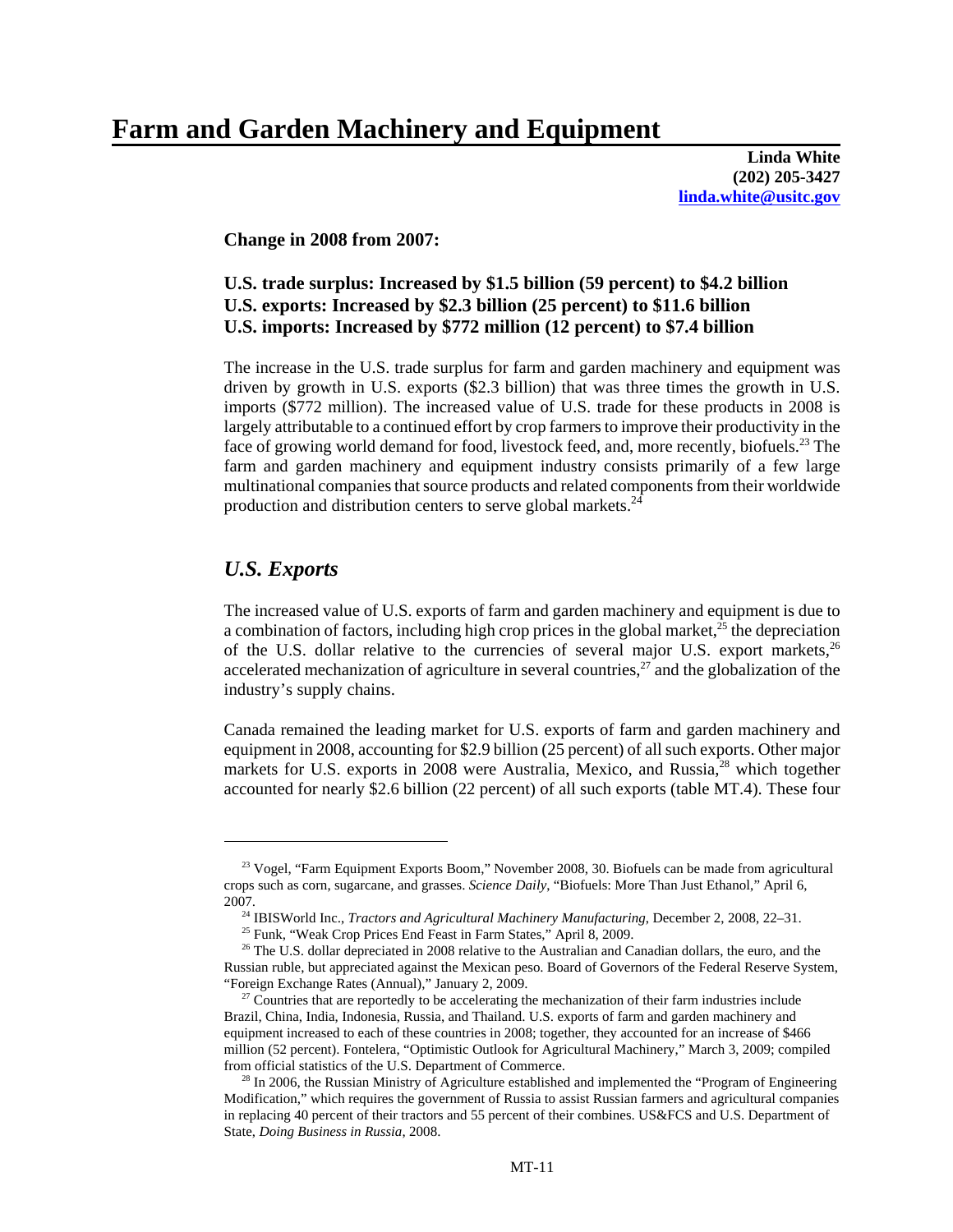### **Farm and Garden Machinery and Equipment**

**Linda White (202) 205-3427 linda.white@usitc.gov**

**Change in 2008 from 2007:**

#### **U.S. trade surplus: Increased by \$1.5 billion (59 percent) to \$4.2 billion U.S. exports: Increased by \$2.3 billion (25 percent) to \$11.6 billion U.S. imports: Increased by \$772 million (12 percent) to \$7.4 billion**

The increase in the U.S. trade surplus for farm and garden machinery and equipment was driven by growth in U.S. exports (\$2.3 billion) that was three times the growth in U.S. imports (\$772 million). The increased value of U.S. trade for these products in 2008 is largely attributable to a continued effort by crop farmers to improve their productivity in the face of growing world demand for food, livestock feed, and, more recently, biofuels.<sup>23</sup> The farm and garden machinery and equipment industry consists primarily of a few large multinational companies that source products and related components from their worldwide production and distribution centers to serve global markets. $^{24}$ 

#### *U.S. Exports*

The increased value of U.S. exports of farm and garden machinery and equipment is due to a combination of factors, including high crop prices in the global market, $^{25}$  the depreciation of the U.S. dollar relative to the currencies of several major U.S. export markets,  $26$ accelerated mechanization of agriculture in several countries.<sup>27</sup> and the globalization of the industry's supply chains.

Canada remained the leading market for U.S. exports of farm and garden machinery and equipment in 2008, accounting for \$2.9 billion (25 percent) of all such exports. Other major markets for U.S. exports in 2008 were Australia, Mexico, and Russia,<sup>28</sup> which together accounted for nearly \$2.6 billion (22 percent) of all such exports (table MT.4). These four

<sup>&</sup>lt;sup>23</sup> Vogel, "Farm Equipment Exports Boom," November 2008, 30. Biofuels can be made from agricultural crops such as corn, sugarcane, and grasses. *Science Daily*, "Biofuels: More Than Just Ethanol," April 6, 2007.

 <sup>24</sup> IBISWorld Inc., *Tractors and Agricultural Machinery Manufacturing*, December 2, 2008, 22–31.

<sup>&</sup>lt;sup>25</sup> Funk, "Weak Crop Prices End Feast in Farm States," April 8, 2009.

<sup>&</sup>lt;sup>26</sup> The U.S. dollar depreciated in 2008 relative to the Australian and Canadian dollars, the euro, and the Russian ruble, but appreciated against the Mexican peso. Board of Governors of the Federal Reserve System, "Foreign Exchange Rates (Annual)," January 2, 2009.

 $27$  Countries that are reportedly to be accelerating the mechanization of their farm industries include Brazil, China, India, Indonesia, Russia, and Thailand. U.S. exports of farm and garden machinery and equipment increased to each of these countries in 2008; together, they accounted for an increase of \$466 million (52 percent). Fontelera, "Optimistic Outlook for Agricultural Machinery," March 3, 2009; compiled from official statistics of the U.S. Department of Commerce.

 $28$  In 2006, the Russian Ministry of Agriculture established and implemented the "Program of Engineering" Modification," which requires the government of Russia to assist Russian farmers and agricultural companies in replacing 40 percent of their tractors and 55 percent of their combines. US&FCS and U.S. Department of State, *Doing Business in Russia*, 2008.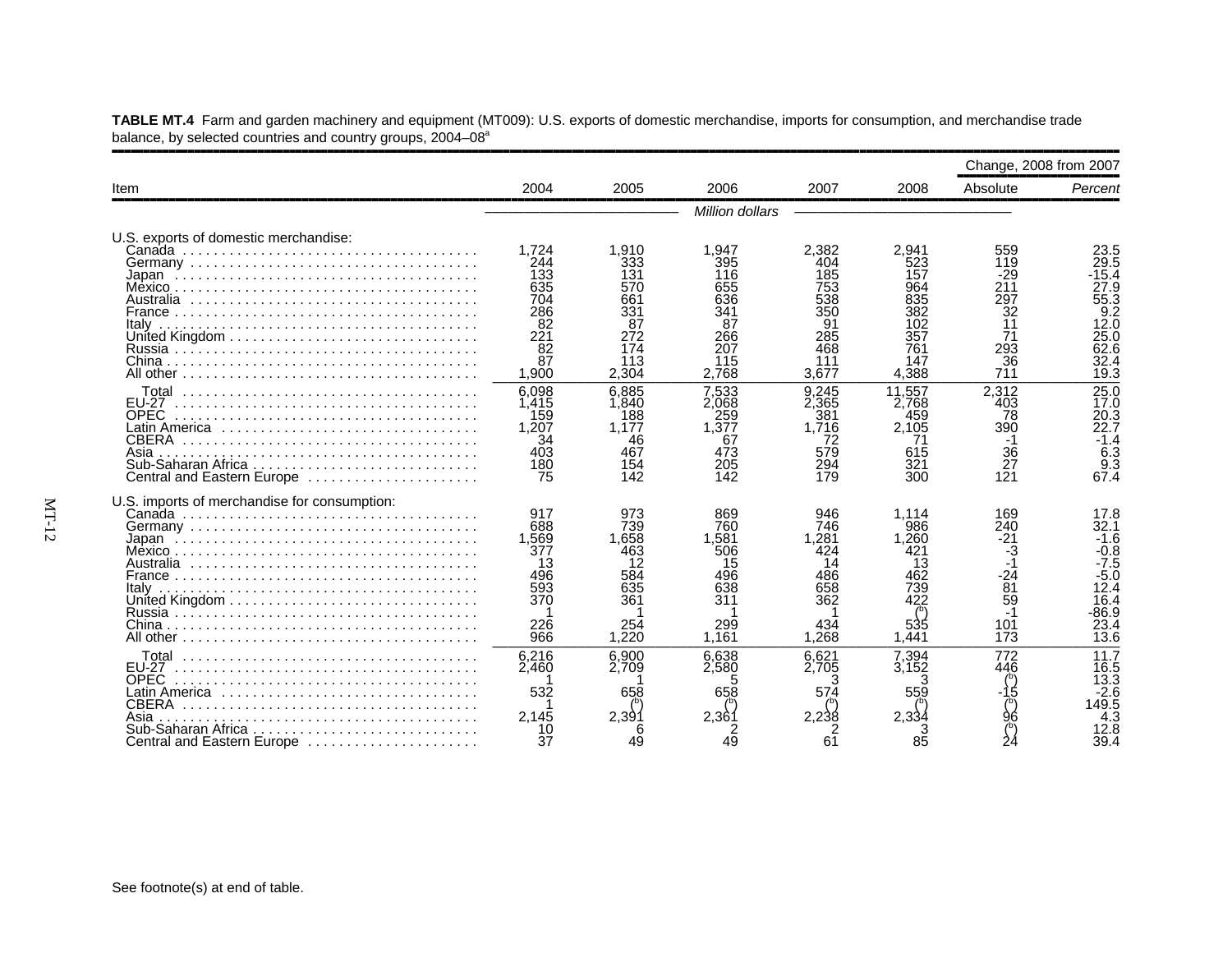|                                                                                                                                   |                                                                             |                                                                              |                                                                              |                                                                              |                                                                               | Change, 2008 from 2007                                                |                                                                                                 |
|-----------------------------------------------------------------------------------------------------------------------------------|-----------------------------------------------------------------------------|------------------------------------------------------------------------------|------------------------------------------------------------------------------|------------------------------------------------------------------------------|-------------------------------------------------------------------------------|-----------------------------------------------------------------------|-------------------------------------------------------------------------------------------------|
| Item                                                                                                                              | 2004                                                                        | 2005                                                                         | 2006                                                                         | 2007                                                                         | 2008                                                                          | Absolute                                                              | Percent                                                                                         |
|                                                                                                                                   |                                                                             |                                                                              | Million dollars                                                              |                                                                              |                                                                               |                                                                       |                                                                                                 |
| U.S. exports of domestic merchandise:<br>Italv                                                                                    | 1.724<br>244<br>133<br>635<br>704<br>286<br>-82<br>221<br>82<br>87<br>1,900 | 1,910<br>333<br>131<br>570<br>661<br>331<br>87<br>272<br>174<br>113<br>2,304 | 1,947<br>395<br>116<br>655<br>636<br>341<br>87<br>266<br>207<br>115<br>2.768 | 2.382<br>404<br>185<br>753<br>538<br>350<br>91<br>285<br>468<br>111<br>3.677 | 2.941<br>523<br>157<br>964<br>835<br>382<br>102<br>357<br>761<br>147<br>4,388 | 559<br>119<br>-29<br>211<br>297<br>32<br>11<br>71<br>293<br>36<br>711 | 23.5<br>29.5<br>$-15.4$<br>27.9<br>55.3<br>9.2<br>12.0<br>25.0<br>62.6<br>32.4<br>19.3          |
| <b>EU-27</b><br><b>OPEC</b><br>Latin America ,,,,,,,,,,,,,,,,,,,,,,,,,,,,,,<br><b>CBERA</b><br>Asia<br>Central and Eastern Europe | 6,098<br>1,415<br>159<br>1.207<br>34<br>403<br>180<br>75                    | 6.885<br>1,840<br>188<br>1.177<br>46<br>467<br>154<br>142                    | 7.533<br>2,068<br>259<br>.377<br>67<br>473<br>205<br>142                     | 9.245<br>2.365<br>381<br>1.716<br>72<br>579<br>294<br>179                    | 11.557<br>2.768<br>459<br>2.105<br>71<br>615<br>321<br>300                    | 2,312<br>403<br>78<br>390<br>-1<br>36<br>27<br>121                    | 25.0<br>17.0<br>20.3<br>22.7<br>$-1.4$<br>6.3<br>$\frac{9.3}{67.4}$                             |
| U.S. imports of merchandise for consumption:<br>Italv                                                                             | 917<br>688<br>1,569<br>377<br>13<br>496<br>593<br>370<br>226<br>966         | 973<br>739<br>1.658<br>463<br>12<br>584<br>635<br>361<br>254<br>1.220        | 869<br>760<br>.581<br>506<br>15<br>496<br>638<br>311<br>299<br>1.161         | 946<br>746<br>.281<br>424<br>14<br>486<br>658<br>362<br>434<br>1,268         | 1.114<br>986<br>1.260<br>421<br>13<br>462<br>739<br>422<br>535<br>1,441       | 169<br>240<br>$-21$<br>-3<br>-24<br>81<br>59<br>101<br>173            | 17.8<br>32.1<br>$-1.6$<br>$-0.8$<br>$-7.5$<br>$-5.0$<br>12.4<br>16.4<br>$-86.9$<br>23.4<br>13.6 |
| <b>EU-27</b><br><b>OPEC</b><br>Latin America<br>CBERA<br>Asia<br>Sub-Saharan Africa<br>Central and Eastern Europe                 | 6,216<br>2.460<br>532<br>2.145<br>10<br>37                                  | 6.900<br>2.709<br>658<br>2,39<br>6<br>49                                     | 6.638<br>2.580<br>5<br>658<br>2.36'<br>49                                    | 6.621<br>2.705<br>З<br>574<br>2,238<br>61                                    | 7.394<br>3.152<br>3<br>559<br>2,334<br>85                                     | 772<br>446<br>Ι5                                                      | $11.\overline{7}$<br>16.5<br>13.3<br>$-2.6$<br>149.5<br>4.3<br>12.8<br>39.4                     |

**TABLE MT.4** Farm and garden machinery and equipment (MT009): U.S. exports of domestic merchandise, imports for consumption, and merchandise trade balance, by selected countries and country groups, 2004–08<sup>a</sup>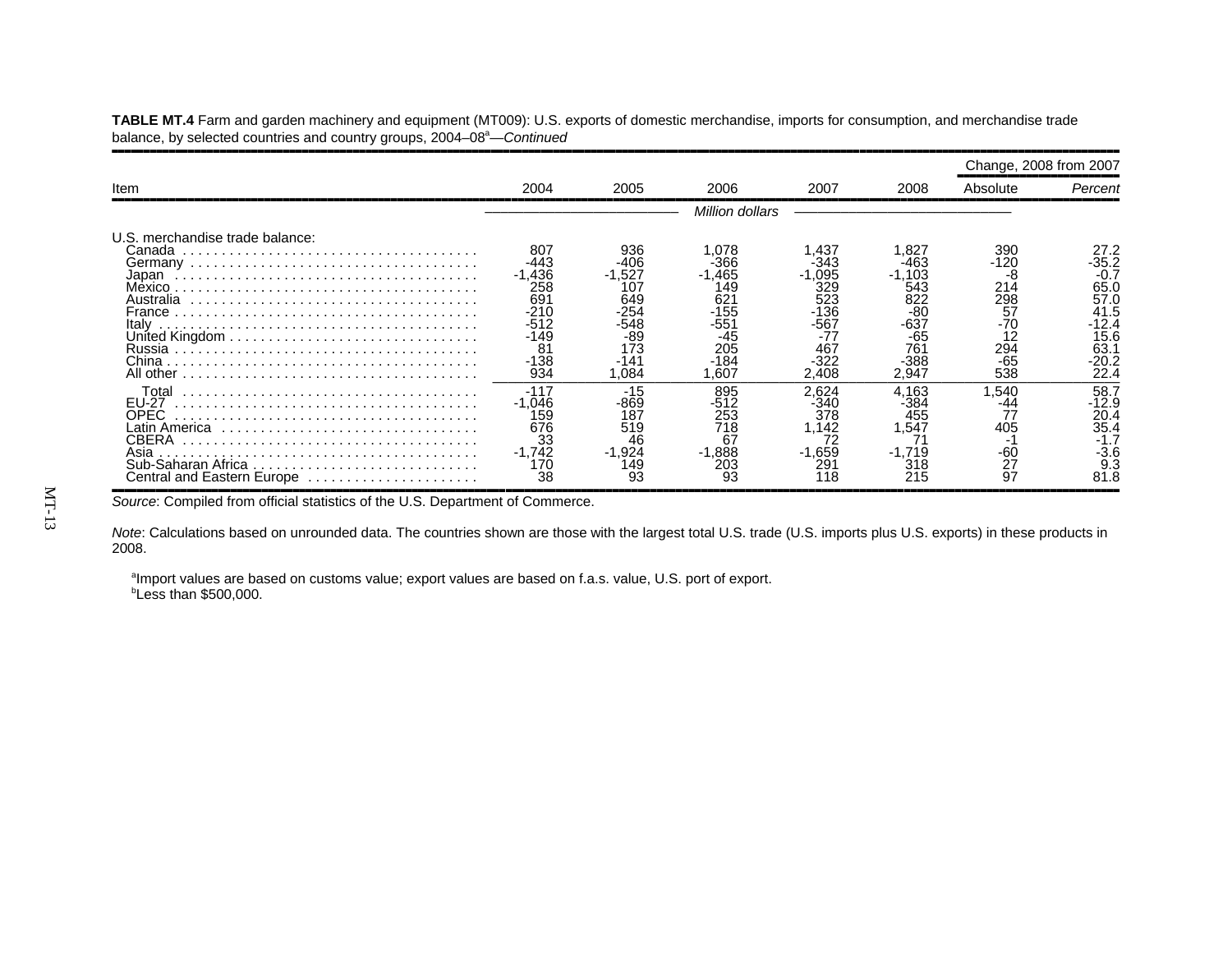,,,,,,,,,,,,,,,,,,,,,,,,,,,,,,,,,,,,,,,,,,,,,,,,,,,,,,,,,,,,,,,,,,,,,,,,,,,,,,,,,,,,,,,,,,,,,,,,,,,,,,,,,,,,,,,,,,,,,,,,,,,,,,,,,,,,,,,,,,,,,,,,,,,,,,,,,,,,,,,,Change, 2008 from 2007 ,,,,,,,,,,,,,,,,,,,,,,,,,,Item 2004 2005 2006 2007 2008 Absolute *Percent* ,,,,,,,,,,,,,,,,,,,,,,,,,,,,,,,,,,,,,,,,,,,,,,,,,,,,,,,,,,,,,,,,,,,,,,,,,,,,,,,,,,,,,,,,,,,,,,,,,,,,,,,,,,,,,,,,,,,,,,,,,,,,,,,,,,,,,,,,,,,,,,,,,,,,,,,,,,,,,,,,––––––––––––––––––––––––– *Million dollars* ––––––––––––––––––––––––––––U.S. merchandise trade balance:Canada ................. . . . . . . . . . . . . . . . . . . . . . . . . . . . . . . . . . . . . . . <sup>807</sup> <sup>936</sup> 1,078 1,437 1,827 <sup>390</sup> 27.2 Germany . . . . . . . . . . . . . . . . . . . . . . . . . . . . . . . . . . . . . -443 -406 -366 -343 -463 -120 -35.2 Japan . . . . . . . . . . . . . . . . . . . . . . . . . . . . . . . . . . . . . . . -1,436 -1,527 -1,465 -1,095 -1,103 -8 -0.7 Mexico . . . . . . . . . . . . . . . . . . . . . . . . . . . . . . . . . . . . . . . <sup>258</sup> <sup>107</sup> <sup>149</sup> <sup>329</sup> <sup>543</sup> <sup>214</sup> 65.0 $65.0$ <br>57.0 Australia . . . . . . . . . . . . . . . . . . . . . . . . . . . . . . . . . . . . . 691 649 621 523 822 298 57.041.5 France . . . . . . . . . . . . . . . . . . . . . . . . . . . . . . . . . . . . . . . -210 -254 -155 -136 -80 57 41.5 $-12.4$ Italy . . . . . . . . . . . . . . . . . . . . . . . . . . . . . . . . . . . . . . . . . -512 -548 -551 -567 -637 -70 -12.4 United Kingdom . . . . . . . . . . . . . . . . . . . . . . . . . . . . . . . . -149 -89 -45 -77 -65 <sup>12</sup> 15.6 Russia . . . . . . . . . . . . . . . . . . . . . . . . . . . . . . . . . . . . . . . <sup>81</sup> <sup>173</sup> <sup>205</sup> <sup>467</sup> <sup>761</sup> <sup>294</sup> 63.1 $63.1$ -20.2 China . . . . . . . . . . . . . . . . . . . . . . . . . . . . . . . . . . . . . . . . -138 -141 -184 -322 -388 -65 -20.2 $\overline{22.4}$ All other . . . . . . . . . . . . . . . . . . . . . . . . . . . . . . . . . . . . . . 934 1,084 1,607 2,408 2,947 538 22.4 ––––––––––––––––––––––––––––––––––––––––––––––––––––––––––––––––––––––––––––––––– $\frac{58.7}{-12.9}$  Total . . . . . . . . . . . . . . . . . . . . . . . . . . . . . . . . . . . . . . -117 -15 <sup>895</sup> 2,624 4,163 1,540 58.7 EU-27 . . . . . . . . . . . . . . . . . . . . . . . . . . . . . . . . . . . . . . . -1,046 -869 -512 -340 -384 -44 -12.9 OPEC . . . . . . . . . . . . . . . . . . . . . . . . . . . . . . . . . . . . . . . <sup>159</sup> <sup>187</sup> <sup>253</sup> <sup>378</sup> <sup>455</sup> <sup>77</sup> 20.4 $\frac{56.7}{35.4}$ Latin America . . . . . . . . . . . . . . . . . . . . . . . . . . . . . . . . . <sup>676</sup> <sup>519</sup> <sup>718</sup> 1,142 1,547 <sup>405</sup> 35.4 CBERA . . . . . . . . . . . . . . . . . . . . . . . . . . . . . . . . . . . . . . <sup>33</sup> <sup>46</sup> <sup>67</sup> <sup>72</sup> <sup>71</sup> -1 -1.7 $-3.6$ Asia . . . . . . . . . . . . . . . . . . . . . . . . . . . . . . . . . . . . . . . . . -1,742 -1,924 -1,888 -1,659 -1,719 -60 -3.6 Sub-Saharan Africa . . . . . . . . . . . . . . . . . . . . . . . . . . . . . 170 149 203 291 318 27 9.3 Central and Eastern Europe . . . . . . . . . . . . . . . . . . . . . . 38 93 93 118 215 97 81.8 ,,,,,,,,,,,,,,,,,,,,,,,,,,,,,,,,,,,,,,,,,,,,,,,,,,,,,,,,,,,,,,,,,,,,,,,,,,,,,,,,,,,,,,,,,,,,,,,,,,,,,,,,,,,,,,,,,,,,,,,,,,,,,,,,,,,,,,,,,,,,,,,,,,,,,,,,,,,,,,,,

**TABLE MT.4** Farm and garden machinery and equipment (MT009): U.S. exports of domestic merchandise, imports for consumption, and merchandise trade balance, by selected countries and country groups, 2004–08<sup>a</sup>—*Continued* 

*Source*: Compiled from official statistics of the U.S. Department of Commerce.

*Note*: Calculations based on unrounded data. The countries shown are those with the largest total U.S. trade (U.S. imports plus U.S. exports) in these products in 2008.

<sup>a</sup>Import values are based on customs value; export values are based on f.a.s. value, U.S. port of export. bLess than \$500,000.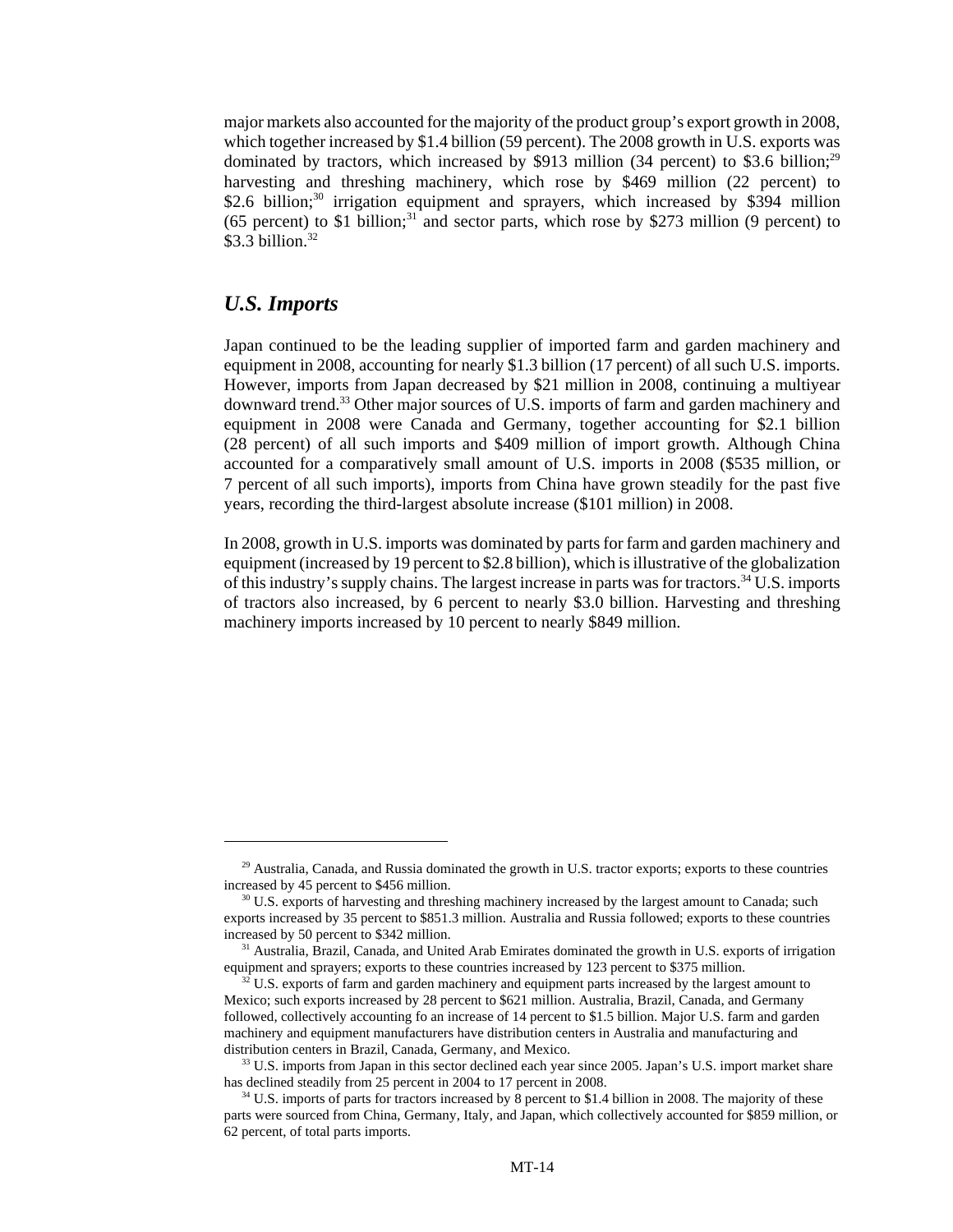major markets also accounted for the majority of the product group's export growth in 2008, which together increased by \$1.4 billion (59 percent). The 2008 growth in U.S. exports was dominated by tractors, which increased by \$913 million (34 percent) to \$3.6 billion;<sup>29</sup> harvesting and threshing machinery, which rose by \$469 million (22 percent) to \$2.6 billion; $30 \text{ irrigation}$  equipment and sprayers, which increased by \$394 million (65 percent) to \$1 billion;<sup>31</sup> and sector parts, which rose by \$273 million (9 percent) to  $$3.3$  billion.<sup>32</sup>

#### *U.S. Imports*

Japan continued to be the leading supplier of imported farm and garden machinery and equipment in 2008, accounting for nearly \$1.3 billion (17 percent) of all such U.S. imports. However, imports from Japan decreased by \$21 million in 2008, continuing a multiyear downward trend.<sup>33</sup> Other major sources of U.S. imports of farm and garden machinery and equipment in 2008 were Canada and Germany, together accounting for \$2.1 billion (28 percent) of all such imports and \$409 million of import growth. Although China accounted for a comparatively small amount of U.S. imports in 2008 (\$535 million, or 7 percent of all such imports), imports from China have grown steadily for the past five years, recording the third-largest absolute increase (\$101 million) in 2008.

In 2008, growth in U.S. imports was dominated by parts for farm and garden machinery and equipment (increased by 19 percent to \$2.8 billion), which is illustrative of the globalization of this industry's supply chains. The largest increase in parts was for tractors.34 U.S. imports of tractors also increased, by 6 percent to nearly \$3.0 billion. Harvesting and threshing machinery imports increased by 10 percent to nearly \$849 million.

 $^{29}$  Australia, Canada, and Russia dominated the growth in U.S. tractor exports; exports to these countries increased by 45 percent to \$456 million.

<sup>&</sup>lt;sup>30</sup> U.S. exports of harvesting and threshing machinery increased by the largest amount to Canada; such exports increased by 35 percent to \$851.3 million. Australia and Russia followed; exports to these countries increased by 50 percent to \$342 million.

<sup>&</sup>lt;sup>31</sup> Australia, Brazil, Canada, and United Arab Emirates dominated the growth in U.S. exports of irrigation equipment and sprayers; exports to these countries increased by 123 percent to \$375 million.

 $32$  U.S. exports of farm and garden machinery and equipment parts increased by the largest amount to Mexico; such exports increased by 28 percent to \$621 million. Australia, Brazil, Canada, and Germany followed, collectively accounting fo an increase of 14 percent to \$1.5 billion. Major U.S. farm and garden machinery and equipment manufacturers have distribution centers in Australia and manufacturing and distribution centers in Brazil, Canada, Germany, and Mexico.

<sup>&</sup>lt;sup>33</sup> U.S. imports from Japan in this sector declined each year since 2005. Japan's U.S. import market share has declined steadily from 25 percent in 2004 to 17 percent in 2008.

<sup>&</sup>lt;sup>34</sup> U.S. imports of parts for tractors increased by 8 percent to \$1.4 billion in 2008. The majority of these parts were sourced from China, Germany, Italy, and Japan, which collectively accounted for \$859 million, or 62 percent, of total parts imports.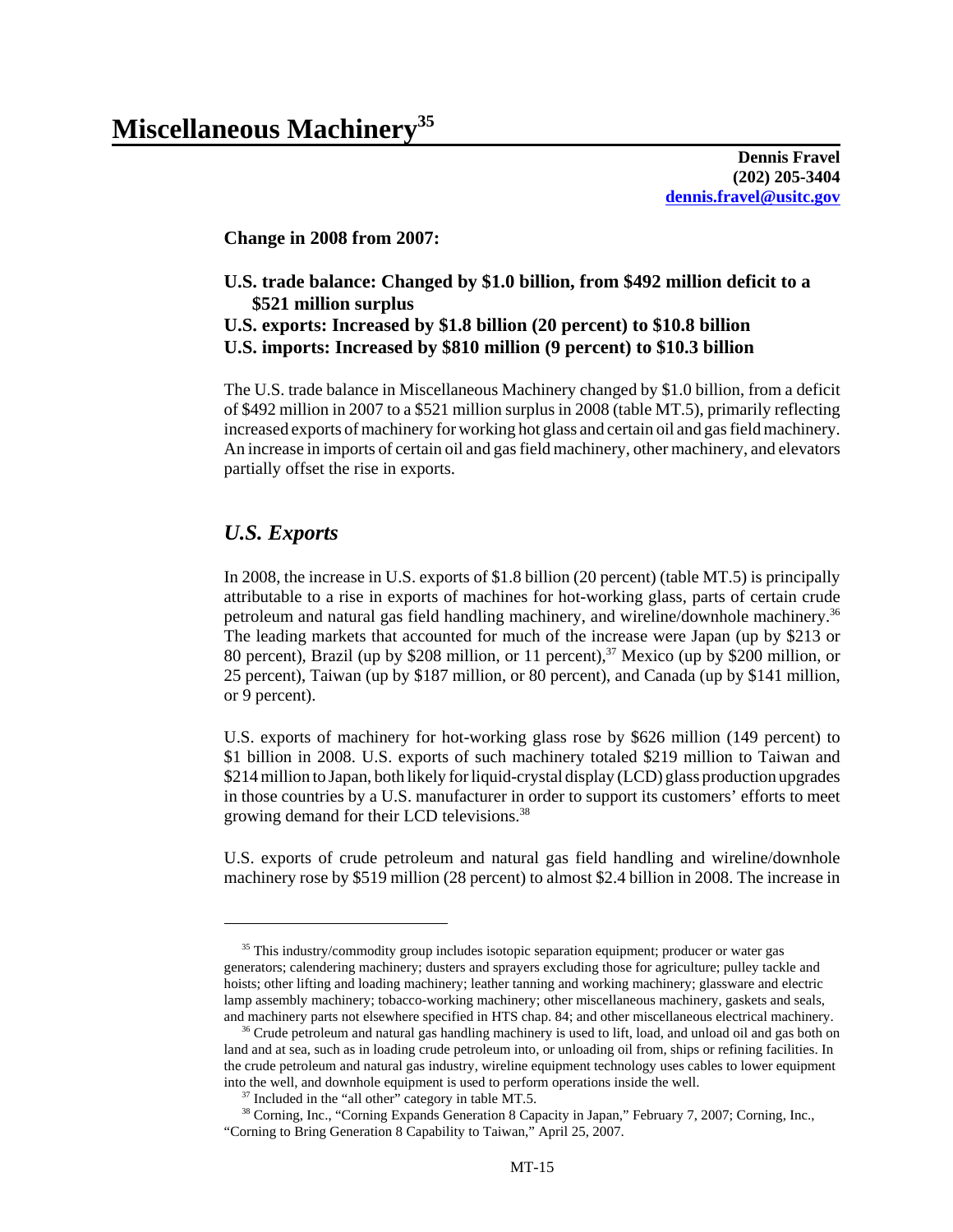**Dennis Fravel (202) 205-3404 dennis.fravel@usitc.gov**

**Change in 2008 from 2007:**

#### **U.S. trade balance: Changed by \$1.0 billion, from \$492 million deficit to a \$521 million surplus U.S. exports: Increased by \$1.8 billion (20 percent) to \$10.8 billion U.S. imports: Increased by \$810 million (9 percent) to \$10.3 billion**

The U.S. trade balance in Miscellaneous Machinery changed by \$1.0 billion, from a deficit of \$492 million in 2007 to a \$521 million surplus in 2008 (table MT.5), primarily reflecting increased exports of machinery for working hot glass and certain oil and gas field machinery. An increase in imports of certain oil and gas field machinery, other machinery, and elevators partially offset the rise in exports.

#### *U.S. Exports*

In 2008, the increase in U.S. exports of \$1.8 billion (20 percent) (table MT.5) is principally attributable to a rise in exports of machines for hot-working glass, parts of certain crude petroleum and natural gas field handling machinery, and wireline/downhole machinery.36 The leading markets that accounted for much of the increase were Japan (up by \$213 or 80 percent), Brazil (up by \$208 million, or 11 percent),<sup>37</sup> Mexico (up by \$200 million, or 25 percent), Taiwan (up by \$187 million, or 80 percent), and Canada (up by \$141 million, or 9 percent).

U.S. exports of machinery for hot-working glass rose by \$626 million (149 percent) to \$1 billion in 2008. U.S. exports of such machinery totaled \$219 million to Taiwan and \$214 million to Japan, both likely for liquid-crystal display (LCD) glass production upgrades in those countries by a U.S. manufacturer in order to support its customers' efforts to meet growing demand for their LCD televisions.<sup>38</sup>

U.S. exports of crude petroleum and natural gas field handling and wireline/downhole machinery rose by \$519 million (28 percent) to almost \$2.4 billion in 2008. The increase in

<sup>&</sup>lt;sup>35</sup> This industry/commodity group includes isotopic separation equipment; producer or water gas generators; calendering machinery; dusters and sprayers excluding those for agriculture; pulley tackle and hoists; other lifting and loading machinery; leather tanning and working machinery; glassware and electric lamp assembly machinery; tobacco-working machinery; other miscellaneous machinery, gaskets and seals, and machinery parts not elsewhere specified in HTS chap. 84; and other miscellaneous electrical machinery.

<sup>&</sup>lt;sup>36</sup> Crude petroleum and natural gas handling machinery is used to lift, load, and unload oil and gas both on land and at sea, such as in loading crude petroleum into, or unloading oil from, ships or refining facilities. In the crude petroleum and natural gas industry, wireline equipment technology uses cables to lower equipment into the well, and downhole equipment is used to perform operations inside the well.

<sup>&</sup>lt;sup>37</sup> Included in the "all other" category in table MT.5.

 <sup>38</sup> Corning, Inc., "Corning Expands Generation 8 Capacity in Japan," February 7, 2007; Corning, Inc., "Corning to Bring Generation 8 Capability to Taiwan," April 25, 2007.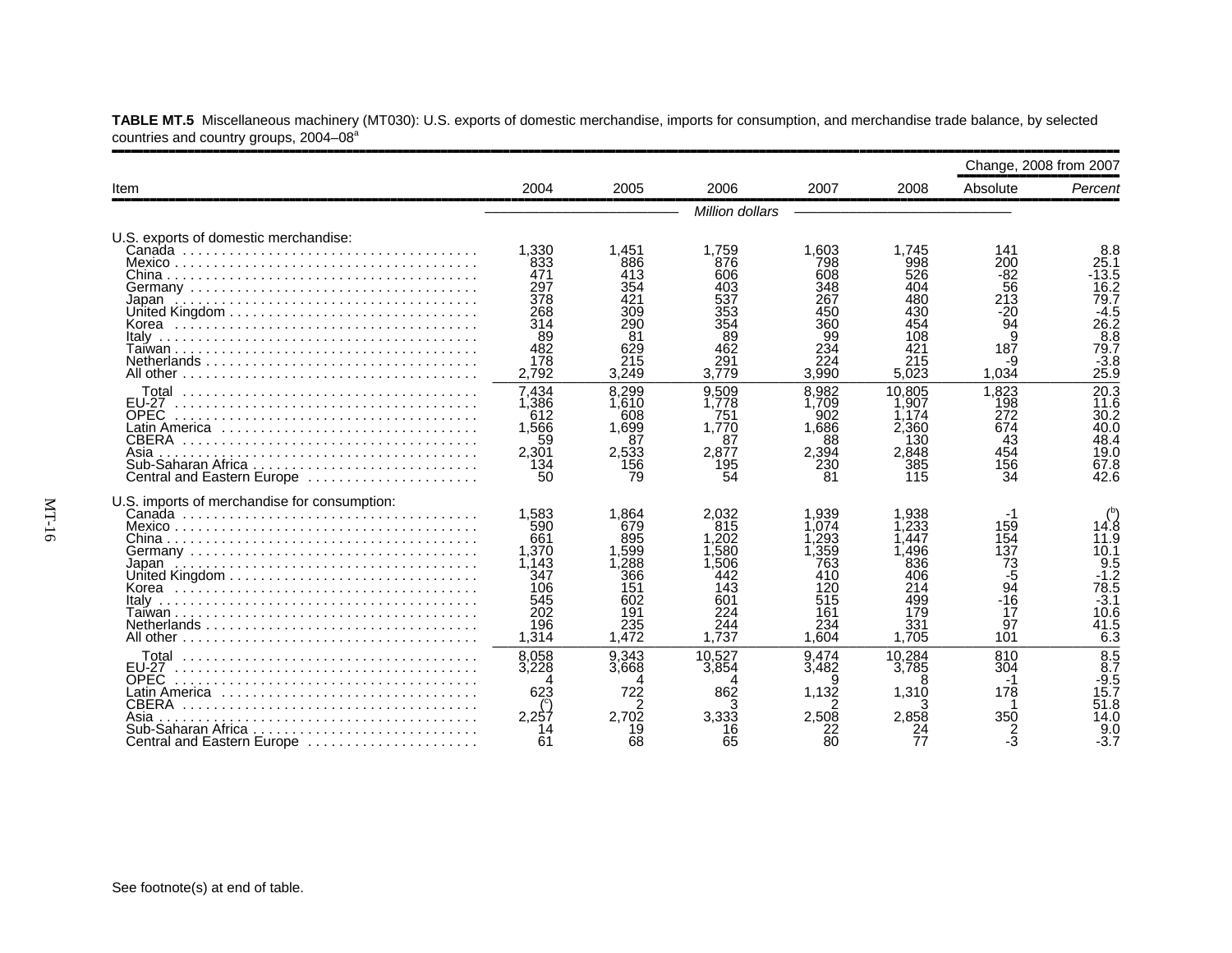|                                                                                                                                  |                                                                                   |                                                                                  |                                                                                 |                                                                                |                                                                                 | Change, 2008 from 2007                                                       |                                                                                     |
|----------------------------------------------------------------------------------------------------------------------------------|-----------------------------------------------------------------------------------|----------------------------------------------------------------------------------|---------------------------------------------------------------------------------|--------------------------------------------------------------------------------|---------------------------------------------------------------------------------|------------------------------------------------------------------------------|-------------------------------------------------------------------------------------|
| Item                                                                                                                             | 2004                                                                              | 2005                                                                             | 2006                                                                            | 2007                                                                           | 2008                                                                            | Absolute                                                                     | Percent                                                                             |
|                                                                                                                                  |                                                                                   |                                                                                  | Million dollars                                                                 |                                                                                |                                                                                 |                                                                              |                                                                                     |
| U.S. exports of domestic merchandise:<br>Italy<br>Netherlands                                                                    | 1.330<br>833<br>471<br>297<br>378<br>268<br>314<br>89<br>482<br>178               | 1,451<br>886<br>413<br>290<br>81<br>629<br>215                                   | 1,759<br>876<br>606<br>403<br>537<br>353<br>354<br>89<br>462<br>291             | 1.603<br>798<br>608<br>348<br>267<br>450<br>360<br>99<br>234<br>224            | 1.745<br>998<br>526<br>404<br>480<br>430<br>454<br>108<br>421<br>215            | 141<br>200<br>-82<br>56<br>213<br>$-20$<br>$\overline{94}$<br>9<br>187<br>-9 | 8.8<br>25.1<br>-13.5<br>16.2<br>79.7<br>$-4.5$<br>26.2<br>8.8<br>79.7<br>$-3.8$     |
| <b>FU-27</b><br><b>OPEC</b><br>Latin America ,,,,,,,,,,,,,,,,,,,,,,,,,,,,,<br><b>CBERA</b><br>Asia<br>Central and Eastern Europe | 2,792<br>7.434<br>1,386<br>612<br>1,566<br>59<br>2,301<br>134<br>50               | 3.249<br>8.299<br>1,610<br>608<br>1,699<br>87<br>2,533<br>156<br>79              | 3.779<br>9.509<br>1,778<br>751<br>1.770<br>87<br>2.877<br>195<br>54             | 3.990<br>8.982<br>1.709<br>902<br>1.686<br>88<br>2,394<br>230<br>81            | 5,023<br>10.805<br>.907<br>.174<br>2.360<br>130<br>2.848<br>385<br>115          | 1,034<br>1.823<br>198<br>272<br>674<br>43<br>454<br>156<br>34                | 25.9<br>20.3<br>11.6<br>30.2<br>40.0<br>48.4<br>19.0<br>67.8<br>42.6                |
| U.S. imports of merchandise for consumption:<br>Italv                                                                            | 1.583<br>590<br>661<br>1,370<br>1,143<br>347<br>106<br>545<br>202<br>196<br>1,314 | 1.864<br>679<br>895<br>1.599<br>,288<br>366<br>151<br>602<br>191<br>235<br>1,472 | 2.032<br>815<br>.202<br>.580<br>.506<br>442<br>143<br>601<br>224<br>244<br>.737 | .939<br>.074<br>.293<br>359<br>763<br>410<br>120<br>515<br>161<br>234<br>1.604 | .938<br>.233<br>.447<br>.496<br>836<br>406<br>214<br>499<br>179<br>331<br>1.705 | 159<br>154<br>137<br>73<br>-5<br>94<br>$-16$<br>17<br>97<br>101              | 14.8<br>11.9<br>10.1<br>$\frac{9.5}{-1.2}$<br>78.5<br>$-3.1$<br>10.6<br>41.5<br>6.3 |
| <b>EU-27</b><br><b>OPEC</b><br><b>CBERA</b><br>Asia<br>Sub-Saharan Africa<br>Central and Eastern Europe                          | 8,058<br>3.228<br>623<br>2.257<br>61                                              | 9,343<br>3.668<br>4<br>722<br>$\overline{2}$<br>2.702<br>19<br>68                | 10.527<br>3.854<br>862<br>3.333<br>65                                           | 9.474<br>3.482<br>9<br>1,132<br>2,508<br>80                                    | 10.284<br>3.785<br>8<br>1,310<br>2.858                                          | 810<br>304<br>-1<br>178<br>350<br>2<br>-3                                    | $\overline{8.5}$<br>8.7<br>$-9.5$<br>15.7<br>51.8<br>14.0<br>9.0<br>$-3.7$          |

**TABLE MT.5** Miscellaneous machinery (MT030): U.S. exports of domestic merchandise, imports for consumption, and merchandise trade balance, by selected countries and country groups, 2004–08<sup>a</sup>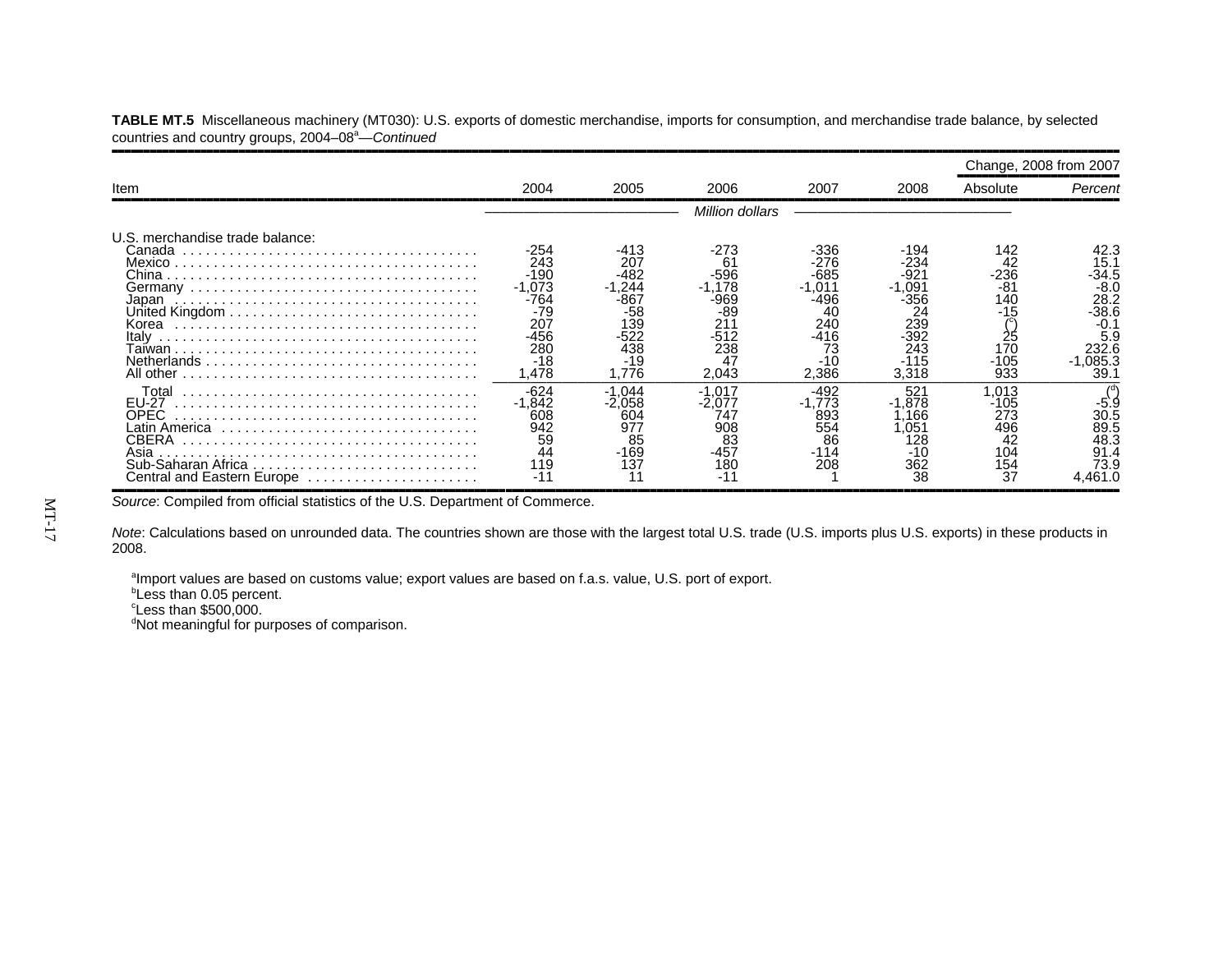|                                                                                                    |                                                                                         |                                                                             |                                                                                  |                                                                                   |                                                                                |                                                                        | Change, 2008 from 2007                                                                           |
|----------------------------------------------------------------------------------------------------|-----------------------------------------------------------------------------------------|-----------------------------------------------------------------------------|----------------------------------------------------------------------------------|-----------------------------------------------------------------------------------|--------------------------------------------------------------------------------|------------------------------------------------------------------------|--------------------------------------------------------------------------------------------------|
| <b>Item</b>                                                                                        | 2004                                                                                    | 2005                                                                        | 2006                                                                             | 2007                                                                              | 2008                                                                           | Absolute                                                               | Percent                                                                                          |
|                                                                                                    |                                                                                         |                                                                             | Million dollars                                                                  |                                                                                   |                                                                                |                                                                        |                                                                                                  |
| U.S. merchandise trade balance:<br>Canada<br>Korea<br>Italy<br>Netherlands                         | $-254$<br>243<br>-190<br>$-1.073$<br>-764<br>-79<br>207<br>-456<br>280<br>$-18$<br>.478 | $-413$<br>207<br>-482<br>.244<br>86.<br>-58<br>139<br>438<br>$-19$<br>1.776 | -273<br>61<br>-596<br>.178<br>-969<br>-89<br>21'<br>$-512$<br>238<br>47<br>2,043 | -336<br>-276<br>-685<br>.011<br>-496<br>40<br>240<br>-416<br>73<br>$-10$<br>2,386 | -194<br>-234<br>-921<br>∣,091<br>-356<br>239<br>$-392$<br>243<br>-115<br>3,318 | 142<br>42<br>-236<br>$-81$<br>140<br>$-15$<br>25<br>170<br>-105<br>933 | 42.3<br>15.1<br>-34.5<br>$-8.0$<br>28.2<br>-38.6<br>$-0.1$<br>5.9<br>232.6<br>$-1,085.3$<br>39.1 |
| Total<br>EU-27<br>OPEC<br><b>CBERA</b><br>Asia<br>Sub-Saharan Africa<br>Central and Eastern Europe | $-624$<br>-1,842<br>608<br>942<br>59<br>44<br>119                                       | $-1.044$<br>-2.058<br>604<br>85<br>$-169$<br>37ء                            | $-1.017$<br>-2.077<br>747<br>908<br>83<br>$-457$<br>180<br>-1                    | -492<br>$-1,773$<br>893<br>554<br>86<br>-114<br>208                               | 521<br>$-1.878$<br>.166<br>.051<br>128<br>$-10$<br>362<br>38                   | 1.013<br>-105<br>273<br>496<br>42<br>104<br>154<br>37                  | -5.9<br>30.5<br>89.5<br>48.3<br>91.4<br>73.9                                                     |

**TABLE MT.5** Miscellaneous machinery (MT030): U.S. exports of domestic merchandise, imports for consumption, and merchandise trade balance, by selected countries and country groups, 2004–08<sup>a</sup>—*Continued* 

Source: Compiled from official statistics of the U.S. Department of Commerce.

*Note*: Calculations based on unrounded data. The countries shown are those with the largest total U.S. trade (U.S. imports plus U.S. exports) in these products in 2008.

<sup>a</sup>Import values are based on customs value; export values are based on f.a.s. value, U.S. port of export.

**Less than 0.05 percent.** 

Eless than \$500,000.

<sup>d</sup>Not meaningful for purposes of comparison.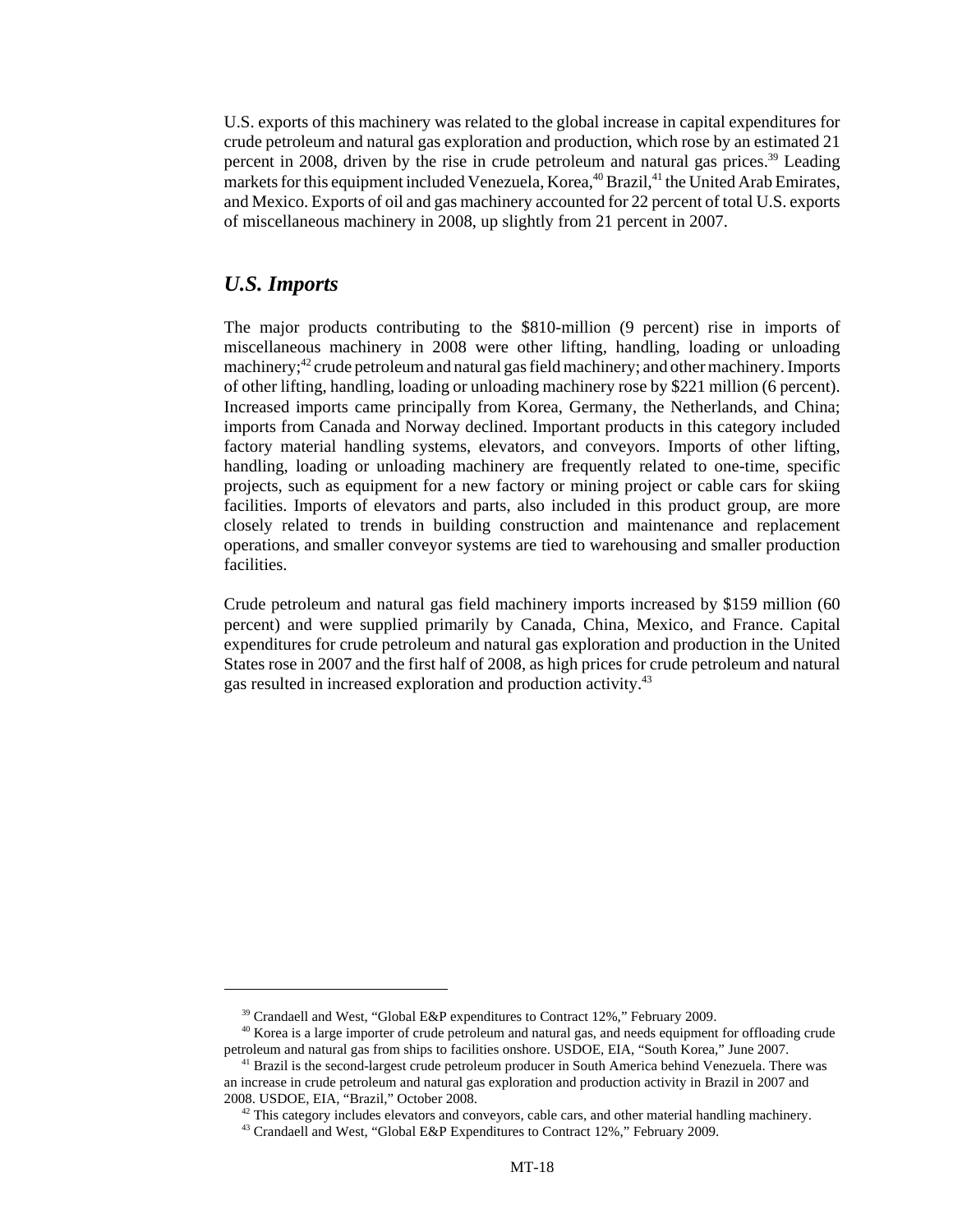U.S. exports of this machinery was related to the global increase in capital expenditures for crude petroleum and natural gas exploration and production, which rose by an estimated 21 percent in 2008, driven by the rise in crude petroleum and natural gas prices.39 Leading markets for this equipment included Venezuela, Korea,  $40$  Brazil,  $41$  the United Arab Emirates, and Mexico. Exports of oil and gas machinery accounted for 22 percent of total U.S. exports of miscellaneous machinery in 2008, up slightly from 21 percent in 2007.

#### *U.S. Imports*

The major products contributing to the \$810-million (9 percent) rise in imports of miscellaneous machinery in 2008 were other lifting, handling, loading or unloading machinery;<sup>42</sup> crude petroleum and natural gas field machinery; and other machinery. Imports of other lifting, handling, loading or unloading machinery rose by \$221 million (6 percent). Increased imports came principally from Korea, Germany, the Netherlands, and China; imports from Canada and Norway declined. Important products in this category included factory material handling systems, elevators, and conveyors. Imports of other lifting, handling, loading or unloading machinery are frequently related to one-time, specific projects, such as equipment for a new factory or mining project or cable cars for skiing facilities. Imports of elevators and parts, also included in this product group, are more closely related to trends in building construction and maintenance and replacement operations, and smaller conveyor systems are tied to warehousing and smaller production facilities.

Crude petroleum and natural gas field machinery imports increased by \$159 million (60 percent) and were supplied primarily by Canada, China, Mexico, and France. Capital expenditures for crude petroleum and natural gas exploration and production in the United States rose in 2007 and the first half of 2008, as high prices for crude petroleum and natural gas resulted in increased exploration and production activity.<sup>43</sup>

<sup>&</sup>lt;sup>39</sup> Crandaell and West, "Global E&P expenditures to Contract 12%," February 2009.

<sup>&</sup>lt;sup>40</sup> Korea is a large importer of crude petroleum and natural gas, and needs equipment for offloading crude petroleum and natural gas from ships to facilities onshore. USDOE, EIA, "South Korea," June 2007.

<sup>&</sup>lt;sup>41</sup> Brazil is the second-largest crude petroleum producer in South America behind Venezuela. There was an increase in crude petroleum and natural gas exploration and production activity in Brazil in 2007 and 2008. USDOE, EIA, "Brazil," October 2008.

 $42$  This category includes elevators and conveyors, cable cars, and other material handling machinery.

 <sup>43</sup> Crandaell and West, "Global E&P Expenditures to Contract 12%," February 2009.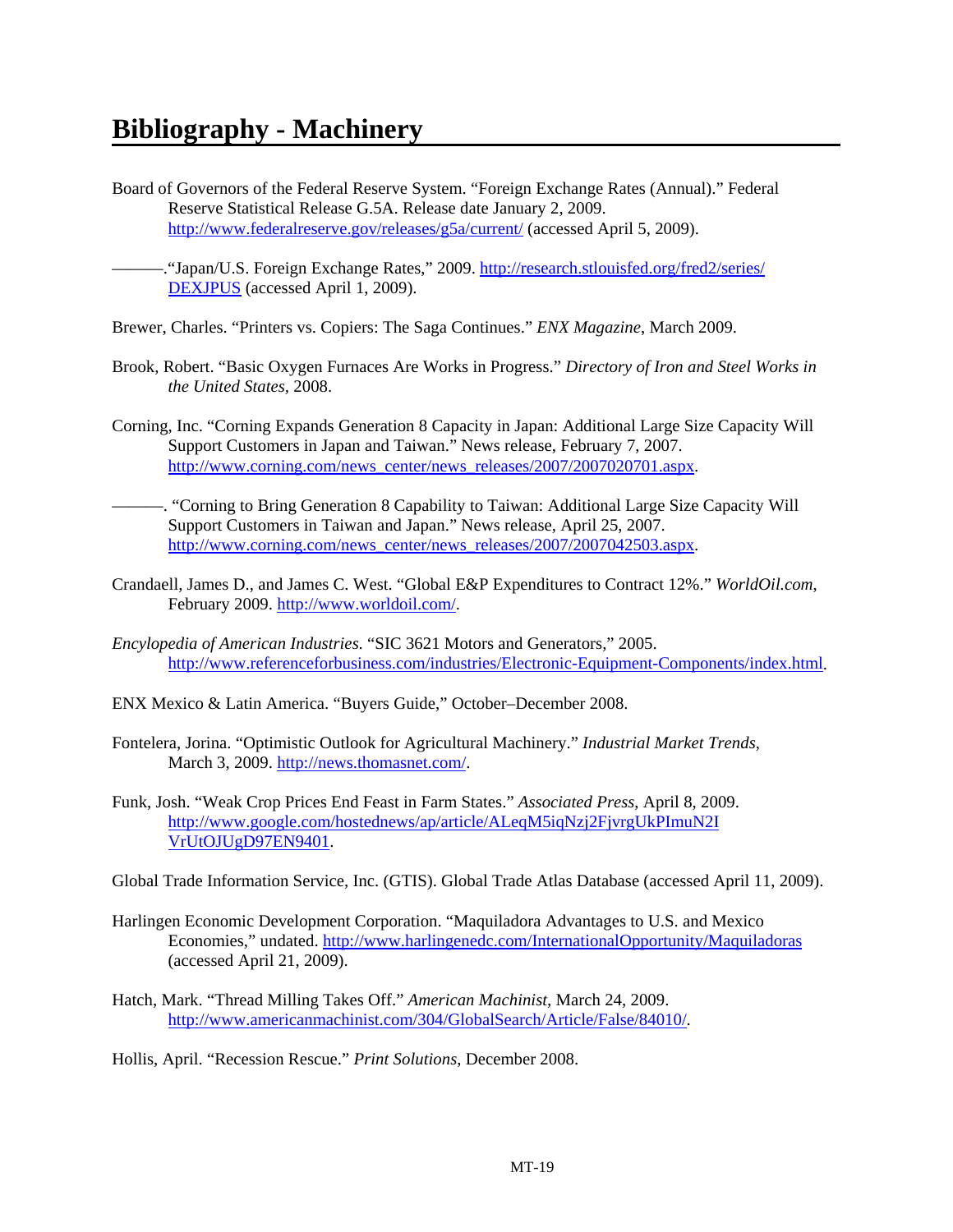- Board of Governors of the Federal Reserve System. "Foreign Exchange Rates (Annual)." Federal Reserve Statistical Release G.5A. Release date January 2, 2009. http://www.federalreserve.gov/releases/g5a/current/ (accessed April 5, 2009).
- . "Japan/U.S. Foreign Exchange Rates," 2009. http://research.stlouisfed.org/fred2/series/ DEXJPUS (accessed April 1, 2009).
- Brewer, Charles. "Printers vs. Copiers: The Saga Continues." *ENX Magazine*, March 2009.
- Brook, Robert. "Basic Oxygen Furnaces Are Works in Progress." *Directory of Iron and Steel Works in the United States,* 2008.
- Corning, Inc. "Corning Expands Generation 8 Capacity in Japan: Additional Large Size Capacity Will Support Customers in Japan and Taiwan." News release, February 7, 2007. http://www.corning.com/news\_center/news\_releases/2007/2007020701.aspx.
- ———. "Corning to Bring Generation 8 Capability to Taiwan: Additional Large Size Capacity Will Support Customers in Taiwan and Japan." News release, April 25, 2007. http://www.corning.com/news\_center/news\_releases/2007/2007042503.aspx.
- Crandaell, James D., and James C. West. "Global E&P Expenditures to Contract 12%." *WorldOil.com*, February 2009. http://www.worldoil.com/.
- *Encylopedia of American Industries*. "SIC 3621 Motors and Generators," 2005. http://www.referenceforbusiness.com/industries/Electronic-Equipment-Components/index.html.
- ENX Mexico & Latin America. "Buyers Guide," October–December 2008.
- Fontelera, Jorina. "Optimistic Outlook for Agricultural Machinery." *Industrial Market Trends*, March 3, 2009. http://news.thomasnet.com/.
- Funk, Josh. "Weak Crop Prices End Feast in Farm States." *Associated Press*, April 8, 2009. http://www.google.com/hostednews/ap/article/ALeqM5iqNzj2FjvrgUkPImuN2I VrUtOJUgD97EN9401.
- Global Trade Information Service, Inc. (GTIS). Global Trade Atlas Database (accessed April 11, 2009).
- Harlingen Economic Development Corporation. "Maquiladora Advantages to U.S. and Mexico Economies," undated. http://www.harlingenedc.com/InternationalOpportunity/Maquiladoras (accessed April 21, 2009).
- Hatch, Mark. "Thread Milling Takes Off." *American Machinist,* March 24, 2009. http://www.americanmachinist.com/304/GlobalSearch/Article/False/84010/.

Hollis, April. "Recession Rescue." *Print Solutions*, December 2008.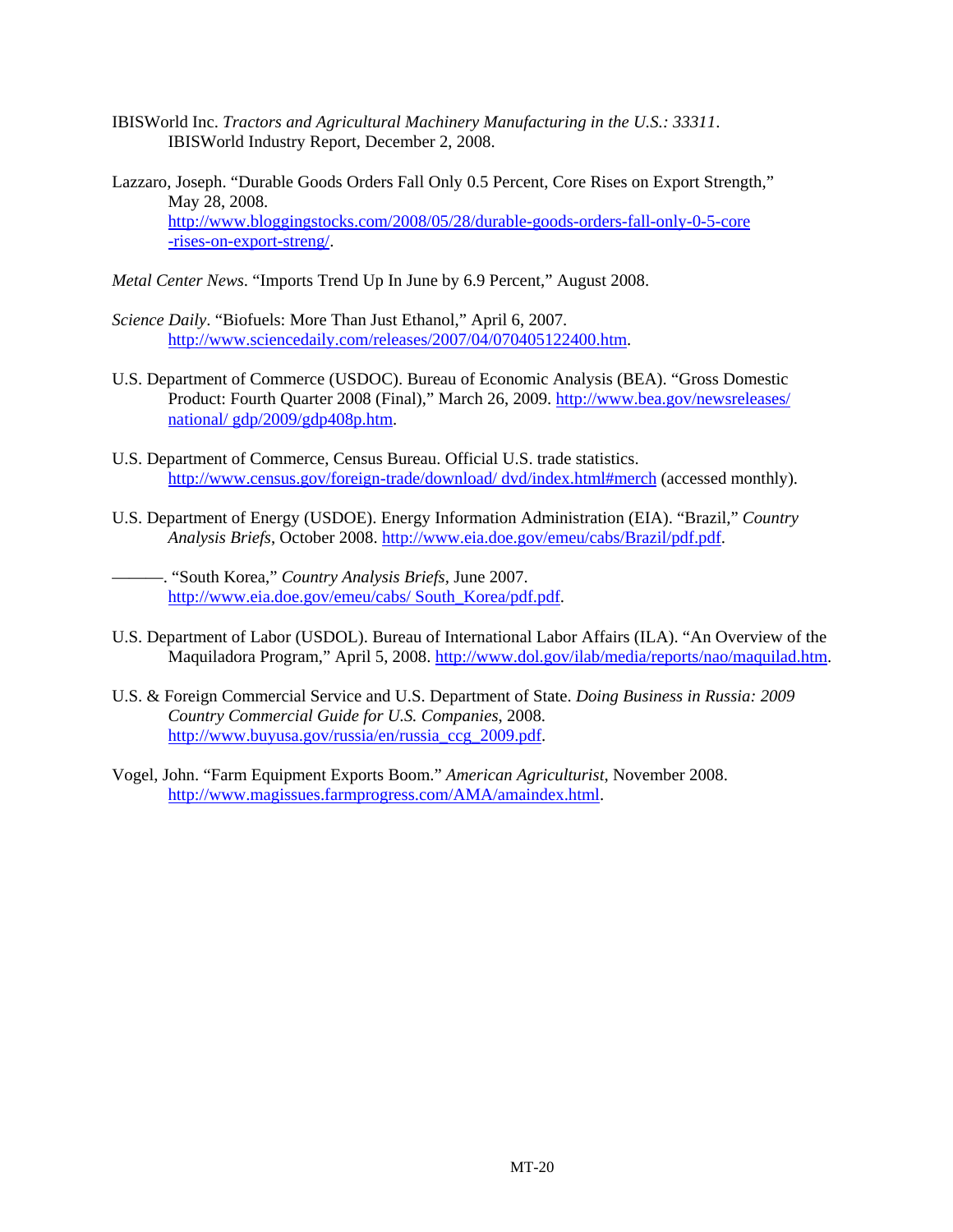- IBISWorld Inc. *Tractors and Agricultural Machinery Manufacturing in the U.S.: 33311*. IBISWorld Industry Report, December 2, 2008.
- Lazzaro, Joseph. "Durable Goods Orders Fall Only 0.5 Percent, Core Rises on Export Strength," May 28, 2008. http://www.bloggingstocks.com/2008/05/28/durable-goods-orders-fall-only-0-5-core -rises-on-export-streng/.
- *Metal Center News*. "Imports Trend Up In June by 6.9 Percent," August 2008.
- *Science Daily*. "Biofuels: More Than Just Ethanol," April 6, 2007. http://www.sciencedaily.com/releases/2007/04/070405122400.htm.
- U.S. Department of Commerce (USDOC). Bureau of Economic Analysis (BEA). "Gross Domestic Product: Fourth Quarter 2008 (Final)," March 26, 2009. http://www.bea.gov/newsreleases/ national/ gdp/2009/gdp408p.htm.
- U.S. Department of Commerce, Census Bureau. Official U.S. trade statistics. http://www.census.gov/foreign-trade/download/ dvd/index.html#merch (accessed monthly).
- U.S. Department of Energy (USDOE). Energy Information Administration (EIA). "Brazil," *Country Analysis Briefs*, October 2008. http://www.eia.doe.gov/emeu/cabs/Brazil/pdf.pdf.

———. "South Korea," *Country Analysis Briefs,* June 2007. http://www.eia.doe.gov/emeu/cabs/ South\_Korea/pdf.pdf.

- U.S. Department of Labor (USDOL). Bureau of International Labor Affairs (ILA). "An Overview of the Maquiladora Program," April 5, 2008. http://www.dol.gov/ilab/media/reports/nao/maquilad.htm.
- U.S. & Foreign Commercial Service and U.S. Department of State. *Doing Business in Russia: 2009 Country Commercial Guide for U.S. Companies*, 2008. http://www.buyusa.gov/russia/en/russia\_ccg\_2009.pdf.
- Vogel, John. "Farm Equipment Exports Boom." *American Agriculturist*, November 2008. http://www.magissues.farmprogress.com/AMA/amaindex.html.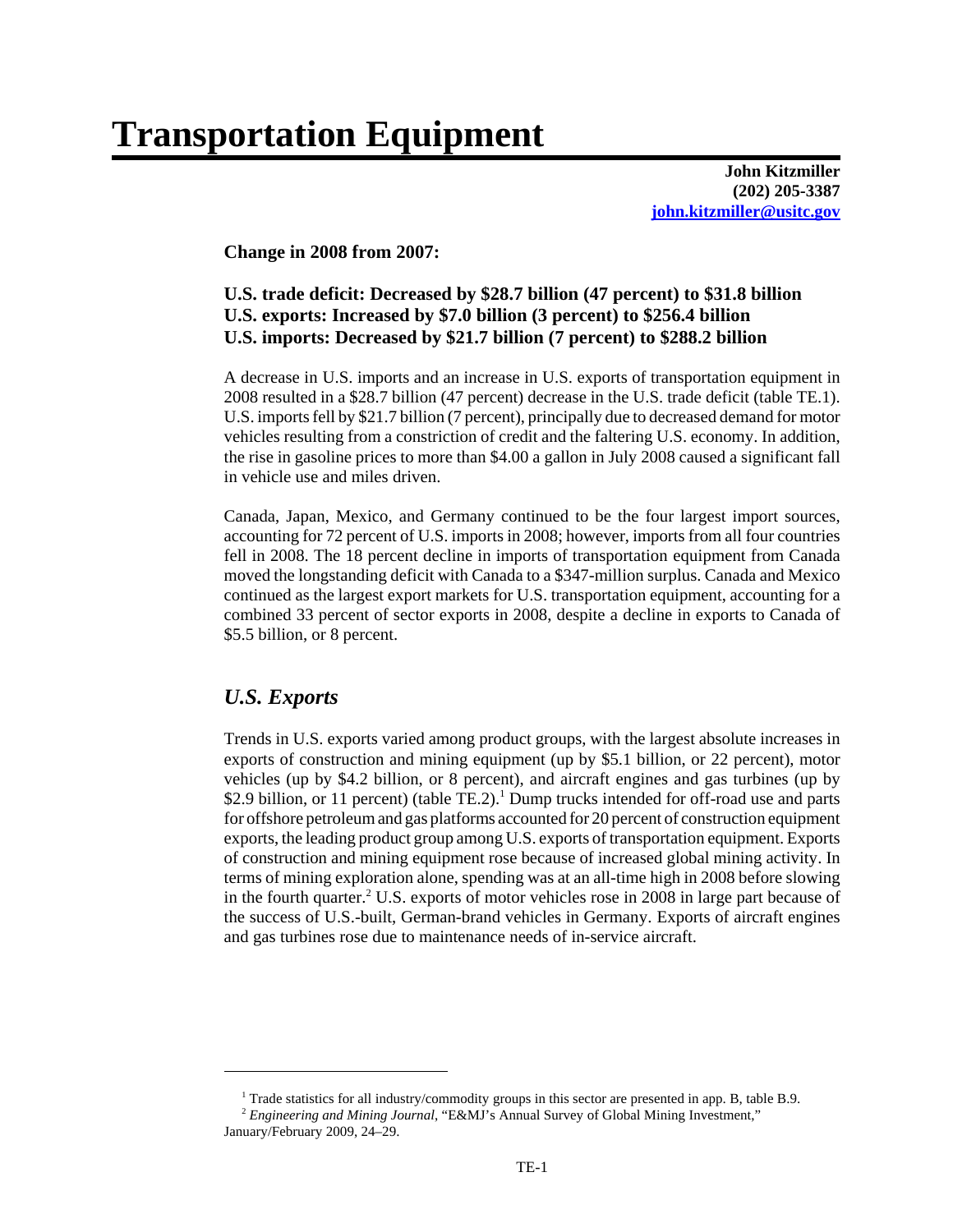# **Transportation Equipment**

**John Kitzmiller (202) 205-3387 john.kitzmiller@usitc.gov**

#### **Change in 2008 from 2007:**

#### **U.S. trade deficit: Decreased by \$28.7 billion (47 percent) to \$31.8 billion U.S. exports: Increased by \$7.0 billion (3 percent) to \$256.4 billion U.S. imports: Decreased by \$21.7 billion (7 percent) to \$288.2 billion**

A decrease in U.S. imports and an increase in U.S. exports of transportation equipment in 2008 resulted in a \$28.7 billion (47 percent) decrease in the U.S. trade deficit (table TE.1). U.S. imports fell by \$21.7 billion (7 percent), principally due to decreased demand for motor vehicles resulting from a constriction of credit and the faltering U.S. economy. In addition, the rise in gasoline prices to more than \$4.00 a gallon in July 2008 caused a significant fall in vehicle use and miles driven.

Canada, Japan, Mexico, and Germany continued to be the four largest import sources, accounting for 72 percent of U.S. imports in 2008; however, imports from all four countries fell in 2008. The 18 percent decline in imports of transportation equipment from Canada moved the longstanding deficit with Canada to a \$347-million surplus. Canada and Mexico continued as the largest export markets for U.S. transportation equipment, accounting for a combined 33 percent of sector exports in 2008, despite a decline in exports to Canada of \$5.5 billion, or 8 percent.

#### *U.S. Exports*

Trends in U.S. exports varied among product groups, with the largest absolute increases in exports of construction and mining equipment (up by \$5.1 billion, or 22 percent), motor vehicles (up by \$4.2 billion, or 8 percent), and aircraft engines and gas turbines (up by \$2.9 billion, or 11 percent) (table TE.2).<sup>1</sup> Dump trucks intended for off-road use and parts for offshore petroleum and gas platforms accounted for 20 percent of construction equipment exports, the leading product group among U.S. exports of transportation equipment. Exports of construction and mining equipment rose because of increased global mining activity. In terms of mining exploration alone, spending was at an all-time high in 2008 before slowing in the fourth quarter.<sup>2</sup> U.S. exports of motor vehicles rose in 2008 in large part because of the success of U.S.-built, German-brand vehicles in Germany. Exports of aircraft engines and gas turbines rose due to maintenance needs of in-service aircraft.

 <sup>1</sup> Trade statistics for all industry/commodity groups in this sector are presented in app. B, table B.9.

 <sup>2</sup> *Engineering and Mining Journal*, "E&MJ's Annual Survey of Global Mining Investment," January/February 2009, 24–29.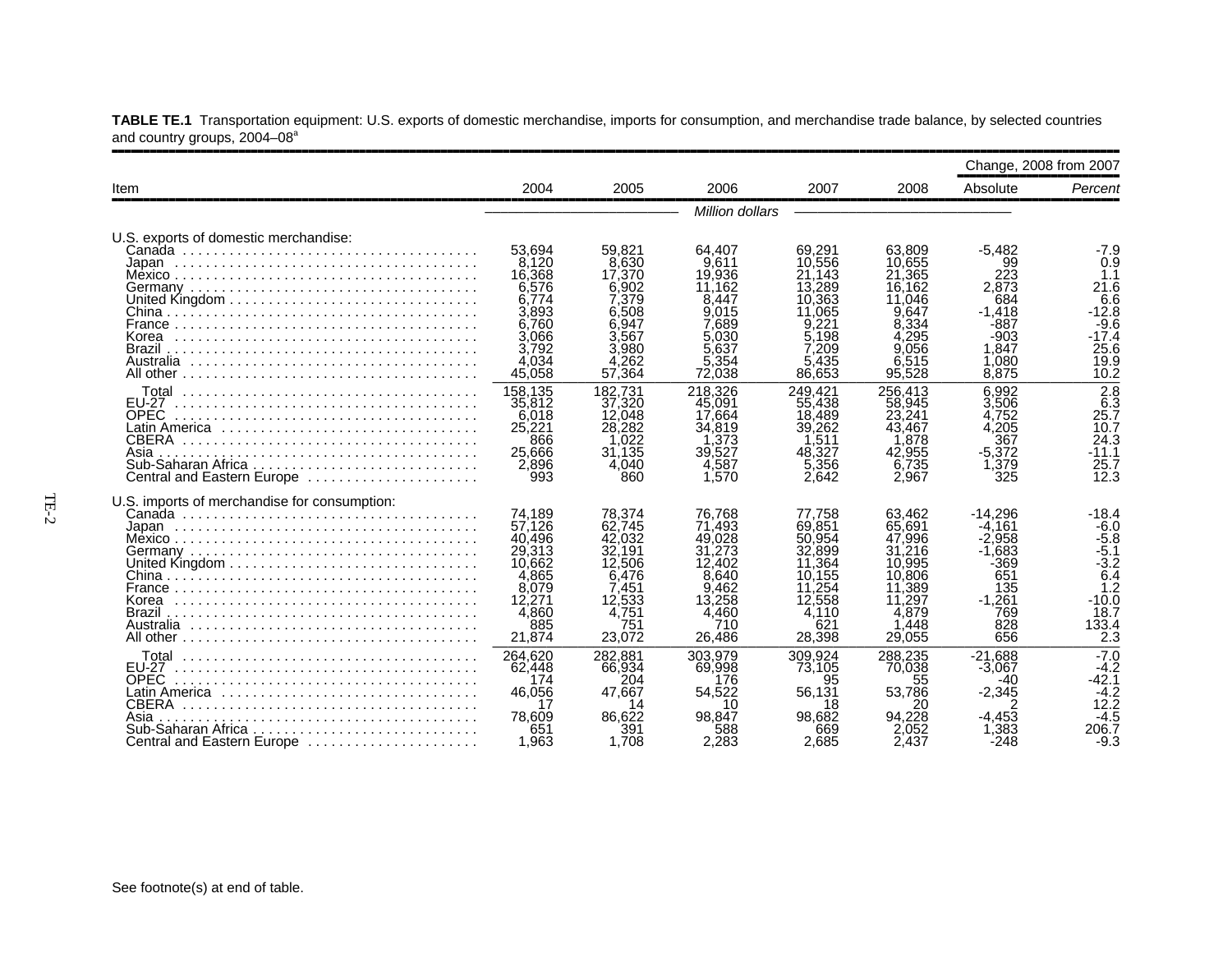|                                                                                                                            |                                                                                                      |                                                                                                      |                                                                                                      |                                                                                                        |                                                                                                       |                                                                                                    | Change, 2008 from 2007                                                                         |
|----------------------------------------------------------------------------------------------------------------------------|------------------------------------------------------------------------------------------------------|------------------------------------------------------------------------------------------------------|------------------------------------------------------------------------------------------------------|--------------------------------------------------------------------------------------------------------|-------------------------------------------------------------------------------------------------------|----------------------------------------------------------------------------------------------------|------------------------------------------------------------------------------------------------|
| Item                                                                                                                       | 2004                                                                                                 | 2005                                                                                                 | 2006                                                                                                 | 2007                                                                                                   | 2008                                                                                                  | Absolute                                                                                           | Percent                                                                                        |
|                                                                                                                            |                                                                                                      |                                                                                                      | Million dollars                                                                                      |                                                                                                        |                                                                                                       |                                                                                                    |                                                                                                |
| U.S. exports of domestic merchandise:                                                                                      | 53.694<br>8,120<br>16,368<br>6,576<br>6.774<br>3,893                                                 | 59.821<br>8.630<br>17.370<br>6.902<br>7.379<br>6.508                                                 | 64.407<br>9.611<br>19.936<br>11,162<br>8.447<br>9.015                                                | 69.291<br>10.556<br>21.143<br>13,289<br>10.363<br>11.065                                               | 63.809<br>10.655<br>21.365<br>16,162<br>11.046<br>9.647                                               | $-5.482$<br>99<br>223<br>2.873<br>684<br>$-1.418$                                                  | $-7.9$<br>0.9<br>1.1<br>21.6<br>6.6<br>$-12.8$                                                 |
| Korea<br>Brazil<br>Australia                                                                                               | 6.760<br>3,066<br>3,792<br>4.034<br>45,058                                                           | 6.947<br>3.567<br>3,980<br>4.262<br>57,364                                                           | 7.689<br>5.030<br>5.637<br>5.354<br>72,038                                                           | 9.221<br>5.198<br>7.209<br>5.435<br>86,653                                                             | 8,334<br>4,295<br>9.056<br>6.515<br>95.528                                                            | $-887$<br>-903<br>1.847<br>1.080<br>8.875                                                          | $-9.6$<br>-17.4<br>25.6<br>19.9<br>10.2                                                        |
| Total<br><b>EU-27</b><br><b>OPEC</b><br>CBERA<br>Asia<br>Central and Eastern Europe                                        | 158.135<br>35,812<br>6,018<br>25,221<br>866<br>25,666<br>2,896<br>993                                | 182.731<br>37,320<br>12.048<br>28,282<br>.022<br>31,135<br>4.040<br>860                              | 218.326<br>45,091<br>17.664<br>34,819<br>.373<br>39.527<br>4,587<br>1.570                            | 249.421<br>55,438<br>18,489<br>39,262<br>.511<br>48,327<br>5,356<br>2.642                              | 256.413<br>58.945<br>23,241<br>43.467<br>.878<br>42.955<br>6,735<br>2.967                             | 6.992<br>3.506<br>4.752<br>4.205<br>367<br>$-5,372$<br>1,379<br>325                                | $\overline{2.8}$<br>$\overline{6}$ .3<br>25.7<br>10.7<br>24.3<br>$-11.1$<br>25.7<br>12.3       |
| U.S. imports of merchandise for consumption:<br>Korea<br>Brazil                                                            | 74,189<br>57.126<br>40.496<br>29,313<br>10.662<br>4,865<br>8,079<br>12,271<br>4.860<br>885<br>21,874 | 78.374<br>62.745<br>42,032<br>32.191<br>12,506<br>6.476<br>7.451<br>12,533<br>4.751<br>751<br>23.072 | 76.768<br>71,493<br>49.028<br>31,273<br>12,402<br>8.640<br>9.462<br>13.258<br>4.460<br>710<br>26.486 | 77,758<br>69.851<br>50,954<br>32,899<br>11,364<br>10.155<br>11.254<br>12,558<br>4.110<br>621<br>28.398 | 63.462<br>65.691<br>47.996<br>31.216<br>10.995<br>10,806<br>11,389<br>.297<br>4.879<br>,448<br>29.055 | $-14.296$<br>-4.161<br>-2.958<br>$-1.683$<br>$-369$<br>651<br>135<br>$-1,261$<br>769<br>828<br>656 | $-18.4$<br>$-6.0$<br>$-5.8$<br>-5.1<br>$-3.2$<br>6.4<br>1.2<br>$-10.0$<br>18.7<br>133.4<br>2.3 |
| Total<br>EU-27<br><b>OPEC</b><br>Latin America<br><b>CBERA</b><br>Asia<br>Sub-Saharan Africa<br>Central and Eastern Europe | 264,620<br>62,448<br>174<br>46,056<br>17<br>78.609<br>651<br>1.963                                   | 282.881<br>66,934<br>204<br>47.667<br>14<br>86,622<br>391<br>1.708                                   | 303.979<br>69.998<br>176<br>54,522<br>10<br>98.847<br>588<br>2.283                                   | 309.924<br>73,105<br>95<br>56.131<br>18<br>98.682<br>669<br>2.685                                      | 288.235<br>70,038<br>55<br>53,786<br>20<br>94.228<br>2.052<br>2.437                                   | $-21.688$<br>$-3,067$<br>-40<br>$-2,345$<br>-4.453<br>1.383<br>$-248$                              | $-7.0$<br>$-4.2$<br>$-42.1$<br>$-4.2$<br>12.2<br>$-4.5$<br>206.7<br>-9.3                       |

**TABLE TE.1** Transportation equipment: U.S. exports of domestic merchandise, imports for consumption, and merchandise trade balance, by selected countries and country groups, 2004–08ª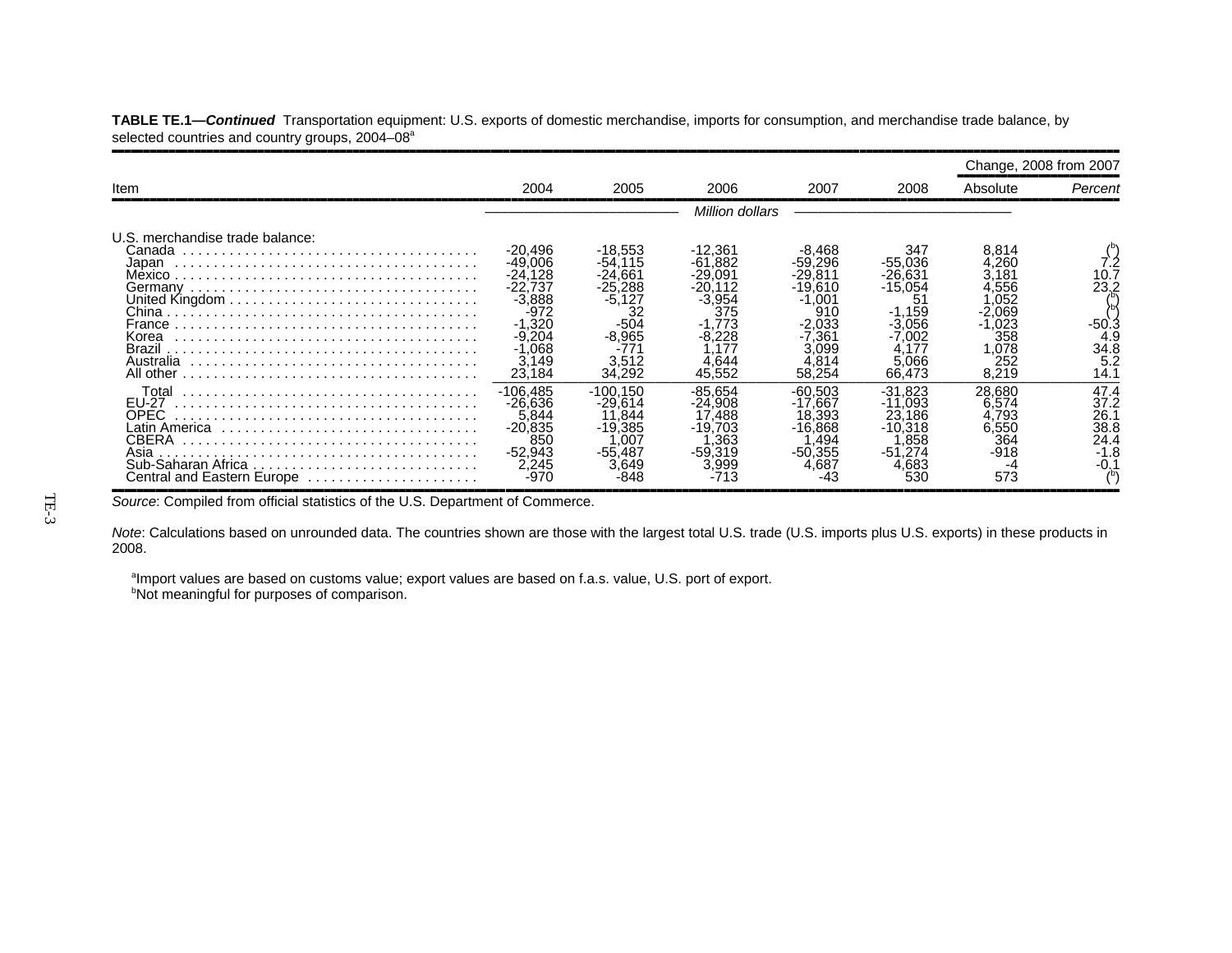|                                                                                                                      |                                                                                                                       |                                                                                                     |                                                                                                |                                                                                                                      |                                                                                                  | Change, 2008 from 2007                                                                    |                                                   |
|----------------------------------------------------------------------------------------------------------------------|-----------------------------------------------------------------------------------------------------------------------|-----------------------------------------------------------------------------------------------------|------------------------------------------------------------------------------------------------|----------------------------------------------------------------------------------------------------------------------|--------------------------------------------------------------------------------------------------|-------------------------------------------------------------------------------------------|---------------------------------------------------|
| Item                                                                                                                 | 2004                                                                                                                  | 2005                                                                                                | 2006                                                                                           | 2007                                                                                                                 | 2008                                                                                             | Absolute                                                                                  | Percent                                           |
|                                                                                                                      |                                                                                                                       |                                                                                                     | Million dollars                                                                                |                                                                                                                      |                                                                                                  |                                                                                           |                                                   |
| U.S. merchandise trade balance:<br>Canada<br>Japan<br>Germanv<br>France<br>Korea<br>Brazil<br>Australia<br>All other | -20,496<br>-49.006<br>$-24.128$<br>-22.737<br>$-3.888$<br>-972<br>$-1.320$<br>$-9.204$<br>$-1.068$<br>3.149<br>23.184 | -18,553<br>$-54.115$<br>$-24.661$<br>$-25.288$<br>$-5,127$<br>$-504$<br>$-8.965$<br>3.512<br>34,292 | $-12,361$<br>$-61.882$<br>$-29.091$<br>$-20.112$<br>-3,954<br>375<br>-8.228<br>4.644<br>45.552 | -8,468<br>$-59.296$<br>$-29.811$<br>$-19.610$<br>.001<br>-1<br>910<br>$-2.033$<br>-7.361<br>3.099<br>4.814<br>58,254 | 347<br>$-55.036$<br>-26.631<br>$-15,054$<br>51<br>$-1,159$<br>-3.056<br>7.002<br>5.066<br>66.473 | 8.814<br>4.260<br>3.181<br>4.556<br>.052<br>-2.069<br>.023<br>358<br>,078<br>252<br>8,219 | 10.7<br>23.2<br>-50<br>4.9<br>34.8<br>5.2<br>14.1 |
| Total<br>EU-27<br><b>OPEC</b><br>Asia<br>Central and Eastern Europe                                                  | $-106.485$<br>$-26.636$<br>5,844<br>$-20.835$<br>850<br>$-52,943$<br>2,245<br>-970                                    | $-100.150$<br>$-29.614$<br>11.844<br>$-19.385$<br>.007<br>$-55.487$<br>3.649                        | $-85.654$<br>$-24.908$<br>.488<br>$-19.703$<br>.363<br>$-59.319$<br>3.999                      | $-60.503$<br>$-17.667$<br>18.393<br>$-16.868$<br>.494<br>$-50.355$<br>4.687                                          | -31.823<br>$-11.093$<br>23.186<br>$-10.318$<br>.858<br>$-51.274$<br>4.683<br>530                 | 28.680<br>6.574<br>4,793<br>6.550<br>364<br>-918<br>573                                   | 47.4<br>37.2<br>26.1<br>38.8<br>24.4<br>$-1.8$    |

**TABLE TE.1—***Continued* Transportation equipment: U.S. exports of domestic merchandise, imports for consumption, and merchandise trade balance, by selected countries and country groups, 2004–08<sup>a</sup>

Source: Compiled from official statistics of the U.S. Department of Commerce.

*Note*: Calculations based on unrounded data. The countries shown are those with the largest total U.S. trade (U.S. imports plus U.S. exports) in these products in 2008.

aImport values are based on customs value; export values are based on f.a.s. value, U.S. port of export. **bNot meaningful for purposes of comparison.**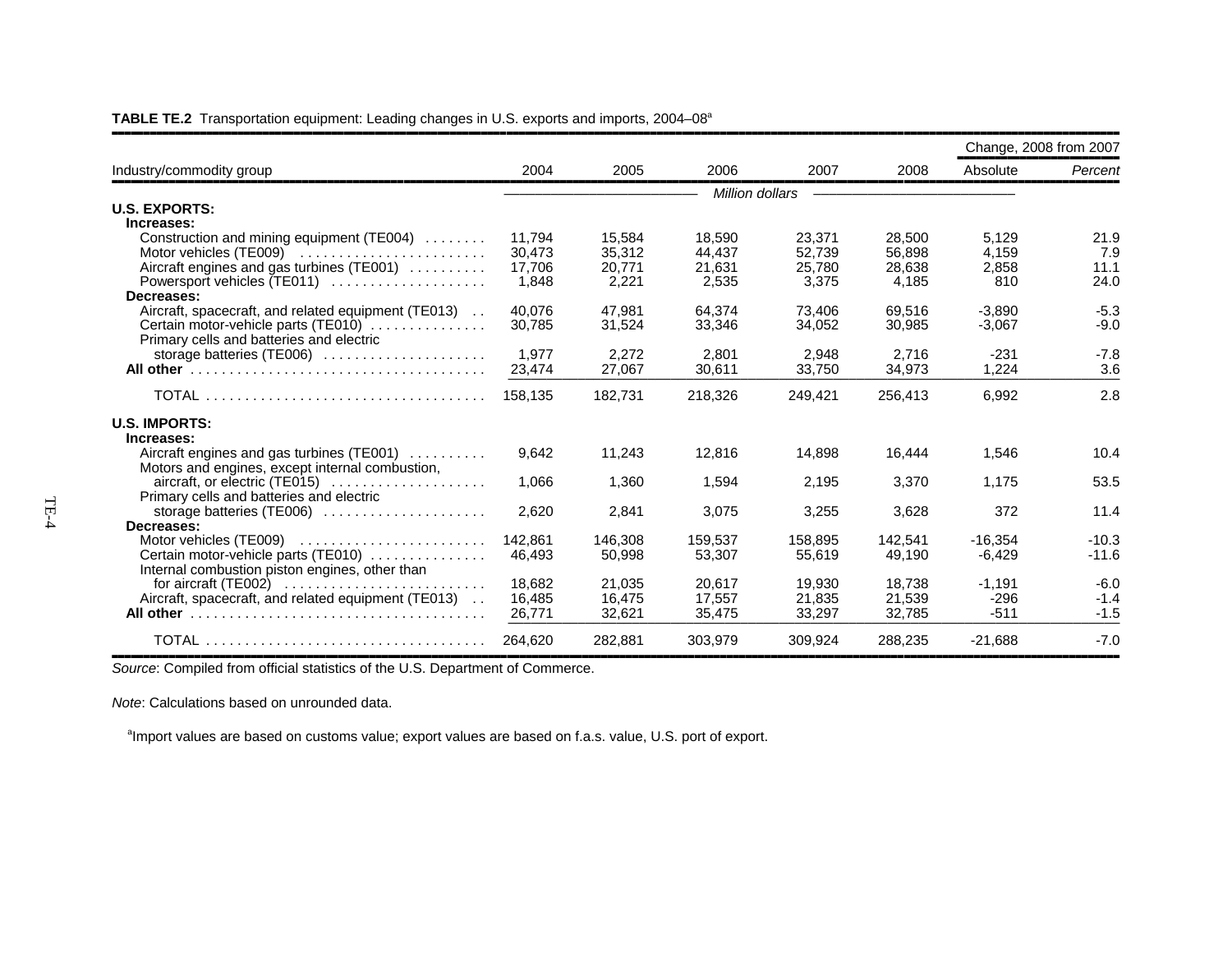|                                                                                |         |         |         |                 |         | Change, 2008 from 2007 |         |
|--------------------------------------------------------------------------------|---------|---------|---------|-----------------|---------|------------------------|---------|
| Industry/commodity group                                                       | 2004    | 2005    | 2006    | 2007            | 2008    | Absolute               | Percent |
|                                                                                |         |         |         | Million dollars |         |                        |         |
| <b>U.S. EXPORTS:</b>                                                           |         |         |         |                 |         |                        |         |
| Increases:                                                                     |         |         |         |                 |         |                        |         |
| Construction and mining equipment (TE004)                                      | 11.794  | 15.584  | 18.590  | 23,371          | 28.500  | 5.129                  | 21.9    |
|                                                                                | 30,473  | 35,312  | 44,437  | 52,739          | 56.898  | 4.159                  | 7.9     |
| Aircraft engines and gas turbines (TE001)                                      | 17,706  | 20,771  | 21,631  | 25,780          | 28,638  | 2,858                  | 11.1    |
| Powersport vehicles (TE011)                                                    | 1,848   | 2,221   | 2,535   | 3,375           | 4,185   | 810                    | 24.0    |
| Decreases:                                                                     |         |         |         |                 |         |                        |         |
| Aircraft, spacecraft, and related equipment (TE013)                            | 40.076  | 47.981  | 64.374  | 73.406          | 69.516  | $-3.890$               | $-5.3$  |
| Certain motor-vehicle parts (TE010)                                            | 30,785  | 31,524  | 33,346  | 34,052          | 30,985  | $-3,067$               | $-9.0$  |
| Primary cells and batteries and electric                                       |         |         |         |                 |         |                        |         |
| storage batteries (TE006)                                                      | 1,977   | 2,272   | 2,801   | 2,948           | 2,716   | $-231$                 | $-7.8$  |
|                                                                                | 23,474  | 27,067  | 30,611  | 33,750          | 34,973  | 1,224                  | 3.6     |
|                                                                                | 158.135 | 182,731 | 218,326 | 249,421         | 256,413 | 6,992                  | 2.8     |
| <b>U.S. IMPORTS:</b>                                                           |         |         |         |                 |         |                        |         |
| Increases:                                                                     |         |         |         |                 |         |                        |         |
| Aircraft engines and gas turbines (TE001)                                      | 9,642   | 11,243  | 12,816  | 14,898          | 16,444  | 1,546                  | 10.4    |
| Motors and engines, except internal combustion,                                |         |         |         |                 |         |                        |         |
|                                                                                | 1,066   | 1,360   | 1,594   | 2,195           | 3,370   | 1,175                  | 53.5    |
| Primary cells and batteries and electric                                       |         |         |         |                 |         |                        |         |
| storage batteries (TE006)                                                      | 2,620   | 2,841   | 3,075   | 3,255           | 3,628   | 372                    | 11.4    |
| Decreases:                                                                     |         |         |         |                 |         |                        |         |
|                                                                                | 142,861 | 146,308 | 159,537 | 158,895         | 142,541 | $-16,354$              | $-10.3$ |
| Certain motor-vehicle parts (TE010)                                            | 46,493  | 50,998  | 53,307  | 55.619          | 49,190  | $-6,429$               | $-11.6$ |
| Internal combustion piston engines, other than                                 |         |         |         |                 |         |                        |         |
| for aircraft (TE002) $\ldots \ldots \ldots \ldots \ldots \ldots \ldots \ldots$ | 18.682  | 21.035  | 20.617  | 19.930          | 18.738  | $-1.191$               | $-6.0$  |
| Aircraft, spacecraft, and related equipment (TE013)                            | 16,485  | 16.475  | 17.557  | 21,835          | 21,539  | $-296$                 | $-1.4$  |
|                                                                                | 26,771  | 32,621  | 35,475  | 33,297          | 32,785  | $-511$                 | $-1.5$  |
|                                                                                | 264,620 | 282,881 | 303,979 | 309,924         | 288,235 | $-21,688$              | $-7.0$  |

**TABLE TE.2** Transportation equipment: Leading changes in U.S. exports and imports, 2004–08a

*Source*: Compiled from official statistics of the U.S. Department of Commerce.

*Note*: Calculations based on unrounded data.

<sup>a</sup>Import values are based on customs value; export values are based on f.a.s. value, U.S. port of export.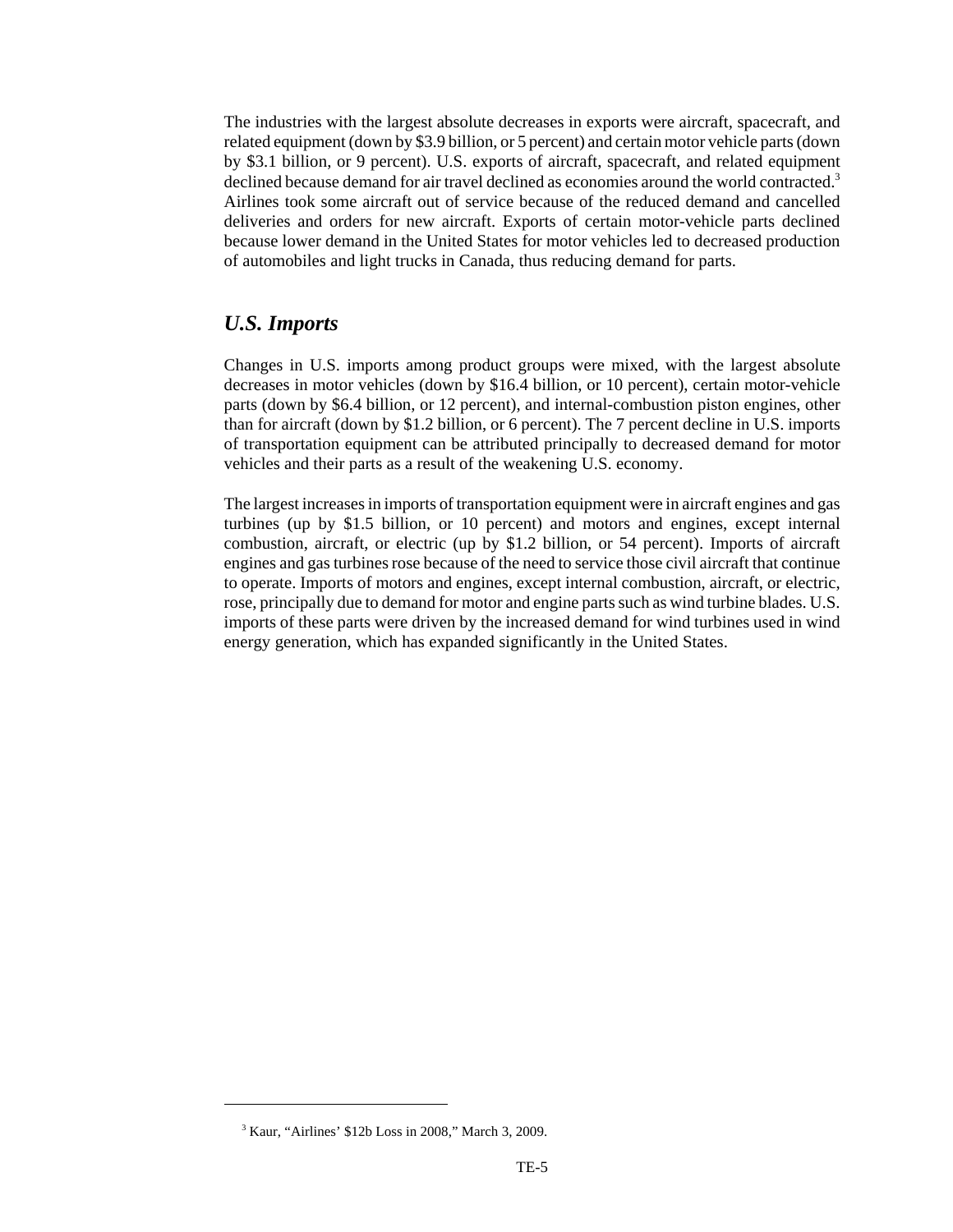The industries with the largest absolute decreases in exports were aircraft, spacecraft, and related equipment (down by \$3.9 billion, or 5 percent) and certain motor vehicle parts (down by \$3.1 billion, or 9 percent). U.S. exports of aircraft, spacecraft, and related equipment declined because demand for air travel declined as economies around the world contracted.<sup>3</sup> Airlines took some aircraft out of service because of the reduced demand and cancelled deliveries and orders for new aircraft. Exports of certain motor-vehicle parts declined because lower demand in the United States for motor vehicles led to decreased production of automobiles and light trucks in Canada, thus reducing demand for parts.

#### *U.S. Imports*

Changes in U.S. imports among product groups were mixed, with the largest absolute decreases in motor vehicles (down by \$16.4 billion, or 10 percent), certain motor-vehicle parts (down by \$6.4 billion, or 12 percent), and internal-combustion piston engines, other than for aircraft (down by \$1.2 billion, or 6 percent). The 7 percent decline in U.S. imports of transportation equipment can be attributed principally to decreased demand for motor vehicles and their parts as a result of the weakening U.S. economy.

The largest increases in imports of transportation equipment were in aircraft engines and gas turbines (up by \$1.5 billion, or 10 percent) and motors and engines, except internal combustion, aircraft, or electric (up by \$1.2 billion, or 54 percent). Imports of aircraft engines and gas turbines rose because of the need to service those civil aircraft that continue to operate. Imports of motors and engines, except internal combustion, aircraft, or electric, rose, principally due to demand for motor and engine parts such as wind turbine blades. U.S. imports of these parts were driven by the increased demand for wind turbines used in wind energy generation, which has expanded significantly in the United States.

 <sup>3</sup> Kaur, "Airlines' \$12b Loss in 2008," March 3, 2009.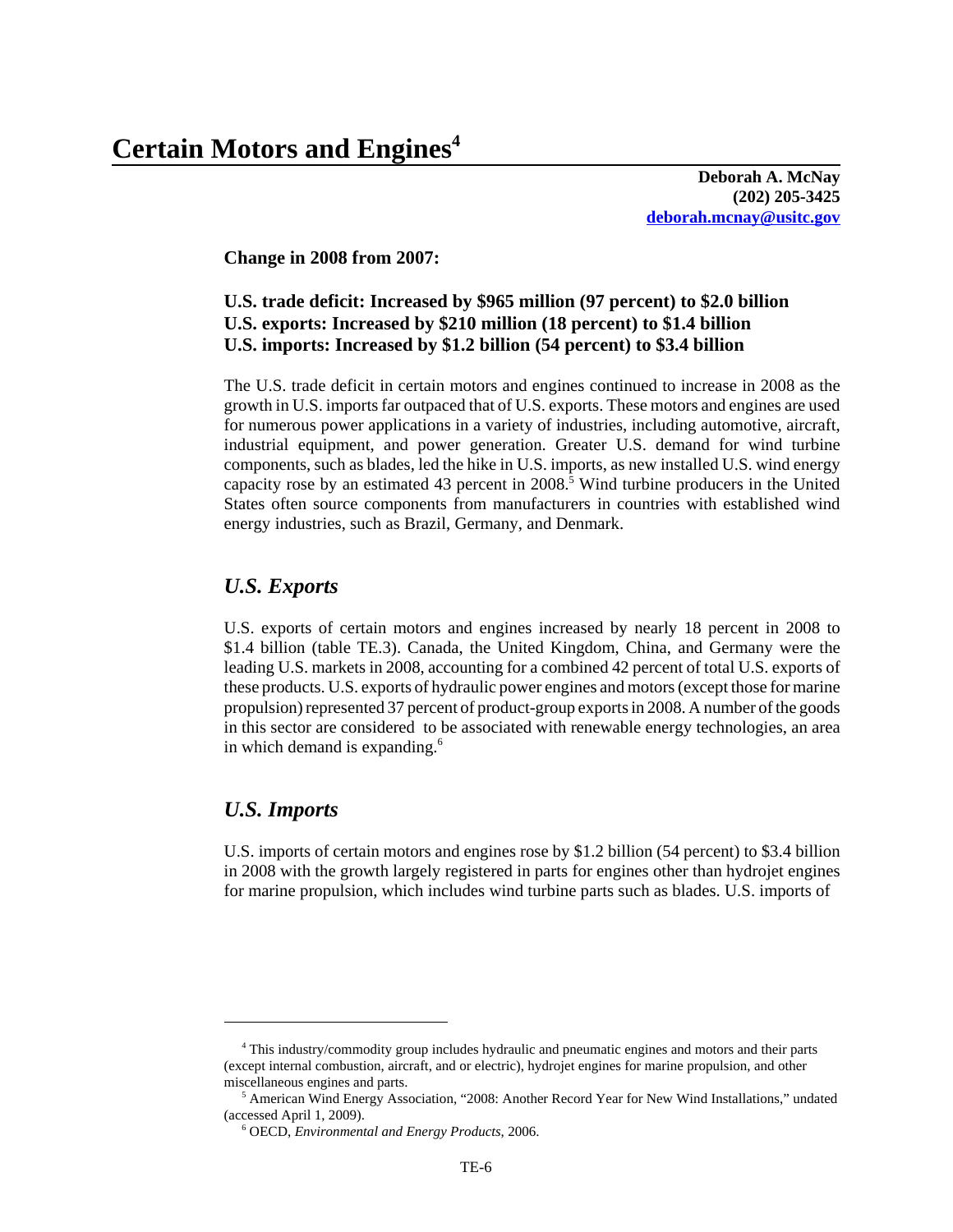**Deborah A. McNay (202) 205-3425 deborah.mcnay@usitc.gov**

**Change in 2008 from 2007:**

#### **U.S. trade deficit: Increased by \$965 million (97 percent) to \$2.0 billion U.S. exports: Increased by \$210 million (18 percent) to \$1.4 billion U.S. imports: Increased by \$1.2 billion (54 percent) to \$3.4 billion**

The U.S. trade deficit in certain motors and engines continued to increase in 2008 as the growth in U.S. imports far outpaced that of U.S. exports. These motors and engines are used for numerous power applications in a variety of industries, including automotive, aircraft, industrial equipment, and power generation. Greater U.S. demand for wind turbine components, such as blades, led the hike in U.S. imports, as new installed U.S. wind energy capacity rose by an estimated 43 percent in 2008.<sup>5</sup> Wind turbine producers in the United States often source components from manufacturers in countries with established wind energy industries, such as Brazil, Germany, and Denmark.

#### *U.S. Exports*

U.S. exports of certain motors and engines increased by nearly 18 percent in 2008 to \$1.4 billion (table TE.3). Canada, the United Kingdom, China, and Germany were the leading U.S. markets in 2008, accounting for a combined 42 percent of total U.S. exports of these products. U.S. exports of hydraulic power engines and motors (except those for marine propulsion) represented 37 percent of product-group exports in 2008. A number of the goods in this sector are considered to be associated with renewable energy technologies, an area in which demand is expanding. $6$ 

#### *U.S. Imports*

U.S. imports of certain motors and engines rose by \$1.2 billion (54 percent) to \$3.4 billion in 2008 with the growth largely registered in parts for engines other than hydrojet engines for marine propulsion, which includes wind turbine parts such as blades. U.S. imports of

 <sup>4</sup> This industry/commodity group includes hydraulic and pneumatic engines and motors and their parts (except internal combustion, aircraft, and or electric), hydrojet engines for marine propulsion, and other miscellaneous engines and parts.

<sup>&</sup>lt;sup>5</sup> American Wind Energy Association, "2008: Another Record Year for New Wind Installations," undated (accessed April 1, 2009).

 <sup>6</sup> OECD, *Environmental and Energy Products*, 2006.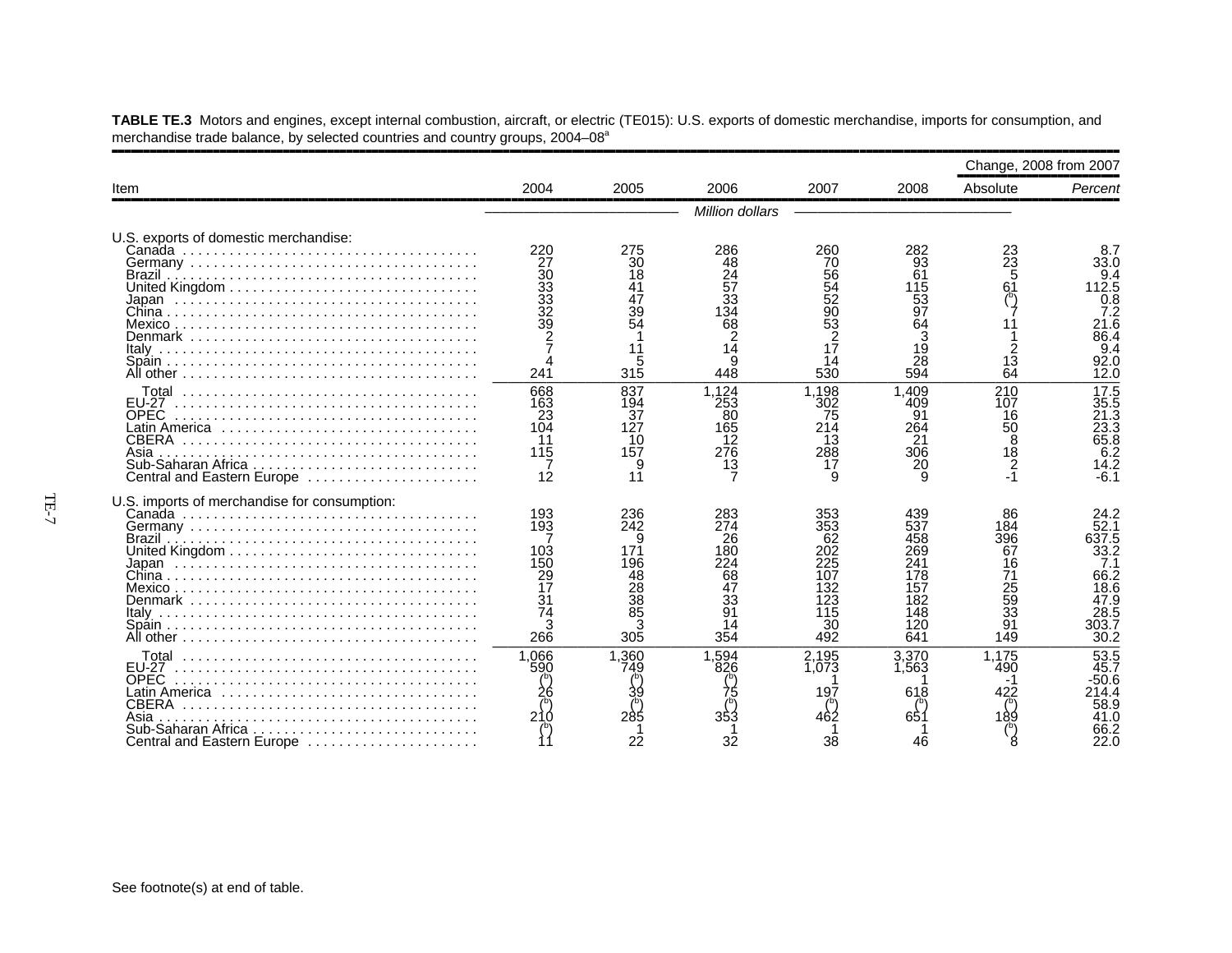|                                                                                                                                                                      |                                                                                               |                                                                                       |                                                                                                 |                                                                                                         |                                                                           | Change, 2008 from 2007                                            |                                                                                       |
|----------------------------------------------------------------------------------------------------------------------------------------------------------------------|-----------------------------------------------------------------------------------------------|---------------------------------------------------------------------------------------|-------------------------------------------------------------------------------------------------|---------------------------------------------------------------------------------------------------------|---------------------------------------------------------------------------|-------------------------------------------------------------------|---------------------------------------------------------------------------------------|
| Item                                                                                                                                                                 | 2004                                                                                          | 2005                                                                                  | 2006                                                                                            | 2007                                                                                                    | 2008                                                                      | Absolute                                                          | Percent                                                                               |
|                                                                                                                                                                      |                                                                                               |                                                                                       | Million dollars                                                                                 |                                                                                                         |                                                                           |                                                                   |                                                                                       |
| U.S. exports of domestic merchandise:<br>Denmark                                                                                                                     | 220<br>27<br>30<br>33<br>33<br>32<br>39<br>2<br>241                                           | 275<br>30<br>18<br>39<br>54<br>5<br>315                                               | 286<br>48<br>$\frac{24}{57}$<br>33<br>$\overline{34}$<br>68<br>$\overline{2}$<br>14<br>9<br>448 | 260<br>70<br>56<br>$\overline{54}$<br>$\overline{52}$<br>$\frac{90}{53}$<br>$\frac{2}{17}$<br>14<br>530 | 282<br>93<br>61<br>115<br>53<br>97<br>64<br>19<br>28<br>594               | 23<br>$2\overline{3}$<br>5<br>61<br>13<br>64                      | 8.7<br>33.0<br>9.4<br>112.5<br>0.8<br>7.2<br>21.6<br>86.4<br>9.4<br>92.0<br>12.0      |
| <b>EU-27</b><br><b>OPEC</b><br>Latin America<br><b>CBERA</b><br>Asia<br>Central and Eastern Europe                                                                   | 668<br>163<br>23<br>104<br>11<br>115<br>12                                                    | 837<br>194<br>37<br>127<br>10<br>157<br>9<br>11                                       | 1,124<br>253<br>80<br>165<br>12<br>276<br>13                                                    | 1.198<br>302<br>75<br>214<br>13<br>288<br>17                                                            | .409<br>409<br>91<br>264<br>21<br>306<br>20                               | 210<br>107<br>16<br>50<br>8<br>18<br>2                            | 17.5<br>;;3<br>21.3<br>23.3<br>65.8<br>6.2<br>14.2<br>$-6.1$                          |
| U.S. imports of merchandise for consumption:<br>Denmark                                                                                                              | 193<br>193<br>103<br>150<br>$\frac{29}{17}$<br>3 <sub>1</sub><br>$\overline{7}$ 4<br>3<br>266 | 236<br>242<br>9<br>171<br>196<br>48<br>$\frac{28}{38}$<br>$\overline{85}$<br>3<br>305 | 283<br>274<br>26<br>180<br>224<br>68<br>$\overline{47}$<br>33<br>91<br>14<br>354                | 353<br>353<br>62<br>202<br>225<br>107<br>32<br>123<br>115<br>30<br>492                                  | 439<br>537<br>458<br>269<br>241<br>178<br>157<br>182<br>148<br>120<br>641 | 86<br>184<br>396<br>67<br>16<br>71<br>25<br>59<br>33<br>91<br>149 | 24.2<br>52.1<br>637.5<br>33.2<br>7.1<br>66.2<br>18.6<br>47.9<br>28.5<br>303.7<br>30.2 |
| <b>FU-27</b><br><b>OPEC</b><br>Latin America $\ldots \ldots \ldots \ldots \ldots \ldots$<br><b>CBERA</b><br>Asia<br>Sub-Saharan Africa<br>Central and Eastern Europe | 1,066<br>590<br>210                                                                           | 1,360<br>749<br>285<br>22                                                             | 1,594<br>826<br>353<br>32                                                                       | 2,195<br>1.073<br>197<br>462<br>38                                                                      | 3,370<br>1.563<br>618<br>65 <sup>.</sup><br>46                            | 1,175<br>490<br>422                                               | 53.5<br>45.7<br>50.6<br>14.4<br>58.9<br>41 N<br>22.0                                  |

**TABLE TE.3** Motors and engines, except internal combustion, aircraft, or electric (TE015): U.S. exports of domestic merchandise, imports for consumption, and merchandise trade balance, by selected countries and country groups, 2004–08<sup>a</sup>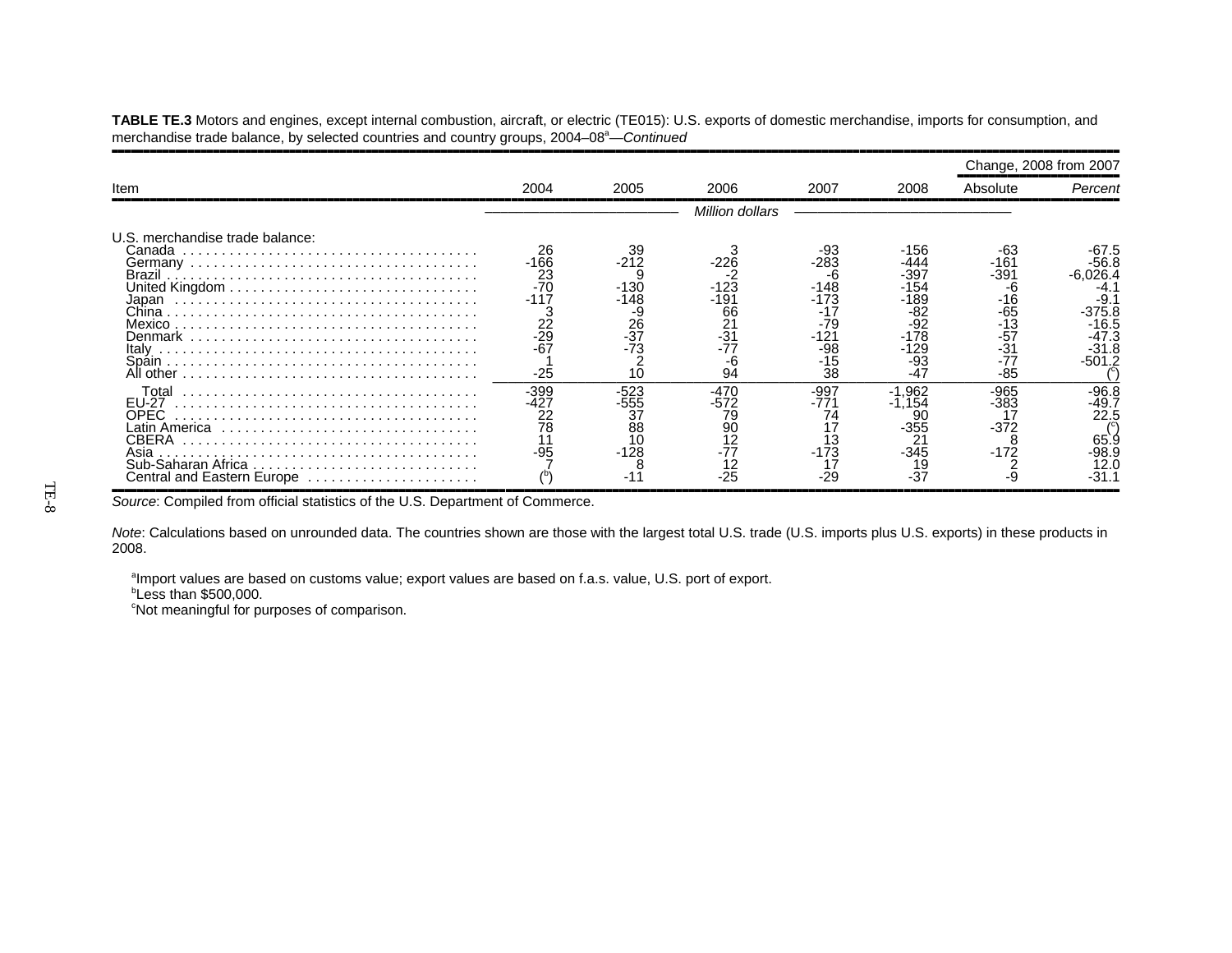**TABLE TE.3** Motors and engines, except internal combustion, aircraft, or electric (TE015): U.S. exports of domestic merchandise, imports for consumption, and merchandise trade balance, by selected countries and country groups, 2004–08<sup>a</sup>—*Continued* 

|                                                                                              |                                                                             |                                                                  |                                                    |                                                                                 |                                                                                       |                                                                                | Change, 2008 from 2007                                                               |
|----------------------------------------------------------------------------------------------|-----------------------------------------------------------------------------|------------------------------------------------------------------|----------------------------------------------------|---------------------------------------------------------------------------------|---------------------------------------------------------------------------------------|--------------------------------------------------------------------------------|--------------------------------------------------------------------------------------|
| Item                                                                                         | 2004                                                                        | 2005                                                             | 2006                                               | 2007                                                                            | 2008                                                                                  | Absolute                                                                       | Percent                                                                              |
|                                                                                              |                                                                             |                                                                  | <b>Million dollars</b>                             |                                                                                 |                                                                                       |                                                                                |                                                                                      |
| U.S. merchandise trade balance:<br>Canada<br>Brazil<br>Japan<br>Mexico<br>Italv<br>All other | 26<br>-166<br>$\frac{23}{-70}$<br>-117<br>$\frac{22}{29}$<br>$-67$<br>$-25$ | 39<br>$-212$<br>$-130$<br>-148<br>-9<br>$\frac{26}{37}$<br>$-73$ | -191<br>66<br>$\frac{21}{31}$<br>-6<br>94          | -93<br>$-283$<br>-6<br>-148<br>-173<br>-17<br>$-79$<br>-121<br>-98<br>-15<br>38 | -156<br>444<br>-397<br>-154<br>-189<br>-82<br>$-92$<br>$-178$<br>-129<br>-93<br>$-47$ | -63<br>-161<br>-391<br>-h<br>-16<br>-65<br>-13<br>$-57$<br>-31<br>-77<br>$-85$ | -56.8<br>-6.026.4<br>-4.<br>-9.<br>$-375.8$<br>-16.5<br>-47.3<br>$-31.8$<br>$-501.2$ |
| Total<br>EU-27<br>OPEC.<br>CBERA<br>Asia<br>Central and Eastern Europe                       | -399<br>-427<br>22<br>78<br>$-95$                                           | $-523$<br>555<br>37<br>88<br>$-128$                              | $-470$<br>-572<br>79<br>90<br>12<br>$-77$<br>$-25$ | $-997$<br>-771<br>74<br>$-173$<br>$-29$                                         | $-1.962$<br>1.154<br>-355<br>2 <sup>1</sup><br>-345<br>$-37$                          | -965<br>$-383$<br>$-372$<br>$-172$                                             | -96.8<br>-49.7<br>22.5<br>65.9<br>$-98.9$<br>12.0<br>-31.1                           |

Source: Compiled from official statistics of the U.S. Department of Commerce.

*Note*: Calculations based on unrounded data. The countries shown are those with the largest total U.S. trade (U.S. imports plus U.S. exports) in these products in 2008.

aImport values are based on customs value; export values are based on f.a.s. value, U.S. port of export.

 $b$ Less than \$500,000.

<sup>c</sup>Not meaningful for purposes of comparison.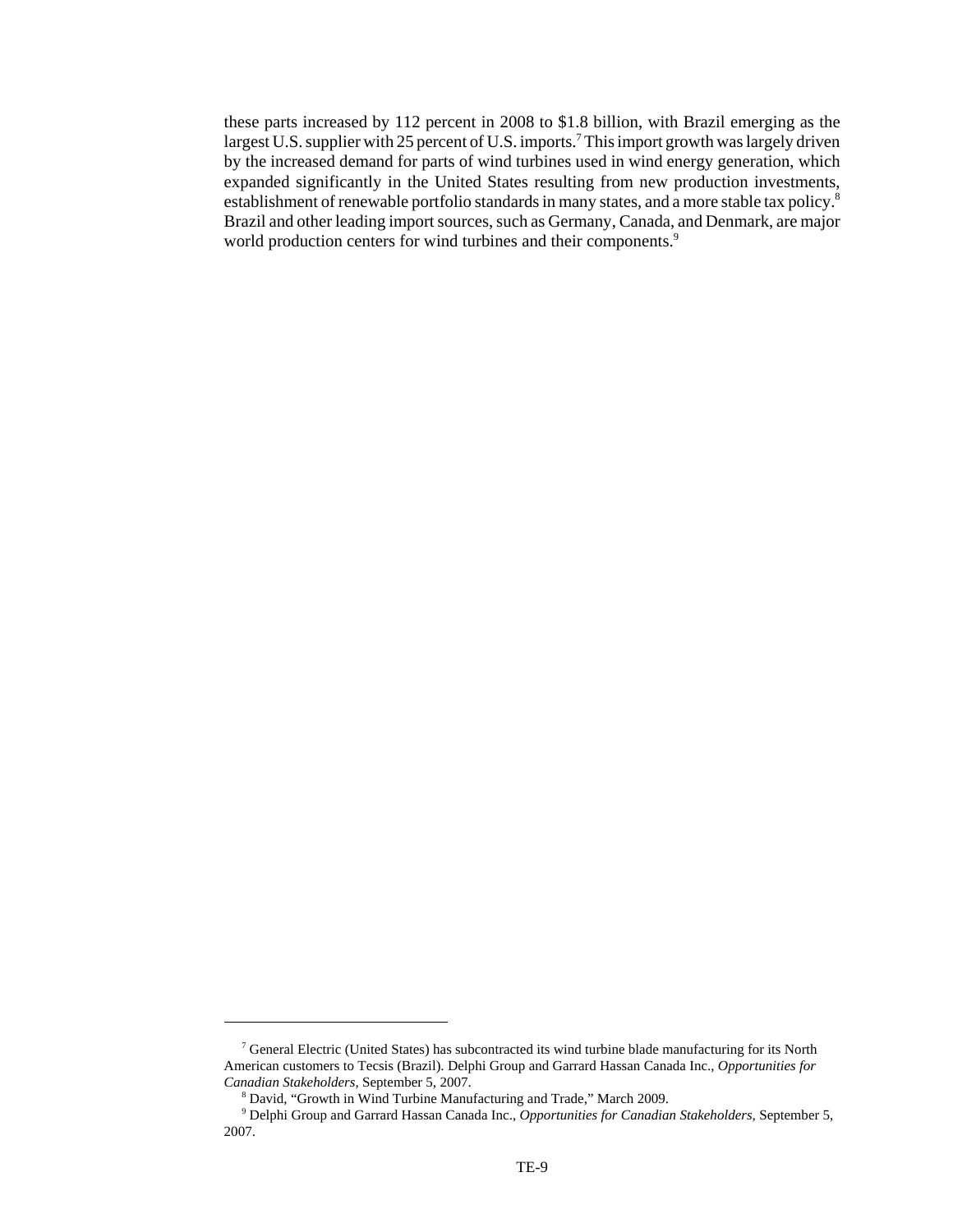these parts increased by 112 percent in 2008 to \$1.8 billion, with Brazil emerging as the largest U.S. supplier with 25 percent of U.S. imports.<sup>7</sup> This import growth was largely driven by the increased demand for parts of wind turbines used in wind energy generation, which expanded significantly in the United States resulting from new production investments, establishment of renewable portfolio standards in many states, and a more stable tax policy.<sup>8</sup> Brazil and other leading import sources, such as Germany, Canada, and Denmark, are major world production centers for wind turbines and their components.<sup>9</sup>

 <sup>7</sup> General Electric (United States) has subcontracted its wind turbine blade manufacturing for its North American customers to Tecsis (Brazil). Delphi Group and Garrard Hassan Canada Inc., *Opportunities for Canadian Stakeholders*, September 5, 2007.

 <sup>8</sup> David, "Growth in Wind Turbine Manufacturing and Trade," March 2009.

 <sup>9</sup> Delphi Group and Garrard Hassan Canada Inc., *Opportunities for Canadian Stakeholders*, September 5, 2007.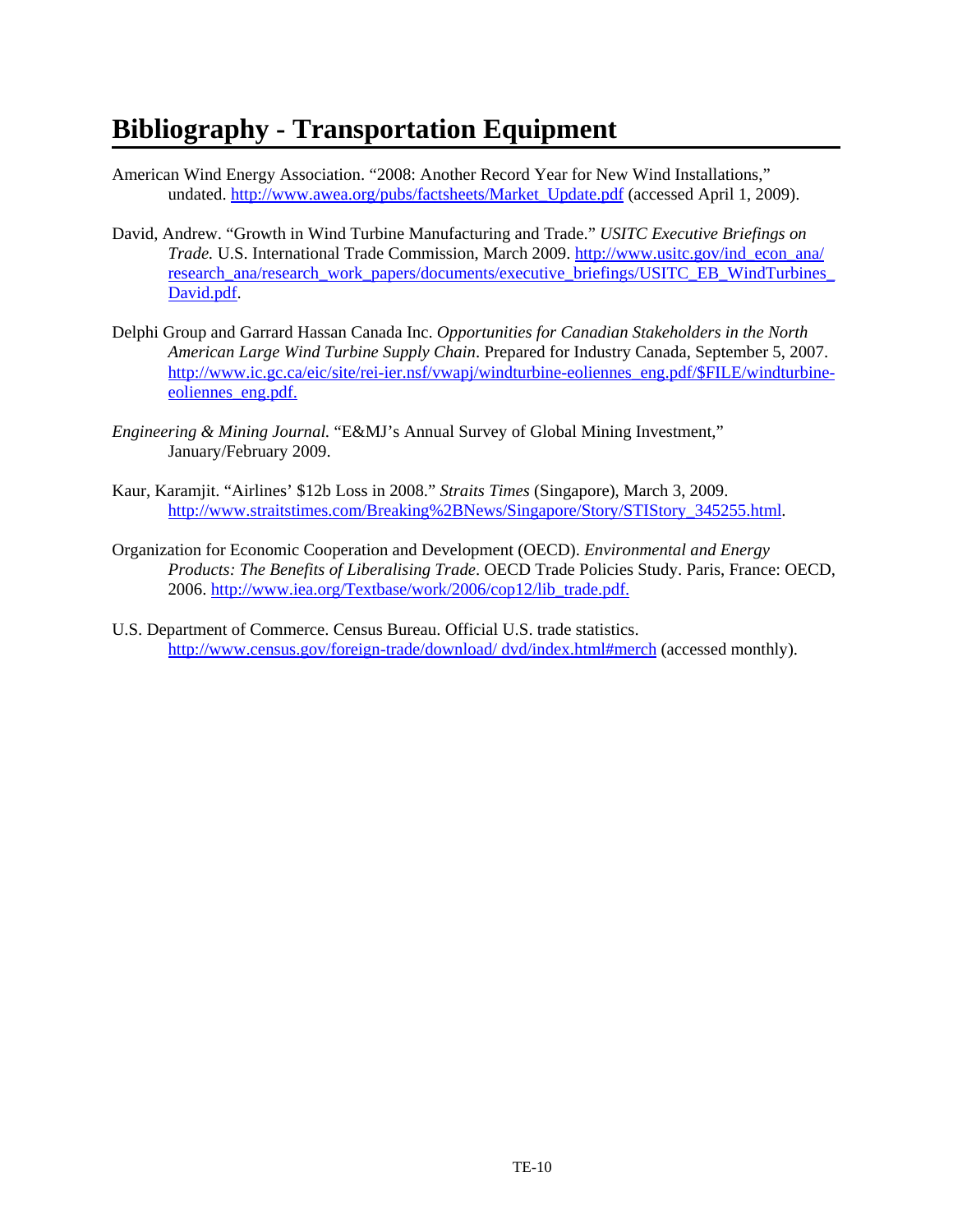## **Bibliography - Transportation Equipment**

- American Wind Energy Association. "2008: Another Record Year for New Wind Installations," undated. http://www.awea.org/pubs/factsheets/Market\_Update.pdf (accessed April 1, 2009).
- David, Andrew. "Growth in Wind Turbine Manufacturing and Trade." *USITC Executive Briefings on Trade.* U.S. International Trade Commission, March 2009. http://www.usitc.gov/ind\_econ\_ana/ research\_ana/research\_work\_papers/documents/executive\_briefings/USITC\_EB\_WindTurbines David.pdf.
- Delphi Group and Garrard Hassan Canada Inc. *Opportunities for Canadian Stakeholders in the North American Large Wind Turbine Supply Chain*. Prepared for Industry Canada, September 5, 2007. http://www.ic.gc.ca/eic/site/rei-ier.nsf/vwapj/windturbine-eoliennes\_eng.pdf/\$FILE/windturbineeoliennes eng.pdf.
- *Engineering & Mining Journal.* "E&MJ's Annual Survey of Global Mining Investment," January/February 2009.
- Kaur, Karamjit. "Airlines' \$12b Loss in 2008." *Straits Times* (Singapore), March 3, 2009. http://www.straitstimes.com/Breaking%2BNews/Singapore/Story/STIStory\_345255.html.
- Organization for Economic Cooperation and Development (OECD). *Environmental and Energy Products: The Benefits of Liberalising Trade*. OECD Trade Policies Study. Paris, France: OECD, 2006. http://www.iea.org/Textbase/work/2006/cop12/lib\_trade.pdf.
- U.S. Department of Commerce. Census Bureau. Official U.S. trade statistics. http://www.census.gov/foreign-trade/download/ dvd/index.html#merch (accessed monthly).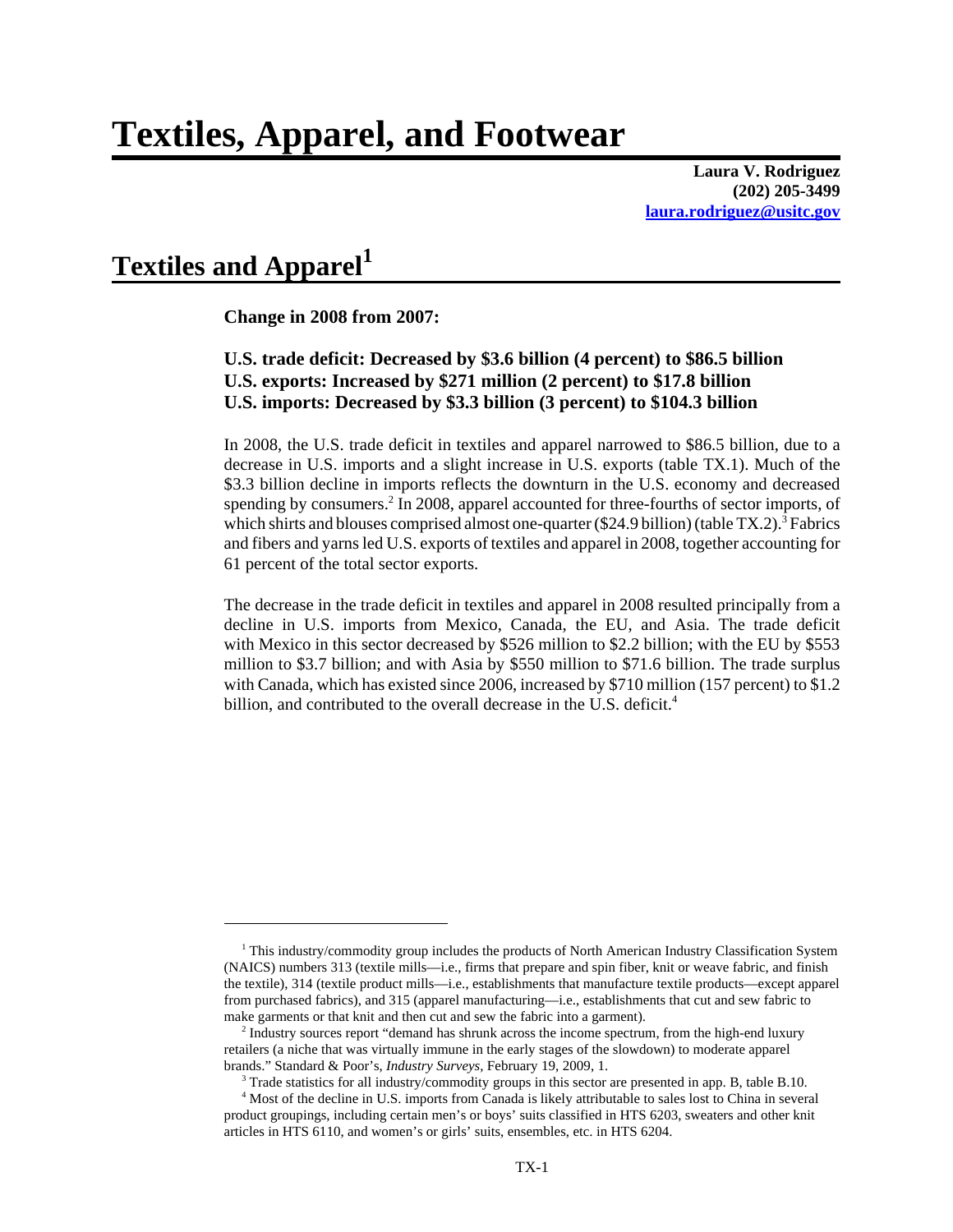**Laura V. Rodriguez (202) 205-3499 laura.rodriguez@usitc.gov**

### Textiles and Apparel<sup>1</sup>

**Change in 2008 from 2007:**

#### **U.S. trade deficit: Decreased by \$3.6 billion (4 percent) to \$86.5 billion U.S. exports: Increased by \$271 million (2 percent) to \$17.8 billion U.S. imports: Decreased by \$3.3 billion (3 percent) to \$104.3 billion**

In 2008, the U.S. trade deficit in textiles and apparel narrowed to \$86.5 billion, due to a decrease in U.S. imports and a slight increase in U.S. exports (table TX.1). Much of the \$3.3 billion decline in imports reflects the downturn in the U.S. economy and decreased spending by consumers.<sup>2</sup> In 2008, apparel accounted for three-fourths of sector imports, of which shirts and blouses comprised almost one-quarter (\$24.9 billion) (table TX.2).<sup>3</sup> Fabrics and fibers and yarns led U.S. exports of textiles and apparel in 2008, together accounting for 61 percent of the total sector exports.

The decrease in the trade deficit in textiles and apparel in 2008 resulted principally from a decline in U.S. imports from Mexico, Canada, the EU, and Asia. The trade deficit with Mexico in this sector decreased by \$526 million to \$2.2 billion; with the EU by \$553 million to \$3.7 billion; and with Asia by \$550 million to \$71.6 billion. The trade surplus with Canada, which has existed since 2006, increased by \$710 million (157 percent) to \$1.2 billion, and contributed to the overall decrease in the U.S. deficit.<sup>4</sup>

<sup>&</sup>lt;sup>1</sup> This industry/commodity group includes the products of North American Industry Classification System (NAICS) numbers 313 (textile mills—i.e., firms that prepare and spin fiber, knit or weave fabric, and finish the textile), 314 (textile product mills—i.e., establishments that manufacture textile products—except apparel from purchased fabrics), and 315 (apparel manufacturing—i.e., establishments that cut and sew fabric to make garments or that knit and then cut and sew the fabric into a garment).

 <sup>2</sup> Industry sources report "demand has shrunk across the income spectrum, from the high-end luxury retailers (a niche that was virtually immune in the early stages of the slowdown) to moderate apparel brands." Standard & Poor's, *Industry Surveys,* February 19, 2009, 1.

<sup>&</sup>lt;sup>3</sup> Trade statistics for all industry/commodity groups in this sector are presented in app. B, table B.10.

 <sup>4</sup> Most of the decline in U.S. imports from Canada is likely attributable to sales lost to China in several product groupings, including certain men's or boys' suits classified in HTS 6203, sweaters and other knit articles in HTS 6110, and women's or girls' suits, ensembles, etc. in HTS 6204.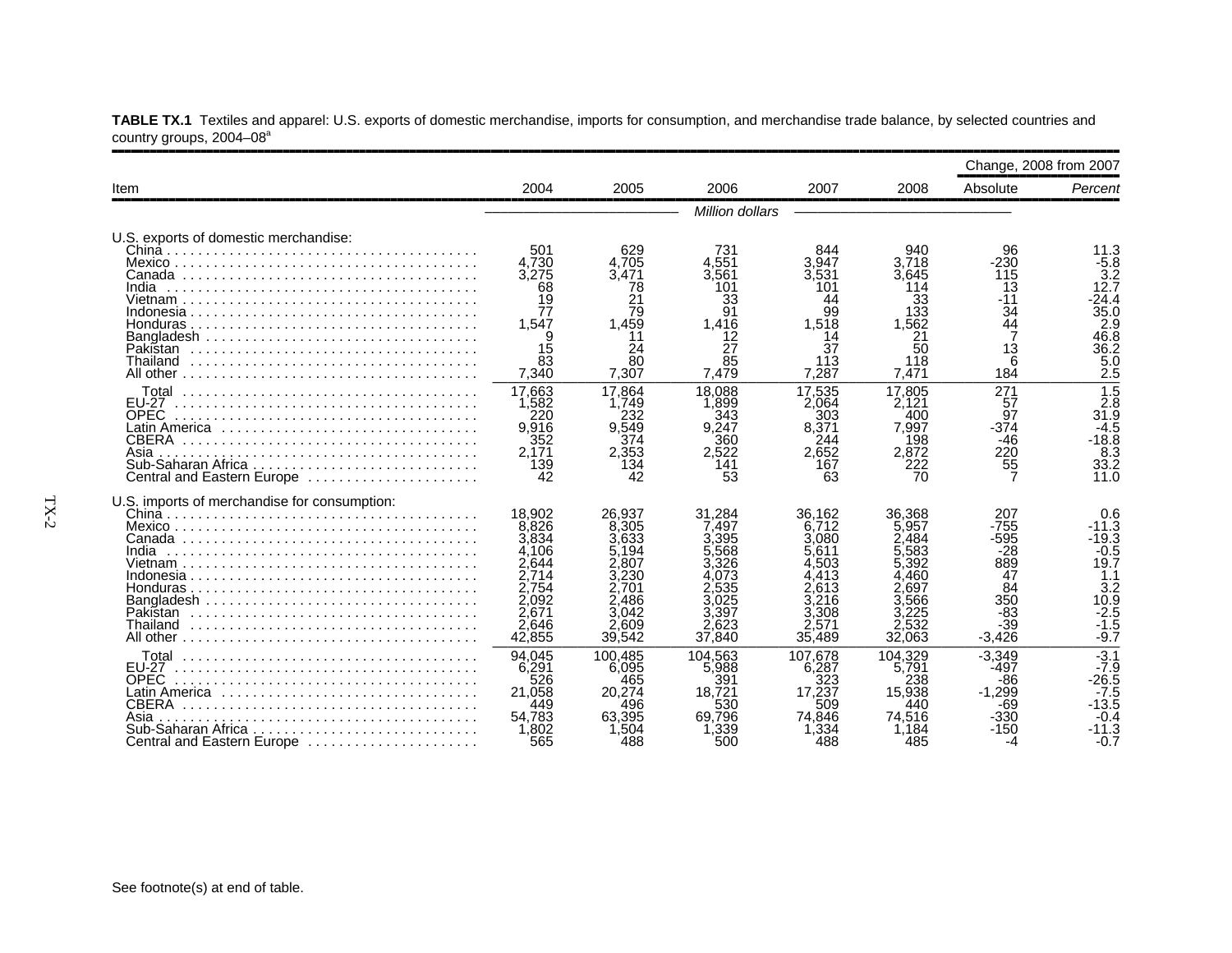|                                                                                                                                   |                                                                                                   |                                                                                                  |                                                                                               |                                                                                 |                                                                                               | Change, 2008 from 2007                                                               |                                                                                                                      |
|-----------------------------------------------------------------------------------------------------------------------------------|---------------------------------------------------------------------------------------------------|--------------------------------------------------------------------------------------------------|-----------------------------------------------------------------------------------------------|---------------------------------------------------------------------------------|-----------------------------------------------------------------------------------------------|--------------------------------------------------------------------------------------|----------------------------------------------------------------------------------------------------------------------|
| Item                                                                                                                              | 2004                                                                                              | 2005                                                                                             | 2006                                                                                          | 2007                                                                            | 2008                                                                                          | Absolute                                                                             | Percent                                                                                                              |
|                                                                                                                                   |                                                                                                   |                                                                                                  | Million dollars                                                                               |                                                                                 |                                                                                               |                                                                                      |                                                                                                                      |
| U.S. exports of domestic merchandise:<br>India<br>Pakistan<br>Thailand                                                            | 501<br>4.730<br>3,275<br>68<br>19<br>77<br>1,547<br>15<br>83<br>7,340                             | 629<br>4.705<br>3.471<br>78<br>21<br>79<br>1.459<br>11<br>24<br>80<br>7,307                      | 731<br>4.551<br>3,561<br>101<br>33<br>91<br>1.416<br>12<br>27<br>85<br>7,479                  | 844<br>3.947<br>3.531<br>101<br>44<br>99<br>1,518<br>14<br>37<br>113<br>7.287   | 940<br>3.718<br>3.645<br>114<br>33<br>133<br>.562<br>21<br>50<br>118<br>7.471                 | 96<br>-230<br>115<br>13<br>34<br>Ă4<br>13<br>6<br>184                                | 11.3<br>$-5.8$<br>$3.\overline{2}$<br>12.7<br>$-24.4$<br>35.0<br>2.9<br>46.8<br>36.2<br>5.0<br>$\tilde{2}.\tilde{5}$ |
| Total<br><b>EU-27</b><br><b>OPEC</b><br><b>CBERA</b><br>Asia<br>Sub-Saharan Africa<br>Central and Eastern Europe                  | 17,663<br>1,582<br>220<br>9,916<br>352<br>2,171<br>139<br>42                                      | 17.864<br>1.749<br>232<br>9.549<br>374<br>2,353<br>134<br>42                                     | 18.088<br>.899<br>343<br>9,247<br>360<br>2.522<br>141<br>53                                   | 17,535<br>2.064<br>303<br>8.371<br>244<br>2.652<br>167<br>63                    | 17.805<br>2.121<br>400<br>7.997<br>198<br>2,872<br>222<br>70                                  | 271<br>57<br>97<br>$-374$<br>$-46$<br>220<br>55                                      | $\overline{1.5}$<br>$\frac{2.8}{31.9}$<br>-18.8<br>8.3<br>33.2<br>11.0                                               |
| U.S. imports of merchandise for consumption:<br>India<br>Pakistan<br>Thailand                                                     | 18.902<br>8,826<br>3.834<br>4.106<br>2.644<br>2.714<br>2.754<br>2.092<br>2.671<br>2.646<br>42,855 | 26.937<br>8.305<br>3.633<br>5.194<br>2.807<br>.230<br>2.701<br>2.486<br>3.042<br>2.609<br>39,542 | 31.284<br>7.497<br>3.395<br>.568<br>3.326<br>073<br>.535<br>3.025<br>3.397<br>2,623<br>37,840 | 36.162<br>6.712<br>3.080<br>5.611<br>4.503<br>2.613<br>3.308<br>2.571<br>35,489 | 36.368<br>5,957<br>2.484<br>.583<br>5.392<br>460<br>2.697<br>.566<br>3.225<br>2.532<br>32,063 | 207<br>$-755$<br>-595<br>-28<br>889<br>47<br>84<br>350<br>$-83$<br>$-39$<br>$-3.426$ | 0.6<br>$-11.3$<br>-19.3<br>$-0.5$<br>19.7<br>1.1<br>3.2<br>10.9<br>$-2.5$<br>$-1.5$<br>$-9.7$                        |
| Total<br><b>FU-27</b><br><b>OPEC</b><br>Latin America<br><b>CBERA</b><br>Asia<br>Sub-Saharan Africa<br>Central and Eastern Europe | 94.045<br>6.291<br>526<br>21.058<br>449<br>54.783<br>1,802<br>565                                 | 100.485<br>6.095<br>465<br>20.274<br>496<br>63.395<br>1.504<br>488                               | 104.563<br>5.988<br>391<br>18.721<br>530<br>69.796<br>,339<br>500                             | 107.678<br>6,287<br>323<br>17.237<br>509<br>74.846<br>.334<br>488               | 104.329<br>5.791<br>238<br>15.938<br>440<br>74.516<br>.184<br>485                             | $-3,349$<br>-497<br>-86<br>$-1.299$<br>-69<br>$-330$<br>-150<br>-4                   | $-3.1$<br>$-7.9$<br>$-26.5$<br>$-7.5$<br>$-13.\bar{5}$<br>$-0.4$<br>-11.3<br>$-0.7$                                  |

**TABLE TX.1** Textiles and apparel: U.S. exports of domestic merchandise, imports for consumption, and merchandise trade balance, by selected countries and country groups, 2004–08ª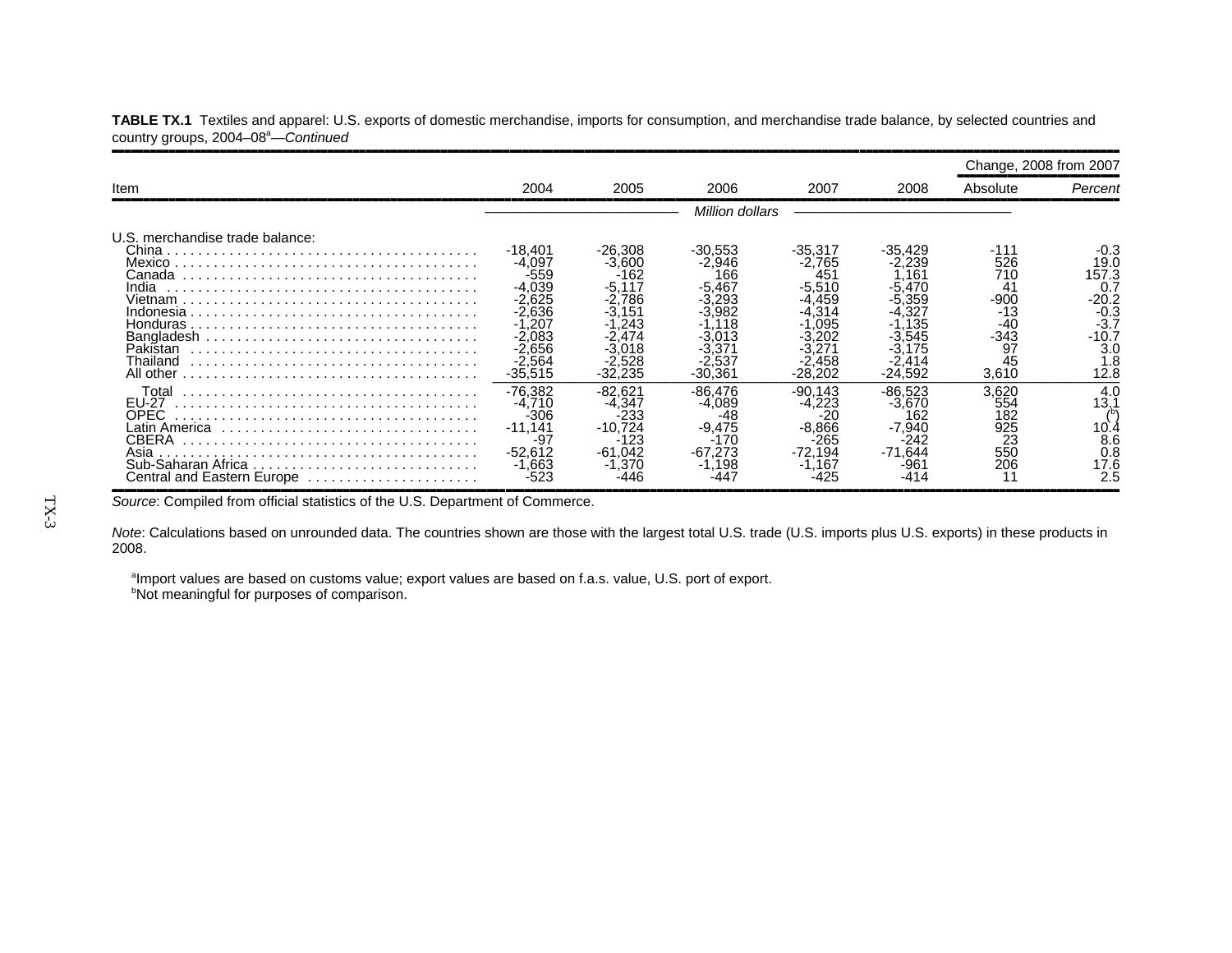|                                                                                                                          |                                                                                                                        |                                                                                  |                                                                                |                                                                                        |                                                                                    | Change, 2008 from 2007                                                    |                                                                                              |
|--------------------------------------------------------------------------------------------------------------------------|------------------------------------------------------------------------------------------------------------------------|----------------------------------------------------------------------------------|--------------------------------------------------------------------------------|----------------------------------------------------------------------------------------|------------------------------------------------------------------------------------|---------------------------------------------------------------------------|----------------------------------------------------------------------------------------------|
| <b>Item</b>                                                                                                              | 2004                                                                                                                   | 2005                                                                             | 2006                                                                           | 2007                                                                                   | 2008                                                                               | Absolute                                                                  | Percent                                                                                      |
|                                                                                                                          |                                                                                                                        |                                                                                  | Million dollars                                                                |                                                                                        |                                                                                    |                                                                           |                                                                                              |
| U.S. merchandise trade balance:<br>China<br>Canada<br>India<br>Vietnam<br>Indonesia<br>Pakistan<br>Thailand<br>All other | -18,401<br>$-4.097$<br>$-559$<br>$-4,039$<br>$-2.625$<br>-2.636<br>.207<br>-2.083<br>$-2,656$<br>$-2.564$<br>$-35.515$ | $-26,308$<br>-3.600<br>$-162$<br>-5.117<br>-2.786<br>-3.151<br>.243<br>$-32.235$ | $-30,553$<br>2,946<br>166<br>$-5,467$<br>-3.982<br>-3.37<br>2.537<br>$-30.361$ | $-35,317$<br>$-2.765$<br>451<br>$-5.510$<br>459<br>-4.314<br>.095<br>.458<br>$-28,202$ | $-35,429$<br>2,239<br>16 <sup>7</sup><br>.470<br>135<br>.545<br>2.414<br>$-24.592$ | 526<br>710<br>41<br>$-900$<br>-13<br>$-40$<br>$-343$<br>97<br>45<br>3,610 | $-0.3$<br>19.0<br>157.3<br>0.7<br>-20.2<br>$-0.3$<br>$-3.7$<br>$-10.7$<br>3.0<br>1.8<br>12.8 |
| Total<br>EU-27<br>OPEC<br>Latin America<br>CBERA<br>Asia<br>Central and Eastern Europe                                   | -76.382<br>$-4.710$<br>-306<br>$-11,141$<br>$-97$<br>$-52,612$<br>$-1.663$                                             | -82.621<br>-4,347<br>-233<br>$-10.724$<br>$-123$<br>$-61.042$<br>$-1.370$        | $-86,476$<br>-4.089<br>$-9.475$<br>$-170$<br>-67.273<br>.198                   | $-90.143$<br>$-4,223$<br>-20<br>$-8,866$<br>$-265$<br>$-72.194$<br>.167                | $-86,523$<br>-3.670<br>162<br>-7.940<br>-242<br>$-71.644$<br>-961                  | 3,620<br>554<br>182<br>925<br>$2\overline{3}$<br>550<br>206               | 4.0<br>13.7<br>10.4<br>8.6<br>0.8<br>17.6<br>2.5                                             |

**TABLE TX.1** Textiles and apparel: U.S. exports of domestic merchandise, imports for consumption, and merchandise trade balance, by selected countries and country groups, 2004–08<sup>a</sup>—Continued

Source: Compiled from official statistics of the U.S. Department of Commerce.

*Note*: Calculations based on unrounded data. The countries shown are those with the largest total U.S. trade (U.S. imports plus U.S. exports) in these products in 2008.

aImport values are based on customs value; export values are based on f.a.s. value, U.S. port of export. **bNot meaningful for purposes of comparison.**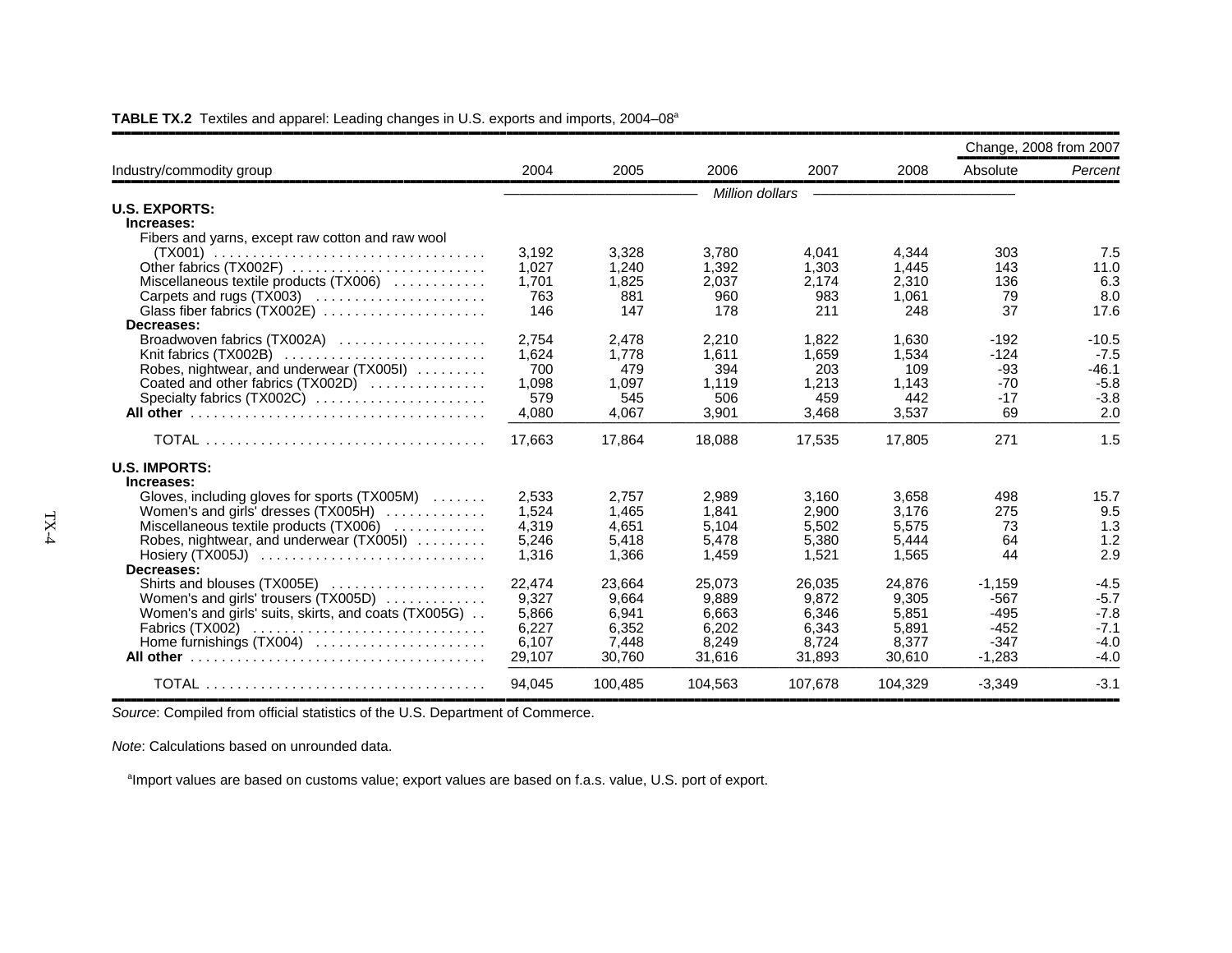|                                                      |        |         |                        |         |         | Change, 2008 from 2007 |         |
|------------------------------------------------------|--------|---------|------------------------|---------|---------|------------------------|---------|
| Industry/commodity group                             | 2004   | 2005    | 2006                   | 2007    | 2008    | Absolute               | Percent |
|                                                      |        |         | <b>Million dollars</b> |         |         |                        |         |
| <b>U.S. EXPORTS:</b>                                 |        |         |                        |         |         |                        |         |
| Increases:                                           |        |         |                        |         |         |                        |         |
| Fibers and yarns, except raw cotton and raw wool     |        |         |                        |         |         |                        |         |
|                                                      | 3,192  | 3,328   | 3,780                  | 4,041   | 4.344   | 303                    | 7.5     |
| Other fabrics (TX002F)                               | 1,027  | 1,240   | 1,392                  | 1.303   | 1,445   | 143                    | 11.0    |
| Miscellaneous textile products (TX006)               | 1.701  | 1,825   | 2,037                  | 2.174   | 2.310   | 136                    | 6.3     |
| Carpets and rugs (TX003)                             | 763    | 881     | 960                    | 983     | 1,061   | 79                     | 8.0     |
| Glass fiber fabrics (TX002E)                         | 146    | 147     | 178                    | 211     | 248     | 37                     | 17.6    |
| Decreases:                                           |        |         |                        |         |         |                        |         |
| Broadwoven fabrics (TX002A)                          | 2.754  | 2,478   | 2,210                  | 1.822   | 1.630   | $-192$                 | $-10.5$ |
|                                                      | 1,624  | 1,778   | 1,611                  | 1,659   | 1,534   | $-124$                 | $-7.5$  |
| Robes, nightwear, and underwear (TX005I)             | 700    | 479     | 394                    | 203     | 109     | -93                    | $-46.1$ |
| Coated and other fabrics (TX002D)                    | 1,098  | 1.097   | 1,119                  | 1,213   | 1,143   | $-70$                  | $-5.8$  |
| Specialty fabrics (TX002C)                           | 579    | 545     | 506                    | 459     | 442     | $-17$                  | $-3.8$  |
|                                                      | 4,080  | 4,067   | 3,901                  | 3,468   | 3,537   | 69                     | 2.0     |
|                                                      | 17,663 | 17.864  | 18,088                 | 17,535  | 17,805  | 271                    | 1.5     |
| <b>U.S. IMPORTS:</b>                                 |        |         |                        |         |         |                        |         |
| Increases:                                           |        |         |                        |         |         |                        |         |
| Gloves, including gloves for sports (TX005M)         | 2,533  | 2,757   | 2,989                  | 3,160   | 3,658   | 498                    | 15.7    |
| Women's and girls' dresses (TX005H)                  | 1,524  | 1.465   | 1.841                  | 2,900   | 3.176   | 275                    | 9.5     |
| Miscellaneous textile products (TX006)               | 4,319  | 4.651   | 5.104                  | 5.502   | 5.575   | 73                     | 1.3     |
| Robes, nightwear, and underwear (TX005I)             | 5,246  | 5,418   | 5,478                  | 5,380   | 5,444   | 64                     | 1.2     |
| Hosiery $(TX005J)$                                   | 1.316  | 1.366   | 1.459                  | 1.521   | 1.565   | 44                     | 2.9     |
| Decreases:                                           |        |         |                        |         |         |                        |         |
| Shirts and blouses (TX005E)                          | 22.474 | 23.664  | 25.073                 | 26.035  | 24.876  | $-1.159$               | $-4.5$  |
| Women's and girls' trousers (TX005D)                 | 9,327  | 9.664   | 9.889                  | 9,872   | 9,305   | $-567$                 | $-5.7$  |
| Women's and girls' suits, skirts, and coats (TX005G) | 5,866  | 6.941   | 6.663                  | 6.346   | 5.851   | $-495$                 | $-7.8$  |
| Fabrics $(TX002)$                                    | 6,227  | 6,352   | 6,202                  | 6,343   | 5,891   | $-452$                 | $-7.1$  |
| Home furnishings (TX004)                             | 6,107  | 7,448   | 8,249                  | 8.724   | 8,377   | $-347$                 | $-4.0$  |
|                                                      | 29,107 | 30,760  | 31,616                 | 31,893  | 30,610  | $-1,283$               | $-4.0$  |
|                                                      | 94.045 | 100,485 | 104.563                | 107.678 | 104.329 | $-3,349$               | $-3.1$  |

**TABLE TX.2** Textiles and apparel: Leading changes in U.S. exports and imports, 2004–08<sup>a</sup>

*Source*: Compiled from official statistics of the U.S. Department of Commerce.

*Note*: Calculations based on unrounded data.

<sup>a</sup>Import values are based on customs value; export values are based on f.a.s. value, U.S. port of export.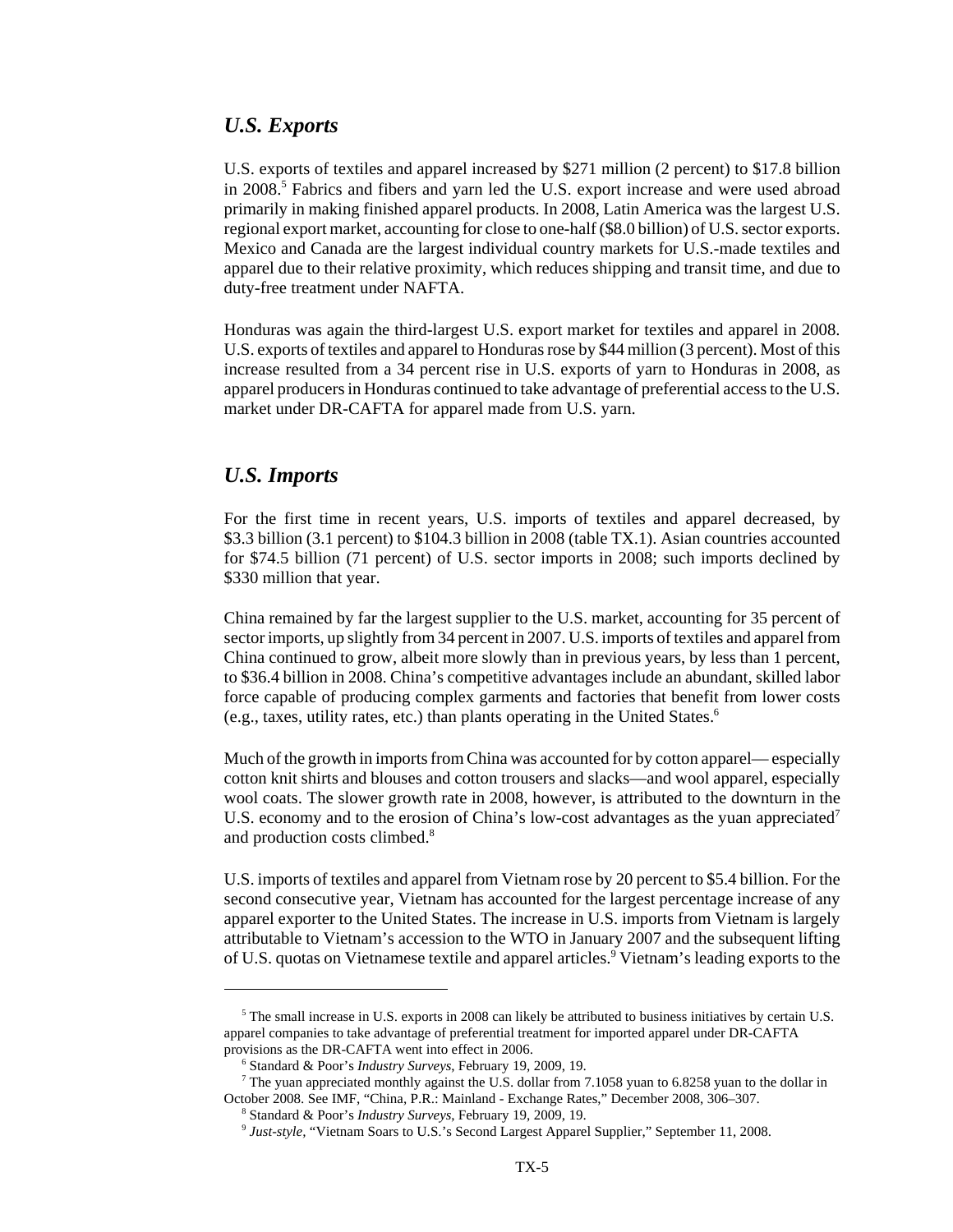#### *U.S. Exports*

U.S. exports of textiles and apparel increased by \$271 million (2 percent) to \$17.8 billion in 2008.<sup>5</sup> Fabrics and fibers and yarn led the U.S. export increase and were used abroad primarily in making finished apparel products. In 2008, Latin America was the largest U.S. regional export market, accounting for close to one-half (\$8.0 billion) of U.S. sector exports. Mexico and Canada are the largest individual country markets for U.S.-made textiles and apparel due to their relative proximity, which reduces shipping and transit time, and due to duty-free treatment under NAFTA.

Honduras was again the third-largest U.S. export market for textiles and apparel in 2008. U.S. exports of textiles and apparel to Honduras rose by \$44 million (3 percent). Most of this increase resulted from a 34 percent rise in U.S. exports of yarn to Honduras in 2008, as apparel producers in Honduras continued to take advantage of preferential access to the U.S. market under DR-CAFTA for apparel made from U.S. yarn.

#### *U.S. Imports*

For the first time in recent years, U.S. imports of textiles and apparel decreased, by \$3.3 billion (3.1 percent) to \$104.3 billion in 2008 (table TX.1). Asian countries accounted for \$74.5 billion (71 percent) of U.S. sector imports in 2008; such imports declined by \$330 million that year.

China remained by far the largest supplier to the U.S. market, accounting for 35 percent of sector imports, up slightly from 34 percent in 2007. U.S. imports of textiles and apparel from China continued to grow, albeit more slowly than in previous years, by less than 1 percent, to \$36.4 billion in 2008. China's competitive advantages include an abundant, skilled labor force capable of producing complex garments and factories that benefit from lower costs (e.g., taxes, utility rates, etc.) than plants operating in the United States.6

Much of the growth in imports from China was accounted for by cotton apparel— especially cotton knit shirts and blouses and cotton trousers and slacks—and wool apparel, especially wool coats. The slower growth rate in 2008, however, is attributed to the downturn in the U.S. economy and to the erosion of China's low-cost advantages as the yuan appreciated<sup>7</sup> and production costs climbed.<sup>8</sup>

U.S. imports of textiles and apparel from Vietnam rose by 20 percent to \$5.4 billion. For the second consecutive year, Vietnam has accounted for the largest percentage increase of any apparel exporter to the United States. The increase in U.S. imports from Vietnam is largely attributable to Vietnam's accession to the WTO in January 2007 and the subsequent lifting of U.S. quotas on Vietnamese textile and apparel articles.<sup>9</sup> Vietnam's leading exports to the

 <sup>5</sup> The small increase in U.S. exports in 2008 can likely be attributed to business initiatives by certain U.S. apparel companies to take advantage of preferential treatment for imported apparel under DR-CAFTA provisions as the DR-CAFTA went into effect in 2006.

 <sup>6</sup> Standard & Poor's *Industry Surveys*, February 19, 2009, 19.

 <sup>7</sup> The yuan appreciated monthly against the U.S. dollar from 7.1058 yuan to 6.8258 yuan to the dollar in October 2008. See IMF, "China, P.R.: Mainland - Exchange Rates," December 2008, 306–307.

 <sup>8</sup> Standard & Poor's *Industry Surveys*, February 19, 2009, 19.

 <sup>9</sup> *Just-style,* "Vietnam Soars to U.S.'s Second Largest Apparel Supplier," September 11, 2008.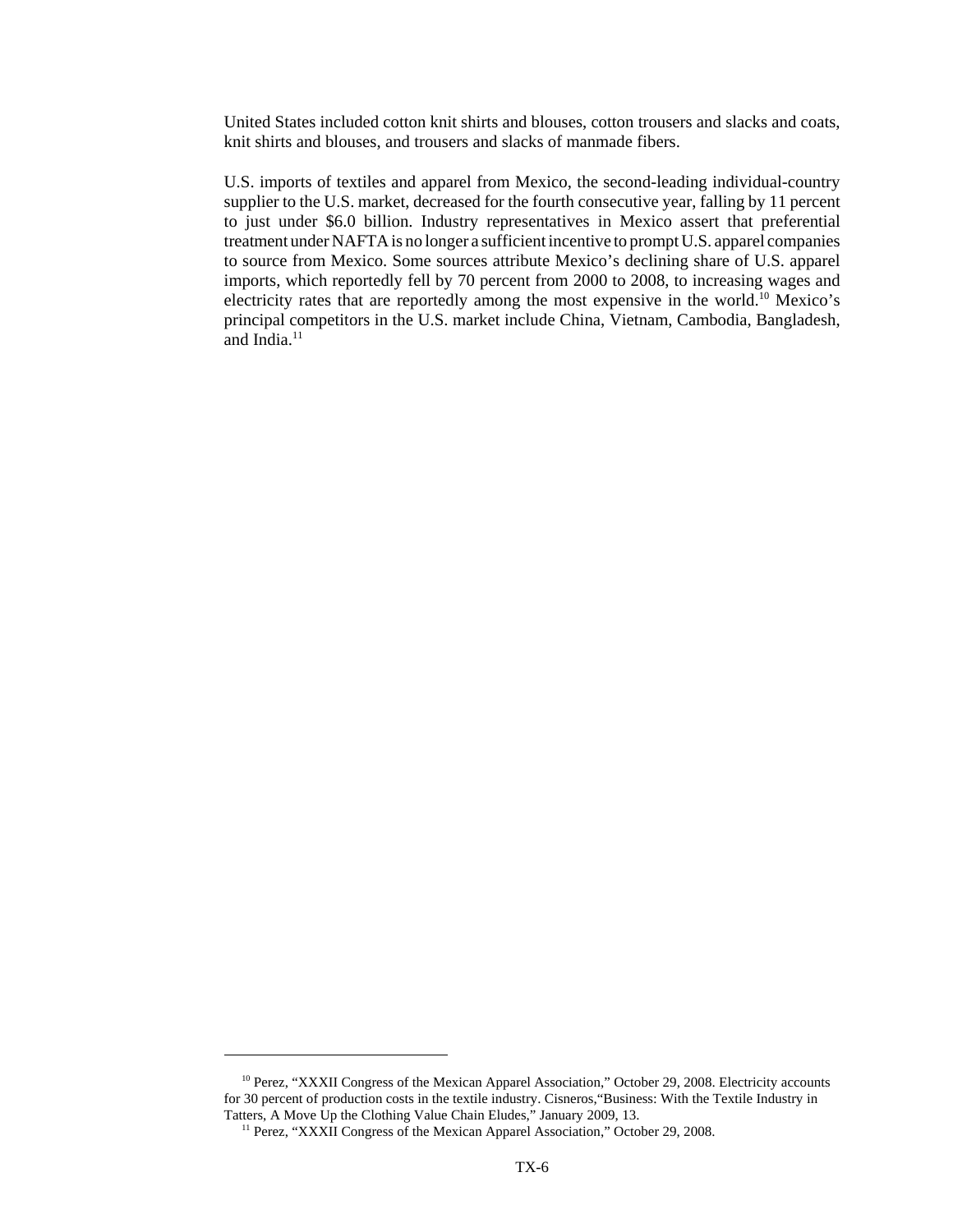United States included cotton knit shirts and blouses, cotton trousers and slacks and coats, knit shirts and blouses, and trousers and slacks of manmade fibers.

U.S. imports of textiles and apparel from Mexico, the second-leading individual-country supplier to the U.S. market, decreased for the fourth consecutive year, falling by 11 percent to just under \$6.0 billion. Industry representatives in Mexico assert that preferential treatment under NAFTA is no longer a sufficient incentive to prompt U.S. apparel companies to source from Mexico. Some sources attribute Mexico's declining share of U.S. apparel imports, which reportedly fell by 70 percent from 2000 to 2008, to increasing wages and electricity rates that are reportedly among the most expensive in the world.<sup>10</sup> Mexico's principal competitors in the U.S. market include China, Vietnam, Cambodia, Bangladesh, and India. $11$ 

<sup>&</sup>lt;sup>10</sup> Perez, "XXXII Congress of the Mexican Apparel Association," October 29, 2008. Electricity accounts for 30 percent of production costs in the textile industry. Cisneros,"Business: With the Textile Industry in Tatters, A Move Up the Clothing Value Chain Eludes," January 2009, 13.

<sup>&</sup>lt;sup>11</sup> Perez, "XXXII Congress of the Mexican Apparel Association," October 29, 2008.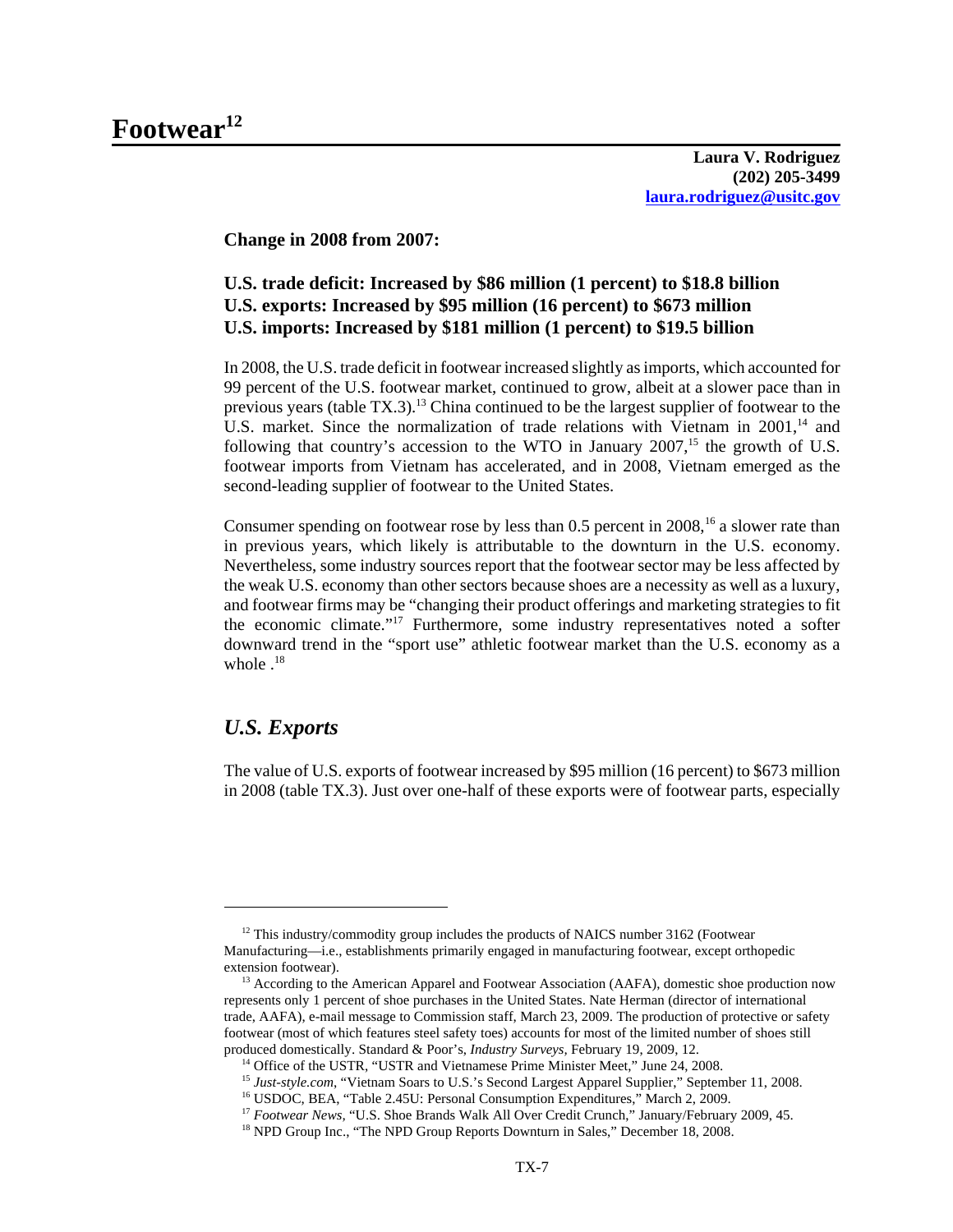**Laura V. Rodriguez (202) 205-3499 laura.rodriguez@usitc.gov**

**Change in 2008 from 2007:**

#### **U.S. trade deficit: Increased by \$86 million (1 percent) to \$18.8 billion U.S. exports: Increased by \$95 million (16 percent) to \$673 million U.S. imports: Increased by \$181 million (1 percent) to \$19.5 billion**

In 2008, the U.S. trade deficit in footwear increased slightly as imports, which accounted for 99 percent of the U.S. footwear market, continued to grow, albeit at a slower pace than in previous years (table  $TX.3$ ).<sup>13</sup> China continued to be the largest supplier of footwear to the U.S. market. Since the normalization of trade relations with Vietnam in  $2001$ ,<sup>14</sup> and following that country's accession to the WTO in January  $2007$ <sup>15</sup>, the growth of U.S. footwear imports from Vietnam has accelerated, and in 2008, Vietnam emerged as the second-leading supplier of footwear to the United States.

Consumer spending on footwear rose by less than  $0.5$  percent in  $2008$ ,<sup>16</sup> a slower rate than in previous years, which likely is attributable to the downturn in the U.S. economy. Nevertheless, some industry sources report that the footwear sector may be less affected by the weak U.S. economy than other sectors because shoes are a necessity as well as a luxury, and footwear firms may be "changing their product offerings and marketing strategies to fit the economic climate."17 Furthermore, some industry representatives noted a softer downward trend in the "sport use" athletic footwear market than the U.S. economy as a whole  $^{18}$ 

#### *U.S. Exports*

The value of U.S. exports of footwear increased by \$95 million (16 percent) to \$673 million in 2008 (table TX.3). Just over one-half of these exports were of footwear parts, especially

<sup>&</sup>lt;sup>12</sup> This industry/commodity group includes the products of NAICS number 3162 (Footwear Manufacturing—i.e., establishments primarily engaged in manufacturing footwear, except orthopedic extension footwear).

<sup>&</sup>lt;sup>13</sup> According to the American Apparel and Footwear Association (AAFA), domestic shoe production now represents only 1 percent of shoe purchases in the United States. Nate Herman (director of international trade, AAFA), e-mail message to Commission staff, March 23, 2009. The production of protective or safety footwear (most of which features steel safety toes) accounts for most of the limited number of shoes still produced domestically. Standard & Poor's, *Industry Surveys,* February 19, 2009, 12.

<sup>&</sup>lt;sup>14</sup> Office of the USTR, "USTR and Vietnamese Prime Minister Meet," June 24, 2008.

 <sup>15</sup> *Just-style.com*, "Vietnam Soars to U.S.'s Second Largest Apparel Supplier," September 11, 2008.

<sup>&</sup>lt;sup>16</sup> USDOC, BEA, "Table 2.45U: Personal Consumption Expenditures," March 2, 2009.

<sup>&</sup>lt;sup>17</sup> Footwear News, "U.S. Shoe Brands Walk All Over Credit Crunch," January/February 2009, 45.

<sup>&</sup>lt;sup>18</sup> NPD Group Inc., "The NPD Group Reports Downturn in Sales," December 18, 2008.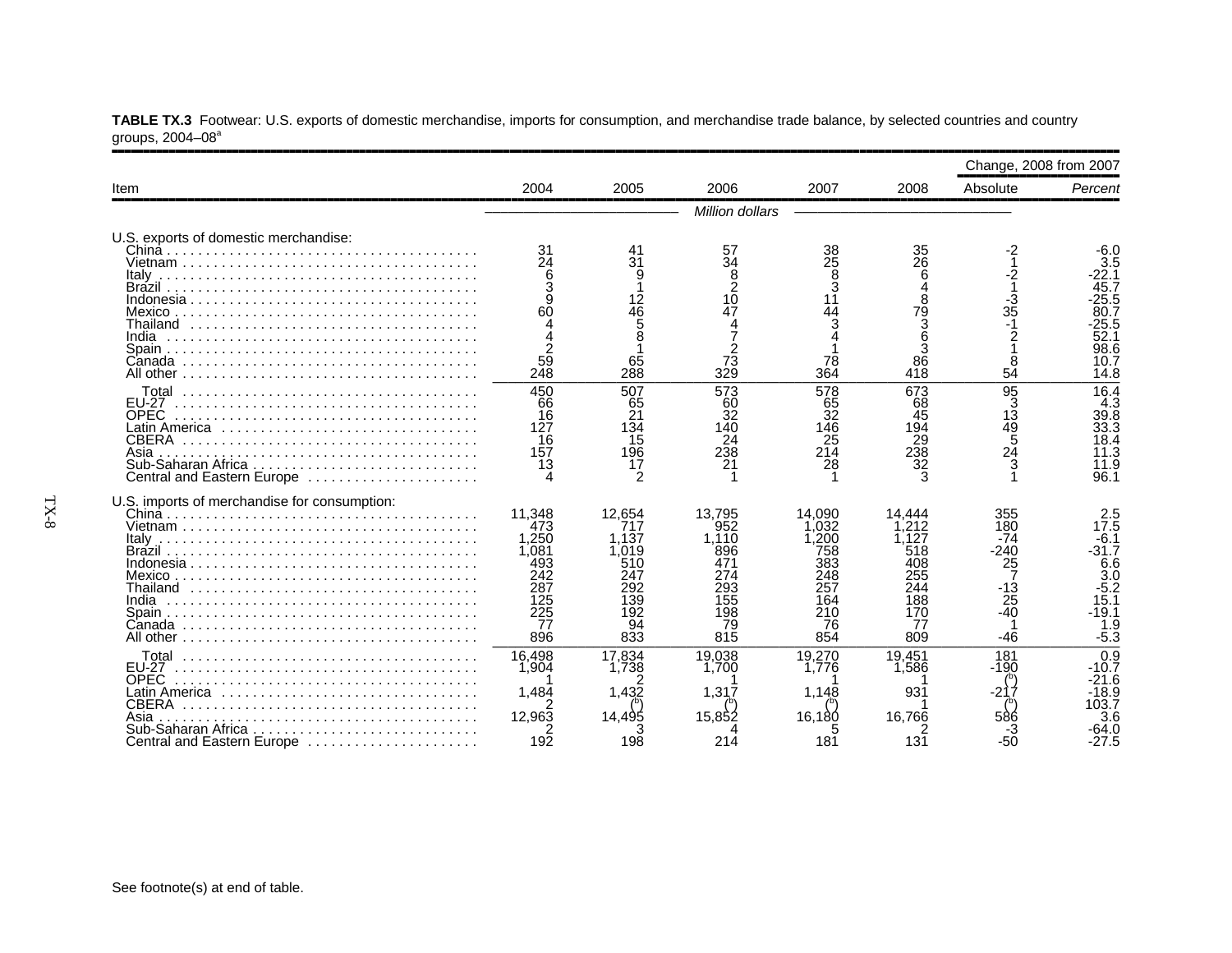|                                                                                                                   |                                                                                                    |                                                                          |                                                                               |                                                                              |                                                                                | Change, 2008 from 2007                                                    |                                                                                                    |
|-------------------------------------------------------------------------------------------------------------------|----------------------------------------------------------------------------------------------------|--------------------------------------------------------------------------|-------------------------------------------------------------------------------|------------------------------------------------------------------------------|--------------------------------------------------------------------------------|---------------------------------------------------------------------------|----------------------------------------------------------------------------------------------------|
| Item                                                                                                              | 2004                                                                                               | 2005                                                                     | 2006                                                                          | 2007                                                                         | 2008                                                                           | Absolute                                                                  | Percent                                                                                            |
|                                                                                                                   |                                                                                                    |                                                                          | Million dollars                                                               |                                                                              |                                                                                |                                                                           |                                                                                                    |
| U.S. exports of domestic merchandise:<br>Thailand<br>India                                                        | 31<br>24<br>60<br>59<br>248                                                                        | 41<br>31<br>9<br>12<br>46<br>5<br>8<br>65<br>288                         | 57<br>34<br>$\frac{8}{2}$<br>10<br>47<br>73<br>329                            | 38<br>$\overline{25}$<br>8<br>3<br>11<br>44<br>78<br>364                     | 35<br>26<br>6<br>$\overline{A}$<br>8<br>79<br>Š<br>6<br>86<br>418              | -2<br>$\frac{2}{1}$<br>$\frac{3}{35}$<br>$\overline{c}$<br>8<br>54        | -6.0<br>3.5<br>22.1<br>45.7<br>25.5<br>80.7<br>25.5<br>52.1<br>98.6<br>10.7<br>14.8                |
| <b>EU-27</b><br><b>OPEC</b><br>Latin America<br><b>CBERA</b><br>Asia<br>Central and Eastern Europe                | 450<br>66<br>16<br>127<br>16<br>157<br>13                                                          | 507<br>65<br>21<br>134<br>15<br>196<br>17<br>2                           | 573<br>60<br>$\overline{32}$<br>140<br>24<br>238<br>21                        | 578<br>65<br>$\overline{32}$<br>146<br>25<br>214<br>28                       | 673<br>68<br>45<br>194<br>$\frac{29}{238}$<br>32                               | 95<br>13<br>13<br>49<br>54<br>24<br>3                                     | 16.4<br>4.3<br>39.8<br>33.3<br>18.4<br>11.3<br>11.9<br>96.1                                        |
| U.S. imports of merchandise for consumption:<br>Italv<br>Thailand                                                 | 11,348<br>473<br>1,250<br>1,081<br>493<br>242<br>$\overline{28}$<br>125<br>$\frac{225}{77}$<br>896 | 12,654<br>717<br>1.137<br>1.019<br>510<br>247<br>139<br>192<br>94<br>833 | 13,795<br>952<br>1.110<br>896<br>471<br>274<br>293<br>155<br>198<br>79<br>815 | 14.090<br>.032<br>200<br>758<br>383<br>248<br>257<br>164<br>210<br>76<br>854 | 14.444<br>1.212<br>.127<br>518<br>408<br>255<br>244<br>188<br>170<br>77<br>809 | 355<br>180<br>$-74$<br>$-240$<br>25<br>$\frac{-13}{25}$<br>$-40$<br>$-46$ | 17.5<br>$-6.1$<br>$-31.7$<br>6.6<br>$\overline{3.0}$<br>$-5.2$<br>15.1<br>$-19.1$<br>1.9<br>$-5.3$ |
| <b>EU-27</b><br>OPEC<br>Latin America<br><b>CBERA</b><br>Asia<br>Sub-Saharan Africa<br>Central and Eastern Europe | 16,498<br>1,904<br>1,484<br>12,963<br>192                                                          | 17,834<br>1.738<br>1,432<br>14,495<br>198                                | 19.038<br>1.700<br>1,317<br>15,852<br>214                                     | 19,270<br>1.776<br>1,148<br>16,180<br>181                                    | 19.451<br>1.586<br>931<br>16.766<br>131                                        | 181<br>$-190$<br>586<br>-50                                               | 0.9<br>$-10.7$<br>$-21.6$<br>-18.9<br>103.7<br>3.6<br>64.0<br>-27.5                                |

**TABLE TX.3** Footwear: U.S. exports of domestic merchandise, imports for consumption, and merchandise trade balance, by selected countries and country groups, 2004–08ª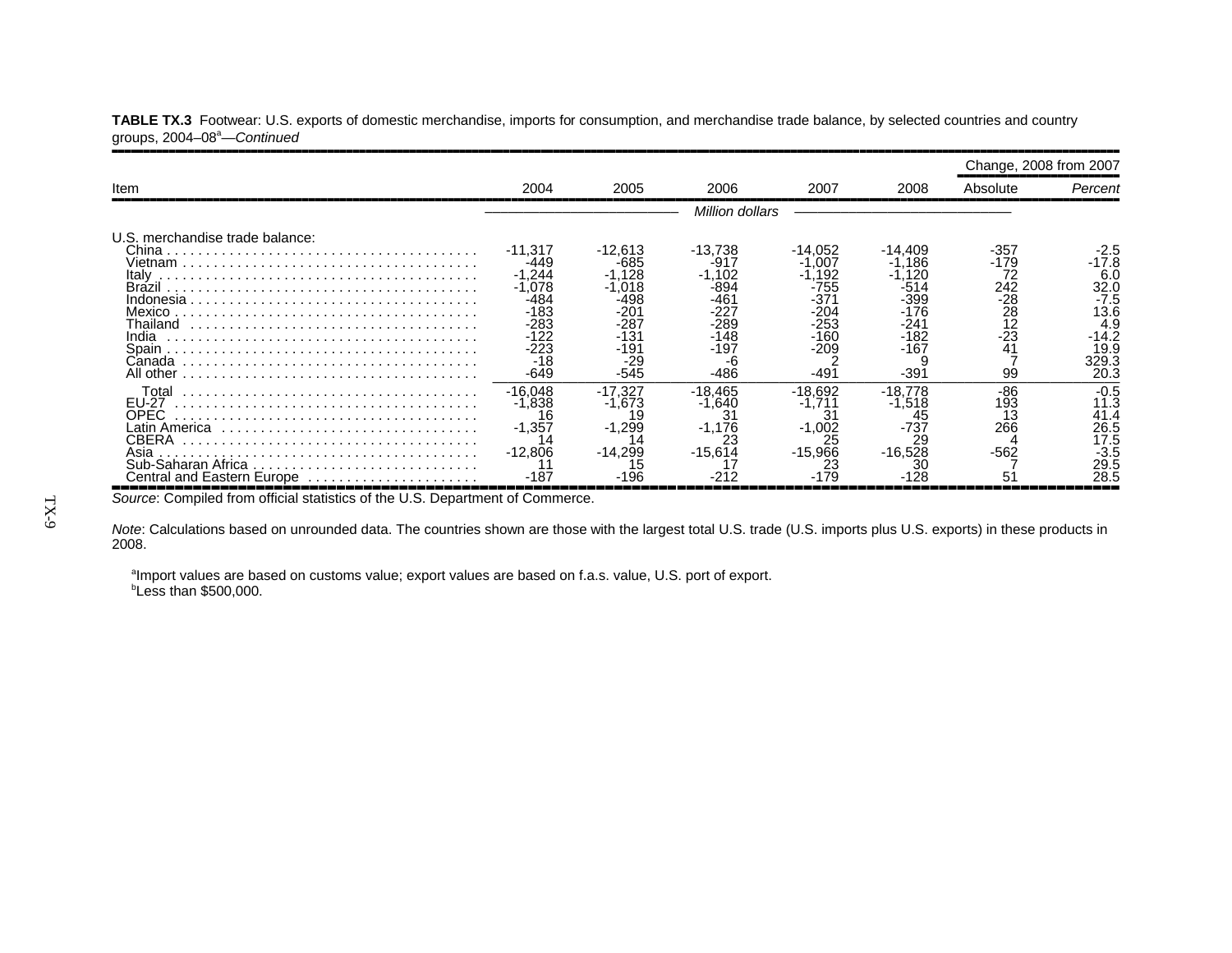|                                                                               |                                                                                                        |                                                                                                        |                                                                                      |                                                                                         |                                                                                       | Change, 2008 from 2007                                                      |                                                                                         |
|-------------------------------------------------------------------------------|--------------------------------------------------------------------------------------------------------|--------------------------------------------------------------------------------------------------------|--------------------------------------------------------------------------------------|-----------------------------------------------------------------------------------------|---------------------------------------------------------------------------------------|-----------------------------------------------------------------------------|-----------------------------------------------------------------------------------------|
| Item                                                                          | 2004                                                                                                   | 2005                                                                                                   | 2006                                                                                 | 2007                                                                                    | 2008                                                                                  | Absolute                                                                    | Percent                                                                                 |
|                                                                               | Million dollars                                                                                        |                                                                                                        |                                                                                      |                                                                                         |                                                                                       |                                                                             |                                                                                         |
| U.S. merchandise trade balance:<br>Italv<br>Mexico.<br>Thailand<br>Canada     | $-11,317$<br>-449<br>$-1.244$<br>$-1.078$<br>-484<br>$-183$<br>-283<br>$-122$<br>-223<br>$-18$<br>-649 | $-12,613$<br>$-685$<br>$-1.128$<br>-1.018<br>-498<br>-201<br>-287<br>$-131$<br>-191<br>$-29$<br>$-545$ | $-13,738$<br>-917<br>1,102<br>-894<br>-461<br>-227<br>-289<br>$-148$<br>-197<br>-486 | $-14.052$<br>.007<br>$-1,192$<br>-755<br>-371<br>$-204$<br>-253<br>-160<br>-209<br>-491 | -14,409<br>.186<br>.120<br>-514<br>$-399$<br>$-176$<br>-241<br>$-182$<br>-167<br>-391 | -357<br>-179<br>72<br>242<br>$\frac{28}{28}$<br>$\frac{12}{23}$<br>41<br>99 | -2.5<br>-17.8<br>6.0<br>32.0<br>$-7.5$<br>13.6<br>4.9<br>-14.2<br>19.9<br>329.3<br>20.3 |
| Total<br><b>EU-27</b><br>OPEC.<br>CBERA<br>Asia<br>Central and Eastern Europe | $-16.048$<br>$-1.838$<br>$-1,357$<br>$-12.806$<br>-187                                                 | $-17.327$<br>$-1.673$<br>19<br>$-1,299$<br>$-14.299$                                                   | $-18.465$<br>$-1.640$<br>$-1,176$<br>$-15.614$                                       | $-18.692$<br>$-1.711$<br>31<br>$-1,002$<br>25<br>$-15.966$                              | $-18.778$<br>$-1.518$<br>$-737$<br>$-16.528$                                          | $-86$<br>193<br>13<br>266<br>$-562$                                         | $-0.5$<br>11.3<br>41.4<br>26.5<br>17.5<br>$-3.5$<br>29.5<br>28.5                        |

TABLE TX.3 Footwear: U.S. exports of domestic merchandise, imports for consumption, and merchandise trade balance, by selected countries and country groups, 2004–08a—*Continued*

,,,,,,,,,,,,,,,,,,,,,,,,,,,,,,,,,,,,,,,,,,,,,,,,,,,,,,,,,,,,,,,,,,,,,,,,,,,,,,,,,,,,,,,,,,,,,,,,,,,,,,,,,,,,,,,,*Source*: Compiled from official statistics of the U.S. Department of Commerce.

*Note*: Calculations based on unrounded data. The countries shown are those with the largest total U.S. trade (U.S. imports plus U.S. exports) in these products in 2008.

<sup>a</sup>Import values are based on customs value; export values are based on f.a.s. value, U.S. port of export.  $b$ Less than \$500,000.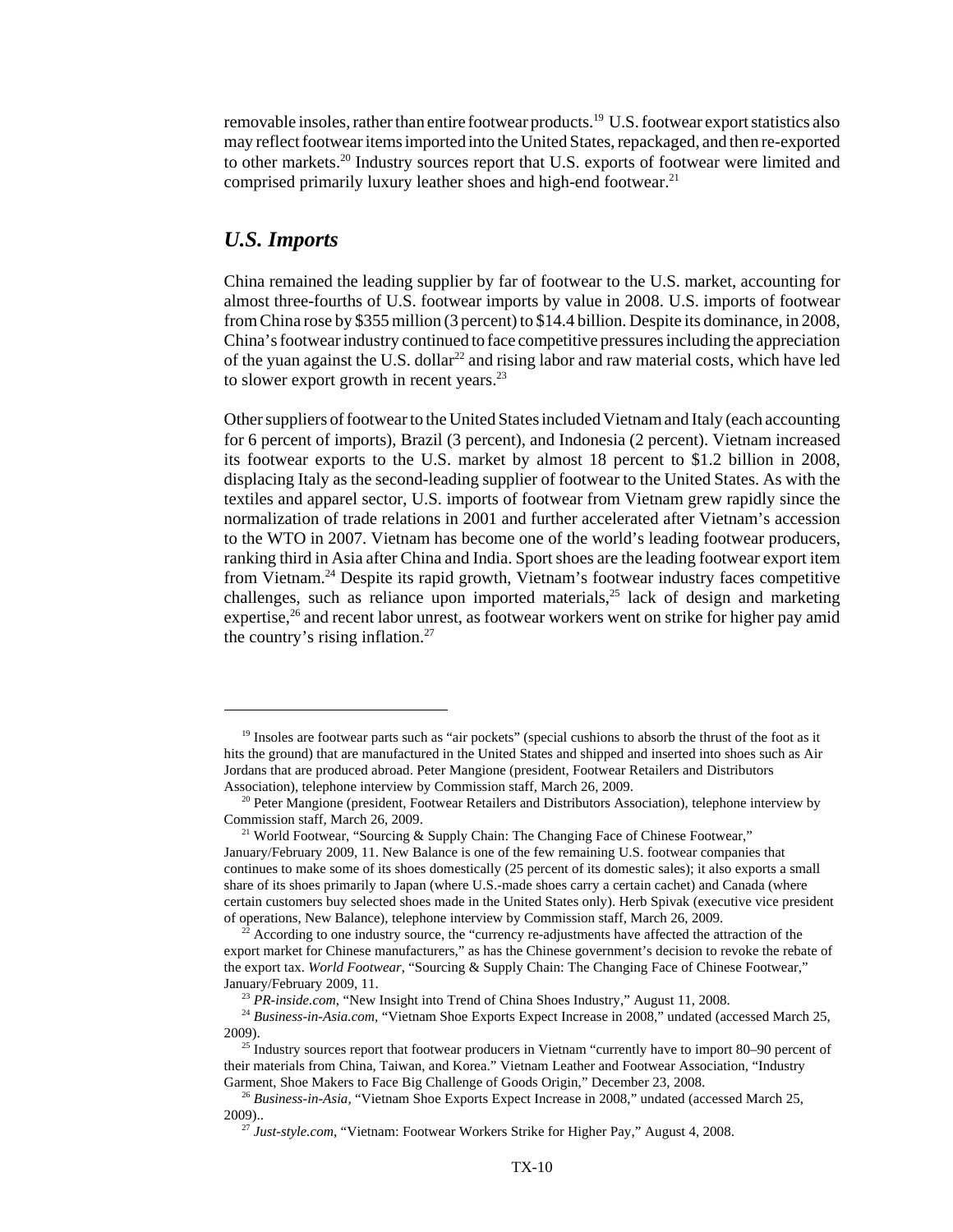removable insoles, rather than entire footwear products.19 U.S. footwear export statistics also may reflect footwear items imported into the United States, repackaged, and then re-exported to other markets.<sup>20</sup> Industry sources report that U.S. exports of footwear were limited and comprised primarily luxury leather shoes and high-end footwear.<sup>21</sup>

#### *U.S. Imports*

China remained the leading supplier by far of footwear to the U.S. market, accounting for almost three-fourths of U.S. footwear imports by value in 2008. U.S. imports of footwear from China rose by \$355 million (3 percent) to \$14.4 billion. Despite its dominance, in 2008, China's footwear industry continued to face competitive pressures including the appreciation of the yuan against the U.S. dollar<sup>22</sup> and rising labor and raw material costs, which have led to slower export growth in recent years.<sup>23</sup>

Other suppliers of footwear to the United States included Vietnam and Italy (each accounting for 6 percent of imports), Brazil (3 percent), and Indonesia (2 percent). Vietnam increased its footwear exports to the U.S. market by almost 18 percent to \$1.2 billion in 2008, displacing Italy as the second-leading supplier of footwear to the United States. As with the textiles and apparel sector, U.S. imports of footwear from Vietnam grew rapidly since the normalization of trade relations in 2001 and further accelerated after Vietnam's accession to the WTO in 2007. Vietnam has become one of the world's leading footwear producers, ranking third in Asia after China and India. Sport shoes are the leading footwear export item from Vietnam.24 Despite its rapid growth, Vietnam's footwear industry faces competitive challenges, such as reliance upon imported materials,<sup>25</sup> lack of design and marketing expertise,<sup>26</sup> and recent labor unrest, as footwear workers went on strike for higher pay amid the country's rising inflation. $27$ 

<sup>&</sup>lt;sup>19</sup> Insoles are footwear parts such as "air pockets" (special cushions to absorb the thrust of the foot as it hits the ground) that are manufactured in the United States and shipped and inserted into shoes such as Air Jordans that are produced abroad. Peter Mangione (president, Footwear Retailers and Distributors Association), telephone interview by Commission staff, March 26, 2009.

<sup>&</sup>lt;sup>20</sup> Peter Mangione (president, Footwear Retailers and Distributors Association), telephone interview by Commission staff, March 26, 2009.

<sup>&</sup>lt;sup>21</sup> World Footwear, "Sourcing & Supply Chain: The Changing Face of Chinese Footwear," January/February 2009, 11. New Balance is one of the few remaining U.S. footwear companies that continues to make some of its shoes domestically (25 percent of its domestic sales); it also exports a small share of its shoes primarily to Japan (where U.S.-made shoes carry a certain cachet) and Canada (where certain customers buy selected shoes made in the United States only). Herb Spivak (executive vice president of operations, New Balance), telephone interview by Commission staff, March 26, 2009.

 $22$  According to one industry source, the "currency re-adjustments have affected the attraction of the export market for Chinese manufacturers," as has the Chinese government's decision to revoke the rebate of the export tax. *World Footwear*, "Sourcing & Supply Chain: The Changing Face of Chinese Footwear," January/February 2009, 11.

<sup>&</sup>lt;sup>23</sup> *PR-inside.com*, "New Insight into Trend of China Shoes Industry," August 11, 2008.

<sup>&</sup>lt;sup>24</sup> Business-in-Asia.com, "Vietnam Shoe Exports Expect Increase in 2008," undated (accessed March 25, 2009).

 $25$  Industry sources report that footwear producers in Vietnam "currently have to import 80–90 percent of their materials from China, Taiwan, and Korea." Vietnam Leather and Footwear Association, "Industry Garment, Shoe Makers to Face Big Challenge of Goods Origin," December 23, 2008.

 <sup>26</sup> *Business-in-Asia,* "Vietnam Shoe Exports Expect Increase in 2008," undated (accessed March 25, 2009)..

 <sup>27</sup> *Just-style.com*, "Vietnam: Footwear Workers Strike for Higher Pay," August 4, 2008.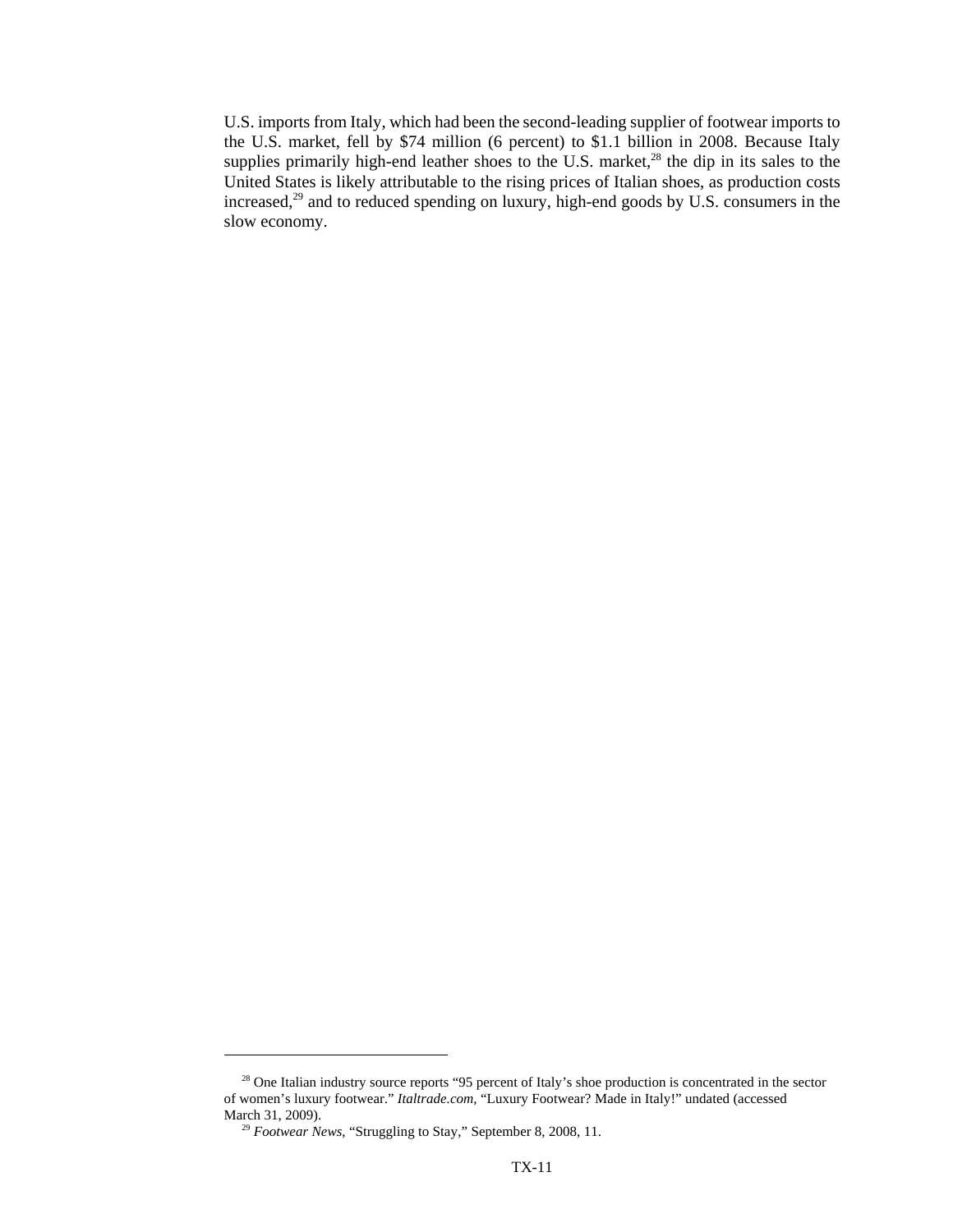U.S. imports from Italy, which had been the second-leading supplier of footwear imports to the U.S. market, fell by \$74 million (6 percent) to \$1.1 billion in 2008. Because Italy supplies primarily high-end leather shoes to the U.S. market, $^{28}$  the dip in its sales to the United States is likely attributable to the rising prices of Italian shoes, as production costs increased,<sup>29</sup> and to reduced spending on luxury, high-end goods by U.S. consumers in the slow economy.

<sup>&</sup>lt;sup>28</sup> One Italian industry source reports "95 percent of Italy's shoe production is concentrated in the sector of women's luxury footwear." *Italtrade.com*, "Luxury Footwear? Made in Italy!" undated (accessed March 31, 2009).

<sup>&</sup>lt;sup>29</sup> Footwear News, "Struggling to Stay," September 8, 2008, 11.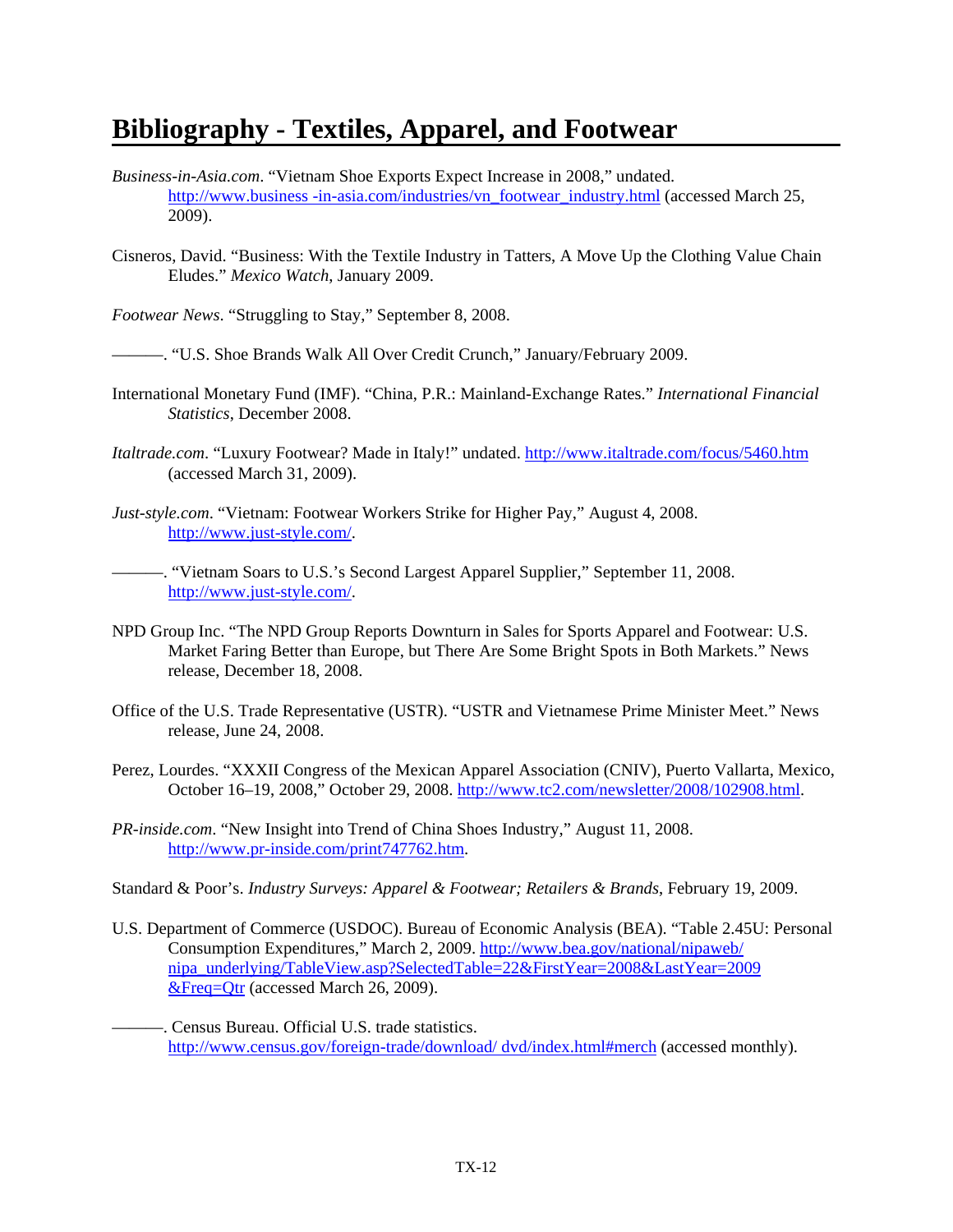### **Bibliography - Textiles, Apparel, and Footwear**

- *Business-in-Asia.com*. "Vietnam Shoe Exports Expect Increase in 2008," undated. http://www.business -in-asia.com/industries/vn\_footwear\_industry.html (accessed March 25, 2009).
- Cisneros, David. "Business: With the Textile Industry in Tatters, A Move Up the Clothing Value Chain Eludes." *Mexico Watch*, January 2009.

*Footwear News*. "Struggling to Stay," September 8, 2008.

———. "U.S. Shoe Brands Walk All Over Credit Crunch," January/February 2009.

- International Monetary Fund (IMF). "China, P.R.: Mainland-Exchange Rates." *International Financial Statistics*, December 2008.
- *Italtrade.com*. "Luxury Footwear? Made in Italy!" undated. http://www.italtrade.com/focus/5460.htm (accessed March 31, 2009).

*Just-style.com*. "Vietnam: Footwear Workers Strike for Higher Pay," August 4, 2008. http://www.just-style.com/.

———. "Vietnam Soars to U.S.'s Second Largest Apparel Supplier," September 11, 2008. http://www.just-style.com/.

- NPD Group Inc. "The NPD Group Reports Downturn in Sales for Sports Apparel and Footwear: U.S. Market Faring Better than Europe, but There Are Some Bright Spots in Both Markets." News release, December 18, 2008.
- Office of the U.S. Trade Representative (USTR). "USTR and Vietnamese Prime Minister Meet." News release, June 24, 2008.
- Perez, Lourdes. "XXXII Congress of the Mexican Apparel Association (CNIV), Puerto Vallarta, Mexico, October 16–19, 2008," October 29, 2008. http://www.tc2.com/newsletter/2008/102908.html.
- *PR-inside.com*. "New Insight into Trend of China Shoes Industry," August 11, 2008. http://www.pr-inside.com/print747762.htm.

Standard & Poor's. *Industry Surveys: Apparel & Footwear; Retailers & Brands*, February 19, 2009.

- U.S. Department of Commerce (USDOC). Bureau of Economic Analysis (BEA). "Table 2.45U: Personal Consumption Expenditures," March 2, 2009. http://www.bea.gov/national/nipaweb/ nipa\_underlying/TableView.asp?SelectedTable=22&FirstYear=2008&LastYear=2009 &Freq=Qtr (accessed March 26, 2009).
- ———. Census Bureau. Official U.S. trade statistics. http://www.census.gov/foreign-trade/download/ dvd/index.html#merch (accessed monthly).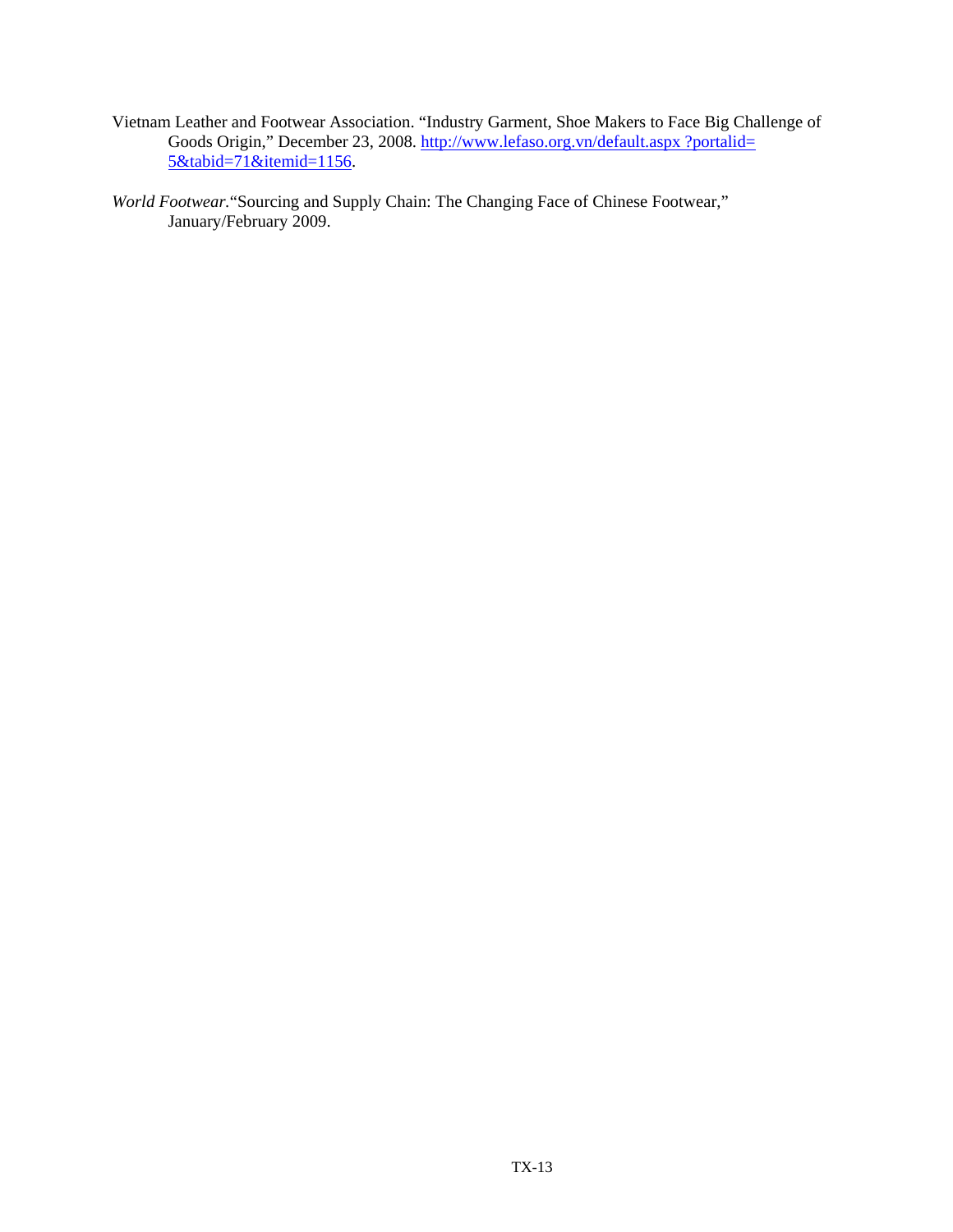- Vietnam Leather and Footwear Association. "Industry Garment, Shoe Makers to Face Big Challenge of Goods Origin," December 23, 2008. http://www.lefaso.org.vn/default.aspx ?portalid= 5&tabid=71&itemid=1156.
- *World Footwear.*"Sourcing and Supply Chain: The Changing Face of Chinese Footwear," January/February 2009.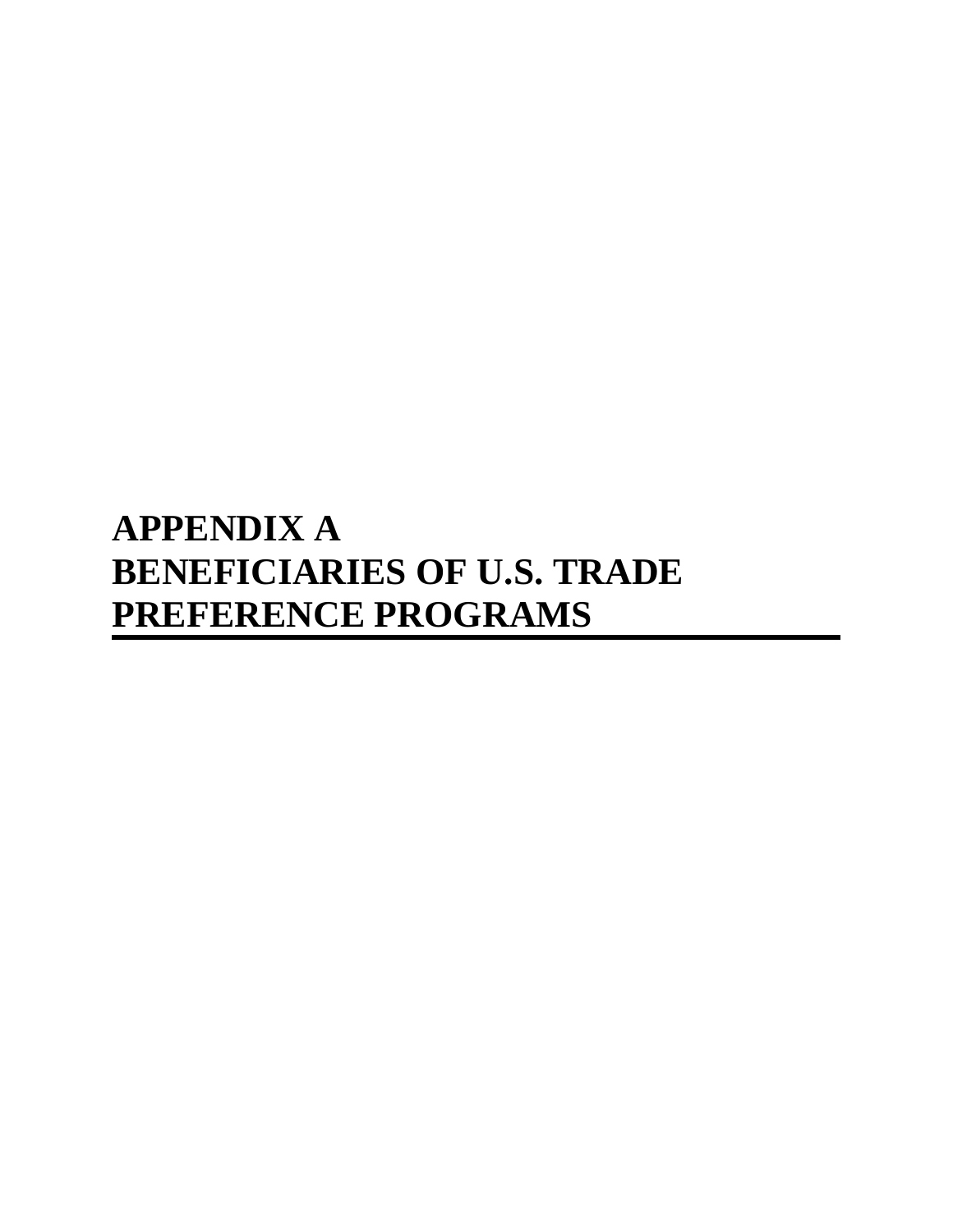# **APPENDIX A BENEFICIARIES OF U.S. TRADE PREFERENCE PROGRAMS**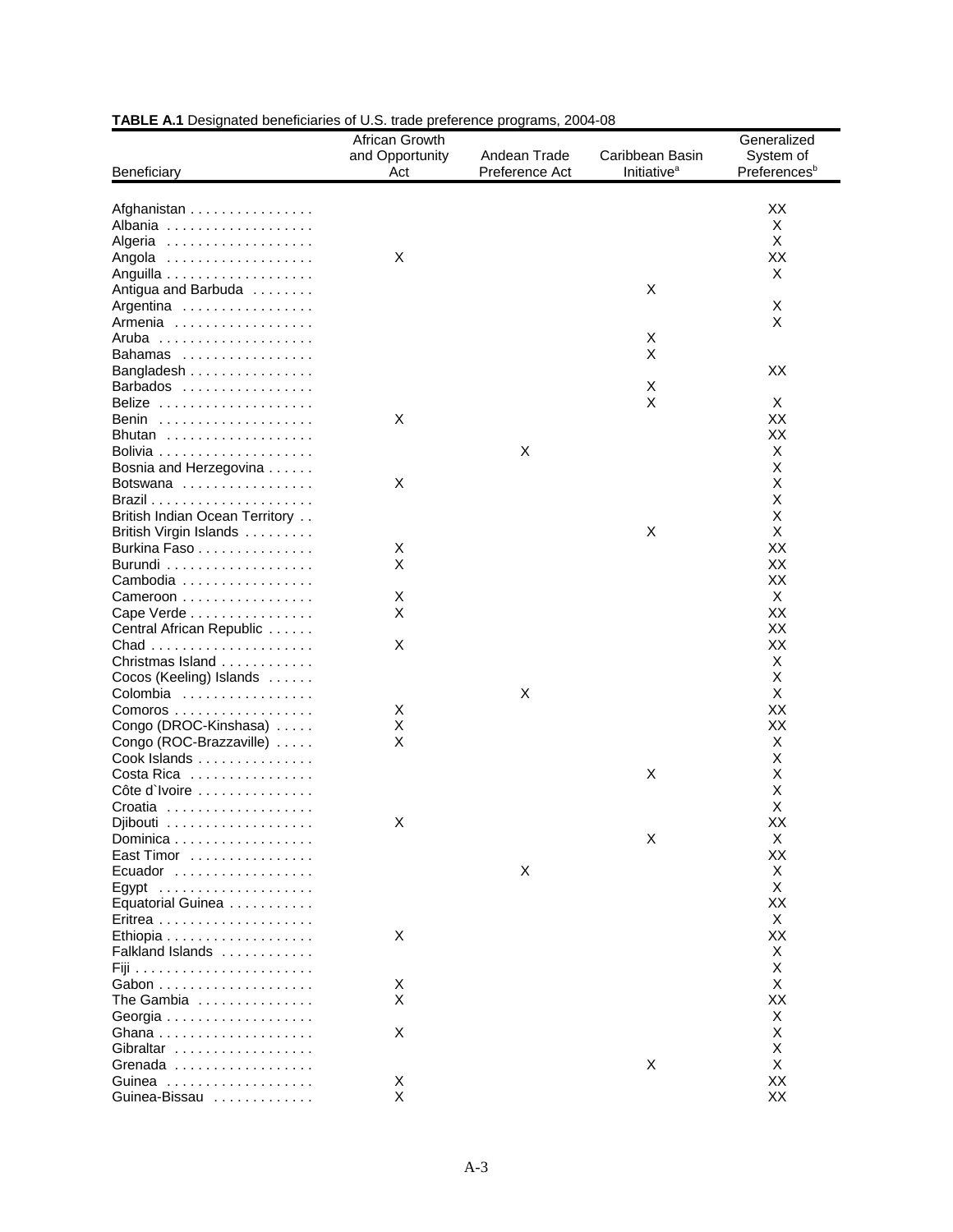| Beneficiary                                   | African Growth<br>and Opportunity<br>Act | Andean Trade<br>Preference Act | Caribbean Basin<br><b>Initiative<sup>a</sup></b> | Generalized<br>System of<br>Preferences <sup>b</sup> |
|-----------------------------------------------|------------------------------------------|--------------------------------|--------------------------------------------------|------------------------------------------------------|
|                                               |                                          |                                |                                                  |                                                      |
| Afghanistan                                   |                                          |                                |                                                  | ХX                                                   |
| Albania                                       |                                          |                                |                                                  | Χ                                                    |
| Algeria                                       |                                          |                                |                                                  | Χ                                                    |
| Angola                                        | X                                        |                                |                                                  | ХX                                                   |
|                                               |                                          |                                |                                                  | X                                                    |
| Antigua and Barbuda                           |                                          |                                | X                                                |                                                      |
| Argentina                                     |                                          |                                |                                                  | X                                                    |
| Armenia                                       |                                          |                                |                                                  | X                                                    |
| Aruba                                         |                                          |                                | X                                                |                                                      |
| Bahamas                                       |                                          |                                | X                                                |                                                      |
| Bangladesh                                    |                                          |                                |                                                  | XX                                                   |
| Barbados                                      |                                          |                                | X                                                |                                                      |
| Belize                                        |                                          |                                | X                                                | X                                                    |
| Benin                                         | х                                        |                                |                                                  | XX                                                   |
| Bhutan                                        |                                          |                                |                                                  | ХX                                                   |
|                                               |                                          | X                              |                                                  | Χ                                                    |
| Bosnia and Herzegovina                        |                                          |                                |                                                  | X                                                    |
| Botswana                                      | X                                        |                                |                                                  | Х                                                    |
|                                               |                                          |                                |                                                  | X                                                    |
| British Indian Ocean Territory                |                                          |                                |                                                  | X                                                    |
|                                               |                                          |                                | X                                                | X                                                    |
| British Virgin Islands                        |                                          |                                |                                                  |                                                      |
| Burkina Faso                                  | X                                        |                                |                                                  | XX                                                   |
|                                               | X                                        |                                |                                                  | XX                                                   |
| Cambodia                                      |                                          |                                |                                                  | XX                                                   |
| Cameroon                                      | X                                        |                                |                                                  | Χ                                                    |
| Cape Verde                                    | X                                        |                                |                                                  | ХX                                                   |
| Central African Republic                      |                                          |                                |                                                  | XX                                                   |
|                                               | X                                        |                                |                                                  | ХX                                                   |
| Christmas Island                              |                                          |                                |                                                  | Χ                                                    |
| Cocos (Keeling) Islands                       |                                          |                                |                                                  | Х                                                    |
| Colombia                                      |                                          | $\mathsf X$                    |                                                  | X                                                    |
| Comoros                                       | Χ                                        |                                |                                                  | XX                                                   |
| Congo (DROC-Kinshasa)                         | Χ                                        |                                |                                                  | ХX                                                   |
| Congo (ROC-Brazzaville)                       | X                                        |                                |                                                  | X                                                    |
| Cook Islands                                  |                                          |                                |                                                  | X                                                    |
| Costa Rica                                    |                                          |                                | X                                                | Х                                                    |
| Côte d'Ivoire $\ldots \ldots \ldots \ldots$   |                                          |                                |                                                  | Х                                                    |
|                                               |                                          |                                |                                                  | X                                                    |
| Djibouti $\ldots \ldots \ldots \ldots \ldots$ | Χ                                        |                                |                                                  | XX                                                   |
| Dominica                                      |                                          |                                | X                                                | Х                                                    |
| East Timor                                    |                                          |                                |                                                  | XX                                                   |
| Ecuador                                       |                                          | X                              |                                                  | X                                                    |
|                                               |                                          |                                |                                                  | X                                                    |
|                                               |                                          |                                |                                                  | XX                                                   |
| Equatorial Guinea                             |                                          |                                |                                                  |                                                      |
|                                               |                                          |                                |                                                  | Χ                                                    |
|                                               | X                                        |                                |                                                  | XX                                                   |
| Falkland Islands                              |                                          |                                |                                                  | Χ                                                    |
|                                               |                                          |                                |                                                  | X                                                    |
|                                               | Х                                        |                                |                                                  | X                                                    |
| The Gambia                                    | X                                        |                                |                                                  | ХX                                                   |
|                                               |                                          |                                |                                                  | Χ                                                    |
|                                               | Χ                                        |                                |                                                  | Х                                                    |
| Gibraltar                                     |                                          |                                |                                                  | х                                                    |
| Grenada                                       |                                          |                                | X                                                | X                                                    |
|                                               | X                                        |                                |                                                  | XX                                                   |
| Guinea-Bissau                                 | Χ                                        |                                |                                                  | XX                                                   |
|                                               |                                          |                                |                                                  |                                                      |

# **TABLE A.1** Designated beneficiaries of U.S. trade preference programs, 2004-08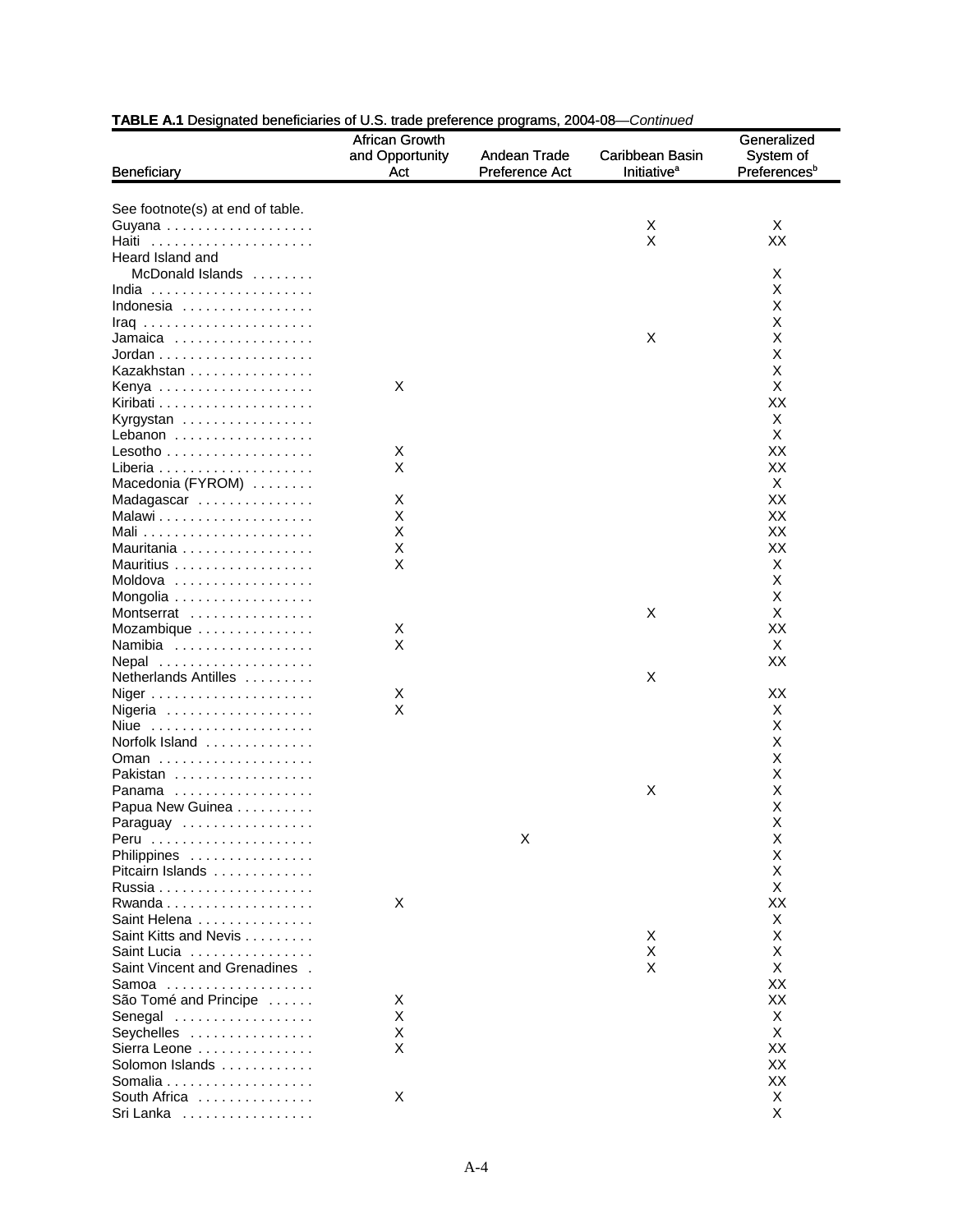|                                      | African Growth  |                |                               | Generalized              |
|--------------------------------------|-----------------|----------------|-------------------------------|--------------------------|
|                                      | and Opportunity | Andean Trade   | Caribbean Basin               | System of                |
| <b>Beneficiary</b>                   | Act             | Preference Act | <b>Initiative<sup>a</sup></b> | Preferences <sup>b</sup> |
|                                      |                 |                |                               |                          |
| See footnote(s) at end of table.     |                 |                |                               |                          |
| Guyana                               |                 |                | Χ                             | Χ                        |
| Haiti                                |                 |                | X                             | XX                       |
| Heard Island and<br>McDonald Islands |                 |                |                               |                          |
| India                                |                 |                |                               | х<br>х                   |
| Indonesia                            |                 |                |                               | Х                        |
|                                      |                 |                |                               | х                        |
| Jamaica                              |                 |                | X                             | х                        |
|                                      |                 |                |                               | X                        |
| Kazakhstan                           |                 |                |                               | X                        |
|                                      | X               |                |                               | X                        |
|                                      |                 |                |                               | ХX                       |
| Kyrgystan                            |                 |                |                               | Χ                        |
| Lebanon                              |                 |                |                               | X                        |
|                                      | X               |                |                               | ХX                       |
|                                      | X               |                |                               | ХX                       |
| Macedonia (FYROM)                    |                 |                |                               | Χ                        |
| Madagascar                           | X               |                |                               | ХX                       |
|                                      | х               |                |                               | ХX                       |
|                                      | X               |                |                               | XX                       |
| Mauritania                           | Χ<br>X          |                |                               | ХX<br>Χ                  |
| Mauritius<br>Moldova                 |                 |                |                               | х                        |
| Mongolia                             |                 |                |                               | X                        |
| Montserrat                           |                 |                | X                             | Х                        |
| Mozambique                           | Х               |                |                               | ХX                       |
| Namibia                              | X               |                |                               | Χ                        |
| Nepal                                |                 |                |                               | ХX                       |
| Netherlands Antilles                 |                 |                | X                             |                          |
|                                      | X               |                |                               | ХX                       |
| Nigeria                              | X               |                |                               | X                        |
| Niue                                 |                 |                |                               | Х                        |
| Norfolk Island                       |                 |                |                               | х                        |
|                                      |                 |                |                               | х                        |
| Pakistan                             |                 |                |                               | X                        |
| Panama                               |                 |                | X                             | Χ                        |
| Papua New Guinea                     |                 |                |                               | Χ                        |
| Paraguay                             |                 | Х              |                               | х<br>X                   |
| Philippines                          |                 |                |                               | х                        |
| Pitcairn Islands                     |                 |                |                               | х                        |
|                                      |                 |                |                               | X                        |
|                                      | X               |                |                               | ХX                       |
| Saint Helena                         |                 |                |                               | Χ                        |
| Saint Kitts and Nevis                |                 |                | Χ                             | х                        |
| Saint Lucia                          |                 |                | X                             | х                        |
| Saint Vincent and Grenadines.        |                 |                | X                             | X                        |
| Samoa                                |                 |                |                               | ХX                       |
| São Tomé and Principe                | X               |                |                               | ХX                       |
| Senegal                              | X               |                |                               | Χ                        |
| Seychelles                           | Χ               |                |                               | X                        |
| Sierra Leone                         | X               |                |                               | ХX                       |
| Solomon Islands                      |                 |                |                               | ХX                       |
|                                      |                 |                |                               | XX                       |
| South Africa                         | Х               |                |                               | X<br>Χ                   |
| Sri Lanka                            |                 |                |                               |                          |

#### **TABLE A.1** Designated beneficiaries of U.S. trade preference programs, 2004-08—*Continued* 2004-08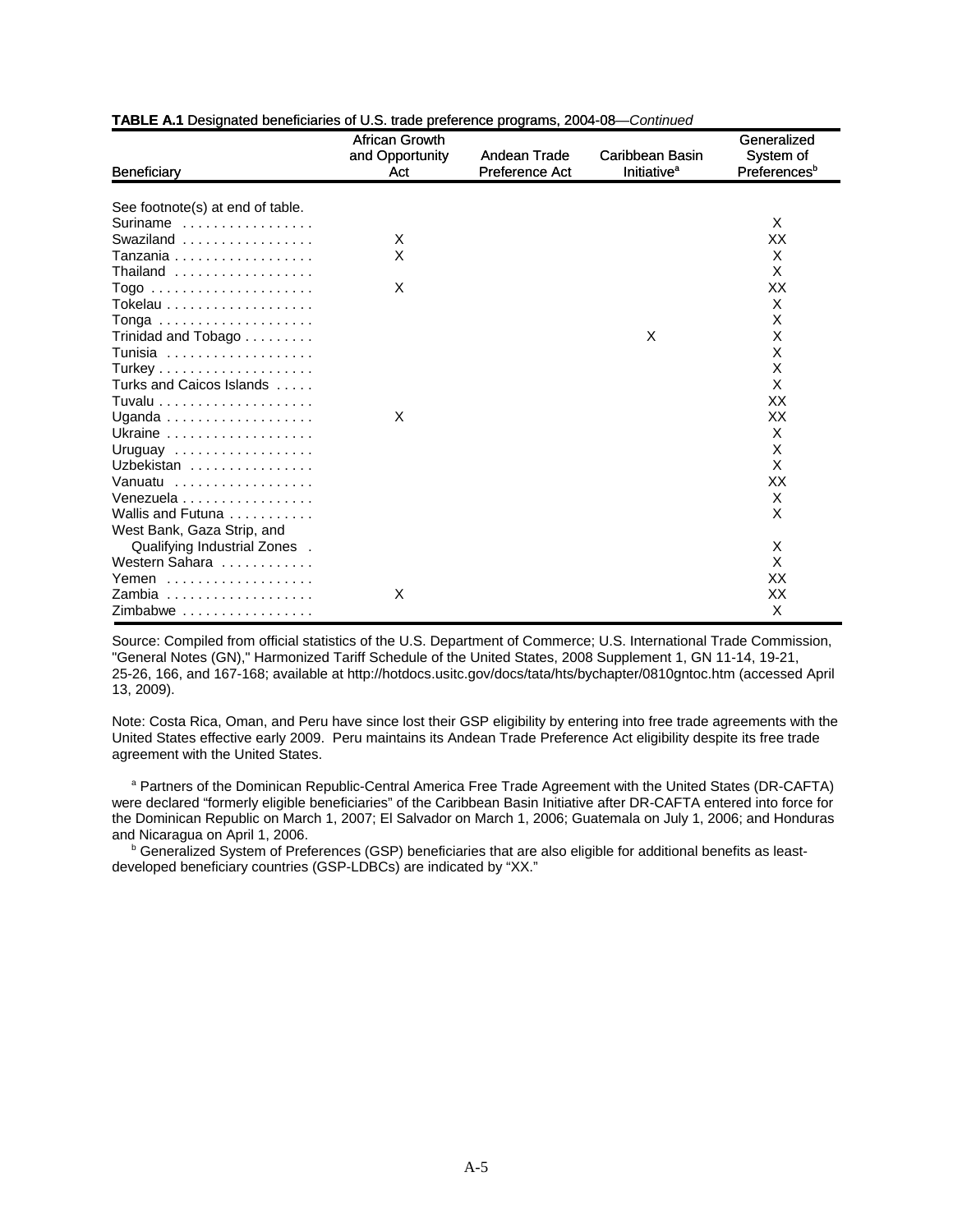| Beneficiary                                  | African Growth<br>and Opportunity<br>Act | Andean Trade<br>Preference Act | Caribbean Basin<br><b>Initiative<sup>a</sup></b> | Generalized<br>System of<br>Preferences <sup>b</sup> |
|----------------------------------------------|------------------------------------------|--------------------------------|--------------------------------------------------|------------------------------------------------------|
|                                              |                                          |                                |                                                  |                                                      |
| See footnote(s) at end of table.             |                                          |                                |                                                  |                                                      |
| Suriname                                     |                                          |                                |                                                  | X                                                    |
| Swaziland                                    | X                                        |                                |                                                  | ХX                                                   |
| Tanzania                                     | X                                        |                                |                                                  | X                                                    |
| Thailand                                     |                                          |                                |                                                  | X                                                    |
| Togo                                         | X                                        |                                |                                                  | XX                                                   |
|                                              |                                          |                                |                                                  | X                                                    |
|                                              |                                          |                                |                                                  | X                                                    |
| Trinidad and Tobago                          |                                          |                                | X                                                | X                                                    |
| Tunisia                                      |                                          |                                |                                                  | X                                                    |
|                                              |                                          |                                |                                                  | X                                                    |
| Turks and Caicos Islands                     |                                          |                                |                                                  | X                                                    |
|                                              |                                          |                                |                                                  | ХX                                                   |
|                                              | X                                        |                                |                                                  | XX                                                   |
|                                              |                                          |                                |                                                  | X                                                    |
| Uruguay $\ldots \ldots \ldots \ldots \ldots$ |                                          |                                |                                                  | X                                                    |
| Uzbekistan                                   |                                          |                                |                                                  | X                                                    |
| Vanuatu                                      |                                          |                                |                                                  | ХX                                                   |
| Venezuela                                    |                                          |                                |                                                  | X                                                    |
| Wallis and Futuna                            |                                          |                                |                                                  | X                                                    |
| West Bank, Gaza Strip, and                   |                                          |                                |                                                  |                                                      |
| Qualifying Industrial Zones .                |                                          |                                |                                                  | X                                                    |
| Western Sahara                               |                                          |                                |                                                  | X                                                    |
| Yemen                                        |                                          |                                |                                                  | ХX                                                   |
| Zambia                                       | X                                        |                                |                                                  | XХ                                                   |
| Zimbabwe                                     |                                          |                                |                                                  | X                                                    |

#### **TABLE A.1** Designated beneficiaries of U.S. trade preference programs, 2004-08—*Continued* 2004-08

Source: Compiled from official statistics of the U.S. Department of Commerce; U.S. International Trade Commission, "General Notes (GN)," Harmonized Tariff Schedule of the United States, 2008 Supplement 1, GN 11-14, 19-21, 25-26, 166, and 167-168; available at http://hotdocs.usitc.gov/docs/tata/hts/bychapter/0810gntoc.htm (accessed April 13, 2009).

Note: Costa Rica, Oman, and Peru have since lost their GSP eligibility by entering into free trade agreements with the United States effective early 2009. Peru maintains its Andean Trade Preference Act eligibility despite its free trade agreement with the United States.

<sup>a</sup> Partners of the Dominican Republic-Central America Free Trade Agreement with the United States (DR-CAFTA) were declared "formerly eligible beneficiaries" of the Caribbean Basin Initiative after DR-CAFTA entered into force for the Dominican Republic on March 1, 2007; El Salvador on March 1, 2006; Guatemala on July 1, 2006; and Honduras and Nicaragua on April 1, 2006.

<sup>b</sup> Generalized System of Preferences (GSP) beneficiaries that are also eligible for additional benefits as leastdeveloped beneficiary countries (GSP-LDBCs) are indicated by "XX."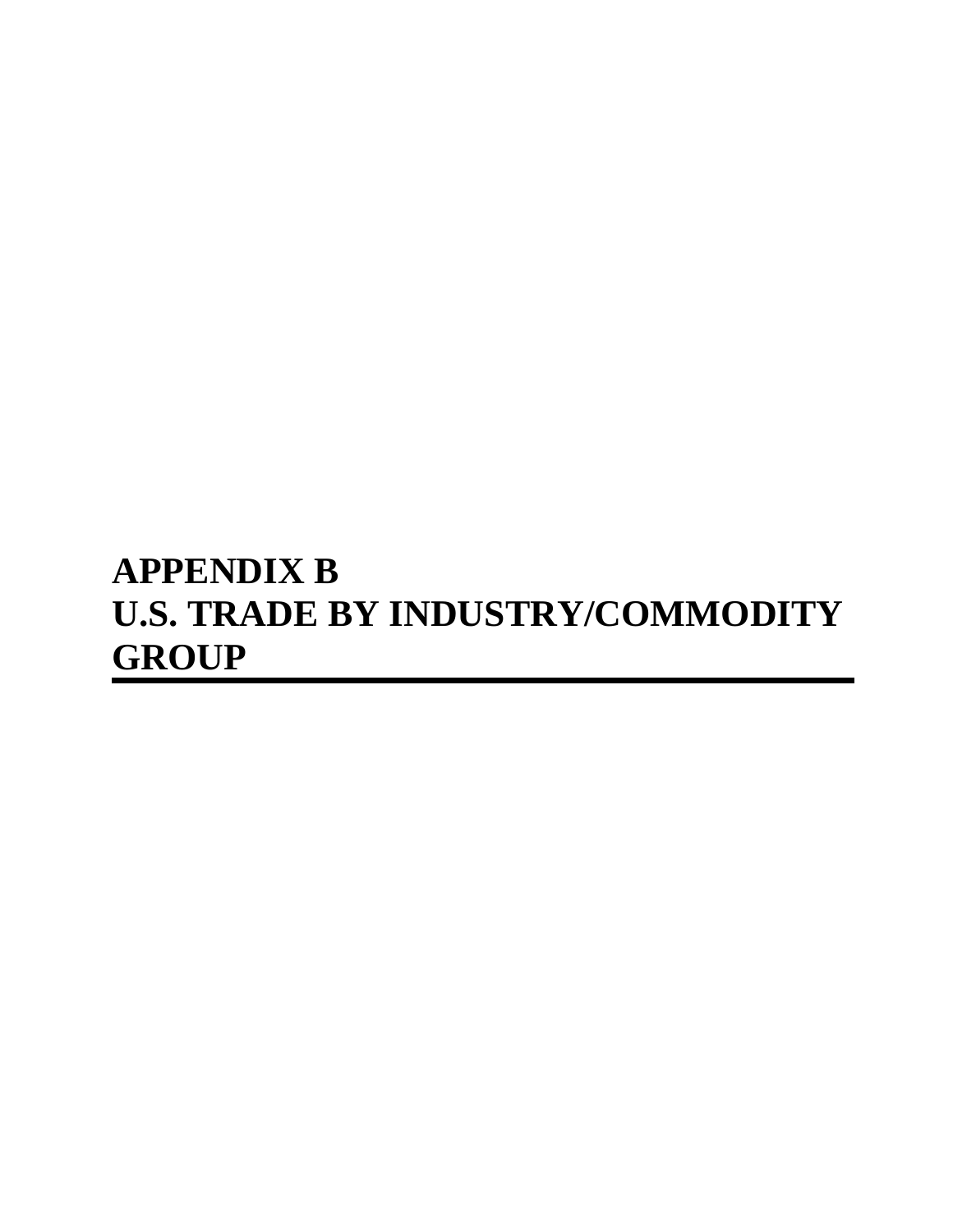# **APPENDIX B U.S. TRADE BY INDUSTRY/COMMODITY GROUP**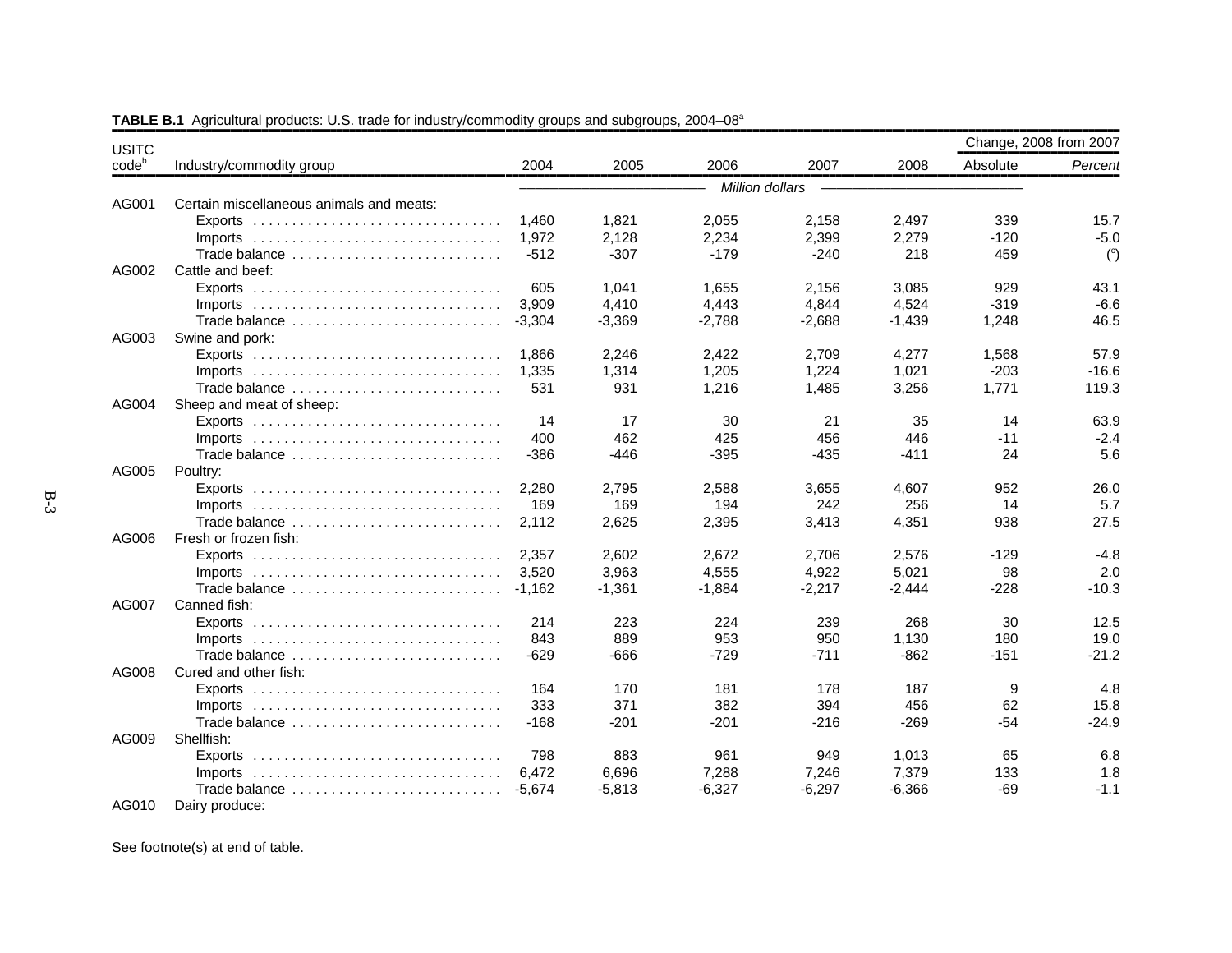| <b>USITC</b> |                                          |          |          |                 |          |          | Change, 2008 from 2007 |                |
|--------------|------------------------------------------|----------|----------|-----------------|----------|----------|------------------------|----------------|
| $code^b$     | Industry/commodity group                 | 2004     | 2005     | 2006            | 2007     | 2008     | Absolute               | Percent        |
|              |                                          |          |          | Million dollars |          |          |                        |                |
| AG001        | Certain miscellaneous animals and meats: |          |          |                 |          |          |                        |                |
|              | $Exports$                                | 1.460    | 1.821    | 2,055           | 2,158    | 2,497    | 339                    | 15.7           |
|              | $Imports$                                | 1.972    | 2,128    | 2,234           | 2,399    | 2,279    | $-120$                 | $-5.0$         |
|              | Trade balance                            | $-512$   | $-307$   | $-179$          | $-240$   | 218      | 459                    | $\binom{c}{c}$ |
| AG002        | Cattle and beef:                         |          |          |                 |          |          |                        |                |
|              |                                          | 605      | 1.041    | 1,655           | 2,156    | 3.085    | 929                    | 43.1           |
|              |                                          | 3,909    | 4,410    | 4,443           | 4,844    | 4,524    | $-319$                 | $-6.6$         |
|              | Trade balance                            | $-3.304$ | $-3,369$ | $-2.788$        | $-2,688$ | $-1,439$ | 1,248                  | 46.5           |
| AG003        | Swine and pork:                          |          |          |                 |          |          |                        |                |
|              |                                          | 1.866    | 2.246    | 2,422           | 2,709    | 4.277    | 1,568                  | 57.9           |
|              |                                          | 1,335    | 1,314    | 1,205           | 1,224    | 1,021    | $-203$                 | $-16.6$        |
|              | Trade balance                            | 531      | 931      | 1,216           | 1,485    | 3,256    | 1,771                  | 119.3          |
| AG004        | Sheep and meat of sheep:                 |          |          |                 |          |          |                        |                |
|              |                                          | 14       | 17       | 30              | 21       | 35       | 14                     | 63.9           |
|              |                                          | 400      | 462      | 425             | 456      | 446      | $-11$                  | $-2.4$         |
|              | Trade balance                            | $-386$   | -446     | $-395$          | -435     | $-411$   | 24                     | 5.6            |
| AG005        | Poultry:                                 |          |          |                 |          |          |                        |                |
|              |                                          | 2,280    | 2,795    | 2,588           | 3,655    | 4,607    | 952                    | 26.0           |
|              |                                          | 169      | 169      | 194             | 242      | 256      | 14                     | 5.7            |
|              | Trade balance                            | 2.112    | 2,625    | 2,395           | 3,413    | 4,351    | 938                    | 27.5           |
| AG006        | Fresh or frozen fish:                    |          |          |                 |          |          |                        |                |
|              |                                          | 2.357    | 2.602    | 2.672           | 2.706    | 2,576    | $-129$                 | $-4.8$         |
|              |                                          | 3,520    | 3,963    | 4,555           | 4,922    | 5,021    | 98                     | 2.0            |
|              | Trade balance                            | $-1.162$ | $-1,361$ | $-1,884$        | $-2,217$ | $-2,444$ | $-228$                 | $-10.3$        |
| AG007        | Canned fish:                             |          |          |                 |          |          |                        |                |
|              |                                          | 214      | 223      | 224             | 239      | 268      | 30                     | 12.5           |
|              |                                          | 843      | 889      | 953             | 950      | 1,130    | 180                    | 19.0           |
|              | Trade balance                            | $-629$   | $-666$   | $-729$          | $-711$   | $-862$   | $-151$                 | $-21.2$        |
| AG008        | Cured and other fish:                    |          |          |                 |          |          |                        |                |
|              |                                          | 164      | 170      | 181             | 178      | 187      | 9                      | 4.8            |
|              |                                          | 333      | 371      | 382             | 394      | 456      | 62                     | 15.8           |
|              | Trade balance                            | $-168$   | $-201$   | $-201$          | $-216$   | $-269$   | $-54$                  | $-24.9$        |
| AG009        | Shellfish:                               |          |          |                 |          |          |                        |                |
|              | $Exports$                                | 798      | 883      | 961             | 949      | 1,013    | 65                     | 6.8            |
|              |                                          | 6,472    | 6,696    | 7,288           | 7,246    | 7,379    | 133                    | 1.8            |
|              | Trade balance                            | $-5.674$ | $-5,813$ | $-6,327$        | $-6,297$ | $-6,366$ | $-69$                  | $-1.1$         |
| AG010        | Dairy produce:                           |          |          |                 |          |          |                        |                |

**TABLE B.1** Agricultural products: U.S. trade for industry/commodity groups and subgroups, 2004–08<sup>a</sup>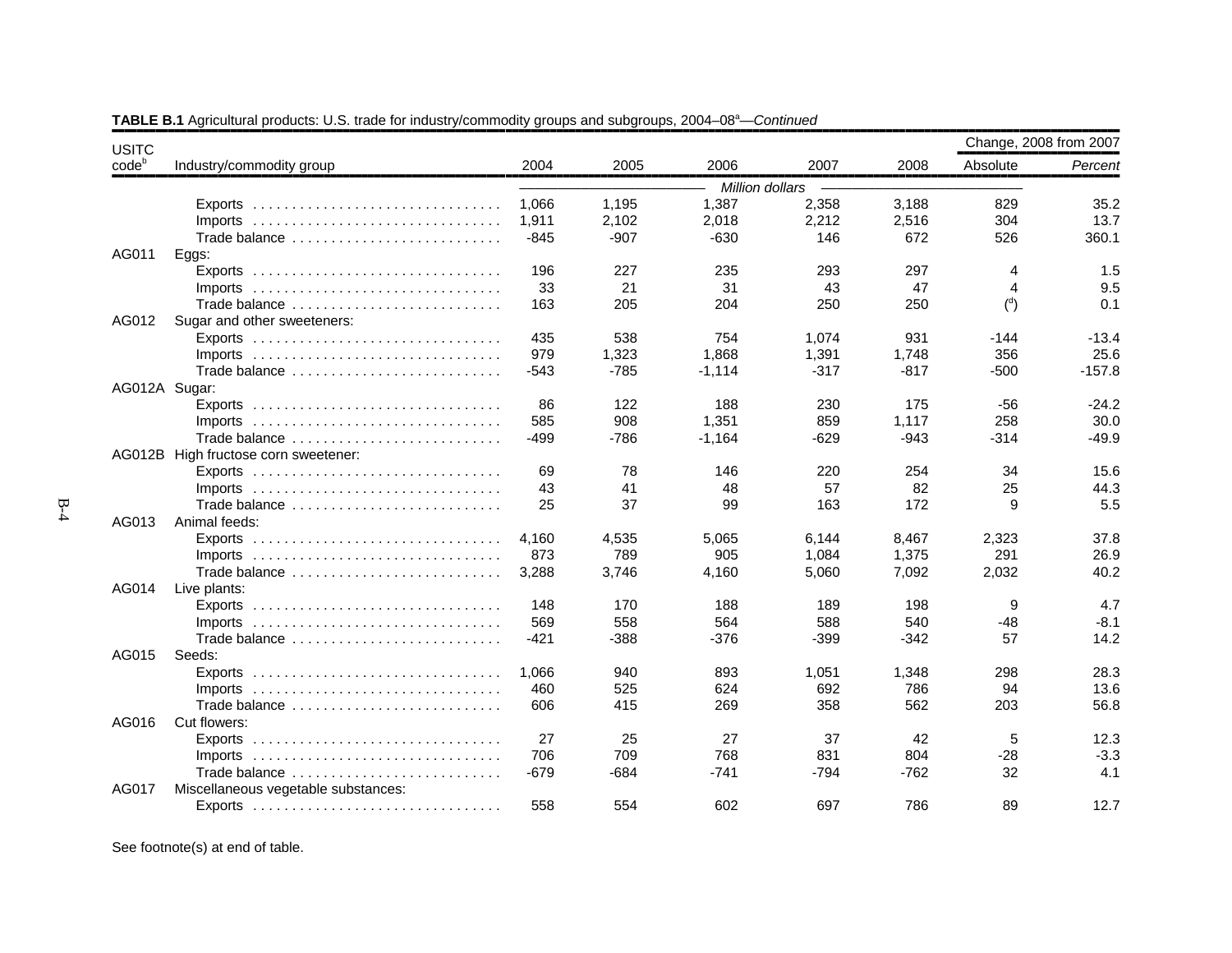| codeb<br>Industry/commodity group<br>2004<br>2005<br>2006<br>2007<br>2008<br>Absolute<br>Million dollars<br>1,387<br>2,358<br>829<br>1,066<br>1,195<br>3,188<br>1,911<br>2,102<br>2,018<br>2,212<br>2,516<br>304<br>$Imports$<br>360.1<br>$-845$<br>$-907$<br>$-630$<br>146<br>672<br>526<br>Trade balance<br>AG011<br>Eggs:<br>196<br>227<br>1.5<br>235<br>293<br>297<br>4<br>Exports<br>21<br>$\overline{4}$<br>33<br>31<br>43<br>47<br>$\binom{d}{ }$<br>163<br>205<br>204<br>250<br>250<br>0.1<br>Trade balance<br>AG012<br>Sugar and other sweeteners:<br>435<br>538<br>754<br>1,074<br>931<br>-144<br>979<br>1,323<br>1,868<br>1,391<br>1,748<br>356<br>$-543$<br>$-785$<br>$-317$<br>$-817$<br>$-500$<br>Trade balance<br>$-1.114$<br>AG012A Sugar:<br>86<br>122<br>188<br>230<br>175<br>$-56$<br>908<br>585<br>1,351<br>859<br>1,117<br>258<br>Imports $\ldots \ldots \ldots \ldots \ldots \ldots \ldots \ldots \ldots \ldots$<br>$-499$<br>$-786$<br>$-629$<br>$-314$<br>$-1,164$<br>$-943$<br>Trade balance<br>AG012B High fructose corn sweetener:<br>69<br>78<br>34<br>146<br>220<br>254<br>43<br>57<br>41<br>48<br>82<br>25<br>25<br>37<br>99<br>163<br>172<br>9<br>Trade balance<br>AG013<br>Animal feeds:<br>2,323<br>4,160<br>4,535<br>5,065<br>6,144<br>8,467<br>873<br>789<br>291<br>905<br>1,084<br>1,375<br>3,288<br>7,092<br>2,032<br>3,746<br>4,160<br>5,060<br>Trade balance<br>AG014<br>Live plants:<br>148<br>170<br>9<br>188<br>189<br>198<br>569<br>558<br>564<br>588<br>540<br>$-48$<br>$-421$<br>$-388$<br>57<br>$-376$<br>$-399$<br>$-342$<br>Trade balance<br>AG015<br>Seeds:<br>298<br>1,066<br>940<br>893<br>1,051<br>1,348<br>525<br>94<br>460<br>624<br>692<br>786<br>Imports $\ldots \ldots \ldots \ldots \ldots \ldots \ldots \ldots \ldots \ldots$<br>606<br>415<br>358<br>562<br>203<br>269<br>Trade balance<br>AG016<br>Cut flowers:<br>27<br>25<br>27<br>37<br>42<br>5<br>709<br>706<br>768<br>831<br>$-28$<br>804<br>$-679$<br>32<br>4.1<br>$-684$<br>$-741$<br>-794<br>$-762$<br>Trade balance<br>AG017<br>Miscellaneous vegetable substances:<br>558<br>554<br>602<br>697<br>786<br>89 | <b>USITC</b> |  |  |  | Change, 2008 from 2007 |
|------------------------------------------------------------------------------------------------------------------------------------------------------------------------------------------------------------------------------------------------------------------------------------------------------------------------------------------------------------------------------------------------------------------------------------------------------------------------------------------------------------------------------------------------------------------------------------------------------------------------------------------------------------------------------------------------------------------------------------------------------------------------------------------------------------------------------------------------------------------------------------------------------------------------------------------------------------------------------------------------------------------------------------------------------------------------------------------------------------------------------------------------------------------------------------------------------------------------------------------------------------------------------------------------------------------------------------------------------------------------------------------------------------------------------------------------------------------------------------------------------------------------------------------------------------------------------------------------------------------------------------------------------------------------------------------------------------------------------------------------------------------------------------------------------------------------------------------------------------------------------------------------------------------------------------------------------------------------------------------------------------------------------------------------------------------------------------------------------------------------------------|--------------|--|--|--|------------------------|
| 35.2<br>$-13.4$<br>$-157.8$<br>15.6<br>5.5<br>4.7<br>$-8.1$<br>56.8                                                                                                                                                                                                                                                                                                                                                                                                                                                                                                                                                                                                                                                                                                                                                                                                                                                                                                                                                                                                                                                                                                                                                                                                                                                                                                                                                                                                                                                                                                                                                                                                                                                                                                                                                                                                                                                                                                                                                                                                                                                                |              |  |  |  | Percent                |
|                                                                                                                                                                                                                                                                                                                                                                                                                                                                                                                                                                                                                                                                                                                                                                                                                                                                                                                                                                                                                                                                                                                                                                                                                                                                                                                                                                                                                                                                                                                                                                                                                                                                                                                                                                                                                                                                                                                                                                                                                                                                                                                                    |              |  |  |  |                        |
|                                                                                                                                                                                                                                                                                                                                                                                                                                                                                                                                                                                                                                                                                                                                                                                                                                                                                                                                                                                                                                                                                                                                                                                                                                                                                                                                                                                                                                                                                                                                                                                                                                                                                                                                                                                                                                                                                                                                                                                                                                                                                                                                    |              |  |  |  |                        |
| 9.5<br>25.6<br>$-24.2$<br>30.0<br>$-49.9$<br>44.3                                                                                                                                                                                                                                                                                                                                                                                                                                                                                                                                                                                                                                                                                                                                                                                                                                                                                                                                                                                                                                                                                                                                                                                                                                                                                                                                                                                                                                                                                                                                                                                                                                                                                                                                                                                                                                                                                                                                                                                                                                                                                  |              |  |  |  | 13.7                   |
|                                                                                                                                                                                                                                                                                                                                                                                                                                                                                                                                                                                                                                                                                                                                                                                                                                                                                                                                                                                                                                                                                                                                                                                                                                                                                                                                                                                                                                                                                                                                                                                                                                                                                                                                                                                                                                                                                                                                                                                                                                                                                                                                    |              |  |  |  |                        |
|                                                                                                                                                                                                                                                                                                                                                                                                                                                                                                                                                                                                                                                                                                                                                                                                                                                                                                                                                                                                                                                                                                                                                                                                                                                                                                                                                                                                                                                                                                                                                                                                                                                                                                                                                                                                                                                                                                                                                                                                                                                                                                                                    |              |  |  |  |                        |
|                                                                                                                                                                                                                                                                                                                                                                                                                                                                                                                                                                                                                                                                                                                                                                                                                                                                                                                                                                                                                                                                                                                                                                                                                                                                                                                                                                                                                                                                                                                                                                                                                                                                                                                                                                                                                                                                                                                                                                                                                                                                                                                                    |              |  |  |  |                        |
|                                                                                                                                                                                                                                                                                                                                                                                                                                                                                                                                                                                                                                                                                                                                                                                                                                                                                                                                                                                                                                                                                                                                                                                                                                                                                                                                                                                                                                                                                                                                                                                                                                                                                                                                                                                                                                                                                                                                                                                                                                                                                                                                    |              |  |  |  |                        |
|                                                                                                                                                                                                                                                                                                                                                                                                                                                                                                                                                                                                                                                                                                                                                                                                                                                                                                                                                                                                                                                                                                                                                                                                                                                                                                                                                                                                                                                                                                                                                                                                                                                                                                                                                                                                                                                                                                                                                                                                                                                                                                                                    |              |  |  |  |                        |
|                                                                                                                                                                                                                                                                                                                                                                                                                                                                                                                                                                                                                                                                                                                                                                                                                                                                                                                                                                                                                                                                                                                                                                                                                                                                                                                                                                                                                                                                                                                                                                                                                                                                                                                                                                                                                                                                                                                                                                                                                                                                                                                                    |              |  |  |  |                        |
|                                                                                                                                                                                                                                                                                                                                                                                                                                                                                                                                                                                                                                                                                                                                                                                                                                                                                                                                                                                                                                                                                                                                                                                                                                                                                                                                                                                                                                                                                                                                                                                                                                                                                                                                                                                                                                                                                                                                                                                                                                                                                                                                    |              |  |  |  |                        |
|                                                                                                                                                                                                                                                                                                                                                                                                                                                                                                                                                                                                                                                                                                                                                                                                                                                                                                                                                                                                                                                                                                                                                                                                                                                                                                                                                                                                                                                                                                                                                                                                                                                                                                                                                                                                                                                                                                                                                                                                                                                                                                                                    |              |  |  |  |                        |
|                                                                                                                                                                                                                                                                                                                                                                                                                                                                                                                                                                                                                                                                                                                                                                                                                                                                                                                                                                                                                                                                                                                                                                                                                                                                                                                                                                                                                                                                                                                                                                                                                                                                                                                                                                                                                                                                                                                                                                                                                                                                                                                                    |              |  |  |  |                        |
|                                                                                                                                                                                                                                                                                                                                                                                                                                                                                                                                                                                                                                                                                                                                                                                                                                                                                                                                                                                                                                                                                                                                                                                                                                                                                                                                                                                                                                                                                                                                                                                                                                                                                                                                                                                                                                                                                                                                                                                                                                                                                                                                    |              |  |  |  |                        |
|                                                                                                                                                                                                                                                                                                                                                                                                                                                                                                                                                                                                                                                                                                                                                                                                                                                                                                                                                                                                                                                                                                                                                                                                                                                                                                                                                                                                                                                                                                                                                                                                                                                                                                                                                                                                                                                                                                                                                                                                                                                                                                                                    |              |  |  |  |                        |
|                                                                                                                                                                                                                                                                                                                                                                                                                                                                                                                                                                                                                                                                                                                                                                                                                                                                                                                                                                                                                                                                                                                                                                                                                                                                                                                                                                                                                                                                                                                                                                                                                                                                                                                                                                                                                                                                                                                                                                                                                                                                                                                                    |              |  |  |  |                        |
|                                                                                                                                                                                                                                                                                                                                                                                                                                                                                                                                                                                                                                                                                                                                                                                                                                                                                                                                                                                                                                                                                                                                                                                                                                                                                                                                                                                                                                                                                                                                                                                                                                                                                                                                                                                                                                                                                                                                                                                                                                                                                                                                    |              |  |  |  |                        |
|                                                                                                                                                                                                                                                                                                                                                                                                                                                                                                                                                                                                                                                                                                                                                                                                                                                                                                                                                                                                                                                                                                                                                                                                                                                                                                                                                                                                                                                                                                                                                                                                                                                                                                                                                                                                                                                                                                                                                                                                                                                                                                                                    |              |  |  |  |                        |
| 37.8<br>26.9<br>40.2<br>14.2<br>28.3<br>13.6<br>12.3<br>$-3.3$<br>12.7                                                                                                                                                                                                                                                                                                                                                                                                                                                                                                                                                                                                                                                                                                                                                                                                                                                                                                                                                                                                                                                                                                                                                                                                                                                                                                                                                                                                                                                                                                                                                                                                                                                                                                                                                                                                                                                                                                                                                                                                                                                             |              |  |  |  |                        |
|                                                                                                                                                                                                                                                                                                                                                                                                                                                                                                                                                                                                                                                                                                                                                                                                                                                                                                                                                                                                                                                                                                                                                                                                                                                                                                                                                                                                                                                                                                                                                                                                                                                                                                                                                                                                                                                                                                                                                                                                                                                                                                                                    |              |  |  |  |                        |
|                                                                                                                                                                                                                                                                                                                                                                                                                                                                                                                                                                                                                                                                                                                                                                                                                                                                                                                                                                                                                                                                                                                                                                                                                                                                                                                                                                                                                                                                                                                                                                                                                                                                                                                                                                                                                                                                                                                                                                                                                                                                                                                                    |              |  |  |  |                        |
|                                                                                                                                                                                                                                                                                                                                                                                                                                                                                                                                                                                                                                                                                                                                                                                                                                                                                                                                                                                                                                                                                                                                                                                                                                                                                                                                                                                                                                                                                                                                                                                                                                                                                                                                                                                                                                                                                                                                                                                                                                                                                                                                    |              |  |  |  |                        |
|                                                                                                                                                                                                                                                                                                                                                                                                                                                                                                                                                                                                                                                                                                                                                                                                                                                                                                                                                                                                                                                                                                                                                                                                                                                                                                                                                                                                                                                                                                                                                                                                                                                                                                                                                                                                                                                                                                                                                                                                                                                                                                                                    |              |  |  |  |                        |
|                                                                                                                                                                                                                                                                                                                                                                                                                                                                                                                                                                                                                                                                                                                                                                                                                                                                                                                                                                                                                                                                                                                                                                                                                                                                                                                                                                                                                                                                                                                                                                                                                                                                                                                                                                                                                                                                                                                                                                                                                                                                                                                                    |              |  |  |  |                        |
|                                                                                                                                                                                                                                                                                                                                                                                                                                                                                                                                                                                                                                                                                                                                                                                                                                                                                                                                                                                                                                                                                                                                                                                                                                                                                                                                                                                                                                                                                                                                                                                                                                                                                                                                                                                                                                                                                                                                                                                                                                                                                                                                    |              |  |  |  |                        |
|                                                                                                                                                                                                                                                                                                                                                                                                                                                                                                                                                                                                                                                                                                                                                                                                                                                                                                                                                                                                                                                                                                                                                                                                                                                                                                                                                                                                                                                                                                                                                                                                                                                                                                                                                                                                                                                                                                                                                                                                                                                                                                                                    |              |  |  |  |                        |
|                                                                                                                                                                                                                                                                                                                                                                                                                                                                                                                                                                                                                                                                                                                                                                                                                                                                                                                                                                                                                                                                                                                                                                                                                                                                                                                                                                                                                                                                                                                                                                                                                                                                                                                                                                                                                                                                                                                                                                                                                                                                                                                                    |              |  |  |  |                        |
|                                                                                                                                                                                                                                                                                                                                                                                                                                                                                                                                                                                                                                                                                                                                                                                                                                                                                                                                                                                                                                                                                                                                                                                                                                                                                                                                                                                                                                                                                                                                                                                                                                                                                                                                                                                                                                                                                                                                                                                                                                                                                                                                    |              |  |  |  |                        |
|                                                                                                                                                                                                                                                                                                                                                                                                                                                                                                                                                                                                                                                                                                                                                                                                                                                                                                                                                                                                                                                                                                                                                                                                                                                                                                                                                                                                                                                                                                                                                                                                                                                                                                                                                                                                                                                                                                                                                                                                                                                                                                                                    |              |  |  |  |                        |
|                                                                                                                                                                                                                                                                                                                                                                                                                                                                                                                                                                                                                                                                                                                                                                                                                                                                                                                                                                                                                                                                                                                                                                                                                                                                                                                                                                                                                                                                                                                                                                                                                                                                                                                                                                                                                                                                                                                                                                                                                                                                                                                                    |              |  |  |  |                        |
|                                                                                                                                                                                                                                                                                                                                                                                                                                                                                                                                                                                                                                                                                                                                                                                                                                                                                                                                                                                                                                                                                                                                                                                                                                                                                                                                                                                                                                                                                                                                                                                                                                                                                                                                                                                                                                                                                                                                                                                                                                                                                                                                    |              |  |  |  |                        |
|                                                                                                                                                                                                                                                                                                                                                                                                                                                                                                                                                                                                                                                                                                                                                                                                                                                                                                                                                                                                                                                                                                                                                                                                                                                                                                                                                                                                                                                                                                                                                                                                                                                                                                                                                                                                                                                                                                                                                                                                                                                                                                                                    |              |  |  |  |                        |
|                                                                                                                                                                                                                                                                                                                                                                                                                                                                                                                                                                                                                                                                                                                                                                                                                                                                                                                                                                                                                                                                                                                                                                                                                                                                                                                                                                                                                                                                                                                                                                                                                                                                                                                                                                                                                                                                                                                                                                                                                                                                                                                                    |              |  |  |  |                        |
|                                                                                                                                                                                                                                                                                                                                                                                                                                                                                                                                                                                                                                                                                                                                                                                                                                                                                                                                                                                                                                                                                                                                                                                                                                                                                                                                                                                                                                                                                                                                                                                                                                                                                                                                                                                                                                                                                                                                                                                                                                                                                                                                    |              |  |  |  |                        |
|                                                                                                                                                                                                                                                                                                                                                                                                                                                                                                                                                                                                                                                                                                                                                                                                                                                                                                                                                                                                                                                                                                                                                                                                                                                                                                                                                                                                                                                                                                                                                                                                                                                                                                                                                                                                                                                                                                                                                                                                                                                                                                                                    |              |  |  |  |                        |
|                                                                                                                                                                                                                                                                                                                                                                                                                                                                                                                                                                                                                                                                                                                                                                                                                                                                                                                                                                                                                                                                                                                                                                                                                                                                                                                                                                                                                                                                                                                                                                                                                                                                                                                                                                                                                                                                                                                                                                                                                                                                                                                                    |              |  |  |  |                        |
|                                                                                                                                                                                                                                                                                                                                                                                                                                                                                                                                                                                                                                                                                                                                                                                                                                                                                                                                                                                                                                                                                                                                                                                                                                                                                                                                                                                                                                                                                                                                                                                                                                                                                                                                                                                                                                                                                                                                                                                                                                                                                                                                    |              |  |  |  |                        |
|                                                                                                                                                                                                                                                                                                                                                                                                                                                                                                                                                                                                                                                                                                                                                                                                                                                                                                                                                                                                                                                                                                                                                                                                                                                                                                                                                                                                                                                                                                                                                                                                                                                                                                                                                                                                                                                                                                                                                                                                                                                                                                                                    |              |  |  |  |                        |
|                                                                                                                                                                                                                                                                                                                                                                                                                                                                                                                                                                                                                                                                                                                                                                                                                                                                                                                                                                                                                                                                                                                                                                                                                                                                                                                                                                                                                                                                                                                                                                                                                                                                                                                                                                                                                                                                                                                                                                                                                                                                                                                                    |              |  |  |  |                        |

# **TABLE B.1** Agricultural products: U.S. trade for industry/commodity groups and subgroups, 2004–08<sup>a</sup>—*Continued*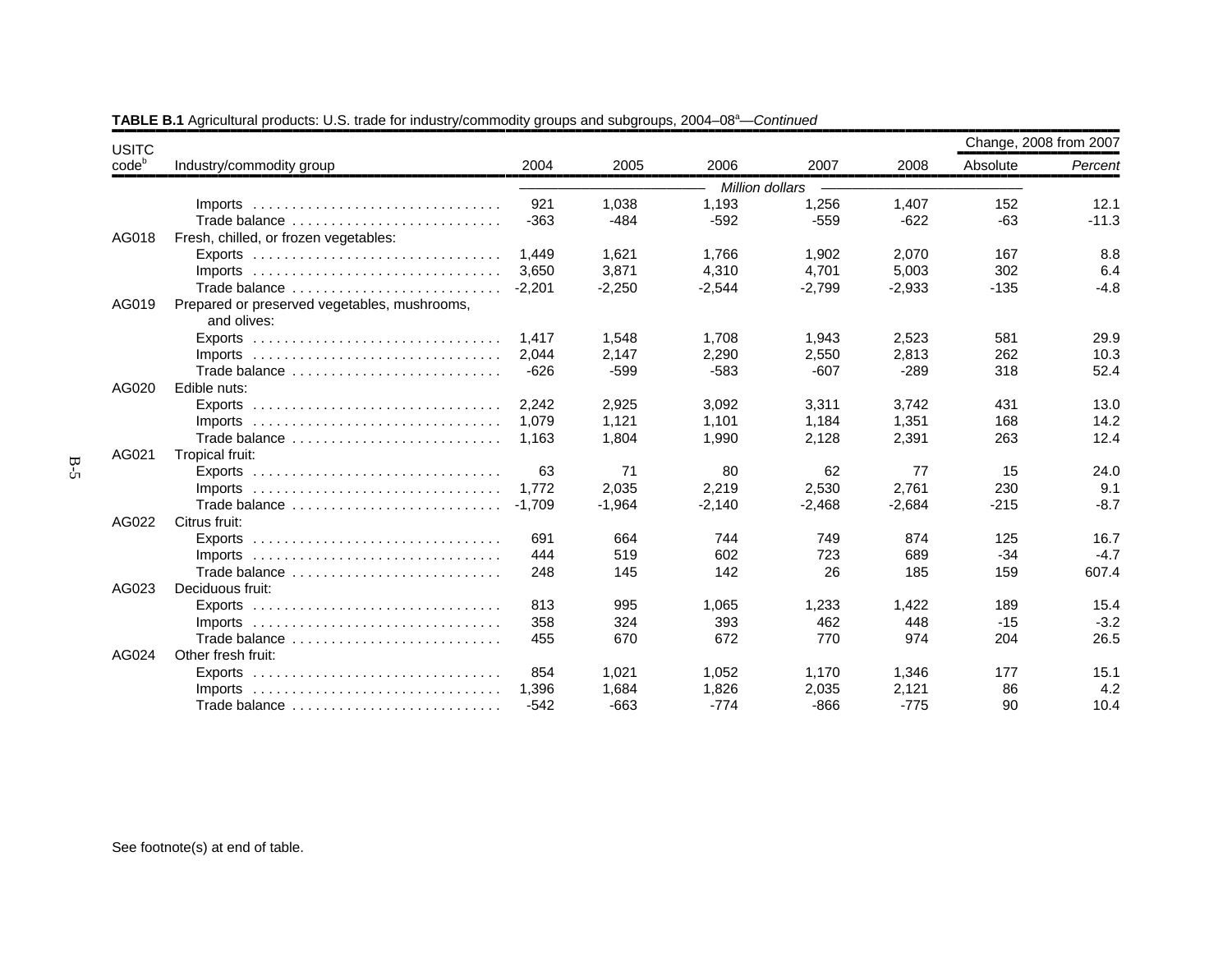| <b>USITC</b> |                                                                                 |          |          |                 |          |          | Change, 2008 from 2007 |         |
|--------------|---------------------------------------------------------------------------------|----------|----------|-----------------|----------|----------|------------------------|---------|
| $code^b$     | Industry/commodity group                                                        | 2004     | 2005     | 2006            | 2007     | 2008     | Absolute               | Percent |
|              |                                                                                 |          |          | Million dollars |          |          |                        |         |
|              | $Imports$                                                                       | 921      | 1,038    | 1,193           | 1,256    | 1,407    | 152                    | 12.1    |
|              | Trade balance                                                                   | $-363$   | $-484$   | $-592$          | $-559$   | $-622$   | $-63$                  | $-11.3$ |
| AG018        | Fresh, chilled, or frozen vegetables:                                           |          |          |                 |          |          |                        |         |
|              |                                                                                 | 1.449    | 1,621    | 1.766           | 1,902    | 2,070    | 167                    | 8.8     |
|              | Imports $\ldots \ldots \ldots \ldots \ldots \ldots \ldots \ldots \ldots \ldots$ | 3.650    | 3,871    | 4,310           | 4,701    | 5,003    | 302                    | 6.4     |
|              | Trade balance                                                                   | $-2,201$ | $-2,250$ | $-2,544$        | $-2,799$ | $-2,933$ | $-135$                 | $-4.8$  |
| AG019        | Prepared or preserved vegetables, mushrooms,<br>and olives:                     |          |          |                 |          |          |                        |         |
|              |                                                                                 | 1.417    | 1,548    | 1.708           | 1.943    | 2,523    | 581                    | 29.9    |
|              | Imports $\ldots \ldots \ldots \ldots \ldots \ldots \ldots \ldots \ldots \ldots$ | 2,044    | 2,147    | 2,290           | 2,550    | 2,813    | 262                    | 10.3    |
|              | Trade balance                                                                   | $-626$   | $-599$   | $-583$          | $-607$   | $-289$   | 318                    | 52.4    |
| AG020        | Edible nuts:                                                                    |          |          |                 |          |          |                        |         |
|              | Exports $\ldots \ldots \ldots \ldots \ldots \ldots \ldots \ldots \ldots \ldots$ | 2.242    | 2,925    | 3,092           | 3,311    | 3,742    | 431                    | 13.0    |
|              | $Imports$                                                                       | 1,079    | 1,121    | 1,101           | 1,184    | 1,351    | 168                    | 14.2    |
|              | Trade balance                                                                   | 1.163    | 1,804    | 1,990           | 2,128    | 2,391    | 263                    | 12.4    |
| AG021        | Tropical fruit:                                                                 |          |          |                 |          |          |                        |         |
|              | Exports $\ldots \ldots \ldots \ldots \ldots \ldots \ldots \ldots \ldots \ldots$ | 63       | 71       | 80              | 62       | 77       | 15                     | 24.0    |
|              | $Imports$                                                                       | 1,772    | 2,035    | 2,219           | 2,530    | 2,761    | 230                    | 9.1     |
|              | Trade balance                                                                   | $-1.709$ | $-1,964$ | $-2,140$        | $-2,468$ | $-2,684$ | $-215$                 | $-8.7$  |
| AG022        | Citrus fruit:                                                                   |          |          |                 |          |          |                        |         |
|              | Exports $\ldots \ldots \ldots \ldots \ldots \ldots \ldots \ldots \ldots \ldots$ | 691      | 664      | 744             | 749      | 874      | 125                    | 16.7    |
|              | $Imports$                                                                       | 444      | 519      | 602             | 723      | 689      | $-34$                  | $-4.7$  |
|              | Trade balance                                                                   | 248      | 145      | 142             | 26       | 185      | 159                    | 607.4   |
| AG023        | Deciduous fruit:                                                                |          |          |                 |          |          |                        |         |
|              |                                                                                 | 813      | 995      | 1.065           | 1,233    | 1.422    | 189                    | 15.4    |
|              | Imports $\ldots \ldots \ldots \ldots \ldots \ldots \ldots \ldots \ldots \ldots$ | 358      | 324      | 393             | 462      | 448      | $-15$                  | $-3.2$  |
|              | Trade balance                                                                   | 455      | 670      | 672             | 770      | 974      | 204                    | 26.5    |
| AG024        | Other fresh fruit:                                                              |          |          |                 |          |          |                        |         |
|              |                                                                                 | 854      | 1.021    | 1,052           | 1,170    | 1,346    | 177                    | 15.1    |
|              | $Imports$                                                                       | 1.396    | 1,684    | 1,826           | 2,035    | 2,121    | 86                     | 4.2     |
|              | Trade balance                                                                   | $-542$   | $-663$   | $-774$          | $-866$   | $-775$   | 90                     | 10.4    |

**TABLE B.1** Agricultural products: U.S. trade for industry/commodity groups and subgroups, 2004–08<sup>a</sup>—*Continued*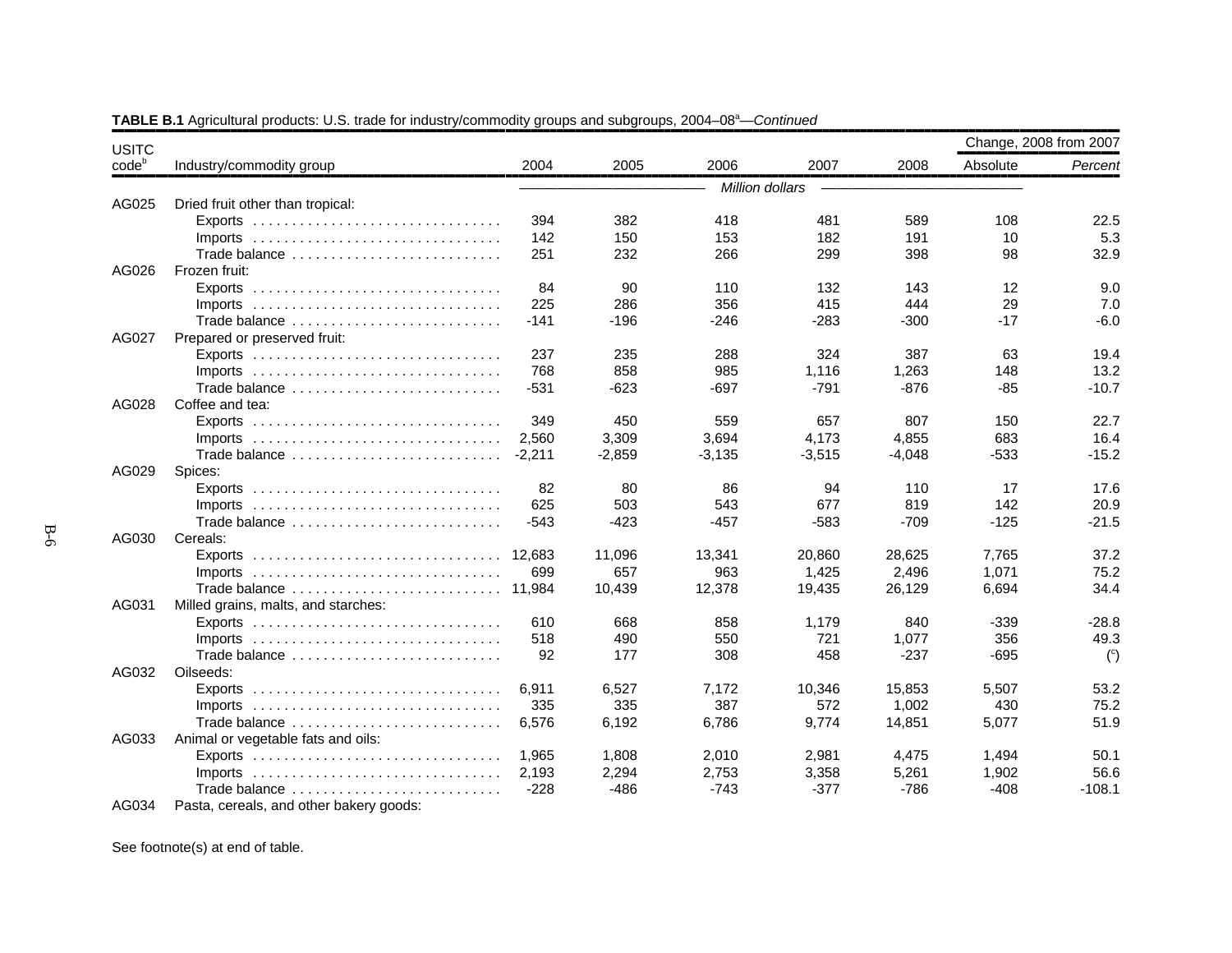| <b>USITC</b> |                                                                                 |          |          |          |                 |          |          | Change, 2008 from 2007 |
|--------------|---------------------------------------------------------------------------------|----------|----------|----------|-----------------|----------|----------|------------------------|
| $code^b$     | Industry/commodity group                                                        | 2004     | 2005     | 2006     | 2007            | 2008     | Absolute | Percent                |
|              |                                                                                 |          |          |          | Million dollars |          |          |                        |
| AG025        | Dried fruit other than tropical:                                                |          |          |          |                 |          |          |                        |
|              |                                                                                 | 394      | 382      | 418      | 481             | 589      | 108      | 22.5                   |
|              |                                                                                 | 142      | 150      | 153      | 182             | 191      | 10       | 5.3                    |
|              | Trade balance                                                                   | 251      | 232      | 266      | 299             | 398      | 98       | 32.9                   |
| AG026        | Frozen fruit:                                                                   |          |          |          |                 |          |          |                        |
|              |                                                                                 | 84       | 90       | 110      | 132             | 143      | 12       | 9.0                    |
|              |                                                                                 | 225      | 286      | 356      | 415             | 444      | 29       | 7.0                    |
|              | Trade balance                                                                   | $-141$   | $-196$   | $-246$   | $-283$          | $-300$   | $-17$    | $-6.0$                 |
| AG027        | Prepared or preserved fruit:                                                    |          |          |          |                 |          |          |                        |
|              |                                                                                 | 237      | 235      | 288      | 324             | 387      | 63       | 19.4                   |
|              | Imports $\ldots \ldots \ldots \ldots \ldots \ldots \ldots \ldots \ldots$        | 768      | 858      | 985      | 1,116           | 1,263    | 148      | 13.2                   |
|              | Trade balance                                                                   | $-531$   | $-623$   | $-697$   | $-791$          | $-876$   | $-85$    | $-10.7$                |
| AG028        | Coffee and tea:                                                                 |          |          |          |                 |          |          |                        |
|              |                                                                                 | 349      | 450      | 559      | 657             | 807      | 150      | 22.7                   |
|              | Imports $\ldots \ldots \ldots \ldots \ldots \ldots \ldots \ldots \ldots \ldots$ | 2,560    | 3,309    | 3,694    | 4,173           | 4,855    | 683      | 16.4                   |
|              | Trade balance                                                                   | $-2,211$ | $-2,859$ | $-3,135$ | $-3,515$        | $-4,048$ | $-533$   | $-15.2$                |
| AG029        | Spices:                                                                         |          |          |          |                 |          |          |                        |
|              |                                                                                 | 82       | 80       | 86       | 94              | 110      | 17       | 17.6                   |
|              |                                                                                 | 625      | 503      | 543      | 677             | 819      | 142      | 20.9                   |
|              | Trade balance                                                                   | $-543$   | $-423$   | $-457$   | $-583$          | $-709$   | $-125$   | $-21.5$                |
| AG030        | Cereals:                                                                        |          |          |          |                 |          |          |                        |
|              | Exports $\ldots \ldots \ldots \ldots \ldots \ldots \ldots \ldots \ldots \ldots$ | 12.683   | 11,096   | 13,341   | 20,860          | 28,625   | 7,765    | 37.2                   |
|              | Imports $\ldots \ldots \ldots \ldots \ldots \ldots \ldots \ldots \ldots$        | 699      | 657      | 963      | 1,425           | 2,496    | 1,071    | 75.2                   |
|              | Trade balance  11,984                                                           |          | 10,439   | 12,378   | 19,435          | 26,129   | 6,694    | 34.4                   |
| AG031        | Milled grains, malts, and starches:                                             |          |          |          |                 |          |          |                        |
|              |                                                                                 | 610      | 668      | 858      | 1,179           | 840      | $-339$   | $-28.8$                |
|              | Imports $\ldots \ldots \ldots \ldots \ldots \ldots \ldots \ldots \ldots \ldots$ | 518      | 490      | 550      | 721             | 1,077    | 356      | 49.3                   |
|              | Trade balance                                                                   | 92       | 177      | 308      | 458             | $-237$   | $-695$   | $\binom{c}{c}$         |
| AG032        | Oilseeds:                                                                       |          |          |          |                 |          |          |                        |
|              |                                                                                 | 6,911    | 6,527    | 7,172    | 10,346          | 15,853   | 5,507    | 53.2                   |
|              | $Imports$                                                                       | 335      | 335      | 387      | 572             | 1.002    | 430      | 75.2                   |
|              | Trade balance                                                                   | 6,576    | 6,192    | 6,786    | 9,774           | 14,851   | 5,077    | 51.9                   |
| AG033        | Animal or vegetable fats and oils:                                              |          |          |          |                 |          |          |                        |
|              |                                                                                 | 1,965    | 1,808    | 2,010    | 2,981           | 4,475    | 1,494    | 50.1                   |
|              |                                                                                 | 2,193    | 2,294    | 2,753    | 3,358           | 5,261    | 1,902    | 56.6                   |
|              | Trade balance                                                                   | $-228$   | $-486$   | $-743$   | $-377$          | $-786$   | $-408$   | $-108.1$               |
| AG034        | Pasta, cereals, and other bakery goods:                                         |          |          |          |                 |          |          |                        |

**TABLE B.1** Agricultural products: U.S. trade for industry/commodity groups and subgroups, 2004–08<sup>a</sup>—*Continued*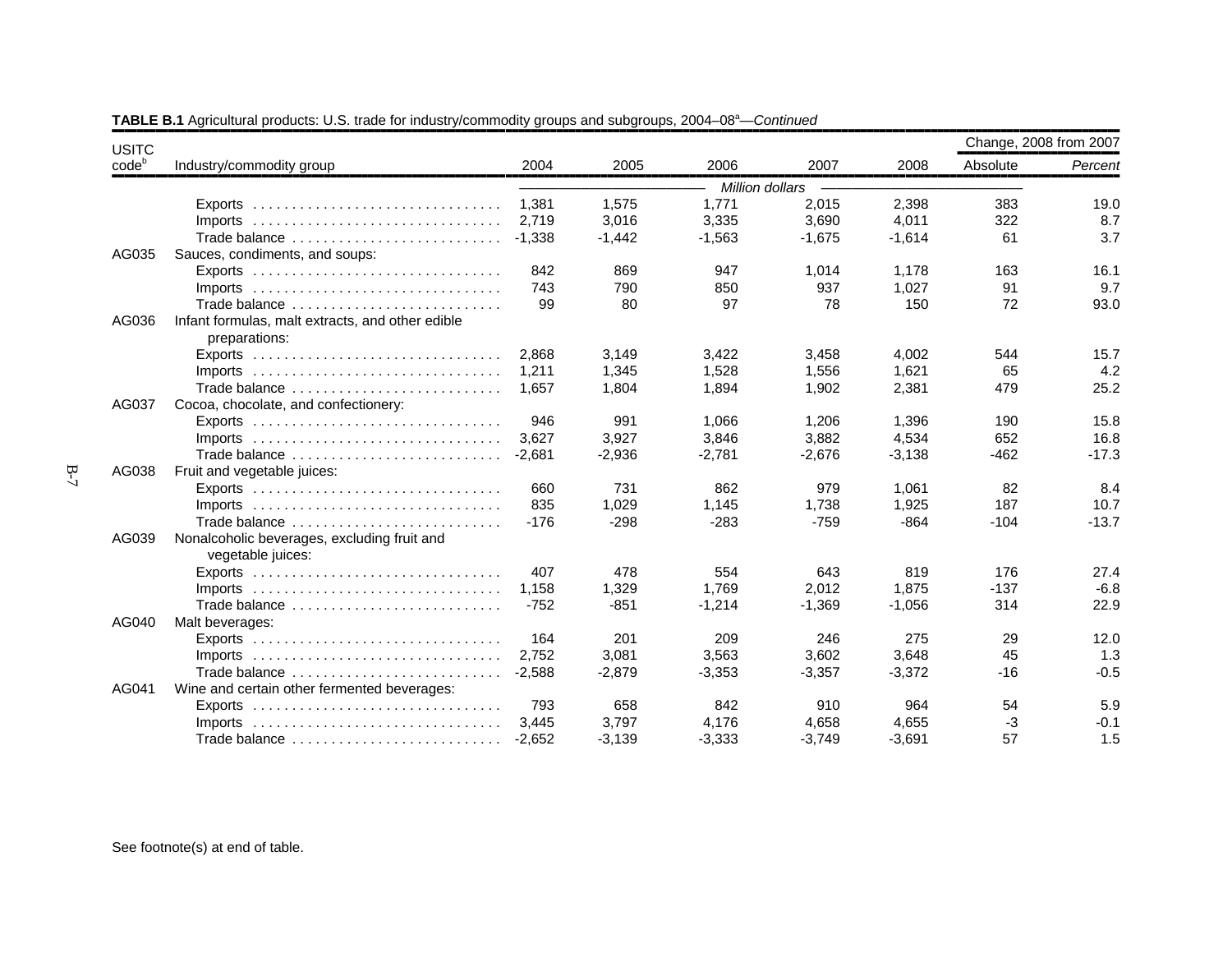| <b>USITC</b> |                                                                                 |          |          |                 |          |          |          | Change, 2008 from 2007 |
|--------------|---------------------------------------------------------------------------------|----------|----------|-----------------|----------|----------|----------|------------------------|
| $code^b$     | Industry/commodity group                                                        | 2004     | 2005     | 2006            | 2007     | 2008     | Absolute | Percent                |
|              |                                                                                 |          |          | Million dollars |          |          |          |                        |
|              |                                                                                 | 1,381    | 1,575    | 1,771           | 2,015    | 2,398    | 383      | 19.0                   |
|              |                                                                                 | 2.719    | 3,016    | 3,335           | 3,690    | 4,011    | 322      | 8.7                    |
|              | Trade balance                                                                   | $-1.338$ | $-1,442$ | $-1,563$        | $-1,675$ | $-1,614$ | 61       | 3.7                    |
| AG035        | Sauces, condiments, and soups:                                                  |          |          |                 |          |          |          |                        |
|              | Exports $\ldots \ldots \ldots \ldots \ldots \ldots \ldots \ldots \ldots \ldots$ | 842      | 869      | 947             | 1,014    | 1,178    | 163      | 16.1                   |
|              |                                                                                 | 743      | 790      | 850             | 937      | 1,027    | 91       | 9.7                    |
|              | Trade balance                                                                   | 99       | 80       | 97              | 78       | 150      | 72       | 93.0                   |
| AG036        | Infant formulas, malt extracts, and other edible                                |          |          |                 |          |          |          |                        |
|              | preparations:                                                                   |          |          |                 |          |          |          |                        |
|              | $Exports$                                                                       | 2,868    | 3,149    | 3,422           | 3,458    | 4,002    | 544      | 15.7                   |
|              | Imports $\ldots \ldots \ldots \ldots \ldots \ldots \ldots \ldots \ldots \ldots$ | 1,211    | 1,345    | 1,528           | 1,556    | 1,621    | 65       | 4.2                    |
|              | Trade balance                                                                   | 1.657    | 1.804    | 1,894           | 1,902    | 2,381    | 479      | 25.2                   |
| AG037        | Cocoa, chocolate, and confectionery:                                            |          |          |                 |          |          |          |                        |
|              |                                                                                 | 946      | 991      | 1,066           | 1,206    | 1,396    | 190      | 15.8                   |
|              | Imports $\ldots \ldots \ldots \ldots \ldots \ldots \ldots \ldots \ldots \ldots$ | 3.627    | 3,927    | 3,846           | 3,882    | 4,534    | 652      | 16.8                   |
|              | Trade balance                                                                   | $-2.681$ | $-2,936$ | $-2.781$        | $-2,676$ | $-3,138$ | $-462$   | $-17.3$                |
| AG038        | Fruit and vegetable juices:                                                     |          |          |                 |          |          |          |                        |
|              | Exports $\ldots \ldots \ldots \ldots \ldots \ldots \ldots \ldots \ldots \ldots$ | 660      | 731      | 862             | 979      | 1,061    | 82       | 8.4                    |
|              | $Imports$                                                                       | 835      | 1,029    | 1,145           | 1.738    | 1,925    | 187      | 10.7                   |
|              | Trade balance                                                                   | $-176$   | $-298$   | $-283$          | $-759$   | $-864$   | $-104$   | $-13.7$                |
| AG039        | Nonalcoholic beverages, excluding fruit and                                     |          |          |                 |          |          |          |                        |
|              | vegetable juices:                                                               |          |          |                 |          |          |          |                        |
|              | Exports $\ldots \ldots \ldots \ldots \ldots \ldots \ldots \ldots \ldots \ldots$ | 407      | 478      | 554             | 643      | 819      | 176      | 27.4                   |
|              |                                                                                 | 1,158    | 1,329    | 1,769           | 2,012    | 1,875    | $-137$   | $-6.8$                 |
|              | Trade balance                                                                   | $-752$   | $-851$   | $-1,214$        | $-1,369$ | $-1.056$ | 314      | 22.9                   |
| AG040        | Malt beverages:                                                                 |          |          |                 |          |          |          |                        |
|              |                                                                                 | 164      | 201      | 209             | 246      | 275      | 29       | 12.0                   |
|              |                                                                                 | 2.752    | 3,081    | 3,563           | 3,602    | 3,648    | 45       | 1.3                    |
|              | Trade balance                                                                   | $-2.588$ | $-2,879$ | $-3,353$        | $-3,357$ | $-3,372$ | $-16$    | $-0.5$                 |
| AG041        | Wine and certain other fermented beverages:                                     |          |          |                 |          |          |          |                        |
|              |                                                                                 | 793      | 658      | 842             | 910      | 964      | 54       | 5.9                    |
|              | $Imports$                                                                       | 3.445    | 3.797    | 4.176           | 4,658    | 4,655    | $-3$     | $-0.1$                 |
|              |                                                                                 | $-2,652$ | $-3,139$ | $-3,333$        | $-3,749$ | $-3,691$ | 57       | 1.5                    |

**TABLE B.1** Agricultural products: U.S. trade for industry/commodity groups and subgroups, 2004–08<sup>a</sup>—*Continued*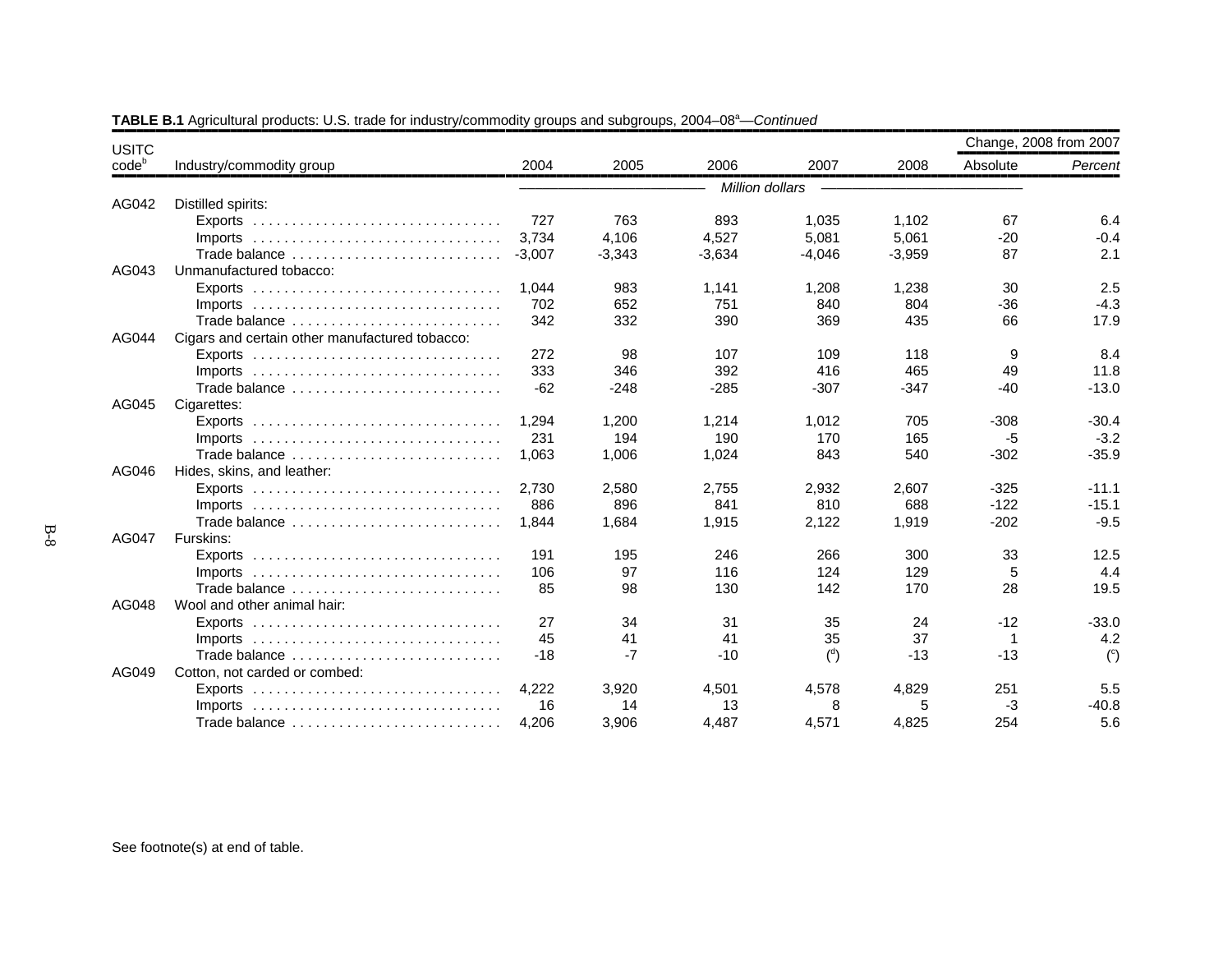| <b>USITC</b>      |                                                                                 |          |          |                 |                |          | Change, 2008 from 2007 |                |
|-------------------|---------------------------------------------------------------------------------|----------|----------|-----------------|----------------|----------|------------------------|----------------|
| code <sup>b</sup> | Industry/commodity group                                                        | 2004     | 2005     | 2006            | 2007           | 2008     | Absolute               | Percent        |
|                   |                                                                                 |          |          | Million dollars |                |          |                        |                |
| AG042             | Distilled spirits:                                                              |          |          |                 |                |          |                        |                |
|                   |                                                                                 | 727      | 763      | 893             | 1,035          | 1,102    | 67                     | 6.4            |
|                   | $Imports$                                                                       | 3.734    | 4.106    | 4.527           | 5.081          | 5.061    | $-20$                  | $-0.4$         |
|                   | Trade balance                                                                   | $-3,007$ | $-3,343$ | $-3,634$        | $-4,046$       | $-3,959$ | 87                     | 2.1            |
| AG043             | Unmanufactured tobacco:                                                         |          |          |                 |                |          |                        |                |
|                   |                                                                                 | 1,044    | 983      | 1,141           | 1,208          | 1,238    | 30                     | 2.5            |
|                   | Imports $\ldots \ldots \ldots \ldots \ldots \ldots \ldots \ldots \ldots \ldots$ | 702      | 652      | 751             | 840            | 804      | $-36$                  | $-4.3$         |
|                   | Trade balance                                                                   | 342      | 332      | 390             | 369            | 435      | 66                     | 17.9           |
| AG044             | Cigars and certain other manufactured tobacco:                                  |          |          |                 |                |          |                        |                |
|                   |                                                                                 | 272      | 98       | 107             | 109            | 118      | 9                      | 8.4            |
|                   | $Imports$                                                                       | 333      | 346      | 392             | 416            | 465      | 49                     | 11.8           |
|                   | Trade balance                                                                   | $-62$    | $-248$   | $-285$          | $-307$         | $-347$   | $-40$                  | $-13.0$        |
| AG045             | Cigarettes:                                                                     |          |          |                 |                |          |                        |                |
|                   |                                                                                 | 1.294    | 1,200    | 1,214           | 1,012          | 705      | $-308$                 | $-30.4$        |
|                   | Imports $\ldots \ldots \ldots \ldots \ldots \ldots \ldots \ldots \ldots \ldots$ | 231      | 194      | 190             | 170            | 165      | -5                     | $-3.2$         |
|                   | Trade balance                                                                   | 1.063    | 1,006    | 1,024           | 843            | 540      | $-302$                 | $-35.9$        |
| AG046             | Hides, skins, and leather:                                                      |          |          |                 |                |          |                        |                |
|                   | $Exports$                                                                       | 2.730    | 2,580    | 2,755           | 2,932          | 2,607    | $-325$                 | $-11.1$        |
|                   | $Imports$                                                                       | 886      | 896      | 841             | 810            | 688      | $-122$                 | $-15.1$        |
|                   | Trade balance                                                                   | 1.844    | 1,684    | 1,915           | 2,122          | 1,919    | $-202$                 | $-9.5$         |
| AG047             | Furskins:                                                                       |          |          |                 |                |          |                        |                |
|                   | Exports $\ldots \ldots \ldots \ldots \ldots \ldots \ldots \ldots \ldots \ldots$ | 191      | 195      | 246             | 266            | 300      | 33                     | 12.5           |
|                   | $Imports$                                                                       | 106      | 97       | 116             | 124            | 129      | 5                      | 4.4            |
|                   | Trade balance                                                                   | 85       | 98       | 130             | 142            | 170      | 28                     | 19.5           |
| AG048             | Wool and other animal hair:                                                     |          |          |                 |                |          |                        |                |
|                   |                                                                                 | 27       | 34       | 31              | 35             | 24       | $-12$                  | $-33.0$        |
|                   | Imports $\ldots \ldots \ldots \ldots \ldots \ldots \ldots \ldots \ldots \ldots$ | 45       | 41       | 41              | 35             | 37       | -1                     | 4.2            |
|                   | Trade balance                                                                   | $-18$    | $-7$     | $-10$           | $\binom{d}{ }$ | $-13$    | $-13$                  | $\binom{c}{c}$ |
| AG049             | Cotton, not carded or combed:                                                   |          |          |                 |                |          |                        |                |
|                   |                                                                                 | 4.222    | 3,920    | 4.501           | 4,578          | 4,829    | 251                    | 5.5            |
|                   | $Imports$                                                                       | 16       | 14       | 13              | 8              | 5        | -3                     | $-40.8$        |
|                   | Trade balance                                                                   | 4,206    | 3,906    | 4,487           | 4,571          | 4,825    | 254                    | 5.6            |

**TABLE B.1** Agricultural products: U.S. trade for industry/commodity groups and subgroups, 2004–08<sup>a</sup>—*Continued*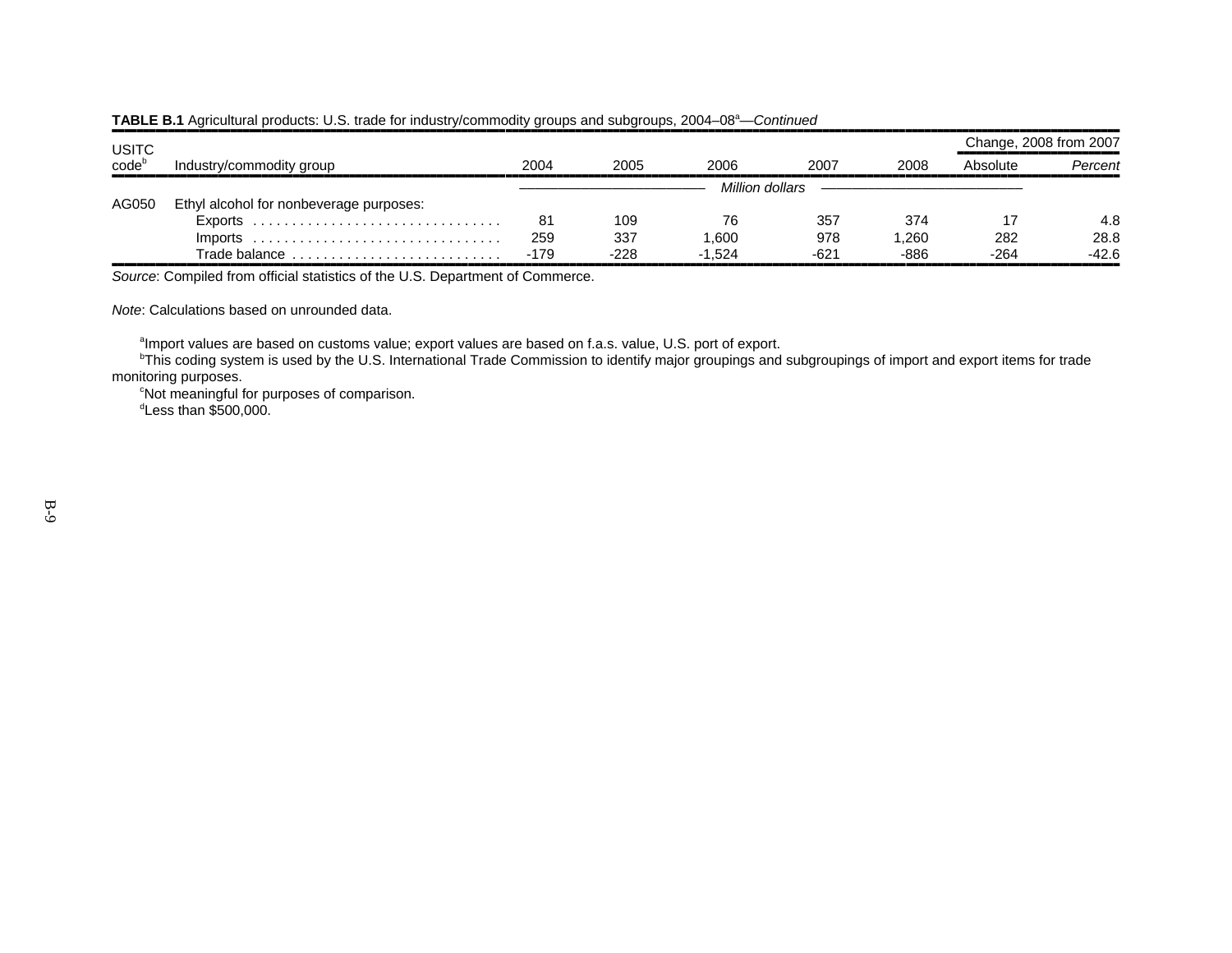|                            |                                         |        |        |          |                 |       |          | Change, 2008 from 2007 |
|----------------------------|-----------------------------------------|--------|--------|----------|-----------------|-------|----------|------------------------|
| USITC<br>code <sup>b</sup> | Industry/commodity group                | 2004   | 2005   | 2006.    | 2007            | 2008  | Absolute | Percent                |
|                            |                                         |        |        |          | Million dollars |       |          |                        |
| AG050                      | Ethyl alcohol for nonbeverage purposes: |        |        |          |                 |       |          |                        |
|                            |                                         | 81     | 109    | 76       | 357             | 374   |          | 4.8                    |
|                            | $Imports$                               | 259    | 337    | .600     | 978             | 1.260 | 282      | 28.8                   |
|                            | Trade balance                           | $-179$ | $-228$ | $-1.524$ | $-621$          | -886  | $-264$   | $-42.6$                |

#### **TABLE B.1** Agricultural products: U.S. trade for industry/commodity groups and subgroups, 2004–08<sup>a</sup>—*Continued*

,,,,,,,,,,,,,,,,,,,,,,,,,,,,,,,,,,,,,,,,,,,,,,,,,,,,,,,,,,,,,,,,,,,,,,,,,,,,,,,,,,,,,,,,,,,,,,,,,,,,,,,,,,,,,,,,,,,,,,,,,,,,,,,,,,,,,,,,,,,,,,,,,,,,,,,,,,,,,,,,*Source*: Compiled from official statistics of the U.S. Department of Commerce.

*Note*: Calculations based on unrounded data.

 $^{\text{a}}$ Import values are based on customs value; export values are based on f.a.s. value, U.S. port of export.

 $^{\rm b}$ This coding system is used by the U.S. International Trade Commission to identify major groupings and subgroupings of import and export items for trade monitoring purposes.

 $^\mathrm{c}$ Not meaningful for purposes of comparison.  $^{\text{\tiny d}}$ Less than \$500,000.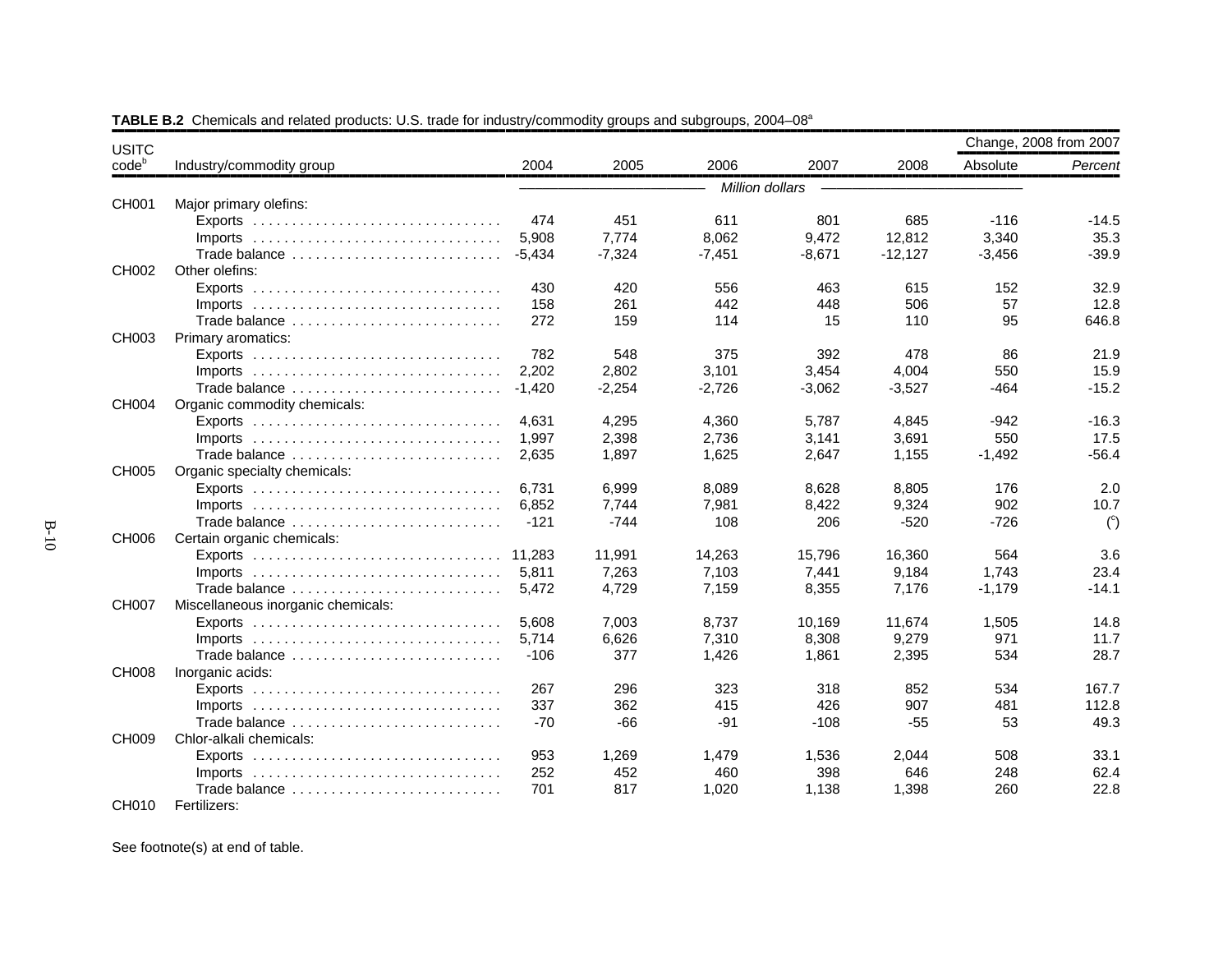| <b>USITC</b>      |                                                                                 |          |          |                 |          |           |          | Change, 2008 from 2007 |
|-------------------|---------------------------------------------------------------------------------|----------|----------|-----------------|----------|-----------|----------|------------------------|
| code <sup>b</sup> | Industry/commodity group                                                        | 2004     | 2005     | 2006            | 2007     | 2008      | Absolute | Percent                |
|                   |                                                                                 |          |          | Million dollars |          |           |          |                        |
| CH001             | Major primary olefins:                                                          |          |          |                 |          |           |          |                        |
|                   |                                                                                 | 474      | 451      | 611             | 801      | 685       | $-116$   | $-14.5$                |
|                   | $Imports$                                                                       | 5,908    | 7,774    | 8,062           | 9,472    | 12,812    | 3,340    | 35.3                   |
|                   | Trade balance                                                                   | $-5,434$ | $-7,324$ | $-7,451$        | $-8,671$ | $-12,127$ | $-3,456$ | $-39.9$                |
| CH002             | Other olefins:                                                                  |          |          |                 |          |           |          |                        |
|                   | Exports $\ldots \ldots \ldots \ldots \ldots \ldots \ldots \ldots \ldots \ldots$ | 430      | 420      | 556             | 463      | 615       | 152      | 32.9                   |
|                   |                                                                                 | 158      | 261      | 442             | 448      | 506       | 57       | 12.8                   |
|                   | Trade balance                                                                   | 272      | 159      | 114             | 15       | 110       | 95       | 646.8                  |
| CH003             | Primary aromatics:                                                              |          |          |                 |          |           |          |                        |
|                   |                                                                                 | 782      | 548      | 375             | 392      | 478       | 86       | 21.9                   |
|                   |                                                                                 | 2.202    | 2,802    | 3,101           | 3,454    | 4,004     | 550      | 15.9                   |
|                   | Trade balance                                                                   | $-1.420$ | $-2,254$ | $-2,726$        | $-3,062$ | $-3,527$  | -464     | $-15.2$                |
| CH004             | Organic commodity chemicals:                                                    |          |          |                 |          |           |          |                        |
|                   |                                                                                 | 4.631    | 4,295    | 4,360           | 5,787    | 4,845     | $-942$   | $-16.3$                |
|                   |                                                                                 | 1,997    | 2,398    | 2,736           | 3,141    | 3,691     | 550      | 17.5                   |
|                   | Trade balance                                                                   | 2,635    | 1,897    | 1,625           | 2,647    | 1,155     | $-1,492$ | $-56.4$                |
| <b>CH005</b>      | Organic specialty chemicals:                                                    |          |          |                 |          |           |          |                        |
|                   |                                                                                 | 6,731    | 6,999    | 8,089           | 8,628    | 8,805     | 176      | 2.0                    |
|                   | $Imports$                                                                       | 6,852    | 7,744    | 7,981           | 8,422    | 9,324     | 902      | 10.7                   |
|                   | Trade balance                                                                   | $-121$   | $-744$   | 108             | 206      | $-520$    | $-726$   | $\binom{c}{c}$         |
| CH006             | Certain organic chemicals:                                                      |          |          |                 |          |           |          |                        |
|                   |                                                                                 | 11.283   | 11,991   | 14,263          | 15,796   | 16,360    | 564      | 3.6                    |
|                   |                                                                                 | 5.811    | 7,263    | 7,103           | 7,441    | 9,184     | 1.743    | 23.4                   |
|                   | Trade balance                                                                   | 5,472    | 4,729    | 7,159           | 8,355    | 7,176     | $-1,179$ | $-14.1$                |
| <b>CH007</b>      | Miscellaneous inorganic chemicals:                                              |          |          |                 |          |           |          |                        |
|                   |                                                                                 | 5,608    | 7,003    | 8,737           | 10,169   | 11,674    | 1,505    | 14.8                   |
|                   | $Imports$                                                                       | 5,714    | 6,626    | 7,310           | 8,308    | 9,279     | 971      | 11.7                   |
|                   | Trade balance                                                                   | $-106$   | 377      | 1,426           | 1,861    | 2,395     | 534      | 28.7                   |
| <b>CH008</b>      | Inorganic acids:                                                                |          |          |                 |          |           |          |                        |
|                   |                                                                                 | 267      | 296      | 323             | 318      | 852       | 534      | 167.7                  |
|                   | $Imports$                                                                       | 337      | 362      | 415             | 426      | 907       | 481      | 112.8                  |
|                   | Trade balance                                                                   | $-70$    | $-66$    | $-91$           | $-108$   | $-55$     | 53       | 49.3                   |
| <b>CH009</b>      | Chlor-alkali chemicals:                                                         |          |          |                 |          |           |          |                        |
|                   |                                                                                 | 953      | 1,269    | 1.479           | 1.536    | 2.044     | 508      | 33.1                   |
|                   | $Imports$                                                                       | 252      | 452      | 460             | 398      | 646       | 248      | 62.4                   |
|                   | Trade balance                                                                   | 701      | 817      | 1,020           | 1,138    | 1,398     | 260      | 22.8                   |
| CH010             | Fertilizers:                                                                    |          |          |                 |          |           |          |                        |

**TABLE B.2** Chemicals and related products: U.S. trade for industry/commodity groups and subgroups, 2004–08<sup>a</sup>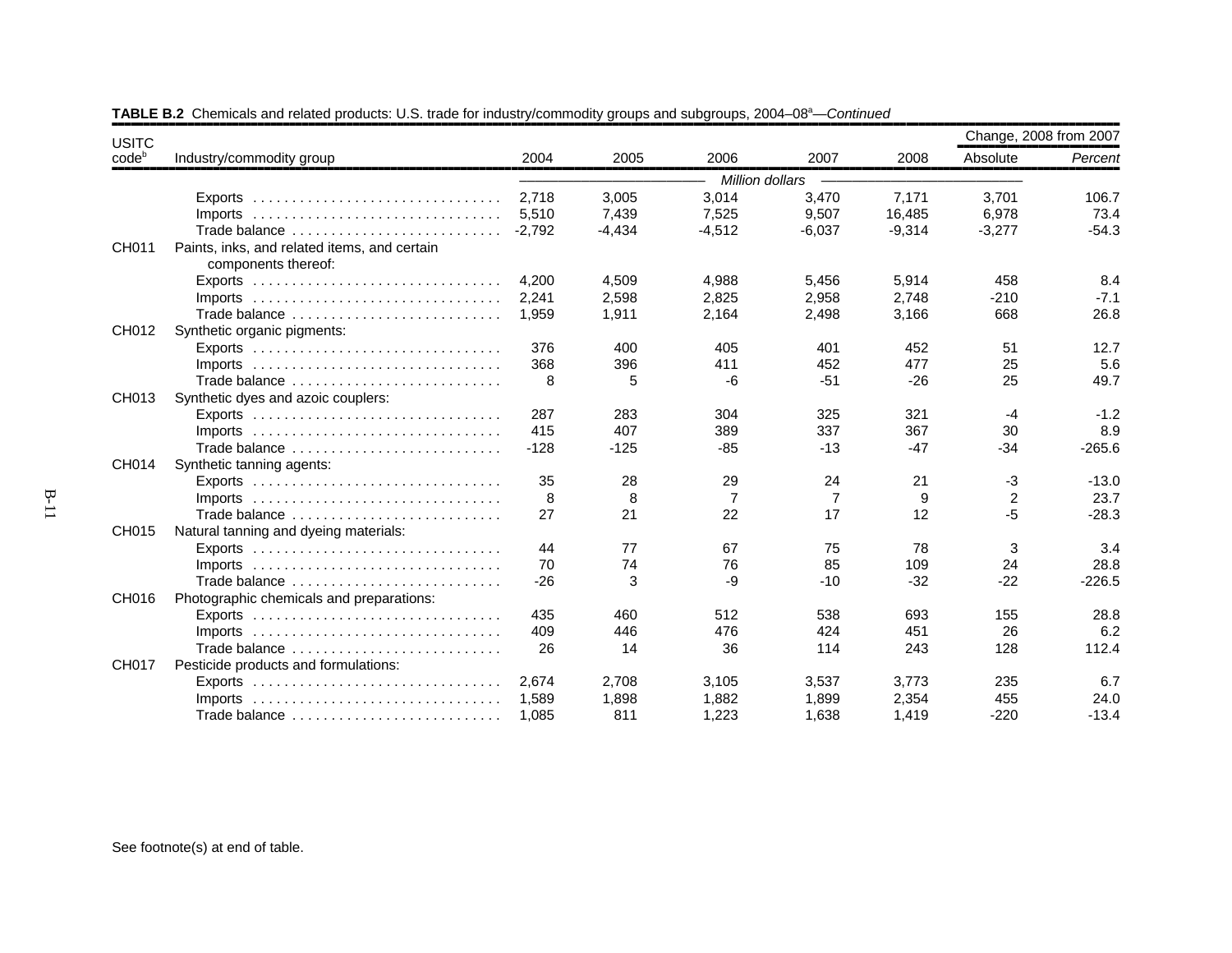| <b>USITC</b>      |                                                                                 |          |          |                 |                |          | Change, 2008 from 2007 |          |
|-------------------|---------------------------------------------------------------------------------|----------|----------|-----------------|----------------|----------|------------------------|----------|
| code <sup>b</sup> | Industry/commodity group                                                        | 2004     | 2005     | 2006            | 2007           | 2008     | Absolute               | Percent  |
|                   |                                                                                 |          |          | Million dollars |                |          |                        |          |
|                   | Exports $\ldots \ldots \ldots \ldots \ldots \ldots \ldots \ldots \ldots \ldots$ | 2,718    | 3,005    | 3,014           | 3,470          | 7,171    | 3,701                  | 106.7    |
|                   | Imports $\ldots \ldots \ldots \ldots \ldots \ldots \ldots \ldots \ldots \ldots$ | 5,510    | 7,439    | 7,525           | 9,507          | 16,485   | 6,978                  | 73.4     |
|                   | Trade balance                                                                   | $-2.792$ | $-4,434$ | $-4,512$        | $-6,037$       | $-9,314$ | $-3,277$               | $-54.3$  |
| CH011             | Paints, inks, and related items, and certain<br>components thereof:             |          |          |                 |                |          |                        |          |
|                   |                                                                                 | 4.200    | 4,509    | 4,988           | 5,456          | 5,914    | 458                    | 8.4      |
|                   |                                                                                 | 2,241    | 2,598    | 2,825           | 2,958          | 2,748    | $-210$                 | $-7.1$   |
|                   | Trade balance                                                                   | 1,959    | 1,911    | 2,164           | 2,498          | 3,166    | 668                    | 26.8     |
| CH012             | Synthetic organic pigments:                                                     |          |          |                 |                |          |                        |          |
|                   |                                                                                 | 376      | 400      | 405             | 401            | 452      | 51                     | 12.7     |
|                   | Imports $\ldots \ldots \ldots \ldots \ldots \ldots \ldots \ldots \ldots \ldots$ | 368      | 396      | 411             | 452            | 477      | 25                     | 5.6      |
|                   | Trade balance                                                                   | 8        | 5        | -6              | $-51$          | $-26$    | 25                     | 49.7     |
| CH013             | Synthetic dyes and azoic couplers:                                              |          |          |                 |                |          |                        |          |
|                   |                                                                                 | 287      | 283      | 304             | 325            | 321      | $-4$                   | $-1.2$   |
|                   |                                                                                 | 415      | 407      | 389             | 337            | 367      | 30                     | 8.9      |
|                   | Trade balance                                                                   | $-128$   | $-125$   | $-85$           | $-13$          | $-47$    | $-34$                  | $-265.6$ |
| CH014             | Synthetic tanning agents:                                                       |          |          |                 |                |          |                        |          |
|                   |                                                                                 | 35       | 28       | 29              | 24             | 21       | -3                     | $-13.0$  |
|                   | $Imports$                                                                       | 8        | 8        | $\overline{7}$  | $\overline{7}$ | 9        | 2                      | 23.7     |
|                   | Trade balance                                                                   | 27       | 21       | 22              | 17             | 12       | -5                     | $-28.3$  |
| CH015             | Natural tanning and dyeing materials:                                           |          |          |                 |                |          |                        |          |
|                   | Exports $\ldots \ldots \ldots \ldots \ldots \ldots \ldots \ldots \ldots \ldots$ | 44       | 77       | 67              | 75             | 78       | 3                      | 3.4      |
|                   | Imports $\ldots \ldots \ldots \ldots \ldots \ldots \ldots \ldots \ldots \ldots$ | 70       | 74       | 76              | 85             | 109      | 24                     | 28.8     |
|                   | Trade balance                                                                   | $-26$    | 3        | -9              | $-10$          | $-32$    | $-22$                  | $-226.5$ |
| CH016             | Photographic chemicals and preparations:                                        |          |          |                 |                |          |                        |          |
|                   |                                                                                 | 435      | 460      | 512             | 538            | 693      | 155                    | 28.8     |
|                   | $Imports$                                                                       | 409      | 446      | 476             | 424            | 451      | 26                     | 6.2      |
|                   | Trade balance                                                                   | 26       | 14       | 36              | 114            | 243      | 128                    | 112.4    |
| CH017             | Pesticide products and formulations:                                            |          |          |                 |                |          |                        |          |
|                   | Exports $\ldots \ldots \ldots \ldots \ldots \ldots \ldots \ldots \ldots \ldots$ | 2,674    | 2,708    | 3,105           | 3,537          | 3,773    | 235                    | 6.7      |
|                   | $Imports$                                                                       | 1.589    | 1,898    | 1,882           | 1,899          | 2,354    | 455                    | 24.0     |
|                   | Trade balance                                                                   | 1,085    | 811      | 1,223           | 1,638          | 1,419    | $-220$                 | $-13.4$  |

TABLE B.2 Chemicals and related products: U.S. trade for industry/commodity groups and subgroups, 2004–08<sup>a</sup>—*Continued*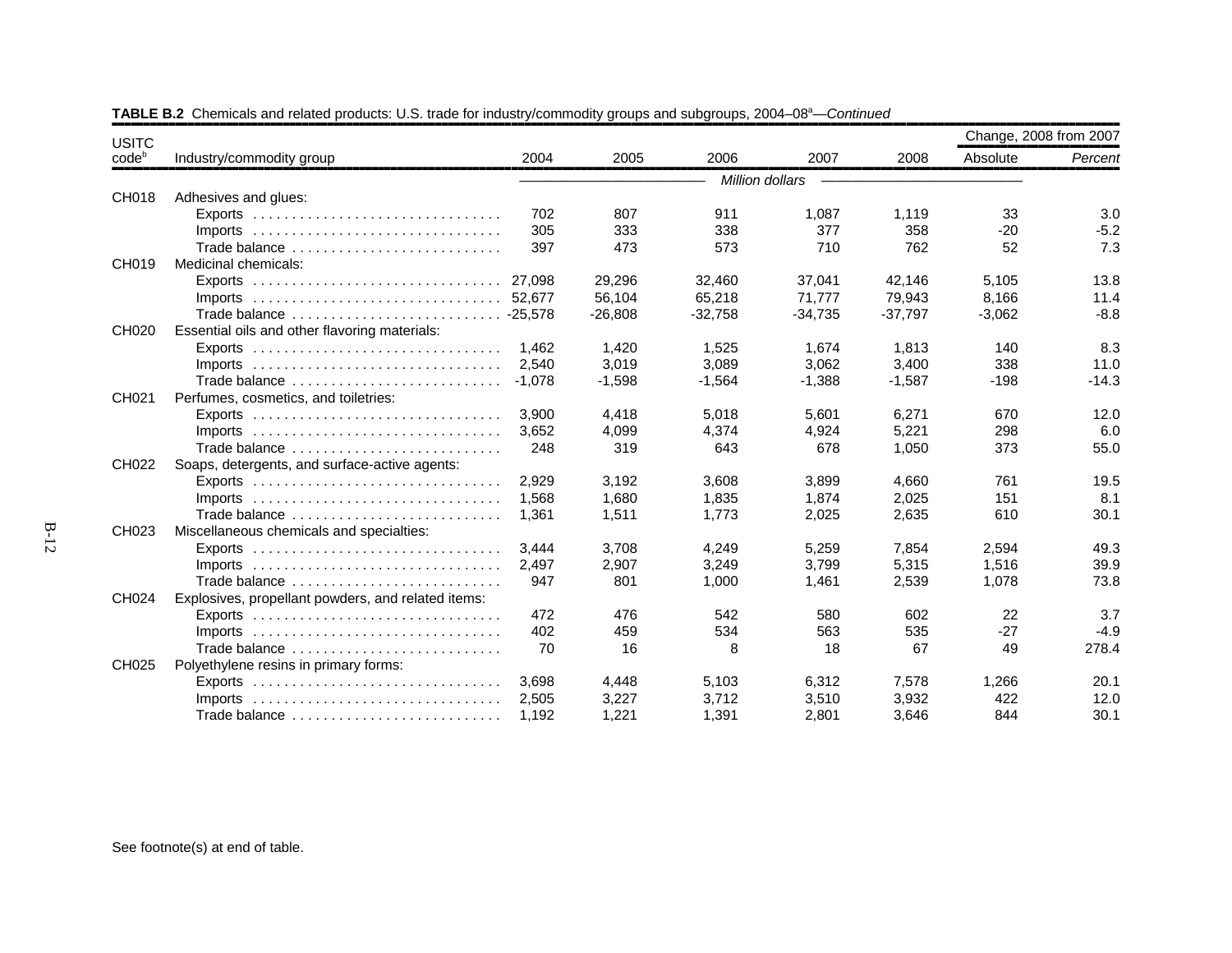| <b>USITC</b> |                                                                                 |          |           |           |                 |           | Change, 2008 from 2007 |         |
|--------------|---------------------------------------------------------------------------------|----------|-----------|-----------|-----------------|-----------|------------------------|---------|
| $code^b$     | Industry/commodity group                                                        | 2004     | 2005      | 2006      | 2007            | 2008      | Absolute               | Percent |
|              |                                                                                 |          |           |           | Million dollars |           |                        |         |
| CH018        | Adhesives and glues:                                                            |          |           |           |                 |           |                        |         |
|              |                                                                                 | 702      | 807       | 911       | 1,087           | 1,119     | 33                     | 3.0     |
|              | $Imports$                                                                       | 305      | 333       | 338       | 377             | 358       | $-20$                  | $-5.2$  |
|              | Trade balance                                                                   | 397      | 473       | 573       | 710             | 762       | 52                     | 7.3     |
| CH019        | Medicinal chemicals:                                                            |          |           |           |                 |           |                        |         |
|              |                                                                                 | 27.098   | 29,296    | 32,460    | 37,041          | 42,146    | 5,105                  | 13.8    |
|              | Imports $\ldots \ldots \ldots \ldots \ldots \ldots \ldots \ldots \ldots \ldots$ | 52,677   | 56,104    | 65,218    | 71,777          | 79,943    | 8,166                  | 11.4    |
|              |                                                                                 |          | $-26,808$ | $-32,758$ | $-34,735$       | $-37,797$ | $-3,062$               | $-8.8$  |
| CH020        | Essential oils and other flavoring materials:                                   |          |           |           |                 |           |                        |         |
|              |                                                                                 | 1.462    | 1,420     | 1,525     | 1,674           | 1,813     | 140                    | 8.3     |
|              | Imports $\ldots \ldots \ldots \ldots \ldots \ldots \ldots \ldots \ldots \ldots$ | 2.540    | 3,019     | 3,089     | 3,062           | 3,400     | 338                    | 11.0    |
|              | Trade balance                                                                   | $-1,078$ | $-1,598$  | $-1,564$  | $-1,388$        | $-1,587$  | $-198$                 | $-14.3$ |
| CH021        | Perfumes, cosmetics, and toiletries:                                            |          |           |           |                 |           |                        |         |
|              |                                                                                 | 3.900    | 4,418     | 5,018     | 5,601           | 6,271     | 670                    | 12.0    |
|              | $Imports$                                                                       | 3,652    | 4,099     | 4,374     | 4,924           | 5,221     | 298                    | 6.0     |
|              | Trade balance                                                                   | 248      | 319       | 643       | 678             | 1,050     | 373                    | 55.0    |
| CH022        | Soaps, detergents, and surface-active agents:                                   |          |           |           |                 |           |                        |         |
|              |                                                                                 | 2.929    | 3,192     | 3,608     | 3,899           | 4,660     | 761                    | 19.5    |
|              | $Imports$                                                                       | 1.568    | 1,680     | 1,835     | 1,874           | 2,025     | 151                    | 8.1     |
|              | Trade balance                                                                   | 1,361    | 1,511     | 1,773     | 2,025           | 2,635     | 610                    | 30.1    |
| CH023        | Miscellaneous chemicals and specialties:                                        |          |           |           |                 |           |                        |         |
|              |                                                                                 | 3.444    | 3,708     | 4,249     | 5,259           | 7,854     | 2,594                  | 49.3    |
|              | Imports $\ldots \ldots \ldots \ldots \ldots \ldots \ldots \ldots \ldots \ldots$ | 2,497    | 2,907     | 3,249     | 3,799           | 5,315     | 1,516                  | 39.9    |
|              | Trade balance                                                                   | 947      | 801       | 1,000     | 1,461           | 2,539     | 1,078                  | 73.8    |
| CH024        | Explosives, propellant powders, and related items:                              |          |           |           |                 |           |                        |         |
|              |                                                                                 | 472      | 476       | 542       | 580             | 602       | 22                     | 3.7     |
|              | $Imports$                                                                       | 402      | 459       | 534       | 563             | 535       | $-27$                  | $-4.9$  |
|              | Trade balance                                                                   | 70       | 16        | 8         | 18              | 67        | 49                     | 278.4   |
| CH025        | Polyethylene resins in primary forms:                                           |          |           |           |                 |           |                        |         |
|              | Exports $\ldots \ldots \ldots \ldots \ldots \ldots \ldots \ldots \ldots \ldots$ | 3,698    | 4,448     | 5,103     | 6,312           | 7,578     | 1,266                  | 20.1    |
|              | $Imports$                                                                       | 2,505    | 3,227     | 3,712     | 3,510           | 3,932     | 422                    | 12.0    |
|              | Trade balance                                                                   | 1,192    | 1,221     | 1,391     | 2,801           | 3,646     | 844                    | 30.1    |

TABLE B.2 Chemicals and related products: U.S. trade for industry/commodity groups and subgroups, 2004–08<sup>a</sup>—*Continued*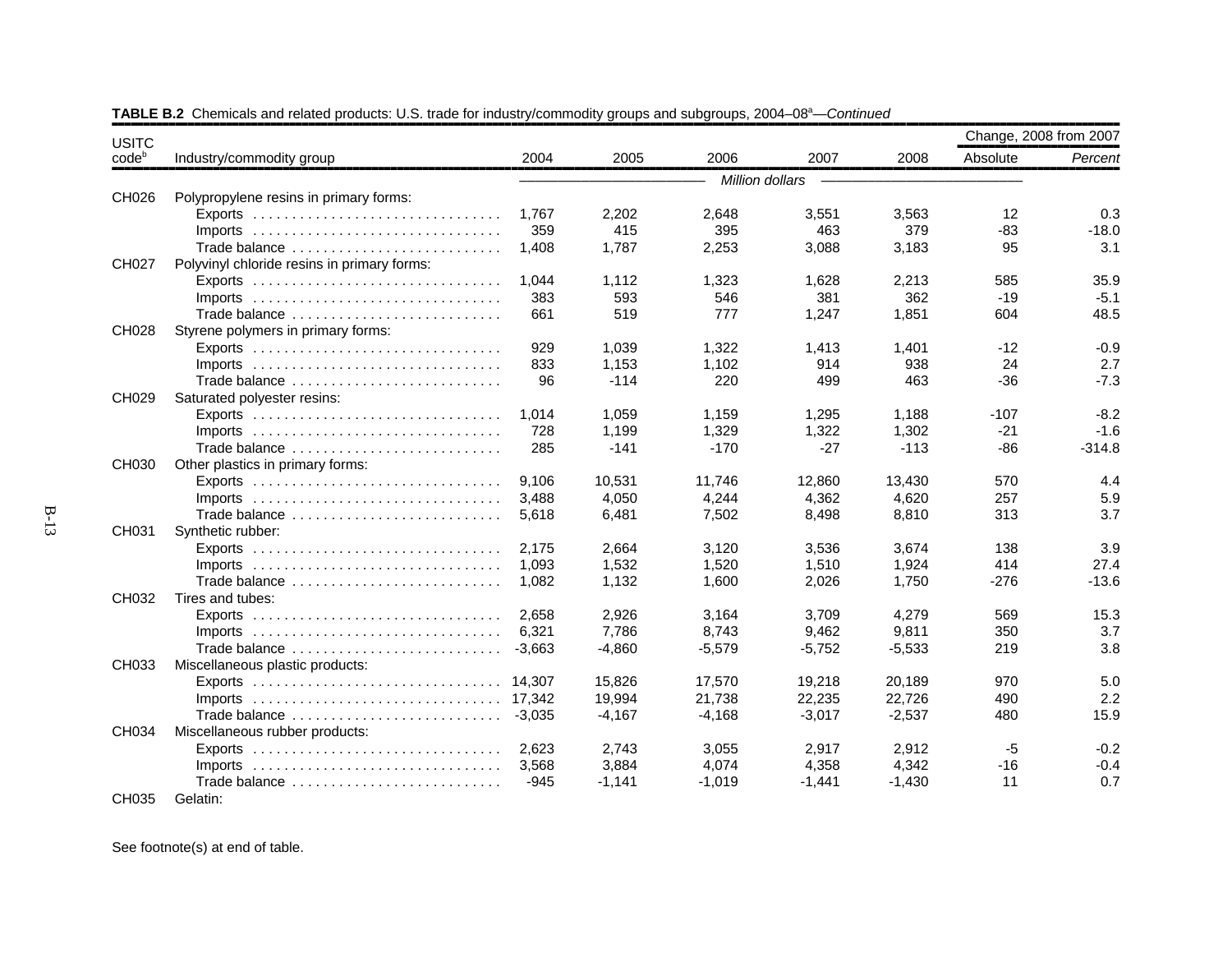| <b>USITC</b>      |                                             |          |          |                 |          |          |          | Change, 2008 from 2007 |
|-------------------|---------------------------------------------|----------|----------|-----------------|----------|----------|----------|------------------------|
| code <sup>b</sup> | Industry/commodity group                    | 2004     | 2005     | 2006            | 2007     | 2008     | Absolute | Percent                |
|                   |                                             |          |          | Million dollars |          |          |          |                        |
| CH026             | Polypropylene resins in primary forms:      |          |          |                 |          |          |          |                        |
|                   |                                             | 1,767    | 2,202    | 2,648           | 3,551    | 3,563    | 12       | 0.3                    |
|                   |                                             | 359      | 415      | 395             | 463      | 379      | $-83$    | $-18.0$                |
|                   | Trade balance                               | 1.408    | 1.787    | 2,253           | 3,088    | 3,183    | 95       | 3.1                    |
| CH027             | Polyvinyl chloride resins in primary forms: |          |          |                 |          |          |          |                        |
|                   |                                             | 1.044    | 1,112    | 1,323           | 1,628    | 2,213    | 585      | 35.9                   |
|                   |                                             | 383      | 593      | 546             | 381      | 362      | $-19$    | $-5.1$                 |
|                   | Trade balance                               | 661      | 519      | 777             | 1,247    | 1,851    | 604      | 48.5                   |
| CH028             | Styrene polymers in primary forms:          |          |          |                 |          |          |          |                        |
|                   |                                             | 929      | 1,039    | 1,322           | 1,413    | 1,401    | $-12$    | $-0.9$                 |
|                   | $Imports$                                   | 833      | 1,153    | 1,102           | 914      | 938      | 24       | 2.7                    |
|                   | Trade balance                               | 96       | $-114$   | 220             | 499      | 463      | $-36$    | $-7.3$                 |
| CH029             | Saturated polyester resins:                 |          |          |                 |          |          |          |                        |
|                   |                                             | 1,014    | 1,059    | 1,159           | 1,295    | 1,188    | $-107$   | $-8.2$                 |
|                   | $Imports$                                   | 728      | 1,199    | 1,329           | 1,322    | 1,302    | $-21$    | $-1.6$                 |
|                   | Trade balance                               | 285      | $-141$   | $-170$          | $-27$    | $-113$   | $-86$    | $-314.8$               |
| CH030             | Other plastics in primary forms:            |          |          |                 |          |          |          |                        |
|                   |                                             | 9.106    | 10,531   | 11.746          | 12,860   | 13,430   | 570      | 4.4                    |
|                   |                                             | 3.488    | 4,050    | 4,244           | 4,362    | 4.620    | 257      | 5.9                    |
|                   | Trade balance                               | 5,618    | 6,481    | 7,502           | 8,498    | 8,810    | 313      | 3.7                    |
| CH031             | Synthetic rubber:                           |          |          |                 |          |          |          |                        |
|                   | $Exports$                                   | 2.175    | 2.664    | 3,120           | 3,536    | 3.674    | 138      | 3.9                    |
|                   | $Imports$                                   | 1,093    | 1,532    | 1,520           | 1,510    | 1,924    | 414      | 27.4                   |
|                   | Trade balance                               | 1.082    | 1,132    | 1,600           | 2,026    | 1,750    | $-276$   | $-13.6$                |
| CH032             | Tires and tubes:                            |          |          |                 |          |          |          |                        |
|                   |                                             | 2,658    | 2,926    | 3,164           | 3,709    | 4,279    | 569      | 15.3                   |
|                   | $Imports$                                   | 6,321    | 7,786    | 8,743           | 9,462    | 9,811    | 350      | 3.7                    |
|                   | Trade balance                               | $-3,663$ | $-4,860$ | $-5,579$        | $-5,752$ | $-5,533$ | 219      | 3.8                    |
| CH033             | Miscellaneous plastic products:             |          |          |                 |          |          |          |                        |
|                   |                                             | 14.307   | 15,826   | 17,570          | 19,218   | 20,189   | 970      | 5.0                    |
|                   |                                             | 17,342   | 19,994   | 21,738          | 22,235   | 22,726   | 490      | 2.2                    |
|                   | Trade balance                               | $-3,035$ | $-4,167$ | $-4,168$        | $-3,017$ | $-2,537$ | 480      | 15.9                   |
| CH034             | Miscellaneous rubber products:              |          |          |                 |          |          |          |                        |
|                   |                                             | 2,623    | 2,743    | 3,055           | 2,917    | 2,912    | $-5$     | $-0.2$                 |
|                   | $Imports$                                   | 3,568    | 3,884    | 4,074           | 4,358    | 4,342    | -16      | $-0.4$                 |
|                   | Trade balance                               | -945     | $-1,141$ | -1.019          | $-1,441$ | $-1,430$ | 11       | 0.7                    |
| CH035             | Gelatin:                                    |          |          |                 |          |          |          |                        |

TABLE B.2 Chemicals and related products: U.S. trade for industry/commodity groups and subgroups, 2004–08<sup>a</sup>—*Continued*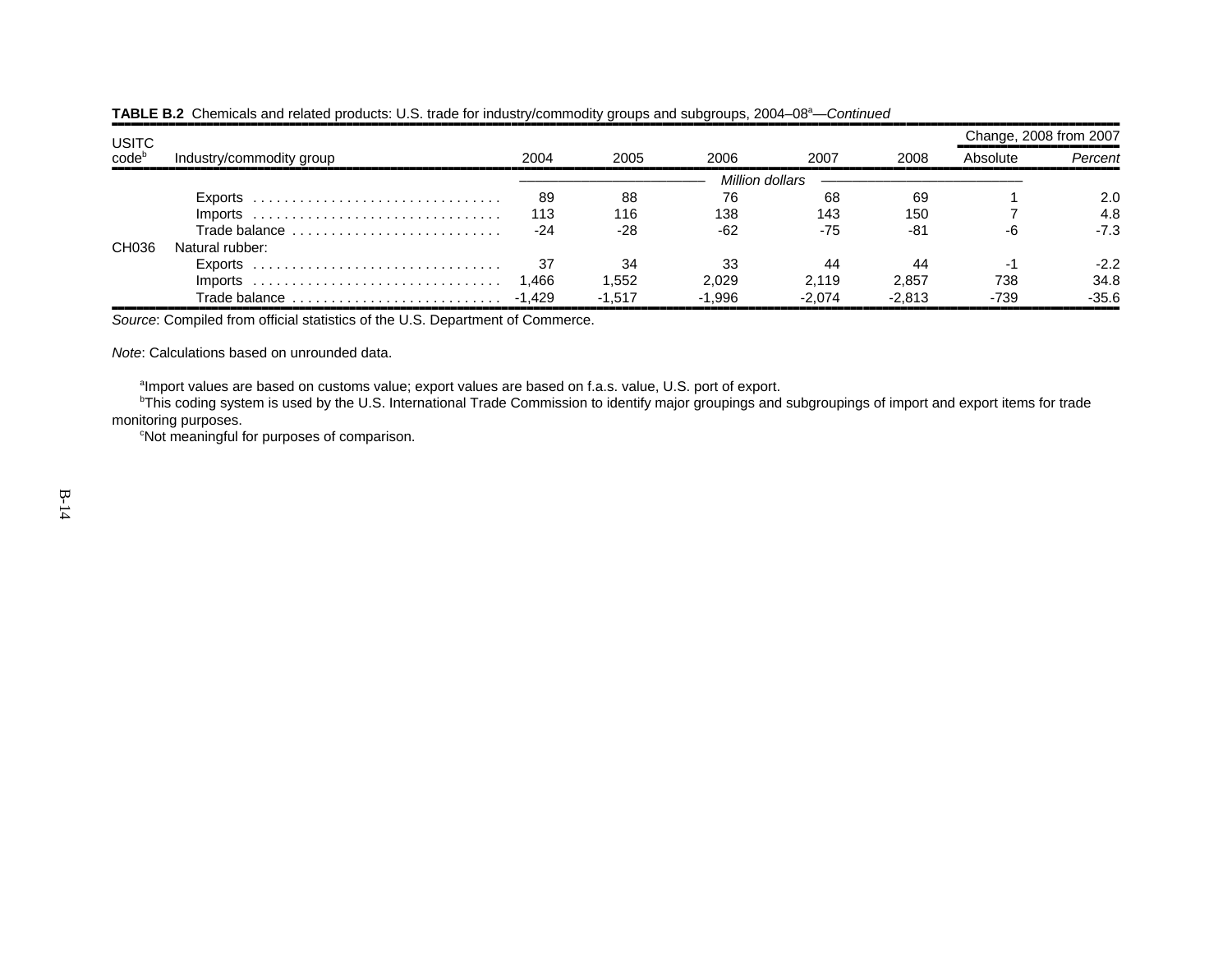| <b>USITC</b>         |                          |        |          |                 |          |          | Change, 2008 from 2007 |         |
|----------------------|--------------------------|--------|----------|-----------------|----------|----------|------------------------|---------|
| $code^{\text{code}}$ | Industry/commodity group | 2004   | 2005     | 2006            | 2007     | 2008     | Absolute               | Percent |
|                      |                          |        |          | Million dollars |          |          |                        |         |
|                      |                          | 89     | 88       | 76              | 68       | 69       |                        | 2.0     |
|                      |                          | 113    | 116      | 138             | 143      | 150      |                        | 4.8     |
|                      | Trade balance            | -24    | $-28$    | -62             | $-75$    | $-81$    |                        | $-7.3$  |
| CH036                | Natural rubber:          |        |          |                 |          |          |                        |         |
|                      |                          |        | 34       | 33              | 44       |          | . The                  | $-2.2$  |
|                      | $Imports$                | 1.466  | 1.552    | 2.029           | 2.119    | 2.857    | 738                    | 34.8    |
|                      | Trade balance            | -1.429 | $-1.517$ | $-1.996$        | $-2.074$ | $-2.813$ | -739                   | $-35.6$ |

# TABLE B.2 Chemicals and related products: U.S. trade for industry/commodity groups and subgroups, 2004–08<sup>a</sup>—*Continued*

*Source*: Compiled from official statistics of the U.S. Department of Commerce.

*Note*: Calculations based on unrounded data.

<sup>a</sup>Import values are based on customs value; export values are based on f.a.s. value, U.S. port of export.

<sup>b</sup>This coding system is used by the U.S. International Trade Commission to identify major groupings and subgroupings of import and export items for trade monitoring purposes.

cNot meaningful for purposes of comparison.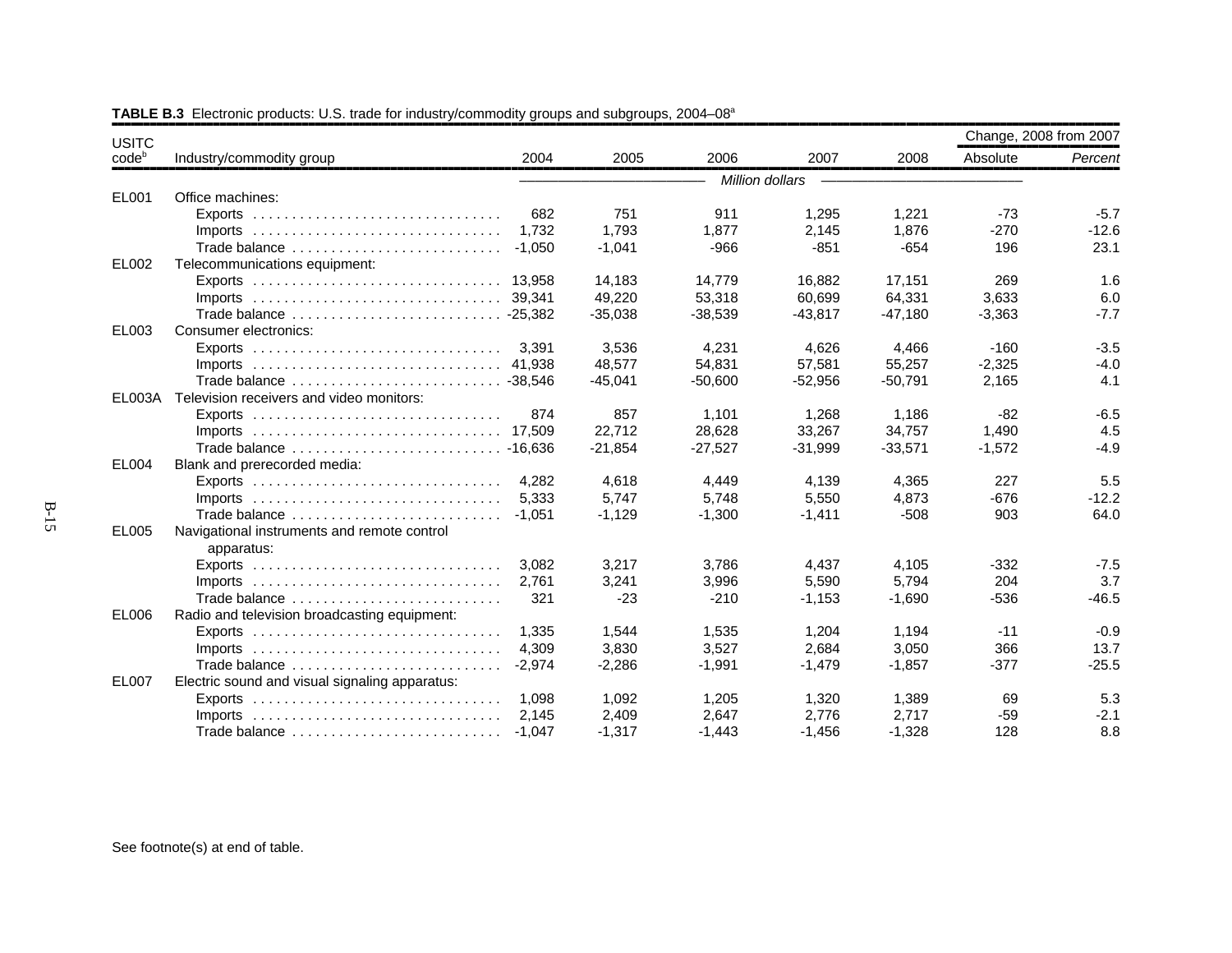| <b>USITC</b> |                                                                                 |          |           |           |                 |           | Change, 2008 from 2007 |         |
|--------------|---------------------------------------------------------------------------------|----------|-----------|-----------|-----------------|-----------|------------------------|---------|
| $code^b$     | Industry/commodity group                                                        | 2004     | 2005      | 2006      | 2007            | 2008      | Absolute               | Percent |
|              |                                                                                 |          |           |           | Million dollars |           |                        |         |
| EL001        | Office machines:                                                                |          |           |           |                 |           |                        |         |
|              |                                                                                 | 682      | 751       | 911       | 1,295           | 1,221     | $-73$                  | $-5.7$  |
|              |                                                                                 | 1.732    | 1.793     | 1,877     | 2,145           | 1,876     | $-270$                 | $-12.6$ |
|              | Trade balance                                                                   | $-1,050$ | $-1,041$  | $-966$    | $-851$          | $-654$    | 196                    | 23.1    |
| EL002        | Telecommunications equipment:                                                   |          |           |           |                 |           |                        |         |
|              |                                                                                 | 13.958   | 14,183    | 14,779    | 16,882          | 17,151    | 269                    | 1.6     |
|              |                                                                                 | 39.341   | 49,220    | 53,318    | 60,699          | 64,331    | 3,633                  | 6.0     |
|              |                                                                                 |          | $-35,038$ | $-38,539$ | $-43,817$       | $-47,180$ | $-3,363$               | $-7.7$  |
| EL003        | Consumer electronics:                                                           |          |           |           |                 |           |                        |         |
|              |                                                                                 | 3,391    | 3,536     | 4,231     | 4,626           | 4,466     | $-160$                 | $-3.5$  |
|              |                                                                                 |          | 48,577    | 54,831    | 57,581          | 55,257    | $-2,325$               | $-4.0$  |
|              |                                                                                 |          | $-45,041$ | $-50,600$ | $-52,956$       | $-50,791$ | 2,165                  | 4.1     |
|              | EL003A Television receivers and video monitors:                                 |          |           |           |                 |           |                        |         |
|              |                                                                                 | 874      | 857       | 1,101     | 1,268           | 1,186     | $-82$                  | $-6.5$  |
|              |                                                                                 |          | 22,712    | 28,628    | 33,267          | 34,757    | 1,490                  | 4.5     |
|              |                                                                                 |          | $-21,854$ | $-27,527$ | $-31,999$       | $-33,571$ | $-1,572$               | $-4.9$  |
| EL004        | Blank and prerecorded media:                                                    |          |           |           |                 |           |                        |         |
|              |                                                                                 | 4,282    | 4,618     | 4,449     | 4,139           | 4,365     | 227                    | 5.5     |
|              |                                                                                 | 5,333    | 5,747     | 5,748     | 5,550           | 4,873     | $-676$                 | $-12.2$ |
|              | Trade balance                                                                   | $-1.051$ | $-1,129$  | $-1.300$  | $-1,411$        | $-508$    | 903                    | 64.0    |
| EL005        | Navigational instruments and remote control                                     |          |           |           |                 |           |                        |         |
|              | apparatus:                                                                      |          |           |           |                 |           |                        |         |
|              | Exports $\dots\dots\dots\dots\dots\dots\dots\dots\dots\dots\dots\dots\dots$     | 3.082    | 3,217     | 3,786     | 4,437           | 4,105     | $-332$                 | $-7.5$  |
|              |                                                                                 | 2.761    | 3,241     | 3,996     | 5,590           | 5.794     | 204                    | 3.7     |
|              | Trade balance                                                                   | 321      | $-23$     | $-210$    | $-1,153$        | $-1,690$  | $-536$                 | $-46.5$ |
| EL006        | Radio and television broadcasting equipment:                                    |          |           |           |                 |           |                        |         |
|              | Exports $\ldots \ldots \ldots \ldots \ldots \ldots \ldots \ldots \ldots \ldots$ | 1.335    | 1,544     | 1,535     | 1,204           | 1,194     | $-11$                  | $-0.9$  |
|              |                                                                                 | 4.309    | 3.830     | 3.527     | 2.684           | 3.050     | 366                    | 13.7    |
|              | Trade balance                                                                   | $-2,974$ | $-2,286$  | $-1,991$  | $-1,479$        | $-1,857$  | $-377$                 | $-25.5$ |
| <b>EL007</b> | Electric sound and visual signaling apparatus:                                  |          |           |           |                 |           |                        |         |
|              | Exports $\ldots \ldots \ldots \ldots \ldots \ldots \ldots \ldots \ldots \ldots$ | 1.098    | 1,092     | 1,205     | 1,320           | 1,389     | 69                     | 5.3     |
|              | $Imports$                                                                       | 2.145    | 2,409     | 2.647     | 2.776           | 2.717     | $-59$                  | $-2.1$  |
|              | Trade balance                                                                   | $-1.047$ | $-1,317$  | $-1,443$  | $-1,456$        | $-1,328$  | 128                    | 8.8     |

**TABLE B.3** Electronic products: U.S. trade for industry/commodity groups and subgroups, 2004–08<sup>a</sup>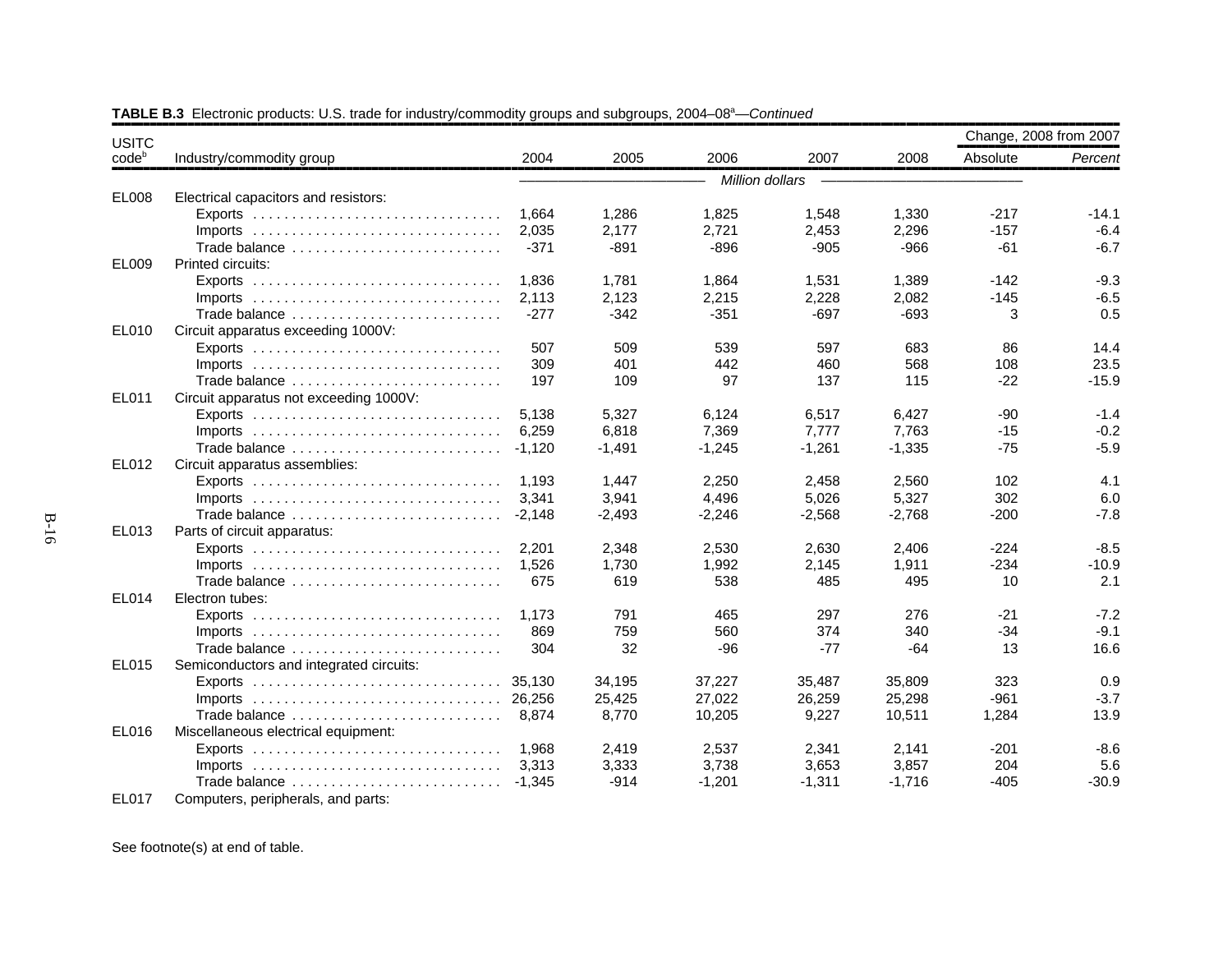| <b>USITC</b>      |                                                                                 |          |          |          |                 |          |          | Change, 2008 from 2007 |
|-------------------|---------------------------------------------------------------------------------|----------|----------|----------|-----------------|----------|----------|------------------------|
| code <sup>b</sup> | Industry/commodity group                                                        | 2004     | 2005     | 2006     | 2007            | 2008     | Absolute | Percent                |
|                   |                                                                                 |          |          |          | Million dollars |          |          |                        |
| EL008             | Electrical capacitors and resistors:                                            |          |          |          |                 |          |          |                        |
|                   |                                                                                 | 1.664    | 1.286    | 1,825    | 1,548           | 1,330    | $-217$   | $-14.1$                |
|                   |                                                                                 | 2,035    | 2,177    | 2,721    | 2,453           | 2,296    | $-157$   | $-6.4$                 |
|                   | Trade balance                                                                   | $-371$   | $-891$   | $-896$   | $-905$          | $-966$   | $-61$    | $-6.7$                 |
| EL009             | Printed circuits:                                                               |          |          |          |                 |          |          |                        |
|                   | Exports $\ldots \ldots \ldots \ldots \ldots \ldots \ldots \ldots \ldots \ldots$ | 1.836    | 1,781    | 1,864    | 1,531           | 1,389    | $-142$   | $-9.3$                 |
|                   |                                                                                 | 2,113    | 2,123    | 2,215    | 2,228           | 2,082    | $-145$   | $-6.5$                 |
|                   | Trade balance                                                                   | $-277$   | $-342$   | $-351$   | $-697$          | $-693$   | 3        | 0.5                    |
| EL010             | Circuit apparatus exceeding 1000V:                                              |          |          |          |                 |          |          |                        |
|                   |                                                                                 | 507      | 509      | 539      | 597             | 683      | 86       | 14.4                   |
|                   |                                                                                 | 309      | 401      | 442      | 460             | 568      | 108      | 23.5                   |
|                   | Trade balance                                                                   | 197      | 109      | 97       | 137             | 115      | $-22$    | $-15.9$                |
| EL011             | Circuit apparatus not exceeding 1000V:                                          |          |          |          |                 |          |          |                        |
|                   |                                                                                 | 5,138    | 5,327    | 6,124    | 6,517           | 6,427    | $-90$    | $-1.4$                 |
|                   | $Imports$                                                                       | 6,259    | 6,818    | 7,369    | 7.777           | 7.763    | $-15$    | $-0.2$                 |
|                   | Trade balance                                                                   | $-1,120$ | $-1,491$ | $-1,245$ | $-1,261$        | $-1,335$ | $-75$    | $-5.9$                 |
| EL012             | Circuit apparatus assemblies:                                                   |          |          |          |                 |          |          |                        |
|                   |                                                                                 | 1,193    | 1,447    | 2,250    | 2,458           | 2,560    | 102      | 4.1                    |
|                   | $Imports$                                                                       | 3.341    | 3,941    | 4,496    | 5,026           | 5,327    | 302      | 6.0                    |
|                   | Trade balance                                                                   | $-2,148$ | $-2,493$ | $-2,246$ | $-2,568$        | $-2,768$ | $-200$   | $-7.8$                 |
| EL013             | Parts of circuit apparatus:                                                     |          |          |          |                 |          |          |                        |
|                   |                                                                                 | 2.201    | 2,348    | 2,530    | 2,630           | 2,406    | $-224$   | $-8.5$                 |
|                   | $Imports$                                                                       | 1.526    | 1,730    | 1,992    | 2,145           | 1,911    | $-234$   | $-10.9$                |
|                   | Trade balance                                                                   | 675      | 619      | 538      | 485             | 495      | 10       | 2.1                    |
| EL014             | Electron tubes:                                                                 |          |          |          |                 |          |          |                        |
|                   |                                                                                 | 1,173    | 791      | 465      | 297             | 276      | $-21$    | $-7.2$                 |
|                   | Imports $\ldots \ldots \ldots \ldots \ldots \ldots \ldots \ldots \ldots$        | 869      | 759      | 560      | 374             | 340      | $-34$    | $-9.1$                 |
|                   | Trade balance                                                                   | 304      | 32       | $-96$    | $-77$           | $-64$    | 13       | 16.6                   |
| EL015             | Semiconductors and integrated circuits:                                         |          |          |          |                 |          |          |                        |
|                   |                                                                                 |          | 34,195   | 37,227   | 35,487          | 35,809   | 323      | 0.9                    |
|                   | $Imports$                                                                       | 26,256   | 25,425   | 27,022   | 26,259          | 25,298   | $-961$   | $-3.7$                 |
|                   | Trade balance                                                                   | 8.874    | 8,770    | 10,205   | 9,227           | 10,511   | 1,284    | 13.9                   |
| EL016             | Miscellaneous electrical equipment:                                             |          |          |          |                 |          |          |                        |
|                   |                                                                                 | 1.968    | 2,419    | 2,537    | 2,341           | 2,141    | $-201$   | $-8.6$                 |
|                   |                                                                                 | 3,313    | 3,333    | 3,738    | 3,653           | 3,857    | 204      | 5.6                    |
|                   | Trade balance                                                                   | $-1.345$ | $-914$   | $-1,201$ | $-1,311$        | $-1,716$ | $-405$   | $-30.9$                |
| EL017             | Computers, peripherals, and parts:                                              |          |          |          |                 |          |          |                        |

### **TABLE B.3** Electronic products: U.S. trade for industry/commodity groups and subgroups, 2004–08<sup>a</sup>—*Continued*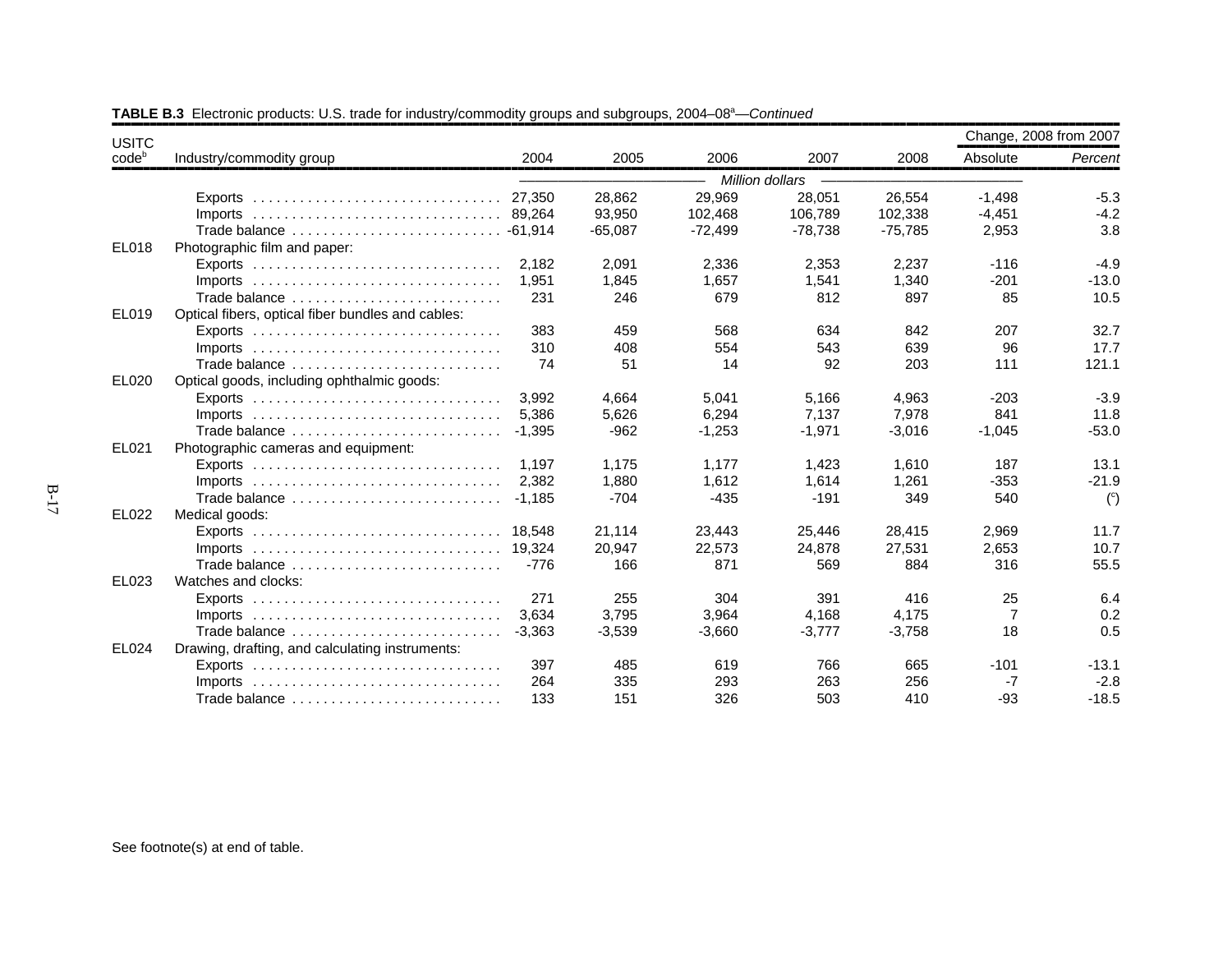| <b>USITC</b> |                                                                                 |          |           |           |                 |           |                                                                                                                                                                                                                 |                |
|--------------|---------------------------------------------------------------------------------|----------|-----------|-----------|-----------------|-----------|-----------------------------------------------------------------------------------------------------------------------------------------------------------------------------------------------------------------|----------------|
| codeb        | Industry/commodity group                                                        | 2004     | 2005      | 2006      | 2007            | 2008      | Absolute                                                                                                                                                                                                        | Percent        |
|              |                                                                                 |          |           |           | Million dollars |           |                                                                                                                                                                                                                 |                |
|              |                                                                                 | 27,350   | 28,862    | 29,969    | 28,051          | 26,554    | $-1,498$                                                                                                                                                                                                        | $-5.3$         |
|              |                                                                                 |          | 93,950    | 102,468   | 106,789         | 102,338   |                                                                                                                                                                                                                 | $-4.2$         |
|              | Trade balance  - 61,914                                                         |          | $-65,087$ | $-72,499$ | $-78,738$       | $-75,785$ |                                                                                                                                                                                                                 | 3.8            |
| EL018        | Photographic film and paper:                                                    |          |           |           |                 |           | Change, 2008 from 2007<br>$-4,451$<br>2,953<br>$-116$<br>$-201$<br>85<br>207<br>96<br>111<br>$-203$<br>841<br>$-1,045$<br>187<br>$-353$<br>540<br>2,969<br>2,653<br>316<br>25<br>$\overline{7}$<br>18<br>$-101$ |                |
|              | Exports $\ldots \ldots \ldots \ldots \ldots \ldots \ldots \ldots \ldots \ldots$ | 2,182    | 2,091     | 2,336     | 2,353           | 2,237     |                                                                                                                                                                                                                 | $-4.9$         |
|              | Imports $\ldots \ldots \ldots \ldots \ldots \ldots \ldots \ldots \ldots \ldots$ | 1.951    | 1,845     | 1.657     | 1,541           | 1.340     |                                                                                                                                                                                                                 | $-13.0$        |
|              | Trade balance                                                                   | 231      | 246       | 679       | 812             | 897       |                                                                                                                                                                                                                 | 10.5           |
| EL019        | Optical fibers, optical fiber bundles and cables:                               |          |           |           |                 |           |                                                                                                                                                                                                                 |                |
|              |                                                                                 | 383      | 459       | 568       | 634             | 842       |                                                                                                                                                                                                                 | 32.7           |
|              | $Imports$                                                                       | 310      | 408       | 554       | 543             | 639       |                                                                                                                                                                                                                 | 17.7           |
|              | Trade balance                                                                   | 74       | 51        | 14        | 92              | 203       |                                                                                                                                                                                                                 | 121.1          |
| EL020        | Optical goods, including ophthalmic goods:                                      |          |           |           |                 |           |                                                                                                                                                                                                                 |                |
|              |                                                                                 | 3.992    | 4.664     | 5.041     | 5,166           | 4,963     |                                                                                                                                                                                                                 | $-3.9$         |
|              |                                                                                 | 5.386    | 5,626     | 6,294     | 7,137           | 7,978     |                                                                                                                                                                                                                 | 11.8           |
|              | Trade balance                                                                   | $-1.395$ | $-962$    | $-1,253$  | $-1,971$        | $-3,016$  |                                                                                                                                                                                                                 | $-53.0$        |
| EL021        | Photographic cameras and equipment:                                             |          |           |           |                 |           |                                                                                                                                                                                                                 |                |
|              |                                                                                 | 1.197    | 1,175     | 1,177     | 1,423           | 1,610     |                                                                                                                                                                                                                 | 13.1           |
|              | Imports $\ldots \ldots \ldots \ldots \ldots \ldots \ldots \ldots \ldots \ldots$ | 2.382    | 1,880     | 1,612     | 1,614           | 1,261     |                                                                                                                                                                                                                 | $-21.9$        |
|              | Trade balance                                                                   | $-1.185$ | $-704$    | $-435$    | $-191$          | 349       |                                                                                                                                                                                                                 | $\binom{c}{c}$ |
| EL022        | Medical goods:                                                                  |          |           |           |                 |           |                                                                                                                                                                                                                 |                |
|              | Exports $\ldots \ldots \ldots \ldots \ldots \ldots \ldots \ldots \ldots \ldots$ | 18.548   | 21,114    | 23,443    | 25,446          | 28,415    |                                                                                                                                                                                                                 | 11.7           |
|              | $Imports$                                                                       | 19.324   | 20,947    | 22,573    | 24,878          | 27,531    |                                                                                                                                                                                                                 | 10.7           |
|              | Trade balance                                                                   | $-776$   | 166       | 871       | 569             | 884       |                                                                                                                                                                                                                 | 55.5           |
| EL023        | Watches and clocks:                                                             |          |           |           |                 |           |                                                                                                                                                                                                                 |                |
|              | Exports $\ldots \ldots \ldots \ldots \ldots \ldots \ldots \ldots \ldots \ldots$ | 271      | 255       | 304       | 391             | 416       |                                                                                                                                                                                                                 | 6.4            |
|              | Imports $\ldots \ldots \ldots \ldots \ldots \ldots \ldots \ldots \ldots \ldots$ | 3.634    | 3,795     | 3,964     | 4,168           | 4,175     |                                                                                                                                                                                                                 | 0.2            |
|              | Trade balance                                                                   | $-3,363$ | $-3,539$  | $-3,660$  | $-3,777$        | $-3,758$  |                                                                                                                                                                                                                 | 0.5            |
| <b>EL024</b> | Drawing, drafting, and calculating instruments:                                 |          |           |           |                 |           |                                                                                                                                                                                                                 |                |
|              | Exports $\ldots \ldots \ldots \ldots \ldots \ldots \ldots \ldots \ldots \ldots$ | 397      | 485       | 619       | 766             | 665       |                                                                                                                                                                                                                 | $-13.1$        |
|              | $Imports$                                                                       | 264      | 335       | 293       | 263             | 256       | -7                                                                                                                                                                                                              | $-2.8$         |
|              | Trade balance                                                                   | 133      | 151       | 326       | 503             | 410       | -93                                                                                                                                                                                                             | $-18.5$        |

**TABLE B.3** Electronic products: U.S. trade for industry/commodity groups and subgroups, 2004–08<sup>a</sup>—*Continued*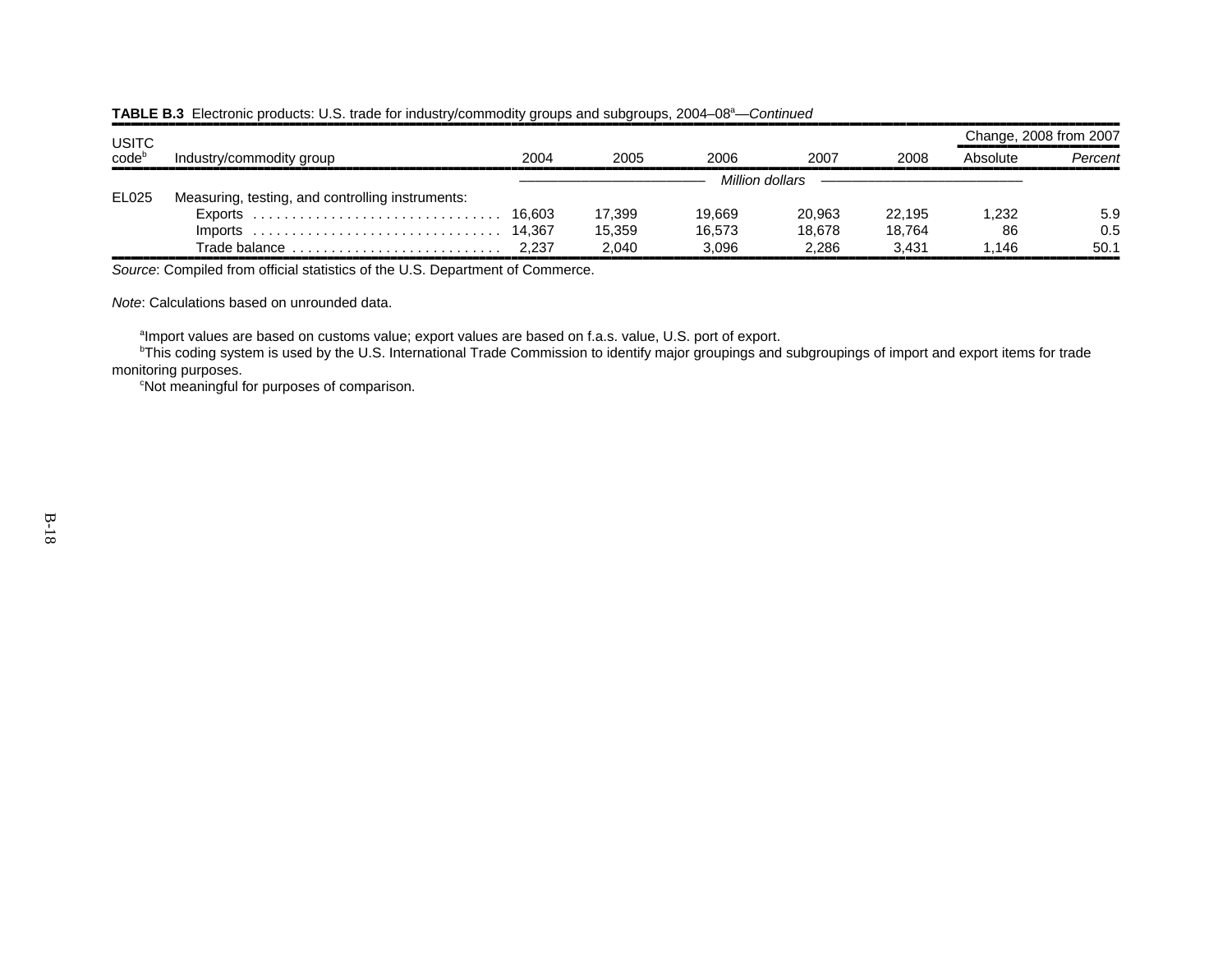| <b>USITC</b> |                                                                        |      |        |        |                 |        | Change, 2008 from 2007 |         |
|--------------|------------------------------------------------------------------------|------|--------|--------|-----------------|--------|------------------------|---------|
| codeb        | Industry/commodity group                                               | 2004 | 2005   | 2006   | 2007            | 2008   | Absolute               | Percent |
|              |                                                                        |      |        |        | Million dollars |        |                        |         |
| EL025        | Measuring, testing, and controlling instruments:                       |      |        |        |                 |        |                        |         |
|              |                                                                        |      | 17.399 | 19.669 | 20.963          | 22.195 | 1.232                  | 5.9     |
|              |                                                                        |      | 15.359 | 16.573 | 18.678          | 18.764 | 86                     | 0.5     |
|              | Trade balance $\ldots \ldots \ldots \ldots \ldots \ldots \ldots$ 2,237 |      | 2.040  | 3.096  | 2.286           | 3.431  | 1.146                  | 50.1    |

#### **TABLE B.3** Electronic products: U.S. trade for industry/commodity groups and subgroups, 2004–08<sup>a</sup>—*Continued*

,,,,,,,,,,,,,,,,,,,,,,,,,,,,,,,,,,,,,,,,,,,,,,,,,,,,,,,,,,,,,,,,,,,,,,,,,,,,,,,,,,,,,,,,,,,,,,,,,,,,,,,,,,,,,,,,,,,,,,,,,,,,,,,,,,,,,,,,,,,,,,,,,,,,,,,,,,,,,,,,*Source*: Compiled from official statistics of the U.S. Department of Commerce.

*Note*: Calculations based on unrounded data.

<sup>a</sup>Import values are based on customs value; export values are based on f.a.s. value, U.S. port of export.

<sup>b</sup>This coding system is used by the U.S. International Trade Commission to identify major groupings and subgroupings of import and export items for trade monitoring purposes.

<sup>c</sup>Not meaningful for purposes of comparison.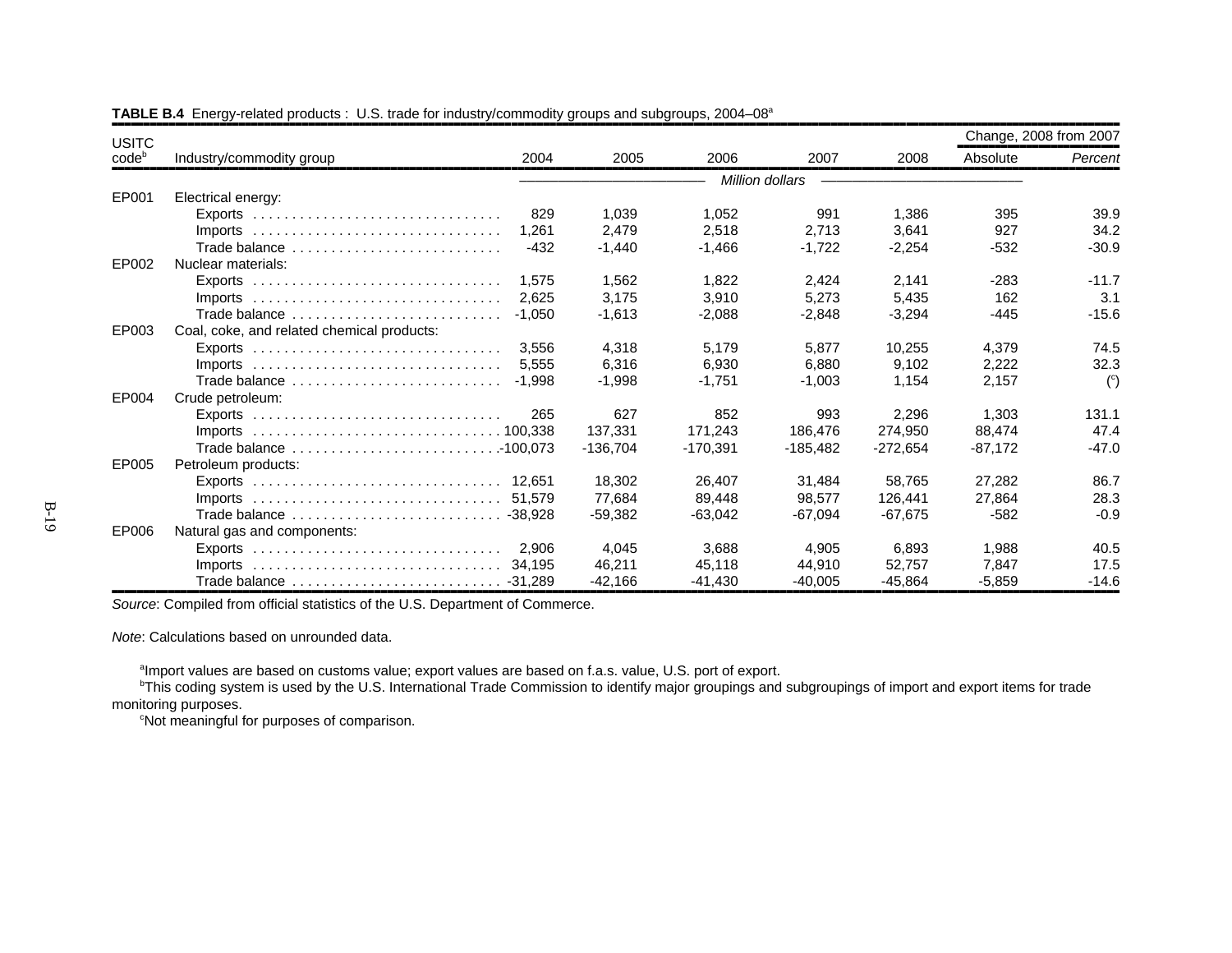| <b>USITC</b>      |                                                                                          |            |            |                 |            |           | Change, 2008 from 2007 |
|-------------------|------------------------------------------------------------------------------------------|------------|------------|-----------------|------------|-----------|------------------------|
| code <sup>b</sup> | 2004<br>Industry/commodity group                                                         | 2005       | 2006       | 2007            | 2008       | Absolute  | Percent                |
|                   |                                                                                          |            |            | Million dollars |            |           |                        |
| EP001             | Electrical energy:                                                                       |            |            |                 |            |           |                        |
|                   | 829                                                                                      | 1.039      | 1,052      | 991             | 1,386      | 395       | 39.9                   |
|                   | 1.261<br>$Imports$                                                                       | 2,479      | 2,518      | 2.713           | 3.641      | 927       | 34.2                   |
|                   | $-432$<br>Trade balance                                                                  | $-1,440$   | $-1,466$   | $-1,722$        | $-2,254$   | $-532$    | $-30.9$                |
| EP002             | Nuclear materials:                                                                       |            |            |                 |            |           |                        |
|                   | 1.575                                                                                    | 1.562      | 1.822      | 2.424           | 2.141      | $-283$    | $-11.7$                |
|                   | 2.625                                                                                    | 3,175      | 3,910      | 5,273           | 5,435      | 162       | 3.1                    |
|                   | Trade balance<br>$-1.050$                                                                | $-1,613$   | $-2,088$   | $-2,848$        | $-3,294$   | -445      | $-15.6$                |
| EP003             | Coal, coke, and related chemical products:                                               |            |            |                 |            |           |                        |
|                   | 3.556                                                                                    | 4,318      | 5,179      | 5,877           | 10,255     | 4,379     | 74.5                   |
|                   | 5.555<br>Imports $\ldots \ldots \ldots \ldots \ldots \ldots \ldots \ldots \ldots \ldots$ | 6.316      | 6.930      | 6.880           | 9.102      | 2,222     | 32.3                   |
|                   | $-1.998$<br>Trade balance                                                                | $-1,998$   | $-1.751$   | $-1,003$        | 1,154      | 2,157     | $\binom{c}{c}$         |
| EP004             | Crude petroleum:                                                                         |            |            |                 |            |           |                        |
|                   | 265<br>$Exports$                                                                         | 627        | 852        | 993             | 2,296      | 1,303     | 131.1                  |
|                   |                                                                                          | 137.331    | 171.243    | 186.476         | 274,950    | 88,474    | 47.4                   |
|                   |                                                                                          | $-136.704$ | $-170,391$ | -185,482        | $-272,654$ | $-87,172$ | $-47.0$                |
| EP005             | Petroleum products:                                                                      |            |            |                 |            |           |                        |
|                   |                                                                                          | 18.302     | 26.407     | 31.484          | 58.765     | 27,282    | 86.7                   |
|                   |                                                                                          | 77.684     | 89.448     | 98.577          | 126.441    | 27.864    | 28.3                   |
|                   |                                                                                          | $-59.382$  | $-63.042$  | $-67,094$       | $-67,675$  | $-582$    | $-0.9$                 |
| EP006             | Natural gas and components:                                                              |            |            |                 |            |           |                        |
|                   | 2.906<br>Exports $\ldots \ldots \ldots \ldots \ldots \ldots \ldots \ldots \ldots \ldots$ | 4,045      | 3.688      | 4.905           | 6.893      | 1,988     | 40.5                   |
|                   | 34.195                                                                                   | 46,211     | 45,118     | 44,910          | 52,757     | 7,847     | 17.5                   |
|                   |                                                                                          | $-42.166$  | -41,430    | $-40.005$       | $-45.864$  | $-5,859$  | $-14.6$                |

**TABLE B.4** Energy-related products : U.S. trade for industry/commodity groups and subgroups, 2004–08<sup>a</sup>

*Source*: Compiled from official statistics of the U.S. Department of Commerce.

*Note*: Calculations based on unrounded data.

 $^{\text{a}}$ Import values are based on customs value; export values are based on f.a.s. value, U.S. port of export.

 $^{\rm b}$ This coding system is used by the U.S. International Trade Commission to identify major groupings and subgroupings of import and export items for trade monitoring purposes.

cNot meaningful for purposes of comparison.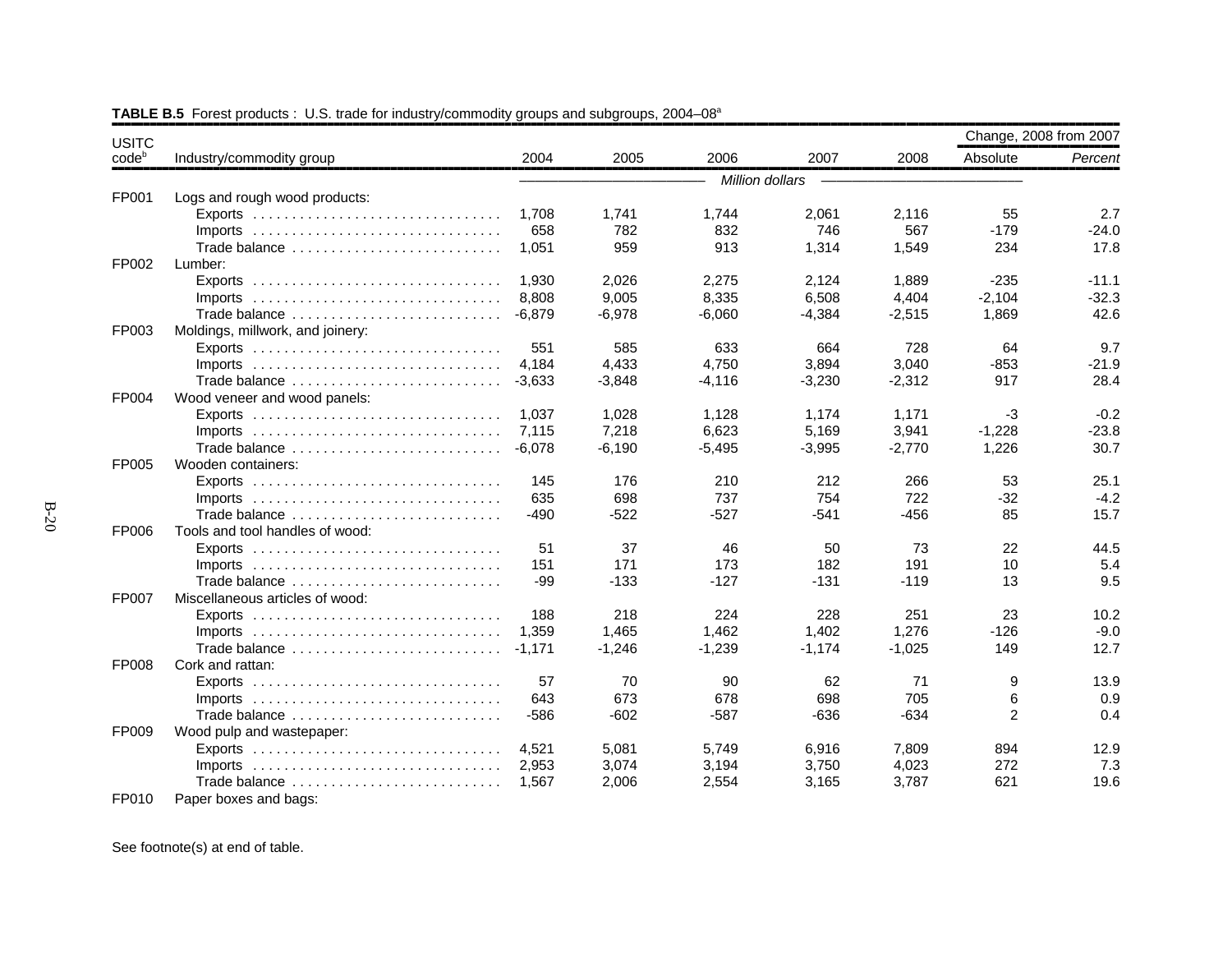| <b>USITC</b>      |                                                                                 |          |          |                 |          |          | Change, 2008 from 2007 |         |
|-------------------|---------------------------------------------------------------------------------|----------|----------|-----------------|----------|----------|------------------------|---------|
| code <sup>b</sup> | Industry/commodity group                                                        | 2004     | 2005     | 2006            | 2007     | 2008     | Absolute               | Percent |
|                   |                                                                                 |          |          | Million dollars |          |          |                        |         |
| FP001             | Logs and rough wood products:                                                   |          |          |                 |          |          |                        |         |
|                   |                                                                                 | 1,708    | 1,741    | 1,744           | 2,061    | 2,116    | 55                     | 2.7     |
|                   | $Imports$                                                                       | 658      | 782      | 832             | 746      | 567      | $-179$                 | $-24.0$ |
|                   | Trade balance                                                                   | 1,051    | 959      | 913             | 1,314    | 1,549    | 234                    | 17.8    |
| FP002             | Lumber:                                                                         |          |          |                 |          |          |                        |         |
|                   |                                                                                 | 1.930    | 2,026    | 2,275           | 2,124    | 1,889    | $-235$                 | $-11.1$ |
|                   |                                                                                 | 8,808    | 9,005    | 8,335           | 6,508    | 4,404    | $-2,104$               | $-32.3$ |
|                   | Trade balance                                                                   | $-6.879$ | $-6.978$ | $-6.060$        | $-4,384$ | $-2,515$ | 1.869                  | 42.6    |
| FP003             | Moldings, millwork, and joinery:                                                |          |          |                 |          |          |                        |         |
|                   |                                                                                 | 551      | 585      | 633             | 664      | 728      | 64                     | 9.7     |
|                   |                                                                                 | 4.184    | 4,433    | 4,750           | 3,894    | 3,040    | $-853$                 | $-21.9$ |
|                   | Trade balance                                                                   | $-3,633$ | $-3,848$ | $-4,116$        | $-3,230$ | $-2,312$ | 917                    | 28.4    |
| FP004             | Wood veneer and wood panels:                                                    |          |          |                 |          |          |                        |         |
|                   |                                                                                 | 1,037    | 1,028    | 1,128           | 1,174    | 1,171    | $-3$                   | $-0.2$  |
|                   | $Imports$                                                                       | 7,115    | 7,218    | 6,623           | 5,169    | 3,941    | $-1,228$               | $-23.8$ |
|                   | Trade balance                                                                   | $-6,078$ | $-6,190$ | $-5,495$        | $-3,995$ | $-2,770$ | 1,226                  | 30.7    |
| FP005             | Wooden containers:                                                              |          |          |                 |          |          |                        |         |
|                   |                                                                                 | 145      | 176      | 210             | 212      | 266      | 53                     | 25.1    |
|                   | Imports $\ldots \ldots \ldots \ldots \ldots \ldots \ldots \ldots \ldots \ldots$ | 635      | 698      | 737             | 754      | 722      | $-32$                  | $-4.2$  |
|                   | Trade balance                                                                   | $-490$   | $-522$   | $-527$          | $-541$   | $-456$   | 85                     | 15.7    |
| FP006             | Tools and tool handles of wood:                                                 |          |          |                 |          |          |                        |         |
|                   |                                                                                 | 51       | 37       | 46              | 50       | 73       | 22                     | 44.5    |
|                   |                                                                                 | 151      | 171      | 173             | 182      | 191      | 10                     | 5.4     |
|                   | Trade balance                                                                   | -99      | $-133$   | $-127$          | $-131$   | $-119$   | 13                     | 9.5     |
| FP007             | Miscellaneous articles of wood:                                                 |          |          |                 |          |          |                        |         |
|                   |                                                                                 | 188      | 218      | 224             | 228      | 251      | 23                     | 10.2    |
|                   | $Imports$                                                                       | 1.359    | 1,465    | 1,462           | 1,402    | 1,276    | $-126$                 | $-9.0$  |
|                   | Trade balance                                                                   | $-1,171$ | $-1,246$ | $-1,239$        | $-1,174$ | $-1,025$ | 149                    | 12.7    |
| FP008             | Cork and rattan:                                                                |          |          |                 |          |          |                        |         |
|                   |                                                                                 | 57       | 70       | 90              | 62       | 71       | 9                      | 13.9    |
|                   |                                                                                 | 643      | 673      | 678             | 698      | 705      | 6                      | 0.9     |
|                   | Trade balance                                                                   | $-586$   | $-602$   | $-587$          | $-636$   | $-634$   | 2                      | 0.4     |
| FP009             | Wood pulp and wastepaper:                                                       |          |          |                 |          |          |                        |         |
|                   |                                                                                 | 4,521    | 5,081    | 5,749           | 6,916    | 7,809    | 894                    | 12.9    |
|                   |                                                                                 | 2,953    | 3,074    | 3,194           | 3,750    | 4,023    | 272                    | 7.3     |
|                   | Trade balance                                                                   | 1,567    | 2,006    | 2,554           | 3,165    | 3,787    | 621                    | 19.6    |
| FP010             | Paper boxes and bags:                                                           |          |          |                 |          |          |                        |         |

**TABLE B.5** Forest products : U.S. trade for industry/commodity groups and subgroups, 2004–08<sup>a</sup>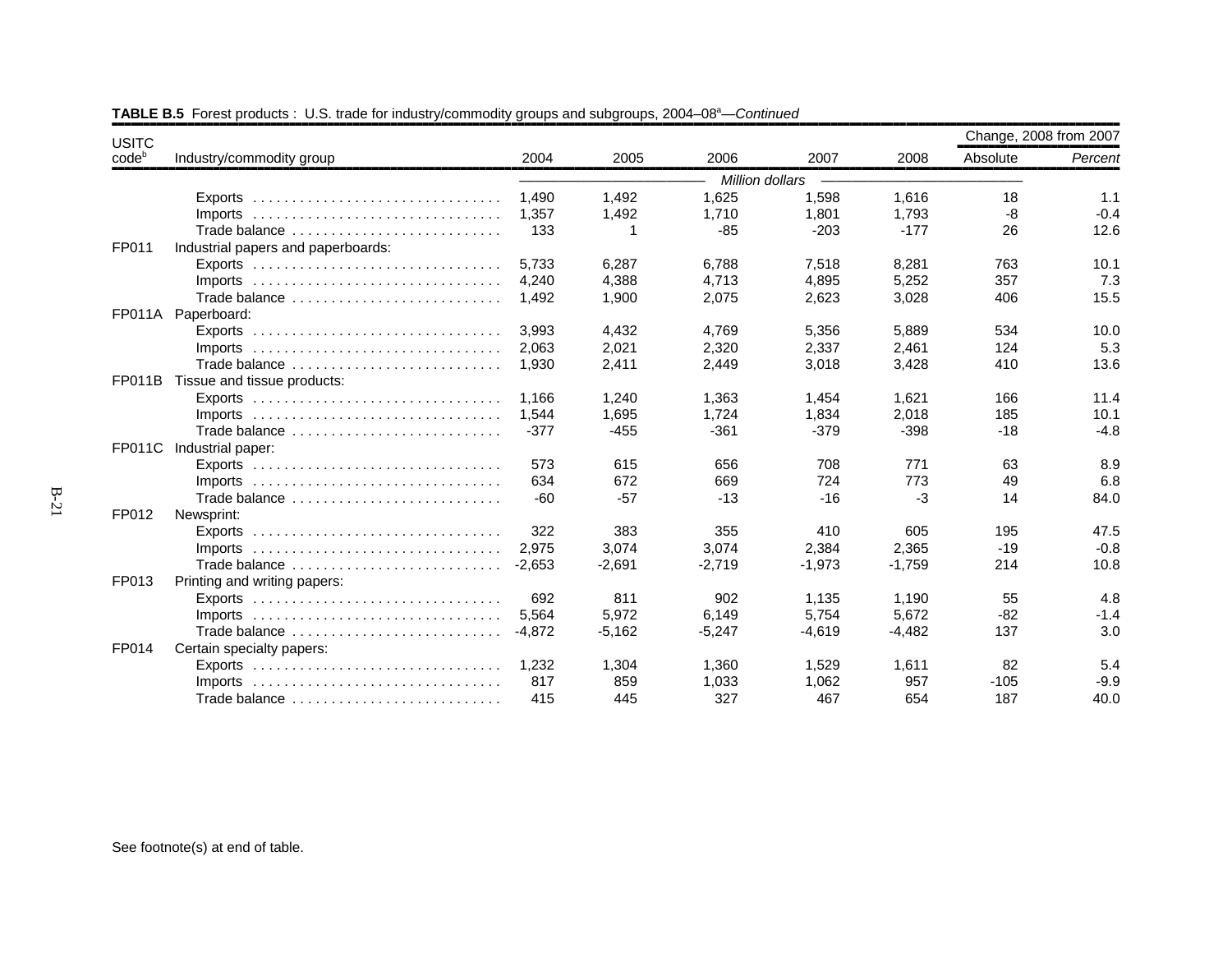| <b>USITC</b>      |                                                                                 |          |          |                 |          |          | Change, 2008 from 2007 |         |
|-------------------|---------------------------------------------------------------------------------|----------|----------|-----------------|----------|----------|------------------------|---------|
| code <sup>b</sup> | Industry/commodity group                                                        | 2004     | 2005     | 2006            | 2007     | 2008     | Absolute               | Percent |
|                   |                                                                                 |          |          | Million dollars |          |          |                        |         |
|                   | Exports $\ldots \ldots \ldots \ldots \ldots \ldots \ldots \ldots \ldots \ldots$ | 1.490    | 1,492    | 1,625           | 1,598    | 1,616    | 18                     | 1.1     |
|                   |                                                                                 | 1.357    | 1,492    | 1,710           | 1,801    | 1,793    | -8                     | $-0.4$  |
|                   | Trade balance                                                                   | 133      |          | $-85$           | $-203$   | $-177$   | 26                     | 12.6    |
| FP011             | Industrial papers and paperboards:                                              |          |          |                 |          |          |                        |         |
|                   |                                                                                 | 5,733    | 6,287    | 6,788           | 7,518    | 8,281    | 763                    | 10.1    |
|                   |                                                                                 | 4.240    | 4.388    | 4.713           | 4,895    | 5,252    | 357                    | 7.3     |
|                   | Trade balance                                                                   | 1,492    | 1,900    | 2,075           | 2,623    | 3,028    | 406                    | 15.5    |
|                   | FP011A Paperboard:                                                              |          |          |                 |          |          |                        |         |
|                   | Exports $\ldots \ldots \ldots \ldots \ldots \ldots \ldots \ldots \ldots \ldots$ | 3,993    | 4,432    | 4,769           | 5,356    | 5,889    | 534                    | 10.0    |
|                   | $Imports$                                                                       | 2,063    | 2,021    | 2,320           | 2,337    | 2,461    | 124                    | 5.3     |
|                   | Trade balance                                                                   | 1,930    | 2,411    | 2,449           | 3,018    | 3,428    | 410                    | 13.6    |
| <b>FP011B</b>     | Tissue and tissue products:                                                     |          |          |                 |          |          |                        |         |
|                   |                                                                                 | 1.166    | 1,240    | 1,363           | 1,454    | 1,621    | 166                    | 11.4    |
|                   | $Imports$                                                                       | 1.544    | 1,695    | 1,724           | 1,834    | 2,018    | 185                    | 10.1    |
|                   | Trade balance                                                                   | $-377$   | $-455$   | $-361$          | $-379$   | $-398$   | $-18$                  | $-4.8$  |
|                   | FP011C Industrial paper:                                                        |          |          |                 |          |          |                        |         |
|                   | Exports $\ldots \ldots \ldots \ldots \ldots \ldots \ldots \ldots \ldots \ldots$ | 573      | 615      | 656             | 708      | 771      | 63                     | 8.9     |
|                   | Imports $\ldots \ldots \ldots \ldots \ldots \ldots \ldots \ldots \ldots \ldots$ | 634      | 672      | 669             | 724      | 773      | 49                     | 6.8     |
|                   | Trade balance                                                                   | $-60$    | $-57$    | $-13$           | $-16$    | $-3$     | 14                     | 84.0    |
| FP012             | Newsprint:                                                                      |          |          |                 |          |          |                        |         |
|                   | $Exports$                                                                       | 322      | 383      | 355             | 410      | 605      | 195                    | 47.5    |
|                   | $Imports$                                                                       | 2,975    | 3,074    | 3,074           | 2,384    | 2,365    | $-19$                  | $-0.8$  |
|                   | Trade balance                                                                   | $-2,653$ | $-2,691$ | $-2,719$        | $-1,973$ | $-1,759$ | 214                    | 10.8    |
| FP013             | Printing and writing papers:                                                    |          |          |                 |          |          |                        |         |
|                   |                                                                                 | 692      | 811      | 902             | 1,135    | 1,190    | 55                     | 4.8     |
|                   | Imports $\ldots \ldots \ldots \ldots \ldots \ldots \ldots \ldots \ldots \ldots$ | 5.564    | 5,972    | 6,149           | 5,754    | 5,672    | $-82$                  | $-1.4$  |
|                   | Trade balance                                                                   | $-4,872$ | $-5,162$ | $-5,247$        | $-4,619$ | $-4,482$ | 137                    | 3.0     |
| FP014             | Certain specialty papers:                                                       |          |          |                 |          |          |                        |         |
|                   |                                                                                 | 1,232    | 1,304    | 1,360           | 1,529    | 1,611    | 82                     | 5.4     |
|                   | $Imports$                                                                       | 817      | 859      | 1,033           | 1.062    | 957      | $-105$                 | $-9.9$  |
|                   | Trade balance                                                                   | 415      | 445      | 327             | 467      | 654      | 187                    | 40.0    |

**TABLE B.5** Forest products : U.S. trade for industry/commodity groups and subgroups, 2004–08<sup>a</sup>—*Continued*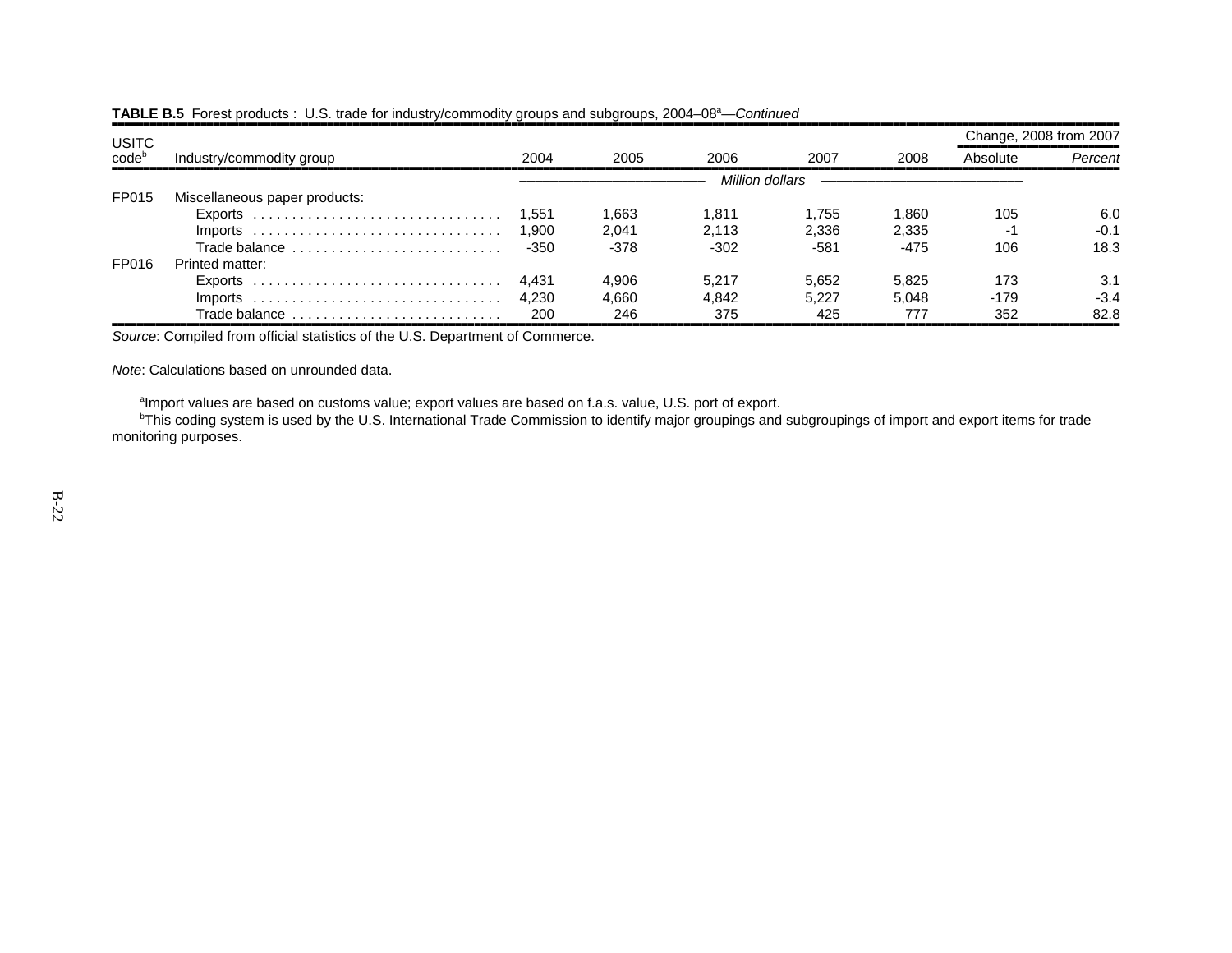| <b>USITC</b>      |                               |        |       |                 |       |        | Change, 2008 from 2007 |         |
|-------------------|-------------------------------|--------|-------|-----------------|-------|--------|------------------------|---------|
| code <sup>b</sup> | Industry/commodity group      | 2004   | 2005  | 2006            | 2007  | 2008   | Absolute               | Percent |
|                   |                               |        |       | Million dollars |       |        |                        |         |
| FP015             | Miscellaneous paper products: |        |       |                 |       |        |                        |         |
|                   |                               | 1.551  | 1.663 | 1.811           | 1.755 | 1.860  | 105                    | 6.0     |
|                   |                               | 1.900  | 2.041 | 2.113           | 2.336 | 2.335  | -1                     | $-0.1$  |
|                   | Trade balance                 | $-350$ | -378  | $-302$          | -581  | $-475$ | 106                    | 18.3    |
| FP016             | Printed matter:               |        |       |                 |       |        |                        |         |
|                   | $Exports$                     | 4.431  | 4.906 | 5.217           | 5,652 | 5,825  | 173                    | 3.1     |
|                   | $Imports$                     | 4.230  | 4.660 | 4.842           | 5.227 | 5.048  | -179                   | $-3.4$  |
|                   | Trade balance                 | 200    | 246   | 375             | 425   | 777    | 352                    | 82.8    |

#### **TABLE B.5** Forest products : U.S. trade for industry/commodity groups and subgroups, 2004–08<sup>a</sup>—*Continued*

,,,,,,,,,,,,,,,,,,,,,,,,,,,,,,,,,,,,,,,,,,,,,,,,,,,,,,,,,,,,,,,,,,,,,,,,,,,,,,,,,,,,,,,,,,,,,,,,,,,,,,,,,,,,,,,,,,,,,,,,,,,,,,,,,,,,,,,,,,,,,,,,,,,,,,,,,,,,,,,,*Source*: Compiled from official statistics of the U.S. Department of Commerce.

*Note*: Calculations based on unrounded data.

<sup>a</sup>Import values are based on customs value; export values are based on f.a.s. value, U.S. port of export.

<sup>b</sup>This coding system is used by the U.S. International Trade Commission to identify major groupings and subgroupings of import and export items for trade monitoring purposes.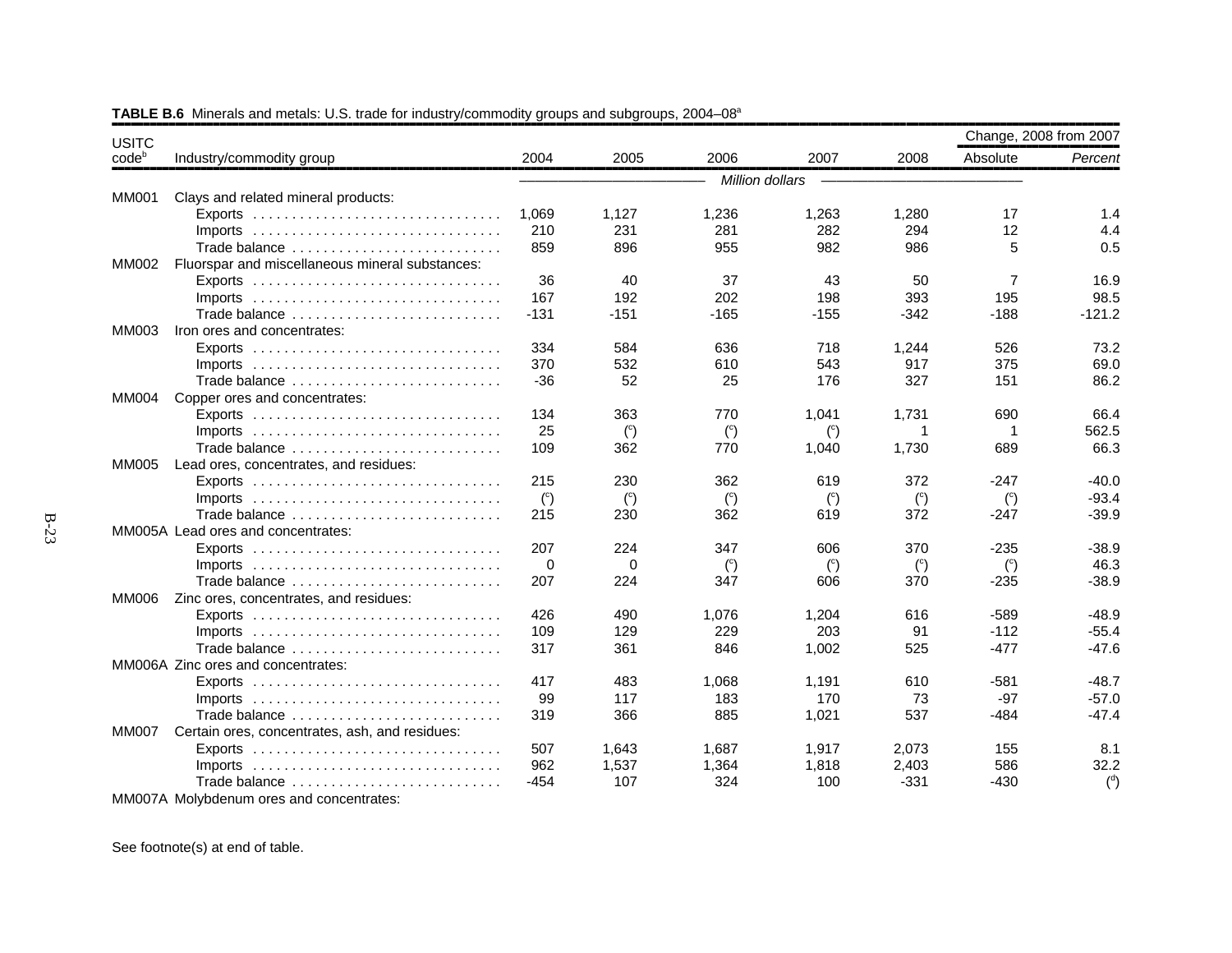| <b>USITC</b> |                                                 |                |                |                 |                |                | Change, 2008 from 2007 |                |
|--------------|-------------------------------------------------|----------------|----------------|-----------------|----------------|----------------|------------------------|----------------|
| codeb        | Industry/commodity group                        | 2004           | 2005           | 2006            | 2007           | 2008           | Absolute               | Percent        |
|              |                                                 |                |                | Million dollars |                |                |                        |                |
| <b>MM001</b> | Clays and related mineral products:             |                |                |                 |                |                |                        |                |
|              |                                                 | 1,069          | 1,127          | 1,236           | 1,263          | 1,280          | 17                     | 1.4            |
|              |                                                 | 210            | 231            | 281             | 282            | 294            | 12                     | 4.4            |
|              | Trade balance                                   | 859            | 896            | 955             | 982            | 986            | 5                      | 0.5            |
| <b>MM002</b> | Fluorspar and miscellaneous mineral substances: |                |                |                 |                |                |                        |                |
|              |                                                 | 36             | 40             | 37              | 43             | 50             | 7                      | 16.9           |
|              |                                                 | 167            | 192            | 202             | 198            | 393            | 195                    | 98.5           |
|              | Trade balance                                   | $-131$         | $-151$         | $-165$          | $-155$         | $-342$         | $-188$                 | $-121.2$       |
| MM003        | Iron ores and concentrates:                     |                |                |                 |                |                |                        |                |
|              |                                                 | 334            | 584            | 636             | 718            | 1,244          | 526                    | 73.2           |
|              |                                                 | 370            | 532            | 610             | 543            | 917            | 375                    | 69.0           |
|              | Trade balance                                   | $-36$          | 52             | 25              | 176            | 327            | 151                    | 86.2           |
| <b>MM004</b> | Copper ores and concentrates:                   |                |                |                 |                |                |                        |                |
|              |                                                 | 134            | 363            | 770             | 1,041          | 1,731          | 690                    | 66.4           |
|              | $Imports$                                       | 25             | $\binom{c}{c}$ | $\binom{c}{c}$  | $\binom{c}{c}$ | 1              | -1                     | 562.5          |
|              | Trade balance                                   | 109            | 362            | 770             | 1,040          | 1,730          | 689                    | 66.3           |
| MM005        | Lead ores, concentrates, and residues:          |                |                |                 |                |                |                        |                |
|              |                                                 | 215            | 230            | 362             | 619            | 372            | -247                   | $-40.0$        |
|              | $Imports$                                       | $\binom{c}{c}$ | $\binom{c}{c}$ | $\binom{c}{c}$  | $\binom{c}{c}$ | $\binom{c}{c}$ | $\binom{c}{c}$         | $-93.4$        |
|              | Trade balance                                   | 215            | 230            | 362             | 619            | 372            | $-247$                 | $-39.9$        |
|              | MM005A Lead ores and concentrates:              |                |                |                 |                |                |                        |                |
|              |                                                 | 207            | 224            | 347             | 606            | 370            | $-235$                 | $-38.9$        |
|              | $Imports$                                       | $\Omega$       | $\Omega$       | $\binom{c}{c}$  | $\binom{c}{c}$ | $\binom{c}{c}$ | $\binom{c}{c}$         | 46.3           |
|              | Trade balance                                   | 207            | 224            | 347             | 606            | 370            | $-235$                 | $-38.9$        |
| MM006        | Zinc ores, concentrates, and residues:          |                |                |                 |                |                |                        |                |
|              |                                                 | 426            | 490            | 1,076           | 1.204          | 616            | $-589$                 | $-48.9$        |
|              | $Imports$                                       | 109            | 129            | 229             | 203            | 91             | $-112$                 | $-55.4$        |
|              | Trade balance                                   | 317            | 361            | 846             | 1.002          | 525            | $-477$                 | $-47.6$        |
|              | MM006A Zinc ores and concentrates:              |                |                |                 |                |                |                        |                |
|              |                                                 | 417            | 483            | 1,068           | 1.191          | 610            | $-581$                 | $-48.7$        |
|              |                                                 | 99             | 117            | 183             | 170            | 73             | $-97$                  | $-57.0$        |
|              | Trade balance                                   | 319            | 366            | 885             | 1,021          | 537            | $-484$                 | $-47.4$        |
| <b>MM007</b> | Certain ores, concentrates, ash, and residues:  |                |                |                 |                |                |                        |                |
|              |                                                 | 507            | 1.643          | 1.687           | 1,917          | 2.073          | 155                    | 8.1            |
|              |                                                 | 962            | 1,537          | 1,364           | 1,818          | 2,403          | 586                    | 32.2           |
|              | Trade balance                                   | -454           | 107            | 324             | 100            | $-331$         | $-430$                 | $\binom{d}{ }$ |
|              | MM007A Molybdenum ores and concentrates:        |                |                |                 |                |                |                        |                |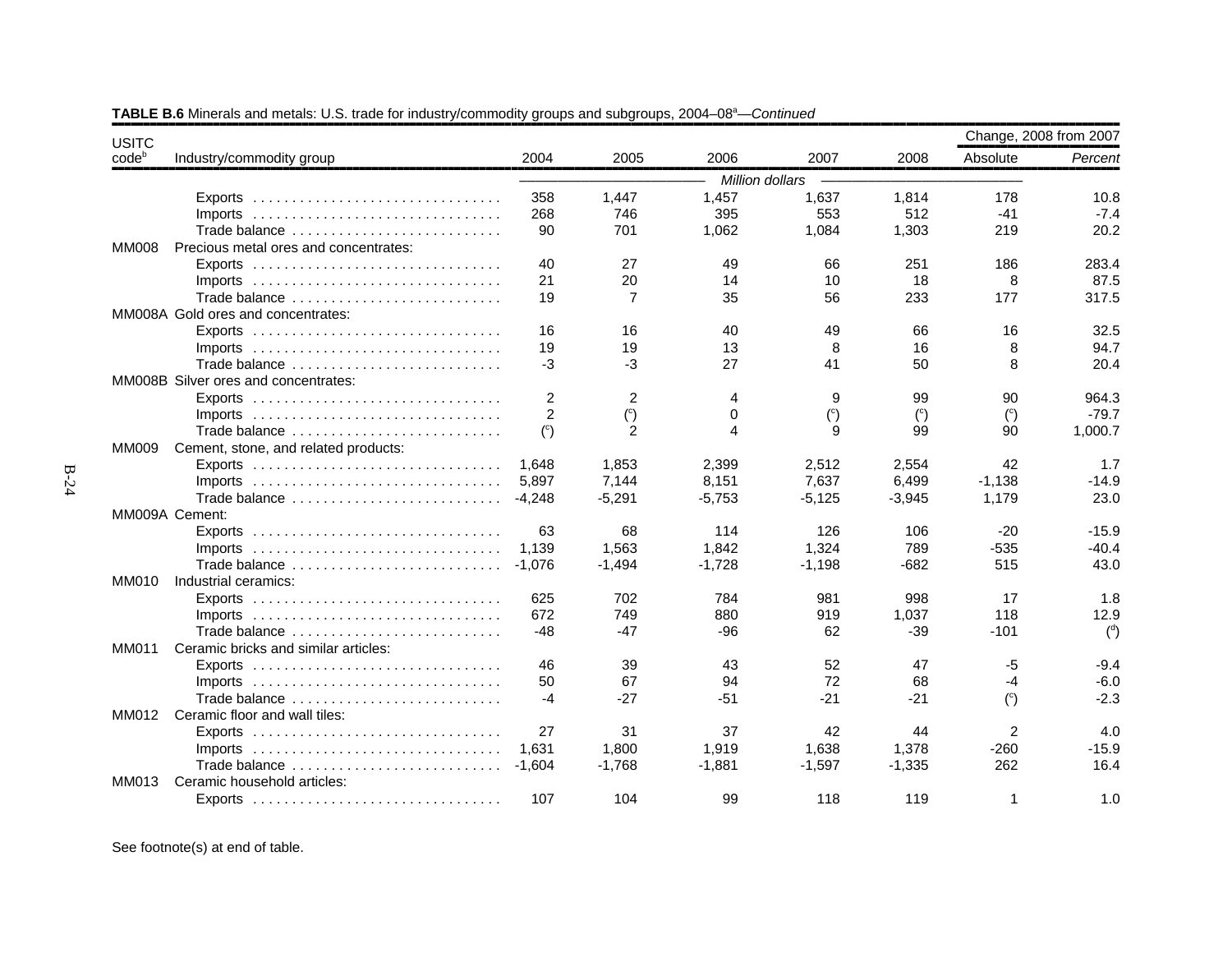| <b>USITC</b>      |                                       |                |                |                        |                |                | Change, 2008 from 2007 |                |
|-------------------|---------------------------------------|----------------|----------------|------------------------|----------------|----------------|------------------------|----------------|
| code <sup>b</sup> | Industry/commodity group              | 2004           | 2005           | 2006                   | 2007           | 2008           | Absolute               | Percent        |
|                   |                                       |                |                | Million dollars        |                |                |                        |                |
|                   |                                       | 358            | 1,447          | 1,457                  | 1,637          | 1,814          | 178                    | 10.8           |
|                   | $Imports$                             | 268            | 746            | 395                    | 553            | 512            | $-41$                  | $-7.4$         |
|                   | Trade balance                         | 90             | 701            | 1,062                  | 1,084          | 1,303          | 219                    | 20.2           |
| <b>MM008</b>      | Precious metal ores and concentrates: |                |                |                        |                |                |                        |                |
|                   |                                       | 40             | 27             | 49                     | 66             | 251            | 186                    | 283.4          |
|                   |                                       | 21             | 20             | 14                     | 10             | 18             | 8                      | 87.5           |
|                   | Trade balance                         | 19             | 7              | 35                     | 56             | 233            | 177                    | 317.5          |
|                   | MM008A Gold ores and concentrates:    |                |                |                        |                |                |                        |                |
|                   |                                       | 16             | 16             | 40                     | 49             | 66             | 16                     | 32.5           |
|                   | $Imports$                             | 19             | 19             | 13                     | 8              | 16             | 8                      | 94.7           |
|                   | Trade balance                         | $-3$           | $-3$           | 27                     | 41             | 50             | 8                      | 20.4           |
|                   | MM008B Silver ores and concentrates:  |                |                |                        |                |                |                        |                |
|                   |                                       | $\overline{c}$ | $\overline{2}$ | 4                      | 9              | 99             | 90                     | 964.3          |
|                   |                                       | 2              | $\binom{c}{c}$ | 0                      | $\binom{c}{c}$ | $\binom{c}{c}$ | $\binom{c}{c}$         | $-79.7$        |
|                   | Trade balance                         | $\binom{c}{c}$ | 2              | $\boldsymbol{\Lambda}$ | 9              | 99             | 90                     | 1,000.7        |
| MM009             | Cement, stone, and related products:  |                |                |                        |                |                |                        |                |
|                   |                                       | 1.648          | 1.853          | 2,399                  | 2,512          | 2.554          | 42                     | 1.7            |
|                   | $Imports$                             | 5,897          | 7,144          | 8,151                  | 7,637          | 6,499          | $-1,138$               | $-14.9$        |
|                   | Trade balance                         | $-4.248$       | $-5,291$       | $-5,753$               | $-5,125$       | $-3,945$       | 1,179                  | 23.0           |
|                   | MM009A Cement:                        |                |                |                        |                |                |                        |                |
|                   |                                       | 63             | 68             | 114                    | 126            | 106            | $-20$                  | $-15.9$        |
|                   |                                       | 1,139          | 1,563          | 1,842                  | 1,324          | 789            | $-535$                 | $-40.4$        |
|                   | Trade balance                         | $-1,076$       | $-1,494$       | $-1,728$               | $-1,198$       | $-682$         | 515                    | 43.0           |
| <b>MM010</b>      | Industrial ceramics:                  |                |                |                        |                |                |                        |                |
|                   |                                       | 625            | 702            | 784                    | 981            | 998            | 17                     | 1.8            |
|                   |                                       | 672            | 749            | 880                    | 919            | 1,037          | 118                    | 12.9           |
|                   | Trade balance                         | $-48$          | -47            | $-96$                  | 62             | -39            | $-101$                 | $\binom{d}{ }$ |
| MM011             | Ceramic bricks and similar articles:  |                |                |                        |                |                |                        |                |
|                   |                                       | 46             | 39             | 43                     | 52             | 47             | $-5$                   | $-9.4$         |
|                   |                                       | 50             | 67             | 94                     | 72             | 68             | $-4$                   | $-6.0$         |
|                   | Trade balance                         | $-4$           | $-27$          | $-51$                  | $-21$          | $-21$          | $\binom{c}{c}$         | $-2.3$         |
| MM012             | Ceramic floor and wall tiles:         |                |                |                        |                |                |                        |                |
|                   |                                       | 27             | 31             | 37                     | 42             | 44             | 2                      | 4.0            |
|                   | $Imports$                             | 1,631          | 1,800          | 1,919                  | 1,638          | 1,378          | $-260$                 | $-15.9$        |
|                   | Trade balance                         | $-1.604$       | $-1,768$       | $-1,881$               | $-1,597$       | $-1,335$       | 262                    | 16.4           |
| <b>MM013</b>      | Ceramic household articles:           |                |                |                        |                |                |                        |                |
|                   |                                       | 107            | 104            | 99                     | 118            | 119            | $\mathbf 1$            | 1.0            |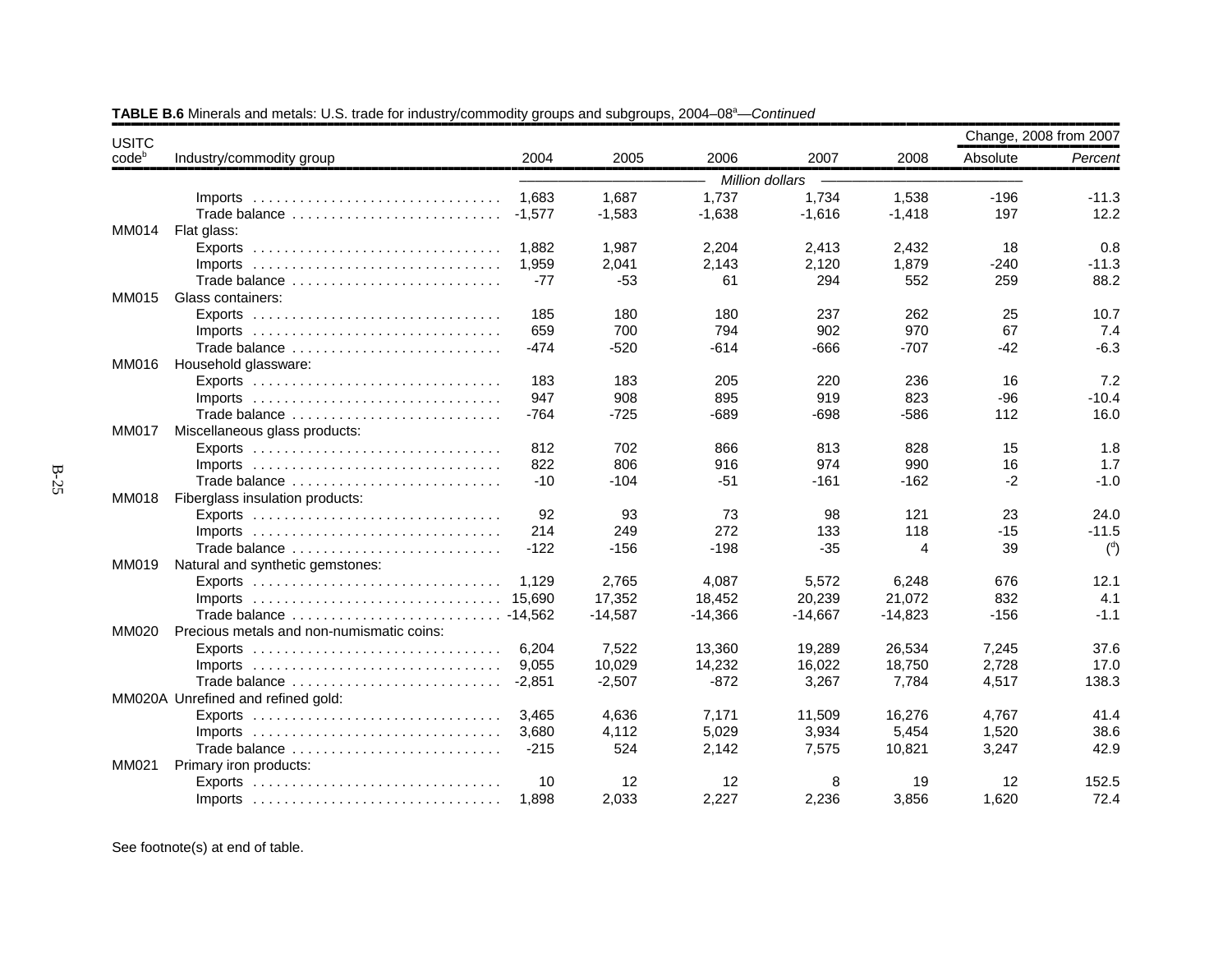| <b>USITC</b> |                                                                                 |          |           |           |                 |           | Change, 2008 from 2007 |                |
|--------------|---------------------------------------------------------------------------------|----------|-----------|-----------|-----------------|-----------|------------------------|----------------|
| $code^b$     | Industry/commodity group                                                        | 2004     | 2005      | 2006      | 2007            | 2008      | Absolute               | Percent        |
|              |                                                                                 |          |           |           | Million dollars |           |                        |                |
|              | $Imports$                                                                       | 1.683    | 1,687     | 1,737     | 1,734           | 1,538     | $-196$                 | $-11.3$        |
|              | Trade balance                                                                   | $-1,577$ | $-1,583$  | $-1,638$  | $-1,616$        | $-1,418$  | 197                    | 12.2           |
| <b>MM014</b> | Flat glass:                                                                     |          |           |           |                 |           |                        |                |
|              |                                                                                 | 1.882    | 1,987     | 2,204     | 2,413           | 2,432     | 18                     | 0.8            |
|              |                                                                                 | 1,959    | 2,041     | 2,143     | 2,120           | 1,879     | $-240$                 | $-11.3$        |
|              | Trade balance                                                                   | $-77$    | $-53$     | 61        | 294             | 552       | 259                    | 88.2           |
| MM015        | Glass containers:                                                               |          |           |           |                 |           |                        |                |
|              | Exports $\ldots \ldots \ldots \ldots \ldots \ldots \ldots \ldots \ldots \ldots$ | 185      | 180       | 180       | 237             | 262       | 25                     | 10.7           |
|              | $Imports$                                                                       | 659      | 700       | 794       | 902             | 970       | 67                     | 7.4            |
|              | Trade balance                                                                   | -474     | $-520$    | $-614$    | -666            | $-707$    | $-42$                  | $-6.3$         |
| MM016        | Household glassware:                                                            |          |           |           |                 |           |                        |                |
|              |                                                                                 | 183      | 183       | 205       | 220             | 236       | 16                     | 7.2            |
|              |                                                                                 | 947      | 908       | 895       | 919             | 823       | $-96$                  | $-10.4$        |
|              | Trade balance                                                                   | $-764$   | $-725$    | $-689$    | $-698$          | $-586$    | 112                    | 16.0           |
| <b>MM017</b> | Miscellaneous glass products:                                                   |          |           |           |                 |           |                        |                |
|              |                                                                                 | 812      | 702       | 866       | 813             | 828       | 15                     | 1.8            |
|              | $Imports$                                                                       | 822      | 806       | 916       | 974             | 990       | 16                     | 1.7            |
|              | Trade balance                                                                   | $-10$    | $-104$    | $-51$     | $-161$          | $-162$    | $-2$                   | $-1.0$         |
| <b>MM018</b> | Fiberglass insulation products:                                                 |          |           |           |                 |           |                        |                |
|              |                                                                                 | 92       | 93        | 73        | 98              | 121       | 23                     | 24.0           |
|              |                                                                                 | 214      | 249       | 272       | 133             | 118       | $-15$                  | $-11.5$        |
|              | Trade balance                                                                   | $-122$   | $-156$    | $-198$    | $-35$           | 4         | 39                     | $\binom{d}{ }$ |
| MM019        | Natural and synthetic gemstones:                                                |          |           |           |                 |           |                        |                |
|              | $Exports$                                                                       | 1.129    | 2.765     | 4.087     | 5.572           | 6,248     | 676                    | 12.1           |
|              |                                                                                 |          | 17,352    | 18,452    | 20,239          | 21,072    | 832                    | 4.1            |
|              |                                                                                 |          | $-14.587$ | $-14,366$ | $-14,667$       | $-14,823$ | $-156$                 | $-1.1$         |
| MM020        | Precious metals and non-numismatic coins:                                       |          |           |           |                 |           |                        |                |
|              |                                                                                 | 6,204    | 7,522     | 13,360    | 19,289          | 26,534    | 7,245                  | 37.6           |
|              |                                                                                 | 9,055    | 10,029    | 14,232    | 16,022          | 18,750    | 2,728                  | 17.0           |
|              | Trade balance                                                                   | $-2,851$ | $-2,507$  | $-872$    | 3,267           | 7,784     | 4,517                  | 138.3          |
|              | MM020A Unrefined and refined gold:                                              |          |           |           |                 |           |                        |                |
|              |                                                                                 | 3.465    | 4,636     | 7,171     | 11,509          | 16,276    | 4,767                  | 41.4           |
|              | Imports $\ldots \ldots \ldots \ldots \ldots \ldots \ldots \ldots \ldots \ldots$ | 3.680    | 4,112     | 5,029     | 3,934           | 5,454     | 1,520                  | 38.6           |
|              | Trade balance                                                                   | $-215$   | 524       | 2,142     | 7,575           | 10,821    | 3,247                  | 42.9           |
| MM021        | Primary iron products:                                                          |          |           |           |                 |           |                        |                |
|              |                                                                                 | 10       | 12        | 12        | 8               | 19        | 12                     | 152.5          |
|              |                                                                                 | 1,898    | 2,033     | 2,227     | 2,236           | 3,856     | 1,620                  | 72.4           |

**TABLE B.6** Minerals and metals: U.S. trade for industry/commodity groups and subgroups, 2004–08<sup>a</sup>—*Continued*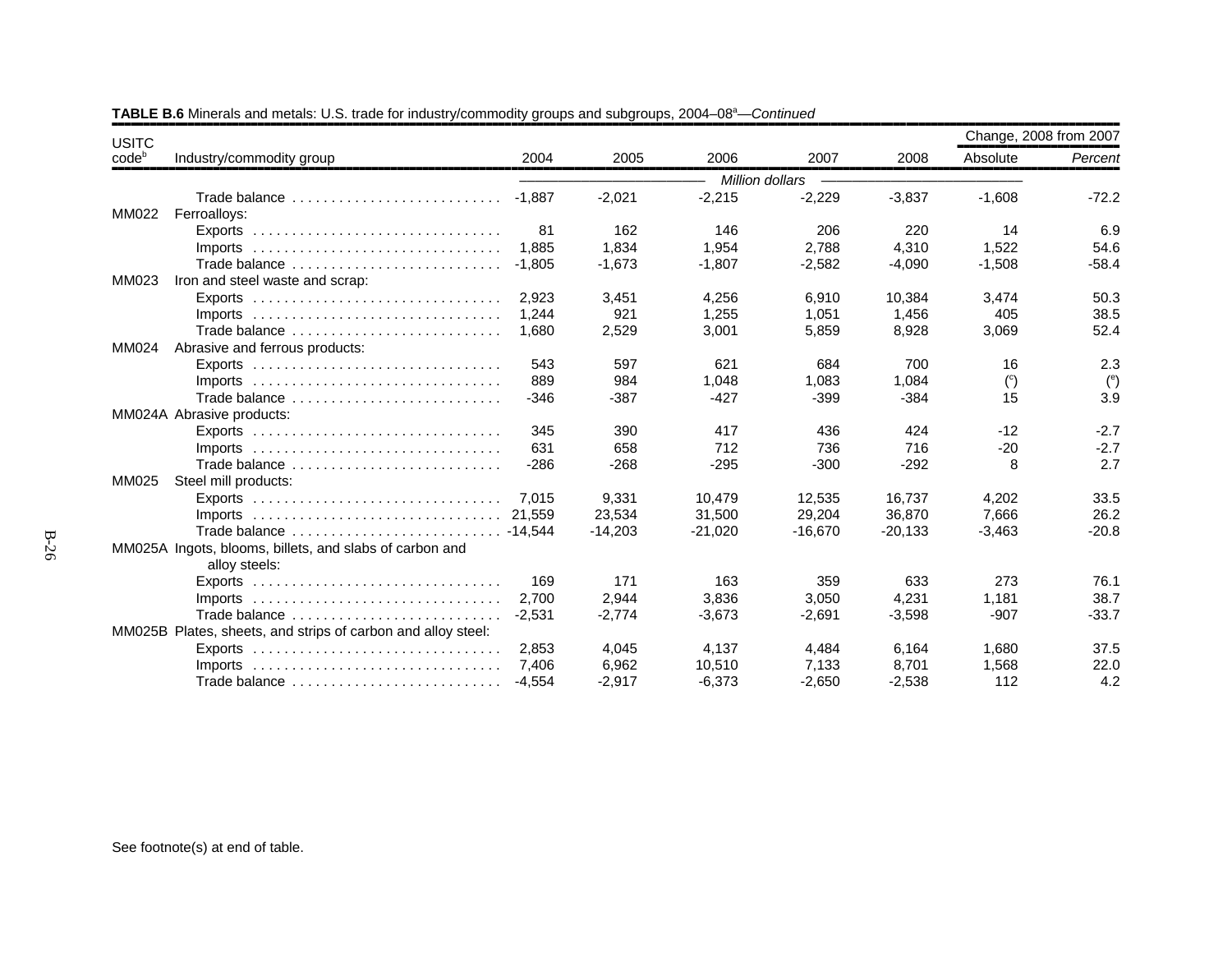| <b>USITC</b> |                                                                                 |          |           |           |                 |           | Change, 2008 from 2007 |                      |
|--------------|---------------------------------------------------------------------------------|----------|-----------|-----------|-----------------|-----------|------------------------|----------------------|
| $code^b$     | Industry/commodity group                                                        | 2004     | 2005      | 2006      | 2007            | 2008      | Absolute               | Percent              |
|              |                                                                                 |          |           |           | Million dollars |           |                        |                      |
|              | Trade balance                                                                   | -1.887   | $-2,021$  | $-2,215$  | $-2,229$        | $-3,837$  | $-1,608$               | $-72.2$              |
| <b>MM022</b> | Ferroalloys:                                                                    |          |           |           |                 |           |                        |                      |
|              | $Exports$                                                                       | 81       | 162       | 146       | 206             | 220       | 14                     | 6.9                  |
|              | $Imports$                                                                       | 1.885    | 1.834     | 1.954     | 2,788           | 4.310     | 1,522                  | 54.6                 |
|              | Trade balance                                                                   | $-1.805$ | $-1,673$  | $-1,807$  | $-2,582$        | $-4,090$  | $-1,508$               | $-58.4$              |
| MM023        | Iron and steel waste and scrap:                                                 |          |           |           |                 |           |                        |                      |
|              |                                                                                 | 2.923    | 3,451     | 4,256     | 6,910           | 10,384    | 3,474                  | 50.3                 |
|              | Imports $\ldots \ldots \ldots \ldots \ldots \ldots \ldots \ldots \ldots \ldots$ | 1.244    | 921       | 1,255     | 1,051           | 1,456     | 405                    | 38.5                 |
|              | Trade balance                                                                   | 1,680    | 2,529     | 3,001     | 5,859           | 8,928     | 3,069                  | 52.4                 |
| MM024        | Abrasive and ferrous products:                                                  |          |           |           |                 |           |                        |                      |
|              | Exports $\ldots \ldots \ldots \ldots \ldots \ldots \ldots \ldots \ldots \ldots$ | 543      | 597       | 621       | 684             | 700       | 16                     | 2.3                  |
|              |                                                                                 | 889      | 984       | 1,048     | 1,083           | 1,084     | $(^\circ)$             | $($ <sup>e</sup> $)$ |
|              | Trade balance                                                                   | $-346$   | $-387$    | $-427$    | $-399$          | $-384$    | 15                     | 3.9                  |
|              | MM024A Abrasive products:                                                       |          |           |           |                 |           |                        |                      |
|              |                                                                                 | 345      | 390       | 417       | 436             | 424       | $-12$                  | $-2.7$               |
|              |                                                                                 | 631      | 658       | 712       | 736             | 716       | $-20$                  | $-2.7$               |
|              | Trade balance                                                                   | $-286$   | $-268$    | $-295$    | $-300$          | $-292$    | 8                      | 2.7                  |
| MM025        | Steel mill products:                                                            |          |           |           |                 |           |                        |                      |
|              |                                                                                 | 7.015    | 9,331     | 10,479    | 12,535          | 16,737    | 4,202                  | 33.5                 |
|              |                                                                                 |          | 23,534    | 31,500    | 29,204          | 36,870    | 7,666                  | 26.2                 |
|              |                                                                                 |          | $-14,203$ | $-21,020$ | $-16,670$       | $-20,133$ | $-3,463$               | $-20.8$              |
|              | MM025A Ingots, blooms, billets, and slabs of carbon and                         |          |           |           |                 |           |                        |                      |
|              | alloy steels:                                                                   |          |           |           |                 |           |                        |                      |
|              |                                                                                 | 169      | 171       | 163       | 359             | 633       | 273                    | 76.1                 |
|              | $Imports$                                                                       | 2,700    | 2,944     | 3,836     | 3,050           | 4,231     | 1,181                  | 38.7                 |
|              | Trade balance                                                                   | $-2.531$ | $-2.774$  | $-3.673$  | $-2,691$        | $-3,598$  | $-907$                 | $-33.7$              |
|              | MM025B Plates, sheets, and strips of carbon and alloy steel:                    |          |           |           |                 |           |                        |                      |
|              | Exports $\ldots \ldots \ldots \ldots \ldots \ldots \ldots \ldots \ldots \ldots$ | 2.853    | 4,045     | 4,137     | 4,484           | 6,164     | 1.680                  | 37.5                 |
|              | Imports $\ldots \ldots \ldots \ldots \ldots \ldots \ldots \ldots \ldots \ldots$ | 7,406    | 6,962     | 10,510    | 7,133           | 8,701     | 1,568                  | 22.0                 |
|              | Trade balance                                                                   | $-4.554$ | $-2,917$  | $-6,373$  | $-2,650$        | $-2,538$  | 112                    | 4.2                  |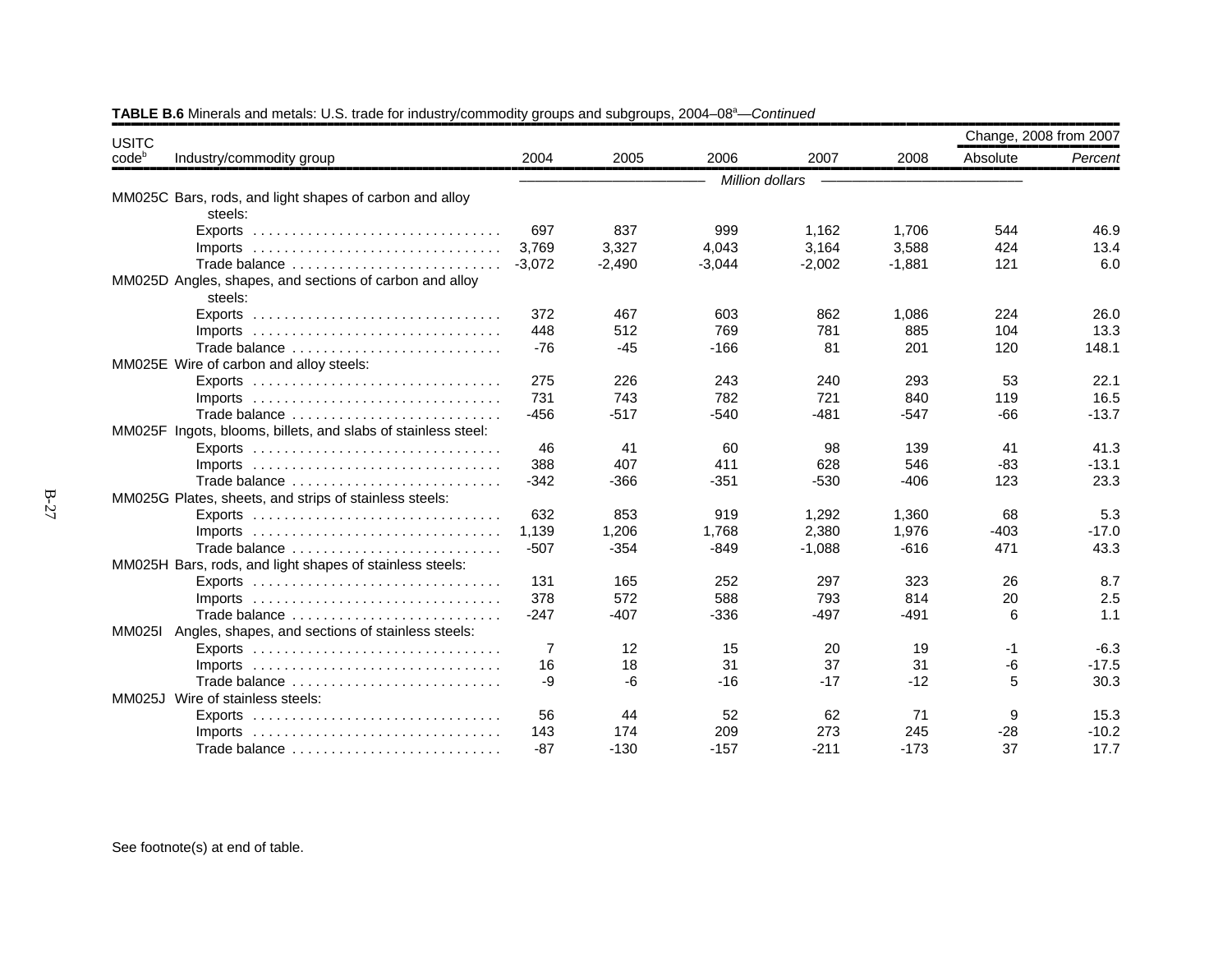| <b>USITC</b>                                                                    |          |          |                 |          |          | Change, 2008 from 2007 |         |
|---------------------------------------------------------------------------------|----------|----------|-----------------|----------|----------|------------------------|---------|
| codeb<br>Industry/commodity group                                               | 2004     | 2005     | 2006            | 2007     | 2008     | Absolute               | Percent |
|                                                                                 |          |          | Million dollars |          |          |                        |         |
| MM025C Bars, rods, and light shapes of carbon and alloy                         |          |          |                 |          |          |                        |         |
| steels:                                                                         |          |          |                 |          |          |                        |         |
| Exports $\ldots \ldots \ldots \ldots \ldots \ldots \ldots \ldots \ldots \ldots$ | 697      | 837      | 999             | 1,162    | 1,706    | 544                    | 46.9    |
| Imports $\ldots \ldots \ldots \ldots \ldots \ldots \ldots \ldots \ldots \ldots$ | 3,769    | 3,327    | 4,043           | 3,164    | 3,588    | 424                    | 13.4    |
| Trade balance                                                                   | $-3.072$ | $-2,490$ | $-3,044$        | $-2,002$ | $-1,881$ | 121                    | 6.0     |
| MM025D Angles, shapes, and sections of carbon and alloy<br>steels:              |          |          |                 |          |          |                        |         |
|                                                                                 | 372      | 467      | 603             | 862      | 1,086    | 224                    | 26.0    |
|                                                                                 | 448      | 512      | 769             | 781      | 885      | 104                    | 13.3    |
| Trade balance                                                                   | $-76$    | $-45$    | $-166$          | 81       | 201      | 120                    | 148.1   |
| MM025E Wire of carbon and alloy steels:                                         |          |          |                 |          |          |                        |         |
| Exports $\ldots \ldots \ldots \ldots \ldots \ldots \ldots \ldots \ldots \ldots$ | 275      | 226      | 243             | 240      | 293      | 53                     | 22.1    |
| Imports $\ldots \ldots \ldots \ldots \ldots \ldots \ldots \ldots \ldots \ldots$ | 731      | 743      | 782             | 721      | 840      | 119                    | 16.5    |
| Trade balance                                                                   | $-456$   | $-517$   | $-540$          | $-481$   | $-547$   | $-66$                  | $-13.7$ |
| MM025F Ingots, blooms, billets, and slabs of stainless steel:                   |          |          |                 |          |          |                        |         |
|                                                                                 | 46       | 41       | 60              | 98       | 139      | 41                     | 41.3    |
|                                                                                 | 388      | 407      | 411             | 628      | 546      | -83                    | $-13.1$ |
| Trade balance                                                                   | $-342$   | $-366$   | $-351$          | $-530$   | $-406$   | 123                    | 23.3    |
| MM025G Plates, sheets, and strips of stainless steels:                          |          |          |                 |          |          |                        |         |
| Exports $\ldots \ldots \ldots \ldots \ldots \ldots \ldots \ldots \ldots \ldots$ | 632      | 853      | 919             | 1,292    | 1,360    | 68                     | 5.3     |
| Imports $\ldots \ldots \ldots \ldots \ldots \ldots \ldots \ldots \ldots \ldots$ | 1.139    | 1,206    | 1,768           | 2,380    | 1,976    | $-403$                 | $-17.0$ |
| Trade balance                                                                   | $-507$   | $-354$   | $-849$          | $-1,088$ | $-616$   | 471                    | 43.3    |
| MM025H Bars, rods, and light shapes of stainless steels:                        |          |          |                 |          |          |                        |         |
|                                                                                 | 131      | 165      | 252             | 297      | 323      | 26                     | 8.7     |
| Imports $\ldots \ldots \ldots \ldots \ldots \ldots \ldots \ldots \ldots \ldots$ | 378      | 572      | 588             | 793      | 814      | 20                     | 2.5     |
| Trade balance                                                                   | $-247$   | $-407$   | $-336$          | $-497$   | $-491$   | 6                      | 1.1     |
| MM025I Angles, shapes, and sections of stainless steels:                        |          |          |                 |          |          |                        |         |
|                                                                                 | 7        | 12       | 15              | 20       | 19       | -1                     | $-6.3$  |
| Imports $\ldots \ldots \ldots \ldots \ldots \ldots \ldots \ldots \ldots \ldots$ | 16       | 18       | 31              | 37       | 31       | -6                     | $-17.5$ |
| Trade balance                                                                   | -9       | $-6$     | $-16$           | $-17$    | $-12$    | 5                      | 30.3    |
| MM025J Wire of stainless steels:                                                |          |          |                 |          |          |                        |         |
|                                                                                 | 56       | 44       | 52              | 62       | 71       | 9                      | 15.3    |
| $Imports$                                                                       | 143      | 174      | 209             | 273      | 245      | $-28$                  | $-10.2$ |
| Trade balance                                                                   | $-87$    | $-130$   | $-157$          | $-211$   | $-173$   | 37                     | 17.7    |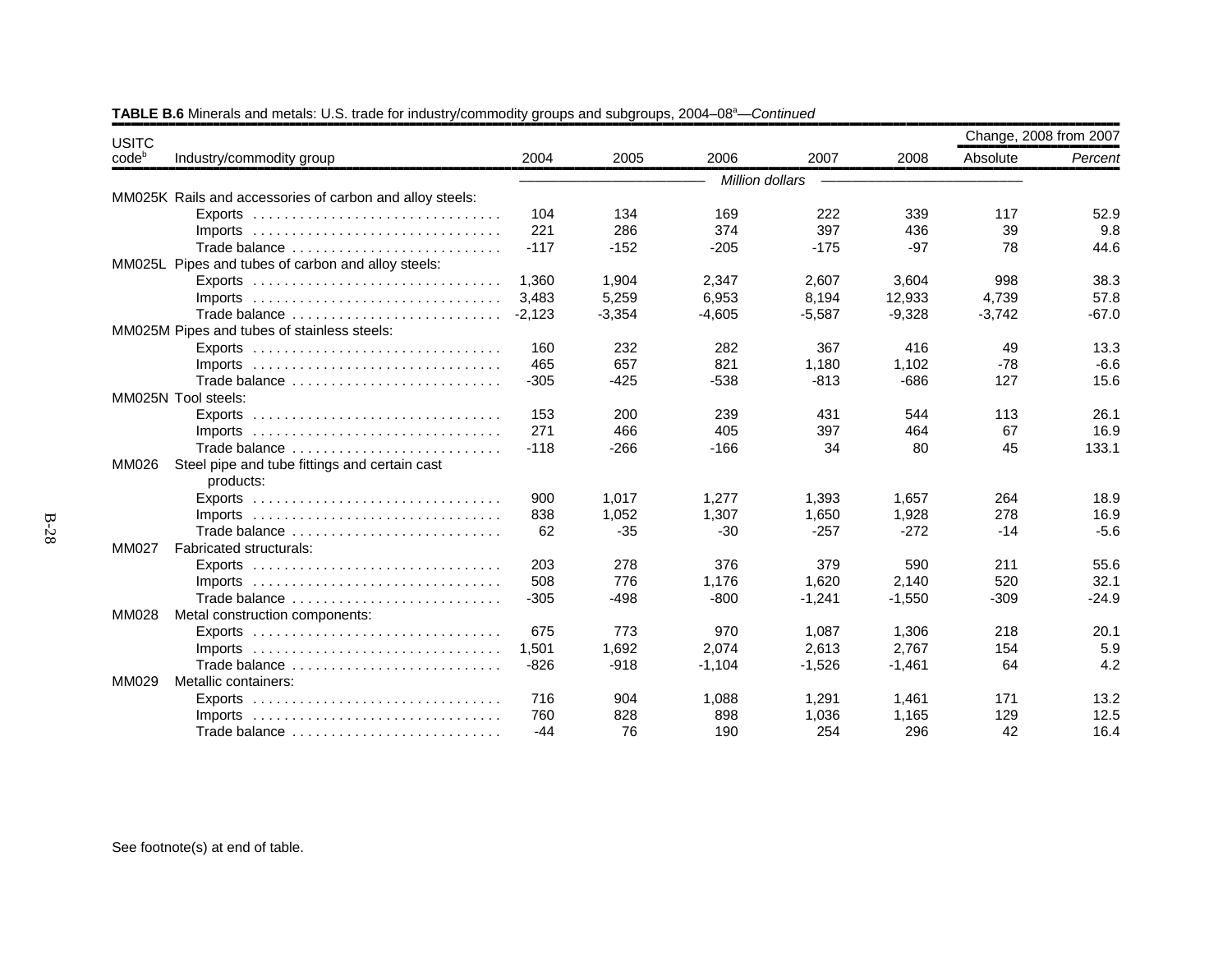| <b>USITC</b> |                                                                                 | Change, 2008 from 2007 |          |                 |          |          |          |         |  |
|--------------|---------------------------------------------------------------------------------|------------------------|----------|-----------------|----------|----------|----------|---------|--|
| $code^b$     | Industry/commodity group                                                        | 2004                   | 2005     | 2006            | 2007     | 2008     | Absolute | Percent |  |
|              |                                                                                 |                        |          | Million dollars |          |          |          |         |  |
|              | MM025K Rails and accessories of carbon and alloy steels:                        |                        |          |                 |          |          |          |         |  |
|              |                                                                                 | 104                    | 134      | 169             | 222      | 339      | 117      | 52.9    |  |
|              | $Imports$                                                                       | 221                    | 286      | 374             | 397      | 436      | 39       | 9.8     |  |
|              | Trade balance                                                                   | $-117$                 | $-152$   | $-205$          | $-175$   | $-97$    | 78       | 44.6    |  |
|              | MM025L Pipes and tubes of carbon and alloy steels:                              |                        |          |                 |          |          |          |         |  |
|              |                                                                                 | 1,360                  | 1,904    | 2,347           | 2,607    | 3,604    | 998      | 38.3    |  |
|              |                                                                                 | 3,483                  | 5,259    | 6,953           | 8,194    | 12,933   | 4,739    | 57.8    |  |
|              | Trade balance                                                                   | $-2.123$               | $-3,354$ | $-4.605$        | $-5,587$ | $-9,328$ | $-3,742$ | $-67.0$ |  |
|              | MM025M Pipes and tubes of stainless steels:                                     |                        |          |                 |          |          |          |         |  |
|              |                                                                                 | 160                    | 232      | 282             | 367      | 416      | 49       | 13.3    |  |
|              | Imports $\ldots \ldots \ldots \ldots \ldots \ldots \ldots \ldots \ldots \ldots$ | 465                    | 657      | 821             | 1,180    | 1,102    | $-78$    | $-6.6$  |  |
|              | Trade balance                                                                   | $-305$                 | $-425$   | $-538$          | $-813$   | $-686$   | 127      | 15.6    |  |
|              | MM025N Tool steels:                                                             |                        |          |                 |          |          |          |         |  |
|              |                                                                                 | 153                    | 200      | 239             | 431      | 544      | 113      | 26.1    |  |
|              | Imports $\ldots \ldots \ldots \ldots \ldots \ldots \ldots \ldots \ldots \ldots$ | 271                    | 466      | 405             | 397      | 464      | 67       | 16.9    |  |
|              | Trade balance                                                                   | $-118$                 | $-266$   | $-166$          | 34       | 80       | 45       | 133.1   |  |
| <b>MM026</b> | Steel pipe and tube fittings and certain cast                                   |                        |          |                 |          |          |          |         |  |
|              | products:                                                                       |                        |          |                 |          |          |          |         |  |
|              |                                                                                 | 900                    | 1.017    | 1.277           | 1.393    | 1.657    | 264      | 18.9    |  |
|              |                                                                                 | 838                    | 1,052    | 1,307           | 1,650    | 1,928    | 278      | 16.9    |  |
|              | Trade balance                                                                   | 62                     | $-35$    | $-30$           | $-257$   | $-272$   | $-14$    | $-5.6$  |  |
| MM027        | Fabricated structurals:                                                         |                        |          |                 |          |          |          |         |  |
|              | Exports $\ldots \ldots \ldots \ldots \ldots \ldots \ldots \ldots \ldots \ldots$ | 203                    | 278      | 376             | 379      | 590      | 211      | 55.6    |  |
|              |                                                                                 | 508                    | 776      | 1.176           | 1.620    | 2.140    | 520      | 32.1    |  |
|              | Trade balance                                                                   | $-305$                 | $-498$   | $-800$          | $-1,241$ | $-1,550$ | $-309$   | $-24.9$ |  |
| MM028        | Metal construction components:                                                  |                        |          |                 |          |          |          |         |  |
|              |                                                                                 | 675                    | 773      | 970             | 1.087    | 1,306    | 218      | 20.1    |  |
|              |                                                                                 | 1,501                  | 1,692    | 2,074           | 2,613    | 2,767    | 154      | 5.9     |  |
|              | Trade balance                                                                   | $-826$                 | $-918$   | $-1,104$        | $-1,526$ | $-1,461$ | 64       | 4.2     |  |
| MM029        | Metallic containers:                                                            |                        |          |                 |          |          |          |         |  |
|              |                                                                                 | 716                    | 904      | 1,088           | 1,291    | 1,461    | 171      | 13.2    |  |
|              | Imports $\ldots \ldots \ldots \ldots \ldots \ldots \ldots \ldots \ldots \ldots$ | 760                    | 828      | 898             | 1.036    | 1.165    | 129      | 12.5    |  |
|              | Trade balance                                                                   | $-44$                  | 76       | 190             | 254      | 296      | 42       | 16.4    |  |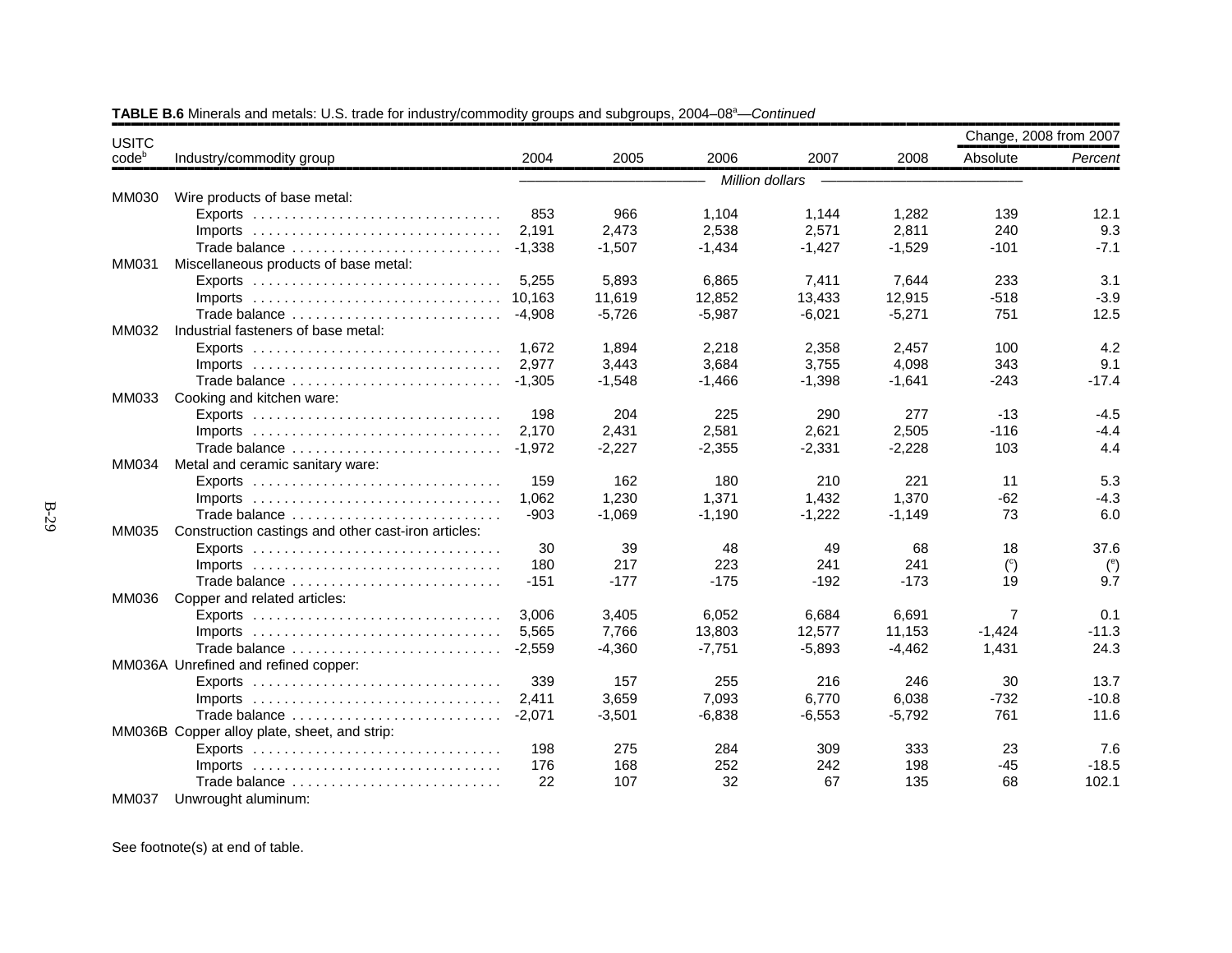| <b>USITC</b>      |                                                                                 |          |          |                 |          |          | Change, 2008 from 2007 |            |
|-------------------|---------------------------------------------------------------------------------|----------|----------|-----------------|----------|----------|------------------------|------------|
| code <sup>b</sup> | Industry/commodity group                                                        | 2004     | 2005     | 2006            | 2007     | 2008     | Absolute               | Percent    |
|                   |                                                                                 |          |          | Million dollars |          |          |                        |            |
| MM030             | Wire products of base metal:                                                    |          |          |                 |          |          |                        |            |
|                   |                                                                                 | 853      | 966      | 1,104           | 1,144    | 1,282    | 139                    | 12.1       |
|                   | $Imports$                                                                       | 2.191    | 2.473    | 2,538           | 2,571    | 2,811    | 240                    | 9.3        |
|                   | Trade balance                                                                   | $-1,338$ | $-1,507$ | $-1,434$        | $-1,427$ | $-1,529$ | $-101$                 | $-7.1$     |
| MM031             | Miscellaneous products of base metal:                                           |          |          |                 |          |          |                        |            |
|                   |                                                                                 | 5,255    | 5,893    | 6,865           | 7,411    | 7,644    | 233                    | 3.1        |
|                   |                                                                                 | 10,163   | 11,619   | 12,852          | 13,433   | 12,915   | $-518$                 | $-3.9$     |
|                   | Trade balance                                                                   | $-4,908$ | $-5,726$ | $-5,987$        | $-6,021$ | $-5,271$ | 751                    | 12.5       |
| MM032             | Industrial fasteners of base metal:                                             |          |          |                 |          |          |                        |            |
|                   |                                                                                 | 1.672    | 1.894    | 2,218           | 2,358    | 2,457    | 100                    | 4.2        |
|                   |                                                                                 | 2.977    | 3,443    | 3,684           | 3,755    | 4,098    | 343                    | 9.1        |
|                   | Trade balance                                                                   | $-1.305$ | $-1,548$ | $-1,466$        | $-1,398$ | $-1,641$ | $-243$                 | $-17.4$    |
| MM033             | Cooking and kitchen ware:                                                       |          |          |                 |          |          |                        |            |
|                   |                                                                                 | 198      | 204      | 225             | 290      | 277      | $-13$                  | $-4.5$     |
|                   | Imports $\ldots \ldots \ldots \ldots \ldots \ldots \ldots \ldots \ldots \ldots$ | 2.170    | 2.431    | 2,581           | 2,621    | 2,505    | $-116$                 | $-4.4$     |
|                   | Trade balance                                                                   | $-1.972$ | $-2,227$ | $-2,355$        | $-2,331$ | $-2,228$ | 103                    | 4.4        |
| MM034             | Metal and ceramic sanitary ware:                                                |          |          |                 |          |          |                        |            |
|                   |                                                                                 | 159      | 162      | 180             | 210      | 221      | 11                     | 5.3        |
|                   |                                                                                 | 1.062    | 1,230    | 1,371           | 1,432    | 1,370    | $-62$                  | $-4.3$     |
|                   | Trade balance                                                                   | $-903$   | $-1,069$ | $-1,190$        | $-1,222$ | $-1,149$ | 73                     | 6.0        |
| MM035             | Construction castings and other cast-iron articles:                             |          |          |                 |          |          |                        |            |
|                   |                                                                                 | 30       | 39       | 48              | 49       | 68       | 18                     | 37.6       |
|                   |                                                                                 | 180      | 217      | 223             | 241      | 241      | $\binom{c}{c}$         | $^{\circ}$ |
|                   | Trade balance                                                                   | $-151$   | $-177$   | $-175$          | $-192$   | $-173$   | 19                     | 9.7        |
| MM036             | Copper and related articles:                                                    |          |          |                 |          |          |                        |            |
|                   |                                                                                 | 3,006    | 3,405    | 6,052           | 6,684    | 6,691    | $\overline{7}$         | 0.1        |
|                   |                                                                                 | 5,565    | 7,766    | 13,803          | 12,577   | 11,153   | $-1.424$               | $-11.3$    |
|                   | Trade balance                                                                   | $-2.559$ | $-4,360$ | $-7,751$        | $-5,893$ | $-4,462$ | 1,431                  | 24.3       |
|                   | MM036A Unrefined and refined copper:                                            |          |          |                 |          |          |                        |            |
|                   |                                                                                 | 339      | 157      | 255             | 216      | 246      | 30                     | 13.7       |
|                   | Imports $\ldots \ldots \ldots \ldots \ldots \ldots \ldots \ldots \ldots \ldots$ | 2,411    | 3,659    | 7,093           | 6.770    | 6,038    | $-732$                 | $-10.8$    |
|                   | Trade balance                                                                   | $-2,071$ | $-3,501$ | $-6,838$        | $-6,553$ | $-5,792$ | 761                    | 11.6       |
|                   | MM036B Copper alloy plate, sheet, and strip:                                    |          |          |                 |          |          |                        |            |
|                   |                                                                                 | 198      | 275      | 284             | 309      | 333      | 23                     | 7.6        |
|                   |                                                                                 | 176      | 168      | 252             | 242      | 198      | $-45$                  | $-18.5$    |
|                   | Trade balance                                                                   | 22       | 107      | 32              | 67       | 135      | 68                     | 102.1      |
| <b>MM037</b>      | Unwrought aluminum:                                                             |          |          |                 |          |          |                        |            |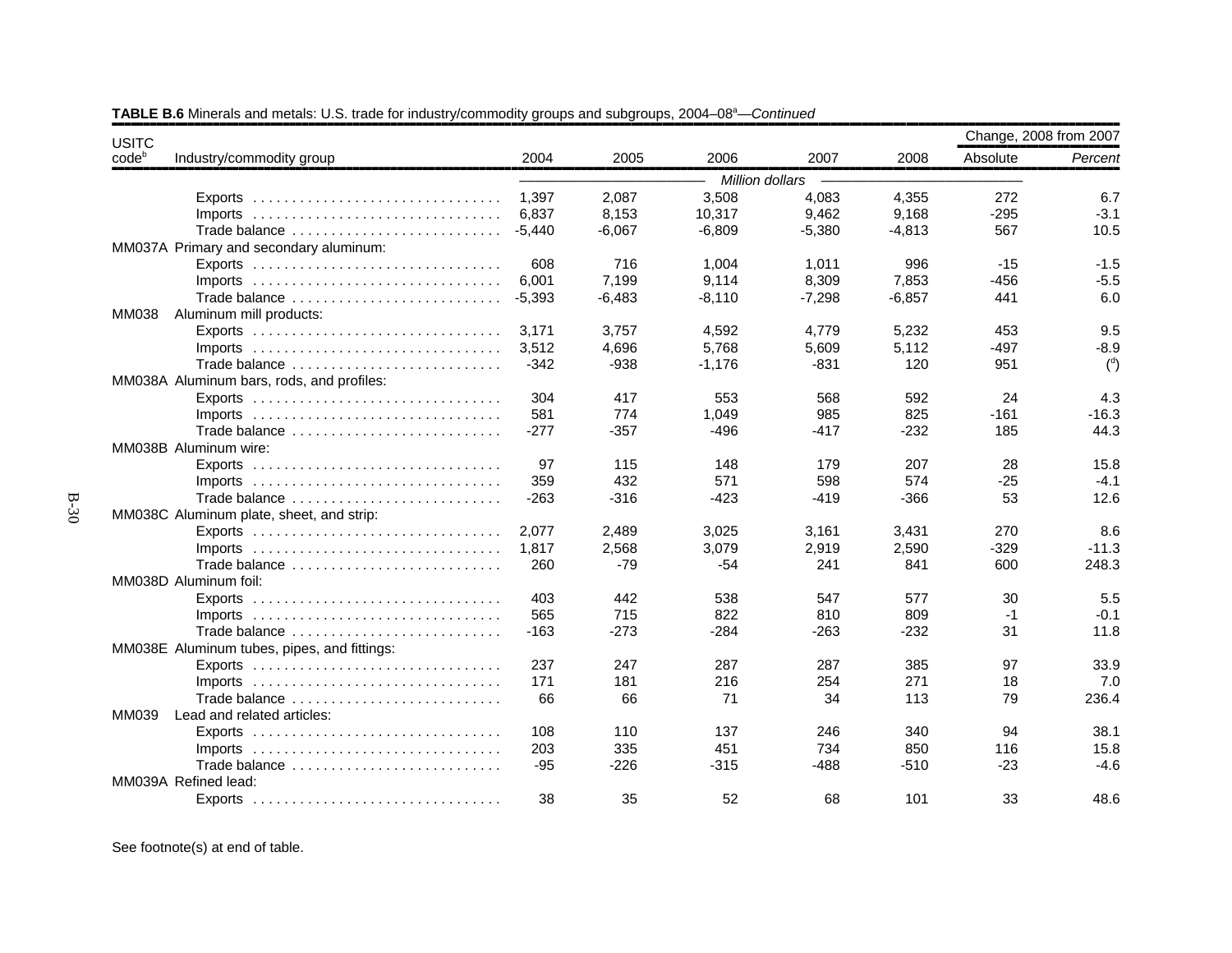| <b>USITC</b>      |                                                                                 |          |          |                 |          |          | Change, 2008 from 2007 |                |
|-------------------|---------------------------------------------------------------------------------|----------|----------|-----------------|----------|----------|------------------------|----------------|
| code <sup>b</sup> | Industry/commodity group                                                        | 2004     | 2005     | 2006            | 2007     | 2008     | Absolute               | Percent        |
|                   |                                                                                 |          |          | Million dollars |          |          |                        |                |
|                   |                                                                                 | 1,397    | 2,087    | 3,508           | 4,083    | 4,355    | 272                    | 6.7            |
|                   |                                                                                 | 6.837    | 8,153    | 10,317          | 9,462    | 9,168    | $-295$                 | $-3.1$         |
|                   | Trade balance                                                                   | $-5.440$ | $-6,067$ | $-6,809$        | $-5,380$ | $-4,813$ | 567                    | 10.5           |
|                   | MM037A Primary and secondary aluminum:                                          |          |          |                 |          |          |                        |                |
|                   |                                                                                 | 608      | 716      | 1,004           | 1,011    | 996      | $-15$                  | $-1.5$         |
|                   | $Imports$                                                                       | 6,001    | 7,199    | 9,114           | 8,309    | 7,853    | $-456$                 | $-5.5$         |
|                   | Trade balance                                                                   | $-5,393$ | $-6,483$ | $-8,110$        | $-7,298$ | $-6,857$ | 441                    | 6.0            |
| <b>MM038</b>      | Aluminum mill products:                                                         |          |          |                 |          |          |                        |                |
|                   |                                                                                 | 3,171    | 3,757    | 4,592           | 4,779    | 5,232    | 453                    | 9.5            |
|                   | $Imports$                                                                       | 3.512    | 4.696    | 5.768           | 5,609    | 5,112    | $-497$                 | $-8.9$         |
|                   |                                                                                 | $-342$   | $-938$   | $-1.176$        | $-831$   | 120      | 951                    | $\binom{d}{ }$ |
|                   | MM038A Aluminum bars, rods, and profiles:                                       |          |          |                 |          |          |                        |                |
|                   |                                                                                 | 304      | 417      | 553             | 568      | 592      | 24                     | 4.3            |
|                   | $Imports$                                                                       | 581      | 774      | 1,049           | 985      | 825      | $-161$                 | $-16.3$        |
|                   | Trade balance                                                                   | $-277$   | $-357$   | -496            | -417     | $-232$   | 185                    | 44.3           |
|                   | MM038B Aluminum wire:                                                           |          |          |                 |          |          |                        |                |
|                   |                                                                                 | 97       | 115      | 148             | 179      | 207      | 28                     | 15.8           |
|                   |                                                                                 | 359      | 432      | 571             | 598      | 574      | $-25$                  | $-4.1$         |
|                   | Trade balance                                                                   | $-263$   | $-316$   | $-423$          | $-419$   | $-366$   | 53                     | 12.6           |
|                   | MM038C Aluminum plate, sheet, and strip:                                        |          |          |                 |          |          |                        |                |
|                   | Exports $\ldots \ldots \ldots \ldots \ldots \ldots \ldots \ldots \ldots \ldots$ | 2.077    | 2,489    | 3,025           | 3,161    | 3,431    | 270                    | 8.6            |
|                   | $Imports$                                                                       | 1.817    | 2,568    | 3,079           | 2,919    | 2,590    | $-329$                 | $-11.3$        |
|                   | Trade balance                                                                   | 260      | $-79$    | $-54$           | 241      | 841      | 600                    | 248.3          |
|                   | MM038D Aluminum foil:                                                           |          |          |                 |          |          |                        |                |
|                   |                                                                                 | 403      | 442      | 538             | 547      | 577      | 30                     | 5.5            |
|                   | Imports $\ldots \ldots \ldots \ldots \ldots \ldots \ldots \ldots \ldots \ldots$ | 565      | 715      | 822             | 810      | 809      | $-1$                   | $-0.1$         |
|                   | Trade balance                                                                   | $-163$   | $-273$   | -284            | $-263$   | $-232$   | 31                     | 11.8           |
|                   | MM038E Aluminum tubes, pipes, and fittings:                                     |          |          |                 |          |          |                        |                |
|                   |                                                                                 | 237      | 247      | 287             | 287      | 385      | 97                     | 33.9           |
|                   | $Imports$                                                                       | 171      | 181      | 216             | 254      | 271      | 18                     | 7.0            |
|                   | Trade balance                                                                   | 66       | 66       | 71              | 34       | 113      | 79                     | 236.4          |
| MM039             | Lead and related articles:                                                      |          |          |                 |          |          |                        |                |
|                   |                                                                                 | 108      | 110      | 137             | 246      | 340      | 94                     | 38.1           |
|                   |                                                                                 | 203      | 335      | 451             | 734      | 850      | 116                    | 15.8           |
|                   | Trade balance                                                                   | $-95$    | $-226$   | $-315$          | $-488$   | $-510$   | $-23$                  | $-4.6$         |
|                   | MM039A Refined lead:                                                            |          |          |                 |          |          |                        |                |
|                   |                                                                                 | 38       | 35       | 52              | 68       | 101      | 33                     | 48.6           |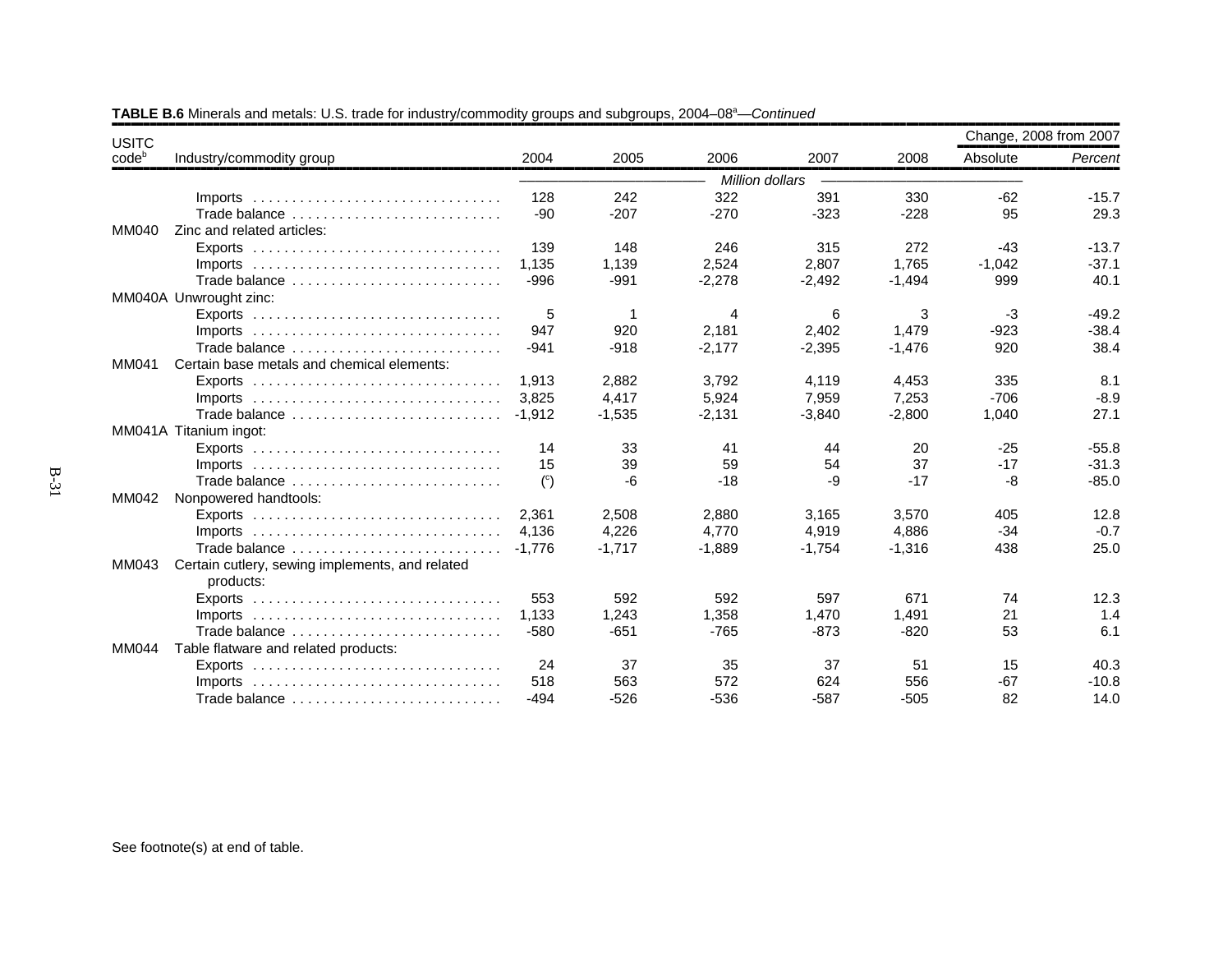| <b>USITC</b> |                                                                                 |                |          |                 |          |          | Change, 2008 from 2007 |         |
|--------------|---------------------------------------------------------------------------------|----------------|----------|-----------------|----------|----------|------------------------|---------|
| codeb        | Industry/commodity group                                                        | 2004           | 2005     | 2006            | 2007     | 2008     | Absolute               | Percent |
|              |                                                                                 |                |          | Million dollars |          |          |                        |         |
|              | $Imports$                                                                       | 128            | 242      | 322             | 391      | 330      | $-62$                  | $-15.7$ |
|              | Trade balance                                                                   | -90            | $-207$   | $-270$          | $-323$   | $-228$   | 95                     | 29.3    |
| MM040        | Zinc and related articles:                                                      |                |          |                 |          |          |                        |         |
|              |                                                                                 | 139            | 148      | 246             | 315      | 272      | $-43$                  | $-13.7$ |
|              | $Imports$                                                                       | 1,135          | 1,139    | 2,524           | 2,807    | 1,765    | $-1,042$               | $-37.1$ |
|              | Trade balance                                                                   | $-996$         | $-991$   | $-2,278$        | $-2,492$ | $-1,494$ | 999                    | 40.1    |
|              | MM040A Unwrought zinc:                                                          |                |          |                 |          |          |                        |         |
|              | Exports $\ldots \ldots \ldots \ldots \ldots \ldots \ldots \ldots \ldots \ldots$ | 5              | -1       | 4               | 6        | 3        | -3                     | $-49.2$ |
|              | $Imports$                                                                       | 947            | 920      | 2,181           | 2,402    | 1,479    | $-923$                 | $-38.4$ |
|              | Trade balance                                                                   | $-941$         | $-918$   | $-2,177$        | $-2,395$ | $-1,476$ | 920                    | 38.4    |
| MM041        | Certain base metals and chemical elements:                                      |                |          |                 |          |          |                        |         |
|              |                                                                                 | 1.913          | 2.882    | 3,792           | 4,119    | 4,453    | 335                    | 8.1     |
|              |                                                                                 | 3.825          | 4,417    | 5,924           | 7,959    | 7,253    | $-706$                 | $-8.9$  |
|              | Trade balance                                                                   | $-1.912$       | $-1,535$ | $-2,131$        | $-3,840$ | $-2,800$ | 1,040                  | 27.1    |
|              | MM041A Titanium ingot:                                                          |                |          |                 |          |          |                        |         |
|              |                                                                                 | 14             | 33       | 41              | 44       | 20       | $-25$                  | $-55.8$ |
|              | $Imports$                                                                       | 15             | 39       | 59              | 54       | 37       | $-17$                  | $-31.3$ |
|              | Trade balance                                                                   | $\binom{c}{c}$ | -6       | $-18$           | -9       | $-17$    | -8                     | $-85.0$ |
| MM042        | Nonpowered handtools:                                                           |                |          |                 |          |          |                        |         |
|              | Exports $\ldots \ldots \ldots \ldots \ldots \ldots \ldots \ldots \ldots \ldots$ | 2.361          | 2,508    | 2,880           | 3,165    | 3,570    | 405                    | 12.8    |
|              | $Imports$                                                                       | 4.136          | 4,226    | 4,770           | 4,919    | 4,886    | $-34$                  | $-0.7$  |
|              | Trade balance                                                                   | $-1.776$       | $-1.717$ | $-1.889$        | $-1,754$ | $-1.316$ | 438                    | 25.0    |
| MM043        | Certain cutlery, sewing implements, and related<br>products:                    |                |          |                 |          |          |                        |         |
|              | Exports $\ldots \ldots \ldots \ldots \ldots \ldots \ldots \ldots \ldots$        | 553            | 592      | 592             | 597      | 671      | 74                     | 12.3    |
|              | Imports $\ldots \ldots \ldots \ldots \ldots \ldots \ldots \ldots \ldots \ldots$ | 1.133          | 1,243    | 1,358           | 1,470    | 1,491    | 21                     | 1.4     |
|              | Trade balance                                                                   | $-580$         | $-651$   | $-765$          | $-873$   | $-820$   | 53                     | 6.1     |
| MM044        | Table flatware and related products:                                            |                |          |                 |          |          |                        |         |
|              | Exports $\ldots \ldots \ldots \ldots \ldots \ldots \ldots \ldots \ldots \ldots$ | 24             | 37       | 35              | 37       | 51       | 15                     | 40.3    |
|              | $Imports$                                                                       | 518            | 563      | 572             | 624      | 556      | $-67$                  | $-10.8$ |
|              | Trade balance                                                                   | $-494$         | $-526$   | $-536$          | $-587$   | $-505$   | 82                     | 14.0    |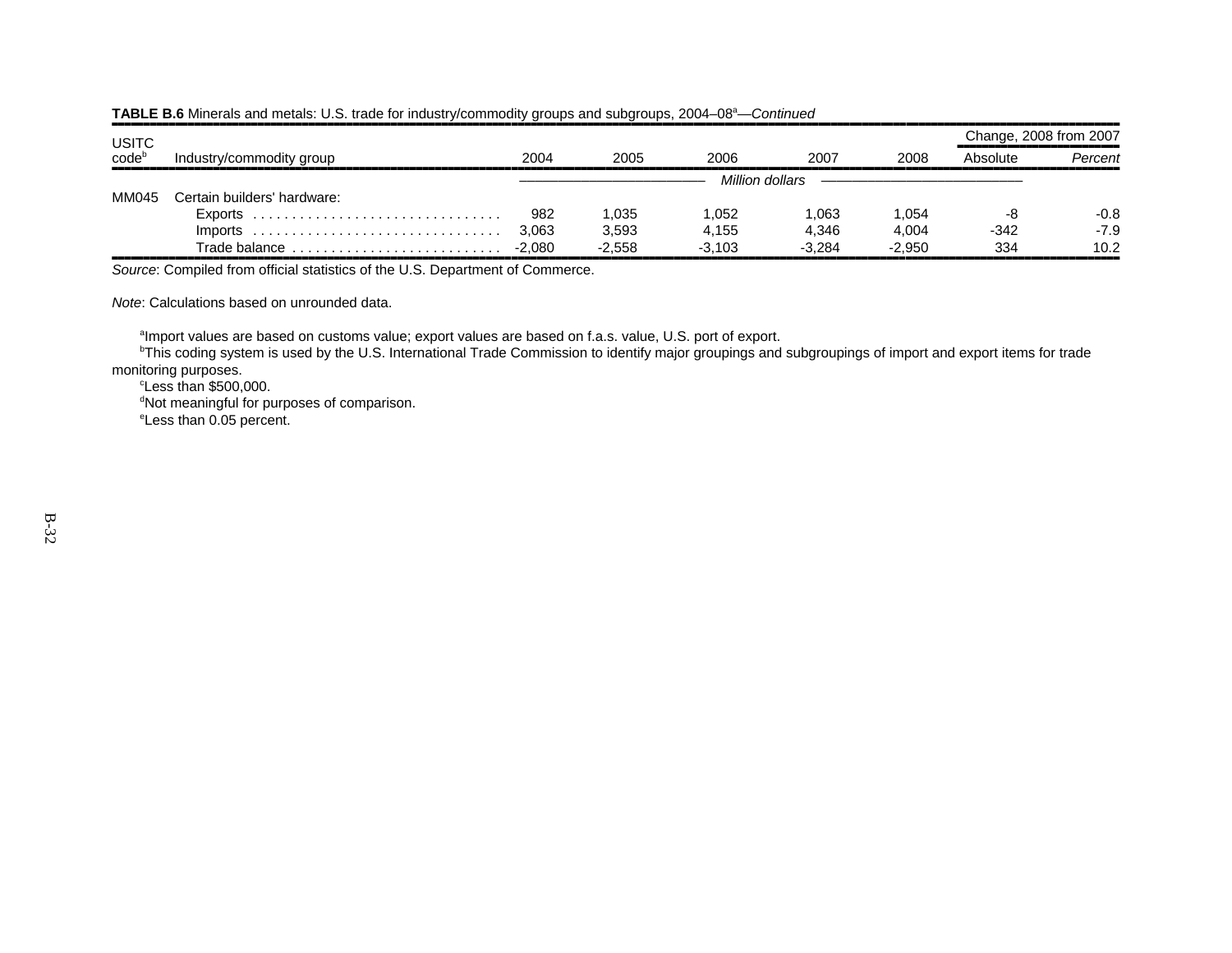|                            |                             |        |          |          |                 |          | Change, 2008 from 2007 |         |
|----------------------------|-----------------------------|--------|----------|----------|-----------------|----------|------------------------|---------|
| USITC<br>code <sup>b</sup> | Industry/commodity group    | 2004   | 2005     | 2006     | 2007            | 2008     | Absolute               | Percent |
|                            |                             |        |          |          | Million dollars |          |                        |         |
| MM045                      | Certain builders' hardware: |        |          |          |                 |          |                        |         |
|                            |                             | 982    | 1,035    | .052     | 1,063           | 1.054    | -8                     | $-0.8$  |
|                            |                             | 3,063  | 3,593    | 4,155    | 4,346           | 4,004    | $-342$                 | $-7.9$  |
|                            | Trade balance               | -2.080 | $-2.558$ | $-3.103$ | $-3.284$        | $-2.950$ | 334                    | 10.2    |

,,,,,,,,,,,,,,,,,,,,,,,,,,,,,,,,,,,,,,,,,,,,,,,,,,,,,,,,,,,,,,,,,,,,,,,,,,,,,,,,,,,,,,,,,,,,,,,,,,,,,,,,,,,,,,,,,,,,,,,,,,,,,,,,,,,,,,,,,,,,,,,,,,,,,,,,,,,,,,,,*Source*: Compiled from official statistics of the U.S. Department of Commerce.

*Note*: Calculations based on unrounded data.

<sup>a</sup>Import values are based on customs value; export values are based on f.a.s. value, U.S. port of export.

<sup>b</sup>This coding system is used by the U.S. International Trade Commission to identify major groupings and subgroupings of import and export items for trade monitoring purposes.

 $c$ Less than \$500,000. <sup>d</sup>Not meaningful for purposes of comparison. eLess than 0.05 percent.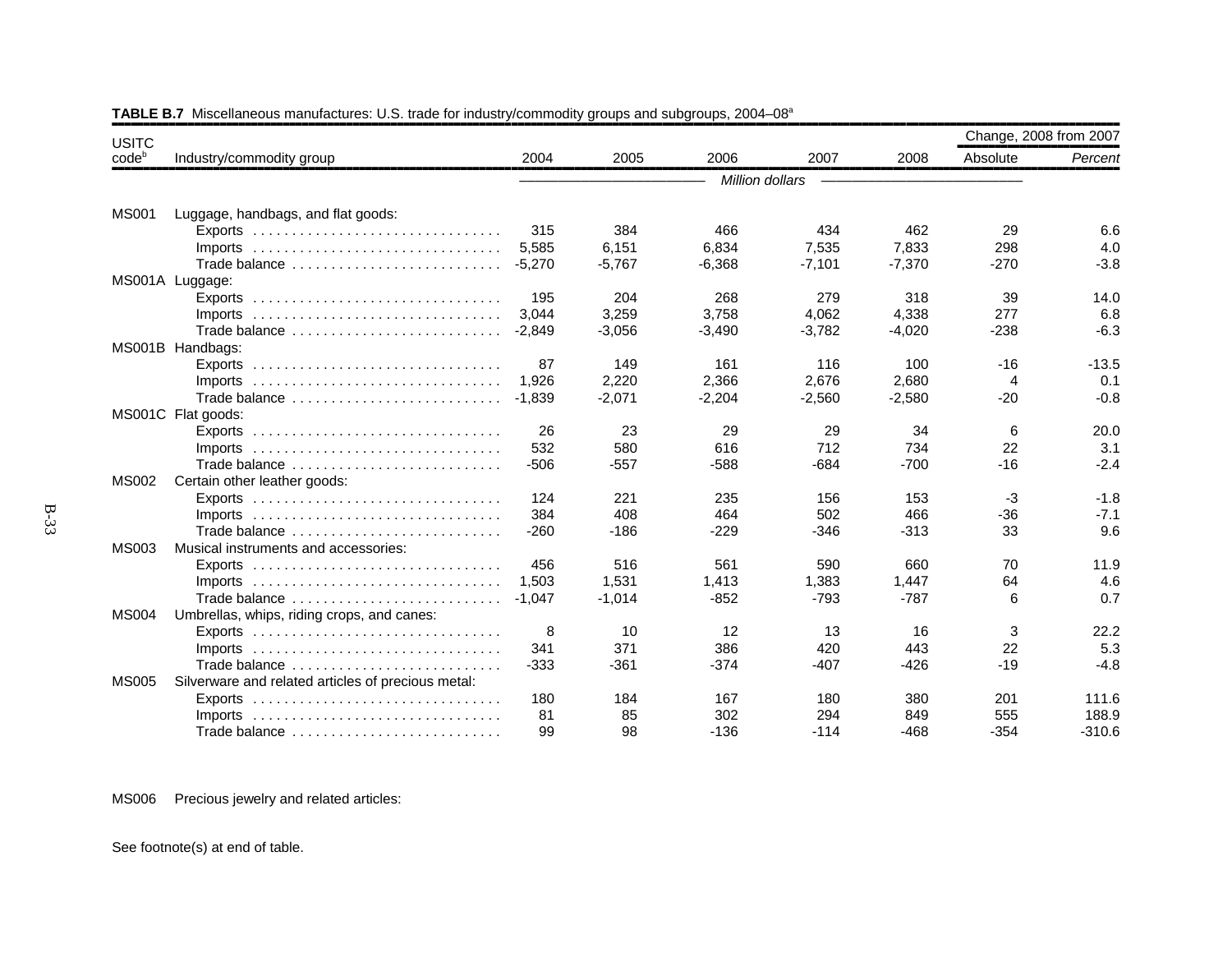| <b>USITC</b>      |                                                                                 |          |          |                 |          |          |          | Change, 2008 from 2007 |
|-------------------|---------------------------------------------------------------------------------|----------|----------|-----------------|----------|----------|----------|------------------------|
| code <sup>b</sup> | Industry/commodity group                                                        | 2004     | 2005     | 2006            | 2007     | 2008     | Absolute | Percent                |
|                   |                                                                                 |          |          | Million dollars |          |          |          |                        |
|                   |                                                                                 |          |          |                 |          |          |          |                        |
| <b>MS001</b>      | Luggage, handbags, and flat goods:                                              |          |          |                 |          |          |          |                        |
|                   | Exports $\ldots \ldots \ldots \ldots \ldots \ldots \ldots \ldots \ldots \ldots$ | 315      | 384      | 466             | 434      | 462      | 29       | 6.6                    |
|                   | $Imports$                                                                       | 5,585    | 6,151    | 6,834           | 7,535    | 7,833    | 298      | 4.0                    |
|                   | Trade balance                                                                   | $-5,270$ | $-5,767$ | $-6,368$        | $-7,101$ | $-7,370$ | $-270$   | $-3.8$                 |
|                   | MS001A Luggage:                                                                 |          |          |                 |          |          |          |                        |
|                   | Exports $\ldots \ldots \ldots \ldots \ldots \ldots \ldots \ldots \ldots \ldots$ | 195      | 204      | 268             | 279      | 318      | 39       | 14.0                   |
|                   | Imports                                                                         | 3.044    | 3,259    | 3,758           | 4,062    | 4,338    | 277      | 6.8                    |
|                   | Trade balance                                                                   | $-2,849$ | $-3,056$ | $-3,490$        | $-3,782$ | $-4,020$ | $-238$   | $-6.3$                 |
|                   | MS001B Handbags:                                                                |          |          |                 |          |          |          |                        |
|                   |                                                                                 | 87       | 149      | 161             | 116      | 100      | $-16$    | $-13.5$                |
|                   | Imports $\ldots \ldots \ldots \ldots \ldots \ldots \ldots \ldots \ldots \ldots$ | 1,926    | 2,220    | 2,366           | 2,676    | 2,680    | 4        | 0.1                    |
|                   | Trade balance                                                                   | $-1.839$ | $-2,071$ | $-2,204$        | $-2,560$ | $-2,580$ | $-20$    | $-0.8$                 |
|                   | MS001C Flat goods:                                                              |          |          |                 |          |          |          |                        |
|                   | Exports $\ldots \ldots \ldots \ldots \ldots \ldots \ldots \ldots \ldots \ldots$ | 26       | 23       | 29              | 29       | 34       | 6        | 20.0                   |
|                   | Imports $\ldots \ldots \ldots \ldots \ldots \ldots \ldots \ldots \ldots \ldots$ | 532      | 580      | 616             | 712      | 734      | 22       | 3.1                    |
|                   | Trade balance                                                                   | $-506$   | $-557$   | $-588$          | $-684$   | $-700$   | $-16$    | $-2.4$                 |
| <b>MS002</b>      | Certain other leather goods:                                                    |          |          |                 |          |          |          |                        |
|                   |                                                                                 | 124      | 221      | 235             | 156      | 153      | $-3$     | $-1.8$                 |
|                   |                                                                                 | 384      | 408      | 464             | 502      | 466      | $-36$    | $-7.1$                 |
|                   | Trade balance                                                                   | $-260$   | $-186$   | $-229$          | $-346$   | $-313$   | 33       | 9.6                    |
| <b>MS003</b>      | Musical instruments and accessories:                                            |          |          |                 |          |          |          |                        |
|                   |                                                                                 | 456      | 516      | 561             | 590      | 660      | 70       | 11.9                   |
|                   | Imports $\ldots \ldots \ldots \ldots \ldots \ldots \ldots \ldots \ldots \ldots$ | 1.503    | 1,531    | 1,413           | 1,383    | 1,447    | 64       | 4.6                    |
|                   | Trade balance                                                                   | $-1,047$ | $-1,014$ | $-852$          | $-793$   | $-787$   | 6        | 0.7                    |
| <b>MS004</b>      | Umbrellas, whips, riding crops, and canes:                                      |          |          |                 |          |          |          |                        |
|                   |                                                                                 | 8        | 10       | 12              | 13       | 16       | 3        | 22.2                   |
|                   | Imports $\ldots \ldots \ldots \ldots \ldots \ldots \ldots \ldots \ldots \ldots$ | 341      | 371      | 386             | 420      | 443      | 22       | 5.3                    |
|                   | Trade balance                                                                   | $-333$   | $-361$   | $-374$          | $-407$   | $-426$   | $-19$    | $-4.8$                 |
| <b>MS005</b>      | Silverware and related articles of precious metal:                              |          |          |                 |          |          |          |                        |
|                   | Exports $\ldots \ldots \ldots \ldots \ldots \ldots \ldots \ldots \ldots \ldots$ | 180      | 184      | 167             | 180      | 380      | 201      | 111.6                  |
|                   | $Imports$                                                                       | 81       | 85       | 302             | 294      | 849      | 555      | 188.9                  |
|                   | Trade balance                                                                   | 99       | 98       | $-136$          | $-114$   | $-468$   | $-354$   | $-310.6$               |
|                   |                                                                                 |          |          |                 |          |          |          |                        |

# TABLE B.7 Miscellaneous manufactures: U.S. trade for industry/commodity groups and subgroups, 2004–08<sup>a</sup>

MS006 Precious jewelry and related articles: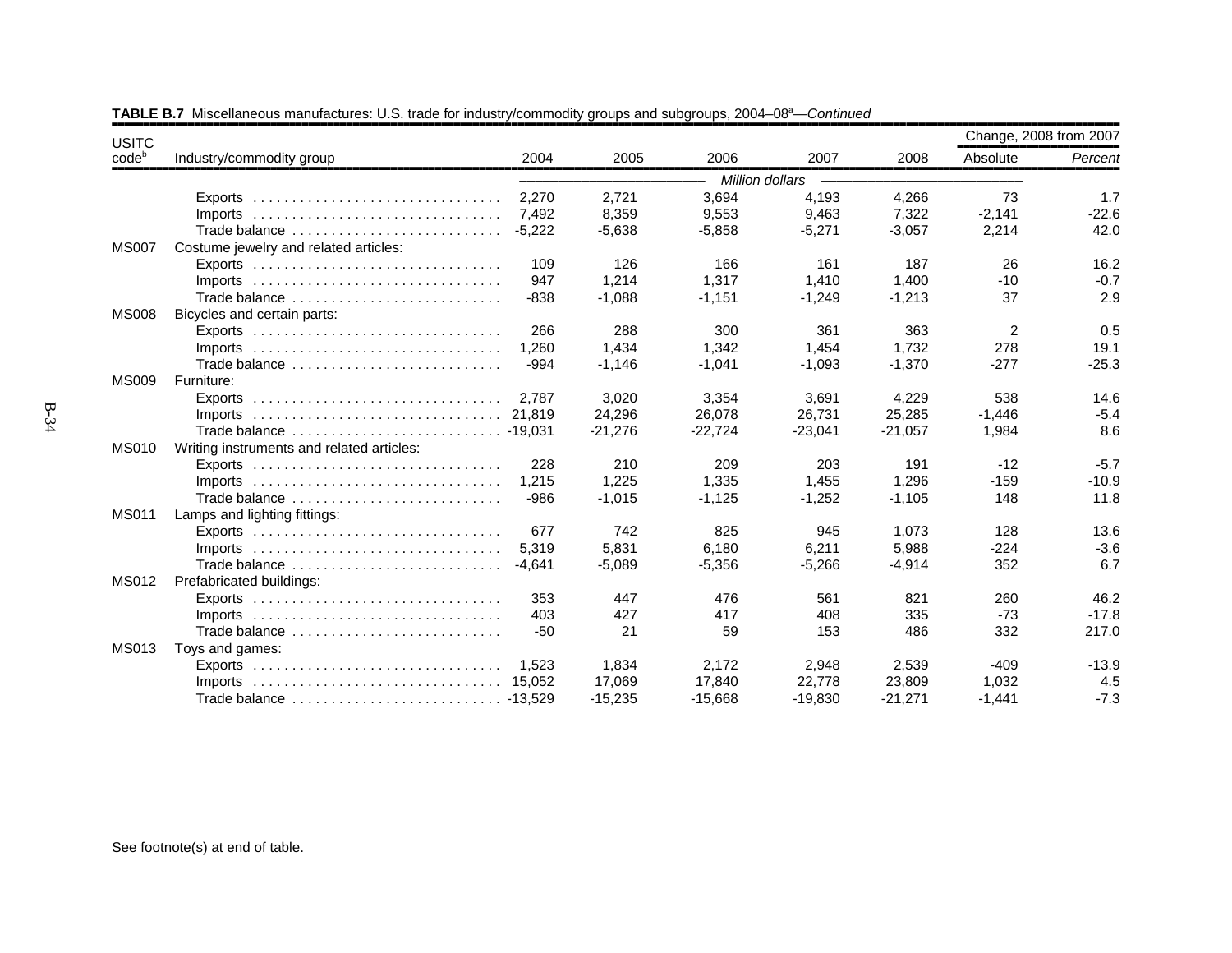| <b>USITC</b> |                                                                                 |          |           |           |                 |           | Change, 2008 from 2007 |         |
|--------------|---------------------------------------------------------------------------------|----------|-----------|-----------|-----------------|-----------|------------------------|---------|
| $code^b$     | Industry/commodity group                                                        | 2004     | 2005      | 2006      | 2007            | 2008      | Absolute               | Percent |
|              |                                                                                 |          |           |           | Million dollars |           |                        |         |
|              |                                                                                 | 2.270    | 2.721     | 3,694     | 4,193           | 4,266     | 73                     | 1.7     |
|              | $Imports$                                                                       | 7.492    | 8,359     | 9,553     | 9,463           | 7,322     | $-2,141$               | $-22.6$ |
|              | Trade balance                                                                   | $-5.222$ | $-5,638$  | $-5,858$  | $-5,271$        | $-3,057$  | 2,214                  | 42.0    |
| <b>MS007</b> | Costume jewelry and related articles:                                           |          |           |           |                 |           |                        |         |
|              |                                                                                 | 109      | 126       | 166       | 161             | 187       | 26                     | 16.2    |
|              | $Imports$                                                                       | 947      | 1,214     | 1,317     | 1,410           | 1,400     | $-10$                  | $-0.7$  |
|              | Trade balance                                                                   | $-838$   | $-1,088$  | $-1,151$  | $-1,249$        | $-1,213$  | 37                     | 2.9     |
| <b>MS008</b> | Bicycles and certain parts:                                                     |          |           |           |                 |           |                        |         |
|              |                                                                                 | 266      | 288       | 300       | 361             | 363       | 2                      | 0.5     |
|              | $Imports$                                                                       | 1.260    | 1,434     | 1.342     | 1,454           | 1.732     | 278                    | 19.1    |
|              | Trade balance                                                                   | $-994$   | $-1,146$  | $-1,041$  | $-1,093$        | $-1,370$  | $-277$                 | $-25.3$ |
| <b>MS009</b> | Furniture:                                                                      |          |           |           |                 |           |                        |         |
|              |                                                                                 | 2.787    | 3,020     | 3,354     | 3,691           | 4,229     | 538                    | 14.6    |
|              |                                                                                 | 21.819   | 24,296    | 26,078    | 26,731          | 25,285    | $-1,446$               | $-5.4$  |
|              | Trade balance  - 19,031                                                         |          | $-21,276$ | $-22.724$ | $-23,041$       | $-21,057$ | 1,984                  | 8.6     |
| <b>MS010</b> | Writing instruments and related articles:                                       |          |           |           |                 |           |                        |         |
|              |                                                                                 | 228      | 210       | 209       | 203             | 191       | $-12$                  | $-5.7$  |
|              | $Imports$                                                                       | 1,215    | 1,225     | 1,335     | 1,455           | 1,296     | $-159$                 | $-10.9$ |
|              | Trade balance                                                                   | $-986$   | $-1,015$  | $-1,125$  | $-1,252$        | $-1,105$  | 148                    | 11.8    |
| <b>MS011</b> | Lamps and lighting fittings:                                                    |          |           |           |                 |           |                        |         |
|              | Exports $\ldots \ldots \ldots \ldots \ldots \ldots \ldots \ldots \ldots \ldots$ | 677      | 742       | 825       | 945             | 1,073     | 128                    | 13.6    |
|              |                                                                                 | 5.319    | 5.831     | 6.180     | 6,211           | 5.988     | $-224$                 | $-3.6$  |
|              | Trade balance                                                                   | $-4.641$ | $-5,089$  | $-5,356$  | $-5,266$        | $-4,914$  | 352                    | 6.7     |
| <b>MS012</b> | Prefabricated buildings:                                                        |          |           |           |                 |           |                        |         |
|              | $Exports$                                                                       | 353      | 447       | 476       | 561             | 821       | 260                    | 46.2    |
|              | Imports $\ldots \ldots \ldots \ldots \ldots \ldots \ldots \ldots \ldots \ldots$ | 403      | 427       | 417       | 408             | 335       | $-73$                  | $-17.8$ |
|              | Trade balance                                                                   | $-50$    | 21        | 59        | 153             | 486       | 332                    | 217.0   |
| <b>MS013</b> | Toys and games:                                                                 |          |           |           |                 |           |                        |         |
|              |                                                                                 | 1.523    | 1,834     | 2,172     | 2,948           | 2,539     | $-409$                 | $-13.9$ |
|              | $Imports$                                                                       | 15.052   | 17,069    | 17,840    | 22,778          | 23,809    | 1,032                  | 4.5     |
|              |                                                                                 |          | $-15,235$ | $-15,668$ | $-19,830$       | $-21,271$ | $-1,441$               | $-7.3$  |

TABLE B.7 Miscellaneous manufactures: U.S. trade for industry/commodity groups and subgroups, 2004–08<sup>a</sup>—*Continued*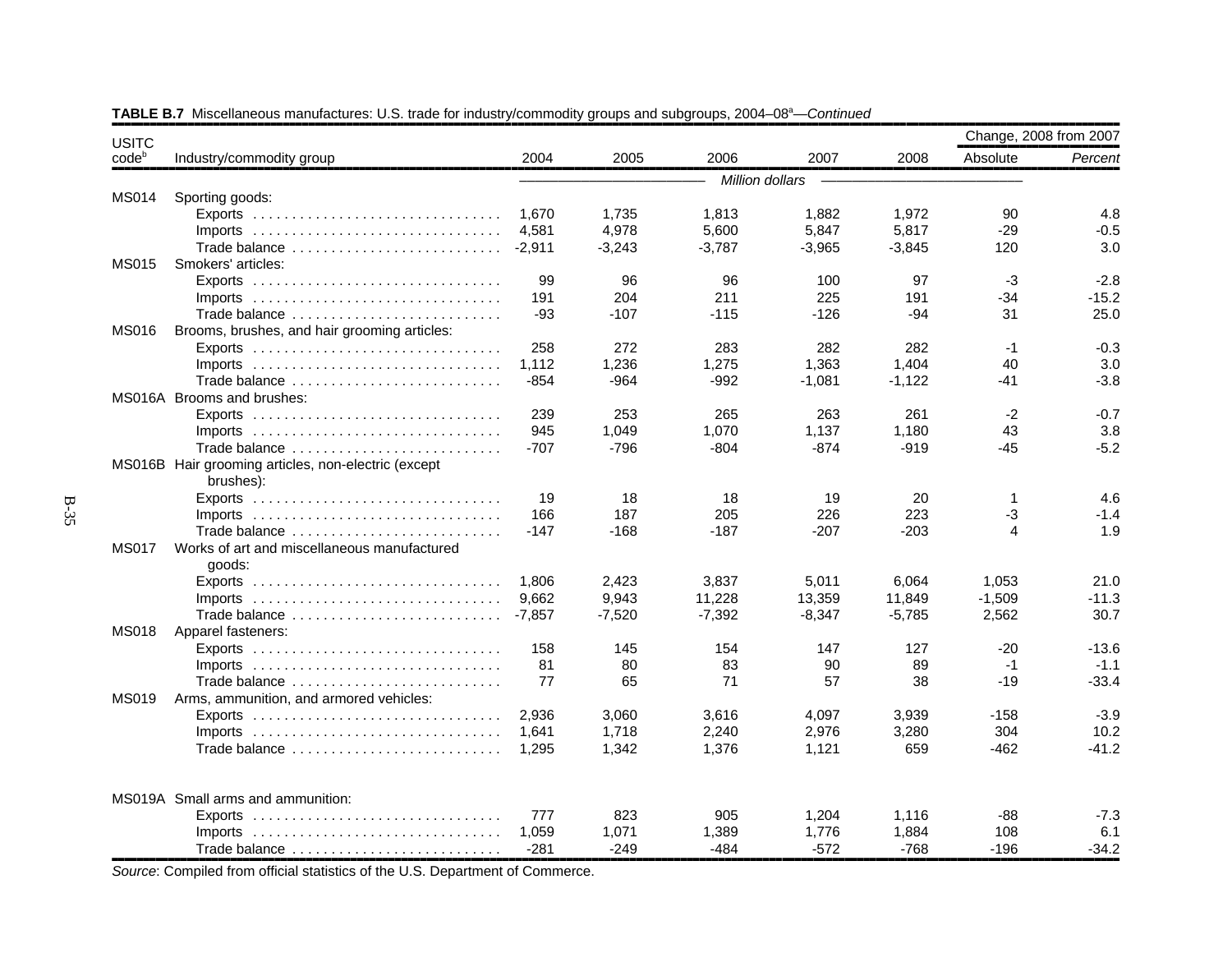| <b>USITC</b>      |                                                                                 |          |          |                 |          |          | Change, 2008 from 2007 |         |
|-------------------|---------------------------------------------------------------------------------|----------|----------|-----------------|----------|----------|------------------------|---------|
| code <sup>b</sup> | Industry/commodity group                                                        | 2004     | 2005     | 2006            | 2007     | 2008     | Absolute               | Percent |
|                   |                                                                                 |          |          | Million dollars |          |          |                        |         |
| <b>MS014</b>      | Sporting goods:                                                                 |          |          |                 |          |          |                        |         |
|                   |                                                                                 | 1,670    | 1,735    | 1,813           | 1,882    | 1,972    | 90                     | 4.8     |
|                   | $Imports$                                                                       | 4,581    | 4,978    | 5,600           | 5,847    | 5,817    | $-29$                  | $-0.5$  |
|                   | Trade balance                                                                   | $-2,911$ | $-3,243$ | $-3,787$        | $-3,965$ | $-3,845$ | 120                    | 3.0     |
| <b>MS015</b>      | Smokers' articles:                                                              |          |          |                 |          |          |                        |         |
|                   |                                                                                 | 99       | 96       | 96              | 100      | 97       | $-3$                   | $-2.8$  |
|                   |                                                                                 | 191      | 204      | 211             | 225      | 191      | $-34$                  | $-15.2$ |
|                   | Trade balance                                                                   | -93      | $-107$   | $-115$          | $-126$   | $-94$    | 31                     | 25.0    |
| <b>MS016</b>      | Brooms, brushes, and hair grooming articles:                                    |          |          |                 |          |          |                        |         |
|                   |                                                                                 | 258      | 272      | 283             | 282      | 282      | $-1$                   | $-0.3$  |
|                   | $Imports$                                                                       | 1,112    | 1,236    | 1,275           | 1,363    | 1,404    | 40                     | 3.0     |
|                   | Trade balance                                                                   | $-854$   | -964     | -992            | $-1,081$ | $-1,122$ | -41                    | $-3.8$  |
|                   | MS016A Brooms and brushes:                                                      |          |          |                 |          |          |                        |         |
|                   |                                                                                 | 239      | 253      | 265             | 263      | 261      | -2                     | $-0.7$  |
|                   |                                                                                 | 945      | 1,049    | 1,070           | 1,137    | 1,180    | 43                     | 3.8     |
|                   | Trade balance                                                                   | $-707$   | $-796$   | $-804$          | $-874$   | $-919$   | $-45$                  | $-5.2$  |
|                   | MS016B Hair grooming articles, non-electric (except<br>brushes):                |          |          |                 |          |          |                        |         |
|                   | $Exports$                                                                       | 19       | 18       | 18              | 19       | 20       | -1                     | 4.6     |
|                   | Imports $\ldots \ldots \ldots \ldots \ldots \ldots \ldots \ldots \ldots \ldots$ | 166      | 187      | 205             | 226      | 223      | $-3$                   | $-1.4$  |
|                   | Trade balance                                                                   | $-147$   | $-168$   | $-187$          | $-207$   | $-203$   | $\boldsymbol{\Lambda}$ | 1.9     |
| <b>MS017</b>      | Works of art and miscellaneous manufactured<br>goods:                           |          |          |                 |          |          |                        |         |
|                   | Exports $\ldots \ldots \ldots \ldots \ldots \ldots \ldots \ldots \ldots \ldots$ | 1.806    | 2.423    | 3.837           | 5,011    | 6.064    | 1.053                  | 21.0    |
|                   | Imports $\ldots \ldots \ldots \ldots \ldots \ldots \ldots \ldots \ldots \ldots$ | 9,662    | 9,943    | 11,228          | 13,359   | 11,849   | $-1,509$               | $-11.3$ |
|                   | Trade balance                                                                   | $-7.857$ | $-7,520$ | $-7,392$        | $-8,347$ | $-5,785$ | 2,562                  | 30.7    |
| <b>MS018</b>      | Apparel fasteners:                                                              |          |          |                 |          |          |                        |         |
|                   | Exports $\ldots \ldots \ldots \ldots \ldots \ldots \ldots \ldots \ldots \ldots$ | 158      | 145      | 154             | 147      | 127      | $-20$                  | $-13.6$ |
|                   |                                                                                 | 81       | 80       | 83              | 90       | 89       | $-1$                   | $-1.1$  |
|                   | Trade balance                                                                   | 77       | 65       | 71              | 57       | 38       | $-19$                  | $-33.4$ |
| <b>MS019</b>      | Arms, ammunition, and armored vehicles:                                         |          |          |                 |          |          |                        |         |
|                   |                                                                                 | 2,936    | 3,060    | 3,616           | 4,097    | 3,939    | -158                   | $-3.9$  |
|                   | Imports $\ldots \ldots \ldots \ldots \ldots \ldots \ldots \ldots \ldots \ldots$ | 1.641    | 1,718    | 2,240           | 2,976    | 3,280    | 304                    | 10.2    |
|                   | Trade balance                                                                   | 1,295    | 1,342    | 1,376           | 1,121    | 659      | -462                   | $-41.2$ |
|                   |                                                                                 |          |          |                 |          |          |                        |         |
|                   | MS019A Small arms and ammunition:                                               |          |          |                 |          |          |                        |         |
|                   |                                                                                 | 777      | 823      | 905             | 1,204    | 1,116    | $-88$                  | $-7.3$  |
|                   | Imports $\ldots \ldots \ldots \ldots \ldots \ldots \ldots \ldots \ldots \ldots$ | 1,059    | 1,071    | 1,389           | 1,776    | 1,884    | 108                    | 6.1     |
|                   | Trade balance                                                                   | $-281$   | $-249$   | $-484$          | $-572$   | $-768$   | $-196$                 | $-34.2$ |

**TABLE B.7** Miscellaneous manufactures: U.S. trade for industry/commodity groups and subgroups, 2004–08a—*Continued* ,,,,,,,,,,,,,,,,,,,,,,,,,,,,,,,,,,,,,,,,,,,,,,,,,,,,,,,,,,,,,,,,,,,,,,,,,,,,,,,,,,,,,,,,,,,,,,,,,,,,,,,,,,,,,,,,,,,,,,,,,,,,,,,,,,,,,,,,,,,,,,,,,,,,,,,,,,,,,,,,

,,,,,,,,,,,,,,,,,,,,,,,,,,,,,,,,,,,,,,,,,,,,,,,,,,,,,,,,,,,,,,,,,,,,,,,,,,,,,,,,,,,,,,,,,,,,,,,,,,,,,,,,,,,,,,,,,,,,,,,,,,,,,,,,,,,,,,,,,,,,,,,,,,,,,,,,,,,,,,,,*Source*: Compiled from official statistics of the U.S. Department of Commerce.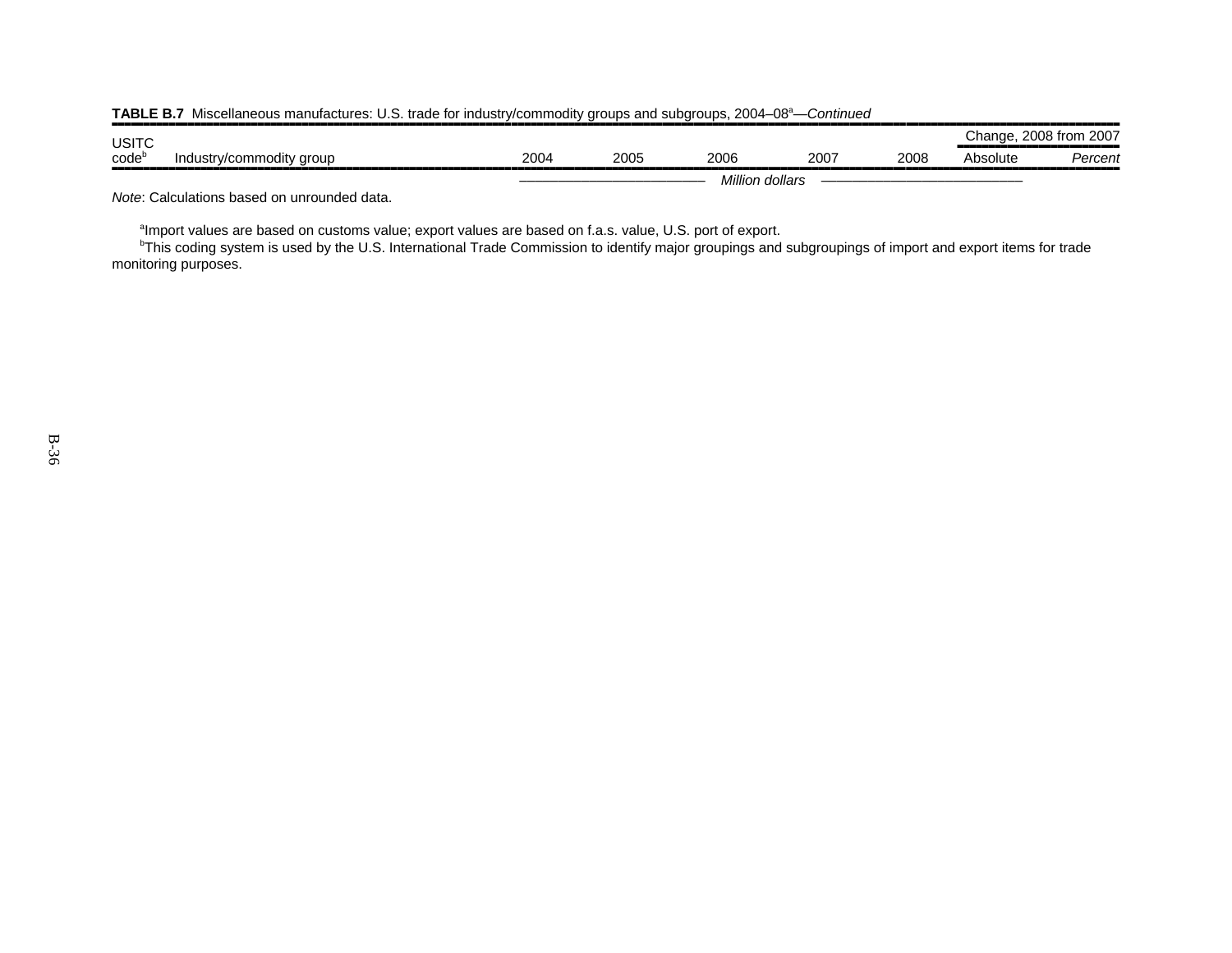| .            |                          |      |      |                 | ----------- |      |               |                     |
|--------------|--------------------------|------|------|-----------------|-------------|------|---------------|---------------------|
| <b>USITC</b> |                          |      |      |                 |             |      | $\cap$ hange. | 2007<br>$2008$ from |
| $code^c$     | Industry/commodity group | 2004 | 2005 | 2006            | 2007        | 2008 | Absolute      | 'ercent<br>-----    |
|              |                          |      |      | Million dollars |             |      |               |                     |

| TABLE B.7 Miscellaneous manufactures: U.S. trade for industry/commodity groups and subgroups, 2004-08 <sup>a</sup> -Continued |
|-------------------------------------------------------------------------------------------------------------------------------|
|-------------------------------------------------------------------------------------------------------------------------------|

*Note*: Calculations based on unrounded data.

<sup>a</sup>Import values are based on customs value; export values are based on f.a.s. value, U.S. port of export.

 $^{\rm b}$ This coding system is used by the U.S. International Trade Commission to identify major groupings and subgroupings of import and export items for trade monitoring purposes.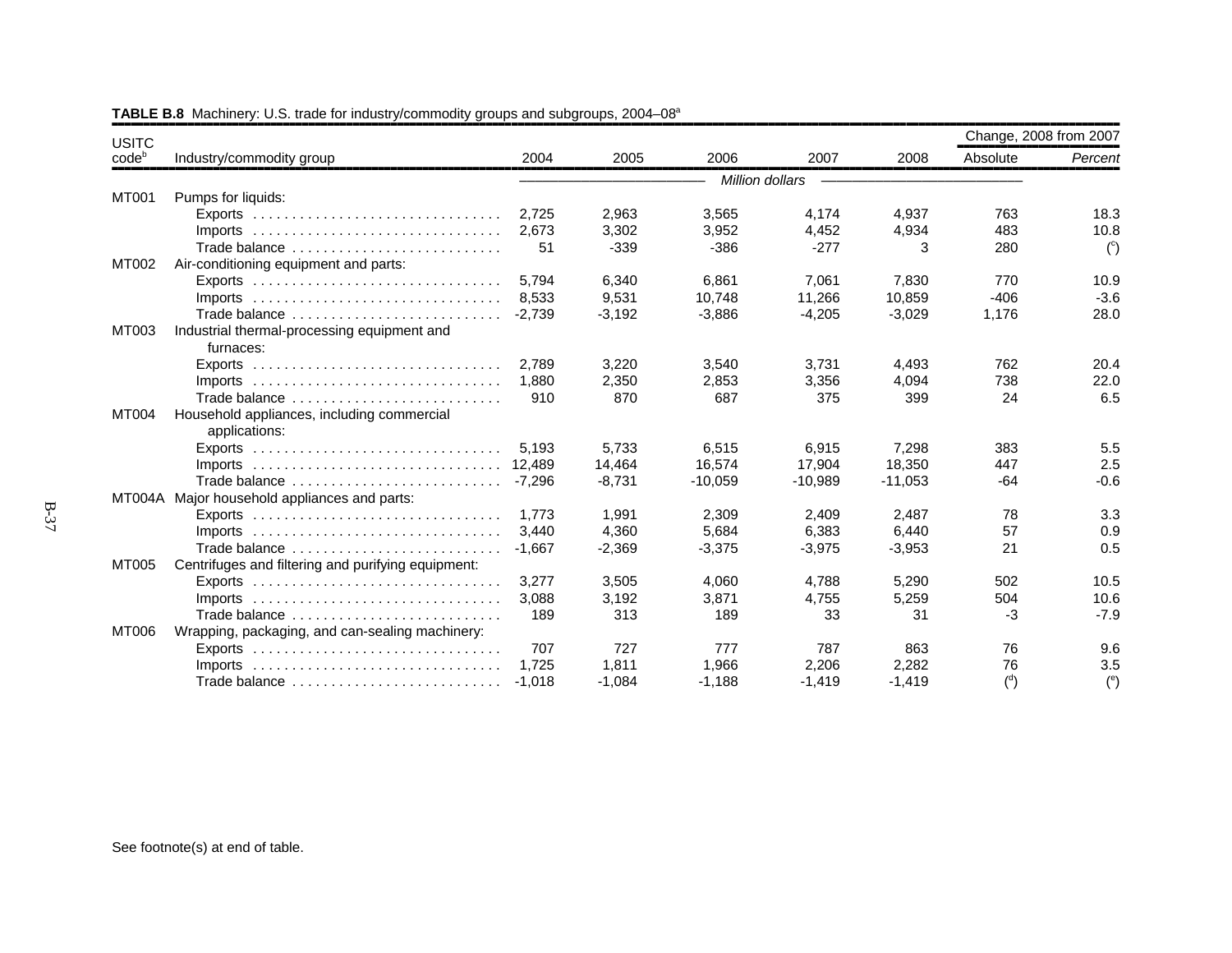| <b>USITC</b>      |                                                                                 |          |          |           |                 |           | Change, 2008 from 2007 |                |
|-------------------|---------------------------------------------------------------------------------|----------|----------|-----------|-----------------|-----------|------------------------|----------------|
| code <sup>b</sup> | Industry/commodity group                                                        | 2004     | 2005     | 2006      | 2007            | 2008      | Absolute               | Percent        |
|                   |                                                                                 |          |          |           | Million dollars |           |                        |                |
| MT001             | Pumps for liquids:                                                              |          |          |           |                 |           |                        |                |
|                   |                                                                                 | 2.725    | 2,963    | 3,565     | 4,174           | 4,937     | 763                    | 18.3           |
|                   | Imports $\ldots \ldots \ldots \ldots \ldots \ldots \ldots \ldots \ldots \ldots$ | 2,673    | 3,302    | 3,952     | 4,452           | 4,934     | 483                    | 10.8           |
|                   | Trade balance                                                                   | 51       | $-339$   | $-386$    | $-277$          | 3         | 280                    | $\binom{c}{c}$ |
| MT002             | Air-conditioning equipment and parts:                                           |          |          |           |                 |           |                        |                |
|                   |                                                                                 | 5.794    | 6.340    | 6.861     | 7,061           | 7.830     | 770                    | 10.9           |
|                   | Imports $\ldots \ldots \ldots \ldots \ldots \ldots \ldots \ldots \ldots \ldots$ | 8.533    | 9,531    | 10,748    | 11,266          | 10,859    | $-406$                 | $-3.6$         |
|                   | Trade balance                                                                   | $-2,739$ | $-3,192$ | $-3,886$  | $-4,205$        | $-3,029$  | 1,176                  | 28.0           |
| MT003             | Industrial thermal-processing equipment and                                     |          |          |           |                 |           |                        |                |
|                   | furnaces:                                                                       |          |          |           |                 |           |                        |                |
|                   |                                                                                 | 2.789    | 3,220    | 3,540     | 3,731           | 4,493     | 762                    | 20.4           |
|                   |                                                                                 | 1.880    | 2,350    | 2,853     | 3,356           | 4,094     | 738                    | 22.0           |
|                   | Trade balance                                                                   | 910      | 870      | 687       | 375             | 399       | 24                     | 6.5            |
| MT004             | Household appliances, including commercial                                      |          |          |           |                 |           |                        |                |
|                   | applications:                                                                   |          |          |           |                 |           |                        |                |
|                   |                                                                                 | 5,193    | 5,733    | 6,515     | 6,915           | 7,298     | 383                    | 5.5            |
|                   |                                                                                 |          | 14,464   | 16,574    | 17,904          | 18,350    | 447                    | 2.5            |
|                   | Trade balance                                                                   | $-7.296$ | $-8,731$ | $-10,059$ | $-10,989$       | $-11,053$ | $-64$                  | $-0.6$         |
|                   | MT004A Major household appliances and parts:                                    |          |          |           |                 |           |                        |                |
|                   | Exports $\ldots \ldots \ldots \ldots \ldots \ldots \ldots \ldots \ldots \ldots$ | 1.773    | 1,991    | 2,309     | 2,409           | 2.487     | 78                     | 3.3            |
|                   |                                                                                 | 3.440    | 4,360    | 5,684     | 6,383           | 6,440     | 57                     | 0.9            |
|                   | Trade balance                                                                   | $-1.667$ | $-2,369$ | $-3,375$  | $-3,975$        | $-3,953$  | 21                     | 0.5            |
| MT005             | Centrifuges and filtering and purifying equipment:                              |          |          |           |                 |           |                        |                |
|                   |                                                                                 | 3,277    | 3,505    | 4,060     | 4,788           | 5,290     | 502                    | 10.5           |
|                   | Imports $\ldots \ldots \ldots \ldots \ldots \ldots \ldots \ldots \ldots \ldots$ | 3,088    | 3,192    | 3,871     | 4,755           | 5,259     | 504                    | 10.6           |
|                   | Trade balance                                                                   | 189      | 313      | 189       | 33              | 31        | $-3$                   | $-7.9$         |
| MT006             | Wrapping, packaging, and can-sealing machinery:                                 |          |          |           |                 |           |                        |                |
|                   | Exports $\ldots \ldots \ldots \ldots \ldots \ldots \ldots \ldots \ldots \ldots$ | 707      | 727      | 777       | 787             | 863       | 76                     | 9.6            |
|                   |                                                                                 | 1.725    | 1.811    | 1.966     | 2,206           | 2,282     | 76                     | 3.5            |
|                   | Trade balance                                                                   | $-1.018$ | $-1,084$ | $-1,188$  | $-1,419$        | $-1,419$  | $\binom{d}{ }$         | $^{\circ}$     |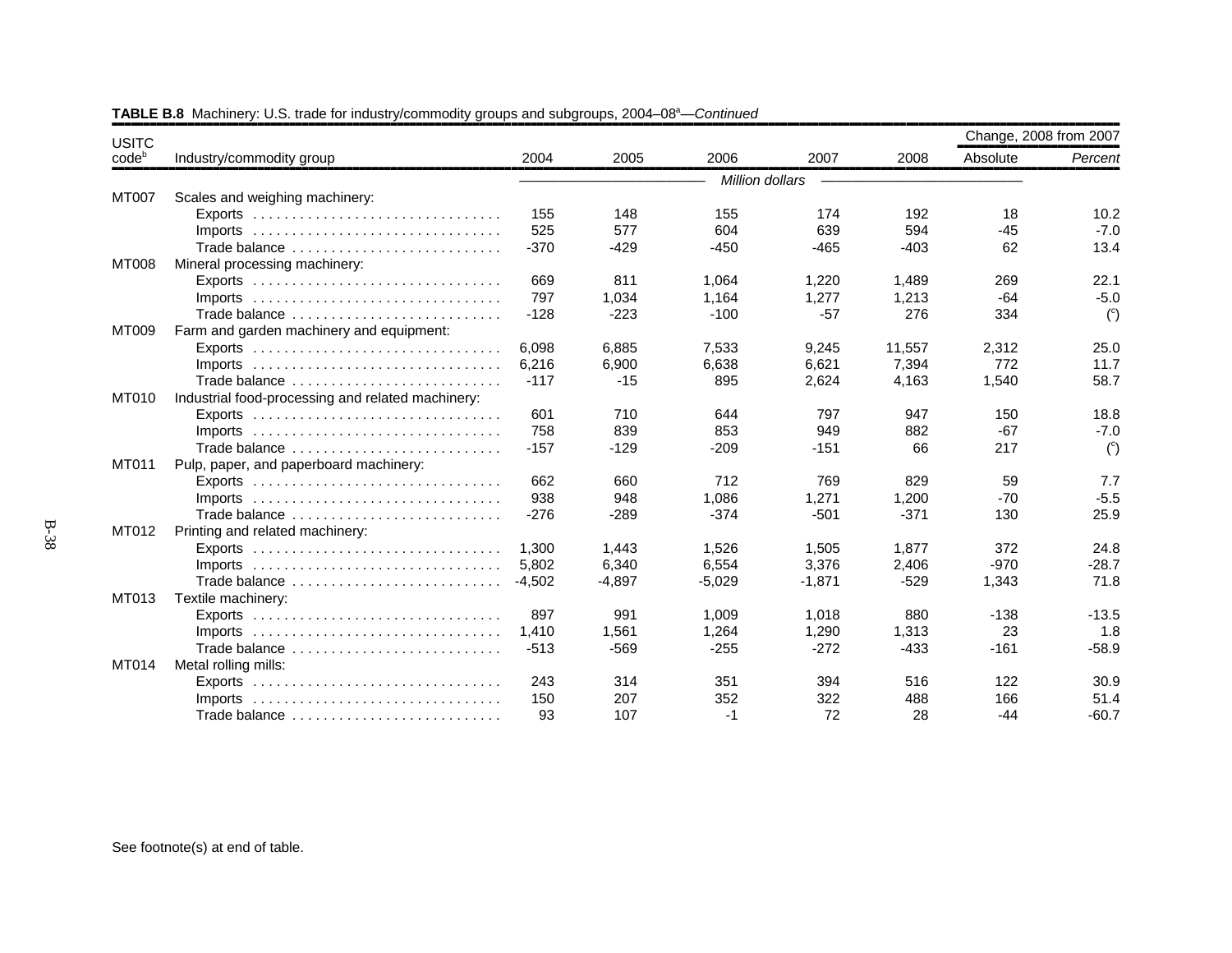| <b>USITC</b> |                                                                                 |          |          |                 |          |        | Change, 2008 from 2007 |                |
|--------------|---------------------------------------------------------------------------------|----------|----------|-----------------|----------|--------|------------------------|----------------|
| $code^b$     | Industry/commodity group                                                        | 2004     | 2005     | 2006            | 2007     | 2008   | Absolute               | Percent        |
|              |                                                                                 |          |          | Million dollars |          |        |                        |                |
| MT007        | Scales and weighing machinery:                                                  |          |          |                 |          |        |                        |                |
|              |                                                                                 | 155      | 148      | 155             | 174      | 192    | 18                     | 10.2           |
|              | Imports $\ldots \ldots \ldots \ldots \ldots \ldots \ldots \ldots \ldots \ldots$ | 525      | 577      | 604             | 639      | 594    | $-45$                  | $-7.0$         |
|              | Trade balance                                                                   | $-370$   | $-429$   | $-450$          | $-465$   | $-403$ | 62                     | 13.4           |
| <b>MT008</b> | Mineral processing machinery:                                                   |          |          |                 |          |        |                        |                |
|              | Exports $\ldots \ldots \ldots \ldots \ldots \ldots \ldots \ldots \ldots \ldots$ | 669      | 811      | 1,064           | 1,220    | 1,489  | 269                    | 22.1           |
|              | Imports $\ldots \ldots \ldots \ldots \ldots \ldots \ldots \ldots \ldots \ldots$ | 797      | 1,034    | 1,164           | 1,277    | 1,213  | $-64$                  | $-5.0$         |
|              | Trade balance                                                                   | $-128$   | $-223$   | $-100$          | $-57$    | 276    | 334                    | $\binom{c}{c}$ |
| MT009        | Farm and garden machinery and equipment:                                        |          |          |                 |          |        |                        |                |
|              |                                                                                 | 6,098    | 6,885    | 7,533           | 9,245    | 11,557 | 2,312                  | 25.0           |
|              |                                                                                 | 6.216    | 6,900    | 6,638           | 6.621    | 7.394  | 772                    | 11.7           |
|              | Trade balance                                                                   | $-117$   | $-15$    | 895             | 2,624    | 4,163  | 1,540                  | 58.7           |
| MT010        | Industrial food-processing and related machinery:                               |          |          |                 |          |        |                        |                |
|              |                                                                                 | 601      | 710      | 644             | 797      | 947    | 150                    | 18.8           |
|              | $Imports$                                                                       | 758      | 839      | 853             | 949      | 882    | $-67$                  | $-7.0$         |
|              | Trade balance                                                                   | $-157$   | $-129$   | $-209$          | $-151$   | 66     | 217                    | $\binom{c}{c}$ |
| MT011        | Pulp, paper, and paperboard machinery:                                          |          |          |                 |          |        |                        |                |
|              |                                                                                 | 662      | 660      | 712             | 769      | 829    | 59                     | 7.7            |
|              | $Imports$                                                                       | 938      | 948      | 1,086           | 1,271    | 1,200  | $-70$                  | $-5.5$         |
|              | Trade balance                                                                   | $-276$   | $-289$   | $-374$          | $-501$   | $-371$ | 130                    | 25.9           |
| MT012        | Printing and related machinery:                                                 |          |          |                 |          |        |                        |                |
|              |                                                                                 | 1.300    | 1,443    | 1,526           | 1,505    | 1,877  | 372                    | 24.8           |
|              | Imports $\ldots \ldots \ldots \ldots \ldots \ldots \ldots \ldots \ldots \ldots$ | 5,802    | 6,340    | 6,554           | 3,376    | 2,406  | $-970$                 | $-28.7$        |
|              | Trade balance                                                                   | $-4.502$ | $-4.897$ | $-5,029$        | $-1,871$ | $-529$ | 1,343                  | 71.8           |
| MT013        | Textile machinery:                                                              |          |          |                 |          |        |                        |                |
|              |                                                                                 | 897      | 991      | 1,009           | 1,018    | 880    | $-138$                 | $-13.5$        |
|              |                                                                                 | 1,410    | 1,561    | 1,264           | 1,290    | 1,313  | 23                     | 1.8            |
|              | Trade balance                                                                   | $-513$   | $-569$   | $-255$          | $-272$   | $-433$ | $-161$                 | $-58.9$        |
| MT014        | Metal rolling mills:                                                            |          |          |                 |          |        |                        |                |
|              | Exports $\ldots \ldots \ldots \ldots \ldots \ldots \ldots \ldots \ldots \ldots$ | 243      | 314      | 351             | 394      | 516    | 122                    | 30.9           |
|              | Imports $\ldots \ldots \ldots \ldots \ldots \ldots \ldots \ldots \ldots \ldots$ | 150      | 207      | 352             | 322      | 488    | 166                    | 51.4           |
|              | Trade balance                                                                   | 93       | 107      | $-1$            | 72       | 28     | $-44$                  | $-60.7$        |

B-38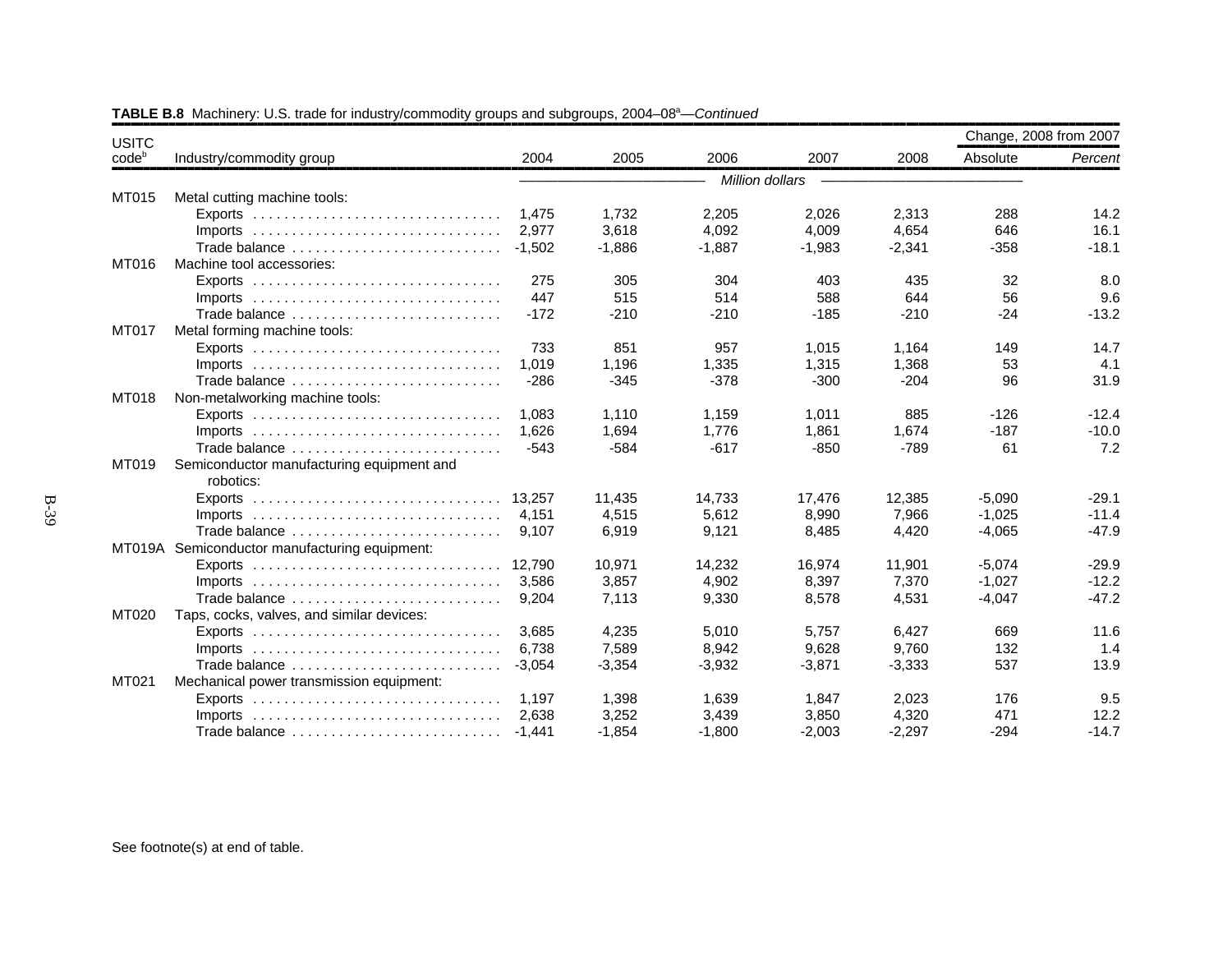| <b>USITC</b>   |                                                                                 |          |          |                 |          |          | Change, 2008 from 2007 |         |
|----------------|---------------------------------------------------------------------------------|----------|----------|-----------------|----------|----------|------------------------|---------|
| $code^{\circ}$ | Industry/commodity group                                                        | 2004     | 2005     | 2006            | 2007     | 2008     | Absolute               | Percent |
|                |                                                                                 |          |          | Million dollars |          |          |                        |         |
| MT015          | Metal cutting machine tools:                                                    |          |          |                 |          |          |                        |         |
|                |                                                                                 | 1.475    | 1,732    | 2,205           | 2,026    | 2,313    | 288                    | 14.2    |
|                | $Imports$                                                                       | 2,977    | 3,618    | 4,092           | 4,009    | 4,654    | 646                    | 16.1    |
|                | Trade balance                                                                   | $-1,502$ | $-1,886$ | $-1,887$        | $-1,983$ | $-2,341$ | $-358$                 | $-18.1$ |
| MT016          | Machine tool accessories:                                                       |          |          |                 |          |          |                        |         |
|                |                                                                                 | 275      | 305      | 304             | 403      | 435      | 32                     | 8.0     |
|                |                                                                                 | 447      | 515      | 514             | 588      | 644      | 56                     | 9.6     |
|                | Trade balance                                                                   | $-172$   | $-210$   | $-210$          | $-185$   | $-210$   | $-24$                  | $-13.2$ |
| MT017          | Metal forming machine tools:                                                    |          |          |                 |          |          |                        |         |
|                |                                                                                 | 733      | 851      | 957             | 1,015    | 1.164    | 149                    | 14.7    |
|                | Imports $\ldots \ldots \ldots \ldots \ldots \ldots \ldots \ldots \ldots \ldots$ | 1,019    | 1,196    | 1,335           | 1,315    | 1,368    | 53                     | 4.1     |
|                | Trade balance                                                                   | $-286$   | $-345$   | $-378$          | $-300$   | $-204$   | 96                     | 31.9    |
| MT018          | Non-metalworking machine tools:                                                 |          |          |                 |          |          |                        |         |
|                |                                                                                 | 1.083    | 1,110    | 1,159           | 1,011    | 885      | $-126$                 | $-12.4$ |
|                | $Imports$                                                                       | 1.626    | 1,694    | 1.776           | 1,861    | 1.674    | $-187$                 | $-10.0$ |
|                | Trade balance                                                                   | $-543$   | $-584$   | $-617$          | $-850$   | $-789$   | 61                     | 7.2     |
| MT019          | Semiconductor manufacturing equipment and                                       |          |          |                 |          |          |                        |         |
|                | robotics:                                                                       |          |          |                 |          |          |                        |         |
|                | Exports $\dots\dots\dots\dots\dots\dots\dots\dots\dots\dots\dots\dots\dots$     | 13.257   | 11,435   | 14,733          | 17,476   | 12,385   | $-5,090$               | $-29.1$ |
|                |                                                                                 | 4.151    | 4,515    | 5.612           | 8,990    | 7.966    | $-1,025$               | $-11.4$ |
|                | Trade balance                                                                   | 9,107    | 6,919    | 9,121           | 8,485    | 4,420    | $-4,065$               | $-47.9$ |
|                | MT019A Semiconductor manufacturing equipment:                                   |          |          |                 |          |          |                        |         |
|                |                                                                                 | 12.790   | 10,971   | 14,232          | 16,974   | 11,901   | $-5,074$               | $-29.9$ |
|                |                                                                                 | 3.586    | 3,857    | 4,902           | 8,397    | 7,370    | $-1,027$               | $-12.2$ |
|                | Trade balance                                                                   | 9.204    | 7,113    | 9,330           | 8,578    | 4,531    | $-4,047$               | $-47.2$ |
| MT020          | Taps, cocks, valves, and similar devices:                                       |          |          |                 |          |          |                        |         |
|                | Exports $\ldots \ldots \ldots \ldots \ldots \ldots \ldots \ldots \ldots \ldots$ | 3.685    | 4,235    | 5,010           | 5,757    | 6,427    | 669                    | 11.6    |
|                | $Imports$                                                                       | 6,738    | 7,589    | 8,942           | 9,628    | 9,760    | 132                    | 1.4     |
|                | Trade balance                                                                   | $-3,054$ | $-3,354$ | $-3,932$        | $-3,871$ | $-3,333$ | 537                    | 13.9    |
| MT021          | Mechanical power transmission equipment:                                        |          |          |                 |          |          |                        |         |
|                |                                                                                 | 1,197    | 1,398    | 1,639           | 1,847    | 2,023    | 176                    | 9.5     |
|                |                                                                                 | 2.638    | 3,252    | 3,439           | 3,850    | 4,320    | 471                    | 12.2    |
|                | Trade balance                                                                   | $-1,441$ | $-1,854$ | $-1,800$        | $-2,003$ | $-2,297$ | $-294$                 | $-14.7$ |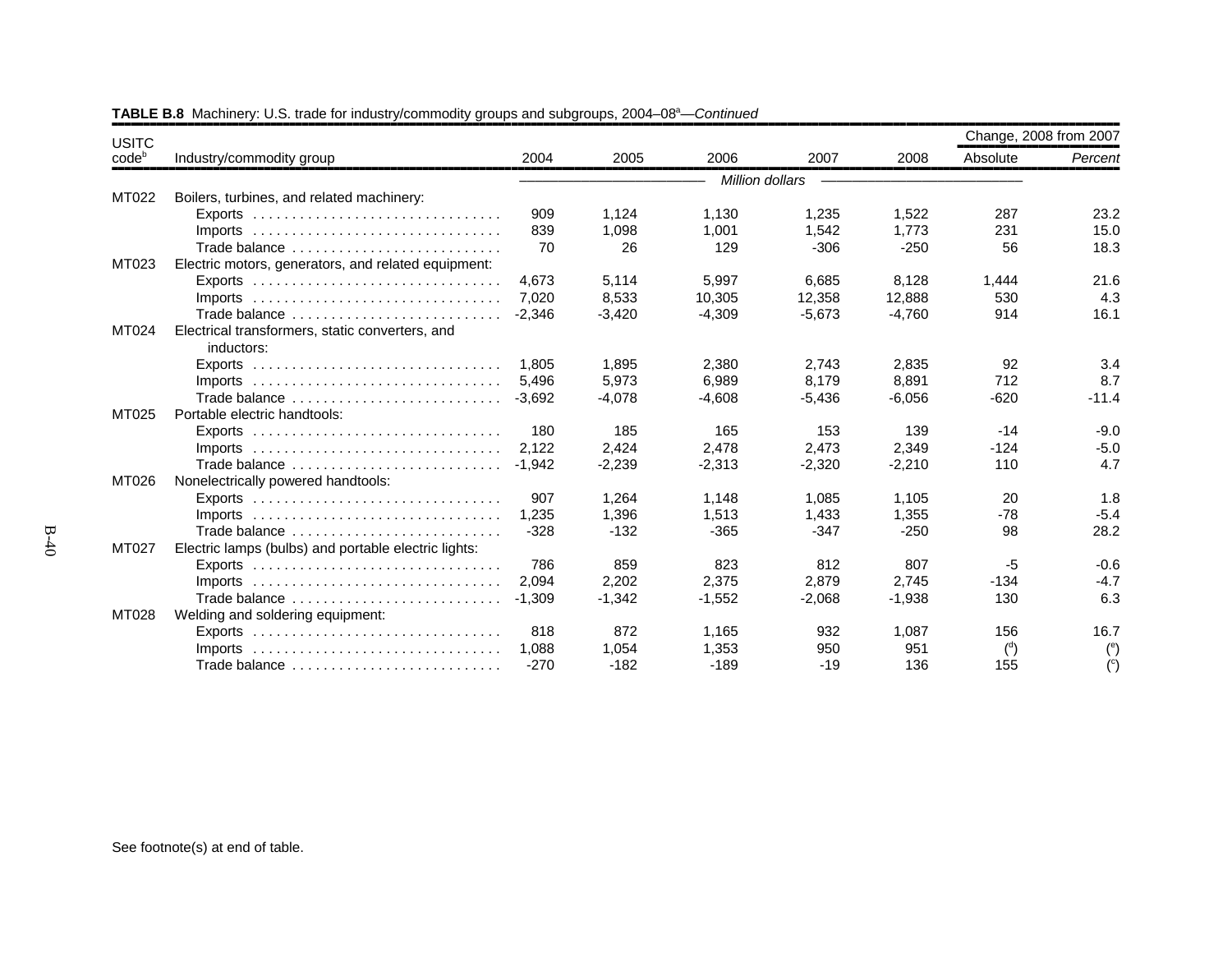| <b>USITC</b>   |                                                                                 |          |          |                 |          |          | Change, 2008 from 2007 |                      |
|----------------|---------------------------------------------------------------------------------|----------|----------|-----------------|----------|----------|------------------------|----------------------|
| $code^{\circ}$ | Industry/commodity group                                                        | 2004     | 2005     | 2006            | 2007     | 2008     | Absolute               | Percent              |
|                |                                                                                 |          |          | Million dollars |          |          |                        |                      |
| MT022          | Boilers, turbines, and related machinery:                                       |          |          |                 |          |          |                        |                      |
|                |                                                                                 | 909      | 1,124    | 1,130           | 1,235    | 1,522    | 287                    | 23.2                 |
|                | $Imports$                                                                       | 839      | 1,098    | 1,001           | 1.542    | 1.773    | 231                    | 15.0                 |
|                | Trade balance                                                                   | 70       | 26       | 129             | $-306$   | $-250$   | 56                     | 18.3                 |
| MT023          | Electric motors, generators, and related equipment:                             |          |          |                 |          |          |                        |                      |
|                |                                                                                 | 4.673    | 5,114    | 5,997           | 6,685    | 8,128    | 1,444                  | 21.6                 |
|                | Imports $\ldots \ldots \ldots \ldots \ldots \ldots \ldots \ldots \ldots \ldots$ | 7.020    | 8,533    | 10,305          | 12,358   | 12,888   | 530                    | 4.3                  |
|                | Trade balance                                                                   | $-2,346$ | $-3,420$ | $-4,309$        | $-5,673$ | $-4,760$ | 914                    | 16.1                 |
| MT024          | Electrical transformers, static converters, and<br>inductors:                   |          |          |                 |          |          |                        |                      |
|                | $Exports$                                                                       | 1.805    | 1.895    | 2,380           | 2,743    | 2,835    | 92                     | 3.4                  |
|                | Imports $\ldots \ldots \ldots \ldots \ldots \ldots \ldots \ldots \ldots \ldots$ | 5.496    | 5,973    | 6,989           | 8,179    | 8,891    | 712                    | 8.7                  |
|                | Trade balance                                                                   | $-3,692$ | $-4,078$ | $-4,608$        | $-5,436$ | $-6,056$ | $-620$                 | $-11.4$              |
| MT025          | Portable electric handtools:                                                    |          |          |                 |          |          |                        |                      |
|                | Exports $\ldots \ldots \ldots \ldots \ldots \ldots \ldots \ldots \ldots \ldots$ | 180      | 185      | 165             | 153      | 139      | $-14$                  | $-9.0$               |
|                |                                                                                 | 2.122    | 2.424    | 2.478           | 2,473    | 2.349    | $-124$                 | $-5.0$               |
|                | Trade balance                                                                   | $-1.942$ | $-2,239$ | $-2,313$        | $-2,320$ | $-2,210$ | 110                    | 4.7                  |
| MT026          | Nonelectrically powered handtools:                                              |          |          |                 |          |          |                        |                      |
|                |                                                                                 | 907      | 1,264    | 1,148           | 1,085    | 1,105    | 20                     | 1.8                  |
|                |                                                                                 | 1.235    | 1,396    | 1,513           | 1,433    | 1,355    | $-78$                  | $-5.4$               |
|                | Trade balance                                                                   | $-328$   | $-132$   | $-365$          | $-347$   | $-250$   | 98                     | 28.2                 |
| MT027          | Electric lamps (bulbs) and portable electric lights:                            |          |          |                 |          |          |                        |                      |
|                | Exports $\ldots \ldots \ldots \ldots \ldots \ldots \ldots \ldots \ldots \ldots$ | 786      | 859      | 823             | 812      | 807      | $-5$                   | $-0.6$               |
|                | $Imports$                                                                       | 2.094    | 2.202    | 2.375           | 2.879    | 2.745    | $-134$                 | $-4.7$               |
|                | Trade balance                                                                   | $-1.309$ | $-1,342$ | $-1,552$        | $-2,068$ | $-1,938$ | 130                    | 6.3                  |
| MT028          | Welding and soldering equipment:                                                |          |          |                 |          |          |                        |                      |
|                |                                                                                 | 818      | 872      | 1,165           | 932      | 1,087    | 156                    | 16.7                 |
|                | $Imports$                                                                       | 1.088    | 1,054    | 1,353           | 950      | 951      | $\binom{d}{b}$         | $($ <sup>e</sup> $)$ |
|                | Trade balance                                                                   | $-270$   | $-182$   | $-189$          | $-19$    | 136      | 155                    | $\binom{c}{c}$       |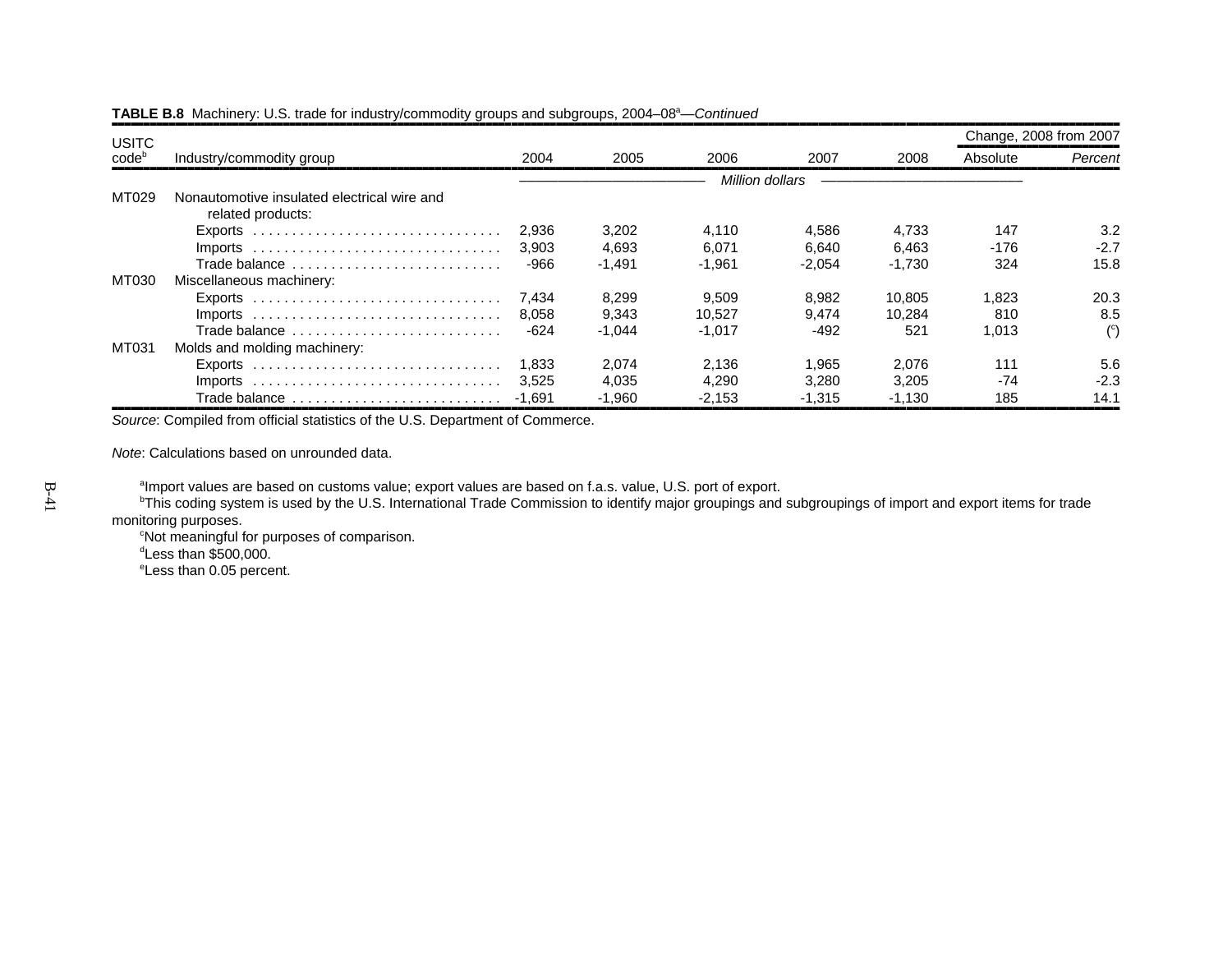| <b>USITC</b>      |                                                                                 |        |          |                 |          |          | Change, 2008 from 2007 |                |
|-------------------|---------------------------------------------------------------------------------|--------|----------|-----------------|----------|----------|------------------------|----------------|
| code <sup>b</sup> | Industry/commodity group                                                        | 2004   | 2005     | 2006            | 2007     | 2008     | Absolute               | Percent        |
|                   |                                                                                 |        |          | Million dollars |          |          |                        |                |
| MT029             | Nonautomotive insulated electrical wire and<br>related products:                |        |          |                 |          |          |                        |                |
|                   |                                                                                 | 2.936  | 3,202    | 4.110           | 4.586    | 4.733    | 147                    | 3.2            |
|                   |                                                                                 | 3.903  | 4.693    | 6.071           | 6.640    | 6.463    | -176                   | $-2.7$         |
|                   | Trade balance                                                                   | -966   | $-1.491$ | $-1.961$        | $-2,054$ | $-1.730$ | 324                    | 15.8           |
| MT030             | Miscellaneous machinery:                                                        |        |          |                 |          |          |                        |                |
|                   |                                                                                 | 7.434  | 8,299    | 9,509           | 8.982    | 10.805   | 1.823                  | 20.3           |
|                   |                                                                                 | 8.058  | 9,343    | 10.527          | 9.474    | 10.284   | 810                    | 8.5            |
|                   | Trade balance                                                                   | $-624$ | $-1.044$ | $-1.017$        | $-492$   | 521      | 1.013                  | $\binom{c}{ }$ |
| MT031             | Molds and molding machinery:                                                    |        |          |                 |          |          |                        |                |
|                   | Exports $\ldots \ldots \ldots \ldots \ldots \ldots \ldots \ldots \ldots \ldots$ | 1.833  | 2.074    | 2.136           | 1.965    | 2.076    | 111                    | 5.6            |
|                   |                                                                                 | 3.525  | 4.035    | 4.290           | 3.280    | 3.205    | $-74$                  | $-2.3$         |
|                   | Trade balance                                                                   | -1.691 | $-1.960$ | $-2,153$        | $-1.315$ | $-1,130$ | 185                    | 14.1           |

*Source*: Compiled from official statistics of the U.S. Department of Commerce.

*Note*: Calculations based on unrounded data.

<sup>a</sup>Import values are based on customs value; export values are based on f.a.s. value, U.S. port of export.

<sup>b</sup>This coding system is used by the U.S. International Trade Commission to identify major groupings and subgroupings of import and export items for trade monitoring purposes.

cNot meaningful for purposes of comparison.  $d$ Less than  $$500,000$ . eLess than 0.05 percent.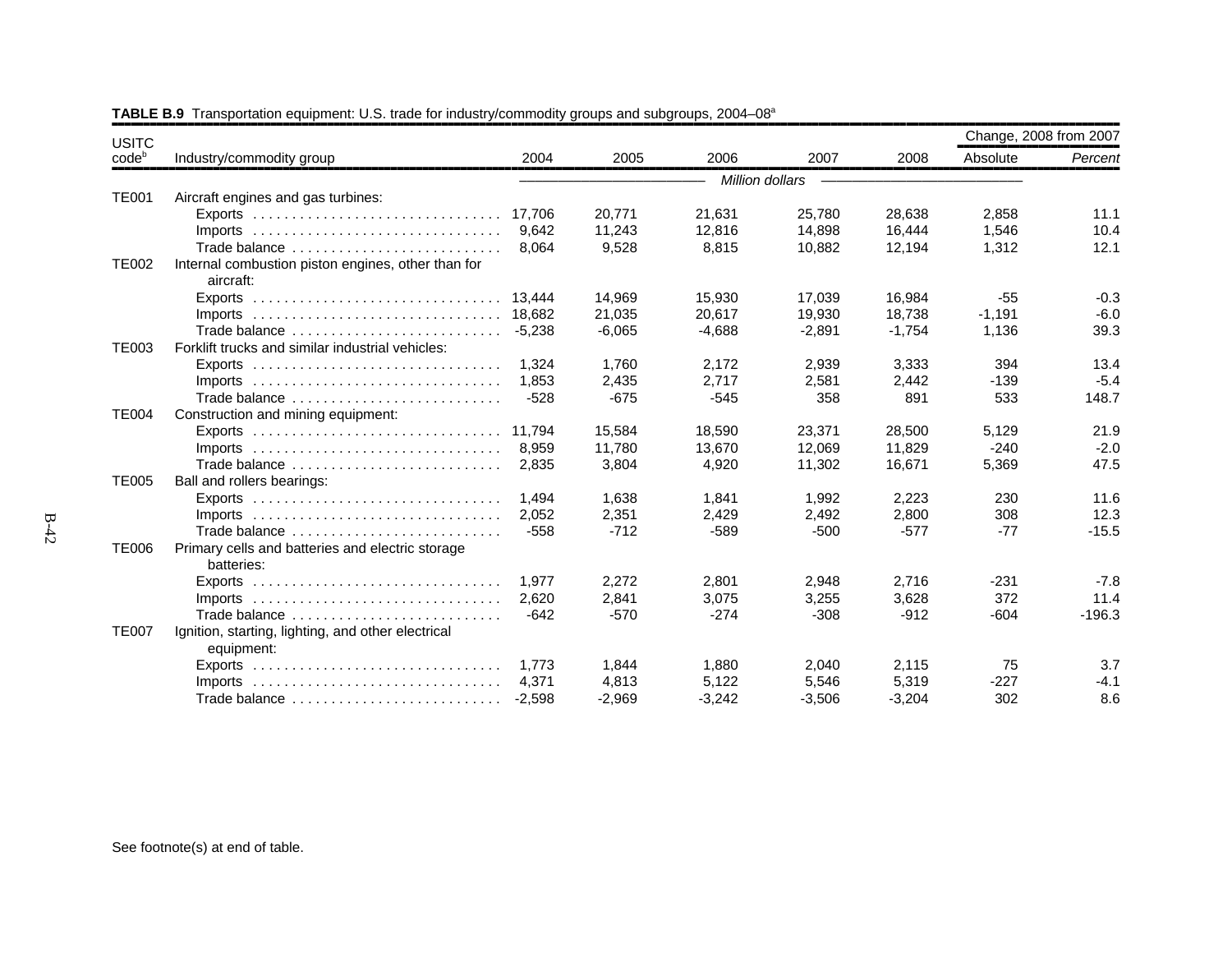| <b>USITC</b>      |                                                                                 |          |          |                 |          |          | Change, 2008 from 2007 |          |
|-------------------|---------------------------------------------------------------------------------|----------|----------|-----------------|----------|----------|------------------------|----------|
| code <sup>b</sup> | Industry/commodity group                                                        | 2004     | 2005     | 2006            | 2007     | 2008     | Absolute               | Percent  |
|                   |                                                                                 |          |          | Million dollars |          |          |                        |          |
| <b>TE001</b>      | Aircraft engines and gas turbines:                                              |          |          |                 |          |          |                        |          |
|                   |                                                                                 | 17.706   | 20,771   | 21,631          | 25,780   | 28,638   | 2,858                  | 11.1     |
|                   | Imports $\ldots \ldots \ldots \ldots \ldots \ldots \ldots \ldots \ldots \ldots$ | 9.642    | 11,243   | 12,816          | 14,898   | 16,444   | 1,546                  | 10.4     |
|                   | Trade balance                                                                   | 8,064    | 9,528    | 8,815           | 10,882   | 12,194   | 1,312                  | 12.1     |
| <b>TE002</b>      | Internal combustion piston engines, other than for<br>aircraft:                 |          |          |                 |          |          |                        |          |
|                   |                                                                                 | 13.444   | 14,969   | 15,930          | 17,039   | 16,984   | $-55$                  | $-0.3$   |
|                   |                                                                                 |          | 21,035   | 20.617          | 19,930   | 18.738   | $-1,191$               | $-6.0$   |
|                   | Trade balance                                                                   | $-5.238$ | $-6,065$ | $-4,688$        | $-2,891$ | $-1,754$ | 1,136                  | 39.3     |
| <b>TE003</b>      | Forklift trucks and similar industrial vehicles:                                |          |          |                 |          |          |                        |          |
|                   |                                                                                 | 1.324    | 1.760    | 2.172           | 2,939    | 3.333    | 394                    | 13.4     |
|                   |                                                                                 | 1.853    | 2,435    | 2,717           | 2,581    | 2,442    | $-139$                 | $-5.4$   |
|                   | Trade balance                                                                   | $-528$   | $-675$   | $-545$          | 358      | 891      | 533                    | 148.7    |
| <b>TE004</b>      | Construction and mining equipment:                                              |          |          |                 |          |          |                        |          |
|                   |                                                                                 | 11.794   | 15,584   | 18.590          | 23.371   | 28.500   | 5,129                  | 21.9     |
|                   |                                                                                 | 8.959    | 11,780   | 13,670          | 12,069   | 11,829   | $-240$                 | $-2.0$   |
|                   | Trade balance                                                                   | 2,835    | 3,804    | 4,920           | 11,302   | 16,671   | 5,369                  | 47.5     |
| <b>TE005</b>      | Ball and rollers bearings:                                                      |          |          |                 |          |          |                        |          |
|                   | Exports $\ldots \ldots \ldots \ldots \ldots \ldots \ldots \ldots \ldots \ldots$ | 1.494    | 1,638    | 1,841           | 1,992    | 2,223    | 230                    | 11.6     |
|                   | Imports $\ldots \ldots \ldots \ldots \ldots \ldots \ldots \ldots \ldots \ldots$ | 2.052    | 2,351    | 2,429           | 2,492    | 2,800    | 308                    | 12.3     |
|                   | Trade balance                                                                   | $-558$   | $-712$   | $-589$          | $-500$   | $-577$   | $-77$                  | $-15.5$  |
| <b>TE006</b>      | Primary cells and batteries and electric storage                                |          |          |                 |          |          |                        |          |
|                   | batteries:                                                                      |          |          |                 |          |          |                        |          |
|                   | Exports $\ldots \ldots \ldots \ldots \ldots \ldots \ldots \ldots \ldots$        | 1.977    | 2,272    | 2,801           | 2,948    | 2,716    | $-231$                 | $-7.8$   |
|                   | $Imports$                                                                       | 2.620    | 2.841    | 3.075           | 3,255    | 3,628    | 372                    | 11.4     |
|                   | Trade balance                                                                   | $-642$   | $-570$   | $-274$          | $-308$   | $-912$   | $-604$                 | $-196.3$ |
| <b>TE007</b>      | Ignition, starting, lighting, and other electrical<br>equipment:                |          |          |                 |          |          |                        |          |
|                   | Exports $\ldots \ldots \ldots \ldots \ldots \ldots \ldots \ldots \ldots \ldots$ | 1.773    | 1.844    | 1,880           | 2,040    | 2,115    | 75                     | 3.7      |
|                   |                                                                                 | 4.371    | 4,813    | 5,122           | 5,546    | 5,319    | $-227$                 | $-4.1$   |
|                   | Trade balance                                                                   | $-2,598$ | $-2,969$ | $-3,242$        | $-3,506$ | $-3,204$ | 302                    | 8.6      |

## **TABLE B.9** Transportation equipment: U.S. trade for industry/commodity groups and subgroups, 2004–08<sup>a</sup>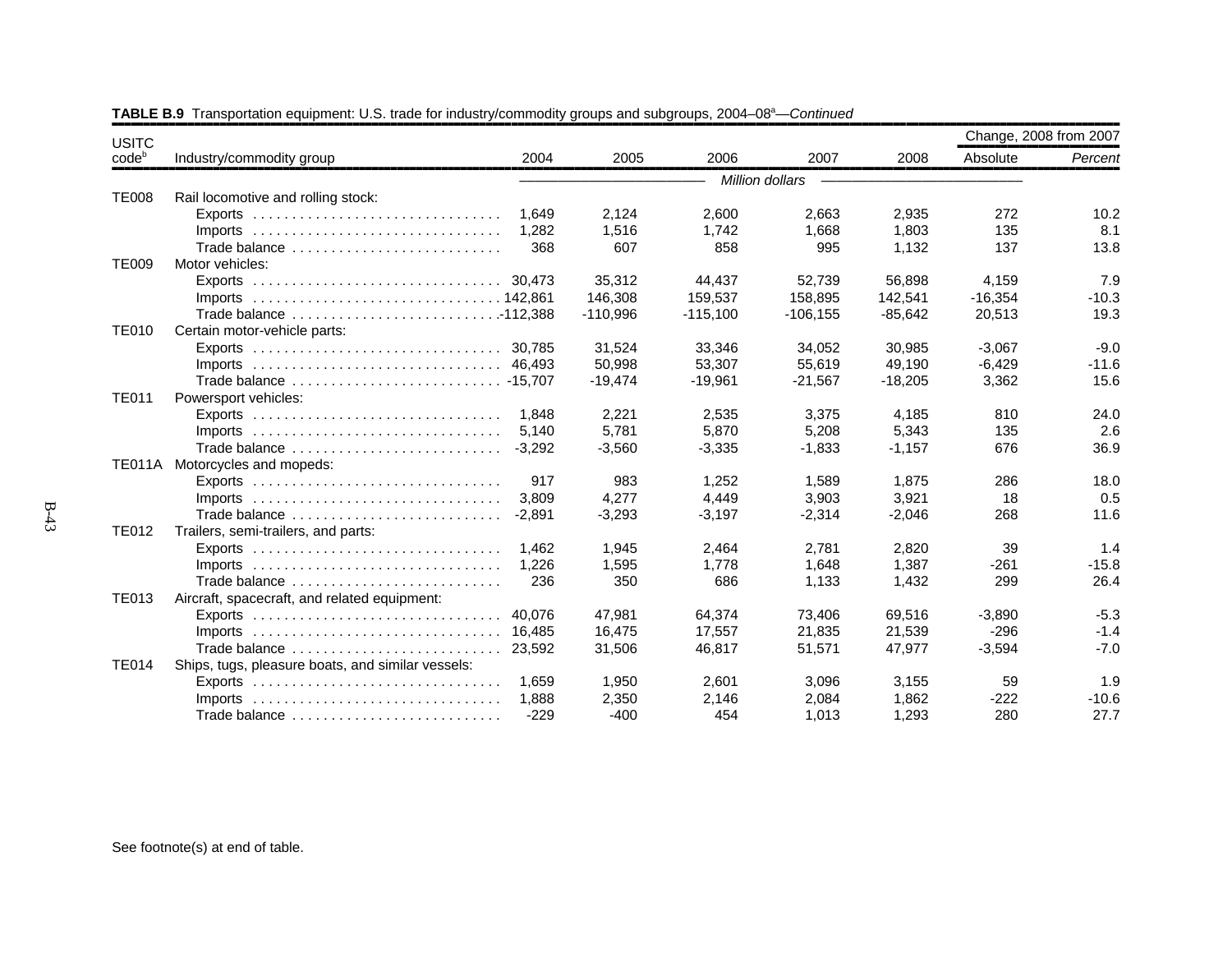| <b>USITC</b>   |                                                                                 |          |            |            |                 |           | Change, 2008 from 2007 |         |
|----------------|---------------------------------------------------------------------------------|----------|------------|------------|-----------------|-----------|------------------------|---------|
| $code^{\circ}$ | Industry/commodity group                                                        | 2004     | 2005       | 2006       | 2007            | 2008      | Absolute               | Percent |
|                |                                                                                 |          |            |            | Million dollars |           |                        |         |
| <b>TE008</b>   | Rail locomotive and rolling stock:                                              |          |            |            |                 |           |                        |         |
|                |                                                                                 | 1,649    | 2,124      | 2,600      | 2,663           | 2,935     | 272                    | 10.2    |
|                | $Imports$                                                                       | 1.282    | 1,516      | 1.742      | 1,668           | 1,803     | 135                    | 8.1     |
|                | Trade balance                                                                   | 368      | 607        | 858        | 995             | 1.132     | 137                    | 13.8    |
| <b>TE009</b>   | Motor vehicles:                                                                 |          |            |            |                 |           |                        |         |
|                |                                                                                 |          | 35,312     | 44,437     | 52,739          | 56,898    | 4,159                  | 7.9     |
|                |                                                                                 |          | 146,308    | 159,537    | 158,895         | 142,541   | $-16,354$              | $-10.3$ |
|                | Trade balance 112,388                                                           |          | $-110,996$ | $-115,100$ | $-106, 155$     | $-85,642$ | 20,513                 | 19.3    |
| <b>TE010</b>   | Certain motor-vehicle parts:                                                    |          |            |            |                 |           |                        |         |
|                |                                                                                 |          | 31,524     | 33,346     | 34,052          | 30,985    | $-3,067$               | $-9.0$  |
|                |                                                                                 |          | 50,998     | 53,307     | 55,619          | 49,190    | $-6,429$               | $-11.6$ |
|                |                                                                                 |          | $-19,474$  | $-19,961$  | $-21,567$       | $-18,205$ | 3,362                  | 15.6    |
| <b>TE011</b>   | Powersport vehicles:                                                            |          |            |            |                 |           |                        |         |
|                | $Exports$                                                                       | 1.848    | 2,221      | 2,535      | 3,375           | 4,185     | 810                    | 24.0    |
|                | $Imports$                                                                       | 5,140    | 5,781      | 5,870      | 5,208           | 5,343     | 135                    | 2.6     |
|                | Trade balance                                                                   | $-3,292$ | $-3,560$   | $-3,335$   | $-1,833$        | $-1,157$  | 676                    | 36.9    |
|                | TE011A Motorcycles and mopeds:                                                  |          |            |            |                 |           |                        |         |
|                |                                                                                 | 917      | 983        | 1,252      | 1,589           | 1,875     | 286                    | 18.0    |
|                | $Imports$                                                                       | 3,809    | 4,277      | 4,449      | 3,903           | 3,921     | 18                     | 0.5     |
|                | Trade balance                                                                   | $-2.891$ | $-3,293$   | $-3,197$   | $-2,314$        | $-2,046$  | 268                    | 11.6    |
| <b>TE012</b>   | Trailers, semi-trailers, and parts:                                             |          |            |            |                 |           |                        |         |
|                |                                                                                 | 1.462    | 1,945      | 2,464      | 2,781           | 2.820     | 39                     | 1.4     |
|                | $Imports$                                                                       | 1,226    | 1,595      | 1,778      | 1,648           | 1,387     | $-261$                 | $-15.8$ |
|                | Trade balance                                                                   | 236      | 350        | 686        | 1,133           | 1,432     | 299                    | 26.4    |
| <b>TE013</b>   | Aircraft, spacecraft, and related equipment:                                    |          |            |            |                 |           |                        |         |
|                |                                                                                 | 40.076   | 47,981     | 64,374     | 73,406          | 69,516    | $-3,890$               | $-5.3$  |
|                | Imports $\ldots \ldots \ldots \ldots \ldots \ldots \ldots \ldots \ldots \ldots$ | 16.485   | 16,475     | 17,557     | 21,835          | 21,539    | $-296$                 | $-1.4$  |
|                | Trade balance                                                                   | 23,592   | 31,506     | 46,817     | 51,571          | 47,977    | $-3,594$               | $-7.0$  |
| <b>TE014</b>   | Ships, tugs, pleasure boats, and similar vessels:                               |          |            |            |                 |           |                        |         |
|                | $Exports$                                                                       | 1,659    | 1,950      | 2,601      | 3,096           | 3,155     | 59                     | 1.9     |
|                | $Imports$                                                                       | 1.888    | 2,350      | 2.146      | 2,084           | 1.862     | $-222$                 | $-10.6$ |
|                | Trade balance                                                                   | $-229$   | $-400$     | 454        | 1,013           | 1,293     | 280                    | 27.7    |

**TABLE B.9** Transportation equipment: U.S. trade for industry/commodity groups and subgroups, 2004–08<sup>a</sup>—*Continued*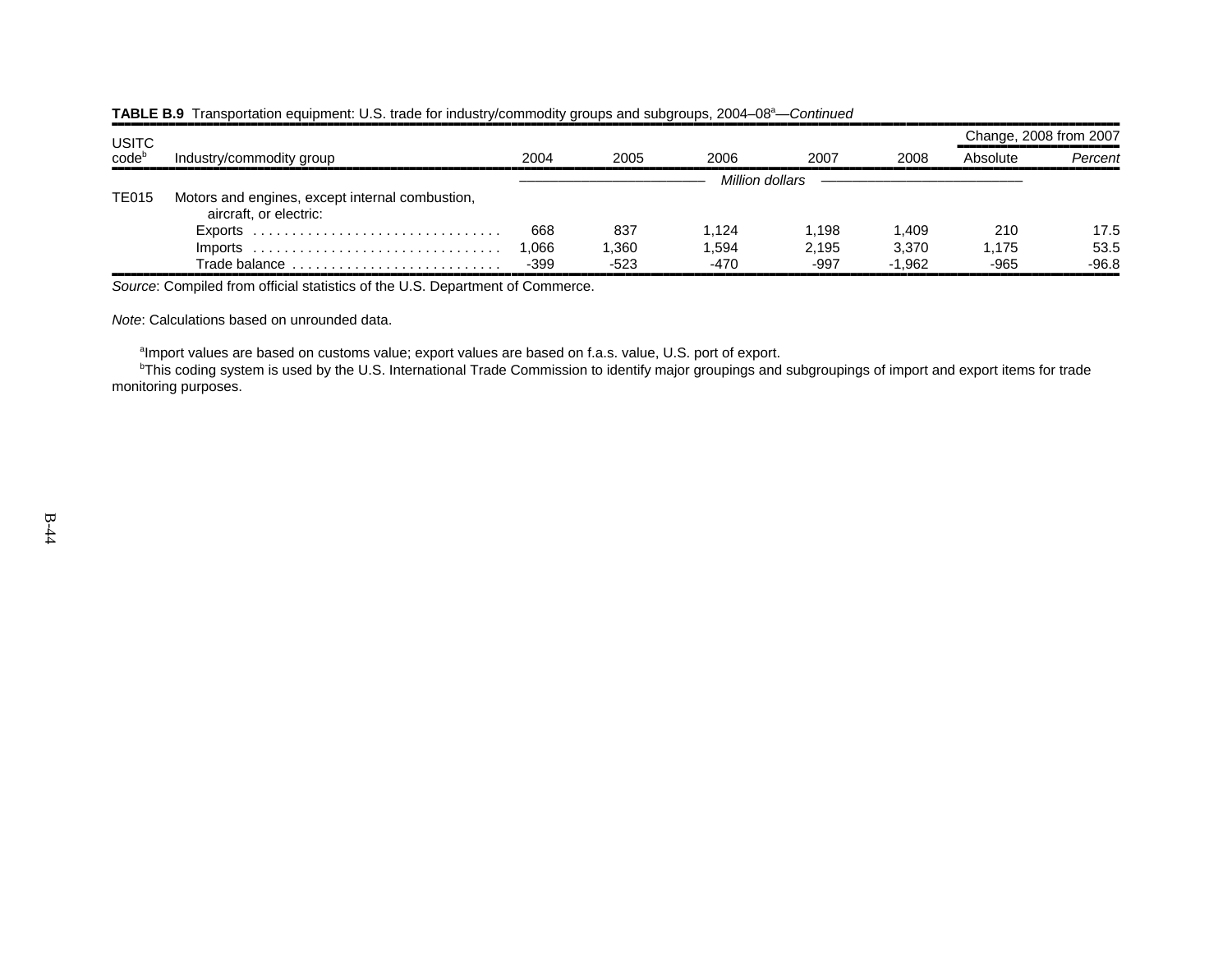| <b>USITC</b> |                                                                           |        |        |                 |        |          |          | Change, 2008 from 2007 |  |
|--------------|---------------------------------------------------------------------------|--------|--------|-----------------|--------|----------|----------|------------------------|--|
| codeb        | Industry/commodity group                                                  | 2004   | 2005   | 2006            | 2007   | 2008     | Absolute | Percent                |  |
|              |                                                                           |        |        | Million dollars |        |          |          |                        |  |
| <b>TE015</b> | Motors and engines, except internal combustion,<br>aircraft, or electric: |        |        |                 |        |          |          |                        |  |
|              |                                                                           | 668    | 837    | 1.124           | 1.198  | 1,409    | 210      | 17.5                   |  |
|              | $Imports$                                                                 | 1.066  | 1.360  | 1.594           | 2.195  | 3.370    | 1.175    | 53.5                   |  |
|              | Trade balance $\ldots \ldots \ldots \ldots \ldots \ldots \ldots \ldots$   | $-399$ | $-523$ | -470            | $-997$ | $-1.962$ | $-965$   | $-96.8$                |  |

### **TABLE B.9** Transportation equipment: U.S. trade for industry/commodity groups and subgroups, 2004–08<sup>a</sup>—*Continued*

*Source*: Compiled from official statistics of the U.S. Department of Commerce.

*Note*: Calculations based on unrounded data.

<sup>a</sup>Import values are based on customs value; export values are based on f.a.s. value, U.S. port of export.

<sup>b</sup>This coding system is used by the U.S. International Trade Commission to identify major groupings and subgroupings of import and export items for trade monitoring purposes.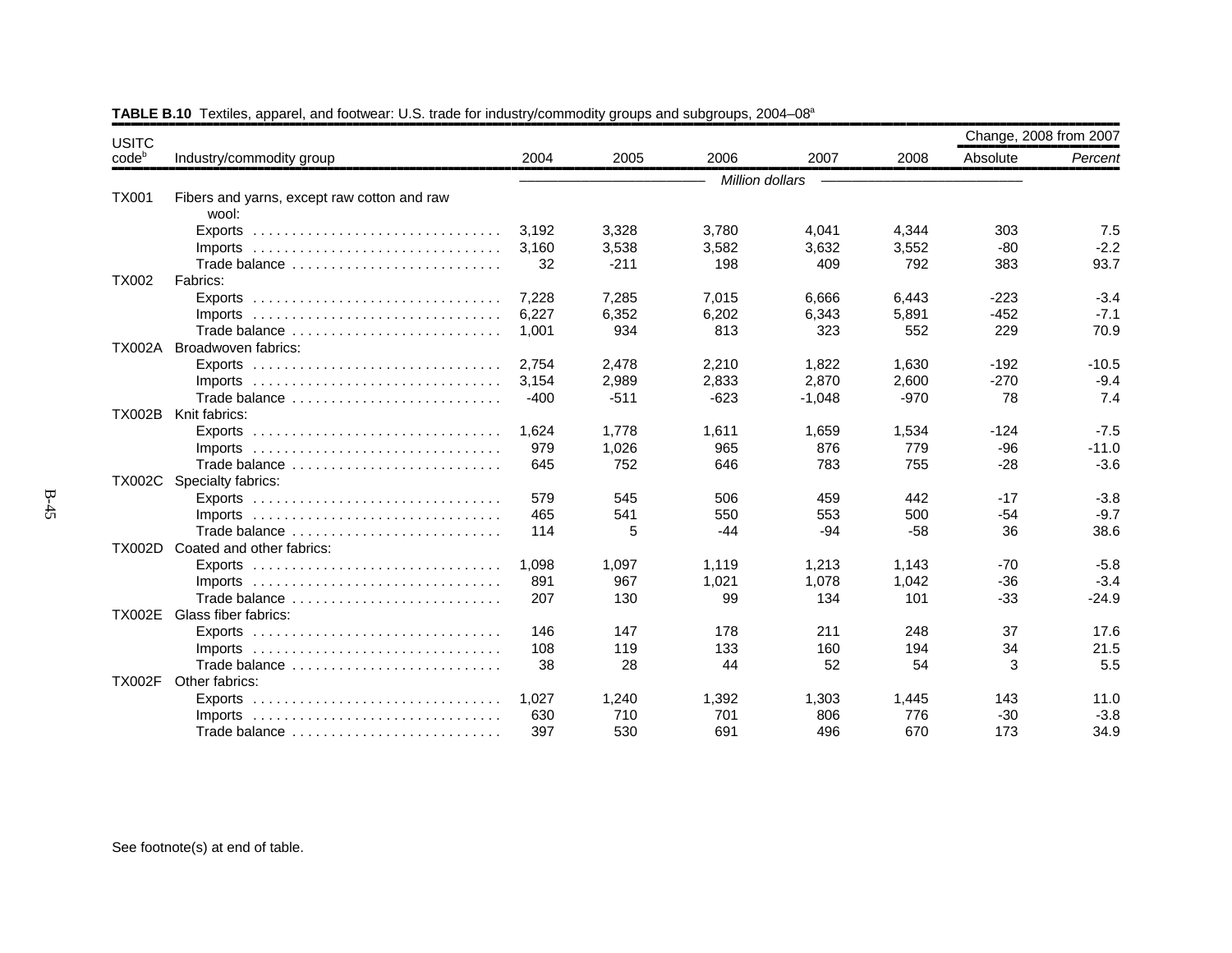| <b>USITC</b>   |                                                                                 |        |        |                 |          |        | Change, 2008 from 2007 |         |
|----------------|---------------------------------------------------------------------------------|--------|--------|-----------------|----------|--------|------------------------|---------|
| $code^{\circ}$ | Industry/commodity group                                                        | 2004   | 2005   | 2006            | 2007     | 2008   | Absolute               | Percent |
|                |                                                                                 |        |        | Million dollars |          |        |                        |         |
| <b>TX001</b>   | Fibers and yarns, except raw cotton and raw<br>wool:                            |        |        |                 |          |        |                        |         |
|                | Exports                                                                         | 3,192  | 3,328  | 3,780           | 4,041    | 4,344  | 303                    | 7.5     |
|                |                                                                                 | 3.160  | 3,538  | 3,582           | 3,632    | 3,552  | $-80$                  | $-2.2$  |
|                | Trade balance                                                                   | 32     | $-211$ | 198             | 409      | 792    | 383                    | 93.7    |
| <b>TX002</b>   | Fabrics:                                                                        |        |        |                 |          |        |                        |         |
|                |                                                                                 | 7,228  | 7,285  | 7,015           | 6,666    | 6,443  | $-223$                 | $-3.4$  |
|                | Imports $\ldots \ldots \ldots \ldots \ldots \ldots \ldots \ldots \ldots \ldots$ | 6,227  | 6,352  | 6,202           | 6,343    | 5,891  | $-452$                 | $-7.1$  |
|                | Trade balance                                                                   | 1,001  | 934    | 813             | 323      | 552    | 229                    | 70.9    |
| <b>TX002A</b>  | Broadwoven fabrics:                                                             |        |        |                 |          |        |                        |         |
|                |                                                                                 | 2.754  | 2,478  | 2,210           | 1,822    | 1,630  | $-192$                 | $-10.5$ |
|                |                                                                                 | 3,154  | 2,989  | 2,833           | 2,870    | 2,600  | $-270$                 | $-9.4$  |
|                | Trade balance                                                                   | $-400$ | $-511$ | $-623$          | $-1,048$ | $-970$ | 78                     | 7.4     |
| <b>TX002B</b>  | Knit fabrics:                                                                   |        |        |                 |          |        |                        |         |
|                |                                                                                 | 1.624  | 1.778  | 1,611           | 1,659    | 1,534  | $-124$                 | $-7.5$  |
|                | $Imports$                                                                       | 979    | 1,026  | 965             | 876      | 779    | $-96$                  | $-11.0$ |
|                | Trade balance                                                                   | 645    | 752    | 646             | 783      | 755    | $-28$                  | $-3.6$  |
| <b>TX002C</b>  | Specialty fabrics:                                                              |        |        |                 |          |        |                        |         |
|                | $Exports$                                                                       | 579    | 545    | 506             | 459      | 442    | $-17$                  | $-3.8$  |
|                | $Imports$                                                                       | 465    | 541    | 550             | 553      | 500    | $-54$                  | $-9.7$  |
|                | Trade balance                                                                   | 114    | 5      | $-44$           | $-94$    | $-58$  | 36                     | 38.6    |
| <b>TX002D</b>  | Coated and other fabrics:                                                       |        |        |                 |          |        |                        |         |
|                |                                                                                 | 1,098  | 1,097  | 1,119           | 1,213    | 1,143  | $-70$                  | $-5.8$  |
|                | Imports $\ldots \ldots \ldots \ldots \ldots \ldots \ldots \ldots \ldots \ldots$ | 891    | 967    | 1,021           | 1,078    | 1,042  | $-36$                  | $-3.4$  |
|                | Trade balance                                                                   | 207    | 130    | 99              | 134      | 101    | $-33$                  | $-24.9$ |
| <b>TX002E</b>  | Glass fiber fabrics:                                                            |        |        |                 |          |        |                        |         |
|                | Exports $\ldots \ldots \ldots \ldots \ldots \ldots \ldots \ldots \ldots \ldots$ | 146    | 147    | 178             | 211      | 248    | 37                     | 17.6    |
|                | Imports $\ldots \ldots \ldots \ldots \ldots \ldots \ldots \ldots \ldots \ldots$ | 108    | 119    | 133             | 160      | 194    | 34                     | 21.5    |
|                | Trade balance                                                                   | 38     | 28     | 44              | 52       | 54     | 3                      | 5.5     |
| <b>TX002F</b>  | Other fabrics:                                                                  |        |        |                 |          |        |                        |         |
|                |                                                                                 | 1.027  | 1,240  | 1,392           | 1,303    | 1,445  | 143                    | 11.0    |
|                |                                                                                 | 630    | 710    | 701             | 806      | 776    | $-30$                  | $-3.8$  |
|                | Trade balance                                                                   | 397    | 530    | 691             | 496      | 670    | 173                    | 34.9    |

# **TABLE B.10** Textiles, apparel, and footwear: U.S. trade for industry/commodity groups and subgroups, 2004–08<sup>a</sup>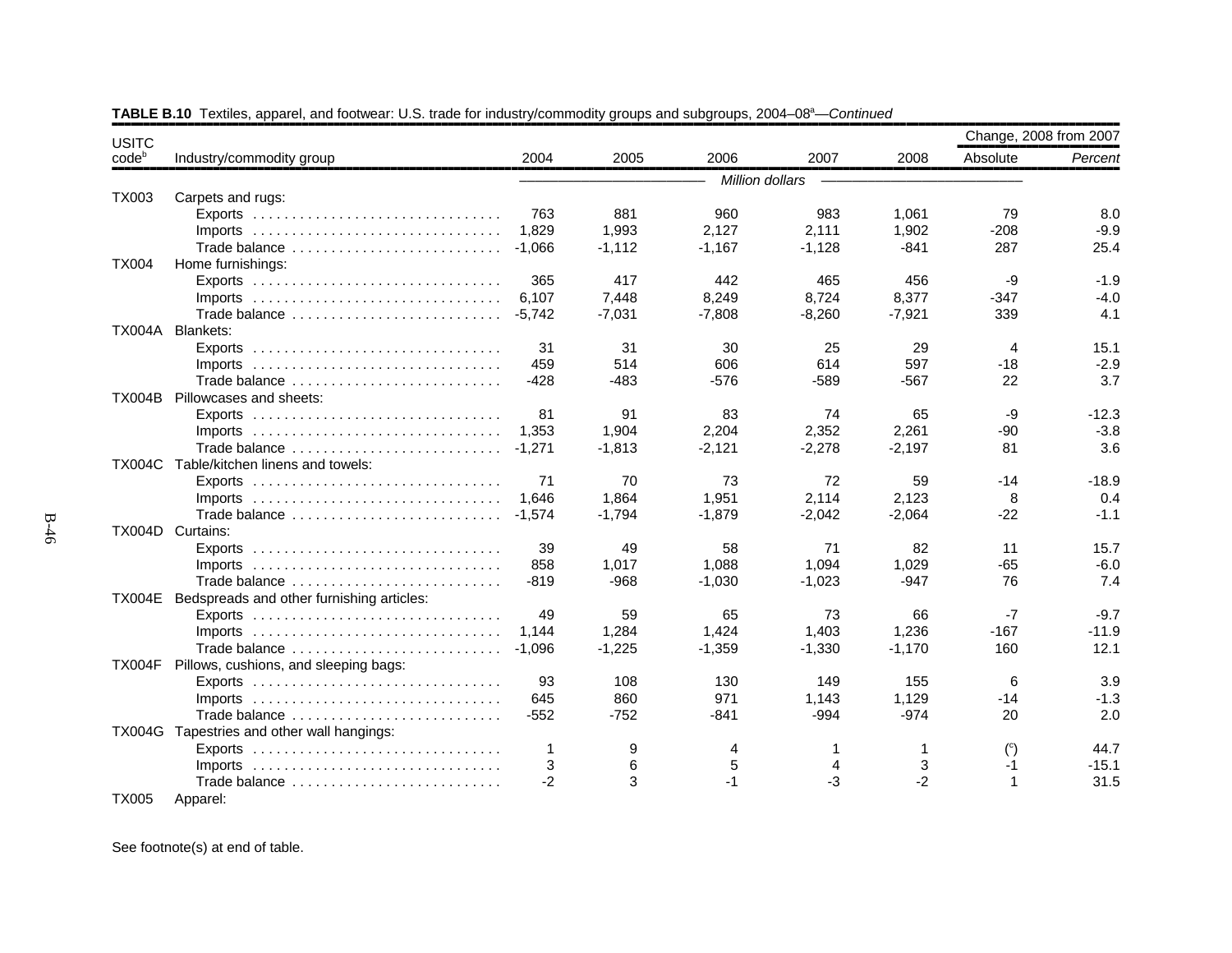| <b>USITC</b>  |                                                  |          |          |                 |          |          | Change, 2008 from 2007 |         |
|---------------|--------------------------------------------------|----------|----------|-----------------|----------|----------|------------------------|---------|
| $code^b$      | Industry/commodity group                         | 2004     | 2005     | 2006            | 2007     | 2008     | Absolute               | Percent |
|               |                                                  |          |          | Million dollars |          |          |                        |         |
| <b>TX003</b>  | Carpets and rugs:                                |          |          |                 |          |          |                        |         |
|               |                                                  | 763      | 881      | 960             | 983      | 1,061    | 79                     | 8.0     |
|               | $Imports$                                        | 1.829    | 1,993    | 2.127           | 2,111    | 1,902    | $-208$                 | $-9.9$  |
|               | Trade balance                                    | $-1,066$ | $-1,112$ | $-1,167$        | $-1,128$ | $-841$   | 287                    | 25.4    |
| <b>TX004</b>  | Home furnishings:                                |          |          |                 |          |          |                        |         |
|               |                                                  | 365      | 417      | 442             | 465      | 456      | -9                     | $-1.9$  |
|               |                                                  | 6,107    | 7,448    | 8,249           | 8,724    | 8,377    | $-347$                 | $-4.0$  |
|               | Trade balance                                    | $-5,742$ | $-7,031$ | $-7,808$        | $-8,260$ | $-7,921$ | 339                    | 4.1     |
| <b>TX004A</b> | <b>Blankets:</b>                                 |          |          |                 |          |          |                        |         |
|               |                                                  | 31       | 31       | 30              | 25       | 29       | 4                      | 15.1    |
|               |                                                  | 459      | 514      | 606             | 614      | 597      | $-18$                  | $-2.9$  |
|               | Trade balance                                    | $-428$   | $-483$   | $-576$          | $-589$   | $-567$   | 22                     | 3.7     |
|               | TX004B Pillowcases and sheets:                   |          |          |                 |          |          |                        |         |
|               |                                                  | 81       | 91       | 83              | 74       | 65       | -9                     | $-12.3$ |
|               | $Imports$                                        | 1.353    | 1,904    | 2,204           | 2,352    | 2,261    | $-90$                  | $-3.8$  |
|               | Trade balance                                    | $-1,271$ | $-1,813$ | $-2,121$        | $-2,278$ | $-2,197$ | 81                     | 3.6     |
|               | TX004C Table/kitchen linens and towels:          |          |          |                 |          |          |                        |         |
|               |                                                  | 71       | 70       | 73              | 72       | 59       | $-14$                  | $-18.9$ |
|               |                                                  | 1.646    | 1,864    | 1,951           | 2,114    | 2,123    | 8                      | 0.4     |
|               | Trade balance                                    | $-1,574$ | $-1,794$ | $-1,879$        | $-2,042$ | $-2,064$ | $-22$                  | $-1.1$  |
|               | TX004D Curtains:                                 |          |          |                 |          |          |                        |         |
|               |                                                  | 39       | 49       | 58              | 71       | 82       | 11                     | 15.7    |
|               |                                                  | 858      | 1,017    | 1,088           | 1,094    | 1,029    | $-65$                  | $-6.0$  |
|               | Trade balance                                    | $-819$   | $-968$   | $-1,030$        | $-1,023$ | $-947$   | 76                     | 7.4     |
|               | TX004E Bedspreads and other furnishing articles: |          |          |                 |          |          |                        |         |
|               |                                                  | 49       | 59       | 65              | 73       | 66       | $-7$                   | $-9.7$  |
|               |                                                  | 1.144    | 1,284    | 1.424           | 1.403    | 1.236    | $-167$                 | $-11.9$ |
|               | Trade balance                                    | $-1,096$ | $-1,225$ | $-1,359$        | $-1,330$ | $-1,170$ | 160                    | 12.1    |
| <b>TX004F</b> | Pillows, cushions, and sleeping bags:            |          |          |                 |          |          |                        |         |
|               |                                                  | 93       | 108      | 130             | 149      | 155      | 6                      | 3.9     |
|               |                                                  | 645      | 860      | 971             | 1,143    | 1,129    | $-14$                  | $-1.3$  |
|               | Trade balance                                    | $-552$   | $-752$   | $-841$          | $-994$   | $-974$   | 20                     | 2.0     |
|               | TX004G Tapestries and other wall hangings:       |          |          |                 |          |          |                        |         |
|               |                                                  | 1        | 9        | 4               | 1        | 1        | $^{\circ}$             | 44.7    |
|               |                                                  | 3        | 6        | 5               |          | 3        | $-1$                   | $-15.1$ |
|               | Trade balance                                    | $-2$     | 3        | $-1$            | -3       | $-2$     | $\overline{1}$         | 31.5    |
| <b>TX005</b>  | Apparel:                                         |          |          |                 |          |          |                        |         |

TABLE B.10 Textiles, apparel, and footwear: U.S. trade for industry/commodity groups and subgroups, 2004–08<sup>a</sup>—*Continued*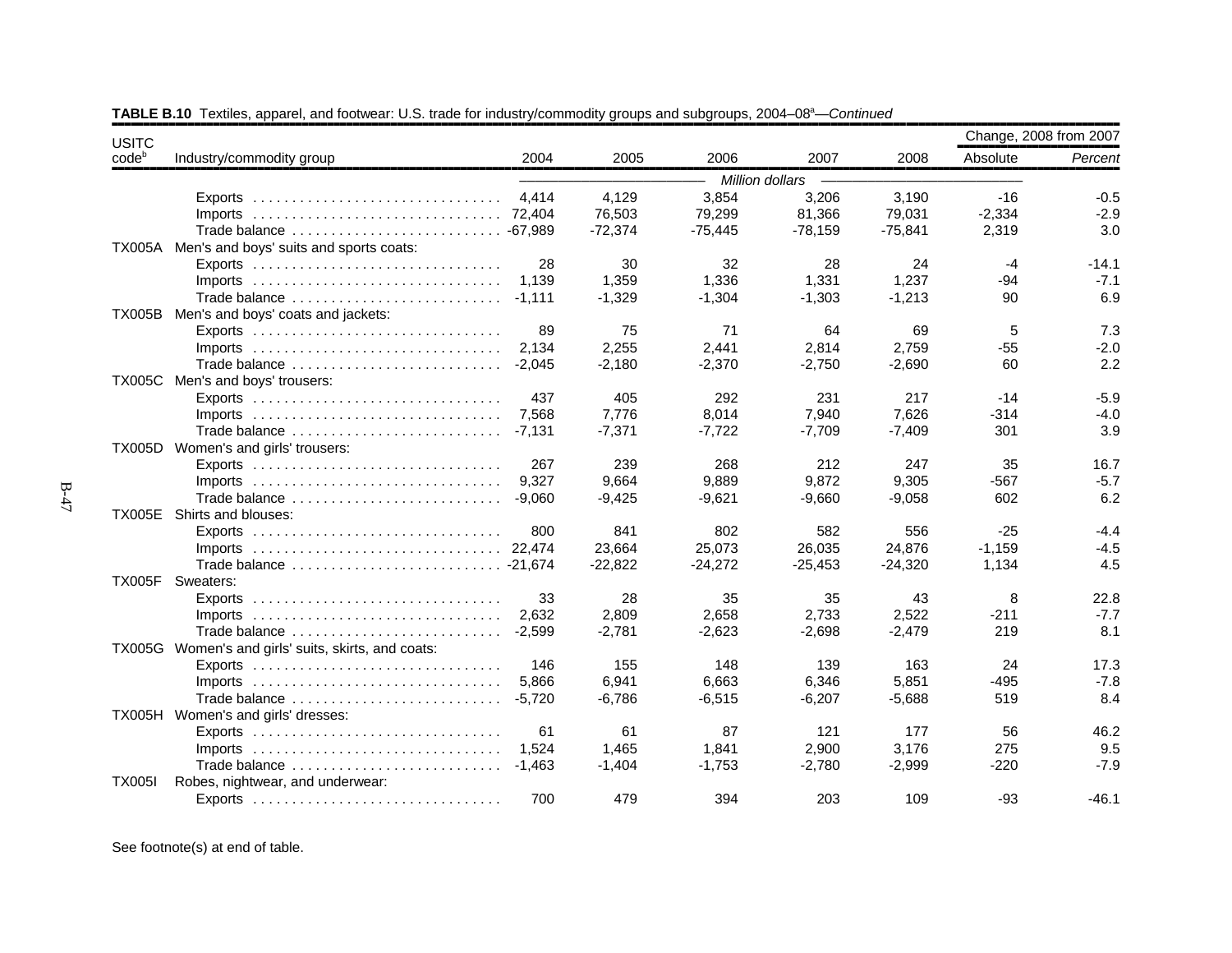| <b>USITC</b>      |                                                                                  |          |           |           |                 |           |          | Change, 2008 from 2007 |
|-------------------|----------------------------------------------------------------------------------|----------|-----------|-----------|-----------------|-----------|----------|------------------------|
| code <sup>b</sup> | Industry/commodity group                                                         | 2004     | 2005      | 2006      | 2007            | 2008      | Absolute | Percent                |
|                   |                                                                                  |          |           |           | Million dollars |           |          |                        |
|                   |                                                                                  | 4,414    | 4,129     | 3,854     | 3,206           | 3,190     | -16      | $-0.5$                 |
|                   |                                                                                  |          | 76,503    | 79,299    | 81,366          | 79,031    | $-2,334$ | $-2.9$                 |
|                   | Trade balance  -67,989                                                           |          | $-72,374$ | $-75,445$ | $-78,159$       | $-75,841$ | 2,319    | 3.0                    |
|                   | TX005A Men's and boys' suits and sports coats:                                   |          |           |           |                 |           |          |                        |
|                   |                                                                                  | 28       | 30        | 32        | 28              | 24        | $-4$     | $-14.1$                |
|                   |                                                                                  | 1,139    | 1,359     | 1,336     | 1,331           | 1,237     | $-94$    | $-7.1$                 |
|                   | Trade balance                                                                    | $-1.111$ | $-1,329$  | $-1,304$  | $-1,303$        | $-1,213$  | 90       | 6.9                    |
|                   | TX005B Men's and boys' coats and jackets:                                        |          |           |           |                 |           |          |                        |
|                   |                                                                                  | 89       | 75        | 71        | 64              | 69        | 5        | 7.3                    |
|                   | $Imports$                                                                        | 2.134    | 2,255     | 2,441     | 2,814           | 2,759     | $-55$    | $-2.0$                 |
|                   | Trade balance                                                                    | $-2,045$ | $-2,180$  | $-2,370$  | $-2,750$        | $-2,690$  | 60       | 2.2                    |
|                   | TX005C Men's and boys' trousers:                                                 |          |           |           |                 |           |          |                        |
|                   |                                                                                  | 437      | 405       | 292       | 231             | 217       | $-14$    | $-5.9$                 |
|                   |                                                                                  | 7,568    | 7,776     | 8,014     | 7,940           | 7,626     | $-314$   | $-4.0$                 |
|                   | Trade balance                                                                    | $-7.131$ | $-7,371$  | $-7.722$  | $-7,709$        | $-7,409$  | 301      | 3.9                    |
|                   | TX005D Women's and girls' trousers:                                              |          |           |           |                 |           |          |                        |
|                   | $Exports$                                                                        | 267      | 239       | 268       | 212             | 247       | 35       | 16.7                   |
|                   | $Imports$                                                                        | 9.327    | 9,664     | 9,889     | 9,872           | 9,305     | $-567$   | $-5.7$                 |
|                   | Trade balance                                                                    | $-9.060$ | $-9,425$  | $-9,621$  | $-9,660$        | $-9,058$  | 602      | 6.2                    |
|                   | TX005E Shirts and blouses:                                                       |          |           |           |                 |           |          |                        |
|                   |                                                                                  | 800      | 841       | 802       | 582             | 556       | $-25$    | $-4.4$                 |
|                   |                                                                                  |          | 23,664    | 25,073    | 26,035          | 24,876    | $-1,159$ | $-4.5$                 |
|                   |                                                                                  |          | $-22,822$ | $-24,272$ | $-25,453$       | $-24,320$ | 1,134    | 4.5                    |
|                   | TX005F Sweaters:                                                                 |          |           |           |                 |           |          |                        |
|                   | $Exports$                                                                        | 33       | 28        | 35        | 35              | 43        | 8        | 22.8                   |
|                   |                                                                                  | 2,632    | 2,809     | 2,658     | 2,733           | 2,522     | $-211$   | $-7.7$                 |
|                   | Trade balance                                                                    | $-2.599$ | $-2,781$  | $-2,623$  | $-2,698$        | $-2,479$  | 219      | 8.1                    |
|                   | TX005G Women's and girls' suits, skirts, and coats:                              |          |           |           |                 |           |          |                        |
|                   |                                                                                  | 146      | 155       | 148       | 139             | 163       | 24       | 17.3                   |
|                   | $Imports$                                                                        | 5,866    | 6,941     | 6.663     | 6,346           | 5.851     | $-495$   | $-7.8$                 |
|                   | Trade balance                                                                    | $-5.720$ | $-6,786$  | $-6,515$  | $-6,207$        | $-5,688$  | 519      | 8.4                    |
|                   | TX005H Women's and girls' dresses:                                               |          |           |           |                 |           |          |                        |
|                   | Exports $\dots\dots\dots\dots\dots\dots\dots\dots\dots\dots\dots\dots\dots\dots$ | 61       | 61        | 87        | 121             | 177       | 56       | 46.2                   |
|                   |                                                                                  | 1,524    | 1,465     | 1,841     | 2,900           | 3,176     | 275      | 9.5                    |
|                   | Trade balance                                                                    | $-1.463$ | $-1,404$  | $-1,753$  | $-2,780$        | $-2,999$  | $-220$   | $-7.9$                 |
| <b>TX005I</b>     | Robes, nightwear, and underwear:                                                 |          |           |           |                 |           |          |                        |
|                   |                                                                                  | 700      | 479       | 394       | 203             | 109       | $-93$    | $-46.1$                |

TABLE B.10 Textiles, apparel, and footwear: U.S. trade for industry/commodity groups and subgroups, 2004–08<sup>a</sup>—*Continued*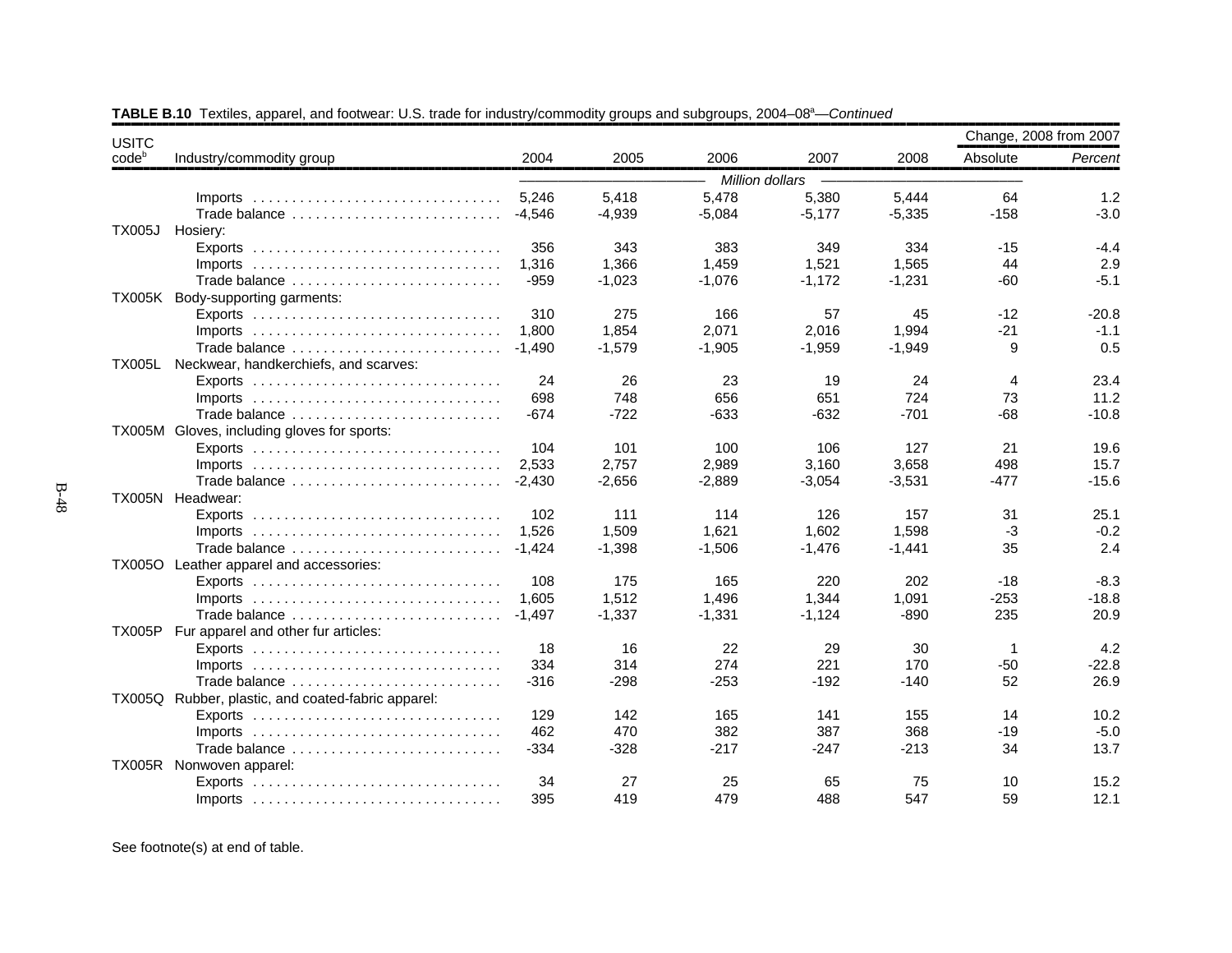| <b>USITC</b>   |                                                    |          |          |                 |          |          | Change, 2008 from 2007 |         |
|----------------|----------------------------------------------------|----------|----------|-----------------|----------|----------|------------------------|---------|
| $code^{\circ}$ | Industry/commodity group                           | 2004     | 2005     | 2006            | 2007     | 2008     | Absolute               | Percent |
|                |                                                    |          |          | Million dollars |          |          |                        |         |
|                | $Imports$                                          | 5,246    | 5,418    | 5,478           | 5,380    | 5,444    | 64                     | 1.2     |
|                | Trade balance                                      | $-4.546$ | $-4,939$ | $-5,084$        | $-5,177$ | $-5,335$ | $-158$                 | $-3.0$  |
| <b>TX005J</b>  | Hosiery:                                           |          |          |                 |          |          |                        |         |
|                |                                                    | 356      | 343      | 383             | 349      | 334      | -15                    | $-4.4$  |
|                |                                                    | 1,316    | 1,366    | 1,459           | 1,521    | 1,565    | 44                     | 2.9     |
|                | Trade balance                                      | $-959$   | $-1,023$ | $-1,076$        | $-1,172$ | $-1,231$ | $-60$                  | $-5.1$  |
|                | TX005K Body-supporting garments:                   |          |          |                 |          |          |                        |         |
|                |                                                    | 310      | 275      | 166             | 57       | 45       | $-12$                  | $-20.8$ |
|                | $Imports$                                          | 1.800    | 1,854    | 2.071           | 2,016    | 1.994    | $-21$                  | $-1.1$  |
|                | Trade balance                                      | $-1.490$ | $-1,579$ | $-1,905$        | $-1,959$ | $-1,949$ | 9                      | 0.5     |
|                | TX005L Neckwear, handkerchiefs, and scarves:       |          |          |                 |          |          |                        |         |
|                |                                                    | 24       | 26       | 23              | 19       | 24       | 4                      | 23.4    |
|                |                                                    | 698      | 748      | 656             | 651      | 724      | 73                     | 11.2    |
|                | Trade balance                                      | $-674$   | $-722$   | $-633$          | $-632$   | $-701$   | $-68$                  | $-10.8$ |
|                | TX005M Gloves, including gloves for sports:        |          |          |                 |          |          |                        |         |
|                |                                                    | 104      | 101      | 100             | 106      | 127      | 21                     | 19.6    |
|                |                                                    | 2,533    | 2,757    | 2,989           | 3,160    | 3,658    | 498                    | 15.7    |
|                | Trade balance                                      | $-2.430$ | $-2.656$ | $-2.889$        | $-3,054$ | $-3,531$ | $-477$                 | $-15.6$ |
|                | TX005N Headwear:                                   |          |          |                 |          |          |                        |         |
|                |                                                    | 102      | 111      | 114             | 126      | 157      | 31                     | 25.1    |
|                |                                                    | 1,526    | 1,509    | 1,621           | 1,602    | 1,598    | $-3$                   | $-0.2$  |
|                | Trade balance                                      | $-1.424$ | $-1,398$ | $-1,506$        | $-1,476$ | $-1,441$ | 35                     | 2.4     |
|                | TX005O Leather apparel and accessories:            |          |          |                 |          |          |                        |         |
|                |                                                    | 108      | 175      | 165             | 220      | 202      | $-18$                  | $-8.3$  |
|                | $Imports$                                          | 1.605    | 1,512    | 1,496           | 1.344    | 1,091    | $-253$                 | $-18.8$ |
|                | Trade balance                                      | $-1,497$ | $-1,337$ | $-1,331$        | $-1,124$ | $-890$   | 235                    | 20.9    |
|                | TX005P Fur apparel and other fur articles:         |          |          |                 |          |          |                        |         |
|                |                                                    | 18       | 16       | 22              | 29       | 30       | $\mathbf 1$            | 4.2     |
|                | $Imports$                                          | 334      | 314      | 274             | 221      | 170      | $-50$                  | $-22.8$ |
|                | Trade balance                                      | $-316$   | $-298$   | $-253$          | $-192$   | $-140$   | 52                     | 26.9    |
|                | TX005Q Rubber, plastic, and coated-fabric apparel: |          |          |                 |          |          |                        |         |
|                |                                                    | 129      | 142      | 165             | 141      | 155      | 14                     | 10.2    |
|                | $Imports$                                          | 462      | 470      | 382             | 387      | 368      | $-19$                  | $-5.0$  |
|                | Trade balance                                      | $-334$   | $-328$   | $-217$          | $-247$   | $-213$   | 34                     | 13.7    |
|                | TX005R Nonwoven apparel:                           |          |          |                 |          |          |                        |         |
|                |                                                    | 34       | 27       | 25              | 65       | 75       | 10                     | 15.2    |
|                | $Imports$                                          | 395      | 419      | 479             | 488      | 547      | 59                     | 12.1    |

TABLE B.10 Textiles, apparel, and footwear: U.S. trade for industry/commodity groups and subgroups, 2004–08<sup>a</sup>—*Continued*